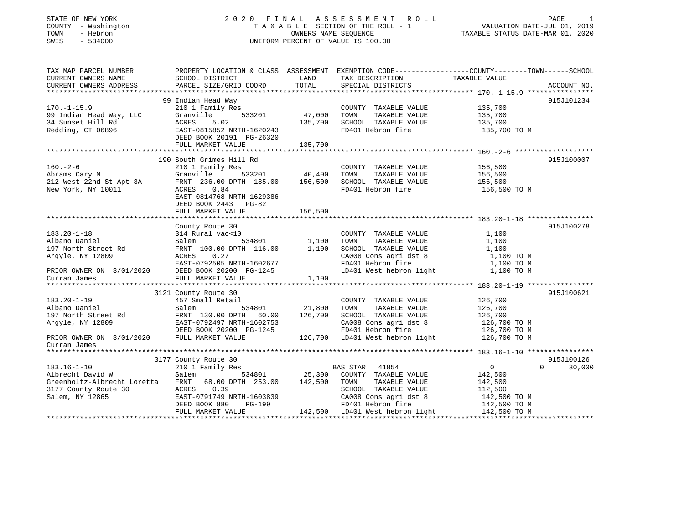## STATE OF NEW YORK 2 0 2 0 F I N A L A S S E S S M E N T R O L L PAGE 1COUNTY - Washington  $\begin{array}{ccc} 1 & 0 & 0 \\ 0 & 0 & 0 \end{array}$  T A X A B L E SECTION OF THE ROLL - 1 TOWN - Hebron SWIS - 534000 UNIFORM PERCENT OF VALUE IS 100.00

VALUATION DATE-JUL 01, 2019

TAXABLE STATUS DATE-MAR 01, 2020

| TAX MAP PARCEL NUMBER<br>CURRENT OWNERS NAME<br>CURRENT OWNERS ADDRESS                                                    | PROPERTY LOCATION & CLASS ASSESSMENT EXEMPTION CODE---------------COUNTY-------TOWN-----SCHOOL<br>SCHOOL DISTRICT<br>PARCEL SIZE/GRID COORD                                       | LAND<br>TOTAL                                                   | TAX DESCRIPTION<br>SPECIAL DISTRICTS                                                                                                                                                  | TAXABLE VALUE                                                      | ACCOUNT NO.                      |
|---------------------------------------------------------------------------------------------------------------------------|-----------------------------------------------------------------------------------------------------------------------------------------------------------------------------------|-----------------------------------------------------------------|---------------------------------------------------------------------------------------------------------------------------------------------------------------------------------------|--------------------------------------------------------------------|----------------------------------|
|                                                                                                                           |                                                                                                                                                                                   |                                                                 |                                                                                                                                                                                       |                                                                    |                                  |
| $170. - 1 - 15.9$<br>99 Indian Head Way, LLC<br>34 Sunset Hill Rd<br>Redding, CT 06896                                    | 99 Indian Head Way<br>210 1 Family Res<br>533201<br>Granville<br>ACRES<br>5.02<br>EAST-0815852 NRTH-1620243<br>DEED BOOK 20191 PG-26320<br>FULL MARKET VALUE                      | 47,000<br>135,700<br>135,700                                    | COUNTY TAXABLE VALUE 135,700<br>TOWN<br>TAXABLE VALUE<br>SCHOOL TAXABLE VALUE<br>FD401 Hebron fire                                                                                    | 135,700<br>135,700<br>135,700 TO M                                 | 915J101234                       |
| $160. -2 - 6$<br>Abrams Cary M<br>212 West 22nd St Apt 3A FRNT 236.00 DPTH 185.00 156,500<br>New York, NY 10011           | 190 South Grimes Hill Rd<br>210 1 Family Res<br>533201 40,400<br>Granville<br>ACRES 0.84<br>EAST-0814768 NRTH-1629386<br>DEED BOOK 2443 PG-82<br>FULL MARKET VALUE                | 156,500                                                         | COUNTY TAXABLE VALUE<br>TOWN<br>TAXABLE VALUE<br>SCHOOL TAXABLE VALUE<br>FD401 Hebron fire                                                                                            | 156,500<br>156,500<br>156,500<br>156,500 TO M                      | 915J100007                       |
| $183.20 - 1 - 18$<br>Albano Daniel<br>197 North Street Rd<br>Argyle, NY 12809<br>PRIOR OWNER ON 3/01/2020<br>Curran James | County Route 30<br>314 Rural vac<10<br>Salem<br>FRNT 100.00 DPTH 116.00<br>ACRES<br>0.27<br>EAST-0792505 NRTH-1602677<br>DEED BOOK 20200 PG-1245<br>FULL MARKET VALUE             | 534801 1,100<br>TH 116.00 1,100<br>1,100<br>$3 - 1245$<br>1,100 | COUNTY TAXABLE VALUE<br>TAXABLE VALUE<br>TOWN<br>SCHOOL TAXABLE VALUE<br>CA008 Cons agri dst 8 1,100 TO M<br>FD401 Hebron fire<br>LD401 West hebron light 1,100 TO M                  | 1,100<br>1,100<br>1,100<br>1,100 TO M                              | 915J100278                       |
| $183.20 - 1 - 19$<br>Albano Daniel<br>197 North Street Rd<br>Argyle, NY 12809<br>PRIOR OWNER ON 3/01/2020<br>Curran James | 3121 County Route 30<br>457 Small Retail<br>534801<br>Salem<br>FRNT 130.00 DPTH 60.00<br>EAST-0792497 NRTH-1602753<br>DEED BOOK 20200 PG-1245<br>FULL MARKET VALUE                | 21,800<br>126,700                                               | COUNTY TAXABLE VALUE<br>TAXABLE VALUE<br>TOWN<br>SCHOOL TAXABLE VALUE<br>CA008 Cons agri dst 8 126,700 TO M<br>FD401 Hebron fire<br>126,700 LD401 West hebron light 126,700 TO M      | 126,700<br>126,700<br>126,700<br>126,700 TO M                      | 915J100621                       |
| $183.16 - 1 - 10$<br>Albrecht David W<br>Greenholtz-Albrecht Loretta<br>3177 County Route 30<br>Salem, NY 12865           | 3177 County Route 30<br>210 1 Family Res<br>Salem<br>FRNT 68.00 DPTH 253.00 142,500<br>0.39<br>ACRES<br>EAST-0791749 NRTH-1603839<br>DEED BOOK 880<br>PG-199<br>FULL MARKET VALUE | 534801 25,300                                                   | BAS STAR 41854<br>COUNTY TAXABLE VALUE<br>TOWN<br>TAXABLE VALUE<br>SCHOOL TAXABLE VALUE<br>CA008 Cons agri dst 8<br>FD401 Hebron fire<br>142,500 LD401 West hebron light 142,500 TO M | 0<br>142,500<br>142,500<br>112,500<br>142,500 TO M<br>142,500 TO M | 915J100126<br>$\Omega$<br>30,000 |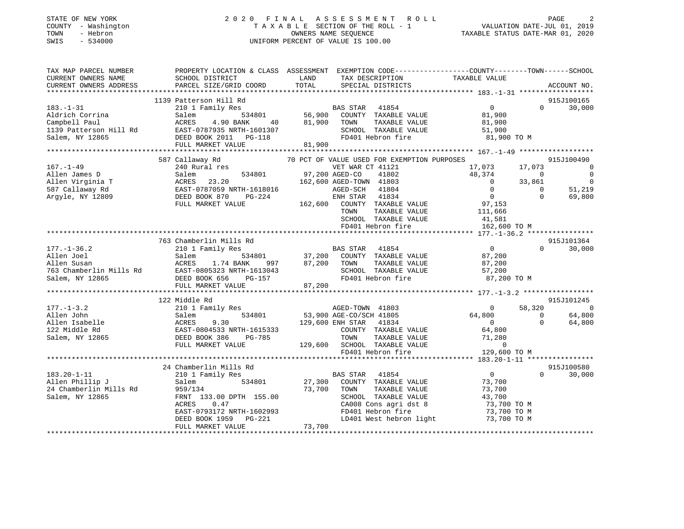### STATE OF NEW YORK 2 0 2 0 F I N A L A S S E S S M E N T R O L L PAGE 2 COUNTY - Washington T A X A B L E SECTION OF THE ROLL - 1 VALUATION DATE-JUL 01, 2019 TOWN - Hebron OWNERS NAME SEQUENCE TAXABLE STATUS DATE-MAR 01, 2020 SWIS - 534000 UNIFORM PERCENT OF VALUE IS 100.00

| TAX MAP PARCEL NUMBER<br>CURRENT OWNERS NAME                                                | SCHOOL DISTRICT                                                                                                                                                                                            | PROPERTY LOCATION & CLASS ASSESSMENT EXEMPTION CODE-----------------COUNTY--------TOWN------SCHOOL<br>LAND<br>TAX DESCRIPTION<br>TOTAL                                                                                                                                                                                                                                                                                                   | TAXABLE VALUE                                                                                                                                                                                                                                      |
|---------------------------------------------------------------------------------------------|------------------------------------------------------------------------------------------------------------------------------------------------------------------------------------------------------------|------------------------------------------------------------------------------------------------------------------------------------------------------------------------------------------------------------------------------------------------------------------------------------------------------------------------------------------------------------------------------------------------------------------------------------------|----------------------------------------------------------------------------------------------------------------------------------------------------------------------------------------------------------------------------------------------------|
| CURRENT OWNERS ADDRESS                                                                      | PARCEL SIZE/GRID COORD                                                                                                                                                                                     | SPECIAL DISTRICTS                                                                                                                                                                                                                                                                                                                                                                                                                        | ACCOUNT NO.                                                                                                                                                                                                                                        |
|                                                                                             | 1139 Patterson Hill Rd                                                                                                                                                                                     |                                                                                                                                                                                                                                                                                                                                                                                                                                          | 915J100165                                                                                                                                                                                                                                         |
| $183. - 1 - 31$<br>Aldrich Corrina<br>Campbell Paul                                         | 210 1 Family Res<br>Salem<br>ACRES                                                                                                                                                                         | Family Res<br>534801 56,900 COUNTY TAXABLE VALUE<br>4.90 BANK 40 56,900 COUNTY TAXABLE VALUE<br>107025 NTERN 16666626                                                                                                                                                                                                                                                                                                                    | $\Omega$<br>$\overline{0}$<br>30,000<br>81,900<br>81,900                                                                                                                                                                                           |
| 1139 Patterson Hill Rd<br>Salem, NY 12865                                                   | EAST-0787935 NRTH-1601307<br>FULL MARKET VALUE                                                                                                                                                             | SCHOOL TAXABLE VALUE<br>FD401 Hebron fire<br>81,900                                                                                                                                                                                                                                                                                                                                                                                      | 51,900<br>81,900 TO M                                                                                                                                                                                                                              |
|                                                                                             |                                                                                                                                                                                                            |                                                                                                                                                                                                                                                                                                                                                                                                                                          |                                                                                                                                                                                                                                                    |
|                                                                                             | 587 Callaway Rd                                                                                                                                                                                            | 70 PCT OF VALUE USED FOR EXEMPTION PURPOSES                                                                                                                                                                                                                                                                                                                                                                                              | 915J100490                                                                                                                                                                                                                                         |
| $167. - 1 - 49$<br>Allen James D<br>Allen Virginia T<br>587 Callaway Rd<br>Argyle, NY 12809 | 240 Rural res<br>Salem<br>Salem 534801 97,200 AGED-CO 41802<br>ACRES 23.20 162,600 AGED-TOWN 41803<br>EAST-0787059 NRTH-1618016 AGED-SCH 41804<br>DEED BOOK 870 PG-224 ENH STAR 41834<br>FULL MARKET VALUE | VET WAR CT 41121<br>534801 97,200 AGED-CO 41802<br>162,600 AGED-TOWN 41803<br>162,600 COUNTY TAXABLE VALUE<br>TOWN<br>TAXABLE VALUE<br>SCHOOL TAXABLE VALUE<br>FD401 Hebron fire                                                                                                                                                                                                                                                         | 17,073<br>17,073<br>- 0<br>48,374<br>$\overline{0}$<br>$\overline{0}$<br>$\overline{0}$<br>$\overline{0}$<br>33,861<br>51,219<br>$\overline{0}$<br>$\Omega$<br>$\overline{0}$<br>69,800<br>$\Omega$<br>97,153<br>111,666<br>41,581<br>162,600 TO M |
|                                                                                             |                                                                                                                                                                                                            |                                                                                                                                                                                                                                                                                                                                                                                                                                          |                                                                                                                                                                                                                                                    |
|                                                                                             | 763 Chamberlin Mills Rd                                                                                                                                                                                    | 177.-1-36.2 $\begin{array}{@{}lllllllllll@{}}\text{763} \text{ Chamberlin Mils Rd} & \text{BAS STAR} & \text{41854} \\\text{Allen Joel} & \text{210} & \text{534801} & \text{37,200} & \text{COUNTY} & \text{TAXABLE VALUE} \\\text{Allen Susan} & \text{ACRES} & 1.74 BANK & 997 & 87,200 & \text{TOWN} & \text{TAXABLE VALUE} \\\text{763} \text{ Chamberlin Mils Rd} & \text{EAST-0805323 NRTH-1613043} & \text{SCHOOL TAXABLE VALUE$ | 915J101364<br>$\overline{0}$<br>$\Omega$<br>30,000<br>87,200<br>87,200<br>87,200<br>57,200<br>87,200 TO M                                                                                                                                          |
|                                                                                             |                                                                                                                                                                                                            |                                                                                                                                                                                                                                                                                                                                                                                                                                          |                                                                                                                                                                                                                                                    |
| $177. - 1 - 3.2$<br>Allen John<br>Allen Isabelle<br>122 Middle Rd<br>Salem, NY 12865        | 122 Middle Rd<br>210 1 Family Res<br>534801<br>Salem<br>ACRES 9.30<br>EAST-0804533 NRTH-1615333<br>DEED BOOK 386<br>PG-785                                                                                 | AGED-TOWN 41803<br>53,900 AGE-CO/SCH 41805<br>129,600 ENH STAR 41834<br>COUNTY TAXABLE VALUE<br>TOWN<br>TAXABLE VALUE                                                                                                                                                                                                                                                                                                                    | 915J101245<br>58,320<br>$\overline{0}$<br>$\overline{0}$<br>64,800<br>$\overline{0}$<br>64,800<br>$\Omega$<br>64,800<br>$\overline{0}$<br>64,800<br>71,280                                                                                         |
|                                                                                             | FULL MARKET VALUE                                                                                                                                                                                          | 129,600 SCHOOL TAXABLE VALUE<br>FD401 Hebron fire                                                                                                                                                                                                                                                                                                                                                                                        | 71,280<br>0<br>129,600 TO M                                                                                                                                                                                                                        |
|                                                                                             |                                                                                                                                                                                                            |                                                                                                                                                                                                                                                                                                                                                                                                                                          |                                                                                                                                                                                                                                                    |
| $183.20 - 1 - 11$<br>Allen Phillip J<br>24 Chamberlin Mills Rd<br>Salem, NY 12865           | 24 Chamberlin Mills Rd<br>210 1 Family Res<br>534801<br>Salem<br>959/134<br>FRNT 133.00 DPTH 155.00<br>ACRES<br>0.47<br>EAST-0793172 NRTH-1602993<br>DEED BOOK 1959 PG-221                                 | BAS STAR 41854<br>27,300 COUNTY TAXABLE VALUE<br>73,700 TOWN<br>TAXABLE VALUE<br>SCHOOL TAXABLE VALUE<br>CAUU8 CONS agri dst 8<br>FD401 Hebron fire<br>LD401 West hebron light                                                                                                                                                                                                                                                           | 915J100580<br>$\overline{0}$<br>$\Omega$<br>30,000<br>73,700<br>73,700<br>43,700<br>73,700 TO M<br>73,700 TO M                                                                                                                                     |
|                                                                                             | FULL MARKET VALUE                                                                                                                                                                                          | 73,700                                                                                                                                                                                                                                                                                                                                                                                                                                   | 73,700 TO M                                                                                                                                                                                                                                        |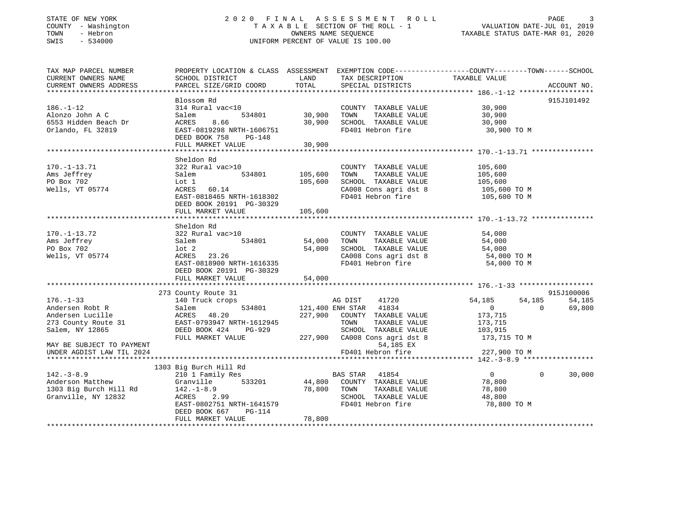### STATE OF NEW YORK 2 0 2 0 F I N A L A S S E S S M E N T R O L L PAGE 3 COUNTY - Washington T A X A B L E SECTION OF THE ROLL - 1 VALUATION DATE-JUL 01, 2019 TOWN - Hebron OWNERS NAME SEQUENCE TAXABLE STATUS DATE-MAR 01, 2020 SWIS - 534000 UNIFORM PERCENT OF VALUE IS 100.00

| CURRENT OWNERS NAME<br>SCHOOL DISTRICT<br>TAXABLE VALUE<br>LAND<br>TAX DESCRIPTION<br>TOTAL<br>CURRENT OWNERS ADDRESS<br>PARCEL SIZE/GRID COORD<br>SPECIAL DISTRICTS<br>Blossom Rd<br>$186. - 1 - 12$<br>314 Rural vac<10<br>COUNTY TAXABLE VALUE<br>30,900<br>,<br>534801 30,900<br>Alonzo John A C<br>TAXABLE VALUE<br>30,900<br>TOWN<br>Salem<br>SCHOOL TAXABLE VALUE<br>6553 Hidden Beach Dr<br>ACRES<br>8.66<br>30,900<br>30,900<br>Orlando, FL 32819<br>EAST-0819298 NRTH-1606751<br>FD401 Hebron fire<br>30,900 TO M<br>DEED BOOK 758<br>PG-148<br>FULL MARKET VALUE<br>30,900<br>************<br>*******************************<br>Sheldon Rd<br>$170. - 1 - 13.71$<br>322 Rural vac>10<br>COUNTY TAXABLE VALUE<br>105,600<br>534801<br>Ams Jeffrey<br>105,600<br>TOWN<br>TAXABLE VALUE<br>105,600<br>Salem<br>SCHOOL TAXABLE VALUE 105,600<br>PO Box 702<br>Lot 1<br>105,600<br>Wells, VT 05774<br>ACRES 60.14<br>105,600 TO M | ACCOUNT NO.<br>915J101492 |
|------------------------------------------------------------------------------------------------------------------------------------------------------------------------------------------------------------------------------------------------------------------------------------------------------------------------------------------------------------------------------------------------------------------------------------------------------------------------------------------------------------------------------------------------------------------------------------------------------------------------------------------------------------------------------------------------------------------------------------------------------------------------------------------------------------------------------------------------------------------------------------------------------------------------------------------|---------------------------|
|                                                                                                                                                                                                                                                                                                                                                                                                                                                                                                                                                                                                                                                                                                                                                                                                                                                                                                                                          |                           |
|                                                                                                                                                                                                                                                                                                                                                                                                                                                                                                                                                                                                                                                                                                                                                                                                                                                                                                                                          |                           |
|                                                                                                                                                                                                                                                                                                                                                                                                                                                                                                                                                                                                                                                                                                                                                                                                                                                                                                                                          |                           |
|                                                                                                                                                                                                                                                                                                                                                                                                                                                                                                                                                                                                                                                                                                                                                                                                                                                                                                                                          |                           |
|                                                                                                                                                                                                                                                                                                                                                                                                                                                                                                                                                                                                                                                                                                                                                                                                                                                                                                                                          |                           |
|                                                                                                                                                                                                                                                                                                                                                                                                                                                                                                                                                                                                                                                                                                                                                                                                                                                                                                                                          |                           |
|                                                                                                                                                                                                                                                                                                                                                                                                                                                                                                                                                                                                                                                                                                                                                                                                                                                                                                                                          |                           |
|                                                                                                                                                                                                                                                                                                                                                                                                                                                                                                                                                                                                                                                                                                                                                                                                                                                                                                                                          |                           |
|                                                                                                                                                                                                                                                                                                                                                                                                                                                                                                                                                                                                                                                                                                                                                                                                                                                                                                                                          |                           |
|                                                                                                                                                                                                                                                                                                                                                                                                                                                                                                                                                                                                                                                                                                                                                                                                                                                                                                                                          |                           |
|                                                                                                                                                                                                                                                                                                                                                                                                                                                                                                                                                                                                                                                                                                                                                                                                                                                                                                                                          |                           |
|                                                                                                                                                                                                                                                                                                                                                                                                                                                                                                                                                                                                                                                                                                                                                                                                                                                                                                                                          |                           |
|                                                                                                                                                                                                                                                                                                                                                                                                                                                                                                                                                                                                                                                                                                                                                                                                                                                                                                                                          |                           |
|                                                                                                                                                                                                                                                                                                                                                                                                                                                                                                                                                                                                                                                                                                                                                                                                                                                                                                                                          |                           |
|                                                                                                                                                                                                                                                                                                                                                                                                                                                                                                                                                                                                                                                                                                                                                                                                                                                                                                                                          |                           |
|                                                                                                                                                                                                                                                                                                                                                                                                                                                                                                                                                                                                                                                                                                                                                                                                                                                                                                                                          |                           |
|                                                                                                                                                                                                                                                                                                                                                                                                                                                                                                                                                                                                                                                                                                                                                                                                                                                                                                                                          |                           |
|                                                                                                                                                                                                                                                                                                                                                                                                                                                                                                                                                                                                                                                                                                                                                                                                                                                                                                                                          |                           |
| CA008 Cons agri dst 8<br>FD401 Hebron fire<br>105,600 TO M<br>EAST-0818465 NRTH-1618302                                                                                                                                                                                                                                                                                                                                                                                                                                                                                                                                                                                                                                                                                                                                                                                                                                                  |                           |
| DEED BOOK 20191 PG-30329                                                                                                                                                                                                                                                                                                                                                                                                                                                                                                                                                                                                                                                                                                                                                                                                                                                                                                                 |                           |
| 105,600<br>FULL MARKET VALUE                                                                                                                                                                                                                                                                                                                                                                                                                                                                                                                                                                                                                                                                                                                                                                                                                                                                                                             |                           |
|                                                                                                                                                                                                                                                                                                                                                                                                                                                                                                                                                                                                                                                                                                                                                                                                                                                                                                                                          |                           |
|                                                                                                                                                                                                                                                                                                                                                                                                                                                                                                                                                                                                                                                                                                                                                                                                                                                                                                                                          |                           |
| Sheldon Rd                                                                                                                                                                                                                                                                                                                                                                                                                                                                                                                                                                                                                                                                                                                                                                                                                                                                                                                               |                           |
| $170. - 1 - 13.72$<br>322 Rural vac>10<br>COUNTY TAXABLE VALUE 54,000                                                                                                                                                                                                                                                                                                                                                                                                                                                                                                                                                                                                                                                                                                                                                                                                                                                                    |                           |
| Ams Jeffrey<br>534801<br>54,000<br>TOWN<br>TAXABLE VALUE<br>54,000<br>Salem                                                                                                                                                                                                                                                                                                                                                                                                                                                                                                                                                                                                                                                                                                                                                                                                                                                              |                           |
| 54,000<br>SCHOOL TAXABLE VALUE<br>CRAOS GODA DOM: Act 8 54,000<br>PO Box 702<br>lot 2<br>54,000                                                                                                                                                                                                                                                                                                                                                                                                                                                                                                                                                                                                                                                                                                                                                                                                                                          |                           |
| Wells, VT 05774<br>ACRES 23.26<br>54,000 TO M                                                                                                                                                                                                                                                                                                                                                                                                                                                                                                                                                                                                                                                                                                                                                                                                                                                                                            |                           |
| CA008 Cons agri dst 8<br>FD401 Hebron fire<br>EAST-0818900 NRTH-1616335<br>54,000 TO M                                                                                                                                                                                                                                                                                                                                                                                                                                                                                                                                                                                                                                                                                                                                                                                                                                                   |                           |
|                                                                                                                                                                                                                                                                                                                                                                                                                                                                                                                                                                                                                                                                                                                                                                                                                                                                                                                                          |                           |
| DEED BOOK 20191 PG-30329                                                                                                                                                                                                                                                                                                                                                                                                                                                                                                                                                                                                                                                                                                                                                                                                                                                                                                                 |                           |
| FULL MARKET VALUE<br>54,000                                                                                                                                                                                                                                                                                                                                                                                                                                                                                                                                                                                                                                                                                                                                                                                                                                                                                                              |                           |
|                                                                                                                                                                                                                                                                                                                                                                                                                                                                                                                                                                                                                                                                                                                                                                                                                                                                                                                                          |                           |
| 273 County Route 31                                                                                                                                                                                                                                                                                                                                                                                                                                                                                                                                                                                                                                                                                                                                                                                                                                                                                                                      | 915J100006                |
| $176. - 1 - 33$<br>54,185<br>140 Truck crops<br>AG DIST<br>41720<br>54,185                                                                                                                                                                                                                                                                                                                                                                                                                                                                                                                                                                                                                                                                                                                                                                                                                                                               | 54,185                    |
| 121,400 ENH STAR 41834<br>Andersen Robt R<br>534801<br>$\overline{0}$<br>$\Omega$<br>Salem                                                                                                                                                                                                                                                                                                                                                                                                                                                                                                                                                                                                                                                                                                                                                                                                                                               | 69,800                    |
| 227,900 COUNTY TAXABLE VALUE<br>173,715<br>Andersen Lucille                                                                                                                                                                                                                                                                                                                                                                                                                                                                                                                                                                                                                                                                                                                                                                                                                                                                              |                           |
| ACRES 48.20<br>31 EAST-0793947 NRTH-1612945<br>TAXABLE VALUE<br>273 County Route 31<br>TOWN<br>173,715                                                                                                                                                                                                                                                                                                                                                                                                                                                                                                                                                                                                                                                                                                                                                                                                                                   |                           |
|                                                                                                                                                                                                                                                                                                                                                                                                                                                                                                                                                                                                                                                                                                                                                                                                                                                                                                                                          |                           |
| Salem, NY 12865<br>DEED BOOK 424 PG-929<br>SCHOOL TAXABLE VALUE<br>103,915                                                                                                                                                                                                                                                                                                                                                                                                                                                                                                                                                                                                                                                                                                                                                                                                                                                               |                           |
| 227,900 CA008 Cons agri dst 8<br>FULL MARKET VALUE<br>173,715 TO M                                                                                                                                                                                                                                                                                                                                                                                                                                                                                                                                                                                                                                                                                                                                                                                                                                                                       |                           |
| 54,185 EX<br>MAY BE SUBJECT TO PAYMENT                                                                                                                                                                                                                                                                                                                                                                                                                                                                                                                                                                                                                                                                                                                                                                                                                                                                                                   |                           |
| FD401 Hebron fire<br>227,900 TO M<br>UNDER AGDIST LAW TIL 2024                                                                                                                                                                                                                                                                                                                                                                                                                                                                                                                                                                                                                                                                                                                                                                                                                                                                           |                           |
|                                                                                                                                                                                                                                                                                                                                                                                                                                                                                                                                                                                                                                                                                                                                                                                                                                                                                                                                          |                           |
| 1303 Big Burch Hill Rd                                                                                                                                                                                                                                                                                                                                                                                                                                                                                                                                                                                                                                                                                                                                                                                                                                                                                                                   |                           |
| $142. - 3 - 8.9$<br>210 1 Family Res<br>BAS STAR 41854<br>$\overline{0}$<br>$\Omega$                                                                                                                                                                                                                                                                                                                                                                                                                                                                                                                                                                                                                                                                                                                                                                                                                                                     | 30,000                    |
| 533201<br>44,800 COUNTY TAXABLE VALUE                                                                                                                                                                                                                                                                                                                                                                                                                                                                                                                                                                                                                                                                                                                                                                                                                                                                                                    |                           |
| Anderson Matthew<br>1303 Big Burch Hill Rd<br>Granville<br>78,800                                                                                                                                                                                                                                                                                                                                                                                                                                                                                                                                                                                                                                                                                                                                                                                                                                                                        |                           |
| $142.-1-8.9$<br>78,800<br>TAXABLE VALUE<br>78,800<br>TOWN                                                                                                                                                                                                                                                                                                                                                                                                                                                                                                                                                                                                                                                                                                                                                                                                                                                                                |                           |
| Granville, NY 12832<br>ACRES 2.99<br>SCHOOL TAXABLE VALUE<br>48,800                                                                                                                                                                                                                                                                                                                                                                                                                                                                                                                                                                                                                                                                                                                                                                                                                                                                      |                           |
| EAST-0802751 NRTH-1641579<br>FD401 Hebron fire<br>78,800 TO M                                                                                                                                                                                                                                                                                                                                                                                                                                                                                                                                                                                                                                                                                                                                                                                                                                                                            |                           |
| DEED BOOK 667<br>$PG-114$                                                                                                                                                                                                                                                                                                                                                                                                                                                                                                                                                                                                                                                                                                                                                                                                                                                                                                                |                           |
| 78,800<br>FULL MARKET VALUE                                                                                                                                                                                                                                                                                                                                                                                                                                                                                                                                                                                                                                                                                                                                                                                                                                                                                                              |                           |
|                                                                                                                                                                                                                                                                                                                                                                                                                                                                                                                                                                                                                                                                                                                                                                                                                                                                                                                                          |                           |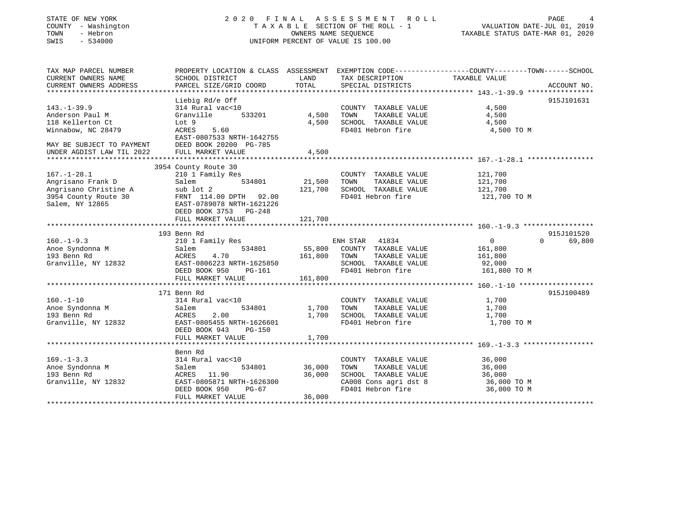### STATE OF NEW YORK 2 0 2 0 F I N A L A S S E S S M E N T R O L L PAGE 4COUNTY - Washington T A X A B L E SECTION OF THE ROLL - 1 VALUATION DATE-JUL 01, 2019 OWNERS NAME SEQUENCE TAXABLE STATUS DATE-MAR 01, 2020 SWIS - 534000 UNIFORM PERCENT OF VALUE IS 100.00

# VALUATION DATE-JUL 01, 2019

| TAX MAP PARCEL NUMBER<br>CURRENT OWNERS NAME<br>CURRENT OWNERS ADDRESS | PROPERTY LOCATION & CLASS ASSESSMENT EXEMPTION CODE----------------COUNTY-------TOWN------SCHOOL<br>SCHOOL DISTRICT<br>PARCEL SIZE/GRID COORD | LAND<br>TOTAL | TAX DESCRIPTION<br>SPECIAL DISTRICTS       | TAXABLE VALUE              | ACCOUNT NO. |
|------------------------------------------------------------------------|-----------------------------------------------------------------------------------------------------------------------------------------------|---------------|--------------------------------------------|----------------------------|-------------|
|                                                                        |                                                                                                                                               |               |                                            |                            |             |
|                                                                        | Liebig Rd/e Off                                                                                                                               |               |                                            |                            | 915J101631  |
| $143. - 1 - 39.9$                                                      | 314 Rural vac<10                                                                                                                              |               | COUNTY TAXABLE VALUE                       | 4,500                      |             |
| Anderson Paul M                                                        | 533201<br>Granville                                                                                                                           | 4,500         | TAXABLE VALUE<br>TOWN                      | 4,500                      |             |
| 118 Kellerton Ct                                                       | Lot 9                                                                                                                                         | 4,500         | SCHOOL TAXABLE VALUE                       | 4,500                      |             |
| Winnabow, NC 28479                                                     | ACRES<br>5.60                                                                                                                                 |               | FD401 Hebron fire                          | 4,500 TO M                 |             |
|                                                                        | EAST-0807533 NRTH-1642755                                                                                                                     |               |                                            |                            |             |
| MAY BE SUBJECT TO PAYMENT                                              | DEED BOOK 20200 PG-785                                                                                                                        |               |                                            |                            |             |
| UNDER AGDIST LAW TIL 2022                                              | FULL MARKET VALUE                                                                                                                             | 4,500         |                                            |                            |             |
|                                                                        |                                                                                                                                               |               |                                            |                            |             |
|                                                                        | 3954 County Route 30                                                                                                                          |               |                                            |                            |             |
| $167. - 1 - 28.1$                                                      |                                                                                                                                               |               |                                            | 121,700                    |             |
|                                                                        | 210 1 Family Res<br>534801                                                                                                                    |               | COUNTY TAXABLE VALUE                       |                            |             |
| Angrisano Frank D                                                      | Salem                                                                                                                                         | 21,500        | TAXABLE VALUE<br>TOWN                      | 121,700                    |             |
| Angrisano Christine A                                                  | sub lot 2                                                                                                                                     | 121,700       | SCHOOL TAXABLE VALUE                       | 121,700                    |             |
| 3954 County Route 30                                                   | FRNT 114.00 DPTH 92.00                                                                                                                        |               | FD401 Hebron fire                          | 121,700 TO M               |             |
| Salem, NY 12865                                                        | EAST-0789078 NRTH-1621226                                                                                                                     |               |                                            |                            |             |
|                                                                        | DEED BOOK 3753 PG-248                                                                                                                         |               |                                            |                            |             |
|                                                                        | FULL MARKET VALUE                                                                                                                             | 121,700       |                                            |                            |             |
|                                                                        |                                                                                                                                               |               |                                            |                            |             |
|                                                                        | 193 Benn Rd                                                                                                                                   |               |                                            |                            | 915J101520  |
| $160. - 1 - 9.3$                                                       | 210 1 Family Res                                                                                                                              |               | ENH STAR 41834                             | $\overline{0}$<br>$\Omega$ | 69,800      |
| Anoe Syndonna M                                                        | 534801<br>Salem                                                                                                                               |               | 55,800 COUNTY TAXABLE VALUE                | 161,800                    |             |
| 193 Benn Rd                                                            | ACRES<br>4.70                                                                                                                                 | 161,800       | TOWN<br>TAXABLE VALUE                      | 161,800                    |             |
| Granville, NY 12832                                                    | EAST-0806223 NRTH-1625850                                                                                                                     |               | SCHOOL TAXABLE VALUE                       | 92,000                     |             |
|                                                                        | DEED BOOK 950<br>PG-161                                                                                                                       |               | FD401 Hebron fire                          | 161,800 TO M               |             |
|                                                                        | FULL MARKET VALUE                                                                                                                             | 161,800       |                                            |                            |             |
|                                                                        |                                                                                                                                               |               |                                            |                            |             |
|                                                                        | 171 Benn Rd                                                                                                                                   |               |                                            |                            | 915J100489  |
| $160. - 1 - 10$                                                        | 314 Rural vac<10                                                                                                                              |               | COUNTY TAXABLE VALUE                       | 1,700                      |             |
| Anoe Syndonna M                                                        | 534801<br>Salem                                                                                                                               | 1,700         | TOWN<br>TAXABLE VALUE                      | 1,700                      |             |
| 193 Benn Rd                                                            | 2.00<br>ACRES                                                                                                                                 | 1,700         | SCHOOL TAXABLE VALUE                       | 1,700                      |             |
| Granville, NY 12832                                                    | EAST-0805455 NRTH-1626601                                                                                                                     |               | FD401 Hebron fire                          | 1,700 TO M                 |             |
|                                                                        | DEED BOOK 943<br>PG-150                                                                                                                       |               |                                            |                            |             |
|                                                                        | FULL MARKET VALUE                                                                                                                             | 1,700         |                                            |                            |             |
|                                                                        |                                                                                                                                               |               |                                            |                            |             |
|                                                                        | Benn Rd                                                                                                                                       |               |                                            |                            |             |
| $169. - 1 - 3.3$                                                       | 314 Rural vac<10                                                                                                                              |               | COUNTY TAXABLE VALUE                       | 36,000                     |             |
| Anoe Syndonna M                                                        | 534801                                                                                                                                        | 36,000        | TOWN<br>TAXABLE VALUE                      | 36,000                     |             |
| 193 Benn Rd                                                            | Salem<br>ACRES 11.90                                                                                                                          | 36,000        | SCHOOL TAXABLE VALUE                       | 36,000                     |             |
|                                                                        |                                                                                                                                               |               |                                            |                            |             |
| Granville, NY 12832                                                    | EAST-0805871 NRTH-1626300                                                                                                                     |               | CA008 Cons agri dst 8<br>FD401 Hebron fire | 36,000 TO M                |             |
|                                                                        | DEED BOOK 950<br>$PG-67$                                                                                                                      |               |                                            | 36,000 TO M                |             |
|                                                                        | FULL MARKET VALUE                                                                                                                             | 36,000        |                                            |                            |             |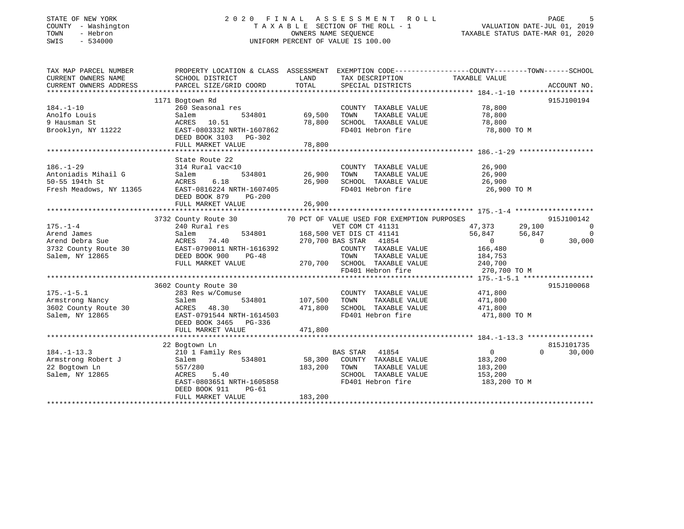### STATE OF NEW YORK 2 0 2 0 F I N A L A S S E S S M E N T R O L L PAGE 5 COUNTY - Washington T A X A B L E SECTION OF THE ROLL - 1 VALUATION DATE-JUL 01, 2019 TOWN - Hebron OWNERS NAME SEQUENCE TAXABLE STATUS DATE-MAR 01, 2020 SWIS - 534000 UNIFORM PERCENT OF VALUE IS 100.00

| TAXABLE VALUE<br>CURRENT OWNERS NAME<br>SCHOOL DISTRICT<br>LAND<br>TAX DESCRIPTION<br>TOTAL<br>PARCEL SIZE/GRID COORD<br>CURRENT OWNERS ADDRESS<br>SPECIAL DISTRICTS<br>ACCOUNT NO.<br>1171 Bogtown Rd<br>915J100194<br>78,800<br>$184. - 1 - 10$<br>260 Seasonal res<br>COUNTY TAXABLE VALUE<br>69,500<br>534801<br>78,800<br>Anolfo Louis<br>Salem<br>TOWN<br>TAXABLE VALUE<br>SCHOOL TAXABLE VALUE<br>9 Hausman St<br>ACRES 10.51<br>78,800<br>78,800<br>EAST-0803332 NRTH-1607862<br>FD401 Hebron fire<br>Brooklyn, NY 11222<br>78,800 TO M<br>DEED BOOK 3103 PG-302<br>FULL MARKET VALUE<br>78,800<br>State Route 22<br>314 Rural vac<10<br>COUNTY TAXABLE VALUE<br>26,900<br>186.-1-29<br>Antoniadis Mihail G<br>50-55 194th St<br>534801<br>TAXABLE VALUE<br>26,900<br>Salem<br>26,900 SCHOOL TAXABLE VALUE 26,900<br>6.18<br>ACRES<br>FD401 Hebron fire 26,900 TO M<br>Fresh Meadows, NY 11365<br>EAST-0816224 NRTH-1607405<br>DEED BOOK 879<br>PG-200<br>FULL MARKET VALUE<br>26,900<br>3732 County Route 30 70 PCT OF VALUE USED FOR EXEMPTION PURPOSES<br>915J100142<br>47,373 29,100<br>VET COM CT 41131<br>$175. - 1 - 4$<br>240 Rural res<br>$\overline{\phantom{0}}$<br>al res<br>534801 168,500 VET DIS CT 41141<br>- 534801 270 700 BAS STAR 41854<br>$\overline{0}$<br>56,847<br>56,847<br>Arend James<br>Salem<br>Arend Debra Sue<br>ACRES 74.40<br>$\overline{0}$<br>30,000<br>$\overline{0}$<br>3732 County Route 30 EAST-0790011 NRTH-1616392<br>COUNTY TAXABLE VALUE<br>166,480<br>Salem, NY 12865<br>DEED BOOK 900<br>$PG-48$<br>TOWN<br>TAXABLE VALUE<br>184,753<br>270,700 SCHOOL TAXABLE VALUE 240,700<br>FULL MARKET VALUE<br>FD401 Hebron fire<br>270,700 TO M<br>915J100068<br>3602 County Route 30<br>$175. - 1 - 5.1$<br>COUNTY TAXABLE VALUE 471,800<br>283 Res w/Comuse<br>$534801$ 107,500 TOWN<br>TAXABLE VALUE<br>471,800<br>Armstrong Nancy<br>Salem<br>3602 County Route 30<br>48.30<br>471,800<br>SCHOOL TAXABLE VALUE 471,800<br>ACRES<br>Salem, NY 12865<br>EAST-0791544 NRTH-1614503<br>FD401 Hebron fire<br>471,800 TO M<br>DEED BOOK 3465 PG-336<br>471,800<br>FULL MARKET VALUE<br>815J101735<br>22 Bogtown Ln<br>30,000<br><b>BAS STAR</b> 41854<br>$0 \qquad \qquad$<br>$\Omega$<br>210 1 Family Res<br>58,300 COUNTY TAXABLE VALUE<br>Armstrong Robert J<br>534801<br>183,200<br>Salem<br>183,200 TOWN<br>22 Bogtown Ln<br>557/280<br>TAXABLE VALUE<br>183,200<br>Salem, NY 12865<br>ACRES 5.40<br>SCHOOL TAXABLE VALUE<br>153,200<br>EAST-0803651 NRTH-1605858<br>FD401 Hebron fire<br>183,200 TO M<br>DEED BOOK 911<br>PG-61<br>183,200<br>FULL MARKET VALUE | TAX MAP PARCEL NUMBER |  | PROPERTY LOCATION & CLASS ASSESSMENT EXEMPTION CODE---------------COUNTY-------TOWN-----SCHOOL |
|-----------------------------------------------------------------------------------------------------------------------------------------------------------------------------------------------------------------------------------------------------------------------------------------------------------------------------------------------------------------------------------------------------------------------------------------------------------------------------------------------------------------------------------------------------------------------------------------------------------------------------------------------------------------------------------------------------------------------------------------------------------------------------------------------------------------------------------------------------------------------------------------------------------------------------------------------------------------------------------------------------------------------------------------------------------------------------------------------------------------------------------------------------------------------------------------------------------------------------------------------------------------------------------------------------------------------------------------------------------------------------------------------------------------------------------------------------------------------------------------------------------------------------------------------------------------------------------------------------------------------------------------------------------------------------------------------------------------------------------------------------------------------------------------------------------------------------------------------------------------------------------------------------------------------------------------------------------------------------------------------------------------------------------------------------------------------------------------------------------------------------------------------------------------------------------------------------------------------------------------------------------------------------------------------------------------------------------------------------------------------------------------------------------------------------------------------------------------------------------------------------------------------------------------------------------------------------------------------------------------|-----------------------|--|------------------------------------------------------------------------------------------------|
|                                                                                                                                                                                                                                                                                                                                                                                                                                                                                                                                                                                                                                                                                                                                                                                                                                                                                                                                                                                                                                                                                                                                                                                                                                                                                                                                                                                                                                                                                                                                                                                                                                                                                                                                                                                                                                                                                                                                                                                                                                                                                                                                                                                                                                                                                                                                                                                                                                                                                                                                                                                                                 |                       |  |                                                                                                |
|                                                                                                                                                                                                                                                                                                                                                                                                                                                                                                                                                                                                                                                                                                                                                                                                                                                                                                                                                                                                                                                                                                                                                                                                                                                                                                                                                                                                                                                                                                                                                                                                                                                                                                                                                                                                                                                                                                                                                                                                                                                                                                                                                                                                                                                                                                                                                                                                                                                                                                                                                                                                                 |                       |  |                                                                                                |
|                                                                                                                                                                                                                                                                                                                                                                                                                                                                                                                                                                                                                                                                                                                                                                                                                                                                                                                                                                                                                                                                                                                                                                                                                                                                                                                                                                                                                                                                                                                                                                                                                                                                                                                                                                                                                                                                                                                                                                                                                                                                                                                                                                                                                                                                                                                                                                                                                                                                                                                                                                                                                 |                       |  |                                                                                                |
|                                                                                                                                                                                                                                                                                                                                                                                                                                                                                                                                                                                                                                                                                                                                                                                                                                                                                                                                                                                                                                                                                                                                                                                                                                                                                                                                                                                                                                                                                                                                                                                                                                                                                                                                                                                                                                                                                                                                                                                                                                                                                                                                                                                                                                                                                                                                                                                                                                                                                                                                                                                                                 |                       |  |                                                                                                |
|                                                                                                                                                                                                                                                                                                                                                                                                                                                                                                                                                                                                                                                                                                                                                                                                                                                                                                                                                                                                                                                                                                                                                                                                                                                                                                                                                                                                                                                                                                                                                                                                                                                                                                                                                                                                                                                                                                                                                                                                                                                                                                                                                                                                                                                                                                                                                                                                                                                                                                                                                                                                                 |                       |  |                                                                                                |
|                                                                                                                                                                                                                                                                                                                                                                                                                                                                                                                                                                                                                                                                                                                                                                                                                                                                                                                                                                                                                                                                                                                                                                                                                                                                                                                                                                                                                                                                                                                                                                                                                                                                                                                                                                                                                                                                                                                                                                                                                                                                                                                                                                                                                                                                                                                                                                                                                                                                                                                                                                                                                 |                       |  |                                                                                                |
|                                                                                                                                                                                                                                                                                                                                                                                                                                                                                                                                                                                                                                                                                                                                                                                                                                                                                                                                                                                                                                                                                                                                                                                                                                                                                                                                                                                                                                                                                                                                                                                                                                                                                                                                                                                                                                                                                                                                                                                                                                                                                                                                                                                                                                                                                                                                                                                                                                                                                                                                                                                                                 |                       |  |                                                                                                |
|                                                                                                                                                                                                                                                                                                                                                                                                                                                                                                                                                                                                                                                                                                                                                                                                                                                                                                                                                                                                                                                                                                                                                                                                                                                                                                                                                                                                                                                                                                                                                                                                                                                                                                                                                                                                                                                                                                                                                                                                                                                                                                                                                                                                                                                                                                                                                                                                                                                                                                                                                                                                                 |                       |  |                                                                                                |
|                                                                                                                                                                                                                                                                                                                                                                                                                                                                                                                                                                                                                                                                                                                                                                                                                                                                                                                                                                                                                                                                                                                                                                                                                                                                                                                                                                                                                                                                                                                                                                                                                                                                                                                                                                                                                                                                                                                                                                                                                                                                                                                                                                                                                                                                                                                                                                                                                                                                                                                                                                                                                 |                       |  |                                                                                                |
|                                                                                                                                                                                                                                                                                                                                                                                                                                                                                                                                                                                                                                                                                                                                                                                                                                                                                                                                                                                                                                                                                                                                                                                                                                                                                                                                                                                                                                                                                                                                                                                                                                                                                                                                                                                                                                                                                                                                                                                                                                                                                                                                                                                                                                                                                                                                                                                                                                                                                                                                                                                                                 |                       |  |                                                                                                |
|                                                                                                                                                                                                                                                                                                                                                                                                                                                                                                                                                                                                                                                                                                                                                                                                                                                                                                                                                                                                                                                                                                                                                                                                                                                                                                                                                                                                                                                                                                                                                                                                                                                                                                                                                                                                                                                                                                                                                                                                                                                                                                                                                                                                                                                                                                                                                                                                                                                                                                                                                                                                                 |                       |  |                                                                                                |
|                                                                                                                                                                                                                                                                                                                                                                                                                                                                                                                                                                                                                                                                                                                                                                                                                                                                                                                                                                                                                                                                                                                                                                                                                                                                                                                                                                                                                                                                                                                                                                                                                                                                                                                                                                                                                                                                                                                                                                                                                                                                                                                                                                                                                                                                                                                                                                                                                                                                                                                                                                                                                 | $186. - 1 - 29$       |  |                                                                                                |
|                                                                                                                                                                                                                                                                                                                                                                                                                                                                                                                                                                                                                                                                                                                                                                                                                                                                                                                                                                                                                                                                                                                                                                                                                                                                                                                                                                                                                                                                                                                                                                                                                                                                                                                                                                                                                                                                                                                                                                                                                                                                                                                                                                                                                                                                                                                                                                                                                                                                                                                                                                                                                 |                       |  |                                                                                                |
|                                                                                                                                                                                                                                                                                                                                                                                                                                                                                                                                                                                                                                                                                                                                                                                                                                                                                                                                                                                                                                                                                                                                                                                                                                                                                                                                                                                                                                                                                                                                                                                                                                                                                                                                                                                                                                                                                                                                                                                                                                                                                                                                                                                                                                                                                                                                                                                                                                                                                                                                                                                                                 |                       |  |                                                                                                |
|                                                                                                                                                                                                                                                                                                                                                                                                                                                                                                                                                                                                                                                                                                                                                                                                                                                                                                                                                                                                                                                                                                                                                                                                                                                                                                                                                                                                                                                                                                                                                                                                                                                                                                                                                                                                                                                                                                                                                                                                                                                                                                                                                                                                                                                                                                                                                                                                                                                                                                                                                                                                                 |                       |  |                                                                                                |
|                                                                                                                                                                                                                                                                                                                                                                                                                                                                                                                                                                                                                                                                                                                                                                                                                                                                                                                                                                                                                                                                                                                                                                                                                                                                                                                                                                                                                                                                                                                                                                                                                                                                                                                                                                                                                                                                                                                                                                                                                                                                                                                                                                                                                                                                                                                                                                                                                                                                                                                                                                                                                 |                       |  |                                                                                                |
|                                                                                                                                                                                                                                                                                                                                                                                                                                                                                                                                                                                                                                                                                                                                                                                                                                                                                                                                                                                                                                                                                                                                                                                                                                                                                                                                                                                                                                                                                                                                                                                                                                                                                                                                                                                                                                                                                                                                                                                                                                                                                                                                                                                                                                                                                                                                                                                                                                                                                                                                                                                                                 |                       |  |                                                                                                |
|                                                                                                                                                                                                                                                                                                                                                                                                                                                                                                                                                                                                                                                                                                                                                                                                                                                                                                                                                                                                                                                                                                                                                                                                                                                                                                                                                                                                                                                                                                                                                                                                                                                                                                                                                                                                                                                                                                                                                                                                                                                                                                                                                                                                                                                                                                                                                                                                                                                                                                                                                                                                                 |                       |  |                                                                                                |
|                                                                                                                                                                                                                                                                                                                                                                                                                                                                                                                                                                                                                                                                                                                                                                                                                                                                                                                                                                                                                                                                                                                                                                                                                                                                                                                                                                                                                                                                                                                                                                                                                                                                                                                                                                                                                                                                                                                                                                                                                                                                                                                                                                                                                                                                                                                                                                                                                                                                                                                                                                                                                 |                       |  |                                                                                                |
|                                                                                                                                                                                                                                                                                                                                                                                                                                                                                                                                                                                                                                                                                                                                                                                                                                                                                                                                                                                                                                                                                                                                                                                                                                                                                                                                                                                                                                                                                                                                                                                                                                                                                                                                                                                                                                                                                                                                                                                                                                                                                                                                                                                                                                                                                                                                                                                                                                                                                                                                                                                                                 |                       |  |                                                                                                |
|                                                                                                                                                                                                                                                                                                                                                                                                                                                                                                                                                                                                                                                                                                                                                                                                                                                                                                                                                                                                                                                                                                                                                                                                                                                                                                                                                                                                                                                                                                                                                                                                                                                                                                                                                                                                                                                                                                                                                                                                                                                                                                                                                                                                                                                                                                                                                                                                                                                                                                                                                                                                                 |                       |  |                                                                                                |
|                                                                                                                                                                                                                                                                                                                                                                                                                                                                                                                                                                                                                                                                                                                                                                                                                                                                                                                                                                                                                                                                                                                                                                                                                                                                                                                                                                                                                                                                                                                                                                                                                                                                                                                                                                                                                                                                                                                                                                                                                                                                                                                                                                                                                                                                                                                                                                                                                                                                                                                                                                                                                 |                       |  |                                                                                                |
|                                                                                                                                                                                                                                                                                                                                                                                                                                                                                                                                                                                                                                                                                                                                                                                                                                                                                                                                                                                                                                                                                                                                                                                                                                                                                                                                                                                                                                                                                                                                                                                                                                                                                                                                                                                                                                                                                                                                                                                                                                                                                                                                                                                                                                                                                                                                                                                                                                                                                                                                                                                                                 |                       |  |                                                                                                |
|                                                                                                                                                                                                                                                                                                                                                                                                                                                                                                                                                                                                                                                                                                                                                                                                                                                                                                                                                                                                                                                                                                                                                                                                                                                                                                                                                                                                                                                                                                                                                                                                                                                                                                                                                                                                                                                                                                                                                                                                                                                                                                                                                                                                                                                                                                                                                                                                                                                                                                                                                                                                                 |                       |  |                                                                                                |
|                                                                                                                                                                                                                                                                                                                                                                                                                                                                                                                                                                                                                                                                                                                                                                                                                                                                                                                                                                                                                                                                                                                                                                                                                                                                                                                                                                                                                                                                                                                                                                                                                                                                                                                                                                                                                                                                                                                                                                                                                                                                                                                                                                                                                                                                                                                                                                                                                                                                                                                                                                                                                 |                       |  |                                                                                                |
|                                                                                                                                                                                                                                                                                                                                                                                                                                                                                                                                                                                                                                                                                                                                                                                                                                                                                                                                                                                                                                                                                                                                                                                                                                                                                                                                                                                                                                                                                                                                                                                                                                                                                                                                                                                                                                                                                                                                                                                                                                                                                                                                                                                                                                                                                                                                                                                                                                                                                                                                                                                                                 |                       |  |                                                                                                |
|                                                                                                                                                                                                                                                                                                                                                                                                                                                                                                                                                                                                                                                                                                                                                                                                                                                                                                                                                                                                                                                                                                                                                                                                                                                                                                                                                                                                                                                                                                                                                                                                                                                                                                                                                                                                                                                                                                                                                                                                                                                                                                                                                                                                                                                                                                                                                                                                                                                                                                                                                                                                                 |                       |  |                                                                                                |
|                                                                                                                                                                                                                                                                                                                                                                                                                                                                                                                                                                                                                                                                                                                                                                                                                                                                                                                                                                                                                                                                                                                                                                                                                                                                                                                                                                                                                                                                                                                                                                                                                                                                                                                                                                                                                                                                                                                                                                                                                                                                                                                                                                                                                                                                                                                                                                                                                                                                                                                                                                                                                 |                       |  |                                                                                                |
|                                                                                                                                                                                                                                                                                                                                                                                                                                                                                                                                                                                                                                                                                                                                                                                                                                                                                                                                                                                                                                                                                                                                                                                                                                                                                                                                                                                                                                                                                                                                                                                                                                                                                                                                                                                                                                                                                                                                                                                                                                                                                                                                                                                                                                                                                                                                                                                                                                                                                                                                                                                                                 |                       |  |                                                                                                |
|                                                                                                                                                                                                                                                                                                                                                                                                                                                                                                                                                                                                                                                                                                                                                                                                                                                                                                                                                                                                                                                                                                                                                                                                                                                                                                                                                                                                                                                                                                                                                                                                                                                                                                                                                                                                                                                                                                                                                                                                                                                                                                                                                                                                                                                                                                                                                                                                                                                                                                                                                                                                                 |                       |  |                                                                                                |
|                                                                                                                                                                                                                                                                                                                                                                                                                                                                                                                                                                                                                                                                                                                                                                                                                                                                                                                                                                                                                                                                                                                                                                                                                                                                                                                                                                                                                                                                                                                                                                                                                                                                                                                                                                                                                                                                                                                                                                                                                                                                                                                                                                                                                                                                                                                                                                                                                                                                                                                                                                                                                 |                       |  |                                                                                                |
|                                                                                                                                                                                                                                                                                                                                                                                                                                                                                                                                                                                                                                                                                                                                                                                                                                                                                                                                                                                                                                                                                                                                                                                                                                                                                                                                                                                                                                                                                                                                                                                                                                                                                                                                                                                                                                                                                                                                                                                                                                                                                                                                                                                                                                                                                                                                                                                                                                                                                                                                                                                                                 |                       |  |                                                                                                |
|                                                                                                                                                                                                                                                                                                                                                                                                                                                                                                                                                                                                                                                                                                                                                                                                                                                                                                                                                                                                                                                                                                                                                                                                                                                                                                                                                                                                                                                                                                                                                                                                                                                                                                                                                                                                                                                                                                                                                                                                                                                                                                                                                                                                                                                                                                                                                                                                                                                                                                                                                                                                                 |                       |  |                                                                                                |
|                                                                                                                                                                                                                                                                                                                                                                                                                                                                                                                                                                                                                                                                                                                                                                                                                                                                                                                                                                                                                                                                                                                                                                                                                                                                                                                                                                                                                                                                                                                                                                                                                                                                                                                                                                                                                                                                                                                                                                                                                                                                                                                                                                                                                                                                                                                                                                                                                                                                                                                                                                                                                 |                       |  |                                                                                                |
|                                                                                                                                                                                                                                                                                                                                                                                                                                                                                                                                                                                                                                                                                                                                                                                                                                                                                                                                                                                                                                                                                                                                                                                                                                                                                                                                                                                                                                                                                                                                                                                                                                                                                                                                                                                                                                                                                                                                                                                                                                                                                                                                                                                                                                                                                                                                                                                                                                                                                                                                                                                                                 |                       |  |                                                                                                |
|                                                                                                                                                                                                                                                                                                                                                                                                                                                                                                                                                                                                                                                                                                                                                                                                                                                                                                                                                                                                                                                                                                                                                                                                                                                                                                                                                                                                                                                                                                                                                                                                                                                                                                                                                                                                                                                                                                                                                                                                                                                                                                                                                                                                                                                                                                                                                                                                                                                                                                                                                                                                                 | $184. - 1 - 13.3$     |  |                                                                                                |
|                                                                                                                                                                                                                                                                                                                                                                                                                                                                                                                                                                                                                                                                                                                                                                                                                                                                                                                                                                                                                                                                                                                                                                                                                                                                                                                                                                                                                                                                                                                                                                                                                                                                                                                                                                                                                                                                                                                                                                                                                                                                                                                                                                                                                                                                                                                                                                                                                                                                                                                                                                                                                 |                       |  |                                                                                                |
|                                                                                                                                                                                                                                                                                                                                                                                                                                                                                                                                                                                                                                                                                                                                                                                                                                                                                                                                                                                                                                                                                                                                                                                                                                                                                                                                                                                                                                                                                                                                                                                                                                                                                                                                                                                                                                                                                                                                                                                                                                                                                                                                                                                                                                                                                                                                                                                                                                                                                                                                                                                                                 |                       |  |                                                                                                |
|                                                                                                                                                                                                                                                                                                                                                                                                                                                                                                                                                                                                                                                                                                                                                                                                                                                                                                                                                                                                                                                                                                                                                                                                                                                                                                                                                                                                                                                                                                                                                                                                                                                                                                                                                                                                                                                                                                                                                                                                                                                                                                                                                                                                                                                                                                                                                                                                                                                                                                                                                                                                                 |                       |  |                                                                                                |
|                                                                                                                                                                                                                                                                                                                                                                                                                                                                                                                                                                                                                                                                                                                                                                                                                                                                                                                                                                                                                                                                                                                                                                                                                                                                                                                                                                                                                                                                                                                                                                                                                                                                                                                                                                                                                                                                                                                                                                                                                                                                                                                                                                                                                                                                                                                                                                                                                                                                                                                                                                                                                 |                       |  |                                                                                                |
|                                                                                                                                                                                                                                                                                                                                                                                                                                                                                                                                                                                                                                                                                                                                                                                                                                                                                                                                                                                                                                                                                                                                                                                                                                                                                                                                                                                                                                                                                                                                                                                                                                                                                                                                                                                                                                                                                                                                                                                                                                                                                                                                                                                                                                                                                                                                                                                                                                                                                                                                                                                                                 |                       |  |                                                                                                |
|                                                                                                                                                                                                                                                                                                                                                                                                                                                                                                                                                                                                                                                                                                                                                                                                                                                                                                                                                                                                                                                                                                                                                                                                                                                                                                                                                                                                                                                                                                                                                                                                                                                                                                                                                                                                                                                                                                                                                                                                                                                                                                                                                                                                                                                                                                                                                                                                                                                                                                                                                                                                                 |                       |  |                                                                                                |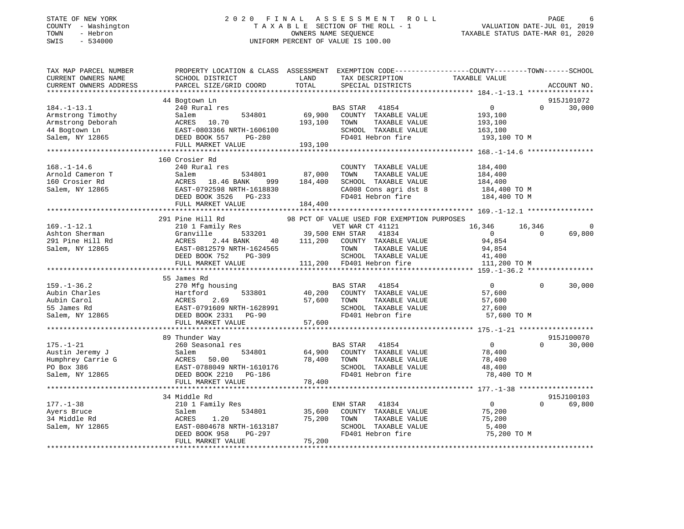### STATE OF NEW YORK 2 0 2 0 F I N A L A S S E S S M E N T R O L L PAGE 6 COUNTY - Washington T A X A B L E SECTION OF THE ROLL - 1 VALUATION DATE-JUL 01, 2019 TOWN - Hebron OWNERS NAME SEQUENCE TAXABLE STATUS DATE-MAR 01, 2020 SWIS - 534000 UNIFORM PERCENT OF VALUE IS 100.00

| TAX MAP PARCEL NUMBER<br>CURRENT OWNERS NAME<br>CURRENT OWNERS ADDRESS<br>************************* | PROPERTY LOCATION & CLASS ASSESSMENT EXEMPTION CODE----------------COUNTY-------TOWN------SCHOOL<br>SCHOOL DISTRICT<br>PARCEL SIZE/GRID COORD            | LAND<br>TOTAL                | TAX DESCRIPTION<br>SPECIAL DISTRICTS                                                                                                                       | TAXABLE VALUE                                                          |                    | ACCOUNT NO.          |
|-----------------------------------------------------------------------------------------------------|----------------------------------------------------------------------------------------------------------------------------------------------------------|------------------------------|------------------------------------------------------------------------------------------------------------------------------------------------------------|------------------------------------------------------------------------|--------------------|----------------------|
|                                                                                                     |                                                                                                                                                          |                              |                                                                                                                                                            |                                                                        |                    |                      |
| $184. - 1 - 13.1$<br>Armstrong Timothy<br>Armstrong Deborah<br>44 Bogtown Ln<br>Salem, NY 12865     | 44 Bogtown Ln<br>240 Rural res<br>534801<br>Salem<br>ACRES 10.70<br>EAST-0803366 NRTH-1606100<br>DEED BOOK 557<br>PG-280<br>FULL MARKET VALUE            | 69,900<br>193,100<br>193,100 | <b>BAS STAR</b><br>41854<br>COUNTY TAXABLE VALUE<br>TAXABLE VALUE<br>TOWN<br>SCHOOL TAXABLE VALUE<br>FD401 Hebron fire                                     | $\overline{0}$<br>193,100<br>193,100<br>163,100<br>193,100 TO M        | $\Omega$           | 915J101072<br>30,000 |
|                                                                                                     |                                                                                                                                                          |                              |                                                                                                                                                            |                                                                        |                    |                      |
| $168. - 1 - 14.6$<br>Arnold Cameron T<br>160 Crosier Rd<br>Salem, NY 12865                          | 160 Crosier Rd<br>240 Rural res<br>Salem<br>534801<br>ACRES 18.46 BANK<br>999<br>EAST-0792598 NRTH-1618830<br>DEED BOOK 3526 PG-233<br>FULL MARKET VALUE | 87,000<br>184,400<br>184,400 | COUNTY TAXABLE VALUE<br>TOWN<br>TAXABLE VALUE<br>SCHOOL TAXABLE VALUE<br>CA008 Cons agri dst 8<br>FD401 Hebron fire                                        | 184,400<br>184,400<br>184,400<br>184,400 TO M<br>184,400 TO M          |                    |                      |
|                                                                                                     | 291 Pine Hill Rd                                                                                                                                         |                              | 98 PCT OF VALUE USED FOR EXEMPTION PURPOSES                                                                                                                |                                                                        |                    |                      |
| $169. - 1 - 12.1$<br>Ashton Sherman<br>291 Pine Hill Rd<br>Salem, NY 12865                          | 210 1 Family Res<br>533201<br>Granville<br>2.44 BANK<br>ACRES<br>EAST-0812579 NRTH-1624565<br>DEED BOOK 752<br>PG-309<br>FULL MARKET VALUE               |                              | VET WAR CT 41121<br>39,500 ENH STAR 41834<br>40 111,200 COUNTY TAXABLE VALUE<br>TOWN<br>TAXABLE VALUE<br>SCHOOL TAXABLE VALUE<br>111,200 FD401 Hebron fire | 16,346<br>$\overline{0}$<br>94,854<br>94,854<br>41,400<br>111,200 TO M | 16,346<br>$\Omega$ | 69,800               |
|                                                                                                     |                                                                                                                                                          |                              |                                                                                                                                                            |                                                                        |                    |                      |
|                                                                                                     | 55 James Rd                                                                                                                                              |                              |                                                                                                                                                            |                                                                        |                    |                      |
| $159. - 1 - 36.2$<br>Aubin Charles<br>Aubin Carol<br>55 James Rd<br>Salem, NY 12865                 | 270 Mfg housing<br>533801<br>Hartford<br>ACRES<br>2.69<br>EAST-0791609 NRTH-1628991<br>DEED BOOK 2331 PG-90<br>FULL MARKET VALUE                         | 40,200<br>57,600<br>57,600   | BAS STAR 41854<br>COUNTY TAXABLE VALUE<br>TOWN<br>TAXABLE VALUE<br>SCHOOL TAXABLE VALUE<br>FD401 Hebron fire                                               | $\overline{0}$<br>57,600<br>57,600<br>27,600<br>57,600 TO M            | $\Omega$           | 30,000               |
|                                                                                                     |                                                                                                                                                          |                              |                                                                                                                                                            |                                                                        |                    |                      |
| $175. - 1 - 21$<br>Austin Jeremy J<br>Humphrey Carrie G<br>PO Box 386<br>Salem, NY 12865            | 89 Thunder Way<br>260 Seasonal res<br>Salem<br>534801<br>ACRES<br>50.00<br>EAST-0788049 NRTH-1610176<br>DEED BOOK 2210 PG-186<br>FULL MARKET VALUE       | 64,900<br>78,400<br>78,400   | <b>BAS STAR</b><br>41854<br>COUNTY TAXABLE VALUE<br>TAXABLE VALUE<br>TOWN<br>SCHOOL TAXABLE VALUE<br>FD401 Hebron fire                                     | $\overline{0}$<br>78,400<br>78,400<br>48,400<br>78,400 TO M            | $\Omega$           | 915J100070<br>30,000 |
|                                                                                                     |                                                                                                                                                          |                              |                                                                                                                                                            |                                                                        |                    |                      |
| $177. - 1 - 38$<br>Ayers Bruce<br>34 Middle Rd<br>Salem, NY 12865                                   | 34 Middle Rd<br>210 1 Family Res<br>534801<br>Salem<br>ACRES<br>1.20<br>EAST-0804678 NRTH-1613187<br>DEED BOOK 958<br>PG-297<br>FULL MARKET VALUE        | 35,600<br>75,200<br>75,200   | ENH STAR<br>41834<br>COUNTY TAXABLE VALUE<br>TOWN<br>TAXABLE VALUE<br>SCHOOL TAXABLE VALUE<br>FD401 Hebron fire                                            | $\overline{0}$<br>75,200<br>75,200<br>5,400<br>75,200 TO M             | $\Omega$           | 915J100103<br>69,800 |
|                                                                                                     |                                                                                                                                                          |                              |                                                                                                                                                            |                                                                        |                    |                      |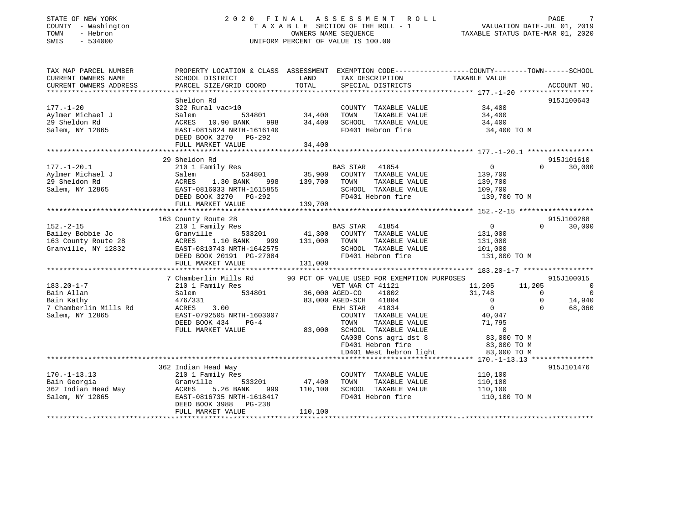### STATE OF NEW YORK 2 0 2 0 F I N A L A S S E S S M E N T R O L L PAGE 7 COUNTY - Washington T A X A B L E SECTION OF THE ROLL - 1 VALUATION DATE-JUL 01, 2019 TOWN - Hebron OWNERS NAME SEQUENCE TAXABLE STATUS DATE-MAR 01, 2020 SWIS - 534000 UNIFORM PERCENT OF VALUE IS 100.00

| TAX MAP PARCEL NUMBER<br>CURRENT OWNERS NAME<br>CURRENT OWNERS ADDRESS | SCHOOL DISTRICT<br>PARCEL SIZE/GRID COORD          | LAND<br>TOTAL  | PROPERTY LOCATION & CLASS ASSESSMENT EXEMPTION CODE----------------COUNTY-------TOWN------SCHOOL<br>TAX DESCRIPTION<br>SPECIAL DISTRICTS | TAXABLE VALUE    | ACCOUNT NO.                |
|------------------------------------------------------------------------|----------------------------------------------------|----------------|------------------------------------------------------------------------------------------------------------------------------------------|------------------|----------------------------|
|                                                                        |                                                    |                |                                                                                                                                          |                  |                            |
|                                                                        | Sheldon Rd                                         |                |                                                                                                                                          |                  | 915J100643                 |
| $177. - 1 - 20$                                                        | 322 Rural vac>10                                   |                | COUNTY TAXABLE VALUE                                                                                                                     | 34,400           |                            |
| Aylmer Michael J                                                       | 534801<br>Salem                                    | 34,400         | TOWN<br>TAXABLE VALUE                                                                                                                    | 34,400           |                            |
| 29 Sheldon Rd                                                          | ACRES 10.90 BANK                                   | 998 34,400     | SCHOOL TAXABLE VALUE                                                                                                                     | 34,400           |                            |
| Salem, NY 12865                                                        | EAST-0815824 NRTH-1616140<br>DEED BOOK 3270 PG-292 |                | FD401 Hebron fire                                                                                                                        | 34,400 TO M      |                            |
|                                                                        | FULL MARKET VALUE                                  | 34,400         |                                                                                                                                          |                  |                            |
|                                                                        |                                                    |                |                                                                                                                                          |                  |                            |
|                                                                        | 29 Sheldon Rd                                      |                |                                                                                                                                          |                  | 915J101610                 |
| $177. - 1 - 20.1$                                                      | 210 1 Family Res                                   |                | <b>BAS STAR</b><br>41854                                                                                                                 | $\overline{0}$   | $\Omega$<br>30,000         |
| Aylmer Michael J                                                       | 534801<br>Salem                                    | 35,900         | COUNTY TAXABLE VALUE                                                                                                                     | 139,700          |                            |
| 29 Sheldon Rd                                                          | 998<br>ACRES<br>1.30 BANK                          | 139,700        | TOWN<br>TAXABLE VALUE                                                                                                                    | 139,700          |                            |
| Salem, NY 12865                                                        | EAST-0816033 NRTH-1615855                          |                | SCHOOL TAXABLE VALUE                                                                                                                     | 109,700          |                            |
|                                                                        | DEED BOOK 3270 PG-292                              |                | FD401 Hebron fire                                                                                                                        | 139,700 TO M     |                            |
|                                                                        | FULL MARKET VALUE                                  | 139,700        |                                                                                                                                          |                  |                            |
|                                                                        |                                                    |                |                                                                                                                                          |                  |                            |
|                                                                        | 163 County Route 28                                |                |                                                                                                                                          |                  | 915J100288                 |
| $152. - 2 - 15$                                                        | 210 1 Family Res                                   |                | BAS STAR 41854                                                                                                                           | 0                | $\Omega$<br>30,000         |
| Bailey Bobbie Jo                                                       | Granville<br>533201                                | 41,300         | COUNTY TAXABLE VALUE                                                                                                                     | 131,000          |                            |
| 163 County Route 28                                                    | 1.10 BANK<br>ACRES<br>999                          | 131,000        | TAXABLE VALUE<br>TOWN                                                                                                                    | 131,000          |                            |
| Granville, NY 12832                                                    | EAST-0810743 NRTH-1642575                          |                | SCHOOL TAXABLE VALUE                                                                                                                     | 101,000          |                            |
|                                                                        | DEED BOOK 20191 PG-27084                           |                | FD401 Hebron fire                                                                                                                        | 131,000 TO M     |                            |
|                                                                        | FULL MARKET VALUE                                  | 131,000        |                                                                                                                                          |                  |                            |
|                                                                        |                                                    |                |                                                                                                                                          |                  |                            |
|                                                                        | 7 Chamberlin Mills Rd                              |                | 90 PCT OF VALUE USED FOR EXEMPTION PURPOSES                                                                                              |                  | 915J100015                 |
| $183.20 - 1 - 7$                                                       | 210 1 Family Res                                   |                | VET WAR CT 41121                                                                                                                         | 11,205<br>11,205 | $\overline{0}$             |
| Bain Allan                                                             | 534801<br>Salem                                    | 36,000 AGED-CO | 41802                                                                                                                                    | 31,748           | $\overline{0}$<br>$\Omega$ |
| Bain Kathy                                                             | 476/331                                            |                | 83,000 AGED-SCH 41804                                                                                                                    | $\overline{0}$   | $\mathbf 0$<br>14,940      |
| 7 Chamberlin Mills Rd                                                  | ACRES<br>3.00                                      |                | ENH STAR 41834                                                                                                                           | $\mathbf 0$      | 68,060<br>$\Omega$         |
| Salem, NY 12865                                                        | EAST-0792505 NRTH-1603007                          |                | COUNTY TAXABLE VALUE                                                                                                                     | 40,047           |                            |
|                                                                        | DEED BOOK 434<br>$PG-4$                            |                | TOWN<br>TAXABLE VALUE                                                                                                                    | 71,795           |                            |
|                                                                        | FULL MARKET VALUE                                  | 83,000         | SCHOOL TAXABLE VALUE                                                                                                                     | $\overline{0}$   |                            |
|                                                                        |                                                    |                | CA008 Cons agri dst 8                                                                                                                    | 83,000 TO M      |                            |
|                                                                        |                                                    |                | FD401 Hebron fire                                                                                                                        | 83,000 TO M      |                            |
|                                                                        |                                                    |                | LD401 West hebron light                                                                                                                  | 83,000 TO M      |                            |
|                                                                        |                                                    |                |                                                                                                                                          |                  |                            |
|                                                                        | 362 Indian Head Way                                |                |                                                                                                                                          |                  | 915J101476                 |
| $170. - 1 - 13.13$                                                     | 210 1 Family Res                                   |                | COUNTY TAXABLE VALUE                                                                                                                     | 110,100          |                            |
| Bain Georgia                                                           | Granville<br>533201                                | 47,400         | TOWN<br>TAXABLE VALUE                                                                                                                    | 110,100          |                            |
| 362 Indian Head Way                                                    | ACRES<br>5.26 BANK<br>999                          | 110,100        | SCHOOL TAXABLE VALUE                                                                                                                     | 110,100          |                            |
| Salem, NY 12865                                                        | EAST-0816735 NRTH-1618417                          |                | FD401 Hebron fire                                                                                                                        | 110,100 TO M     |                            |
|                                                                        | DEED BOOK 3988<br>PG-238                           |                |                                                                                                                                          |                  |                            |
|                                                                        | FULL MARKET VALUE                                  | 110,100        |                                                                                                                                          |                  |                            |
|                                                                        |                                                    |                |                                                                                                                                          |                  |                            |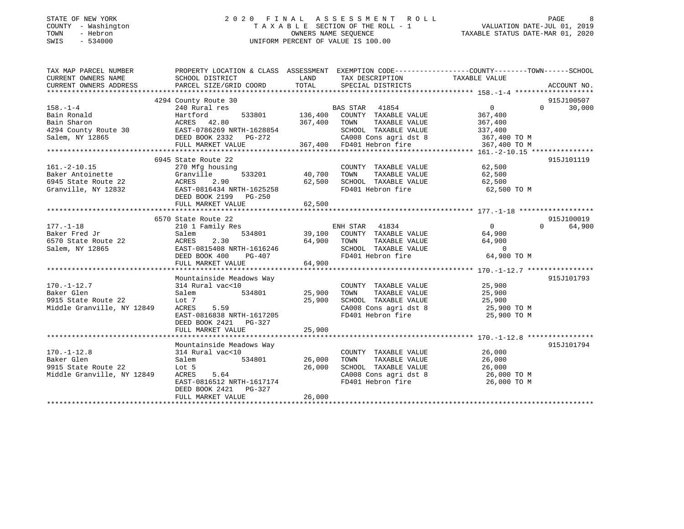### STATE OF NEW YORK 2 0 2 0 F I N A L A S S E S S M E N T R O L L PAGE 8 COUNTY - Washington T A X A B L E SECTION OF THE ROLL - 1 VALUATION DATE-JUL 01, 2019 TOWN - Hebron OWNERS NAME SEQUENCE TAXABLE STATUS DATE-MAR 01, 2020 SWIS - 534000 UNIFORM PERCENT OF VALUE IS 100.00UNIFORM PERCENT OF VALUE IS 100.00

| TAX MAP PARCEL NUMBER                                                                                                                                                                                                             | PROPERTY LOCATION & CLASS ASSESSMENT EXEMPTION CODE---------------COUNTY-------TOWN------SCHOOL |               |                                                      |                      |                    |
|-----------------------------------------------------------------------------------------------------------------------------------------------------------------------------------------------------------------------------------|-------------------------------------------------------------------------------------------------|---------------|------------------------------------------------------|----------------------|--------------------|
| CURRENT OWNERS NAME                                                                                                                                                                                                               | SCHOOL DISTRICT                                                                                 | LAND          | TAX DESCRIPTION                                      | TAXABLE VALUE        |                    |
| CURENT OWNERS ADDRESS DEARCEL SIZE/GRID COORD TOTAL SPECIAL DISTRICTS CORNERT OWNERS ADDRESS DEARCEL SIZE/GRID COORD TOTAL SPECIAL DISTRICTS ACCOUNT NO.<br>EXAMPLE SEXUAL SEXUAL SEXUAL SEXUAL SEXUAL SEXUAL SEXUAL DISTRICTS AC |                                                                                                 |               |                                                      |                      |                    |
|                                                                                                                                                                                                                                   | 4294 County Route 30                                                                            |               |                                                      |                      | 915J100507         |
| $158. - 1 - 4$                                                                                                                                                                                                                    | 240 Rural res                                                                                   |               | BAS STAR 41854                                       | $\overline{0}$       | $\Omega$<br>30,000 |
| Bain Ronald                                                                                                                                                                                                                       |                                                                                                 |               | 533801 136,400 COUNTY TAXABLE VALUE 367,400          |                      |                    |
|                                                                                                                                                                                                                                   | Harttora<br>ACRES 42.80                                                                         |               |                                                      | 367,400              |                    |
|                                                                                                                                                                                                                                   |                                                                                                 |               | SCHOOL TAXABLE VALUE 337,400                         |                      |                    |
|                                                                                                                                                                                                                                   |                                                                                                 |               | CA008 Cons agri dst 8 367,400 TO M                   |                      |                    |
|                                                                                                                                                                                                                                   |                                                                                                 |               |                                                      | 367,400 TO M         |                    |
| Bain Ronard<br>Bain Sharon<br>4294 County Route 30 EAST-0786269 NRTH-1628854 SCHOOL TAXABLE VALUE<br>Salem, NY 12865 PULL MARKET VALUE 367,400 FD401 Hebron fire<br>FULL MARKET VALUE 367,400 FD401 Hebron fire                   |                                                                                                 |               |                                                      |                      |                    |
|                                                                                                                                                                                                                                   | 6945 State Route 22                                                                             |               |                                                      |                      | 915J101119         |
| $161. - 2 - 10.15$                                                                                                                                                                                                                | 270 Mfg housing                                                                                 |               | COUNTY TAXABLE VALUE 62,500                          |                      |                    |
| Baker Antoinette                                                                                                                                                                                                                  | Granville                                                                                       | 533201 40,700 | TOWN                                                 | TAXABLE VALUE 62,500 |                    |
|                                                                                                                                                                                                                                   |                                                                                                 | 62,500        | SCHOOL TAXABLE VALUE 62,500                          |                      |                    |
|                                                                                                                                                                                                                                   |                                                                                                 |               | FD401 Hebron fire                                    | 62,500 TO M          |                    |
|                                                                                                                                                                                                                                   | DEED BOOK 2199 PG-250                                                                           |               |                                                      |                      |                    |
|                                                                                                                                                                                                                                   | FULL MARKET VALUE                                                                               | 62,500        |                                                      |                      |                    |
|                                                                                                                                                                                                                                   |                                                                                                 |               |                                                      |                      |                    |
|                                                                                                                                                                                                                                   | 6570 State Route 22                                                                             |               |                                                      |                      | 915J100019         |
| $177. - 1 - 18$                                                                                                                                                                                                                   | 210 1 Family Res                                                                                |               | ENH STAR 41834<br>534801 39,100 COUNTY TAXABLE VALUE | $\overline{0}$       | 64,900<br>$\Omega$ |
| Baker Fred Jr                                                                                                                                                                                                                     | Salem                                                                                           |               |                                                      | 64,900               |                    |
| 6570 State Route 22                                                                                                                                                                                                               | 2.30<br>ACRES                                                                                   |               | 64,900 TOWN<br>TAXABLE VALUE                         | 64,900               |                    |
| Salem, NY 12865                                                                                                                                                                                                                   |                                                                                                 |               |                                                      | $\overline{0}$       |                    |
|                                                                                                                                                                                                                                   | EAST-0815408 NRTH-1616246<br>DEED BOOK 400 PG-407                                               |               | SCHOOL TAXABLE VALUE<br>FD401 Hebron fire            | 64,900 TO M          |                    |
|                                                                                                                                                                                                                                   | FULL MARKET VALUE                                                                               | 64,900        |                                                      |                      |                    |
|                                                                                                                                                                                                                                   |                                                                                                 |               |                                                      |                      |                    |
|                                                                                                                                                                                                                                   | Mountainside Meadows Way                                                                        |               |                                                      |                      | 915J101793         |
| $170. - 1 - 12.7$                                                                                                                                                                                                                 | 314 Rural vac<10                                                                                |               | COUNTY TAXABLE VALUE 25,900                          |                      |                    |
| Baker Glen                                                                                                                                                                                                                        | 534801 25,900 TOWN<br>Salem                                                                     |               |                                                      |                      |                    |
| 9915 State Route 22                                                                                                                                                                                                               | Lot 7                                                                                           | 25,900        |                                                      |                      |                    |
| Middle Granville, NY 12849                                                                                                                                                                                                        | 5.59<br>ACRES                                                                                   |               | CA008 Cons agri dst 8 25,900 TO M                    |                      |                    |
|                                                                                                                                                                                                                                   | EAST-0816838 NRTH-1617205                                                                       |               | FD401 Hebron fire                                    | 25,900 TO M          |                    |
|                                                                                                                                                                                                                                   | DEED BOOK 2421 PG-327                                                                           |               |                                                      |                      |                    |
|                                                                                                                                                                                                                                   | FULL MARKET VALUE                                                                               | 25,900        |                                                      |                      |                    |
|                                                                                                                                                                                                                                   |                                                                                                 |               |                                                      |                      |                    |
|                                                                                                                                                                                                                                   | Mountainside Meadows Way                                                                        |               |                                                      |                      | 915J101794         |
| $170. - 1 - 12.8$                                                                                                                                                                                                                 | 314 Rural vac<10                                                                                |               | COUNTY TAXABLE VALUE                                 | 26,000<br>26.000     |                    |
| Baker Glen                                                                                                                                                                                                                        | Salem<br>534801                                                                                 | 26,000        | TAXABLE VALUE<br>TOWN                                | 26,000               |                    |
| 9915 State Route 22                                                                                                                                                                                                               | Lot 5                                                                                           | 26,000        | SCHOOL TAXABLE VALUE                                 | 26,000               |                    |
| Middle Granville, NY 12849                                                                                                                                                                                                        | 5.64<br>ACRES                                                                                   |               | CA008 Cons agri dst 8 $26,000$ TO M                  |                      |                    |
|                                                                                                                                                                                                                                   | EAST-0816512 NRTH-1617174                                                                       |               | FD401 Hebron fire                                    | 26,000 TO M          |                    |
|                                                                                                                                                                                                                                   | DEED BOOK 2421 PG-327                                                                           |               |                                                      |                      |                    |
|                                                                                                                                                                                                                                   | FULL MARKET VALUE                                                                               | 26,000        |                                                      |                      |                    |
|                                                                                                                                                                                                                                   |                                                                                                 |               |                                                      |                      |                    |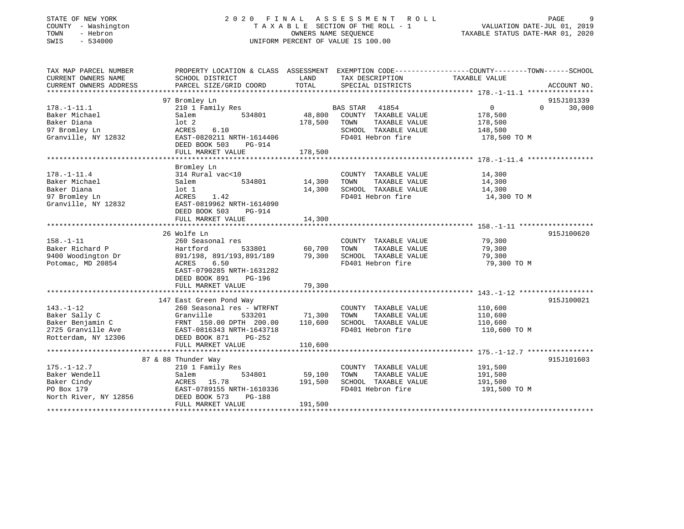### STATE OF NEW YORK 2 0 2 0 F I N A L A S S E S S M E N T R O L L PAGE 9 COUNTY - Washington T A X A B L E SECTION OF THE ROLL - 1 VALUATION DATE-JUL 01, 2019 TOWN - Hebron OWNERS NAME SEQUENCE TAXABLE STATUS DATE-MAR 01, 2020 SWIS - 534000 UNIFORM PERCENT OF VALUE IS 100.00

| TAX MAP PARCEL NUMBER<br>CURRENT OWNERS NAME | PROPERTY LOCATION & CLASS ASSESSMENT EXEMPTION CODE----------------COUNTY-------TOWN-----SCHOOL<br>SCHOOL DISTRICT | LAND<br>TOTAL                        | TAX DESCRIPTION TAXABLE VALUE                 |                  |                    |
|----------------------------------------------|--------------------------------------------------------------------------------------------------------------------|--------------------------------------|-----------------------------------------------|------------------|--------------------|
| CURRENT OWNERS ADDRESS                       | PARCEL SIZE/GRID COORD                                                                                             |                                      | SPECIAL DISTRICTS                             |                  | ACCOUNT NO.        |
|                                              | 97 Bromley Ln                                                                                                      |                                      |                                               |                  | 915J101339         |
| $178. - 1 - 11.1$                            | 210 1 Family Res                                                                                                   |                                      | <b>BAS STAR</b><br>41854                      | $\overline{0}$   | 30,000<br>$\Omega$ |
| Baker Michael                                | Salem<br>534801                                                                                                    | 48,800                               | COUNTY TAXABLE VALUE                          | 178,500          |                    |
| Baker Diana                                  | $1$ ot $2$                                                                                                         | 178,500                              | TOWN<br>TAXABLE VALUE                         | 178,500          |                    |
| 97 Bromley Ln                                | ACRES<br>6.10                                                                                                      |                                      | SCHOOL TAXABLE VALUE                          | 148,500          |                    |
| Granville, NY 12832                          | EAST-0820211 NRTH-1614406<br>DEED BOOK 503<br>PG-914                                                               |                                      | FD401 Hebron fire                             | 178,500 TO M     |                    |
|                                              |                                                                                                                    |                                      |                                               |                  |                    |
|                                              |                                                                                                                    |                                      |                                               |                  |                    |
| $178. - 1 - 11.4$                            | Bromley Ln                                                                                                         |                                      |                                               |                  |                    |
| Baker Michael                                | 314 Rural vac<10<br>Salem<br>534801                                                                                | 14,300                               | COUNTY TAXABLE VALUE<br>TAXABLE VALUE<br>TOWN | 14,300<br>14,300 |                    |
| Baker Diana                                  | lot 1                                                                                                              | 14,300                               | SCHOOL TAXABLE VALUE                          | 14,300           |                    |
| 97 Bromley Ln                                | ACRES<br>1.42                                                                                                      |                                      | FD401 Hebron fire                             | 14,300 TO M      |                    |
| Granville, NY 12832                          | EAST-0819962 NRTH-1614090<br>DEED BOOK 503<br>PG-914                                                               |                                      |                                               |                  |                    |
|                                              | FULL MARKET VALUE                                                                                                  | 14,300                               |                                               |                  |                    |
|                                              |                                                                                                                    |                                      |                                               |                  |                    |
|                                              | 26 Wolfe Ln                                                                                                        |                                      |                                               |                  | 915J100620         |
| $158. - 1 - 11$                              | 260 Seasonal res                                                                                                   |                                      | COUNTY TAXABLE VALUE                          | 79,300           |                    |
| Baker Richard P                              | Hartford                                                                                                           | з<br>533801                   60,700 | TOWN<br>TAXABLE VALUE                         | 79,300           |                    |
| 9400 Woodington Dr                           | 891/198, 891/193,891/189 79,300                                                                                    |                                      | SCHOOL TAXABLE VALUE                          | 79,300           |                    |
| Potomac, MD 20854                            | 6.50<br>ACRES<br>EAST-0790285 NRTH-1631282<br>DEED BOOK 891<br>PG-196                                              |                                      | FD401 Hebron fire                             | 79,300 TO M      |                    |
|                                              | FULL MARKET VALUE                                                                                                  | 79,300                               |                                               |                  |                    |
|                                              |                                                                                                                    |                                      |                                               |                  |                    |
|                                              | 147 East Green Pond Way                                                                                            |                                      |                                               |                  | 915J100021         |
| $143. - 1 - 12$                              | 260 Seasonal res - WTRFNT                                                                                          |                                      | COUNTY TAXABLE VALUE                          | 110,600          |                    |
| Baker Sally C                                | 533201<br>Granville                                                                                                | 71,300 TOWN                          | TAXABLE VALUE                                 | 110,600          |                    |
|                                              |                                                                                                                    | 110,600                              | SCHOOL TAXABLE VALUE 110,600                  |                  |                    |
|                                              |                                                                                                                    |                                      | FD401 Hebron fire                             | 110,600 TO M     |                    |
| Rotterdam, NY 12306                          | DEED BOOK 871<br>PG-252<br>FULL MARKET VALUE                                                                       | 110,600                              |                                               |                  |                    |
|                                              |                                                                                                                    |                                      |                                               |                  |                    |
|                                              | 87 & 88 Thunder Way                                                                                                |                                      |                                               |                  | 915J101603         |
| $175. - 1 - 12.7$                            | 210 1 Family Res                                                                                                   |                                      | COUNTY TAXABLE VALUE                          | 191,500          |                    |
| Baker Wendell                                | Salem<br>534801                                                                                                    | 59,100                               | TAXABLE VALUE<br>TOWN                         | 191,500          |                    |
| Baker Cindy                                  | ACRES 15.78                                                                                                        | 191,500                              | SCHOOL TAXABLE VALUE                          | 191,500          |                    |
| PO Box 179                                   | EAST-0789155 NRTH-1610336                                                                                          |                                      | FD401 Hebron fire                             | 191,500 TO M     |                    |
| North River, NY 12856                        | DEED BOOK 573<br><b>PG-188</b>                                                                                     |                                      |                                               |                  |                    |
|                                              | FULL MARKET VALUE                                                                                                  | 191,500                              |                                               |                  |                    |
|                                              |                                                                                                                    |                                      |                                               |                  |                    |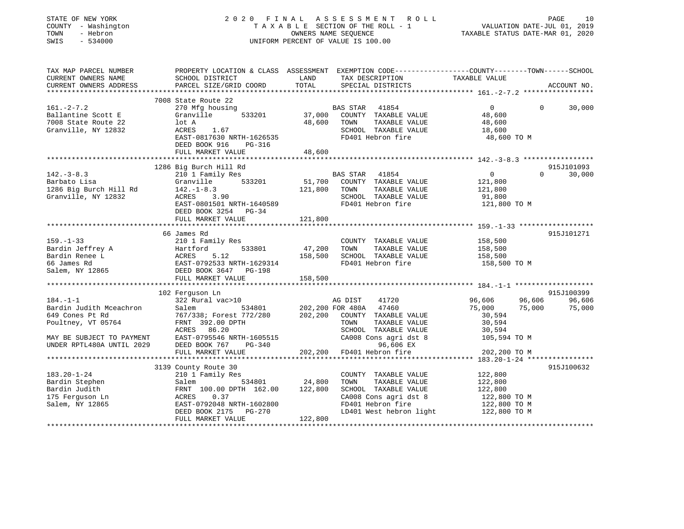| STATE OF NEW YORK<br>COUNTY - Washington<br>TOWN<br>- Hebron<br>SWIS<br>$-534000$ | 2020 FINAL ASSESSMENT ROLL<br>TAXABLE SECTION OF THE ROLL - 1<br>OWNERS NAME SEQUENCE<br>UNIFORM PERCENT OF VALUE IS 100.00 |               |                                      | PAGE<br>10<br>VALUATION DATE-JUL 01, 2019<br>TAXABLE STATUS DATE-MAR 01, 2020 |                    |  |
|-----------------------------------------------------------------------------------|-----------------------------------------------------------------------------------------------------------------------------|---------------|--------------------------------------|-------------------------------------------------------------------------------|--------------------|--|
| TAX MAP PARCEL NUMBER                                                             | PROPERTY LOCATION & CLASS ASSESSMENT EXEMPTION CODE----------------COUNTY-------TOWN-----SCHOOL                             |               |                                      |                                                                               |                    |  |
| CURRENT OWNERS NAME<br>CURRENT OWNERS ADDRESS<br>**********************           | SCHOOL DISTRICT<br>PARCEL SIZE/GRID COORD                                                                                   | LAND<br>TOTAL | TAX DESCRIPTION<br>SPECIAL DISTRICTS | TAXABLE VALUE                                                                 | ACCOUNT NO.        |  |
|                                                                                   | 7008 State Route 22                                                                                                         |               |                                      |                                                                               |                    |  |
| $161 - 2 - 7.2$                                                                   | 270 Mfg housing                                                                                                             |               | BAS STAR<br>41854                    | $\overline{0}$                                                                | $\Omega$<br>30,000 |  |
| Ballantine Scott E                                                                | Granville<br>533201                                                                                                         | 37,000        | COUNTY TAXABLE VALUE                 | 48,600                                                                        |                    |  |
| 7008 State Route 22                                                               | lot A                                                                                                                       | 48,600        | TOWN<br>TAXABLE VALUE                | 48,600                                                                        |                    |  |
| Granville, NY 12832                                                               | 1.67<br>ACRES                                                                                                               |               | SCHOOL TAXABLE VALUE                 | 18,600                                                                        |                    |  |
|                                                                                   | EAST-0817630 NRTH-1626535                                                                                                   |               | FD401 Hebron fire                    | 48,600 TO M                                                                   |                    |  |
|                                                                                   | DEED BOOK 916<br>PG-316<br>FULL MARKET VALUE                                                                                | 48,600        |                                      |                                                                               |                    |  |
|                                                                                   |                                                                                                                             |               |                                      |                                                                               |                    |  |
|                                                                                   | 1286 Big Burch Hill Rd                                                                                                      |               |                                      |                                                                               | 915J101093         |  |
| $142.-3-8.3$                                                                      | 210 1 Family Res                                                                                                            |               | BAS STAR 41854                       | $\Omega$                                                                      | $\Omega$<br>30,000 |  |
| Barbato Lisa                                                                      | 533201<br>Granville                                                                                                         | 51,700        | COUNTY TAXABLE VALUE                 | 121,800                                                                       |                    |  |
| 1286 Big Burch Hill Rd                                                            | $142. - 1 - 8.3$                                                                                                            | 121,800       | TOWN<br>TAXABLE VALUE                | 121,800                                                                       |                    |  |
| Granville, NY 12832                                                               | ACRES<br>3.90                                                                                                               |               | SCHOOL TAXABLE VALUE                 | 91,800                                                                        |                    |  |
|                                                                                   | EAST-0801501 NRTH-1640589                                                                                                   |               | FD401 Hebron fire                    | 121,800 TO M                                                                  |                    |  |
|                                                                                   | DEED BOOK 3254 PG-34                                                                                                        |               |                                      |                                                                               |                    |  |
|                                                                                   | FULL MARKET VALUE                                                                                                           | 121,800       |                                      |                                                                               |                    |  |
|                                                                                   | 66 James Rd                                                                                                                 |               |                                      |                                                                               | 915J101271         |  |
| $159. - 1 - 33$                                                                   | 210 1 Family Res                                                                                                            |               | COUNTY TAXABLE VALUE                 | 158,500                                                                       |                    |  |
| Bardin Jeffrey A                                                                  |                                                                                                                             | 47,200        | TOWN<br>TAXABLE VALUE                | 158,500                                                                       |                    |  |
| Bardin Renee L                                                                    |                                                                                                                             | 158,500       | SCHOOL TAXABLE VALUE                 | 158,500                                                                       |                    |  |
| 66 James Rd                                                                       |                                                                                                                             |               | FD401 Hebron fire                    | 158,500 TO M                                                                  |                    |  |
| Salem, NY 12865                                                                   | Hartford 533801<br>ACRES 5.12<br>EAST-0792533 NRTH-1629314<br>DEED BOOK 3647 PG-198                                         |               |                                      |                                                                               |                    |  |
|                                                                                   | FULL MARKET VALUE                                                                                                           | 158,500       |                                      |                                                                               |                    |  |
|                                                                                   | ******************************                                                                                              |               |                                      |                                                                               |                    |  |
|                                                                                   | 102 Ferguson Ln                                                                                                             |               |                                      |                                                                               | 915J100399         |  |
| $184. - 1 - 1$                                                                    | 322 Rural vac>10                                                                                                            |               | AG DIST<br>41720                     | 96,606                                                                        | 96,606<br>96,606   |  |
| Bardin Judith Mceachron                                                           | Salem<br>534801                                                                                                             |               | 202,200 FOR 480A 47460               | 75,000                                                                        | 75,000<br>75,000   |  |
| 649 Cones Pt Rd                                                                   | 767/338; Forest 772/280                                                                                                     | 202,200       | COUNTY TAXABLE VALUE                 | 30,594                                                                        |                    |  |
| Poultney, VT 05764                                                                | FRNT 392.00 DPTH                                                                                                            |               | TAXABLE VALUE<br>TOWN                | 30,594                                                                        |                    |  |
|                                                                                   | 86.20<br>ACRES                                                                                                              |               | SCHOOL TAXABLE VALUE                 | 30,594                                                                        |                    |  |
| MAY BE SUBJECT TO PAYMENT                                                         | EAST-0795546 NRTH-1605515                                                                                                   |               | CA008 Cons agri dst 8                | 105,594 TO M                                                                  |                    |  |
| UNDER RPTL480A UNTIL 2029                                                         | DEED BOOK 767<br>PG-340                                                                                                     |               | 96,606 EX                            |                                                                               |                    |  |
|                                                                                   | FULL MARKET VALUE                                                                                                           | 202,200       | FD401 Hebron fire                    | 202,200 TO M                                                                  |                    |  |
|                                                                                   | 3139 County Route 30                                                                                                        |               |                                      |                                                                               | 915J100632         |  |
| $183.20 - 1 - 24$                                                                 | 210 1 Family Res                                                                                                            |               | COUNTY TAXABLE VALUE                 | 122,800                                                                       |                    |  |
| Bardin Stephen                                                                    |                                                                                                                             | 24,800        | TOWN<br>TAXABLE VALUE                | 122,800                                                                       |                    |  |
| Bardin Judith                                                                     | Salem 534801<br>FRNT 100.00 DPTH 162.00<br>ACRES 0.37                                                                       | 122,800       | SCHOOL TAXABLE VALUE                 | 122,800                                                                       |                    |  |
| 175 Ferguson Ln                                                                   |                                                                                                                             |               | CA008 Cons agri dst 8                | 122,800 TO M                                                                  |                    |  |
| Salem, NY 12865                                                                   | EAST-0792048 NRTH-1602800                                                                                                   |               | FD401 Hebron fire                    | 122,800 TO M                                                                  |                    |  |
|                                                                                   | DEED BOOK 2175<br>PG-270                                                                                                    |               | LD401 West hebron light              | 122,800 TO M                                                                  |                    |  |
|                                                                                   | FULL MARKET VALUE                                                                                                           | 122,800       |                                      |                                                                               |                    |  |
|                                                                                   |                                                                                                                             |               |                                      |                                                                               |                    |  |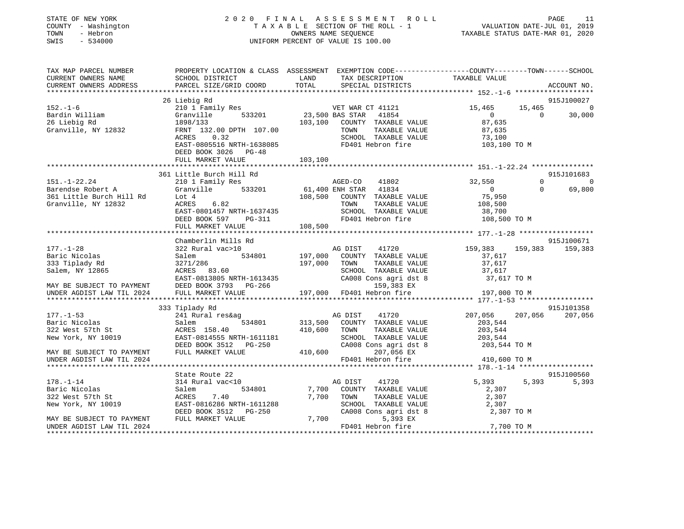| STATE OF NEW YORK<br>COUNTY - Washington<br>TOWN<br>- Hebron<br>SWIS<br>$-534000$ |                                              | 2020 FINAL ASSESSMENT ROLL<br>TAXABLE SECTION OF THE ROLL - 1<br>OWNERS NAME SEQUENCE<br>UNIFORM PERCENT OF VALUE IS 100.00 |                                                                                                                                    | PAGE 11<br>VALUATION DATE-JUL 01, 2019<br>TAXABLE STATUS DATE 115 |
|-----------------------------------------------------------------------------------|----------------------------------------------|-----------------------------------------------------------------------------------------------------------------------------|------------------------------------------------------------------------------------------------------------------------------------|-------------------------------------------------------------------|
| TAX MAP PARCEL NUMBER<br>CURRENT OWNERS NAME<br>CURRENT OWNERS ADDRESS            | SCHOOL DISTRICT<br>PARCEL SIZE/GRID COORD    | LAND<br>TOTAL<br>SPECIAL DISTRICTS                                                                                          | PROPERTY LOCATION & CLASS ASSESSMENT EXEMPTION CODE---------------COUNTY-------TOWN-----SCHOOL<br>TAX DESCRIPTION<br>TAXABLE VALUE | ACCOUNT NO.                                                       |
|                                                                                   | 26 Liebig Rd                                 |                                                                                                                             |                                                                                                                                    | 915J100027                                                        |
| $152. - 1 - 6$                                                                    | 210 1 Family Res                             | VET WAR CT 41121                                                                                                            | 15,465                                                                                                                             | 15,465<br>$\circ$                                                 |
| Bardin William                                                                    | 533201<br>Granville                          | 23,500 BAS STAR 41854                                                                                                       | $\overline{0}$                                                                                                                     | $\overline{0}$<br>30,000                                          |
| 26 Liebig Rd                                                                      | 1898/133                                     | 103,100 COUNTY TAXABLE VALUE                                                                                                | 87,635                                                                                                                             |                                                                   |
| Granville, NY 12832                                                               | FRNT 132.00 DPTH 107.00                      | TOWN                                                                                                                        | TAXABLE VALUE<br>87,635                                                                                                            |                                                                   |
|                                                                                   | ACRES 0.32                                   | SCHOOL TAXABLE VALUE                                                                                                        | 73,100                                                                                                                             |                                                                   |
|                                                                                   | EAST-0805516 NRTH-1638085                    | FD401 Hebron fire                                                                                                           | 103,100 TO M                                                                                                                       |                                                                   |
|                                                                                   | DEED BOOK 3026 PG-48<br>FULL MARKET VALUE    |                                                                                                                             |                                                                                                                                    |                                                                   |
|                                                                                   |                                              | 103,100                                                                                                                     |                                                                                                                                    |                                                                   |
|                                                                                   | 361 Little Burch Hill Rd                     |                                                                                                                             |                                                                                                                                    | 915J101683                                                        |
| $151. - 1 - 22.24$                                                                | 210 1 Family Res                             | AGED-CO<br>41802                                                                                                            | 32,550                                                                                                                             | $\mathbf 0$<br>$\overline{0}$                                     |
| Barendse Robert A                                                                 | Granville<br>533201                          | 61,400 ENH STAR 41834                                                                                                       | $\overline{0}$                                                                                                                     | $\Omega$<br>69,800                                                |
| 361 Little Burch Hill Rd                                                          | Lot 4                                        | 108,500<br>COUNTY TAXABLE VALUE                                                                                             | 75,950                                                                                                                             |                                                                   |
| Granville, NY 12832                                                               | ACRES 6.82                                   | TOWN                                                                                                                        | TAXABLE VALUE<br>108,500                                                                                                           |                                                                   |
|                                                                                   | EAST-0801457 NRTH-1637435                    | SCHOOL TAXABLE VALUE                                                                                                        | 38,700                                                                                                                             |                                                                   |
|                                                                                   | DEED BOOK 597<br>PG-311<br>FULL MARKET VALUE | FD401 Hebron fire<br>108,500                                                                                                | 108,500 TO M                                                                                                                       |                                                                   |
|                                                                                   |                                              |                                                                                                                             |                                                                                                                                    |                                                                   |
|                                                                                   | Chamberlin Mills Rd                          |                                                                                                                             |                                                                                                                                    | 915J100671                                                        |
| $177. - 1 - 28$                                                                   | 322 Rural vac>10                             | AG DIST<br>41720                                                                                                            | 159,383                                                                                                                            | 159,383 159,383                                                   |
| Baric Nicolas                                                                     | 534801<br>Salem                              | 197,000<br>COUNTY TAXABLE VALUE                                                                                             | 37,617                                                                                                                             |                                                                   |
| 333 Tiplady Rd                                                                    | 3271/286                                     | 197,000<br>TOWN                                                                                                             | TAXABLE VALUE<br>37,617                                                                                                            |                                                                   |
| Salem, NY 12865                                                                   | ACRES 83.60                                  | SCHOOL TAXABLE VALUE                                                                                                        | 37,617                                                                                                                             |                                                                   |
|                                                                                   | EAST-0813805 NRTH-1613435                    | CA008 Cons agri dst 8                                                                                                       | 37,617 TO M                                                                                                                        |                                                                   |
| MAY BE SUBJECT TO PAYMENT<br>UNDER AGDIST LAW TIL 2024                            | DEED BOOK 3793 PG-266                        |                                                                                                                             | 159,383 EX                                                                                                                         |                                                                   |
|                                                                                   | FULL MARKET VALUE                            | 197,000 FD401 Hebron fire                                                                                                   | 197,000 TO M                                                                                                                       |                                                                   |
|                                                                                   | 333 Tiplady Rd                               |                                                                                                                             |                                                                                                                                    | 915J101358                                                        |
| $177. - 1 - 53$                                                                   | 241 Rural res&ag                             | AG DIST<br>41720                                                                                                            | 207,056                                                                                                                            | 207,056 207,056                                                   |
| Baric Nicolas                                                                     | Salem 534801                                 | 313,500 COUNTY TAXABLE VALUE                                                                                                | 203,544                                                                                                                            |                                                                   |
| 322 West 57th St                                                                  | ACRES 158.40                                 | 410,600<br>TOWN                                                                                                             | TAXABLE VALUE<br>203,544                                                                                                           |                                                                   |
| New York, NY 10019                                                                | EAST-0814555 NRTH-1611181                    | SCHOOL TAXABLE VALUE                                                                                                        | 203,544                                                                                                                            |                                                                   |
|                                                                                   | DEED BOOK 3512 PG-250                        | CA008 Cons agri dst 8                                                                                                       | 203,544 TO M                                                                                                                       |                                                                   |
| MAY BE SUBJECT TO PAYMENT                                                         | FULL MARKET VALUE                            | 410,600                                                                                                                     | 207,056 EX                                                                                                                         |                                                                   |
| UNDER AGDIST LAW TIL 2024                                                         |                                              | FD401 Hebron fire                                                                                                           | 410,600 TO M                                                                                                                       |                                                                   |
|                                                                                   | State Route 22                               |                                                                                                                             |                                                                                                                                    | 915J100560                                                        |
| $178. - 1 - 14$                                                                   | 314 Rural vac<10                             | AG DIST<br>41720                                                                                                            | 5,393                                                                                                                              | 5,393<br>5,393                                                    |
| Baric Nicolas                                                                     | Salem<br>534801                              | 7,700<br>COUNTY TAXABLE VALUE                                                                                               | 2,307                                                                                                                              |                                                                   |
| 322 West 57th St                                                                  | ACRES<br>7.40                                | 7,700<br>TOWN                                                                                                               | TAXABLE VALUE<br>2,307                                                                                                             |                                                                   |
| New York, NY 10019                                                                | EAST-0816286 NRTH-1611288                    | SCHOOL TAXABLE VALUE                                                                                                        | 2,307                                                                                                                              |                                                                   |
|                                                                                   | DEED BOOK 3512 PG-250                        | CA008 Cons agri dst 8                                                                                                       |                                                                                                                                    | 2,307 TO M                                                        |
| MAY BE SUBJECT TO PAYMENT                                                         | FULL MARKET VALUE                            | 7,700                                                                                                                       | 5,393 EX                                                                                                                           |                                                                   |
| UNDER AGDIST LAW TIL 2024                                                         |                                              | FD401 Hebron fire                                                                                                           |                                                                                                                                    | 7,700 TO M                                                        |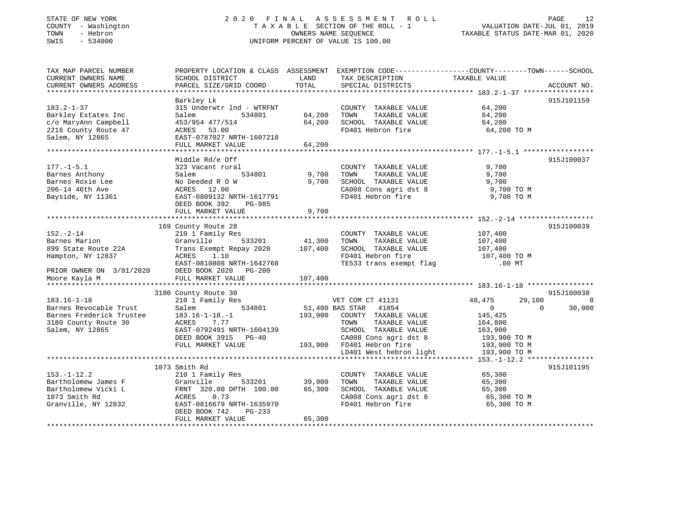### STATE OF NEW YORK 2 0 2 0 F I N A L A S S E S S M E N T R O L L PAGE 12 COUNTY - Washington T A X A B L E SECTION OF THE ROLL - 1 VALUATION DATE-JUL 01, 2019 TOWN - Hebron OWNERS NAME SEQUENCE TAXABLE STATUS DATE-MAR 01, 2020 SWIS - 534000 UNIFORM PERCENT OF VALUE IS 100.00

| TAX MAP PARCEL NUMBER<br>CURRENT OWNERS NAME<br>CURRENT OWNERS ADDRESS                                             | SCHOOL DISTRICT<br>PARCEL SIZE/GRID COORD                                                                                                                                | LAND<br>TOTAL           | TAX DESCRIPTION<br>SPECIAL DISTRICTS                                                                                                           | PROPERTY LOCATION & CLASS ASSESSMENT EXEMPTION CODE----------------COUNTY-------TOWN------SCHOOL<br>TAXABLE VALUE | ACCOUNT NO.        |
|--------------------------------------------------------------------------------------------------------------------|--------------------------------------------------------------------------------------------------------------------------------------------------------------------------|-------------------------|------------------------------------------------------------------------------------------------------------------------------------------------|-------------------------------------------------------------------------------------------------------------------|--------------------|
|                                                                                                                    |                                                                                                                                                                          |                         |                                                                                                                                                |                                                                                                                   |                    |
|                                                                                                                    | Barkley Lk                                                                                                                                                               |                         |                                                                                                                                                |                                                                                                                   | 915J101159         |
| $183.2 - 1 - 37$<br>Barkley Estates Inc<br>c/o MaryAnn Campbell                                                    | 315 Underwtr 1nd - WTRFNT<br>534801<br>Salem<br>453/954 477/514                                                                                                          | 64,200<br>64,200        | COUNTY TAXABLE VALUE<br>TOWN<br>TAXABLE VALUE<br>SCHOOL TAXABLE VALUE                                                                          | 64,200<br>64,200<br>64,200                                                                                        |                    |
| 2216 County Route 47<br>Salem, NY 12865                                                                            | 53.00<br>ACRES<br>EAST-0787027 NRTH-1607218<br>FULL MARKET VALUE                                                                                                         | 64,200                  | FD401 Hebron fire                                                                                                                              | 64,200 TO M                                                                                                       |                    |
|                                                                                                                    |                                                                                                                                                                          |                         |                                                                                                                                                |                                                                                                                   |                    |
| $177. - 1 - 5.1$<br>Barnes Anthony<br>Barnes Roxie Lee<br>206-14 46th Ave<br>Bayside, NY 11361                     | Middle Rd/e Off<br>323 Vacant rural<br>534801<br>Salem<br>No Deeded R O W<br>ACRES<br>12.00<br>EAST-0809132 NRTH-1617791<br>DEED BOOK 392<br>PG-985<br>FULL MARKET VALUE | 9,700<br>9,700<br>9,700 | COUNTY TAXABLE VALUE<br>TAXABLE VALUE<br>TOWN<br>SCHOOL TAXABLE VALUE<br>CA008 Cons agri dst 8<br>FD401 Hebron fire                            | 9,700<br>9,700<br>9,700<br>9,700 TO M<br>9,700 TO M                                                               | 915J100037         |
|                                                                                                                    | 169 County Route 28                                                                                                                                                      |                         |                                                                                                                                                |                                                                                                                   | 915J100039         |
| $152. - 2 - 14$<br>Barnes Marion<br>899 State Route 22A<br>Hampton, NY 12837<br>PRIOR OWNER ON 3/01/2020           | 210 1 Family Res<br>Granville<br>533201<br>Trans Exempt Repay 2020<br>ACRES<br>1.10<br>EAST-0810808 NRTH-1642768<br>DEED BOOK 2020<br>PG-200                             | 41,300<br>107,400       | COUNTY TAXABLE VALUE<br>TOWN<br>TAXABLE VALUE<br>SCHOOL TAXABLE VALUE<br>FD401 Hebron fire<br>TE533 trans exempt flag                          | 107,400<br>107,400<br>107,400<br>107,400 TO M<br>$.00$ MT                                                         |                    |
| Moore Kayla M                                                                                                      | FULL MARKET VALUE                                                                                                                                                        | 107,400                 |                                                                                                                                                |                                                                                                                   |                    |
|                                                                                                                    |                                                                                                                                                                          |                         |                                                                                                                                                |                                                                                                                   |                    |
|                                                                                                                    | 3180 County Route 30                                                                                                                                                     |                         |                                                                                                                                                |                                                                                                                   | 915J100038         |
| $183.16 - 1 - 18$<br>Barnes Revocable Trust<br>Barnes Frederick Trustee<br>3180 County Route 30<br>Salem, NY 12865 | 210 1 Family Res<br>534801<br>Salem<br>$183.16 - 1 - 18. - 1$<br>ACRES<br>7.77<br>EAST-0792491 NRTH-1604139<br>DEED BOOK 3915<br>$PG-40$                                 | 193,900                 | VET COM CT 41131<br>51,400 BAS STAR<br>41854<br>COUNTY TAXABLE VALUE<br>TAXABLE VALUE<br>TOWN<br>SCHOOL TAXABLE VALUE<br>CA008 Cons agri dst 8 | 29,100<br>48,475<br>$\Omega$<br>$\Omega$<br>145,425<br>164,800<br>163,900<br>193,900 TO M                         | $\Omega$<br>30,000 |
|                                                                                                                    | FULL MARKET VALUE                                                                                                                                                        | 193,900                 | FD401 Hebron fire                                                                                                                              | 193,900 TO M                                                                                                      |                    |
|                                                                                                                    |                                                                                                                                                                          |                         | LD401 West hebron light                                                                                                                        | 193,900 TO M                                                                                                      |                    |
|                                                                                                                    |                                                                                                                                                                          |                         |                                                                                                                                                |                                                                                                                   |                    |
| $153. - 1 - 12.2$<br>Bartholomew James F<br>Bartholomew Vicki L<br>1073 Smith Rd<br>Granville, NY 12832            | 1073 Smith Rd<br>210 1 Family Res<br>Granville<br>533201<br>FRNT 320.00 DPTH 100.00<br>0.73<br>ACRES<br>EAST-0816679 NRTH-1635970<br>DEED BOOK 742<br>PG-233             | 39,900<br>65,300        | COUNTY TAXABLE VALUE<br>TAXABLE VALUE<br>TOWN<br>SCHOOL TAXABLE VALUE<br>CA008 Cons agri dst 8<br>FD401 Hebron fire                            | 65,300<br>65,300<br>65,300<br>65,300 TO M<br>65,300 TO M                                                          | 915J101195         |
|                                                                                                                    | FULL MARKET VALUE                                                                                                                                                        | 65,300                  |                                                                                                                                                |                                                                                                                   |                    |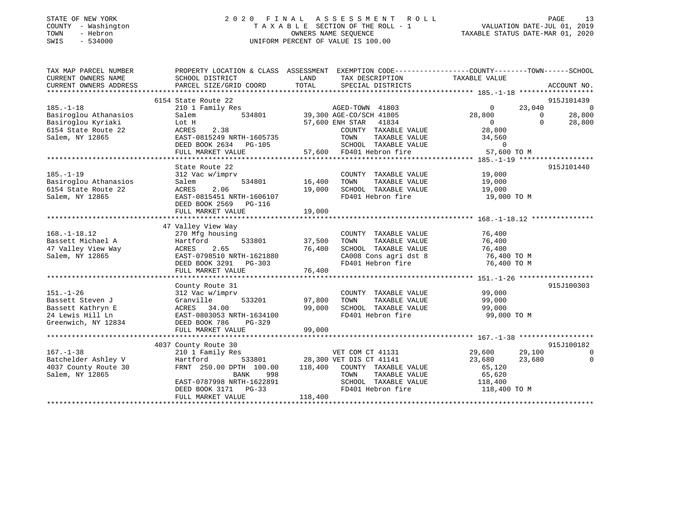| STATE OF NEW YORK |        |          |              |
|-------------------|--------|----------|--------------|
| COUNTY            |        |          | - Washington |
| TOWN              |        | - Hebron |              |
| <b>CMTC</b>       | $\sim$ | 534000   |              |

### STATE OF NEW YORK 2 0 2 0 F I N A L A S S E S S M E N T R O L L PAGE 13 COUNTY - Washington T A X A B L E SECTION OF THE ROLL - 1 VALUATION DATE-JUL 01, 2019 TOWN - Hebron OWNERS NAME SEQUENCE TAXABLE STATUS DATE-MAR 01, 2020 SWIS - 534000 UNIFORM PERCENT OF VALUE IS 100.00

| TAX MAP PARCEL NUMBER       |                                                                                                                | PROPERTY LOCATION & CLASS ASSESSMENT EXEMPTION CODE----------------COUNTY-------TOWN------SCHOOL                                                                                                                                     |                                                          |                          |
|-----------------------------|----------------------------------------------------------------------------------------------------------------|--------------------------------------------------------------------------------------------------------------------------------------------------------------------------------------------------------------------------------------|----------------------------------------------------------|--------------------------|
| CURRENT OWNERS NAME         | SCHOOL DISTRICT                                                                                                | LAND<br>TAX DESCRIPTION                                                                                                                                                                                                              | TAXABLE VALUE                                            |                          |
|                             |                                                                                                                |                                                                                                                                                                                                                                      |                                                          |                          |
|                             |                                                                                                                |                                                                                                                                                                                                                                      |                                                          |                          |
|                             | 6154 State Route 22                                                                                            | 310 1 Family Res<br>210 1 Family Res<br>534801 539,300 AGE-CO/SCH 41805 28,800 0<br>534801 57,600 ENH STAR 41834 0<br>28,800 0<br>28,800 0<br>28,800 0<br>28,800 0<br>28,800 0<br>28,800 0<br>28,800 0<br>28,800 0<br>28,800 0       |                                                          | 915J101439               |
| $185. - 1 - 18$             |                                                                                                                |                                                                                                                                                                                                                                      | 23,040                                                   | $\overline{0}$           |
| Basiroglou Athanasios Salem |                                                                                                                |                                                                                                                                                                                                                                      |                                                          | 28,800                   |
|                             |                                                                                                                |                                                                                                                                                                                                                                      |                                                          |                          |
|                             |                                                                                                                |                                                                                                                                                                                                                                      |                                                          |                          |
|                             |                                                                                                                |                                                                                                                                                                                                                                      |                                                          |                          |
|                             |                                                                                                                |                                                                                                                                                                                                                                      |                                                          |                          |
|                             |                                                                                                                |                                                                                                                                                                                                                                      |                                                          |                          |
|                             |                                                                                                                | Basin's proposed and the control of the control of the control of the control of the control of the control of the control of the control of the control of the control of the control of the control of the control of the co       |                                                          |                          |
|                             | State Route 22                                                                                                 |                                                                                                                                                                                                                                      |                                                          | 915J101440               |
| $185. - 1 - 19$             | 312 Vac w/imprv                                                                                                | COUNTY TAXABLE VALUE 19,000                                                                                                                                                                                                          |                                                          |                          |
|                             |                                                                                                                | 534801 16,400 TOWN                                                                                                                                                                                                                   |                                                          |                          |
|                             | Basiroglou Athanasios 534801<br>6154 State Route 22 16 ACRES 2.06<br>Salem, NY 12865 EAST-0815451 NRTH-1606107 | 16,400 TOWN TAXABLE VALUE 19,000<br>19,000 SCHOOL TAXABLE VALUE 19,000<br>FD401 Hebron fire 19,000 TO M                                                                                                                              |                                                          |                          |
|                             |                                                                                                                | an Salaman<br>1970 - Paris Barat Barat Barat Barat Barat Barat Barat Barat Barat Barat Barat Barat Barat Barat Barat Barat<br>1971 - Paris Barat Barat Barat Barat Barat Barat Barat Barat Barat Barat Barat Barat Barat Barat Barat |                                                          |                          |
|                             | DEED BOOK 2569 PG-116                                                                                          |                                                                                                                                                                                                                                      |                                                          |                          |
|                             | FULL MARKET VALUE                                                                                              | 19,000                                                                                                                                                                                                                               |                                                          |                          |
|                             |                                                                                                                |                                                                                                                                                                                                                                      |                                                          |                          |
|                             | 47 Valley View Way                                                                                             |                                                                                                                                                                                                                                      |                                                          |                          |
| $168. - 1 - 18.12$          | vaiicy view way<br>270 Mfg housing                                                                             | COUNTY TAXABLE VALUE 76,400                                                                                                                                                                                                          |                                                          |                          |
|                             | 270 Mfg housing<br>Hartford 533801 37,500 TOWN                                                                 |                                                                                                                                                                                                                                      |                                                          |                          |
|                             |                                                                                                                |                                                                                                                                                                                                                                      |                                                          |                          |
|                             |                                                                                                                | 100.1-12.1886 100.12.1886 100.12.1886 100.12.1886 100.12.1886 100.12.1886 100.12.1886 100.12.1886 100.12.1886<br>200.12.1886 100.12.1886 100.13.1886 100.13.1886 100.13.1886 100.13.1886 100.13.1886 100.13.1886 100.13.1886 1<br>   |                                                          |                          |
|                             |                                                                                                                |                                                                                                                                                                                                                                      |                                                          |                          |
|                             |                                                                                                                |                                                                                                                                                                                                                                      |                                                          |                          |
|                             |                                                                                                                |                                                                                                                                                                                                                                      |                                                          |                          |
|                             | County Route 31                                                                                                |                                                                                                                                                                                                                                      |                                                          | 915J100303               |
|                             |                                                                                                                | COUNTY TAXABLE VALUE 99,000                                                                                                                                                                                                          |                                                          |                          |
|                             | 151.-1-26<br>212 Vac w/imprv<br>212 Vac w/imprv 533201 97,800 TOWN<br>312 Vac w/imprv 533201 97,800 TOWN       | TAXABLE VALUE 99,000                                                                                                                                                                                                                 |                                                          |                          |
|                             |                                                                                                                | 99,000<br>SCHOOL TAXABLE VALUE 99,000                                                                                                                                                                                                |                                                          |                          |
|                             | Passett Kathryn E<br>24 Lewis Hill Ln<br>24 Lewis Hill Ln<br>24 Lewis Hill Ln<br>24 Lewis Hill Ln              | FD401 Hebron fire                                                                                                                                                                                                                    | 99,000 TO M                                              |                          |
| Greenwich, NY 12834         | DEED BOOK 786<br>PG-329                                                                                        |                                                                                                                                                                                                                                      |                                                          |                          |
|                             | FULL MARKET VALUE                                                                                              | 99,000                                                                                                                                                                                                                               |                                                          |                          |
|                             |                                                                                                                |                                                                                                                                                                                                                                      |                                                          |                          |
|                             | 4037 County Route 30                                                                                           |                                                                                                                                                                                                                                      |                                                          | 915J100182               |
| $167. - 1 - 38$             | 210 1 Family Res                                                                                               |                                                                                                                                                                                                                                      |                                                          | $\overline{\phantom{0}}$ |
| Batchelder Ashley V         | Hartford                                                                                                       | VET COM CT 41131<br>VET DIS CT 41141<br>533801 28,300 VET DIS CT 41141                                                                                                                                                               | 29,600             29,100<br>23,680               23,680 | $\overline{0}$           |
| 4037 County Route 30        |                                                                                                                | FRNT 250.00 DPTH $100.00$ $118,400$ COUNTY TAXABLE VALUE 65,120                                                                                                                                                                      |                                                          |                          |
| Salem, NY 12865             | BANK 998                                                                                                       | TAXABLE VALUE<br>TOWN                                                                                                                                                                                                                | 65,620                                                   |                          |
|                             | EAST-0787998 NRTH-1622891                                                                                      | SCHOOL TAXABLE VALUE 118,400                                                                                                                                                                                                         |                                                          |                          |
|                             | DEED BOOK 3171 PG-33                                                                                           | FD401 Hebron fire 118,400 TO M                                                                                                                                                                                                       |                                                          |                          |
|                             | FULL MARKET VALUE                                                                                              | $33$<br>$118,400$                                                                                                                                                                                                                    |                                                          |                          |
|                             |                                                                                                                |                                                                                                                                                                                                                                      |                                                          |                          |
|                             |                                                                                                                |                                                                                                                                                                                                                                      |                                                          |                          |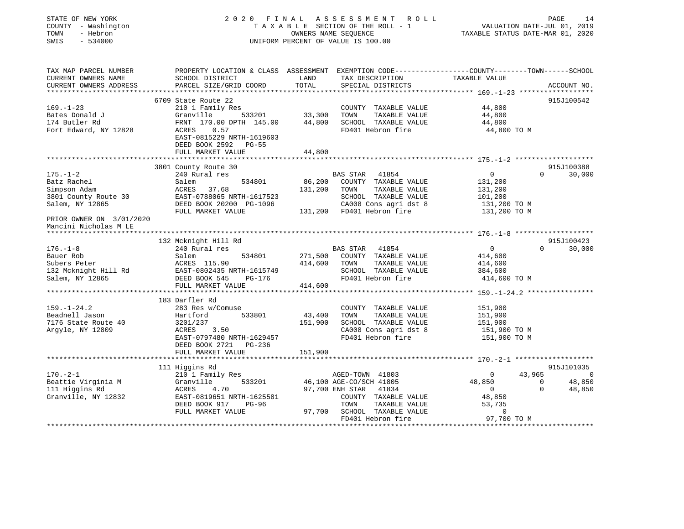| STATE OF NEW YORK<br>COUNTY - Washington<br>TOWN<br>- Hebron<br>SWIS<br>$-534000$ |                                                                                                                    | OWNERS NAME SEQUENCE | 2020 FINAL ASSESSMENT<br>R O L L<br>TAXABLE SECTION OF THE ROLL - 1<br>UNIFORM PERCENT OF VALUE IS 100.00 | VALUATION DATE-JUL 01, 2019<br>TAXABLE STATUS DATE-MAR 01, 2020 | PAGE                     | 14                |
|-----------------------------------------------------------------------------------|--------------------------------------------------------------------------------------------------------------------|----------------------|-----------------------------------------------------------------------------------------------------------|-----------------------------------------------------------------|--------------------------|-------------------|
| TAX MAP PARCEL NUMBER<br>CURRENT OWNERS NAME                                      | PROPERTY LOCATION & CLASS ASSESSMENT EXEMPTION CODE---------------COUNTY-------TOWN------SCHOOL<br>SCHOOL DISTRICT | LAND                 | TAX DESCRIPTION                                                                                           | TAXABLE VALUE                                                   |                          |                   |
| CURRENT OWNERS ADDRESS                                                            | PARCEL SIZE/GRID COORD                                                                                             | TOTAL                | SPECIAL DISTRICTS                                                                                         |                                                                 |                          | ACCOUNT NO.       |
|                                                                                   | 6709 State Route 22                                                                                                |                      |                                                                                                           |                                                                 |                          | 915J100542        |
| $169. - 1 - 23$                                                                   | 210 1 Family Res                                                                                                   |                      | COUNTY TAXABLE VALUE                                                                                      | 44,800                                                          |                          |                   |
| Bates Donald J                                                                    | 533201 33,300<br>Granville                                                                                         |                      | TOWN<br>TAXABLE VALUE                                                                                     | 44,800                                                          |                          |                   |
| 174 Butler Rd                                                                     | FRNT 170.00 DPTH 145.00                                                                                            | 44,800               | SCHOOL TAXABLE VALUE                                                                                      | 44,800                                                          |                          |                   |
| Fort Edward, NY 12828                                                             | ACRES<br>0.57<br>EAST-0815229 NRTH-1619603<br>DEED BOOK 2592 PG-55                                                 |                      | FD401 Hebron fire                                                                                         | 44,800 TO M                                                     |                          |                   |
|                                                                                   | FULL MARKET VALUE                                                                                                  | 44,800               |                                                                                                           |                                                                 |                          |                   |
|                                                                                   | 3801 County Route 30                                                                                               |                      |                                                                                                           |                                                                 |                          | 915J100388        |
| $175. - 1 - 2$                                                                    | 240 Rural res                                                                                                      |                      | 41854<br><b>BAS STAR</b>                                                                                  | $\overline{0}$                                                  | $\Omega$                 | 30,000            |
| Batz Rachel                                                                       | 534801<br>Salem                                                                                                    | 86,200               | COUNTY TAXABLE VALUE                                                                                      | 131,200                                                         |                          |                   |
| Simpson Adam                                                                      | ACRES 37.68                                                                                                        | 131,200              | TAXABLE VALUE<br>TOWN                                                                                     | 131,200                                                         |                          |                   |
| 3801 County Route 30                                                              | EAST-0788065 NRTH-1617523                                                                                          |                      | SCHOOL TAXABLE VALUE                                                                                      | 101,200                                                         |                          |                   |
| Salem, NY 12865                                                                   | DEED BOOK 20200 PG-1096<br>FULL MARKET VALUE                                                                       |                      | CA008 Cons agri dst 8<br>131,200 FD401 Hebron fire                                                        | 131,200 TO M<br>131,200 TO M                                    |                          |                   |
| PRIOR OWNER ON 3/01/2020<br>Mancini Nicholas M LE                                 |                                                                                                                    |                      |                                                                                                           |                                                                 |                          |                   |
|                                                                                   | 132 Mcknight Hill Rd                                                                                               |                      |                                                                                                           |                                                                 |                          | 915J100423        |
| $176. - 1 - 8$                                                                    | 240 Rural res                                                                                                      |                      | <b>BAS STAR</b><br>41854                                                                                  | $\overline{0}$                                                  | $\Omega$                 | 30,000            |
| Bauer Rob                                                                         | Salem<br>534801                                                                                                    | 271,500              | COUNTY TAXABLE VALUE                                                                                      | 414,600                                                         |                          |                   |
| Subers Peter                                                                      | ACRES 115.90                                                                                                       | 414,600              | TOWN<br>TAXABLE VALUE                                                                                     | 414,600                                                         |                          |                   |
| 132 Mcknight Hill Rd                                                              | EAST-0802435 NRTH-1615749                                                                                          |                      | SCHOOL TAXABLE VALUE                                                                                      | 384,600                                                         |                          |                   |
| Salem, NY 12865                                                                   | DEED BOOK 545<br>PG-176                                                                                            |                      | FD401 Hebron fire                                                                                         | 414,600 TO M                                                    |                          |                   |
|                                                                                   | FULL MARKET VALUE                                                                                                  | 414,600              |                                                                                                           |                                                                 |                          |                   |
|                                                                                   | 183 Darfler Rd                                                                                                     |                      |                                                                                                           |                                                                 |                          |                   |
| $159. - 1 - 24.2$                                                                 | 283 Res w/Comuse                                                                                                   |                      | COUNTY TAXABLE VALUE                                                                                      | 151,900                                                         |                          |                   |
| Beadnell Jason                                                                    | 533801<br>Hartford                                                                                                 | 43,400               | TOWN<br>TAXABLE VALUE                                                                                     | 151,900                                                         |                          |                   |
| 7176 State Route 40                                                               | 3201/237                                                                                                           | 151,900              | SCHOOL TAXABLE VALUE                                                                                      | 151,900                                                         |                          |                   |
| Argyle, NY 12809                                                                  | ACRES<br>3.50                                                                                                      |                      | CA008 Cons agri dst 8                                                                                     | 151,900 TO M                                                    |                          |                   |
|                                                                                   | EAST-0797480 NRTH-1629457<br>DEED BOOK 2721 PG-236                                                                 |                      | FD401 Hebron fire                                                                                         | 151,900 TO M                                                    |                          |                   |
|                                                                                   | FULL MARKET VALUE                                                                                                  | 151,900              |                                                                                                           |                                                                 |                          |                   |
|                                                                                   |                                                                                                                    |                      |                                                                                                           |                                                                 |                          |                   |
| $170. - 2 - 1$                                                                    | 111 Higgins Rd<br>210 1 Family Res                                                                                 |                      | AGED-TOWN 41803                                                                                           | $\overline{0}$                                                  | 43,965                   | 915J101035<br>- 0 |
| Beattie Virginia M                                                                | 533201<br>Granville                                                                                                |                      | 46,100 AGE-CO/SCH 41805                                                                                   | 48,850                                                          | $\overline{\phantom{0}}$ | 48,850            |
| 111 Higgins Rd                                                                    | ACRES<br>4.70                                                                                                      |                      | 97,700 ENH STAR<br>41834                                                                                  | $\overline{0}$                                                  | 0                        | 48,850            |
| Granville, NY 12832                                                               | EAST-0819651 NRTH-1625581                                                                                          |                      | COUNTY TAXABLE VALUE                                                                                      | 48,850                                                          |                          |                   |
|                                                                                   | DEED BOOK 917<br>PG-96                                                                                             |                      | TOWN<br>TAXABLE VALUE                                                                                     | 53,735                                                          |                          |                   |
|                                                                                   | FULL MARKET VALUE                                                                                                  | 97,700               | SCHOOL TAXABLE VALUE                                                                                      | $\mathbf{0}$                                                    |                          |                   |
|                                                                                   |                                                                                                                    |                      | FD401 Hebron fire                                                                                         | 97,700 TO M                                                     |                          |                   |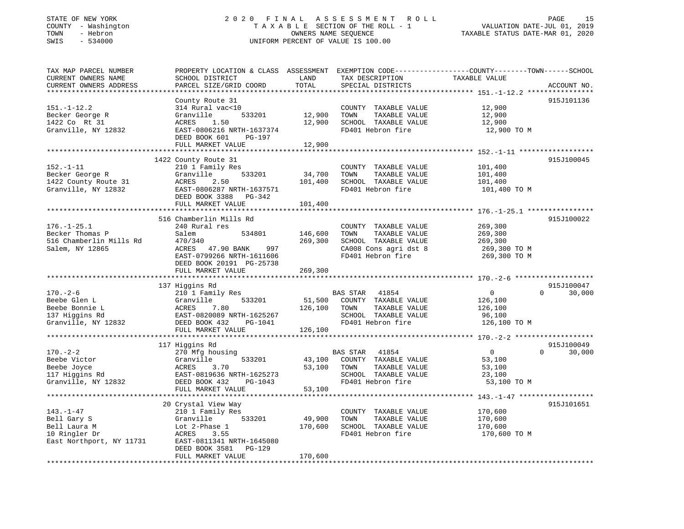## STATE OF NEW YORK 2 0 2 0 F I N A L A S S E S S M E N T R O L L PAGE 15COUNTY - Washington  $T A X A B L E$  SECTION OF THE ROLL - 1<br>TOWN - Hebron  $\cdot$  OWNERS NAME SEQUENCE SWIS - 534000 UNIFORM PERCENT OF VALUE IS 100.00

# VALUATION DATE-JUL 01, 2019

TAXABLE STATUS DATE-MAR 01, 2020

| TAX MAP PARCEL NUMBER<br>CURRENT OWNERS NAME<br>CURRENT OWNERS ADDRESS<br>******************** | PROPERTY LOCATION & CLASS ASSESSMENT<br>SCHOOL DISTRICT<br>PARCEL SIZE/GRID COORD<br>********************                                                                          | LAND<br>TOTAL<br>************* | TAX DESCRIPTION<br>SPECIAL DISTRICTS                                                                                | EXEMPTION CODE-----------------COUNTY-------TOWN------SCHOOL<br>TAXABLE VALUE<br>ACCOUNT NO.       |
|------------------------------------------------------------------------------------------------|------------------------------------------------------------------------------------------------------------------------------------------------------------------------------------|--------------------------------|---------------------------------------------------------------------------------------------------------------------|----------------------------------------------------------------------------------------------------|
| $151. - 1 - 12.2$<br>Becker George R<br>1422 Co Rt 31<br>Granville, NY 12832                   | County Route 31<br>314 Rural vac<10<br>Granville<br>533201<br>ACRES<br>1.50<br>EAST-0806216 NRTH-1637374<br>DEED BOOK 601<br>PG-197<br>FULL MARKET VALUE                           | 12,900<br>12,900<br>12,900     | COUNTY TAXABLE VALUE<br>TAXABLE VALUE<br>TOWN<br>SCHOOL TAXABLE VALUE<br>FD401 Hebron fire                          | 915J101136<br>12,900<br>12,900<br>12,900<br>12,900 TO M                                            |
| $152. - 1 - 11$<br>Becker George R<br>1422 County Route 31<br>Granville, NY 12832              | 1422 County Route 31<br>210 1 Family Res<br>533201<br>Granville<br>ACRES<br>2.50<br>EAST-0806287 NRTH-1637571<br>DEED BOOK 3388 PG-342                                             | 34,700<br>101,400              | COUNTY TAXABLE VALUE<br>TAXABLE VALUE<br>TOWN<br>SCHOOL TAXABLE VALUE<br>FD401 Hebron fire                          | 915J100045<br>101,400<br>101,400<br>101,400<br>101,400 TO M                                        |
|                                                                                                | FULL MARKET VALUE                                                                                                                                                                  | 101,400                        |                                                                                                                     |                                                                                                    |
| $176. - 1 - 25.1$<br>Becker Thomas P<br>516 Chamberlin Mills Rd<br>Salem, NY 12865             | 516 Chamberlin Mills Rd<br>240 Rural res<br>Salem<br>534801<br>470/340<br>ACRES<br>47.90 BANK<br>997<br>EAST-0799266 NRTH-1611606<br>DEED BOOK 20191 PG-25738<br>FULL MARKET VALUE | 146,600<br>269,300<br>269,300  | COUNTY TAXABLE VALUE<br>TOWN<br>TAXABLE VALUE<br>SCHOOL TAXABLE VALUE<br>CA008 Cons agri dst 8<br>FD401 Hebron fire | 915J100022<br>269,300<br>269,300<br>269,300<br>269,300 ТО М<br>269,300 TO M                        |
|                                                                                                |                                                                                                                                                                                    |                                |                                                                                                                     |                                                                                                    |
| $170. - 2 - 6$<br>Beebe Glen L<br>Beebe Bonnie L<br>137 Higgins Rd<br>Granville, NY 12832      | 137 Higgins Rd<br>210 1 Family Res<br>Granville<br>533201<br>7.80<br>ACRES<br>EAST-0820089 NRTH-1625267<br>DEED BOOK 432<br>PG-1041<br>FULL MARKET VALUE                           | 51,500<br>126,100<br>126,100   | BAS STAR 41854<br>COUNTY TAXABLE VALUE<br>TAXABLE VALUE<br>TOWN<br>SCHOOL TAXABLE VALUE<br>FD401 Hebron fire        | 915J100047<br>$\overline{0}$<br>$\Omega$<br>30,000<br>126,100<br>126,100<br>96,100<br>126,100 TO M |
|                                                                                                |                                                                                                                                                                                    |                                |                                                                                                                     |                                                                                                    |
| $170. - 2 - 2$<br>Beebe Victor<br>Beebe Joyce<br>117 Higgins Rd<br>Granville, NY 12832         | 117 Higgins Rd<br>270 Mfg housing<br>Granville<br>533201<br>3.70<br>ACRES<br>EAST-0819636 NRTH-1625273<br>DEED BOOK 432<br>PG-1043<br>FULL MARKET VALUE                            | 43,100<br>53,100<br>53,100     | BAS STAR<br>41854<br>COUNTY TAXABLE VALUE<br>TAXABLE VALUE<br>TOWN<br>SCHOOL TAXABLE VALUE<br>FD401 Hebron fire     | 915J100049<br>$\overline{0}$<br>$\Omega$<br>30,000<br>53,100<br>53,100<br>23,100<br>53,100 TO M    |
|                                                                                                | ***********************                                                                                                                                                            |                                |                                                                                                                     |                                                                                                    |
| $143. - 1 - 47$<br>Bell Gary S<br>Bell Laura M<br>10 Ringler Dr<br>East Northport, NY 11731    | 20 Crystal View Way<br>210 1 Family Res<br>Granville<br>533201<br>Lot 2-Phase 1<br>ACRES<br>3.55<br>EAST-0811341 NRTH-1645080<br>DEED BOOK 3581<br>PG-129                          | 49,900<br>170,600              | COUNTY TAXABLE VALUE<br>TAXABLE VALUE<br>TOWN<br>SCHOOL TAXABLE VALUE<br>FD401 Hebron fire                          | 915J101651<br>170,600<br>170,600<br>170,600<br>170,600 TO M                                        |
|                                                                                                | FULL MARKET VALUE                                                                                                                                                                  | 170,600                        |                                                                                                                     |                                                                                                    |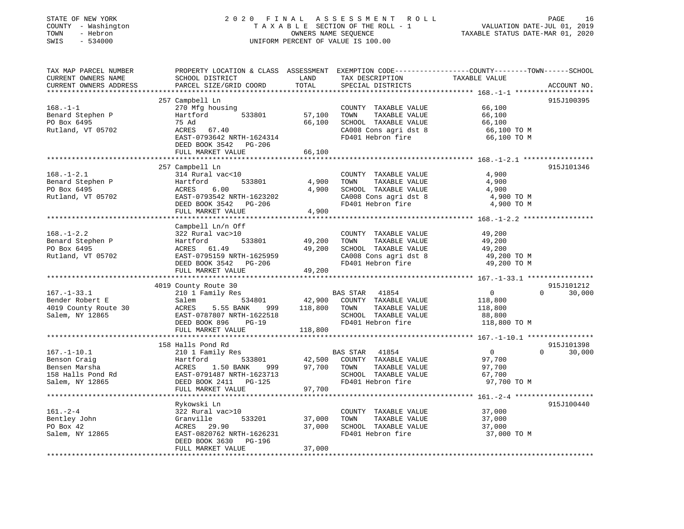| STATE OF NEW YORK<br>COUNTY - Washington<br>- Hebron<br>TOWN<br>SWIS<br>$-534000$ |                                                                      |               | 2020 FINAL ASSESSMENT ROLL<br>TAXABLE SECTION OF THE ROLL - 1<br>OWNERS NAME SEQUENCE<br>UNIFORM PERCENT OF VALUE IS 100.00 | PAGE<br>16<br>VALUATION DATE-JUL 01, 2019<br>TAXABLE STATUS DATE-MAR 01, 2020                                                  |
|-----------------------------------------------------------------------------------|----------------------------------------------------------------------|---------------|-----------------------------------------------------------------------------------------------------------------------------|--------------------------------------------------------------------------------------------------------------------------------|
| TAX MAP PARCEL NUMBER<br>CURRENT OWNERS NAME<br>CURRENT OWNERS ADDRESS            | SCHOOL DISTRICT<br>PARCEL SIZE/GRID COORD                            | LAND<br>TOTAL | TAX DESCRIPTION<br>SPECIAL DISTRICTS                                                                                        | PROPERTY LOCATION & CLASS ASSESSMENT EXEMPTION CODE---------------COUNTY-------TOWN-----SCHOOL<br>TAXABLE VALUE<br>ACCOUNT NO. |
| ********************                                                              |                                                                      | **********    |                                                                                                                             |                                                                                                                                |
|                                                                                   | 257 Campbell Ln                                                      |               |                                                                                                                             | 915J100395                                                                                                                     |
| $168. - 1 - 1$                                                                    | 270 Mfg housing                                                      |               | COUNTY TAXABLE VALUE                                                                                                        | 66,100                                                                                                                         |
| Benard Stephen P                                                                  | Hartford<br>533801                                                   | 57,100        | TOWN<br>TAXABLE VALUE                                                                                                       | 66,100                                                                                                                         |
| PO Box 6495                                                                       | 75 Ad                                                                | 66,100        | SCHOOL TAXABLE VALUE                                                                                                        | 66,100                                                                                                                         |
| Rutland, VT 05702                                                                 | ACRES<br>67.40<br>EAST-0793642 NRTH-1624314<br>DEED BOOK 3542 PG-206 |               | CA008 Cons agri dst 8<br>FD401 Hebron fire                                                                                  | 66,100 TO M<br>66,100 TO M                                                                                                     |
|                                                                                   | FULL MARKET VALUE                                                    | 66,100        |                                                                                                                             |                                                                                                                                |
|                                                                                   |                                                                      |               |                                                                                                                             |                                                                                                                                |
|                                                                                   | 257 Campbell Ln                                                      |               |                                                                                                                             | 915J101346                                                                                                                     |
| $168. - 1 - 2.1$                                                                  | 314 Rural vac<10                                                     |               | COUNTY TAXABLE VALUE                                                                                                        | 4,900                                                                                                                          |
| Benard Stephen P                                                                  | Hartford<br>533801                                                   | 4,900         | TAXABLE VALUE<br>TOWN                                                                                                       | 4,900                                                                                                                          |
| PO Box 6495                                                                       | ACRES<br>6.00                                                        | 4,900         | SCHOOL TAXABLE VALUE                                                                                                        | 4,900                                                                                                                          |
| Rutland, VT 05702                                                                 | EAST-0793542 NRTH-1623202                                            |               | CA008 Cons agri dst 8<br>FD401 Hebron fire                                                                                  | 4,900 TO M                                                                                                                     |
|                                                                                   | DEED BOOK 3542 PG-206<br>FULL MARKET VALUE                           | 4,900         |                                                                                                                             | 4,900 TO M                                                                                                                     |
|                                                                                   |                                                                      |               |                                                                                                                             |                                                                                                                                |
|                                                                                   | Campbell Ln/n Off                                                    |               |                                                                                                                             |                                                                                                                                |
| $168. - 1 - 2.2$                                                                  | 322 Rural vac>10                                                     |               | COUNTY TAXABLE VALUE                                                                                                        | 49,200                                                                                                                         |
| Benard Stephen P                                                                  | Hartford<br>533801                                                   | 49,200        | TOWN<br>TAXABLE VALUE                                                                                                       | 49,200                                                                                                                         |
| PO Box 6495                                                                       | ACRES 61.49                                                          | 49,200        | SCHOOL TAXABLE VALUE                                                                                                        | 49,200                                                                                                                         |
| Rutland, VT 05702                                                                 | EAST-0795159 NRTH-1625959                                            |               | CA008 Cons agri dst 8                                                                                                       | 49,200 TO M                                                                                                                    |
|                                                                                   | DEED BOOK 3542 PG-206                                                |               | FD401 Hebron fire                                                                                                           | 49,200 TO M                                                                                                                    |
|                                                                                   | FULL MARKET VALUE                                                    | 49,200        |                                                                                                                             |                                                                                                                                |
|                                                                                   |                                                                      |               |                                                                                                                             |                                                                                                                                |
|                                                                                   | 4019 County Route 30<br>210 1 Family Res                             |               |                                                                                                                             | 915J101212<br>$\overline{0}$<br>$\Omega$<br>30,000                                                                             |
| $167. - 1 - 33.1$<br>Bender Robert E                                              | Salem<br>534801                                                      | 42,900        | BAS STAR<br>41854<br>COUNTY TAXABLE VALUE                                                                                   | 118,800                                                                                                                        |
| 4019 County Route 30                                                              | 5.55 BANK<br>999<br>ACRES                                            | 118,800       | TOWN<br>TAXABLE VALUE                                                                                                       | 118,800                                                                                                                        |
| Salem, NY 12865                                                                   | EAST-0787807 NRTH-1622518                                            |               | SCHOOL TAXABLE VALUE                                                                                                        | 88,800                                                                                                                         |
|                                                                                   | DEED BOOK 896<br>$PG-19$                                             |               | FD401 Hebron fire                                                                                                           | 118,800 TO M                                                                                                                   |
|                                                                                   | FULL MARKET VALUE                                                    | 118,800       |                                                                                                                             |                                                                                                                                |
|                                                                                   |                                                                      |               |                                                                                                                             |                                                                                                                                |
|                                                                                   | 158 Halls Pond Rd                                                    |               |                                                                                                                             | 915J101398                                                                                                                     |
| $167.-1-10.1$                                                                     | 210 1 Family Res                                                     |               | BAS STAR<br>41854                                                                                                           | $\mathbf{0}$<br>$\Omega$<br>30,000                                                                                             |
| Benson Craig                                                                      | Hartford<br>533801                                                   | 42,500        | COUNTY TAXABLE VALUE                                                                                                        | 97,700                                                                                                                         |
| Bensen Marsha                                                                     | ACRES<br>1.50 BANK<br>999                                            | 97,700        | TAXABLE VALUE<br>TOWN                                                                                                       | 97,700                                                                                                                         |
| 158 Halls Pond Rd                                                                 | EAST-0791487 NRTH-1623713                                            |               | SCHOOL TAXABLE VALUE                                                                                                        | 67,700                                                                                                                         |
| Salem, NY 12865                                                                   | DEED BOOK 2411    PG-125                                             |               | FD401 Hebron fire                                                                                                           | 97,700 TO M                                                                                                                    |
|                                                                                   | FULL MARKET VALUE                                                    | 97,700        |                                                                                                                             |                                                                                                                                |
|                                                                                   | Rykowski Ln                                                          |               |                                                                                                                             | 915J100440                                                                                                                     |
| $161. - 2 - 4$                                                                    | 322 Rural vac>10                                                     |               | COUNTY TAXABLE VALUE                                                                                                        | 37,000                                                                                                                         |
| Bentley John                                                                      | Granville<br>533201                                                  | 37,000        | TOWN<br>TAXABLE VALUE                                                                                                       | 37,000                                                                                                                         |
| PO Box 42                                                                         | ACRES<br>29.90                                                       | 37,000        | SCHOOL TAXABLE VALUE                                                                                                        | 37,000                                                                                                                         |
| Salem, NY 12865                                                                   | EAST-0820762 NRTH-1626231                                            |               | FD401 Hebron fire                                                                                                           | 37,000 TO M                                                                                                                    |
|                                                                                   | DEED BOOK 3630 PG-196                                                |               |                                                                                                                             |                                                                                                                                |
|                                                                                   | FULL MARKET VALUE                                                    | 37,000        |                                                                                                                             |                                                                                                                                |
|                                                                                   |                                                                      |               |                                                                                                                             |                                                                                                                                |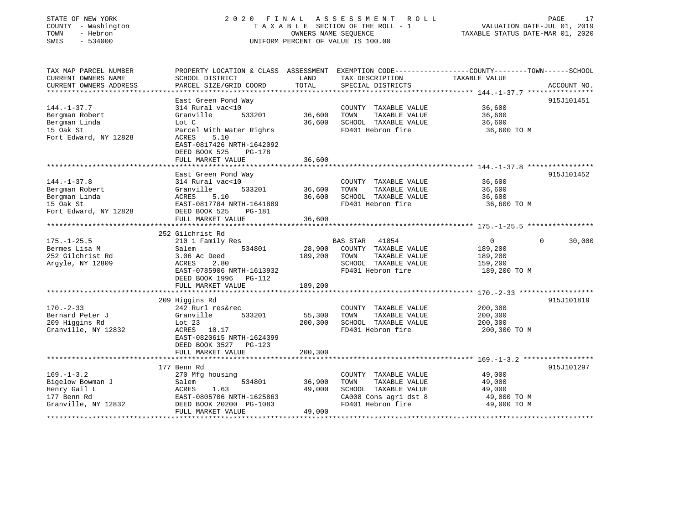### STATE OF NEW YORK 2 0 2 0 F I N A L A S S E S S M E N T R O L L PAGE 17 COUNTY - Washington T A X A B L E SECTION OF THE ROLL - 1 VALUATION DATE-JUL 01, 2019 TOWN - Hebron OWNERS NAME SEQUENCE TAXABLE STATUS DATE-MAR 01, 2020 SWIS - 534000 UNIFORM PERCENT OF VALUE IS 100.00

| TAX MAP PARCEL NUMBER  | PROPERTY LOCATION & CLASS ASSESSMENT    |         | EXEMPTION CODE-----------------COUNTY--------TOWN------SCHOOL |                |                    |
|------------------------|-----------------------------------------|---------|---------------------------------------------------------------|----------------|--------------------|
| CURRENT OWNERS NAME    | SCHOOL DISTRICT                         | LAND    | TAX DESCRIPTION                                               | TAXABLE VALUE  |                    |
| CURRENT OWNERS ADDRESS | PARCEL SIZE/GRID COORD                  | TOTAL   | SPECIAL DISTRICTS                                             |                | ACCOUNT NO.        |
|                        |                                         |         |                                                               |                |                    |
| $144. - 1 - 37.7$      | East Green Pond Way<br>314 Rural vac<10 |         | COUNTY TAXABLE VALUE                                          | 36,600         | 915J101451         |
|                        |                                         | 36,600  |                                                               |                |                    |
| Bergman Robert         | Granville<br>533201                     |         | TOWN<br>TAXABLE VALUE                                         | 36,600         |                    |
| Bergman Linda          | Lot C                                   | 36,600  | SCHOOL TAXABLE VALUE                                          | 36,600         |                    |
| 15 Oak St              | Parcel With Water Righrs                |         | FD401 Hebron fire                                             | 36,600 TO M    |                    |
| Fort Edward, NY 12828  | 5.10<br>ACRES                           |         |                                                               |                |                    |
|                        | EAST-0817426 NRTH-1642092               |         |                                                               |                |                    |
|                        | DEED BOOK 525<br><b>PG-178</b>          |         |                                                               |                |                    |
|                        | FULL MARKET VALUE                       | 36,600  |                                                               |                |                    |
|                        |                                         |         |                                                               |                |                    |
|                        | East Green Pond Way                     |         |                                                               |                | 915J101452         |
| $144. - 1 - 37.8$      | 314 Rural vac<10                        |         | COUNTY TAXABLE VALUE                                          | 36,600         |                    |
| Bergman Robert         | 533201<br>Granville                     | 36,600  | TOWN<br>TAXABLE VALUE                                         | 36,600         |                    |
| Bergman Linda          | 5.10<br>ACRES                           | 36,600  | SCHOOL TAXABLE VALUE                                          | 36,600         |                    |
| 15 Oak St              | EAST-0817784 NRTH-1641889               |         | FD401 Hebron fire                                             | 36,600 TO M    |                    |
| Fort Edward, NY 12828  | DEED BOOK 525<br>PG-181                 |         |                                                               |                |                    |
|                        | FULL MARKET VALUE                       | 36,600  |                                                               |                |                    |
|                        |                                         |         |                                                               |                |                    |
|                        | 252 Gilchrist Rd                        |         |                                                               |                |                    |
| $175. - 1 - 25.5$      | 210 1 Family Res                        |         | <b>BAS STAR</b><br>41854                                      | $\overline{0}$ | $\Omega$<br>30,000 |
| Bermes Lisa M          | 534801<br>Salem                         | 28,900  | COUNTY TAXABLE VALUE                                          | 189,200        |                    |
| 252 Gilchrist Rd       | 3.06 Ac Deed                            | 189,200 | TOWN<br>TAXABLE VALUE                                         | 189,200        |                    |
| Argyle, NY 12809       | 2.80<br>ACRES                           |         | SCHOOL TAXABLE VALUE                                          | 159,200        |                    |
|                        | EAST-0785906 NRTH-1613932               |         | FD401 Hebron fire                                             | 189,200 TO M   |                    |
|                        | DEED BOOK 1996<br>PG-112                |         |                                                               |                |                    |
|                        | FULL MARKET VALUE                       | 189,200 |                                                               |                |                    |
|                        |                                         |         |                                                               |                |                    |
|                        | 209 Higgins Rd                          |         |                                                               |                | 915J101819         |
| $170. - 2 - 33$        | 242 Rurl res&rec                        |         | COUNTY TAXABLE VALUE                                          | 200,300        |                    |
| Bernard Peter J        | Granville<br>533201                     | 55,300  | TOWN<br>TAXABLE VALUE                                         | 200,300        |                    |
| 209 Higgins Rd         | Lot 23                                  | 200,300 | SCHOOL TAXABLE VALUE                                          | 200,300        |                    |
| Granville, NY 12832    | ACRES<br>10.17                          |         | FD401 Hebron fire                                             | 200,300 TO M   |                    |
|                        | EAST-0820615 NRTH-1624399               |         |                                                               |                |                    |
|                        |                                         |         |                                                               |                |                    |
|                        | DEED BOOK 3527 PG-123                   |         |                                                               |                |                    |
|                        | FULL MARKET VALUE                       | 200,300 |                                                               |                |                    |
|                        |                                         |         |                                                               |                |                    |
| $169. - 1 - 3.2$       | 177 Benn Rd                             |         |                                                               |                | 915J101297         |
|                        | 270 Mfg housing                         |         | COUNTY TAXABLE VALUE                                          | 49,000         |                    |
| Bigelow Bowman J       | Salem<br>534801                         | 36,900  | TOWN<br>TAXABLE VALUE                                         | 49,000         |                    |
| Henry Gail L           | ACRES<br>1.63                           | 49,000  | SCHOOL TAXABLE VALUE                                          | 49,000         |                    |
| 177 Benn Rd            | EAST-0805706 NRTH-1625863               |         | CA008 Cons agri dst 8                                         | 49,000 TO M    |                    |
| Granville, NY 12832    | DEED BOOK 20200 PG-1083                 |         | FD401 Hebron fire                                             | 49,000 TO M    |                    |
|                        | FULL MARKET VALUE                       | 49,000  |                                                               |                |                    |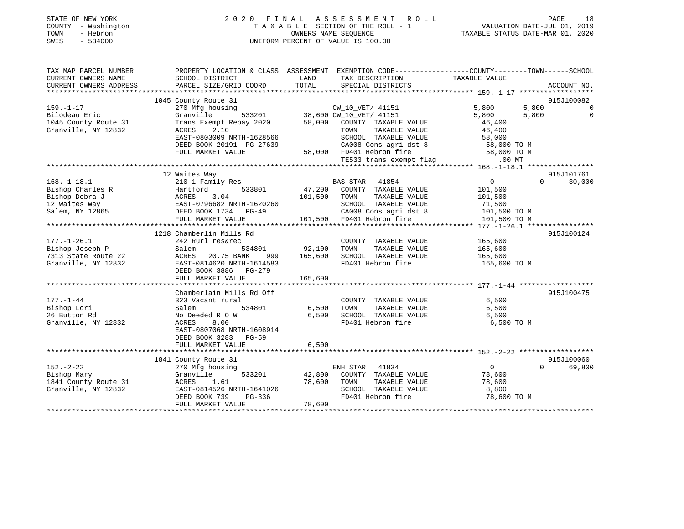| STATE OF NEW YORK<br>COUNTY - Washington<br>- Hebron<br>TOWN<br>SWIS<br>$-534000$  | 2020 FINAL                                                                                                                                                       | A S S E S S M E N T<br>ROLL<br>TAXABLE SECTION OF THE ROLL - 1<br>OWNERS NAME SEOUENCE<br>UNIFORM PERCENT OF VALUE IS 100.00                                                        | PAGE<br>18<br>VALUATION DATE-JUL 01, 2019<br>TAXABLE STATUS DATE-MAR 01, 2020                                           |
|------------------------------------------------------------------------------------|------------------------------------------------------------------------------------------------------------------------------------------------------------------|-------------------------------------------------------------------------------------------------------------------------------------------------------------------------------------|-------------------------------------------------------------------------------------------------------------------------|
| TAX MAP PARCEL NUMBER<br>CURRENT OWNERS NAME<br>CURRENT OWNERS ADDRESS             | SCHOOL DISTRICT<br>PARCEL SIZE/GRID COORD                                                                                                                        | PROPERTY LOCATION & CLASS ASSESSMENT EXEMPTION CODE----------------COUNTY-------TOWN------SCHOOL<br>TAX DESCRIPTION<br>LAND<br>TOTAL<br>SPECIAL DISTRICTS                           | TAXABLE VALUE<br>ACCOUNT NO.                                                                                            |
|                                                                                    |                                                                                                                                                                  |                                                                                                                                                                                     |                                                                                                                         |
|                                                                                    | 1045 County Route 31                                                                                                                                             |                                                                                                                                                                                     | 915J100082                                                                                                              |
| $159. - 1 - 17$<br>Bilodeau Eric<br>1045 County Route 31<br>Granville, NY 12832    | 270 Mfg housing<br>Granville<br>533201<br>Trans Exempt Repay 2020<br>ACRES<br>2.10<br>EAST-0803009 NRTH-1628566<br>DEED BOOK 20191 PG-27639<br>FULL MARKET VALUE | CW_10_VET/ 41151<br>38,600 CW_10_VET/ 41151<br>58,000<br>COUNTY TAXABLE VALUE<br>TOWN<br>TAXABLE VALUE<br>SCHOOL TAXABLE VALUE<br>CA008 Cons agri dst 8<br>58,000 FD401 Hebron fire | 5,800<br>5,800<br>$\mathbf 0$<br>$\Omega$<br>5,800<br>5,800<br>46,400<br>46,400<br>58,000<br>58,000 TO M<br>58,000 TO M |
|                                                                                    |                                                                                                                                                                  | TE533 trans exempt flag                                                                                                                                                             | $.00$ MT                                                                                                                |
| $168. - 1 - 18.1$                                                                  | 12 Waites Way<br>210 1 Family Res                                                                                                                                | BAS STAR<br>41854                                                                                                                                                                   | 915J101761<br>$\mathbf 0$<br>$\Omega$<br>30,000                                                                         |
| Bishop Charles R<br>Bishop Debra J<br>12 Waites Way<br>Salem, NY 12865             | Hartford<br>533801<br>ACRES<br>3.04<br>EAST-0796682 NRTH-1620260<br>DEED BOOK 1734 PG-49<br>FULL MARKET VALUE                                                    | 47,200<br>COUNTY TAXABLE VALUE<br>101,500<br>TOWN<br>TAXABLE VALUE<br>SCHOOL TAXABLE VALUE<br>CA008 Cons agri dst 8<br>101,500 FD401 Hebron fire                                    | 101,500<br>101,500<br>71,500<br>101,500 TO M<br>101,500 TO M                                                            |
|                                                                                    |                                                                                                                                                                  |                                                                                                                                                                                     |                                                                                                                         |
|                                                                                    | 1218 Chamberlin Mills Rd                                                                                                                                         |                                                                                                                                                                                     | 915J100124                                                                                                              |
| $177. - 1 - 26.1$<br>Bishop Joseph P<br>7313 State Route 22<br>Granville, NY 12832 | 242 Rurl res&rec<br>Salem<br>534801<br>20.75 BANK<br>ACRES<br>999<br>EAST-0814620 NRTH-1614583<br>DEED BOOK 3886 PG-279<br>FULL MARKET VALUE                     | COUNTY TAXABLE VALUE<br>92,100<br>TAXABLE VALUE<br>TOWN<br>165,600<br>SCHOOL TAXABLE VALUE<br>FD401 Hebron fire<br>165,600                                                          | 165,600<br>165,600<br>165,600<br>165,600 TO M                                                                           |
|                                                                                    | Chamberlain Mills Rd Off                                                                                                                                         |                                                                                                                                                                                     | 915J100475                                                                                                              |
| $177. - 1 - 44$<br>Bishop Lori<br>26 Button Rd<br>Granville, NY 12832              | 323 Vacant rural<br>534801<br>Salem<br>No Deeded R O W<br>ACRES<br>8.00<br>EAST-0807068 NRTH-1608914<br>DEED BOOK 3283 PG-59                                     | COUNTY TAXABLE VALUE<br>6,500<br>TOWN<br>TAXABLE VALUE<br>6.500<br>SCHOOL TAXABLE VALUE<br>FD401 Hebron fire                                                                        | 6,500<br>6,500<br>6,500<br>6,500 TO M                                                                                   |
|                                                                                    | FULL MARKET VALUE                                                                                                                                                | 6,500                                                                                                                                                                               |                                                                                                                         |
|                                                                                    | 1841 County Route 31                                                                                                                                             |                                                                                                                                                                                     | 915J100060                                                                                                              |
| $152. - 2 - 22$<br>Bishop Mary<br>1841 County Route 31<br>Granville, NY 12832      | 270 Mfg housing<br>Granville<br>533201<br>ACRES<br>1.61<br>EAST-0814526 NRTH-1641026<br>DEED BOOK 739<br>PG-336<br>FULL MARKET VALUE                             | ENH STAR<br>41834<br>42,800<br>COUNTY TAXABLE VALUE<br>78,600<br>TOWN<br>TAXABLE VALUE<br>SCHOOL TAXABLE VALUE<br>FD401 Hebron fire<br>78,600                                       | $\Omega$<br>$\Omega$<br>69,800<br>78,600<br>78,600<br>8,800<br>78,600 TO M                                              |

\*\*\*\*\*\*\*\*\*\*\*\*\*\*\*\*\*\*\*\*\*\*\*\*\*\*\*\*\*\*\*\*\*\*\*\*\*\*\*\*\*\*\*\*\*\*\*\*\*\*\*\*\*\*\*\*\*\*\*\*\*\*\*\*\*\*\*\*\*\*\*\*\*\*\*\*\*\*\*\*\*\*\*\*\*\*\*\*\*\*\*\*\*\*\*\*\*\*\*\*\*\*\*\*\*\*\*\*\*\*\*\*\*\*\*\*\*\*\*\*\*\*\*\*\*\*\*\*\*\*\*\*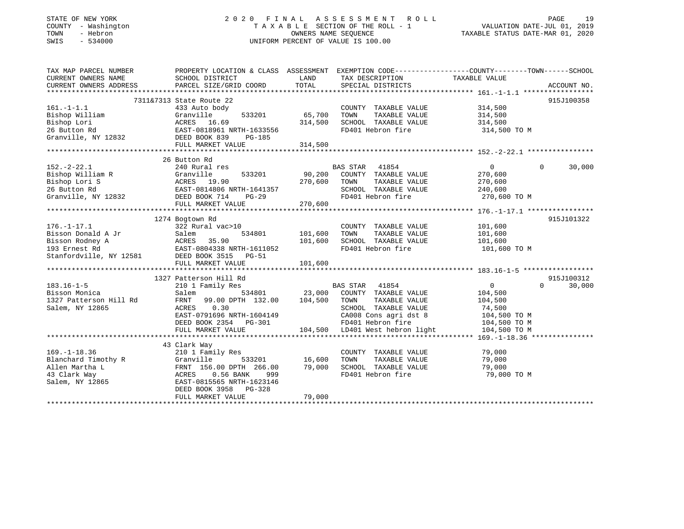### STATE OF NEW YORK 2 0 2 0 F I N A L A S S E S S M E N T R O L L PAGE 19 COUNTY - Washington T A X A B L E SECTION OF THE ROLL - 1 VALUATION DATE-JUL 01, 2019 TOWN - Hebron OWNERS NAME SEQUENCE TAXABLE STATUS DATE-MAR 01, 2020 SWIS - 534000 UNIFORM PERCENT OF VALUE IS 100.00

| TAX MAP PARCEL NUMBER<br>CURRENT OWNERS NAME | SCHOOL DISTRICT                                                                                   | LAND    | PROPERTY LOCATION & CLASS ASSESSMENT EXEMPTION CODE----------------COUNTY-------TOWN------SCHOOL<br>TAX DESCRIPTION | TAXABLE VALUE  |          |             |
|----------------------------------------------|---------------------------------------------------------------------------------------------------|---------|---------------------------------------------------------------------------------------------------------------------|----------------|----------|-------------|
| CURRENT OWNERS ADDRESS                       | PARCEL SIZE/GRID COORD                                                                            | TOTAL   | SPECIAL DISTRICTS                                                                                                   |                |          | ACCOUNT NO. |
|                                              |                                                                                                   |         |                                                                                                                     |                |          |             |
|                                              | 7311&7313 State Route 22                                                                          |         |                                                                                                                     |                |          | 915J100358  |
| $161. - 1 - 1.1$                             | 433 Auto body                                                                                     |         | COUNTY TAXABLE VALUE                                                                                                | 314,500        |          |             |
| Bishop William                               | 533201<br>Granville                                                                               | 65,700  | TOWN<br>TAXABLE VALUE                                                                                               | 314,500        |          |             |
| Bishop Lori                                  | ACRES 16.69                                                                                       | 314,500 | SCHOOL TAXABLE VALUE                                                                                                | 314,500        |          |             |
| 26 Button Rd                                 | EAST-0818961 NRTH-1633556<br>12832 DEED BOOK 839 PG-185                                           |         | FD401 Hebron fire                                                                                                   | 314,500 TO M   |          |             |
| Granville, NY 12832                          |                                                                                                   |         |                                                                                                                     |                |          |             |
|                                              | FULL MARKET VALUE                                                                                 | 314,500 |                                                                                                                     |                |          |             |
|                                              |                                                                                                   |         |                                                                                                                     |                |          |             |
|                                              | 26 Button Rd                                                                                      |         |                                                                                                                     |                |          |             |
| $152. - 2 - 22.1$                            | 240 Rural res                                                                                     |         | <b>BAS STAR</b><br>41854                                                                                            | $\mathbf 0$    | $\Omega$ | 30,000      |
| Bishop William R                             |                                                                                                   | 90,200  | COUNTY TAXABLE VALUE                                                                                                | 270,600        |          |             |
| Bishop Lori S                                |                                                                                                   | 270,600 | TOWN<br>TAXABLE VALUE                                                                                               | 270,600        |          |             |
| 26 Button Rd                                 |                                                                                                   |         | SCHOOL TAXABLE VALUE                                                                                                | 240,600        |          |             |
| Granville, NY 12832                          |                                                                                                   |         | FD401 Hebron fire                                                                                                   | 270,600 TO M   |          |             |
|                                              | R<br>MCRES 19.90<br>EAST-0814806 NRTH-1641357<br>PEED BOOK 714 PG-29<br>PEED BOOK 714 PG-29       | 270,600 |                                                                                                                     |                |          |             |
|                                              |                                                                                                   |         |                                                                                                                     |                |          |             |
|                                              | 1274 Bogtown Rd                                                                                   |         |                                                                                                                     |                |          | 915J101322  |
| $176. - 1 - 17.1$                            | 322 Rural vac>10                                                                                  |         | COUNTY TAXABLE VALUE                                                                                                | 101,600        |          |             |
| Bisson Donald A Jr                           | Salem<br>534801                                                                                   | 101,600 | TOWN<br>TAXABLE VALUE                                                                                               | 101,600        |          |             |
|                                              |                                                                                                   | 101,600 | SCHOOL TAXABLE VALUE                                                                                                | 101,600        |          |             |
|                                              |                                                                                                   |         | FD401 Hebron fire                                                                                                   | 101,600 TO M   |          |             |
|                                              |                                                                                                   |         |                                                                                                                     |                |          |             |
|                                              | FULL MARKET VALUE                                                                                 | 101,600 |                                                                                                                     |                |          |             |
|                                              |                                                                                                   |         |                                                                                                                     |                |          |             |
|                                              | 1327 Patterson Hill Rd                                                                            |         |                                                                                                                     |                |          | 915J100312  |
| $183.16 - 1 - 5$                             | 210 1 Family Res                                                                                  |         | BAS STAR 41854                                                                                                      | $\overline{0}$ | $\Omega$ | 30,000      |
| Bisson Monica                                | 534801<br>Salem                                                                                   | 23,000  | COUNTY TAXABLE VALUE                                                                                                | 104,500        |          |             |
| 1327 Patterson Hill Rd                       | FRNT 99.00 DPTH 132.00 104,500                                                                    |         | TOWN<br>TAXABLE VALUE                                                                                               | 104,500        |          |             |
| Salem, NY 12865                              | 0.30<br>ACRES                                                                                     |         | SCHOOL TAXABLE VALUE                                                                                                | 74,500         |          |             |
|                                              | EAST-0791696 NRTH-1604149                                                                         |         | CA008 Cons agri dst 8                                                                                               | 104,500 TO M   |          |             |
|                                              | DEED BOOK 2354 PG-301                                                                             |         | FD401 Hebron fire                                                                                                   | $104,500$ TO M |          |             |
|                                              | FULL MARKET VALUE                                                                                 |         | 104,500 LD401 West hebron light                                                                                     | 104,500 TO M   |          |             |
|                                              |                                                                                                   |         |                                                                                                                     |                |          |             |
|                                              | 43 Clark Way                                                                                      |         |                                                                                                                     |                |          |             |
| $169. - 1 - 18.36$                           | 210 1 Family Res                                                                                  |         | COUNTY TAXABLE VALUE                                                                                                | 79,000         |          |             |
| Blanchard Timothy R                          |                                                                                                   | 16,600  | TAXABLE VALUE<br>TOWN                                                                                               | 79,000         |          |             |
| Allen Martha L                               | R Granville 533201<br>FRNT 156.00 DPTH 266.00<br>ACRES 0.56 BANK 999<br>EAST-0815565 NRTH-1623146 | 79,000  | SCHOOL TAXABLE VALUE<br>FD401 Hebron fire                                                                           | 79,000         |          |             |
| 43 Clark Way                                 |                                                                                                   |         |                                                                                                                     | 79,000 TO M    |          |             |
| Salem, NY 12865                              | EAST-0815565 NRTH-1623146<br>DEED BOOK 3958<br>PG-328                                             |         |                                                                                                                     |                |          |             |
|                                              | FULL MARKET VALUE                                                                                 | 79,000  |                                                                                                                     |                |          |             |
|                                              |                                                                                                   |         |                                                                                                                     |                |          |             |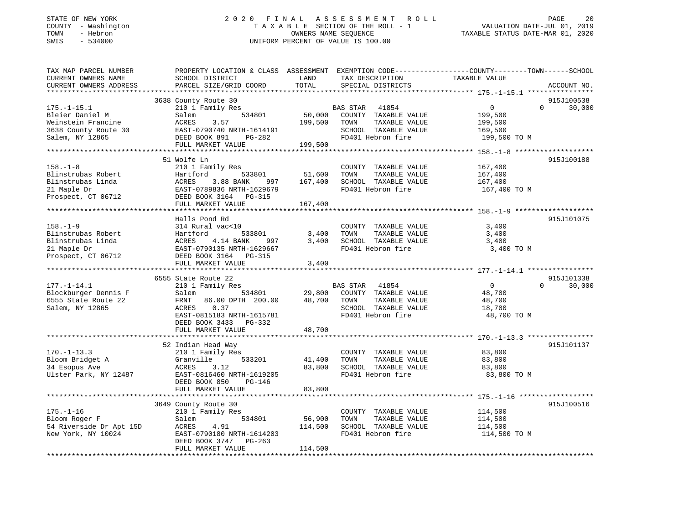### STATE OF NEW YORK 2 0 2 0 F I N A L A S S E S S M E N T R O L L PAGE 20 COUNTY - Washington T A X A B L E SECTION OF THE ROLL - 1 VALUATION DATE-JUL 01, 2019 TOWN - Hebron OWNERS NAME SEQUENCE TAXABLE STATUS DATE-MAR 01, 2020 SWIS - 534000 UNIFORM PERCENT OF VALUE IS 100.00

| TAX MAP PARCEL NUMBER<br>CURRENT OWNERS NAME | SCHOOL DISTRICT                                 | LAND    | TAX DESCRIPTION                        | PROPERTY LOCATION & CLASS ASSESSMENT EXEMPTION CODE----------------COUNTY-------TOWN------SCHOOL<br>TAXABLE VALUE |             |
|----------------------------------------------|-------------------------------------------------|---------|----------------------------------------|-------------------------------------------------------------------------------------------------------------------|-------------|
| CURRENT OWNERS ADDRESS                       | PARCEL SIZE/GRID COORD                          | TOTAL   | SPECIAL DISTRICTS                      |                                                                                                                   | ACCOUNT NO. |
|                                              | 3638 County Route 30                            |         |                                        |                                                                                                                   | 915J100538  |
| $175. - 1 - 15.1$                            | 210 1 Family Res                                |         | BAS STAR 41854                         | $\overline{0}$<br>$\Omega$                                                                                        | 30,000      |
| Bleier Daniel M                              | 534801<br>Salem                                 | 50,000  | COUNTY TAXABLE VALUE                   | 199,500                                                                                                           |             |
| Weinstein Francine                           | 3.57<br>ACRES                                   | 199,500 | TAXABLE VALUE<br>TOWN                  | 199,500                                                                                                           |             |
| 3638 County Route 30                         | EAST-0790740 NRTH-1614191                       |         | SCHOOL TAXABLE VALUE                   | 169,500                                                                                                           |             |
| Salem, NY 12865                              | DEED BOOK 891<br>PG-282                         |         | FD401 Hebron fire                      | 199,500 TO M                                                                                                      |             |
|                                              | FULL MARKET VALUE                               | 199,500 |                                        |                                                                                                                   |             |
|                                              |                                                 |         |                                        |                                                                                                                   |             |
|                                              | 51 Wolfe Ln                                     |         |                                        |                                                                                                                   | 915J100188  |
| $158. - 1 - 8$                               | 210 1 Family Res                                |         | COUNTY TAXABLE VALUE                   | 167,400                                                                                                           |             |
| Blinstrubas Robert                           | Hartford<br>533801                              | 51,600  | TOWN<br>TAXABLE VALUE                  | 167,400                                                                                                           |             |
| Blinstrubas Linda                            | 997<br>3.88 BANK<br>ACRES                       | 167,400 | SCHOOL TAXABLE VALUE                   | 167,400                                                                                                           |             |
| 21 Maple Dr                                  | EAST-0789836 NRTH-1629679                       |         | FD401 Hebron fire                      | 167,400 TO M                                                                                                      |             |
| Prospect, CT 06712                           | DEED BOOK 3164 PG-315                           |         |                                        |                                                                                                                   |             |
|                                              | FULL MARKET VALUE                               | 167,400 |                                        |                                                                                                                   |             |
|                                              |                                                 |         |                                        |                                                                                                                   |             |
|                                              | Halls Pond Rd                                   |         |                                        |                                                                                                                   | 915J101075  |
| $158. - 1 - 9$                               | 314 Rural vac<10                                |         | COUNTY TAXABLE VALUE                   | 3,400                                                                                                             |             |
| Blinstrubas Robert                           | 533801<br>Hartford<br>Hartfo<br>ACRES<br>EAST-( | 3,400   | TOWN<br>TAXABLE VALUE                  | 3,400                                                                                                             |             |
| Blinstrubas Linda                            | 4.14 BANK<br>997                                | 3,400   | SCHOOL TAXABLE VALUE                   | 3,400                                                                                                             |             |
| 21 Maple Dr                                  | EAST-0790135 NRTH-1629667                       |         | FD401 Hebron fire                      | 3,400 TO M                                                                                                        |             |
| Prospect, CT 06712                           | DEED BOOK 3164 PG-315                           |         |                                        |                                                                                                                   |             |
|                                              | FULL MARKET VALUE                               | 3,400   |                                        |                                                                                                                   |             |
|                                              |                                                 |         |                                        |                                                                                                                   | 915J101338  |
|                                              | 6555 State Route 22                             |         |                                        | $\overline{0}$<br>$\Omega$                                                                                        | 30,000      |
| $177. - 1 - 14.1$<br>Blockburger Dennis F    | 210 1 Family Res<br>534801                      | 29,800  | BAS STAR 41854<br>COUNTY TAXABLE VALUE |                                                                                                                   |             |
|                                              | Salem                                           |         | TOWN                                   | 48,700                                                                                                            |             |
| 6555 State Route 22<br>Salem, NY 12865       | FRNT<br>86.00 DPTH 200.00<br>0.37<br>ACRES      | 48,700  | TAXABLE VALUE<br>SCHOOL TAXABLE VALUE  | 48,700<br>18,700                                                                                                  |             |
|                                              | EAST-0815183 NRTH-1615781                       |         | FD401 Hebron fire                      | 48,700 TO M                                                                                                       |             |
|                                              | DEED BOOK 3433 PG-332                           |         |                                        |                                                                                                                   |             |
|                                              | FULL MARKET VALUE                               | 48,700  |                                        |                                                                                                                   |             |
|                                              |                                                 |         |                                        |                                                                                                                   |             |
|                                              | 52 Indian Head Way                              |         |                                        |                                                                                                                   | 915J101137  |
| $170. - 1 - 13.3$                            | 210 1 Family Res                                |         | COUNTY TAXABLE VALUE                   | 83,800                                                                                                            |             |
| Bloom Bridget A                              | Granville<br>533201                             | 41,400  | TOWN<br>TAXABLE VALUE                  | 83,800                                                                                                            |             |
| 34 Esopus Ave                                | ACRES<br>3.12                                   | 83,800  | SCHOOL TAXABLE VALUE                   | 83,800                                                                                                            |             |
| Ulster Park, NY 12487                        | EAST-0816460 NRTH-1619205                       |         | FD401 Hebron fire                      | 83,800 TO M                                                                                                       |             |
|                                              | DEED BOOK 850<br>PG-146                         |         |                                        |                                                                                                                   |             |
|                                              | FULL MARKET VALUE                               | 83,800  |                                        |                                                                                                                   |             |
|                                              |                                                 |         |                                        |                                                                                                                   |             |
|                                              | 3649 County Route 30                            |         |                                        |                                                                                                                   | 915J100516  |
| $175. - 1 - 16$                              | 210 1 Family Res                                |         | COUNTY TAXABLE VALUE                   | 114,500                                                                                                           |             |
| Bloom Roger F                                | 534801<br>Salem                                 | 56,900  | TOWN<br>TAXABLE VALUE                  | 114,500                                                                                                           |             |
| 54 Riverside Dr Apt 15D                      | ACRES<br>4.91                                   | 114,500 | SCHOOL TAXABLE VALUE                   | 114,500                                                                                                           |             |
| New York, NY 10024                           | EAST-0790180 NRTH-1614203                       |         | FD401 Hebron fire                      | 114,500 TO M                                                                                                      |             |
|                                              | DEED BOOK 3747 PG-263                           |         |                                        |                                                                                                                   |             |
|                                              | FULL MARKET VALUE                               | 114,500 |                                        |                                                                                                                   |             |
|                                              |                                                 |         |                                        |                                                                                                                   |             |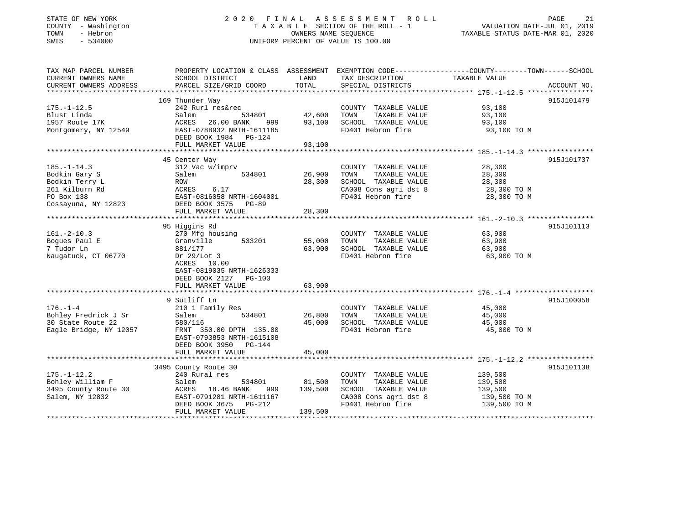### STATE OF NEW YORK 2 0 2 0 F I N A L A S S E S S M E N T R O L L PAGE 21 COUNTY - Washington T A X A B L E SECTION OF THE ROLL - 1 VALUATION DATE-JUL 01, 2019 TOWN - Hebron OWNERS NAME SEQUENCE TAXABLE STATUS DATE-MAR 01, 2020 SWIS - 534000 UNIFORM PERCENT OF VALUE IS 100.00

| TAX MAP PARCEL NUMBER<br>CURRENT OWNERS NAME | PROPERTY LOCATION & CLASS ASSESSMENT EXEMPTION CODE---------------COUNTY-------TOWN-----SCHOOL<br>SCHOOL DISTRICT | LAND    | TAX DESCRIPTION       | TAXABLE VALUE |             |
|----------------------------------------------|-------------------------------------------------------------------------------------------------------------------|---------|-----------------------|---------------|-------------|
| CURRENT OWNERS ADDRESS                       | PARCEL SIZE/GRID COORD                                                                                            | TOTAL   | SPECIAL DISTRICTS     |               | ACCOUNT NO. |
|                                              |                                                                                                                   |         |                       |               |             |
|                                              | 169 Thunder Way                                                                                                   |         |                       |               | 915J101479  |
| $175. - 1 - 12.5$                            | 242 Rurl res&rec                                                                                                  |         | COUNTY TAXABLE VALUE  | 93,100        |             |
| Blust Linda                                  | Salem<br>534801                                                                                                   | 42,600  | TOWN<br>TAXABLE VALUE | 93,100        |             |
| 1957 Route 17K                               | ACRES<br>26.00 BANK<br>999                                                                                        | 93,100  | SCHOOL TAXABLE VALUE  | 93,100        |             |
| Montgomery, NY 12549                         | EAST-0788932 NRTH-1611185<br>DEED BOOK 1984 PG-124                                                                |         | FD401 Hebron fire     | 93,100 TO M   |             |
|                                              | FULL MARKET VALUE                                                                                                 | 93,100  |                       |               |             |
|                                              |                                                                                                                   |         |                       |               |             |
|                                              | 45 Center Way                                                                                                     |         |                       |               | 915J101737  |
| $185. - 1 - 14.3$                            | 312 Vac w/imprv                                                                                                   |         | COUNTY TAXABLE VALUE  | 28,300        |             |
| Bodkin Gary S                                | Salem<br>534801                                                                                                   | 26,900  | TAXABLE VALUE<br>TOWN | 28,300        |             |
| Bodkin Terry L                               | ROW                                                                                                               | 28,300  | SCHOOL TAXABLE VALUE  | 28,300        |             |
| 261 Kilburn Rd                               | 6.17<br>ACRES                                                                                                     |         | CA008 Cons agri dst 8 | 28,300 TO M   |             |
| PO Box 138                                   | EAST-0816058 NRTH-1604001                                                                                         |         | FD401 Hebron fire     | 28,300 TO M   |             |
| Cossayuna, NY 12823                          | DEED BOOK 3575 PG-89                                                                                              |         |                       |               |             |
|                                              | FULL MARKET VALUE                                                                                                 | 28,300  |                       |               |             |
|                                              |                                                                                                                   |         |                       |               |             |
|                                              | 95 Higgins Rd                                                                                                     |         |                       |               | 915J101113  |
| $161. - 2 - 10.3$                            | 270 Mfg housing                                                                                                   |         | COUNTY TAXABLE VALUE  | 63,900        |             |
| Boques Paul E                                | 533201<br>Granville                                                                                               | 55,000  | TAXABLE VALUE<br>TOWN | 63,900        |             |
| 7 Tudor Ln                                   | 881/177                                                                                                           | 63,900  | SCHOOL TAXABLE VALUE  | 63,900        |             |
| Naugatuck, CT 06770                          | Dr $29/Lot$ 3                                                                                                     |         | FD401 Hebron fire     | 63,900 TO M   |             |
|                                              | ACRES 10.00                                                                                                       |         |                       |               |             |
|                                              | EAST-0819035 NRTH-1626333                                                                                         |         |                       |               |             |
|                                              | DEED BOOK 2127 PG-103                                                                                             |         |                       |               |             |
|                                              | FULL MARKET VALUE                                                                                                 | 63,900  |                       |               |             |
|                                              |                                                                                                                   |         |                       |               |             |
|                                              | 9 Sutliff Ln                                                                                                      |         |                       |               | 915J100058  |
| $176. - 1 - 4$                               | 210 1 Family Res                                                                                                  |         | COUNTY TAXABLE VALUE  | 45,000        |             |
| Bohley Fredrick J Sr                         | 534801<br>Salem                                                                                                   | 26,800  | TAXABLE VALUE<br>TOWN | 45,000        |             |
| 30 State Route 22                            | 580/116                                                                                                           | 45,000  | SCHOOL TAXABLE VALUE  | 45,000        |             |
| Eagle Bridge, NY 12057                       | FRNT 350.00 DPTH 135.00                                                                                           |         | FD401 Hebron fire     | 45,000 TO M   |             |
|                                              | EAST-0793853 NRTH-1615108                                                                                         |         |                       |               |             |
|                                              |                                                                                                                   |         |                       |               |             |
|                                              | DEED BOOK 3950 PG-144                                                                                             |         |                       |               |             |
|                                              | FULL MARKET VALUE                                                                                                 | 45,000  |                       |               |             |
|                                              | 3495 County Route 30                                                                                              |         |                       |               | 915J101138  |
|                                              | 240 Rural res                                                                                                     |         |                       |               |             |
| $175. - 1 - 12.2$                            |                                                                                                                   |         | COUNTY TAXABLE VALUE  | 139,500       |             |
| Bohley William F                             | Salem<br>534801                                                                                                   | 81,500  | TOWN<br>TAXABLE VALUE | 139,500       |             |
| 3495 County Route 30                         | ACRES 18.46 BANK<br>999                                                                                           | 139,500 | SCHOOL TAXABLE VALUE  | 139,500       |             |
| Salem, NY 12832                              | EAST-0791281 NRTH-1611167                                                                                         |         | CA008 Cons agri dst 8 | 139,500 TO M  |             |
|                                              | DEED BOOK 3675 PG-212                                                                                             |         | FD401 Hebron fire     | 139,500 TO M  |             |
|                                              | FULL MARKET VALUE                                                                                                 | 139,500 |                       |               |             |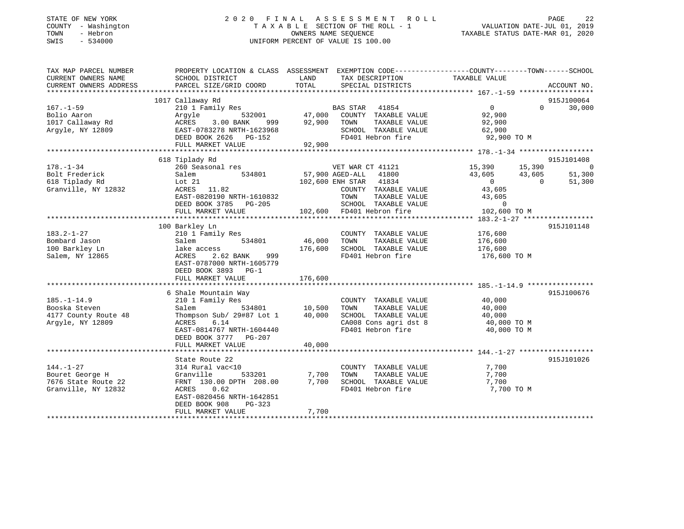| STATE OF NEW YORK |          |              |
|-------------------|----------|--------------|
| COUNTY            |          | - Washington |
| TOWN              | - Hebron |              |
| <b>CMTC</b>       | $\sim$   | 534000       |

### STATE OF NEW YORK 2 0 2 0 F I N A L A S S E S S M E N T R O L L PAGE 22 COUNTY - Washington T A X A B L E SECTION OF THE ROLL - 1 VALUATION DATE-JUL 01, 2019 OWNERS NAME SEQUENCE TAXABLE STATUS DATE-MAR 01, 2020 SWIS - 534000 UNIFORM PERCENT OF VALUE IS 100.00

| TAX MAP PARCEL NUMBER                         | PROPERTY LOCATION & CLASS ASSESSMENT EXEMPTION CODE----------------COUNTY-------TOWN------SCHOOL                                                                                                                                                                                                                                                                                                                |               |                                                                                                                                                                                       |                     |          |                |
|-----------------------------------------------|-----------------------------------------------------------------------------------------------------------------------------------------------------------------------------------------------------------------------------------------------------------------------------------------------------------------------------------------------------------------------------------------------------------------|---------------|---------------------------------------------------------------------------------------------------------------------------------------------------------------------------------------|---------------------|----------|----------------|
| CURRENT OWNERS NAME<br>CURRENT OWNERS ADDRESS | SCHOOL DISTRICT<br>PARCEL SIZE/GRID COORD                                                                                                                                                                                                                                                                                                                                                                       | LAND<br>TOTAL | TAX DESCRIPTION<br>SPECIAL DISTRICTS                                                                                                                                                  | TAXABLE VALUE       |          | ACCOUNT NO.    |
|                                               |                                                                                                                                                                                                                                                                                                                                                                                                                 |               |                                                                                                                                                                                       |                     |          |                |
|                                               | 1017 Callaway Rd                                                                                                                                                                                                                                                                                                                                                                                                |               |                                                                                                                                                                                       |                     |          | 915J100064     |
| $167. - 1 - 59$                               | 210 1 Family Res                                                                                                                                                                                                                                                                                                                                                                                                |               | BAS STAR 41854                                                                                                                                                                        | $\overline{0}$      |          | $0 \t 30,000$  |
| Bolio Aaron                                   | Argyle 532001 47,000                                                                                                                                                                                                                                                                                                                                                                                            |               | COUNTY TAXABLE VALUE                                                                                                                                                                  | 92,900              |          |                |
| 1017 Callaway Rd                              | ACRES 3.00 BANK                                                                                                                                                                                                                                                                                                                                                                                                 | 999 92,900    | TOWN<br>TAXABLE VALUE                                                                                                                                                                 | 92,900              |          |                |
| Argyle, NY 12809                              | EAST-0783278 NRTH-1623968                                                                                                                                                                                                                                                                                                                                                                                       |               | SCHOOL TAXABLE VALUE 62,900                                                                                                                                                           |                     |          |                |
|                                               | DEED BOOK 2626 PG-152                                                                                                                                                                                                                                                                                                                                                                                           | 92,900        | FD401 Hebron fire                                                                                                                                                                     | 92,900 TO M         |          |                |
|                                               | FULL MARKET VALUE                                                                                                                                                                                                                                                                                                                                                                                               |               |                                                                                                                                                                                       |                     |          |                |
|                                               | 618 Tiplady Rd                                                                                                                                                                                                                                                                                                                                                                                                  |               |                                                                                                                                                                                       |                     |          | 915J101408     |
| $178. - 1 - 34$                               | 260 Seasonal res                                                                                                                                                                                                                                                                                                                                                                                                |               | VET WAR CT 41121                                                                                                                                                                      | 15,390 15,390       |          | $\overline{0}$ |
| Bolt Frederick                                | Salem                                                                                                                                                                                                                                                                                                                                                                                                           |               | 534801 57,900 AGED-ALL 41800                                                                                                                                                          |                     | 43,605   | 51,300         |
| 618 Tiplady Rd                                | Lot 21                                                                                                                                                                                                                                                                                                                                                                                                          |               | 102,600 ENH STAR 41834                                                                                                                                                                | $43,605$<br>0       | $\sim$ 0 | 51,300         |
| Granville, NY 12832                           | ACRES 11.82                                                                                                                                                                                                                                                                                                                                                                                                     |               | COUNTY TAXABLE VALUE                                                                                                                                                                  | 43,605              |          |                |
|                                               | EAST-0820190 NRTH-1610832                                                                                                                                                                                                                                                                                                                                                                                       |               | TAXABLE VALUE<br>TOWN                                                                                                                                                                 | 43,605              |          |                |
|                                               | DEED BOOK 3785 PG-205                                                                                                                                                                                                                                                                                                                                                                                           |               | ${\tt SCHOOD\quad} {\tt TAXABLE\quad} {\tt VALUE} \qquad \qquad {\tt 0} \\ {\tt FD401\quad} {\tt Hebron \:} {\tt fire} \qquad \qquad {\tt 102,600\  \, TO\,} {\tt M} \qquad \qquad }$ |                     |          |                |
|                                               | $\begin{array}{ccccccccccc} \text{Lieb} & \text{Lieb} & \text{Lieb} & \text{Lieb} & \text{Lieb} & \text{Lieb} & \text{Lieb} & \text{Lieb} & \text{Lieb} & \text{Lieb} & \text{Lieb} & \text{Lieb} & \text{Lieb} & \text{Lieb} & \text{Lieb} & \text{Lieb} & \text{Lieb} & \text{Lieb} & \text{Lieb} & \text{Lieb} & \text{Lieb} & \text{Lieb} & \text{Lieb} & \text{Lieb} & \text{Lieb} & \text{Lieb} & \text{$ |               |                                                                                                                                                                                       |                     |          |                |
|                                               |                                                                                                                                                                                                                                                                                                                                                                                                                 |               |                                                                                                                                                                                       |                     |          |                |
| $183.2 - 1 - 27$                              | 100 Barkley Ln<br>210 1 Family Res                                                                                                                                                                                                                                                                                                                                                                              |               | COUNTY TAXABLE VALUE                                                                                                                                                                  | 176,600             |          | 915J101148     |
| Bombard Jason                                 | Salem<br>534801                                                                                                                                                                                                                                                                                                                                                                                                 | 46,000        | TOWN<br>TAXABLE VALUE                                                                                                                                                                 | 176,600             |          |                |
| 100 Barkley Ln                                | lake access                                                                                                                                                                                                                                                                                                                                                                                                     | 176,600       | SCHOOL TAXABLE VALUE                                                                                                                                                                  | 176,600             |          |                |
| Salem, NY 12865                               | 2.62 BANK 999<br>ACRES                                                                                                                                                                                                                                                                                                                                                                                          |               | FD401 Hebron fire                                                                                                                                                                     | 176,600 ТО М        |          |                |
|                                               | EAST-0787000 NRTH-1605779                                                                                                                                                                                                                                                                                                                                                                                       |               |                                                                                                                                                                                       |                     |          |                |
|                                               | DEED BOOK 3893 PG-1                                                                                                                                                                                                                                                                                                                                                                                             |               |                                                                                                                                                                                       |                     |          |                |
|                                               | FULL MARKET VALUE                                                                                                                                                                                                                                                                                                                                                                                               | 176,600       |                                                                                                                                                                                       |                     |          |                |
|                                               |                                                                                                                                                                                                                                                                                                                                                                                                                 |               |                                                                                                                                                                                       |                     |          |                |
|                                               | 6 Shale Mountain Way                                                                                                                                                                                                                                                                                                                                                                                            |               |                                                                                                                                                                                       |                     |          | 915J100676     |
| $185. - 1 - 14.9$<br>Booska Steven            | 210 1 Family Res                                                                                                                                                                                                                                                                                                                                                                                                |               | COUNTY TAXABLE VALUE<br>TAXABLE VALUE<br>TOWN                                                                                                                                         | 40,000              |          |                |
| 4177 County Route 48                          | 534801 10,500<br>Salem<br>Thompson Sub/ 29#87 Lot 1                                                                                                                                                                                                                                                                                                                                                             | 40,000        | SCHOOL TAXABLE VALUE                                                                                                                                                                  | 40,000<br>40,000    |          |                |
| Argyle, NY 12809                              | ACRES<br>6.14                                                                                                                                                                                                                                                                                                                                                                                                   |               | CA008 Cons agri dst 8                                                                                                                                                                 | 40,000 TO M         |          |                |
|                                               | EAST-0814767 NRTH-1604440                                                                                                                                                                                                                                                                                                                                                                                       |               | FD401 Hebron fire                                                                                                                                                                     | 40,000 TO M         |          |                |
|                                               | DEED BOOK 3777 PG-207                                                                                                                                                                                                                                                                                                                                                                                           |               |                                                                                                                                                                                       |                     |          |                |
|                                               | FULL MARKET VALUE                                                                                                                                                                                                                                                                                                                                                                                               | 40,000        |                                                                                                                                                                                       |                     |          |                |
|                                               |                                                                                                                                                                                                                                                                                                                                                                                                                 |               |                                                                                                                                                                                       |                     |          |                |
|                                               | State Route 22                                                                                                                                                                                                                                                                                                                                                                                                  |               |                                                                                                                                                                                       |                     |          | 915J101026     |
| $144. - 1 - 27$                               | 314 Rural vac<10                                                                                                                                                                                                                                                                                                                                                                                                |               | COUNTY TAXABLE VALUE                                                                                                                                                                  | 7,700               |          |                |
| Bouret George H                               | 533201<br>Granville                                                                                                                                                                                                                                                                                                                                                                                             | 7,700         | TOWN<br>TAXABLE VALUE                                                                                                                                                                 | 7,700               |          |                |
| 7676 State Route 22<br>Granville, NY 12832    | FRNT 130.00 DPTH 208.00                                                                                                                                                                                                                                                                                                                                                                                         | 7,700         | SCHOOL TAXABLE VALUE<br>FD401 Hebron fire                                                                                                                                             | 7,700<br>7,700 TO M |          |                |
|                                               | ACRES<br>0.62<br>EAST-0820456 NRTH-1642851                                                                                                                                                                                                                                                                                                                                                                      |               |                                                                                                                                                                                       |                     |          |                |
|                                               | DEED BOOK 908<br>PG-323                                                                                                                                                                                                                                                                                                                                                                                         |               |                                                                                                                                                                                       |                     |          |                |
|                                               | FULL MARKET VALUE                                                                                                                                                                                                                                                                                                                                                                                               | 7,700         |                                                                                                                                                                                       |                     |          |                |
|                                               |                                                                                                                                                                                                                                                                                                                                                                                                                 |               |                                                                                                                                                                                       |                     |          |                |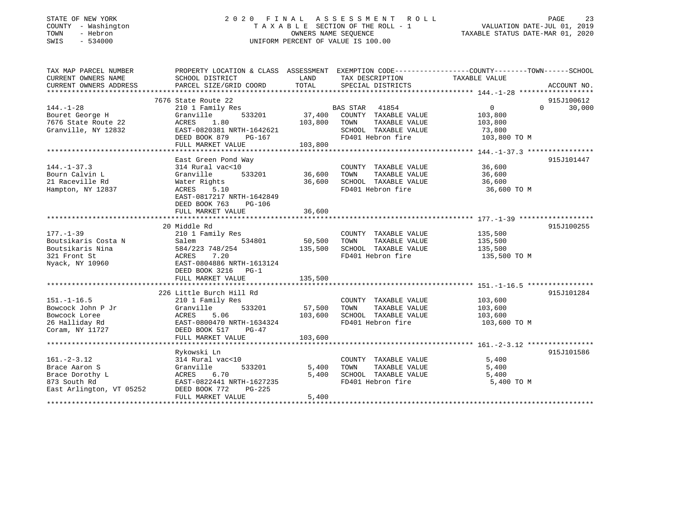| STATE OF NEW YORK |        |              |
|-------------------|--------|--------------|
| COUNTY            |        | - Washingtor |
| TOWN              |        | - Hebron     |
| <b>CMTC</b>       | $\sim$ | 534000       |

## STATE OF NEW YORK 2 0 2 0 F I N A L A S S E S S M E N T R O L L PAGE 23COUNTY A X A B L E SECTION OF THE ROLL - 1 OWNERS NAME SEQUENCE SWIS - 534000 UNIFORM PERCENT OF VALUE IS 100.00

TAXABLE STATUS DATE-MAR 01, 2020

| TAX MAP PARCEL NUMBER    | PROPERTY LOCATION & CLASS ASSESSMENT EXEMPTION CODE---------------COUNTY-------TOWN-----SCHOOL |         |                                               |                |                    |
|--------------------------|------------------------------------------------------------------------------------------------|---------|-----------------------------------------------|----------------|--------------------|
| CURRENT OWNERS NAME      | SCHOOL DISTRICT                                                                                | LAND    | TAX DESCRIPTION                               | TAXABLE VALUE  |                    |
| CURRENT OWNERS ADDRESS   | PARCEL SIZE/GRID COORD                                                                         | TOTAL   | SPECIAL DISTRICTS                             |                | ACCOUNT NO.        |
|                          |                                                                                                |         |                                               |                |                    |
|                          | 7676 State Route 22                                                                            |         |                                               |                | 915J100612         |
| $144. - 1 - 28$          | 210 1 Family Res                                                                               |         |                                               | $\overline{0}$ | $\Omega$<br>30,000 |
| Bouret George H          | Granville<br>533201                                                                            |         | BAS STAR 41854<br>37,400 COUNTY TAXABLE VALUE | 103,800        |                    |
| 7676 State Route 22      | ACRES<br>1.80                                                                                  | 103,800 | TOWN<br>TAXABLE VALUE                         | 103,800        |                    |
| Granville, NY 12832      | EAST-0820381 NRTH-1642621                                                                      |         | SCHOOL TAXABLE VALUE                          | 73,800         |                    |
|                          | DEED BOOK 879<br>PG-167                                                                        |         | FD401 Hebron fire                             | 103,800 TO M   |                    |
|                          | FULL MARKET VALUE                                                                              | 103,800 |                                               |                |                    |
|                          |                                                                                                |         |                                               |                |                    |
|                          | East Green Pond Way                                                                            |         |                                               |                | 915J101447         |
| $144. - 1 - 37.3$        | 314 Rural vac<10                                                                               |         | COUNTY TAXABLE VALUE                          | 36,600         |                    |
| Bourn Calvin L           | 533201<br>Granville                                                                            | 36,600  | TOWN<br>TAXABLE VALUE                         | 36,600         |                    |
| 21 Raceville Rd          | Water Rights                                                                                   | 36,600  | SCHOOL TAXABLE VALUE                          | 36,600         |                    |
| Hampton, NY 12837        | ACRES 5.10                                                                                     |         | FD401 Hebron fire                             | 36,600 TO M    |                    |
|                          | EAST-0817217 NRTH-1642849                                                                      |         |                                               |                |                    |
|                          | DEED BOOK 763<br>PG-106                                                                        |         |                                               |                |                    |
|                          | FULL MARKET VALUE                                                                              | 36,600  |                                               |                |                    |
|                          |                                                                                                |         |                                               |                |                    |
|                          | 20 Middle Rd                                                                                   |         |                                               |                | 915J100255         |
| $177. - 1 - 39$          | 210 1 Family Res                                                                               |         | COUNTY TAXABLE VALUE                          | 135,500        |                    |
| Boutsikaris Costa N      | Salem<br>534801                                                                                | 50,500  | TOWN<br>TAXABLE VALUE                         | 135,500        |                    |
| Boutsikaris Nina         | 584/223 748/254<br>ACRES      7.20                                                             | 135,500 | SCHOOL TAXABLE VALUE                          | 135,500        |                    |
| 321 Front St             | ACRES 7.20                                                                                     |         | FD401 Hebron fire                             | 135,500 TO M   |                    |
| Nyack, NY 10960          | EAST-0804886 NRTH-1613124                                                                      |         |                                               |                |                    |
|                          | DEED BOOK 3216 PG-1                                                                            |         |                                               |                |                    |
|                          | FULL MARKET VALUE                                                                              | 135,500 |                                               |                |                    |
|                          |                                                                                                |         |                                               |                |                    |
|                          | 226 Little Burch Hill Rd                                                                       |         |                                               |                | 915J101284         |
| $151. - 1 - 16.5$        | 210 1 Family Res                                                                               |         | COUNTY TAXABLE VALUE                          | 103,600        |                    |
| Bowcock John P Jr        | 533201<br>Granville                                                                            | 57,500  | TOWN<br>TAXABLE VALUE                         | 103,600        |                    |
| Bowcock Loree            | 5.06<br>ACRES 5.06<br>EAST-0800470 NRTH-1634324                                                | 103,600 | SCHOOL TAXABLE VALUE                          | 103,600        |                    |
| 26 Halliday Rd           |                                                                                                |         | FD401 Hebron fire                             | 103,600 TO M   |                    |
| Coram, NY 11727          | DEED BOOK 517<br>$PG-47$                                                                       |         |                                               |                |                    |
|                          | FULL MARKET VALUE                                                                              | 103,600 |                                               |                |                    |
|                          |                                                                                                |         |                                               |                |                    |
|                          | Rykowski Ln                                                                                    |         |                                               |                | 915J101586         |
| $161. - 2 - 3.12$        | 314 Rural vac<10                                                                               |         | COUNTY TAXABLE VALUE                          | 5,400          |                    |
| Brace Aaron S            | 533201<br>Granville                                                                            | 5,400   | TOWN<br>TAXABLE VALUE                         | 5,400          |                    |
| Brace Dorothy L          | ACRES 6.70                                                                                     | 5,400   | SCHOOL TAXABLE VALUE                          | 5,400          |                    |
| 873 South Rd             | EAST-0822441 NRTH-1627235                                                                      |         | FD401 Hebron fire                             | 5,400 TO M     |                    |
| East Arlington, VT 05252 | DEED BOOK 772<br>PG-225                                                                        |         |                                               |                |                    |
|                          | FULL MARKET VALUE                                                                              | 5,400   |                                               |                |                    |
|                          |                                                                                                |         |                                               |                |                    |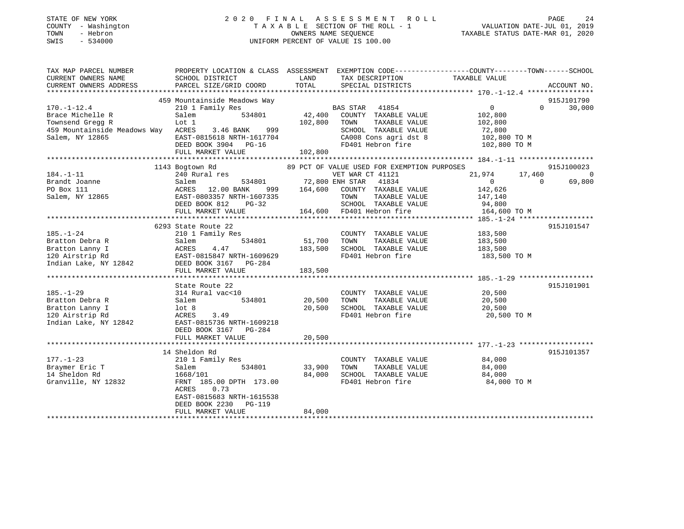| STATE OF NEW YORK<br>- Washington<br>COUNTY<br>- Hebron<br>TOWN<br>$-534000$<br>SWIS | 2020<br>TAXABLE                              | FINAL<br>OWNERS NAME SEOUENCE<br>UNIFORM PERCENT OF VALUE IS 100.00 | A S S E S S M E N T | R O L L<br>SECTION OF THE ROLL - 1 | TAXABLE STATUS DATE-MAR 01, 2020                             | PAGE<br>VALUATION DATE-JUL 01, | 2.4<br>2019 |
|--------------------------------------------------------------------------------------|----------------------------------------------|---------------------------------------------------------------------|---------------------|------------------------------------|--------------------------------------------------------------|--------------------------------|-------------|
| TAX MAP PARCEL NUMBER<br>CURRENT OWNERS NAME                                         | PROPERTY LOCATION & CLASS<br>SCHOOL DISTRICT | ASSESSMENT<br>LAND                                                  | EXEMPTION CODE-     | TAX DESCRIPTION                    | -------------COUNTY--------TOWN------SCHOOL<br>TAXABLE VALUE |                                |             |
| CURRENT OWNERS ADDRESS                                                               | PARCEL SIZE/GRID COORD                       | TOTAL                                                               |                     | SPECIAL DISTRICTS                  |                                                              | ACCOUNT NO.                    |             |
|                                                                                      | 459 Mountainside Meadows Way                 |                                                                     |                     |                                    |                                                              | 915J101790                     |             |
| $170. - 1 - 12.4$                                                                    | 210 1 Family Res                             |                                                                     | BAS STAR            | 41854                              |                                                              | $\Omega$                       | 30,000      |
| Brace Michelle R                                                                     | Salem<br>534801                              | 42,400                                                              | COUNTY              | TAXABLE VALUE                      | 102,800                                                      |                                |             |
| Townsend Gregg R                                                                     | Lot 1                                        | 102,800                                                             | TOWN                | TAXABLE VALUE                      | 102,800                                                      |                                |             |

| Townsend Gregg R<br>459 Mountainside Meadows Way<br>Salem, NY 12865 | Lot 1<br>ACRES<br>3.46 BANK 999<br>EAST-0815618 NRTH-1617704<br>DEED BOOK 3904 PG-16<br>FULL MARKET VALUE | 102,800<br>102,800 | TAXABLE VALUE<br>TOWN<br>SCHOOL TAXABLE VALUE<br>CA008 Cons agri dst 8<br>FD401 Hebron fire | 102,800<br>72,800<br>102,800 TO M<br>102,800 TO M |                |
|---------------------------------------------------------------------|-----------------------------------------------------------------------------------------------------------|--------------------|---------------------------------------------------------------------------------------------|---------------------------------------------------|----------------|
|                                                                     | 1143 Bogtown Rd                                                                                           |                    | 89 PCT OF VALUE USED FOR EXEMPTION PURPOSES                                                 |                                                   | 915J100023     |
| $184. - 1 - 11$                                                     | 240 Rural res                                                                                             |                    | VET WAR CT 41121                                                                            | 21,974<br>17,460                                  | $\overline{0}$ |
| Brandt Joanne                                                       | 534801 72,800 ENH STAR 41834<br>Salem                                                                     |                    |                                                                                             | $\overline{0}$<br>$\Omega$                        | 69,800         |
| PO Box 111                                                          | ACRES 12.00 BANK                                                                                          |                    | 999 164,600 COUNTY TAXABLE VALUE                                                            | 142,626                                           |                |
| Salem, NY 12865                                                     | EAST-0803357 NRTH-1607335                                                                                 |                    | TOWN                                                                                        | TAXABLE VALUE 147,140                             |                |
|                                                                     | DEED BOOK 812<br>$PG-32$                                                                                  |                    | SCHOOL TAXABLE VALUE                                                                        | 94,800                                            |                |
|                                                                     |                                                                                                           |                    |                                                                                             |                                                   |                |
|                                                                     |                                                                                                           |                    |                                                                                             |                                                   |                |
|                                                                     | 6293 State Route 22                                                                                       |                    |                                                                                             |                                                   | 915J101547     |
| $185. - 1 - 24$                                                     | 210 1 Family Res                                                                                          |                    | COUNTY TAXABLE VALUE 183,500                                                                |                                                   |                |
| Bratton Debra R                                                     | 534801<br>Salem                                                                                           | 51,700 TOWN        | TAXABLE VALUE                                                                               | 183,500                                           |                |
| Bratton Lanny I                                                     | 183,500                                                                                                   |                    | SCHOOL TAXABLE VALUE                                                                        | 183,500                                           |                |
| 120 Airstrip Rd                                                     | ACRES 4.47<br>EAST-0815847 NRTH-1609629<br>12842 DEED BOOK 3167 PG-284                                    |                    | FD401 Hebron fire                                                                           | 183,500 TO M                                      |                |
| Indian Lake, NY 12842                                               |                                                                                                           |                    |                                                                                             |                                                   |                |
|                                                                     | FULL MARKET VALUE                                                                                         | 183,500            |                                                                                             |                                                   |                |
|                                                                     |                                                                                                           |                    |                                                                                             |                                                   |                |
|                                                                     | State Route 22                                                                                            |                    |                                                                                             |                                                   | 915J101901     |
| $185. - 1 - 29$                                                     | 314 Rural vac<10                                                                                          |                    | COUNTY TAXABLE VALUE                                                                        |                                                   |                |
| Bratton Debra R                                                     | Salem<br>534801                                                                                           | 20,500             | TAXABLE VALUE<br>TOWN                                                                       | 20,500<br>20,500<br>20,500                        |                |
| Bratton Lanny I                                                     | lot 8                                                                                                     | 20,500             | SCHOOL TAXABLE VALUE                                                                        | 20,500                                            |                |
| 120 Airstrip Rd                                                     | ACRES<br>3.49                                                                                             |                    | FD401 Hebron fire                                                                           | 20,500 TO M                                       |                |
| Indian Lake, NY 12842                                               | EAST-0815736 NRTH-1609218                                                                                 |                    |                                                                                             |                                                   |                |
|                                                                     | DEED BOOK 3167 PG-284                                                                                     |                    |                                                                                             |                                                   |                |
|                                                                     | FULL MARKET VALUE                                                                                         | 20,500             |                                                                                             |                                                   |                |
|                                                                     |                                                                                                           |                    |                                                                                             |                                                   |                |
|                                                                     | 14 Sheldon Rd                                                                                             |                    |                                                                                             |                                                   | 915J101357     |
| $177. - 1 - 23$                                                     | 210 1 Family Res                                                                                          |                    | COUNTY TAXABLE VALUE                                                                        | 84,000                                            |                |
| Braymer Eric T                                                      | 534801<br>Salem                                                                                           | 33,900             | TAXABLE VALUE<br>TOWN                                                                       | 84,000                                            |                |
| 14 Sheldon Rd                                                       | 1668/101                                                                                                  | 84,000             | SCHOOL TAXABLE VALUE                                                                        | 84,000                                            |                |
| Granville, NY 12832                                                 | FRNT 185.00 DPTH 173.00<br>0.73                                                                           |                    | FD401 Hebron fire                                                                           | 84,000 TO M                                       |                |
|                                                                     | ACRES<br>EAST-0815683 NRTH-1615538                                                                        |                    |                                                                                             |                                                   |                |
|                                                                     | DEED BOOK 2230 PG-119                                                                                     |                    |                                                                                             |                                                   |                |
|                                                                     | FULL MARKET VALUE                                                                                         | 84,000             |                                                                                             |                                                   |                |
|                                                                     |                                                                                                           |                    |                                                                                             |                                                   |                |
|                                                                     |                                                                                                           |                    |                                                                                             |                                                   |                |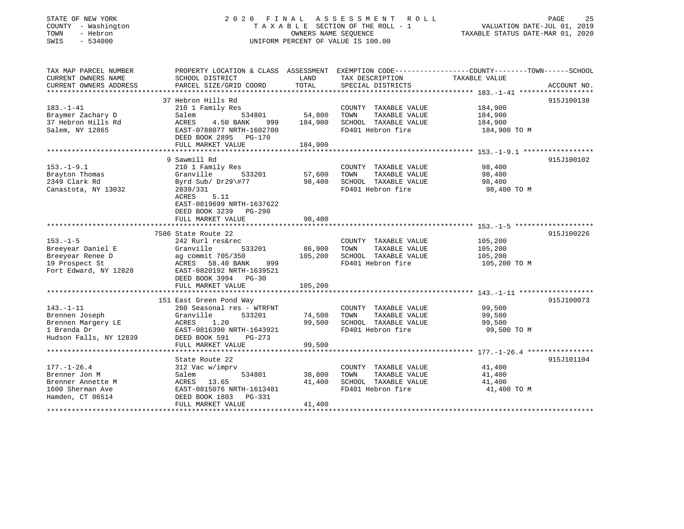### STATE OF NEW YORK 2 0 2 0 F I N A L A S S E S S M E N T R O L L PAGE 25 COUNTY - Washington T A X A B L E SECTION OF THE ROLL - 1 VALUATION DATE-JUL 01, 2019 TOWN - Hebron OWNERS NAME SEQUENCE TAXABLE STATUS DATE-MAR 01, 2020 SWIS - 534000 UNIFORM PERCENT OF VALUE IS 100.00

| TAX MAP PARCEL NUMBER<br>CURRENT OWNERS NAME<br>CURRENT OWNERS ADDRESS | SCHOOL DISTRICT<br>PARCEL SIZE/GRID COORD    | LAND<br>TOTAL | TAX DESCRIPTION TAXABLE VALUE<br>SPECIAL DISTRICTS | PROPERTY LOCATION & CLASS ASSESSMENT EXEMPTION CODE----------------COUNTY-------TOWN------SCHOOL<br>ACCOUNT NO. |
|------------------------------------------------------------------------|----------------------------------------------|---------------|----------------------------------------------------|-----------------------------------------------------------------------------------------------------------------|
|                                                                        |                                              |               |                                                    |                                                                                                                 |
|                                                                        | 37 Hebron Hills Rd                           |               |                                                    | 915J100138                                                                                                      |
| $183. - 1 - 41$                                                        | 210 1 Family Res                             |               | COUNTY TAXABLE VALUE                               | 184,900                                                                                                         |
| Braymer Zachary D                                                      | 534801<br>Salem                              | 54,800        | TAXABLE VALUE<br>TOWN                              | 184,900                                                                                                         |
| 37 Hebron Hills Rd                                                     | ACRES<br>4.50 BANK                           | 999 184,900   | SCHOOL TAXABLE VALUE                               | 184,900                                                                                                         |
| Salem, NY 12865                                                        | EAST-0788077 NRTH-1602700                    |               | FD401 Hebron fire                                  | 184,900 TO M                                                                                                    |
|                                                                        | DEED BOOK 2895 PG-170                        |               |                                                    |                                                                                                                 |
|                                                                        | FULL MARKET VALUE                            | 184,900       |                                                    |                                                                                                                 |
|                                                                        |                                              |               |                                                    |                                                                                                                 |
|                                                                        | 9 Sawmill Rd                                 |               |                                                    | 915J100102                                                                                                      |
| $153. - 1 - 9.1$                                                       | 210 1 Family Res                             |               | COUNTY TAXABLE VALUE                               | 98,400                                                                                                          |
| Brayton Thomas                                                         | Granville                                    |               | TOWN<br>TAXABLE VALUE                              | 98,400                                                                                                          |
| 2349 Clark Rd                                                          | Byrd Sub/ Dr29\#77 98,400                    |               | SCHOOL TAXABLE VALUE                               | 98,400                                                                                                          |
| Canastota, NY 13032                                                    | 2839/331                                     |               | FD401 Hebron fire                                  | 98,400 TO M                                                                                                     |
|                                                                        | 5.11<br>ACRES                                |               |                                                    |                                                                                                                 |
|                                                                        | EAST-0819699 NRTH-1637622                    |               |                                                    |                                                                                                                 |
|                                                                        | DEED BOOK 3239 PG-290                        |               |                                                    |                                                                                                                 |
|                                                                        | FULL MARKET VALUE                            | 98,400        |                                                    |                                                                                                                 |
|                                                                        |                                              |               |                                                    | 915J100226                                                                                                      |
| $153. - 1 - 5$                                                         | 7586 State Route 22<br>242 Rurl res&rec      |               | COUNTY TAXABLE VALUE                               | 105,200                                                                                                         |
| Breeyear Daniel E                                                      | Granville<br>533201                          | 86,900        | TOWN<br>TAXABLE VALUE                              | 105,200                                                                                                         |
| Breeyear Renee D                                                       |                                              | 105,200       | SCHOOL TAXABLE VALUE                               | 105,200                                                                                                         |
| 19 Prospect St                                                         | ag commit 705/350<br>ACRES 58.40 BANK<br>999 |               | FD401 Hebron fire                                  | 105,200 TO M                                                                                                    |
| Fort Edward, NY 12828                                                  | EAST-0820192 NRTH-1639521                    |               |                                                    |                                                                                                                 |
|                                                                        | DEED BOOK 3994 PG-30                         |               |                                                    |                                                                                                                 |
|                                                                        | FULL MARKET VALUE                            | 105,200       |                                                    |                                                                                                                 |
|                                                                        |                                              |               |                                                    |                                                                                                                 |
|                                                                        | 151 East Green Pond Way                      |               |                                                    | 915J100073                                                                                                      |
| $143. - 1 - 11$                                                        | 260 Seasonal res - WTRFNT                    |               | COUNTY TAXABLE VALUE                               | 99,500                                                                                                          |
| Brennen Joseph                                                         | Granville<br>533201                          | 74,500        | TAXABLE VALUE<br>TOWN                              | 99,500                                                                                                          |
| Brennen Margery LE                                                     | 1.20<br>ACRES                                | 99,500        | SCHOOL TAXABLE VALUE                               | 99,500                                                                                                          |
| 1 Brenda Dr                                                            | EAST-0816390 NRTH-1643921                    |               | FD401 Hebron fire                                  | 99,500 TO M                                                                                                     |
| Hudson Falls, NY 12839                                                 | DEED BOOK 591<br>PG-273                      |               |                                                    |                                                                                                                 |
|                                                                        | FULL MARKET VALUE                            | 99,500        |                                                    |                                                                                                                 |
|                                                                        |                                              |               |                                                    |                                                                                                                 |
|                                                                        | State Route 22                               |               |                                                    | 915J101104                                                                                                      |
| $177. - 1 - 26.4$                                                      | 312 Vac w/imprv                              |               | COUNTY TAXABLE VALUE                               | 41,400                                                                                                          |
| Brenner Jon M                                                          | Salem<br>534801                              | 38,800        | TAXABLE VALUE<br>TOWN                              | 41,400                                                                                                          |
| Brenner Annette M                                                      | ACRES 13.65                                  | 41,400        | SCHOOL TAXABLE VALUE                               | 41,400                                                                                                          |
| 1600 Sherman Ave                                                       | EAST-0815076 NRTH-1613481                    |               | FD401 Hebron fire                                  | 41,400 TO M                                                                                                     |
| Hamden, CT 06514                                                       | DEED BOOK 1803 PG-331                        |               |                                                    |                                                                                                                 |
|                                                                        | FULL MARKET VALUE                            | 41,400        |                                                    |                                                                                                                 |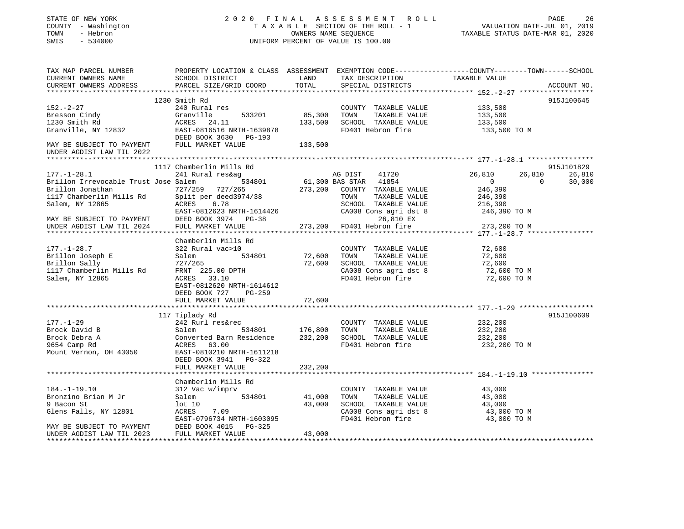STATE OF NEW YORK 2 0 2 0 F I N A L A S S E S S M E N T R O L L PAGE 26 COUNTY - Washington T A X A B L E SECTION OF THE ROLL - 1 VALUATION DATE-JUL 01, 2019 TOWN - Hebron OWNERS NAME SEQUENCE TAXABLE STATUS DATE-MAR 01, 2020 SWIS - 534000 UNIFORM PERCENT OF VALUE IS 100.00 TAX MAP PARCEL NUMBER PROPERTY LOCATION & CLASS ASSESSMENT EXEMPTION CODE------------------COUNTY--------TOWN------SCHOOL

| TAX MAP PARCEL NUMBER                                                           | PROPERTY LOCATION & CLASS ASSESSMENT EXEMPTION CODE------------------COUNTY-------TOWN------SCHOOL                                                                                                                                                                     |                               |                                                                                                                                                                                                                                  |                                  |             |
|---------------------------------------------------------------------------------|------------------------------------------------------------------------------------------------------------------------------------------------------------------------------------------------------------------------------------------------------------------------|-------------------------------|----------------------------------------------------------------------------------------------------------------------------------------------------------------------------------------------------------------------------------|----------------------------------|-------------|
|                                                                                 |                                                                                                                                                                                                                                                                        |                               |                                                                                                                                                                                                                                  |                                  |             |
|                                                                                 |                                                                                                                                                                                                                                                                        |                               |                                                                                                                                                                                                                                  |                                  | ACCOUNT NO. |
|                                                                                 | CURRENT OWNERS ADDRESS PARCEL SIZE/GRID COORD TOTAL SPECIAL DISTRICTS TAXABLE VALUE TAXABLE VALUE PARCEL SIZE/GRID COORD TOTAL SPECIAL DISTRICTS                                                                                                                       |                               |                                                                                                                                                                                                                                  |                                  |             |
|                                                                                 | 1230 Smith Rd                                                                                                                                                                                                                                                          |                               |                                                                                                                                                                                                                                  |                                  | 915J100645  |
| $152. - 2 - 27$                                                                 | 240 Rural res                                                                                                                                                                                                                                                          |                               | COUNTY TAXABLE VALUE 133,500                                                                                                                                                                                                     |                                  |             |
|                                                                                 |                                                                                                                                                                                                                                                                        |                               |                                                                                                                                                                                                                                  |                                  |             |
|                                                                                 | $533201$ $85,300$<br>11 $122,500$                                                                                                                                                                                                                                      |                               | 85,300 TOWN TAXABLE VALUE 133,500<br>133,500 SCHOOL TAXABLE VALUE 133,500                                                                                                                                                        |                                  |             |
| 152.-2-2/<br>Bresson Cindy (1997) Granville<br>1230 Smith Rd (1998) ACRES 24.11 |                                                                                                                                                                                                                                                                        |                               | FD401 Hebron fire 313,500 TO M                                                                                                                                                                                                   |                                  |             |
|                                                                                 | Granville, NY 12832 EAST-0816516 NRTH-1639878<br>DEED BOOK 3630 PG-193                                                                                                                                                                                                 |                               |                                                                                                                                                                                                                                  |                                  |             |
| MAY BE SUBJECT TO PAYMENT                                                       |                                                                                                                                                                                                                                                                        |                               |                                                                                                                                                                                                                                  |                                  |             |
|                                                                                 | FULL MARKET VALUE                                                                                                                                                                                                                                                      | 133,500                       |                                                                                                                                                                                                                                  |                                  |             |
| UNDER AGDIST LAW TIL 2022                                                       |                                                                                                                                                                                                                                                                        |                               |                                                                                                                                                                                                                                  |                                  |             |
|                                                                                 |                                                                                                                                                                                                                                                                        |                               |                                                                                                                                                                                                                                  |                                  |             |
|                                                                                 | 1117 Chamberlin Mills Rd                                                                                                                                                                                                                                               |                               |                                                                                                                                                                                                                                  |                                  | 915J101829  |
| $177. - 1 - 28.1$                                                               | 241 Rural res&ag                                                                                                                                                                                                                                                       |                               | EXAMPLE THE STRIP OF THE STRIP OF THE STRIP OF THE STRIP OF THE STRIP OF THE STRIP OF THE STRIP OF THE STRIP O<br>The STRIP OF THE STRIP OF THE STRIP OF THE STRIP OF THE STRIP OF THE STRIP OF THE STRIP OF THE STRIP OF THE ST | 26,810<br>26,810                 | 26,810      |
| Brillon Irrevocable Trust Jose Salem                                            |                                                                                                                                                                                                                                                                        |                               |                                                                                                                                                                                                                                  | $\overline{0}$<br>$\overline{0}$ | 30,000      |
|                                                                                 |                                                                                                                                                                                                                                                                        |                               |                                                                                                                                                                                                                                  |                                  |             |
|                                                                                 |                                                                                                                                                                                                                                                                        |                               |                                                                                                                                                                                                                                  |                                  |             |
|                                                                                 |                                                                                                                                                                                                                                                                        |                               |                                                                                                                                                                                                                                  |                                  |             |
|                                                                                 |                                                                                                                                                                                                                                                                        |                               |                                                                                                                                                                                                                                  |                                  |             |
|                                                                                 |                                                                                                                                                                                                                                                                        |                               |                                                                                                                                                                                                                                  |                                  |             |
|                                                                                 | EXECUTION JORNAL PRINCIPLE MATRIE VALUE<br>1117 Chamberlin Mills Rd<br>Salem, NY 12865 acres 6.78 SCHOOL TAXABLE VALUE<br>MAY BE SUBJECT TO PAYMENT DEED BOOK 3974 PG-38 273,200 FD401 Hebron fire<br>117 Chamberlin Mills Rd<br>Salem,                                |                               |                                                                                                                                                                                                                                  |                                  |             |
|                                                                                 |                                                                                                                                                                                                                                                                        |                               |                                                                                                                                                                                                                                  |                                  |             |
|                                                                                 | Chamberlin Mills Rd                                                                                                                                                                                                                                                    |                               |                                                                                                                                                                                                                                  |                                  |             |
|                                                                                 | 322 Rural vac>10                                                                                                                                                                                                                                                       |                               | COUNTY TAXABLE VALUE                                                                                                                                                                                                             | 72,600                           |             |
|                                                                                 | Salem                                                                                                                                                                                                                                                                  | 0 COUNT<br>534801 72,600 TOWN |                                                                                                                                                                                                                                  |                                  |             |
| <br>Brillon Joseph E<br>Brillon Sally<br>1117 Chamboriis                        |                                                                                                                                                                                                                                                                        |                               | 72,600 TOWN TAXABLE VALUE 72,600<br>72,600 SCHOOL TAXABLE VALUE 72,600<br>CA008 CA008 agri dst 8 72,600 TO M                                                                                                                     |                                  |             |
|                                                                                 | Brillon Sally 127/265<br>1117 Chamberlin Mills Rd FRNT 225.00 DPTH<br>Salem, NY 12865 ACRES 33.10                                                                                                                                                                      |                               |                                                                                                                                                                                                                                  |                                  |             |
|                                                                                 |                                                                                                                                                                                                                                                                        |                               |                                                                                                                                                                                                                                  |                                  |             |
|                                                                                 |                                                                                                                                                                                                                                                                        |                               | FD401 Hebron fire                                                                                                                                                                                                                | 72,600 TO M                      |             |
|                                                                                 | EAST-0812620 NRTH-1614612                                                                                                                                                                                                                                              |                               |                                                                                                                                                                                                                                  |                                  |             |
|                                                                                 | DEED BOOK 727 PG-259                                                                                                                                                                                                                                                   |                               |                                                                                                                                                                                                                                  |                                  |             |
|                                                                                 | FULL MARKET VALUE                                                                                                                                                                                                                                                      | 72,600                        |                                                                                                                                                                                                                                  |                                  |             |
|                                                                                 |                                                                                                                                                                                                                                                                        |                               |                                                                                                                                                                                                                                  |                                  |             |
|                                                                                 | 117 Tiplady Rd                                                                                                                                                                                                                                                         |                               |                                                                                                                                                                                                                                  |                                  | 915J100609  |
| $177. - 1 - 29$                                                                 | 242 Rurl res&rec                                                                                                                                                                                                                                                       |                               | COUNTY TAXABLE VALUE                                                                                                                                                                                                             | 232,200                          |             |
| Brock David B                                                                   |                                                                                                                                                                                                                                                                        |                               |                                                                                                                                                                                                                                  |                                  |             |
| Brock Debra A                                                                   |                                                                                                                                                                                                                                                                        |                               |                                                                                                                                                                                                                                  |                                  |             |
| 9654 Camp Rd                                                                    | Salem 534801 176,800 TOWN TAXABLE VALUE 232,200<br>Converted Barn Residence 232,200 SCHOOL TAXABLE VALUE 232,200<br>ACRES 63.00 FD401 Hebron fire 232,200 TO M<br>Salem 534801<br>Converted Barn Residence<br>ACRES 63.00<br>DH 43050 EAST-0810210 NRTH-1611218        |                               |                                                                                                                                                                                                                                  |                                  |             |
| Mount Vernon, OH 43050                                                          |                                                                                                                                                                                                                                                                        |                               |                                                                                                                                                                                                                                  |                                  |             |
|                                                                                 | DEED BOOK 3941 PG-322                                                                                                                                                                                                                                                  |                               |                                                                                                                                                                                                                                  |                                  |             |
|                                                                                 | FULL MARKET VALUE                                                                                                                                                                                                                                                      | 232,200                       |                                                                                                                                                                                                                                  |                                  |             |
|                                                                                 |                                                                                                                                                                                                                                                                        |                               |                                                                                                                                                                                                                                  |                                  |             |
|                                                                                 |                                                                                                                                                                                                                                                                        |                               |                                                                                                                                                                                                                                  |                                  |             |
|                                                                                 | Chamberlin Mills Rd                                                                                                                                                                                                                                                    |                               |                                                                                                                                                                                                                                  |                                  |             |
| $184. - 1 - 19.10$                                                              | $\begin{tabular}{lllllll} 312\text{ Vac } \text{w}/\text{imprv} & \multicolumn{2}{c }{\text{COUNTY}}\\ \text{Salem} & \multicolumn{2}{c }{\text{534801}} & \multicolumn{2}{c }{\text{41,000}} & \multicolumn{2}{c }{\text{COUNTY}}\\ \end{tabular}$<br>312 Vac w/imprv |                               | COUNTY TAXABLE VALUE 43,000<br>TOWN TAXABLE VALUE 43,000                                                                                                                                                                         |                                  |             |
| Bronzino Brian M Jr                                                             | 100 10<br>ACRES 7.09 1000 3CHOOL TAXABLE VALUE 43,000<br>EAST-0796734 NRTH-1603095 FD401 Hebron fire 43,000 TO M<br>DEED BOOK 4015 PG-325<br>FD401 Hebron fire 43,000 TO M<br>FD401 Hebron fire 43,000 TO M<br>FD401 Hebron fire 43,000 TO                             |                               |                                                                                                                                                                                                                                  |                                  |             |
| 9 Bacon St                                                                      |                                                                                                                                                                                                                                                                        |                               |                                                                                                                                                                                                                                  |                                  |             |
| Glens Falls, NY 12801                                                           |                                                                                                                                                                                                                                                                        |                               |                                                                                                                                                                                                                                  |                                  |             |
|                                                                                 | EAST-0796734 NRTH-1603095<br>MAY BE SUBJECT TO PAYMENT DEED BOOK 4015 PG-325                                                                                                                                                                                           |                               |                                                                                                                                                                                                                                  |                                  |             |
|                                                                                 |                                                                                                                                                                                                                                                                        |                               |                                                                                                                                                                                                                                  |                                  |             |
| UNDER AGDIST LAW TIL 2023                                                       | FULL MARKET VALUE                                                                                                                                                                                                                                                      | 43,000                        |                                                                                                                                                                                                                                  |                                  |             |
|                                                                                 |                                                                                                                                                                                                                                                                        |                               |                                                                                                                                                                                                                                  |                                  |             |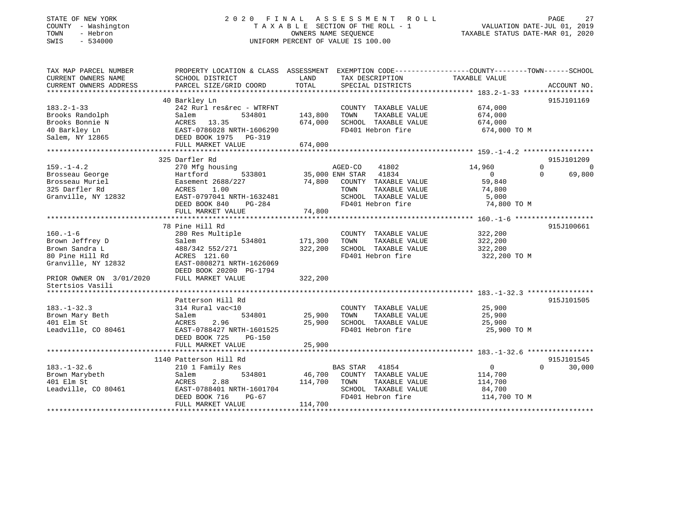### STATE OF NEW YORK 2 0 2 0 F I N A L A S S E S S M E N T R O L L PAGE 27 COUNTY - Washington T A X A B L E SECTION OF THE ROLL - 1 VALUATION DATE-JUL 01, 2019 TOWN - Hebron OWNERS NAME SEQUENCE TAXABLE STATUS DATE-MAR 01, 2020 SWIS - 534000 UNIFORM PERCENT OF VALUE IS 100.00UNIFORM PERCENT OF VALUE IS 100.00

| TAX MAP PARCEL NUMBER                 | PROPERTY LOCATION & CLASS ASSESSMENT EXEMPTION CODE---------------COUNTY-------TOWN------SCHOOL |         |                       |                |                      |
|---------------------------------------|-------------------------------------------------------------------------------------------------|---------|-----------------------|----------------|----------------------|
| CURRENT OWNERS NAME                   | SCHOOL DISTRICT                                                                                 | LAND    | TAX DESCRIPTION       | TAXABLE VALUE  |                      |
| CURRENT OWNERS ADDRESS                | PARCEL SIZE/GRID COORD                                                                          | TOTAL   | SPECIAL DISTRICTS     |                | ACCOUNT NO.          |
|                                       |                                                                                                 |         |                       |                |                      |
|                                       | 40 Barkley Ln                                                                                   |         |                       |                | 915J101169           |
| $183.2 - 1 - 33$                      | 242 Rurl res&rec - WTRFNT                                                                       |         | COUNTY TAXABLE VALUE  | 674,000        |                      |
| Brooks Randolph                       | Salem<br>534801                                                                                 | 143,800 | TAXABLE VALUE<br>TOWN | 674,000        |                      |
| Brooks Bonnie N                       | ACRES 13.35                                                                                     | 674,000 | SCHOOL TAXABLE VALUE  | 674,000        |                      |
| 40 Barkley Ln                         | EAST-0786028 NRTH-1606290                                                                       |         | FD401 Hebron fire     | 674,000 TO M   |                      |
| Salem, NY 12865 DEED BOOK 1975 PG-319 |                                                                                                 |         |                       |                |                      |
|                                       | FULL MARKET VALUE                                                                               | 674,000 |                       |                |                      |
|                                       |                                                                                                 |         |                       |                |                      |
|                                       | 325 Darfler Rd                                                                                  |         |                       |                | 915J101209           |
| $159. - 1 - 4.2$                      | 270 Mfg housing                                                                                 |         | AGED-CO<br>41802      | 14,960         | $\Omega$<br>$\Omega$ |
| Brosseau George                       | 533801<br>Hartford                                                                              |         | 35,000 ENH STAR 41834 | $\overline{0}$ | $\Omega$<br>69,800   |
| Brosseau Muriel                       | Easement 2688/227                                                                               | 74,800  | COUNTY TAXABLE VALUE  | 59,840         |                      |
| 325 Darfler Rd                        | ACRES<br>1.00                                                                                   |         | TOWN<br>TAXABLE VALUE | 74,800         |                      |
| Granville, NY 12832                   | EAST-0797041 NRTH-1632481                                                                       |         | SCHOOL TAXABLE VALUE  | 5,000          |                      |
|                                       | PG-284<br>DEED BOOK 840                                                                         |         | FD401 Hebron fire     | 74,800 TO M    |                      |
|                                       | FULL MARKET VALUE                                                                               | 74,800  |                       |                |                      |
|                                       |                                                                                                 |         |                       |                |                      |
|                                       | 78 Pine Hill Rd                                                                                 |         |                       |                | 915J100661           |
| $160. - 1 - 6$                        | 280 Res Multiple                                                                                |         | COUNTY TAXABLE VALUE  | 322,200        |                      |
| Brown Jeffrey D                       | 534801<br>Salem                                                                                 | 171,300 | TOWN<br>TAXABLE VALUE | 322,200        |                      |
| Brown Sandra L                        | 488/342 552/271                                                                                 | 322,200 | SCHOOL TAXABLE VALUE  | 322,200        |                      |
| 80 Pine Hill Rd                       | ACRES 121.60                                                                                    |         | FD401 Hebron fire     | 322,200 TO M   |                      |
| Granville, NY 12832                   | EAST-0808271 NRTH-1626069                                                                       |         |                       |                |                      |
|                                       | DEED BOOK 20200 PG-1794                                                                         |         |                       |                |                      |
| PRIOR OWNER ON 3/01/2020              | FULL MARKET VALUE                                                                               | 322,200 |                       |                |                      |
| Stertsios Vasili                      |                                                                                                 |         |                       |                |                      |
|                                       |                                                                                                 |         |                       |                |                      |
|                                       | Patterson Hill Rd                                                                               |         |                       |                | 915J101505           |
| $183. - 1 - 32.3$                     | 314 Rural vac<10                                                                                |         | COUNTY TAXABLE VALUE  | 25,900         |                      |
| Brown Mary Beth                       | 534801<br>Salem                                                                                 | 25,900  | TOWN<br>TAXABLE VALUE | 25,900         |                      |
| 401 Elm St                            | ACRES<br>2.96                                                                                   | 25,900  | SCHOOL TAXABLE VALUE  | 25,900         |                      |
| Leadville, CO 80461                   | EAST-0788427 NRTH-1601525                                                                       |         | FD401 Hebron fire     | 25,900 TO M    |                      |
|                                       | DEED BOOK 725<br>PG-150                                                                         |         |                       |                |                      |
|                                       | FULL MARKET VALUE                                                                               | 25,900  |                       |                |                      |
|                                       |                                                                                                 |         |                       |                |                      |
|                                       | 1140 Patterson Hill Rd                                                                          |         |                       |                | 915J101545           |
| $183. - 1 - 32.6$                     | 210 1 Family Res                                                                                |         | BAS STAR 41854        | $\overline{0}$ | $\Omega$<br>30,000   |
| Brown Marybeth                        | Salem<br>534801                                                                                 | 46,700  | COUNTY TAXABLE VALUE  | 114,700        |                      |
| 401 Elm St                            | 2.88<br>ACRES                                                                                   | 114,700 | TOWN<br>TAXABLE VALUE | 114,700        |                      |
| Leadville, CO 80461                   | EAST-0788401 NRTH-1601704                                                                       |         | SCHOOL TAXABLE VALUE  | 84,700         |                      |
|                                       | DEED BOOK 716<br>$PG-67$                                                                        |         | FD401 Hebron fire     | 114,700 TO M   |                      |
|                                       | FULL MARKET VALUE                                                                               | 114,700 |                       |                |                      |
|                                       |                                                                                                 |         |                       |                |                      |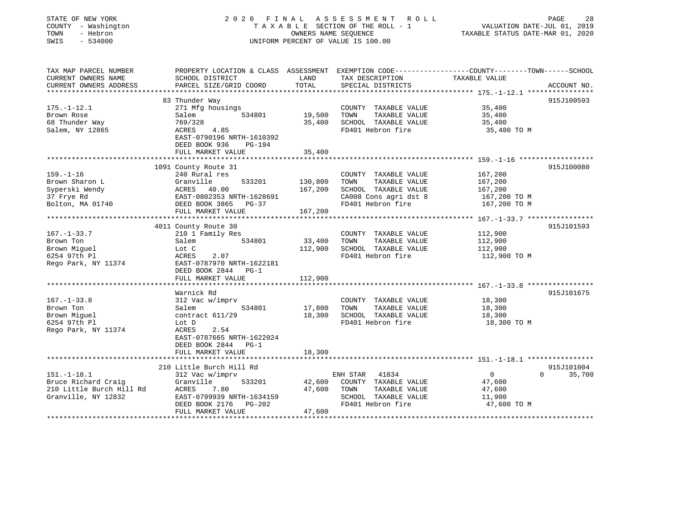| STATE OF NEW YORK<br>COUNTY - Washington<br>TOWN<br>- Hebron<br>SWIS<br>$-534000$ | 2020 FINAL ASSESSMENT ROLL<br>TAXABLE SECTION OF THE ROLL - 1<br>OWNERS NAME SEQUENCE<br>UNIFORM PERCENT OF VALUE IS 100.00 |                                       |                                      |                                                               | PAGE<br>28<br>VALUATION DATE-JUL 01, 2019<br>TAXABLE STATUS DATE-MAR 01, 2020 |  |  |
|-----------------------------------------------------------------------------------|-----------------------------------------------------------------------------------------------------------------------------|---------------------------------------|--------------------------------------|---------------------------------------------------------------|-------------------------------------------------------------------------------|--|--|
| TAX MAP PARCEL NUMBER                                                             | PROPERTY LOCATION & CLASS ASSESSMENT EXEMPTION CODE----------------COUNTY-------TOWN------SCHOOL                            |                                       |                                      |                                                               |                                                                               |  |  |
| CURRENT OWNERS NAME<br>CURRENT OWNERS ADDRESS                                     | SCHOOL DISTRICT<br>PARCEL SIZE/GRID COORD                                                                                   | LAND<br>TOTAL                         | TAX DESCRIPTION<br>SPECIAL DISTRICTS | TAXABLE VALUE                                                 | ACCOUNT NO.                                                                   |  |  |
|                                                                                   |                                                                                                                             |                                       |                                      | ********************* 175.-1-12.1 ****************            |                                                                               |  |  |
|                                                                                   | 83 Thunder Way                                                                                                              |                                       |                                      |                                                               | 915J100593                                                                    |  |  |
| $175. - 1 - 12.1$                                                                 | 271 Mfg housings                                                                                                            |                                       | COUNTY TAXABLE VALUE                 | 35,400                                                        |                                                                               |  |  |
| Brown Rose                                                                        | 534801<br>Salem                                                                                                             | 19,500                                | TOWN<br>TAXABLE VALUE                | 35,400                                                        |                                                                               |  |  |
| 68 Thunder Way                                                                    | 769/328                                                                                                                     | 35,400                                | SCHOOL TAXABLE VALUE                 | 35,400                                                        |                                                                               |  |  |
| Salem, NY 12865                                                                   | ACRES<br>4.85<br>EAST-0790196 NRTH-1610392<br>DEED BOOK 936<br>PG-194<br>FULL MARKET VALUE                                  | 35,400                                | FD401 Hebron fire                    | 35,400 TO M                                                   |                                                                               |  |  |
|                                                                                   |                                                                                                                             |                                       |                                      |                                                               |                                                                               |  |  |
|                                                                                   | 1091 County Route 31                                                                                                        |                                       |                                      |                                                               | 915J100080                                                                    |  |  |
| $159. - 1 - 16$                                                                   | 240 Rural res                                                                                                               |                                       | COUNTY TAXABLE VALUE                 | 167,200                                                       |                                                                               |  |  |
| Brown Sharon L                                                                    | Granville<br>533201                                                                                                         | 130,800                               | TOWN<br>TAXABLE VALUE                | 167,200                                                       |                                                                               |  |  |
| Syperski Wendy                                                                    | ACRES 40.00                                                                                                                 | 167,200                               | SCHOOL TAXABLE VALUE                 | 167,200                                                       |                                                                               |  |  |
| 37 Frye Rd                                                                        | EAST-0802353 NRTH-1628691                                                                                                   |                                       | CA008 Cons agri dst 8                | 167,200 TO M                                                  |                                                                               |  |  |
| Bolton, MA 01740                                                                  | DEED BOOK 3865 PG-37                                                                                                        |                                       | FD401 Hebron fire                    | 167,200 TO M                                                  |                                                                               |  |  |
|                                                                                   | FULL MARKET VALUE<br>*********************                                                                                  | 167,200                               |                                      | ******************************** 167.-1-33.7 **************** |                                                                               |  |  |
|                                                                                   | 4011 County Route 30                                                                                                        |                                       |                                      |                                                               | 915J101593                                                                    |  |  |
| $167. - 1 - 33.7$                                                                 | 210 1 Family Res                                                                                                            |                                       | COUNTY TAXABLE VALUE                 | 112,900                                                       |                                                                               |  |  |
| Brown Ton                                                                         | Salem<br>534801                                                                                                             | 33,400                                | TOWN<br>TAXABLE VALUE                | 112,900                                                       |                                                                               |  |  |
| Brown Miquel                                                                      | Lot C                                                                                                                       | 112,900                               | SCHOOL TAXABLE VALUE                 | 112,900                                                       |                                                                               |  |  |
| 6254 97th Pl                                                                      | 2.07<br>ACRES                                                                                                               |                                       | FD401 Hebron fire                    | 112,900 TO M                                                  |                                                                               |  |  |
| Rego Park, NY 11374                                                               | EAST-0787970 NRTH-1622181<br>DEED BOOK 2844 PG-1                                                                            |                                       |                                      |                                                               |                                                                               |  |  |
|                                                                                   | FULL MARKET VALUE                                                                                                           | 112,900                               |                                      |                                                               |                                                                               |  |  |
|                                                                                   |                                                                                                                             |                                       |                                      |                                                               |                                                                               |  |  |
|                                                                                   | Warnick Rd                                                                                                                  |                                       |                                      |                                                               | 915J101675                                                                    |  |  |
| $167. - 1 - 33.8$                                                                 | 312 Vac w/imprv                                                                                                             |                                       | COUNTY TAXABLE VALUE                 | 18,300                                                        |                                                                               |  |  |
| Brown Ton                                                                         | Salem<br>534801                                                                                                             | 17,800                                | TOWN<br>TAXABLE VALUE                | 18,300                                                        |                                                                               |  |  |
| Brown Miguel                                                                      | contract 611/29                                                                                                             | 18,300                                | SCHOOL TAXABLE VALUE                 | 18,300                                                        |                                                                               |  |  |
| 6254 97th Pl<br>Rego Park, NY 11374                                               | Lot D<br>ACRES<br>2.54                                                                                                      |                                       | FD401 Hebron fire                    | 18,300 TO M                                                   |                                                                               |  |  |
|                                                                                   | EAST-0787665 NRTH-1622024<br>DEED BOOK 2844 PG-1                                                                            |                                       |                                      |                                                               |                                                                               |  |  |
|                                                                                   | FULL MARKET VALUE                                                                                                           | 18,300                                |                                      |                                                               |                                                                               |  |  |
|                                                                                   |                                                                                                                             |                                       |                                      |                                                               |                                                                               |  |  |
|                                                                                   | 210 Little Burch Hill Rd                                                                                                    |                                       |                                      |                                                               | 915J101004                                                                    |  |  |
| $151.-1-18.1$                                                                     | 312 Vac w/imprv                                                                                                             |                                       | 41834<br>ENH STAR                    | $\overline{0}$<br>$\Omega$                                    | 35,700                                                                        |  |  |
| Bruce Richard Craig                                                               | 533201<br>Granville                                                                                                         | 42,600                                | COUNTY TAXABLE VALUE                 | 47,600                                                        |                                                                               |  |  |
| 210 Little Burch Hill Rd                                                          | ACRES<br>7.80                                                                                                               | 47,600                                | TAXABLE VALUE<br>TOWN                | 47,600                                                        |                                                                               |  |  |
| Granville, NY 12832                                                               | EAST-0799939 NRTH-1634159                                                                                                   |                                       | SCHOOL TAXABLE VALUE                 | 11,900                                                        |                                                                               |  |  |
|                                                                                   | DEED BOOK 2176<br>PG-202<br>FULL MARKET VALUE                                                                               | 47,600                                | FD401 Hebron fire                    | 47,600 TO M                                                   |                                                                               |  |  |
| ************************                                                          |                                                                                                                             | + + + + + + + + + + + + + + + + + + + |                                      |                                                               |                                                                               |  |  |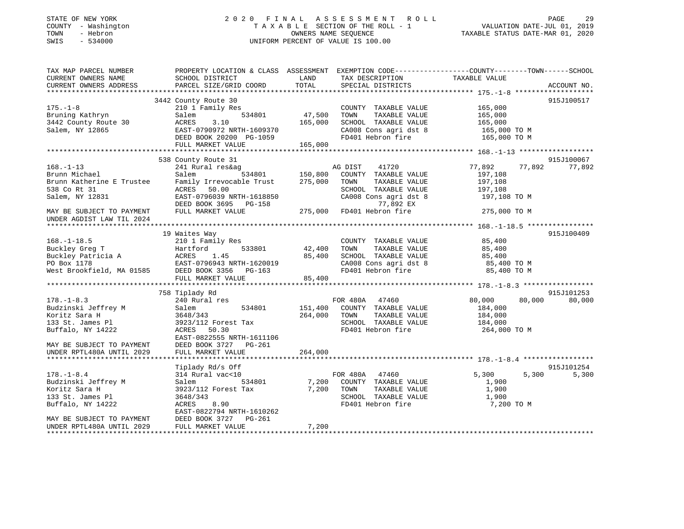### STATE OF NEW YORK 2 0 2 0 F I N A L A S S E S S M E N T R O L L PAGE 29 COUNTY - Washington T A X A B L E SECTION OF THE ROLL - 1 VALUATION DATE-JUL 01, 2019 TOWN - Hebron OWNERS NAME SEQUENCE TAXABLE STATUS DATE-MAR 01, 2020 SWIS - 534000 UNIFORM PERCENT OF VALUE IS 100.00

| TAX MAP PARCEL NUMBER     | PROPERTY LOCATION & CLASS ASSESSMENT EXEMPTION CODE----------------COUNTY-------TOWN------SCHOOL                                 |         |                                                 |               |        |             |
|---------------------------|----------------------------------------------------------------------------------------------------------------------------------|---------|-------------------------------------------------|---------------|--------|-------------|
| CURRENT OWNERS NAME       | SCHOOL DISTRICT                                                                                                                  | LAND    | TAX DESCRIPTION                                 | TAXABLE VALUE |        |             |
| CURRENT OWNERS ADDRESS    | PARCEL SIZE/GRID COORD                                                                                                           | TOTAL   | SPECIAL DISTRICTS                               |               |        | ACCOUNT NO. |
|                           |                                                                                                                                  |         |                                                 |               |        |             |
|                           | 3442 County Route 30                                                                                                             |         |                                                 |               |        | 915J100517  |
| $175. - 1 - 8$            | 210 1 Family Res                                                                                                                 |         | COUNTY TAXABLE VALUE                            | 165,000       |        |             |
| Bruning Kathryn           | 534801<br>Salem                                                                                                                  | 47,500  | TOWN<br>TAXABLE VALUE                           | 165,000       |        |             |
| 3442 County Route 30      | ACRES<br>3.10                                                                                                                    | 165,000 | SCHOOL TAXABLE VALUE                            | 165,000       |        |             |
| Salem, NY 12865           | EAST-0790972 NRTH-1609370<br>EAST-0790972 NRTH-1609370<br>DEED BOOK 20200 PG-1059                                                |         | CA008 Cons agri dst 8                           | 165,000 TO M  |        |             |
|                           |                                                                                                                                  |         | FD401 Hebron fire                               | 165,000 TO M  |        |             |
|                           | FULL MARKET VALUE                                                                                                                | 165,000 |                                                 |               |        |             |
|                           |                                                                                                                                  |         |                                                 |               |        |             |
|                           | 538 County Route 31                                                                                                              |         |                                                 |               |        | 915J100067  |
| $168. - 1 - 13$           | 241 Rural res&ag                                                                                                                 |         | AG DIST<br>41720                                | 77,892        | 77,892 | 77,892      |
| Brunn Michael             | Salem                                                                                                                            |         | 534801 150,800 COUNTY TAXABLE VALUE             | 197,108       |        |             |
| Brunn Katherine E Trustee | Family Irrevocable Trust                                                                                                         | 275,000 | TOWN<br>TAXABLE VALUE                           | 197,108       |        |             |
| 538 Co Rt 31              | ACRES 50.00                                                                                                                      |         | SCHOOL TAXABLE VALUE                            | 197,108       |        |             |
| Salem, NY 12831           | EAST-0796039 NRTH-1618850                                                                                                        |         | CA008 Cons agri dst 8                           | 197,108 TO M  |        |             |
|                           | DEED BOOK 3695 PG-158                                                                                                            |         | 77,892 EX                                       |               |        |             |
| MAY BE SUBJECT TO PAYMENT | FULL MARKET VALUE                                                                                                                |         | 1992 EX //<br>275,000 FD401 Hebron fire 275,000 | 275,000 TO M  |        |             |
| UNDER AGDIST LAW TIL 2024 |                                                                                                                                  |         |                                                 |               |        |             |
|                           |                                                                                                                                  |         |                                                 |               |        |             |
|                           | 19 Waites Way                                                                                                                    |         |                                                 |               |        | 915J100409  |
| $168. - 1 - 18.5$         | 210 1 Family Res                                                                                                                 |         | COUNTY TAXABLE VALUE                            | 85,400        |        |             |
|                           |                                                                                                                                  | 42,400  | TOWN<br>TAXABLE VALUE                           | 85,400        |        |             |
|                           |                                                                                                                                  | 85,400  | SCHOOL TAXABLE VALUE                            | 85,400        |        |             |
|                           | EAST-0796943 NRTH-1620019                                                                                                        |         | CA008 Cons agri dst 8                           | 85,400 TO M   |        |             |
|                           | Buckley Greg T<br>Buckley Patricia A<br>PO Box 1178 EAST-0796943 NRTH-1620019<br>West Brookfield, MA 01585 DEED BOOK 3356 PG-163 |         | FD401 Hebron fire                               | 85,400 TO M   |        |             |
|                           | FULL MARKET VALUE                                                                                                                | 85,400  |                                                 |               |        |             |
|                           |                                                                                                                                  |         |                                                 |               |        |             |
|                           | 758 Tiplady Rd                                                                                                                   |         |                                                 |               |        | 915J101253  |
| $178. - 1 - 8.3$          | 240 Rural res                                                                                                                    |         | FOR 480A 47460                                  | 80,000        | 80,000 | 80,000      |
| Budzinski Jeffrey M       | 534801<br>Salem                                                                                                                  | 151,400 | COUNTY TAXABLE VALUE                            | 184,000       |        |             |
| Koritz Sara H             | 3648/343                                                                                                                         | 264,000 | TOWN<br>TAXABLE VALUE                           | 184,000       |        |             |
| 133 St. James Pl          | 3923/112 Forest Tax                                                                                                              |         | SCHOOL TAXABLE VALUE                            | 184,000       |        |             |
| Buffalo, NY 14222         | ACRES 50.30                                                                                                                      |         | FD401 Hebron fire                               | 264,000 TO M  |        |             |
|                           | EAST-0822555 NRTH-1611106                                                                                                        |         |                                                 |               |        |             |
| MAY BE SUBJECT TO PAYMENT | DEED BOOK 3727 PG-261                                                                                                            |         |                                                 |               |        |             |
| UNDER RPTL480A UNTIL 2029 | FULL MARKET VALUE                                                                                                                | 264,000 |                                                 |               |        |             |
|                           |                                                                                                                                  |         |                                                 |               |        |             |
|                           | Tiplady Rd/s Off                                                                                                                 |         |                                                 |               |        | 915J101254  |
| $178. - 1 - 8.4$          | 314 Rural vac<10                                                                                                                 |         | FOR 480A 47460                                  | 5,300         | 5,300  | 5,300       |
| Budzinski Jeffrey M       | Salem<br>534801                                                                                                                  |         | 7,200 COUNTY TAXABLE VALUE                      | 1,900         |        |             |
| Koritz Sara H             | 3923/112 Forest Tax                                                                                                              |         | 7,200 TOWN<br>TAXABLE VALUE                     | 1,900         |        |             |
| 133 St. James Pl          | 3648/343                                                                                                                         |         | SCHOOL TAXABLE VALUE                            | 1,900         |        |             |
| Buffalo, NY 14222         | 8.90<br>ACRES                                                                                                                    |         | FD401 Hebron fire                               | 7,200 TO M    |        |             |
|                           | EAST-0822794 NRTH-1610262                                                                                                        |         |                                                 |               |        |             |
| MAY BE SUBJECT TO PAYMENT | DEED BOOK 3727 PG-261                                                                                                            |         |                                                 |               |        |             |
| UNDER RPTL480A UNTIL 2029 | FULL MARKET VALUE                                                                                                                | 7,200   |                                                 |               |        |             |
|                           |                                                                                                                                  |         |                                                 |               |        |             |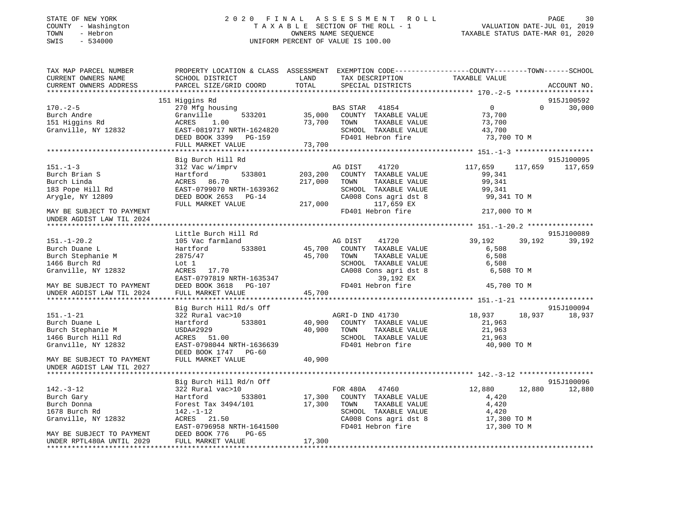### STATE OF NEW YORK 2 0 2 0 F I N A L A S S E S S M E N T R O L L PAGE 30 COUNTY - Washington T A X A B L E SECTION OF THE ROLL - 1 VALUATION DATE-JUL 01, 2019 TOWN - Hebron OWNERS NAME SEQUENCE TAXABLE STATUS DATE-MAR 01, 2020 SWIS - 534000 UNIFORM PERCENT OF VALUE IS 100.00

| TAX MAP PARCEL NUMBER                                                | PROPERTY LOCATION & CLASS ASSESSMENT EXEMPTION CODE-----------------COUNTY--------TOWN------SCHOOL                                                                                                                                             |             |                                                                  |                            |          |                 |
|----------------------------------------------------------------------|------------------------------------------------------------------------------------------------------------------------------------------------------------------------------------------------------------------------------------------------|-------------|------------------------------------------------------------------|----------------------------|----------|-----------------|
|                                                                      |                                                                                                                                                                                                                                                |             |                                                                  |                            |          |                 |
|                                                                      |                                                                                                                                                                                                                                                |             |                                                                  |                            |          |                 |
|                                                                      | 151 Higgins Rd                                                                                                                                                                                                                                 |             |                                                                  |                            |          | 915J100592      |
| $170. - 2 - 5$                                                       | 270 Mfg housing<br>270 Mfg housing<br>35,000 COUNTY TAXABLE VALUE 73,700<br>ACRES 1.00 73,700 TOWN TAXABLE VALUE 73,700<br>EAST-0819717 NRTH-1624820 SCHOOL TAXABLE VALUE 43,700                                                               |             |                                                                  | $\overline{0}$             | $\Omega$ | 30,000          |
| Burch Andre<br>Burch Andre<br>151 Higgins Rd<br>Granville, NY 12832  |                                                                                                                                                                                                                                                |             |                                                                  |                            |          |                 |
|                                                                      |                                                                                                                                                                                                                                                |             |                                                                  |                            |          |                 |
|                                                                      |                                                                                                                                                                                                                                                |             |                                                                  |                            |          |                 |
|                                                                      |                                                                                                                                                                                                                                                |             |                                                                  | 73,700 TO M                |          |                 |
|                                                                      | ACRES<br>EAST-0819717 NRTH-1624820<br>DEED BOOK 3399 PG-159<br>FD401 Hebron fire<br>FD401 Hebron fire<br>FD401 Hebron fire<br>73,700                                                                                                           |             |                                                                  |                            |          |                 |
|                                                                      |                                                                                                                                                                                                                                                |             |                                                                  |                            |          |                 |
|                                                                      | Big Burch Hill Rd                                                                                                                                                                                                                              |             |                                                                  |                            |          | 915J100095      |
| $151. - 1 - 3$                                                       | 312 Vac w/imprv                                                                                                                                                                                                                                |             | AG DIST 41720                                                    | 117,659                    |          | 117,659 117,659 |
| Burch Brian S<br>Burch Linda<br>183 Pope Hill Rd<br>Arygle, NY 12809 | Hartford                                                                                                                                                                                                                                       |             | 533801 203,200 COUNTY TAXABLE VALUE                              | 99,341                     |          |                 |
|                                                                      |                                                                                                                                                                                                                                                |             | TAXABLE VALUE                                                    | 99,341                     |          |                 |
|                                                                      |                                                                                                                                                                                                                                                |             | SCHOOL TAXABLE VALUE 99,341<br>CA008 Cons agri dst 8 99,341 TO M |                            |          |                 |
|                                                                      |                                                                                                                                                                                                                                                |             |                                                                  |                            |          |                 |
|                                                                      |                                                                                                                                                                                                                                                |             |                                                                  |                            |          |                 |
| MAY BE SUBJECT TO PAYMENT                                            | ACRES 86.70<br>EAST-0799070 NRTH-1639362<br>DEED BOOK 2653 PG-14<br>FULL MARKET VALUE<br>PLATE POOK 2008 CONS agri dst 8<br>PULL MARKET VALUE<br>PLATE 217,000<br>PLATE PLATE PLATE PLATE PLATE PLATE PLATE<br>PLATE PLATE PLATE PLATE PLATE P |             | FD401 Hebron fire                                                | 217,000 TO M               |          |                 |
| UNDER AGDIST LAW TIL 2024                                            |                                                                                                                                                                                                                                                |             |                                                                  |                            |          |                 |
|                                                                      |                                                                                                                                                                                                                                                |             |                                                                  |                            |          |                 |
|                                                                      | Little Burch Hill Rd                                                                                                                                                                                                                           |             |                                                                  |                            |          | 915J100089      |
| $151.-1-20.2$                                                        |                                                                                                                                                                                                                                                |             |                                                                  | 39,192                     | 39,192   | 39,192          |
| Burch Duane L                                                        |                                                                                                                                                                                                                                                |             |                                                                  | 6,508                      |          |                 |
| Burch Stephanie M<br>1466 Burch Rd                                   | 2875/47                                                                                                                                                                                                                                        | 45,700 TOWN | TOWN       TAXABLE  VALUE<br>SCHOOL    TAXABLE  VALUE            | 6,508<br>6,508             |          |                 |
|                                                                      | Lot 1<br>$ACRES$ 17.70                                                                                                                                                                                                                         |             |                                                                  |                            |          |                 |
| Granville, NY 12832                                                  |                                                                                                                                                                                                                                                |             | CA008 Cons agri dst 8                                            | 6,508 TO M                 |          |                 |
|                                                                      |                                                                                                                                                                                                                                                |             | 39,192 EX                                                        |                            |          |                 |
| MAY BE SUBJECT TO PAYMENT                                            | EAST-0797819 NRTH-1635347<br>DEED BOOK 3618 PG-107 PD401 Hebron fire<br>FULL MARKET VALUE 45,700                                                                                                                                               |             |                                                                  | 45,700 TO M                |          |                 |
| UNDER AGDIST LAW TIL 2024                                            |                                                                                                                                                                                                                                                |             |                                                                  |                            |          |                 |
|                                                                      |                                                                                                                                                                                                                                                |             |                                                                  |                            |          | 915J100094      |
| 151.-1-21                                                            | Big Burch Hill Rd/s Off<br>322 Rural vac>10                                                                                                                                                                                                    |             | AGRI-D IND 41730                                                 | 18,937 18,937              |          | 18,937          |
|                                                                      |                                                                                                                                                                                                                                                |             |                                                                  |                            |          |                 |
| Burch Duane L<br>Burch Stephanie M                                   | Hartford 533801 40,900 COINTY TAXABLE VALUE<br>USDA#2929 40,900 TOWN TAXABLE VALUE<br>ACRES 51.00 5CHOOL TAXABLE VALUE                                                                                                                         |             |                                                                  | 21,963<br>21,963           |          |                 |
| 1466 Burch Hill Rd                                                   | USDA#2929<br>ACRES 51.00                                                                                                                                                                                                                       |             |                                                                  |                            |          |                 |
| Granville, NY 12832                                                  | EAST-0798044 NRTH-1636639                                                                                                                                                                                                                      |             | SCHOOL TAXABLE VALUE<br>FD401 Hebron fire                        | 21,963<br>40,900 TO M      |          |                 |
|                                                                      | DEED BOOK 1747 PG-60                                                                                                                                                                                                                           |             |                                                                  |                            |          |                 |
| MAY BE SUBJECT TO PAYMENT                                            | FULL MARKET VALUE                                                                                                                                                                                                                              | 40,900      |                                                                  |                            |          |                 |
| UNDER AGDIST LAW TIL 2027                                            |                                                                                                                                                                                                                                                |             |                                                                  |                            |          |                 |
|                                                                      |                                                                                                                                                                                                                                                |             |                                                                  |                            |          |                 |
|                                                                      | Big Burch Hill Rd/n Off                                                                                                                                                                                                                        |             |                                                                  |                            |          | 915J100096      |
| $142. - 3 - 12$                                                      | 322 Rural vac>10                                                                                                                                                                                                                               |             |                                                                  | 12,880 12,880 12,880       |          |                 |
| Burch Gary                                                           | Hartford                                                                                                                                                                                                                                       |             | 0<br>533801 17,300 COUNTY TAXABLE VALUE                          | 4,420                      |          |                 |
| Burch Donna                                                          | Forest Tax 3494/101 17,300 TOWN                                                                                                                                                                                                                |             |                                                                  | 4,420                      |          |                 |
| 1678 Burch Rd                                                        | 142.-1-12                                                                                                                                                                                                                                      |             | TOWN       TAXABLE  VALUE<br>SCHOOL    TAXABLE  VALUE            | 4,420                      |          |                 |
| Granville, NY 12832                                                  | ACRES 21.50                                                                                                                                                                                                                                    |             | CA008 Cons agri dst 8<br>CA008 Cons agri dst 8                   | 17,300 TO M<br>17,300 TO M |          |                 |
|                                                                      | EAST-0796958 NRTH-1641500                                                                                                                                                                                                                      |             | FD401 Hebron fire                                                | 17,300 TO M                |          |                 |
| MAY BE SUBJECT TO PAYMENT                                            | DEED BOOK 776<br>$PG-65$                                                                                                                                                                                                                       |             |                                                                  |                            |          |                 |
| UNDER RPTL480A UNTIL 2029                                            | FULL MARKET VALUE                                                                                                                                                                                                                              | 17,300      |                                                                  |                            |          |                 |
|                                                                      |                                                                                                                                                                                                                                                |             |                                                                  |                            |          |                 |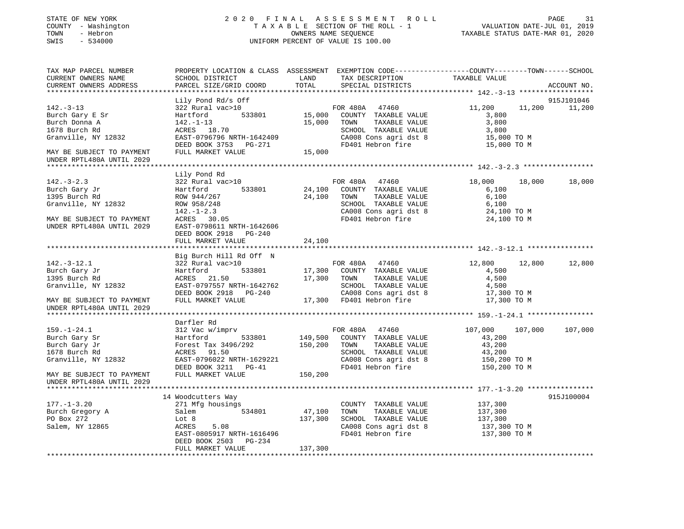| STATE OF NEW YORK<br>COUNTY - Washington<br>- Hebron<br>TOWN<br>SWIS<br>$-534000$ |                                                                                                                                               |               | 2020 FINAL ASSESSMENT ROLL<br>TAXABLE SECTION OF THE ROLL - 1<br>OWNERS NAME SEQUENCE<br>UNIFORM PERCENT OF VALUE IS 100.00 | PAGE 31<br>VALUATION DATE-JUL 01, 2019<br>TAXABLE STATUS DATE-MAR 01, 2020 |         |               |
|-----------------------------------------------------------------------------------|-----------------------------------------------------------------------------------------------------------------------------------------------|---------------|-----------------------------------------------------------------------------------------------------------------------------|----------------------------------------------------------------------------|---------|---------------|
| TAX MAP PARCEL NUMBER<br>CURRENT OWNERS NAME<br>CURRENT OWNERS ADDRESS            | PROPERTY LOCATION & CLASS ASSESSMENT EXEMPTION CODE----------------COUNTY-------TOWN------SCHOOL<br>SCHOOL DISTRICT<br>PARCEL SIZE/GRID COORD | LAND<br>TOTAL | TAX DESCRIPTION<br>SPECIAL DISTRICTS                                                                                        | TAXABLE VALUE                                                              |         | ACCOUNT NO.   |
| **********************                                                            |                                                                                                                                               |               |                                                                                                                             |                                                                            |         |               |
|                                                                                   | Lily Pond Rd/s Off                                                                                                                            |               |                                                                                                                             |                                                                            |         | 915J101046    |
| $142. - 3 - 13$                                                                   | 322 Rural vac>10                                                                                                                              |               | FOR 480A 47460                                                                                                              | 11,200                                                                     |         | 11,200 11,200 |
| Burch Gary E Sr                                                                   | 533801<br>Hartford                                                                                                                            |               | 15,000 COUNTY TAXABLE VALUE<br>15,000 TOWN TAXABLE VALUE                                                                    | 3,800                                                                      |         |               |
| Burch Donna A                                                                     | $142. - 1 - 13$                                                                                                                               |               |                                                                                                                             | 3,800                                                                      |         |               |
| 1678 Burch Rd<br>Granville, NY 12832                                              | ACRES 18.70                                                                                                                                   |               | SCHOOL TAXABLE VALUE<br>CA008 Cons agri dst 8                                                                               | 3,800<br>15,000 TO M                                                       |         |               |
|                                                                                   |                                                                                                                                               |               | FD401 Hebron fire                                                                                                           | 15,000 TO M                                                                |         |               |
| MAY BE SUBJECT TO PAYMENT<br>UNDER RPTL480A UNTIL 2029                            | EAST-0796796 NRTH-1642409<br>DEED BOOK 3753 PG-271<br>FULL MARKET VALUE 15,000                                                                |               |                                                                                                                             |                                                                            |         |               |
|                                                                                   |                                                                                                                                               |               |                                                                                                                             |                                                                            |         |               |
|                                                                                   | Lily Pond Rd                                                                                                                                  |               |                                                                                                                             |                                                                            |         |               |
| $142. - 3 - 2.3$                                                                  | 322 Rural vac>10                                                                                                                              |               | FOR 480A 47460<br>24,100 COUNTY TAXABLE VALUE                                                                               |                                                                            | 18,000  | 18,000        |
| Burch Gary Jr<br>1395 Burch Rd                                                    | Hartford 533801<br>ROW 944/267                                                                                                                | 24,100        | TAXABLE VALUE<br>TOWN                                                                                                       | 6,100<br>6,100                                                             |         |               |
| Granville, NY 12832                                                               | ROW 958/248                                                                                                                                   |               | SCHOOL TAXABLE VALUE                                                                                                        | 6,100                                                                      |         |               |
|                                                                                   |                                                                                                                                               |               | CA008 Cons agri dst 8                                                                                                       | 24,100 TO M                                                                |         |               |
| MAY BE SUBJECT TO PAYMENT                                                         | 142.-1-2.3<br>ACRES 30.05                                                                                                                     |               | FD401 Hebron fire                                                                                                           | 24,100 TO M                                                                |         |               |
| UNDER RPTL480A UNTIL 2029                                                         | EAST-0798611 NRTH-1642606                                                                                                                     |               |                                                                                                                             |                                                                            |         |               |
|                                                                                   | DEED BOOK 2918 PG-240                                                                                                                         |               |                                                                                                                             |                                                                            |         |               |
|                                                                                   | FULL MARKET VALUE                                                                                                                             | 24,100        |                                                                                                                             |                                                                            |         |               |
|                                                                                   | Big Burch Hill Rd Off N                                                                                                                       |               |                                                                                                                             |                                                                            |         |               |
| $142.-3-12.1$                                                                     | 322 Rural vac>10                                                                                                                              |               | FOR 480A 47460                                                                                                              | 12,800                                                                     | 12,800  | 12,800        |
| Burch Gary Jr                                                                     | Hartford<br>533801                                                                                                                            |               | 17,300 COUNTY TAXABLE VALUE                                                                                                 | 4,500                                                                      |         |               |
| 1395 Burch Rd                                                                     | ACRES 21.50                                                                                                                                   |               | 17,300 TOWN<br>TAXABLE VALUE                                                                                                | 4,500                                                                      |         |               |
| Granville, NY 12832                                                               | EAST-0797557 NRTH-1642762                                                                                                                     |               | SCHOOL TAXABLE VALUE                                                                                                        | 4,500                                                                      |         |               |
|                                                                                   | DEED BOOK 2918 PG-240                                                                                                                         |               | CA008 Cons agri dst 8                                                                                                       | 17,300 TO M                                                                |         |               |
| MAY BE SUBJECT TO PAYMENT<br>UNDER RPTL480A UNTIL 2029                            | FULL MARKET VALUE                                                                                                                             |               | 17,300 FD401 Hebron fire                                                                                                    | 17,300 TO M                                                                |         |               |
|                                                                                   |                                                                                                                                               |               |                                                                                                                             |                                                                            |         |               |
| $159. - 1 - 24.1$                                                                 | Darfler Rd<br>312 Vac w/imprv                                                                                                                 |               |                                                                                                                             | 107,000                                                                    | 107,000 | 107,000       |
| Burch Gary Sr                                                                     |                                                                                                                                               |               |                                                                                                                             | 43,200                                                                     |         |               |
| Burch Gary Jr                                                                     |                                                                                                                                               |               |                                                                                                                             | 43,200                                                                     |         |               |
| 1678 Burch Rd                                                                     | 014400 149,500 149,500 149,500 149,500 FORES 91.50<br>Forest Tax 3496/292 150,200 TOWN TAXABLE VALUE<br>ACRES 91.50                           |               | SCHOOL TAXABLE VALUE                                                                                                        | 43,200                                                                     |         |               |
| Granville, NY 12832                                                               | EAST-0796022 NRTH-1629221                                                                                                                     |               | CA008 Cons agri dst 8                                                                                                       | 150,200 TO M                                                               |         |               |
|                                                                                   | DEED BOOK 3211 PG-41                                                                                                                          |               | FD401 Hebron fire                                                                                                           | 150,200 TO M                                                               |         |               |
| MAY BE SUBJECT TO PAYMENT<br>UNDER RPTL480A UNTIL 2029                            | FULL MARKET VALUE                                                                                                                             | 150,200       |                                                                                                                             |                                                                            |         |               |
|                                                                                   |                                                                                                                                               |               |                                                                                                                             |                                                                            |         |               |
| $177. - 1 - 3.20$                                                                 | 14 Woodcutters Way<br>271 Mfg housings                                                                                                        |               | COUNTY TAXABLE VALUE                                                                                                        | 137,300                                                                    |         | 915J100004    |
| Burch Gregory A                                                                   | 534801<br>Salem                                                                                                                               | 47,100        | TOWN<br>TAXABLE VALUE                                                                                                       | 137,300                                                                    |         |               |
| PO Box 272                                                                        | Lot 8                                                                                                                                         | 137,300       | SCHOOL TAXABLE VALUE                                                                                                        | 137,300                                                                    |         |               |
| Salem, NY 12865                                                                   | 5.08<br>ACRES                                                                                                                                 |               | CA008 Cons agri dst 8                                                                                                       | 137,300 TO M                                                               |         |               |
|                                                                                   | EAST-0805917 NRTH-1616496                                                                                                                     |               | FD401 Hebron fire                                                                                                           | 137,300 TO M                                                               |         |               |
|                                                                                   | DEED BOOK 2503 PG-234                                                                                                                         |               |                                                                                                                             |                                                                            |         |               |
|                                                                                   | FULL MARKET VALUE                                                                                                                             | 137,300       |                                                                                                                             |                                                                            |         |               |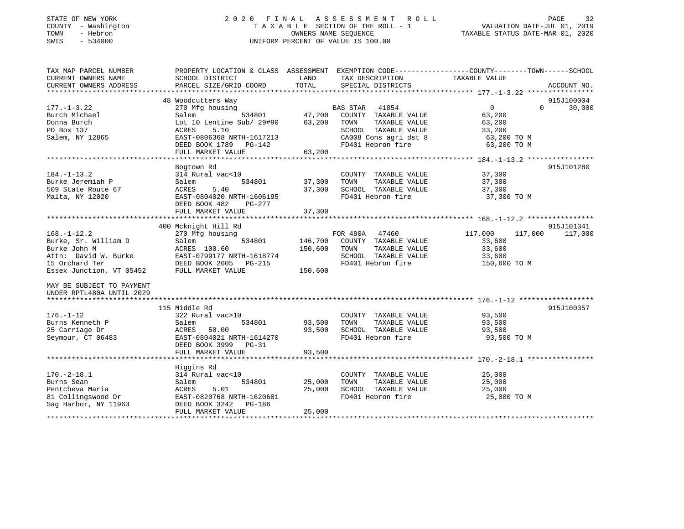| STATE OF NEW YORK                                      |                                                                                                  |              | 2020 FINAL ASSESSMENT ROLL         |                                  | 32<br>PAGE  |
|--------------------------------------------------------|--------------------------------------------------------------------------------------------------|--------------|------------------------------------|----------------------------------|-------------|
| COUNTY - Washington                                    |                                                                                                  |              | TAXABLE SECTION OF THE ROLL - 1    | VALUATION DATE-JUL 01, 2019      |             |
| TOWN<br>- Hebron                                       |                                                                                                  |              | OWNERS NAME SEOUENCE               | TAXABLE STATUS DATE-MAR 01, 2020 |             |
| SWIS<br>$-534000$                                      |                                                                                                  |              | UNIFORM PERCENT OF VALUE IS 100.00 |                                  |             |
|                                                        |                                                                                                  |              |                                    |                                  |             |
| TAX MAP PARCEL NUMBER                                  | PROPERTY LOCATION & CLASS ASSESSMENT EXEMPTION CODE----------------COUNTY-------TOWN------SCHOOL |              |                                    |                                  |             |
| CURRENT OWNERS NAME                                    | SCHOOL DISTRICT                                                                                  | LAND         | TAX DESCRIPTION                    | TAXABLE VALUE                    |             |
| CURRENT OWNERS ADDRESS                                 | PARCEL SIZE/GRID COORD                                                                           | TOTAL        | SPECIAL DISTRICTS                  |                                  | ACCOUNT NO. |
|                                                        |                                                                                                  |              |                                    |                                  |             |
|                                                        | 48 Woodcutters Way                                                                               |              |                                    |                                  | 915J100004  |
| $177. - 1 - 3.22$                                      | 270 Mfg housing                                                                                  |              | <b>BAS STAR</b><br>41854           | $\overline{0}$<br>$\Omega$       | 30,000      |
| Burch Michael                                          | Salem<br>534801                                                                                  |              | 47,200 COUNTY TAXABLE VALUE        | 63,200                           |             |
| Donna Burch                                            | Lot 10 Lentine Sub/ 29#90                                                                        |              | TAXABLE VALUE<br>63,200 TOWN       | 63,200                           |             |
| PO Box 137                                             | ACRES<br>5.10                                                                                    |              | SCHOOL TAXABLE VALUE               | 33,200                           |             |
| Salem, NY 12865                                        | EAST-0806368 NRTH-1617213                                                                        |              | CA008 Cons agri dst 8              | 63,200 TO M                      |             |
|                                                        | DEED BOOK 1789 PG-142                                                                            |              | FD401 Hebron fire                  | 63,200 TO M                      |             |
|                                                        | FULL MARKET VALUE                                                                                | 63,200       |                                    |                                  |             |
|                                                        |                                                                                                  |              |                                    |                                  |             |
|                                                        | Bogtown Rd                                                                                       |              |                                    |                                  | 915J101280  |
| $184. - 1 - 13.2$                                      | 314 Rural vac<10                                                                                 |              | COUNTY TAXABLE VALUE               | 37,300                           |             |
| Burke Jeremiah P                                       | 534801<br>Salem                                                                                  | 37,300 TOWN  | TAXABLE VALUE                      | 37,300                           |             |
| 509 State Route 67                                     | ACRES<br>5.40                                                                                    |              | 37,300 SCHOOL TAXABLE VALUE        | 37,300                           |             |
|                                                        | EAST-0804020 NRTH-1606195                                                                        |              | FD401 Hebron fire                  | 37,300 TO M                      |             |
| Malta, NY 12020                                        |                                                                                                  |              |                                    |                                  |             |
|                                                        | DEED BOOK 482<br>PG-277                                                                          |              |                                    |                                  |             |
|                                                        | FULL MARKET VALUE                                                                                | 37,300       |                                    |                                  |             |
|                                                        |                                                                                                  |              |                                    |                                  |             |
|                                                        | 400 Mcknight Hill Rd                                                                             |              |                                    |                                  | 915J101341  |
| $168. - 1 - 12.2$                                      | 270 Mfg housing                                                                                  |              | FOR 480A<br>47460                  | 117,000<br>117,000               | 117,000     |
| Burke, Sr. William D                                   | Salem<br>534801                                                                                  |              | 146,700 COUNTY TAXABLE VALUE       | 33,600                           |             |
| Burke John M                                           | ACRES 100.60                                                                                     | 150,600 TOWN | TAXABLE VALUE                      | 33,600                           |             |
| Attn: David W. Burke                                   | EAST-0799177 NRTH-1618774                                                                        |              | SCHOOL TAXABLE VALUE               | 33,600                           |             |
| 15 Orchard Ter                                         | DEED BOOK 2605 PG-215                                                                            |              | FD401 Hebron fire                  | 150,600 TO M                     |             |
| Essex Junction, VT 05452                               | FULL MARKET VALUE                                                                                | 150,600      |                                    |                                  |             |
| MAY BE SUBJECT TO PAYMENT<br>UNDER RPTL480A UNTIL 2029 |                                                                                                  |              |                                    |                                  |             |
|                                                        | 115 Middle Rd                                                                                    |              |                                    |                                  |             |
|                                                        |                                                                                                  |              |                                    |                                  | 915J100357  |
| $176. - 1 - 12$                                        | 322 Rural vac>10                                                                                 |              | COUNTY TAXABLE VALUE               | 93,500                           |             |
| Burns Kenneth P                                        | Salem<br>534801                                                                                  | 93,500       | TOWN<br>TAXABLE VALUE              | 93,500                           |             |
| 25 Carriage Dr                                         | ACRES<br>50.00                                                                                   | 93,500       | SCHOOL TAXABLE VALUE               | 93,500                           |             |
| Seymour, CT 06483                                      | EAST-0804021 NRTH-1614270                                                                        |              | FD401 Hebron fire                  | 93,500 TO M                      |             |

\*\*\*\*\*\*\*\*\*\*\*\*\*\*\*\*\*\*\*\*\*\*\*\*\*\*\*\*\*\*\*\*\*\*\*\*\*\*\*\*\*\*\*\*\*\*\*\*\*\*\*\*\*\*\*\*\*\*\*\*\*\*\*\*\*\*\*\*\*\*\*\*\*\*\*\*\*\*\*\*\*\*\*\*\*\*\*\*\*\*\*\*\*\*\*\*\*\*\*\*\*\*\* 170.-2-18.1 \*\*\*\*\*\*\*\*\*\*\*\*\*\*\*\*

\*\*\*\*\*\*\*\*\*\*\*\*\*\*\*\*\*\*\*\*\*\*\*\*\*\*\*\*\*\*\*\*\*\*\*\*\*\*\*\*\*\*\*\*\*\*\*\*\*\*\*\*\*\*\*\*\*\*\*\*\*\*\*\*\*\*\*\*\*\*\*\*\*\*\*\*\*\*\*\*\*\*\*\*\*\*\*\*\*\*\*\*\*\*\*\*\*\*\*\*\*\*\*\*\*\*\*\*\*\*\*\*\*\*\*\*\*\*\*\*\*\*\*\*\*\*\*\*\*\*\*\*

DEED BOOK 3999 PG-31

DEED BOOK 3242 PG-186

Higgins Rd

FULL MARKET VALUE 93,500

FULL MARKET VALUE 25,000

170.-2-18.1 314 Rural vac<10 COUNTY TAXABLE VALUE 25,000 Burns Sean Salem 534801 25,000 TOWN TAXABLE VALUE 25,000 Pentcheva Maria ACRES 5.01 25,000 SCHOOL TAXABLE VALUE 25,000 81 Collingswood Dr EAST-0820768 NRTH-1620681 FD401 Hebron fire 25,000 TO M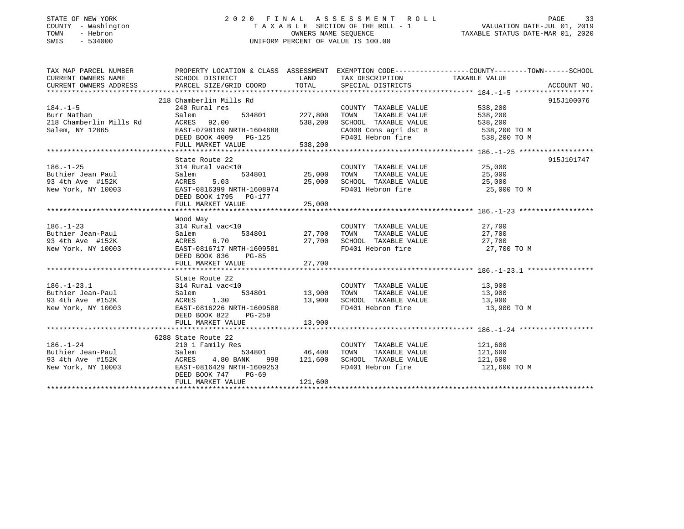### STATE OF NEW YORK 2 0 2 0 F I N A L A S S E S S M E N T R O L L PAGE 33 COUNTY - Washington T A X A B L E SECTION OF THE ROLL - 1 VALUATION DATE-JUL 01, 2019 TOWN - Hebron OWNERS NAME SEQUENCE TAXABLE STATUS DATE-MAR 01, 2020 SWIS - 534000 UNIFORM PERCENT OF VALUE IS 100.00

| TAX MAP PARCEL NUMBER                 | PROPERTY LOCATION & CLASS ASSESSMENT EXEMPTION CODE---------------COUNTY-------TOWN------SCHOOL |         |                                                                                                                    |                       |            |
|---------------------------------------|-------------------------------------------------------------------------------------------------|---------|--------------------------------------------------------------------------------------------------------------------|-----------------------|------------|
| CURRENT OWNERS NAME                   | SCHOOL DISTRICT                                                                                 |         | LAND TAX DESCRIPTION TAXABLE VALUE                                                                                 |                       |            |
| CURRENT OWNERS ADDRESS                |                                                                                                 |         |                                                                                                                    |                       |            |
|                                       |                                                                                                 |         |                                                                                                                    |                       |            |
|                                       | 218 Chamberlin Mills Rd                                                                         |         |                                                                                                                    |                       | 915J100076 |
| $184. - 1 - 5$                        | 240 Rural res                                                                                   |         | COUNTY TAXABLE VALUE 538,200                                                                                       |                       |            |
| Burr Nathan                           | 534801 227,800<br>Salem                                                                         |         | TOWN                                                                                                               | TAXABLE VALUE 538,200 |            |
| 218 Chamberlin Mills Rd               | ACRES 92.00                                                                                     | 538,200 | SCHOOL TAXABLE VALUE                                                                                               | 538,200               |            |
| Salem, NY 12865                       | EAST-0798169 NRTH-1604688                                                                       |         | CA008 Cons agri dst 8 538,200 TO M                                                                                 |                       |            |
|                                       | DEED BOOK 4009 PG-125                                                                           |         | FD401 Hebron fire 538,200 TO M                                                                                     |                       |            |
|                                       | FULL MARKET VALUE                                                                               | 538,200 |                                                                                                                    |                       |            |
|                                       |                                                                                                 |         |                                                                                                                    |                       |            |
|                                       | State Route 22                                                                                  |         |                                                                                                                    |                       | 915J101747 |
| $186. - 1 - 25$                       | 314 Rural vac<10                                                                                |         | 0 COUNTY TAXABLE VALUE $25,000$<br>534801 25,000 TOWN TAXABLE VALUE $25,000$<br>25,000 SCHOOL TAXABLE VALUE 25,000 |                       |            |
| Buthier Jean Paul<br>93 4th Ave #152K | Salem                                                                                           |         |                                                                                                                    |                       |            |
|                                       | ACRES 5.03                                                                                      |         |                                                                                                                    |                       |            |
| New York, NY 10003                    | EAST-0816399 NRTH-1608974                                                                       |         | FD401 Hebron fire 25,000 TO M                                                                                      |                       |            |
|                                       | DEED BOOK 1795 PG-177                                                                           |         |                                                                                                                    |                       |            |
|                                       | FULL MARKET VALUE                                                                               | 25,000  |                                                                                                                    |                       |            |
|                                       | Wood Way                                                                                        |         |                                                                                                                    |                       |            |
| $186. - 1 - 23$                       | 314 Rural vac<10                                                                                |         | COUNTY TAXABLE VALUE 27,700                                                                                        |                       |            |
| Buthier Jean-Paul                     | Salem                                                                                           |         | 534801 27,700 TOWN TAXABLE VALUE 27,700                                                                            |                       |            |
|                                       |                                                                                                 |         |                                                                                                                    |                       |            |
| 93 4th Ave #152K                      | ACRES 6.70<br>EAST-0816717 NRTH-1609581<br>EAST-0816717 NRTH-1609581 FD401 Hebron fire 27,700   |         | FD401 Hebron fire                                                                                                  | 27,700 TO M           |            |
| New York, NY 10003                    | DEED BOOK 836 PG-85                                                                             |         |                                                                                                                    |                       |            |
|                                       | FULL MARKET VALUE                                                                               | 27,700  |                                                                                                                    |                       |            |
|                                       |                                                                                                 |         |                                                                                                                    |                       |            |
|                                       | State Route 22                                                                                  |         |                                                                                                                    |                       |            |
| $186. - 1 - 23.1$                     | 314 Rural vac<10                                                                                |         | COUNTY TAXABLE VALUE 13,900                                                                                        |                       |            |
| Buthier Jean-Paul                     | Salem                                                                                           |         | 534801 13,900 TOWN TAXABLE VALUE 13,900                                                                            |                       |            |
|                                       |                                                                                                 |         |                                                                                                                    | 13,900                |            |
|                                       |                                                                                                 |         | FD401 Hebron fire                                                                                                  | 13,900 TO M           |            |
|                                       | DEED BOOK 822 PG-259                                                                            |         |                                                                                                                    |                       |            |
|                                       | FULL MARKET VALUE 13,900                                                                        |         |                                                                                                                    |                       |            |
|                                       |                                                                                                 |         |                                                                                                                    |                       |            |
|                                       | 6288 State Route 22                                                                             |         |                                                                                                                    |                       |            |
| $186. - 1 - 24$                       | 210 1 Family Res                                                                                |         | COUNTY TAXABLE VALUE 121,600                                                                                       |                       |            |
|                                       |                                                                                                 |         | TOWN TAXABLE VALUE 121,600                                                                                         |                       |            |
| Buthier Jean-Paul<br>93 4th Ave #152K | Salem 534801 46,400 TOWN TAXABLE VALUE<br>ACRES 4.80 BANK 998 121,600 SCHOOL TAXABLE VALUE      |         |                                                                                                                    | 121,600               |            |
| New York, NY 10003                    | EAST-0816429 NRTH-1609253                                                                       |         | FD401 Hebron fire                                                                                                  | 121,600 TO M          |            |
|                                       | DEED BOOK 747 PG-69                                                                             |         |                                                                                                                    |                       |            |
|                                       | FULL MARKET VALUE                                                                               | 121,600 |                                                                                                                    |                       |            |
|                                       |                                                                                                 |         |                                                                                                                    |                       |            |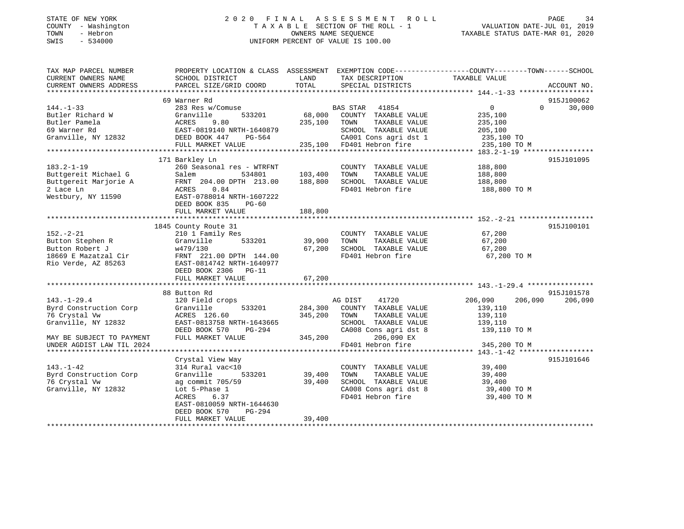### STATE OF NEW YORK 2 0 2 0 F I N A L A S S E S S M E N T R O L L PAGE 34 COUNTY - Washington T A X A B L E SECTION OF THE ROLL - 1 VALUATION DATE-JUL 01, 2019 TOWN - Hebron OWNERS NAME SEQUENCE TAXABLE STATUS DATE-MAR 01, 2020 SWIS - 534000 UNIFORM PERCENT OF VALUE IS 100.00

| TAX MAP PARCEL NUMBER                        | PROPERTY LOCATION & CLASS ASSESSMENT EXEMPTION CODE---------------COUNTY-------TOWN------SCHOOL |         |                              |                    |                             |
|----------------------------------------------|-------------------------------------------------------------------------------------------------|---------|------------------------------|--------------------|-----------------------------|
| CURRENT OWNERS NAME                          | SCHOOL DISTRICT                                                                                 | LAND    | TAX DESCRIPTION              | TAXABLE VALUE      |                             |
| CURRENT OWNERS ADDRESS                       | PARCEL SIZE/GRID COORD                                                                          | TOTAL   | SPECIAL DISTRICTS            |                    | ACCOUNT NO.                 |
|                                              |                                                                                                 |         |                              |                    |                             |
|                                              | 69 Warner Rd                                                                                    |         |                              |                    | 915J100062                  |
| $144. - 1 - 33$                              | 283 Res w/Comuse                                                                                |         | BAS STAR 41854               | $\overline{0}$     | $0 \qquad \qquad$<br>30,000 |
| Butler Richard W                             | 533201<br>Granville                                                                             | 68,000  | COUNTY TAXABLE VALUE         | 235,100            |                             |
| Butler Pamela                                | 9.80<br>ACRES                                                                                   | 235,100 | TAXABLE VALUE<br>TOWN        | 235,100            |                             |
| 69 Warner Rd                                 | EAST-0819140 NRTH-1640879                                                                       |         | SCHOOL TAXABLE VALUE         | 205,100            |                             |
| Granville, NY 12832                          | DEED BOOK 447 PG-564                                                                            |         | CA001 Cons agri dst 1        | 235,100 TO         |                             |
|                                              | FULL MARKET VALUE                                                                               |         | 235,100 FD401 Hebron fire    | 235,100 TO M       |                             |
|                                              |                                                                                                 |         |                              |                    |                             |
|                                              | 171 Barkley Ln                                                                                  |         |                              |                    | 915J101095                  |
| $183.2 - 1 - 19$                             | 260 Seasonal res - WTRFNT                                                                       |         | COUNTY TAXABLE VALUE         | 188,800            |                             |
| Buttgereit Michael G                         | Salem 534801                                                                                    | 103,400 | TOWN<br>TAXABLE VALUE        | 188,800            |                             |
| Buttgereit Marjorie A                        | FRNT 204.00 DPTH 213.00                                                                         | 188,800 | SCHOOL TAXABLE VALUE         | 188,800            |                             |
| 2 Lace Ln                                    | ACRES<br>0.84                                                                                   |         | FD401 Hebron fire            | 188,800 TO M       |                             |
| Westbury, NY 11590                           | EAST-0788014 NRTH-1607222                                                                       |         |                              |                    |                             |
|                                              | DEED BOOK 835<br>$PG-60$                                                                        |         |                              |                    |                             |
|                                              | FULL MARKET VALUE                                                                               | 188,800 |                              |                    |                             |
|                                              |                                                                                                 |         |                              |                    |                             |
|                                              | 1845 County Route 31                                                                            |         |                              |                    | 915J100101                  |
| $152. - 2 - 21$                              | 210 1 Family Res                                                                                |         | COUNTY TAXABLE VALUE 67,200  |                    |                             |
| Button Stephen R                             | 533201<br>Granville                                                                             | 39,900  | TOWN<br>TAXABLE VALUE        | 67,200             |                             |
| Button Robert J                              | w479/130                                                                                        | 67,200  | SCHOOL TAXABLE VALUE         | 67,200             |                             |
| 18669 E Mazatzal Cir<br>Pio Verde - AZ 85263 | FRNT 221.00 DPTH 144.00                                                                         |         | FD401 Hebron fire            | 67,200 TO M        |                             |
| Rio Verde, AZ 85263                          | EAST-0814742 NRTH-1640977                                                                       |         |                              |                    |                             |
|                                              | DEED BOOK 2306 PG-11                                                                            |         |                              |                    |                             |
|                                              | FULL MARKET VALUE                                                                               | 67,200  |                              |                    |                             |
|                                              |                                                                                                 |         |                              |                    |                             |
|                                              | 88 Button Rd                                                                                    |         |                              |                    | 915J101578                  |
| $143. - 1 - 29.4$                            | 120 Field crops                                                                                 |         | 41720<br>AG DIST             | 206,090<br>206,090 | 206,090                     |
| Byrd Construction Corp                       | 533201<br>Granville                                                                             |         | 284,300 COUNTY TAXABLE VALUE | 139,110            |                             |
| 76 Crystal Vw                                | ACRES 126.60                                                                                    | 345,200 | TOWN<br>TAXABLE VALUE        | 139,110            |                             |
| Granville, NY 12832                          | EAST-0813758 NRTH-1643665                                                                       |         | SCHOOL TAXABLE VALUE         | 139,110            |                             |
|                                              | DEED BOOK 570<br>PG-294                                                                         |         | CA008 Cons agri dst 8        | 139,110 TO M       |                             |
| MAY BE SUBJECT TO PAYMENT                    | FULL MARKET VALUE                                                                               | 345,200 | 206,090 EX                   |                    |                             |
| UNDER AGDIST LAW TIL 2024                    |                                                                                                 |         | FD401 Hebron fire            | 345,200 TO M       |                             |
|                                              |                                                                                                 |         |                              |                    |                             |
|                                              | Crystal View Way                                                                                |         |                              |                    | 915J101646                  |
| $143. - 1 - 42$                              | 314 Rural vac<10                                                                                |         | COUNTY TAXABLE VALUE         | 39,400             |                             |
| Byrd Construction Corp                       | Granville<br>533201                                                                             | 39,400  | TOWN<br>TAXABLE VALUE        | 39,400             |                             |
| 76 Crystal Vw                                | ag commit 705/59                                                                                | 39,400  | SCHOOL TAXABLE VALUE         | 39,400             |                             |
| Granville, NY 12832                          | Lot 5-Phase 1                                                                                   |         | CA008 Cons agri dst 8        | 39,400 TO M        |                             |
|                                              | ACRES<br>6.37                                                                                   |         | FD401 Hebron fire            | 39,400 TO M        |                             |
|                                              | EAST-0810059 NRTH-1644630                                                                       |         |                              |                    |                             |
|                                              | PG-294<br>DEED BOOK 570                                                                         |         |                              |                    |                             |
|                                              | FULL MARKET VALUE                                                                               | 39,400  |                              |                    |                             |
|                                              |                                                                                                 |         |                              |                    |                             |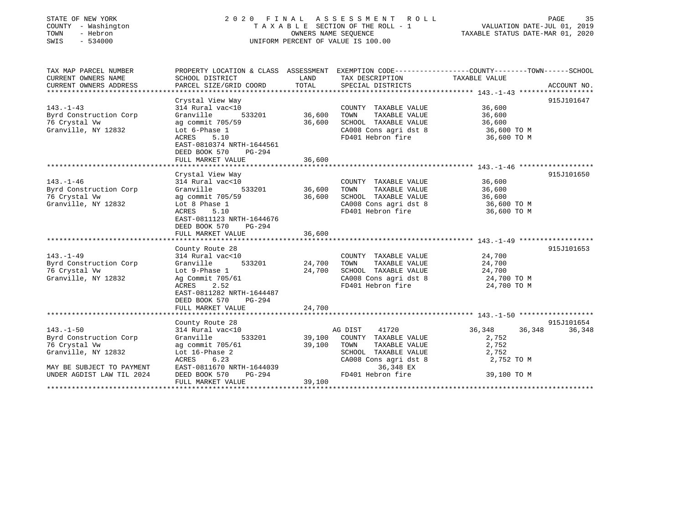| STATE OF NEW YORK<br>COUNTY - Washington<br>- Hebron<br>TOWN<br>SWIS<br>$-534000$ |                                                                                                                                                                          | 2020 FINAL ASSESSMENT ROLL<br>TAXABLE SECTION OF THE ROLL - 1<br>OWNERS NAME SEOUENCE<br>UNIFORM PERCENT OF VALUE IS 100.00 |                                                                                                                     |                                                           | PAGE<br>35<br>VALUATION DATE-JUL 01, 2019<br>TAXABLE STATUS DATE-MAR 01, 2020 |
|-----------------------------------------------------------------------------------|--------------------------------------------------------------------------------------------------------------------------------------------------------------------------|-----------------------------------------------------------------------------------------------------------------------------|---------------------------------------------------------------------------------------------------------------------|-----------------------------------------------------------|-------------------------------------------------------------------------------|
| TAX MAP PARCEL NUMBER                                                             | PROPERTY LOCATION & CLASS ASSESSMENT EXEMPTION CODE----------------COUNTY-------TOWN------SCHOOL                                                                         |                                                                                                                             |                                                                                                                     |                                                           |                                                                               |
| CURRENT OWNERS NAME<br>CURRENT OWNERS ADDRESS                                     | SCHOOL DISTRICT<br>PARCEL SIZE/GRID COORD                                                                                                                                | LAND<br>TOTAL                                                                                                               | TAX DESCRIPTION<br>SPECIAL DISTRICTS                                                                                | TAXABLE VALUE                                             | ACCOUNT NO.                                                                   |
|                                                                                   |                                                                                                                                                                          |                                                                                                                             |                                                                                                                     |                                                           |                                                                               |
| $143. - 1 - 43$<br>Byrd Construction Corp                                         | Crystal View Way<br>314 Rural vac<10<br>Granville<br>533201                                                                                                              | 36,600                                                                                                                      | COUNTY TAXABLE VALUE<br>TOWN<br>TAXABLE VALUE                                                                       | 36,600<br>36,600                                          | 915J101647                                                                    |
| 76 Crystal Vw<br>Granville, NY 12832                                              | ag commit 705/59<br>Lot 6-Phase 1<br>ACRES<br>5.10                                                                                                                       | 36,600                                                                                                                      | SCHOOL TAXABLE VALUE<br>CA008 Cons agri dst 8<br>FD401 Hebron fire                                                  | 36,600<br>36,600 TO M<br>36,600 TO M                      |                                                                               |
|                                                                                   | EAST-0810374 NRTH-1644561<br>DEED BOOK 570<br>PG-294<br>FULL MARKET VALUE                                                                                                | 36,600                                                                                                                      |                                                                                                                     |                                                           |                                                                               |
|                                                                                   |                                                                                                                                                                          |                                                                                                                             |                                                                                                                     |                                                           |                                                                               |
|                                                                                   | Crystal View Way                                                                                                                                                         |                                                                                                                             |                                                                                                                     |                                                           | 915J101650                                                                    |
| $143. - 1 - 46$                                                                   | 314 Rural vac<10                                                                                                                                                         |                                                                                                                             | COUNTY TAXABLE VALUE                                                                                                | 36,600                                                    |                                                                               |
| Byrd Construction Corp                                                            | Granville<br>533201                                                                                                                                                      | 36,600                                                                                                                      | TOWN<br>TAXABLE VALUE                                                                                               | 36,600                                                    |                                                                               |
| 76 Crystal Vw                                                                     | ag commit 705/59                                                                                                                                                         | 36,600                                                                                                                      | SCHOOL TAXABLE VALUE                                                                                                | 36,600                                                    |                                                                               |
| Granville, NY 12832                                                               | Lot 8 Phase 1<br>ACRES<br>5.10<br>EAST-0811123 NRTH-1644676<br>DEED BOOK 570<br>PG-294<br>FULL MARKET VALUE                                                              | 36,600                                                                                                                      | CA008 Cons agri dst 8<br>FD401 Hebron fire                                                                          | 36,600 TO M<br>36,600 TO M                                |                                                                               |
|                                                                                   |                                                                                                                                                                          |                                                                                                                             |                                                                                                                     |                                                           |                                                                               |
| $143. - 1 - 49$<br>Byrd Construction Corp<br>76 Crystal Vw<br>Granville, NY 12832 | County Route 28<br>314 Rural vac<10<br>Granville<br>533201<br>Lot 9-Phase 1<br>Ag Commit 705/61<br>2.52<br>ACRES<br>EAST-0811282 NRTH-1644487<br>DEED BOOK 570<br>PG-294 | 24,700<br>24,700                                                                                                            | COUNTY TAXABLE VALUE<br>TOWN<br>TAXABLE VALUE<br>SCHOOL TAXABLE VALUE<br>CA008 Cons agri dst 8<br>FD401 Hebron fire | 24,700<br>24,700<br>24,700<br>24,700 TO M<br>24,700 TO M  | 915J101653                                                                    |
|                                                                                   | FULL MARKET VALUE                                                                                                                                                        | 24,700                                                                                                                      |                                                                                                                     |                                                           |                                                                               |
|                                                                                   |                                                                                                                                                                          |                                                                                                                             |                                                                                                                     |                                                           |                                                                               |
| $143. - 1 - 50$<br>Byrd Construction Corp<br>76 Crystal Vw<br>Granville, NY 12832 | County Route 28<br>314 Rural vac<10<br>Granville<br>533201<br>ag commit 705/61<br>Lot 16-Phase 2<br>ACRES<br>6.23                                                        | 39,100<br>39,100                                                                                                            | AG DIST<br>41720<br>COUNTY TAXABLE VALUE<br>TOWN<br>TAXABLE VALUE<br>SCHOOL TAXABLE VALUE<br>CA008 Cons agri dst 8  | 36,348<br>36,348<br>2,752<br>2,752<br>2,752<br>2,752 TO M | 915J101654<br>36,348                                                          |
| MAY BE SUBJECT TO PAYMENT<br>UNDER AGDIST LAW TIL 2024                            | EAST-0811670 NRTH-1644039<br>PG-294<br>DEED BOOK 570<br>FULL MARKET VALUE                                                                                                | 39,100                                                                                                                      | 36,348 EX<br>FD401 Hebron fire                                                                                      | 39,100 TO M                                               |                                                                               |

\*\*\*\*\*\*\*\*\*\*\*\*\*\*\*\*\*\*\*\*\*\*\*\*\*\*\*\*\*\*\*\*\*\*\*\*\*\*\*\*\*\*\*\*\*\*\*\*\*\*\*\*\*\*\*\*\*\*\*\*\*\*\*\*\*\*\*\*\*\*\*\*\*\*\*\*\*\*\*\*\*\*\*\*\*\*\*\*\*\*\*\*\*\*\*\*\*\*\*\*\*\*\*\*\*\*\*\*\*\*\*\*\*\*\*\*\*\*\*\*\*\*\*\*\*\*\*\*\*\*\*\*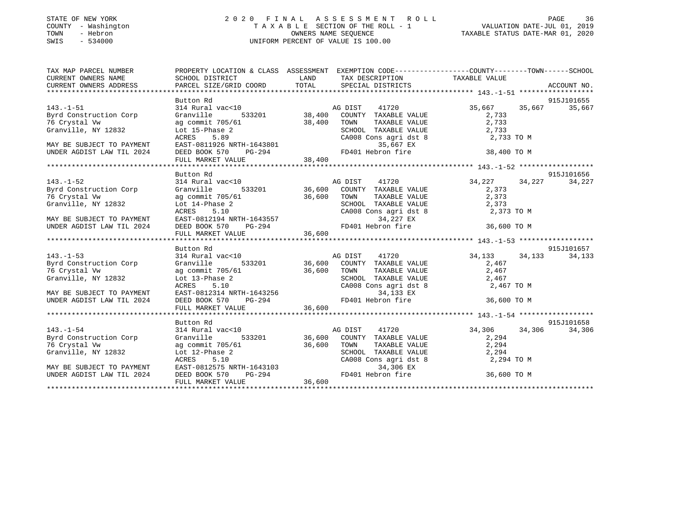### STATE OF NEW YORK 2 0 2 0 F I N A L A S S E S S M E N T R O L L PAGE 36COUNTY - Washington T A X A B L E SECTION OF THE ROLL - 1 VALUATION DATE-JUL 01, 2019 OWNERS NAME SEQUENCE TAXABLE STATUS DATE-MAR 01, 2020 SWIS - 534000 UNIFORM PERCENT OF VALUE IS 100.00

## VALUATION DATE-JUL 01, 2019

| TAX MAP PARCEL NUMBER                                                                                                                                                                                                                     |                              |                                                                                                                                                                                                                                                | PROPERTY LOCATION & CLASS ASSESSMENT EXEMPTION CODE---------------COUNTY-------TOWN------SCHOOL                                                                                                                                                       |  |
|-------------------------------------------------------------------------------------------------------------------------------------------------------------------------------------------------------------------------------------------|------------------------------|------------------------------------------------------------------------------------------------------------------------------------------------------------------------------------------------------------------------------------------------|-------------------------------------------------------------------------------------------------------------------------------------------------------------------------------------------------------------------------------------------------------|--|
|                                                                                                                                                                                                                                           |                              |                                                                                                                                                                                                                                                |                                                                                                                                                                                                                                                       |  |
|                                                                                                                                                                                                                                           | Button Rd                    |                                                                                                                                                                                                                                                | 915J101655                                                                                                                                                                                                                                            |  |
| 143.-1-51<br>Byrd Construction Corp                                                                                                                                                                                                       |                              |                                                                                                                                                                                                                                                | 314 Rural vac<10<br>35,667<br>35,667<br>36,667<br>36,667<br>35,667<br>35,667<br>35,667<br>35,667<br>35,667<br>35,667<br>35,667<br>35,667<br>35,667<br>35,667<br>35,667<br>35,667<br>35,667<br>35,667<br>35,687<br>35,687<br>35,687<br>35,687<br>35,68 |  |
| 76 Crystal Vw                                                                                                                                                                                                                             | ag commit 705/61 38,400 TOWN |                                                                                                                                                                                                                                                |                                                                                                                                                                                                                                                       |  |
| 2832<br>Granville, NY 12832                                                                                                                                                                                                               |                              |                                                                                                                                                                                                                                                |                                                                                                                                                                                                                                                       |  |
|                                                                                                                                                                                                                                           |                              |                                                                                                                                                                                                                                                | TOWN TAXABLE VALUE 2,733<br>SCHOOL TAXABLE VALUE 2,733<br>CA008 Cons agri dst 8 2,733 TO M                                                                                                                                                            |  |
| MAY BE SUBJECT TO PAYMENT                                                                                                                                                                                                                 |                              |                                                                                                                                                                                                                                                |                                                                                                                                                                                                                                                       |  |
| UNDER AGDIST LAW TIL 2024                                                                                                                                                                                                                 |                              |                                                                                                                                                                                                                                                |                                                                                                                                                                                                                                                       |  |
|                                                                                                                                                                                                                                           |                              | Lot 15-Phase 2<br>ACRES 5.89<br>EAST-0811926 NRTH-1643801<br>DEED BOOK 570 PG-294<br>FULL MARKET VALUE<br>PULL MARKET VALUE<br>2,733 TO M<br>2,733 TO M<br>2,733 TO M<br>38,400<br>FULL MARKET VALUE<br>38,400                                 |                                                                                                                                                                                                                                                       |  |
|                                                                                                                                                                                                                                           |                              |                                                                                                                                                                                                                                                |                                                                                                                                                                                                                                                       |  |
|                                                                                                                                                                                                                                           | Button Rd                    |                                                                                                                                                                                                                                                | 915J101656                                                                                                                                                                                                                                            |  |
| $143. - 1 - 52$<br>Byrd Construction Corp                                                                                                                                                                                                 |                              |                                                                                                                                                                                                                                                | 314 Rural vac<10<br>314 Rural vac<10<br>36,600 COUNTY TAXABLE VALUE 34,227 34,227 34,227<br>34,227 373                                                                                                                                                |  |
|                                                                                                                                                                                                                                           |                              |                                                                                                                                                                                                                                                |                                                                                                                                                                                                                                                       |  |
|                                                                                                                                                                                                                                           |                              |                                                                                                                                                                                                                                                |                                                                                                                                                                                                                                                       |  |
|                                                                                                                                                                                                                                           |                              | The Crystal Vw and Commit 705/61<br>Granville, NY 12832<br>MAY BE SUBJECT TO PAYMENT<br>MAY BE SUBJECT TO PAYMENT<br>MAY BE SUBJECT TO PAYMENT<br>MAY BE SUBJECT TO PAYMENT<br>EAST-0812194 NRTH-1643557<br>EAST-0812194 NRTH-1643557<br>ACRES |                                                                                                                                                                                                                                                       |  |
|                                                                                                                                                                                                                                           |                              |                                                                                                                                                                                                                                                |                                                                                                                                                                                                                                                       |  |
| UNDER AGDIST LAW TIL 2024                                                                                                                                                                                                                 |                              |                                                                                                                                                                                                                                                |                                                                                                                                                                                                                                                       |  |
|                                                                                                                                                                                                                                           |                              |                                                                                                                                                                                                                                                | Granville, NY 12832 Lot and MATE SCHOOL TAXABLE VALUE<br>MAY BE SUBJECT TO PAYMENT RAST-0812194 NRTH-1643557 26.000 CONS ANALY 2024 DEED BOOK 570 PG-294 FD401 Hebron fire 36,600 TO M<br>FULL MARKET VALUE 36,600 M<br>************                  |  |
|                                                                                                                                                                                                                                           |                              |                                                                                                                                                                                                                                                |                                                                                                                                                                                                                                                       |  |
|                                                                                                                                                                                                                                           | Button Rd                    |                                                                                                                                                                                                                                                | 915J101657                                                                                                                                                                                                                                            |  |
| $143. - 1 - 53$                                                                                                                                                                                                                           |                              |                                                                                                                                                                                                                                                | Button Ku<br>314 Rural vac<10 11 AG DIST 41720 34,133 34,133 34,133 34,133<br>Granville 533201 36,600 COUNTY TAXABLE VALUE 2,467                                                                                                                      |  |
| Byrd Construction Corp Granville                                                                                                                                                                                                          |                              |                                                                                                                                                                                                                                                |                                                                                                                                                                                                                                                       |  |
|                                                                                                                                                                                                                                           |                              |                                                                                                                                                                                                                                                |                                                                                                                                                                                                                                                       |  |
|                                                                                                                                                                                                                                           |                              |                                                                                                                                                                                                                                                |                                                                                                                                                                                                                                                       |  |
|                                                                                                                                                                                                                                           |                              |                                                                                                                                                                                                                                                |                                                                                                                                                                                                                                                       |  |
|                                                                                                                                                                                                                                           |                              |                                                                                                                                                                                                                                                |                                                                                                                                                                                                                                                       |  |
|                                                                                                                                                                                                                                           |                              |                                                                                                                                                                                                                                                |                                                                                                                                                                                                                                                       |  |
| 36,600 TOWN TRANSLE VALUE<br>To Crystal Vw a commit 705/61 36,600 TOWN TRANSLE VALUE<br>Granville, NY 12832 Lot 13-Phase 2<br>ACRES 5.10 CA008 Cons agri dst 8 2,467<br>MAY BE SUBJECT TO PAYMENT EAST-0812314 NRTH-1643256 34,133 EX<br> |                              |                                                                                                                                                                                                                                                |                                                                                                                                                                                                                                                       |  |
|                                                                                                                                                                                                                                           | Button Rd                    |                                                                                                                                                                                                                                                | 915J101658                                                                                                                                                                                                                                            |  |
| $143. - 1 - 54$                                                                                                                                                                                                                           |                              |                                                                                                                                                                                                                                                |                                                                                                                                                                                                                                                       |  |
| Byrd Construction Corp                                                                                                                                                                                                                    | Granville                    | 533201 36,600 COUNTY TAXABLE VALUE                                                                                                                                                                                                             | 2,294                                                                                                                                                                                                                                                 |  |
|                                                                                                                                                                                                                                           |                              |                                                                                                                                                                                                                                                |                                                                                                                                                                                                                                                       |  |
|                                                                                                                                                                                                                                           |                              |                                                                                                                                                                                                                                                |                                                                                                                                                                                                                                                       |  |
|                                                                                                                                                                                                                                           |                              |                                                                                                                                                                                                                                                |                                                                                                                                                                                                                                                       |  |
|                                                                                                                                                                                                                                           |                              |                                                                                                                                                                                                                                                |                                                                                                                                                                                                                                                       |  |
|                                                                                                                                                                                                                                           |                              |                                                                                                                                                                                                                                                | T6 Crystal W and the commit the commit of the state of the set of the set of the set of the set of the set of the set of the set of the set of the set of the set of the set of the set of the set of the set of the set of th                        |  |
|                                                                                                                                                                                                                                           |                              |                                                                                                                                                                                                                                                |                                                                                                                                                                                                                                                       |  |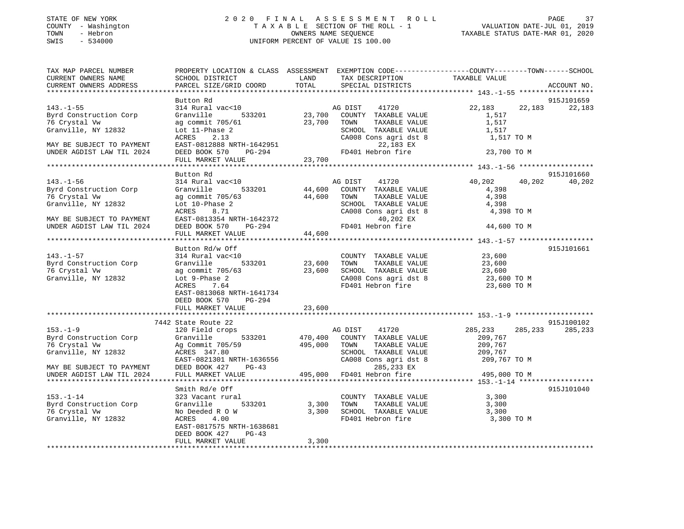#### STATE OF NEW YORK 2 0 2 0 F I N A L A S S E S S M E N T R O L L PAGE 37 COUNTY - Washington T A X A B L E SECTION OF THE ROLL - 1 VALUATION DATE-JUL 01, 2019 TOWN - Hebron OWNERS NAME SEQUENCE TAXABLE STATUS DATE-MAR 01, 2020 SWIS - 534000 UNIFORM PERCENT OF VALUE IS 100.00

| TAX MAP PARCEL NUMBER      | PROPERTY LOCATION & CLASS ASSESSMENT EXEMPTION CODE---------------COUNTY-------TOWN-----SCHOOL |         |                       |                    |             |
|----------------------------|------------------------------------------------------------------------------------------------|---------|-----------------------|--------------------|-------------|
| CURRENT OWNERS NAME        | SCHOOL DISTRICT                                                                                | LAND    | TAX DESCRIPTION       | TAXABLE VALUE      |             |
| CURRENT OWNERS ADDRESS     | PARCEL SIZE/GRID COORD                                                                         | TOTAL   | SPECIAL DISTRICTS     |                    | ACCOUNT NO. |
|                            |                                                                                                |         |                       |                    |             |
|                            | Button Rd                                                                                      |         |                       |                    | 915J101659  |
| $143. - 1 - 55$            | 314 Rural vac<10                                                                               |         | AG DIST<br>41720      | 22,183<br>22,183   | 22,183      |
| Byrd Construction Corp     | Granville<br>533201                                                                            | 23,700  | COUNTY TAXABLE VALUE  | 1,517              |             |
| 76 Crystal Vw              | ag commit 705/61                                                                               | 23,700  | TAXABLE VALUE<br>TOWN | 1,517              |             |
| Granville, NY 12832        |                                                                                                |         | SCHOOL TAXABLE VALUE  |                    |             |
|                            | Lot 11-Phase 2                                                                                 |         |                       | 1,517              |             |
|                            | 2.13<br>ACRES                                                                                  |         | CA008 Cons agri dst 8 | 1,517 TO M         |             |
| MAY BE SUBJECT TO PAYMENT  | EAST-0812888 NRTH-1642951                                                                      |         | 22,183 EX             |                    |             |
| UNDER AGDIST LAW TIL 2024  | DEED BOOK 570<br>PG-294                                                                        |         | FD401 Hebron fire     | 23,700 TO M        |             |
|                            | FULL MARKET VALUE                                                                              | 23,700  |                       |                    |             |
|                            | ********************                                                                           |         |                       |                    |             |
|                            | Button Rd                                                                                      |         |                       |                    | 915J101660  |
| $143. - 1 - 56$            | 314 Rural vac<10                                                                               |         | AG DIST<br>41720      | 40,202<br>40,202   | 40,202      |
| Byrd Construction Corp     | Granville<br>533201                                                                            | 44,600  | COUNTY TAXABLE VALUE  | 4,398              |             |
| 76 Crystal Vw              | ag commit 705/63                                                                               | 44,600  | TOWN<br>TAXABLE VALUE | 4,398              |             |
| Granville, NY 12832        | Lot 10-Phase 2                                                                                 |         | SCHOOL TAXABLE VALUE  | 4,398              |             |
|                            | 8.71<br>ACRES                                                                                  |         | CA008 Cons agri dst 8 | 4,398 TO M         |             |
| MAY BE SUBJECT TO PAYMENT  | EAST-0813354 NRTH-1642372                                                                      |         | 40,202 EX             |                    |             |
|                            |                                                                                                |         |                       |                    |             |
| UNDER AGDIST LAW TIL 2024  | DEED BOOK 570<br>PG-294                                                                        |         | FD401 Hebron fire     | 44,600 TO M        |             |
|                            | FULL MARKET VALUE                                                                              | 44,600  |                       |                    |             |
|                            |                                                                                                |         |                       |                    |             |
|                            | Button Rd/w Off                                                                                |         |                       |                    | 915J101661  |
| $143. - 1 - 57$            | 314 Rural vac<10                                                                               |         | COUNTY TAXABLE VALUE  | 23,600             |             |
| Byrd Construction Corp     | 533201<br>Granville                                                                            | 23,600  | TOWN<br>TAXABLE VALUE | 23,600             |             |
| 76 Crystal Vw              | ag commit 705/63                                                                               | 23,600  | SCHOOL TAXABLE VALUE  | 23,600             |             |
| Granville, NY 12832        | Lot 9-Phase 2                                                                                  |         | CA008 Cons agri dst 8 | 23,600 TO M        |             |
|                            | 7.64<br>ACRES                                                                                  |         | FD401 Hebron fire     | 23,600 TO M        |             |
|                            | EAST-0813068 NRTH-1641734                                                                      |         |                       |                    |             |
|                            | DEED BOOK 570<br>PG-294                                                                        |         |                       |                    |             |
|                            | FULL MARKET VALUE                                                                              | 23,600  |                       |                    |             |
|                            |                                                                                                |         |                       |                    |             |
|                            | 7442 State Route 22                                                                            |         |                       |                    | 915J100102  |
| $153. - 1 - 9$             | 120 Field crops                                                                                |         | AG DIST<br>41720      | 285,233<br>285,233 | 285,233     |
|                            |                                                                                                |         |                       |                    |             |
| Byrd Construction Corp     | Granville<br>533201                                                                            | 470,400 | COUNTY TAXABLE VALUE  | 209,767            |             |
| 76 Crystal Vw              | Ag Commit 705/59                                                                               | 495,000 | TOWN<br>TAXABLE VALUE | 209,767            |             |
| Granville, NY 12832        | ACRES 347.80                                                                                   |         | SCHOOL TAXABLE VALUE  | 209,767            |             |
|                            | EAST-0821301 NRTH-1636556                                                                      |         | CA008 Cons agri dst 8 | 209,767 TO M       |             |
| MAY BE SUBJECT TO PAYMENT  | DEED BOOK 427<br>$PG-43$                                                                       |         | 285,233 EX            |                    |             |
| UNDER AGDIST LAW TIL 2024  | FULL MARKET VALUE                                                                              | 495,000 | FD401 Hebron fire     | 495,000 TO M       |             |
|                            |                                                                                                |         |                       |                    |             |
|                            | Smith Rd/e Off                                                                                 |         |                       |                    | 915J101040  |
| $153. - 1 - 14$            | 323 Vacant rural                                                                               |         | COUNTY TAXABLE VALUE  | 3,300              |             |
| Byrd Construction Corp     | 533201<br>Granville                                                                            | 3,300   | TOWN<br>TAXABLE VALUE | 3,300              |             |
| 76 Crystal Vw              | No Deeded R O W                                                                                | 3,300   | SCHOOL TAXABLE VALUE  | 3,300              |             |
| Granville, NY 12832        | 4.00<br>ACRES                                                                                  |         | FD401 Hebron fire     | 3,300 TO M         |             |
|                            | EAST-0817575 NRTH-1638681                                                                      |         |                       |                    |             |
|                            | DEED BOOK 427<br>$PG-43$                                                                       |         |                       |                    |             |
|                            | FULL MARKET VALUE                                                                              | 3,300   |                       |                    |             |
| ************************** |                                                                                                |         |                       |                    |             |
|                            |                                                                                                |         |                       |                    |             |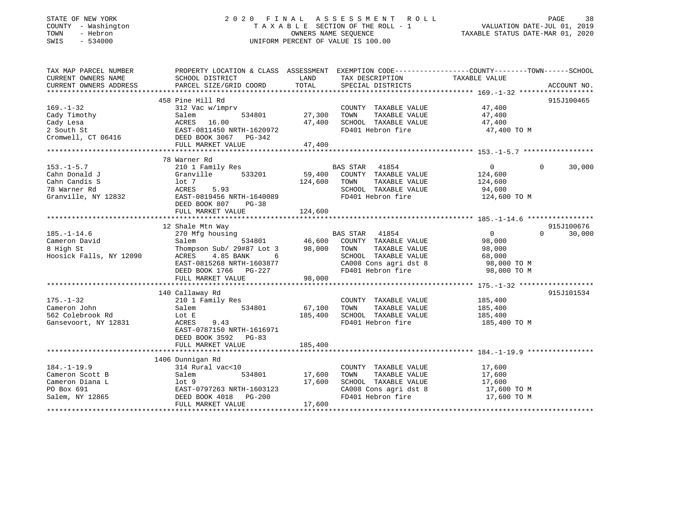#### STATE OF NEW YORK 2 0 2 0 F I N A L A S S E S S M E N T R O L L PAGE 38COUNTY - Washington T A X A B L E SECTION OF THE ROLL - 1 VALUATION DATE-JUL 01, 2019 OWNERS NAME SEQUENCE TAXABLE STATUS DATE-MAR 01, 2020 SWIS - 534000 UNIFORM PERCENT OF VALUE IS 100.00

# VALUATION DATE-JUL 01, 2019

| TAX MAP PARCEL NUMBER                | PROPERTY LOCATION & CLASS ASSESSMENT EXEMPTION CODE----------------COUNTY-------TOWN------SCHOOL                                                                                                                                  |         |                                                                                                                                                     |                                                               |             |
|--------------------------------------|-----------------------------------------------------------------------------------------------------------------------------------------------------------------------------------------------------------------------------------|---------|-----------------------------------------------------------------------------------------------------------------------------------------------------|---------------------------------------------------------------|-------------|
| CURRENT OWNERS NAME                  | SCHOOL DISTRICT                                                                                                                                                                                                                   | LAND    | TAX DESCRIPTION TAXABLE VALUE                                                                                                                       |                                                               |             |
| CURRENT OWNERS ADDRESS               | PARCEL SIZE/GRID COORD                                                                                                                                                                                                            | TOTAL   | SPECIAL DISTRICTS                                                                                                                                   |                                                               | ACCOUNT NO. |
|                                      |                                                                                                                                                                                                                                   |         |                                                                                                                                                     |                                                               |             |
|                                      | 458 Pine Hill Rd                                                                                                                                                                                                                  |         | $\begin{array}{lll} \text{COUNTY} & \text{TAXABLE VALUE} & & & 47,400 \\ \text{---} & \text{---} & \text{---} & \text{VAILIE} & & & \\ \end{array}$ |                                                               | 915J100465  |
| $169. - 1 - 32$                      | 312 Vac w/imprv                                                                                                                                                                                                                   |         |                                                                                                                                                     |                                                               |             |
| Cady Timothy                         | $534801$ 27,300<br>Salem                                                                                                                                                                                                          |         |                                                                                                                                                     |                                                               |             |
|                                      |                                                                                                                                                                                                                                   |         | SCHOOL TAXABLE VALUE 47,400                                                                                                                         |                                                               |             |
|                                      |                                                                                                                                                                                                                                   |         | FD401 Hebron fire                                                                                                                                   | 47,400 TO M                                                   |             |
|                                      | Cady Lesa (2008)<br>2 South St (2008)<br>2 South St (2008)<br>2 Cromwell, CT 06416 (2008)<br>2 DEED BOOK 3067 PG-342                                                                                                              |         |                                                                                                                                                     |                                                               |             |
|                                      | FULL MARKET VALUE                                                                                                                                                                                                                 | 47,400  |                                                                                                                                                     |                                                               |             |
|                                      |                                                                                                                                                                                                                                   |         |                                                                                                                                                     |                                                               |             |
|                                      | 78 Warner Rd                                                                                                                                                                                                                      |         |                                                                                                                                                     |                                                               |             |
| $153. - 1 - 5.7$                     | 210 1 Family Res                                                                                                                                                                                                                  |         | BAS STAR 41854                                                                                                                                      | $\overline{0}$<br>$\Omega$                                    | 30,000      |
| Cahn Donald J                        | Granville 533201 59,400                                                                                                                                                                                                           |         | COUNTY TAXABLE VALUE 124,600                                                                                                                        |                                                               |             |
| Cahn Candis S                        | lot 7<br>ACRES 5.93                                                                                                                                                                                                               | 124,600 | TOWN<br>TOWN TAXABLE VALUE 124,600<br>SCHOOL TAXABLE VALUE 94,600                                                                                   |                                                               |             |
| 78 Warner Rd                         |                                                                                                                                                                                                                                   |         |                                                                                                                                                     |                                                               |             |
|                                      | Granville, NY 12832 EAST-0819456 NRTH-1640089                                                                                                                                                                                     |         | FD401 Hebron fire 124,600 TO M                                                                                                                      |                                                               |             |
|                                      | DEED BOOK 807 PG-38                                                                                                                                                                                                               |         |                                                                                                                                                     |                                                               |             |
|                                      | FULL MARKET VALUE                                                                                                                                                                                                                 | 124,600 |                                                                                                                                                     |                                                               |             |
|                                      |                                                                                                                                                                                                                                   |         |                                                                                                                                                     |                                                               |             |
|                                      | 12 Shale Mtn Way                                                                                                                                                                                                                  |         |                                                                                                                                                     |                                                               | 915J100676  |
| $185. - 1 - 14.6$                    | 270 Mfg housing<br>Salem 534801 6534801 6534801 6534801 653481 66.600 66.11 66.600 66.11 66.600 66.11 66.600 66.11 66.11 66.11 66.11 66.11 66.11 66.11 66.11 66.11 66.11 66.11 66.11 66.11 66.11 66.11 66.11 66.11 66.11 66.11 66 |         |                                                                                                                                                     | $\begin{smallmatrix}0\98\, ,000\end{smallmatrix}$<br>$\Omega$ | 30,000      |
| Cameron David                        |                                                                                                                                                                                                                                   |         |                                                                                                                                                     |                                                               |             |
|                                      |                                                                                                                                                                                                                                   |         | TAXABLE VALUE<br>TOWN                                                                                                                               | 98,000                                                        |             |
| 8 High St<br>Hoosick Falls, NY 12090 | Thompson Sub/ 29#87 Lot 3 98,000<br>ACRES 4.85 BANK 6<br>EAST-0815268 NRTH-1603877                                                                                                                                                |         | SCHOOL TAXABLE VALUE 68,000<br>CA008 Cons agri dst 8 98,000 TO M                                                                                    |                                                               |             |
|                                      |                                                                                                                                                                                                                                   |         |                                                                                                                                                     |                                                               |             |
|                                      | DEED BOOK 1766 PG-227                                                                                                                                                                                                             |         | FD401 Hebron fire 98,000 TO M                                                                                                                       |                                                               |             |
|                                      | FULL MARKET VALUE                                                                                                                                                                                                                 | 98,000  |                                                                                                                                                     |                                                               |             |
|                                      |                                                                                                                                                                                                                                   |         |                                                                                                                                                     |                                                               |             |
|                                      | 140 Callaway Rd                                                                                                                                                                                                                   |         |                                                                                                                                                     |                                                               | 915J101534  |
| $175. - 1 - 32$                      | 210 1 Family Res                                                                                                                                                                                                                  |         | COUNTY TAXABLE VALUE 185,400                                                                                                                        |                                                               |             |
| Cameron John                         | Salem 534801 67,100                                                                                                                                                                                                               |         | TOWN                                                                                                                                                |                                                               |             |
| 562 Colebrook Rd                     | Lot E                                                                                                                                                                                                                             | 185,400 |                                                                                                                                                     | TAXABLE VALUE 185,400<br>TAXABLE VALUE 185,400                |             |
| Gansevoort, NY 12831                 | 9.43<br>ACRES                                                                                                                                                                                                                     |         | SCHOOL TAXABLE VALUE<br>FD401 Hebron fire                                                                                                           | 185,400 TO M                                                  |             |
|                                      | EAST-0787150 NRTH-1616971                                                                                                                                                                                                         |         |                                                                                                                                                     |                                                               |             |
|                                      | DEED BOOK 3592 PG-83                                                                                                                                                                                                              |         |                                                                                                                                                     |                                                               |             |
|                                      | FULL MARKET VALUE                                                                                                                                                                                                                 | 185,400 |                                                                                                                                                     |                                                               |             |
|                                      |                                                                                                                                                                                                                                   |         |                                                                                                                                                     |                                                               |             |
|                                      | 1406 Dunnigan Rd                                                                                                                                                                                                                  |         |                                                                                                                                                     |                                                               |             |
| $184. - 1 - 19.9$                    | 314 Rural vac<10                                                                                                                                                                                                                  |         | COUNTY TAXABLE VALUE                                                                                                                                |                                                               |             |
| Cameron Scott B                      | 534801 17,600<br>Salem                                                                                                                                                                                                            |         | TOWN<br>TAXABLE VALUE                                                                                                                               | 17,600<br>17,600                                              |             |
|                                      |                                                                                                                                                                                                                                   |         |                                                                                                                                                     |                                                               |             |
|                                      |                                                                                                                                                                                                                                   |         | SCHOOL TAXABLE VALUE 17,600<br>CA008 Cons agri dst 8 17,600 TO M                                                                                    |                                                               |             |
|                                      |                                                                                                                                                                                                                                   |         | CA008 Cons agri dst 8<br>FD401 Hebron fire                                                                                                          | 17,600 TO M                                                   |             |
|                                      | FULL MARKET VALUE                                                                                                                                                                                                                 | 17,600  |                                                                                                                                                     |                                                               |             |
|                                      |                                                                                                                                                                                                                                   |         |                                                                                                                                                     |                                                               |             |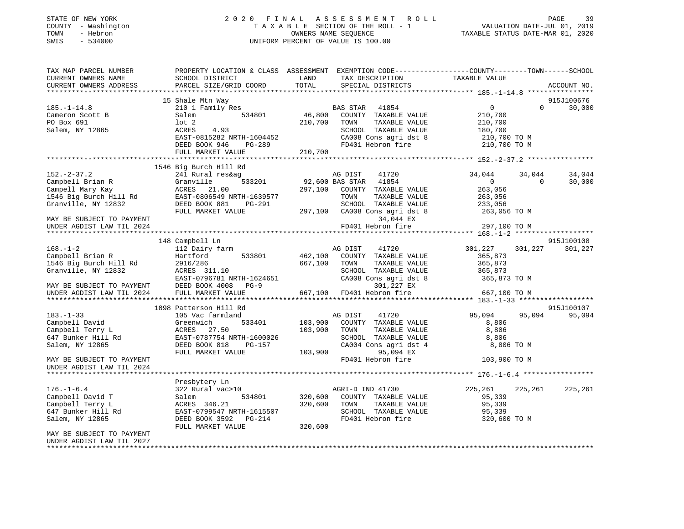| PROPERTY LOCATION & CLASS ASSESSMENT EXEMPTION CODE----------------COUNTY-------TOWN------SCHOOL<br>TAX MAP PARCEL NUMBER<br>TAX DESCRIPTION TAXABLE VALUE<br>CURRENT OWNERS NAME<br>SCHOOL DISTRICT<br>LAND<br>TOTAL<br>CURRENT OWNERS ADDRESS<br>PARCEL SIZE/GRID COORD<br>SPECIAL DISTRICTS<br>ACCOUNT NO.<br>15 Shale Mtn Way<br>915J100676<br>30,000<br>$185. - 1 - 14.8$<br>210 1 Family Res<br>BAS STAR<br>41854<br>$\mathbf{0}$<br>$\Omega$<br>46,800 COUNTY TAXABLE VALUE<br>Cameron Scott B<br>Salem<br>534801<br>210,700<br>PO Box 691<br>lot 2<br>210,700<br>TOWN<br>TAXABLE VALUE<br>210,700<br>Salem, NY 12865<br>ACRES<br>4.93<br>SCHOOL TAXABLE VALUE<br>180,700<br>EAST-0815282 NRTH-1604452<br>CA008 Cons agri dst 8<br>210,700 TO M<br>DEED BOOK 946 PG-289<br>FD401 Hebron fire<br>210,700 TO M<br>FULL MARKET VALUE<br>210,700<br>1546 Big Burch Hill Rd<br>$152. - 2 - 37.2$<br>241 Rural res&ag<br>AG DIST<br>41720<br>34,044<br>34,044<br>34,044<br>Campbell Brian R<br>533201<br>92,600 BAS STAR 41854<br>$\overline{0}$<br>30,000<br>Granville<br>$\overline{0}$<br>Campell Mary Kay<br>ACRES<br>297,100<br>21.00<br>COUNTY TAXABLE VALUE<br>263,056<br>1546 Big Burch Hill Rd<br>EAST-0806549 NRTH-1639577<br>TOWN<br>TAXABLE VALUE<br>263,056<br>Granville, NY 12832<br>DEED BOOK 881<br>PG-291<br>SCHOOL TAXABLE VALUE<br>233,056<br>FULL MARKET VALUE<br>297,100 CA008 Cons agri dst 8<br>263,056 TO M<br>34,044 EX<br>MAY BE SUBJECT TO PAYMENT<br>UNDER AGDIST LAW TIL 2024<br>FD401 Hebron fire<br>297,100 TO M<br>148 Campbell Ln<br>915J100108<br>112 Dairy farm<br>$168. - 1 - 2$<br>AG DIST<br>41720<br>301,227<br>301, 227 301, 227<br>462,100<br>Campbell Brian R<br>533801<br>COUNTY TAXABLE VALUE<br>365,873<br>Hartford<br>1546 Big Burch Hill Rd<br>667,100<br>TAXABLE VALUE<br>2916/286<br>TOWN<br>365,873<br>ACRES 311.10<br>Granville, NY 12832<br>SCHOOL TAXABLE VALUE<br>365,873<br>EAST-0796781 NRTH-1624651<br>CA008 Cons agri dst 8<br>365,873 TO M<br>DEED BOOK 4008 PG-9<br>301,227 EX<br>MAY BE SUBJECT TO PAYMENT<br>UNDER AGDIST LAW TIL 2024<br>FULL MARKET VALUE<br>667,100<br>FD401 Hebron fire<br>667,100 TO M<br>1098 Patterson Hill Rd<br>915J100107<br>$183. - 1 - 33$<br>105 Vac farmland<br>95,094<br>95,094<br>95,094<br>AG DIST<br>41720<br>Campbell David<br>Greenwich<br>533401<br>103,900<br>COUNTY TAXABLE VALUE<br>8,806<br>103,900<br>Campbell Terry L<br>ACRES<br>27.50<br>TOWN<br>TAXABLE VALUE<br>8,806<br>647 Bunker Hill Rd<br>EAST-0787754 NRTH-1600026<br>SCHOOL TAXABLE VALUE<br>8,806<br>CA004 Cons agri dst 4<br>Salem, NY 12865<br>DEED BOOK 818<br>PG-157<br>8,806 TO M<br>95,094 EX<br>FULL MARKET VALUE<br>103,900<br>FD401 Hebron fire<br>103,900 TO M<br>MAY BE SUBJECT TO PAYMENT<br>UNDER AGDIST LAW TIL 2024<br>Presbytery Ln<br>$176. - 1 - 6.4$<br>322 Rural vac>10<br>AGRI-D IND 41730<br>225,261<br>225,261<br>225,261<br>Campbell David T<br>320,600<br>COUNTY TAXABLE VALUE<br>Salem<br>534801<br>95,339<br>Campbell Terry L<br>ACRES 346.21<br>320,600<br>TOWN<br>TAXABLE VALUE<br>95,339<br>647 Bunker Hill Rd<br>SCHOOL TAXABLE VALUE<br>EAST-0799547 NRTH-1615507<br>95,339<br>Salem, NY 12865<br>DEED BOOK 3592    PG-214<br>FD401 Hebron fire<br>320,600 TO M<br>FULL MARKET VALUE<br>320,600<br>MAY BE SUBJECT TO PAYMENT<br>UNDER AGDIST LAW TIL 2027 | STATE OF NEW YORK<br>COUNTY - Washington<br>TOWN<br>- Hebron<br>$-534000$<br>SWIS | 2020 FINAL ASSESSMENT ROLL<br>TAXABLE SECTION OF THE ROLL - 1<br>OWNERS NAME SEOUENCE<br>UNIFORM PERCENT OF VALUE IS 100.00 | 39<br>PAGE<br>VALUATION DATE-JUL 01, 2019<br>TAXABLE STATUS DATE-MAR 01, 2020 |
|-----------------------------------------------------------------------------------------------------------------------------------------------------------------------------------------------------------------------------------------------------------------------------------------------------------------------------------------------------------------------------------------------------------------------------------------------------------------------------------------------------------------------------------------------------------------------------------------------------------------------------------------------------------------------------------------------------------------------------------------------------------------------------------------------------------------------------------------------------------------------------------------------------------------------------------------------------------------------------------------------------------------------------------------------------------------------------------------------------------------------------------------------------------------------------------------------------------------------------------------------------------------------------------------------------------------------------------------------------------------------------------------------------------------------------------------------------------------------------------------------------------------------------------------------------------------------------------------------------------------------------------------------------------------------------------------------------------------------------------------------------------------------------------------------------------------------------------------------------------------------------------------------------------------------------------------------------------------------------------------------------------------------------------------------------------------------------------------------------------------------------------------------------------------------------------------------------------------------------------------------------------------------------------------------------------------------------------------------------------------------------------------------------------------------------------------------------------------------------------------------------------------------------------------------------------------------------------------------------------------------------------------------------------------------------------------------------------------------------------------------------------------------------------------------------------------------------------------------------------------------------------------------------------------------------------------------------------------------------------------------------------------------------------------------------------------------------------------------------------------------------------------------------------------------------------------------------------------------------------------------------------------------------------------------------------------------------------------------------------------|-----------------------------------------------------------------------------------|-----------------------------------------------------------------------------------------------------------------------------|-------------------------------------------------------------------------------|
|                                                                                                                                                                                                                                                                                                                                                                                                                                                                                                                                                                                                                                                                                                                                                                                                                                                                                                                                                                                                                                                                                                                                                                                                                                                                                                                                                                                                                                                                                                                                                                                                                                                                                                                                                                                                                                                                                                                                                                                                                                                                                                                                                                                                                                                                                                                                                                                                                                                                                                                                                                                                                                                                                                                                                                                                                                                                                                                                                                                                                                                                                                                                                                                                                                                                                                                                                                 |                                                                                   |                                                                                                                             |                                                                               |
|                                                                                                                                                                                                                                                                                                                                                                                                                                                                                                                                                                                                                                                                                                                                                                                                                                                                                                                                                                                                                                                                                                                                                                                                                                                                                                                                                                                                                                                                                                                                                                                                                                                                                                                                                                                                                                                                                                                                                                                                                                                                                                                                                                                                                                                                                                                                                                                                                                                                                                                                                                                                                                                                                                                                                                                                                                                                                                                                                                                                                                                                                                                                                                                                                                                                                                                                                                 |                                                                                   |                                                                                                                             |                                                                               |
|                                                                                                                                                                                                                                                                                                                                                                                                                                                                                                                                                                                                                                                                                                                                                                                                                                                                                                                                                                                                                                                                                                                                                                                                                                                                                                                                                                                                                                                                                                                                                                                                                                                                                                                                                                                                                                                                                                                                                                                                                                                                                                                                                                                                                                                                                                                                                                                                                                                                                                                                                                                                                                                                                                                                                                                                                                                                                                                                                                                                                                                                                                                                                                                                                                                                                                                                                                 |                                                                                   |                                                                                                                             |                                                                               |
|                                                                                                                                                                                                                                                                                                                                                                                                                                                                                                                                                                                                                                                                                                                                                                                                                                                                                                                                                                                                                                                                                                                                                                                                                                                                                                                                                                                                                                                                                                                                                                                                                                                                                                                                                                                                                                                                                                                                                                                                                                                                                                                                                                                                                                                                                                                                                                                                                                                                                                                                                                                                                                                                                                                                                                                                                                                                                                                                                                                                                                                                                                                                                                                                                                                                                                                                                                 |                                                                                   |                                                                                                                             |                                                                               |
|                                                                                                                                                                                                                                                                                                                                                                                                                                                                                                                                                                                                                                                                                                                                                                                                                                                                                                                                                                                                                                                                                                                                                                                                                                                                                                                                                                                                                                                                                                                                                                                                                                                                                                                                                                                                                                                                                                                                                                                                                                                                                                                                                                                                                                                                                                                                                                                                                                                                                                                                                                                                                                                                                                                                                                                                                                                                                                                                                                                                                                                                                                                                                                                                                                                                                                                                                                 |                                                                                   |                                                                                                                             |                                                                               |
|                                                                                                                                                                                                                                                                                                                                                                                                                                                                                                                                                                                                                                                                                                                                                                                                                                                                                                                                                                                                                                                                                                                                                                                                                                                                                                                                                                                                                                                                                                                                                                                                                                                                                                                                                                                                                                                                                                                                                                                                                                                                                                                                                                                                                                                                                                                                                                                                                                                                                                                                                                                                                                                                                                                                                                                                                                                                                                                                                                                                                                                                                                                                                                                                                                                                                                                                                                 |                                                                                   |                                                                                                                             |                                                                               |
|                                                                                                                                                                                                                                                                                                                                                                                                                                                                                                                                                                                                                                                                                                                                                                                                                                                                                                                                                                                                                                                                                                                                                                                                                                                                                                                                                                                                                                                                                                                                                                                                                                                                                                                                                                                                                                                                                                                                                                                                                                                                                                                                                                                                                                                                                                                                                                                                                                                                                                                                                                                                                                                                                                                                                                                                                                                                                                                                                                                                                                                                                                                                                                                                                                                                                                                                                                 |                                                                                   |                                                                                                                             |                                                                               |
|                                                                                                                                                                                                                                                                                                                                                                                                                                                                                                                                                                                                                                                                                                                                                                                                                                                                                                                                                                                                                                                                                                                                                                                                                                                                                                                                                                                                                                                                                                                                                                                                                                                                                                                                                                                                                                                                                                                                                                                                                                                                                                                                                                                                                                                                                                                                                                                                                                                                                                                                                                                                                                                                                                                                                                                                                                                                                                                                                                                                                                                                                                                                                                                                                                                                                                                                                                 |                                                                                   |                                                                                                                             |                                                                               |
|                                                                                                                                                                                                                                                                                                                                                                                                                                                                                                                                                                                                                                                                                                                                                                                                                                                                                                                                                                                                                                                                                                                                                                                                                                                                                                                                                                                                                                                                                                                                                                                                                                                                                                                                                                                                                                                                                                                                                                                                                                                                                                                                                                                                                                                                                                                                                                                                                                                                                                                                                                                                                                                                                                                                                                                                                                                                                                                                                                                                                                                                                                                                                                                                                                                                                                                                                                 |                                                                                   |                                                                                                                             |                                                                               |
|                                                                                                                                                                                                                                                                                                                                                                                                                                                                                                                                                                                                                                                                                                                                                                                                                                                                                                                                                                                                                                                                                                                                                                                                                                                                                                                                                                                                                                                                                                                                                                                                                                                                                                                                                                                                                                                                                                                                                                                                                                                                                                                                                                                                                                                                                                                                                                                                                                                                                                                                                                                                                                                                                                                                                                                                                                                                                                                                                                                                                                                                                                                                                                                                                                                                                                                                                                 |                                                                                   |                                                                                                                             |                                                                               |
|                                                                                                                                                                                                                                                                                                                                                                                                                                                                                                                                                                                                                                                                                                                                                                                                                                                                                                                                                                                                                                                                                                                                                                                                                                                                                                                                                                                                                                                                                                                                                                                                                                                                                                                                                                                                                                                                                                                                                                                                                                                                                                                                                                                                                                                                                                                                                                                                                                                                                                                                                                                                                                                                                                                                                                                                                                                                                                                                                                                                                                                                                                                                                                                                                                                                                                                                                                 |                                                                                   |                                                                                                                             |                                                                               |
|                                                                                                                                                                                                                                                                                                                                                                                                                                                                                                                                                                                                                                                                                                                                                                                                                                                                                                                                                                                                                                                                                                                                                                                                                                                                                                                                                                                                                                                                                                                                                                                                                                                                                                                                                                                                                                                                                                                                                                                                                                                                                                                                                                                                                                                                                                                                                                                                                                                                                                                                                                                                                                                                                                                                                                                                                                                                                                                                                                                                                                                                                                                                                                                                                                                                                                                                                                 |                                                                                   |                                                                                                                             |                                                                               |
|                                                                                                                                                                                                                                                                                                                                                                                                                                                                                                                                                                                                                                                                                                                                                                                                                                                                                                                                                                                                                                                                                                                                                                                                                                                                                                                                                                                                                                                                                                                                                                                                                                                                                                                                                                                                                                                                                                                                                                                                                                                                                                                                                                                                                                                                                                                                                                                                                                                                                                                                                                                                                                                                                                                                                                                                                                                                                                                                                                                                                                                                                                                                                                                                                                                                                                                                                                 |                                                                                   |                                                                                                                             |                                                                               |
|                                                                                                                                                                                                                                                                                                                                                                                                                                                                                                                                                                                                                                                                                                                                                                                                                                                                                                                                                                                                                                                                                                                                                                                                                                                                                                                                                                                                                                                                                                                                                                                                                                                                                                                                                                                                                                                                                                                                                                                                                                                                                                                                                                                                                                                                                                                                                                                                                                                                                                                                                                                                                                                                                                                                                                                                                                                                                                                                                                                                                                                                                                                                                                                                                                                                                                                                                                 |                                                                                   |                                                                                                                             |                                                                               |
|                                                                                                                                                                                                                                                                                                                                                                                                                                                                                                                                                                                                                                                                                                                                                                                                                                                                                                                                                                                                                                                                                                                                                                                                                                                                                                                                                                                                                                                                                                                                                                                                                                                                                                                                                                                                                                                                                                                                                                                                                                                                                                                                                                                                                                                                                                                                                                                                                                                                                                                                                                                                                                                                                                                                                                                                                                                                                                                                                                                                                                                                                                                                                                                                                                                                                                                                                                 |                                                                                   |                                                                                                                             |                                                                               |
|                                                                                                                                                                                                                                                                                                                                                                                                                                                                                                                                                                                                                                                                                                                                                                                                                                                                                                                                                                                                                                                                                                                                                                                                                                                                                                                                                                                                                                                                                                                                                                                                                                                                                                                                                                                                                                                                                                                                                                                                                                                                                                                                                                                                                                                                                                                                                                                                                                                                                                                                                                                                                                                                                                                                                                                                                                                                                                                                                                                                                                                                                                                                                                                                                                                                                                                                                                 |                                                                                   |                                                                                                                             |                                                                               |
|                                                                                                                                                                                                                                                                                                                                                                                                                                                                                                                                                                                                                                                                                                                                                                                                                                                                                                                                                                                                                                                                                                                                                                                                                                                                                                                                                                                                                                                                                                                                                                                                                                                                                                                                                                                                                                                                                                                                                                                                                                                                                                                                                                                                                                                                                                                                                                                                                                                                                                                                                                                                                                                                                                                                                                                                                                                                                                                                                                                                                                                                                                                                                                                                                                                                                                                                                                 |                                                                                   |                                                                                                                             |                                                                               |
|                                                                                                                                                                                                                                                                                                                                                                                                                                                                                                                                                                                                                                                                                                                                                                                                                                                                                                                                                                                                                                                                                                                                                                                                                                                                                                                                                                                                                                                                                                                                                                                                                                                                                                                                                                                                                                                                                                                                                                                                                                                                                                                                                                                                                                                                                                                                                                                                                                                                                                                                                                                                                                                                                                                                                                                                                                                                                                                                                                                                                                                                                                                                                                                                                                                                                                                                                                 |                                                                                   |                                                                                                                             |                                                                               |
|                                                                                                                                                                                                                                                                                                                                                                                                                                                                                                                                                                                                                                                                                                                                                                                                                                                                                                                                                                                                                                                                                                                                                                                                                                                                                                                                                                                                                                                                                                                                                                                                                                                                                                                                                                                                                                                                                                                                                                                                                                                                                                                                                                                                                                                                                                                                                                                                                                                                                                                                                                                                                                                                                                                                                                                                                                                                                                                                                                                                                                                                                                                                                                                                                                                                                                                                                                 |                                                                                   |                                                                                                                             |                                                                               |
|                                                                                                                                                                                                                                                                                                                                                                                                                                                                                                                                                                                                                                                                                                                                                                                                                                                                                                                                                                                                                                                                                                                                                                                                                                                                                                                                                                                                                                                                                                                                                                                                                                                                                                                                                                                                                                                                                                                                                                                                                                                                                                                                                                                                                                                                                                                                                                                                                                                                                                                                                                                                                                                                                                                                                                                                                                                                                                                                                                                                                                                                                                                                                                                                                                                                                                                                                                 |                                                                                   |                                                                                                                             |                                                                               |
|                                                                                                                                                                                                                                                                                                                                                                                                                                                                                                                                                                                                                                                                                                                                                                                                                                                                                                                                                                                                                                                                                                                                                                                                                                                                                                                                                                                                                                                                                                                                                                                                                                                                                                                                                                                                                                                                                                                                                                                                                                                                                                                                                                                                                                                                                                                                                                                                                                                                                                                                                                                                                                                                                                                                                                                                                                                                                                                                                                                                                                                                                                                                                                                                                                                                                                                                                                 |                                                                                   |                                                                                                                             |                                                                               |
|                                                                                                                                                                                                                                                                                                                                                                                                                                                                                                                                                                                                                                                                                                                                                                                                                                                                                                                                                                                                                                                                                                                                                                                                                                                                                                                                                                                                                                                                                                                                                                                                                                                                                                                                                                                                                                                                                                                                                                                                                                                                                                                                                                                                                                                                                                                                                                                                                                                                                                                                                                                                                                                                                                                                                                                                                                                                                                                                                                                                                                                                                                                                                                                                                                                                                                                                                                 |                                                                                   |                                                                                                                             |                                                                               |
|                                                                                                                                                                                                                                                                                                                                                                                                                                                                                                                                                                                                                                                                                                                                                                                                                                                                                                                                                                                                                                                                                                                                                                                                                                                                                                                                                                                                                                                                                                                                                                                                                                                                                                                                                                                                                                                                                                                                                                                                                                                                                                                                                                                                                                                                                                                                                                                                                                                                                                                                                                                                                                                                                                                                                                                                                                                                                                                                                                                                                                                                                                                                                                                                                                                                                                                                                                 |                                                                                   |                                                                                                                             |                                                                               |
|                                                                                                                                                                                                                                                                                                                                                                                                                                                                                                                                                                                                                                                                                                                                                                                                                                                                                                                                                                                                                                                                                                                                                                                                                                                                                                                                                                                                                                                                                                                                                                                                                                                                                                                                                                                                                                                                                                                                                                                                                                                                                                                                                                                                                                                                                                                                                                                                                                                                                                                                                                                                                                                                                                                                                                                                                                                                                                                                                                                                                                                                                                                                                                                                                                                                                                                                                                 |                                                                                   |                                                                                                                             |                                                                               |
|                                                                                                                                                                                                                                                                                                                                                                                                                                                                                                                                                                                                                                                                                                                                                                                                                                                                                                                                                                                                                                                                                                                                                                                                                                                                                                                                                                                                                                                                                                                                                                                                                                                                                                                                                                                                                                                                                                                                                                                                                                                                                                                                                                                                                                                                                                                                                                                                                                                                                                                                                                                                                                                                                                                                                                                                                                                                                                                                                                                                                                                                                                                                                                                                                                                                                                                                                                 |                                                                                   |                                                                                                                             |                                                                               |
|                                                                                                                                                                                                                                                                                                                                                                                                                                                                                                                                                                                                                                                                                                                                                                                                                                                                                                                                                                                                                                                                                                                                                                                                                                                                                                                                                                                                                                                                                                                                                                                                                                                                                                                                                                                                                                                                                                                                                                                                                                                                                                                                                                                                                                                                                                                                                                                                                                                                                                                                                                                                                                                                                                                                                                                                                                                                                                                                                                                                                                                                                                                                                                                                                                                                                                                                                                 |                                                                                   |                                                                                                                             |                                                                               |
|                                                                                                                                                                                                                                                                                                                                                                                                                                                                                                                                                                                                                                                                                                                                                                                                                                                                                                                                                                                                                                                                                                                                                                                                                                                                                                                                                                                                                                                                                                                                                                                                                                                                                                                                                                                                                                                                                                                                                                                                                                                                                                                                                                                                                                                                                                                                                                                                                                                                                                                                                                                                                                                                                                                                                                                                                                                                                                                                                                                                                                                                                                                                                                                                                                                                                                                                                                 |                                                                                   |                                                                                                                             |                                                                               |
|                                                                                                                                                                                                                                                                                                                                                                                                                                                                                                                                                                                                                                                                                                                                                                                                                                                                                                                                                                                                                                                                                                                                                                                                                                                                                                                                                                                                                                                                                                                                                                                                                                                                                                                                                                                                                                                                                                                                                                                                                                                                                                                                                                                                                                                                                                                                                                                                                                                                                                                                                                                                                                                                                                                                                                                                                                                                                                                                                                                                                                                                                                                                                                                                                                                                                                                                                                 |                                                                                   |                                                                                                                             |                                                                               |
|                                                                                                                                                                                                                                                                                                                                                                                                                                                                                                                                                                                                                                                                                                                                                                                                                                                                                                                                                                                                                                                                                                                                                                                                                                                                                                                                                                                                                                                                                                                                                                                                                                                                                                                                                                                                                                                                                                                                                                                                                                                                                                                                                                                                                                                                                                                                                                                                                                                                                                                                                                                                                                                                                                                                                                                                                                                                                                                                                                                                                                                                                                                                                                                                                                                                                                                                                                 |                                                                                   |                                                                                                                             |                                                                               |
|                                                                                                                                                                                                                                                                                                                                                                                                                                                                                                                                                                                                                                                                                                                                                                                                                                                                                                                                                                                                                                                                                                                                                                                                                                                                                                                                                                                                                                                                                                                                                                                                                                                                                                                                                                                                                                                                                                                                                                                                                                                                                                                                                                                                                                                                                                                                                                                                                                                                                                                                                                                                                                                                                                                                                                                                                                                                                                                                                                                                                                                                                                                                                                                                                                                                                                                                                                 |                                                                                   |                                                                                                                             |                                                                               |
|                                                                                                                                                                                                                                                                                                                                                                                                                                                                                                                                                                                                                                                                                                                                                                                                                                                                                                                                                                                                                                                                                                                                                                                                                                                                                                                                                                                                                                                                                                                                                                                                                                                                                                                                                                                                                                                                                                                                                                                                                                                                                                                                                                                                                                                                                                                                                                                                                                                                                                                                                                                                                                                                                                                                                                                                                                                                                                                                                                                                                                                                                                                                                                                                                                                                                                                                                                 |                                                                                   |                                                                                                                             |                                                                               |
|                                                                                                                                                                                                                                                                                                                                                                                                                                                                                                                                                                                                                                                                                                                                                                                                                                                                                                                                                                                                                                                                                                                                                                                                                                                                                                                                                                                                                                                                                                                                                                                                                                                                                                                                                                                                                                                                                                                                                                                                                                                                                                                                                                                                                                                                                                                                                                                                                                                                                                                                                                                                                                                                                                                                                                                                                                                                                                                                                                                                                                                                                                                                                                                                                                                                                                                                                                 |                                                                                   |                                                                                                                             |                                                                               |
|                                                                                                                                                                                                                                                                                                                                                                                                                                                                                                                                                                                                                                                                                                                                                                                                                                                                                                                                                                                                                                                                                                                                                                                                                                                                                                                                                                                                                                                                                                                                                                                                                                                                                                                                                                                                                                                                                                                                                                                                                                                                                                                                                                                                                                                                                                                                                                                                                                                                                                                                                                                                                                                                                                                                                                                                                                                                                                                                                                                                                                                                                                                                                                                                                                                                                                                                                                 |                                                                                   |                                                                                                                             |                                                                               |
|                                                                                                                                                                                                                                                                                                                                                                                                                                                                                                                                                                                                                                                                                                                                                                                                                                                                                                                                                                                                                                                                                                                                                                                                                                                                                                                                                                                                                                                                                                                                                                                                                                                                                                                                                                                                                                                                                                                                                                                                                                                                                                                                                                                                                                                                                                                                                                                                                                                                                                                                                                                                                                                                                                                                                                                                                                                                                                                                                                                                                                                                                                                                                                                                                                                                                                                                                                 |                                                                                   |                                                                                                                             |                                                                               |
|                                                                                                                                                                                                                                                                                                                                                                                                                                                                                                                                                                                                                                                                                                                                                                                                                                                                                                                                                                                                                                                                                                                                                                                                                                                                                                                                                                                                                                                                                                                                                                                                                                                                                                                                                                                                                                                                                                                                                                                                                                                                                                                                                                                                                                                                                                                                                                                                                                                                                                                                                                                                                                                                                                                                                                                                                                                                                                                                                                                                                                                                                                                                                                                                                                                                                                                                                                 |                                                                                   |                                                                                                                             |                                                                               |
|                                                                                                                                                                                                                                                                                                                                                                                                                                                                                                                                                                                                                                                                                                                                                                                                                                                                                                                                                                                                                                                                                                                                                                                                                                                                                                                                                                                                                                                                                                                                                                                                                                                                                                                                                                                                                                                                                                                                                                                                                                                                                                                                                                                                                                                                                                                                                                                                                                                                                                                                                                                                                                                                                                                                                                                                                                                                                                                                                                                                                                                                                                                                                                                                                                                                                                                                                                 |                                                                                   |                                                                                                                             |                                                                               |
|                                                                                                                                                                                                                                                                                                                                                                                                                                                                                                                                                                                                                                                                                                                                                                                                                                                                                                                                                                                                                                                                                                                                                                                                                                                                                                                                                                                                                                                                                                                                                                                                                                                                                                                                                                                                                                                                                                                                                                                                                                                                                                                                                                                                                                                                                                                                                                                                                                                                                                                                                                                                                                                                                                                                                                                                                                                                                                                                                                                                                                                                                                                                                                                                                                                                                                                                                                 |                                                                                   |                                                                                                                             |                                                                               |
|                                                                                                                                                                                                                                                                                                                                                                                                                                                                                                                                                                                                                                                                                                                                                                                                                                                                                                                                                                                                                                                                                                                                                                                                                                                                                                                                                                                                                                                                                                                                                                                                                                                                                                                                                                                                                                                                                                                                                                                                                                                                                                                                                                                                                                                                                                                                                                                                                                                                                                                                                                                                                                                                                                                                                                                                                                                                                                                                                                                                                                                                                                                                                                                                                                                                                                                                                                 |                                                                                   |                                                                                                                             |                                                                               |
|                                                                                                                                                                                                                                                                                                                                                                                                                                                                                                                                                                                                                                                                                                                                                                                                                                                                                                                                                                                                                                                                                                                                                                                                                                                                                                                                                                                                                                                                                                                                                                                                                                                                                                                                                                                                                                                                                                                                                                                                                                                                                                                                                                                                                                                                                                                                                                                                                                                                                                                                                                                                                                                                                                                                                                                                                                                                                                                                                                                                                                                                                                                                                                                                                                                                                                                                                                 |                                                                                   |                                                                                                                             |                                                                               |
|                                                                                                                                                                                                                                                                                                                                                                                                                                                                                                                                                                                                                                                                                                                                                                                                                                                                                                                                                                                                                                                                                                                                                                                                                                                                                                                                                                                                                                                                                                                                                                                                                                                                                                                                                                                                                                                                                                                                                                                                                                                                                                                                                                                                                                                                                                                                                                                                                                                                                                                                                                                                                                                                                                                                                                                                                                                                                                                                                                                                                                                                                                                                                                                                                                                                                                                                                                 |                                                                                   |                                                                                                                             |                                                                               |
|                                                                                                                                                                                                                                                                                                                                                                                                                                                                                                                                                                                                                                                                                                                                                                                                                                                                                                                                                                                                                                                                                                                                                                                                                                                                                                                                                                                                                                                                                                                                                                                                                                                                                                                                                                                                                                                                                                                                                                                                                                                                                                                                                                                                                                                                                                                                                                                                                                                                                                                                                                                                                                                                                                                                                                                                                                                                                                                                                                                                                                                                                                                                                                                                                                                                                                                                                                 |                                                                                   |                                                                                                                             |                                                                               |
|                                                                                                                                                                                                                                                                                                                                                                                                                                                                                                                                                                                                                                                                                                                                                                                                                                                                                                                                                                                                                                                                                                                                                                                                                                                                                                                                                                                                                                                                                                                                                                                                                                                                                                                                                                                                                                                                                                                                                                                                                                                                                                                                                                                                                                                                                                                                                                                                                                                                                                                                                                                                                                                                                                                                                                                                                                                                                                                                                                                                                                                                                                                                                                                                                                                                                                                                                                 |                                                                                   |                                                                                                                             |                                                                               |
| *****************                                                                                                                                                                                                                                                                                                                                                                                                                                                                                                                                                                                                                                                                                                                                                                                                                                                                                                                                                                                                                                                                                                                                                                                                                                                                                                                                                                                                                                                                                                                                                                                                                                                                                                                                                                                                                                                                                                                                                                                                                                                                                                                                                                                                                                                                                                                                                                                                                                                                                                                                                                                                                                                                                                                                                                                                                                                                                                                                                                                                                                                                                                                                                                                                                                                                                                                                               |                                                                                   |                                                                                                                             |                                                                               |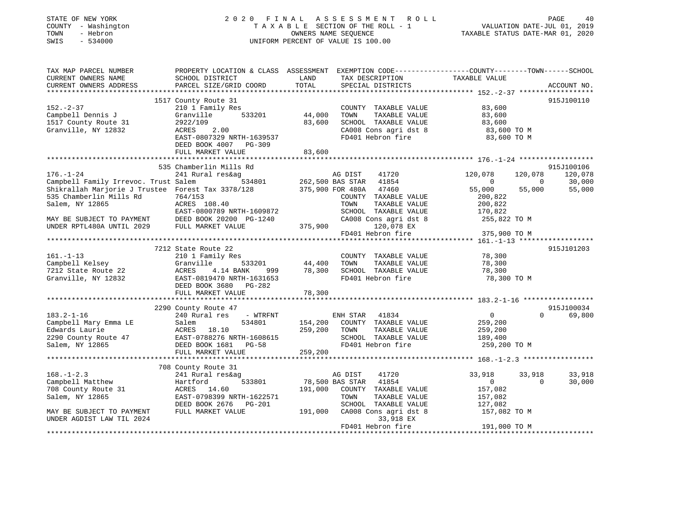| STATE OF NEW YORK<br>COUNTY - Washington<br>- Hebron<br>TOWN<br>SWIS<br>$-534000$   | 2020 FINAL                                                                                                                                                              |                            | A S S E S S M E N T<br>ROLL<br>TAXABLE SECTION OF THE ROLL - 1<br>OWNERS NAME SEQUENCE<br>UNIFORM PERCENT OF VALUE IS 100.00 | TAXABLE STATUS DATE-MAR 01, 2020                         |              | PAGE<br>40<br>VALUATION DATE-JUL 01, 2019 |
|-------------------------------------------------------------------------------------|-------------------------------------------------------------------------------------------------------------------------------------------------------------------------|----------------------------|------------------------------------------------------------------------------------------------------------------------------|----------------------------------------------------------|--------------|-------------------------------------------|
| TAX MAP PARCEL NUMBER<br>CURRENT OWNERS NAME<br>CURRENT OWNERS ADDRESS              | PROPERTY LOCATION & CLASS ASSESSMENT EXEMPTION CODE----------------COUNTY-------TOWN------SCHOOL<br>SCHOOL DISTRICT<br>PARCEL SIZE/GRID COORD                           | LAND<br>TOTAL              | TAX DESCRIPTION<br>SPECIAL DISTRICTS                                                                                         | TAXABLE VALUE                                            |              | ACCOUNT NO.                               |
| ***********************                                                             |                                                                                                                                                                         |                            |                                                                                                                              |                                                          |              |                                           |
| $152 - 2 - 37$<br>Campbell Dennis J<br>1517 County Route 31<br>Granville, NY 12832  | 1517 County Route 31<br>210 1 Family Res<br>Granville<br>533201<br>2922/109<br>ACRES<br>2.00<br>EAST-0807329 NRTH-1639537<br>DEED BOOK 4007 PG-309<br>FULL MARKET VALUE | 44,000<br>83,600<br>83,600 | COUNTY TAXABLE VALUE<br>TOWN<br>TAXABLE VALUE<br>SCHOOL TAXABLE VALUE<br>CA008 Cons agri dst 8<br>FD401 Hebron fire          | 83,600<br>83,600<br>83,600<br>83,600 TO M<br>83,600 TO M |              | 915J100110                                |
|                                                                                     |                                                                                                                                                                         |                            |                                                                                                                              |                                                          |              |                                           |
| $176. - 1 - 24$                                                                     | 535 Chamberlin Mills Rd<br>241 Rural res&ag                                                                                                                             |                            | AG DIST<br>41720                                                                                                             | 120,078                                                  | 120,078      | 915J100106<br>120,078                     |
| Campbell Family Irrevoc. Trust Salem                                                | 534801                                                                                                                                                                  |                            | 262,500 BAS STAR<br>41854                                                                                                    | $\mathbf{0}$                                             | $\mathbf{0}$ | 30,000                                    |
| Shikrallah Marjorie J Trustee Forest Tax 3378/128<br>535 Chamberlin Mills Rd        | 764/153                                                                                                                                                                 |                            | 375,900 FOR 480A<br>47460<br>COUNTY TAXABLE VALUE                                                                            | 55,000<br>200,822                                        | 55,000       | 55,000                                    |
| Salem, NY 12865                                                                     | ACRES 108.40                                                                                                                                                            |                            | TAXABLE VALUE<br>TOWN                                                                                                        | 200,822                                                  |              |                                           |
| MAY BE SUBJECT TO PAYMENT<br>UNDER RPTL480A UNTIL 2029                              | EAST-0800789 NRTH-1609872<br>DEED BOOK 20200 PG-1240<br>FULL MARKET VALUE                                                                                               | 375,900                    | SCHOOL TAXABLE VALUE<br>CA008 Cons agri dst 8<br>120,078 EX                                                                  | 170,822<br>255,822 TO M                                  |              |                                           |
|                                                                                     |                                                                                                                                                                         |                            | FD401 Hebron fire                                                                                                            | 375,900 TO M                                             |              |                                           |
|                                                                                     |                                                                                                                                                                         |                            |                                                                                                                              |                                                          |              |                                           |
|                                                                                     | 7212 State Route 22                                                                                                                                                     |                            |                                                                                                                              |                                                          |              | 915J101203                                |
| $161. - 1 - 13$                                                                     | 210 1 Family Res                                                                                                                                                        |                            | COUNTY TAXABLE VALUE                                                                                                         | 78,300                                                   |              |                                           |
| Campbell Kelsey<br>7212 State Route 22                                              | Granville<br>533201<br>ACRES<br>4.14 BANK<br>999                                                                                                                        | 44,400<br>78,300           | TOWN<br>TAXABLE VALUE<br>SCHOOL TAXABLE VALUE                                                                                | 78,300<br>78,300                                         |              |                                           |
| Granville, NY 12832                                                                 | EAST-0819470 NRTH-1631653<br>DEED BOOK 3680 PG-282                                                                                                                      |                            | FD401 Hebron fire                                                                                                            | 78,300 TO M                                              |              |                                           |
|                                                                                     | FULL MARKET VALUE                                                                                                                                                       | 78,300                     |                                                                                                                              |                                                          |              |                                           |
|                                                                                     |                                                                                                                                                                         |                            |                                                                                                                              |                                                          |              |                                           |
|                                                                                     | 2290 County Route 47                                                                                                                                                    |                            |                                                                                                                              |                                                          |              | 915J100034                                |
| $183.2 - 1 - 16$<br>Campbell Mary Emma LE<br>Edwards Laurie<br>2290 County Route 47 | 240 Rural res<br>- WTRFNT<br>534801<br>Salem<br>18.10<br>ACRES<br>EAST-0788276 NRTH-1608615                                                                             | 154,200<br>259,200         | ENH STAR<br>41834<br>COUNTY TAXABLE VALUE<br>TOWN<br>TAXABLE VALUE<br>SCHOOL TAXABLE VALUE                                   | $\overline{0}$<br>259,200<br>259,200<br>189,400          | $\Omega$     | 69,800                                    |
| Salem, NY 12865                                                                     | DEED BOOK 1681 PG-58                                                                                                                                                    |                            | FD401 Hebron fire                                                                                                            | 259,200 TO M                                             |              |                                           |
|                                                                                     | FULL MARKET VALUE                                                                                                                                                       | 259,200                    |                                                                                                                              |                                                          |              |                                           |
|                                                                                     | 708 County Route 31                                                                                                                                                     |                            |                                                                                                                              |                                                          |              |                                           |
| $168. - 1 - 2.3$                                                                    | 241 Rural res&ag                                                                                                                                                        |                            | AG DIST<br>41720                                                                                                             | 33,918                                                   | 33,918       | 33,918                                    |
| Campbell Matthew                                                                    | Hartford<br>533801                                                                                                                                                      |                            | 78,500 BAS STAR<br>41854                                                                                                     | $\overline{0}$                                           | $\Omega$     | 30,000                                    |
| 708 County Route 31                                                                 | ACRES 14.60                                                                                                                                                             | 191,000                    | COUNTY TAXABLE VALUE                                                                                                         | 157,082                                                  |              |                                           |
| Salem, NY 12865                                                                     | EAST-0798399 NRTH-1622571<br>DEED BOOK 2676 PG-201                                                                                                                      |                            | TOWN<br>TAXABLE VALUE<br>SCHOOL TAXABLE VALUE                                                                                | 157,082<br>127,082                                       |              |                                           |
| MAY BE SUBJECT TO PAYMENT<br>UNDER AGDIST LAW TIL 2024                              | FULL MARKET VALUE                                                                                                                                                       |                            | 191,000 CA008 Cons agri dst 8<br>33,918 EX                                                                                   | 157,082 TO M                                             |              |                                           |

\*\*\*\*\*\*\*\*\*\*\*\*\*\*\*\*\*\*\*\*\*\*\*\*\*\*\*\*\*\*\*\*\*\*\*\*\*\*\*\*\*\*\*\*\*\*\*\*\*\*\*\*\*\*\*\*\*\*\*\*\*\*\*\*\*\*\*\*\*\*\*\*\*\*\*\*\*\*\*\*\*\*\*\*\*\*\*\*\*\*\*\*\*\*\*\*\*\*\*\*\*\*\*\*\*\*\*\*\*\*\*\*\*\*\*\*\*\*\*\*\*\*\*\*\*\*\*\*\*\*\*\*

FD401 Hebron fire 191,000 TO M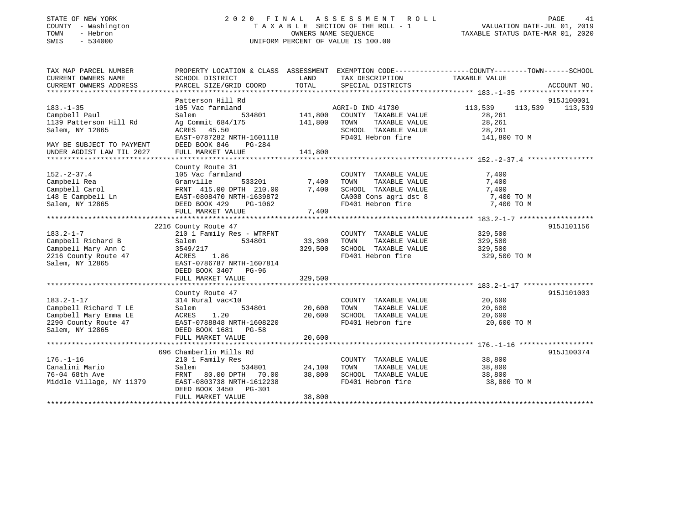| STATE OF NEW YORK |  |              |
|-------------------|--|--------------|
| COUNTY            |  | - Washington |
| TOWN              |  | - Hebron     |
| SMTS              |  | $-534000$    |

### STATE OF NEW YORK 2 0 2 0 F I N A L A S S E S S M E N T R O L L PAGE 41T A X A B L E SECTION OF THE ROLL - 1<br>OWNERS NAME SEQUENCE SWIS - 534000 UNIFORM PERCENT OF VALUE IS 100.00

## VALUATION DATE-JUL 01, 2019

TAXABLE STATUS DATE-MAR 01, 2020

| TAX MAP PARCEL NUMBER<br>CURRENT OWNERS NAME<br>CURRENT OWNERS ADDRESS | PROPERTY LOCATION & CLASS ASSESSMENT EXEMPTION CODE----------------COUNTY-------TOWN------SCHOOL<br>SCHOOL DISTRICT<br>PARCEL SIZE/GRID COORD | LAND<br>TOTAL | TAX DESCRIPTION<br>SPECIAL DISTRICTS       | TAXABLE VALUE      | ACCOUNT NO. |
|------------------------------------------------------------------------|-----------------------------------------------------------------------------------------------------------------------------------------------|---------------|--------------------------------------------|--------------------|-------------|
|                                                                        |                                                                                                                                               |               |                                            |                    |             |
|                                                                        | Patterson Hill Rd                                                                                                                             |               |                                            |                    | 915J100001  |
| $183. - 1 - 35$                                                        | 105 Vac farmland                                                                                                                              |               | AGRI-D IND 41730                           | 113,539<br>113,539 | 113,539     |
| Campbell Paul                                                          | Salem<br>534801                                                                                                                               | 141,800       | COUNTY TAXABLE VALUE                       | 28,261             |             |
| 1139 Patterson Hill Rd                                                 | Ag Commit 684/175                                                                                                                             | 141,800       | TOWN<br>TAXABLE VALUE                      | 28,261             |             |
| Salem, NY 12865                                                        | ACRES 45.50                                                                                                                                   |               | SCHOOL TAXABLE VALUE                       | 28,261             |             |
|                                                                        | EAST-0787282 NRTH-1601118                                                                                                                     |               | FD401 Hebron fire                          | 141,800 TO M       |             |
| MAY BE SUBJECT TO PAYMENT                                              | PG-284<br>DEED BOOK 846                                                                                                                       |               |                                            |                    |             |
| UNDER AGDIST LAW TIL 2027                                              | FULL MARKET VALUE                                                                                                                             | 141,800       |                                            |                    |             |
|                                                                        |                                                                                                                                               |               |                                            |                    |             |
|                                                                        | County Route 31                                                                                                                               |               |                                            |                    |             |
| $152. - 2 - 37.4$                                                      | 105 Vac farmland                                                                                                                              |               | COUNTY TAXABLE VALUE                       | 7,400              |             |
| Campbell Rea                                                           | 533201<br>Granville                                                                                                                           | 7,400         | TAXABLE VALUE<br>TOWN                      | 7,400              |             |
| Campbell Carol                                                         | FRNT 415.00 DPTH 210.00                                                                                                                       | 7,400         | SCHOOL TAXABLE VALUE                       | 7,400              |             |
| 148 E Campbell Ln                                                      | EAST-0808470 NRTH-1639872                                                                                                                     |               |                                            | 7,400 TO M         |             |
| Salem, NY 12865                                                        | DEED BOOK 429<br>PG-1062                                                                                                                      |               | CA008 Cons agri dst 8<br>FD401 Hebron fire | 7,400 TO M         |             |
|                                                                        | FULL MARKET VALUE                                                                                                                             | 7,400         |                                            |                    |             |
|                                                                        |                                                                                                                                               |               |                                            |                    |             |
|                                                                        | 2216 County Route 47                                                                                                                          |               |                                            |                    | 915J101156  |
| $183.2 - 1 - 7$                                                        | 210 1 Family Res - WTRFNT                                                                                                                     |               | COUNTY TAXABLE VALUE                       | 329,500            |             |
| Campbell Richard B                                                     | 534801<br>Salem                                                                                                                               | 33,300        | TAXABLE VALUE<br>TOWN                      | 329,500            |             |
| Campbell Mary Ann C                                                    | 3549/217                                                                                                                                      | 329,500       | SCHOOL TAXABLE VALUE                       | 329,500            |             |
| 2216 County Route 47                                                   | ACRES 1.86                                                                                                                                    |               | FD401 Hebron fire                          | 329,500 TO M       |             |
| Salem, NY 12865                                                        | EAST-0786787 NRTH-1607814                                                                                                                     |               |                                            |                    |             |
|                                                                        | DEED BOOK 3407 PG-96                                                                                                                          |               |                                            |                    |             |
|                                                                        | FULL MARKET VALUE                                                                                                                             | 329,500       |                                            |                    |             |
|                                                                        |                                                                                                                                               |               |                                            |                    |             |
|                                                                        | County Route 47                                                                                                                               |               |                                            |                    | 915J101003  |
| $183.2 - 1 - 17$                                                       | 314 Rural vac<10                                                                                                                              |               | COUNTY TAXABLE VALUE                       | 20,600             |             |
| Campbell Richard T LE                                                  | 534801<br>Salem                                                                                                                               | 20,600        | TOWN<br>TAXABLE VALUE                      | 20,600             |             |
| Campbell Mary Emma LE                                                  | 1.20<br>ACRES                                                                                                                                 | 20,600        | SCHOOL TAXABLE VALUE                       | 20,600             |             |
| 2290 County Route 47                                                   | EAST-0788848 NRTH-1608220                                                                                                                     |               | FD401 Hebron fire                          | 20,600 TO M        |             |
| Salem, NY 12865                                                        | DEED BOOK 1681 PG-58                                                                                                                          |               |                                            |                    |             |
|                                                                        | FULL MARKET VALUE                                                                                                                             | 20,600        |                                            |                    |             |
|                                                                        |                                                                                                                                               |               |                                            |                    |             |
|                                                                        | 696 Chamberlin Mills Rd                                                                                                                       |               |                                            |                    | 915J100374  |
| $176. - 1 - 16$                                                        | 210 1 Family Res                                                                                                                              |               | COUNTY TAXABLE VALUE                       | 38,800             |             |
| Canalini Mario                                                         | 534801<br>Salem                                                                                                                               | 24,100        | TOWN<br>TAXABLE VALUE                      | 38,800             |             |
| 76-04 68th Ave                                                         | FRNT 80.00 DPTH<br>70.00                                                                                                                      | 38,800        | SCHOOL TAXABLE VALUE                       | 38,800             |             |
| Middle Village, NY 11379                                               | EAST-0803738 NRTH-1612238                                                                                                                     |               | FD401 Hebron fire                          | 38,800 TO M        |             |
|                                                                        | DEED BOOK 3450 PG-301                                                                                                                         |               |                                            |                    |             |
|                                                                        | FULL MARKET VALUE                                                                                                                             | 38,800        |                                            |                    |             |
|                                                                        |                                                                                                                                               |               |                                            |                    |             |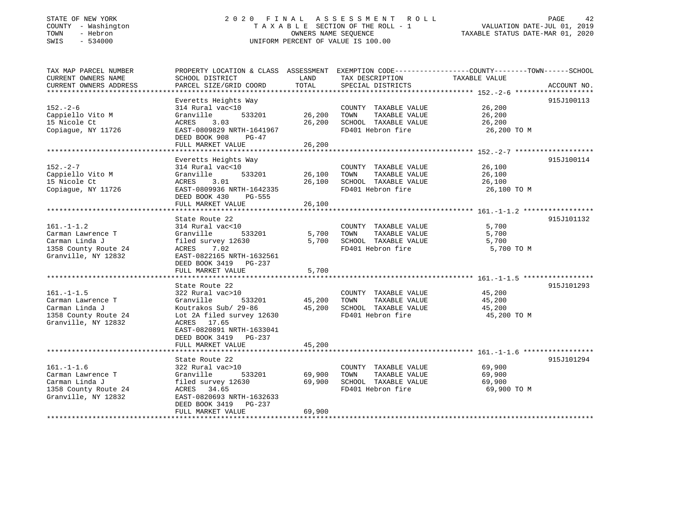#### STATE OF NEW YORK 2 0 2 0 F I N A L A S S E S S M E N T R O L L PAGE 42 COUNTY - Washington T A X A B L E SECTION OF THE ROLL - 1 VALUATION DATE-JUL 01, 2019 TOWN - Hebron OWNERS NAME SEQUENCE TAXABLE STATUS DATE-MAR 01, 2020 SWIS - 534000 UNIFORM PERCENT OF VALUE IS 100.00

| TAX MAP PARCEL NUMBER<br>CURRENT OWNERS NAME<br>CURRENT OWNERS ADDRESS                                 | PROPERTY LOCATION & CLASS ASSESSMENT EXEMPTION CODE---------------COUNTY-------TOWN-----SCHOOL<br>SCHOOL DISTRICT<br>PARCEL SIZE/GRID COORD                                 | LAND<br>TOTAL              | TAX DESCRIPTION<br>SPECIAL DISTRICTS                                                       | TAXABLE VALUE                             | ACCOUNT NO. |
|--------------------------------------------------------------------------------------------------------|-----------------------------------------------------------------------------------------------------------------------------------------------------------------------------|----------------------------|--------------------------------------------------------------------------------------------|-------------------------------------------|-------------|
|                                                                                                        |                                                                                                                                                                             |                            |                                                                                            |                                           |             |
| $152 - 2 - 6$<br>Cappiello Vito M<br>15 Nicole Ct<br>Copiague, NY 11726                                | Everetts Heights Way<br>314 Rural vac<10<br>Granville<br>533201<br>ACRES<br>3.03<br>EAST-0809829 NRTH-1641967<br>DEED BOOK 908<br>PG-47<br>FULL MARKET VALUE                | 26,200<br>26,200<br>26,200 | COUNTY TAXABLE VALUE<br>TOWN<br>TAXABLE VALUE<br>SCHOOL TAXABLE VALUE<br>FD401 Hebron fire | 26,200<br>26,200<br>26,200<br>26,200 TO M | 915J100113  |
|                                                                                                        | Everetts Heights Way                                                                                                                                                        |                            |                                                                                            |                                           | 915J100114  |
| $152. - 2 - 7$<br>Cappiello Vito M<br>15 Nicole Ct<br>Copiague, NY 11726                               | 314 Rural vac<10<br>Granville<br>533201<br>ACRES<br>3.01<br>EAST-0809936 NRTH-1642335<br>DEED BOOK 430<br>PG-555<br>FULL MARKET VALUE                                       | 26,100<br>26,100<br>26,100 | COUNTY TAXABLE VALUE<br>TAXABLE VALUE<br>TOWN<br>SCHOOL TAXABLE VALUE<br>FD401 Hebron fire | 26,100<br>26,100<br>26,100<br>26,100 TO M |             |
|                                                                                                        |                                                                                                                                                                             |                            |                                                                                            |                                           |             |
| $161. - 1 - 1.2$<br>Carman Lawrence T<br>Carman Linda J<br>1358 County Route 24<br>Granville, NY 12832 | State Route 22<br>314 Rural vac<10<br>Granville<br>533201<br>filed survey 12630<br>ACRES<br>7.02<br>EAST-0822165 NRTH-1632561<br>DEED BOOK 3419 PG-237<br>FULL MARKET VALUE | 5,700<br>5,700<br>5,700    | COUNTY TAXABLE VALUE<br>TOWN<br>TAXABLE VALUE<br>SCHOOL TAXABLE VALUE<br>FD401 Hebron fire | 5,700<br>5,700<br>5,700<br>5,700 TO M     | 915J101132  |
|                                                                                                        | State Route 22                                                                                                                                                              |                            |                                                                                            |                                           | 915J101293  |
| $161. - 1 - 1.5$<br>Carman Lawrence T<br>Carman Linda J<br>1358 County Route 24<br>Granville, NY 12832 | 322 Rural vac>10<br>Granville<br>533201<br>Koutrakos Sub/ 29-86<br>Lot 2A filed survey 12630<br>ACRES 17.65<br>EAST-0820891 NRTH-1633041<br>DEED BOOK 3419 PG-237           | 45,200<br>45,200           | COUNTY TAXABLE VALUE<br>TOWN<br>TAXABLE VALUE<br>SCHOOL TAXABLE VALUE<br>FD401 Hebron fire | 45,200<br>45,200<br>45,200<br>45,200 TO M |             |
|                                                                                                        | FULL MARKET VALUE                                                                                                                                                           | 45,200                     |                                                                                            |                                           |             |
| $161. - 1 - 1.6$<br>Carman Lawrence T<br>Carman Linda J<br>1358 County Route 24<br>Granville, NY 12832 | State Route 22<br>322 Rural vac>10<br>Granville<br>533201<br>filed survey 12630<br>ACRES 34.65<br>EAST-0820693 NRTH-1632633                                                 | 69,900<br>69,900           | COUNTY TAXABLE VALUE<br>TOWN<br>TAXABLE VALUE<br>SCHOOL TAXABLE VALUE<br>FD401 Hebron fire | 69,900<br>69,900<br>69,900<br>69,900 TO M | 915J101294  |
|                                                                                                        | DEED BOOK 3419 PG-237<br>FULL MARKET VALUE                                                                                                                                  | 69,900                     |                                                                                            |                                           |             |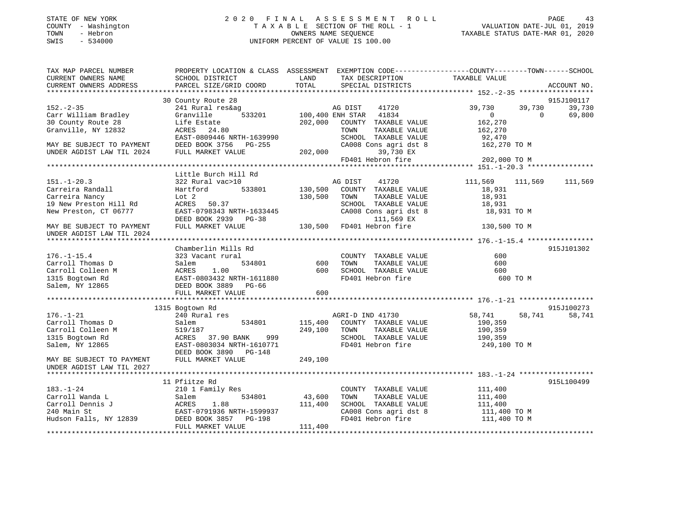| STATE OF NEW YORK<br>COUNTY - Washington<br>- Hebron<br>TOWN<br>$-534000$<br>SWIS |                                                                                                 | TAXABLE SECTION OF THE ROLL - 1<br>OWNERS NAME SEOUENCE<br>UNIFORM PERCENT OF VALUE IS 100.00 |                        | 2020 FINAL ASSESSMENT ROLL          | TAXABLE STATUS DATE-MAR 01, 2020 |          | PAGE<br>43<br>VALUATION DATE-JUL 01, 2019 |
|-----------------------------------------------------------------------------------|-------------------------------------------------------------------------------------------------|-----------------------------------------------------------------------------------------------|------------------------|-------------------------------------|----------------------------------|----------|-------------------------------------------|
| TAX MAP PARCEL NUMBER                                                             | PROPERTY LOCATION & CLASS ASSESSMENT EXEMPTION CODE---------------COUNTY-------TOWN------SCHOOL |                                                                                               |                        |                                     |                                  |          |                                           |
| CURRENT OWNERS NAME                                                               | SCHOOL DISTRICT                                                                                 | LAND                                                                                          |                        | TAX DESCRIPTION                     | TAXABLE VALUE                    |          |                                           |
| CURRENT OWNERS ADDRESS                                                            | PARCEL SIZE/GRID COORD                                                                          | TOTAL                                                                                         |                        | SPECIAL DISTRICTS                   |                                  |          | ACCOUNT NO.                               |
|                                                                                   |                                                                                                 |                                                                                               |                        |                                     |                                  |          |                                           |
|                                                                                   | 30 County Route 28                                                                              |                                                                                               |                        |                                     |                                  |          | 915J100117                                |
| $152 - 2 - 35$                                                                    | 241 Rural res&ag                                                                                |                                                                                               | AG DIST                | 41720                               | 39,730                           | 39,730   | 39,730                                    |
| Carr William Bradley                                                              | 533201<br>Granville                                                                             |                                                                                               | 100,400 ENH STAR 41834 |                                     | $\Omega$                         | $\Omega$ | 69,800                                    |
| 30 County Route 28                                                                | Life Estate                                                                                     | 202,000                                                                                       |                        | COUNTY TAXABLE VALUE                | 162,270                          |          |                                           |
| Granville, NY 12832                                                               | ACRES 24.80                                                                                     |                                                                                               | TOWN                   | TAXABLE VALUE                       | 162,270                          |          |                                           |
|                                                                                   | EAST-0809446 NRTH-1639990                                                                       |                                                                                               |                        | SCHOOL TAXABLE VALUE                | 92,470                           |          |                                           |
| MAY BE SUBJECT TO PAYMENT                                                         | DEED BOOK 3756 PG-255                                                                           |                                                                                               |                        | CA008 Cons agri dst 8               | 162,270 TO M                     |          |                                           |
| UNDER AGDIST LAW TIL 2024                                                         | FULL MARKET VALUE                                                                               | 202,000                                                                                       |                        | 39,730 EX                           |                                  |          |                                           |
|                                                                                   |                                                                                                 |                                                                                               |                        | FD401 Hebron fire                   | 202,000 TO M                     |          |                                           |
|                                                                                   |                                                                                                 |                                                                                               |                        |                                     |                                  |          |                                           |
|                                                                                   | Little Burch Hill Rd                                                                            |                                                                                               |                        |                                     |                                  |          |                                           |
| $151. - 1 - 20.3$                                                                 | 322 Rural vac>10                                                                                |                                                                                               | AG DIST                | 41720                               | 111,569                          | 111,569  | 111,569                                   |
| Carreira Randall                                                                  | Hartford<br>533801                                                                              | 130,500                                                                                       |                        | COUNTY TAXABLE VALUE                | 18,931                           |          |                                           |
| Carreira Nancy                                                                    | Lot 2                                                                                           | 130,500                                                                                       | TOWN                   | TAXABLE VALUE                       | 18,931                           |          |                                           |
| 19 New Preston Hill Rd                                                            | ACRES<br>50.37<br>EAST-0798343 NRTH-1633445                                                     |                                                                                               |                        | SCHOOL TAXABLE VALUE                | 18,931                           |          |                                           |
| New Preston, CT 06777                                                             | DEED BOOK 2939 PG-38                                                                            |                                                                                               |                        | CA008 Cons agri dst 8<br>111,569 EX | 18,931 TO M                      |          |                                           |
| MAY BE SUBJECT TO PAYMENT                                                         | FULL MARKET VALUE                                                                               | 130,500                                                                                       |                        | FD401 Hebron fire                   | 130,500 TO M                     |          |                                           |
| UNDER AGDIST LAW TIL 2024                                                         |                                                                                                 |                                                                                               |                        |                                     |                                  |          |                                           |
|                                                                                   |                                                                                                 |                                                                                               |                        |                                     |                                  |          |                                           |
|                                                                                   | Chamberlin Mills Rd                                                                             |                                                                                               |                        |                                     |                                  |          | 915J101302                                |
| $176. - 1 - 15.4$                                                                 | 323 Vacant rural                                                                                |                                                                                               |                        | COUNTY TAXABLE VALUE                | 600                              |          |                                           |
| Carroll Thomas D                                                                  | Salem<br>534801                                                                                 | 600                                                                                           | TOWN                   | TAXABLE VALUE                       | 600                              |          |                                           |
| Carroll Colleen M                                                                 | 1.00<br>ACRES                                                                                   | 600                                                                                           |                        | SCHOOL TAXABLE VALUE                | 600                              |          |                                           |
| 1315 Bogtown Rd                                                                   | EAST-0803432 NRTH-1611880                                                                       |                                                                                               |                        | FD401 Hebron fire                   |                                  | 600 TO M |                                           |
| Salem, NY 12865                                                                   | DEED BOOK 3889 PG-66                                                                            |                                                                                               |                        |                                     |                                  |          |                                           |
|                                                                                   | FULL MARKET VALUE                                                                               | 600                                                                                           |                        |                                     |                                  |          |                                           |
|                                                                                   |                                                                                                 |                                                                                               |                        |                                     |                                  |          |                                           |
|                                                                                   | 1315 Bogtown Rd                                                                                 |                                                                                               |                        |                                     |                                  |          | 915J100273                                |
| $176. - 1 - 21$                                                                   | 240 Rural res                                                                                   |                                                                                               | AGRI-D IND 41730       |                                     | 58,741                           | 58,741   | 58,741                                    |
| Carroll Thomas D                                                                  | 534801<br>Salem                                                                                 | 115,400                                                                                       |                        | COUNTY TAXABLE VALUE                | 190,359                          |          |                                           |
| Carroll Colleen M                                                                 | 519/187                                                                                         | 249,100                                                                                       | TOWN                   | TAXABLE VALUE                       | 190,359                          |          |                                           |
| 1315 Bogtown Rd                                                                   | ACRES 37.90 BANK<br>999                                                                         |                                                                                               |                        | SCHOOL TAXABLE VALUE                | 190,359                          |          |                                           |
| Salem, NY 12865                                                                   | EAST-0803034 NRTH-1610771                                                                       |                                                                                               |                        | FD401 Hebron fire                   | 249,100 TO M                     |          |                                           |
|                                                                                   | DEED BOOK 3890 PG-148                                                                           |                                                                                               |                        |                                     |                                  |          |                                           |
| MAY BE SUBJECT TO PAYMENT                                                         | FULL MARKET VALUE                                                                               | 249,100                                                                                       |                        |                                     |                                  |          |                                           |
| UNDER AGDIST LAW TIL 2027                                                         |                                                                                                 |                                                                                               |                        |                                     |                                  |          |                                           |
|                                                                                   |                                                                                                 |                                                                                               |                        |                                     |                                  |          |                                           |
|                                                                                   | 11 Pfiitze Rd                                                                                   |                                                                                               |                        |                                     |                                  |          | 915L100499                                |
| $183. - 1 - 24$                                                                   | 210 1 Family Res                                                                                |                                                                                               |                        | COUNTY TAXABLE VALUE                | 111,400                          |          |                                           |

|                        | II FLIILLE RU             |                                 | フエコロエリいキング   |
|------------------------|---------------------------|---------------------------------|--------------|
| $183. - 1 - 24$        | 210 1 Family Res          | TAXABLE VALUE<br>COUNTY         | 111,400      |
| Carroll Wanda L        | 534801<br>Salem           | 43,600<br>TAXABLE VALUE<br>TOWN | 111,400      |
| Carroll Dennis J       | ACRES<br>1.88             | 111,400<br>SCHOOL TAXABLE VALUE | 111,400      |
| 240 Main St            | EAST-0791936 NRTH-1599937 | CA008 Cons agri dst 8           | 111,400 TO M |
| Hudson Falls, NY 12839 | DEED BOOK 3857 PG-198     | FD401 Hebron fire               | 111,400 TO M |
|                        | FULL MARKET VALUE         | 111,400                         |              |
|                        |                           |                                 |              |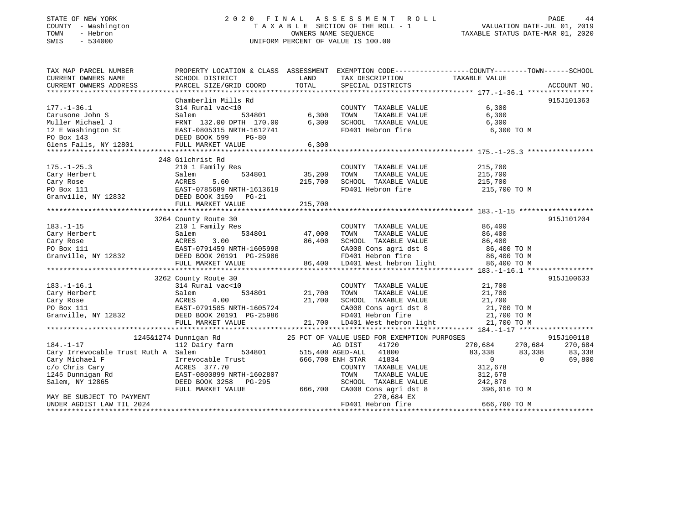#### STATE OF NEW YORK 2 0 2 0 F I N A L A S S E S S M E N T R O L L PAGE 44 COUNTY - Washington T A X A B L E SECTION OF THE ROLL - 1 VALUATION DATE-JUL 01, 2019 TOWN - Hebron OWNERS NAME SEQUENCE TAXABLE STATUS DATE-MAR 01, 2020 SWIS - 534000 UNIFORM PERCENT OF VALUE IS 100.00

| TAX MAP PARCEL NUMBER<br>CURRENT OWNERS NAME<br>CURRENT OWNERS ADDRESS                                                                                                                                                                        | SCHOOL DISTRICT<br>PARCEL SIZE/GRID COORD                         | <b>LAND</b><br>TOTAL   | TAX DESCRIPTION TAXABLE VALUE SPECIAL DISTRICTS                                                    | PROPERTY LOCATION & CLASS ASSESSMENT EXEMPTION CODE----------------COUNTY-------TOWN------SCHOOL | ACCOUNT NO. |
|-----------------------------------------------------------------------------------------------------------------------------------------------------------------------------------------------------------------------------------------------|-------------------------------------------------------------------|------------------------|----------------------------------------------------------------------------------------------------|--------------------------------------------------------------------------------------------------|-------------|
|                                                                                                                                                                                                                                               |                                                                   |                        |                                                                                                    |                                                                                                  |             |
|                                                                                                                                                                                                                                               | Chamberlin Mills Rd                                               |                        |                                                                                                    |                                                                                                  | 915J101363  |
| $177. - 1 - 36.1$                                                                                                                                                                                                                             | 314 Rural vac<10                                                  |                        | COUNTY TAXABLE VALUE                                                                               | 6,300                                                                                            |             |
| Carusone John S                                                                                                                                                                                                                               | Salem                                                             |                        | TAXABLE VALUE<br>TOWN                                                                              | 6,300                                                                                            |             |
|                                                                                                                                                                                                                                               |                                                                   |                        | SCHOOL TAXABLE VALUE                                                                               | 6,300                                                                                            |             |
|                                                                                                                                                                                                                                               |                                                                   |                        | FD401 Hebron fire                                                                                  | 6,300 TO M                                                                                       |             |
|                                                                                                                                                                                                                                               |                                                                   |                        |                                                                                                    |                                                                                                  |             |
| Muller Michael J<br>Muller Michael J<br>12 E Washington St<br>12 E Washington St<br>132.00 DPTH 170.00<br>5,300<br>12 E Washington St<br>EAST-0805315 NRTH-1612741<br>DEED BOOK 599 PG-80<br>Glens Falls, NY 12801<br>FULL MARKET VALUE 6,300 |                                                                   |                        |                                                                                                    |                                                                                                  |             |
|                                                                                                                                                                                                                                               |                                                                   |                        |                                                                                                    |                                                                                                  |             |
|                                                                                                                                                                                                                                               | 248 Gilchrist Rd                                                  |                        |                                                                                                    |                                                                                                  |             |
| $175. - 1 - 25.3$                                                                                                                                                                                                                             | 210 1 Family Res                                                  |                        | COUNTY TAXABLE VALUE                                                                               | 215,700                                                                                          |             |
|                                                                                                                                                                                                                                               |                                                                   | ,<br>534801     35,200 | TOWN<br>TAXABLE VALUE                                                                              | 215,700                                                                                          |             |
|                                                                                                                                                                                                                                               |                                                                   | 215,700                | SCHOOL TAXABLE VALUE 215,700                                                                       |                                                                                                  |             |
|                                                                                                                                                                                                                                               |                                                                   |                        | FD401 Hebron fire                                                                                  | 215,700 TO M                                                                                     |             |
| 175.-1-25.3<br>Cary Herbert Salem 534801<br>Cary Rose ACRES 5.60<br>PO Box 111 EAST-0785689 NRTH-1613619<br>Granville, NY 12832 DEED BOOK 3159 PG-21                                                                                          |                                                                   |                        |                                                                                                    |                                                                                                  |             |
|                                                                                                                                                                                                                                               | FULL MARKET VALUE                                                 | 215,700                |                                                                                                    |                                                                                                  |             |
|                                                                                                                                                                                                                                               |                                                                   |                        |                                                                                                    |                                                                                                  |             |
|                                                                                                                                                                                                                                               | 3264 County Route 30                                              |                        |                                                                                                    |                                                                                                  | 915J101204  |
|                                                                                                                                                                                                                                               | County Route 30<br>210 1 Family Res                               |                        | COUNTY TAXABLE VALUE 86,400                                                                        |                                                                                                  |             |
| $183. - 1 - 15$                                                                                                                                                                                                                               |                                                                   |                        |                                                                                                    |                                                                                                  |             |
|                                                                                                                                                                                                                                               |                                                                   | 534801 47,000          |                                                                                                    |                                                                                                  |             |
|                                                                                                                                                                                                                                               |                                                                   |                        |                                                                                                    |                                                                                                  |             |
|                                                                                                                                                                                                                                               |                                                                   |                        |                                                                                                    |                                                                                                  |             |
|                                                                                                                                                                                                                                               |                                                                   |                        |                                                                                                    |                                                                                                  |             |
|                                                                                                                                                                                                                                               |                                                                   |                        |                                                                                                    |                                                                                                  |             |
| Cary Rose Cary Rose ACRES 3.00 534801 47,000 TOWN TAXABLE VALUE 86,400<br>Cary Rose ACRES 3.00 86,400 SCHOOL TAXABLE VALUE 86,400<br>FO Box 111 EAST-0791459 NRTH-1605998 CA008 Cons agri dst 8 86,400 TO M<br>FULL MARKET VALUE 86,          |                                                                   |                        |                                                                                                    |                                                                                                  |             |
|                                                                                                                                                                                                                                               | 3262 County Route 30                                              |                        |                                                                                                    |                                                                                                  | 915J100633  |
| $183.-1-16.1$                                                                                                                                                                                                                                 | 314 Rural vac<10                                                  |                        | COUNTY TAXABLE VALUE                                                                               | 21,700                                                                                           |             |
|                                                                                                                                                                                                                                               | 534801 21,700                                                     |                        | TAXABLE VALUE<br>TOWN                                                                              |                                                                                                  |             |
|                                                                                                                                                                                                                                               |                                                                   | 21,700                 |                                                                                                    | 21,700<br>21,700                                                                                 |             |
|                                                                                                                                                                                                                                               |                                                                   |                        |                                                                                                    |                                                                                                  |             |
| Cary Herbert Salem 534801 21,700<br>Cary Rose ACRES 4.00 21,700<br>PO Box 111 EAST-0791505 NRTH-1605724<br>Granville, NY 12832 DEED BOOK 20191 PG-25986                                                                                       |                                                                   |                        | SCHOOL TAXABLE VALUE $21,700$<br>CA008 Cons agridst 8 21,700 TO M<br>FD401 Hebron fire 21,700 TO M |                                                                                                  |             |
|                                                                                                                                                                                                                                               |                                                                   |                        |                                                                                                    |                                                                                                  |             |
|                                                                                                                                                                                                                                               |                                                                   |                        |                                                                                                    |                                                                                                  |             |
|                                                                                                                                                                                                                                               | 1245&1274 Dunnigan Rd 25 PCT OF VALUE USED FOR EXEMPTION PURPOSES |                        |                                                                                                    |                                                                                                  | 915J100118  |
| 184.-1-17 112 Dairy farm MG DIST 41720<br>Cary Irrevocable Trust Ruth A Salem 534801 515,400 AGED-ALL 41800                                                                                                                                   |                                                                   |                        |                                                                                                    | 270,684 270,684 270,684                                                                          |             |
|                                                                                                                                                                                                                                               |                                                                   |                        |                                                                                                    | $83,338$ $83,338$ $83,338$<br>0 0 69,800                                                         |             |
|                                                                                                                                                                                                                                               | Irrevocable Trust 666,700 ENH STAR 41834                          |                        |                                                                                                    |                                                                                                  |             |
|                                                                                                                                                                                                                                               |                                                                   |                        | COUNTY TAXABLE VALUE                                                                               |                                                                                                  |             |
|                                                                                                                                                                                                                                               |                                                                   |                        | TAXABLE VALUE<br>TOWN                                                                              | 312,678<br>312,678                                                                               |             |
| Salem, NY 12865                                                                                                                                                                                                                               | DEED BOOK 3258 PG-295                                             |                        |                                                                                                    | 242,878                                                                                          |             |
|                                                                                                                                                                                                                                               | FULL MARKET VALUE                                                 |                        | SCHOOL TAXABLE VALUE<br>666,700 CA008 Cons agri dst 8                                              | 396,016 TO M                                                                                     |             |
| MAY BE SUBJECT TO PAYMENT                                                                                                                                                                                                                     |                                                                   |                        | 270,684 EX                                                                                         |                                                                                                  |             |
| UNDER AGDIST LAW TIL 2024                                                                                                                                                                                                                     |                                                                   |                        | FD401 Hebron fire                                                                                  | 666,700 TO M                                                                                     |             |
|                                                                                                                                                                                                                                               |                                                                   |                        |                                                                                                    |                                                                                                  |             |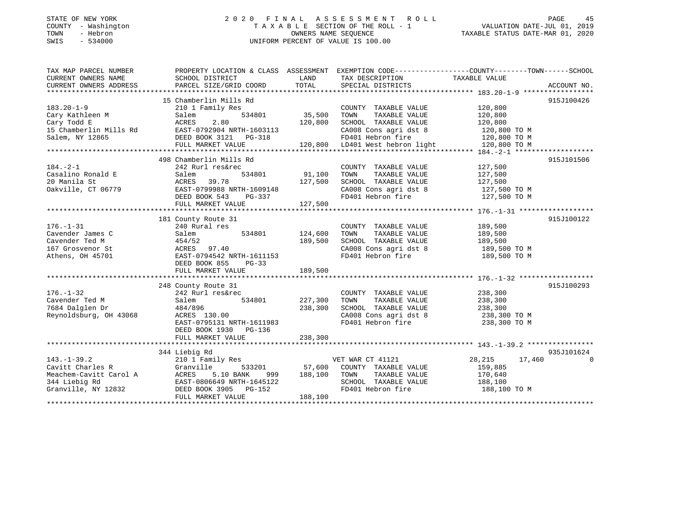### STATE OF NEW YORK 2 0 2 0 F I N A L A S S E S S M E N T R O L L PAGE 45COUNTY - Washington  $T A X A B L E$  SECTION OF THE ROLL - 1<br>TOWN - Hebron  $\cdot$  OWNERS NAME SEQUENCE SWIS - 534000 UNIFORM PERCENT OF VALUE IS 100.00

TAXABLE STATUS DATE-MAR 01, 2020

| TAX MAP PARCEL NUMBER                     | PROPERTY LOCATION & CLASS ASSESSMENT EXEMPTION CODE---------------COUNTY-------TOWN------SCHOOL                                        |                       |                                                                                           |                    |            |
|-------------------------------------------|----------------------------------------------------------------------------------------------------------------------------------------|-----------------------|-------------------------------------------------------------------------------------------|--------------------|------------|
| CURRENT OWNERS NAME                       | SCHOOL DISTRICT                                                                                                                        |                       | LAND TAX DESCRIPTION TAXABLE VALUE                                                        |                    |            |
|                                           |                                                                                                                                        |                       |                                                                                           |                    |            |
|                                           |                                                                                                                                        |                       |                                                                                           |                    |            |
|                                           | 15 Chamberlin Mills Rd                                                                                                                 |                       |                                                                                           |                    | 915J100426 |
| $183.20 - 1 - 9$                          | 210 1 Family Res                                                                                                                       |                       | COUNTY TAXABLE VALUE 120,800                                                              |                    |            |
| Cary Kathleen M                           | Salem                                                                                                                                  |                       | TAXABLE VALUE<br>TOWN                                                                     | 120,800            |            |
|                                           |                                                                                                                                        |                       | SCHOOL TAXABLE VALUE 120,800                                                              |                    |            |
|                                           |                                                                                                                                        |                       |                                                                                           | 120,800 TO M       |            |
|                                           |                                                                                                                                        |                       | CA008 Cons agri dst 8<br>FD401 Hebron fire                                                | 120,800 TO M       |            |
|                                           |                                                                                                                                        |                       |                                                                                           |                    |            |
|                                           |                                                                                                                                        |                       |                                                                                           |                    |            |
|                                           | 498 Chamberlin Mills Rd                                                                                                                |                       |                                                                                           |                    | 915J101506 |
| $184. - 2 - 1$                            | 242 Rurl res&rec                                                                                                                       | COUNTY<br>91,100 TOWN | COUNTY TAXABLE VALUE                                                                      | 127,500            |            |
|                                           | 534801                                                                                                                                 |                       | TAXABLE VALUE                                                                             | 127,500            |            |
| 184.-2-1<br>Casalino Ronald E             | 242 Rurl res&:<br>Salem<br>ACRES    39.78                                                                                              |                       | 127,500 SCHOOL TAXABLE VALUE 127,500                                                      |                    |            |
| Oakville, CT 06779                        | EAST-0799988 NRTH-1609148                                                                                                              |                       |                                                                                           |                    |            |
|                                           | EAS1-0799988 NRTH-1609148<br>DEED BOOK 543 PG-337                                                                                      |                       | CA008 Cons agri dst 8 127,500 TO M<br>FD401 Hebron fire 127,500 TO M<br>FD401 Hebron fire |                    |            |
|                                           | FULL MARKET VALUE                                                                                                                      | 127,500               |                                                                                           |                    |            |
|                                           |                                                                                                                                        |                       |                                                                                           |                    |            |
|                                           | 181 County Route 31                                                                                                                    |                       |                                                                                           |                    | 915J100122 |
| $176. - 1 - 31$                           | 240 Rural res                                                                                                                          |                       | COUNTY TAXABLE VALUE 189,500                                                              |                    |            |
| Cavender James C                          |                                                                                                                                        | 534801 124,600        | TOWN      TAXABLE  VALUE<br>SCHOOL    TAXABLE  VALUE                                      | 189,500<br>189,500 |            |
| Cavender Ted M                            | Salem<br>454/52                                                                                                                        | 189,500               |                                                                                           |                    |            |
| 167 Grosvenor St                          |                                                                                                                                        |                       | CA008 Cons agri dst 8 189,500 TO M                                                        |                    |            |
| Athens, OH 45701                          | 105<br>ACRES 97.40<br>EAST-0794542 NRTH-1611153<br>DEED BOOK 855 PG-33                                                                 |                       | FD401 Hebron fire                                                                         | 189,500 TO M       |            |
|                                           | DEED BOOK 855 PG-33                                                                                                                    |                       |                                                                                           |                    |            |
|                                           |                                                                                                                                        |                       |                                                                                           |                    |            |
|                                           |                                                                                                                                        |                       |                                                                                           |                    |            |
|                                           | 248 County Route 31                                                                                                                    |                       |                                                                                           |                    | 915J100293 |
| $176. - 1 - 32$                           | 242 Rurl res&rec                                                                                                                       |                       | COUNTY TAXABLE VALUE 238,300                                                              |                    |            |
| Cavender Ted M                            | 534801 227,300 TOWN                                                                                                                    |                       | TAXABLE VALUE                                                                             | 238,300            |            |
| 7684 Dalglen Dr                           | 242 Rurl<br>Salem<br>484/896                                                                                                           | 238,300               | SCHOOL TAXABLE VALUE 238,300                                                              |                    |            |
| Reynoldsburg, OH 43068                    | 484/896<br>ACRES 130.00                                                                                                                |                       | CA008 Cons agri dst 8 $238,300$ TO M                                                      |                    |            |
|                                           | EAST-0795131 NRTH-1611983                                                                                                              |                       | FD401 Hebron fire                                                                         | 238,300 TO M       |            |
|                                           | DEED BOOK 1930 PG-136                                                                                                                  |                       |                                                                                           |                    |            |
|                                           |                                                                                                                                        |                       |                                                                                           |                    |            |
|                                           |                                                                                                                                        |                       |                                                                                           |                    |            |
|                                           | 344 Liebig Rd                                                                                                                          |                       |                                                                                           |                    | 935J101624 |
| $143. - 1 - 39.2$                         | 210 1 Family Res                                                                                                                       |                       | VET WAR CT 41121                                                                          | 28, 215 17, 460    | $\Omega$   |
| Tas.-1-39.2<br>Cavitt Charles R Granville |                                                                                                                                        |                       | 533201 57,600 COUNTY TAXABLE VALUE                                                        | 159,885            |            |
|                                           |                                                                                                                                        |                       | 999 188,100 TOWN TAXABLE VALUE 170,640                                                    |                    |            |
|                                           |                                                                                                                                        |                       | SCHOOL TAXABLE VALUE                                                                      | 188,100            |            |
|                                           | Meachem-Cavitt Carol A ACRES 5.10 BANK 999 188<br>344 Liebig Rd EAST-0806649 NRTH-1645122<br>Granville, NY 12832 DEED BOOK 3905 PG-152 |                       | FD401 Hebron fire                                                                         | 188,100 TO M       |            |
|                                           | FULL MARKET VALUE                                                                                                                      | 188,100               |                                                                                           |                    |            |
|                                           |                                                                                                                                        |                       |                                                                                           |                    |            |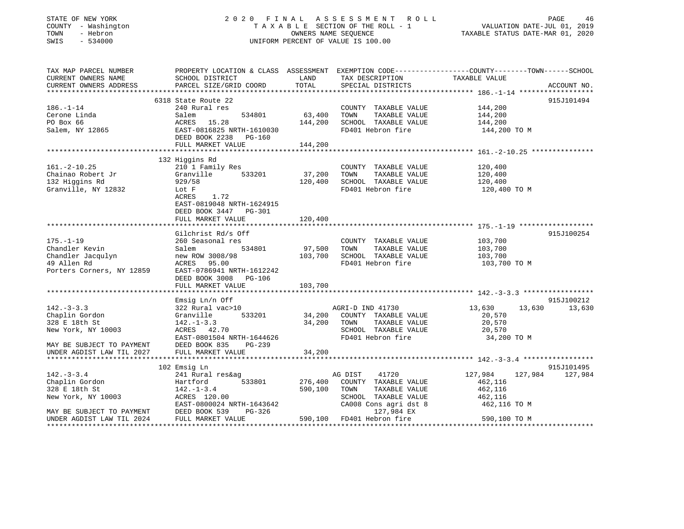#### STATE OF NEW YORK 2 0 2 0 F I N A L A S S E S S M E N T R O L L PAGE 46 COUNTY - Washington T A X A B L E SECTION OF THE ROLL - 1 VALUATION DATE-JUL 01, 2019 TOWN - Hebron OWNERS NAME SEQUENCE TAXABLE STATUS DATE-MAR 01, 2020 SWIS - 534000 UNIFORM PERCENT OF VALUE IS 100.00

| TAX MAP PARCEL NUMBER                                                                                                                                                                                                          | PROPERTY LOCATION & CLASS ASSESSMENT EXEMPTION CODE----------------COUNTY-------TOWN------SCHOOL |                             |                                       |                         |            |
|--------------------------------------------------------------------------------------------------------------------------------------------------------------------------------------------------------------------------------|--------------------------------------------------------------------------------------------------|-----------------------------|---------------------------------------|-------------------------|------------|
| CURRENT OWNERS NAME                                                                                                                                                                                                            | SCHOOL DISTRICT                                                                                  | LAND                        | TAX DESCRIPTION                       | TAXABLE VALUE           |            |
| CONNERS ADDRESS DARCEL SIZE/GRID COORD TOTAL SPECIAL DISTRICTS CONNERS ADDRESS DARCEL SIZE/GRID COORD TOTAL SPECIAL DISTRICTS ACCOUNT NO.<br>CURRENT OWNERS ADDRESS PARCEL SIZE/GRID COORD TOTAL SPECIAL DISTRICTS ACCOUNT NO. |                                                                                                  |                             |                                       |                         |            |
|                                                                                                                                                                                                                                |                                                                                                  |                             |                                       |                         |            |
|                                                                                                                                                                                                                                | 6318 State Route 22                                                                              |                             |                                       |                         | 915J101494 |
| $186. - 1 - 14$                                                                                                                                                                                                                | 240 Rural res                                                                                    |                             | COUNTY TAXABLE VALUE 144,200          |                         |            |
| Cerone Linda                                                                                                                                                                                                                   | 534801<br>Salem                                                                                  | 63,400                      | TAXABLE VALUE<br>TOWN                 | 144,200                 |            |
| PO Box 66                                                                                                                                                                                                                      | ACRES 15.28                                                                                      | 144,200                     | SCHOOL TAXABLE VALUE 144,200          |                         |            |
| Salem, NY 12865                                                                                                                                                                                                                | EAST-0816825 NRTH-1610030                                                                        |                             | FD401 Hebron fire                     | 144,200 TO M            |            |
|                                                                                                                                                                                                                                | DEED BOOK 2238<br>PG-160                                                                         |                             |                                       |                         |            |
|                                                                                                                                                                                                                                | FULL MARKET VALUE                                                                                | 144,200                     |                                       |                         |            |
|                                                                                                                                                                                                                                |                                                                                                  |                             |                                       |                         |            |
|                                                                                                                                                                                                                                | 132 Higgins Rd                                                                                   |                             |                                       |                         |            |
| $161.-2-10.25$                                                                                                                                                                                                                 | 210 1 Family Res                                                                                 |                             | COUNTY TAXABLE VALUE 120,400          |                         |            |
|                                                                                                                                                                                                                                | 533201                                                                                           |                             | TOWN                                  |                         |            |
| Chainao Robert Jr                                                                                                                                                                                                              | Granville                                                                                        | 37,200<br>120,400           | TAXABLE VALUE<br>SCHOOL TAXABLE VALUE | 120,400                 |            |
| 132 Higgins Rd<br>Granville, NY 12832                                                                                                                                                                                          | 929/58                                                                                           |                             |                                       | 120,400                 |            |
|                                                                                                                                                                                                                                | Lot F                                                                                            |                             | FD401 Hebron fire                     | 120,400 TO M            |            |
|                                                                                                                                                                                                                                | 1.72<br>ACRES                                                                                    |                             |                                       |                         |            |
|                                                                                                                                                                                                                                | EAST-0819048 NRTH-1624915                                                                        |                             |                                       |                         |            |
|                                                                                                                                                                                                                                | DEED BOOK 3447 PG-301                                                                            |                             |                                       |                         |            |
|                                                                                                                                                                                                                                | FULL MARKET VALUE                                                                                | 120,400                     |                                       |                         |            |
|                                                                                                                                                                                                                                |                                                                                                  |                             |                                       |                         |            |
|                                                                                                                                                                                                                                | Gilchrist Rd/s Off                                                                               |                             |                                       |                         | 915J100254 |
| $175. - 1 - 19$                                                                                                                                                                                                                | 260 Seasonal res                                                                                 | COUNTY<br>97,500       TOWN | COUNTY TAXABLE VALUE                  | 103,700                 |            |
| Chandler Kevin                                                                                                                                                                                                                 | 534801<br>Salem                                                                                  |                             | TAXABLE VALUE                         | 103,700                 |            |
| Chandler Jacqulyn<br>29 Allen Rd<br>29 Allen Rd<br>29 AcRES<br>29 ACRES<br>29 EAST-0786941 NRTH-1612242                                                                                                                        |                                                                                                  |                             | 103,700 SCHOOL TAXABLE VALUE 103,700  |                         |            |
|                                                                                                                                                                                                                                |                                                                                                  |                             | FD401 Hebron fire                     | 103,700 TO M            |            |
|                                                                                                                                                                                                                                |                                                                                                  |                             |                                       |                         |            |
|                                                                                                                                                                                                                                | DEED BOOK 3008 PG-106                                                                            |                             |                                       |                         |            |
|                                                                                                                                                                                                                                | FULL MARKET VALUE                                                                                | 103,700                     |                                       |                         |            |
|                                                                                                                                                                                                                                |                                                                                                  |                             |                                       |                         |            |
|                                                                                                                                                                                                                                | Emsig Ln/n Off                                                                                   |                             |                                       |                         | 915J100212 |
| $142. - 3 - 3.3$                                                                                                                                                                                                               |                                                                                                  |                             |                                       | 13,630<br>13,630        | 13,630     |
| Chaplin Gordon                                                                                                                                                                                                                 |                                                                                                  |                             |                                       | 20,570                  |            |
| 328 E 18th St                                                                                                                                                                                                                  |                                                                                                  | $34,200$ TOWN               | TAXABLE VALUE                         | 20,570                  |            |
| New York, NY 10003                                                                                                                                                                                                             | 142.-1-3.3<br>ACRES 42.70                                                                        |                             | SCHOOL TAXABLE VALUE                  | 20,570                  |            |
|                                                                                                                                                                                                                                |                                                                                                  |                             | FD401 Hebron fire                     | 34,200 TO M             |            |
| EAST-0801504 NRTH-1644626<br>MAY BE SUBJECT TO PAYMENT DEED BOOK 835 PG-239<br>UNDER AGDIST LAW TIL 2027 FULL MARKET VALUE 34,200                                                                                              |                                                                                                  |                             |                                       |                         |            |
|                                                                                                                                                                                                                                |                                                                                                  |                             |                                       |                         |            |
|                                                                                                                                                                                                                                |                                                                                                  |                             |                                       |                         |            |
|                                                                                                                                                                                                                                | 102 Emsig Ln                                                                                     |                             |                                       |                         | 915J101495 |
| $142.-3-3.4$                                                                                                                                                                                                                   | 241 Rural res&ag                                                                                 |                             | AG DIST<br>41720                      | 127,984 127,984 127,984 |            |
| Chaplin Gordon                                                                                                                                                                                                                 | 533801<br>Hartford                                                                               | 276,400                     | COUNTY TAXABLE VALUE                  | 462,116                 |            |
| 328 E 18th St                                                                                                                                                                                                                  | $142. - 1 - 3.4$                                                                                 | 590,100                     | TOWN<br>TAXABLE VALUE                 | 462,116                 |            |
|                                                                                                                                                                                                                                |                                                                                                  |                             | SCHOOL TAXABLE VALUE                  | 462,116                 |            |
|                                                                                                                                                                                                                                |                                                                                                  |                             |                                       | 462,116 TO M            |            |
|                                                                                                                                                                                                                                | EAST-0800024 NRTH-1643642                                                                        |                             | CA008 Cons agri dst 8                 |                         |            |
|                                                                                                                                                                                                                                | PG-326                                                                                           |                             | 127,984 EX                            |                         |            |
| UNDER AGDIST LAW TIL 2024                                                                                                                                                                                                      | FULL MARKET VALUE                                                                                |                             | 590,100 FD401 Hebron fire             | 590,100 TO M            |            |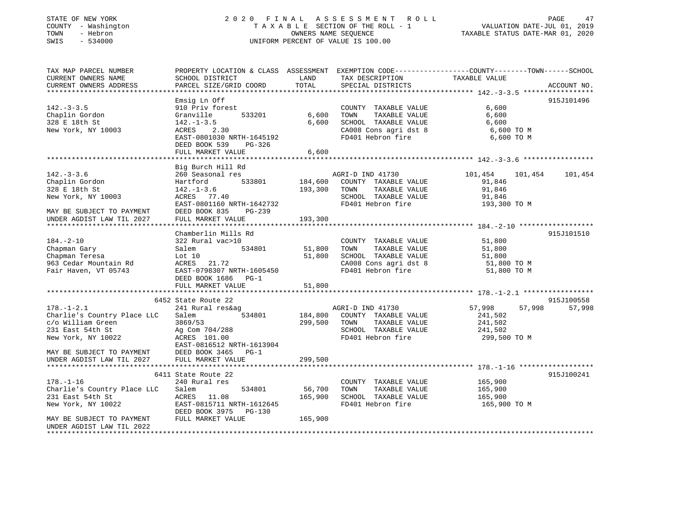### STATE OF NEW YORK 2 0 2 0 F I N A L A S S E S S M E N T R O L L PAGE 47COUNTY - Washington  $T A X A B L E$  SECTION OF THE ROLL - 1<br>TOWN - Hebron  $\cdot$  OWNERS NAME SEQUENCE SWIS - 534000 UNIFORM PERCENT OF VALUE IS 100.00

VALUATION DATE-JUL 01, 2019

TAXABLE STATUS DATE-MAR 01, 2020

| TAX MAP PARCEL NUMBER<br>CURRENT OWNERS NAME           | PROPERTY LOCATION & CLASS ASSESSMENT EXEMPTION CODE---------------COUNTY-------TOWN------SCHOOL<br>SCHOOL DISTRICT | LAND    | TAX DESCRIPTION       | TAXABLE VALUE      |             |
|--------------------------------------------------------|--------------------------------------------------------------------------------------------------------------------|---------|-----------------------|--------------------|-------------|
| CURRENT OWNERS ADDRESS                                 | PARCEL SIZE/GRID COORD                                                                                             | TOTAL   | SPECIAL DISTRICTS     |                    | ACCOUNT NO. |
|                                                        | Emsig Ln Off                                                                                                       |         |                       |                    | 915J101496  |
| $142. - 3 - 3.5$                                       | 910 Priv forest                                                                                                    |         | COUNTY TAXABLE VALUE  | 6,600              |             |
| Chaplin Gordon                                         | 533201<br>Granville                                                                                                | 6,600   | TOWN<br>TAXABLE VALUE | 6,600              |             |
| 328 E 18th St                                          | $142.-1-3.5$                                                                                                       | 6,600   | SCHOOL TAXABLE VALUE  | 6,600              |             |
| New York, NY 10003                                     | ACRES 2.30                                                                                                         |         | CA008 Cons agri dst 8 | 6,600 TO M         |             |
|                                                        | EAST-0801030 NRTH-1645192                                                                                          |         | FD401 Hebron fire     | 6,600 TO M         |             |
|                                                        | DEED BOOK 539<br>PG-326                                                                                            |         |                       |                    |             |
|                                                        | FULL MARKET VALUE                                                                                                  | 6,600   |                       |                    |             |
|                                                        |                                                                                                                    |         |                       |                    |             |
|                                                        | Big Burch Hill Rd                                                                                                  |         |                       |                    |             |
| $142. - 3 - 3.6$                                       | 260 Seasonal res                                                                                                   |         | AGRI-D IND 41730      | 101,454<br>101,454 | 101,454     |
| Chaplin Gordon                                         | Hartford<br>533801                                                                                                 | 184,600 | COUNTY TAXABLE VALUE  | 91,846             |             |
| 328 E 18th St                                          | $142. - 1 - 3.6$                                                                                                   | 193,300 | TOWN<br>TAXABLE VALUE | 91,846             |             |
| New York, NY 10003                                     | ACRES 77.40                                                                                                        |         | SCHOOL TAXABLE VALUE  | 91,846             |             |
|                                                        | EAST-0801160 NRTH-1642732                                                                                          |         | FD401 Hebron fire     | 193,300 TO M       |             |
| MAY BE SUBJECT TO PAYMENT<br>UNDER AGDIST LAW TIL 2027 | DEED BOOK 835<br>PG-239<br>FULL MARKET VALUE                                                                       | 193,300 |                       |                    |             |
|                                                        |                                                                                                                    |         |                       |                    |             |
|                                                        | Chamberlin Mills Rd                                                                                                |         |                       |                    | 915J101510  |
| $184. - 2 - 10$                                        | 322 Rural vac>10                                                                                                   |         | COUNTY TAXABLE VALUE  | 51,800             |             |
| Chapman Gary                                           | 534801<br>Salem                                                                                                    | 51,800  | TAXABLE VALUE<br>TOWN | 51,800             |             |
| Chapman Teresa                                         | Lot 10                                                                                                             | 51,800  | SCHOOL TAXABLE VALUE  | 51,800             |             |
| 963 Cedar Mountain Rd                                  | ACRES 21.72                                                                                                        |         | CA008 Cons agri dst 8 | 51,800 TO M        |             |
| Fair Haven, VT 05743                                   | EAST-0798307 NRTH-1605450                                                                                          |         | FD401 Hebron fire     | 51,800 TO M        |             |
|                                                        | DEED BOOK 1686 PG-1                                                                                                |         |                       |                    |             |
|                                                        | FULL MARKET VALUE                                                                                                  | 51,800  |                       |                    |             |
|                                                        |                                                                                                                    |         |                       |                    |             |
|                                                        | 6452 State Route 22                                                                                                |         |                       |                    | 915J100558  |
| $178. - 1 - 2.1$                                       | 241 Rural res&ag                                                                                                   |         | AGRI-D IND 41730      | 57,998<br>57,998   | 57,998      |
| Charlie's Country Place LLC                            | Salem<br>534801                                                                                                    | 184,800 | COUNTY TAXABLE VALUE  | 241,502            |             |
| c/o William Green                                      | 3869/53                                                                                                            | 299,500 | TOWN<br>TAXABLE VALUE | 241,502            |             |
| 231 East 54th St                                       | Ag Com 704/288                                                                                                     |         | SCHOOL TAXABLE VALUE  | 241,502            |             |
| New York, NY 10022                                     | ACRES 101.00                                                                                                       |         | FD401 Hebron fire     | 299,500 TO M       |             |
|                                                        | EAST-0816512 NRTH-1613904                                                                                          |         |                       |                    |             |
| MAY BE SUBJECT TO PAYMENT                              | DEED BOOK 3465<br>$PG-1$                                                                                           |         |                       |                    |             |
| UNDER AGDIST LAW TIL 2027                              | FULL MARKET VALUE                                                                                                  | 299,500 |                       |                    |             |
|                                                        | 6411 State Route 22                                                                                                |         |                       |                    | 915J100241  |
| $178. - 1 - 16$                                        | 240 Rural res                                                                                                      |         | COUNTY TAXABLE VALUE  | 165,900            |             |
| Charlie's Country Place LLC                            | Salem<br>534801                                                                                                    | 56,700  | TAXABLE VALUE<br>TOWN | 165,900            |             |
| 231 East 54th St                                       | ACRES 11.08                                                                                                        | 165,900 | SCHOOL TAXABLE VALUE  | 165,900            |             |
| New York, NY 10022                                     | EAST-0815711 NRTH-1612645                                                                                          |         | FD401 Hebron fire     | 165,900 TO M       |             |
|                                                        | DEED BOOK 3975<br>$PG-130$                                                                                         |         |                       |                    |             |
| MAY BE SUBJECT TO PAYMENT                              | FULL MARKET VALUE                                                                                                  | 165,900 |                       |                    |             |
| UNDER AGDIST LAW TIL 2022                              |                                                                                                                    |         |                       |                    |             |
|                                                        |                                                                                                                    |         |                       |                    |             |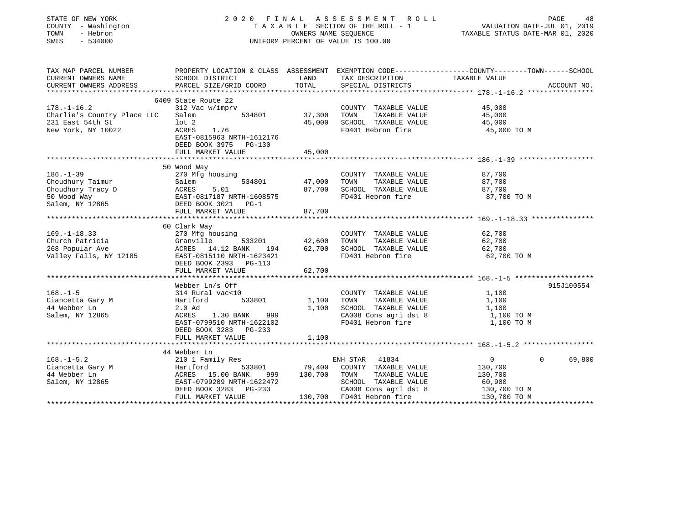| PROPERTY LOCATION & CLASS ASSESSMENT EXEMPTION CODE----------------COUNTY-------TOWN------SCHOOL<br>TAX MAP PARCEL NUMBER<br>TAX DESCRIPTION TAXABLE VALUE<br>CURRENT OWNERS NAME<br>SCHOOL DISTRICT<br>LAND<br>TOTAL<br>CURRENT OWNERS ADDRESS<br>PARCEL SIZE/GRID COORD<br>SPECIAL DISTRICTS<br>ACCOUNT NO.<br>6409 State Route 22<br>$178. - 1 - 16.2$<br>312 Vac w/imprv<br>45,000<br>COUNTY TAXABLE VALUE<br>37,300<br>Charlie's Country Place LLC<br>534801<br>TOWN<br>TAXABLE VALUE<br>45,000<br>Salem<br>231 East 54th St<br>lot 2<br>45,000<br>SCHOOL TAXABLE VALUE<br>45,000<br>ACRES 1.76<br>FD401 Hebron fire<br>New York, NY 10022<br>45,000 TO M<br>EAST-0815963 NRTH-1612176<br>DEED BOOK 3975 PG-130<br>FULL MARKET VALUE<br>45,000<br>50 Wood Way<br>$186. - 1 - 39$<br>87,700<br>270 Mfg housing<br>COUNTY TAXABLE VALUE<br>Choudhury Taimur<br>534801<br>47,000<br>TAXABLE VALUE<br>Salem<br>TOWN<br>87,700<br>Choudhury Tracy D<br>50 Wood Way<br>Salem, NY 12865<br><b>ACRES</b><br>87,700<br>SCHOOL TAXABLE VALUE<br>87,700<br>5.01<br>EAST-0817187 NRTH-1608575<br>FD401 Hebron fire<br>87,700 TO M<br>DEED BOOK 3021 PG-1<br>87,700<br>FULL MARKET VALUE<br>60 Clark Way<br>$169. - 1 - 18.33$<br>62,700<br>270 Mfg housing<br>COUNTY TAXABLE VALUE<br>Church Patricia<br>Granville<br>533201<br>42,600<br>TOWN TAXABLE VALUE<br>62,700<br>62,700 SCHOOL TAXABLE VALUE<br>268 Popular Ave<br>ACRES 14.12 BANK 194<br>62,700<br>Valley Falls, NY 12185<br>EAST-0815110 NRTH-1623421<br>FD401 Hebron fire<br>62,700 TO M<br>DEED BOOK 2393 PG-113<br>FULL MARKET VALUE<br>62,700<br>915J100554<br>Webber Ln/s Off<br>$168. - 1 - 5$<br>314 Rural vac<10<br>COUNTY TAXABLE VALUE<br>1,100<br>Ciancetta Gary M<br>Hartford<br>533801<br>1,100<br>TOWN<br>TAXABLE VALUE<br>1,100<br>1,100 SCHOOL TAXABLE VALUE<br>44 Webber Ln<br>$2.0$ Ad<br>1,100<br>SCHOOL Increased<br>CA008 Cons agri dst 8<br>Salem, NY 12865<br>ACRES<br>1.30 BANK 999<br>1,100 TO M<br>EAST-0799510 NRTH-1622102<br>1,100 TO M<br>DEED BOOK 3283 PG-233<br>1,100<br>FULL MARKET VALUE<br>44 Webber Ln<br>210 1 Family Res<br>$168. - 1 - 5.2$<br>ENH STAR 41834<br>0<br>69,800<br>$\Omega$<br>$533801$ 79,400 COUNTY TAXABLE VALUE<br>100.1 -<br>Ciancetta Gary M<br>11 Webber Lu<br>130,700<br>Hartford<br>ACRES 15.00 BANK 999 130,700 TOWN TAXABLE VALUE<br>130,700<br>Salem, NY 12865<br>SCHOOL TAXABLE VALUE<br>60,900<br>EAST-0799209 NRTH-1622472<br>DEED BOOK 3283 PG-233<br>CA008 Cons agri dst 8<br>130,700 TO M<br>130,700 TO M<br>130,700 FD401 Hebron fire<br>FULL MARKET VALUE | STATE OF NEW YORK<br>COUNTY - Washington<br>TOWN<br>- Hebron<br>SWIS<br>$-534000$ | 2020 FINAL ASSESSMENT ROLL<br>PAGE 48<br>VALUATION DATE-JUL 01, 2019<br>TAXABLE STATIS DATE 11<br>T A X A B L E SECTION OF THE ROLL - 1<br>OWNERS NAME SEQUENCE<br>TAXABLE STATUS DATE-MAR 01, 2020<br>UNIFORM PERCENT OF VALUE IS 100.00 |  |  |  |  |  |
|-----------------------------------------------------------------------------------------------------------------------------------------------------------------------------------------------------------------------------------------------------------------------------------------------------------------------------------------------------------------------------------------------------------------------------------------------------------------------------------------------------------------------------------------------------------------------------------------------------------------------------------------------------------------------------------------------------------------------------------------------------------------------------------------------------------------------------------------------------------------------------------------------------------------------------------------------------------------------------------------------------------------------------------------------------------------------------------------------------------------------------------------------------------------------------------------------------------------------------------------------------------------------------------------------------------------------------------------------------------------------------------------------------------------------------------------------------------------------------------------------------------------------------------------------------------------------------------------------------------------------------------------------------------------------------------------------------------------------------------------------------------------------------------------------------------------------------------------------------------------------------------------------------------------------------------------------------------------------------------------------------------------------------------------------------------------------------------------------------------------------------------------------------------------------------------------------------------------------------------------------------------------------------------------------------------------------------------------------------------------------------------------------------------------------------------------------------------------------------------------------------------------------------------------------------------------------------------------|-----------------------------------------------------------------------------------|-------------------------------------------------------------------------------------------------------------------------------------------------------------------------------------------------------------------------------------------|--|--|--|--|--|
|                                                                                                                                                                                                                                                                                                                                                                                                                                                                                                                                                                                                                                                                                                                                                                                                                                                                                                                                                                                                                                                                                                                                                                                                                                                                                                                                                                                                                                                                                                                                                                                                                                                                                                                                                                                                                                                                                                                                                                                                                                                                                                                                                                                                                                                                                                                                                                                                                                                                                                                                                                                         |                                                                                   |                                                                                                                                                                                                                                           |  |  |  |  |  |
|                                                                                                                                                                                                                                                                                                                                                                                                                                                                                                                                                                                                                                                                                                                                                                                                                                                                                                                                                                                                                                                                                                                                                                                                                                                                                                                                                                                                                                                                                                                                                                                                                                                                                                                                                                                                                                                                                                                                                                                                                                                                                                                                                                                                                                                                                                                                                                                                                                                                                                                                                                                         |                                                                                   |                                                                                                                                                                                                                                           |  |  |  |  |  |
|                                                                                                                                                                                                                                                                                                                                                                                                                                                                                                                                                                                                                                                                                                                                                                                                                                                                                                                                                                                                                                                                                                                                                                                                                                                                                                                                                                                                                                                                                                                                                                                                                                                                                                                                                                                                                                                                                                                                                                                                                                                                                                                                                                                                                                                                                                                                                                                                                                                                                                                                                                                         |                                                                                   |                                                                                                                                                                                                                                           |  |  |  |  |  |
|                                                                                                                                                                                                                                                                                                                                                                                                                                                                                                                                                                                                                                                                                                                                                                                                                                                                                                                                                                                                                                                                                                                                                                                                                                                                                                                                                                                                                                                                                                                                                                                                                                                                                                                                                                                                                                                                                                                                                                                                                                                                                                                                                                                                                                                                                                                                                                                                                                                                                                                                                                                         |                                                                                   |                                                                                                                                                                                                                                           |  |  |  |  |  |
|                                                                                                                                                                                                                                                                                                                                                                                                                                                                                                                                                                                                                                                                                                                                                                                                                                                                                                                                                                                                                                                                                                                                                                                                                                                                                                                                                                                                                                                                                                                                                                                                                                                                                                                                                                                                                                                                                                                                                                                                                                                                                                                                                                                                                                                                                                                                                                                                                                                                                                                                                                                         |                                                                                   |                                                                                                                                                                                                                                           |  |  |  |  |  |
|                                                                                                                                                                                                                                                                                                                                                                                                                                                                                                                                                                                                                                                                                                                                                                                                                                                                                                                                                                                                                                                                                                                                                                                                                                                                                                                                                                                                                                                                                                                                                                                                                                                                                                                                                                                                                                                                                                                                                                                                                                                                                                                                                                                                                                                                                                                                                                                                                                                                                                                                                                                         |                                                                                   |                                                                                                                                                                                                                                           |  |  |  |  |  |
|                                                                                                                                                                                                                                                                                                                                                                                                                                                                                                                                                                                                                                                                                                                                                                                                                                                                                                                                                                                                                                                                                                                                                                                                                                                                                                                                                                                                                                                                                                                                                                                                                                                                                                                                                                                                                                                                                                                                                                                                                                                                                                                                                                                                                                                                                                                                                                                                                                                                                                                                                                                         |                                                                                   |                                                                                                                                                                                                                                           |  |  |  |  |  |
|                                                                                                                                                                                                                                                                                                                                                                                                                                                                                                                                                                                                                                                                                                                                                                                                                                                                                                                                                                                                                                                                                                                                                                                                                                                                                                                                                                                                                                                                                                                                                                                                                                                                                                                                                                                                                                                                                                                                                                                                                                                                                                                                                                                                                                                                                                                                                                                                                                                                                                                                                                                         |                                                                                   |                                                                                                                                                                                                                                           |  |  |  |  |  |
|                                                                                                                                                                                                                                                                                                                                                                                                                                                                                                                                                                                                                                                                                                                                                                                                                                                                                                                                                                                                                                                                                                                                                                                                                                                                                                                                                                                                                                                                                                                                                                                                                                                                                                                                                                                                                                                                                                                                                                                                                                                                                                                                                                                                                                                                                                                                                                                                                                                                                                                                                                                         |                                                                                   |                                                                                                                                                                                                                                           |  |  |  |  |  |
|                                                                                                                                                                                                                                                                                                                                                                                                                                                                                                                                                                                                                                                                                                                                                                                                                                                                                                                                                                                                                                                                                                                                                                                                                                                                                                                                                                                                                                                                                                                                                                                                                                                                                                                                                                                                                                                                                                                                                                                                                                                                                                                                                                                                                                                                                                                                                                                                                                                                                                                                                                                         |                                                                                   |                                                                                                                                                                                                                                           |  |  |  |  |  |
|                                                                                                                                                                                                                                                                                                                                                                                                                                                                                                                                                                                                                                                                                                                                                                                                                                                                                                                                                                                                                                                                                                                                                                                                                                                                                                                                                                                                                                                                                                                                                                                                                                                                                                                                                                                                                                                                                                                                                                                                                                                                                                                                                                                                                                                                                                                                                                                                                                                                                                                                                                                         |                                                                                   |                                                                                                                                                                                                                                           |  |  |  |  |  |
|                                                                                                                                                                                                                                                                                                                                                                                                                                                                                                                                                                                                                                                                                                                                                                                                                                                                                                                                                                                                                                                                                                                                                                                                                                                                                                                                                                                                                                                                                                                                                                                                                                                                                                                                                                                                                                                                                                                                                                                                                                                                                                                                                                                                                                                                                                                                                                                                                                                                                                                                                                                         |                                                                                   |                                                                                                                                                                                                                                           |  |  |  |  |  |
|                                                                                                                                                                                                                                                                                                                                                                                                                                                                                                                                                                                                                                                                                                                                                                                                                                                                                                                                                                                                                                                                                                                                                                                                                                                                                                                                                                                                                                                                                                                                                                                                                                                                                                                                                                                                                                                                                                                                                                                                                                                                                                                                                                                                                                                                                                                                                                                                                                                                                                                                                                                         |                                                                                   |                                                                                                                                                                                                                                           |  |  |  |  |  |
|                                                                                                                                                                                                                                                                                                                                                                                                                                                                                                                                                                                                                                                                                                                                                                                                                                                                                                                                                                                                                                                                                                                                                                                                                                                                                                                                                                                                                                                                                                                                                                                                                                                                                                                                                                                                                                                                                                                                                                                                                                                                                                                                                                                                                                                                                                                                                                                                                                                                                                                                                                                         |                                                                                   |                                                                                                                                                                                                                                           |  |  |  |  |  |
|                                                                                                                                                                                                                                                                                                                                                                                                                                                                                                                                                                                                                                                                                                                                                                                                                                                                                                                                                                                                                                                                                                                                                                                                                                                                                                                                                                                                                                                                                                                                                                                                                                                                                                                                                                                                                                                                                                                                                                                                                                                                                                                                                                                                                                                                                                                                                                                                                                                                                                                                                                                         |                                                                                   |                                                                                                                                                                                                                                           |  |  |  |  |  |
|                                                                                                                                                                                                                                                                                                                                                                                                                                                                                                                                                                                                                                                                                                                                                                                                                                                                                                                                                                                                                                                                                                                                                                                                                                                                                                                                                                                                                                                                                                                                                                                                                                                                                                                                                                                                                                                                                                                                                                                                                                                                                                                                                                                                                                                                                                                                                                                                                                                                                                                                                                                         |                                                                                   |                                                                                                                                                                                                                                           |  |  |  |  |  |
|                                                                                                                                                                                                                                                                                                                                                                                                                                                                                                                                                                                                                                                                                                                                                                                                                                                                                                                                                                                                                                                                                                                                                                                                                                                                                                                                                                                                                                                                                                                                                                                                                                                                                                                                                                                                                                                                                                                                                                                                                                                                                                                                                                                                                                                                                                                                                                                                                                                                                                                                                                                         |                                                                                   |                                                                                                                                                                                                                                           |  |  |  |  |  |
|                                                                                                                                                                                                                                                                                                                                                                                                                                                                                                                                                                                                                                                                                                                                                                                                                                                                                                                                                                                                                                                                                                                                                                                                                                                                                                                                                                                                                                                                                                                                                                                                                                                                                                                                                                                                                                                                                                                                                                                                                                                                                                                                                                                                                                                                                                                                                                                                                                                                                                                                                                                         |                                                                                   |                                                                                                                                                                                                                                           |  |  |  |  |  |
|                                                                                                                                                                                                                                                                                                                                                                                                                                                                                                                                                                                                                                                                                                                                                                                                                                                                                                                                                                                                                                                                                                                                                                                                                                                                                                                                                                                                                                                                                                                                                                                                                                                                                                                                                                                                                                                                                                                                                                                                                                                                                                                                                                                                                                                                                                                                                                                                                                                                                                                                                                                         |                                                                                   |                                                                                                                                                                                                                                           |  |  |  |  |  |
|                                                                                                                                                                                                                                                                                                                                                                                                                                                                                                                                                                                                                                                                                                                                                                                                                                                                                                                                                                                                                                                                                                                                                                                                                                                                                                                                                                                                                                                                                                                                                                                                                                                                                                                                                                                                                                                                                                                                                                                                                                                                                                                                                                                                                                                                                                                                                                                                                                                                                                                                                                                         |                                                                                   |                                                                                                                                                                                                                                           |  |  |  |  |  |
|                                                                                                                                                                                                                                                                                                                                                                                                                                                                                                                                                                                                                                                                                                                                                                                                                                                                                                                                                                                                                                                                                                                                                                                                                                                                                                                                                                                                                                                                                                                                                                                                                                                                                                                                                                                                                                                                                                                                                                                                                                                                                                                                                                                                                                                                                                                                                                                                                                                                                                                                                                                         |                                                                                   |                                                                                                                                                                                                                                           |  |  |  |  |  |
|                                                                                                                                                                                                                                                                                                                                                                                                                                                                                                                                                                                                                                                                                                                                                                                                                                                                                                                                                                                                                                                                                                                                                                                                                                                                                                                                                                                                                                                                                                                                                                                                                                                                                                                                                                                                                                                                                                                                                                                                                                                                                                                                                                                                                                                                                                                                                                                                                                                                                                                                                                                         |                                                                                   |                                                                                                                                                                                                                                           |  |  |  |  |  |
|                                                                                                                                                                                                                                                                                                                                                                                                                                                                                                                                                                                                                                                                                                                                                                                                                                                                                                                                                                                                                                                                                                                                                                                                                                                                                                                                                                                                                                                                                                                                                                                                                                                                                                                                                                                                                                                                                                                                                                                                                                                                                                                                                                                                                                                                                                                                                                                                                                                                                                                                                                                         |                                                                                   |                                                                                                                                                                                                                                           |  |  |  |  |  |
|                                                                                                                                                                                                                                                                                                                                                                                                                                                                                                                                                                                                                                                                                                                                                                                                                                                                                                                                                                                                                                                                                                                                                                                                                                                                                                                                                                                                                                                                                                                                                                                                                                                                                                                                                                                                                                                                                                                                                                                                                                                                                                                                                                                                                                                                                                                                                                                                                                                                                                                                                                                         |                                                                                   |                                                                                                                                                                                                                                           |  |  |  |  |  |
|                                                                                                                                                                                                                                                                                                                                                                                                                                                                                                                                                                                                                                                                                                                                                                                                                                                                                                                                                                                                                                                                                                                                                                                                                                                                                                                                                                                                                                                                                                                                                                                                                                                                                                                                                                                                                                                                                                                                                                                                                                                                                                                                                                                                                                                                                                                                                                                                                                                                                                                                                                                         |                                                                                   |                                                                                                                                                                                                                                           |  |  |  |  |  |
|                                                                                                                                                                                                                                                                                                                                                                                                                                                                                                                                                                                                                                                                                                                                                                                                                                                                                                                                                                                                                                                                                                                                                                                                                                                                                                                                                                                                                                                                                                                                                                                                                                                                                                                                                                                                                                                                                                                                                                                                                                                                                                                                                                                                                                                                                                                                                                                                                                                                                                                                                                                         |                                                                                   |                                                                                                                                                                                                                                           |  |  |  |  |  |
|                                                                                                                                                                                                                                                                                                                                                                                                                                                                                                                                                                                                                                                                                                                                                                                                                                                                                                                                                                                                                                                                                                                                                                                                                                                                                                                                                                                                                                                                                                                                                                                                                                                                                                                                                                                                                                                                                                                                                                                                                                                                                                                                                                                                                                                                                                                                                                                                                                                                                                                                                                                         |                                                                                   |                                                                                                                                                                                                                                           |  |  |  |  |  |
|                                                                                                                                                                                                                                                                                                                                                                                                                                                                                                                                                                                                                                                                                                                                                                                                                                                                                                                                                                                                                                                                                                                                                                                                                                                                                                                                                                                                                                                                                                                                                                                                                                                                                                                                                                                                                                                                                                                                                                                                                                                                                                                                                                                                                                                                                                                                                                                                                                                                                                                                                                                         |                                                                                   |                                                                                                                                                                                                                                           |  |  |  |  |  |
|                                                                                                                                                                                                                                                                                                                                                                                                                                                                                                                                                                                                                                                                                                                                                                                                                                                                                                                                                                                                                                                                                                                                                                                                                                                                                                                                                                                                                                                                                                                                                                                                                                                                                                                                                                                                                                                                                                                                                                                                                                                                                                                                                                                                                                                                                                                                                                                                                                                                                                                                                                                         |                                                                                   |                                                                                                                                                                                                                                           |  |  |  |  |  |
|                                                                                                                                                                                                                                                                                                                                                                                                                                                                                                                                                                                                                                                                                                                                                                                                                                                                                                                                                                                                                                                                                                                                                                                                                                                                                                                                                                                                                                                                                                                                                                                                                                                                                                                                                                                                                                                                                                                                                                                                                                                                                                                                                                                                                                                                                                                                                                                                                                                                                                                                                                                         |                                                                                   |                                                                                                                                                                                                                                           |  |  |  |  |  |
|                                                                                                                                                                                                                                                                                                                                                                                                                                                                                                                                                                                                                                                                                                                                                                                                                                                                                                                                                                                                                                                                                                                                                                                                                                                                                                                                                                                                                                                                                                                                                                                                                                                                                                                                                                                                                                                                                                                                                                                                                                                                                                                                                                                                                                                                                                                                                                                                                                                                                                                                                                                         |                                                                                   |                                                                                                                                                                                                                                           |  |  |  |  |  |
|                                                                                                                                                                                                                                                                                                                                                                                                                                                                                                                                                                                                                                                                                                                                                                                                                                                                                                                                                                                                                                                                                                                                                                                                                                                                                                                                                                                                                                                                                                                                                                                                                                                                                                                                                                                                                                                                                                                                                                                                                                                                                                                                                                                                                                                                                                                                                                                                                                                                                                                                                                                         |                                                                                   |                                                                                                                                                                                                                                           |  |  |  |  |  |
|                                                                                                                                                                                                                                                                                                                                                                                                                                                                                                                                                                                                                                                                                                                                                                                                                                                                                                                                                                                                                                                                                                                                                                                                                                                                                                                                                                                                                                                                                                                                                                                                                                                                                                                                                                                                                                                                                                                                                                                                                                                                                                                                                                                                                                                                                                                                                                                                                                                                                                                                                                                         |                                                                                   |                                                                                                                                                                                                                                           |  |  |  |  |  |
|                                                                                                                                                                                                                                                                                                                                                                                                                                                                                                                                                                                                                                                                                                                                                                                                                                                                                                                                                                                                                                                                                                                                                                                                                                                                                                                                                                                                                                                                                                                                                                                                                                                                                                                                                                                                                                                                                                                                                                                                                                                                                                                                                                                                                                                                                                                                                                                                                                                                                                                                                                                         |                                                                                   |                                                                                                                                                                                                                                           |  |  |  |  |  |
|                                                                                                                                                                                                                                                                                                                                                                                                                                                                                                                                                                                                                                                                                                                                                                                                                                                                                                                                                                                                                                                                                                                                                                                                                                                                                                                                                                                                                                                                                                                                                                                                                                                                                                                                                                                                                                                                                                                                                                                                                                                                                                                                                                                                                                                                                                                                                                                                                                                                                                                                                                                         |                                                                                   |                                                                                                                                                                                                                                           |  |  |  |  |  |
|                                                                                                                                                                                                                                                                                                                                                                                                                                                                                                                                                                                                                                                                                                                                                                                                                                                                                                                                                                                                                                                                                                                                                                                                                                                                                                                                                                                                                                                                                                                                                                                                                                                                                                                                                                                                                                                                                                                                                                                                                                                                                                                                                                                                                                                                                                                                                                                                                                                                                                                                                                                         |                                                                                   |                                                                                                                                                                                                                                           |  |  |  |  |  |
|                                                                                                                                                                                                                                                                                                                                                                                                                                                                                                                                                                                                                                                                                                                                                                                                                                                                                                                                                                                                                                                                                                                                                                                                                                                                                                                                                                                                                                                                                                                                                                                                                                                                                                                                                                                                                                                                                                                                                                                                                                                                                                                                                                                                                                                                                                                                                                                                                                                                                                                                                                                         |                                                                                   |                                                                                                                                                                                                                                           |  |  |  |  |  |
|                                                                                                                                                                                                                                                                                                                                                                                                                                                                                                                                                                                                                                                                                                                                                                                                                                                                                                                                                                                                                                                                                                                                                                                                                                                                                                                                                                                                                                                                                                                                                                                                                                                                                                                                                                                                                                                                                                                                                                                                                                                                                                                                                                                                                                                                                                                                                                                                                                                                                                                                                                                         |                                                                                   |                                                                                                                                                                                                                                           |  |  |  |  |  |
|                                                                                                                                                                                                                                                                                                                                                                                                                                                                                                                                                                                                                                                                                                                                                                                                                                                                                                                                                                                                                                                                                                                                                                                                                                                                                                                                                                                                                                                                                                                                                                                                                                                                                                                                                                                                                                                                                                                                                                                                                                                                                                                                                                                                                                                                                                                                                                                                                                                                                                                                                                                         |                                                                                   |                                                                                                                                                                                                                                           |  |  |  |  |  |
|                                                                                                                                                                                                                                                                                                                                                                                                                                                                                                                                                                                                                                                                                                                                                                                                                                                                                                                                                                                                                                                                                                                                                                                                                                                                                                                                                                                                                                                                                                                                                                                                                                                                                                                                                                                                                                                                                                                                                                                                                                                                                                                                                                                                                                                                                                                                                                                                                                                                                                                                                                                         |                                                                                   |                                                                                                                                                                                                                                           |  |  |  |  |  |
|                                                                                                                                                                                                                                                                                                                                                                                                                                                                                                                                                                                                                                                                                                                                                                                                                                                                                                                                                                                                                                                                                                                                                                                                                                                                                                                                                                                                                                                                                                                                                                                                                                                                                                                                                                                                                                                                                                                                                                                                                                                                                                                                                                                                                                                                                                                                                                                                                                                                                                                                                                                         |                                                                                   |                                                                                                                                                                                                                                           |  |  |  |  |  |
|                                                                                                                                                                                                                                                                                                                                                                                                                                                                                                                                                                                                                                                                                                                                                                                                                                                                                                                                                                                                                                                                                                                                                                                                                                                                                                                                                                                                                                                                                                                                                                                                                                                                                                                                                                                                                                                                                                                                                                                                                                                                                                                                                                                                                                                                                                                                                                                                                                                                                                                                                                                         |                                                                                   |                                                                                                                                                                                                                                           |  |  |  |  |  |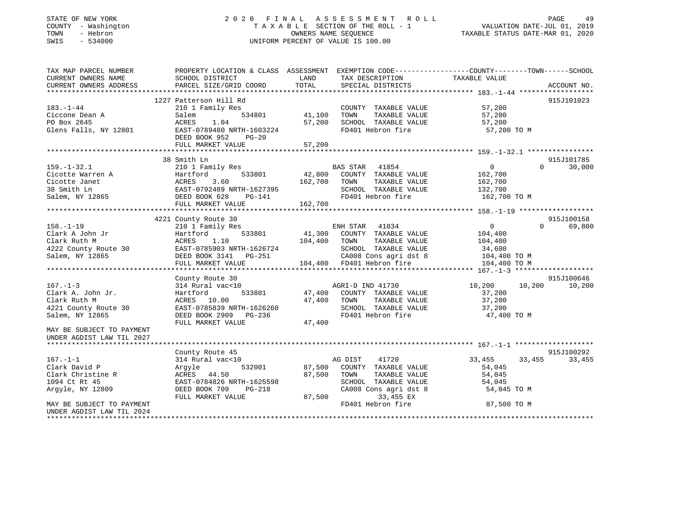#### STATE OF NEW YORK 2 0 2 0 F I N A L A S S E S S M E N T R O L L PAGE 49 COUNTY - Washington T A X A B L E SECTION OF THE ROLL - 1 VALUATION DATE-JUL 01, 2019 TOWN - Hebron OWNERS NAME SEQUENCE TAXABLE STATUS DATE-MAR 01, 2020 SWIS - 534000 UNIFORM PERCENT OF VALUE IS 100.00

| TAX MAP PARCEL NUMBER<br>CURRENT OWNERS NAME   | SCHOOL DISTRICT                                                                                                                                 | TAX DESCRIPTION TAXABLE VALUE<br>LAND                                                                                                                                                                                                            | PROPERTY LOCATION & CLASS ASSESSMENT EXEMPTION CODE----------------COUNTY-------TOWN------SCHOOL                                                                                                                               |
|------------------------------------------------|-------------------------------------------------------------------------------------------------------------------------------------------------|--------------------------------------------------------------------------------------------------------------------------------------------------------------------------------------------------------------------------------------------------|--------------------------------------------------------------------------------------------------------------------------------------------------------------------------------------------------------------------------------|
| CURRENT OWNERS ADDRESS                         | PARCEL SIZE/GRID COORD                                                                                                                          | TOTAL<br>SPECIAL DISTRICTS                                                                                                                                                                                                                       | ACCOUNT NO.                                                                                                                                                                                                                    |
|                                                |                                                                                                                                                 |                                                                                                                                                                                                                                                  | 915J101023                                                                                                                                                                                                                     |
| $183. - 1 - 44$                                | 1227 Patterson Hill Rd<br>210 1 Family Res                                                                                                      | COUNTY TAXABLE VALUE 57,200                                                                                                                                                                                                                      |                                                                                                                                                                                                                                |
| Ciccone Dean A                                 | Salem                                                                                                                                           | 534801 41,100<br>TAXABLE VALUE 57,200<br>TOWN                                                                                                                                                                                                    |                                                                                                                                                                                                                                |
|                                                |                                                                                                                                                 |                                                                                                                                                                                                                                                  | 57,200                                                                                                                                                                                                                         |
|                                                |                                                                                                                                                 |                                                                                                                                                                                                                                                  | 57,200 TO M                                                                                                                                                                                                                    |
|                                                | DEED BOOK 952 PG-20                                                                                                                             |                                                                                                                                                                                                                                                  |                                                                                                                                                                                                                                |
|                                                |                                                                                                                                                 |                                                                                                                                                                                                                                                  |                                                                                                                                                                                                                                |
|                                                |                                                                                                                                                 |                                                                                                                                                                                                                                                  |                                                                                                                                                                                                                                |
|                                                |                                                                                                                                                 |                                                                                                                                                                                                                                                  | 915J101785                                                                                                                                                                                                                     |
|                                                |                                                                                                                                                 |                                                                                                                                                                                                                                                  | $\overline{0}$<br>$\Omega$<br>30,000                                                                                                                                                                                           |
|                                                |                                                                                                                                                 |                                                                                                                                                                                                                                                  | 162,700                                                                                                                                                                                                                        |
|                                                |                                                                                                                                                 |                                                                                                                                                                                                                                                  | 162,700                                                                                                                                                                                                                        |
|                                                |                                                                                                                                                 | SCHOOL TAXABLE VALUE 132,700<br>FD401 Hebron fire 162,700                                                                                                                                                                                        |                                                                                                                                                                                                                                |
|                                                |                                                                                                                                                 |                                                                                                                                                                                                                                                  | 162,700 TO M                                                                                                                                                                                                                   |
|                                                |                                                                                                                                                 | 159.-1-32.1<br>Cicotte Warren A<br>Cicotte Janet A Hartford 533801<br>Salem, NY 12865<br>CHERE BOOK 628 PG-141<br>TAXABLE VALUE<br>THERE BOOK 628 PG-141<br>TAXABLE VALUE<br>THERE SALEM SCHOOL TAXABLE VALUE<br>THERE PASS DEED BOOK 628 PG-141 |                                                                                                                                                                                                                                |
|                                                |                                                                                                                                                 |                                                                                                                                                                                                                                                  |                                                                                                                                                                                                                                |
|                                                | 4221 County Route 30                                                                                                                            |                                                                                                                                                                                                                                                  | 915J100158<br>$\overline{0}$<br>$\Omega$                                                                                                                                                                                       |
|                                                |                                                                                                                                                 |                                                                                                                                                                                                                                                  | 69,800                                                                                                                                                                                                                         |
|                                                |                                                                                                                                                 |                                                                                                                                                                                                                                                  |                                                                                                                                                                                                                                |
|                                                |                                                                                                                                                 |                                                                                                                                                                                                                                                  |                                                                                                                                                                                                                                |
|                                                |                                                                                                                                                 |                                                                                                                                                                                                                                                  |                                                                                                                                                                                                                                |
|                                                |                                                                                                                                                 |                                                                                                                                                                                                                                                  |                                                                                                                                                                                                                                |
|                                                |                                                                                                                                                 |                                                                                                                                                                                                                                                  |                                                                                                                                                                                                                                |
|                                                | County Route 30                                                                                                                                 |                                                                                                                                                                                                                                                  | 915J100646                                                                                                                                                                                                                     |
| $167. - 1 - 3$                                 |                                                                                                                                                 |                                                                                                                                                                                                                                                  | 200 10,200 10,200 10,200 10,200 10,200 10,200 10,200 10,200 10,200 10,200 10,200 10,200 10,200 10,200 10,200 10,200 10,200 10,200 10,200 10,200 10,200 10,200 10,200 10,200 10,200 10,200 10,200 10,200 10,200 10,200 10,200 1 |
|                                                |                                                                                                                                                 | 47,400 COUNTY TAXABLE VALUE                                                                                                                                                                                                                      | 37,200                                                                                                                                                                                                                         |
|                                                |                                                                                                                                                 | 47,400 TOWN TAXABLE VALUE                                                                                                                                                                                                                        | 37,200                                                                                                                                                                                                                         |
|                                                |                                                                                                                                                 | SCHOOL TAXABLE VALUE 37,200                                                                                                                                                                                                                      |                                                                                                                                                                                                                                |
|                                                | Clark A. John Jr.<br>Clark Ruth M (1994) ACRES 10.00 (1994)<br>47,400 (1994) ACRES 10.00 (1994)<br>Salem, NY 12865 (1995) DEED BOOK 2909 PG-236 | FD401 Hebron fire                                                                                                                                                                                                                                | 47,400 TO M                                                                                                                                                                                                                    |
|                                                | FULL MARKET VALUE                                                                                                                               | 47,400                                                                                                                                                                                                                                           |                                                                                                                                                                                                                                |
| MAY BE SUBJECT TO PAYMENT                      |                                                                                                                                                 |                                                                                                                                                                                                                                                  |                                                                                                                                                                                                                                |
| UNDER AGDIST LAW TIL 2027                      |                                                                                                                                                 |                                                                                                                                                                                                                                                  |                                                                                                                                                                                                                                |
|                                                |                                                                                                                                                 |                                                                                                                                                                                                                                                  |                                                                                                                                                                                                                                |
|                                                | County Route 45                                                                                                                                 |                                                                                                                                                                                                                                                  | 915J100292                                                                                                                                                                                                                     |
| $167. - 1 - 1$                                 | $314$ Rural vac<10                                                                                                                              | AG DIST 41720<br>87,500 COUNTY TAXABLE VALUE                                                                                                                                                                                                     | 33,455<br>33,455 33,455                                                                                                                                                                                                        |
| 167.-1-1<br>Clark David P<br>Clark Christine R | 532001<br>Argyle                                                                                                                                |                                                                                                                                                                                                                                                  | 54,045                                                                                                                                                                                                                         |
|                                                | ACRES 44.50                                                                                                                                     | 87,500 TOWN<br>TAXABLE VALUE                                                                                                                                                                                                                     | 54,045                                                                                                                                                                                                                         |
| 1094 Ct Rt 45                                  | EAST-0784826 NRTH-1625598<br>EAST-0784826 NRTH-1625598<br>DEED BOOK 709 PG-218                                                                  | SCHOOL TAXABLE VALUE<br>CA008 Cons agri dst 8                                                                                                                                                                                                    | 54,045                                                                                                                                                                                                                         |
| Argyle, NY 12809                               |                                                                                                                                                 |                                                                                                                                                                                                                                                  | 54,045 TO M                                                                                                                                                                                                                    |
|                                                | FULL MARKET VALUE                                                                                                                               | 87,500<br>33,455 EX                                                                                                                                                                                                                              |                                                                                                                                                                                                                                |
| MAY BE SUBJECT TO PAYMENT                      |                                                                                                                                                 | FD401 Hebron fire                                                                                                                                                                                                                                | 87,500 TO M                                                                                                                                                                                                                    |
| UNDER AGDIST LAW TIL 2024                      |                                                                                                                                                 |                                                                                                                                                                                                                                                  |                                                                                                                                                                                                                                |
|                                                |                                                                                                                                                 |                                                                                                                                                                                                                                                  |                                                                                                                                                                                                                                |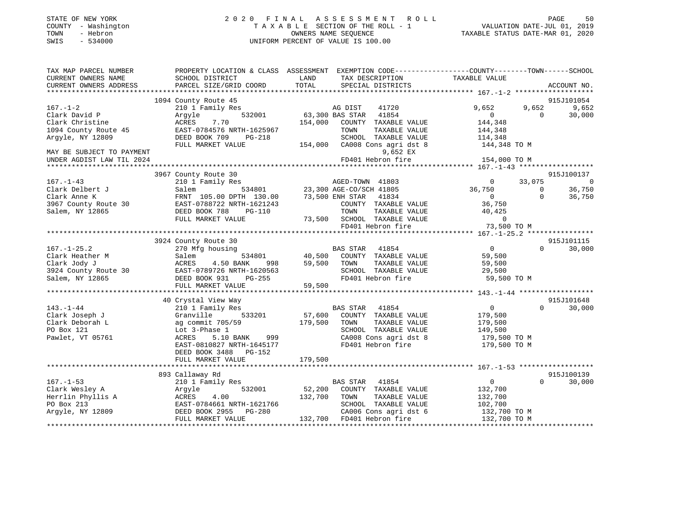| PROPERTY LOCATION & CLASS ASSESSMENT EXEMPTION CODE----------------COUNTY-------TOWN------SCHOOL<br>TAX MAP PARCEL NUMBER<br>CURRENT OWNERS NAME<br><b>EXAMPLE TO A LAND</b><br>TAX DESCRIPTION TAXABLE VALUE<br>SCHOOL DISTRICT<br>CURRENT OWNERS ADDRESS<br>PARCEL SIZE/GRID COORD TOTAL SPECIAL DISTRICTS<br>ACCOUNT NO.<br>915J101054<br>1094 County Route 45<br>3<br>532001 63,300 BAS STAR 41854<br>9,652<br>9,652 9,652<br>$167. - 1 - 2$<br>210 1 Family Res<br>Clark David P<br>Clark Christine 21 and 21<br>1094 County Route 45<br>1094 County Route 45<br>EAST-0784576 NRTH-1625967<br>$\begin{array}{ccc} & & & & \\ & & & & \\ \hline & & & & & \\ & & & & & \\ \end{array}$<br>30,000<br>$\Omega$<br>154,000 COUNTY TAXABLE VALUE 144,348<br>$\begin{tabular}{lllllllll} \textsc{TOWN} & \textsc{TXABLE} & \textsc{VALUE} & & 144 \,, 348 \\ \textsc{SCHOOL} & \textsc{TXABLE} & \textsc{VALUE} & & 114 \,, 348 \\ \end{tabular}$<br>Argyle, NY 12809<br>DEED BOOK 709 PG-218<br>154,000 CA008 Cons agri dst 8 144,348 TO M<br>FULL MARKET VALUE<br>MAY BE SUBJECT TO PAYMENT<br>9,652 EX<br>UNDER AGDIST LAW TIL 2024<br>915J100137<br>3967 County Route 30<br>3<br>534801 23,300 AGE-CO/SCH 41805<br>TH 130.00 73,500 ENH STAR 41834<br>$167. - 1 - 43$<br>$0 \qquad 33,075$<br>210 1 Family Res<br>$\sim$ 0<br>$36,750$ 0 $36,750$<br>0 0 36,750<br>Clark Delbert J<br>Clark Delbert J<br>Clark Anne K<br>3967 County Route 30<br>23,300 AGE-CO/SCH 41805<br>EAST-0788722 NRTH-1621243<br>FRNT 105.00 DPTH 130.00<br>23,500 ENH STAR 41834<br>23,500 ENH STAR 41834<br>COUNTY TAXABLE<br>TOWN TAXABLE<br>$0 \t36,750$<br>COUNTY TAXABLE VALUE 36,750<br>DEED BOOK 788<br>TAXABLE VALUE 40,425<br>TAXABLE VALUE 0<br>Salem, NY 12865<br>PG-110<br>TOWN<br>73,500 SCHOOL TAXABLE VALUE<br>FULL MARKET VALUE<br>73,500 TO M<br>FD401 Hebron fire<br>915J101115<br>3924 County Route 30<br>$\overline{0}$<br>$\Omega$<br>30,000<br>$167. - 1 - 25.2$<br>Clark Heather M<br>Clark Jody J<br>3924 County Route 30<br>3924 County Route 30<br>825T-0789726 NRTH-10<br>998<br>59,500<br>59,500<br>TOWN<br>TAXABLE VALUE<br>3924 County Route 30<br>EAST-0789726 NRTH-1620563<br>SCHOOL<br>29,500<br>TAXABLE VALUE | STATE OF NEW YORK<br>COUNTY<br>- Washington<br>- Hebron<br>TOWN<br>SWIS<br>$-534000$ | OWNERS NAME SEQUENCE<br>UNIFORM PERCENT OF VALUE IS 100.00 |  |  |  |
|-----------------------------------------------------------------------------------------------------------------------------------------------------------------------------------------------------------------------------------------------------------------------------------------------------------------------------------------------------------------------------------------------------------------------------------------------------------------------------------------------------------------------------------------------------------------------------------------------------------------------------------------------------------------------------------------------------------------------------------------------------------------------------------------------------------------------------------------------------------------------------------------------------------------------------------------------------------------------------------------------------------------------------------------------------------------------------------------------------------------------------------------------------------------------------------------------------------------------------------------------------------------------------------------------------------------------------------------------------------------------------------------------------------------------------------------------------------------------------------------------------------------------------------------------------------------------------------------------------------------------------------------------------------------------------------------------------------------------------------------------------------------------------------------------------------------------------------------------------------------------------------------------------------------------------------------------------------------------------------------------------------------------------------------------------------------------------------------------------------------------------------------------------------------------------------------------------------------------------|--------------------------------------------------------------------------------------|------------------------------------------------------------|--|--|--|
|                                                                                                                                                                                                                                                                                                                                                                                                                                                                                                                                                                                                                                                                                                                                                                                                                                                                                                                                                                                                                                                                                                                                                                                                                                                                                                                                                                                                                                                                                                                                                                                                                                                                                                                                                                                                                                                                                                                                                                                                                                                                                                                                                                                                                             |                                                                                      |                                                            |  |  |  |
|                                                                                                                                                                                                                                                                                                                                                                                                                                                                                                                                                                                                                                                                                                                                                                                                                                                                                                                                                                                                                                                                                                                                                                                                                                                                                                                                                                                                                                                                                                                                                                                                                                                                                                                                                                                                                                                                                                                                                                                                                                                                                                                                                                                                                             |                                                                                      |                                                            |  |  |  |
|                                                                                                                                                                                                                                                                                                                                                                                                                                                                                                                                                                                                                                                                                                                                                                                                                                                                                                                                                                                                                                                                                                                                                                                                                                                                                                                                                                                                                                                                                                                                                                                                                                                                                                                                                                                                                                                                                                                                                                                                                                                                                                                                                                                                                             |                                                                                      |                                                            |  |  |  |
|                                                                                                                                                                                                                                                                                                                                                                                                                                                                                                                                                                                                                                                                                                                                                                                                                                                                                                                                                                                                                                                                                                                                                                                                                                                                                                                                                                                                                                                                                                                                                                                                                                                                                                                                                                                                                                                                                                                                                                                                                                                                                                                                                                                                                             |                                                                                      |                                                            |  |  |  |
|                                                                                                                                                                                                                                                                                                                                                                                                                                                                                                                                                                                                                                                                                                                                                                                                                                                                                                                                                                                                                                                                                                                                                                                                                                                                                                                                                                                                                                                                                                                                                                                                                                                                                                                                                                                                                                                                                                                                                                                                                                                                                                                                                                                                                             |                                                                                      |                                                            |  |  |  |
|                                                                                                                                                                                                                                                                                                                                                                                                                                                                                                                                                                                                                                                                                                                                                                                                                                                                                                                                                                                                                                                                                                                                                                                                                                                                                                                                                                                                                                                                                                                                                                                                                                                                                                                                                                                                                                                                                                                                                                                                                                                                                                                                                                                                                             |                                                                                      |                                                            |  |  |  |
|                                                                                                                                                                                                                                                                                                                                                                                                                                                                                                                                                                                                                                                                                                                                                                                                                                                                                                                                                                                                                                                                                                                                                                                                                                                                                                                                                                                                                                                                                                                                                                                                                                                                                                                                                                                                                                                                                                                                                                                                                                                                                                                                                                                                                             |                                                                                      |                                                            |  |  |  |
|                                                                                                                                                                                                                                                                                                                                                                                                                                                                                                                                                                                                                                                                                                                                                                                                                                                                                                                                                                                                                                                                                                                                                                                                                                                                                                                                                                                                                                                                                                                                                                                                                                                                                                                                                                                                                                                                                                                                                                                                                                                                                                                                                                                                                             |                                                                                      |                                                            |  |  |  |
|                                                                                                                                                                                                                                                                                                                                                                                                                                                                                                                                                                                                                                                                                                                                                                                                                                                                                                                                                                                                                                                                                                                                                                                                                                                                                                                                                                                                                                                                                                                                                                                                                                                                                                                                                                                                                                                                                                                                                                                                                                                                                                                                                                                                                             |                                                                                      |                                                            |  |  |  |
|                                                                                                                                                                                                                                                                                                                                                                                                                                                                                                                                                                                                                                                                                                                                                                                                                                                                                                                                                                                                                                                                                                                                                                                                                                                                                                                                                                                                                                                                                                                                                                                                                                                                                                                                                                                                                                                                                                                                                                                                                                                                                                                                                                                                                             |                                                                                      |                                                            |  |  |  |
|                                                                                                                                                                                                                                                                                                                                                                                                                                                                                                                                                                                                                                                                                                                                                                                                                                                                                                                                                                                                                                                                                                                                                                                                                                                                                                                                                                                                                                                                                                                                                                                                                                                                                                                                                                                                                                                                                                                                                                                                                                                                                                                                                                                                                             |                                                                                      |                                                            |  |  |  |
|                                                                                                                                                                                                                                                                                                                                                                                                                                                                                                                                                                                                                                                                                                                                                                                                                                                                                                                                                                                                                                                                                                                                                                                                                                                                                                                                                                                                                                                                                                                                                                                                                                                                                                                                                                                                                                                                                                                                                                                                                                                                                                                                                                                                                             |                                                                                      |                                                            |  |  |  |
|                                                                                                                                                                                                                                                                                                                                                                                                                                                                                                                                                                                                                                                                                                                                                                                                                                                                                                                                                                                                                                                                                                                                                                                                                                                                                                                                                                                                                                                                                                                                                                                                                                                                                                                                                                                                                                                                                                                                                                                                                                                                                                                                                                                                                             |                                                                                      |                                                            |  |  |  |
|                                                                                                                                                                                                                                                                                                                                                                                                                                                                                                                                                                                                                                                                                                                                                                                                                                                                                                                                                                                                                                                                                                                                                                                                                                                                                                                                                                                                                                                                                                                                                                                                                                                                                                                                                                                                                                                                                                                                                                                                                                                                                                                                                                                                                             |                                                                                      |                                                            |  |  |  |
|                                                                                                                                                                                                                                                                                                                                                                                                                                                                                                                                                                                                                                                                                                                                                                                                                                                                                                                                                                                                                                                                                                                                                                                                                                                                                                                                                                                                                                                                                                                                                                                                                                                                                                                                                                                                                                                                                                                                                                                                                                                                                                                                                                                                                             |                                                                                      |                                                            |  |  |  |
|                                                                                                                                                                                                                                                                                                                                                                                                                                                                                                                                                                                                                                                                                                                                                                                                                                                                                                                                                                                                                                                                                                                                                                                                                                                                                                                                                                                                                                                                                                                                                                                                                                                                                                                                                                                                                                                                                                                                                                                                                                                                                                                                                                                                                             |                                                                                      |                                                            |  |  |  |
|                                                                                                                                                                                                                                                                                                                                                                                                                                                                                                                                                                                                                                                                                                                                                                                                                                                                                                                                                                                                                                                                                                                                                                                                                                                                                                                                                                                                                                                                                                                                                                                                                                                                                                                                                                                                                                                                                                                                                                                                                                                                                                                                                                                                                             |                                                                                      |                                                            |  |  |  |
|                                                                                                                                                                                                                                                                                                                                                                                                                                                                                                                                                                                                                                                                                                                                                                                                                                                                                                                                                                                                                                                                                                                                                                                                                                                                                                                                                                                                                                                                                                                                                                                                                                                                                                                                                                                                                                                                                                                                                                                                                                                                                                                                                                                                                             |                                                                                      |                                                            |  |  |  |
|                                                                                                                                                                                                                                                                                                                                                                                                                                                                                                                                                                                                                                                                                                                                                                                                                                                                                                                                                                                                                                                                                                                                                                                                                                                                                                                                                                                                                                                                                                                                                                                                                                                                                                                                                                                                                                                                                                                                                                                                                                                                                                                                                                                                                             |                                                                                      |                                                            |  |  |  |
|                                                                                                                                                                                                                                                                                                                                                                                                                                                                                                                                                                                                                                                                                                                                                                                                                                                                                                                                                                                                                                                                                                                                                                                                                                                                                                                                                                                                                                                                                                                                                                                                                                                                                                                                                                                                                                                                                                                                                                                                                                                                                                                                                                                                                             |                                                                                      |                                                            |  |  |  |

| 3924 County Route 30 | EAST-0789726 NRTH-1620563      |         | SCHOOL TAXABLE VALUE               | 29,500         |                        |
|----------------------|--------------------------------|---------|------------------------------------|----------------|------------------------|
| Salem, NY 12865      | DEED BOOK 931 PG-255           |         | FD401 Hebron fire                  | 59,500 TO M    |                        |
|                      | 59,500<br>FULL MARKET VALUE    |         |                                    |                |                        |
|                      |                                |         |                                    |                |                        |
|                      | 40 Crystal View Way            |         |                                    |                | 915J101648             |
| 143.-1-44            | 210 1 Family Res               |         | BAS STAR 41854                     | $\overline{0}$ | 30,000<br>$\mathbf{0}$ |
| Clark Joseph J       | Granville 533201 57,600        |         | COUNTY<br>TAXABLE VALUE            | 179,500        |                        |
| Clark Deborah L      | ag commit 705/59               | 179,500 | TOWN<br>TAXABLE VALUE              | 179,500        |                        |
| PO Box 121           | Lot 3-Phase 1                  |         | SCHOOL<br>TAXABLE VALUE            | 149,500        |                        |
| Pawlet, VT 05761     | ACRES 5.10 BANK 999            |         | CA008 Cons agri dst 8 179,500 TO M |                |                        |
|                      | EAST-0810827 NRTH-1645177      |         | FD401 Hebron fire                  | 179,500 TO M   |                        |
|                      | DEED BOOK 3488 PG-152          |         |                                    |                |                        |
|                      | FULL MARKET VALUE              | 179,500 |                                    |                |                        |
|                      |                                |         |                                    |                |                        |
|                      | 893 Callaway Rd                |         |                                    |                | 915J100139             |
| 167.–1–53            | 210 1 Family Res               |         | BAS STAR 41854                     |                | $\mathbf{0}$<br>30,000 |
| Clark Wesley A       | 532001 52,200 COUNTY<br>Argyle |         | TAXABLE VALUE                      | 132,700        |                        |
| Herrlin Phyllis A    | ACRES 4.00                     | 132,700 | TOWN<br>TAXABLE VALUE              | 132,700        |                        |
| PO Box 213           | EAST-0784661 NRTH-1621766      |         | TAXABLE VALUE<br>SCHOOL            | 102,700        |                        |
| Argyle, NY 12809     | DEED BOOK 2955 PG-280          |         | CA006 Cons agri dst 6 132,700 TO M |                |                        |
|                      | FULL MARKET VALUE              | 132,700 | FD401 Hebron fire                  | 132,700 TO M   |                        |
|                      |                                |         |                                    |                |                        |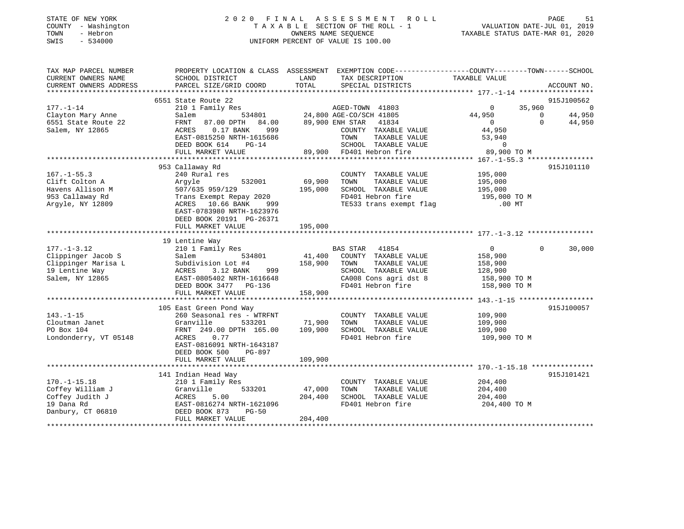| STATE OF NEW YORK<br>COUNTY - Washington<br>- Hebron<br>TOWN<br>SWIS<br>$-534000$ | 2020 FINAL ASSESSMENT ROLL<br>TAXABLE SECTION OF THE ROLL - 1<br>OWNERS NAME SEOUENCE<br>UNIFORM PERCENT OF VALUE IS 100.00 | TAXABLE STATUS DATE-MAR 01, 2020 | PAGE<br>VALUATION DATE-JUL 01, 2019 | 51 |
|-----------------------------------------------------------------------------------|-----------------------------------------------------------------------------------------------------------------------------|----------------------------------|-------------------------------------|----|
| TAX MAP PARCEL NUMBER                                                             | EXEMPTION CODE------------------COUNTY-------TOWN------SCHOOL<br>PROPERTY LOCATION & CLASS ASSESSMENT                       |                                  |                                     |    |

| CURRENT OWNERS NAME    | SCHOOL DISTRICT             | LAND    | TAX DESCRIPTION          | TAXABLE VALUE            |                       |
|------------------------|-----------------------------|---------|--------------------------|--------------------------|-----------------------|
| CURRENT OWNERS ADDRESS | PARCEL SIZE/GRID COORD      | TOTAL   | SPECIAL DISTRICTS        |                          | ACCOUNT NO.           |
|                        |                             |         |                          |                          |                       |
|                        | 6551 State Route 22         |         |                          |                          | 915J100562            |
| $177. - 1 - 14$        | 210 1 Family Res            |         | AGED-TOWN 41803          | 35,960<br>$\overline{0}$ | $\Omega$              |
| Clayton Mary Anne      | Salem<br>534801             |         | 24,800 AGE-CO/SCH 41805  | 44,950                   | 44,950<br>$\mathbf 0$ |
| 6551 State Route 22    | FRNT<br>87.00 DPTH<br>84.00 |         | 89,900 ENH STAR<br>41834 | $\Omega$                 | $\Omega$<br>44,950    |
| Salem, NY 12865        | 0.17 BANK<br>999<br>ACRES   |         | COUNTY TAXABLE VALUE     | 44,950                   |                       |
|                        | EAST-0815250 NRTH-1615686   |         | TOWN<br>TAXABLE VALUE    | 53,940                   |                       |
|                        | DEED BOOK 614<br>$PG-14$    |         | SCHOOL TAXABLE VALUE     | $\mathbf 0$              |                       |
|                        | FULL MARKET VALUE           | 89,900  | FD401 Hebron fire        | 89,900 TO M              |                       |
|                        |                             |         |                          |                          |                       |
|                        | 953 Callaway Rd             |         |                          |                          | 915J101110            |
| $167. - 1 - 55.3$      | 240 Rural res               |         | COUNTY TAXABLE VALUE     | 195,000                  |                       |
| Clift Colton A         | 532001<br>Arqyle            | 69,900  | TOWN<br>TAXABLE VALUE    | 195,000                  |                       |
| Havens Allison M       | 507/635 959/129             | 195,000 | SCHOOL TAXABLE VALUE     | 195,000                  |                       |
| 953 Callaway Rd        | Trans Exempt Repay 2020     |         | FD401 Hebron fire        | 195,000 TO M             |                       |
| Argyle, NY 12809       | 10.66 BANK<br>ACRES<br>999  |         | TE533 trans exempt flag  | $.00$ MT                 |                       |
|                        | EAST-0783980 NRTH-1623976   |         |                          |                          |                       |
|                        | DEED BOOK 20191 PG-26371    |         |                          |                          |                       |
|                        | FULL MARKET VALUE           | 195,000 |                          |                          |                       |
|                        |                             |         |                          |                          |                       |
|                        | 19 Lentine Way              |         |                          |                          |                       |
| $177. - 1 - 3.12$      | 210 1 Family Res            |         | BAS STAR 41854           | $\overline{0}$           | 30,000<br>$\Omega$    |
| Clippinger Jacob S     | Salem<br>534801             | 41,400  | COUNTY TAXABLE VALUE     | 158,900                  |                       |
| Clippinger Marisa L    | Subdivision Lot #4          | 158,900 | TOWN<br>TAXABLE VALUE    | 158,900                  |                       |
| 19 Lentine Way         | 3.12 BANK<br>ACRES<br>999   |         | SCHOOL TAXABLE VALUE     | 128,900                  |                       |
| Salem, NY 12865        | EAST-0805402 NRTH-1616648   |         | CA008 Cons agri dst 8    | 158,900 TO M             |                       |
|                        | DEED BOOK 3477 PG-136       |         | FD401 Hebron fire        | 158,900 TO M             |                       |
|                        | FULL MARKET VALUE           | 158,900 |                          |                          |                       |
|                        |                             |         |                          |                          |                       |
|                        | 105 East Green Pond Way     |         |                          |                          | 915J100057            |
| $143. - 1 - 15$        | 260 Seasonal res - WTRFNT   |         | COUNTY TAXABLE VALUE     | 109,900                  |                       |
| Cloutman Janet         | Granville<br>533201         | 71,900  | TOWN<br>TAXABLE VALUE    | 109,900                  |                       |
| PO Box 104             | FRNT 249.00 DPTH 165.00     | 109,900 | SCHOOL TAXABLE VALUE     | 109,900                  |                       |
| Londonderry, VT 05148  | ACRES<br>0.77               |         | FD401 Hebron fire        | 109,900 TO M             |                       |
|                        | EAST-0816091 NRTH-1643187   |         |                          |                          |                       |
|                        | DEED BOOK 500<br>PG-897     |         |                          |                          |                       |
|                        | FULL MARKET VALUE           | 109,900 |                          |                          |                       |
|                        |                             |         |                          |                          |                       |
|                        | 141 Indian Head Way         |         |                          |                          | 915J101421            |
| $170. - 1 - 15.18$     | 210 1 Family Res            |         | COUNTY TAXABLE VALUE     | 204,400                  |                       |
| Coffey William J       | Granville<br>533201         | 47,000  | TAXABLE VALUE<br>TOWN    | 204,400                  |                       |
| Coffey Judith J        | 5.00<br>ACRES               | 204,400 | SCHOOL TAXABLE VALUE     | 204,400                  |                       |
| 19 Dana Rd             | EAST-0816274 NRTH-1621096   |         | FD401 Hebron fire        | 204,400 TO M             |                       |
| Danbury, CT 06810      | DEED BOOK 873<br>$PG-50$    |         |                          |                          |                       |
|                        | FULL MARKET VALUE           | 204,400 |                          |                          |                       |
|                        |                             |         |                          |                          |                       |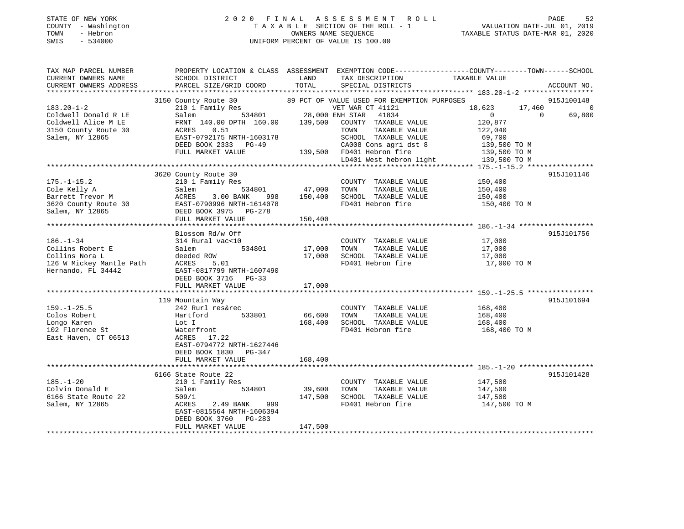### STATE OF NEW YORK 2 0 2 0 F I N A L A S S E S S M E N T R O L L PAGE 52 COUNTY - Washington T A X A B L E SECTION OF THE ROLL - 1 VALUATION DATE-JUL 01, 2019 TOWN - Hebron OWNERS NAME SEQUENCE TAXABLE STATUS DATE-MAR 01, 2020 SWIS - 534000 UNIFORM PERCENT OF VALUE IS 100.00

| TAX MAP PARCEL NUMBER                                           | PROPERTY LOCATION & CLASS ASSESSMENT EXEMPTION CODE----------------COUNTY-------TOWN------SCHOOL                                                                                                                                                                     |               |                                                        |                                      |             |
|-----------------------------------------------------------------|----------------------------------------------------------------------------------------------------------------------------------------------------------------------------------------------------------------------------------------------------------------------|---------------|--------------------------------------------------------|--------------------------------------|-------------|
| CURRENT OWNERS NAME                                             | SCHOOL DISTRICT                                                                                                                                                                                                                                                      | LAND          | TAX DESCRIPTION                                        | TAXABLE VALUE                        |             |
| CURRENT OWNERS ADDRESS                                          | PARCEL SIZE/GRID COORD                                                                                                                                                                                                                                               | TOTAL         | SPECIAL DISTRICTS                                      |                                      | ACCOUNT NO. |
|                                                                 |                                                                                                                                                                                                                                                                      |               |                                                        |                                      |             |
|                                                                 |                                                                                                                                                                                                                                                                      |               |                                                        |                                      | 915J100148  |
|                                                                 |                                                                                                                                                                                                                                                                      |               |                                                        | 18,623 17,460 0                      |             |
|                                                                 |                                                                                                                                                                                                                                                                      |               |                                                        | $\overline{0}$<br>$\overline{0}$     | 69,800      |
|                                                                 |                                                                                                                                                                                                                                                                      |               |                                                        | 120,877                              |             |
|                                                                 |                                                                                                                                                                                                                                                                      |               |                                                        | 122,040                              |             |
|                                                                 |                                                                                                                                                                                                                                                                      |               |                                                        | 69,700                               |             |
|                                                                 | DEED BOOK 2333 PG-49                                                                                                                                                                                                                                                 |               | -49 CA008 Cons agri dst 8<br>139,500 FD401 Hebron fire | 139,500 TO M                         |             |
|                                                                 | FULL MARKET VALUE                                                                                                                                                                                                                                                    |               |                                                        | 139,500 TO M                         |             |
|                                                                 |                                                                                                                                                                                                                                                                      |               |                                                        | LD401 West hebron light 139,500 TO M |             |
|                                                                 |                                                                                                                                                                                                                                                                      |               |                                                        |                                      |             |
|                                                                 |                                                                                                                                                                                                                                                                      |               |                                                        |                                      | 915J101146  |
|                                                                 |                                                                                                                                                                                                                                                                      |               | COUNTY TAXABLE VALUE 150,400                           |                                      |             |
|                                                                 |                                                                                                                                                                                                                                                                      | 534801 47,000 | TAXABLE VALUE<br>TOWN                                  | 150,400                              |             |
|                                                                 |                                                                                                                                                                                                                                                                      | $998$ 150,400 | SCHOOL TAXABLE VALUE                                   | 150,400                              |             |
|                                                                 |                                                                                                                                                                                                                                                                      |               | FD401 Hebron fire                                      | 150,400 TO M                         |             |
|                                                                 |                                                                                                                                                                                                                                                                      |               |                                                        |                                      |             |
|                                                                 |                                                                                                                                                                                                                                                                      | 150,400       |                                                        |                                      |             |
|                                                                 | .75.-1-15.2<br>210 1 - .<br>210 1 - .<br>210 1 - .<br>210 1 - .<br>210 1 - .<br>210 1 - .<br>210 1 - .<br>210 1 - .<br>210 1 - .<br>210 1 - .<br>210 1 - .<br>210 1 - .<br>210 1 - .<br>210 1 - .<br>2210 1 - .<br>2210 1 - .<br>2210 1 - .<br>2210 1 - .<br>298 EAS |               |                                                        |                                      |             |
|                                                                 |                                                                                                                                                                                                                                                                      |               |                                                        |                                      | 915J101756  |
| $186. - 1 - 34$                                                 | 314 Rural vac<10                                                                                                                                                                                                                                                     |               | COUNTY TAXABLE VALUE 17,000                            |                                      |             |
| Collins Robert E                                                | 534801 17,000<br>Salem                                                                                                                                                                                                                                               |               | TOWN<br>TAXABLE VALUE                                  | 17,000                               |             |
| Collins Noral<br>126 W Mickey Mantle Path<br>Hernando, FL 34442 | deeded ROW                                                                                                                                                                                                                                                           | 17,000        | SCHOOL TAXABLE VALUE 17,000                            |                                      |             |
|                                                                 | ACRES<br>5.01                                                                                                                                                                                                                                                        |               | FD401 Hebron fire                                      | 17,000 TO M                          |             |
| Hernando, FL 34442                                              | EAST-0817799 NRTH-1607490                                                                                                                                                                                                                                            |               |                                                        |                                      |             |
|                                                                 | DEED BOOK 3716 PG-33                                                                                                                                                                                                                                                 |               |                                                        |                                      |             |
|                                                                 | FULL MARKET VALUE                                                                                                                                                                                                                                                    | 17,000        |                                                        |                                      |             |
|                                                                 |                                                                                                                                                                                                                                                                      |               |                                                        |                                      |             |
|                                                                 | 119 Mountain Way                                                                                                                                                                                                                                                     |               |                                                        |                                      | 915J101694  |
| $159. - 1 - 25.5$                                               | 242 Rurl res&rec                                                                                                                                                                                                                                                     |               | COUNTY TAXABLE VALUE                                   | 168,400                              |             |
| Colos Robert                                                    | 533801<br>Hartford                                                                                                                                                                                                                                                   | 66,600        | TOWN<br>TAXABLE VALUE                                  | 168,400                              |             |
| Longo Karen                                                     |                                                                                                                                                                                                                                                                      | 168,400       | SCHOOL TAXABLE VALUE                                   | 168,400                              |             |
| 102 Florence St                                                 | Lot I<br>Waterfront<br>ACRES 17.22                                                                                                                                                                                                                                   |               | FD401 Hebron fire                                      | 168,400 TO M                         |             |
| East Haven, CT 06513                                            |                                                                                                                                                                                                                                                                      |               |                                                        |                                      |             |
|                                                                 | EAST-0794772 NRTH-1627446                                                                                                                                                                                                                                            |               |                                                        |                                      |             |
|                                                                 | DEED BOOK 1830 PG-347                                                                                                                                                                                                                                                |               |                                                        |                                      |             |
|                                                                 | FULL MARKET VALUE                                                                                                                                                                                                                                                    | 168,400       |                                                        |                                      |             |
|                                                                 |                                                                                                                                                                                                                                                                      |               |                                                        |                                      |             |
|                                                                 | 6166 State Route 22                                                                                                                                                                                                                                                  |               |                                                        |                                      | 915J101428  |
| $185. - 1 - 20$                                                 | 210 1 Family Res                                                                                                                                                                                                                                                     |               | COUNTY TAXABLE VALUE                                   | 147,500                              |             |
| Colvin Donald E                                                 | Salem                                                                                                                                                                                                                                                                | 534801 39,600 | TOWN                                                   | TAXABLE VALUE 147,500                |             |
|                                                                 | 509/1                                                                                                                                                                                                                                                                | 147,500       | SCHOOL TAXABLE VALUE                                   | 147,500                              |             |
| 6166 State Route 22<br>Salem, NY 12865<br>Salem, NY 12865       | 999<br>ACRES<br>2.49 BANK                                                                                                                                                                                                                                            |               | FD401 Hebron fire                                      | 147,500 TO M                         |             |
|                                                                 | EAST-0815564 NRTH-1606394                                                                                                                                                                                                                                            |               |                                                        |                                      |             |
|                                                                 | DEED BOOK 3760 PG-283                                                                                                                                                                                                                                                |               |                                                        |                                      |             |
|                                                                 | FULL MARKET VALUE                                                                                                                                                                                                                                                    | 147,500       |                                                        |                                      |             |
|                                                                 |                                                                                                                                                                                                                                                                      |               |                                                        |                                      |             |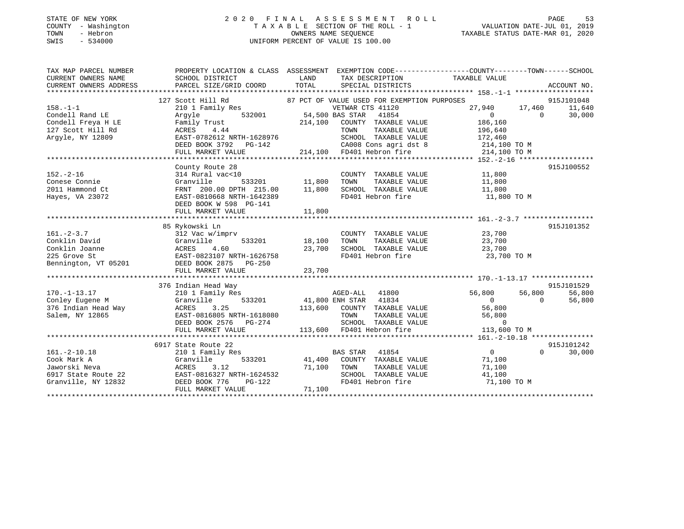#### STATE OF NEW YORK 2 0 2 0 F I N A L A S S E S S M E N T R O L L PAGE 53 COUNTY - Washington T A X A B L E SECTION OF THE ROLL - 1 VALUATION DATE-JUL 01, 2019 TOWN - Hebron OWNERS NAME SEQUENCE TAXABLE STATUS DATE-MAR 01, 2020 SWIS - 534000 UNIFORM PERCENT OF VALUE IS 100.00

| TAX MAP PARCEL NUMBER | PROPERTY LOCATION & CLASS ASSESSMENT EXEMPTION CODE----------------COUNTY-------TOWN------SCHOOL                                                                                                                                                            |        |                                                                                                       |                      |          |            |
|-----------------------|-------------------------------------------------------------------------------------------------------------------------------------------------------------------------------------------------------------------------------------------------------------|--------|-------------------------------------------------------------------------------------------------------|----------------------|----------|------------|
| CURRENT OWNERS NAME   | SCHOOL DISTRICT                                                                                                                                                                                                                                             | LAND   | TAX DESCRIPTION TAXABLE VALUE                                                                         |                      |          |            |
|                       |                                                                                                                                                                                                                                                             |        |                                                                                                       |                      |          |            |
|                       |                                                                                                                                                                                                                                                             |        |                                                                                                       |                      |          |            |
|                       | 127 Scott Hill Rd                                                                                                                                                                                                                                           |        | 87 PCT OF VALUE USED FOR EXEMPTION PURPOSES                                                           |                      |          | 915J101048 |
| $158. - 1 - 1$        |                                                                                                                                                                                                                                                             |        |                                                                                                       | $27,940$ $17,460$ 0  |          | 11,640     |
| Condell Rand LE       |                                                                                                                                                                                                                                                             |        |                                                                                                       |                      |          | 30,000     |
| Condell Freya H LE    | 210 1 Family Res<br>Argyle 532001 54,500 BAS STAR 41854 61<br>Family Trust 214,100 COUNTY TAXABLE VALUE 186,160<br>TOUNTY TAXABLE VALUE 196,640                                                                                                             |        |                                                                                                       |                      |          |            |
| 127 Scott Hill Rd     | Family Trust 214,100 COUNTY TAXABLE VALUE 186,160<br>ACRES 4.44 TOWN TAXABLE VALUE 196,640<br>EAST-0782612 NRTH-1628976 SCHOOL TAXABLE VALUE 172,460                                                                                                        |        |                                                                                                       |                      |          |            |
| Argyle, NY 12809      |                                                                                                                                                                                                                                                             |        |                                                                                                       |                      |          |            |
|                       | DEED BOOK 3792 PG-142                                                                                                                                                                                                                                       |        | CA008 Cons agri dst 8 214,100 TO M                                                                    |                      |          |            |
|                       | FULL MARKET VALUE 214,100 PD401 Hebron fire 214,100 TO M                                                                                                                                                                                                    |        |                                                                                                       |                      |          |            |
|                       |                                                                                                                                                                                                                                                             |        |                                                                                                       |                      |          |            |
|                       | County Route 28                                                                                                                                                                                                                                             |        |                                                                                                       |                      |          | 915J100552 |
| $152. - 2 - 16$       | 314 Rural vac<10                                                                                                                                                                                                                                            |        | COUNTY TAXABLE VALUE 11,800                                                                           |                      |          |            |
| Conese Connie         | Granville                                                                                                                                                                                                                                                   |        |                                                                                                       | 11,800               |          |            |
| 2011 Hammond Ct       | FRNT 200.00 DPTH 215.00 11,800 SCHOOL TAXABLE VALUE 11,800                                                                                                                                                                                                  |        |                                                                                                       |                      |          |            |
| Hayes, VA 23072       | EAST-0810668 NRTH-1642389                                                                                                                                                                                                                                   |        | FD401 Hebron fire 11,800 TO M                                                                         |                      |          |            |
|                       | DEED BOOK W 598 PG-141                                                                                                                                                                                                                                      |        |                                                                                                       |                      |          |            |
|                       |                                                                                                                                                                                                                                                             |        |                                                                                                       |                      |          |            |
|                       |                                                                                                                                                                                                                                                             |        |                                                                                                       |                      |          |            |
|                       | 85 Rykowski Ln                                                                                                                                                                                                                                              |        |                                                                                                       |                      |          | 915J101352 |
| $161. - 2 - 3.7$      | 312 Vac w/imprv                                                                                                                                                                                                                                             |        | COUNTY TAXABLE VALUE 23,700                                                                           |                      |          |            |
|                       | 533201 18,100                                                                                                                                                                                                                                               |        | TOWN                                                                                                  | TAXABLE VALUE 23,700 |          |            |
|                       | Conklin David<br>Conklin Joanne<br>225 Grove St<br>Bennington, VT 05201<br>DEED BOOK 2875 PG-250                                                                                                                                                            | 23,700 | IOWN<br>SCHOOL TAXABLE VALUE<br>TIAN Hobron fire                                                      | 23,700               |          |            |
|                       |                                                                                                                                                                                                                                                             |        |                                                                                                       | 23,700 TO M          |          |            |
|                       |                                                                                                                                                                                                                                                             |        |                                                                                                       |                      |          |            |
|                       |                                                                                                                                                                                                                                                             |        |                                                                                                       |                      |          |            |
|                       |                                                                                                                                                                                                                                                             |        |                                                                                                       |                      |          |            |
|                       | 376 Indian Head Way<br>170.-1-13.17<br>Conley Eugene M (1800 Granville 1982)<br>376 Indian Head Way (1802 Salem, NY 12865 EAST-081680 COUNTY TAXABLE VALUE 113,600 COUNTY TAXABLE VALUE 113,600 COUNTY<br>376 Indian Head Way (18805 NRTH-1618080 113,600 C |        |                                                                                                       |                      |          | 915J101529 |
|                       |                                                                                                                                                                                                                                                             |        |                                                                                                       | 56,800 56,800<br>0 0 |          | 56,800     |
|                       |                                                                                                                                                                                                                                                             |        |                                                                                                       |                      |          | 56,800     |
|                       |                                                                                                                                                                                                                                                             |        |                                                                                                       |                      |          |            |
|                       |                                                                                                                                                                                                                                                             |        |                                                                                                       |                      |          |            |
|                       | DEED BOOK 2576 PG-274                                                                                                                                                                                                                                       |        |                                                                                                       |                      |          |            |
|                       | FULL MARKET VALUE                                                                                                                                                                                                                                           |        | 8080 TOWN TAXABLE VALUE 56,800<br>74 SCHOOL TAXABLE VALUE 56,800<br>113,600 FD401 Hebron fire 113,600 | 113,600 TO M         |          |            |
|                       |                                                                                                                                                                                                                                                             |        |                                                                                                       |                      |          |            |
|                       | 6917 State Route 22                                                                                                                                                                                                                                         |        |                                                                                                       |                      |          | 915J101242 |
| $161.-2-10.18$        | 210 1 Family Res                                                                                                                                                                                                                                            |        | BAS STAR 41854                                                                                        | $\overline{0}$       | $\Omega$ | 30,000     |
|                       |                                                                                                                                                                                                                                                             |        | 533201 41,400 COUNTY TAXABLE VALUE                                                                    | 71,100               |          |            |
|                       |                                                                                                                                                                                                                                                             |        | TAXABLE VALUE                                                                                         | 71,100               |          |            |
|                       |                                                                                                                                                                                                                                                             |        | SCHOOL TAXABLE VALUE                                                                                  | 41,100               |          |            |
|                       |                                                                                                                                                                                                                                                             |        | FD401 Hebron fire                                                                                     | 71,100 TO M          |          |            |
|                       | 161.-2-10.16<br>Cook Mark A<br>Jaworski Neva<br>6917 State Route 22<br>6917 State Route 22<br>6917 State Route 22<br>6917 State Route 22<br>6917 State Route 22<br>6917 SCHOOL<br>6917 SCHOOL<br>6917 SCHOOL<br>6917 SCHOOL<br>6917 SCHOOL<br>6917 SCHOO    |        |                                                                                                       |                      |          |            |
|                       |                                                                                                                                                                                                                                                             |        |                                                                                                       |                      |          |            |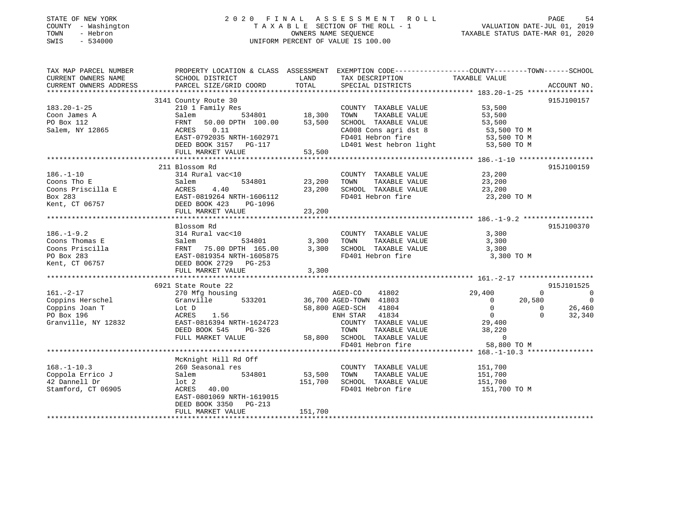### STATE OF NEW YORK 2 0 2 0 F I N A L A S S E S S M E N T R O L L PAGE 54 COUNTY - Washington T A X A B L E SECTION OF THE ROLL - 1 VALUATION DATE-JUL 01, 2019 TOWN - Hebron OWNERS NAME SEQUENCE TAXABLE STATUS DATE-MAR 01, 2020 SWIS - 534000 UNIFORM PERCENT OF VALUE IS 100.00

| TAX MAP PARCEL NUMBER                            |                                                                                                                       |               | PROPERTY LOCATION & CLASS ASSESSMENT EXEMPTION CODE---------------COUNTY-------TOWN-----SCHOOL |                    |                                      |
|--------------------------------------------------|-----------------------------------------------------------------------------------------------------------------------|---------------|------------------------------------------------------------------------------------------------|--------------------|--------------------------------------|
| CURRENT OWNERS NAME                              | SCHOOL DISTRICT                                                                                                       | LAND          | TAX DESCRIPTION                                                                                | TAXABLE VALUE      |                                      |
|                                                  |                                                                                                                       |               |                                                                                                |                    |                                      |
|                                                  |                                                                                                                       |               |                                                                                                |                    |                                      |
|                                                  | 3141 County Route 30                                                                                                  |               |                                                                                                |                    | 915J100157                           |
| $183.20 - 1 - 25$                                | 210 1 Family Res                                                                                                      |               | COUNTY TAXABLE VALUE 53,500                                                                    |                    |                                      |
| Coon James A                                     | Salem                                                                                                                 | 534801 18,300 | TOWN<br>TAXABLE VALUE                                                                          | 53,500             |                                      |
| PO Box 112                                       | 50.00 DPTH 100.00<br>FRNT                                                                                             | 53,500        | SCHOOL TAXABLE VALUE                                                                           | 53,500             |                                      |
| Salem, NY 12865                                  | ACRES<br>0.11                                                                                                         |               | CA008 Cons agri dst 8                                                                          | 53,500 TO M        |                                      |
|                                                  | EAST-0792035 NRTH-1602971                                                                                             |               | FD401 Hebron fire                                                                              | 53,500 TO M        |                                      |
|                                                  | DEED BOOK 3157 PG-117                                                                                                 |               | LD401 West hebron light                                                                        | 53,500 TO M        |                                      |
|                                                  | FULL MARKET VALUE                                                                                                     | 53,500        |                                                                                                |                    |                                      |
|                                                  |                                                                                                                       |               |                                                                                                |                    |                                      |
|                                                  | 211 Blossom Rd                                                                                                        |               |                                                                                                |                    | 915J100159                           |
| $186. - 1 - 10$                                  | 314 Rural vac<10                                                                                                      |               | COUNTY TAXABLE VALUE                                                                           | 23,200             |                                      |
|                                                  |                                                                                                                       | 534801 23,200 | TOWN<br>TAXABLE VALUE                                                                          | 23,200             |                                      |
|                                                  |                                                                                                                       | 23,200        | SCHOOL TAXABLE VALUE<br>FD401 Hebron fire                                                      | 23,200             |                                      |
|                                                  |                                                                                                                       |               |                                                                                                | 23,200 TO M        |                                      |
|                                                  |                                                                                                                       |               |                                                                                                |                    |                                      |
|                                                  | FULL MARKET VALUE                                                                                                     | 23,200        |                                                                                                |                    |                                      |
|                                                  |                                                                                                                       |               |                                                                                                |                    |                                      |
|                                                  | Blossom Rd                                                                                                            |               |                                                                                                |                    | 915J100370                           |
| $186. - 1 - 9.2$                                 | 314 Rural vac<10                                                                                                      |               | COUNTY TAXABLE VALUE                                                                           | 3,300              |                                      |
| Coons Thomas E                                   | Salem 534801 3,300<br>FRNT 75.00 DPTH 165.00 3,300                                                                    |               | TAXABLE VALUE<br>TOWN                                                                          | 3,300              |                                      |
| Coons Priscilla                                  |                                                                                                                       |               | SCHOOL TAXABLE VALUE                                                                           | 3,300              |                                      |
| PO Box 283                                       |                                                                                                                       |               | FD401 Hebron fire                                                                              | 3,300 TO M         |                                      |
| Kent, CT 06757                                   |                                                                                                                       |               |                                                                                                |                    |                                      |
|                                                  | Salem 534801<br>FRNT 75.00 DPTH 165.00 3,300<br>EAST-0819354 NRTH-1605875<br>DEED BOOK 2729 PG-253<br>-- WARKER WALUE | 3,300         |                                                                                                |                    |                                      |
|                                                  |                                                                                                                       |               |                                                                                                |                    |                                      |
|                                                  | 6921 State Route 22                                                                                                   |               |                                                                                                |                    | 915J101525                           |
| $161. - 2 - 17$                                  | 270 Mfg housing                                                                                                       |               | AGED-CO<br>41802                                                                               | 29,400             | $\Omega$<br>$\overline{\phantom{0}}$ |
|                                                  | 533201<br>Granville                                                                                                   |               | 36,700 AGED-TOWN 41803                                                                         | 20,580<br>$\Omega$ | $\overline{0}$                       |
| Coppins Herschel<br>Coppins Joan T<br>PO Box 196 | Lot D                                                                                                                 |               | 58,800 AGED-SCH 41804                                                                          | $\overline{0}$     | $0\qquad 26,460$                     |
| PO Box 196                                       | 1.56<br>ACRES                                                                                                         |               | ENH STAR 41834                                                                                 | $\overline{0}$     | $\Omega$<br>32,340                   |
| Granville, NY 12832                              | EAST-0816394 NRTH-1624723                                                                                             |               | COUNTY TAXABLE VALUE 29,400                                                                    |                    |                                      |
|                                                  | DEED BOOK 545<br>PG-326                                                                                               |               | TOWN<br>TAXABLE VALUE                                                                          | 38,220             |                                      |
|                                                  | FULL MARKET VALUE                                                                                                     |               | 58,800 SCHOOL TAXABLE VALUE                                                                    | $\overline{0}$     |                                      |
|                                                  |                                                                                                                       |               | FD401 Hebron fire                                                                              | 58,800 TO M        |                                      |
|                                                  |                                                                                                                       |               |                                                                                                |                    |                                      |
|                                                  | McKnight Hill Rd Off                                                                                                  |               |                                                                                                |                    |                                      |
| $168. - 1 - 10.3$                                | 260 Seasonal res                                                                                                      |               | COUNTY TAXABLE VALUE                                                                           | 151,700            |                                      |
| Coppola Errico J                                 | 534801<br>Salem                                                                                                       | 53,500        | TOWN<br>TAXABLE VALUE                                                                          | 151,700            |                                      |
| 42 Dannell Dr                                    | lot 2                                                                                                                 | 151,700       | SCHOOL TAXABLE VALUE                                                                           | 151,700            |                                      |
| Stamford, CT 06905                               | ACRES 40.00                                                                                                           |               | FD401 Hebron fire                                                                              | 151,700 TO M       |                                      |
|                                                  | EAST-0801069 NRTH-1619015                                                                                             |               |                                                                                                |                    |                                      |
|                                                  | DEED BOOK 3350 PG-213                                                                                                 |               |                                                                                                |                    |                                      |
|                                                  | FULL MARKET VALUE                                                                                                     | 151,700       |                                                                                                |                    |                                      |
|                                                  |                                                                                                                       |               |                                                                                                |                    |                                      |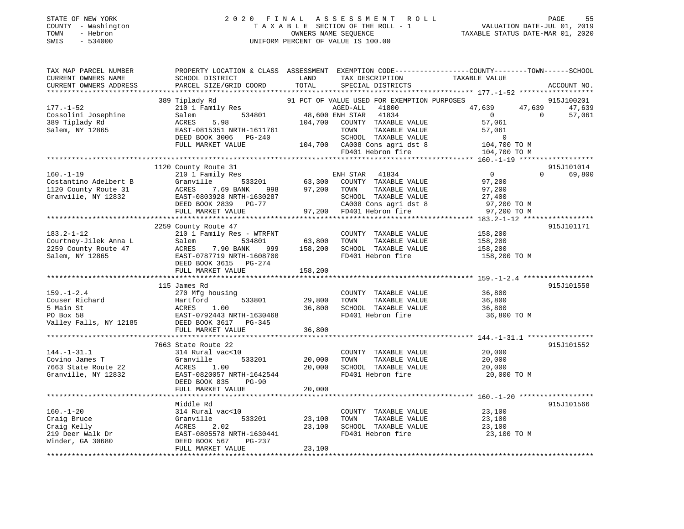### STATE OF NEW YORK 2 0 2 0 F I N A L A S S E S S M E N T R O L L PAGE 55 COUNTY - Washington T A X A B L E SECTION OF THE ROLL - 1 VALUATION DATE-JUL 01, 2019 TOWN - Hebron OWNERS NAME SEQUENCE TAXABLE STATUS DATE-MAR 01, 2020 SWIS - 534000 UNIFORM PERCENT OF VALUE IS 100.00

| TAX MAP PARCEL NUMBER<br>CURRENT OWNERS NAME    | SCHOOL DISTRICT                                       | LAND    | TAX DESCRIPTION                                               | PROPERTY LOCATION & CLASS ASSESSMENT EXEMPTION CODE----------------COUNTY-------TOWN------SCHOOL<br>TAXABLE VALUE |                      |
|-------------------------------------------------|-------------------------------------------------------|---------|---------------------------------------------------------------|-------------------------------------------------------------------------------------------------------------------|----------------------|
| CURRENT OWNERS ADDRESS                          | PARCEL SIZE/GRID COORD                                | TOTAL   | SPECIAL DISTRICTS                                             |                                                                                                                   | ACCOUNT NO.          |
|                                                 |                                                       |         |                                                               |                                                                                                                   |                      |
| $177. - 1 - 52$                                 | 389 Tiplady Rd<br>210 1 Family Res                    |         | 91 PCT OF VALUE USED FOR EXEMPTION PURPOSES<br>AGED-ALL 41800 | 47,639 47,639                                                                                                     | 915J100201<br>47,639 |
| Cossolini Josephine                             | 534801<br>Salem                                       |         | 48,600 ENH STAR 41834                                         | $\overline{0}$<br>$\Omega$                                                                                        | 57,061               |
| 389 Tiplady Rd                                  | 5.98<br>ACRES                                         | 104,700 | COUNTY TAXABLE VALUE                                          | 57,061                                                                                                            |                      |
| Salem, NY 12865                                 | EAST-0815351 NRTH-1611761                             |         | TOWN<br>TAXABLE VALUE                                         | 57,061                                                                                                            |                      |
|                                                 | DEED BOOK 3006 PG-240                                 |         | SCHOOL TAXABLE VALUE                                          | $\overline{0}$                                                                                                    |                      |
|                                                 | FULL MARKET VALUE                                     |         | 104,700 CA008 Cons agri dst 8<br>FD401 Hebron fire            | 104,700 TO M                                                                                                      |                      |
|                                                 |                                                       |         |                                                               | 104,700 TO M                                                                                                      |                      |
|                                                 |                                                       |         |                                                               |                                                                                                                   |                      |
|                                                 | 1120 County Route 31                                  |         |                                                               | $\Omega$                                                                                                          | 915J101014           |
| $160. - 1 - 19$<br>Costantino Adelbert B        | 210 1 Family Res<br>Granville 533201                  |         | ENH STAR 41834<br>63,300 COUNTY TAXABLE VALUE                 | $\overline{0}$<br>97,200                                                                                          | 69,800               |
| 1120 County Route 31                            | ACRES<br>7.69 BANK<br>998                             | 97,200  | TOWN<br>TAXABLE VALUE                                         | 97,200                                                                                                            |                      |
| Granville, NY 12832                             | EAST-0803928 NRTH-1630287                             |         | SCHOOL TAXABLE VALUE                                          | 27,400                                                                                                            |                      |
|                                                 | DEED BOOK 2839 PG-77                                  |         | CA008 Cons agri dst 8                                         | 97,200 TO M                                                                                                       |                      |
|                                                 | FULL MARKET VALUE                                     |         | 97,200 FD401 Hebron fire                                      | 97,200 TO M                                                                                                       |                      |
|                                                 |                                                       |         |                                                               |                                                                                                                   |                      |
|                                                 | 2259 County Route 47                                  |         |                                                               |                                                                                                                   | 915J101171           |
| $183.2 - 1 - 12$                                | 210 1 Family Res - WTRFNT                             |         | COUNTY TAXABLE VALUE                                          | 158,200                                                                                                           |                      |
| Courtney-Jilek Anna L                           | 534801<br>Salem                                       | 63,800  | TOWN<br>TAXABLE VALUE                                         | 158,200                                                                                                           |                      |
| 2259 County Route 47                            | 7.90 BANK<br>ACRES<br>999                             | 158,200 | SCHOOL TAXABLE VALUE                                          | 158,200                                                                                                           |                      |
| Salem, NY 12865                                 | EAST-0787719 NRTH-1608700                             |         | FD401 Hebron fire                                             | 158,200 TO M                                                                                                      |                      |
|                                                 | DEED BOOK 3615 PG-274                                 |         |                                                               |                                                                                                                   |                      |
|                                                 | FULL MARKET VALUE                                     | 158,200 |                                                               |                                                                                                                   |                      |
|                                                 | 115 James Rd                                          |         |                                                               |                                                                                                                   | 915J101558           |
|                                                 | 270 Mfg housing                                       |         | COUNTY TAXABLE VALUE                                          | 36,800                                                                                                            |                      |
|                                                 |                                                       | 29,800  | TOWN<br>TAXABLE VALUE                                         | 36,800                                                                                                            |                      |
|                                                 |                                                       | 36,800  | SCHOOL TAXABLE VALUE                                          | 36,800                                                                                                            |                      |
| 159.-1-2.4<br>Couser Richard<br>5 Main St<br>-2 |                                                       |         | FD401 Hebron fire                                             | 36,800 TO M                                                                                                       |                      |
| Valley Falls, NY 12185 DEED BOOK 3617 PG-345    |                                                       |         |                                                               |                                                                                                                   |                      |
|                                                 | FULL MARKET VALUE                                     | 36,800  |                                                               |                                                                                                                   |                      |
|                                                 |                                                       |         |                                                               |                                                                                                                   |                      |
|                                                 | 7663 State Route 22                                   |         |                                                               |                                                                                                                   | 915J101552           |
| $144. - 1 - 31.1$                               | 314 Rural vac<10                                      |         | COUNTY TAXABLE VALUE                                          | 20,000                                                                                                            |                      |
| Covino James T                                  | Granville<br>533201                                   | 20,000  | TOWN<br>TAXABLE VALUE                                         | 20,000                                                                                                            |                      |
| 7663 State Route 22                             | ACRES<br>1.00                                         | 20,000  | SCHOOL TAXABLE VALUE<br>FD401 Hebron fire                     | 20,000                                                                                                            |                      |
| Granville, NY 12832                             | EAST-0820057 NRTH-1642544<br>DEED BOOK 835<br>$PG-90$ |         |                                                               | 20,000 TO M                                                                                                       |                      |
|                                                 | FULL MARKET VALUE                                     | 20,000  |                                                               |                                                                                                                   |                      |
|                                                 |                                                       |         |                                                               |                                                                                                                   |                      |
|                                                 | Middle Rd                                             |         |                                                               |                                                                                                                   | 915J101566           |
| $160. - 1 - 20$                                 | 314 Rural vac<10                                      |         | COUNTY TAXABLE VALUE                                          | 23,100                                                                                                            |                      |
| Craig Bruce                                     | Granville<br>533201                                   | 23,100  | TOWN<br>TAXABLE VALUE                                         | 23,100                                                                                                            |                      |
| Craig Kelly<br>219 Deer Walk Dr                 | 2.02<br>ACRES                                         | 23,100  | SCHOOL TAXABLE VALUE                                          | 23,100                                                                                                            |                      |
|                                                 | EAST-0805578 NRTH-1630441                             |         | FD401 Hebron fire                                             | 23,100 TO M                                                                                                       |                      |
| Winder, GA 30680                                | DEED BOOK 567<br>PG-237                               |         |                                                               |                                                                                                                   |                      |
|                                                 | FULL MARKET VALUE                                     | 23,100  |                                                               |                                                                                                                   |                      |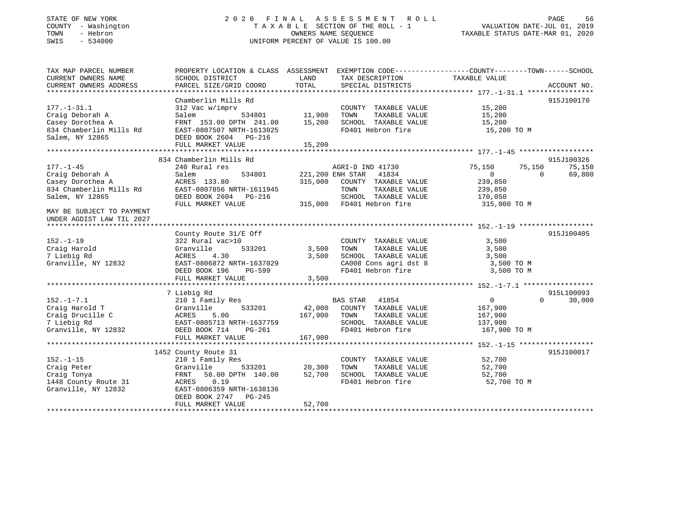#### STATE OF NEW YORK 2 0 2 0 F I N A L A S S E S S M E N T R O L L PAGE 56 COUNTY - Washington T A X A B L E SECTION OF THE ROLL - 1 VALUATION DATE-JUL 01, 2019 TOWN - Hebron OWNERS NAME SEQUENCE TAXABLE STATUS DATE-MAR 01, 2020 SWIS - 534000 UNIFORM PERCENT OF VALUE IS 100.00

| TAX MAP PARCEL NUMBER              | PROPERTY LOCATION & CLASS ASSESSMENT EXEMPTION CODE----------------COUNTY-------TOWN------SCHOOL |                        |                                           |                    |                    |
|------------------------------------|--------------------------------------------------------------------------------------------------|------------------------|-------------------------------------------|--------------------|--------------------|
| CURRENT OWNERS NAME                | SCHOOL DISTRICT                                                                                  | LAND                   | TAX DESCRIPTION                           | TAXABLE VALUE      |                    |
| CURRENT OWNERS ADDRESS             | PARCEL SIZE/GRID COORD                                                                           | TOTAL                  | SPECIAL DISTRICTS                         |                    | ACCOUNT NO.        |
|                                    | Chamberlin Mills Rd                                                                              |                        |                                           |                    |                    |
| $177. - 1 - 31.1$                  | 312 Vac w/imprv                                                                                  |                        | COUNTY TAXABLE VALUE                      | 15,200             | 915J100170         |
| Craig Deborah A                    | Salem<br>534801                                                                                  | 11,900                 | TOWN<br>TAXABLE VALUE                     | 15,200             |                    |
| Casey Dorothea A                   | FRNT 153.00 DPTH 241.00                                                                          | 15,200                 | SCHOOL TAXABLE VALUE                      | 15,200             |                    |
| 834 Chamberlin Mills Rd            | EAST-0807507 NRTH-1613025                                                                        |                        | FD401 Hebron fire                         | 15,200 TO M        |                    |
| Salem, NY 12865                    | DEED BOOK 2604 PG-216                                                                            |                        |                                           |                    |                    |
|                                    | FULL MARKET VALUE                                                                                | 15,200                 |                                           |                    |                    |
|                                    |                                                                                                  |                        |                                           |                    |                    |
|                                    | 834 Chamberlin Mills Rd                                                                          |                        |                                           |                    | 915J100326         |
| $177. - 1 - 45$                    | 240 Rural res                                                                                    |                        | AGRI-D IND 41730                          | 75,150<br>75,150   | 75,150             |
| Craig Deborah A                    | 534801<br>Salem                                                                                  |                        | 41834<br>221,200 ENH STAR                 | $\Omega$           | $\Omega$<br>69,800 |
| Casey Dorothea A                   | ACRES 133.80                                                                                     | 315,000                | COUNTY TAXABLE VALUE                      | 239,850            |                    |
| 834 Chamberlin Mills Rd            | EAST-0807856 NRTH-1611945                                                                        |                        | TOWN<br>TAXABLE VALUE                     | 239,850            |                    |
| Salem, NY 12865                    | DEED BOOK 2604 PG-216                                                                            |                        | SCHOOL TAXABLE VALUE                      | 170,050            |                    |
|                                    | FULL MARKET VALUE                                                                                |                        | 315,000 FD401 Hebron fire                 | 315,000 TO M       |                    |
| MAY BE SUBJECT TO PAYMENT          |                                                                                                  |                        |                                           |                    |                    |
| UNDER AGDIST LAW TIL 2027          |                                                                                                  |                        |                                           |                    |                    |
|                                    |                                                                                                  |                        |                                           |                    |                    |
|                                    | County Route 31/E Off                                                                            |                        |                                           |                    | 915J100405         |
| $152. - 1 - 19$                    | 322 Rural vac>10                                                                                 |                        | COUNTY TAXABLE VALUE                      | 3,500              |                    |
| Craig Harold                       | 533201<br>Granville                                                                              | 3,500                  | TOWN<br>TAXABLE VALUE                     | 3,500              |                    |
| 7 Liebig Rd                        | 4.30<br>ACRES                                                                                    | 3,500                  | SCHOOL TAXABLE VALUE                      | 3,500              |                    |
| Granville, NY 12832                | EAST-0806872 NRTH-1637029                                                                        |                        | CA008 Cons agri dst 8                     | 3,500 TO M         |                    |
|                                    | DEED BOOK 196<br>PG-599                                                                          |                        | FD401 Hebron fire                         | 3,500 TO M         |                    |
|                                    | FULL MARKET VALUE                                                                                | 3,500                  |                                           |                    |                    |
|                                    |                                                                                                  |                        |                                           |                    |                    |
|                                    | 7 Liebig Rd                                                                                      |                        |                                           |                    | 915L100093         |
| $152. - 1 - 7.1$                   | 210 1 Family Res                                                                                 |                        | <b>BAS STAR</b><br>41854                  | $\overline{0}$     | $\Omega$<br>30,000 |
| Craig Harold T                     | 533201<br>Granville                                                                              | 42,000<br>167,900 TOWN | COUNTY TAXABLE VALUE                      | 167,900            |                    |
| Craig Drucille C                   | ACRES<br>5.00                                                                                    |                        | TAXABLE VALUE                             | 167,900<br>137,900 |                    |
| 7 Liebig Rd<br>Granville, NY 12832 | EAST-0805713 NRTH-1637759<br>DEED BOOK 714<br>PG-261                                             |                        | SCHOOL TAXABLE VALUE<br>FD401 Hebron fire | 167,900 TO M       |                    |
|                                    | FULL MARKET VALUE                                                                                | 167,900                |                                           |                    |                    |
|                                    |                                                                                                  |                        |                                           |                    |                    |
|                                    | 1452 County Route 31                                                                             |                        |                                           |                    | 915J100017         |
| $152. - 1 - 15$                    | 210 1 Family Res                                                                                 |                        | COUNTY TAXABLE VALUE                      | 52,700             |                    |
| Craig Peter                        | Granville<br>533201                                                                              | 20,300                 | TOWN<br>TAXABLE VALUE                     | 52,700             |                    |
| Craig Tonya                        | 58.00 DPTH 140.00<br>FRNT                                                                        | 52,700                 | SCHOOL TAXABLE VALUE                      | 52,700             |                    |
| 1448 County Route 31               | 0.19<br>ACRES                                                                                    |                        | FD401 Hebron fire                         | 52,700 TO M        |                    |
| Granville, NY 12832                | EAST-0806359 NRTH-1638136                                                                        |                        |                                           |                    |                    |
|                                    | DEED BOOK 2747 PG-245                                                                            |                        |                                           |                    |                    |
|                                    | FULL MARKET VALUE                                                                                | 52,700                 |                                           |                    |                    |
|                                    |                                                                                                  |                        |                                           |                    |                    |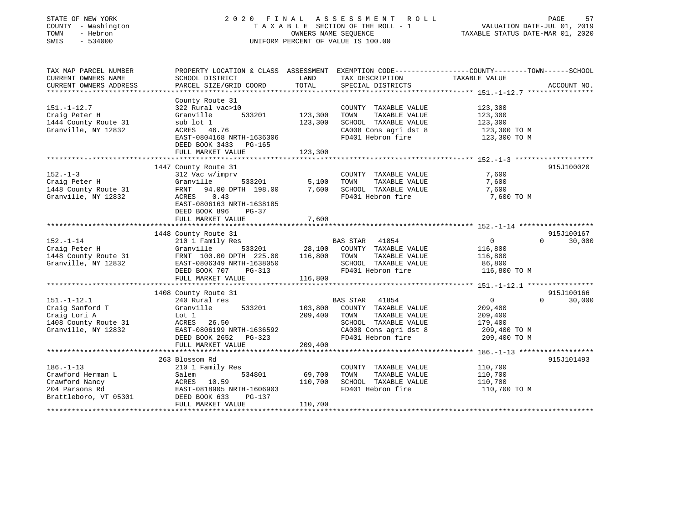| STATE OF NEW YORK<br>COUNTY - Washington<br>- Hebron<br>TOWN<br>SWIS<br>$-534000$ | 2020 FINAL                                   |         | A S S E S S M E N T<br>R O L L<br>TAXABLE SECTION OF THE ROLL - 1<br>OWNERS NAME SEOUENCE<br>UNIFORM PERCENT OF VALUE IS 100.00 | PAGE<br>57<br>VALUATION DATE-JUL 01, 2019<br>TAXABLE STATUS DATE-MAR 01, 2020                                    |
|-----------------------------------------------------------------------------------|----------------------------------------------|---------|---------------------------------------------------------------------------------------------------------------------------------|------------------------------------------------------------------------------------------------------------------|
| TAX MAP PARCEL NUMBER<br>CURRENT OWNERS NAME                                      | SCHOOL DISTRICT                              | LAND    | TAX DESCRIPTION                                                                                                                 | PROPERTY LOCATION & CLASS ASSESSMENT EXEMPTION CODE---------------COUNTY-------TOWN------SCHOOL<br>TAXABLE VALUE |
| CURRENT OWNERS ADDRESS                                                            | PARCEL SIZE/GRID COORD                       | TOTAL   | SPECIAL DISTRICTS                                                                                                               | ACCOUNT NO.                                                                                                      |
|                                                                                   | County Route 31                              |         |                                                                                                                                 |                                                                                                                  |
| $151. - 1 - 12.7$                                                                 | 322 Rural vac>10                             |         | COUNTY TAXABLE VALUE                                                                                                            | 123,300                                                                                                          |
| Craig Peter H                                                                     | 533201<br>Granville                          | 123,300 | TOWN<br>TAXABLE VALUE                                                                                                           | 123,300                                                                                                          |
| 1444 County Route 31<br>Granville, NY 12832                                       | sub lot 1<br>ACRES 46.76                     | 123,300 | SCHOOL TAXABLE VALUE<br>CA008 Cons agri dst 8                                                                                   | 123,300<br>123,300 TO M                                                                                          |
|                                                                                   | EAST-0804168 NRTH-1636306                    |         | FD401 Hebron fire                                                                                                               | 123,300 TO M                                                                                                     |
|                                                                                   | DEED BOOK 3433 PG-165                        |         |                                                                                                                                 |                                                                                                                  |
|                                                                                   | FULL MARKET VALUE                            | 123,300 |                                                                                                                                 |                                                                                                                  |
|                                                                                   | 1447 County Route 31                         |         |                                                                                                                                 | 915J100020                                                                                                       |
| $152. - 1 - 3$                                                                    | 312 Vac w/imprv                              |         | COUNTY TAXABLE VALUE                                                                                                            | 7,600                                                                                                            |
| Craig Peter H                                                                     | Granville<br>533201                          | 5,100   | TOWN<br>TAXABLE VALUE                                                                                                           | 7,600                                                                                                            |
| 1448 County Route 31                                                              | FRNT 94.00 DPTH 198.00                       | 7,600   | SCHOOL TAXABLE VALUE                                                                                                            | 7,600                                                                                                            |
| Granville, NY 12832                                                               | 0.43<br>ACRES<br>EAST-0806163 NRTH-1638185   |         | FD401 Hebron fire                                                                                                               | 7,600 TO M                                                                                                       |
|                                                                                   | DEED BOOK 896<br>PG-37                       |         |                                                                                                                                 |                                                                                                                  |
|                                                                                   | FULL MARKET VALUE                            | 7,600   |                                                                                                                                 |                                                                                                                  |
|                                                                                   |                                              |         |                                                                                                                                 |                                                                                                                  |
| $152. - 1 - 14$                                                                   | 1448 County Route 31<br>210 1 Family Res     |         | BAS STAR 41854                                                                                                                  | 915J100167<br>$\overline{0}$<br>$\Omega$<br>30,000                                                               |
| Craig Peter H                                                                     | Granville<br>533201                          |         | 28,100 COUNTY TAXABLE VALUE                                                                                                     | 116,800                                                                                                          |
| 1448 County Route 31                                                              | FRNT 100.00 DPTH 225.00                      | 116,800 | TOWN<br>TAXABLE VALUE                                                                                                           | 116,800                                                                                                          |
| Granville, NY 12832                                                               | EAST-0806349 NRTH-1638050                    |         | SCHOOL TAXABLE VALUE                                                                                                            | 86,800                                                                                                           |
|                                                                                   | DEED BOOK 707<br>PG-313                      |         | FD401 Hebron fire                                                                                                               | 116,800 TO M                                                                                                     |
|                                                                                   | FULL MARKET VALUE                            | 116,800 |                                                                                                                                 |                                                                                                                  |
|                                                                                   | 1408 County Route 31                         |         |                                                                                                                                 | 915J100166                                                                                                       |
| $151. - 1 - 12.1$                                                                 | 240 Rural res                                |         | BAS STAR 41854                                                                                                                  | $\overline{0}$<br>$\Omega$<br>30,000                                                                             |
| Craig Sanford T                                                                   | Granville<br>533201                          | 103,800 | COUNTY TAXABLE VALUE                                                                                                            | 209,400                                                                                                          |
| Craig Lori A<br>1408 County Route 31                                              | Lot 1<br>26.50<br>ACRES                      | 209,400 | TOWN<br>TAXABLE VALUE<br>SCHOOL TAXABLE VALUE                                                                                   | 209,400<br>179,400                                                                                               |
| Granville, NY 12832                                                               | EAST-0806199 NRTH-1636592                    |         | CA008 Cons agri dst 8                                                                                                           | 209,400 TO M                                                                                                     |
|                                                                                   | DEED BOOK 2652<br>PG-323                     |         | FD401 Hebron fire                                                                                                               | 209,400 TO M                                                                                                     |
|                                                                                   | FULL MARKET VALUE                            | 209,400 |                                                                                                                                 |                                                                                                                  |
|                                                                                   | 263 Blossom Rd                               |         |                                                                                                                                 | 915J101493                                                                                                       |
| $186. - 1 - 13$                                                                   | 210 1 Family Res                             |         | COUNTY TAXABLE VALUE                                                                                                            | 110,700                                                                                                          |
| Crawford Herman L                                                                 | 534801<br>Salem                              | 69,700  | TOWN<br>TAXABLE VALUE                                                                                                           | 110,700                                                                                                          |
| Crawford Nancy                                                                    | ACRES<br>10.59                               | 110,700 | SCHOOL TAXABLE VALUE                                                                                                            | 110,700                                                                                                          |
| 204 Parsons Rd                                                                    | EAST-0818905 NRTH-1606903                    |         | FD401 Hebron fire                                                                                                               | 110,700 TO M                                                                                                     |
| Brattleboro, VT 05301                                                             | DEED BOOK 633<br>PG-137<br>FULL MARKET VALUE | 110,700 |                                                                                                                                 |                                                                                                                  |
|                                                                                   |                                              |         |                                                                                                                                 |                                                                                                                  |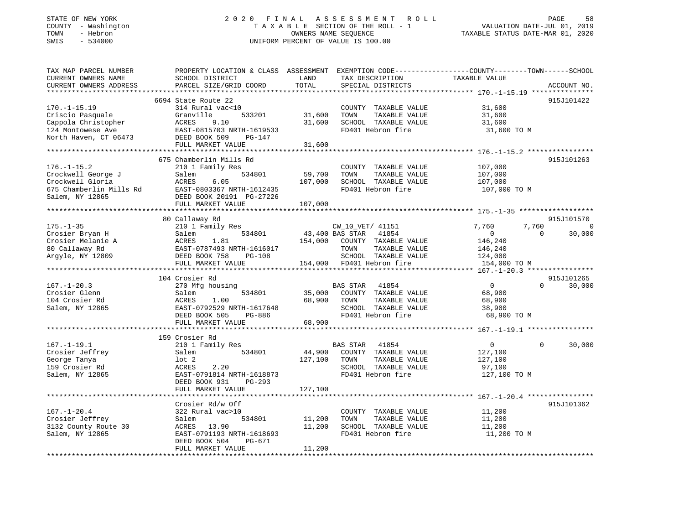#### STATE OF NEW YORK 2 0 2 0 F I N A L A S S E S S M E N T R O L L PAGE 58 COUNTY - Washington T A X A B L E SECTION OF THE ROLL - 1 VALUATION DATE-JUL 01, 2019 TOWN - Hebron OWNERS NAME SEQUENCE TAXABLE STATUS DATE-MAR 01, 2020 SWIS - 534000 UNIFORM PERCENT OF VALUE IS 100.00

| TAX MAP PARCEL NUMBER<br>CURRENT OWNERS NAME<br>CURRENT OWNERS ADDRESS | PROPERTY LOCATION & CLASS ASSESSMENT<br>SCHOOL DISTRICT<br>PARCEL SIZE/GRID COORD | LAND<br>TOTAL               | EXEMPTION CODE-----------------COUNTY-------TOWN------SCHOOL<br>TAX DESCRIPTION<br>SPECIAL DISTRICTS | TAXABLE VALUE                          | ACCOUNT NO.            |
|------------------------------------------------------------------------|-----------------------------------------------------------------------------------|-----------------------------|------------------------------------------------------------------------------------------------------|----------------------------------------|------------------------|
| **********************                                                 | ************************                                                          | * * * * * * * * * * * * * * |                                                                                                      |                                        |                        |
|                                                                        | 6694 State Route 22                                                               |                             |                                                                                                      |                                        | 915J101422             |
| $170. - 1 - 15.19$                                                     | 314 Rural vac<10                                                                  |                             | COUNTY TAXABLE VALUE                                                                                 | 31,600                                 |                        |
| Criscio Pasquale                                                       | Granville<br>533201                                                               | 31,600                      | TOWN<br>TAXABLE VALUE                                                                                | 31,600                                 |                        |
| Cappola Christopher                                                    | ACRES<br>9.10                                                                     | 31,600                      | SCHOOL TAXABLE VALUE                                                                                 | 31,600                                 |                        |
| 124 Montowese Ave                                                      | EAST-0815703 NRTH-1619533                                                         |                             | FD401 Hebron fire                                                                                    | 31,600 TO M                            |                        |
| North Haven, CT 06473                                                  | DEED BOOK 509<br>PG-147                                                           |                             |                                                                                                      |                                        |                        |
|                                                                        | FULL MARKET VALUE                                                                 | 31,600                      |                                                                                                      |                                        |                        |
|                                                                        |                                                                                   |                             |                                                                                                      |                                        |                        |
|                                                                        | 675 Chamberlin Mills Rd                                                           |                             |                                                                                                      |                                        | 915J101263             |
| $176. - 1 - 15.2$                                                      | 210 1 Family Res                                                                  |                             | COUNTY TAXABLE VALUE                                                                                 | 107,000                                |                        |
| Crockwell George J                                                     | 534801<br>Salem                                                                   | 59,700                      | TOWN<br>TAXABLE VALUE                                                                                | 107,000                                |                        |
| Crockwell Gloria                                                       | ACRES<br>6.05                                                                     | 107,000                     | SCHOOL TAXABLE VALUE                                                                                 | 107,000                                |                        |
| 675 Chamberlin Mills Rd                                                | EAST-0803367 NRTH-1612435                                                         |                             | FD401 Hebron fire                                                                                    | 107,000 TO M                           |                        |
| Salem, NY 12865                                                        | DEED BOOK 20191 PG-27226                                                          |                             |                                                                                                      |                                        |                        |
| **********************                                                 | FULL MARKET VALUE                                                                 | 107,000                     |                                                                                                      |                                        |                        |
|                                                                        |                                                                                   |                             |                                                                                                      |                                        |                        |
|                                                                        | 80 Callaway Rd                                                                    |                             |                                                                                                      |                                        | 915J101570             |
| $175. - 1 - 35$                                                        | 210 1 Family Res                                                                  |                             | CW_10_VET/ 41151                                                                                     | 7,760                                  | 7,760<br>- 0           |
| Crosier Bryan H                                                        | Salem<br>534801                                                                   |                             | 43,400 BAS STAR<br>41854                                                                             | $\circ$                                | $\Omega$<br>30,000     |
| Crosier Melanie A                                                      | 1.81<br>ACRES                                                                     | 154,000                     | COUNTY TAXABLE VALUE                                                                                 | 146,240                                |                        |
| 80 Callaway Rd                                                         | EAST-0787493 NRTH-1616017                                                         |                             | TAXABLE VALUE<br>TOWN                                                                                | 146,240                                |                        |
| Arqyle, NY 12809                                                       | DEED BOOK 758<br>$PG-108$                                                         |                             | SCHOOL TAXABLE VALUE                                                                                 | 124,000                                |                        |
|                                                                        | FULL MARKET VALUE<br>***********************                                      | 154,000                     | FD401 Hebron fire                                                                                    | 154,000 TO M                           |                        |
|                                                                        |                                                                                   |                             |                                                                                                      | *** $167. - 1 - 20.3$ **************** |                        |
| $167. - 1 - 20.3$                                                      | 104 Crosier Rd                                                                    |                             |                                                                                                      | $\mathbf 0$                            | 915J101265<br>$\Omega$ |
| Crosier Glenn                                                          | 270 Mfg housing                                                                   |                             | <b>BAS STAR</b><br>41854<br>COUNTY TAXABLE VALUE                                                     |                                        | 30,000                 |
| 104 Crosier Rd                                                         | Salem<br>534801<br><b>ACRES</b><br>1.00                                           | 35,000<br>68,900            | TOWN                                                                                                 | 68,900                                 |                        |
| Salem, NY 12865                                                        | EAST-0792529 NRTH-1617648                                                         |                             | TAXABLE VALUE<br>SCHOOL TAXABLE VALUE                                                                | 68,900<br>38,900                       |                        |
|                                                                        | DEED BOOK 505<br>PG-886                                                           |                             | FD401 Hebron fire                                                                                    | 68,900 TO M                            |                        |
|                                                                        | FULL MARKET VALUE                                                                 | 68,900                      |                                                                                                      |                                        |                        |
|                                                                        |                                                                                   |                             |                                                                                                      |                                        |                        |
|                                                                        | 159 Crosier Rd                                                                    |                             |                                                                                                      |                                        |                        |
| $167. - 1 - 19.1$                                                      | 210 1 Family Res                                                                  |                             | <b>BAS STAR</b><br>41854                                                                             | $\mathbf 0$                            | $\Omega$<br>30,000     |
| Crosier Jeffrey                                                        | 534801<br>Salem                                                                   | 44,900                      | COUNTY TAXABLE VALUE                                                                                 | 127,100                                |                        |
| George Tanya                                                           | $1$ ot $2$                                                                        | 127,100                     | TOWN<br>TAXABLE VALUE                                                                                | 127,100                                |                        |
| 159 Crosier Rd                                                         | ACRES<br>2.20                                                                     |                             | SCHOOL TAXABLE VALUE                                                                                 | 97,100                                 |                        |
| Salem, NY 12865                                                        | EAST-0791814 NRTH-1618873                                                         |                             | FD401 Hebron fire                                                                                    | 127,100 TO M                           |                        |
|                                                                        | DEED BOOK 931<br>$PG-293$                                                         |                             |                                                                                                      |                                        |                        |
|                                                                        | FULL MARKET VALUE                                                                 | 127,100                     |                                                                                                      |                                        |                        |
|                                                                        |                                                                                   | ***************             |                                                                                                      |                                        |                        |
|                                                                        | Crosier Rd/w Off                                                                  |                             |                                                                                                      |                                        | 915J101362             |
| $167. - 1 - 20.4$                                                      | 322 Rural vac>10                                                                  |                             | COUNTY TAXABLE VALUE                                                                                 | 11,200                                 |                        |
| Crosier Jeffrey                                                        | 534801<br>Salem                                                                   | 11,200                      | TOWN<br>TAXABLE VALUE                                                                                | 11,200                                 |                        |
| 3132 County Route 30                                                   | 13.90<br>ACRES                                                                    | 11,200                      | SCHOOL TAXABLE VALUE                                                                                 | 11,200                                 |                        |
| Salem, NY 12865                                                        | EAST-0791193 NRTH-1618693                                                         |                             | FD401 Hebron fire                                                                                    | 11,200 TO M                            |                        |
|                                                                        | DEED BOOK 504<br>PG-671                                                           |                             |                                                                                                      |                                        |                        |
|                                                                        | FULL MARKET VALUE                                                                 | 11,200                      |                                                                                                      |                                        |                        |
|                                                                        |                                                                                   |                             |                                                                                                      |                                        |                        |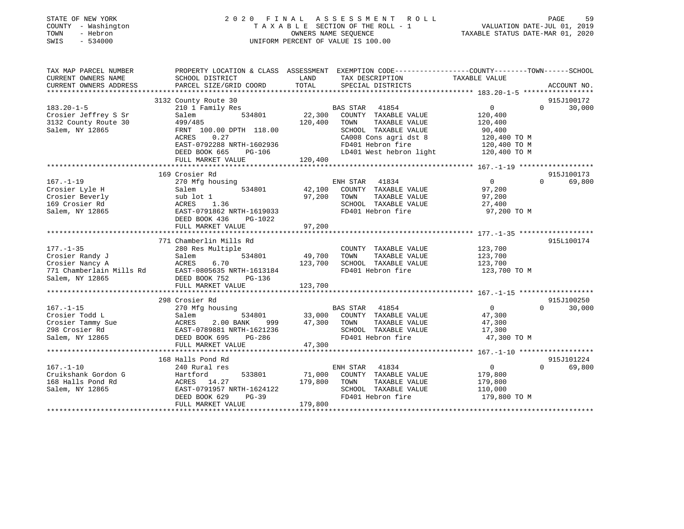| STATE OF NEW YORK<br>COUNTY - Washington<br>TOWN<br>- Hebron<br>$-534000$<br>SWIS | 2020 FINAL                        |         | ASSESSMENT ROLL<br>TAXABLE SECTION OF THE ROLL - 1<br>OWNERS NAME SEOUENCE<br>UNIFORM PERCENT OF VALUE IS 100.00   | VALUATION DATE-JUL 01, 2019<br>TAXABLE STATUS DATE-MAR 01, 2020 | PAGE<br>59                       |
|-----------------------------------------------------------------------------------|-----------------------------------|---------|--------------------------------------------------------------------------------------------------------------------|-----------------------------------------------------------------|----------------------------------|
| TAX MAP PARCEL NUMBER<br>CURRENT OWNERS NAME                                      | SCHOOL DISTRICT                   | LAND    | PROPERTY LOCATION & CLASS ASSESSMENT EXEMPTION CODE----------------COUNTY-------TOWN-----SCHOOL<br>TAX DESCRIPTION | TAXABLE VALUE                                                   |                                  |
| CURRENT OWNERS ADDRESS                                                            | PARCEL SIZE/GRID COORD            | TOTAL   | SPECIAL DISTRICTS                                                                                                  |                                                                 | ACCOUNT NO.                      |
|                                                                                   |                                   |         |                                                                                                                    |                                                                 |                                  |
|                                                                                   | 3132 County Route 30              |         |                                                                                                                    |                                                                 | 915J100172                       |
| $183.20 - 1 - 5$<br>Crosier Jeffrey S Sr                                          | 210 1 Family Res<br>534801        | 22,300  | BAS STAR 41854<br>COUNTY TAXABLE VALUE                                                                             | $\overline{0}$                                                  | 30,000<br>$\Omega$               |
| 3132 County Route 30                                                              | Salem<br>499/485                  | 120,400 | TAXABLE VALUE<br>TOWN                                                                                              | 120,400<br>120,400                                              |                                  |
| Salem, NY 12865                                                                   | FRNT 100.00 DPTH 118.00           |         | SCHOOL TAXABLE VALUE                                                                                               | 90,400                                                          |                                  |
|                                                                                   | ACRES<br>0.27                     |         | CA008 Cons agri dst 8                                                                                              | 120,400 TO M                                                    |                                  |
|                                                                                   | EAST-0792288 NRTH-1602936         |         | FD401 Hebron fire                                                                                                  | 120,400 TO M                                                    |                                  |
|                                                                                   | DEED BOOK 665<br>PG-106           |         | LD401 West hebron light                                                                                            | 120,400 TO M                                                    |                                  |
|                                                                                   | FULL MARKET VALUE                 | 120,400 |                                                                                                                    |                                                                 |                                  |
|                                                                                   |                                   |         |                                                                                                                    |                                                                 |                                  |
| $167. - 1 - 19$                                                                   | 169 Crosier Rd<br>270 Mfg housing |         | ENH STAR<br>41834                                                                                                  | $\overline{0}$                                                  | 915J100173<br>$\Omega$<br>69,800 |
| Crosier Lyle H                                                                    | Salem<br>534801                   | 42,100  | COUNTY TAXABLE VALUE                                                                                               | 97,200                                                          |                                  |
| Crosier Beverly                                                                   | sub lot 1                         | 97,200  | TOWN<br>TAXABLE VALUE                                                                                              | 97,200                                                          |                                  |
| 169 Crosier Rd                                                                    | ACRES<br>1.36                     |         | SCHOOL TAXABLE VALUE                                                                                               | 27,400                                                          |                                  |
| Salem, NY 12865                                                                   | EAST-0791862 NRTH-1619033         |         | FD401 Hebron fire                                                                                                  | 97,200 TO M                                                     |                                  |
|                                                                                   | DEED BOOK 436<br>PG-1022          |         |                                                                                                                    |                                                                 |                                  |
|                                                                                   | FULL MARKET VALUE                 | 97,200  |                                                                                                                    |                                                                 |                                  |
|                                                                                   | 771 Chamberlin Mills Rd           |         |                                                                                                                    |                                                                 | 915L100174                       |
| $177. - 1 - 35$                                                                   | 280 Res Multiple                  |         | COUNTY TAXABLE VALUE                                                                                               | 123,700                                                         |                                  |
|                                                                                   | 534801<br>Salem                   | 49,700  | TAXABLE VALUE<br>TOWN                                                                                              | 123,700                                                         |                                  |
|                                                                                   | ACRES<br>6.70                     | 123,700 | SCHOOL TAXABLE VALUE                                                                                               | 123,700                                                         |                                  |
|                                                                                   | EAST-0805635 NRTH-1613184         |         | FD401 Hebron fire                                                                                                  | 123,700 TO M                                                    |                                  |
| conner Nancy A<br>771 Chamberlain Mills Rd<br>Salem, NY 12865                     | DEED BOOK 752<br>PG-136           |         |                                                                                                                    |                                                                 |                                  |
|                                                                                   | FULL MARKET VALUE                 | 123,700 |                                                                                                                    |                                                                 |                                  |
|                                                                                   | 298 Crosier Rd                    |         |                                                                                                                    |                                                                 | 915J100250                       |
| $167. - 1 - 15$                                                                   | 270 Mfg housing                   |         | BAS STAR 41854                                                                                                     | $\overline{0}$                                                  | 30,000<br>$\Omega$               |
| Crosier Todd L                                                                    | Salem<br>534801                   | 33,000  | COUNTY TAXABLE VALUE                                                                                               | 47,300                                                          |                                  |
| Crosier Tammy Sue                                                                 | ACRES<br>2.00 BANK<br>999         | 47,300  | TOWN<br>TAXABLE VALUE                                                                                              | 47,300                                                          |                                  |
| 298 Crosier Rd                                                                    | EAST-0789881 NRTH-1621236         |         | SCHOOL TAXABLE VALUE                                                                                               | 17,300                                                          |                                  |
| Salem, NY 12865                                                                   | DEED BOOK 695<br>PG-286           |         | FD401 Hebron fire                                                                                                  | 47,300 TO M                                                     |                                  |
|                                                                                   | FULL MARKET VALUE                 | 47,300  |                                                                                                                    |                                                                 |                                  |
|                                                                                   | 168 Halls Pond Rd                 |         |                                                                                                                    |                                                                 | 915J101224                       |
| $167. - 1 - 10$                                                                   | 240 Rural res                     |         | ENH STAR<br>41834                                                                                                  | $\overline{0}$                                                  | $\Omega$<br>69,800               |
| Cruikshank Gordon G                                                               | 533801<br>Hartford                | 71,000  | COUNTY TAXABLE VALUE                                                                                               | 179,800                                                         |                                  |
| 168 Halls Pond Rd                                                                 | ACRES 14.27                       | 179,800 | TAXABLE VALUE<br>TOWN                                                                                              | 179,800                                                         |                                  |
| Salem, NY 12865                                                                   | EAST-0791957 NRTH-1624122         |         | SCHOOL TAXABLE VALUE                                                                                               | 110,000                                                         |                                  |
|                                                                                   | DEED BOOK 629<br>$PG-39$          |         | FD401 Hebron fire                                                                                                  | 179,800 TO M                                                    |                                  |
|                                                                                   | FULL MARKET VALUE                 | 179,800 |                                                                                                                    |                                                                 |                                  |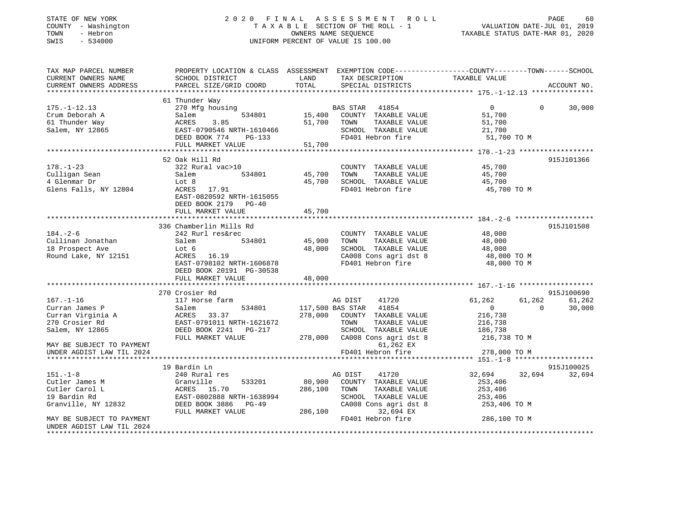| STATE OF NEW YORK   | 2020 FINAL ASSESSMENT ROLL         | -60<br>PAGE                      |
|---------------------|------------------------------------|----------------------------------|
| COUNTY - Washington | TAXABLE SECTION OF THE ROLL - 1    | VALUATION DATE-JUL 01, 2019      |
| TOWN<br>- Hebron    | OWNERS NAME SEOUENCE               | TAXABLE STATUS DATE-MAR 01, 2020 |
| SWIS - 534000       | UNIFORM PERCENT OF VALUE IS 100.00 |                                  |
|                     |                                    |                                  |
|                     |                                    |                                  |

| CURRENT OWNERS NAME<br>SCHOOL DISTRICT<br>LAND<br>TAX DESCRIPTION<br>TAXABLE VALUE<br>TOTAL<br>CURRENT OWNERS ADDRESS<br>PARCEL SIZE/GRID COORD<br>SPECIAL DISTRICTS<br>ACCOUNT NO.<br>61 Thunder Way<br>$175. - 1 - 12.13$<br>270 Mfg housing<br>$\overline{0}$<br>$\Omega$<br>30,000<br>BAS STAR 41854<br>15,400 COUNTY TAXABLE VALUE<br>534801<br>Crum Deborah A<br>Salem<br>51,700<br>ACRES 3.85<br>EAST-0790546 NRTH-1610466<br>AST-070774 PG-133<br>61 Thunder Way<br>51,700 TOWN<br>TAXABLE VALUE<br>51,700<br>Salem, NY 12865<br>SCHOOL TAXABLE VALUE<br>21,700<br>FD401 Hebron fire<br>51,700 TO M<br>FULL MARKET VALUE<br>51,700<br>52 Oak Hill Rd<br>915J101366<br>$178. - 1 - 23$<br>322 Rural vac>10<br>45,700<br>COUNTY TAXABLE VALUE<br>534801<br>TAXABLE VALUE<br>Culligan Sean<br>Salem<br>45,700<br>4 Glenmar Dr<br>Lot 8<br>45,700<br>SCHOOL TAXABLE VALUE<br>45,700<br>Glens Falls, NY 12804<br>ACRES 17.91<br>FD401 Hebron fire<br>45,700 TO M<br>EAST-0820592 NRTH-1615055 |
|--------------------------------------------------------------------------------------------------------------------------------------------------------------------------------------------------------------------------------------------------------------------------------------------------------------------------------------------------------------------------------------------------------------------------------------------------------------------------------------------------------------------------------------------------------------------------------------------------------------------------------------------------------------------------------------------------------------------------------------------------------------------------------------------------------------------------------------------------------------------------------------------------------------------------------------------------------------------------------------------------|
|                                                                                                                                                                                                                                                                                                                                                                                                                                                                                                                                                                                                                                                                                                                                                                                                                                                                                                                                                                                                  |
|                                                                                                                                                                                                                                                                                                                                                                                                                                                                                                                                                                                                                                                                                                                                                                                                                                                                                                                                                                                                  |
|                                                                                                                                                                                                                                                                                                                                                                                                                                                                                                                                                                                                                                                                                                                                                                                                                                                                                                                                                                                                  |
|                                                                                                                                                                                                                                                                                                                                                                                                                                                                                                                                                                                                                                                                                                                                                                                                                                                                                                                                                                                                  |
|                                                                                                                                                                                                                                                                                                                                                                                                                                                                                                                                                                                                                                                                                                                                                                                                                                                                                                                                                                                                  |
|                                                                                                                                                                                                                                                                                                                                                                                                                                                                                                                                                                                                                                                                                                                                                                                                                                                                                                                                                                                                  |
|                                                                                                                                                                                                                                                                                                                                                                                                                                                                                                                                                                                                                                                                                                                                                                                                                                                                                                                                                                                                  |
|                                                                                                                                                                                                                                                                                                                                                                                                                                                                                                                                                                                                                                                                                                                                                                                                                                                                                                                                                                                                  |
|                                                                                                                                                                                                                                                                                                                                                                                                                                                                                                                                                                                                                                                                                                                                                                                                                                                                                                                                                                                                  |
|                                                                                                                                                                                                                                                                                                                                                                                                                                                                                                                                                                                                                                                                                                                                                                                                                                                                                                                                                                                                  |
|                                                                                                                                                                                                                                                                                                                                                                                                                                                                                                                                                                                                                                                                                                                                                                                                                                                                                                                                                                                                  |
|                                                                                                                                                                                                                                                                                                                                                                                                                                                                                                                                                                                                                                                                                                                                                                                                                                                                                                                                                                                                  |
|                                                                                                                                                                                                                                                                                                                                                                                                                                                                                                                                                                                                                                                                                                                                                                                                                                                                                                                                                                                                  |
|                                                                                                                                                                                                                                                                                                                                                                                                                                                                                                                                                                                                                                                                                                                                                                                                                                                                                                                                                                                                  |
|                                                                                                                                                                                                                                                                                                                                                                                                                                                                                                                                                                                                                                                                                                                                                                                                                                                                                                                                                                                                  |
|                                                                                                                                                                                                                                                                                                                                                                                                                                                                                                                                                                                                                                                                                                                                                                                                                                                                                                                                                                                                  |
|                                                                                                                                                                                                                                                                                                                                                                                                                                                                                                                                                                                                                                                                                                                                                                                                                                                                                                                                                                                                  |
| DEED BOOK 2179 PG-40                                                                                                                                                                                                                                                                                                                                                                                                                                                                                                                                                                                                                                                                                                                                                                                                                                                                                                                                                                             |
| FULL MARKET VALUE<br>45,700                                                                                                                                                                                                                                                                                                                                                                                                                                                                                                                                                                                                                                                                                                                                                                                                                                                                                                                                                                      |
|                                                                                                                                                                                                                                                                                                                                                                                                                                                                                                                                                                                                                                                                                                                                                                                                                                                                                                                                                                                                  |
| 336 Chamberlin Mills Rd<br>915J101508                                                                                                                                                                                                                                                                                                                                                                                                                                                                                                                                                                                                                                                                                                                                                                                                                                                                                                                                                            |
| $184. - 2 - 6$<br>242 Rurl res&rec                                                                                                                                                                                                                                                                                                                                                                                                                                                                                                                                                                                                                                                                                                                                                                                                                                                                                                                                                               |
| COUNTY TAXABLE VALUE<br>48,000<br>45,900                                                                                                                                                                                                                                                                                                                                                                                                                                                                                                                                                                                                                                                                                                                                                                                                                                                                                                                                                         |
| TAXABLE VALUE 48,000<br>Cullinan Jonathan<br>534801<br>TOWN<br>Salem                                                                                                                                                                                                                                                                                                                                                                                                                                                                                                                                                                                                                                                                                                                                                                                                                                                                                                                             |
| 18 Prospect Ave<br>48,000<br>SCHOOL TAXABLE VALUE<br>Lot 6<br>48,000                                                                                                                                                                                                                                                                                                                                                                                                                                                                                                                                                                                                                                                                                                                                                                                                                                                                                                                             |
| 48,000 TO M<br>Round Lake, NY 12151<br>CA008 Cons agri dst 8<br>ACRES 16.19                                                                                                                                                                                                                                                                                                                                                                                                                                                                                                                                                                                                                                                                                                                                                                                                                                                                                                                      |
| EAST-0798102 NRTH-1606878<br>FD401 Hebron fire<br>48,000 TO M                                                                                                                                                                                                                                                                                                                                                                                                                                                                                                                                                                                                                                                                                                                                                                                                                                                                                                                                    |
| DEED BOOK 20191 PG-30538                                                                                                                                                                                                                                                                                                                                                                                                                                                                                                                                                                                                                                                                                                                                                                                                                                                                                                                                                                         |
| FULL MARKET VALUE<br>48,000                                                                                                                                                                                                                                                                                                                                                                                                                                                                                                                                                                                                                                                                                                                                                                                                                                                                                                                                                                      |
|                                                                                                                                                                                                                                                                                                                                                                                                                                                                                                                                                                                                                                                                                                                                                                                                                                                                                                                                                                                                  |
| 915J100690<br>270 Crosier Rd                                                                                                                                                                                                                                                                                                                                                                                                                                                                                                                                                                                                                                                                                                                                                                                                                                                                                                                                                                     |
| $167. - 1 - 16$<br>117 Horse farm<br>AG DIST<br>41720<br>61,262<br>61,262<br>61,262                                                                                                                                                                                                                                                                                                                                                                                                                                                                                                                                                                                                                                                                                                                                                                                                                                                                                                              |
| 117,500 BAS STAR 41854<br>Curran James P<br>Salem<br>534801<br>$\overline{0}$<br>$\Omega$<br>30,000                                                                                                                                                                                                                                                                                                                                                                                                                                                                                                                                                                                                                                                                                                                                                                                                                                                                                              |
| Curran Virginia A <a> ACRES 33.37<br/>278,000 COUNTY TAXABLE VALUE<br/>216,738</a>                                                                                                                                                                                                                                                                                                                                                                                                                                                                                                                                                                                                                                                                                                                                                                                                                                                                                                               |
| 270 Crosier Rd<br>EAST-0791011 NRTH-1621672<br>TOWN<br>TAXABLE VALUE<br>216,738                                                                                                                                                                                                                                                                                                                                                                                                                                                                                                                                                                                                                                                                                                                                                                                                                                                                                                                  |
| 186,738<br>DEED BOOK 2241 PG-217<br>SCHOOL TAXABLE VALUE<br>Salem, NY 12865                                                                                                                                                                                                                                                                                                                                                                                                                                                                                                                                                                                                                                                                                                                                                                                                                                                                                                                      |
| 278,000 CA008 Cons agri dst 8<br>FULL MARKET VALUE<br>216,738 TO M                                                                                                                                                                                                                                                                                                                                                                                                                                                                                                                                                                                                                                                                                                                                                                                                                                                                                                                               |
| 61,262 EX<br>MAY BE SUBJECT TO PAYMENT                                                                                                                                                                                                                                                                                                                                                                                                                                                                                                                                                                                                                                                                                                                                                                                                                                                                                                                                                           |
| FD401 Hebron fire<br>278,000 TO M<br>UNDER AGDIST LAW TIL 2024                                                                                                                                                                                                                                                                                                                                                                                                                                                                                                                                                                                                                                                                                                                                                                                                                                                                                                                                   |
|                                                                                                                                                                                                                                                                                                                                                                                                                                                                                                                                                                                                                                                                                                                                                                                                                                                                                                                                                                                                  |
| 19 Bardin Ln<br>915J100025                                                                                                                                                                                                                                                                                                                                                                                                                                                                                                                                                                                                                                                                                                                                                                                                                                                                                                                                                                       |
| 32,694 32,694<br>$151. - 1 - 8$<br>240 Rural res<br>AG DIST<br>41720<br>32,694                                                                                                                                                                                                                                                                                                                                                                                                                                                                                                                                                                                                                                                                                                                                                                                                                                                                                                                   |
| 533201<br>80,900 COUNTY TAXABLE VALUE<br>Granville<br>253,406<br>Cutler James M                                                                                                                                                                                                                                                                                                                                                                                                                                                                                                                                                                                                                                                                                                                                                                                                                                                                                                                  |
| ACRES 15.70<br>286,100 TOWN<br>Cutler Carol L<br>TAXABLE VALUE<br>253,406                                                                                                                                                                                                                                                                                                                                                                                                                                                                                                                                                                                                                                                                                                                                                                                                                                                                                                                        |
|                                                                                                                                                                                                                                                                                                                                                                                                                                                                                                                                                                                                                                                                                                                                                                                                                                                                                                                                                                                                  |
|                                                                                                                                                                                                                                                                                                                                                                                                                                                                                                                                                                                                                                                                                                                                                                                                                                                                                                                                                                                                  |
| 19 Bardin Rd<br>EAST-0802888 NRTH-1638994<br>SCHOOL TAXABLE VALUE<br>253,406                                                                                                                                                                                                                                                                                                                                                                                                                                                                                                                                                                                                                                                                                                                                                                                                                                                                                                                     |
| Granville, NY 12832<br>CA008 Cons agri dst 8<br>DEED BOOK 3886 PG-49<br>253,406 TO M                                                                                                                                                                                                                                                                                                                                                                                                                                                                                                                                                                                                                                                                                                                                                                                                                                                                                                             |
| 286,100<br>32,694 EX<br>FULL MARKET VALUE                                                                                                                                                                                                                                                                                                                                                                                                                                                                                                                                                                                                                                                                                                                                                                                                                                                                                                                                                        |
| FD401 Hebron fire<br>286,100 TO M<br>MAY BE SUBJECT TO PAYMENT<br>UNDER AGDIST LAW TIL 2024                                                                                                                                                                                                                                                                                                                                                                                                                                                                                                                                                                                                                                                                                                                                                                                                                                                                                                      |

GE 60<br>01, 2019<br>01, 2020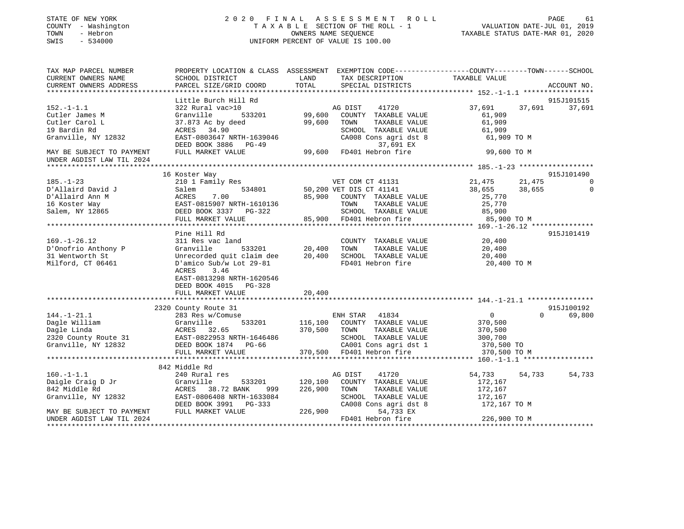| STATE OF NEW YORK |              |
|-------------------|--------------|
| COUNTY            | - Washington |
| TOWN              | - Hebron     |
| SWTS              | $-534000$    |

#### STATE OF NEW YORK 2 0 2 0 F I N A L A S S E S S M E N T R O L L PAGE 61 COUNTY - Washington T A X A B L E SECTION OF THE ROLL - 1 VALUATION DATE-JUL 01, 2019 TOWN - Hebron OWNERS NAME SEQUENCE TAXABLE STATUS DATE-MAR 01, 2020 SWIS - 534000 UNIFORM PERCENT OF VALUE IS 100.00

| Little Burch Hill Rd<br>915J101515<br>322 Rural vac>10<br>$152.-1-1.1$<br>AG DIST<br>41720<br>37,691<br>37,691 37,691<br>533201 99,600<br>Granville<br>COUNTY TAXABLE VALUE<br>61,909<br>Cutler James M<br>Cutler Carol L<br>37.873 Ac by deed<br>99,600<br>TOWN<br>TAXABLE VALUE<br>61,909<br>19 Bardin Rd<br>ACRES 34.90<br>SCHOOL TAXABLE VALUE<br>61,909<br>Granville, NY 12832<br>EAST-0803647 NRTH-1639046<br>CA008 Cons agri dst 8<br>61,909 TO M<br>37,691 EX<br>DEED BOOK 3886 PG-49<br>99,600 FD401 Hebron fire<br>MAY BE SUBJECT TO PAYMENT<br>FULL MARKET VALUE<br>99,600 TO M<br>UNDER AGDIST LAW TIL 2024<br>915J101490<br>16 Koster Way<br>210 1 Family Res<br>VET COM CT 41131<br>21,475<br>38,655<br>21,475<br>$185. - 1 - 23$<br>534801 50,200 VET DIS CT 41141<br>D'Allaird David J<br>Salem<br>38,655<br>$\overline{0}$<br>D'Allaird Ann M<br>85,900<br>ACRES 7.00<br>EAST-0815907 NRTH-1610136<br>COUNTY TAXABLE VALUE<br>25,770<br>16 Koster Way<br>TOWN<br>TAXABLE VALUE<br>25,770<br>Salem, NY 12865<br>SCHOOL TAXABLE VALUE 85,900<br>DEED BOOK 3337 PG-322<br>85,900 FD401 Hebron fire<br>FULL MARKET VALUE<br>85,900 TO M<br>Pine Hill Rd<br>915J101419<br>20,400<br>$169. - 1 - 26.12$<br>311 Res vac land<br>Granville 533201 20,400<br>COUNTY TAXABLE VALUE<br>TOWN<br>D'Onofrio Anthony P<br>TAXABLE VALUE<br>20,400<br>Unrecorded quit claim dee 20,400<br>31 Wentworth St<br>SCHOOL TAXABLE VALUE<br>20,400<br>Milford, CT 06461<br>FD401 Hebron fire<br>D'amico Sub/w Lot 29-81<br>20,400 TO M<br>ACRES<br>3.46<br>EAST-0813298 NRTH-1620546<br>DEED BOOK 4015 PG-328<br>20,400<br>FULL MARKET VALUE<br>2320 County Route 31<br>915J100192<br>0<br>$144. - 1 - 21.1$<br>283 Res w/Comuse<br>ENH STAR 41834<br>$\Omega$<br>69,800<br>533201 116,100<br>COUNTY TAXABLE VALUE<br>370,500<br>144.-1-21.1<br>Dagle William (1997)<br>Dagle Linda (1998)<br>2320 County Route 31 (1998)<br>2320 CASS (1998)<br>2320 DEED BOOK 1874 PG-66<br>2010 CASS (1999)<br>2010 CASS (1999)<br>2010 CASS (1999)<br>2010 CASS (1999)<br>2010 CASS (1999)<br>201<br>370,500<br>TAXABLE VALUE<br>TOWN<br>370,500<br>SCHOOL TAXABLE VALUE<br>300,700<br>CA001 Cons agri dst 1<br>370,500 TO<br>370,500 FD401 Hebron fire<br>FULL MARKET VALUE<br>370,500 TO M<br>842 Middle Rd<br>$160. - 1 - 1.1$<br>54,733<br>240 Rural res<br>AG DIST<br>41720<br>54,733<br>54,733<br>Daigle Craig D Jr<br>842 Middle Rd<br>Granville<br>533201<br>120,100<br>COUNTY TAXABLE VALUE<br>172,167<br>842 Middle Rd<br>226,900<br>ACRES 38.72 BANK<br>TOWN<br>TAXABLE VALUE<br>172,167<br>999<br>Granville, NY 12832<br>172,167<br>EAST-0806408 NRTH-1633084<br>SCHOOL TAXABLE VALUE<br>DEED BOOK 3991 PG-333<br>CA008 Cons agri dst 8<br>172,167 TO M<br>226,900<br>FULL MARKET VALUE<br>54,733 EX<br>MAY BE SUBJECT TO PAYMENT<br>UNDER AGDIST LAW TIL 2024<br>FD401 Hebron fire<br>226,900 TO M<br>********************* | TAX MAP PARCEL NUMBER<br>CURRENT OWNERS NAME<br>CURRENT OWNERS ADDRESS | PROPERTY LOCATION & CLASS ASSESSMENT EXEMPTION CODE----------------COUNTY-------TOWN------SCHOOL<br>SCHOOL DISTRICT<br>PARCEL SIZE/GRID COORD | LAND<br>TOTAL | TAX DESCRIPTION<br>SPECIAL DISTRICTS | TAXABLE VALUE | ACCOUNT NO. |
|------------------------------------------------------------------------------------------------------------------------------------------------------------------------------------------------------------------------------------------------------------------------------------------------------------------------------------------------------------------------------------------------------------------------------------------------------------------------------------------------------------------------------------------------------------------------------------------------------------------------------------------------------------------------------------------------------------------------------------------------------------------------------------------------------------------------------------------------------------------------------------------------------------------------------------------------------------------------------------------------------------------------------------------------------------------------------------------------------------------------------------------------------------------------------------------------------------------------------------------------------------------------------------------------------------------------------------------------------------------------------------------------------------------------------------------------------------------------------------------------------------------------------------------------------------------------------------------------------------------------------------------------------------------------------------------------------------------------------------------------------------------------------------------------------------------------------------------------------------------------------------------------------------------------------------------------------------------------------------------------------------------------------------------------------------------------------------------------------------------------------------------------------------------------------------------------------------------------------------------------------------------------------------------------------------------------------------------------------------------------------------------------------------------------------------------------------------------------------------------------------------------------------------------------------------------------------------------------------------------------------------------------------------------------------------------------------------------------------------------------------------------------------------------------------------------------------------------------------------------------------------------------------------------------|------------------------------------------------------------------------|-----------------------------------------------------------------------------------------------------------------------------------------------|---------------|--------------------------------------|---------------|-------------|
|                                                                                                                                                                                                                                                                                                                                                                                                                                                                                                                                                                                                                                                                                                                                                                                                                                                                                                                                                                                                                                                                                                                                                                                                                                                                                                                                                                                                                                                                                                                                                                                                                                                                                                                                                                                                                                                                                                                                                                                                                                                                                                                                                                                                                                                                                                                                                                                                                                                                                                                                                                                                                                                                                                                                                                                                                                                                                                                        |                                                                        |                                                                                                                                               |               |                                      |               |             |
|                                                                                                                                                                                                                                                                                                                                                                                                                                                                                                                                                                                                                                                                                                                                                                                                                                                                                                                                                                                                                                                                                                                                                                                                                                                                                                                                                                                                                                                                                                                                                                                                                                                                                                                                                                                                                                                                                                                                                                                                                                                                                                                                                                                                                                                                                                                                                                                                                                                                                                                                                                                                                                                                                                                                                                                                                                                                                                                        |                                                                        |                                                                                                                                               |               |                                      |               |             |
|                                                                                                                                                                                                                                                                                                                                                                                                                                                                                                                                                                                                                                                                                                                                                                                                                                                                                                                                                                                                                                                                                                                                                                                                                                                                                                                                                                                                                                                                                                                                                                                                                                                                                                                                                                                                                                                                                                                                                                                                                                                                                                                                                                                                                                                                                                                                                                                                                                                                                                                                                                                                                                                                                                                                                                                                                                                                                                                        |                                                                        |                                                                                                                                               |               |                                      |               |             |
|                                                                                                                                                                                                                                                                                                                                                                                                                                                                                                                                                                                                                                                                                                                                                                                                                                                                                                                                                                                                                                                                                                                                                                                                                                                                                                                                                                                                                                                                                                                                                                                                                                                                                                                                                                                                                                                                                                                                                                                                                                                                                                                                                                                                                                                                                                                                                                                                                                                                                                                                                                                                                                                                                                                                                                                                                                                                                                                        |                                                                        |                                                                                                                                               |               |                                      |               |             |
|                                                                                                                                                                                                                                                                                                                                                                                                                                                                                                                                                                                                                                                                                                                                                                                                                                                                                                                                                                                                                                                                                                                                                                                                                                                                                                                                                                                                                                                                                                                                                                                                                                                                                                                                                                                                                                                                                                                                                                                                                                                                                                                                                                                                                                                                                                                                                                                                                                                                                                                                                                                                                                                                                                                                                                                                                                                                                                                        |                                                                        |                                                                                                                                               |               |                                      |               |             |
|                                                                                                                                                                                                                                                                                                                                                                                                                                                                                                                                                                                                                                                                                                                                                                                                                                                                                                                                                                                                                                                                                                                                                                                                                                                                                                                                                                                                                                                                                                                                                                                                                                                                                                                                                                                                                                                                                                                                                                                                                                                                                                                                                                                                                                                                                                                                                                                                                                                                                                                                                                                                                                                                                                                                                                                                                                                                                                                        |                                                                        |                                                                                                                                               |               |                                      |               |             |
|                                                                                                                                                                                                                                                                                                                                                                                                                                                                                                                                                                                                                                                                                                                                                                                                                                                                                                                                                                                                                                                                                                                                                                                                                                                                                                                                                                                                                                                                                                                                                                                                                                                                                                                                                                                                                                                                                                                                                                                                                                                                                                                                                                                                                                                                                                                                                                                                                                                                                                                                                                                                                                                                                                                                                                                                                                                                                                                        |                                                                        |                                                                                                                                               |               |                                      |               |             |
|                                                                                                                                                                                                                                                                                                                                                                                                                                                                                                                                                                                                                                                                                                                                                                                                                                                                                                                                                                                                                                                                                                                                                                                                                                                                                                                                                                                                                                                                                                                                                                                                                                                                                                                                                                                                                                                                                                                                                                                                                                                                                                                                                                                                                                                                                                                                                                                                                                                                                                                                                                                                                                                                                                                                                                                                                                                                                                                        |                                                                        |                                                                                                                                               |               |                                      |               |             |
|                                                                                                                                                                                                                                                                                                                                                                                                                                                                                                                                                                                                                                                                                                                                                                                                                                                                                                                                                                                                                                                                                                                                                                                                                                                                                                                                                                                                                                                                                                                                                                                                                                                                                                                                                                                                                                                                                                                                                                                                                                                                                                                                                                                                                                                                                                                                                                                                                                                                                                                                                                                                                                                                                                                                                                                                                                                                                                                        |                                                                        |                                                                                                                                               |               |                                      |               |             |
|                                                                                                                                                                                                                                                                                                                                                                                                                                                                                                                                                                                                                                                                                                                                                                                                                                                                                                                                                                                                                                                                                                                                                                                                                                                                                                                                                                                                                                                                                                                                                                                                                                                                                                                                                                                                                                                                                                                                                                                                                                                                                                                                                                                                                                                                                                                                                                                                                                                                                                                                                                                                                                                                                                                                                                                                                                                                                                                        |                                                                        |                                                                                                                                               |               |                                      |               |             |
|                                                                                                                                                                                                                                                                                                                                                                                                                                                                                                                                                                                                                                                                                                                                                                                                                                                                                                                                                                                                                                                                                                                                                                                                                                                                                                                                                                                                                                                                                                                                                                                                                                                                                                                                                                                                                                                                                                                                                                                                                                                                                                                                                                                                                                                                                                                                                                                                                                                                                                                                                                                                                                                                                                                                                                                                                                                                                                                        |                                                                        |                                                                                                                                               |               |                                      |               |             |
|                                                                                                                                                                                                                                                                                                                                                                                                                                                                                                                                                                                                                                                                                                                                                                                                                                                                                                                                                                                                                                                                                                                                                                                                                                                                                                                                                                                                                                                                                                                                                                                                                                                                                                                                                                                                                                                                                                                                                                                                                                                                                                                                                                                                                                                                                                                                                                                                                                                                                                                                                                                                                                                                                                                                                                                                                                                                                                                        |                                                                        |                                                                                                                                               |               |                                      |               |             |
|                                                                                                                                                                                                                                                                                                                                                                                                                                                                                                                                                                                                                                                                                                                                                                                                                                                                                                                                                                                                                                                                                                                                                                                                                                                                                                                                                                                                                                                                                                                                                                                                                                                                                                                                                                                                                                                                                                                                                                                                                                                                                                                                                                                                                                                                                                                                                                                                                                                                                                                                                                                                                                                                                                                                                                                                                                                                                                                        |                                                                        |                                                                                                                                               |               |                                      |               |             |
|                                                                                                                                                                                                                                                                                                                                                                                                                                                                                                                                                                                                                                                                                                                                                                                                                                                                                                                                                                                                                                                                                                                                                                                                                                                                                                                                                                                                                                                                                                                                                                                                                                                                                                                                                                                                                                                                                                                                                                                                                                                                                                                                                                                                                                                                                                                                                                                                                                                                                                                                                                                                                                                                                                                                                                                                                                                                                                                        |                                                                        |                                                                                                                                               |               |                                      |               |             |
|                                                                                                                                                                                                                                                                                                                                                                                                                                                                                                                                                                                                                                                                                                                                                                                                                                                                                                                                                                                                                                                                                                                                                                                                                                                                                                                                                                                                                                                                                                                                                                                                                                                                                                                                                                                                                                                                                                                                                                                                                                                                                                                                                                                                                                                                                                                                                                                                                                                                                                                                                                                                                                                                                                                                                                                                                                                                                                                        |                                                                        |                                                                                                                                               |               |                                      |               |             |
|                                                                                                                                                                                                                                                                                                                                                                                                                                                                                                                                                                                                                                                                                                                                                                                                                                                                                                                                                                                                                                                                                                                                                                                                                                                                                                                                                                                                                                                                                                                                                                                                                                                                                                                                                                                                                                                                                                                                                                                                                                                                                                                                                                                                                                                                                                                                                                                                                                                                                                                                                                                                                                                                                                                                                                                                                                                                                                                        |                                                                        |                                                                                                                                               |               |                                      |               |             |
|                                                                                                                                                                                                                                                                                                                                                                                                                                                                                                                                                                                                                                                                                                                                                                                                                                                                                                                                                                                                                                                                                                                                                                                                                                                                                                                                                                                                                                                                                                                                                                                                                                                                                                                                                                                                                                                                                                                                                                                                                                                                                                                                                                                                                                                                                                                                                                                                                                                                                                                                                                                                                                                                                                                                                                                                                                                                                                                        |                                                                        |                                                                                                                                               |               |                                      |               |             |
|                                                                                                                                                                                                                                                                                                                                                                                                                                                                                                                                                                                                                                                                                                                                                                                                                                                                                                                                                                                                                                                                                                                                                                                                                                                                                                                                                                                                                                                                                                                                                                                                                                                                                                                                                                                                                                                                                                                                                                                                                                                                                                                                                                                                                                                                                                                                                                                                                                                                                                                                                                                                                                                                                                                                                                                                                                                                                                                        |                                                                        |                                                                                                                                               |               |                                      |               |             |
|                                                                                                                                                                                                                                                                                                                                                                                                                                                                                                                                                                                                                                                                                                                                                                                                                                                                                                                                                                                                                                                                                                                                                                                                                                                                                                                                                                                                                                                                                                                                                                                                                                                                                                                                                                                                                                                                                                                                                                                                                                                                                                                                                                                                                                                                                                                                                                                                                                                                                                                                                                                                                                                                                                                                                                                                                                                                                                                        |                                                                        |                                                                                                                                               |               |                                      |               |             |
|                                                                                                                                                                                                                                                                                                                                                                                                                                                                                                                                                                                                                                                                                                                                                                                                                                                                                                                                                                                                                                                                                                                                                                                                                                                                                                                                                                                                                                                                                                                                                                                                                                                                                                                                                                                                                                                                                                                                                                                                                                                                                                                                                                                                                                                                                                                                                                                                                                                                                                                                                                                                                                                                                                                                                                                                                                                                                                                        |                                                                        |                                                                                                                                               |               |                                      |               |             |
|                                                                                                                                                                                                                                                                                                                                                                                                                                                                                                                                                                                                                                                                                                                                                                                                                                                                                                                                                                                                                                                                                                                                                                                                                                                                                                                                                                                                                                                                                                                                                                                                                                                                                                                                                                                                                                                                                                                                                                                                                                                                                                                                                                                                                                                                                                                                                                                                                                                                                                                                                                                                                                                                                                                                                                                                                                                                                                                        |                                                                        |                                                                                                                                               |               |                                      |               |             |
|                                                                                                                                                                                                                                                                                                                                                                                                                                                                                                                                                                                                                                                                                                                                                                                                                                                                                                                                                                                                                                                                                                                                                                                                                                                                                                                                                                                                                                                                                                                                                                                                                                                                                                                                                                                                                                                                                                                                                                                                                                                                                                                                                                                                                                                                                                                                                                                                                                                                                                                                                                                                                                                                                                                                                                                                                                                                                                                        |                                                                        |                                                                                                                                               |               |                                      |               |             |
|                                                                                                                                                                                                                                                                                                                                                                                                                                                                                                                                                                                                                                                                                                                                                                                                                                                                                                                                                                                                                                                                                                                                                                                                                                                                                                                                                                                                                                                                                                                                                                                                                                                                                                                                                                                                                                                                                                                                                                                                                                                                                                                                                                                                                                                                                                                                                                                                                                                                                                                                                                                                                                                                                                                                                                                                                                                                                                                        |                                                                        |                                                                                                                                               |               |                                      |               |             |
|                                                                                                                                                                                                                                                                                                                                                                                                                                                                                                                                                                                                                                                                                                                                                                                                                                                                                                                                                                                                                                                                                                                                                                                                                                                                                                                                                                                                                                                                                                                                                                                                                                                                                                                                                                                                                                                                                                                                                                                                                                                                                                                                                                                                                                                                                                                                                                                                                                                                                                                                                                                                                                                                                                                                                                                                                                                                                                                        |                                                                        |                                                                                                                                               |               |                                      |               |             |
|                                                                                                                                                                                                                                                                                                                                                                                                                                                                                                                                                                                                                                                                                                                                                                                                                                                                                                                                                                                                                                                                                                                                                                                                                                                                                                                                                                                                                                                                                                                                                                                                                                                                                                                                                                                                                                                                                                                                                                                                                                                                                                                                                                                                                                                                                                                                                                                                                                                                                                                                                                                                                                                                                                                                                                                                                                                                                                                        |                                                                        |                                                                                                                                               |               |                                      |               |             |
|                                                                                                                                                                                                                                                                                                                                                                                                                                                                                                                                                                                                                                                                                                                                                                                                                                                                                                                                                                                                                                                                                                                                                                                                                                                                                                                                                                                                                                                                                                                                                                                                                                                                                                                                                                                                                                                                                                                                                                                                                                                                                                                                                                                                                                                                                                                                                                                                                                                                                                                                                                                                                                                                                                                                                                                                                                                                                                                        |                                                                        |                                                                                                                                               |               |                                      |               |             |
|                                                                                                                                                                                                                                                                                                                                                                                                                                                                                                                                                                                                                                                                                                                                                                                                                                                                                                                                                                                                                                                                                                                                                                                                                                                                                                                                                                                                                                                                                                                                                                                                                                                                                                                                                                                                                                                                                                                                                                                                                                                                                                                                                                                                                                                                                                                                                                                                                                                                                                                                                                                                                                                                                                                                                                                                                                                                                                                        |                                                                        |                                                                                                                                               |               |                                      |               |             |
|                                                                                                                                                                                                                                                                                                                                                                                                                                                                                                                                                                                                                                                                                                                                                                                                                                                                                                                                                                                                                                                                                                                                                                                                                                                                                                                                                                                                                                                                                                                                                                                                                                                                                                                                                                                                                                                                                                                                                                                                                                                                                                                                                                                                                                                                                                                                                                                                                                                                                                                                                                                                                                                                                                                                                                                                                                                                                                                        |                                                                        |                                                                                                                                               |               |                                      |               |             |
|                                                                                                                                                                                                                                                                                                                                                                                                                                                                                                                                                                                                                                                                                                                                                                                                                                                                                                                                                                                                                                                                                                                                                                                                                                                                                                                                                                                                                                                                                                                                                                                                                                                                                                                                                                                                                                                                                                                                                                                                                                                                                                                                                                                                                                                                                                                                                                                                                                                                                                                                                                                                                                                                                                                                                                                                                                                                                                                        |                                                                        |                                                                                                                                               |               |                                      |               |             |
|                                                                                                                                                                                                                                                                                                                                                                                                                                                                                                                                                                                                                                                                                                                                                                                                                                                                                                                                                                                                                                                                                                                                                                                                                                                                                                                                                                                                                                                                                                                                                                                                                                                                                                                                                                                                                                                                                                                                                                                                                                                                                                                                                                                                                                                                                                                                                                                                                                                                                                                                                                                                                                                                                                                                                                                                                                                                                                                        |                                                                        |                                                                                                                                               |               |                                      |               |             |
|                                                                                                                                                                                                                                                                                                                                                                                                                                                                                                                                                                                                                                                                                                                                                                                                                                                                                                                                                                                                                                                                                                                                                                                                                                                                                                                                                                                                                                                                                                                                                                                                                                                                                                                                                                                                                                                                                                                                                                                                                                                                                                                                                                                                                                                                                                                                                                                                                                                                                                                                                                                                                                                                                                                                                                                                                                                                                                                        |                                                                        |                                                                                                                                               |               |                                      |               |             |
|                                                                                                                                                                                                                                                                                                                                                                                                                                                                                                                                                                                                                                                                                                                                                                                                                                                                                                                                                                                                                                                                                                                                                                                                                                                                                                                                                                                                                                                                                                                                                                                                                                                                                                                                                                                                                                                                                                                                                                                                                                                                                                                                                                                                                                                                                                                                                                                                                                                                                                                                                                                                                                                                                                                                                                                                                                                                                                                        |                                                                        |                                                                                                                                               |               |                                      |               |             |
|                                                                                                                                                                                                                                                                                                                                                                                                                                                                                                                                                                                                                                                                                                                                                                                                                                                                                                                                                                                                                                                                                                                                                                                                                                                                                                                                                                                                                                                                                                                                                                                                                                                                                                                                                                                                                                                                                                                                                                                                                                                                                                                                                                                                                                                                                                                                                                                                                                                                                                                                                                                                                                                                                                                                                                                                                                                                                                                        |                                                                        |                                                                                                                                               |               |                                      |               |             |
|                                                                                                                                                                                                                                                                                                                                                                                                                                                                                                                                                                                                                                                                                                                                                                                                                                                                                                                                                                                                                                                                                                                                                                                                                                                                                                                                                                                                                                                                                                                                                                                                                                                                                                                                                                                                                                                                                                                                                                                                                                                                                                                                                                                                                                                                                                                                                                                                                                                                                                                                                                                                                                                                                                                                                                                                                                                                                                                        |                                                                        |                                                                                                                                               |               |                                      |               |             |
|                                                                                                                                                                                                                                                                                                                                                                                                                                                                                                                                                                                                                                                                                                                                                                                                                                                                                                                                                                                                                                                                                                                                                                                                                                                                                                                                                                                                                                                                                                                                                                                                                                                                                                                                                                                                                                                                                                                                                                                                                                                                                                                                                                                                                                                                                                                                                                                                                                                                                                                                                                                                                                                                                                                                                                                                                                                                                                                        |                                                                        |                                                                                                                                               |               |                                      |               |             |
|                                                                                                                                                                                                                                                                                                                                                                                                                                                                                                                                                                                                                                                                                                                                                                                                                                                                                                                                                                                                                                                                                                                                                                                                                                                                                                                                                                                                                                                                                                                                                                                                                                                                                                                                                                                                                                                                                                                                                                                                                                                                                                                                                                                                                                                                                                                                                                                                                                                                                                                                                                                                                                                                                                                                                                                                                                                                                                                        |                                                                        |                                                                                                                                               |               |                                      |               |             |
|                                                                                                                                                                                                                                                                                                                                                                                                                                                                                                                                                                                                                                                                                                                                                                                                                                                                                                                                                                                                                                                                                                                                                                                                                                                                                                                                                                                                                                                                                                                                                                                                                                                                                                                                                                                                                                                                                                                                                                                                                                                                                                                                                                                                                                                                                                                                                                                                                                                                                                                                                                                                                                                                                                                                                                                                                                                                                                                        |                                                                        |                                                                                                                                               |               |                                      |               |             |
|                                                                                                                                                                                                                                                                                                                                                                                                                                                                                                                                                                                                                                                                                                                                                                                                                                                                                                                                                                                                                                                                                                                                                                                                                                                                                                                                                                                                                                                                                                                                                                                                                                                                                                                                                                                                                                                                                                                                                                                                                                                                                                                                                                                                                                                                                                                                                                                                                                                                                                                                                                                                                                                                                                                                                                                                                                                                                                                        |                                                                        |                                                                                                                                               |               |                                      |               |             |
|                                                                                                                                                                                                                                                                                                                                                                                                                                                                                                                                                                                                                                                                                                                                                                                                                                                                                                                                                                                                                                                                                                                                                                                                                                                                                                                                                                                                                                                                                                                                                                                                                                                                                                                                                                                                                                                                                                                                                                                                                                                                                                                                                                                                                                                                                                                                                                                                                                                                                                                                                                                                                                                                                                                                                                                                                                                                                                                        |                                                                        |                                                                                                                                               |               |                                      |               |             |
|                                                                                                                                                                                                                                                                                                                                                                                                                                                                                                                                                                                                                                                                                                                                                                                                                                                                                                                                                                                                                                                                                                                                                                                                                                                                                                                                                                                                                                                                                                                                                                                                                                                                                                                                                                                                                                                                                                                                                                                                                                                                                                                                                                                                                                                                                                                                                                                                                                                                                                                                                                                                                                                                                                                                                                                                                                                                                                                        |                                                                        |                                                                                                                                               |               |                                      |               |             |
|                                                                                                                                                                                                                                                                                                                                                                                                                                                                                                                                                                                                                                                                                                                                                                                                                                                                                                                                                                                                                                                                                                                                                                                                                                                                                                                                                                                                                                                                                                                                                                                                                                                                                                                                                                                                                                                                                                                                                                                                                                                                                                                                                                                                                                                                                                                                                                                                                                                                                                                                                                                                                                                                                                                                                                                                                                                                                                                        |                                                                        |                                                                                                                                               |               |                                      |               |             |
|                                                                                                                                                                                                                                                                                                                                                                                                                                                                                                                                                                                                                                                                                                                                                                                                                                                                                                                                                                                                                                                                                                                                                                                                                                                                                                                                                                                                                                                                                                                                                                                                                                                                                                                                                                                                                                                                                                                                                                                                                                                                                                                                                                                                                                                                                                                                                                                                                                                                                                                                                                                                                                                                                                                                                                                                                                                                                                                        |                                                                        |                                                                                                                                               |               |                                      |               |             |
|                                                                                                                                                                                                                                                                                                                                                                                                                                                                                                                                                                                                                                                                                                                                                                                                                                                                                                                                                                                                                                                                                                                                                                                                                                                                                                                                                                                                                                                                                                                                                                                                                                                                                                                                                                                                                                                                                                                                                                                                                                                                                                                                                                                                                                                                                                                                                                                                                                                                                                                                                                                                                                                                                                                                                                                                                                                                                                                        |                                                                        |                                                                                                                                               |               |                                      |               |             |
|                                                                                                                                                                                                                                                                                                                                                                                                                                                                                                                                                                                                                                                                                                                                                                                                                                                                                                                                                                                                                                                                                                                                                                                                                                                                                                                                                                                                                                                                                                                                                                                                                                                                                                                                                                                                                                                                                                                                                                                                                                                                                                                                                                                                                                                                                                                                                                                                                                                                                                                                                                                                                                                                                                                                                                                                                                                                                                                        |                                                                        |                                                                                                                                               |               |                                      |               |             |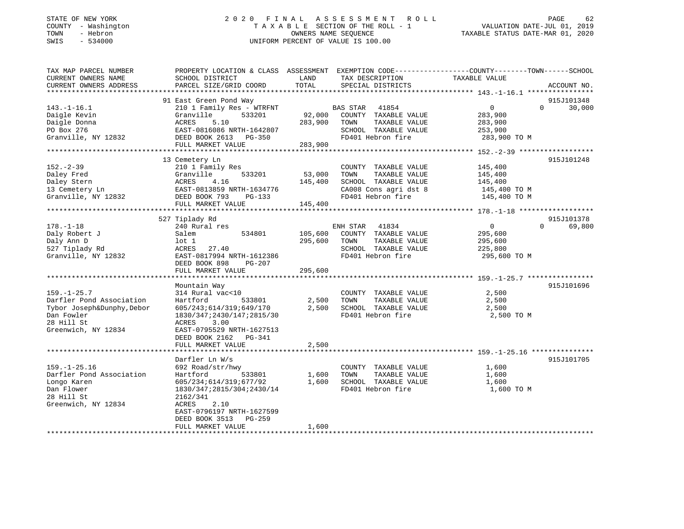### STATE OF NEW YORK GOT RELEASED A LOCAL CONTROLL THE SAME OF TIME A SSESSMENT ROLL CONTROLL PAGE 62 COUNTY - Washington  $T A X A B L E$  SECTION OF THE ROLL - 1<br>TOWN - Hebron  $\cdot$ SWIS - 534000 UNIFORM PERCENT OF VALUE IS 100.00

VALUATION DATE-JUL 01, 2019

TAXABLE STATUS DATE-MAR 01, 2020

| TAX MAP PARCEL NUMBER      | PROPERTY LOCATION & CLASS ASSESSMENT EXEMPTION CODE----------------COUNTY-------TOWN------SCHOOL |         |                       |                      |                    |
|----------------------------|--------------------------------------------------------------------------------------------------|---------|-----------------------|----------------------|--------------------|
| CURRENT OWNERS NAME        | SCHOOL DISTRICT                                                                                  | LAND    | TAX DESCRIPTION       | <b>TAXABLE VALUE</b> |                    |
| CURRENT OWNERS ADDRESS     | PARCEL SIZE/GRID COORD                                                                           | TOTAL   | SPECIAL DISTRICTS     |                      | ACCOUNT NO.        |
| ************************** |                                                                                                  |         |                       |                      |                    |
|                            | 91 East Green Pond Way                                                                           |         |                       |                      | 915J101348         |
| $143. - 1 - 16.1$          | 210 1 Family Res - WTRFNT                                                                        |         | 41854<br>BAS STAR     | $\mathbf 0$          | $\Omega$<br>30,000 |
| Daigle Kevin               | Granville<br>533201                                                                              | 92,000  | COUNTY TAXABLE VALUE  | 283,900              |                    |
| Daigle Donna               | ACRES<br>5.10                                                                                    | 283,900 | TAXABLE VALUE<br>TOWN | 283,900              |                    |
| PO Box 276                 | EAST-0816086 NRTH-1642807                                                                        |         | SCHOOL TAXABLE VALUE  | 253,900              |                    |
| Granville, NY 12832        | DEED BOOK 2613<br>PG-350                                                                         |         | FD401 Hebron fire     | 283,900 TO M         |                    |
|                            | FULL MARKET VALUE                                                                                | 283,900 |                       |                      |                    |
|                            |                                                                                                  |         |                       |                      |                    |
|                            | 13 Cemetery Ln                                                                                   |         |                       |                      | 915J101248         |
| $152 - 2 - 39$             | 210 1 Family Res                                                                                 |         | COUNTY TAXABLE VALUE  | 145,400              |                    |
| Daley Fred                 | 533201<br>Granville                                                                              | 53,000  | TOWN<br>TAXABLE VALUE | 145,400              |                    |
| Daley Stern                | 4.16<br>ACRES                                                                                    | 145,400 | SCHOOL TAXABLE VALUE  | 145,400              |                    |
| 13 Cemetery Ln             | EAST-0813859 NRTH-1634776                                                                        |         | CA008 Cons agri dst 8 | 145,400 TO M         |                    |
| Granville, NY 12832        | DEED BOOK 793<br>$PG-133$                                                                        |         | FD401 Hebron fire     | 145,400 TO M         |                    |
|                            | FULL MARKET VALUE                                                                                | 145,400 |                       |                      |                    |
|                            |                                                                                                  |         |                       |                      |                    |
|                            | 527 Tiplady Rd                                                                                   |         |                       |                      | 915J101378         |
| $178. - 1 - 18$            | 240 Rural res                                                                                    |         | ENH STAR<br>41834     | $\overline{0}$       | 69,800<br>$\Omega$ |
| Daly Robert J              | 534801<br>Salem                                                                                  | 105,600 | COUNTY TAXABLE VALUE  | 295,600              |                    |
| Daly Ann D                 | $1$ ot $1$                                                                                       | 295,600 | TOWN<br>TAXABLE VALUE | 295,600              |                    |
| 527 Tiplady Rd             | ACRES<br>27.40                                                                                   |         | SCHOOL TAXABLE VALUE  | 225,800              |                    |
| Granville, NY 12832        | EAST-0817994 NRTH-1612386                                                                        |         | FD401 Hebron fire     | 295,600 TO M         |                    |
|                            | DEED BOOK 898<br>PG-207                                                                          |         |                       |                      |                    |
|                            | FULL MARKET VALUE                                                                                | 295,600 |                       |                      |                    |
|                            |                                                                                                  |         |                       |                      |                    |
|                            | Mountain Way                                                                                     |         |                       |                      | 915J101696         |
| $159. - 1 - 25.7$          | 314 Rural vac<10                                                                                 |         | COUNTY TAXABLE VALUE  | 2,500                |                    |
| Darfler Pond Association   | Hartford<br>533801                                                                               | 2,500   | TOWN<br>TAXABLE VALUE | 2,500                |                    |
| Tybor Joseph&Dunphy, Debor | 605/243;614/319;649/170                                                                          | 2,500   | SCHOOL TAXABLE VALUE  | 2,500                |                    |
| Dan Fowler                 | 1830/347;2430/147;2815/30                                                                        |         | FD401 Hebron fire     | 2,500 TO M           |                    |
|                            |                                                                                                  |         |                       |                      |                    |
| 28 Hill St                 | ACRES<br>3.00                                                                                    |         |                       |                      |                    |
| Greenwich, NY 12834        | EAST-0795529 NRTH-1627513                                                                        |         |                       |                      |                    |
|                            | DEED BOOK 2162 PG-341                                                                            |         |                       |                      |                    |
|                            | FULL MARKET VALUE                                                                                | 2,500   |                       |                      |                    |
|                            |                                                                                                  |         |                       |                      |                    |
|                            | Darfler Ln W/s                                                                                   |         |                       |                      | 915J101705         |
| $159. - 1 - 25.16$         | 692 Road/str/hwy                                                                                 |         | COUNTY TAXABLE VALUE  | 1,600                |                    |
| Darfler Pond Association   | Hartford<br>533801                                                                               | 1,600   | TOWN<br>TAXABLE VALUE | 1,600                |                    |
| Longo Karen                | 605/234;614/319;677/92                                                                           | 1,600   | SCHOOL TAXABLE VALUE  | 1,600                |                    |
| Dan Flower                 | 1830/347;2815/304;2430/14                                                                        |         | FD401 Hebron fire     | 1,600 TO M           |                    |
| 28 Hill St                 | 2162/341                                                                                         |         |                       |                      |                    |
| Greenwich, NY 12834        | 2.10<br>ACRES                                                                                    |         |                       |                      |                    |
|                            | EAST-0796197 NRTH-1627599                                                                        |         |                       |                      |                    |
|                            | DEED BOOK 3513<br>PG-259                                                                         |         |                       |                      |                    |
|                            | FULL MARKET VALUE                                                                                | 1,600   |                       |                      |                    |
|                            |                                                                                                  |         |                       |                      |                    |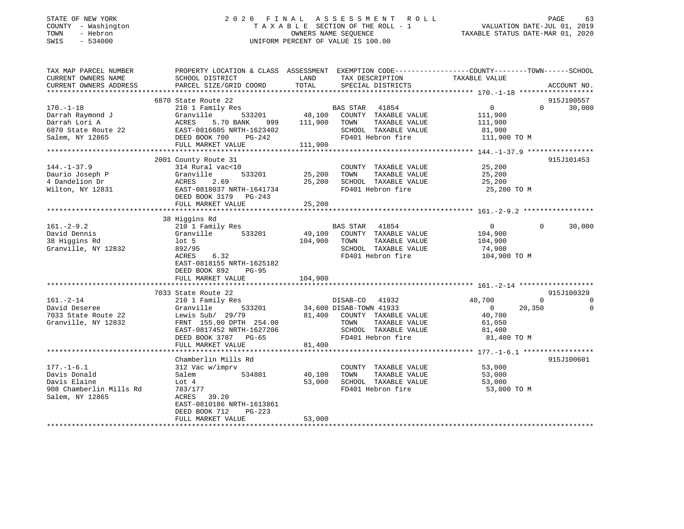#### STATE OF NEW YORK 2 0 2 0 F I N A L A S S E S S M E N T R O L L PAGE 63 COUNTY - Washington T A X A B L E SECTION OF THE ROLL - 1 VALUATION DATE-JUL 01, 2019 TOWN - Hebron OWNERS NAME SEQUENCE TAXABLE STATUS DATE-MAR 01, 2020 SWIS - 534000 UNIFORM PERCENT OF VALUE IS 100.00

| TAX MAP PARCEL NUMBER   | PROPERTY LOCATION & CLASS ASSESSMENT EXEMPTION CODE----------------COUNTY-------TOWN-----SCHOOL |         |                         |                |                      |
|-------------------------|-------------------------------------------------------------------------------------------------|---------|-------------------------|----------------|----------------------|
| CURRENT OWNERS NAME     | SCHOOL DISTRICT                                                                                 | LAND    | TAX DESCRIPTION         | TAXABLE VALUE  |                      |
| CURRENT OWNERS ADDRESS  | PARCEL SIZE/GRID COORD                                                                          | TOTAL   | SPECIAL DISTRICTS       |                | ACCOUNT NO.          |
|                         |                                                                                                 |         |                         |                |                      |
|                         | 6870 State Route 22                                                                             |         |                         |                | 915J100557           |
| $170. - 1 - 18$         | 210 1 Family Res                                                                                |         | BAS STAR 41854          | $\overline{0}$ | $\Omega$<br>30,000   |
| Darrah Raymond J        | 533201<br>Granville                                                                             | 48,100  | COUNTY TAXABLE VALUE    | 111,900        |                      |
| Darrah Lori A           | ACRES<br>5.70 BANK<br>999                                                                       | 111,900 | TAXABLE VALUE<br>TOWN   | 111,900        |                      |
| 6870 State Route 22     | EAST-0816605 NRTH-1623402                                                                       |         | SCHOOL TAXABLE VALUE    | 81,900         |                      |
| Salem, NY 12865         | DEED BOOK 700<br>PG-242                                                                         |         | FD401 Hebron fire       | 111,900 TO M   |                      |
|                         | FULL MARKET VALUE                                                                               | 111,900 |                         |                |                      |
|                         |                                                                                                 |         |                         |                |                      |
|                         | 2001 County Route 31                                                                            |         |                         |                | 915J101453           |
| $144. - 1 - 37.9$       | 314 Rural vac<10                                                                                |         | COUNTY TAXABLE VALUE    | 25,200         |                      |
| Daurio Joseph P         | 533201<br>Granville                                                                             | 25,200  | TAXABLE VALUE<br>TOWN   | 25,200         |                      |
| 4 Dandelion Dr          | ACRES<br>2.69                                                                                   | 25,200  | SCHOOL TAXABLE VALUE    | 25,200         |                      |
| Wilton, NY 12831        | EAST-0818037 NRTH-1641734                                                                       |         | FD401 Hebron fire       | 25,200 TO M    |                      |
|                         | DEED BOOK 3179 PG-243                                                                           |         |                         |                |                      |
|                         | FULL MARKET VALUE                                                                               | 25,200  |                         |                |                      |
|                         |                                                                                                 |         |                         |                |                      |
|                         | 38 Higgins Rd                                                                                   |         |                         |                |                      |
| $161. - 2 - 9.2$        | 210 1 Family Res                                                                                |         | BAS STAR 41854          | $\Omega$       | 30,000<br>$\Omega$   |
| David Dennis            | 533201<br>Granville                                                                             | 49,100  | COUNTY TAXABLE VALUE    | 104,900        |                      |
| 38 Higgins Rd           | lot 5                                                                                           | 104,900 | TAXABLE VALUE<br>TOWN   | 104,900        |                      |
| Granville, NY 12832     | 892/95                                                                                          |         | SCHOOL TAXABLE VALUE    | 74,900         |                      |
|                         | 6.32<br>ACRES                                                                                   |         | FD401 Hebron fire       | 104,900 TO M   |                      |
|                         | EAST-0818155 NRTH-1625182                                                                       |         |                         |                |                      |
|                         | DEED BOOK 892<br>$PG-95$                                                                        |         |                         |                |                      |
|                         | FULL MARKET VALUE                                                                               | 104,900 |                         |                |                      |
|                         |                                                                                                 |         |                         |                |                      |
|                         | 7033 State Route 22                                                                             |         |                         |                | 915J100329           |
| $161. - 2 - 14$         | 210 1 Family Res                                                                                |         | DISAB-CO 41932          | 40,700         | $\Omega$<br>$\Omega$ |
| David Deseree           | 533201<br>Granville                                                                             |         | 34,600 DISAB-TOWN 41933 | $\overline{0}$ | 20,350<br>$\Omega$   |
| 7033 State Route 22     | Lewis Sub/ 29/79                                                                                | 81,400  | COUNTY TAXABLE VALUE    | 40,700         |                      |
| Granville, NY 12832     | FRNT 155.00 DPTH 254.00                                                                         |         | TAXABLE VALUE<br>TOWN   | 61,050         |                      |
|                         | EAST-0817452 NRTH-1627206                                                                       |         | SCHOOL TAXABLE VALUE    | 81,400         |                      |
|                         | DEED BOOK 3787 PG-65                                                                            |         | FD401 Hebron fire       | 81,400 TO M    |                      |
|                         | FULL MARKET VALUE                                                                               | 81,400  |                         |                |                      |
|                         |                                                                                                 |         |                         |                |                      |
|                         | Chamberlin Mills Rd                                                                             |         |                         |                | 915J100601           |
| $177. - 1 - 6.1$        | 312 Vac w/imprv                                                                                 |         | COUNTY TAXABLE VALUE    | 53,000         |                      |
| Davis Donald            | Salem<br>534801                                                                                 | 40,100  | TOWN<br>TAXABLE VALUE   | 53,000         |                      |
| Davis Elaine            | Lot 4                                                                                           | 53,000  | SCHOOL TAXABLE VALUE    | 53,000         |                      |
| 908 Chamberlin Mills Rd | 783/177                                                                                         |         | FD401 Hebron fire       | 53,000 TO M    |                      |
| Salem, NY 12865         | ACRES<br>39.20                                                                                  |         |                         |                |                      |
|                         | EAST-0810186 NRTH-1613861                                                                       |         |                         |                |                      |
|                         | DEED BOOK 712<br>PG-223                                                                         |         |                         |                |                      |
|                         | FULL MARKET VALUE                                                                               | 53,000  |                         |                |                      |
|                         |                                                                                                 |         |                         |                |                      |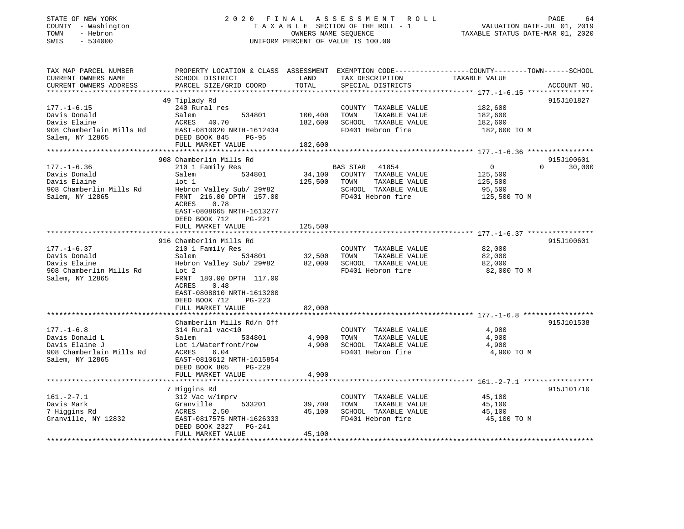#### STATE OF NEW YORK 2 0 2 0 F I N A L A S S E S S M E N T R O L L PAGE 64 COUNTY - Washington T A X A B L E SECTION OF THE ROLL - 1 VALUATION DATE-JUL 01, 2019 TOWN - Hebron OWNERS NAME SEQUENCE TAXABLE STATUS DATE-MAR 01, 2020 SWIS - 534000 UNIFORM PERCENT OF VALUE IS 100.00

| TAX MAP PARCEL NUMBER                           | PROPERTY LOCATION & CLASS ASSESSMENT EXEMPTION CODE---------------COUNTY-------TOWN-----SCHOOL |            |                             |                |                    |
|-------------------------------------------------|------------------------------------------------------------------------------------------------|------------|-----------------------------|----------------|--------------------|
| CURRENT OWNERS NAME                             | SCHOOL DISTRICT                                                                                | LAND       | TAX DESCRIPTION             | TAXABLE VALUE  |                    |
| CURRENT OWNERS ADDRESS<br>********************* | PARCEL SIZE/GRID COORD<br>******************************                                       | TOTAL      | SPECIAL DISTRICTS           |                | ACCOUNT NO.        |
|                                                 |                                                                                                |            |                             |                |                    |
|                                                 | 49 Tiplady Rd                                                                                  |            |                             |                | 915J101827         |
| $177. - 1 - 6.15$                               | 240 Rural res                                                                                  |            | COUNTY TAXABLE VALUE        | 182,600        |                    |
| Davis Donald                                    | Salem<br>534801                                                                                | 100,400    | TAXABLE VALUE<br>TOWN       | 182,600        |                    |
| Davis Elaine                                    | ACRES<br>40.70                                                                                 | 182,600    | SCHOOL TAXABLE VALUE        | 182,600        |                    |
| 908 Chamberlain Mills Rd                        | EAST-0810020 NRTH-1612434                                                                      |            | FD401 Hebron fire           | 182,600 TO M   |                    |
| Salem, NY 12865                                 | DEED BOOK 845<br>PG-95                                                                         |            |                             |                |                    |
|                                                 | FULL MARKET VALUE                                                                              | 182,600    |                             |                |                    |
|                                                 |                                                                                                |            |                             |                |                    |
|                                                 | 908 Chamberlin Mills Rd                                                                        |            |                             |                | 915J100601         |
| $177. - 1 - 6.36$                               | 210 1 Family Res                                                                               |            | BAS STAR 41854              | $\overline{0}$ | $\Omega$<br>30,000 |
| Davis Donald                                    | 534801<br>Salem                                                                                |            | 34,100 COUNTY TAXABLE VALUE | 125,500        |                    |
| Davis Elaine                                    | $1$ ot $1$                                                                                     | 125,500    | TOWN<br>TAXABLE VALUE       | 125,500        |                    |
| 908 Chamberlin Mills Rd                         | Hebron Valley Sub/ 29#82                                                                       |            | SCHOOL TAXABLE VALUE        | 95,500         |                    |
| Salem, NY 12865                                 | FRNT 216.00 DPTH 157.00                                                                        |            | FD401 Hebron fire           | 125,500 TO M   |                    |
|                                                 | ACRES<br>0.78                                                                                  |            |                             |                |                    |
|                                                 | EAST-0808665 NRTH-1613277                                                                      |            |                             |                |                    |
|                                                 | DEED BOOK 712<br>PG-221                                                                        |            |                             |                |                    |
|                                                 | FULL MARKET VALUE                                                                              | 125,500    |                             |                |                    |
|                                                 |                                                                                                |            |                             |                |                    |
|                                                 | 916 Chamberlin Mills Rd                                                                        |            |                             |                | 915J100601         |
| $177. - 1 - 6.37$                               | 210 1 Family Res                                                                               |            | COUNTY TAXABLE VALUE        | 82,000         |                    |
| Davis Donald                                    | 534801<br>Salem                                                                                | 32,500     | TOWN<br>TAXABLE VALUE       | 82,000         |                    |
| Davis Elaine                                    | Hebron Valley Sub/ 29#82                                                                       | 82,000     | SCHOOL TAXABLE VALUE        | 82,000         |                    |
| 908 Chamberlin Mills Rd                         | Lot 2                                                                                          |            | FD401 Hebron fire           | 82,000 TO M    |                    |
| Salem, NY 12865                                 | FRNT 180.00 DPTH 117.00                                                                        |            |                             |                |                    |
|                                                 | ACRES<br>0.48                                                                                  |            |                             |                |                    |
|                                                 | EAST-0808810 NRTH-1613200                                                                      |            |                             |                |                    |
|                                                 | DEED BOOK 712<br>$PG-223$                                                                      |            |                             |                |                    |
|                                                 | FULL MARKET VALUE                                                                              | 82,000     |                             |                |                    |
|                                                 | *********************                                                                          | ********** |                             |                |                    |
|                                                 | Chamberlin Mills Rd/n Off                                                                      |            |                             |                | 915J101538         |
| $177. - 1 - 6.8$                                | 314 Rural vac<10                                                                               |            |                             | 4,900          |                    |
|                                                 |                                                                                                |            | COUNTY TAXABLE VALUE        |                |                    |
| Davis Donald L                                  | 534801<br>Salem                                                                                | 4,900      | TOWN<br>TAXABLE VALUE       | 4,900          |                    |
| Davis Elaine J                                  | Lot 1/Waterfront/row                                                                           | 4,900      | SCHOOL TAXABLE VALUE        | 4,900          |                    |
| 908 Chamberlain Mills Rd                        | ACRES<br>6.04                                                                                  |            | FD401 Hebron fire           | 4,900 TO M     |                    |
| Salem, NY 12865                                 | EAST-0810612 NRTH-1615854                                                                      |            |                             |                |                    |
|                                                 | DEED BOOK 805<br>PG-229                                                                        |            |                             |                |                    |
|                                                 | FULL MARKET VALUE                                                                              | 4,900      |                             |                |                    |
|                                                 |                                                                                                |            |                             |                |                    |
|                                                 | 7 Higgins Rd                                                                                   |            |                             |                | 915J101710         |
| $161. - 2 - 7.1$                                | 312 Vac w/imprv                                                                                |            | COUNTY TAXABLE VALUE        | 45,100         |                    |
| Davis Mark                                      | Granville<br>533201                                                                            | 39,700     | TAXABLE VALUE<br>TOWN       | 45,100         |                    |
| 7 Higgins Rd                                    | ACRES<br>2.50                                                                                  | 45,100     | SCHOOL TAXABLE VALUE        | 45,100         |                    |
| Granville, NY 12832                             | EAST-0817575 NRTH-1626333                                                                      |            | FD401 Hebron fire           | 45,100 TO M    |                    |
|                                                 | DEED BOOK 2327 PG-241                                                                          |            |                             |                |                    |
|                                                 | FULL MARKET VALUE                                                                              | 45,100     |                             |                |                    |
|                                                 |                                                                                                |            |                             |                |                    |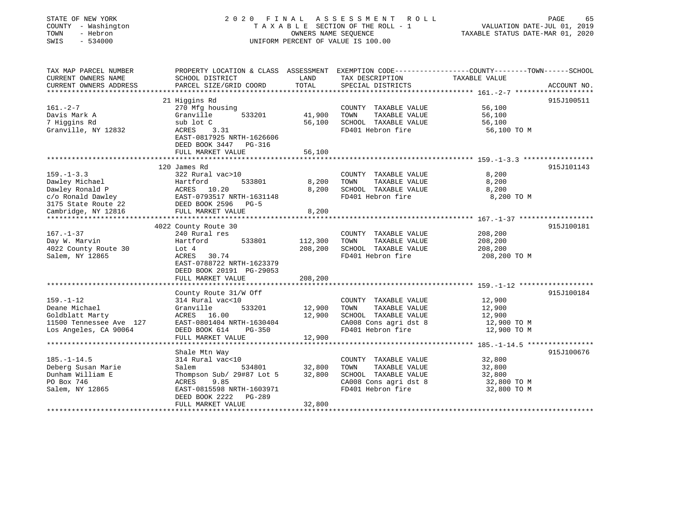| STATE OF NEW YORK<br>COUNTY - Washington<br>TOWN<br>- Hebron<br>SWIS<br>$-534000$                       |                                                                                                                                                                     | OWNERS NAME SEQUENCE       | 2020 FINAL ASSESSMENT<br>ROLL ROLL<br>TAXABLE SECTION OF THE ROLL - 1<br>UNIFORM PERCENT OF VALUE IS 100.00         | VALUATION DATE-JUL 01, 2019<br>TAXABLE STATUS DATE-MAR 01, 2020 | PAGE<br>65  |
|---------------------------------------------------------------------------------------------------------|---------------------------------------------------------------------------------------------------------------------------------------------------------------------|----------------------------|---------------------------------------------------------------------------------------------------------------------|-----------------------------------------------------------------|-------------|
| TAX MAP PARCEL NUMBER<br>CURRENT OWNERS NAME<br>CURRENT OWNERS ADDRESS                                  | PROPERTY LOCATION & CLASS ASSESSMENT EXEMPTION CODE---------------COUNTY-------TOWN------SCHOOL<br>SCHOOL DISTRICT<br>PARCEL SIZE/GRID COORD                        | LAND<br>TOTAL              | TAX DESCRIPTION<br>SPECIAL DISTRICTS                                                                                | TAXABLE VALUE                                                   | ACCOUNT NO. |
|                                                                                                         |                                                                                                                                                                     |                            |                                                                                                                     |                                                                 |             |
| $161. - 2 - 7$<br>Davis Mark A<br>7 Higgins Rd<br>Granville, NY 12832                                   | 21 Higgins Rd<br>270 Mfg housing<br>Granville<br>533201<br>sub lot C<br>3.31<br>ACRES<br>EAST-0817925 NRTH-1626606<br>DEED BOOK 3447 PG-316                         | 41,900<br>56,100           | COUNTY TAXABLE VALUE<br>TOWN<br>TAXABLE VALUE<br>SCHOOL TAXABLE VALUE<br>FD401 Hebron fire                          | 56,100<br>56,100<br>56,100<br>56,100 TO M                       | 915J100511  |
|                                                                                                         | FULL MARKET VALUE                                                                                                                                                   | 56,100                     |                                                                                                                     |                                                                 |             |
| $159. - 1 - 3.3$<br>Dawley Michael<br>Dawley Ronald P<br>c/o Ronald Dawley<br>3175 State Route 22       | 120 James Rd<br>322 Rural vac>10<br>533801<br>Hartford<br>ACRES 10.20<br>EAST-0793517 NRTH-1631148<br>DEED BOOK 2596<br>$PG-5$                                      | 8,200<br>8,200             | COUNTY TAXABLE VALUE<br>TOWN<br>TAXABLE VALUE<br>SCHOOL TAXABLE VALUE<br>FD401 Hebron fire                          | 8,200<br>8,200<br>8,200<br>8,200 TO M                           | 915J101143  |
| Cambridge, NY 12816                                                                                     | FULL MARKET VALUE                                                                                                                                                   | 8,200                      |                                                                                                                     |                                                                 |             |
| $167. - 1 - 37$<br>Day W. Marvin<br>4022 County Route 30<br>Salem, NY 12865                             | 4022 County Route 30<br>240 Rural res<br>Hartford<br>533801<br>Lot $4$<br>ACRES<br>30.74<br>EAST-0788722 NRTH-1623379<br>DEED BOOK 20191 PG-29053                   | 112,300<br>208,200         | COUNTY TAXABLE VALUE<br>TOWN<br>TAXABLE VALUE<br>SCHOOL TAXABLE VALUE<br>FD401 Hebron fire                          | 208,200<br>208,200<br>208,200<br>208,200 TO M                   | 915J100181  |
|                                                                                                         | FULL MARKET VALUE                                                                                                                                                   | 208,200                    |                                                                                                                     |                                                                 |             |
| $159. - 1 - 12$<br>Deane Michael<br>Goldblatt Marty<br>11500 Tennessee Ave 127<br>Los Angeles, CA 90064 | County Route 31/W Off<br>314 Rural vac<10<br>Granville<br>533201<br>ACRES 16.00<br>EAST-0801404 NRTH-1630404<br>DEED BOOK 614<br><b>PG-350</b><br>FULL MARKET VALUE | 12,900<br>12,900<br>12,900 | COUNTY TAXABLE VALUE<br>TOWN<br>TAXABLE VALUE<br>SCHOOL TAXABLE VALUE<br>CA008 Cons agri dst 8<br>FD401 Hebron fire | 12,900<br>12,900<br>12,900<br>12,900 TO M<br>12,900 TO M        | 915J100184  |
|                                                                                                         | * * * * * * * * * * * * * * * * * * *                                                                                                                               |                            |                                                                                                                     |                                                                 |             |
| $185. - 1 - 14.5$<br>Deberg Susan Marie<br>Dunham William E<br>PO Box 746<br>Salem, NY 12865            | Shale Mtn Way<br>314 Rural vac<10<br>Salem<br>534801<br>Thompson Sub/ 29#87 Lot 5<br>ACRES<br>9.85<br>EAST-0815598 NRTH-1603971<br>DEED BOOK 2222<br>PG-289         | 32,800<br>32,800           | COUNTY TAXABLE VALUE<br>TOWN<br>TAXABLE VALUE<br>SCHOOL TAXABLE VALUE<br>CA008 Cons agri dst 8<br>FD401 Hebron fire | 32,800<br>32,800<br>32,800<br>32,800 TO M<br>32,800 TO M        | 915J100676  |
|                                                                                                         | FULL MARKET VALUE                                                                                                                                                   | 32,800                     |                                                                                                                     |                                                                 |             |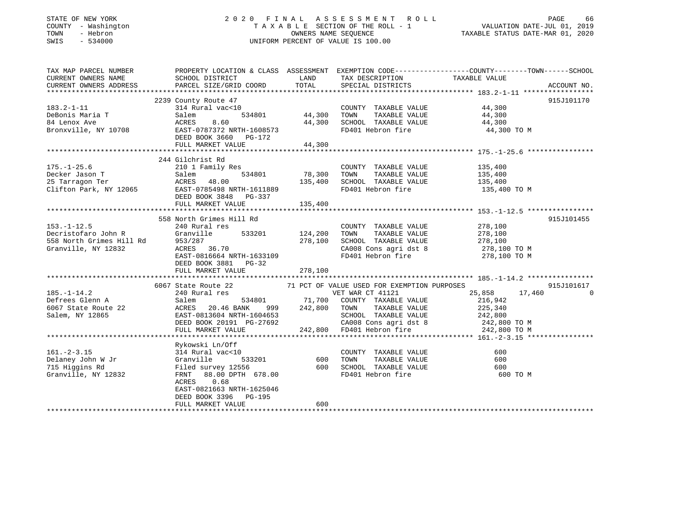#### STATE OF NEW YORK 2 0 2 0 F I N A L A S S E S S M E N T R O L L PAGE 66 COUNTY - Washington T A X A B L E SECTION OF THE ROLL - 1 VALUATION DATE-JUL 01, 2019 TOWN - Hebron OWNERS NAME SEQUENCE TAXABLE STATUS DATE-MAR 01, 2020 SWIS - 534000 UNIFORM PERCENT OF VALUE IS 100.00

| TAX MAP PARCEL NUMBER                                                                             |                                                                                                                                                                                                                                      |               |                                             | PROPERTY LOCATION & CLASS ASSESSMENT EXEMPTION CODE----------------COUNTY-------TOWN------SCHOOL                                                                                                                                                     |             |
|---------------------------------------------------------------------------------------------------|--------------------------------------------------------------------------------------------------------------------------------------------------------------------------------------------------------------------------------------|---------------|---------------------------------------------|------------------------------------------------------------------------------------------------------------------------------------------------------------------------------------------------------------------------------------------------------|-------------|
| CURRENT OWNERS NAME                                                                               | SCHOOL DISTRICT                                                                                                                                                                                                                      |               | LAND TAX DESCRIPTION TAXABLE VALUE          |                                                                                                                                                                                                                                                      |             |
| CURRENT OWNERS ADDRESS                                                                            | PARCEL SIZE/GRID COORD TOTAL                                                                                                                                                                                                         |               | SPECIAL DISTRICTS                           |                                                                                                                                                                                                                                                      | ACCOUNT NO. |
|                                                                                                   |                                                                                                                                                                                                                                      |               |                                             |                                                                                                                                                                                                                                                      |             |
|                                                                                                   | 2239 County Route 47                                                                                                                                                                                                                 |               |                                             |                                                                                                                                                                                                                                                      | 915J101170  |
| $183.2 - 1 - 11$                                                                                  | $314$ Rural vac< $10$                                                                                                                                                                                                                |               | COUNTY TAXABLE VALUE 44,300                 |                                                                                                                                                                                                                                                      |             |
| DeBonis Maria T                                                                                   |                                                                                                                                                                                                                                      |               | $-$ 534801 44,300 TOWN TAXABLE VALUE 44,300 |                                                                                                                                                                                                                                                      |             |
| 84 Lenox Ave                                                                                      |                                                                                                                                                                                                                                      |               | SCHOOL TAXABLE VALUE $44,300$               |                                                                                                                                                                                                                                                      |             |
| Bronxville, NY 10708                                                                              |                                                                                                                                                                                                                                      |               | FD401 Hebron fire                           | 44,300 TO M                                                                                                                                                                                                                                          |             |
|                                                                                                   | 514801 120001<br>Salem 534801 44,300<br>ACRES 8.60 44,300<br>EAST-0787372 NRTH-1608573                                                                                                                                               |               |                                             |                                                                                                                                                                                                                                                      |             |
|                                                                                                   | FULL MARKET VALUE 44,300                                                                                                                                                                                                             |               |                                             |                                                                                                                                                                                                                                                      |             |
|                                                                                                   |                                                                                                                                                                                                                                      |               |                                             |                                                                                                                                                                                                                                                      |             |
|                                                                                                   | 244 Gilchrist Rd                                                                                                                                                                                                                     |               |                                             |                                                                                                                                                                                                                                                      |             |
| $175. - 1 - 25.6$                                                                                 | 210 1 Family Res                                                                                                                                                                                                                     |               | COUNTY TAXABLE VALUE                        | 135,400                                                                                                                                                                                                                                              |             |
|                                                                                                   |                                                                                                                                                                                                                                      | 534801 78,300 | TOWN                                        | TAXABLE VALUE 135,400                                                                                                                                                                                                                                |             |
|                                                                                                   |                                                                                                                                                                                                                                      | 135,400       | SCHOOL TAXABLE VALUE                        | 135,400                                                                                                                                                                                                                                              |             |
|                                                                                                   | Pecker Jason T<br>25 Tarragon Ter (1995)<br>25 Tarragon Ter (1995)<br>26 Clifton Park, NY 12065 EAST-0785498 NRTH-1611889                                                                                                            |               | FD401 Hebron fire                           | 135,400 TO M                                                                                                                                                                                                                                         |             |
|                                                                                                   | DEED BOOK 3848 PG-337<br>FULL MARKET VALUE                                                                                                                                                                                           |               |                                             |                                                                                                                                                                                                                                                      |             |
|                                                                                                   | FULL MARKET VALUE                                                                                                                                                                                                                    | 135,400       |                                             |                                                                                                                                                                                                                                                      |             |
|                                                                                                   |                                                                                                                                                                                                                                      |               |                                             |                                                                                                                                                                                                                                                      |             |
|                                                                                                   | 558 North Grimes Hill Rd                                                                                                                                                                                                             |               |                                             |                                                                                                                                                                                                                                                      | 915J101455  |
| $153.-1-12.5$                                                                                     | 240 Rural res                                                                                                                                                                                                                        |               | COUNTY TAXABLE VALUE 278,100                |                                                                                                                                                                                                                                                      |             |
|                                                                                                   |                                                                                                                                                                                                                                      |               |                                             |                                                                                                                                                                                                                                                      |             |
|                                                                                                   | Decristofaro John R (1993/287)<br>558 North Grimes Hill Rd (1953/287)<br>558 North Grimes Hill Rd (1953/287)<br>558 North Granville, NY 12832 (278,100 ACRES 36.70 (278,100 CA008 Cons agri dst 8 (278,100 CA008 Cons agri dst 8 (27 |               |                                             |                                                                                                                                                                                                                                                      |             |
|                                                                                                   |                                                                                                                                                                                                                                      |               |                                             | CA008 Cons agri dst 8 278,100 TO M                                                                                                                                                                                                                   |             |
|                                                                                                   | EAST-0816664 NRTH-1633109                                                                                                                                                                                                            |               | FD401 Hebron fire                           | 278,100 TO M                                                                                                                                                                                                                                         |             |
|                                                                                                   | DEED BOOK 3881 PG-32                                                                                                                                                                                                                 |               |                                             |                                                                                                                                                                                                                                                      |             |
|                                                                                                   | FULL MARKET VALUE                                                                                                                                                                                                                    | 278,100       |                                             |                                                                                                                                                                                                                                                      |             |
|                                                                                                   |                                                                                                                                                                                                                                      |               |                                             |                                                                                                                                                                                                                                                      |             |
|                                                                                                   | 6067 State Route 22 71 PCT OF VALUE USED FOR EXEMPTION PURPOSES                                                                                                                                                                      |               |                                             |                                                                                                                                                                                                                                                      | 915J101617  |
| $185. - 1 - 14.2$                                                                                 | 240 Rural res                                                                                                                                                                                                                        |               | VET WAR CT 41121                            | 25,858 17,460 0                                                                                                                                                                                                                                      |             |
|                                                                                                   |                                                                                                                                                                                                                                      |               |                                             |                                                                                                                                                                                                                                                      |             |
|                                                                                                   |                                                                                                                                                                                                                                      |               |                                             |                                                                                                                                                                                                                                                      |             |
|                                                                                                   |                                                                                                                                                                                                                                      |               |                                             |                                                                                                                                                                                                                                                      |             |
|                                                                                                   |                                                                                                                                                                                                                                      |               |                                             |                                                                                                                                                                                                                                                      |             |
|                                                                                                   |                                                                                                                                                                                                                                      |               |                                             |                                                                                                                                                                                                                                                      |             |
|                                                                                                   |                                                                                                                                                                                                                                      |               |                                             | 185.-1-14.2<br>240 Kural res<br>240 Kural res<br>240 Kural res<br>240 Kural res<br>240 Kural res<br>240 Kural res<br>240 Kural res<br>240 Kural res<br>240 Salem and 21,700 COUNTY TAXABLE VALUE<br>242,800 TOMN TAXABLE VALUE<br>242,800 TOMN 242,8 |             |
|                                                                                                   | Rykowski Ln/Off                                                                                                                                                                                                                      |               |                                             |                                                                                                                                                                                                                                                      |             |
| $161. - 2 - 3.15$                                                                                 | $\frac{10}{533201}$ 600<br>314 Rural vac<10                                                                                                                                                                                          |               | COUNTY TAXABLE VALUE                        | 600                                                                                                                                                                                                                                                  |             |
|                                                                                                   |                                                                                                                                                                                                                                      |               | TAXABLE VALUE<br>TOWN                       | 600                                                                                                                                                                                                                                                  |             |
| Delaney John W Jr<br>715 Higgins Rd<br>715 Higgins Rd<br>6 Granville, NY 12832<br>FRNT 88.00 DPTH |                                                                                                                                                                                                                                      | 600           | SCHOOL TAXABLE VALUE<br>FD401 Hebron fire   | 600                                                                                                                                                                                                                                                  |             |
|                                                                                                   | FRNT 88.00 DPTH 678.00                                                                                                                                                                                                               |               |                                             | 600 TO M                                                                                                                                                                                                                                             |             |
|                                                                                                   | ACRES 0.68                                                                                                                                                                                                                           |               |                                             |                                                                                                                                                                                                                                                      |             |
|                                                                                                   | EAST-0821663 NRTH-1625046                                                                                                                                                                                                            |               |                                             |                                                                                                                                                                                                                                                      |             |
|                                                                                                   | DEED BOOK 3396 PG-195                                                                                                                                                                                                                |               |                                             |                                                                                                                                                                                                                                                      |             |
|                                                                                                   | FULL MARKET VALUE                                                                                                                                                                                                                    | 600           |                                             |                                                                                                                                                                                                                                                      |             |
|                                                                                                   |                                                                                                                                                                                                                                      |               |                                             |                                                                                                                                                                                                                                                      |             |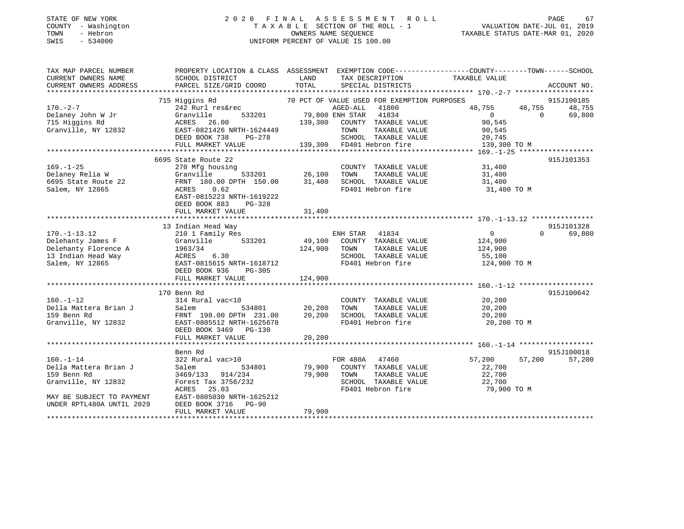#### STATE OF NEW YORK 2 0 2 0 F I N A L A S S E S S M E N T R O L L PAGE 67 COUNTY - Washington T A X A B L E SECTION OF THE ROLL - 1 VALUATION DATE-JUL 01, 2019 TOWN - Hebron OWNERS NAME SEQUENCE TAXABLE STATUS DATE-MAR 01, 2020 SWIS - 534000 UNIFORM PERCENT OF VALUE IS 100.00

| TAX MAP PARCEL NUMBER     | PROPERTY LOCATION & CLASS ASSESSMENT EXEMPTION CODE----------------COUNTY-------TOWN------SCHOOL          |              |                                                                           |                                                                                                                                                                                                                                                  |          |                      |
|---------------------------|-----------------------------------------------------------------------------------------------------------|--------------|---------------------------------------------------------------------------|--------------------------------------------------------------------------------------------------------------------------------------------------------------------------------------------------------------------------------------------------|----------|----------------------|
| CURRENT OWNERS NAME       | SCHOOL DISTRICT                                                                                           | LAND         | TAX DESCRIPTION                                                           | TAXABLE VALUE                                                                                                                                                                                                                                    |          |                      |
| CURRENT OWNERS ADDRESS    | PARCEL SIZE/GRID COORD                                                                                    | TOTAL        | SPECIAL DISTRICTS                                                         |                                                                                                                                                                                                                                                  |          | ACCOUNT NO.          |
|                           |                                                                                                           |              |                                                                           |                                                                                                                                                                                                                                                  |          |                      |
| $170. - 2 - 7$            | 715 Higgins Rd<br>Higgins Rd<br>242 Rurl res&rec                                                          |              | 70 PCT OF VALUE USED FOR EXEMPTION PURPOSES<br>AGED-ALL 41800             | 48,755                                                                                                                                                                                                                                           | 48,755   | 915J100185<br>48,755 |
| Delaney John W Jr         | 533201<br>Granville                                                                                       |              | 41800<br>79,800 ENH STAR 41834                                            | $\overline{0}$                                                                                                                                                                                                                                   | $\Omega$ | 69,800               |
|                           |                                                                                                           |              | 139,300 COUNTY TAXABLE VALUE                                              | 90,545                                                                                                                                                                                                                                           |          |                      |
|                           |                                                                                                           |              | TAXABLE VALUE<br>TOWN                                                     | 90,545                                                                                                                                                                                                                                           |          |                      |
|                           |                                                                                                           |              | SCHOOL TAXABLE VALUE                                                      | 20,745                                                                                                                                                                                                                                           |          |                      |
|                           | FULL MARKET VALUE                                                                                         |              | 139,300 FD401 Hebron fire                                                 | ere en de la provincia de la provincia de la provincia de la provincia de la provincia de la provincia de la p<br>En 1910, en 1910, en 1910, en 1910, en 1910, en 1910, en 1910, en 1910, en 1910, en 1910, en 1910, en 1910, en<br>139,300 TO M |          |                      |
|                           |                                                                                                           |              |                                                                           |                                                                                                                                                                                                                                                  |          |                      |
|                           | 6695 State Route 22                                                                                       |              |                                                                           |                                                                                                                                                                                                                                                  |          | 915J101353           |
| $169. - 1 - 25$           | 270 Mfg housing                                                                                           |              |                                                                           |                                                                                                                                                                                                                                                  |          |                      |
| Delaney Relia W           | Granville                                                                                                 |              | COUNTY TAXABLE VALUE 31,400<br>TOWN TAXABLE VALUE 31,400<br>TAXABLE VALUE | 31,400                                                                                                                                                                                                                                           |          |                      |
| 6695 State Route 22       | FRNT 180.00 DPTH 150.00                                                                                   |              | 31,400 SCHOOL TAXABLE VALUE                                               | 31,400                                                                                                                                                                                                                                           |          |                      |
| Salem, NY 12865           | ACRES 0.62                                                                                                |              | FD401 Hebron fire                                                         | 31,400 TO M                                                                                                                                                                                                                                      |          |                      |
|                           | EAST-0815223 NRTH-1619222                                                                                 |              |                                                                           |                                                                                                                                                                                                                                                  |          |                      |
|                           | DEED BOOK 883<br>PG-328                                                                                   |              |                                                                           |                                                                                                                                                                                                                                                  |          |                      |
|                           |                                                                                                           |              |                                                                           |                                                                                                                                                                                                                                                  |          |                      |
|                           |                                                                                                           |              |                                                                           |                                                                                                                                                                                                                                                  |          |                      |
|                           | 13 Indian Head Way                                                                                        |              |                                                                           |                                                                                                                                                                                                                                                  |          | 915J101328           |
| $170. - 1 - 13.12$        | 210 1 Family Res                                                                                          |              | ENH STAR<br>41834                                                         | $\overline{0}$                                                                                                                                                                                                                                   | $\Omega$ | 69,800               |
| Delehanty James F         | 533201<br>Granville                                                                                       |              | 49,100 COUNTY TAXABLE VALUE                                               | 124,900                                                                                                                                                                                                                                          |          |                      |
| Delehanty Florence A      | 1963/34                                                                                                   | 124,900 TOWN | TAXABLE VALUE                                                             | 124,900                                                                                                                                                                                                                                          |          |                      |
| 13 Indian Head Way        | ACRES 6.30<br>EAST-0815615 NRTH-1618712                                                                   |              | SCHOOL TAXABLE VALUE                                                      | 55,100<br>124,900 TO M                                                                                                                                                                                                                           |          |                      |
| Salem, NY 12865           | DEED BOOK 936                                                                                             |              | FD401 Hebron fire                                                         |                                                                                                                                                                                                                                                  |          |                      |
|                           | PG-305<br>FULL MARKET VALUE                                                                               | 124,900      |                                                                           |                                                                                                                                                                                                                                                  |          |                      |
|                           |                                                                                                           |              |                                                                           |                                                                                                                                                                                                                                                  |          |                      |
|                           | 170 Benn Rd                                                                                               |              |                                                                           |                                                                                                                                                                                                                                                  |          | 915J100642           |
| $160. - 1 - 12$           | 314 Rural vac<10                                                                                          |              | COUNTY TAXABLE VALUE                                                      | 20,200                                                                                                                                                                                                                                           |          |                      |
| Della Mattera Brian J     |                                                                                                           |              | TOWN<br>TAXABLE VALUE                                                     | 20,200                                                                                                                                                                                                                                           |          |                      |
| 159 Benn Rd               | 534801 20,200<br>DPTH 231.00 20,200                                                                       |              | SCHOOL TAXABLE VALUE                                                      | 20,200                                                                                                                                                                                                                                           |          |                      |
|                           | Salem<br>FRNT 198.00 DPTH 231.00<br>1996519 NPTH-1625678<br>Granville, NY 12832 EAST-0805512 NRTH-1625678 |              | FD401 Hebron fire                                                         | 20,200 TO M                                                                                                                                                                                                                                      |          |                      |
|                           | DEED BOOK 3469 PG-130                                                                                     |              |                                                                           |                                                                                                                                                                                                                                                  |          |                      |
|                           | FULL MARKET VALUE                                                                                         | 20,200       |                                                                           |                                                                                                                                                                                                                                                  |          |                      |
|                           |                                                                                                           |              |                                                                           |                                                                                                                                                                                                                                                  |          |                      |
|                           | Benn Rd                                                                                                   |              |                                                                           |                                                                                                                                                                                                                                                  |          | 915J100018           |
| $160. - 1 - 14$           | 322 Rural vac>10                                                                                          |              | FOR 480A 47460                                                            | 57,200                                                                                                                                                                                                                                           | 57,200   | 57,200               |
| Della Mattera Brian J     | 534801<br>Salem                                                                                           |              | 79,900 COUNTY TAXABLE VALUE                                               | 22,700                                                                                                                                                                                                                                           |          |                      |
| 159 Benn Rd               | 3469/133 914/234                                                                                          | 79,900 TOWN  | TAXABLE VALUE                                                             | 22,700                                                                                                                                                                                                                                           |          |                      |
| Granville, NY 12832       | Forest Tax 3756/232                                                                                       |              | SCHOOL TAXABLE VALUE                                                      | 22,700                                                                                                                                                                                                                                           |          |                      |
|                           | ACRES<br>25.03                                                                                            |              | FD401 Hebron fire                                                         | 79,900 TO M                                                                                                                                                                                                                                      |          |                      |
| MAY BE SUBJECT TO PAYMENT | EAST-0805030 NRTH-1625212                                                                                 |              |                                                                           |                                                                                                                                                                                                                                                  |          |                      |
| UNDER RPTL480A UNTIL 2029 | DEED BOOK 3716<br><b>PG-90</b>                                                                            |              |                                                                           |                                                                                                                                                                                                                                                  |          |                      |
|                           | FULL MARKET VALUE                                                                                         | 79,900       |                                                                           |                                                                                                                                                                                                                                                  |          |                      |
|                           |                                                                                                           |              |                                                                           |                                                                                                                                                                                                                                                  |          |                      |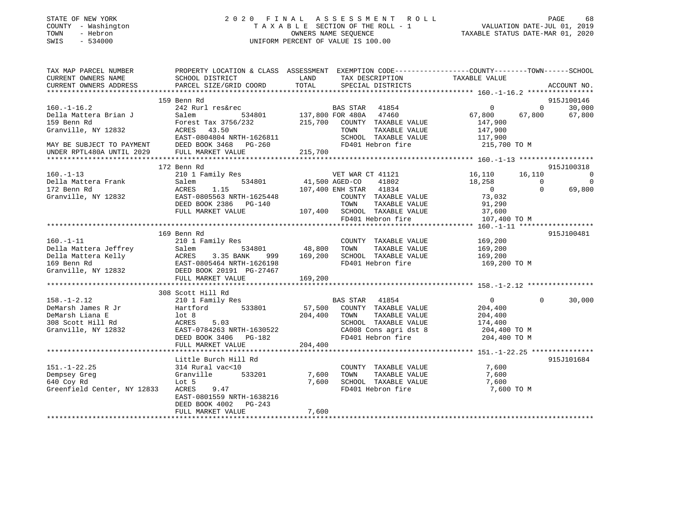| STATE OF NEW YORK                      |                                                                                                                                                                                                                                                  |                |                                                                 |                                                                    |                               |              |                        |
|----------------------------------------|--------------------------------------------------------------------------------------------------------------------------------------------------------------------------------------------------------------------------------------------------|----------------|-----------------------------------------------------------------|--------------------------------------------------------------------|-------------------------------|--------------|------------------------|
| COUNTY - Washington                    | 2020 FINAL ASSESSMENT ROLL<br>TAXABLE SECTION OF THE ROLL - 1 VALUATION DATE-JUL 01, 2019                                                                                                                                                        |                |                                                                 |                                                                    |                               |              |                        |
| - Hebron<br>TOWN                       | OWNERS NAME SEQUENCE<br>UNIFORM PERCENT OF VALUE IS 100.00                                                                                                                                                                                       |                |                                                                 | TAXABLE STATUS DATE-MAR 01, 2020                                   |                               |              |                        |
| SWIS<br>$-534000$                      |                                                                                                                                                                                                                                                  |                |                                                                 |                                                                    |                               |              |                        |
| TAX MAP PARCEL NUMBER                  | PROPERTY LOCATION & CLASS ASSESSMENT EXEMPTION CODE-----------------COUNTY-------TOWN------SCHOOL                                                                                                                                                |                |                                                                 |                                                                    |                               |              |                        |
| CURRENT OWNERS NAME                    | <b>LAND</b><br>SCHOOL DISTRICT                                                                                                                                                                                                                   |                |                                                                 |                                                                    | TAX DESCRIPTION TAXABLE VALUE |              |                        |
| CURRENT OWNERS ADDRESS                 | PARCEL SIZE/GRID COORD                                                                                                                                                                                                                           | TOTAL          | SPECIAL DISTRICTS                                               |                                                                    |                               |              | ACCOUNT NO.            |
|                                        |                                                                                                                                                                                                                                                  |                |                                                                 |                                                                    |                               |              |                        |
|                                        | 159 Benn Rd                                                                                                                                                                                                                                      |                |                                                                 |                                                                    |                               |              | 915J100146             |
| $160.-1-16.2$                          | 242 Rurl res&rec                                                                                                                                                                                                                                 |                | BAS STAR 41854                                                  |                                                                    | $\overline{\phantom{0}}$      |              | $0 \t 30,000$          |
| Della Mattera Brian J                  | Salem 534801 137,800 FOR 480A 47460<br>Forest Tax 3756/232 215,700 COUNTY TAXABLE VALUE                                                                                                                                                          |                |                                                                 |                                                                    | 67,800                        |              | 67,800 67,800          |
| 159 Benn Rd                            |                                                                                                                                                                                                                                                  |                |                                                                 |                                                                    | 147,900                       |              |                        |
|                                        | Granville, NY 12832<br>Granville, NY 12832<br>EAST-0804804 NRTH-1626811<br>MAY BE SUBJECT TO PAYMENT<br>DEED BOOK 3468 PG-260                                                                                                                    |                | TOWN TAXABLE VALUE<br>SCHOOL TAXABLE VALUE<br>FD401 Hebron fire |                                                                    | 147,900                       |              |                        |
|                                        |                                                                                                                                                                                                                                                  |                |                                                                 |                                                                    | 117,900                       |              |                        |
|                                        |                                                                                                                                                                                                                                                  |                |                                                                 |                                                                    | 215,700 TO M                  |              |                        |
|                                        | UNDER RPTL480A UNTIL 2029 FULL MARKET VALUE                                                                                                                                                                                                      | 215,700        |                                                                 |                                                                    |                               |              |                        |
|                                        |                                                                                                                                                                                                                                                  |                |                                                                 |                                                                    |                               |              |                        |
| $160. - 1 - 13$                        | 172 Benn Rd<br>210 1 Family Res                                                                                                                                                                                                                  |                | VET WAR CT 41121                                                |                                                                    |                               |              | 915J100318<br>16,110 0 |
| Della Mattera Frank                    | 534801                                                                                                                                                                                                                                           | 41,500 AGED-CO |                                                                 | 41802                                                              | 16,110 16,110<br>18,258 0     |              | $\overline{0}$         |
| 172 Benn Rd                            | ACRES 1.15                                                                                                                                                                                                                                       |                | 107,400 ENH STAR 41834                                          |                                                                    | $\overline{0}$                | $\mathbf{0}$ | 69,800                 |
| Granville, NY 12832                    | EAST-0805563 NRTH-1625448                                                                                                                                                                                                                        |                |                                                                 |                                                                    |                               |              |                        |
|                                        | DEED BOOK 2386 PG-140                                                                                                                                                                                                                            |                |                                                                 | COUNTY TAXABLE VALUE<br>TOWN TAXABLE VALUE                         | 73,032<br>91,290              |              |                        |
|                                        | FULL MARKET VALUE                                                                                                                                                                                                                                |                | 107,400 SCHOOL TAXABLE VALUE                                    |                                                                    | 37,600                        |              |                        |
|                                        |                                                                                                                                                                                                                                                  |                | FD401 Hebron fire                                               |                                                                    | 107,400 TO M                  |              |                        |
|                                        |                                                                                                                                                                                                                                                  |                |                                                                 |                                                                    |                               |              |                        |
|                                        | 169 Benn Rd                                                                                                                                                                                                                                      |                |                                                                 |                                                                    |                               |              | 915J100481             |
|                                        |                                                                                                                                                                                                                                                  |                |                                                                 | COUNTY TAXABLE VALUE                                               | 169,200                       |              |                        |
|                                        |                                                                                                                                                                                                                                                  |                |                                                                 |                                                                    | 169,200                       |              |                        |
|                                        |                                                                                                                                                                                                                                                  |                |                                                                 |                                                                    | 169,200                       |              |                        |
|                                        |                                                                                                                                                                                                                                                  |                |                                                                 |                                                                    | 169,200 TO M                  |              |                        |
|                                        | 160.-1-11 210 1 Family Res<br>210 1 Family Res<br>210 1 Family Res<br>210 1 Family Res<br>210 1 Family Res<br>210 1 Family Res<br>2169 334801 2008 2000 2000 2000 2010 2013<br>2169,200 2010 2010 2010 2013<br>2013 2014 2015<br>2013 2020 20191 |                |                                                                 |                                                                    |                               |              |                        |
|                                        | FULL MARKET VALUE                                                                                                                                                                                                                                | 169,200        |                                                                 |                                                                    |                               |              |                        |
|                                        |                                                                                                                                                                                                                                                  |                |                                                                 |                                                                    |                               |              |                        |
|                                        | 308 Scott Hill Rd                                                                                                                                                                                                                                |                |                                                                 |                                                                    |                               |              |                        |
| $158. - 1 - 2.12$                      | 210 1 Family Res                                                                                                                                                                                                                                 |                |                                                                 | BAS STAR 41854                                                     | $\overline{0}$                | $\Omega$     | 30,000                 |
|                                        |                                                                                                                                                                                                                                                  |                | 57,500 COUNTY TAXABLE VALUE                                     |                                                                    | 204,400                       |              |                        |
|                                        | 1967-1-2.12<br>DeMarsh James R Jr<br>DeMarsh James R Jr<br>308 Scott Hill Rd<br>308 Scott Hill Rd<br>Granville, NY 12832<br>EAST-0784263 NRTH-1630522                                                                                            | 204,400 TOWN   |                                                                 | TAXABLE VALUE                                                      | 204,400                       |              |                        |
|                                        |                                                                                                                                                                                                                                                  |                |                                                                 | SCHOOL TAXABLE VALUE<br>CA008 Cons agri dst 8<br>FD401 Hebron fire | 174,400                       |              |                        |
|                                        |                                                                                                                                                                                                                                                  |                |                                                                 |                                                                    | 204,400 TO M                  |              |                        |
|                                        | DEED BOOK 3406 PG-182<br>FULL MARKET VALUE                                                                                                                                                                                                       |                |                                                                 | FD401 Hebron fire                                                  | 204,400 TO M                  |              |                        |
|                                        |                                                                                                                                                                                                                                                  | 204,400        |                                                                 |                                                                    |                               |              |                        |
|                                        | Little Burch Hill Rd                                                                                                                                                                                                                             |                |                                                                 |                                                                    |                               |              | 915J101684             |
| $151. - 1 - 22.25$                     | 314 Rural vac<10                                                                                                                                                                                                                                 |                |                                                                 | COUNTY TAXABLE VALUE                                               | 7,600                         |              |                        |
| Dempsey Greg                           | Granville 533201                                                                                                                                                                                                                                 | 7,600          | TOWN                                                            | TAXABLE VALUE                                                      | 7,600                         |              |                        |
| 640 Coy Rd                             | Lot 5                                                                                                                                                                                                                                            |                | 7,600 SCHOOL TAXABLE VALUE                                      |                                                                    | 7,600                         |              |                        |
| Greenfield Center, NY 12833 ACRES 9.47 |                                                                                                                                                                                                                                                  |                | FD401 Hebron fire                                               |                                                                    | 7,600 TO M                    |              |                        |
|                                        | EAST-0801559 NRTH-1638216                                                                                                                                                                                                                        |                |                                                                 |                                                                    |                               |              |                        |
|                                        | DEED BOOK 4002<br>PG-243                                                                                                                                                                                                                         |                |                                                                 |                                                                    |                               |              |                        |
|                                        | FULL MARKET VALUE                                                                                                                                                                                                                                | 7,600          |                                                                 |                                                                    |                               |              |                        |
|                                        |                                                                                                                                                                                                                                                  |                |                                                                 |                                                                    |                               |              |                        |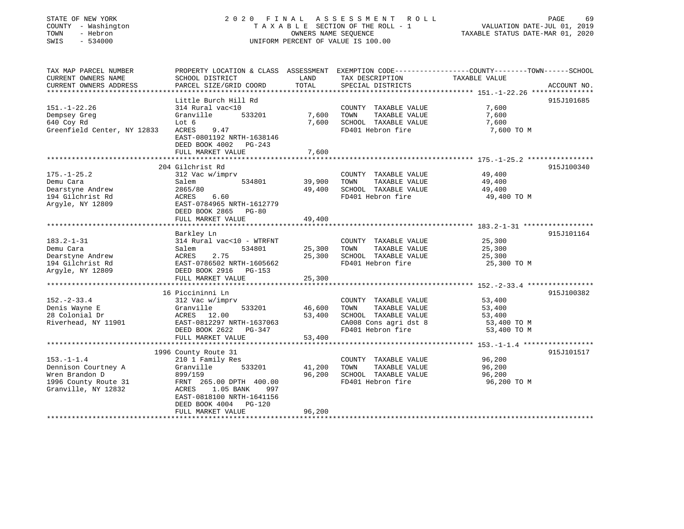|        | STATE OF NEW YORK   |  |
|--------|---------------------|--|
|        | COUNTY - Washington |  |
| :OWN   | - Hebron            |  |
| ם דהזו | F 21000             |  |

## STATE OF NEW YORK 2 0 2 0 F I N A L A S S E S S M E N T R O L L PAGE 69T A X A B L E SECTION OF THE ROLL - 1<br>OWNERS NAME SEQUENCE SWIS - 534000 UNIFORM PERCENT OF VALUE IS 100.00

VALUATION DATE-JUL 01, 2019

TAXABLE STATUS DATE-MAR 01, 2020

| TAX MAP PARCEL NUMBER                         | PROPERTY LOCATION & CLASS ASSESSMENT EXEMPTION CODE---------------COUNTY-------TOWN------SCHOOL |               |                                               |                  |             |
|-----------------------------------------------|-------------------------------------------------------------------------------------------------|---------------|-----------------------------------------------|------------------|-------------|
| CURRENT OWNERS NAME<br>CURRENT OWNERS ADDRESS | SCHOOL DISTRICT<br>PARCEL SIZE/GRID COORD                                                       | LAND<br>TOTAL | TAX DESCRIPTION<br>SPECIAL DISTRICTS          | TAXABLE VALUE    | ACCOUNT NO. |
|                                               |                                                                                                 |               |                                               |                  |             |
|                                               | Little Burch Hill Rd                                                                            |               |                                               |                  | 915J101685  |
| $151. - 1 - 22.26$                            | 314 Rural vac<10                                                                                |               | COUNTY TAXABLE VALUE                          | 7,600            |             |
| Dempsey Greg                                  | Granville<br>533201                                                                             | 7,600         | TOWN<br>TAXABLE VALUE                         | 7,600            |             |
| 640 Coy Rd                                    | Lot 6                                                                                           | 7,600         | SCHOOL TAXABLE VALUE                          | 7,600            |             |
| Greenfield Center, NY 12833                   | ACRES<br>9.47                                                                                   |               | FD401 Hebron fire                             | 7,600 TO M       |             |
|                                               | EAST-0801192 NRTH-1638146                                                                       |               |                                               |                  |             |
|                                               | DEED BOOK 4002 PG-243                                                                           |               |                                               |                  |             |
|                                               | FULL MARKET VALUE                                                                               | 7,600         |                                               |                  |             |
|                                               |                                                                                                 |               |                                               |                  |             |
|                                               | 204 Gilchrist Rd                                                                                |               |                                               |                  | 915J100340  |
| $175. - 1 - 25.2$<br>Demu Cara                | 312 Vac w/imprv<br>534801                                                                       | 39,900        | COUNTY TAXABLE VALUE<br>TOWN<br>TAXABLE VALUE | 49,400<br>49,400 |             |
| Dearstyne Andrew                              | Salem<br>2865/80                                                                                | 49,400        | SCHOOL TAXABLE VALUE                          | 49,400           |             |
| 194 Gilchrist Rd                              | ACRES<br>6.60                                                                                   |               | FD401 Hebron fire                             | 49,400 TO M      |             |
| Arqyle, NY 12809                              | EAST-0784965 NRTH-1612779                                                                       |               |                                               |                  |             |
|                                               | DEED BOOK 2865 PG-80                                                                            |               |                                               |                  |             |
|                                               | FULL MARKET VALUE                                                                               | 49,400        |                                               |                  |             |
|                                               |                                                                                                 |               |                                               |                  |             |
|                                               | Barkley Ln                                                                                      |               |                                               |                  | 915J101164  |
| $183.2 - 1 - 31$                              | 314 Rural vac<10 - WTRFNT                                                                       |               | COUNTY TAXABLE VALUE                          | 25,300           |             |
| Demu Cara                                     | 534801<br>Salem                                                                                 | 25,300        | TOWN<br>TAXABLE VALUE                         | 25,300           |             |
| Dearstyne Andrew                              | 2.75<br>ACRES                                                                                   | 25,300        | SCHOOL TAXABLE VALUE                          | 25,300           |             |
| 194 Gilchrist Rd                              | EAST-0786502 NRTH-1605662                                                                       |               | FD401 Hebron fire                             | 25,300 TO M      |             |
| Argyle, NY 12809                              | DEED BOOK 2916 PG-153                                                                           |               |                                               |                  |             |
|                                               | FULL MARKET VALUE                                                                               | 25,300        |                                               |                  |             |
|                                               |                                                                                                 |               |                                               |                  |             |
|                                               | 16 Piccininni Ln                                                                                |               |                                               |                  | 915J100382  |
| $152 - 2 - 33.4$                              | 312 Vac w/imprv                                                                                 |               | COUNTY TAXABLE VALUE                          | 53,400           |             |
| Denis Wayne E                                 | 533201<br>Granville                                                                             | 46,600        | TAXABLE VALUE<br>TOWN                         | 53,400           |             |
| 28 Colonial Dr<br>Riverhead, NY 11901         | ACRES 12.00<br>EAST-0812297 NRTH-1637063                                                        | 53,400        | SCHOOL TAXABLE VALUE                          | 53,400           |             |
|                                               |                                                                                                 |               | CA008 Cons agri dst 8                         | 53,400 TO M      |             |
|                                               | DEED BOOK 2622 PG-347<br>FULL MARKET VALUE                                                      | 53,400        | FD401 Hebron fire                             | 53,400 TO M      |             |
|                                               |                                                                                                 |               |                                               |                  |             |
|                                               | 1996 County Route 31                                                                            |               |                                               |                  | 915J101517  |
| $153. - 1 - 1.4$                              | 210 1 Family Res                                                                                |               | COUNTY TAXABLE VALUE                          | 96,200           |             |
| Dennison Courtney A                           | Granville<br>533201                                                                             | 41,200        | TOWN<br>TAXABLE VALUE                         | 96,200           |             |
| Wren Brandon D                                | 899/159                                                                                         | 96,200        | SCHOOL TAXABLE VALUE                          | 96,200           |             |
| 1996 County Route 31                          | FRNT 265.00 DPTH 400.00                                                                         |               | FD401 Hebron fire                             | 96,200 TO M      |             |
| Granville, NY 12832                           | 1.05 BANK<br>ACRES<br>997                                                                       |               |                                               |                  |             |
|                                               | EAST-0818100 NRTH-1641156                                                                       |               |                                               |                  |             |
|                                               | DEED BOOK 4004 PG-120                                                                           |               |                                               |                  |             |
|                                               | FULL MARKET VALUE                                                                               | 96,200        |                                               |                  |             |
|                                               |                                                                                                 |               |                                               |                  |             |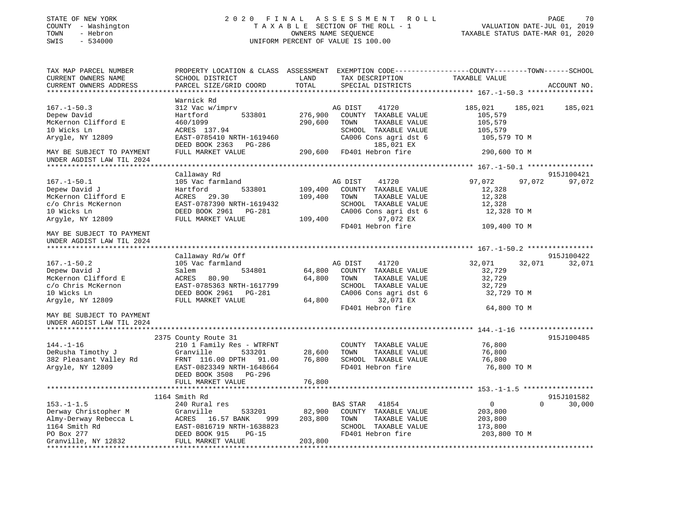| STATE OF NEW YORK<br>COUNTY - Washington<br>TOWN<br>- Hebron<br>SWIS<br>$-534000$                                       | 2020 FINAL<br>A S S E S S M E N T<br>R O L L<br>TAXABLE SECTION OF THE ROLL - 1<br>OWNERS NAME SEQUENCE<br>UNIFORM PERCENT OF VALUE IS 100.00                                       |                              |                                                                                                                                                      | PAGE<br>70<br>VALUATION DATE-JUL 01, 2019<br>TAXABLE STATUS DATE-MAR 01, 2020 |             |  |
|-------------------------------------------------------------------------------------------------------------------------|-------------------------------------------------------------------------------------------------------------------------------------------------------------------------------------|------------------------------|------------------------------------------------------------------------------------------------------------------------------------------------------|-------------------------------------------------------------------------------|-------------|--|
| TAX MAP PARCEL NUMBER<br>CURRENT OWNERS NAME<br>CURRENT OWNERS ADDRESS                                                  | SCHOOL DISTRICT<br>PARCEL SIZE/GRID COORD                                                                                                                                           | LAND<br>TOTAL                | PROPERTY LOCATION & CLASS ASSESSMENT EXEMPTION CODE----------------COUNTY-------TOWN-----SCHOOL<br>TAX DESCRIPTION<br>SPECIAL DISTRICTS              | TAXABLE VALUE                                                                 | ACCOUNT NO. |  |
|                                                                                                                         | Warnick Rd                                                                                                                                                                          |                              |                                                                                                                                                      |                                                                               |             |  |
| $167. - 1 - 50.3$<br>Depew David<br>McKernon Clifford E<br>10 Wicks Ln<br>Arygle, NY 12809                              | 312 Vac w/imprv<br>Hartford<br>533801<br>460/1099<br>ACRES 137.94<br>EAST-0785410 NRTH-1619460<br>DEED BOOK 2363 PG-286                                                             | 276,900<br>290,600           | AG DIST<br>41720<br>COUNTY TAXABLE VALUE<br>TOWN<br>TAXABLE VALUE<br>SCHOOL TAXABLE VALUE<br>CA006 Cons agri dst 6<br>185,021 EX                     | 185,021<br>185,021<br>105,579<br>105,579<br>105,579<br>105,579 TO M           | 185,021     |  |
| MAY BE SUBJECT TO PAYMENT                                                                                               | FULL MARKET VALUE                                                                                                                                                                   | 290,600                      | FD401 Hebron fire                                                                                                                                    | 290,600 TO M                                                                  |             |  |
| UNDER AGDIST LAW TIL 2024                                                                                               |                                                                                                                                                                                     |                              |                                                                                                                                                      |                                                                               |             |  |
|                                                                                                                         | Callaway Rd                                                                                                                                                                         |                              |                                                                                                                                                      |                                                                               | 915J100421  |  |
| $167. - 1 - 50.1$<br>Depew David J<br>McKernon Clifford E<br>c/o Chris McKernon<br>10 Wicks Ln                          | 105 Vac farmland<br>Hartford<br>533801<br>ACRES<br>29.30<br>EAST-0787390 NRTH-1619432<br>DEED BOOK 2961<br>PG-281                                                                   | 109,400<br>109,400           | AG DIST<br>41720<br>COUNTY TAXABLE VALUE<br>TOWN<br>TAXABLE VALUE<br>SCHOOL TAXABLE VALUE<br>CA006 Cons agri dst 6                                   | 97,072<br>97,072<br>12,328<br>12,328<br>12,328<br>12,328 TO M                 | 97,072      |  |
| Argyle, NY 12809                                                                                                        | FULL MARKET VALUE                                                                                                                                                                   | 109,400                      | 97,072 EX<br>FD401 Hebron fire                                                                                                                       | 109,400 TO M                                                                  |             |  |
| MAY BE SUBJECT TO PAYMENT<br>UNDER AGDIST LAW TIL 2024                                                                  |                                                                                                                                                                                     |                              |                                                                                                                                                      |                                                                               |             |  |
|                                                                                                                         | Callaway Rd/w Off                                                                                                                                                                   |                              |                                                                                                                                                      |                                                                               | 915J100422  |  |
| $167. - 1 - 50.2$<br>Depew David J<br>McKernon Clifford E<br>c/o Chris McKernon<br>10 Wicks Ln<br>Argyle, NY 12809      | 105 Vac farmland<br>Salem<br>534801<br>80.90<br>ACRES<br>EAST-0785363 NRTH-1617799<br>DEED BOOK 2961<br>PG-281<br>FULL MARKET VALUE                                                 | 64,800<br>64,800<br>64,800   | AG DIST<br>41720<br>COUNTY TAXABLE VALUE<br>TAXABLE VALUE<br>TOWN<br>SCHOOL TAXABLE VALUE<br>CA006 Cons agri dst 6<br>32,071 EX<br>FD401 Hebron fire | 32,071<br>32,071<br>32,729<br>32,729<br>32,729<br>32,729 TO M<br>64,800 TO M  | 32,071      |  |
| MAY BE SUBJECT TO PAYMENT<br>UNDER AGDIST LAW TIL 2024                                                                  |                                                                                                                                                                                     |                              |                                                                                                                                                      |                                                                               |             |  |
| ***********************                                                                                                 |                                                                                                                                                                                     |                              |                                                                                                                                                      |                                                                               |             |  |
| $144. - 1 - 16$<br>DeRusha Timothy J<br>382 Pleasant Valley Rd<br>Argyle, NY 12809                                      | 2375 County Route 31<br>210 1 Family Res - WTRFNT<br>Granville<br>533201<br>FRNT 116.00 DPTH<br>91.00<br>EAST-0823349 NRTH-1648664<br>DEED BOOK 3508<br>PG-296<br>FULL MARKET VALUE | 28,600<br>76,800<br>76,800   | COUNTY TAXABLE VALUE<br>TOWN<br>TAXABLE VALUE<br>SCHOOL TAXABLE VALUE<br>FD401 Hebron fire                                                           | 76,800<br>76,800<br>76,800<br>76,800 TO M                                     | 915J100485  |  |
|                                                                                                                         |                                                                                                                                                                                     |                              |                                                                                                                                                      |                                                                               |             |  |
|                                                                                                                         | 1164 Smith Rd                                                                                                                                                                       |                              |                                                                                                                                                      |                                                                               | 915J101582  |  |
| $153. - 1 - 1.5$<br>Derway Christopher M<br>Almy-Derway Rebecca L<br>1164 Smith Rd<br>PO Box 277<br>Granville, NY 12832 | 240 Rural res<br>Granville<br>533201<br>ACRES<br>16.57 BANK<br>999<br>EAST-0816719 NRTH-1638823<br>DEED BOOK 915<br>$PG-15$<br>FULL MARKET VALUE                                    | 82,900<br>203,800<br>203,800 | BAS STAR<br>41854<br>COUNTY TAXABLE VALUE<br>TOWN<br>TAXABLE VALUE<br>SCHOOL TAXABLE VALUE<br>FD401 Hebron fire                                      | $\mathbf{0}$<br>$\Omega$<br>203,800<br>203,800<br>173,800<br>203,800 TO M     | 30,000      |  |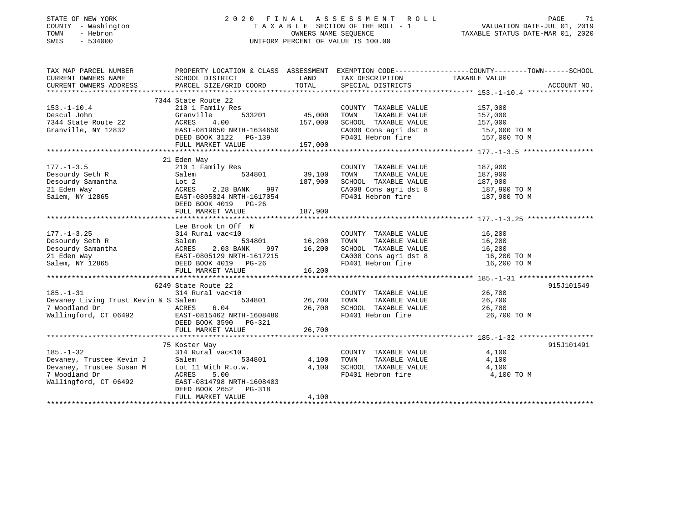#### STATE OF NEW YORK 2 0 2 0 F I N A L A S S E S S M E N T R O L L PAGE 71 COUNTY - Washington T A X A B L E SECTION OF THE ROLL - 1 VALUATION DATE-JUL 01, 2019 TOWN - Hebron OWNERS NAME SEQUENCE TAXABLE STATUS DATE-MAR 01, 2020 SWIS - 534000 UNIFORM PERCENT OF VALUE IS 100.00

| TAX MAP PARCEL NUMBER                                                                                                                                                                                                                                                                                                                                                                                                                                                                                         |                                                                                                                                                                                                                                                                 |         |                                                                                                                                                                                                    | PROPERTY LOCATION & CLASS ASSESSMENT EXEMPTION CODE----------------COUNTY-------TOWN-----SCHOOL |            |
|---------------------------------------------------------------------------------------------------------------------------------------------------------------------------------------------------------------------------------------------------------------------------------------------------------------------------------------------------------------------------------------------------------------------------------------------------------------------------------------------------------------|-----------------------------------------------------------------------------------------------------------------------------------------------------------------------------------------------------------------------------------------------------------------|---------|----------------------------------------------------------------------------------------------------------------------------------------------------------------------------------------------------|-------------------------------------------------------------------------------------------------|------------|
|                                                                                                                                                                                                                                                                                                                                                                                                                                                                                                               |                                                                                                                                                                                                                                                                 |         |                                                                                                                                                                                                    |                                                                                                 |            |
|                                                                                                                                                                                                                                                                                                                                                                                                                                                                                                               |                                                                                                                                                                                                                                                                 |         |                                                                                                                                                                                                    |                                                                                                 |            |
|                                                                                                                                                                                                                                                                                                                                                                                                                                                                                                               |                                                                                                                                                                                                                                                                 |         |                                                                                                                                                                                                    |                                                                                                 |            |
|                                                                                                                                                                                                                                                                                                                                                                                                                                                                                                               | 7344 State Route 22<br>State Route 22<br>210 1 Family Res<br>Granville 533201 45,000 TOWN TAXABLE VALUE 157,000<br>ACRES 4.00 157,000 SCHOOL TAXABLE VALUE 157,000<br>EAST-0819650 NRTH-1634650 157,000 SCHOOL TAXABLE VALUE 157,000<br>DEED BOOK 3122 PG-139 F |         |                                                                                                                                                                                                    |                                                                                                 |            |
| $153.-1-10.4$                                                                                                                                                                                                                                                                                                                                                                                                                                                                                                 |                                                                                                                                                                                                                                                                 |         |                                                                                                                                                                                                    |                                                                                                 |            |
|                                                                                                                                                                                                                                                                                                                                                                                                                                                                                                               |                                                                                                                                                                                                                                                                 |         |                                                                                                                                                                                                    |                                                                                                 |            |
| Descul John<br>7344 State Route 22<br>Granville, NY 12832                                                                                                                                                                                                                                                                                                                                                                                                                                                     |                                                                                                                                                                                                                                                                 |         |                                                                                                                                                                                                    |                                                                                                 |            |
|                                                                                                                                                                                                                                                                                                                                                                                                                                                                                                               |                                                                                                                                                                                                                                                                 |         |                                                                                                                                                                                                    |                                                                                                 |            |
|                                                                                                                                                                                                                                                                                                                                                                                                                                                                                                               |                                                                                                                                                                                                                                                                 |         | CA008 Cons agri dst 8 157,000 TO M<br>FD401 Hebron fire 157,000 TO M                                                                                                                               |                                                                                                 |            |
|                                                                                                                                                                                                                                                                                                                                                                                                                                                                                                               | FULL MARKET VALUE                                                                                                                                                                                                                                               | 157,000 |                                                                                                                                                                                                    |                                                                                                 |            |
|                                                                                                                                                                                                                                                                                                                                                                                                                                                                                                               |                                                                                                                                                                                                                                                                 |         |                                                                                                                                                                                                    |                                                                                                 |            |
|                                                                                                                                                                                                                                                                                                                                                                                                                                                                                                               | 21 Eden Way                                                                                                                                                                                                                                                     |         |                                                                                                                                                                                                    |                                                                                                 |            |
| $177. - 1 - 3.5$                                                                                                                                                                                                                                                                                                                                                                                                                                                                                              |                                                                                                                                                                                                                                                                 |         |                                                                                                                                                                                                    |                                                                                                 |            |
|                                                                                                                                                                                                                                                                                                                                                                                                                                                                                                               | 210 1 Family Res COUNTY<br>Salem 534801 39,100 TOWN                                                                                                                                                                                                             |         |                                                                                                                                                                                                    |                                                                                                 |            |
|                                                                                                                                                                                                                                                                                                                                                                                                                                                                                                               |                                                                                                                                                                                                                                                                 |         |                                                                                                                                                                                                    |                                                                                                 |            |
|                                                                                                                                                                                                                                                                                                                                                                                                                                                                                                               |                                                                                                                                                                                                                                                                 |         |                                                                                                                                                                                                    |                                                                                                 |            |
| 177.-1-3.5<br>Desourdy Seth R<br>Desourdy Samantha<br>21 Eden Way<br>Salem 534801<br>21 Eden Way<br>2.28 BANK 997<br>Salem, NY 12865<br>EAST-0805024 NRTH-1617054<br>Salem, NY 12865                                                                                                                                                                                                                                                                                                                          |                                                                                                                                                                                                                                                                 |         | CA008 Cons agri dst 8 187,900 TO M<br>FD401 Hebron fire 187,900 TO M                                                                                                                               |                                                                                                 |            |
|                                                                                                                                                                                                                                                                                                                                                                                                                                                                                                               | DEED BOOK 4019 PG-26                                                                                                                                                                                                                                            |         |                                                                                                                                                                                                    |                                                                                                 |            |
|                                                                                                                                                                                                                                                                                                                                                                                                                                                                                                               |                                                                                                                                                                                                                                                                 |         |                                                                                                                                                                                                    |                                                                                                 |            |
|                                                                                                                                                                                                                                                                                                                                                                                                                                                                                                               |                                                                                                                                                                                                                                                                 |         |                                                                                                                                                                                                    |                                                                                                 |            |
|                                                                                                                                                                                                                                                                                                                                                                                                                                                                                                               |                                                                                                                                                                                                                                                                 |         |                                                                                                                                                                                                    |                                                                                                 |            |
|                                                                                                                                                                                                                                                                                                                                                                                                                                                                                                               | Lee Brook Ln Off N                                                                                                                                                                                                                                              |         |                                                                                                                                                                                                    |                                                                                                 |            |
|                                                                                                                                                                                                                                                                                                                                                                                                                                                                                                               |                                                                                                                                                                                                                                                                 |         |                                                                                                                                                                                                    |                                                                                                 |            |
|                                                                                                                                                                                                                                                                                                                                                                                                                                                                                                               |                                                                                                                                                                                                                                                                 |         |                                                                                                                                                                                                    |                                                                                                 |            |
|                                                                                                                                                                                                                                                                                                                                                                                                                                                                                                               |                                                                                                                                                                                                                                                                 |         |                                                                                                                                                                                                    |                                                                                                 |            |
|                                                                                                                                                                                                                                                                                                                                                                                                                                                                                                               |                                                                                                                                                                                                                                                                 |         |                                                                                                                                                                                                    |                                                                                                 |            |
|                                                                                                                                                                                                                                                                                                                                                                                                                                                                                                               |                                                                                                                                                                                                                                                                 |         |                                                                                                                                                                                                    |                                                                                                 |            |
|                                                                                                                                                                                                                                                                                                                                                                                                                                                                                                               |                                                                                                                                                                                                                                                                 |         |                                                                                                                                                                                                    |                                                                                                 |            |
|                                                                                                                                                                                                                                                                                                                                                                                                                                                                                                               |                                                                                                                                                                                                                                                                 |         |                                                                                                                                                                                                    |                                                                                                 |            |
|                                                                                                                                                                                                                                                                                                                                                                                                                                                                                                               | 6249 State Route 22                                                                                                                                                                                                                                             |         |                                                                                                                                                                                                    |                                                                                                 | 915J101549 |
| $185. - 1 - 31$                                                                                                                                                                                                                                                                                                                                                                                                                                                                                               |                                                                                                                                                                                                                                                                 |         |                                                                                                                                                                                                    |                                                                                                 |            |
| Devaney Living Trust Kevin & S Salem                                                                                                                                                                                                                                                                                                                                                                                                                                                                          | 314 Rural vac<10 COUNTY<br>Salem 534801 26,700 TOWN                                                                                                                                                                                                             |         | $\begin{tabular}{lllllllll} \multicolumn{2}{c}{\textbf{COUNTY}} & \textbf{TAXABLE VALUE} & & & 26,700 \\ \multicolumn{2}{c}{\textbf{TOWN}} & \textbf{TAXABLE VALUE} & & & 26,700 \\ \end{tabular}$ |                                                                                                 |            |
|                                                                                                                                                                                                                                                                                                                                                                                                                                                                                                               |                                                                                                                                                                                                                                                                 |         | 26,700 SCHOOL TAXABLE VALUE 26,700                                                                                                                                                                 |                                                                                                 |            |
|                                                                                                                                                                                                                                                                                                                                                                                                                                                                                                               |                                                                                                                                                                                                                                                                 |         | FD401 Hebron fire                                                                                                                                                                                  | 26,700 TO M                                                                                     |            |
|                                                                                                                                                                                                                                                                                                                                                                                                                                                                                                               | DEED BOOK 3590 PG-321                                                                                                                                                                                                                                           |         |                                                                                                                                                                                                    |                                                                                                 |            |
|                                                                                                                                                                                                                                                                                                                                                                                                                                                                                                               |                                                                                                                                                                                                                                                                 |         |                                                                                                                                                                                                    |                                                                                                 |            |
|                                                                                                                                                                                                                                                                                                                                                                                                                                                                                                               |                                                                                                                                                                                                                                                                 |         |                                                                                                                                                                                                    |                                                                                                 |            |
|                                                                                                                                                                                                                                                                                                                                                                                                                                                                                                               | 75 Koster Way<br>noster Way<br>314 Rural vac<10<br>---                                                                                                                                                                                                          |         |                                                                                                                                                                                                    |                                                                                                 | 915J101491 |
|                                                                                                                                                                                                                                                                                                                                                                                                                                                                                                               |                                                                                                                                                                                                                                                                 |         |                                                                                                                                                                                                    |                                                                                                 |            |
|                                                                                                                                                                                                                                                                                                                                                                                                                                                                                                               |                                                                                                                                                                                                                                                                 |         |                                                                                                                                                                                                    |                                                                                                 |            |
|                                                                                                                                                                                                                                                                                                                                                                                                                                                                                                               |                                                                                                                                                                                                                                                                 |         |                                                                                                                                                                                                    |                                                                                                 |            |
| $\begin{tabular}{lllllllllllllllllll} \multicolumn{4}{c}{\begin{tabular}{l} \multicolumn{4}{c}{\begin{tabular}{l} \multicolumn{4}{c}{\begin{tabular}{l} \multicolumn{4}{c}{\begin{tabular}{l} \multicolumn{4}{c}{\begin{tabular}{l} \multicolumn{4}{c}{\begin{tabular}{l} \multicolumn{4}{c}{\begin{tabular}{c} \multicolumn{4}{c}{\begin{tabular}{c} \multicolumn{4}{c}{\begin{tabular}{c} \multicolumn{4}{c}{\begin{tabular}{c} \multicolumn{4}{c}{\begin{tabular}{c} \multicolumn{4}{c}{\begin{tabular}{c$ |                                                                                                                                                                                                                                                                 |         |                                                                                                                                                                                                    | 4,100 TO M                                                                                      |            |
|                                                                                                                                                                                                                                                                                                                                                                                                                                                                                                               |                                                                                                                                                                                                                                                                 |         |                                                                                                                                                                                                    |                                                                                                 |            |
|                                                                                                                                                                                                                                                                                                                                                                                                                                                                                                               | DEED BOOK 2652 PG-318                                                                                                                                                                                                                                           |         |                                                                                                                                                                                                    |                                                                                                 |            |
|                                                                                                                                                                                                                                                                                                                                                                                                                                                                                                               | FULL MARKET VALUE                                                                                                                                                                                                                                               | 4,100   |                                                                                                                                                                                                    |                                                                                                 |            |
|                                                                                                                                                                                                                                                                                                                                                                                                                                                                                                               |                                                                                                                                                                                                                                                                 |         |                                                                                                                                                                                                    |                                                                                                 |            |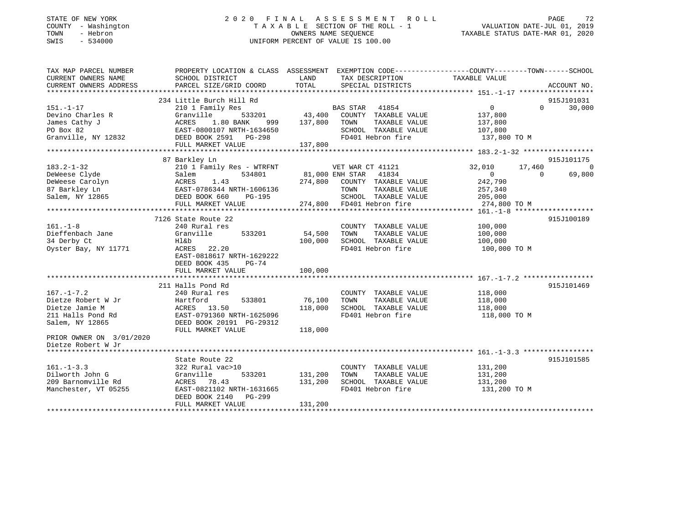#### STATE OF NEW YORK 2 0 2 0 F I N A L A S S E S S M E N T R O L L PAGE 72 COUNTY - Washington T A X A B L E SECTION OF THE ROLL - 1 VALUATION DATE-JUL 01, 2019 TOWN - Hebron OWNERS NAME SEQUENCE TAXABLE STATUS DATE-MAR 01, 2020 SWIS - 534000 UNIFORM PERCENT OF VALUE IS 100.00

| TAX MAP PARCEL NUMBER                                                                                                                                           | PROPERTY LOCATION & CLASS ASSESSMENT EXEMPTION CODE---------------COUNTY-------TOWN-----SCHOOL |         |                              |                    |                    |                |
|-----------------------------------------------------------------------------------------------------------------------------------------------------------------|------------------------------------------------------------------------------------------------|---------|------------------------------|--------------------|--------------------|----------------|
| CURRENT OWNERS NAME                                                                                                                                             | SCHOOL DISTRICT                                                                                | LAND    | TAX DESCRIPTION              | TAXABLE VALUE      |                    |                |
| CURRENT OWNERS ADDRESS                                                                                                                                          | PARCEL SIZE/GRID COORD                                                                         | TOTAL   | SPECIAL DISTRICTS            |                    | ACCOUNT NO.        |                |
|                                                                                                                                                                 |                                                                                                |         |                              |                    |                    |                |
|                                                                                                                                                                 | 234 Little Burch Hill Rd                                                                       |         |                              |                    | 915J101031         |                |
| $151. - 1 - 17$                                                                                                                                                 | 210 1 Family Res                                                                               |         |                              | $\overline{0}$     | 30,000<br>$\Omega$ |                |
| Devino Charles R                                                                                                                                                | Granville                                                                                      |         |                              | 137,800            |                    |                |
| James Cathy J                                                                                                                                                   | 1.80 BANK 999 137,800 TOWN                                                                     |         | TAXABLE VALUE                | 137,800<br>107,800 |                    |                |
| PO Box 82                                                                                                                                                       | ACRES 1.80 BANA (22)<br>EAST-0800107 NRTH-1634650                                              |         | SCHOOL TAXABLE VALUE         |                    |                    |                |
| Granville, NY 12832 DEED BOOK 2591 PG-298                                                                                                                       |                                                                                                |         | FD401 Hebron fire            | 137,800 TO M       |                    |                |
|                                                                                                                                                                 |                                                                                                |         |                              |                    |                    |                |
|                                                                                                                                                                 |                                                                                                |         |                              |                    |                    |                |
|                                                                                                                                                                 | 87 Barkley Ln                                                                                  |         |                              |                    | 915J101175         |                |
| $183.2 - 1 - 32$                                                                                                                                                | 210 1 Family Res - WTRFNT VET WAR CT 41121                                                     |         |                              | 32,010             | 17,460             | $\overline{0}$ |
| DeWeese Clyde and the Salem and Salem S34801<br>DeWeese Carolyn Salem 534801<br>87 Barkley Ln EAST-0786344 NRTH-1606136<br>Salem, NY 12865 DEED BOOK 660 PG-195 |                                                                                                |         | 534801 81,000 ENH STAR 41834 | $\overline{0}$     | 69,800<br>$\Omega$ |                |
|                                                                                                                                                                 |                                                                                                |         | 274,800 COUNTY TAXABLE VALUE | 242,790            |                    |                |
|                                                                                                                                                                 |                                                                                                |         | TOWN<br>TAXABLE VALUE        | 257,340            |                    |                |
|                                                                                                                                                                 |                                                                                                |         | SCHOOL TAXABLE VALUE 205,000 |                    |                    |                |
|                                                                                                                                                                 | FULL MARKET VALUE                                                                              |         | 274,800 FD401 Hebron fire    | 274,800 TO M       |                    |                |
|                                                                                                                                                                 |                                                                                                |         |                              |                    |                    |                |
|                                                                                                                                                                 | 7126 State Route 22                                                                            |         |                              |                    | 915J100189         |                |
| $161. - 1 - 8$                                                                                                                                                  | 240 Rural res                                                                                  |         | COUNTY TAXABLE VALUE 100,000 |                    |                    |                |
| Dieffenbach Jane                                                                                                                                                | 533201<br>Granville                                                                            | 54,500  | TOWN<br>TAXABLE VALUE        | 100,000            |                    |                |
| 34 Derby Ct                                                                                                                                                     | Hl&b                                                                                           | 100,000 | SCHOOL TAXABLE VALUE         | 100,000            |                    |                |
| Oyster Bay, NY 11771                                                                                                                                            | ACRES 22.20                                                                                    |         | FD401 Hebron fire            | 100,000 TO M       |                    |                |
|                                                                                                                                                                 | EAST-0818617 NRTH-1629222                                                                      |         |                              |                    |                    |                |
|                                                                                                                                                                 | DEED BOOK 435<br>$PG-74$                                                                       |         |                              |                    |                    |                |
|                                                                                                                                                                 | FULL MARKET VALUE                                                                              | 100,000 |                              |                    |                    |                |
|                                                                                                                                                                 |                                                                                                |         |                              |                    |                    |                |
|                                                                                                                                                                 | 211 Halls Pond Rd                                                                              |         |                              |                    | 915J101469         |                |
| $167. - 1 - 7.2$                                                                                                                                                | 240 Rural res                                                                                  |         | COUNTY TAXABLE VALUE         | 118,000<br>118,000 |                    |                |
| Dietze Robert W Jr                                                                                                                                              | 533801<br>Hartford                                                                             | 76,100  | TAXABLE VALUE<br>TOWN        |                    |                    |                |
| Dietze Jamie M                                                                                                                                                  |                                                                                                | 118,000 | SCHOOL TAXABLE VALUE 118,000 |                    |                    |                |
| 211 Halls Pond Rd                                                                                                                                               | لله ACRES 13.50<br>A EAST-0791360 NRTH-1625096                                                 |         | FD401 Hebron fire            | 118,000 TO M       |                    |                |
| Salem, NY 12865                                                                                                                                                 | DEED BOOK 20191 PG-29312                                                                       |         |                              |                    |                    |                |
|                                                                                                                                                                 | FULL MARKET VALUE                                                                              | 118,000 |                              |                    |                    |                |
| PRIOR OWNER ON 3/01/2020                                                                                                                                        |                                                                                                |         |                              |                    |                    |                |
| Dietze Robert W Jr                                                                                                                                              |                                                                                                |         |                              |                    |                    |                |
|                                                                                                                                                                 |                                                                                                |         |                              |                    |                    |                |
|                                                                                                                                                                 | State Route 22                                                                                 |         |                              |                    | 915J101585         |                |
| $161. - 1 - 3.3$                                                                                                                                                | 322 Rural vac>10                                                                               |         | COUNTY TAXABLE VALUE         | 131,200<br>131,200 |                    |                |
| Dilworth John G                                                                                                                                                 | Granville<br>533201                                                                            | 131,200 | TAXABLE VALUE<br>TOWN        |                    |                    |                |
| 209 Barnomville Rd                                                                                                                                              | ACRES<br>78.43                                                                                 | 131,200 | SCHOOL TAXABLE VALUE 131,200 |                    |                    |                |
| Manchester, VT 05255                                                                                                                                            | EAST-0821102 NRTH-1631665                                                                      |         | FD401 Hebron fire            | 131,200 TO M       |                    |                |
|                                                                                                                                                                 | DEED BOOK 2140 PG-299                                                                          |         |                              |                    |                    |                |
|                                                                                                                                                                 | FULL MARKET VALUE                                                                              | 131,200 |                              |                    |                    |                |
|                                                                                                                                                                 |                                                                                                |         |                              |                    |                    |                |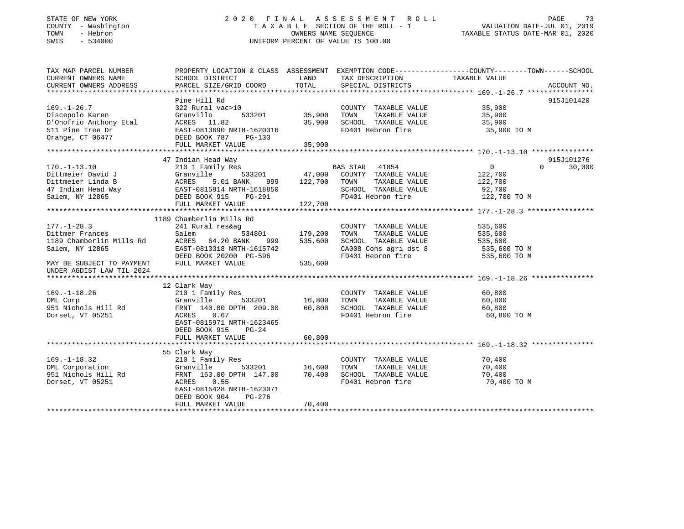#### STATE OF NEW YORK 2 0 2 0 F I N A L A S S E S S M E N T R O L L PAGE 73 COUNTY - Washington T A X A B L E SECTION OF THE ROLL - 1 VALUATION DATE-JUL 01, 2019 TOWN - Hebron OWNERS NAME SEQUENCE TAXABLE STATUS DATE-MAR 01, 2020 SWIS - 534000 UNIFORM PERCENT OF VALUE IS 100.00

| TAX MAP PARCEL NUMBER                                                                                                                                                                                                            |                                                                                  |                                              |                                                                           | PROPERTY LOCATION & CLASS ASSESSMENT EXEMPTION CODE----------------COUNTY-------TOWN------SCHOOL |                    |
|----------------------------------------------------------------------------------------------------------------------------------------------------------------------------------------------------------------------------------|----------------------------------------------------------------------------------|----------------------------------------------|---------------------------------------------------------------------------|--------------------------------------------------------------------------------------------------|--------------------|
| CURRENT OWNERS NAME                                                                                                                                                                                                              | SCHOOL DISTRICT                                                                  | LAND                                         | TAX DESCRIPTION                                                           | TAXABLE VALUE                                                                                    |                    |
| CURRENT OWNERS ADDRESS                                                                                                                                                                                                           | PARCEL SIZE/GRID COORD                                                           | TOTAL                                        | SPECIAL DISTRICTS                                                         |                                                                                                  | ACCOUNT NO.        |
|                                                                                                                                                                                                                                  | Pine Hill Rd                                                                     |                                              |                                                                           |                                                                                                  | 915J101420         |
| $169. - 1 - 26.7$                                                                                                                                                                                                                | 322 Rural vac>10                                                                 |                                              | COUNTY TAXABLE VALUE 35,900                                               |                                                                                                  |                    |
| Discepolo Karen                                                                                                                                                                                                                  | Granville                                                                        | 533201 35,900                                | TAXABLE VALUE                                                             |                                                                                                  |                    |
|                                                                                                                                                                                                                                  |                                                                                  |                                              | SCHOOL TAXABLE VALUE 35,900                                               |                                                                                                  |                    |
| Discepolo Karen Granville 533201 35,900<br>D'Onofrio Anthony Etal ACRES 11.82 35,900<br>511 Pine Tree Dr EAST-0813690 NRTH-1620316<br>Orange, CT 06477 DEED BOOK 787 PG-133                                                      |                                                                                  |                                              | FD401 Hebron fire                                                         | 35,900 TO M                                                                                      |                    |
|                                                                                                                                                                                                                                  |                                                                                  |                                              |                                                                           |                                                                                                  |                    |
|                                                                                                                                                                                                                                  | FULL MARKET VALUE                                                                | 35,900                                       |                                                                           |                                                                                                  |                    |
|                                                                                                                                                                                                                                  |                                                                                  |                                              |                                                                           |                                                                                                  |                    |
|                                                                                                                                                                                                                                  | 47 Indian Head Way                                                               |                                              |                                                                           |                                                                                                  | 915J101276         |
| $170. - 1 - 13.10$                                                                                                                                                                                                               | 210 1 Family Res                                                                 |                                              | <b>BAS STAR 41854</b>                                                     | 0                                                                                                | $\Omega$<br>30,000 |
|                                                                                                                                                                                                                                  | 533201 47,000                                                                    |                                              | COUNTY TAXABLE VALUE 122,700                                              |                                                                                                  |                    |
|                                                                                                                                                                                                                                  |                                                                                  | 999 122,700                                  | TOWN                                                                      |                                                                                                  |                    |
|                                                                                                                                                                                                                                  |                                                                                  |                                              | TOWN TAXABLE VALUE 122,700<br>SCHOOL TAXABLE VALUE 92,700                 |                                                                                                  |                    |
|                                                                                                                                                                                                                                  |                                                                                  |                                              | FD401 Hebron fire 122,700 TO M                                            |                                                                                                  |                    |
| 170.-1-13.10<br>Dittmeier David J (Granville 533201 47,000<br>Dittmeier Linda B ACRES 5.01 BANK 999 122,700<br>47 Indian Head Way EAST-0815914 NRTH-1618850<br>Salem, NY 12865 DEED BOOK 915 PG-291<br>FULL MARKET VALUE 122,700 |                                                                                  |                                              |                                                                           |                                                                                                  |                    |
|                                                                                                                                                                                                                                  |                                                                                  |                                              |                                                                           |                                                                                                  |                    |
|                                                                                                                                                                                                                                  | 1189 Chamberlin Mills Rd                                                         |                                              |                                                                           |                                                                                                  |                    |
| $177. - 1 - 28.3$                                                                                                                                                                                                                | 241 Rural res&ag                                                                 |                                              | COUNTY TAXABLE VALUE 535,600                                              |                                                                                                  |                    |
|                                                                                                                                                                                                                                  | Salem                                                                            |                                              | TOWN                                                                      |                                                                                                  |                    |
| Dittmer Frances<br>1189 Chamberlin Mills Rd                                                                                                                                                                                      | ACRES 64.20 BANK                                                                 | ,<br>534801    179,200<br>\NK  999   535,600 | TAXABLE VALUE 535,600<br>DL TAXABLE VALUE 535,600<br>SCHOOL TAXABLE VALUE |                                                                                                  |                    |
| Salem, NY 12865                                                                                                                                                                                                                  |                                                                                  |                                              | CA008 Cons agri dst 8 535,600 TO M                                        |                                                                                                  |                    |
|                                                                                                                                                                                                                                  |                                                                                  |                                              | FD401 Hebron fire                                                         | 535,600 TO M                                                                                     |                    |
| MAY BE SUBJECT TO PAYMENT                                                                                                                                                                                                        | EAST-0813318 NRTH-1615742<br>DEED BOOK 20200 PG-596<br>FULL MARKET VALUE 535,600 | 535,600                                      |                                                                           |                                                                                                  |                    |
| UNDER AGDIST LAW TIL 2024                                                                                                                                                                                                        |                                                                                  |                                              |                                                                           |                                                                                                  |                    |
|                                                                                                                                                                                                                                  |                                                                                  |                                              |                                                                           |                                                                                                  |                    |
|                                                                                                                                                                                                                                  | 12 Clark Way                                                                     |                                              |                                                                           |                                                                                                  |                    |
| $169. - 1 - 18.26$                                                                                                                                                                                                               | 210 1 Family Res                                                                 |                                              | COUNTY TAXABLE VALUE                                                      | 60,800                                                                                           |                    |
| DML Corp                                                                                                                                                                                                                         | 533201 16,800 TOWN<br>Granville                                                  |                                              | TAXABLE VALUE                                                             | 60,800                                                                                           |                    |
|                                                                                                                                                                                                                                  |                                                                                  |                                              |                                                                           |                                                                                                  |                    |
| Dorset, VT 05251                                                                                                                                                                                                                 | ACRES 0.67                                                                       |                                              | FD401 Hebron fire                                                         | 60,800 TO M                                                                                      |                    |
|                                                                                                                                                                                                                                  | EAST-0815971 NRTH-1623465                                                        |                                              |                                                                           |                                                                                                  |                    |
|                                                                                                                                                                                                                                  | DEED BOOK 915<br>$PG-24$                                                         |                                              |                                                                           |                                                                                                  |                    |
|                                                                                                                                                                                                                                  | FULL MARKET VALUE                                                                | 60,800                                       |                                                                           |                                                                                                  |                    |
|                                                                                                                                                                                                                                  |                                                                                  |                                              |                                                                           |                                                                                                  |                    |
|                                                                                                                                                                                                                                  | 55 Clark Way                                                                     |                                              |                                                                           |                                                                                                  |                    |
|                                                                                                                                                                                                                                  | 210 1 Family Res                                                                 |                                              | COUNTY TAXABLE VALUE                                                      | 70,400                                                                                           |                    |
| $169. -1 - 18.32$<br>DML Corporation                                                                                                                                                                                             |                                                                                  |                                              | TOWN<br>TAXABLE VALUE                                                     | 70,400                                                                                           |                    |
|                                                                                                                                                                                                                                  |                                                                                  |                                              | SCHOOL TAXABLE VALUE 70,400                                               |                                                                                                  |                    |
| Dorset, VT 05251                                                                                                                                                                                                                 | ACRES 0.55                                                                       |                                              | FD401 Hebron fire                                                         | 70,400 TO M                                                                                      |                    |
|                                                                                                                                                                                                                                  | EAST-0815428 NRTH-1623071                                                        |                                              |                                                                           |                                                                                                  |                    |
|                                                                                                                                                                                                                                  | DEED BOOK 904<br>PG-276                                                          |                                              |                                                                           |                                                                                                  |                    |
|                                                                                                                                                                                                                                  | FULL MARKET VALUE                                                                | 70,400                                       |                                                                           |                                                                                                  |                    |
|                                                                                                                                                                                                                                  |                                                                                  |                                              |                                                                           |                                                                                                  |                    |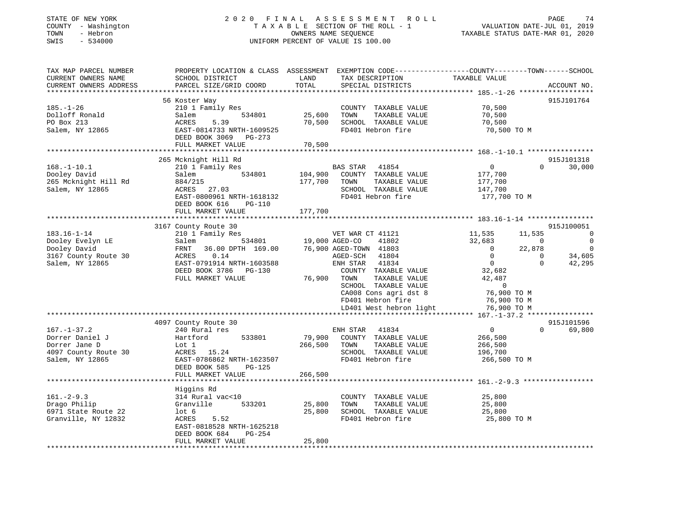#### STATE OF NEW YORK 2 0 2 0 F I N A L A S S E S S M E N T R O L L PAGE 74 COUNTY - Washington T A X A B L E SECTION OF THE ROLL - 1 VALUATION DATE-JUL 01, 2019 TOWN - Hebron OWNERS NAME SEQUENCE TAXABLE STATUS DATE-MAR 01, 2020 SWIS - 534000 UNIFORM PERCENT OF VALUE IS 100.00

| TAX MAP PARCEL NUMBER  | PROPERTY LOCATION & CLASS ASSESSMENT EXEMPTION CODE----------------COUNTY-------TOWN------SCHOOL |         |                                                |                |                          |
|------------------------|--------------------------------------------------------------------------------------------------|---------|------------------------------------------------|----------------|--------------------------|
| CURRENT OWNERS NAME    | SCHOOL DISTRICT                                                                                  | LAND    | TAX DESCRIPTION                                | TAXABLE VALUE  |                          |
| CURRENT OWNERS ADDRESS | PARCEL SIZE/GRID COORD                                                                           | TOTAL   | SPECIAL DISTRICTS                              |                | ACCOUNT NO.              |
|                        |                                                                                                  |         |                                                |                |                          |
|                        | 56 Koster Way                                                                                    |         |                                                |                | 915J101764               |
| $185. - 1 - 26$        | 210 1 Family Res                                                                                 |         | COUNTY TAXABLE VALUE                           | 70,500         |                          |
| Dolloff Ronald         | 534801<br>Salem                                                                                  | 25,600  | TAXABLE VALUE<br>TOWN                          | 70,500         |                          |
| PO Box 213             | 5.39<br>ACRES                                                                                    | 70,500  | SCHOOL TAXABLE VALUE                           | 70,500         |                          |
| Salem, NY 12865        | EAST-0814733 NRTH-1609525                                                                        |         | FD401 Hebron fire                              | 70,500 TO M    |                          |
|                        | DEED BOOK 3069 PG-273                                                                            |         |                                                |                |                          |
|                        | FULL MARKET VALUE                                                                                | 70,500  |                                                |                |                          |
|                        |                                                                                                  |         |                                                |                |                          |
|                        | 265 Mcknight Hill Rd                                                                             |         |                                                |                | 915J101318               |
| $168. - 1 - 10.1$      | 210 1 Family Res                                                                                 |         | BAS STAR 41854                                 | $\overline{0}$ | 30,000<br>$\Omega$       |
| Dooley David           | 534801<br>Salem                                                                                  | 104,900 | COUNTY TAXABLE VALUE                           | 177,700        |                          |
| 265 Mcknight Hill Rd   | 884/215                                                                                          | 177,700 | TOWN<br>TAXABLE VALUE                          | 177,700        |                          |
| Salem, NY 12865        | ACRES 27.03                                                                                      |         | SCHOOL TAXABLE VALUE                           | 147,700        |                          |
|                        | EAST-0800961 NRTH-1618132                                                                        |         | FD401 Hebron fire                              | 177,700 TO M   |                          |
|                        | DEED BOOK 616<br>PG-110                                                                          |         |                                                |                |                          |
|                        | FULL MARKET VALUE                                                                                | 177,700 |                                                |                |                          |
|                        |                                                                                                  |         |                                                |                |                          |
|                        | 3167 County Route 30                                                                             |         |                                                |                | 915J100051               |
| $183.16 - 1 - 14$      | 210 1 Family Res                                                                                 |         | VET WAR CT 41121                               | 11,535         | 11,535<br>$\overline{0}$ |
|                        | 534801                                                                                           |         |                                                | 32,683         | $\mathbf 0$<br>$\Omega$  |
| Dooley Evelyn LE       | Salem                                                                                            |         | 19,000 AGED-CO 41802<br>76,900 AGED-TOWN 41803 |                |                          |
| Dooley David           | FRNT 36.00 DPTH 169.00                                                                           |         |                                                | $\overline{0}$ | 22,878<br>$\mathbf 0$    |
| 3167 County Route 30   | 0.14<br>ACRES                                                                                    |         | AGED-SCH<br>41804                              | $\overline{0}$ | $\mathbf 0$<br>34,605    |
| Salem, NY 12865        | EAST-0791914 NRTH-1603588                                                                        |         | ENH STAR 41834                                 | $\overline{0}$ | $\Omega$<br>42,295       |
|                        | DEED BOOK 3786 PG-130                                                                            |         | COUNTY TAXABLE VALUE                           | 32,682         |                          |
|                        | FULL MARKET VALUE                                                                                | 76,900  | TAXABLE VALUE<br>TOWN                          | 42,487         |                          |
|                        |                                                                                                  |         | SCHOOL TAXABLE VALUE                           | $\overline{0}$ |                          |
|                        |                                                                                                  |         | CA008 Cons agri dst 8                          | 76,900 ТО М    |                          |
|                        |                                                                                                  |         | FD401 Hebron fire                              | 76,900 TO M    |                          |
|                        |                                                                                                  |         | LD401 West hebron light                        | 76,900 TO M    |                          |
|                        |                                                                                                  |         |                                                |                |                          |
|                        | 4097 County Route 30                                                                             |         |                                                |                | 915J101596               |
| $167. - 1 - 37.2$      | 240 Rural res                                                                                    |         | ENH STAR<br>41834                              | $\overline{0}$ | $\Omega$<br>69,800       |
| Dorrer Daniel J        | Hartford<br>533801                                                                               | 79,900  | COUNTY TAXABLE VALUE                           | 266,500        |                          |
| Dorrer Jane D          | Lot 1                                                                                            | 266,500 | TOWN<br>TAXABLE VALUE                          | 266,500        |                          |
| 4097 County Route 30   | ACRES 15.24                                                                                      |         | SCHOOL TAXABLE VALUE                           | 196,700        |                          |
| Salem, NY 12865        | EAST-0786862 NRTH-1623507                                                                        |         | FD401 Hebron fire                              | 266,500 TO M   |                          |
|                        | DEED BOOK 585<br>$PG-125$                                                                        |         |                                                |                |                          |
|                        | FULL MARKET VALUE                                                                                | 266,500 |                                                |                |                          |
|                        |                                                                                                  |         |                                                |                |                          |
|                        |                                                                                                  |         |                                                |                |                          |
|                        | Higgins Rd                                                                                       |         |                                                |                |                          |
| $161 - 2 - 9.3$        | 314 Rural vac<10                                                                                 |         | COUNTY TAXABLE VALUE                           | 25,800         |                          |
| Drago Philip           | Granville<br>533201                                                                              | 25,800  | TAXABLE VALUE<br>TOWN                          | 25,800         |                          |
| 6971 State Route 22    | lot <sub>6</sub>                                                                                 | 25,800  | SCHOOL TAXABLE VALUE                           | 25,800         |                          |
| Granville, NY 12832    | ACRES<br>5.52                                                                                    |         | FD401 Hebron fire                              | 25,800 TO M    |                          |
|                        | EAST-0818528 NRTH-1625218                                                                        |         |                                                |                |                          |
|                        | DEED BOOK 684<br>PG-254                                                                          |         |                                                |                |                          |
|                        | FULL MARKET VALUE                                                                                | 25,800  |                                                |                |                          |
|                        |                                                                                                  |         |                                                |                |                          |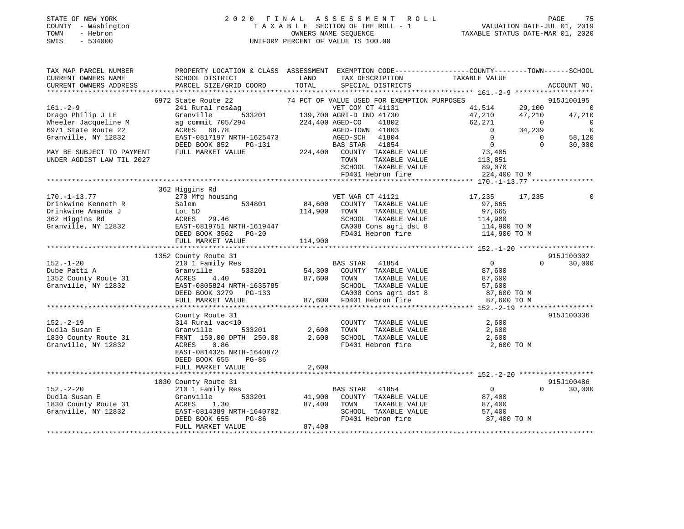#### STATE OF NEW YORK 2 0 2 0 F I N A L A S S E S S M E N T R O L L PAGE 75 COUNTY - Washington T A X A B L E SECTION OF THE ROLL - 1 VALUATION DATE-JUL 01, 2019 TOWN - Hebron OWNERS NAME SEQUENCE TAXABLE STATUS DATE-MAR 01, 2020 SWIS - 534000 UNIFORM PERCENT OF VALUE IS 100.00

| TAX MAP PARCEL NUMBER     | PROPERTY LOCATION & CLASS ASSESSMENT EXEMPTION CODE---------------COUNTY-------TOWN-----SCHOOL |                 |                                                                         |                |                |                          |
|---------------------------|------------------------------------------------------------------------------------------------|-----------------|-------------------------------------------------------------------------|----------------|----------------|--------------------------|
| CURRENT OWNERS NAME       | SCHOOL DISTRICT                                                                                | LAND            | TAX DESCRIPTION                                                         | TAXABLE VALUE  |                |                          |
| CURRENT OWNERS ADDRESS    | PARCEL SIZE/GRID COORD                                                                         | TOTAL           | SPECIAL DISTRICTS                                                       |                |                | ACCOUNT NO.              |
|                           |                                                                                                |                 |                                                                         |                |                |                          |
|                           | 6972 State Route 22                                                                            |                 | 74 PCT OF VALUE USED FOR EXEMPTION PURPOSES                             |                |                | 915J100195               |
| $161. - 2 - 9$            | 241 Rural res&ag                                                                               |                 | VET COM CT 41131<br>533201 139,700 AGRI-D IND 41730<br>VET COM CT 41131 | 41,514         | 29,100         | $\overline{\phantom{0}}$ |
| Drago Philip J LE         | Granville                                                                                      |                 |                                                                         | 47,210         | 47,210         | 47,210                   |
| Wheeler Jacqueline M      | ag commit 705/294                                                                              | 224,400 AGED-CO | 41802                                                                   | 62,271         | $\overline{0}$ | $\Omega$                 |
| 6971 State Route 22       | ACRES 68.78                                                                                    |                 | AGED-TOWN 41803                                                         | $\Omega$       | 34,239         | $\overline{0}$           |
| Granville, NY 12832       | EAST-0817197 NRTH-1625473                                                                      |                 | AGED-SCH 41804                                                          | $\Omega$       | $\Omega$       | 58,120                   |
|                           | DEED BOOK 852<br>PG-131                                                                        |                 | <b>BAS STAR</b> 41854                                                   | $\overline{0}$ | $\Omega$       | 30,000                   |
| MAY BE SUBJECT TO PAYMENT | FULL MARKET VALUE                                                                              |                 | 224,400 COUNTY TAXABLE VALUE                                            | 73,405         |                |                          |
| UNDER AGDIST LAW TIL 2027 |                                                                                                |                 | TOWN<br>TAXABLE VALUE                                                   | 113,851        |                |                          |
|                           |                                                                                                |                 | SCHOOL TAXABLE VALUE                                                    | 89,070         |                |                          |
|                           |                                                                                                |                 | FD401 Hebron fire                                                       | 224,400 TO M   |                |                          |
|                           |                                                                                                |                 |                                                                         |                |                |                          |
|                           | 362 Higgins Rd                                                                                 |                 |                                                                         |                |                |                          |
| $170. - 1 - 13.77$        | 270 Mfg housing                                                                                |                 | VET WAR CT 41121                                                        | 17,235 17,235  |                |                          |
| Drinkwine Kenneth R       | 534801<br>Salem                                                                                |                 | 84,600 COUNTY TAXABLE VALUE                                             | 97,665         |                |                          |
| Drinkwine Amanda J        | Lot 5D                                                                                         | 114,900         | TAXABLE VALUE<br>TOWN                                                   | 97,665         |                |                          |
| 362 Higgins Rd            | ACRES 29.46                                                                                    |                 | SCHOOL TAXABLE VALUE                                                    | 114,900        |                |                          |
| Granville, NY 12832       | EAST-0819751 NRTH-1619447                                                                      |                 | CA008 Cons agri dst 8                                                   | 114,900 TO M   |                |                          |
|                           | DEED BOOK 3562 PG-20                                                                           |                 | FD401 Hebron fire                                                       | 114,900 TO M   |                |                          |
|                           | FULL MARKET VALUE                                                                              | 114,900         |                                                                         |                |                |                          |
|                           |                                                                                                |                 |                                                                         |                |                |                          |
|                           | 1352 County Route 31                                                                           |                 |                                                                         |                |                | 915J100302               |
| $152. - 1 - 20$           | 210 1 Family Res                                                                               |                 | BAS STAR 41854                                                          | $\overline{0}$ | $\Omega$       | 30,000                   |
| Dube Patti A              | Granville<br>533201                                                                            | 54,300          | COUNTY TAXABLE VALUE                                                    | 87,600         |                |                          |
| 1352 County Route 31      | ACRES<br>4.40                                                                                  | 87,600          | TAXABLE VALUE<br>TOWN                                                   | 87,600         |                |                          |
| Granville, NY 12832       | EAST-0805824 NRTH-1635785                                                                      |                 | SCHOOL TAXABLE VALUE                                                    | 57,600         |                |                          |
|                           | DEED BOOK 3279 PG-133                                                                          |                 | CA008 Cons agri dst 8 $87,600$ TO M<br>FD401 Usbush fixe $97,600$ TO M  |                |                |                          |
|                           | FULL MARKET VALUE                                                                              | 87,600          | FD401 Hebron fire                                                       | 87,600 TO M    |                |                          |
|                           |                                                                                                |                 |                                                                         |                |                |                          |
|                           | County Route 31                                                                                |                 |                                                                         |                |                | 915J100336               |
| $152. - 2 - 19$           | 314 Rural vac<10                                                                               |                 | COUNTY TAXABLE VALUE                                                    | 2,600          |                |                          |
| Dudla Susan E             | 533201<br>Granville                                                                            | 2,600           | TAXABLE VALUE<br>TOWN                                                   | 2,600          |                |                          |
| 1830 County Route 31      | FRNT 150.00 DPTH 250.00                                                                        | 2,600           | SCHOOL TAXABLE VALUE                                                    | 2,600          |                |                          |
| Granville, NY 12832       | ACRES 0.86                                                                                     |                 | FD401 Hebron fire                                                       | 2,600 TO M     |                |                          |
|                           | EAST-0814325 NRTH-1640872                                                                      |                 |                                                                         |                |                |                          |
|                           | DEED BOOK 655<br>PG-86                                                                         |                 |                                                                         |                |                |                          |
|                           | FULL MARKET VALUE                                                                              | 2,600           |                                                                         |                |                |                          |
|                           |                                                                                                |                 |                                                                         |                |                |                          |
|                           | 1830 County Route 31                                                                           |                 |                                                                         |                |                | 915J100486               |
| $152 - 2 - 20$            | 210 1 Family Res                                                                               |                 | BAS STAR 41854                                                          | $\overline{0}$ | $\Omega$       | 30,000                   |
| Dudla Susan E             | Granville<br>533201                                                                            | 41,900          | COUNTY TAXABLE VALUE                                                    | 87,400         |                |                          |
| 1830 County Route 31      | ACRES<br>1.30                                                                                  | 87,400          | TAXABLE VALUE<br>TOWN                                                   | 87,400         |                |                          |
| Granville, NY 12832       | EAST-0814389 NRTH-1640702                                                                      |                 | SCHOOL TAXABLE VALUE                                                    | 57,400         |                |                          |
|                           | DEED BOOK 655<br>PG-86                                                                         |                 | FD401 Hebron fire                                                       | 87,400 TO M    |                |                          |
|                           | FULL MARKET VALUE                                                                              | 87,400          |                                                                         |                |                |                          |
|                           |                                                                                                |                 |                                                                         |                |                |                          |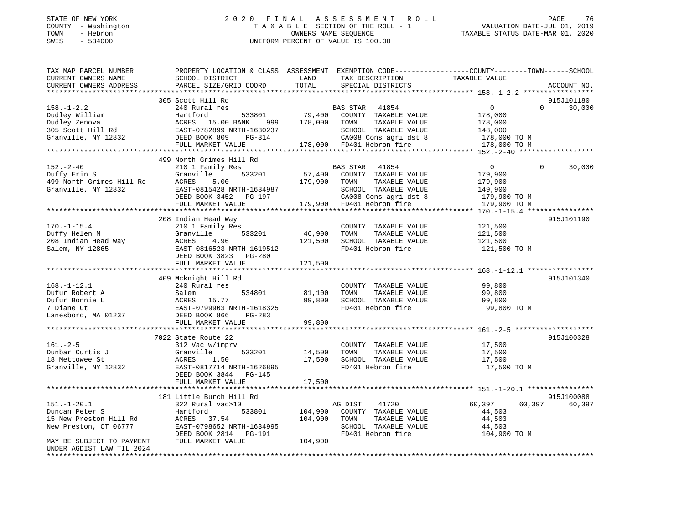#### STATE OF NEW YORK 2 0 2 0 F I N A L A S S E S S M E N T R O L L PAGE 76 COUNTY - Washington T A X A B L E SECTION OF THE ROLL - 1 VALUATION DATE-JUL 01, 2019 TOWN - Hebron OWNERS NAME SEQUENCE TAXABLE STATUS DATE-MAR 01, 2020 SWIS - 534000 UNIFORM PERCENT OF VALUE IS 100.00

| TAX MAP PARCEL NUMBER<br>CURRENT OWNERS NAME | PROPERTY LOCATION & CLASS ASSESSMENT EXEMPTION CODE----------------COUNTY-------TOWN-----SCHOOL<br>SCHOOL DISTRICT | LAND<br>TOTAL | TAX DESCRIPTION                           | TAXABLE VALUE  | ACCOUNT NO. |        |
|----------------------------------------------|--------------------------------------------------------------------------------------------------------------------|---------------|-------------------------------------------|----------------|-------------|--------|
| CURRENT OWNERS ADDRESS                       | PARCEL SIZE/GRID COORD                                                                                             |               | SPECIAL DISTRICTS                         |                |             |        |
|                                              | 305 Scott Hill Rd                                                                                                  |               |                                           |                | 915J101180  |        |
| $158. - 1 - 2.2$                             | 240 Rural res                                                                                                      |               | BAS STAR 41854                            | $\overline{0}$ | $\Omega$    | 30,000 |
| Dudley William                               | 533801<br>Hartford                                                                                                 | 79,400        | COUNTY TAXABLE VALUE                      | 178,000        |             |        |
| Dudley Zenova                                | ACRES 15.00 BANK<br>999                                                                                            | 178,000       | TOWN<br>TAXABLE VALUE                     | 178,000        |             |        |
| 305 Scott Hill Rd                            | EAST-0782899 NRTH-1630237                                                                                          |               | SCHOOL TAXABLE VALUE                      | 148,000        |             |        |
| Granville, NY 12832                          | DEED BOOK 809<br>PG-314                                                                                            |               | CA008 Cons agri dst 8                     | 178,000 TO M   |             |        |
|                                              | FULL MARKET VALUE                                                                                                  |               | 178,000 FD401 Hebron fire                 | 178,000 TO M   |             |        |
|                                              |                                                                                                                    |               |                                           |                |             |        |
|                                              | 499 North Grimes Hill Rd                                                                                           |               |                                           |                |             |        |
| $152. - 2 - 40$                              | 210 1 Family Res                                                                                                   |               | BAS STAR 41854                            | $\overline{0}$ | $\Omega$    | 30,000 |
| Duffy Erin S                                 | 533201<br>Granville                                                                                                | 57,400        | COUNTY TAXABLE VALUE                      | 179,900        |             |        |
| 499 North Grimes Hill Rd                     | ACRES<br>5.00                                                                                                      | 179,900       | TOWN<br>TAXABLE VALUE                     | 179,900        |             |        |
| Granville, NY 12832                          | EAST-0815428 NRTH-1634987                                                                                          |               | SCHOOL TAXABLE VALUE                      | 149,900        |             |        |
|                                              | DEED BOOK 3452 PG-197                                                                                              |               | CA008 Cons agri dst 8                     | 179,900 TO M   |             |        |
|                                              | FULL MARKET VALUE                                                                                                  |               | 179,900 FD401 Hebron fire                 | 179,900 TO M   |             |        |
|                                              |                                                                                                                    |               |                                           |                |             |        |
|                                              | 208 Indian Head Way                                                                                                |               |                                           |                | 915J101190  |        |
| $170. - 1 - 15.4$                            | 210 1 Family Res                                                                                                   |               | COUNTY TAXABLE VALUE                      | 121,500        |             |        |
| Duffy Helen M                                | Granville<br>533201                                                                                                | 46,900        | TOWN<br>TAXABLE VALUE                     | 121,500        |             |        |
| 208 Indian Head Way                          | ACRES<br>4.96                                                                                                      | 121,500       | SCHOOL TAXABLE VALUE                      | 121,500        |             |        |
| Salem, NY 12865                              | EAST-0816523 NRTH-1619512                                                                                          |               | FD401 Hebron fire                         | 121,500 TO M   |             |        |
|                                              | DEED BOOK 3823 PG-280                                                                                              |               |                                           |                |             |        |
|                                              | FULL MARKET VALUE                                                                                                  | 121,500       |                                           |                |             |        |
|                                              |                                                                                                                    |               |                                           |                |             |        |
|                                              | 409 Mcknight Hill Rd                                                                                               |               |                                           |                | 915J101340  |        |
| $168. - 1 - 12.1$                            | 240 Rural res                                                                                                      |               | COUNTY TAXABLE VALUE                      | 99,800         |             |        |
| Dufur Robert A                               |                                                                                                                    | 81,100        | TOWN<br>TAXABLE VALUE                     | 99,800         |             |        |
| Dufur Bonnie L                               |                                                                                                                    | 99,800        | SCHOOL TAXABLE VALUE<br>FD401 Hebron fire | 99,800         |             |        |
| 7 Diane Ct                                   |                                                                                                                    |               |                                           | 99,800 TO M    |             |        |
| Lanesboro, MA 01237                          |                                                                                                                    | 99,800        |                                           |                |             |        |
|                                              | Salem<br>ACRES 15.77<br>EAST-0799903 NRTH-1618325<br>DEED BOOK 866 PG-283<br>PHILL MARKET VALUE                    |               |                                           |                |             |        |
|                                              | 7022 State Route 22                                                                                                |               |                                           |                | 915J100328  |        |
| $161. - 2 - 5$                               | 312 Vac w/imprv                                                                                                    |               | COUNTY TAXABLE VALUE                      | 17,500         |             |        |
| Dunbar Curtis J                              | Granville<br>533201                                                                                                | 14,500        | TAXABLE VALUE<br>TOWN                     | 17,500         |             |        |
| 18 Mettowee St                               | ACRES<br>1.50                                                                                                      | 17,500        | SCHOOL TAXABLE VALUE                      | 17,500         |             |        |
| Granville, NY 12832                          | EAST-0817714 NRTH-1626895                                                                                          |               | FD401 Hebron fire                         | 17,500 TO M    |             |        |
|                                              | DEED BOOK 3844 PG-145                                                                                              |               |                                           |                |             |        |
|                                              | FULL MARKET VALUE                                                                                                  | 17,500        |                                           |                |             |        |
|                                              |                                                                                                                    |               |                                           |                |             |        |
|                                              | 181 Little Burch Hill Rd                                                                                           |               |                                           |                | 915J100088  |        |
| $151.-1-20.1$                                | 322 Rural vac>10                                                                                                   |               | 41720<br>AG DIST                          | 60,397         | 60,397      | 60,397 |
| Duncan Peter S                               | 533801<br>Hartford                                                                                                 | 104,900       | COUNTY TAXABLE VALUE                      | 44,503         |             |        |
| 15 New Preston Hill Rd                       | ACRES 37.54                                                                                                        | 104,900       | TAXABLE VALUE<br>TOWN                     | 44,503         |             |        |
| New Preston, CT 06777                        | EAST-0798652 NRTH-1634995                                                                                          |               | SCHOOL TAXABLE VALUE                      | 44,503         |             |        |
|                                              | DEED BOOK 2814 PG-191                                                                                              |               | FD401 Hebron fire                         | 104,900 TO M   |             |        |
| MAY BE SUBJECT TO PAYMENT                    | FULL MARKET VALUE                                                                                                  | 104,900       |                                           |                |             |        |
| UNDER AGDIST LAW TIL 2024                    |                                                                                                                    |               |                                           |                |             |        |
| *******************                          |                                                                                                                    |               |                                           |                |             |        |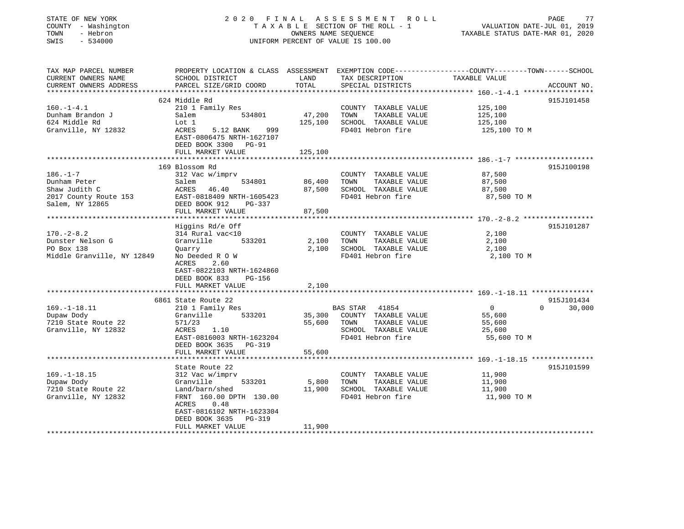| STATE OF NEW YORK<br>COUNTY - Washington | 2020                                          | FINAL<br>OWNERS NAME SEQUENCE    | ASSESSMENT<br>R O L L<br>TAXABLE SECTION OF THE ROLL - 1     | VALUATION DATE-JUL 01, 2019                                 | PAGE<br>77         |
|------------------------------------------|-----------------------------------------------|----------------------------------|--------------------------------------------------------------|-------------------------------------------------------------|--------------------|
| TOWN<br>- Hebron<br>SWIS<br>$-534000$    | UNIFORM PERCENT OF VALUE IS 100.00            | TAXABLE STATUS DATE-MAR 01, 2020 |                                                              |                                                             |                    |
|                                          |                                               |                                  |                                                              |                                                             |                    |
| TAX MAP PARCEL NUMBER                    | PROPERTY LOCATION & CLASS ASSESSMENT          |                                  | EXEMPTION CODE-----------------COUNTY-------TOWN------SCHOOL |                                                             |                    |
| CURRENT OWNERS NAME                      | SCHOOL DISTRICT                               | LAND                             | TAX DESCRIPTION                                              | TAXABLE VALUE                                               |                    |
| CURRENT OWNERS ADDRESS                   | PARCEL SIZE/GRID COORD                        | TOTAL                            | SPECIAL DISTRICTS                                            |                                                             | ACCOUNT NO.        |
| **********************                   |                                               | ********                         |                                                              |                                                             |                    |
|                                          | 624 Middle Rd                                 |                                  |                                                              |                                                             | 915J101458         |
| $160. - 1 - 4.1$                         | 210 1 Family Res                              |                                  | COUNTY TAXABLE VALUE                                         | 125,100                                                     |                    |
| Dunham Brandon J                         | 534801<br>Salem                               | 47,200                           | TOWN<br>TAXABLE VALUE                                        | 125,100                                                     |                    |
| 624 Middle Rd<br>Granville, NY 12832     | Lot 1<br>ACRES<br>999                         | 125,100                          | SCHOOL TAXABLE VALUE<br>FD401 Hebron fire                    | 125,100                                                     |                    |
|                                          | 5.12 BANK<br>EAST-0806475 NRTH-1627107        |                                  |                                                              | 125,100 TO M                                                |                    |
|                                          | DEED BOOK 3300 PG-91                          |                                  |                                                              |                                                             |                    |
|                                          | FULL MARKET VALUE                             | 125,100                          |                                                              |                                                             |                    |
|                                          |                                               | *********                        |                                                              | **************************** 186. -1-7 ******************** |                    |
|                                          | 169 Blossom Rd                                |                                  |                                                              |                                                             | 915J100198         |
| $186. - 1 - 7$                           | 312 Vac w/imprv                               |                                  | COUNTY TAXABLE VALUE                                         | 87,500                                                      |                    |
| Dunham Peter                             | 534801<br>Salem                               | 86,400                           | TOWN<br>TAXABLE VALUE                                        | 87,500                                                      |                    |
| Shaw Judith C                            | ACRES<br>46.40                                | 87,500                           | SCHOOL TAXABLE VALUE                                         | 87,500                                                      |                    |
| 2017 County Route 153                    | EAST-0818409 NRTH-1605423                     |                                  | FD401 Hebron fire                                            | 87,500 TO M                                                 |                    |
| Salem, NY 12865                          | DEED BOOK 912<br>PG-337                       |                                  |                                                              |                                                             |                    |
|                                          | FULL MARKET VALUE                             | 87,500                           |                                                              |                                                             |                    |
|                                          | ******************                            |                                  |                                                              | ***************** 170.-2-8.2 ******************             |                    |
|                                          | Higgins Rd/e Off                              |                                  |                                                              |                                                             | 915J101287         |
| $170. - 2 - 8.2$                         | 314 Rural vac<10                              |                                  | COUNTY TAXABLE VALUE                                         | 2,100                                                       |                    |
| Dunster Nelson G                         | Granville<br>533201                           | 2,100                            | TOWN<br>TAXABLE VALUE                                        | 2,100                                                       |                    |
| PO Box 138                               | Quarry                                        | 2,100                            | SCHOOL TAXABLE VALUE                                         | 2,100                                                       |                    |
| Middle Granville, NY 12849               | No Deeded R O W                               |                                  | FD401 Hebron fire                                            | 2,100 TO M                                                  |                    |
|                                          | ACRES<br>2.60                                 |                                  |                                                              |                                                             |                    |
|                                          | EAST-0822103 NRTH-1624860                     |                                  |                                                              |                                                             |                    |
|                                          | DEED BOOK 833<br>PG-156                       |                                  |                                                              |                                                             |                    |
|                                          | FULL MARKET VALUE                             | 2,100                            |                                                              |                                                             |                    |
|                                          | * * * * * * * * * * * * * * * * *             | ********                         |                                                              | ********************** 169. -1-18.11 ***************        |                    |
|                                          | 6861 State Route 22                           |                                  |                                                              |                                                             | 915J101434         |
| $169. - 1 - 18.11$                       | 210 1 Family Res                              |                                  | BAS STAR<br>41854                                            | $\overline{0}$                                              | $\Omega$<br>30,000 |
| Dupaw Dody                               | Granville<br>533201                           | 35,300                           | COUNTY TAXABLE VALUE                                         | 55,600                                                      |                    |
| 7210 State Route 22                      | 571/23                                        | 55,600                           | TOWN<br>TAXABLE VALUE                                        | 55,600                                                      |                    |
| Granville, NY 12832                      | ACRES<br>1.10                                 |                                  | SCHOOL TAXABLE VALUE                                         | 25,600                                                      |                    |
|                                          | EAST-0816003 NRTH-1623204                     |                                  | FD401 Hebron fire                                            | 55,600 TO M                                                 |                    |
|                                          | DEED BOOK 3635<br>PG-319<br>FULL MARKET VALUE |                                  |                                                              |                                                             |                    |
| ******************************           |                                               | 55,600                           |                                                              |                                                             |                    |
|                                          | State Route 22                                |                                  |                                                              |                                                             | 915J101599         |
| $169. - 1 - 18.15$                       | 312 Vac w/imprv                               |                                  | COUNTY TAXABLE VALUE                                         | 11,900                                                      |                    |
| Dupaw Dody                               | 533201<br>Granville                           | 5,800                            | TOWN<br>TAXABLE VALUE                                        | 11,900                                                      |                    |
| 7210 State Route 22                      | Land/barn/shed                                | 11,900                           | SCHOOL TAXABLE VALUE                                         | 11,900                                                      |                    |
| Granville, NY 12832                      | FRNT 160.00 DPTH 130.00                       |                                  | FD401 Hebron fire                                            | 11,900 TO M                                                 |                    |
|                                          | ACRES<br>0.48                                 |                                  |                                                              |                                                             |                    |
|                                          | EAST-0816102 NRTH-1623304                     |                                  |                                                              |                                                             |                    |
|                                          | DEED BOOK 3635<br>PG-319                      |                                  |                                                              |                                                             |                    |
|                                          | FULL MARKET VALUE                             | 11,900                           |                                                              |                                                             |                    |
|                                          |                                               |                                  |                                                              |                                                             |                    |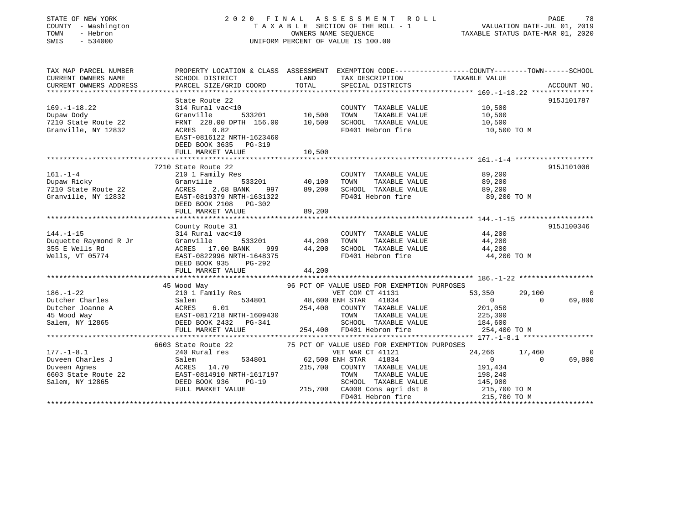| STATE OF NEW YORK<br>COUNTY - Washington<br>TOWN<br>- Hebron<br>SWIS<br>$-534000$ |                                                                                                                                              | 2020 FINAL ASSESSMENT<br>R O L L<br>TAXABLE SECTION OF THE ROLL - 1<br>OWNERS NAME SEQUENCE<br>UNIFORM PERCENT OF VALUE IS 100.00 |                                                                 |                              |          | PAGE<br>78<br>VALUATION DATE-JUL 01, 2019<br>TAXABLE STATUS DATE-MAR 01, 2020 |
|-----------------------------------------------------------------------------------|----------------------------------------------------------------------------------------------------------------------------------------------|-----------------------------------------------------------------------------------------------------------------------------------|-----------------------------------------------------------------|------------------------------|----------|-------------------------------------------------------------------------------|
| TAX MAP PARCEL NUMBER<br>CURRENT OWNERS NAME<br>CURRENT OWNERS ADDRESS            | PROPERTY LOCATION & CLASS ASSESSMENT EXEMPTION CODE---------------COUNTY-------TOWN------SCHOOL<br>SCHOOL DISTRICT<br>PARCEL SIZE/GRID COORD | LAND<br>TOTAL                                                                                                                     | TAX DESCRIPTION<br>SPECIAL DISTRICTS                            | TAXABLE VALUE                |          | ACCOUNT NO.                                                                   |
|                                                                                   | State Route 22                                                                                                                               |                                                                                                                                   |                                                                 |                              |          | 915J101787                                                                    |
| $169. - 1 - 18.22$                                                                | 314 Rural vac<10                                                                                                                             |                                                                                                                                   | COUNTY TAXABLE VALUE                                            | 10,500                       |          |                                                                               |
| Dupaw Dody                                                                        | Granville<br>533201                                                                                                                          | 10,500                                                                                                                            | TOWN<br>TAXABLE VALUE                                           | 10,500                       |          |                                                                               |
| 7210 State Route 22                                                               | FRNT 228.00 DPTH 156.00                                                                                                                      | 10,500                                                                                                                            | SCHOOL TAXABLE VALUE                                            | 10,500                       |          |                                                                               |
| Granville, NY 12832                                                               | ACRES<br>0.82<br>EAST-0816122 NRTH-1623460<br>DEED BOOK 3635<br>PG-319                                                                       |                                                                                                                                   | FD401 Hebron fire                                               | 10,500 TO M                  |          |                                                                               |
|                                                                                   | FULL MARKET VALUE                                                                                                                            | 10,500                                                                                                                            |                                                                 |                              |          |                                                                               |
|                                                                                   | 7210 State Route 22                                                                                                                          |                                                                                                                                   |                                                                 |                              |          | 915J101006                                                                    |
| $161. - 1 - 4$                                                                    | 210 1 Family Res                                                                                                                             |                                                                                                                                   | COUNTY TAXABLE VALUE                                            | 89,200                       |          |                                                                               |
| Dupaw Ricky                                                                       | Granville<br>533201                                                                                                                          | 40,100                                                                                                                            | TAXABLE VALUE<br>TOWN                                           | 89,200                       |          |                                                                               |
| 7210 State Route 22                                                               | ACRES<br>2.68 BANK<br>997                                                                                                                    | 89,200                                                                                                                            | SCHOOL TAXABLE VALUE                                            | 89,200                       |          |                                                                               |
| Granville, NY 12832                                                               | EAST-0819379 NRTH-1631322<br>DEED BOOK 2108 PG-302<br>FULL MARKET VALUE                                                                      | 89,200                                                                                                                            | FD401 Hebron fire                                               | 89,200 TO M                  |          |                                                                               |
|                                                                                   | ************************                                                                                                                     | ***********                                                                                                                       |                                                                 |                              |          |                                                                               |
|                                                                                   | County Route 31                                                                                                                              |                                                                                                                                   |                                                                 |                              |          | 915J100346                                                                    |
| $144. - 1 - 15$                                                                   | 314 Rural vac<10                                                                                                                             |                                                                                                                                   | COUNTY TAXABLE VALUE                                            | 44,200                       |          |                                                                               |
| Duquette Raymond R Jr                                                             | Granville<br>533201                                                                                                                          | 44,200                                                                                                                            | TOWN<br>TAXABLE VALUE                                           | 44,200                       |          |                                                                               |
| 355 E Wells Rd                                                                    | ACRES 17.00 BANK<br>999                                                                                                                      | 44,200                                                                                                                            | SCHOOL TAXABLE VALUE                                            | 44,200                       |          |                                                                               |
| Wells, VT 05774                                                                   | EAST-0822996 NRTH-1648375                                                                                                                    |                                                                                                                                   | FD401 Hebron fire                                               | 44,200 TO M                  |          |                                                                               |
|                                                                                   | DEED BOOK 935<br>$PG-292$                                                                                                                    |                                                                                                                                   |                                                                 |                              |          |                                                                               |
|                                                                                   | FULL MARKET VALUE                                                                                                                            | 44,200                                                                                                                            |                                                                 |                              |          |                                                                               |
|                                                                                   |                                                                                                                                              |                                                                                                                                   |                                                                 |                              |          |                                                                               |
| $186. - 1 - 22$                                                                   | 45 Wood Way<br>210 1 Family Res                                                                                                              |                                                                                                                                   | 96 PCT OF VALUE USED FOR EXEMPTION PURPOSES<br>VET COM CT 41131 | 53,350                       | 29,100   | $\mathbf 0$                                                                   |
| Dutcher Charles                                                                   | Salem<br>534801                                                                                                                              |                                                                                                                                   | 48,600 ENH STAR 41834                                           | $\mathbf{0}$                 | $\Omega$ | 69,800                                                                        |
| Dutcher Joanne A                                                                  | ACRES<br>6.01                                                                                                                                | 254,400                                                                                                                           | COUNTY TAXABLE VALUE                                            | 201,050                      |          |                                                                               |
| 45 Wood Way                                                                       | EAST-0817218 NRTH-1609430                                                                                                                    |                                                                                                                                   | TOWN<br>TAXABLE VALUE                                           | 225,300                      |          |                                                                               |
| Salem, NY 12865                                                                   | DEED BOOK 2432 PG-341                                                                                                                        |                                                                                                                                   | SCHOOL TAXABLE VALUE                                            | 184,600                      |          |                                                                               |
|                                                                                   | FULL MARKET VALUE                                                                                                                            |                                                                                                                                   | 254,400 FD401 Hebron fire                                       | 254,400 TO M                 |          |                                                                               |
|                                                                                   | *******************************                                                                                                              |                                                                                                                                   |                                                                 |                              |          |                                                                               |
|                                                                                   | 6603 State Route 22                                                                                                                          |                                                                                                                                   | 75 PCT OF VALUE USED FOR EXEMPTION PURPOSES                     |                              |          |                                                                               |
| $177. - 1 - 8.1$                                                                  | 240 Rural res                                                                                                                                |                                                                                                                                   | VET WAR CT 41121                                                | 24,266                       | 17,460   | 0                                                                             |
| Duveen Charles J                                                                  | Salem<br>534801                                                                                                                              |                                                                                                                                   | 62,500 ENH STAR<br>41834                                        | $\overline{0}$               | $\Omega$ | 69,800                                                                        |
| Duveen Agnes                                                                      | ACRES 14.70                                                                                                                                  | 215,700                                                                                                                           | COUNTY TAXABLE VALUE                                            | 191,434                      |          |                                                                               |
| 6603 State Route 22                                                               | EAST-0814910 NRTH-1617197                                                                                                                    |                                                                                                                                   | TAXABLE VALUE<br>TOWN                                           | 198,240                      |          |                                                                               |
| Salem, NY 12865                                                                   | DEED BOOK 936<br>$PG-19$                                                                                                                     |                                                                                                                                   | SCHOOL TAXABLE VALUE                                            | 145,900                      |          |                                                                               |
|                                                                                   | FULL MARKET VALUE                                                                                                                            |                                                                                                                                   | 215,700 CA008 Cons agri dst 8<br>FD401 Hebron fire              | 215,700 TO M<br>215,700 TO M |          |                                                                               |
|                                                                                   |                                                                                                                                              |                                                                                                                                   |                                                                 |                              |          |                                                                               |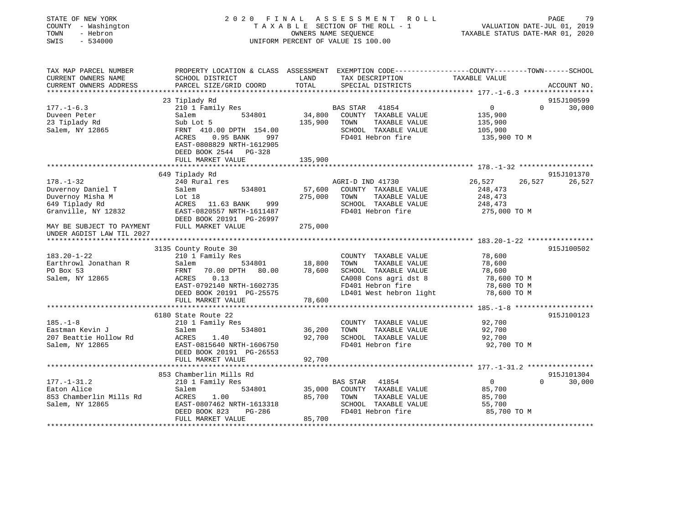| STATE OF NEW YORK<br>COUNTY - Washington<br>TOWN<br>- Hebron<br>SWIS<br>$-534000$ |                                                                                    | OWNERS NAME SEQUENCE | 2020 FINAL ASSESSMENT<br>R O L L<br>TAXABLE SECTION OF THE ROLL - 1<br>UNIFORM PERCENT OF VALUE IS 100.00 |                            | PAGE<br>79<br>VALUATION DATE-JUL 01, 2019<br>TAXABLE STATUS DATE-MAR 01, 2020 |
|-----------------------------------------------------------------------------------|------------------------------------------------------------------------------------|----------------------|-----------------------------------------------------------------------------------------------------------|----------------------------|-------------------------------------------------------------------------------|
| TAX MAP PARCEL NUMBER                                                             |                                                                                    |                      | PROPERTY LOCATION & CLASS ASSESSMENT EXEMPTION CODE----------------COUNTY-------TOWN------SCHOOL          |                            |                                                                               |
| CURRENT OWNERS NAME<br>CURRENT OWNERS ADDRESS                                     | SCHOOL DISTRICT<br>PARCEL SIZE/GRID COORD                                          | LAND<br>TOTAL        | TAX DESCRIPTION<br>SPECIAL DISTRICTS                                                                      | TAXABLE VALUE              | ACCOUNT NO.                                                                   |
| ****************                                                                  |                                                                                    |                      |                                                                                                           |                            |                                                                               |
|                                                                                   | 23 Tiplady Rd                                                                      |                      |                                                                                                           |                            | 915J100599                                                                    |
| $177. - 1 - 6.3$                                                                  | 210 1 Family Res                                                                   |                      | <b>BAS STAR</b><br>41854                                                                                  | $\mathbf{0}$               | $\Omega$<br>30,000                                                            |
| Duveen Peter                                                                      | Salem<br>534801                                                                    | 34,800               | COUNTY TAXABLE VALUE                                                                                      | 135,900                    |                                                                               |
| 23 Tiplady Rd                                                                     | Sub Lot 5                                                                          | 135,900              | TOWN<br>TAXABLE VALUE                                                                                     | 135,900                    |                                                                               |
| Salem, NY 12865                                                                   | FRNT 410.00 DPTH 154.00                                                            |                      | SCHOOL TAXABLE VALUE                                                                                      | 105,900                    |                                                                               |
|                                                                                   | ACRES<br>0.95 BANK<br>997<br>EAST-0808829 NRTH-1612905<br>DEED BOOK 2544<br>PG-328 |                      | FD401 Hebron fire                                                                                         | 135,900 TO M               |                                                                               |
|                                                                                   | FULL MARKET VALUE                                                                  | 135,900              |                                                                                                           |                            |                                                                               |
|                                                                                   |                                                                                    |                      |                                                                                                           |                            |                                                                               |
|                                                                                   | 649 Tiplady Rd                                                                     |                      |                                                                                                           |                            | 915J101370                                                                    |
| $178. - 1 - 32$<br>Duvernoy Daniel T                                              | 240 Rural res<br>534801<br>Salem                                                   | 57,600               | AGRI-D IND 41730<br>COUNTY TAXABLE VALUE                                                                  | 26,527<br>248,473          | 26,527<br>26,527                                                              |
| Duvernoy Misha M                                                                  | Lot $18$                                                                           | 275,000              | TAXABLE VALUE<br>TOWN                                                                                     | 248,473                    |                                                                               |
| 649 Tiplady Rd                                                                    | ACRES<br>11.63 BANK<br>999                                                         |                      | SCHOOL TAXABLE VALUE                                                                                      | 248,473                    |                                                                               |
| Granville, NY 12832                                                               | EAST-0820557 NRTH-1611487                                                          |                      | FD401 Hebron fire                                                                                         | 275,000 TO M               |                                                                               |
|                                                                                   | DEED BOOK 20191 PG-26997                                                           |                      |                                                                                                           |                            |                                                                               |
| MAY BE SUBJECT TO PAYMENT<br>UNDER AGDIST LAW TIL 2027                            | FULL MARKET VALUE                                                                  | 275,000              |                                                                                                           |                            |                                                                               |
| ******************                                                                |                                                                                    |                      |                                                                                                           |                            |                                                                               |
|                                                                                   | 3135 County Route 30                                                               |                      |                                                                                                           |                            | 915J100502                                                                    |
| $183.20 - 1 - 22$                                                                 | 210 1 Family Res                                                                   |                      | COUNTY TAXABLE VALUE                                                                                      | 78,600                     |                                                                               |
| Earthrowl Jonathan R                                                              | Salem<br>534801                                                                    | 18,800               | TOWN<br>TAXABLE VALUE                                                                                     | 78,600                     |                                                                               |
| PO Box 53<br>Salem, NY 12865                                                      | 80.00<br>FRNT<br>70.00 DPTH<br>ACRES<br>0.13                                       | 78,600               | SCHOOL TAXABLE VALUE<br>CA008 Cons agri dst 8                                                             | 78,600                     |                                                                               |
|                                                                                   | EAST-0792140 NRTH-1602735                                                          |                      | FD401 Hebron fire                                                                                         | 78,600 TO M<br>78,600 TO M |                                                                               |
|                                                                                   | DEED BOOK 20191 PG-25575                                                           |                      | LD401 West hebron light                                                                                   | 78,600 TO M                |                                                                               |
|                                                                                   | FULL MARKET VALUE                                                                  | 78,600               |                                                                                                           |                            |                                                                               |
|                                                                                   |                                                                                    |                      |                                                                                                           |                            | ******************** 185.-1-8 ********************                            |
|                                                                                   | 6180 State Route 22                                                                |                      |                                                                                                           |                            | 915J100123                                                                    |
| $185. - 1 - 8$                                                                    | 210 1 Family Res                                                                   |                      | COUNTY TAXABLE VALUE                                                                                      | 92,700                     |                                                                               |
| Eastman Kevin J                                                                   | Salem<br>534801                                                                    | 36,200               | TOWN<br>TAXABLE VALUE                                                                                     | 92,700                     |                                                                               |
| 207 Beattie Hollow Rd                                                             | ACRES<br>1.40                                                                      | 92,700               | SCHOOL TAXABLE VALUE                                                                                      | 92,700                     |                                                                               |
| Salem, NY 12865                                                                   | EAST-0815640 NRTH-1606750<br>DEED BOOK 20191 PG-26553                              |                      | FD401 Hebron fire                                                                                         | 92,700 TO M                |                                                                               |
|                                                                                   | FULL MARKET VALUE                                                                  | 92,700               |                                                                                                           |                            |                                                                               |
|                                                                                   | 853 Chamberlin Mills Rd                                                            |                      |                                                                                                           |                            | 915J101304                                                                    |
| $177. - 1 - 31.2$                                                                 | 210 1 Family Res                                                                   |                      | 41854<br><b>BAS STAR</b>                                                                                  | $\overline{0}$             | 30,000<br>$\Omega$                                                            |
| Eaton Alice                                                                       | 534801<br>Salem                                                                    | 35,000               | COUNTY TAXABLE VALUE                                                                                      | 85,700                     |                                                                               |
| 853 Chamberlin Mills Rd                                                           | ACRES<br>1.00                                                                      | 85,700               | TOWN<br>TAXABLE VALUE                                                                                     | 85,700                     |                                                                               |
| Salem, NY 12865                                                                   | EAST-0807462 NRTH-1613318                                                          |                      | SCHOOL TAXABLE VALUE                                                                                      | 55,700                     |                                                                               |
|                                                                                   | PG-286<br>DEED BOOK 823                                                            |                      | FD401 Hebron fire                                                                                         | 85,700 TO M                |                                                                               |
|                                                                                   | FULL MARKET VALUE                                                                  | 85,700               |                                                                                                           |                            |                                                                               |
|                                                                                   |                                                                                    |                      |                                                                                                           |                            |                                                                               |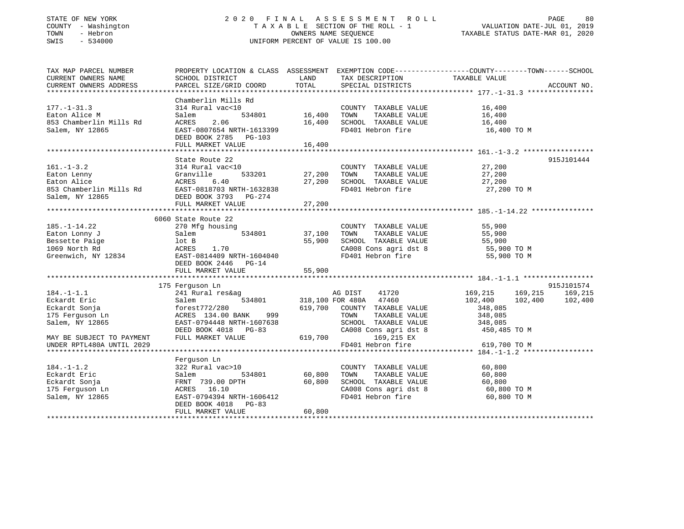#### STATE OF NEW YORK 2 0 2 0 F I N A L A S S E S S M E N T R O L L PAGE 80 COUNTY - Washington T A X A B L E SECTION OF THE ROLL - 1 VALUATION DATE-JUL 01, 2019 TOWN - Hebron OWNERS NAME SEQUENCE TAXABLE STATUS DATE-MAR 01, 2020 SWIS - 534000 UNIFORM PERCENT OF VALUE IS 100.00

| TAX MAP PARCEL NUMBER     |                                                                                                                                                                                                         |               |                                                                                                         | PROPERTY LOCATION & CLASS ASSESSMENT EXEMPTION CODE---------------COUNTY-------TOWN-----SCHOOL |             |
|---------------------------|---------------------------------------------------------------------------------------------------------------------------------------------------------------------------------------------------------|---------------|---------------------------------------------------------------------------------------------------------|------------------------------------------------------------------------------------------------|-------------|
| CURRENT OWNERS NAME       | SCHOOL DISTRICT                                                                                                                                                                                         | LAND<br>TOTAL | TAX DESCRIPTION                                                                                         | TAXABLE VALUE                                                                                  | ACCOUNT NO. |
| CURRENT OWNERS ADDRESS    | PARCEL SIZE/GRID COORD                                                                                                                                                                                  |               | SPECIAL DISTRICTS                                                                                       |                                                                                                |             |
|                           | Chamberlin Mills Rd                                                                                                                                                                                     |               |                                                                                                         |                                                                                                |             |
| $177. - 1 - 31.3$         | 314 Rural vac<10                                                                                                                                                                                        |               | COUNTY TAXABLE VALUE 16,400                                                                             |                                                                                                |             |
| Eaton Alice M             | Salem                                                                                                                                                                                                   |               |                                                                                                         |                                                                                                |             |
| 853 Chamberlin Mills Rd   | ACRES<br>2.06                                                                                                                                                                                           |               |                                                                                                         |                                                                                                |             |
| Salem, NY 12865           | $RAST-0807654 \, NRTH-1613399$                                                                                                                                                                          |               | 16,400 TOWN TAXABLE VALUE 16,400<br>16,400 SCHOOL TAXABLE VALUE 16,400<br>FD401 Hebron fire 16,400 TO M |                                                                                                |             |
|                           | DEED BOOK 2785 PG-103                                                                                                                                                                                   |               |                                                                                                         |                                                                                                |             |
|                           |                                                                                                                                                                                                         |               |                                                                                                         |                                                                                                |             |
|                           |                                                                                                                                                                                                         |               |                                                                                                         |                                                                                                |             |
|                           | State Route 22                                                                                                                                                                                          |               |                                                                                                         |                                                                                                | 915J101444  |
| $161. - 1 - 3.2$          | 314 Rural vac<10                                                                                                                                                                                        |               | COUNTY TAXABLE VALUE 27,200                                                                             |                                                                                                |             |
|                           | 533201 27,200                                                                                                                                                                                           |               |                                                                                                         |                                                                                                |             |
|                           |                                                                                                                                                                                                         | 27,200        |                                                                                                         |                                                                                                |             |
|                           |                                                                                                                                                                                                         |               | FD401 Hebron fire 27,200 TO M                                                                           |                                                                                                |             |
|                           | Eaton Lenny<br>Eaton Lenny<br>Eaton Alice<br>853 Chamberlin Mills Rd<br>863 Chamberlin Mills Rd<br>863 Chamberlin Mills Rd<br>863 Chamberlin Mills Rd<br>863 DEED BOOK 3793 PG-274<br>FULL MARKET VALUE |               |                                                                                                         |                                                                                                |             |
|                           | FULL MARKET VALUE                                                                                                                                                                                       | 27,200        |                                                                                                         |                                                                                                |             |
|                           | 6060 State Route 22                                                                                                                                                                                     |               |                                                                                                         |                                                                                                |             |
| $185. - 1 - 14.22$        | 270 Mfg housing                                                                                                                                                                                         |               |                                                                                                         |                                                                                                |             |
| Eaton Lonny J             | g housing<br>534801 37,100<br>Salem                                                                                                                                                                     |               | COUNTY TAXABLE VALUE 55,900<br>TOWN TAXABLE VALUE 55,900                                                |                                                                                                |             |
| Bessette Paige            | lot B                                                                                                                                                                                                   | 55,900        |                                                                                                         |                                                                                                |             |
| 1069 North Rd             | ACRES 1.70                                                                                                                                                                                              |               | SCHOOL TAXABLE VALUE 55,900<br>CA008 Cons agri dst 8 55,900 TO M                                        |                                                                                                |             |
|                           | Greenwich, NY 12834 EAST-0814409 NRTH-1604040                                                                                                                                                           |               | FD401 Hebron fire                                                                                       | 55,900 TO M                                                                                    |             |
|                           | DEED BOOK 2446 PG-14                                                                                                                                                                                    |               |                                                                                                         |                                                                                                |             |
|                           | FULL MARKET VALUE                                                                                                                                                                                       | 55,900        |                                                                                                         |                                                                                                |             |
|                           |                                                                                                                                                                                                         |               |                                                                                                         |                                                                                                |             |
|                           | 175 Ferguson Ln                                                                                                                                                                                         |               |                                                                                                         |                                                                                                | 915J101574  |
| $184. - 1 - 1.1$          |                                                                                                                                                                                                         |               |                                                                                                         | 169, 215 169, 215                                                                              | 169,215     |
| Eckardt Eric              |                                                                                                                                                                                                         |               | 41720<br>47460                                                                                          | 102,400<br>102,400                                                                             | 102,400     |
| Eckardt Sonja             | forest772/280                                                                                                                                                                                           |               | 619,700 COUNTY TAXABLE VALUE                                                                            | 348,085                                                                                        |             |
| 175 Ferguson Ln           | ACRES 134.00 BANK 999                                                                                                                                                                                   |               | TOWN<br>TAXABLE VALUE                                                                                   | 348,085                                                                                        |             |
| Salem, NY 12865           | EAST-0794448 NRTH-1607638                                                                                                                                                                               |               | SCHOOL TAXABLE VALUE 348,085                                                                            |                                                                                                |             |
|                           |                                                                                                                                                                                                         |               |                                                                                                         |                                                                                                |             |
| MAY BE SUBJECT TO PAYMENT | DEED BOOK 4018 PG-83 CA008<br>FULL MARKET VALUE 619,700                                                                                                                                                 |               | CA008 Cons agri dst 8 $450,485$ TO M $169,215$ EX                                                       |                                                                                                |             |
| UNDER RPTL480A UNTIL 2029 |                                                                                                                                                                                                         |               | FD401 Hebron fire                                                                                       | 619,700 TO M                                                                                   |             |
|                           |                                                                                                                                                                                                         |               |                                                                                                         |                                                                                                |             |
|                           | Ferquson Ln                                                                                                                                                                                             |               |                                                                                                         |                                                                                                |             |
| $184. - 1 - 1.2$          | 322 Rural vac>10                                                                                                                                                                                        |               | COUNTY TAXABLE VALUE                                                                                    | 60,800                                                                                         |             |
| Eckardt Eric              | Salem                                                                                                                                                                                                   |               | TOWN<br>TAXABLE VALUE                                                                                   | 60,800                                                                                         |             |
| Eckardt Sonja             | FRNT 739.00 DPTH 60,800                                                                                                                                                                                 |               | SCHOOL TAXABLE VALUE                                                                                    |                                                                                                |             |
| 175 Ferguson Ln           | ACRES 16.10                                                                                                                                                                                             |               | SCHOOL TAXABLE VALUE 60,800<br>CA008 Cons agri dst 8 60,800 TO M                                        |                                                                                                |             |
| Salem, NY 12865           | EAST-0794394 NRTH-1606412                                                                                                                                                                               |               | FD401 Hebron fire                                                                                       | 60,800 TO M                                                                                    |             |
|                           | DEED BOOK 4018 PG-83                                                                                                                                                                                    |               |                                                                                                         |                                                                                                |             |
|                           | FULL MARKET VALUE                                                                                                                                                                                       | 60,800        |                                                                                                         |                                                                                                |             |
|                           |                                                                                                                                                                                                         |               |                                                                                                         |                                                                                                |             |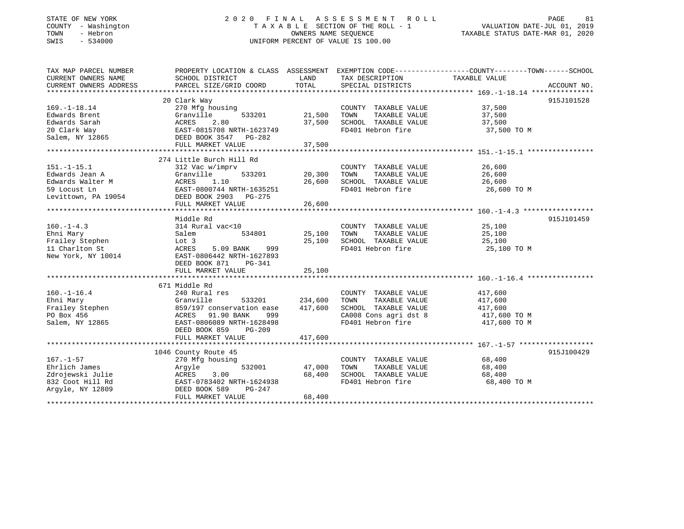### STATE OF NEW YORK 2 0 2 0 F I N A L A S S E S S M E N T R O L L PAGE 81COUNTY - Washington T A X A B L E SECTION OF THE ROLL - 1 VALUATION DATE-JUL 01, 2019 SWIS - 534000 UNIFORM PERCENT OF VALUE IS 100.00

# VALUATION DATE-JUL 01, 2019

TAXABLE STATUS DATE-MAR 01, 2020

| TAX MAP PARCEL NUMBER                                                                                                                                                     |                                                                               |                 |                                                          | PROPERTY LOCATION & CLASS ASSESSMENT EXEMPTION CODE---------------COUNTY-------TOWN------SCHOOL |
|---------------------------------------------------------------------------------------------------------------------------------------------------------------------------|-------------------------------------------------------------------------------|-----------------|----------------------------------------------------------|-------------------------------------------------------------------------------------------------|
| CURRENT OWNERS NAME                                                                                                                                                       | SCHOOL DISTRICT                                                               | <b>LAND</b>     | TAX DESCRIPTION TAXABLE VALUE                            |                                                                                                 |
| CURRENT OWNERS ADDRESS                                                                                                                                                    | PARCEL SIZE/GRID COORD TOTAL                                                  |                 | SPECIAL DISTRICTS                                        | ACCOUNT NO.                                                                                     |
|                                                                                                                                                                           |                                                                               |                 |                                                          |                                                                                                 |
|                                                                                                                                                                           | 20 Clark Way                                                                  |                 |                                                          | 915J101528                                                                                      |
| $169. - 1 - 18.14$                                                                                                                                                        | 270 Mfg housing                                                               | 21,500          | COUNTY TAXABLE VALUE 37,500<br>TOWN TAXABLE VALUE 37,500 |                                                                                                 |
|                                                                                                                                                                           |                                                                               |                 |                                                          |                                                                                                 |
|                                                                                                                                                                           |                                                                               | 37,500          | SCHOOL TAXABLE VALUE 37,500                              |                                                                                                 |
|                                                                                                                                                                           |                                                                               |                 | FD401 Hebron fire 37,500 TO M                            |                                                                                                 |
|                                                                                                                                                                           |                                                                               |                 |                                                          |                                                                                                 |
| Edwards Brent<br>Edwards Sarah (Granville 533201)<br>20 Clark Way (EAST-0815708 NRTH-1623749<br>Salem, NY 12865 (EAST-0815708 NRTH-1623749<br>FULL MARKET VALUE           |                                                                               | 37,500          |                                                          |                                                                                                 |
|                                                                                                                                                                           |                                                                               |                 |                                                          |                                                                                                 |
|                                                                                                                                                                           | 274 Little Burch Hill Rd                                                      |                 |                                                          |                                                                                                 |
| $151. - 1 - 15.1$                                                                                                                                                         | 312 Vac w/imprv                                                               | $533201$ 20,300 | COUNTY TAXABLE VALUE 26,600                              |                                                                                                 |
|                                                                                                                                                                           |                                                                               |                 | TOWN<br>TAXABLE VALUE                                    | 26,600                                                                                          |
|                                                                                                                                                                           |                                                                               | 26,600          | SCHOOL TAXABLE VALUE 26,600                              |                                                                                                 |
| Edwards Jean A<br>Edwards Walter M<br>59 Locust Ln<br>Levittown, PA 19054<br>Edwards Malter M<br>EAST-0800744 NRTH-1635251<br>DEED BOOK 2903 PG-275<br>FIILL MARKET VALUE |                                                                               |                 | FD401 Hebron fire 26,600 TO M                            |                                                                                                 |
|                                                                                                                                                                           |                                                                               |                 |                                                          |                                                                                                 |
|                                                                                                                                                                           | FULL MARKET VALUE                                                             | 26,600          |                                                          |                                                                                                 |
|                                                                                                                                                                           |                                                                               |                 |                                                          |                                                                                                 |
|                                                                                                                                                                           | Middle Rd                                                                     |                 |                                                          | 915J101459                                                                                      |
| $160. - 1 - 4.3$                                                                                                                                                          | 314 Rural vac<10                                                              |                 | COUNTY TAXABLE VALUE 25,100                              |                                                                                                 |
| Ehni Mary                                                                                                                                                                 | Salem<br>534801 25,100                                                        |                 | TAXABLE VALUE<br>TOWN                                    |                                                                                                 |
| Ehni Mary<br>Frailey Stephen                                                                                                                                              | Lot 3                                                                         | 25,100          | SCHOOL TAXABLE VALUE                                     | 25,100<br>25,100                                                                                |
| 11 Charlton St                                                                                                                                                            | ACRES<br>5.09 BANK 999                                                        |                 | FD401 Hebron fire 25,100 TO M                            |                                                                                                 |
| $\frac{1}{2}$<br>New York, NY 10014                                                                                                                                       | EAST-0806442 NRTH-1627893                                                     |                 |                                                          |                                                                                                 |
|                                                                                                                                                                           | DEED BOOK 871 PG-341                                                          |                 |                                                          |                                                                                                 |
|                                                                                                                                                                           | FULL MARKET VALUE                                                             | 25,100          |                                                          |                                                                                                 |
|                                                                                                                                                                           |                                                                               |                 |                                                          |                                                                                                 |
|                                                                                                                                                                           | 671 Middle Rd                                                                 |                 |                                                          |                                                                                                 |
| $160. - 1 - 16.4$                                                                                                                                                         | 240 Rural res                                                                 |                 | COUNTY TAXABLE VALUE                                     | 417,600                                                                                         |
|                                                                                                                                                                           |                                                                               |                 | TAXABLE VALUE<br>TOWN                                    | 417,600                                                                                         |
|                                                                                                                                                                           |                                                                               |                 | SCHOOL TAXABLE VALUE 417,600                             |                                                                                                 |
|                                                                                                                                                                           |                                                                               |                 | CA008 Cons agri dst 8 $417,600$ TO M                     |                                                                                                 |
| Salem, NY 12865                                                                                                                                                           | EAST-0806089 NRTH-1628498                                                     |                 | FD401 Hebron fire                                        | 417,600 TO M                                                                                    |
|                                                                                                                                                                           | DEED BOOK 859<br>PG-209                                                       |                 |                                                          |                                                                                                 |
|                                                                                                                                                                           | FULL MARKET VALUE                                                             | 417,600         |                                                          |                                                                                                 |
|                                                                                                                                                                           |                                                                               |                 |                                                          |                                                                                                 |
|                                                                                                                                                                           | 1046 County Route 45                                                          |                 |                                                          | 915J100429                                                                                      |
| $167. - 1 - 57$                                                                                                                                                           | 270 Mfg housing                                                               |                 | COUNTY TAXABLE VALUE 68,400<br>TOWN TAXABLE VALUE 68,400 |                                                                                                 |
| Ehrlich James                                                                                                                                                             | Argyle                                                                        | 532001 47,000   | TOWN                                                     |                                                                                                 |
| Zdrojewski Julie                                                                                                                                                          |                                                                               | 68,400          | SCHOOL TAXABLE VALUE 68,400                              |                                                                                                 |
| 832 Coot Hill Rd                                                                                                                                                          |                                                                               |                 | FD401 Hebron fire                                        | 68,400 TO M                                                                                     |
| Argyle, NY 12809                                                                                                                                                          | ACRES 3.00 68,400<br>EAST-0783402 NRTH-1624938 68,400<br>DEED BOOK 589 PG-247 |                 |                                                          |                                                                                                 |
|                                                                                                                                                                           | FULL MARKET VALUE                                                             | 68,400          |                                                          |                                                                                                 |
|                                                                                                                                                                           |                                                                               |                 |                                                          |                                                                                                 |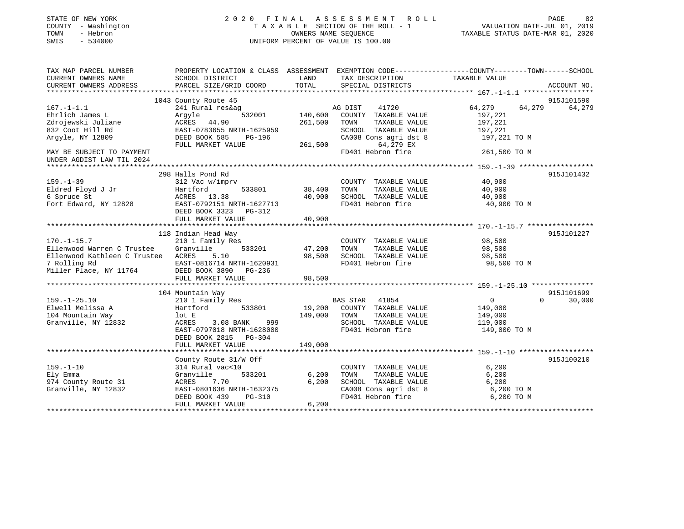| STATE OF NEW YORK<br>COUNTY - Washington<br>- Hebron<br>TOWN<br>$-534000$<br>SWIS                                               | 2020 FINAL                                                                                                                              | OWNERS NAME SEQUENCE | A S S E S S M E N T<br>ROLL<br>TAXABLE SECTION OF THE ROLL - 1<br>UNIFORM PERCENT OF VALUE IS 100.00         | VALUATION DATE-JUL 01, 2019<br>TAXABLE STATUS DATE-MAR 01, 2020 | PAGE<br>82         |
|---------------------------------------------------------------------------------------------------------------------------------|-----------------------------------------------------------------------------------------------------------------------------------------|----------------------|--------------------------------------------------------------------------------------------------------------|-----------------------------------------------------------------|--------------------|
| TAX MAP PARCEL NUMBER<br>CURRENT OWNERS NAME                                                                                    | PROPERTY LOCATION & CLASS ASSESSMENT EXEMPTION CODE----------------COUNTY-------TOWN------SCHOOL<br>SCHOOL DISTRICT                     | LAND                 | TAX DESCRIPTION                                                                                              | TAXABLE VALUE                                                   |                    |
| CURRENT OWNERS ADDRESS<br>**************                                                                                        | PARCEL SIZE/GRID COORD                                                                                                                  | TOTAL                | SPECIAL DISTRICTS                                                                                            | ********************* 167.-1-1.1 ******************             | ACCOUNT NO.        |
|                                                                                                                                 | 1043 County Route 45                                                                                                                    |                      |                                                                                                              |                                                                 | 915J101590         |
| $167. - 1 - 1.1$                                                                                                                | 241 Rural res&ag                                                                                                                        |                      | AG DIST<br>41720                                                                                             | 64,279                                                          | 64,279<br>64,279   |
| Ehrlich James L<br>Zdrojewski Juliane<br>832 Coot Hill Rd<br>Argyle, NY 12809                                                   | Argyle<br>532001<br>ACRES 44.90<br>EAST-0783655 NRTH-1625959<br>DEED BOOK 585<br>PG-196                                                 | 140,600<br>261,500   | COUNTY TAXABLE VALUE<br>TAXABLE VALUE<br>TOWN<br>SCHOOL TAXABLE VALUE<br>CA008 Cons agri dst 8               | 197,221<br>197,221<br>197,221<br>197,221 TO M                   |                    |
| MAY BE SUBJECT TO PAYMENT<br>UNDER AGDIST LAW TIL 2024                                                                          | FULL MARKET VALUE                                                                                                                       | 261,500              | 64,279 EX<br>FD401 Hebron fire                                                                               | 261,500 TO M                                                    |                    |
| **********************                                                                                                          |                                                                                                                                         |                      |                                                                                                              |                                                                 |                    |
|                                                                                                                                 | 298 Halls Pond Rd                                                                                                                       |                      |                                                                                                              |                                                                 | 915J101432         |
| $159. - 1 - 39$<br>Eldred Floyd J Jr<br>6 Spruce St                                                                             | 312 Vac w/imprv<br>Hartford<br>533801<br>ACRES 13.38                                                                                    | 38,400<br>40,900     | COUNTY TAXABLE VALUE<br>TOWN<br>TAXABLE VALUE<br>SCHOOL TAXABLE VALUE                                        | 40,900<br>40,900<br>40,900                                      |                    |
| Fort Edward, NY 12828                                                                                                           | EAST-0792151 NRTH-1627713<br>DEED BOOK 3323<br>PG-312<br>FULL MARKET VALUE                                                              | 40,900               | FD401 Hebron fire                                                                                            | 40,900 TO M                                                     |                    |
|                                                                                                                                 | *********************                                                                                                                   |                      |                                                                                                              | ********************* 170.-1-15.7 *****************             |                    |
|                                                                                                                                 | 118 Indian Head Way                                                                                                                     |                      |                                                                                                              |                                                                 | 915J101227         |
| $170. - 1 - 15.7$<br>Ellenwood Warren C Trustee<br>Ellenwood Kathleen C Trustee ACRES<br>7 Rolling Rd<br>Miller Place, NY 11764 | 210 1 Family Res<br>Granville<br>533201<br>5.10<br>EAST-0816714 NRTH-1620931<br>DEED BOOK 3890<br>PG-236                                | 47,200<br>98,500     | COUNTY TAXABLE VALUE<br>TOWN<br>TAXABLE VALUE<br>SCHOOL TAXABLE VALUE<br>FD401 Hebron fire                   | 98,500<br>98,500<br>98,500<br>98,500 TO M                       |                    |
|                                                                                                                                 | FULL MARKET VALUE                                                                                                                       | 98,500               |                                                                                                              |                                                                 |                    |
|                                                                                                                                 | 104 Mountain Way                                                                                                                        |                      |                                                                                                              |                                                                 | 915J101699         |
| $159. - 1 - 25.10$<br>Elwell Melissa A<br>104 Mountain Way<br>Granville, NY 12832                                               | 210 1 Family Res<br>Hartford<br>533801<br>lot E<br>ACRES<br>3.08 BANK<br>999<br>EAST-0797018 NRTH-1628000<br>DEED BOOK 2815<br>$PG-304$ | 19,200<br>149,000    | BAS STAR 41854<br>COUNTY TAXABLE VALUE<br>TOWN<br>TAXABLE VALUE<br>SCHOOL TAXABLE VALUE<br>FD401 Hebron fire | $\overline{0}$<br>149,000<br>149,000<br>119,000<br>149,000 TO M | $\Omega$<br>30,000 |
|                                                                                                                                 | FULL MARKET VALUE                                                                                                                       | 149,000              |                                                                                                              |                                                                 |                    |
| $159. - 1 - 10$<br>Ely Emma<br>974 County Route 31                                                                              | County Route 31/W Off<br>314 Rural vac<10<br>Granville<br>533201<br>ACRES<br>7.70                                                       | 6,200<br>6,200       | COUNTY TAXABLE VALUE<br>TOWN<br>TAXABLE VALUE<br>SCHOOL TAXABLE VALUE                                        | 6,200<br>6,200<br>6,200                                         | 915J100210         |
| Granville, NY 12832                                                                                                             | EAST-0801636 NRTH-1632375<br>DEED BOOK 439<br>PG-310<br>FULL MARKET VALUE                                                               | 6,200                | CA008 Cons agri dst 8<br>FD401 Hebron fire                                                                   | 6,200 TO M<br>6,200 TO M                                        |                    |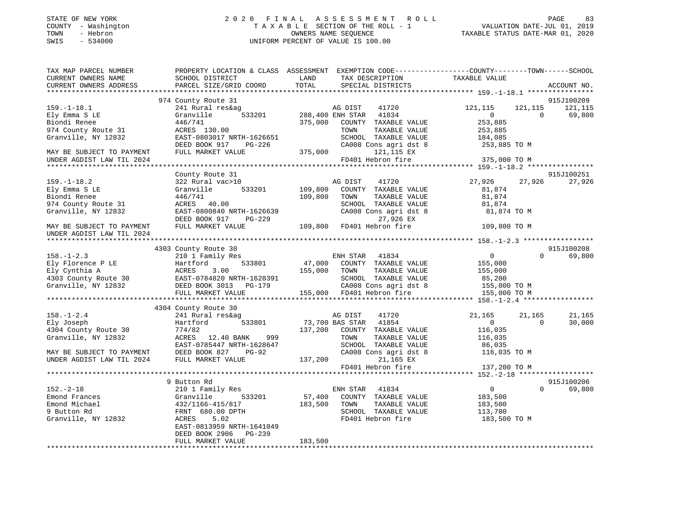| STATE OF NEW YORK<br>COUNTY - Washington<br>- Hebron<br>TOWN<br>$-534000$<br>SWIS |                                                         | 2020 FINAL ASSESSMENT ROLL<br>TAXABLE SECTION OF THE ROLL - 1<br>OWNERS NAME SEOUENCE<br>UNIFORM PERCENT OF VALUE IS 100.00 |                                                                               | PAGE<br>VALUATION DATE-JUL 01, 2019<br>TAXABLE STATUS DATE-MAR 01, 2020 | 83 |
|-----------------------------------------------------------------------------------|---------------------------------------------------------|-----------------------------------------------------------------------------------------------------------------------------|-------------------------------------------------------------------------------|-------------------------------------------------------------------------|----|
| TAX MAP PARCEL NUMBER<br>CURRENT OWNERS NAME                                      | PROPERTY LOCATION & CLASS ASSESSMENT<br>SCHOOL DISTRICT | TAX DESCRIPTION<br>T.AND.                                                                                                   | EXEMPTION CODE-----------------COUNTY-------TOWN------SCHOOL<br>TAXARLE VALUE |                                                                         |    |

| CONNERI OMNERO IVANE                           | POTIONE DIRITINTOT                                 | ചഝ്     | TWY DROCHTE TTOM             |                |                    |
|------------------------------------------------|----------------------------------------------------|---------|------------------------------|----------------|--------------------|
| CURRENT OWNERS ADDRESS                         | PARCEL SIZE/GRID COORD                             | TOTAL   | SPECIAL DISTRICTS            |                | ACCOUNT NO.        |
|                                                |                                                    |         |                              |                |                    |
|                                                | 974 County Route 31                                |         |                              |                | 915J100209         |
| $159. - 1 - 18.1$                              | 241 Rural res&ag                                   |         | AG DIST<br>41720             | 121,115        | 121,115<br>121,115 |
| Ely Emma S LE                                  | Granville<br>533201                                |         | 288,400 ENH STAR 41834       | $\overline{0}$ | $\Omega$<br>69,800 |
| Biondi Renee                                   | 446/741                                            | 375,000 | COUNTY TAXABLE VALUE         | 253,885        |                    |
| 974 County Route 31                            | ACRES 130.00                                       |         | TOWN<br>TAXABLE VALUE        | 253,885        |                    |
| Granville, NY 12832                            | EAST-0803017 NRTH-1626651                          |         | SCHOOL TAXABLE VALUE         | 184,085        |                    |
|                                                | DEED BOOK 917<br>PG-226                            |         | CA008 Cons agri dst 8        | 253,885 TO M   |                    |
| MAY BE SUBJECT TO PAYMENT                      | FULL MARKET VALUE                                  | 375,000 | 121,115 EX                   |                |                    |
|                                                |                                                    |         | FD401 Hebron fire            |                |                    |
| UNDER AGDIST LAW TIL 2024                      |                                                    |         |                              | 375,000 TO M   |                    |
|                                                |                                                    |         |                              |                |                    |
|                                                | County Route 31                                    |         |                              |                | 915J100251         |
| $159. - 1 - 18.2$                              | 322 Rural vac>10                                   |         | 41720<br>AG DIST             | 27,926         | 27,926<br>27,926   |
| Ely Emma S LE                                  | 533201<br>Granville                                | 109,800 | COUNTY TAXABLE VALUE         | 81,874         |                    |
| Biondi Renee                                   | 446/741                                            | 109,800 | TOWN<br>TAXABLE VALUE        | 81,874         |                    |
| 974 County Route 31                            | ACRES 40.00                                        |         | SCHOOL TAXABLE VALUE         | 81,874         |                    |
| Granville, NY 12832                            | EAST-0800840 NRTH-1626639                          |         | CA008 Cons agri dst 8        | 81,874 TO M    |                    |
|                                                | DEED BOOK 917<br>PG-229                            |         | 27,926 EX                    |                |                    |
| MAY BE SUBJECT TO PAYMENT                      | FULL MARKET VALUE                                  |         | $109,800$ FD401 Hebron fire  | 109,800 TO M   |                    |
| UNDER AGDIST LAW TIL 2024                      |                                                    |         |                              |                |                    |
|                                                |                                                    |         |                              |                |                    |
|                                                | 4303 County Route 30                               |         |                              |                | 915J100208         |
| $158. - 1 - 2.3$                               | 210 1 Family Res                                   |         | ENH STAR 41834               | $\overline{0}$ | 69,800<br>$\Omega$ |
| Ely Florence P LE                              | 533801<br>Hartford                                 | 47,000  | COUNTY TAXABLE VALUE         | 155,000        |                    |
| Ely Cynthia A                                  | 3.00<br>ACRES                                      | 155,000 | TOWN<br>TAXABLE VALUE        | 155,000        |                    |
| 4303 County Route 30 EAST-0784820 NRTH-1628391 |                                                    |         | SCHOOL TAXABLE VALUE         | 85,200         |                    |
| Granville, NY 12832                            | EAST-0784820 NRTH-1628391<br>DEED BOOK 3013 PG-179 |         | CA008 Cons agri dst 8        | 155,000 TO M   |                    |
|                                                |                                                    |         | 155,000 FD401 Hebron fire    |                |                    |
|                                                | FULL MARKET VALUE                                  |         |                              | 155,000 TO M   |                    |
|                                                |                                                    |         |                              |                |                    |
|                                                | 4304 County Route 30                               |         |                              |                |                    |
| $158. - 1 - 2.4$                               | 241 Rural res&ag                                   |         | 41720<br>AG DIST             | 21,165         | 21,165<br>21,165   |
| Ely Joseph                                     | 533801<br>Hartford                                 |         | 73,700 BAS STAR 41854        | $\overline{0}$ | 30,000<br>$\Omega$ |
| 4304 County Route 30                           | 774/82                                             |         | 137,200 COUNTY TAXABLE VALUE | 116,035        |                    |
| Granville, NY 12832                            | ACRES 12.40 BANK<br>999                            |         | TOWN<br>TAXABLE VALUE        | 116,035        |                    |
|                                                | EAST-0785447 NRTH-1628647                          |         | SCHOOL TAXABLE VALUE         | 86,035         |                    |
| MAY BE SUBJECT TO PAYMENT                      | DEED BOOK 827<br>PG-92                             |         | CA008 Cons agri dst 8        | 116,035 TO M   |                    |
| UNDER AGDIST LAW TIL 2024                      | FULL MARKET VALUE                                  | 137,200 | 21,165 EX                    |                |                    |
|                                                |                                                    |         | FD401 Hebron fire            | 137,200 TO M   |                    |
|                                                |                                                    |         |                              |                |                    |
|                                                | 9 Button Rd                                        |         |                              |                | 915J100206         |
| $152. - 2 - 18$                                | 210 1 Family Res                                   |         | ENH STAR 41834               | $\overline{0}$ | $\Omega$<br>69,800 |
| Emond Frances                                  | Granville<br>533201                                | 57,400  | COUNTY TAXABLE VALUE         | 183,500        |                    |
| Emond Michael                                  | 432/1166-415/817                                   | 183,500 | TOWN<br>TAXABLE VALUE        | 183,500        |                    |
| 9 Button Rd                                    | FRNT 680.00 DPTH                                   |         | SCHOOL TAXABLE VALUE         | 113,700        |                    |
| Granville, NY 12832                            | 5.02<br>ACRES                                      |         | FD401 Hebron fire            | 183,500 TO M   |                    |
|                                                | EAST-0813959 NRTH-1641049                          |         |                              |                |                    |
|                                                | DEED BOOK 2906 PG-239                              |         |                              |                |                    |
|                                                | FULL MARKET VALUE                                  | 183,500 |                              |                |                    |
|                                                |                                                    |         |                              |                |                    |
|                                                |                                                    |         |                              |                |                    |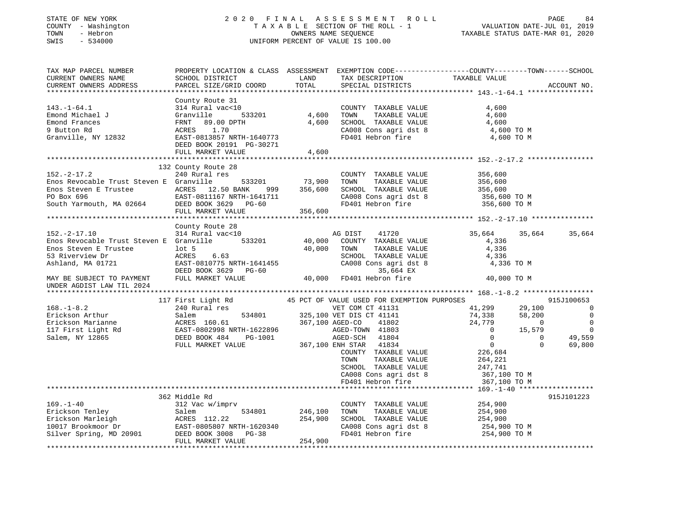#### STATE OF NEW YORK 2 0 2 0 F I N A L A S S E S S M E N T R O L L PAGE 84 COUNTY - Washington T A X A B L E SECTION OF THE ROLL - 1 VALUATION DATE-JUL 01, 2019 TOWN - Hebron OWNERS NAME SEQUENCE TAXABLE STATUS DATE-MAR 01, 2020 SWIS - 534000 UNIFORM PERCENT OF VALUE IS 100.00

| TAX MAP PARCEL NUMBER<br>CURRENT OWNERS NAME<br>CURRENT OWNERS ADDRESS                                                                                                                                                                                                                                                                                       | SCHOOL DISTRICT<br>PARCEL SIZE/GRID COORD                                                           | TOTAL            | LAND TAX DESCRIPTION TAXABLE VALUE<br>SPECIAL DISTRICTS                                                             | PROPERTY LOCATION & CLASS ASSESSMENT EXEMPTION CODE----------------COUNTY-------TOWN------SCHOOL                                                                                                                                                                                     | ACCOUNT NO.                                                                   |
|--------------------------------------------------------------------------------------------------------------------------------------------------------------------------------------------------------------------------------------------------------------------------------------------------------------------------------------------------------------|-----------------------------------------------------------------------------------------------------|------------------|---------------------------------------------------------------------------------------------------------------------|--------------------------------------------------------------------------------------------------------------------------------------------------------------------------------------------------------------------------------------------------------------------------------------|-------------------------------------------------------------------------------|
|                                                                                                                                                                                                                                                                                                                                                              |                                                                                                     |                  |                                                                                                                     |                                                                                                                                                                                                                                                                                      |                                                                               |
|                                                                                                                                                                                                                                                                                                                                                              | County Route 31                                                                                     |                  | COUNTY TAXABLE VALUE                                                                                                | 4,600<br>CHOOL TAXABLE VALUE 4,600<br>CA008 Cons agri dst 8 4,600<br>FD401 Hebron fire 4,600 TO M<br>FD401 Hebron fire 4,600 TO M                                                                                                                                                    |                                                                               |
|                                                                                                                                                                                                                                                                                                                                                              |                                                                                                     |                  |                                                                                                                     |                                                                                                                                                                                                                                                                                      |                                                                               |
| $152. -2 - 17.2$<br>152.-2-17.2<br>Enos Revocable Trust Steven E Granville<br>Enos Steven E Trustee<br>PO Box 696<br>EAST-0811167 NRTH-1641711<br>South Yarmouth, MA 02664<br>EED BOOK 3629 PG-60<br>FULL MARKET VALUE<br>256,600                                                                                                                            | 132 County Route 28<br>240 Rural res                                                                |                  | COUNTY TAXABLE VALUE<br>TAXABLE VALUE<br>TOWN<br>SCHOOL TAXABLE VALUE<br>CA008 Cons agri dst 8<br>FD401 Hebron fire | 356,600<br>356,600<br>356,600<br>356,600 TO M<br>356,600 TO M                                                                                                                                                                                                                        |                                                                               |
|                                                                                                                                                                                                                                                                                                                                                              |                                                                                                     |                  |                                                                                                                     |                                                                                                                                                                                                                                                                                      |                                                                               |
| $152.-2-17.10$<br>Enos Revocable Trust Steven E Granville 533201<br>ENDS Steven E Trustee<br>ENDS Steven E Trustee<br>Ashland, MA 01721<br>Ashland, MA 01721<br>ASSEX<br>ASSEX<br>ASSEX<br>ASSEX<br>ASSEX<br>ASSEX<br>DEED BOOK 3629<br>PG-60<br>MAY BE SUBJECT TO PAYMENT<br>FULL MARKET VALUE<br>PG-60<br>26.000 FD401 Hebron<br>UNDER AGDIST LAW TIL 2024 | County Route 28<br>county noute 20<br>314 Rural vac<10                                              | 40,000<br>40,000 | AG DIST 41720<br>COUNTY TAXABLE VALUE<br>TOWN      TAXABLE VALUE                                                    | 35,664<br>4,336                                                                                                                                                                                                                                                                      | 35,664 35,664                                                                 |
|                                                                                                                                                                                                                                                                                                                                                              | 117 First Light Rd 45 PCT OF VALUE USED FOR EXEMPTION PURPOSES<br>240 Rural res 60 VET COM CT 41131 |                  |                                                                                                                     |                                                                                                                                                                                                                                                                                      | 915J100653                                                                    |
| $168. - 1 - 8.2$<br>168.-1-8.2<br>Erickson Arthur Salem 534801<br>Erickson Marianne ACRES 160.61<br>117 First Light Rd EAST-0802998 NRTH-1622896<br>Salem, NY 12865<br>EED BOOK 484 PG-1001<br>FULL MARKET VALUE 2001<br>267,100 ENH STAR 41834<br>COUNTY TAXABLE                                                                                            |                                                                                                     |                  |                                                                                                                     | $74,338$<br>$29,100$<br>$74,338$<br>$24,779$<br>0<br>$15,579$<br>$\begin{array}{c}0\\0\\226,684\end{array}$<br>$\sim$ 0<br>$\Omega$<br>TOWN TAXABLE VALUE<br>SCHOOL TAXABLE VALUE<br>CA008 Cons agri dst 8<br>FD401 Hebron fire<br>367,100 TO M<br>TO401 Hebron fire<br>367,100 TO M | $\overline{0}$<br>$\overline{0}$<br>$\overline{0}$<br>$0$<br>49,559<br>69,800 |
|                                                                                                                                                                                                                                                                                                                                                              |                                                                                                     |                  |                                                                                                                     |                                                                                                                                                                                                                                                                                      |                                                                               |
|                                                                                                                                                                                                                                                                                                                                                              |                                                                                                     |                  |                                                                                                                     |                                                                                                                                                                                                                                                                                      |                                                                               |
| 169.-1-40<br>Erickson Tenley<br>Erickson Marleigh S12.22<br>10017 Brookmoor Dr EAST-0805807 NRTH-1620340<br>Silver Spring, MD 20901<br>254,900<br>EED BOOK 3008 PG-38<br>FULL MARKET VALUE<br>254,900<br>254,900<br>254,900<br>254,900<br>254,900<br>254                                                                                                     | 362 Middle Rd                                                                                       |                  | COUNTY TAXABLE VALUE<br>TOWN<br>TAXABLE VALUE                                                                       | 254,900<br>254,900<br>254,900<br>SCHOOL TAXABLE VALUE<br>CA008 Cons agri dst 8 254,900 TO M<br>FD401 Hebron fire 254,900 TO M                                                                                                                                                        | 915J101223                                                                    |
|                                                                                                                                                                                                                                                                                                                                                              |                                                                                                     |                  |                                                                                                                     |                                                                                                                                                                                                                                                                                      |                                                                               |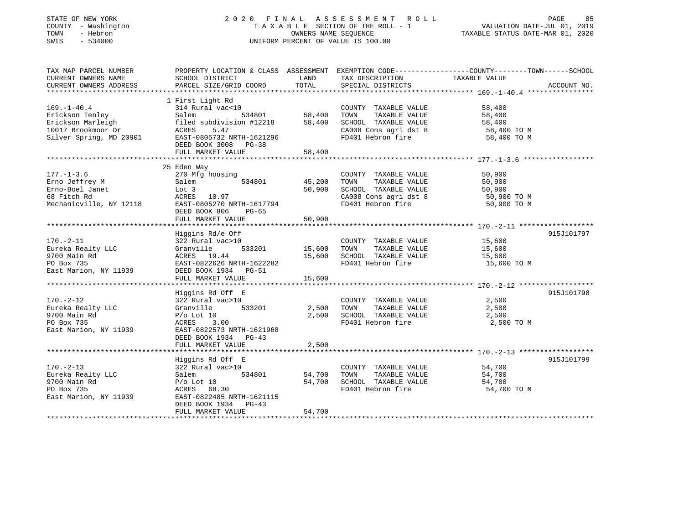#### STATE OF NEW YORK 2 0 2 0 F I N A L A S S E S S M E N T R O L L PAGE 85 COUNTY - Washington T A X A B L E SECTION OF THE ROLL - 1 VALUATION DATE-JUL 01, 2019 TOWN - Hebron OWNERS NAME SEQUENCE TAXABLE STATUS DATE-MAR 01, 2020 SWIS - 534000 UNIFORM PERCENT OF VALUE IS 100.00

| TAX MAP PARCEL NUMBER<br>CURRENT OWNERS NAME                                                               | PROPERTY LOCATION & CLASS ASSESSMENT EXEMPTION CODE---------------COUNTY-------TOWN-----SCHOOL<br>SCHOOL DISTRICT                                                           | LAND                              | TAX DESCRIPTION                                                                                                                                    | TAXABLE VALUE                                            |             |
|------------------------------------------------------------------------------------------------------------|-----------------------------------------------------------------------------------------------------------------------------------------------------------------------------|-----------------------------------|----------------------------------------------------------------------------------------------------------------------------------------------------|----------------------------------------------------------|-------------|
| CURRENT OWNERS ADDRESS                                                                                     | PARCEL SIZE/GRID COORD                                                                                                                                                      | TOTAL                             | SPECIAL DISTRICTS                                                                                                                                  |                                                          | ACCOUNT NO. |
|                                                                                                            |                                                                                                                                                                             |                                   |                                                                                                                                                    |                                                          |             |
| $169. - 1 - 40.4$<br>Erickson Tenley<br>Erickson Marleigh<br>10017 Brookmoor Dr<br>Silver Spring, MD 20901 | 1 First Light Rd<br>314 Rural vac<10<br>Salem<br>filed subdivision #12218 58,400<br>ACRES<br>5.47<br>EAST-0805732 NRTH-1621296<br>DEED BOOK 3008 PG-38<br>FULL MARKET VALUE | 534801 58,400<br>58,400           | COUNTY TAXABLE VALUE<br>TOWN<br>TAXABLE VALUE<br>SCHOOL TAXABLE VALUE 58,400<br>CA008 Cons agri dst 8 58,400 TO M<br>FD401 Hebron fire 58,400 TO M | 58,400<br>58,400                                         |             |
| $177. - 1 - 3.6$<br>Erno Jeffrey M<br>Erno-Boel Janet<br>68 Fitch Rd<br>Mechanicville, NY 12118            | 25 Eden Way<br>270 Mfg housing<br>Salem<br>Lot 3<br>ACRES 10.97<br>EAST-0805270 NRTH-1617794<br>DEED BOOK 806<br>PG-65<br>FULL MARKET VALUE                                 | 534801 45,200<br>50,900<br>50,900 | COUNTY TAXABLE VALUE<br>TOWN<br>TAXABLE VALUE<br>SCHOOL TAXABLE VALUE<br>CA008 Cons agri dst 8<br>FD401 Hebron fire                                | 50,900<br>50,900<br>50,900<br>50,900 TO M<br>50,900 TO M |             |
|                                                                                                            |                                                                                                                                                                             |                                   |                                                                                                                                                    |                                                          |             |
| $170. - 2 - 11$<br>Eureka Realty LLC<br>9700 Main Rd<br>PO Box 735<br>East Marion, NY 11939                | Higgins Rd/e Off<br>322 Rural vac>10<br>533201<br>Granville<br>ACRES 19.44<br>EAST-0822626 NRTH-1622282<br>DEED BOOK 1934 PG-51<br>FULL MARKET VALUE                        | 15,600<br>15,600<br>15,600        | COUNTY TAXABLE VALUE<br>TAXABLE VALUE<br>TOWN<br>SCHOOL TAXABLE VALUE<br>FD401 Hebron fire                                                         | 15,600<br>15,600<br>15,600<br>15,600 TO M                | 915J101797  |
|                                                                                                            |                                                                                                                                                                             |                                   |                                                                                                                                                    |                                                          | 915J101798  |
| $170. - 2 - 12$<br>Eureka Realty LLC<br>9700 Main Rd<br>PO Box 735<br>East Marion, NY 11939                | Higgins Rd Off E<br>322 Rural vac>10<br>533201<br>Granville<br>$P/O$ Lot 10<br>3.00<br>ACRES<br>EAST-0822573 NRTH-1621968                                                   | 2,500<br>2,500                    | COUNTY TAXABLE VALUE<br>TAXABLE VALUE<br>TOWN<br>SCHOOL TAXABLE VALUE<br>FD401 Hebron fire                                                         | 2,500<br>2,500<br>2,500<br>2,500 TO M                    |             |
|                                                                                                            | DEED BOOK 1934 PG-43<br>FULL MARKET VALUE                                                                                                                                   | 2,500                             |                                                                                                                                                    |                                                          |             |
|                                                                                                            |                                                                                                                                                                             |                                   |                                                                                                                                                    |                                                          |             |
| $170. - 2 - 13$<br>Eureka Realty LLC<br>9700 Main Rd<br>PO Box 735<br>East Marion, NY 11939                | Higgins Rd Off E<br>322 Rural vac>10<br>Salem<br>$P/O$ Lot $10$<br>ACRES 68.30<br>EAST-0822485 NRTH-1621115<br>DEED BOOK 1934 PG-43                                         | 534801 54,700<br>54,700           | COUNTY TAXABLE VALUE<br>TOWN<br>TAXABLE VALUE<br>SCHOOL TAXABLE VALUE<br>FD401 Hebron fire                                                         | 54,700<br>54,700<br>54,700<br>54,700 TO M                | 915J101799  |
|                                                                                                            | FULL MARKET VALUE                                                                                                                                                           | 54,700                            |                                                                                                                                                    |                                                          |             |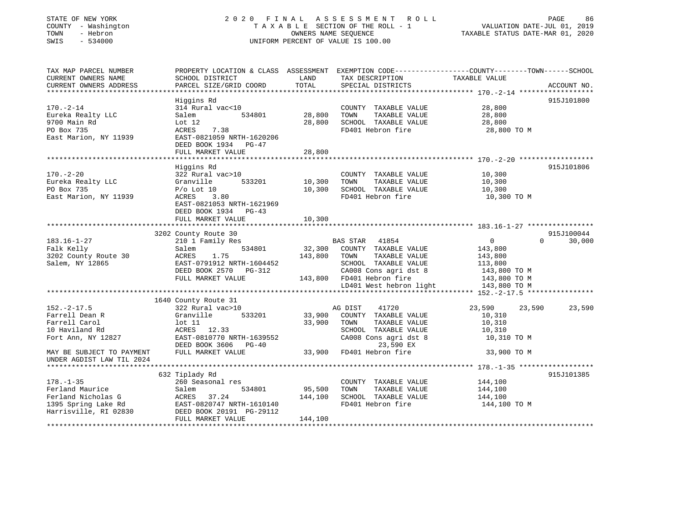#### STATE OF NEW YORK 2 0 2 0 F I N A L A S S E S S M E N T R O L L PAGE 86 COUNTY - Washington T A X A B L E SECTION OF THE ROLL - 1 VALUATION DATE-JUL 01, 2019 TOWN - Hebron OWNERS NAME SEQUENCE TAXABLE STATUS DATE-MAR 01, 2020 SWIS - 534000 UNIFORM PERCENT OF VALUE IS 100.00

| TAX MAP PARCEL NUMBER                        |                           |         |                                      | PROPERTY LOCATION & CLASS ASSESSMENT EXEMPTION CODE----------------COUNTY-------TOWN------SCHOOL |             |
|----------------------------------------------|---------------------------|---------|--------------------------------------|--------------------------------------------------------------------------------------------------|-------------|
| CURRENT OWNERS NAME                          | SCHOOL DISTRICT           | LAND    | TAX DESCRIPTION                      | TAXABLE VALUE                                                                                    |             |
| CURRENT OWNERS ADDRESS                       | PARCEL SIZE/GRID COORD    | TOTAL   | SPECIAL DISTRICTS                    |                                                                                                  | ACCOUNT NO. |
|                                              |                           |         |                                      |                                                                                                  |             |
|                                              | Higgins Rd                |         |                                      |                                                                                                  | 915J101800  |
| $170. - 2 - 14$                              | 314 Rural vac<10          |         | COUNTY TAXABLE VALUE                 | 28,800                                                                                           |             |
| Eureka Realty LLC                            | 534801<br>Salem           | 28,800  | TOWN<br>TAXABLE VALUE                | 28,800                                                                                           |             |
| 9700 Main Rd                                 | Lot 12                    | 28,800  | SCHOOL TAXABLE VALUE                 | 28,800                                                                                           |             |
| PO Box 735                                   | 7.38<br>ACRES             |         | FD401 Hebron fire                    | 28,800 TO M                                                                                      |             |
| East Marion, NY 11939                        | EAST-0821059 NRTH-1620206 |         |                                      |                                                                                                  |             |
|                                              | DEED BOOK 1934 PG-47      |         |                                      |                                                                                                  |             |
|                                              | FULL MARKET VALUE         | 28,800  |                                      |                                                                                                  |             |
|                                              |                           |         |                                      |                                                                                                  |             |
|                                              | Higgins Rd                |         |                                      |                                                                                                  | 915J101806  |
| $170. - 2 - 20$                              | 322 Rural vac>10          |         | COUNTY TAXABLE VALUE                 | 10,300                                                                                           |             |
| Eureka Realty LLC                            | Granville<br>533201       | 10,300  | TOWN<br>TAXABLE VALUE                | 10,300                                                                                           |             |
| PO Box 735                                   | $P/O$ Lot $10$            | 10,300  | SCHOOL TAXABLE VALUE                 | 10,300                                                                                           |             |
| East Marion, NY 11939                        | ACRES 3.80                |         | FD401 Hebron fire                    | 10,300 TO M                                                                                      |             |
|                                              | EAST-0821053 NRTH-1621969 |         |                                      |                                                                                                  |             |
|                                              | DEED BOOK 1934 PG-43      |         |                                      |                                                                                                  |             |
|                                              | FULL MARKET VALUE         | 10,300  |                                      |                                                                                                  |             |
|                                              |                           |         |                                      |                                                                                                  |             |
|                                              | 3202 County Route 30      |         |                                      |                                                                                                  | 915J100044  |
| $183.16 - 1 - 27$                            | 210 1 Family Res          |         | BAS STAR 41854                       | $0 \qquad \qquad$<br>$\Omega$                                                                    | 30,000      |
| Falk Kelly                                   | 534801<br>Salem           | 32,300  | COUNTY TAXABLE VALUE                 | 143,800                                                                                          |             |
| 3202 County Route 30                         | ACRES<br>1.75             | 143,800 | TOWN<br>TAXABLE VALUE                | 143,800                                                                                          |             |
| Salem, NY 12865                              | EAST-0791912 NRTH-1604452 |         | SCHOOL TAXABLE VALUE                 | 113,800                                                                                          |             |
|                                              | DEED BOOK 2570 PG-312     |         | CA008 Cons agri dst 8                | 143,800 TO M                                                                                     |             |
|                                              | FULL MARKET VALUE         |         | 143,800 FD401 Hebron fire            | 143,800 TO M                                                                                     |             |
|                                              |                           |         | LD401 West hebron light 143,800 TO M |                                                                                                  |             |
|                                              |                           |         |                                      |                                                                                                  |             |
|                                              | 1640 County Route 31      |         |                                      |                                                                                                  |             |
| $152 - 2 - 17.5$                             | 322 Rural vac>10          |         | AG DIST<br>41720                     | 23,590<br>23,590                                                                                 | 23,590      |
| Farrell Dean R                               | Granville<br>533201       | 33,900  | COUNTY TAXABLE VALUE                 | 10,310                                                                                           |             |
| Farrell Carol                                | lot 11                    | 33,900  | TAXABLE VALUE<br>TOWN                | 10,310                                                                                           |             |
| 10 Haviland Rd                               | ACRES 12.33               |         | SCHOOL TAXABLE VALUE                 | 10,310                                                                                           |             |
| Fort Ann, NY 12827                           | EAST-0810770 NRTH-1639552 |         | CA008 Cons agri dst 8                | 10,310 TO M                                                                                      |             |
|                                              | DEED BOOK 3606 PG-40      |         | 23,590 EX                            |                                                                                                  |             |
| MAY BE SUBJECT TO PAYMENT                    | FULL MARKET VALUE         | 33,900  | FD401 Hebron fire                    | 33,900 TO M                                                                                      |             |
| UNDER AGDIST LAW TIL 2024                    |                           |         |                                      |                                                                                                  |             |
|                                              |                           |         |                                      |                                                                                                  |             |
|                                              | 632 Tiplady Rd            |         |                                      |                                                                                                  | 915J101385  |
| $178. - 1 - 35$                              | 260 Seasonal res          |         | COUNTY TAXABLE VALUE                 | 144,100                                                                                          |             |
| Ferland Maurice                              | Salem<br>534801           | 95,500  | TOWN<br>TAXABLE VALUE                | 144,100                                                                                          |             |
| Ferland Nicholas G                           | ACRES 37.24               | 144,100 | SCHOOL TAXABLE VALUE                 | 144,100                                                                                          |             |
| 1395 Spring Lake Rd<br>Harrisville, RI 02830 | EAST-0820747 NRTH-1610140 |         | FD401 Hebron fire                    | 144,100 TO M                                                                                     |             |
|                                              | DEED BOOK 20191 PG-29112  |         |                                      |                                                                                                  |             |
|                                              | FULL MARKET VALUE         | 144,100 |                                      |                                                                                                  |             |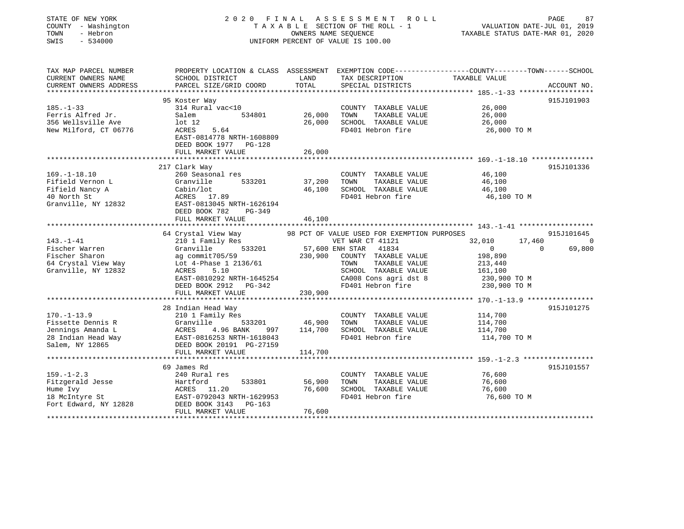| STATE OF NEW YORK<br>COUNTY - Washington<br>TOWN<br>- Hebron<br>$-534000$<br>SWIS |                                                                                                                     | OWNERS NAME SEQUENCE | 2020 FINAL ASSESSMENT ROLL<br>T A X A B L E SECTION OF THE ROLL - 1<br>UNIFORM PERCENT OF VALUE IS 100.00 | VALUATION DATE-JUL 01, 2019<br>TAXABLE STATUS DATE-MAR 01, 2020 | 87<br>PAGE  |
|-----------------------------------------------------------------------------------|---------------------------------------------------------------------------------------------------------------------|----------------------|-----------------------------------------------------------------------------------------------------------|-----------------------------------------------------------------|-------------|
| TAX MAP PARCEL NUMBER<br>CURRENT OWNERS NAME                                      | PROPERTY LOCATION & CLASS ASSESSMENT EXEMPTION CODE----------------COUNTY-------TOWN------SCHOOL<br>SCHOOL DISTRICT | LAND<br>TOTAL        | TAX DESCRIPTION                                                                                           | TAXABLE VALUE                                                   |             |
| CURRENT OWNERS ADDRESS                                                            | PARCEL SIZE/GRID COORD                                                                                              |                      | SPECIAL DISTRICTS                                                                                         |                                                                 | ACCOUNT NO. |
|                                                                                   | 95 Koster Way                                                                                                       |                      |                                                                                                           |                                                                 | 915J101903  |
| $185. - 1 - 33$                                                                   | 314 Rural vac<10                                                                                                    |                      | COUNTY TAXABLE VALUE                                                                                      | 26,000                                                          |             |
| Ferris Alfred Jr.                                                                 | Salem<br>534801                                                                                                     | 26,000               | TOWN<br>TAXABLE VALUE                                                                                     | 26,000                                                          |             |
| 356 Wellsville Ave                                                                | $1$ ot $12$                                                                                                         | 26,000               | SCHOOL TAXABLE VALUE                                                                                      | 26,000                                                          |             |
| New Milford, CT 06776                                                             | 5.64<br>ACRES                                                                                                       |                      | FD401 Hebron fire                                                                                         | 26,000 TO M                                                     |             |
|                                                                                   | EAST-0814778 NRTH-1608809                                                                                           |                      |                                                                                                           |                                                                 |             |
|                                                                                   | DEED BOOK 1977 PG-128                                                                                               |                      |                                                                                                           |                                                                 |             |
|                                                                                   | FULL MARKET VALUE                                                                                                   | 26,000               |                                                                                                           |                                                                 |             |
|                                                                                   | 217 Clark Way                                                                                                       |                      |                                                                                                           |                                                                 | 915J101336  |
| $169. - 1 - 18.10$                                                                | 260 Seasonal res                                                                                                    |                      | COUNTY TAXABLE VALUE                                                                                      | 46,100                                                          |             |
| Fifield Vernon L                                                                  | Granville<br>533201                                                                                                 | 37,200               | TOWN<br>TAXABLE VALUE                                                                                     | 46,100                                                          |             |
| Fifield Nancy A                                                                   | Cabin/lot                                                                                                           | 46,100               | SCHOOL TAXABLE VALUE                                                                                      | 46,100                                                          |             |
| 40 North St                                                                       | ACRES 17.89                                                                                                         |                      | FD401 Hebron fire                                                                                         | 46,100 TO M                                                     |             |
| Granville, NY 12832                                                               | EAST-0813045 NRTH-1626194                                                                                           |                      |                                                                                                           |                                                                 |             |
|                                                                                   | DEED BOOK 782<br>PG-349                                                                                             |                      |                                                                                                           |                                                                 |             |
|                                                                                   | FULL MARKET VALUE                                                                                                   | 46,100               |                                                                                                           |                                                                 |             |
|                                                                                   |                                                                                                                     |                      |                                                                                                           |                                                                 |             |
|                                                                                   | 64 Crystal View Way                                                                                                 |                      | 98 PCT OF VALUE USED FOR EXEMPTION PURPOSES                                                               |                                                                 | 915J101645  |
| $143. - 1 - 41$                                                                   | 210 1 Family Res                                                                                                    |                      | VET WAR CT 41121                                                                                          | 32,010<br>17,460                                                | 0           |
| Fischer Warren<br>Fischer Sharon                                                  | Granville<br>533201                                                                                                 | 230,900              | 57,600 ENH STAR<br>41834                                                                                  | $\overline{0}$<br>$\Omega$<br>198,890                           | 69,800      |
| 64 Crystal View Way                                                               | ag commit705/59<br>Lot 4-Phase 1 2136/61                                                                            |                      | COUNTY TAXABLE VALUE<br>TOWN<br>TAXABLE VALUE                                                             | 213,440                                                         |             |
| Granville, NY 12832                                                               | 5.10<br>ACRES                                                                                                       |                      | SCHOOL TAXABLE VALUE                                                                                      | 161,100                                                         |             |
|                                                                                   | EAST-0810292 NRTH-1645254                                                                                           |                      | CA008 Cons agri dst 8                                                                                     | 230,900 TO M                                                    |             |
|                                                                                   | DEED BOOK 2912 PG-342                                                                                               |                      | FD401 Hebron fire                                                                                         | 230,900 TO M                                                    |             |
|                                                                                   | FULL MARKET VALUE                                                                                                   | 230,900              |                                                                                                           |                                                                 |             |
|                                                                                   |                                                                                                                     |                      |                                                                                                           |                                                                 |             |
|                                                                                   | 28 Indian Head Way                                                                                                  |                      |                                                                                                           |                                                                 | 915J101275  |
| $170. - 1 - 13.9$                                                                 | 210 1 Family Res                                                                                                    |                      | COUNTY TAXABLE VALUE                                                                                      | 114,700                                                         |             |
| Fissette Dennis R                                                                 | Granville<br>533201                                                                                                 | 46,900               | TAXABLE VALUE<br>TOWN                                                                                     | 114,700                                                         |             |
| Jennings Amanda L                                                                 | ACRES<br>4.96 BANK<br>997                                                                                           | 114,700              | SCHOOL TAXABLE VALUE                                                                                      | 114,700                                                         |             |
| 28 Indian Head Way                                                                | EAST-0816253 NRTH-1618043                                                                                           |                      | FD401 Hebron fire                                                                                         | 114,700 TO M                                                    |             |
| Salem, NY 12865                                                                   | DEED BOOK 20191 PG-27159                                                                                            |                      |                                                                                                           |                                                                 |             |
|                                                                                   | FULL MARKET VALUE                                                                                                   | 114,700              |                                                                                                           |                                                                 |             |
|                                                                                   | 69 James Rd                                                                                                         |                      |                                                                                                           |                                                                 | 915J101557  |
| $159. - 1 - 2.3$                                                                  | 240 Rural res                                                                                                       |                      | COUNTY TAXABLE VALUE                                                                                      | 76,600                                                          |             |
|                                                                                   | Hartford<br>533801                                                                                                  | 56,900               | TOWN<br>TAXABLE VALUE                                                                                     | 76,600                                                          |             |
|                                                                                   |                                                                                                                     |                      |                                                                                                           |                                                                 |             |
| Fitzgerald Jesse                                                                  |                                                                                                                     |                      |                                                                                                           |                                                                 |             |
| Hume Ivy                                                                          | ACRES 11.20                                                                                                         | 76,600               | SCHOOL TAXABLE VALUE                                                                                      | 76,600                                                          |             |
| 18 McIntyre St<br>Fort Edward, NY 12828                                           | EAST-0792043 NRTH-1629953<br>DEED BOOK 3143<br>PG-163                                                               |                      | FD401 Hebron fire                                                                                         | 76,600 TO M                                                     |             |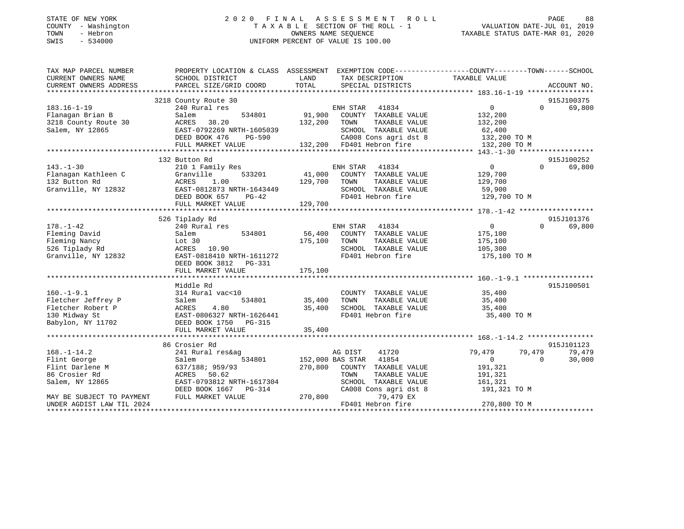#### STATE OF NEW YORK GOOD CONTRACTED A LIMIT A S S E S S M E N T R O L L CORRECTED AGE A S S M E N T R O L L COUNTY - Washington  $T A X A B L E$  SECTION OF THE ROLL - 1<br>TOWN - Hebron  $\cdot$  OWNERS NAME SEQUENCE TOWN - Hebron OWNERS NAME SEQUENCE TAXABLE STATUS DATE-MAR 01, 2020 SWIS - 534000 UNIFORM PERCENT OF VALUE IS 100.00

VALUATION DATE-JUL 01, 2019

| TAX MAP PARCEL NUMBER<br>CURRENT OWNERS NAME | PROPERTY LOCATION & CLASS ASSESSMENT EXEMPTION CODE--------------COUNTY-------TOWN-----SCHOOL<br>SCHOOL DISTRICT | LAND    | TAX DESCRIPTION           | TAXABLE VALUE    |                    |
|----------------------------------------------|------------------------------------------------------------------------------------------------------------------|---------|---------------------------|------------------|--------------------|
| CURRENT OWNERS ADDRESS                       | PARCEL SIZE/GRID COORD                                                                                           | TOTAL   | SPECIAL DISTRICTS         |                  | ACCOUNT NO.        |
|                                              |                                                                                                                  |         |                           |                  |                    |
|                                              | 3218 County Route 30                                                                                             |         |                           |                  | 915J100375         |
| $183.16 - 1 - 19$                            | 240 Rural res                                                                                                    |         | ENH STAR 41834            | $\overline{0}$   | $\Omega$<br>69,800 |
| Flanagan Brian B                             | 534801<br>Salem                                                                                                  | 91,900  | COUNTY TAXABLE VALUE      | 132,200          |                    |
| 3218 County Route 30                         | ACRES<br>38.20                                                                                                   | 132,200 | TAXABLE VALUE<br>TOWN     | 132,200          |                    |
| Salem, NY 12865                              | EAST-0792269 NRTH-1605039                                                                                        |         | SCHOOL TAXABLE VALUE      | 62,400           |                    |
|                                              | DEED BOOK 476<br>PG-590                                                                                          |         | CA008 Cons agri dst 8     | 132,200 TO M     |                    |
|                                              | FULL MARKET VALUE                                                                                                |         | 132,200 FD401 Hebron fire | 132,200 TO M     |                    |
|                                              |                                                                                                                  |         |                           |                  |                    |
|                                              | 132 Button Rd                                                                                                    |         |                           |                  | 915J100252         |
| $143. - 1 - 30$                              | 210 1 Family Res                                                                                                 |         | ENH STAR<br>41834         | $\Omega$         | $\Omega$<br>69,800 |
| Flanagan Kathleen C                          | Granville<br>533201                                                                                              | 41,000  | COUNTY TAXABLE VALUE      | 129,700          |                    |
| 132 Button Rd                                | 1.00<br>ACRES                                                                                                    | 129,700 | TAXABLE VALUE<br>TOWN     | 129,700          |                    |
| Granville, NY 12832                          | EAST-0812873 NRTH-1643449                                                                                        |         | SCHOOL TAXABLE VALUE      | 59,900           |                    |
|                                              | PG-42<br>DEED BOOK 657                                                                                           |         | FD401 Hebron fire         | 129,700 TO M     |                    |
|                                              | FULL MARKET VALUE                                                                                                | 129,700 |                           |                  |                    |
|                                              |                                                                                                                  |         |                           |                  |                    |
|                                              | 526 Tiplady Rd                                                                                                   |         |                           |                  | 915J101376         |
| $178. - 1 - 42$                              | 240 Rural res                                                                                                    |         | ENH STAR<br>41834         | $\overline{0}$   | 69,800<br>$\Omega$ |
| Fleming David                                | 534801<br>Salem                                                                                                  | 56,400  | COUNTY TAXABLE VALUE      | 175,100          |                    |
| Fleming Nancy                                | Lot 30                                                                                                           | 175,100 | TOWN<br>TAXABLE VALUE     | 175,100          |                    |
| 526 Tiplady Rd                               | ACRES 10.90                                                                                                      |         | SCHOOL TAXABLE VALUE      | 105,300          |                    |
| Granville, NY 12832                          | EAST-0818410 NRTH-1611272                                                                                        |         | FD401 Hebron fire         | 175,100 TO M     |                    |
|                                              |                                                                                                                  |         |                           |                  |                    |
|                                              | DEED BOOK 3812<br>PG-331                                                                                         | 175,100 |                           |                  |                    |
|                                              | FULL MARKET VALUE                                                                                                |         |                           |                  |                    |
|                                              | Middle Rd                                                                                                        |         |                           |                  | 915J100501         |
| $160. - 1 - 9.1$                             |                                                                                                                  |         |                           |                  |                    |
|                                              | 314 Rural vac<10                                                                                                 |         | COUNTY TAXABLE VALUE      | 35,400           |                    |
| Fletcher Jeffrey P                           | 534801<br>Salem                                                                                                  | 35,400  | TOWN<br>TAXABLE VALUE     | 35,400           |                    |
| Fletcher Robert P                            | ACRES<br>4.80                                                                                                    | 35,400  | SCHOOL TAXABLE VALUE      | 35,400           |                    |
| 130 Midway St                                | EAST-0806327 NRTH-1626441                                                                                        |         | FD401 Hebron fire         | 35,400 TO M      |                    |
| Babylon, NY 11702                            | DEED BOOK 1750 PG-315                                                                                            |         |                           |                  |                    |
|                                              | FULL MARKET VALUE                                                                                                | 35,400  |                           |                  |                    |
|                                              |                                                                                                                  |         |                           |                  | 915J101123         |
|                                              | 86 Crosier Rd                                                                                                    |         |                           |                  |                    |
| $168. - 1 - 14.2$                            | 241 Rural res&ag                                                                                                 |         | 41720<br>AG DIST          | 79,479<br>79,479 | 79,479             |
| Flint George                                 | 534801<br>Salem                                                                                                  |         | 152,000 BAS STAR<br>41854 | $\overline{0}$   | $\Omega$<br>30,000 |
| Flint Darlene M                              | 637/188; 959/93                                                                                                  | 270,800 | COUNTY TAXABLE VALUE      | 191,321          |                    |
| 86 Crosier Rd                                | ACRES<br>50.62                                                                                                   |         | TOWN<br>TAXABLE VALUE     | 191,321          |                    |
| Salem, NY 12865                              | EAST-0793812 NRTH-1617304                                                                                        |         | SCHOOL TAXABLE VALUE      | 161,321          |                    |
|                                              | DEED BOOK 1667 PG-314                                                                                            |         | CA008 Cons agri dst 8     | 191,321 TO M     |                    |
| MAY BE SUBJECT TO PAYMENT                    | FULL MARKET VALUE                                                                                                | 270,800 | 79,479 EX                 |                  |                    |
| UNDER AGDIST LAW TIL 2024                    |                                                                                                                  |         | FD401 Hebron fire         | 270,800 TO M     |                    |
|                                              |                                                                                                                  |         |                           |                  |                    |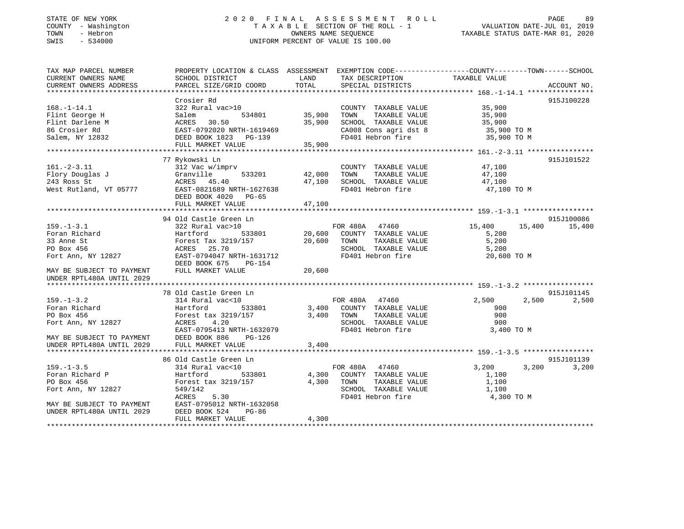#### STATE OF NEW YORK 2 0 2 0 F I N A L A S S E S S M E N T R O L L PAGE 89 COUNTY - Washington T A X A B L E SECTION OF THE ROLL - 1 VALUATION DATE-JUL 01, 2019 TOWN - Hebron OWNERS NAME SEQUENCE TAXABLE STATUS DATE-MAR 01, 2020 SWIS - 534000 UNIFORM PERCENT OF VALUE IS 100.00

| TAX MAP PARCEL NUMBER<br>CURRENT OWNERS NAME                                                         | PROPERTY LOCATION & CLASS ASSESSMENT<br>SCHOOL DISTRICT                                                                                           | LAND<br>TOTAL              | TAX DESCRIPTION                                                                                                 | EXEMPTION CODE-----------------COUNTY-------TOWN------SCHOOL<br>TAXABLE VALUE |                     |
|------------------------------------------------------------------------------------------------------|---------------------------------------------------------------------------------------------------------------------------------------------------|----------------------------|-----------------------------------------------------------------------------------------------------------------|-------------------------------------------------------------------------------|---------------------|
| CURRENT OWNERS ADDRESS                                                                               | PARCEL SIZE/GRID COORD                                                                                                                            |                            | SPECIAL DISTRICTS                                                                                               |                                                                               | ACCOUNT NO.         |
|                                                                                                      | Crosier Rd                                                                                                                                        |                            |                                                                                                                 |                                                                               | 915J100228          |
| $168. - 1 - 14.1$<br>Flint George H<br>Flint Darlene M<br>86 Crosier Rd                              | 322 Rural vac>10<br>Salem<br>534801<br>ACRES<br>30.50<br>EAST-0792020 NRTH-1619469                                                                | 35,900<br>35,900           | COUNTY TAXABLE VALUE<br>TOWN<br>TAXABLE VALUE<br>SCHOOL TAXABLE VALUE<br>CA008 Cons agri dst 8                  | 35,900<br>35,900<br>35,900<br>35,900 TO M                                     |                     |
| Salem, NY 12832                                                                                      | DEED BOOK 1823 PG-139<br>FULL MARKET VALUE                                                                                                        | 35,900                     | FD401 Hebron fire                                                                                               | 35,900 TO M                                                                   |                     |
|                                                                                                      |                                                                                                                                                   |                            |                                                                                                                 |                                                                               |                     |
| $161. - 2 - 3.11$<br>Flory Douglas J<br>243 Ross St<br>West Rutland, VT 05777                        | 77 Rykowski Ln<br>312 Vac w/imprv<br>Granville<br>533201<br>ACRES 45.40<br>EAST-0821689 NRTH-1627638<br>DEED BOOK 4020 PG-65<br>FULL MARKET VALUE | 42,000<br>47,100<br>47,100 | COUNTY TAXABLE VALUE<br>TOWN<br>TAXABLE VALUE<br>SCHOOL TAXABLE VALUE<br>FD401 Hebron fire                      | 47,100<br>47,100<br>47,100<br>47,100 TO M                                     | 915J101522          |
|                                                                                                      |                                                                                                                                                   |                            |                                                                                                                 |                                                                               |                     |
|                                                                                                      | 94 Old Castle Green Ln                                                                                                                            |                            |                                                                                                                 |                                                                               | 915J100086          |
| $159. - 1 - 3.1$<br>Foran Richard<br>33 Anne St<br>PO Box 456<br>Fort Ann, NY 12827                  | 322 Rural vac>10<br>Hartford<br>533801<br>Forest Tax 3219/157<br>25.70<br>ACRES<br>EAST-0794047 NRTH-1631712<br>DEED BOOK 675<br>PG-154           | 20,600<br>20,600           | FOR 480A 47460<br>COUNTY TAXABLE VALUE<br>TOWN<br>TAXABLE VALUE<br>SCHOOL TAXABLE VALUE<br>FD401 Hebron fire    | 15,400<br>15,400<br>5,200<br>5,200<br>5,200<br>20,600 TO M                    | 15,400              |
| MAY BE SUBJECT TO PAYMENT<br>UNDER RPTL480A UNTIL 2029                                               | FULL MARKET VALUE                                                                                                                                 | 20,600                     |                                                                                                                 |                                                                               |                     |
|                                                                                                      | 78 Old Castle Green Ln                                                                                                                            |                            |                                                                                                                 |                                                                               | 915J101145          |
| $159. - 1 - 3.2$<br>Foran Richard<br>PO Box 456<br>Fort Ann, NY 12827<br>MAY BE SUBJECT TO PAYMENT   | 314 Rural vac<10<br>Hartford<br>533801<br>Forest tax 3219/157<br>4.20<br>ACRES<br>EAST-0795413 NRTH-1632079<br>DEED BOOK 886<br>PG-126            | 3,400<br>3,400             | FOR 480A 47460<br>COUNTY TAXABLE VALUE<br>TOWN<br>TAXABLE VALUE<br>SCHOOL TAXABLE VALUE<br>FD401 Hebron fire    | 2,500<br>2,500<br>900<br>900<br>900<br>3,400 TO M                             | 2,500               |
| UNDER RPTL480A UNTIL 2029                                                                            | FULL MARKET VALUE                                                                                                                                 | 3,400                      |                                                                                                                 |                                                                               |                     |
|                                                                                                      |                                                                                                                                                   |                            |                                                                                                                 |                                                                               |                     |
| $159. - 1 - 3.5$<br>Foran Richard P<br>PO Box 456<br>Fort Ann, NY 12827<br>MAY BE SUBJECT TO PAYMENT | 86 Old Castle Green Ln<br>314 Rural vac<10<br>Hartford<br>533801<br>Forest tax 3219/157<br>549/142<br>ACRES<br>5.30<br>EAST-0795012 NRTH-1632058  | 4,300<br>4,300             | FOR 480A<br>47460<br>COUNTY TAXABLE VALUE<br>TOWN<br>TAXABLE VALUE<br>SCHOOL TAXABLE VALUE<br>FD401 Hebron fire | 3,200<br>3,200<br>1,100<br>1,100<br>1,100<br>4,300 TO M                       | 915J101139<br>3,200 |
| UNDER RPTL480A UNTIL 2029                                                                            | DEED BOOK 524<br>$PG-86$<br>FULL MARKET VALUE                                                                                                     | 4,300                      |                                                                                                                 |                                                                               |                     |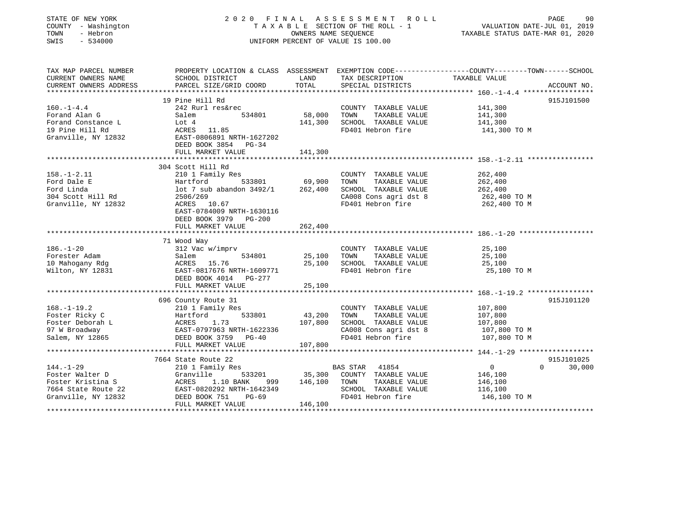| STATE OF NEW YORK<br>COUNTY - Washington<br>TOWN<br>- Hebron<br>SWIS<br>$-534000$ |                                                                          | OWNERS NAME SEQUENCE | 2020 FINAL ASSESSMENT<br>R O L L<br>TAXABLE SECTION OF THE ROLL - 1<br>UNIFORM PERCENT OF VALUE IS 100.00 | PAGE<br>90<br>VALUATION DATE-JUL 01, 2019<br>TAXABLE STATUS DATE-MAR 01, 2020                                    |
|-----------------------------------------------------------------------------------|--------------------------------------------------------------------------|----------------------|-----------------------------------------------------------------------------------------------------------|------------------------------------------------------------------------------------------------------------------|
| TAX MAP PARCEL NUMBER<br>CURRENT OWNERS NAME                                      | SCHOOL DISTRICT                                                          | LAND                 | TAX DESCRIPTION                                                                                           | PROPERTY LOCATION & CLASS ASSESSMENT EXEMPTION CODE----------------COUNTY-------TOWN-----SCHOOL<br>TAXABLE VALUE |
| CURRENT OWNERS ADDRESS                                                            | PARCEL SIZE/GRID COORD                                                   | TOTAL                | SPECIAL DISTRICTS                                                                                         | ACCOUNT NO.                                                                                                      |
|                                                                                   |                                                                          |                      |                                                                                                           |                                                                                                                  |
|                                                                                   | 19 Pine Hill Rd                                                          |                      |                                                                                                           | 915J101500                                                                                                       |
| $160. - 1 - 4.4$                                                                  | 242 Rurl res&rec                                                         |                      | COUNTY TAXABLE VALUE                                                                                      | 141,300                                                                                                          |
| Forand Alan G                                                                     | Salem<br>534801                                                          | 58,000               | TOWN<br>TAXABLE VALUE                                                                                     | 141,300                                                                                                          |
| Forand Constance L                                                                | Lot 4                                                                    | 141,300              | SCHOOL TAXABLE VALUE                                                                                      | 141,300                                                                                                          |
| 19 Pine Hill Rd<br>Granville, NY 12832                                            | ACRES<br>11.85<br>EAST-0806891 NRTH-1627202<br>DEED BOOK 3854<br>$PG-34$ |                      | FD401 Hebron fire                                                                                         | 141,300 TO M                                                                                                     |
|                                                                                   | FULL MARKET VALUE                                                        | 141,300              |                                                                                                           |                                                                                                                  |
|                                                                                   |                                                                          |                      |                                                                                                           |                                                                                                                  |
| $158. - 1 - 2.11$                                                                 | 304 Scott Hill Rd<br>210 1 Family Res                                    |                      | COUNTY TAXABLE VALUE                                                                                      | 262,400                                                                                                          |
| Ford Dale E                                                                       | 533801<br>Hartford                                                       | 69,900               | TOWN<br>TAXABLE VALUE                                                                                     | 262,400                                                                                                          |
| Ford Linda                                                                        | $lot$ 7 sub abandon $3492/1$                                             | 262,400              | SCHOOL TAXABLE VALUE                                                                                      | 262,400                                                                                                          |
| 304 Scott Hill Rd                                                                 | 2506/269                                                                 |                      | CA008 Cons agri dst 8                                                                                     | 262,400 TO M                                                                                                     |
| Granville, NY 12832                                                               | ACRES 10.67<br>EAST-0784009 NRTH-1630116<br>DEED BOOK 3979 PG-200        |                      | FD401 Hebron fire                                                                                         | 262,400 TO M                                                                                                     |
|                                                                                   | FULL MARKET VALUE                                                        | 262,400              |                                                                                                           |                                                                                                                  |
|                                                                                   |                                                                          | **********           |                                                                                                           |                                                                                                                  |
|                                                                                   | 71 Wood Way                                                              |                      |                                                                                                           |                                                                                                                  |
| $186. - 1 - 20$<br>Forester Adam                                                  | 312 Vac w/imprv<br>Salem<br>534801                                       | 25,100               | COUNTY TAXABLE VALUE<br>TOWN<br>TAXABLE VALUE                                                             | 25,100<br>25,100                                                                                                 |
| 10 Mahogany Rdg                                                                   | ACRES 15.76                                                              | 25,100               | SCHOOL TAXABLE VALUE                                                                                      | 25,100                                                                                                           |
| Wilton, NY 12831                                                                  | EAST-0817676 NRTH-1609771                                                |                      | FD401 Hebron fire                                                                                         | 25,100 TO M                                                                                                      |
|                                                                                   | DEED BOOK 4014 PG-277                                                    |                      |                                                                                                           |                                                                                                                  |
|                                                                                   | FULL MARKET VALUE                                                        | 25,100               |                                                                                                           |                                                                                                                  |
|                                                                                   |                                                                          |                      |                                                                                                           |                                                                                                                  |
|                                                                                   | 696 County Route 31                                                      |                      |                                                                                                           | 915J101120                                                                                                       |
| $168. - 1 - 19.2$                                                                 | 210 1 Family Res                                                         |                      | COUNTY TAXABLE VALUE                                                                                      | 107,800                                                                                                          |
| Foster Ricky C                                                                    | 533801<br>Hartford                                                       | 43,200               | TAXABLE VALUE<br>TOWN                                                                                     | 107,800                                                                                                          |
| Foster Deborah L                                                                  | ACRES<br>1.73                                                            | 107,800              | SCHOOL TAXABLE VALUE                                                                                      | 107,800                                                                                                          |
| 97 W Broadway<br>Salem, NY 12865                                                  | EAST-0797963 NRTH-1622336<br>DEED BOOK 3759 PG-40                        |                      | CA008 Cons agri dst 8<br>FD401 Hebron fire                                                                | 107,800 TO M<br>107,800 TO M                                                                                     |
|                                                                                   | FULL MARKET VALUE                                                        | 107,800              |                                                                                                           |                                                                                                                  |
|                                                                                   |                                                                          |                      |                                                                                                           |                                                                                                                  |
|                                                                                   | 7664 State Route 22                                                      |                      |                                                                                                           | 915J101025                                                                                                       |
| $144. - 1 - 29$                                                                   | 210 1 Family Res                                                         |                      | <b>BAS STAR</b><br>41854                                                                                  | $\circ$<br>$\Omega$<br>30,000                                                                                    |
| Foster Walter D                                                                   | Granville<br>533201                                                      | 35,300               | COUNTY TAXABLE VALUE                                                                                      | 146,100                                                                                                          |
| Foster Kristina S                                                                 | ACRES<br>1.10 BANK<br>999                                                | 146,100              | TOWN<br>TAXABLE VALUE                                                                                     | 146,100                                                                                                          |
| 7664 State Route 22                                                               | EAST-0820292 NRTH-1642349                                                |                      | SCHOOL TAXABLE VALUE                                                                                      | 116,100                                                                                                          |
| Granville, NY 12832                                                               | DEED BOOK 751<br>$PG-69$                                                 |                      | FD401 Hebron fire                                                                                         | 146,100 TO M                                                                                                     |
|                                                                                   | FULL MARKET VALUE                                                        | 146,100              |                                                                                                           |                                                                                                                  |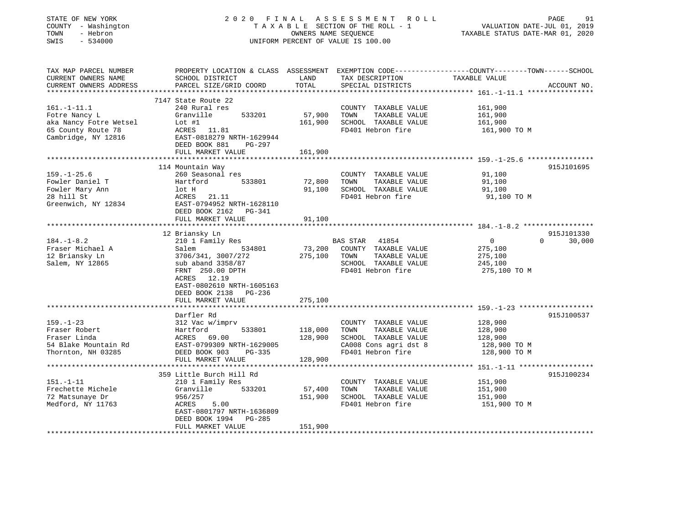| STATE OF NEW YORK<br>COUNTY - Washington<br>- Hebron<br>TOWN<br>SWIS<br>$-534000$ |                                                      | OWNERS NAME SEQUENCE | 2020 FINAL ASSESSMENT<br>R O L L<br>TAXABLE SECTION OF THE ROLL - 1<br>UNIFORM PERCENT OF VALUE IS 100.00 | PAGE<br>91<br>VALUATION DATE-JUL 01, 2019<br>TAXABLE STATUS DATE-MAR 01, 2020                                                    |
|-----------------------------------------------------------------------------------|------------------------------------------------------|----------------------|-----------------------------------------------------------------------------------------------------------|----------------------------------------------------------------------------------------------------------------------------------|
| TAX MAP PARCEL NUMBER<br>CURRENT OWNERS NAME<br>CURRENT OWNERS ADDRESS            | SCHOOL DISTRICT<br>PARCEL SIZE/GRID COORD            | LAND<br>TOTAL        | TAX DESCRIPTION<br>SPECIAL DISTRICTS                                                                      | PROPERTY LOCATION & CLASS ASSESSMENT EXEMPTION CODE----------------COUNTY-------TOWN------SCHOOL<br>TAXABLE VALUE<br>ACCOUNT NO. |
|                                                                                   | 7147 State Route 22                                  |                      |                                                                                                           |                                                                                                                                  |
| $161. - 1 - 11.1$                                                                 | 240 Rural res                                        |                      | COUNTY TAXABLE VALUE                                                                                      | 161,900                                                                                                                          |
| Fotre Nancy L                                                                     | Granville<br>533201                                  | 57,900               | TOWN<br>TAXABLE VALUE                                                                                     | 161,900                                                                                                                          |
| aka Nancy Fotre Wetsel                                                            | Lot $#1$                                             | 161,900              | SCHOOL TAXABLE VALUE                                                                                      | 161,900                                                                                                                          |
| 65 County Route 78                                                                | ACRES 11.81                                          |                      | FD401 Hebron fire                                                                                         | 161,900 TO M                                                                                                                     |
| Cambridge, NY 12816                                                               | EAST-0818279 NRTH-1629944<br>DEED BOOK 881<br>PG-297 |                      |                                                                                                           |                                                                                                                                  |
|                                                                                   | FULL MARKET VALUE                                    | 161,900              |                                                                                                           |                                                                                                                                  |
|                                                                                   | 114 Mountain Way                                     |                      |                                                                                                           | 915J101695                                                                                                                       |
| $159. - 1 - 25.6$                                                                 | 260 Seasonal res                                     |                      | COUNTY TAXABLE VALUE                                                                                      | 91,100                                                                                                                           |
| Fowler Daniel T                                                                   | 533801<br>Hartford                                   | 72,800               | TAXABLE VALUE<br>TOWN                                                                                     | 91,100                                                                                                                           |
| Fowler Mary Ann                                                                   | lot H                                                | 91,100               | SCHOOL TAXABLE VALUE                                                                                      | 91,100                                                                                                                           |
| 28 hill St                                                                        | 21.11<br>ACRES                                       |                      | FD401 Hebron fire                                                                                         | 91,100 TO M                                                                                                                      |
| Greenwich, NY 12834                                                               | EAST-0794952 NRTH-1628110                            |                      |                                                                                                           |                                                                                                                                  |
|                                                                                   | DEED BOOK 2162 PG-341                                |                      |                                                                                                           |                                                                                                                                  |
|                                                                                   | FULL MARKET VALUE                                    | 91,100               |                                                                                                           |                                                                                                                                  |
|                                                                                   |                                                      |                      |                                                                                                           |                                                                                                                                  |
|                                                                                   | 12 Briansky Ln                                       |                      |                                                                                                           | 915J101330<br>$\Omega$                                                                                                           |
| $184. - 1 - 8.2$<br>Fraser Michael A                                              | 210 1 Family Res<br>Salem<br>534801                  | 73,200               | 41854<br><b>BAS STAR</b><br>COUNTY TAXABLE VALUE                                                          | 30,000<br>$\overline{0}$<br>275,100                                                                                              |
| 12 Briansky Ln                                                                    | 3706/341, 3007/272                                   | 275,100              | TOWN<br>TAXABLE VALUE                                                                                     | 275,100                                                                                                                          |
| Salem, NY 12865                                                                   | sub aband 3358/87                                    |                      | SCHOOL TAXABLE VALUE                                                                                      | 245,100                                                                                                                          |
|                                                                                   | FRNT 250.00 DPTH                                     |                      | FD401 Hebron fire                                                                                         | 275,100 TO M                                                                                                                     |
|                                                                                   | ACRES 12.19                                          |                      |                                                                                                           |                                                                                                                                  |
|                                                                                   | EAST-0802610 NRTH-1605163                            |                      |                                                                                                           |                                                                                                                                  |
|                                                                                   | DEED BOOK 2138<br>PG-236                             |                      |                                                                                                           |                                                                                                                                  |
|                                                                                   | FULL MARKET VALUE                                    | 275,100              |                                                                                                           |                                                                                                                                  |
|                                                                                   |                                                      |                      |                                                                                                           |                                                                                                                                  |
| $159. - 1 - 23$                                                                   | Darfler Rd<br>312 Vac w/imprv                        |                      | COUNTY TAXABLE VALUE                                                                                      | 915J100537<br>128,900                                                                                                            |
| Fraser Robert                                                                     | Hartford<br>533801                                   | 118,000              | TOWN<br>TAXABLE VALUE                                                                                     | 128,900                                                                                                                          |
| Fraser Linda                                                                      | ACRES 69.00                                          | 128,900              | SCHOOL TAXABLE VALUE                                                                                      | 128,900                                                                                                                          |
| 54 Blake Mountain Rd                                                              | EAST-0799309 NRTH-1629005                            |                      | CA008 Cons agri dst 8                                                                                     | 128,900 TO M                                                                                                                     |
| Thornton, NH 03285                                                                | DEED BOOK 903<br>PG-335                              |                      | FD401 Hebron fire                                                                                         | 128,900 TO M                                                                                                                     |
|                                                                                   | FULL MARKET VALUE                                    | 128,900              |                                                                                                           |                                                                                                                                  |
|                                                                                   | **************************                           |                      |                                                                                                           |                                                                                                                                  |
|                                                                                   | 359 Little Burch Hill Rd                             |                      |                                                                                                           | 915J100234                                                                                                                       |
| $151. - 1 - 11$                                                                   | 210 1 Family Res                                     |                      | COUNTY TAXABLE VALUE                                                                                      | 151,900                                                                                                                          |
| Frechette Michele                                                                 | Granville<br>533201                                  | 57,400               | TOWN<br>TAXABLE VALUE                                                                                     | 151,900                                                                                                                          |
| 72 Matsunaye Dr                                                                   | 956/257                                              | 151,900              | SCHOOL TAXABLE VALUE                                                                                      | 151,900                                                                                                                          |
| Medford, NY 11763                                                                 | 5.00<br>ACRES<br>EAST-0801797 NRTH-1636809           |                      | FD401 Hebron fire                                                                                         | 151,900 TO M                                                                                                                     |
|                                                                                   | DEED BOOK 1994<br>PG-285                             |                      |                                                                                                           |                                                                                                                                  |
|                                                                                   | FULL MARKET VALUE                                    | 151,900              |                                                                                                           |                                                                                                                                  |
|                                                                                   |                                                      |                      |                                                                                                           |                                                                                                                                  |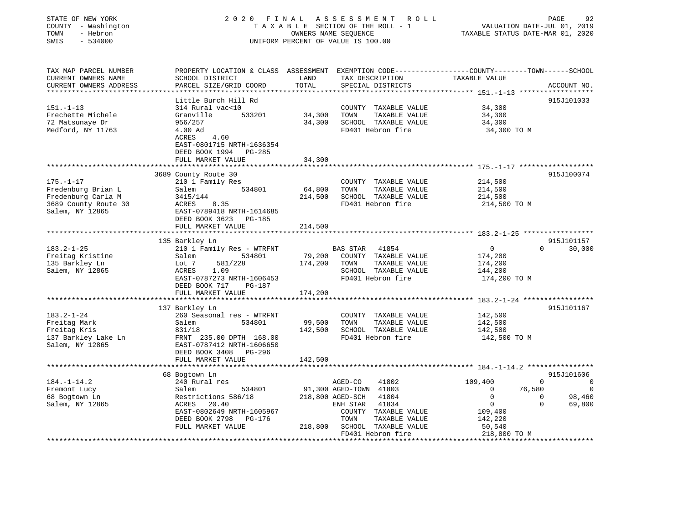| STATE OF NEW YORK<br>COUNTY - Washington<br>TOWN<br>- Hebron<br>SWIS<br>$-534000$                      |                                                                                                                                                           |               | 2020 FINAL ASSESSMENT ROLL<br>T A X A B L E SECTION OF THE ROLL - 1<br>OWNERS NAME SEQUENCE<br>UNIFORM PERCENT OF VALUE IS 100.00                                        | VALUATION DATE-JUL 01, 2019<br>TAXABLE STATUS DATE-MAR 01, 2020                                                                          | PAGE<br>92                         |
|--------------------------------------------------------------------------------------------------------|-----------------------------------------------------------------------------------------------------------------------------------------------------------|---------------|--------------------------------------------------------------------------------------------------------------------------------------------------------------------------|------------------------------------------------------------------------------------------------------------------------------------------|------------------------------------|
| TAX MAP PARCEL NUMBER<br>CURRENT OWNERS NAME<br>CURRENT OWNERS ADDRESS                                 | SCHOOL DISTRICT<br>PARCEL SIZE/GRID COORD                                                                                                                 | LAND<br>TOTAL | TAX DESCRIPTION TAXABLE VALUE<br>SPECIAL DISTRICTS                                                                                                                       | PROPERTY LOCATION & CLASS ASSESSMENT EXEMPTION CODE---------------COUNTY-------TOWN-----SCHOOL                                           | ACCOUNT NO.                        |
| $151. - 1 - 13$<br>Frechette Michele<br>72 Matsunaye Dr<br>Medford, NY 11763                           | Little Burch Hill Rd<br>314 Rural vac<10<br>Granville<br>533201<br>956/257<br>4.00 Ad<br>ACRES 4.60<br>EAST-0801715 NRTH-1636354<br>DEED BOOK 1994 PG-285 | 34,300        | COUNTY TAXABLE VALUE<br>TOWN<br>TAXABLE VALUE<br>34,300 SCHOOL TAXABLE VALUE<br>FD401 Hebron fire                                                                        | 34,300<br>34,300<br>34,300<br>34,300 TO M                                                                                                | 915J101033                         |
|                                                                                                        | FULL MARKET VALUE                                                                                                                                         | 34,300        |                                                                                                                                                                          |                                                                                                                                          |                                    |
| $175. - 1 - 17$<br>Fredenburg Brian L<br>Fredenburg Carla M<br>3689 County Route 30<br>Salem, NY 12865 | 3689 County Route 30<br>210 1 Family Res<br>534801<br>Salem<br>3415/144<br>ACRES 8.35<br>EAST-0789418 NRTH-1614685<br>DEED BOOK 3623 PG-185               | 64,800        | COUNTY TAXABLE VALUE<br>TAXABLE VALUE<br>TOWN<br>214,500 SCHOOL TAXABLE VALUE<br>FD401 Hebron fire                                                                       | 214,500<br>214,500<br>214,500<br>214,500 TO M                                                                                            | 915J100074                         |
|                                                                                                        | FULL MARKET VALUE                                                                                                                                         | 214,500       |                                                                                                                                                                          |                                                                                                                                          |                                    |
|                                                                                                        | 135 Barkley Ln                                                                                                                                            |               |                                                                                                                                                                          |                                                                                                                                          | 915J101157                         |
| $183.2 - 1 - 25$<br>Freitag Kristine<br>135 Barkley Ln<br>Salem, NY 12865                              | 210 1 Family Res - WTRFNT<br>534801<br>Salem<br>Lot 7<br>581/228<br>ACRES<br>1.09<br>EAST-0787273 NRTH-1606453<br>DEED BOOK 717 PG-187                    | 174,200 TOWN  | BAS STAR 41854<br>79,200 COUNTY TAXABLE VALUE<br>TAXABLE VALUE<br>SCHOOL TAXABLE VALUE<br>FD401 Hebron fire                                                              | 0<br>174,200<br>174,200<br>144,200<br>174,200 TO M                                                                                       | $0 \qquad \qquad$<br>30,000        |
|                                                                                                        | FULL MARKET VALUE                                                                                                                                         | 174,200       |                                                                                                                                                                          |                                                                                                                                          |                                    |
|                                                                                                        | *****************************                                                                                                                             |               |                                                                                                                                                                          |                                                                                                                                          |                                    |
| $183.2 - 1 - 24$<br>Freitag Mark<br>Freitag Kris<br>137 Barkley Lake Ln<br>Salem, NY 12865             | 137 Barkley Ln<br>260 Seasonal res - WTRFNT<br>534801<br>Salem<br>831/18<br>FRNT 235.00 DPTH 168.00<br>EAST-0787412 NRTH-1606650<br>DEED BOOK 3408 PG-296 | 99,500        | COUNTY TAXABLE VALUE<br>TAXABLE VALUE<br>TOWN<br>142,500 SCHOOL TAXABLE VALUE<br>FD401 Hebron fire                                                                       | 142,500<br>142,500<br>142,500<br>142,500 TO M                                                                                            | 915J101167                         |
|                                                                                                        | FULL MARKET VALUE                                                                                                                                         | 142,500       |                                                                                                                                                                          |                                                                                                                                          |                                    |
|                                                                                                        | 68 Bogtown Ln                                                                                                                                             |               |                                                                                                                                                                          |                                                                                                                                          | 915J101606                         |
| $184. - 1 - 14.2$                                                                                      | 240 Rural res                                                                                                                                             |               | AGED-CO<br>41802                                                                                                                                                         | 109,400<br>$\Omega$                                                                                                                      | $\overline{\phantom{0}}$           |
| Fremont Lucy<br>68 Bogtown Ln<br>Salem, NY 12865                                                       | Salem<br>534801<br>Restrictions 586/18<br>ACRES<br>20.40<br>EAST-0802649 NRTH-1605967<br>DEED BOOK 2798 PG-176<br>FULL MARKET VALUE                       |               | 91,300 AGED-TOWN 41803<br>218,800 AGED-SCH 41804<br>ENH STAR 41834<br>COUNTY TAXABLE VALUE<br>TOWN<br>TAXABLE VALUE<br>218,800 SCHOOL TAXABLE VALUE<br>FD401 Hebron fire | $\overline{0}$<br>76,580<br>$\mathbf 0$<br>$\overline{0}$<br>$\Omega$<br>$\overline{0}$<br>109,400<br>142,220<br>50, 540<br>218,800 TO M | $\overline{0}$<br>98,460<br>69,800 |
|                                                                                                        |                                                                                                                                                           |               |                                                                                                                                                                          |                                                                                                                                          |                                    |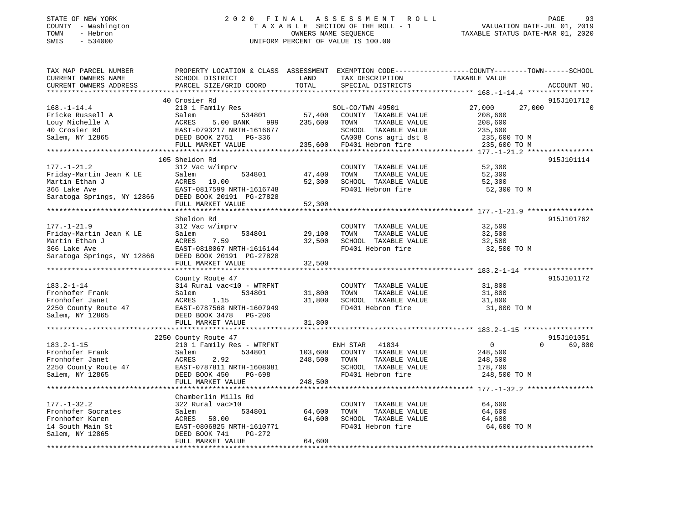#### STATE OF NEW YORK 2 0 2 0 F I N A L A S S E S S M E N T R O L L PAGE 93 COUNTY - Washington T A X A B L E SECTION OF THE ROLL - 1 VALUATION DATE-JUL 01, 2019 TOWN - Hebron OWNERS NAME SEQUENCE TAXABLE STATUS DATE-MAR 01, 2020 SWIS - 534000 UNIFORM PERCENT OF VALUE IS 100.00

| TAX MAP PARCEL NUMBER                             |                           |         |                           | PROPERTY LOCATION & CLASS ASSESSMENT EXEMPTION CODE----------------COUNTY-------TOWN-----SCHOOL<br>TAXABLE VALUE |             |
|---------------------------------------------------|---------------------------|---------|---------------------------|------------------------------------------------------------------------------------------------------------------|-------------|
| CURRENT OWNERS NAME                               | SCHOOL DISTRICT           | LAND    | TAX DESCRIPTION           |                                                                                                                  |             |
| CURRENT OWNERS ADDRESS<br>*********************** | PARCEL SIZE/GRID COORD    | TOTAL   | SPECIAL DISTRICTS         |                                                                                                                  | ACCOUNT NO. |
|                                                   | 40 Crosier Rd             |         |                           |                                                                                                                  | 915J101712  |
|                                                   |                           |         |                           |                                                                                                                  |             |
| $168. - 1 - 14.4$                                 | 210 1 Family Res          |         | SOL-CO/TWN 49501          | 27,000<br>27,000                                                                                                 |             |
| Fricke Russell A                                  | 534801<br>Salem           | 57,400  | COUNTY TAXABLE VALUE      | 208,600                                                                                                          |             |
| Louy Michelle A                                   | ACRES<br>5.00 BANK<br>999 | 235,600 | TOWN<br>TAXABLE VALUE     | 208,600                                                                                                          |             |
| 40 Crosier Rd                                     | EAST-0793217 NRTH-1616677 |         | SCHOOL TAXABLE VALUE      | 235,600                                                                                                          |             |
| Salem, NY 12865                                   | DEED BOOK 2751 PG-336     |         | CA008 Cons agri dst 8     | 235,600 TO M                                                                                                     |             |
|                                                   | FULL MARKET VALUE         |         | 235,600 FD401 Hebron fire | 235,600 TO M                                                                                                     |             |
|                                                   |                           |         |                           |                                                                                                                  |             |
|                                                   | 105 Sheldon Rd            |         |                           |                                                                                                                  | 915J101114  |
| $177. - 1 - 21.2$                                 | 312 Vac w/imprv           |         | COUNTY TAXABLE VALUE      | 52,300                                                                                                           |             |
| Friday-Martin Jean K LE                           | Salem<br>534801           | 47,400  | TOWN<br>TAXABLE VALUE     | 52,300                                                                                                           |             |
| Martin Ethan J                                    | ACRES 19.00               | 52,300  | SCHOOL TAXABLE VALUE      | 52,300                                                                                                           |             |
| 366 Lake Ave<br>Saratoga Springs, NY 12866        | EAST-0817599 NRTH-1616748 |         | FD401 Hebron fire         | 52,300 TO M                                                                                                      |             |
|                                                   | DEED BOOK 20191 PG-27828  |         |                           |                                                                                                                  |             |
|                                                   | FULL MARKET VALUE         | 52,300  |                           |                                                                                                                  |             |
|                                                   |                           |         |                           |                                                                                                                  |             |
|                                                   | Sheldon Rd                |         |                           |                                                                                                                  | 915J101762  |
| $177. - 1 - 21.9$                                 | 312 Vac w/imprv           |         | COUNTY TAXABLE VALUE      | 32,500                                                                                                           |             |
| Friday-Martin Jean K LE                           | Salem<br>534801           | 29,100  | TOWN<br>TAXABLE VALUE     | 32,500                                                                                                           |             |
| Martin Ethan J                                    | 7.59<br>ACRES             | 32,500  | SCHOOL TAXABLE VALUE      | 32,500                                                                                                           |             |
| 366 Lake Ave                                      | EAST-0818067 NRTH-1616144 |         | FD401 Hebron fire         | 32,500 TO M                                                                                                      |             |
| Saratoga Springs, NY 12866                        | DEED BOOK 20191 PG-27828  |         |                           |                                                                                                                  |             |
|                                                   | FULL MARKET VALUE         | 32,500  |                           |                                                                                                                  |             |
|                                                   |                           |         |                           |                                                                                                                  |             |
|                                                   | County Route 47           |         |                           |                                                                                                                  | 915J101172  |
| $183.2 - 1 - 14$                                  | 314 Rural vac<10 - WTRFNT |         | COUNTY TAXABLE VALUE      | 31,800                                                                                                           |             |
| Fronhofer Frank                                   | Salem<br>534801           | 31,800  | TOWN<br>TAXABLE VALUE     | 31,800                                                                                                           |             |
| Fronhofer Janet                                   | 1.15<br>ACRES             | 31,800  | SCHOOL TAXABLE VALUE      | 31,800                                                                                                           |             |
| 2250 County Route 47                              | EAST-0787568 NRTH-1607949 |         | FD401 Hebron fire         | 31,800 TO M                                                                                                      |             |
| Salem, NY 12865                                   | DEED BOOK 3478 PG-206     |         |                           |                                                                                                                  |             |
|                                                   | FULL MARKET VALUE         | 31,800  |                           |                                                                                                                  |             |
|                                                   |                           |         |                           |                                                                                                                  |             |
|                                                   | 2250 County Route 47      |         |                           |                                                                                                                  | 915J101051  |
| $183.2 - 1 - 15$                                  | 210 1 Family Res - WTRFNT |         | ENH STAR<br>41834         | $\overline{0}$<br>$\Omega$                                                                                       | 69,800      |
| Fronhofer Frank                                   | Salem<br>534801           | 103,600 | COUNTY TAXABLE VALUE      | 248,500                                                                                                          |             |
| Fronhofer Janet                                   | ACRES<br>2.92             | 248,500 | TAXABLE VALUE<br>TOWN     | 248,500                                                                                                          |             |
| 2250 County Route 47                              | EAST-0787811 NRTH-1608081 |         | SCHOOL TAXABLE VALUE      | 178,700                                                                                                          |             |
| Salem, NY 12865                                   | PG-698<br>DEED BOOK 450   |         | FD401 Hebron fire         | 248,500 TO M                                                                                                     |             |
|                                                   | FULL MARKET VALUE         | 248,500 |                           |                                                                                                                  |             |
|                                                   |                           |         |                           |                                                                                                                  |             |
|                                                   | Chamberlin Mills Rd       |         |                           |                                                                                                                  |             |
| $177. - 1 - 32.2$                                 | 322 Rural vac>10          |         | COUNTY TAXABLE VALUE      | 64,600                                                                                                           |             |
| Fronhofer Socrates                                | Salem<br>534801           | 64,600  | TAXABLE VALUE<br>TOWN     | 64,600                                                                                                           |             |
| Fronhofer Karen                                   | ACRES<br>50.00            | 64,600  | SCHOOL TAXABLE VALUE      | 64,600                                                                                                           |             |
| 14 South Main St                                  | EAST-0806825 NRTH-1610771 |         | FD401 Hebron fire         | 64,600 TO M                                                                                                      |             |
| Salem, NY 12865                                   | DEED BOOK 741<br>PG-272   |         |                           |                                                                                                                  |             |
|                                                   | FULL MARKET VALUE         | 64,600  |                           |                                                                                                                  |             |
|                                                   |                           |         |                           |                                                                                                                  |             |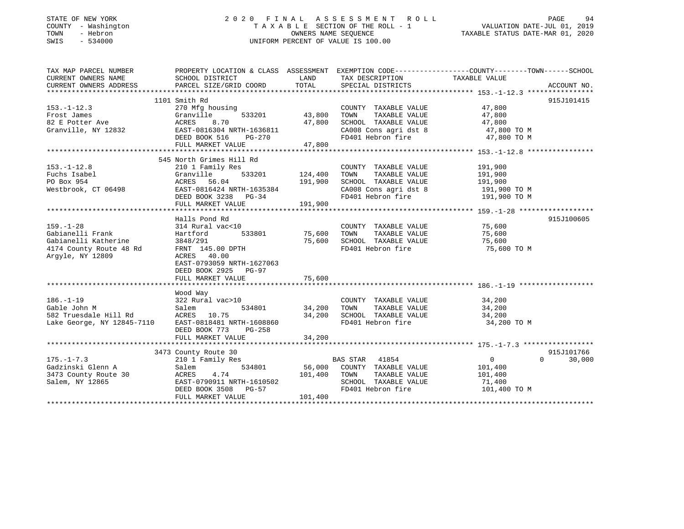### STATE OF NEW YORK GALL 2020 FINAL ASSESSMENT ROLL GALL PAGE 94 COUNTY - Washington  $T A X A B L E$  SECTION OF THE ROLL - 1<br>TOWN - Hebron DATE-JUL 000NERS NAME SEQUENCE SWIS - 534000 UNIFORM PERCENT OF VALUE IS 100.00

VALUATION DATE-JUL 01, 2019

TAXABLE STATUS DATE-MAR 01, 2020

| 915J101415<br>1101 Smith Rd<br>COUNTY TAXABLE VALUE 47,800<br>270 Mfg housing<br>$533201$ 43,800<br>TAXABLE VALUE 47,800<br>TOWN<br>Granville<br>ACRES 8.70 47,800<br>EAST-0816304 NRTH-1636811 47,800<br>DEED BOOK 516 PG-270<br>SCHOOL TAXABLE VALUE $47,800$<br>CA008 Cons agri dst 8 $47,800$ TO M<br>FD401 Hebron fire $47,800$ TO M<br>82 E Potter Ave<br>Granville, NY 12832<br>FULL MARKET VALUE 47,800<br>545 North Grimes Hill Rd<br>COUNTY TAXABLE VALUE<br>191,900<br>191,900<br>TAXABLE VALUE<br>153.-1-12.8<br>Fuchs Isabel (1998)<br>Po Box 954<br>Westbrook, CT 06498<br>CRES 56.04<br>DEED BOOK 3238 PG-34<br>Po Box 954<br>DEED BOOK 3238 PG-34<br>Po Box 954<br>DEED BOOK 3238 PG-34<br>Po Box 954<br>Po Box 954<br>Po Box 954<br>Po Box 954<br>Po Bo<br>CA008 Cons agri dst 8 191,900 TO M<br>FD401 Hebron fire 191,900 TO M<br>915J100605<br>Halls Pond Rd<br>314 Rural vac<10<br>COUNTY TAXABLE VALUE 75,600<br>TOWN TAXABLE VALUE 75,600<br>$159. - 1 - 28$<br>Hartford 533801 75,600<br>Gabianelli Frank<br>TOWN<br>3848/291<br>SCHOOL TAXABLE VALUE 75,600<br>75,600<br>Gabianelli Katherine<br>4174 County Route 48 Rd<br>FRNT 145.00 DPTH<br>FD401 Hebron fire<br>75,600 TO M<br>Argyle, NY 12809<br>ACRES 40.00<br>EAST-0793059 NRTH-1627063<br>DEED BOOK 2925 PG-97<br>Wood Way<br>COUNTY TAXABLE VALUE 34,200<br>534801 34,200<br>TAXABLE VALUE 34,200<br>TOWN<br>SCHOOL TAXABLE VALUE<br>FD401 Hebron fire<br>34,200<br>34,200 TO M<br>DEED BOOK 773<br>PG-258<br>915J101766<br>3473 County Route 30<br>County Route 30<br>210 1 Family Res<br>$175. - 1 - 7.3$<br>BAS STAR 41854<br>$0 \qquad \qquad$<br>$\Omega$<br>30,000<br>Gadzinski Glenn A<br>534801 56,000 COUNTY TAXABLE VALUE 101,400<br>Salem<br>3473 County Route 30 6 ACRES 4.74 101,400 TOWN TAXABLE VALUE 101,400<br>Salem, NY 12865 21,400 EAST-0790911 NRTH-1610502 5CHOOL TAXABLE VALUE 71,400<br>DEED BOOK 3508 PG-57 FD401 Hebron fire 101,400<br>FD401 Hebron fire 101,400 TO M<br>101,400<br>FULL MARKET VALUE | TAX MAP PARCEL NUMBER |  | PROPERTY LOCATION & CLASS ASSESSMENT EXEMPTION CODE---------------COUNTY-------TOWN------SCHOOL |
|---------------------------------------------------------------------------------------------------------------------------------------------------------------------------------------------------------------------------------------------------------------------------------------------------------------------------------------------------------------------------------------------------------------------------------------------------------------------------------------------------------------------------------------------------------------------------------------------------------------------------------------------------------------------------------------------------------------------------------------------------------------------------------------------------------------------------------------------------------------------------------------------------------------------------------------------------------------------------------------------------------------------------------------------------------------------------------------------------------------------------------------------------------------------------------------------------------------------------------------------------------------------------------------------------------------------------------------------------------------------------------------------------------------------------------------------------------------------------------------------------------------------------------------------------------------------------------------------------------------------------------------------------------------------------------------------------------------------------------------------------------------------------------------------------------------------------------------------------------------------------------------------------------------------------------------------------------------------------------------------------------------------|-----------------------|--|-------------------------------------------------------------------------------------------------|
|                                                                                                                                                                                                                                                                                                                                                                                                                                                                                                                                                                                                                                                                                                                                                                                                                                                                                                                                                                                                                                                                                                                                                                                                                                                                                                                                                                                                                                                                                                                                                                                                                                                                                                                                                                                                                                                                                                                                                                                                                     |                       |  |                                                                                                 |
|                                                                                                                                                                                                                                                                                                                                                                                                                                                                                                                                                                                                                                                                                                                                                                                                                                                                                                                                                                                                                                                                                                                                                                                                                                                                                                                                                                                                                                                                                                                                                                                                                                                                                                                                                                                                                                                                                                                                                                                                                     |                       |  |                                                                                                 |
|                                                                                                                                                                                                                                                                                                                                                                                                                                                                                                                                                                                                                                                                                                                                                                                                                                                                                                                                                                                                                                                                                                                                                                                                                                                                                                                                                                                                                                                                                                                                                                                                                                                                                                                                                                                                                                                                                                                                                                                                                     |                       |  |                                                                                                 |
|                                                                                                                                                                                                                                                                                                                                                                                                                                                                                                                                                                                                                                                                                                                                                                                                                                                                                                                                                                                                                                                                                                                                                                                                                                                                                                                                                                                                                                                                                                                                                                                                                                                                                                                                                                                                                                                                                                                                                                                                                     |                       |  |                                                                                                 |
|                                                                                                                                                                                                                                                                                                                                                                                                                                                                                                                                                                                                                                                                                                                                                                                                                                                                                                                                                                                                                                                                                                                                                                                                                                                                                                                                                                                                                                                                                                                                                                                                                                                                                                                                                                                                                                                                                                                                                                                                                     | $153.-1-12.3$         |  |                                                                                                 |
|                                                                                                                                                                                                                                                                                                                                                                                                                                                                                                                                                                                                                                                                                                                                                                                                                                                                                                                                                                                                                                                                                                                                                                                                                                                                                                                                                                                                                                                                                                                                                                                                                                                                                                                                                                                                                                                                                                                                                                                                                     | Frost James           |  |                                                                                                 |
|                                                                                                                                                                                                                                                                                                                                                                                                                                                                                                                                                                                                                                                                                                                                                                                                                                                                                                                                                                                                                                                                                                                                                                                                                                                                                                                                                                                                                                                                                                                                                                                                                                                                                                                                                                                                                                                                                                                                                                                                                     |                       |  |                                                                                                 |
|                                                                                                                                                                                                                                                                                                                                                                                                                                                                                                                                                                                                                                                                                                                                                                                                                                                                                                                                                                                                                                                                                                                                                                                                                                                                                                                                                                                                                                                                                                                                                                                                                                                                                                                                                                                                                                                                                                                                                                                                                     |                       |  |                                                                                                 |
|                                                                                                                                                                                                                                                                                                                                                                                                                                                                                                                                                                                                                                                                                                                                                                                                                                                                                                                                                                                                                                                                                                                                                                                                                                                                                                                                                                                                                                                                                                                                                                                                                                                                                                                                                                                                                                                                                                                                                                                                                     |                       |  |                                                                                                 |
|                                                                                                                                                                                                                                                                                                                                                                                                                                                                                                                                                                                                                                                                                                                                                                                                                                                                                                                                                                                                                                                                                                                                                                                                                                                                                                                                                                                                                                                                                                                                                                                                                                                                                                                                                                                                                                                                                                                                                                                                                     |                       |  |                                                                                                 |
|                                                                                                                                                                                                                                                                                                                                                                                                                                                                                                                                                                                                                                                                                                                                                                                                                                                                                                                                                                                                                                                                                                                                                                                                                                                                                                                                                                                                                                                                                                                                                                                                                                                                                                                                                                                                                                                                                                                                                                                                                     |                       |  |                                                                                                 |
|                                                                                                                                                                                                                                                                                                                                                                                                                                                                                                                                                                                                                                                                                                                                                                                                                                                                                                                                                                                                                                                                                                                                                                                                                                                                                                                                                                                                                                                                                                                                                                                                                                                                                                                                                                                                                                                                                                                                                                                                                     |                       |  |                                                                                                 |
|                                                                                                                                                                                                                                                                                                                                                                                                                                                                                                                                                                                                                                                                                                                                                                                                                                                                                                                                                                                                                                                                                                                                                                                                                                                                                                                                                                                                                                                                                                                                                                                                                                                                                                                                                                                                                                                                                                                                                                                                                     |                       |  |                                                                                                 |
|                                                                                                                                                                                                                                                                                                                                                                                                                                                                                                                                                                                                                                                                                                                                                                                                                                                                                                                                                                                                                                                                                                                                                                                                                                                                                                                                                                                                                                                                                                                                                                                                                                                                                                                                                                                                                                                                                                                                                                                                                     |                       |  |                                                                                                 |
|                                                                                                                                                                                                                                                                                                                                                                                                                                                                                                                                                                                                                                                                                                                                                                                                                                                                                                                                                                                                                                                                                                                                                                                                                                                                                                                                                                                                                                                                                                                                                                                                                                                                                                                                                                                                                                                                                                                                                                                                                     |                       |  |                                                                                                 |
|                                                                                                                                                                                                                                                                                                                                                                                                                                                                                                                                                                                                                                                                                                                                                                                                                                                                                                                                                                                                                                                                                                                                                                                                                                                                                                                                                                                                                                                                                                                                                                                                                                                                                                                                                                                                                                                                                                                                                                                                                     |                       |  |                                                                                                 |
|                                                                                                                                                                                                                                                                                                                                                                                                                                                                                                                                                                                                                                                                                                                                                                                                                                                                                                                                                                                                                                                                                                                                                                                                                                                                                                                                                                                                                                                                                                                                                                                                                                                                                                                                                                                                                                                                                                                                                                                                                     |                       |  |                                                                                                 |
|                                                                                                                                                                                                                                                                                                                                                                                                                                                                                                                                                                                                                                                                                                                                                                                                                                                                                                                                                                                                                                                                                                                                                                                                                                                                                                                                                                                                                                                                                                                                                                                                                                                                                                                                                                                                                                                                                                                                                                                                                     |                       |  |                                                                                                 |
|                                                                                                                                                                                                                                                                                                                                                                                                                                                                                                                                                                                                                                                                                                                                                                                                                                                                                                                                                                                                                                                                                                                                                                                                                                                                                                                                                                                                                                                                                                                                                                                                                                                                                                                                                                                                                                                                                                                                                                                                                     |                       |  |                                                                                                 |
|                                                                                                                                                                                                                                                                                                                                                                                                                                                                                                                                                                                                                                                                                                                                                                                                                                                                                                                                                                                                                                                                                                                                                                                                                                                                                                                                                                                                                                                                                                                                                                                                                                                                                                                                                                                                                                                                                                                                                                                                                     |                       |  |                                                                                                 |
|                                                                                                                                                                                                                                                                                                                                                                                                                                                                                                                                                                                                                                                                                                                                                                                                                                                                                                                                                                                                                                                                                                                                                                                                                                                                                                                                                                                                                                                                                                                                                                                                                                                                                                                                                                                                                                                                                                                                                                                                                     |                       |  |                                                                                                 |
|                                                                                                                                                                                                                                                                                                                                                                                                                                                                                                                                                                                                                                                                                                                                                                                                                                                                                                                                                                                                                                                                                                                                                                                                                                                                                                                                                                                                                                                                                                                                                                                                                                                                                                                                                                                                                                                                                                                                                                                                                     |                       |  |                                                                                                 |
|                                                                                                                                                                                                                                                                                                                                                                                                                                                                                                                                                                                                                                                                                                                                                                                                                                                                                                                                                                                                                                                                                                                                                                                                                                                                                                                                                                                                                                                                                                                                                                                                                                                                                                                                                                                                                                                                                                                                                                                                                     |                       |  |                                                                                                 |
|                                                                                                                                                                                                                                                                                                                                                                                                                                                                                                                                                                                                                                                                                                                                                                                                                                                                                                                                                                                                                                                                                                                                                                                                                                                                                                                                                                                                                                                                                                                                                                                                                                                                                                                                                                                                                                                                                                                                                                                                                     |                       |  |                                                                                                 |
|                                                                                                                                                                                                                                                                                                                                                                                                                                                                                                                                                                                                                                                                                                                                                                                                                                                                                                                                                                                                                                                                                                                                                                                                                                                                                                                                                                                                                                                                                                                                                                                                                                                                                                                                                                                                                                                                                                                                                                                                                     |                       |  |                                                                                                 |
|                                                                                                                                                                                                                                                                                                                                                                                                                                                                                                                                                                                                                                                                                                                                                                                                                                                                                                                                                                                                                                                                                                                                                                                                                                                                                                                                                                                                                                                                                                                                                                                                                                                                                                                                                                                                                                                                                                                                                                                                                     |                       |  |                                                                                                 |
|                                                                                                                                                                                                                                                                                                                                                                                                                                                                                                                                                                                                                                                                                                                                                                                                                                                                                                                                                                                                                                                                                                                                                                                                                                                                                                                                                                                                                                                                                                                                                                                                                                                                                                                                                                                                                                                                                                                                                                                                                     |                       |  |                                                                                                 |
|                                                                                                                                                                                                                                                                                                                                                                                                                                                                                                                                                                                                                                                                                                                                                                                                                                                                                                                                                                                                                                                                                                                                                                                                                                                                                                                                                                                                                                                                                                                                                                                                                                                                                                                                                                                                                                                                                                                                                                                                                     |                       |  |                                                                                                 |
|                                                                                                                                                                                                                                                                                                                                                                                                                                                                                                                                                                                                                                                                                                                                                                                                                                                                                                                                                                                                                                                                                                                                                                                                                                                                                                                                                                                                                                                                                                                                                                                                                                                                                                                                                                                                                                                                                                                                                                                                                     |                       |  |                                                                                                 |
|                                                                                                                                                                                                                                                                                                                                                                                                                                                                                                                                                                                                                                                                                                                                                                                                                                                                                                                                                                                                                                                                                                                                                                                                                                                                                                                                                                                                                                                                                                                                                                                                                                                                                                                                                                                                                                                                                                                                                                                                                     |                       |  |                                                                                                 |
|                                                                                                                                                                                                                                                                                                                                                                                                                                                                                                                                                                                                                                                                                                                                                                                                                                                                                                                                                                                                                                                                                                                                                                                                                                                                                                                                                                                                                                                                                                                                                                                                                                                                                                                                                                                                                                                                                                                                                                                                                     |                       |  |                                                                                                 |
|                                                                                                                                                                                                                                                                                                                                                                                                                                                                                                                                                                                                                                                                                                                                                                                                                                                                                                                                                                                                                                                                                                                                                                                                                                                                                                                                                                                                                                                                                                                                                                                                                                                                                                                                                                                                                                                                                                                                                                                                                     |                       |  |                                                                                                 |
|                                                                                                                                                                                                                                                                                                                                                                                                                                                                                                                                                                                                                                                                                                                                                                                                                                                                                                                                                                                                                                                                                                                                                                                                                                                                                                                                                                                                                                                                                                                                                                                                                                                                                                                                                                                                                                                                                                                                                                                                                     |                       |  |                                                                                                 |
|                                                                                                                                                                                                                                                                                                                                                                                                                                                                                                                                                                                                                                                                                                                                                                                                                                                                                                                                                                                                                                                                                                                                                                                                                                                                                                                                                                                                                                                                                                                                                                                                                                                                                                                                                                                                                                                                                                                                                                                                                     |                       |  |                                                                                                 |
|                                                                                                                                                                                                                                                                                                                                                                                                                                                                                                                                                                                                                                                                                                                                                                                                                                                                                                                                                                                                                                                                                                                                                                                                                                                                                                                                                                                                                                                                                                                                                                                                                                                                                                                                                                                                                                                                                                                                                                                                                     |                       |  |                                                                                                 |
|                                                                                                                                                                                                                                                                                                                                                                                                                                                                                                                                                                                                                                                                                                                                                                                                                                                                                                                                                                                                                                                                                                                                                                                                                                                                                                                                                                                                                                                                                                                                                                                                                                                                                                                                                                                                                                                                                                                                                                                                                     |                       |  |                                                                                                 |
|                                                                                                                                                                                                                                                                                                                                                                                                                                                                                                                                                                                                                                                                                                                                                                                                                                                                                                                                                                                                                                                                                                                                                                                                                                                                                                                                                                                                                                                                                                                                                                                                                                                                                                                                                                                                                                                                                                                                                                                                                     |                       |  |                                                                                                 |
|                                                                                                                                                                                                                                                                                                                                                                                                                                                                                                                                                                                                                                                                                                                                                                                                                                                                                                                                                                                                                                                                                                                                                                                                                                                                                                                                                                                                                                                                                                                                                                                                                                                                                                                                                                                                                                                                                                                                                                                                                     |                       |  |                                                                                                 |
|                                                                                                                                                                                                                                                                                                                                                                                                                                                                                                                                                                                                                                                                                                                                                                                                                                                                                                                                                                                                                                                                                                                                                                                                                                                                                                                                                                                                                                                                                                                                                                                                                                                                                                                                                                                                                                                                                                                                                                                                                     |                       |  |                                                                                                 |
|                                                                                                                                                                                                                                                                                                                                                                                                                                                                                                                                                                                                                                                                                                                                                                                                                                                                                                                                                                                                                                                                                                                                                                                                                                                                                                                                                                                                                                                                                                                                                                                                                                                                                                                                                                                                                                                                                                                                                                                                                     |                       |  |                                                                                                 |
|                                                                                                                                                                                                                                                                                                                                                                                                                                                                                                                                                                                                                                                                                                                                                                                                                                                                                                                                                                                                                                                                                                                                                                                                                                                                                                                                                                                                                                                                                                                                                                                                                                                                                                                                                                                                                                                                                                                                                                                                                     |                       |  |                                                                                                 |
|                                                                                                                                                                                                                                                                                                                                                                                                                                                                                                                                                                                                                                                                                                                                                                                                                                                                                                                                                                                                                                                                                                                                                                                                                                                                                                                                                                                                                                                                                                                                                                                                                                                                                                                                                                                                                                                                                                                                                                                                                     |                       |  |                                                                                                 |
|                                                                                                                                                                                                                                                                                                                                                                                                                                                                                                                                                                                                                                                                                                                                                                                                                                                                                                                                                                                                                                                                                                                                                                                                                                                                                                                                                                                                                                                                                                                                                                                                                                                                                                                                                                                                                                                                                                                                                                                                                     |                       |  |                                                                                                 |
|                                                                                                                                                                                                                                                                                                                                                                                                                                                                                                                                                                                                                                                                                                                                                                                                                                                                                                                                                                                                                                                                                                                                                                                                                                                                                                                                                                                                                                                                                                                                                                                                                                                                                                                                                                                                                                                                                                                                                                                                                     |                       |  |                                                                                                 |
|                                                                                                                                                                                                                                                                                                                                                                                                                                                                                                                                                                                                                                                                                                                                                                                                                                                                                                                                                                                                                                                                                                                                                                                                                                                                                                                                                                                                                                                                                                                                                                                                                                                                                                                                                                                                                                                                                                                                                                                                                     |                       |  |                                                                                                 |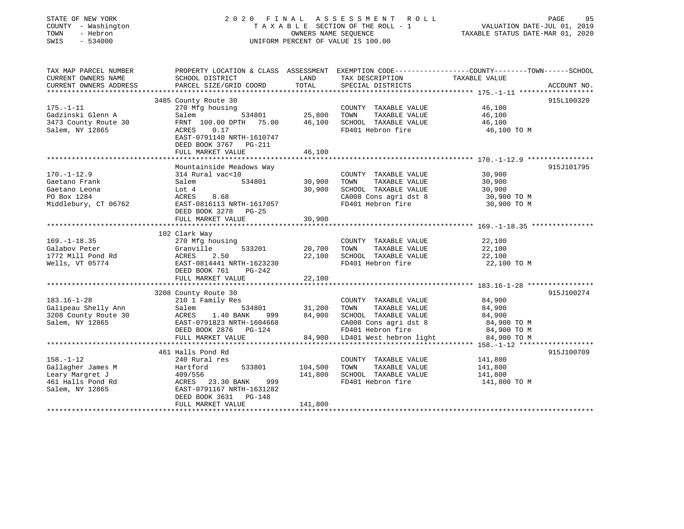| STATE OF NEW YORK<br>COUNTY - Washington<br>TOWN<br>- Hebron<br>SWIS<br>$-534000$ |                                                        |             | 2020 FINAL ASSESSMENT ROLL<br>TAXABLE SECTION OF THE ROLL - 1<br>OWNERS NAME SEQUENCE<br>UNIFORM PERCENT OF VALUE IS 100.00 | 95<br>PAGE<br>VALUATION DATE-JUL 01, 2019<br>TAXABLE STATUS DATE-MAR 01, 2020                                    |
|-----------------------------------------------------------------------------------|--------------------------------------------------------|-------------|-----------------------------------------------------------------------------------------------------------------------------|------------------------------------------------------------------------------------------------------------------|
| TAX MAP PARCEL NUMBER<br>CURRENT OWNERS NAME                                      | SCHOOL DISTRICT                                        | LAND        | TAX DESCRIPTION                                                                                                             | PROPERTY LOCATION & CLASS ASSESSMENT EXEMPTION CODE----------------COUNTY-------TOWN-----SCHOOL<br>TAXABLE VALUE |
| CURRENT OWNERS ADDRESS<br>*******************                                     | PARCEL SIZE/GRID COORD                                 | TOTAL       | SPECIAL DISTRICTS                                                                                                           | ACCOUNT NO.<br>***********                                                                                       |
|                                                                                   | 3485 County Route 30                                   |             |                                                                                                                             | 915L100320                                                                                                       |
| $175. - 1 - 11$                                                                   | 270 Mfg housing                                        |             | COUNTY TAXABLE VALUE                                                                                                        | 46,100                                                                                                           |
| Gadzinski Glenn A                                                                 | 534801<br>Salem                                        | 25,800 TOWN | TAXABLE VALUE                                                                                                               | 46,100                                                                                                           |
| 3473 County Route 30                                                              | FRNT 100.00 DPTH 75.00                                 |             | 46,100 SCHOOL TAXABLE VALUE                                                                                                 | 46,100                                                                                                           |
| Salem, NY 12865                                                                   | ACRES<br>0.17                                          |             | FD401 Hebron fire                                                                                                           | 46,100 TO M                                                                                                      |
|                                                                                   | EAST-0791140 NRTH-1610747                              |             |                                                                                                                             |                                                                                                                  |
|                                                                                   | DEED BOOK 3767 PG-211                                  |             |                                                                                                                             |                                                                                                                  |
|                                                                                   | FULL MARKET VALUE<br>************************          | 46,100      |                                                                                                                             |                                                                                                                  |
|                                                                                   | Mountainside Meadows Way                               |             |                                                                                                                             | 915J101795                                                                                                       |
| $170. - 1 - 12.9$                                                                 | 314 Rural vac<10                                       |             | COUNTY TAXABLE VALUE                                                                                                        | 30,900                                                                                                           |
| Gaetano Frank                                                                     | 534801<br>Salem                                        | 30,900      | TOWN<br>TAXABLE VALUE                                                                                                       | 30,900                                                                                                           |
| Gaetano Leona                                                                     | Lot 4                                                  | 30,900      | SCHOOL TAXABLE VALUE                                                                                                        | 30,900                                                                                                           |
| PO Box 1284                                                                       | ACRES<br>8.68                                          |             | CA008 Cons agri dst 8                                                                                                       | 30,900 TO M                                                                                                      |
| Middlebury, CT 06762                                                              | EAST-0816113 NRTH-1617057                              |             | FD401 Hebron fire                                                                                                           | 30,900 TO M                                                                                                      |
|                                                                                   | DEED BOOK 3278 PG-25                                   |             |                                                                                                                             |                                                                                                                  |
|                                                                                   | FULL MARKET VALUE                                      | 30,900      |                                                                                                                             |                                                                                                                  |
|                                                                                   | ***********************                                |             |                                                                                                                             |                                                                                                                  |
|                                                                                   | 102 Clark Way                                          |             |                                                                                                                             |                                                                                                                  |
| $169. - 1 - 18.35$<br>Galabov Peter                                               | 270 Mfg housing<br>Granville<br>533201                 | 20,700 TOWN | COUNTY TAXABLE VALUE<br>TAXABLE VALUE                                                                                       | 22,100<br>22,100                                                                                                 |
| 1772 Mill Pond Rd                                                                 | ACRES<br>2.50                                          |             | 22,100 SCHOOL TAXABLE VALUE                                                                                                 | 22,100                                                                                                           |
| Wells, VT 05774                                                                   | EAST-0814441 NRTH-1623230                              |             | FD401 Hebron fire                                                                                                           | 22,100 TO M                                                                                                      |
|                                                                                   | DEED BOOK 761<br>PG-242                                |             |                                                                                                                             |                                                                                                                  |
|                                                                                   | FULL MARKET VALUE                                      | 22,100      |                                                                                                                             |                                                                                                                  |
|                                                                                   |                                                        |             |                                                                                                                             |                                                                                                                  |
|                                                                                   | 3208 County Route 30                                   |             |                                                                                                                             | 915J100274                                                                                                       |
| $183.16 - 1 - 28$                                                                 | 210 1 Family Res                                       |             | COUNTY TAXABLE VALUE                                                                                                        | 84,900                                                                                                           |
| Galipeau Shelly Ann                                                               | 534801<br>Salem                                        | 31,200 TOWN | TAXABLE VALUE                                                                                                               | 84,900                                                                                                           |
| 3208 County Route 30<br>Salem, NY 12865                                           | ACRES<br>1.40 BANK<br>999<br>EAST-0791823 NRTH-1604668 |             | 84,900 SCHOOL TAXABLE VALUE<br>CA008 Cons agri dst 8                                                                        | 84,900<br>84,900 TO M                                                                                            |
|                                                                                   | DEED BOOK 2876 PG-124                                  |             | FD401 Hebron fire                                                                                                           | 84,900 TO M                                                                                                      |
|                                                                                   | FULL MARKET VALUE                                      | 84,900      | LD401 West hebron light                                                                                                     | 84,900 TO M                                                                                                      |
|                                                                                   |                                                        |             |                                                                                                                             |                                                                                                                  |
|                                                                                   | 461 Halls Pond Rd                                      |             |                                                                                                                             | 915J100709                                                                                                       |
|                                                                                   | 240 Rural res                                          |             | COUNTY TAXABLE VALUE                                                                                                        | 141,800                                                                                                          |
| $158. - 1 - 12$                                                                   | 533801<br>Hartford                                     | 104,500     | TOWN<br>TAXABLE VALUE                                                                                                       | 141,800                                                                                                          |
| Gallagher James M                                                                 |                                                        |             | SCHOOL TAXABLE VALUE                                                                                                        | 141,800                                                                                                          |
| Leary Margret J                                                                   | 409/556                                                | 141,800     |                                                                                                                             |                                                                                                                  |
| 461 Halls Pond Rd                                                                 | ACRES 23.30 BANK<br>999                                |             | FD401 Hebron fire                                                                                                           | 141,800 TO M                                                                                                     |
| Salem, NY 12865                                                                   | EAST-0791167 NRTH-1631282                              |             |                                                                                                                             |                                                                                                                  |
|                                                                                   | DEED BOOK 3631 PG-148<br>FULL MARKET VALUE             | 141,800     |                                                                                                                             |                                                                                                                  |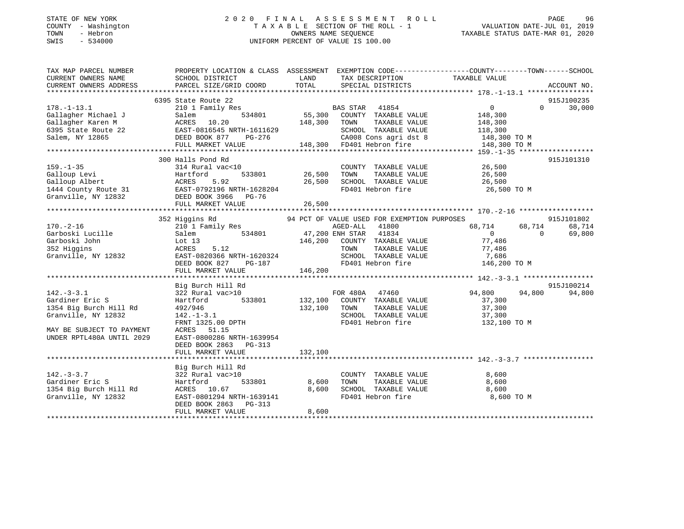## STATE OF NEW YORK 2 0 2 0 F I N A L A S S E S S M E N T R O L L PAGE 96 COUNTY - Washington T A X A B L E SECTION OF THE ROLL - 1 VALUATION DATE-JUL 01, 2019 TOWN - Hebron OWNERS NAME SEQUENCE TAXABLE STATUS DATE-MAR 01, 2020 SWIS - 534000 UNIFORM PERCENT OF VALUE IS 100.00

TAX MAP PARCEL NUMBER PROPERTY LOCATION & CLASS ASSESSMENT EXEMPTION CODE------------------COUNTY--------TOWN------SCHOOL

CURRENT OWNERS NAME SCHOOL DISTRICT LAND TAX DESCRIPTION TAXABLE VALUE

CURRENT OWNERS ADDRESS PARCEL SIZE/GRID COORD TOTAL SPECIAL DISTRICTS ACCOUNT NO. \*\*\*\*\*\*\*\*\*\*\*\*\*\*\*\*\*\*\*\*\*\*\*\*\*\*\*\*\*\*\*\*\*\*\*\*\*\*\*\*\*\*\*\*\*\*\*\*\*\*\*\*\*\*\*\*\*\*\*\*\*\*\*\*\*\*\*\*\*\*\*\*\*\*\*\*\*\*\*\*\*\*\*\*\*\*\*\*\*\*\*\*\*\*\*\*\*\*\*\*\*\*\* 178.-1-13.1 \*\*\*\*\*\*\*\*\*\*\*\*\*\*\*\* 6395 State Route 22 915J100235 178.-1-13.1 210 1 Family Res BAS STAR 41854 0 0 30,000 Gallagher Michael J Salem 534801 55,300 COUNTY TAXABLE VALUE 148,300 Gallagher Karen M ACRES 10.20 148,300 TOWN TAXABLE VALUE 148,300 6395 State Route 22 EAST-0816545 NRTH-1611629 SCHOOL TAXABLE VALUE 118,300 Salem, NY 12865 DEED BOOK 877 PG-276 CA008 Cons agri dst 8 148,300 TO M FULL MARKET VALUE 148,300 FD401 Hebron fire 148,300 TO M \*\*\*\*\*\*\*\*\*\*\*\*\*\*\*\*\*\*\*\*\*\*\*\*\*\*\*\*\*\*\*\*\*\*\*\*\*\*\*\*\*\*\*\*\*\*\*\*\*\*\*\*\*\*\*\*\*\*\*\*\*\*\*\*\*\*\*\*\*\*\*\*\*\*\*\*\*\*\*\*\*\*\*\*\*\*\*\*\*\*\*\*\*\*\*\*\*\*\*\*\*\*\* 159.-1-35 \*\*\*\*\*\*\*\*\*\*\*\*\*\*\*\*\*\* 300 Halls Pond Rd 915J101310159.-1-35 314 Rural vac<10 COUNTY TAXABLE VALUE 26,500 Galloup Levi Hartford 533801 26,500 TOWN TAXABLE VALUE 26,500 Galloup Albert ACRES 5.92 26,500 SCHOOL TAXABLE VALUE 26,500 1444 County Route 31 EAST-0792196 NRTH-1628204 FD401 Hebron fire 26,500 TO M Granville, NY 12832 DEED BOOK 3966 PG-76 FULL MARKET VALUE 26,500 \*\*\*\*\*\*\*\*\*\*\*\*\*\*\*\*\*\*\*\*\*\*\*\*\*\*\*\*\*\*\*\*\*\*\*\*\*\*\*\*\*\*\*\*\*\*\*\*\*\*\*\*\*\*\*\*\*\*\*\*\*\*\*\*\*\*\*\*\*\*\*\*\*\*\*\*\*\*\*\*\*\*\*\*\*\*\*\*\*\*\*\*\*\*\*\*\*\*\*\*\*\*\* 170.-2-16 \*\*\*\*\*\*\*\*\*\*\*\*\*\*\*\*\*\* 352 Higgins Rd 94 PCT OF VALUE USED FOR EXEMPTION PURPOSES 915J101802 170.-2-16 210 1 Family Res AGED-ALL 41800 68,714 68,714 68,714 Garboski Lucille Salem 534801 47,200 ENH STAR 41834 0 0 69,800 Garboski John Lot 13 146,200 COUNTY TAXABLE VALUE 77,486 352 Higgins ACRES 5.12 TOWN TAXABLE VALUE 77,486 Granville, NY 12832 EAST-0820366 NRTH-1620324 SCHOOL TAXABLE VALUE 7,686 DEED BOOK 827 PG-187 FD401 Hebron fire 146,200 TO M FULL MARKET VALUE 146,200 \*\*\*\*\*\*\*\*\*\*\*\*\*\*\*\*\*\*\*\*\*\*\*\*\*\*\*\*\*\*\*\*\*\*\*\*\*\*\*\*\*\*\*\*\*\*\*\*\*\*\*\*\*\*\*\*\*\*\*\*\*\*\*\*\*\*\*\*\*\*\*\*\*\*\*\*\*\*\*\*\*\*\*\*\*\*\*\*\*\*\*\*\*\*\*\*\*\*\*\*\*\*\* 142.-3-3.1 \*\*\*\*\*\*\*\*\*\*\*\*\*\*\*\*\* Big Burch Hill Rd 915J100214 142.-3-3.1 322 Rural vac>10 FOR 480A 47460 94,800 94,800 94,800 Gardiner Eric S Hartford 533801 132,100 COUNTY TAXABLE VALUE 37,300 1354 Big Burch Hill Rd 492/946 132,100 TOWN TAXABLE VALUE 37,300 Granville, NY 12832 142.-1-3.1 SCHOOL TAXABLE VALUE 37,300 FRNT 1325.00 DPTH FD401 Hebron fire 132,100 TO M بود 132,100 TO M<br>MAY BE SUBJECT TO PAYMENT ACRES 51.15 UNDER RPTL480A UNTIL 2029 EAST-0800286 NRTH-1639954 DEED BOOK 2863 PG-313FULL MARKET VALUE 132,100 \*\*\*\*\*\*\*\*\*\*\*\*\*\*\*\*\*\*\*\*\*\*\*\*\*\*\*\*\*\*\*\*\*\*\*\*\*\*\*\*\*\*\*\*\*\*\*\*\*\*\*\*\*\*\*\*\*\*\*\*\*\*\*\*\*\*\*\*\*\*\*\*\*\*\*\*\*\*\*\*\*\*\*\*\*\*\*\*\*\*\*\*\*\*\*\*\*\*\*\*\*\*\* 142.-3-3.7 \*\*\*\*\*\*\*\*\*\*\*\*\*\*\*\*\* Big Burch Hill Rd 142.-3-3.7 322 Rural vac>10 COUNTY TAXABLE VALUE 8,600 Gardiner Eric S Hartford 533801 8,600 TOWN TAXABLE VALUE 8,600 1354 Big Burch Hill Rd ACRES 10.67 8,600 SCHOOL TAXABLE VALUE 8,600 Granville, NY 12832 EAST-0801294 NRTH-1639141 FD401 Hebron fire 8,600 TO M DEED BOOK 2863 PG-313 FULL MARKET VALUE 8,600 \*\*\*\*\*\*\*\*\*\*\*\*\*\*\*\*\*\*\*\*\*\*\*\*\*\*\*\*\*\*\*\*\*\*\*\*\*\*\*\*\*\*\*\*\*\*\*\*\*\*\*\*\*\*\*\*\*\*\*\*\*\*\*\*\*\*\*\*\*\*\*\*\*\*\*\*\*\*\*\*\*\*\*\*\*\*\*\*\*\*\*\*\*\*\*\*\*\*\*\*\*\*\*\*\*\*\*\*\*\*\*\*\*\*\*\*\*\*\*\*\*\*\*\*\*\*\*\*\*\*\*\*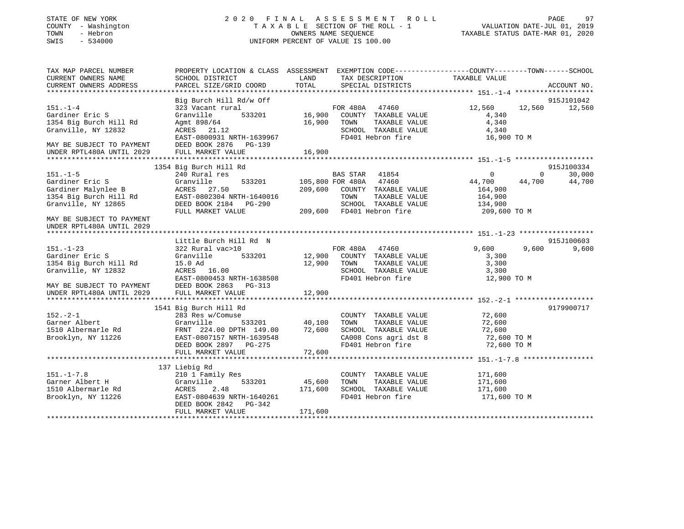#### STATE OF NEW YORK 2 0 2 0 F I N A L A S S E S S M E N T R O L L PAGE 97 COUNTY - Washington T A X A B L E SECTION OF THE ROLL - 1 VALUATION DATE-JUL 01, 2019 TOWN - Hebron OWNERS NAME SEQUENCE TAXABLE STATUS DATE-MAR 01, 2020 SWIS - 534000 UNIFORM PERCENT OF VALUE IS 100.00

| LAND<br>TAXABLE VALUE<br>CURRENT OWNERS NAME<br>SCHOOL DISTRICT<br>TAX DESCRIPTION<br>TOTAL<br>CURRENT OWNERS ADDRESS<br>PARCEL SIZE/GRID COORD<br>SPECIAL DISTRICTS<br>ACCOUNT NO.<br>Big Burch Hill Rd/w Off<br>915J101042<br>$151. - 1 - 4$<br>323 Vacant rural<br>12,560 12,560 12,560<br>Gardiner Eric S<br>Granville<br>4,340<br>16,900 TOWN<br>TAXABLE VALUE<br>4,340<br>1354 Big Burch Hill Rd<br>Agmu 898/64<br>ACRES 21.12<br>SCHOOL TAXABLE VALUE<br>Granville, NY 12832<br>4,340<br>FD401 Hebron fire 16,900 TO M<br>EAST-0800931 NRTH-1639967<br>MAY BE SUBJECT TO PAYMENT<br>DEED BOOK 2876 PG-139<br>16,900<br>UNDER RPTL480A UNTIL 2029<br>FULL MARKET VALUE<br>915J100334<br>1354 Big Burch Hill Rd<br>$151. -1 - 5$<br>$\overline{0}$<br>30,000<br>BAS STAR 41854<br>$\Omega$<br>240 Rural res<br>533201 105,800 FOR 480A 47460<br>44,700 44,700<br>Gardiner Eric S<br>Granville<br>44,700<br>Gardiner Malynlee B                  ACRES    27.50<br>1354 Big Burch Hill Rd            EAST-0802304 NRTH-1640016<br>209,600 COUNTY TAXABLE VALUE<br>164,900<br>164,900<br>TOWN<br>TAXABLE VALUE<br>SCHOOL TAXABLE VALUE 134,900<br>Granville, NY 12865<br>DEED BOOK 2184 PG-290<br>SCHOOL TAXABLE VALUE<br>209,600 FD401 Hebron fire<br>FULL MARKET VALUE<br>209,600 TO M<br>915J100603<br>Little Burch Hill Rd N<br>FOR 480A 47460<br>9,600<br>9.600<br>9,600<br>322 Rural vac>10<br>Granville 533201 12,900 COUNTY TAXABLE VALUE<br>3,300<br>15.0 Ad<br>12,900 TOWN<br>TAXABLE VALUE<br>3,300<br>SCHOOL TAXABLE VALUE<br>ACRES 16.00<br>3,300<br>EAST-0800453 NRTH-1638508<br>FD401 Hebron fire<br>12,900 TO M<br>MAY BE SUBJECT TO PAYMENT<br>DEED BOOK 2863 PG-313<br>12,900<br>FULL MARKET VALUE<br>9179900717<br>1541 Big Burch Hill Rd<br>COUNTY TAXABLE VALUE 72,600<br>283 Res w/Comuse<br>Granville 533201 40,100<br>Rd FRNT 224.00 DPTH 149.00 72,600<br>26 EAST-0807157 NRTH-1639548<br>TOWN<br>TAXABLE VALUE<br>72,600<br>1510 Albermarle Rd<br>SCHOOL TAXABLE VALUE 72,600<br>CA008 Cons agri dst 8 72,600 TO M<br>FD401 Hebron fire 72,600 TO M<br>DEED BOOK 2897 PG-275<br>137 Liebig Rd<br>$151. - 1 - 7.8$<br>210 1 Family Res<br>171,600<br>COUNTY TAXABLE VALUE<br>533201 45,600<br>Garner Albert H<br>TAXABLE VALUE<br>Granville<br>TOWN<br>171,600<br>171,600<br>SCHOOL TAXABLE VALUE<br>1510 Albermarle Rd<br>ACRES<br>2.48<br>171,600<br>EAST-0804639 NRTH-1640261<br>FD401 Hebron fire<br>171,600 TO M<br>DEED BOOK 2842 PG-342<br>FULL MARKET VALUE<br>171,600 | TAX MAP PARCEL NUMBER     |  | PROPERTY LOCATION & CLASS ASSESSMENT EXEMPTION CODE----------------COUNTY-------TOWN------SCHOOL |  |
|------------------------------------------------------------------------------------------------------------------------------------------------------------------------------------------------------------------------------------------------------------------------------------------------------------------------------------------------------------------------------------------------------------------------------------------------------------------------------------------------------------------------------------------------------------------------------------------------------------------------------------------------------------------------------------------------------------------------------------------------------------------------------------------------------------------------------------------------------------------------------------------------------------------------------------------------------------------------------------------------------------------------------------------------------------------------------------------------------------------------------------------------------------------------------------------------------------------------------------------------------------------------------------------------------------------------------------------------------------------------------------------------------------------------------------------------------------------------------------------------------------------------------------------------------------------------------------------------------------------------------------------------------------------------------------------------------------------------------------------------------------------------------------------------------------------------------------------------------------------------------------------------------------------------------------------------------------------------------------------------------------------------------------------------------------------------------------------------------------------------------------------------------------------------------------------------------------------------------------------------------------------------------------------------------------------------------------------------------------------------------------------------------------------------------------------------------------------------------------------------------------|---------------------------|--|--------------------------------------------------------------------------------------------------|--|
|                                                                                                                                                                                                                                                                                                                                                                                                                                                                                                                                                                                                                                                                                                                                                                                                                                                                                                                                                                                                                                                                                                                                                                                                                                                                                                                                                                                                                                                                                                                                                                                                                                                                                                                                                                                                                                                                                                                                                                                                                                                                                                                                                                                                                                                                                                                                                                                                                                                                                                            |                           |  |                                                                                                  |  |
|                                                                                                                                                                                                                                                                                                                                                                                                                                                                                                                                                                                                                                                                                                                                                                                                                                                                                                                                                                                                                                                                                                                                                                                                                                                                                                                                                                                                                                                                                                                                                                                                                                                                                                                                                                                                                                                                                                                                                                                                                                                                                                                                                                                                                                                                                                                                                                                                                                                                                                            |                           |  |                                                                                                  |  |
|                                                                                                                                                                                                                                                                                                                                                                                                                                                                                                                                                                                                                                                                                                                                                                                                                                                                                                                                                                                                                                                                                                                                                                                                                                                                                                                                                                                                                                                                                                                                                                                                                                                                                                                                                                                                                                                                                                                                                                                                                                                                                                                                                                                                                                                                                                                                                                                                                                                                                                            |                           |  |                                                                                                  |  |
|                                                                                                                                                                                                                                                                                                                                                                                                                                                                                                                                                                                                                                                                                                                                                                                                                                                                                                                                                                                                                                                                                                                                                                                                                                                                                                                                                                                                                                                                                                                                                                                                                                                                                                                                                                                                                                                                                                                                                                                                                                                                                                                                                                                                                                                                                                                                                                                                                                                                                                            |                           |  |                                                                                                  |  |
|                                                                                                                                                                                                                                                                                                                                                                                                                                                                                                                                                                                                                                                                                                                                                                                                                                                                                                                                                                                                                                                                                                                                                                                                                                                                                                                                                                                                                                                                                                                                                                                                                                                                                                                                                                                                                                                                                                                                                                                                                                                                                                                                                                                                                                                                                                                                                                                                                                                                                                            |                           |  |                                                                                                  |  |
|                                                                                                                                                                                                                                                                                                                                                                                                                                                                                                                                                                                                                                                                                                                                                                                                                                                                                                                                                                                                                                                                                                                                                                                                                                                                                                                                                                                                                                                                                                                                                                                                                                                                                                                                                                                                                                                                                                                                                                                                                                                                                                                                                                                                                                                                                                                                                                                                                                                                                                            |                           |  |                                                                                                  |  |
|                                                                                                                                                                                                                                                                                                                                                                                                                                                                                                                                                                                                                                                                                                                                                                                                                                                                                                                                                                                                                                                                                                                                                                                                                                                                                                                                                                                                                                                                                                                                                                                                                                                                                                                                                                                                                                                                                                                                                                                                                                                                                                                                                                                                                                                                                                                                                                                                                                                                                                            |                           |  |                                                                                                  |  |
|                                                                                                                                                                                                                                                                                                                                                                                                                                                                                                                                                                                                                                                                                                                                                                                                                                                                                                                                                                                                                                                                                                                                                                                                                                                                                                                                                                                                                                                                                                                                                                                                                                                                                                                                                                                                                                                                                                                                                                                                                                                                                                                                                                                                                                                                                                                                                                                                                                                                                                            |                           |  |                                                                                                  |  |
|                                                                                                                                                                                                                                                                                                                                                                                                                                                                                                                                                                                                                                                                                                                                                                                                                                                                                                                                                                                                                                                                                                                                                                                                                                                                                                                                                                                                                                                                                                                                                                                                                                                                                                                                                                                                                                                                                                                                                                                                                                                                                                                                                                                                                                                                                                                                                                                                                                                                                                            |                           |  |                                                                                                  |  |
|                                                                                                                                                                                                                                                                                                                                                                                                                                                                                                                                                                                                                                                                                                                                                                                                                                                                                                                                                                                                                                                                                                                                                                                                                                                                                                                                                                                                                                                                                                                                                                                                                                                                                                                                                                                                                                                                                                                                                                                                                                                                                                                                                                                                                                                                                                                                                                                                                                                                                                            |                           |  |                                                                                                  |  |
|                                                                                                                                                                                                                                                                                                                                                                                                                                                                                                                                                                                                                                                                                                                                                                                                                                                                                                                                                                                                                                                                                                                                                                                                                                                                                                                                                                                                                                                                                                                                                                                                                                                                                                                                                                                                                                                                                                                                                                                                                                                                                                                                                                                                                                                                                                                                                                                                                                                                                                            |                           |  |                                                                                                  |  |
|                                                                                                                                                                                                                                                                                                                                                                                                                                                                                                                                                                                                                                                                                                                                                                                                                                                                                                                                                                                                                                                                                                                                                                                                                                                                                                                                                                                                                                                                                                                                                                                                                                                                                                                                                                                                                                                                                                                                                                                                                                                                                                                                                                                                                                                                                                                                                                                                                                                                                                            |                           |  |                                                                                                  |  |
|                                                                                                                                                                                                                                                                                                                                                                                                                                                                                                                                                                                                                                                                                                                                                                                                                                                                                                                                                                                                                                                                                                                                                                                                                                                                                                                                                                                                                                                                                                                                                                                                                                                                                                                                                                                                                                                                                                                                                                                                                                                                                                                                                                                                                                                                                                                                                                                                                                                                                                            |                           |  |                                                                                                  |  |
|                                                                                                                                                                                                                                                                                                                                                                                                                                                                                                                                                                                                                                                                                                                                                                                                                                                                                                                                                                                                                                                                                                                                                                                                                                                                                                                                                                                                                                                                                                                                                                                                                                                                                                                                                                                                                                                                                                                                                                                                                                                                                                                                                                                                                                                                                                                                                                                                                                                                                                            |                           |  |                                                                                                  |  |
|                                                                                                                                                                                                                                                                                                                                                                                                                                                                                                                                                                                                                                                                                                                                                                                                                                                                                                                                                                                                                                                                                                                                                                                                                                                                                                                                                                                                                                                                                                                                                                                                                                                                                                                                                                                                                                                                                                                                                                                                                                                                                                                                                                                                                                                                                                                                                                                                                                                                                                            |                           |  |                                                                                                  |  |
|                                                                                                                                                                                                                                                                                                                                                                                                                                                                                                                                                                                                                                                                                                                                                                                                                                                                                                                                                                                                                                                                                                                                                                                                                                                                                                                                                                                                                                                                                                                                                                                                                                                                                                                                                                                                                                                                                                                                                                                                                                                                                                                                                                                                                                                                                                                                                                                                                                                                                                            |                           |  |                                                                                                  |  |
|                                                                                                                                                                                                                                                                                                                                                                                                                                                                                                                                                                                                                                                                                                                                                                                                                                                                                                                                                                                                                                                                                                                                                                                                                                                                                                                                                                                                                                                                                                                                                                                                                                                                                                                                                                                                                                                                                                                                                                                                                                                                                                                                                                                                                                                                                                                                                                                                                                                                                                            |                           |  |                                                                                                  |  |
|                                                                                                                                                                                                                                                                                                                                                                                                                                                                                                                                                                                                                                                                                                                                                                                                                                                                                                                                                                                                                                                                                                                                                                                                                                                                                                                                                                                                                                                                                                                                                                                                                                                                                                                                                                                                                                                                                                                                                                                                                                                                                                                                                                                                                                                                                                                                                                                                                                                                                                            |                           |  |                                                                                                  |  |
|                                                                                                                                                                                                                                                                                                                                                                                                                                                                                                                                                                                                                                                                                                                                                                                                                                                                                                                                                                                                                                                                                                                                                                                                                                                                                                                                                                                                                                                                                                                                                                                                                                                                                                                                                                                                                                                                                                                                                                                                                                                                                                                                                                                                                                                                                                                                                                                                                                                                                                            | MAY BE SUBJECT TO PAYMENT |  |                                                                                                  |  |
|                                                                                                                                                                                                                                                                                                                                                                                                                                                                                                                                                                                                                                                                                                                                                                                                                                                                                                                                                                                                                                                                                                                                                                                                                                                                                                                                                                                                                                                                                                                                                                                                                                                                                                                                                                                                                                                                                                                                                                                                                                                                                                                                                                                                                                                                                                                                                                                                                                                                                                            | UNDER RPTL480A UNTIL 2029 |  |                                                                                                  |  |
|                                                                                                                                                                                                                                                                                                                                                                                                                                                                                                                                                                                                                                                                                                                                                                                                                                                                                                                                                                                                                                                                                                                                                                                                                                                                                                                                                                                                                                                                                                                                                                                                                                                                                                                                                                                                                                                                                                                                                                                                                                                                                                                                                                                                                                                                                                                                                                                                                                                                                                            |                           |  |                                                                                                  |  |
|                                                                                                                                                                                                                                                                                                                                                                                                                                                                                                                                                                                                                                                                                                                                                                                                                                                                                                                                                                                                                                                                                                                                                                                                                                                                                                                                                                                                                                                                                                                                                                                                                                                                                                                                                                                                                                                                                                                                                                                                                                                                                                                                                                                                                                                                                                                                                                                                                                                                                                            |                           |  |                                                                                                  |  |
|                                                                                                                                                                                                                                                                                                                                                                                                                                                                                                                                                                                                                                                                                                                                                                                                                                                                                                                                                                                                                                                                                                                                                                                                                                                                                                                                                                                                                                                                                                                                                                                                                                                                                                                                                                                                                                                                                                                                                                                                                                                                                                                                                                                                                                                                                                                                                                                                                                                                                                            | $151. - 1 - 23$           |  |                                                                                                  |  |
|                                                                                                                                                                                                                                                                                                                                                                                                                                                                                                                                                                                                                                                                                                                                                                                                                                                                                                                                                                                                                                                                                                                                                                                                                                                                                                                                                                                                                                                                                                                                                                                                                                                                                                                                                                                                                                                                                                                                                                                                                                                                                                                                                                                                                                                                                                                                                                                                                                                                                                            | Gardiner Eric S           |  |                                                                                                  |  |
|                                                                                                                                                                                                                                                                                                                                                                                                                                                                                                                                                                                                                                                                                                                                                                                                                                                                                                                                                                                                                                                                                                                                                                                                                                                                                                                                                                                                                                                                                                                                                                                                                                                                                                                                                                                                                                                                                                                                                                                                                                                                                                                                                                                                                                                                                                                                                                                                                                                                                                            | 1354 Big Burch Hill Rd    |  |                                                                                                  |  |
|                                                                                                                                                                                                                                                                                                                                                                                                                                                                                                                                                                                                                                                                                                                                                                                                                                                                                                                                                                                                                                                                                                                                                                                                                                                                                                                                                                                                                                                                                                                                                                                                                                                                                                                                                                                                                                                                                                                                                                                                                                                                                                                                                                                                                                                                                                                                                                                                                                                                                                            | Granville, NY 12832       |  |                                                                                                  |  |
|                                                                                                                                                                                                                                                                                                                                                                                                                                                                                                                                                                                                                                                                                                                                                                                                                                                                                                                                                                                                                                                                                                                                                                                                                                                                                                                                                                                                                                                                                                                                                                                                                                                                                                                                                                                                                                                                                                                                                                                                                                                                                                                                                                                                                                                                                                                                                                                                                                                                                                            |                           |  |                                                                                                  |  |
|                                                                                                                                                                                                                                                                                                                                                                                                                                                                                                                                                                                                                                                                                                                                                                                                                                                                                                                                                                                                                                                                                                                                                                                                                                                                                                                                                                                                                                                                                                                                                                                                                                                                                                                                                                                                                                                                                                                                                                                                                                                                                                                                                                                                                                                                                                                                                                                                                                                                                                            |                           |  |                                                                                                  |  |
|                                                                                                                                                                                                                                                                                                                                                                                                                                                                                                                                                                                                                                                                                                                                                                                                                                                                                                                                                                                                                                                                                                                                                                                                                                                                                                                                                                                                                                                                                                                                                                                                                                                                                                                                                                                                                                                                                                                                                                                                                                                                                                                                                                                                                                                                                                                                                                                                                                                                                                            | UNDER RPTL480A UNTIL 2029 |  |                                                                                                  |  |
|                                                                                                                                                                                                                                                                                                                                                                                                                                                                                                                                                                                                                                                                                                                                                                                                                                                                                                                                                                                                                                                                                                                                                                                                                                                                                                                                                                                                                                                                                                                                                                                                                                                                                                                                                                                                                                                                                                                                                                                                                                                                                                                                                                                                                                                                                                                                                                                                                                                                                                            |                           |  |                                                                                                  |  |
|                                                                                                                                                                                                                                                                                                                                                                                                                                                                                                                                                                                                                                                                                                                                                                                                                                                                                                                                                                                                                                                                                                                                                                                                                                                                                                                                                                                                                                                                                                                                                                                                                                                                                                                                                                                                                                                                                                                                                                                                                                                                                                                                                                                                                                                                                                                                                                                                                                                                                                            |                           |  |                                                                                                  |  |
|                                                                                                                                                                                                                                                                                                                                                                                                                                                                                                                                                                                                                                                                                                                                                                                                                                                                                                                                                                                                                                                                                                                                                                                                                                                                                                                                                                                                                                                                                                                                                                                                                                                                                                                                                                                                                                                                                                                                                                                                                                                                                                                                                                                                                                                                                                                                                                                                                                                                                                            | $152 - 2 - 1$             |  |                                                                                                  |  |
|                                                                                                                                                                                                                                                                                                                                                                                                                                                                                                                                                                                                                                                                                                                                                                                                                                                                                                                                                                                                                                                                                                                                                                                                                                                                                                                                                                                                                                                                                                                                                                                                                                                                                                                                                                                                                                                                                                                                                                                                                                                                                                                                                                                                                                                                                                                                                                                                                                                                                                            | Garner Albert             |  |                                                                                                  |  |
|                                                                                                                                                                                                                                                                                                                                                                                                                                                                                                                                                                                                                                                                                                                                                                                                                                                                                                                                                                                                                                                                                                                                                                                                                                                                                                                                                                                                                                                                                                                                                                                                                                                                                                                                                                                                                                                                                                                                                                                                                                                                                                                                                                                                                                                                                                                                                                                                                                                                                                            |                           |  |                                                                                                  |  |
|                                                                                                                                                                                                                                                                                                                                                                                                                                                                                                                                                                                                                                                                                                                                                                                                                                                                                                                                                                                                                                                                                                                                                                                                                                                                                                                                                                                                                                                                                                                                                                                                                                                                                                                                                                                                                                                                                                                                                                                                                                                                                                                                                                                                                                                                                                                                                                                                                                                                                                            | Brooklyn, NY 11226        |  |                                                                                                  |  |
|                                                                                                                                                                                                                                                                                                                                                                                                                                                                                                                                                                                                                                                                                                                                                                                                                                                                                                                                                                                                                                                                                                                                                                                                                                                                                                                                                                                                                                                                                                                                                                                                                                                                                                                                                                                                                                                                                                                                                                                                                                                                                                                                                                                                                                                                                                                                                                                                                                                                                                            |                           |  |                                                                                                  |  |
|                                                                                                                                                                                                                                                                                                                                                                                                                                                                                                                                                                                                                                                                                                                                                                                                                                                                                                                                                                                                                                                                                                                                                                                                                                                                                                                                                                                                                                                                                                                                                                                                                                                                                                                                                                                                                                                                                                                                                                                                                                                                                                                                                                                                                                                                                                                                                                                                                                                                                                            |                           |  |                                                                                                  |  |
|                                                                                                                                                                                                                                                                                                                                                                                                                                                                                                                                                                                                                                                                                                                                                                                                                                                                                                                                                                                                                                                                                                                                                                                                                                                                                                                                                                                                                                                                                                                                                                                                                                                                                                                                                                                                                                                                                                                                                                                                                                                                                                                                                                                                                                                                                                                                                                                                                                                                                                            |                           |  |                                                                                                  |  |
|                                                                                                                                                                                                                                                                                                                                                                                                                                                                                                                                                                                                                                                                                                                                                                                                                                                                                                                                                                                                                                                                                                                                                                                                                                                                                                                                                                                                                                                                                                                                                                                                                                                                                                                                                                                                                                                                                                                                                                                                                                                                                                                                                                                                                                                                                                                                                                                                                                                                                                            |                           |  |                                                                                                  |  |
|                                                                                                                                                                                                                                                                                                                                                                                                                                                                                                                                                                                                                                                                                                                                                                                                                                                                                                                                                                                                                                                                                                                                                                                                                                                                                                                                                                                                                                                                                                                                                                                                                                                                                                                                                                                                                                                                                                                                                                                                                                                                                                                                                                                                                                                                                                                                                                                                                                                                                                            |                           |  |                                                                                                  |  |
|                                                                                                                                                                                                                                                                                                                                                                                                                                                                                                                                                                                                                                                                                                                                                                                                                                                                                                                                                                                                                                                                                                                                                                                                                                                                                                                                                                                                                                                                                                                                                                                                                                                                                                                                                                                                                                                                                                                                                                                                                                                                                                                                                                                                                                                                                                                                                                                                                                                                                                            |                           |  |                                                                                                  |  |
|                                                                                                                                                                                                                                                                                                                                                                                                                                                                                                                                                                                                                                                                                                                                                                                                                                                                                                                                                                                                                                                                                                                                                                                                                                                                                                                                                                                                                                                                                                                                                                                                                                                                                                                                                                                                                                                                                                                                                                                                                                                                                                                                                                                                                                                                                                                                                                                                                                                                                                            |                           |  |                                                                                                  |  |
|                                                                                                                                                                                                                                                                                                                                                                                                                                                                                                                                                                                                                                                                                                                                                                                                                                                                                                                                                                                                                                                                                                                                                                                                                                                                                                                                                                                                                                                                                                                                                                                                                                                                                                                                                                                                                                                                                                                                                                                                                                                                                                                                                                                                                                                                                                                                                                                                                                                                                                            | Brooklyn, NY 11226        |  |                                                                                                  |  |
|                                                                                                                                                                                                                                                                                                                                                                                                                                                                                                                                                                                                                                                                                                                                                                                                                                                                                                                                                                                                                                                                                                                                                                                                                                                                                                                                                                                                                                                                                                                                                                                                                                                                                                                                                                                                                                                                                                                                                                                                                                                                                                                                                                                                                                                                                                                                                                                                                                                                                                            |                           |  |                                                                                                  |  |
|                                                                                                                                                                                                                                                                                                                                                                                                                                                                                                                                                                                                                                                                                                                                                                                                                                                                                                                                                                                                                                                                                                                                                                                                                                                                                                                                                                                                                                                                                                                                                                                                                                                                                                                                                                                                                                                                                                                                                                                                                                                                                                                                                                                                                                                                                                                                                                                                                                                                                                            |                           |  |                                                                                                  |  |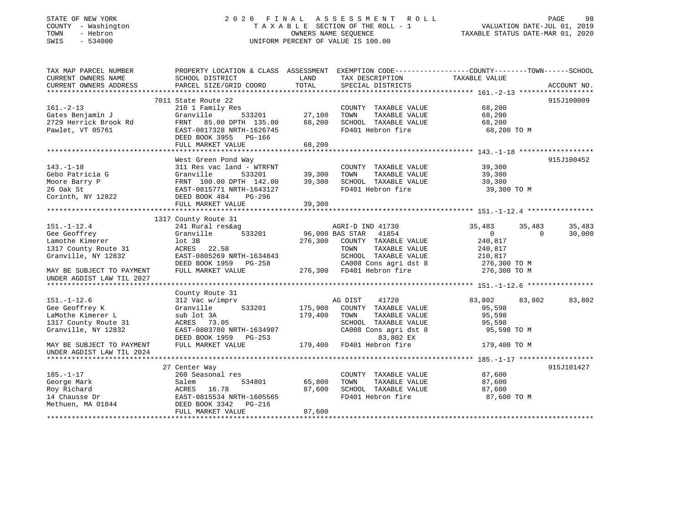### STATE OF NEW YORK GOOD CONTROLL ASSESSMENT ROLL CONTROLL PAGE 98 COUNTY - Washington  $T A X A B L E$  SECTION OF THE ROLL - 1<br>TOWN - Hebron DATE-JUL 000NERS NAME SEQUENCE SWIS - 534000 UNIFORM PERCENT OF VALUE IS 100.00

# VALUATION DATE-JUL 01, 2019

TAXABLE STATUS DATE-MAR 01, 2020

| TAX MAP PARCEL NUMBER     | PROPERTY LOCATION & CLASS ASSESSMENT EXEMPTION CODE---------------COUNTY-------TOWN-----SCHOOL |                  |                                                                       |                |                              |
|---------------------------|------------------------------------------------------------------------------------------------|------------------|-----------------------------------------------------------------------|----------------|------------------------------|
| CURRENT OWNERS NAME       | SCHOOL DISTRICT                                                                                | LAND             | TAX DESCRIPTION                                                       | TAXABLE VALUE  |                              |
| CURRENT OWNERS ADDRESS    | PARCEL SIZE/GRID COORD                                                                         | TOTAL            | SPECIAL DISTRICTS                                                     |                | ACCOUNT NO.                  |
|                           |                                                                                                |                  |                                                                       |                |                              |
|                           | 7011 State Route 22                                                                            |                  |                                                                       |                | 915J100009                   |
| $161. - 2 - 13$           | 210 1 Family Res                                                                               |                  | COUNTY TAXABLE VALUE                                                  | 68,200         |                              |
| Gates Benjamin J          | Granville<br>533201                                                                            | 27,100           | TAXABLE VALUE<br>TOWN                                                 | 68,200         |                              |
| 2729 Herrick Brook Rd     | FRNT 85.00 DPTH 135.00                                                                         | 68,200           | SCHOOL TAXABLE VALUE                                                  | 68,200         |                              |
| Pawlet, VT 05761          | EAST-0817328 NRTH-1626745                                                                      |                  | FD401 Hebron fire                                                     | 68,200 TO M    |                              |
|                           | DEED BOOK 3955 PG-166                                                                          |                  |                                                                       |                |                              |
|                           | FULL MARKET VALUE                                                                              | 68,200           |                                                                       |                |                              |
|                           |                                                                                                |                  |                                                                       |                |                              |
|                           | West Green Pond Way                                                                            |                  |                                                                       |                | 915J100452                   |
| $143. - 1 - 18$           | 311 Res vac land - WTRFNT                                                                      |                  | COUNTY TAXABLE VALUE                                                  | 39,300         |                              |
| Gebo Patricia G           | Granville<br>533201                                                                            |                  | TOWN<br>TAXABLE VALUE                                                 | 39,300         |                              |
| Moore Barry P             | FRNT 100.00 DPTH 142.00                                                                        | 39,300<br>39,300 | SCHOOL TAXABLE VALUE                                                  | 39,300         |                              |
| 26 Oak St                 | EAST-0815771 NRTH-1643127                                                                      |                  | FD401 Hebron fire                                                     | 39,300 TO M    |                              |
| Corinth, NY 12822         | DEED BOOK 484<br>PG-296                                                                        |                  |                                                                       |                |                              |
|                           | FULL MARKET VALUE                                                                              | 39,300           |                                                                       |                |                              |
|                           |                                                                                                |                  |                                                                       |                |                              |
|                           | 1317 County Route 31                                                                           |                  |                                                                       |                |                              |
| $151. - 1 - 12.4$         |                                                                                                |                  |                                                                       |                |                              |
|                           | 241 Rural res&ag                                                                               |                  |                                                                       | 35,483         | 35,483<br>35,483<br>$\Omega$ |
| Gee Geoffrey              | Granville<br>533201                                                                            |                  | AGRIE 1.1<br>96,000 BAS STAR 41854                                    | $\overline{0}$ | 30,000                       |
| Lamothe Kimerer           | lot 3B                                                                                         | 276,300          | COUNTY TAXABLE VALUE                                                  | 240,817        |                              |
| 1317 County Route 31      | ACRES 22.58                                                                                    |                  | TAXABLE VALUE<br>TOWN                                                 | 240,817        |                              |
| Granville, NY 12832       | EAST-0805269 NRTH-1634843                                                                      |                  | SCHOOL TAXABLE VALUE                                                  | 210,817        |                              |
|                           |                                                                                                |                  |                                                                       |                |                              |
| MAY BE SUBJECT TO PAYMENT | DEED BOOK 1959 PG-258 CA008 Cons agri dst b<br>FIILL MARKET VALUE 276,300 FD401 Hebron fire    |                  | SCHOOD IMANUME .<br>CA008 Cons agridst 8 2/0,300 IV<br>$276,300$ TO M |                |                              |
| UNDER AGDIST LAW TIL 2027 |                                                                                                |                  |                                                                       |                |                              |
|                           |                                                                                                |                  |                                                                       |                |                              |
|                           | County Route 31                                                                                |                  |                                                                       |                |                              |
| $151. - 1 - 12.6$         | 312 Vac w/imprv                                                                                |                  | AG DIST<br>41720                                                      | 83,802         | 83,802<br>83,802             |
| Gee Geoffrey K            | 533201<br>Granville                                                                            | 175,900          | COUNTY TAXABLE VALUE                                                  | 95,598         |                              |
| LaMothe Kimerer L         | sub lot 3A                                                                                     | 179,400          | TAXABLE VALUE<br>TOWN                                                 | 95,598         |                              |
| 1317 County Route 31      | ACRES 73.05                                                                                    |                  | SCHOOL TAXABLE VALUE                                                  | 95,598         |                              |
| Granville, NY 12832       | EAST-0803780 NRTH-1634907                                                                      |                  | CA008 Cons agri dst 8                                                 | 95,598 TO M    |                              |
|                           | DEED BOOK 1959 PG-253                                                                          |                  | 83,802 EX                                                             |                |                              |
| MAY BE SUBJECT TO PAYMENT | FULL MARKET VALUE                                                                              |                  | 179,400 FD401 Hebron fire                                             | 179,400 TO M   |                              |
| UNDER AGDIST LAW TIL 2024 |                                                                                                |                  |                                                                       |                |                              |
|                           |                                                                                                |                  |                                                                       |                |                              |
|                           | 27 Center Way                                                                                  |                  |                                                                       |                | 915J101427                   |
| $185. - 1 - 17$           | 260 Seasonal res                                                                               |                  | COUNTY TAXABLE VALUE                                                  | 87,600         |                              |
| George Mark               | 534801<br>Salem                                                                                | 65,800           | TAXABLE VALUE<br>TOWN                                                 | 87,600         |                              |
| Roy Richard               | ACRES 16.78                                                                                    | 87,600           | SCHOOL TAXABLE VALUE                                                  | 87,600         |                              |
| 14 Chausse Dr             | EAST-0815534 NRTH-1605565                                                                      |                  | FD401 Hebron fire                                                     | 87,600 TO M    |                              |
| Methuen, MA 01844         | DEED BOOK 3342 PG-216                                                                          |                  |                                                                       |                |                              |
|                           | FULL MARKET VALUE                                                                              | 87,600           |                                                                       |                |                              |
|                           |                                                                                                |                  |                                                                       |                |                              |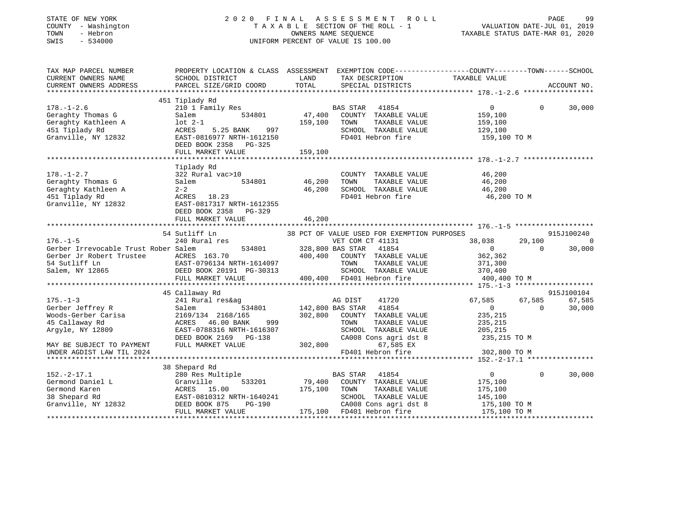| STATE OF NEW YORK<br>COUNTY - Washington<br>- Hebron<br>TOWN<br>SWIS<br>$-534000$ |                                                                                                  |         | 2020 FINAL ASSESSMENT ROLL<br>TAXABLE SECTION OF THE ROLL - 1<br>OWNERS NAME SEQUENCE<br>UNIFORM PERCENT OF VALUE IS 100.00 | VALUATION DATE-JUL 01, 2019<br>TAXABLE STATUS DATE-MAR 01, 2020 | PAGE        | 99          |
|-----------------------------------------------------------------------------------|--------------------------------------------------------------------------------------------------|---------|-----------------------------------------------------------------------------------------------------------------------------|-----------------------------------------------------------------|-------------|-------------|
| TAX MAP PARCEL NUMBER                                                             | PROPERTY LOCATION & CLASS ASSESSMENT EXEMPTION CODE----------------COUNTY-------TOWN------SCHOOL |         |                                                                                                                             |                                                                 |             |             |
| CURRENT OWNERS NAME                                                               | SCHOOL DISTRICT                                                                                  | LAND    | TAX DESCRIPTION                                                                                                             | TAXABLE VALUE                                                   |             |             |
| CURRENT OWNERS ADDRESS                                                            | PARCEL SIZE/GRID COORD                                                                           | TOTAL   | SPECIAL DISTRICTS                                                                                                           |                                                                 |             | ACCOUNT NO. |
|                                                                                   | 451 Tiplady Rd                                                                                   |         |                                                                                                                             |                                                                 |             |             |
| $178. - 1 - 2.6$                                                                  | 210 1 Family Res                                                                                 |         | BAS STAR<br>41854                                                                                                           | $\overline{0}$                                                  | $\Omega$    | 30,000      |
| Geraghty Thomas G                                                                 | 534801<br>Salem                                                                                  | 47,400  | COUNTY TAXABLE VALUE                                                                                                        | 159,100                                                         |             |             |
| Geraghty Kathleen A                                                               | $1$ ot $2-1$                                                                                     | 159,100 | TOWN<br>TAXABLE VALUE                                                                                                       | 159,100                                                         |             |             |
| 451 Tiplady Rd                                                                    | 997<br>ACRES<br>5.25 BANK                                                                        |         | SCHOOL TAXABLE VALUE                                                                                                        | 129,100                                                         |             |             |
| Granville, NY 12832                                                               | EAST-0816977 NRTH-1612150                                                                        |         | FD401 Hebron fire                                                                                                           | 159,100 TO M                                                    |             |             |
|                                                                                   | DEED BOOK 2358 PG-325                                                                            |         |                                                                                                                             |                                                                 |             |             |
|                                                                                   | FULL MARKET VALUE                                                                                | 159,100 |                                                                                                                             |                                                                 |             |             |
|                                                                                   |                                                                                                  |         |                                                                                                                             |                                                                 |             |             |
|                                                                                   | Tiplady Rd                                                                                       |         |                                                                                                                             |                                                                 |             |             |
| $178. - 1 - 2.7$                                                                  | 322 Rural vac>10                                                                                 |         | COUNTY TAXABLE VALUE                                                                                                        | 46,200                                                          |             |             |
| Geraghty Thomas G                                                                 | 534801<br>Salem                                                                                  | 46,200  | TOWN<br>TAXABLE VALUE                                                                                                       | 46,200                                                          |             |             |
| Geraghty Kathleen A                                                               | $2 - 2$                                                                                          | 46,200  | SCHOOL TAXABLE VALUE                                                                                                        | 46,200                                                          |             |             |
| 451 Tiplady Rd                                                                    | ACRES 18.23                                                                                      |         | FD401 Hebron fire                                                                                                           | 46,200 TO M                                                     |             |             |
| Granville, NY 12832                                                               | EAST-0817317 NRTH-1612355<br>DEED BOOK 2358<br>PG-329<br>FULL MARKET VALUE                       |         |                                                                                                                             |                                                                 |             |             |
|                                                                                   |                                                                                                  | 46,200  |                                                                                                                             |                                                                 |             |             |
|                                                                                   | 54 Sutliff Ln                                                                                    |         | 38 PCT OF VALUE USED FOR EXEMPTION PURPOSES                                                                                 |                                                                 |             | 915J100240  |
| $176. - 1 - 5$                                                                    | 240 Rural res                                                                                    |         | VET COM CT 41131                                                                                                            | 38,038                                                          | 29,100      | $\sim$ 0    |
| Gerber Irrevocable Trust Rober Salem                                              | 534801                                                                                           |         | 328,800 BAS STAR 41854                                                                                                      | $\overline{0}$                                                  | $\Omega$    | 30,000      |
| Gerber Jr Robert Trustee MCRES 163.70                                             |                                                                                                  | 400,400 | COUNTY TAXABLE VALUE                                                                                                        | 362,362                                                         |             |             |
| 54 Sutliff Ln                                                                     |                                                                                                  |         | TOWN<br>TAXABLE VALUE                                                                                                       | 371,300                                                         |             |             |
| Salem, NY 12865                                                                   | EAST-0796134 NRTH-1614097<br>DEED BOOK 20191 PG-30313                                            |         | SCHOOL TAXABLE VALUE                                                                                                        | 370,400                                                         |             |             |
|                                                                                   | FULL MARKET VALUE                                                                                |         | 400,400 FD401 Hebron fire                                                                                                   | 400,400 TO M                                                    |             |             |
|                                                                                   | **************************                                                                       |         |                                                                                                                             |                                                                 |             |             |
|                                                                                   | 45 Callaway Rd                                                                                   |         |                                                                                                                             |                                                                 |             | 915J100104  |
| $175. - 1 - 3$                                                                    | 241 Rural res&ag                                                                                 |         | AG DIST<br>41720                                                                                                            | 67,585                                                          | 67,585      | 67,585      |
| Gerber Jeffrey R                                                                  | Salem<br>534801                                                                                  |         | 142,800 BAS STAR<br>41854                                                                                                   | 0                                                               | $\mathbf 0$ | 30,000      |
| Woods-Gerber Carisa                                                               | 2169/134 2168/165                                                                                |         | 302,800 COUNTY TAXABLE VALUE                                                                                                | 235,215                                                         |             |             |
| 45 Callaway Rd                                                                    | ACRES 46.00 BANK<br>999                                                                          |         | TAXABLE VALUE<br>TOWN                                                                                                       | 235,215                                                         |             |             |
| Argyle, NY 12809                                                                  | EAST-0788316 NRTH-1616307                                                                        |         | SCHOOL TAXABLE VALUE                                                                                                        | 205,215                                                         |             |             |
|                                                                                   | DEED BOOK 2169 PG-138                                                                            |         | CA008 Cons agri dst 8                                                                                                       | 235,215 TO M                                                    |             |             |
| MAY BE SUBJECT TO PAYMENT                                                         | FULL MARKET VALUE                                                                                | 302,800 | 67,585 EX                                                                                                                   |                                                                 |             |             |
| UNDER AGDIST LAW TIL 2024                                                         |                                                                                                  |         | FD401 Hebron fire                                                                                                           | 302,800 TO M                                                    |             |             |
|                                                                                   | 38 Shepard Rd                                                                                    |         |                                                                                                                             |                                                                 |             |             |
| $152. - 2 - 17.1$                                                                 | 280 Res Multiple                                                                                 |         | BAS STAR 41854                                                                                                              | $\overline{0}$                                                  | $\Omega$    | 30,000      |
| Germond Daniel L                                                                  | 533201<br>Granville                                                                              | 79,400  | COUNTY TAXABLE VALUE                                                                                                        | 175,100                                                         |             |             |
|                                                                                   |                                                                                                  | 175,100 | TOWN<br>TAXABLE VALUE                                                                                                       | 175,100                                                         |             |             |
|                                                                                   |                                                                                                  |         | SCHOOL TAXABLE VALUE                                                                                                        | 145,100                                                         |             |             |
| Germond Karen<br>38 Shepard Rd<br>Granville, NY 12832<br>DEED BOOK 875 PG-190     |                                                                                                  |         |                                                                                                                             |                                                                 |             |             |
|                                                                                   | FULL MARKET VALUE                                                                                |         | $175,100$ FD401 Hebron fire<br>$175,100$ FD401 Hebron fire<br>$175,100$ FD401 Hebron fire<br>$175,100$ FO401 Hebron fire    |                                                                 |             |             |
|                                                                                   |                                                                                                  |         |                                                                                                                             |                                                                 |             |             |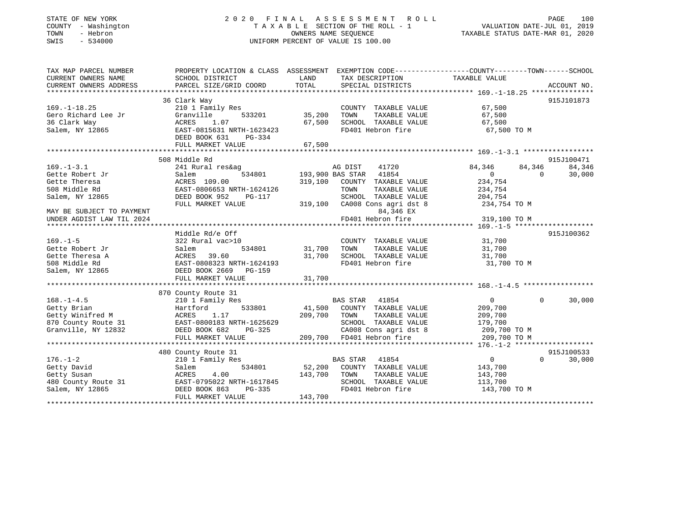#### STATE OF NEW YORK 2 0 2 0 F I N A L A S S E S S M E N T R O L L PAGE 100 COUNTY - Washington T A X A B L E SECTION OF THE ROLL - 1 VALUATION DATE-JUL 01, 2019 TOWN - Hebron OWNERS NAME SEQUENCE TAXABLE STATUS DATE-MAR 01, 2020 SWIS - 534000 UNIFORM PERCENT OF VALUE IS 100.00

| TAXABLE VALUE<br>SCHOOL DISTRICT<br>LAND<br>TAX DESCRIPTION<br>TOTAL<br>36 Clark Way<br>915J101873<br>67,500<br>67,500<br>210 1 Family Res<br>COUNTY TAXABLE VALUE<br>-<br>533201 35,200<br>Granville<br>TOWN<br>TAXABLE VALUE<br>67,500<br>SCHOOL TAXABLE VALUE<br>ACRES 1.07<br>EAST-0815631 NRTH-1623423<br>67,500<br>FD401 Hebron fire<br>67,500 TO M<br>67,500<br>FULL MARKET VALUE<br>508 Middle Rd<br>915J100471<br>84, 346 84, 346<br>AG DIST<br>41720<br>84,346<br>241 Rural res&ag<br>3<br>534801 193,900 BAS STAR 41854<br>Salem<br>$\overline{0}$<br>$\overline{0}$<br>30,000<br>319,100 COUNTY TAXABLE VALUE 234,754<br>ACRES 109.00<br>508 Middle Rd<br>EAST-0806653 NRTH-1624126<br>TOWN<br>TAARLIE<br>TAXABLE VALUE<br>234,754<br>204,754<br>Salem, NY 12865<br>DEED BOOK 952<br>PG-117<br>SCHOOL TAXABLE VALUE<br>319,100 CA008 Cons agri dst 8<br>234,754 TO M<br>FULL MARKET VALUE<br>84,346 EX<br>MAY BE SUBJECT TO PAYMENT<br>84,346 EX<br>FD401 Hebron fire<br>319,100 TO M<br>UNDER AGDIST LAW TIL 2024<br>915J100362<br>Middle Rd/e Off<br>COUNTY TAXABLE VALUE 31,700<br>$169. - 1 - 5$<br>322 Rural vac>10<br>31,700 TOWN<br>534801<br>Gette Robert Jr<br>TAXABLE VALUE 31,700<br>Salem 534801 31,700 TOWN TAXABLE VALUE<br>ACRES 39.60 31,700 SCHOOL TAXABLE VALUE<br>EAST-0808323 NRTH-1624193 FD401 Hebron fire<br>Gette Theresa A<br>31,700<br>31,700 TO M<br>508 Middle Rd<br>Salem, NY 12865<br>DEED BOOK 2669<br>PG-159<br>870 County Route 31<br>$168. - 1 - 4.5$<br>BAS STAR 41854<br>$\overline{0}$<br>$\Omega$<br>30,000<br>210 1 Family Res<br>533801 41,500 COUNTY TAXABLE VALUE 209,700<br>Getty Brian Martford 533801<br>Getty Winifred M ACRES 1.17<br>870 County Route 31 EAST-0800183 NRTH-1625629<br>209,700 TOWN<br>TAXABLE VALUE<br>209,700<br>SCHOOL TAXABLE VALUE 179,700<br>DEED BOOK 682<br>CA008 Cons agri dst 8 209,700 TO M<br>Granville, NY 12832<br>209,700 TO M<br>FULL MARKET VALUE<br>915J100533<br>480 County Route 31<br>$\overline{0}$<br>$176. - 1 - 2$<br>210 1 Family Res<br>BAS STAR 41854<br>$\Omega$<br>30,000<br>534801 52,200 COUNTY TAXABLE VALUE 143,700<br>Getty David<br>Salem<br>143,700<br>113,700<br>143,700 TO M<br>143,700<br>FULL MARKET VALUE | TAX MAP PARCEL NUMBER | PROPERTY LOCATION & CLASS ASSESSMENT EXEMPTION CODE---------------COUNTY-------TOWN-----SCHOOL |  |  |
|--------------------------------------------------------------------------------------------------------------------------------------------------------------------------------------------------------------------------------------------------------------------------------------------------------------------------------------------------------------------------------------------------------------------------------------------------------------------------------------------------------------------------------------------------------------------------------------------------------------------------------------------------------------------------------------------------------------------------------------------------------------------------------------------------------------------------------------------------------------------------------------------------------------------------------------------------------------------------------------------------------------------------------------------------------------------------------------------------------------------------------------------------------------------------------------------------------------------------------------------------------------------------------------------------------------------------------------------------------------------------------------------------------------------------------------------------------------------------------------------------------------------------------------------------------------------------------------------------------------------------------------------------------------------------------------------------------------------------------------------------------------------------------------------------------------------------------------------------------------------------------------------------------------------------------------------------------------------------------------------------------------------------------------------------------------------------------------------------------------------------------------------------------------------------------------------------------------------------------|-----------------------|------------------------------------------------------------------------------------------------|--|--|
|                                                                                                                                                                                                                                                                                                                                                                                                                                                                                                                                                                                                                                                                                                                                                                                                                                                                                                                                                                                                                                                                                                                                                                                                                                                                                                                                                                                                                                                                                                                                                                                                                                                                                                                                                                                                                                                                                                                                                                                                                                                                                                                                                                                                                                | CURRENT OWNERS NAME   |                                                                                                |  |  |
|                                                                                                                                                                                                                                                                                                                                                                                                                                                                                                                                                                                                                                                                                                                                                                                                                                                                                                                                                                                                                                                                                                                                                                                                                                                                                                                                                                                                                                                                                                                                                                                                                                                                                                                                                                                                                                                                                                                                                                                                                                                                                                                                                                                                                                |                       |                                                                                                |  |  |
|                                                                                                                                                                                                                                                                                                                                                                                                                                                                                                                                                                                                                                                                                                                                                                                                                                                                                                                                                                                                                                                                                                                                                                                                                                                                                                                                                                                                                                                                                                                                                                                                                                                                                                                                                                                                                                                                                                                                                                                                                                                                                                                                                                                                                                |                       |                                                                                                |  |  |
|                                                                                                                                                                                                                                                                                                                                                                                                                                                                                                                                                                                                                                                                                                                                                                                                                                                                                                                                                                                                                                                                                                                                                                                                                                                                                                                                                                                                                                                                                                                                                                                                                                                                                                                                                                                                                                                                                                                                                                                                                                                                                                                                                                                                                                |                       |                                                                                                |  |  |
|                                                                                                                                                                                                                                                                                                                                                                                                                                                                                                                                                                                                                                                                                                                                                                                                                                                                                                                                                                                                                                                                                                                                                                                                                                                                                                                                                                                                                                                                                                                                                                                                                                                                                                                                                                                                                                                                                                                                                                                                                                                                                                                                                                                                                                | $169. - 1 - 18.25$    |                                                                                                |  |  |
|                                                                                                                                                                                                                                                                                                                                                                                                                                                                                                                                                                                                                                                                                                                                                                                                                                                                                                                                                                                                                                                                                                                                                                                                                                                                                                                                                                                                                                                                                                                                                                                                                                                                                                                                                                                                                                                                                                                                                                                                                                                                                                                                                                                                                                | Gero Richard Lee Jr   |                                                                                                |  |  |
|                                                                                                                                                                                                                                                                                                                                                                                                                                                                                                                                                                                                                                                                                                                                                                                                                                                                                                                                                                                                                                                                                                                                                                                                                                                                                                                                                                                                                                                                                                                                                                                                                                                                                                                                                                                                                                                                                                                                                                                                                                                                                                                                                                                                                                | 36 Clark Way          |                                                                                                |  |  |
|                                                                                                                                                                                                                                                                                                                                                                                                                                                                                                                                                                                                                                                                                                                                                                                                                                                                                                                                                                                                                                                                                                                                                                                                                                                                                                                                                                                                                                                                                                                                                                                                                                                                                                                                                                                                                                                                                                                                                                                                                                                                                                                                                                                                                                | Salem, NY 12865       |                                                                                                |  |  |
|                                                                                                                                                                                                                                                                                                                                                                                                                                                                                                                                                                                                                                                                                                                                                                                                                                                                                                                                                                                                                                                                                                                                                                                                                                                                                                                                                                                                                                                                                                                                                                                                                                                                                                                                                                                                                                                                                                                                                                                                                                                                                                                                                                                                                                |                       |                                                                                                |  |  |
|                                                                                                                                                                                                                                                                                                                                                                                                                                                                                                                                                                                                                                                                                                                                                                                                                                                                                                                                                                                                                                                                                                                                                                                                                                                                                                                                                                                                                                                                                                                                                                                                                                                                                                                                                                                                                                                                                                                                                                                                                                                                                                                                                                                                                                |                       |                                                                                                |  |  |
|                                                                                                                                                                                                                                                                                                                                                                                                                                                                                                                                                                                                                                                                                                                                                                                                                                                                                                                                                                                                                                                                                                                                                                                                                                                                                                                                                                                                                                                                                                                                                                                                                                                                                                                                                                                                                                                                                                                                                                                                                                                                                                                                                                                                                                |                       |                                                                                                |  |  |
|                                                                                                                                                                                                                                                                                                                                                                                                                                                                                                                                                                                                                                                                                                                                                                                                                                                                                                                                                                                                                                                                                                                                                                                                                                                                                                                                                                                                                                                                                                                                                                                                                                                                                                                                                                                                                                                                                                                                                                                                                                                                                                                                                                                                                                |                       |                                                                                                |  |  |
|                                                                                                                                                                                                                                                                                                                                                                                                                                                                                                                                                                                                                                                                                                                                                                                                                                                                                                                                                                                                                                                                                                                                                                                                                                                                                                                                                                                                                                                                                                                                                                                                                                                                                                                                                                                                                                                                                                                                                                                                                                                                                                                                                                                                                                | $169. - 1 - 3.1$      |                                                                                                |  |  |
|                                                                                                                                                                                                                                                                                                                                                                                                                                                                                                                                                                                                                                                                                                                                                                                                                                                                                                                                                                                                                                                                                                                                                                                                                                                                                                                                                                                                                                                                                                                                                                                                                                                                                                                                                                                                                                                                                                                                                                                                                                                                                                                                                                                                                                | Gette Robert Jr       |                                                                                                |  |  |
|                                                                                                                                                                                                                                                                                                                                                                                                                                                                                                                                                                                                                                                                                                                                                                                                                                                                                                                                                                                                                                                                                                                                                                                                                                                                                                                                                                                                                                                                                                                                                                                                                                                                                                                                                                                                                                                                                                                                                                                                                                                                                                                                                                                                                                | Gette Theresa         |                                                                                                |  |  |
|                                                                                                                                                                                                                                                                                                                                                                                                                                                                                                                                                                                                                                                                                                                                                                                                                                                                                                                                                                                                                                                                                                                                                                                                                                                                                                                                                                                                                                                                                                                                                                                                                                                                                                                                                                                                                                                                                                                                                                                                                                                                                                                                                                                                                                |                       |                                                                                                |  |  |
|                                                                                                                                                                                                                                                                                                                                                                                                                                                                                                                                                                                                                                                                                                                                                                                                                                                                                                                                                                                                                                                                                                                                                                                                                                                                                                                                                                                                                                                                                                                                                                                                                                                                                                                                                                                                                                                                                                                                                                                                                                                                                                                                                                                                                                |                       |                                                                                                |  |  |
|                                                                                                                                                                                                                                                                                                                                                                                                                                                                                                                                                                                                                                                                                                                                                                                                                                                                                                                                                                                                                                                                                                                                                                                                                                                                                                                                                                                                                                                                                                                                                                                                                                                                                                                                                                                                                                                                                                                                                                                                                                                                                                                                                                                                                                |                       |                                                                                                |  |  |
|                                                                                                                                                                                                                                                                                                                                                                                                                                                                                                                                                                                                                                                                                                                                                                                                                                                                                                                                                                                                                                                                                                                                                                                                                                                                                                                                                                                                                                                                                                                                                                                                                                                                                                                                                                                                                                                                                                                                                                                                                                                                                                                                                                                                                                |                       |                                                                                                |  |  |
|                                                                                                                                                                                                                                                                                                                                                                                                                                                                                                                                                                                                                                                                                                                                                                                                                                                                                                                                                                                                                                                                                                                                                                                                                                                                                                                                                                                                                                                                                                                                                                                                                                                                                                                                                                                                                                                                                                                                                                                                                                                                                                                                                                                                                                |                       |                                                                                                |  |  |
|                                                                                                                                                                                                                                                                                                                                                                                                                                                                                                                                                                                                                                                                                                                                                                                                                                                                                                                                                                                                                                                                                                                                                                                                                                                                                                                                                                                                                                                                                                                                                                                                                                                                                                                                                                                                                                                                                                                                                                                                                                                                                                                                                                                                                                |                       |                                                                                                |  |  |
|                                                                                                                                                                                                                                                                                                                                                                                                                                                                                                                                                                                                                                                                                                                                                                                                                                                                                                                                                                                                                                                                                                                                                                                                                                                                                                                                                                                                                                                                                                                                                                                                                                                                                                                                                                                                                                                                                                                                                                                                                                                                                                                                                                                                                                |                       |                                                                                                |  |  |
|                                                                                                                                                                                                                                                                                                                                                                                                                                                                                                                                                                                                                                                                                                                                                                                                                                                                                                                                                                                                                                                                                                                                                                                                                                                                                                                                                                                                                                                                                                                                                                                                                                                                                                                                                                                                                                                                                                                                                                                                                                                                                                                                                                                                                                |                       |                                                                                                |  |  |
|                                                                                                                                                                                                                                                                                                                                                                                                                                                                                                                                                                                                                                                                                                                                                                                                                                                                                                                                                                                                                                                                                                                                                                                                                                                                                                                                                                                                                                                                                                                                                                                                                                                                                                                                                                                                                                                                                                                                                                                                                                                                                                                                                                                                                                |                       |                                                                                                |  |  |
|                                                                                                                                                                                                                                                                                                                                                                                                                                                                                                                                                                                                                                                                                                                                                                                                                                                                                                                                                                                                                                                                                                                                                                                                                                                                                                                                                                                                                                                                                                                                                                                                                                                                                                                                                                                                                                                                                                                                                                                                                                                                                                                                                                                                                                |                       |                                                                                                |  |  |
|                                                                                                                                                                                                                                                                                                                                                                                                                                                                                                                                                                                                                                                                                                                                                                                                                                                                                                                                                                                                                                                                                                                                                                                                                                                                                                                                                                                                                                                                                                                                                                                                                                                                                                                                                                                                                                                                                                                                                                                                                                                                                                                                                                                                                                |                       |                                                                                                |  |  |
|                                                                                                                                                                                                                                                                                                                                                                                                                                                                                                                                                                                                                                                                                                                                                                                                                                                                                                                                                                                                                                                                                                                                                                                                                                                                                                                                                                                                                                                                                                                                                                                                                                                                                                                                                                                                                                                                                                                                                                                                                                                                                                                                                                                                                                |                       |                                                                                                |  |  |
|                                                                                                                                                                                                                                                                                                                                                                                                                                                                                                                                                                                                                                                                                                                                                                                                                                                                                                                                                                                                                                                                                                                                                                                                                                                                                                                                                                                                                                                                                                                                                                                                                                                                                                                                                                                                                                                                                                                                                                                                                                                                                                                                                                                                                                |                       |                                                                                                |  |  |
|                                                                                                                                                                                                                                                                                                                                                                                                                                                                                                                                                                                                                                                                                                                                                                                                                                                                                                                                                                                                                                                                                                                                                                                                                                                                                                                                                                                                                                                                                                                                                                                                                                                                                                                                                                                                                                                                                                                                                                                                                                                                                                                                                                                                                                |                       |                                                                                                |  |  |
|                                                                                                                                                                                                                                                                                                                                                                                                                                                                                                                                                                                                                                                                                                                                                                                                                                                                                                                                                                                                                                                                                                                                                                                                                                                                                                                                                                                                                                                                                                                                                                                                                                                                                                                                                                                                                                                                                                                                                                                                                                                                                                                                                                                                                                |                       |                                                                                                |  |  |
|                                                                                                                                                                                                                                                                                                                                                                                                                                                                                                                                                                                                                                                                                                                                                                                                                                                                                                                                                                                                                                                                                                                                                                                                                                                                                                                                                                                                                                                                                                                                                                                                                                                                                                                                                                                                                                                                                                                                                                                                                                                                                                                                                                                                                                |                       |                                                                                                |  |  |
|                                                                                                                                                                                                                                                                                                                                                                                                                                                                                                                                                                                                                                                                                                                                                                                                                                                                                                                                                                                                                                                                                                                                                                                                                                                                                                                                                                                                                                                                                                                                                                                                                                                                                                                                                                                                                                                                                                                                                                                                                                                                                                                                                                                                                                |                       |                                                                                                |  |  |
|                                                                                                                                                                                                                                                                                                                                                                                                                                                                                                                                                                                                                                                                                                                                                                                                                                                                                                                                                                                                                                                                                                                                                                                                                                                                                                                                                                                                                                                                                                                                                                                                                                                                                                                                                                                                                                                                                                                                                                                                                                                                                                                                                                                                                                |                       |                                                                                                |  |  |
|                                                                                                                                                                                                                                                                                                                                                                                                                                                                                                                                                                                                                                                                                                                                                                                                                                                                                                                                                                                                                                                                                                                                                                                                                                                                                                                                                                                                                                                                                                                                                                                                                                                                                                                                                                                                                                                                                                                                                                                                                                                                                                                                                                                                                                |                       |                                                                                                |  |  |
|                                                                                                                                                                                                                                                                                                                                                                                                                                                                                                                                                                                                                                                                                                                                                                                                                                                                                                                                                                                                                                                                                                                                                                                                                                                                                                                                                                                                                                                                                                                                                                                                                                                                                                                                                                                                                                                                                                                                                                                                                                                                                                                                                                                                                                |                       |                                                                                                |  |  |
|                                                                                                                                                                                                                                                                                                                                                                                                                                                                                                                                                                                                                                                                                                                                                                                                                                                                                                                                                                                                                                                                                                                                                                                                                                                                                                                                                                                                                                                                                                                                                                                                                                                                                                                                                                                                                                                                                                                                                                                                                                                                                                                                                                                                                                |                       |                                                                                                |  |  |
|                                                                                                                                                                                                                                                                                                                                                                                                                                                                                                                                                                                                                                                                                                                                                                                                                                                                                                                                                                                                                                                                                                                                                                                                                                                                                                                                                                                                                                                                                                                                                                                                                                                                                                                                                                                                                                                                                                                                                                                                                                                                                                                                                                                                                                |                       |                                                                                                |  |  |
|                                                                                                                                                                                                                                                                                                                                                                                                                                                                                                                                                                                                                                                                                                                                                                                                                                                                                                                                                                                                                                                                                                                                                                                                                                                                                                                                                                                                                                                                                                                                                                                                                                                                                                                                                                                                                                                                                                                                                                                                                                                                                                                                                                                                                                |                       |                                                                                                |  |  |
|                                                                                                                                                                                                                                                                                                                                                                                                                                                                                                                                                                                                                                                                                                                                                                                                                                                                                                                                                                                                                                                                                                                                                                                                                                                                                                                                                                                                                                                                                                                                                                                                                                                                                                                                                                                                                                                                                                                                                                                                                                                                                                                                                                                                                                |                       |                                                                                                |  |  |
|                                                                                                                                                                                                                                                                                                                                                                                                                                                                                                                                                                                                                                                                                                                                                                                                                                                                                                                                                                                                                                                                                                                                                                                                                                                                                                                                                                                                                                                                                                                                                                                                                                                                                                                                                                                                                                                                                                                                                                                                                                                                                                                                                                                                                                |                       |                                                                                                |  |  |
|                                                                                                                                                                                                                                                                                                                                                                                                                                                                                                                                                                                                                                                                                                                                                                                                                                                                                                                                                                                                                                                                                                                                                                                                                                                                                                                                                                                                                                                                                                                                                                                                                                                                                                                                                                                                                                                                                                                                                                                                                                                                                                                                                                                                                                |                       |                                                                                                |  |  |
|                                                                                                                                                                                                                                                                                                                                                                                                                                                                                                                                                                                                                                                                                                                                                                                                                                                                                                                                                                                                                                                                                                                                                                                                                                                                                                                                                                                                                                                                                                                                                                                                                                                                                                                                                                                                                                                                                                                                                                                                                                                                                                                                                                                                                                |                       |                                                                                                |  |  |
|                                                                                                                                                                                                                                                                                                                                                                                                                                                                                                                                                                                                                                                                                                                                                                                                                                                                                                                                                                                                                                                                                                                                                                                                                                                                                                                                                                                                                                                                                                                                                                                                                                                                                                                                                                                                                                                                                                                                                                                                                                                                                                                                                                                                                                |                       |                                                                                                |  |  |
|                                                                                                                                                                                                                                                                                                                                                                                                                                                                                                                                                                                                                                                                                                                                                                                                                                                                                                                                                                                                                                                                                                                                                                                                                                                                                                                                                                                                                                                                                                                                                                                                                                                                                                                                                                                                                                                                                                                                                                                                                                                                                                                                                                                                                                |                       |                                                                                                |  |  |
|                                                                                                                                                                                                                                                                                                                                                                                                                                                                                                                                                                                                                                                                                                                                                                                                                                                                                                                                                                                                                                                                                                                                                                                                                                                                                                                                                                                                                                                                                                                                                                                                                                                                                                                                                                                                                                                                                                                                                                                                                                                                                                                                                                                                                                |                       |                                                                                                |  |  |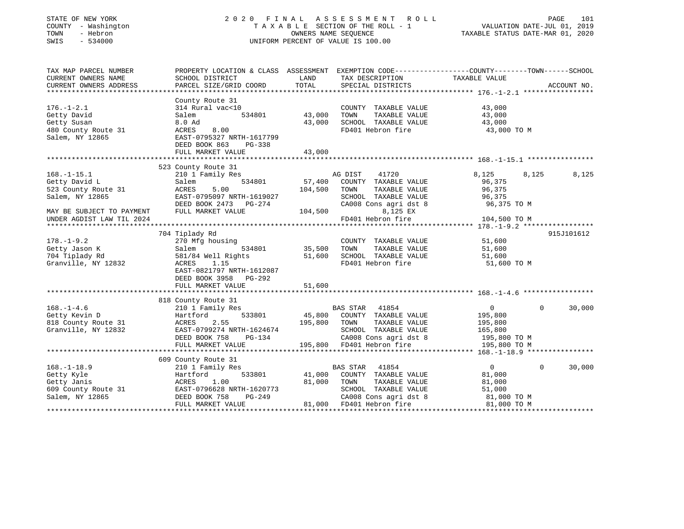| STATE OF NEW YORK<br>COUNTY - Washington<br>- Hebron<br>TOWN<br>SWIS<br>$-534000$ |                                                                                                 | OWNERS NAME SEOUENCE | 2020 FINAL ASSESSMENT<br>ROLL<br>TAXABLE SECTION OF THE ROLL - 1<br>UNIFORM PERCENT OF VALUE IS 100.00 | VALUATION DATE-JUL 01, 2019<br>TAXABLE STATUS DATE-MAR 01, 2020 | PAGE     | 101         |
|-----------------------------------------------------------------------------------|-------------------------------------------------------------------------------------------------|----------------------|--------------------------------------------------------------------------------------------------------|-----------------------------------------------------------------|----------|-------------|
| TAX MAP PARCEL NUMBER                                                             | PROPERTY LOCATION & CLASS ASSESSMENT EXEMPTION CODE---------------COUNTY-------TOWN------SCHOOL |                      |                                                                                                        |                                                                 |          |             |
| CURRENT OWNERS NAME<br>CURRENT OWNERS ADDRESS                                     | SCHOOL DISTRICT<br>PARCEL SIZE/GRID COORD                                                       | LAND<br>TOTAL        | TAX DESCRIPTION<br>SPECIAL DISTRICTS                                                                   | TAXABLE VALUE                                                   |          | ACCOUNT NO. |
|                                                                                   |                                                                                                 |                      |                                                                                                        |                                                                 |          |             |
|                                                                                   | County Route 31                                                                                 |                      |                                                                                                        |                                                                 |          |             |
| $176. - 1 - 2.1$                                                                  | 314 Rural vac<10                                                                                |                      | COUNTY TAXABLE VALUE                                                                                   | 43,000                                                          |          |             |
| Getty David                                                                       | Salem<br>534801                                                                                 | 43,000               | TAXABLE VALUE<br>TOWN                                                                                  | 43,000                                                          |          |             |
| Getty Susan                                                                       | 8.0 Ad                                                                                          | 43,000               | SCHOOL TAXABLE VALUE                                                                                   | 43,000                                                          |          |             |
| 480 County Route 31                                                               | 8.00<br>ACRES                                                                                   |                      | FD401 Hebron fire                                                                                      | 43,000 TO M                                                     |          |             |
| Salem, NY 12865                                                                   | EAST-0795327 NRTH-1617799                                                                       |                      |                                                                                                        |                                                                 |          |             |
|                                                                                   | DEED BOOK 863<br>PG-338<br>FULL MARKET VALUE                                                    | 43,000               |                                                                                                        |                                                                 |          |             |
|                                                                                   |                                                                                                 |                      |                                                                                                        |                                                                 |          |             |
|                                                                                   | 523 County Route 31                                                                             |                      |                                                                                                        |                                                                 |          |             |
| $168. - 1 - 15.1$                                                                 | 210 1 Family Res                                                                                |                      | AG DIST<br>41720                                                                                       | 8,125                                                           | 8,125    | 8,125       |
| Getty David L                                                                     | 534801<br>Salem                                                                                 | 57,400               | COUNTY TAXABLE VALUE                                                                                   | 96,375                                                          |          |             |
| 523 County Route 31                                                               | 5.00<br>ACRES                                                                                   | 104,500              | TOWN<br>TAXABLE VALUE                                                                                  | 96,375                                                          |          |             |
| Salem, NY 12865                                                                   | EAST-0795097 NRTH-1619027                                                                       |                      | SCHOOL TAXABLE VALUE                                                                                   | 96,375                                                          |          |             |
|                                                                                   | DEED BOOK 2473 PG-274                                                                           |                      | CA008 Cons agri dst 8                                                                                  | 96,375 TO M                                                     |          |             |
| MAY BE SUBJECT TO PAYMENT                                                         | FULL MARKET VALUE                                                                               | 104,500              | 8,125 EX                                                                                               |                                                                 |          |             |
| UNDER AGDIST LAW TIL 2024                                                         |                                                                                                 |                      | FD401 Hebron fire                                                                                      | 104,500 TO M                                                    |          |             |
|                                                                                   | 704 Tiplady Rd                                                                                  |                      |                                                                                                        |                                                                 |          | 915J101612  |
| $178. - 1 - 9.2$                                                                  | 270 Mfg housing                                                                                 |                      | COUNTY TAXABLE VALUE                                                                                   | 51,600                                                          |          |             |
| Getty Jason K                                                                     | 534801<br>Salem                                                                                 | 35,500               | TOWN<br>TAXABLE VALUE                                                                                  | 51,600                                                          |          |             |
| 704 Tiplady Rd                                                                    | 581/84 Well Rights                                                                              | 51,600               | SCHOOL TAXABLE VALUE                                                                                   | 51,600                                                          |          |             |
| Granville, NY 12832                                                               | ACRES<br>1.15                                                                                   |                      | FD401 Hebron fire                                                                                      | 51,600 TO M                                                     |          |             |
|                                                                                   | EAST-0821797 NRTH-1612087                                                                       |                      |                                                                                                        |                                                                 |          |             |
|                                                                                   | DEED BOOK 3958 PG-292                                                                           |                      |                                                                                                        |                                                                 |          |             |
|                                                                                   | FULL MARKET VALUE                                                                               | 51,600               |                                                                                                        |                                                                 |          |             |
|                                                                                   |                                                                                                 |                      |                                                                                                        |                                                                 |          |             |
| $168. - 1 - 4.6$                                                                  | 818 County Route 31<br>210 1 Family Res                                                         |                      | BAS STAR<br>41854                                                                                      | $\overline{0}$                                                  | $\Omega$ | 30,000      |
| Getty Kevin D                                                                     | 533801<br>Hartford                                                                              | 45,800               | COUNTY TAXABLE VALUE                                                                                   | 195,800                                                         |          |             |
| 818 County Route 31                                                               | 2.55<br>ACRES                                                                                   | 195,800              | TOWN<br>TAXABLE VALUE                                                                                  | 195,800                                                         |          |             |
| Granville, NY 12832                                                               | EAST-0799274 NRTH-1624674                                                                       |                      | SCHOOL TAXABLE VALUE                                                                                   | 165,800                                                         |          |             |
|                                                                                   | DEED BOOK 758<br>PG-134                                                                         |                      | CA008 Cons agri dst 8                                                                                  | 195,800 TO M                                                    |          |             |
|                                                                                   | FULL MARKET VALUE                                                                               |                      | 195,800 FD401 Hebron fire                                                                              | 195,800 TO M                                                    |          |             |
|                                                                                   |                                                                                                 |                      |                                                                                                        |                                                                 |          |             |
|                                                                                   | 609 County Route 31                                                                             |                      |                                                                                                        |                                                                 |          |             |
| $168. - 1 - 18.9$                                                                 | 210 1 Family Res                                                                                |                      | BAS STAR<br>41854                                                                                      | $\overline{0}$                                                  | $\Omega$ | 30,000      |
| Getty Kyle                                                                        | 533801<br>Hartford                                                                              | 41,000<br>81,000     | COUNTY TAXABLE VALUE<br>TAXABLE VALUE                                                                  | 81,000                                                          |          |             |
| Getty Janis<br>609 County Route 31                                                | ACRES<br>1.00<br>EAST-0796628 NRTH-1620773                                                      |                      | TOWN<br>SCHOOL TAXABLE VALUE                                                                           | 81,000<br>51,000                                                |          |             |
| Salem, NY 12865                                                                   | DEED BOOK 758<br>PG-249                                                                         |                      | CA008 Cons agri dst 8                                                                                  | 81,000 TO M                                                     |          |             |
|                                                                                   | FULL MARKET VALUE                                                                               |                      | 81,000 FD401 Hebron fire                                                                               | 81,000 TO M                                                     |          |             |
|                                                                                   |                                                                                                 |                      |                                                                                                        |                                                                 |          |             |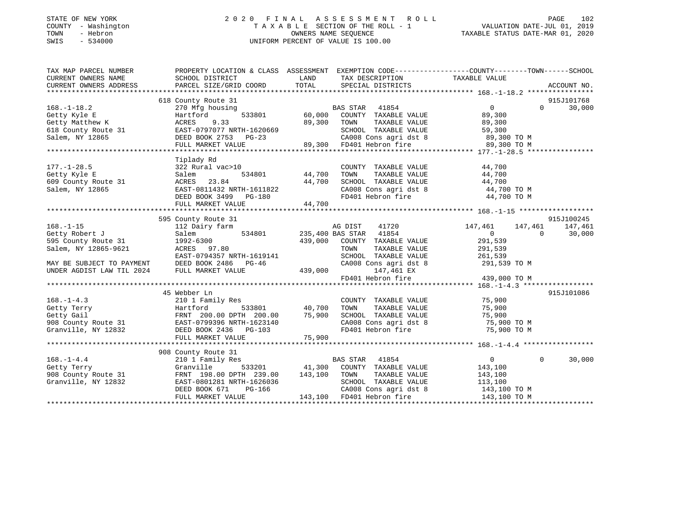#### STATE OF NEW YORK 2 0 2 0 F I N A L A S S E S S M E N T R O L L PAGE 102 COUNTY - Washington T A X A B L E SECTION OF THE ROLL - 1 VALUATION DATE-JUL 01, 2019 TOWN - Hebron OWNERS NAME SEQUENCE TAXABLE STATUS DATE-MAR 01, 2020 SWIS - 534000 UNIFORM PERCENT OF VALUE IS 100.00

| TAX MAP PARCEL NUMBER               |                                                                                                                                                                                                                                         |                                                                                                                                                                                                                                        | PROPERTY LOCATION & CLASS ASSESSMENT EXEMPTION CODE---------------COUNTY-------TOWN-----SCHOOL |
|-------------------------------------|-----------------------------------------------------------------------------------------------------------------------------------------------------------------------------------------------------------------------------------------|----------------------------------------------------------------------------------------------------------------------------------------------------------------------------------------------------------------------------------------|------------------------------------------------------------------------------------------------|
| CURRENT OWNERS NAME                 | SCHOOL DISTRICT                                                                                                                                                                                                                         | TAX DESCRIPTION TAXABLE VALUE<br><b>LAND</b>                                                                                                                                                                                           |                                                                                                |
| CURRENT OWNERS ADDRESS              | PARCEL SIZE/GRID COORD                                                                                                                                                                                                                  | TOTAL SPECIAL DISTRICTS                                                                                                                                                                                                                | ACCOUNT NO.                                                                                    |
|                                     | 618 County Route 31                                                                                                                                                                                                                     |                                                                                                                                                                                                                                        | 915J101768                                                                                     |
|                                     |                                                                                                                                                                                                                                         |                                                                                                                                                                                                                                        | $\Omega$<br>30,000                                                                             |
|                                     |                                                                                                                                                                                                                                         |                                                                                                                                                                                                                                        |                                                                                                |
|                                     |                                                                                                                                                                                                                                         |                                                                                                                                                                                                                                        |                                                                                                |
|                                     |                                                                                                                                                                                                                                         |                                                                                                                                                                                                                                        |                                                                                                |
|                                     |                                                                                                                                                                                                                                         |                                                                                                                                                                                                                                        |                                                                                                |
|                                     |                                                                                                                                                                                                                                         |                                                                                                                                                                                                                                        |                                                                                                |
|                                     |                                                                                                                                                                                                                                         | 168.-1-18.2 270 Mfg housing<br>Getty Kyle E Hartford 533801 60,000 COUNTY IAAABLE VALUE<br>Getty Matthew K ACRES 9.33 801 69,300 TOWN TAXABLE VALUE<br>59,300 TOWN TAXABLE VALUE 59,300 FOROL TAXABLE VALUE 59,300 TO M<br>Salem, NY 1 |                                                                                                |
|                                     |                                                                                                                                                                                                                                         |                                                                                                                                                                                                                                        |                                                                                                |
|                                     |                                                                                                                                                                                                                                         | COUNTY TAXABLE VALUE 44,700                                                                                                                                                                                                            |                                                                                                |
|                                     | Salem                                                                                                                                                                                                                                   |                                                                                                                                                                                                                                        |                                                                                                |
| Getty Kyle E<br>609 County Route 31 | ACRES 23.84                                                                                                                                                                                                                             | 44,700                                                                                                                                                                                                                                 |                                                                                                |
| Salem, NY 12865                     |                                                                                                                                                                                                                                         | CA008 Cons agri dst 8 44,700 TO M                                                                                                                                                                                                      |                                                                                                |
|                                     |                                                                                                                                                                                                                                         | FD401 Hebron fire                                                                                                                                                                                                                      | 44,700 TO M                                                                                    |
|                                     | EAST-0811432 NRTH-1611822<br>DEED BOOK 3499 PG-180<br>FULL MARKET VALUE 44,700                                                                                                                                                          |                                                                                                                                                                                                                                        |                                                                                                |
|                                     |                                                                                                                                                                                                                                         |                                                                                                                                                                                                                                        |                                                                                                |
|                                     | 595 County Route 31                                                                                                                                                                                                                     |                                                                                                                                                                                                                                        | 915J100245                                                                                     |
| $168. - 1 - 15$                     | 112 Dairy farm                                                                                                                                                                                                                          | AG DIST<br>41720                                                                                                                                                                                                                       | 147,461<br>147,461 147,461                                                                     |
| Getty Robert J                      | Salem                                                                                                                                                                                                                                   | 534801 235,400 BAS STAR 41854                                                                                                                                                                                                          | $\overline{0}$<br>30,000<br>$\overline{0}$                                                     |
| $595$ County Route 31 1992-6300     | Salem, NY 12865-9621 1992-6300<br>RCRES 97.80                                                                                                                                                                                           | 439,000 COUNTY TAXABLE VALUE                                                                                                                                                                                                           | 291,539                                                                                        |
|                                     |                                                                                                                                                                                                                                         | TOWN                                                                                                                                                                                                                                   | TAXABLE VALUE 291,539                                                                          |
|                                     |                                                                                                                                                                                                                                         | SCHOOL TAXABLE VALUE 261,539<br>CA008 Cons agri dst 8 291,539 TO M                                                                                                                                                                     |                                                                                                |
|                                     |                                                                                                                                                                                                                                         |                                                                                                                                                                                                                                        |                                                                                                |
|                                     |                                                                                                                                                                                                                                         | $147,461 \text{ EX}$ FD401 Hebron fire $439,000 \text{ TO M}$                                                                                                                                                                          |                                                                                                |
|                                     |                                                                                                                                                                                                                                         |                                                                                                                                                                                                                                        |                                                                                                |
|                                     |                                                                                                                                                                                                                                         |                                                                                                                                                                                                                                        |                                                                                                |
|                                     | 45 Webber Ln                                                                                                                                                                                                                            |                                                                                                                                                                                                                                        | 915J101086                                                                                     |
|                                     |                                                                                                                                                                                                                                         | COUNTY TAXABLE VALUE 75,900<br>TOWN                                                                                                                                                                                                    | TAXABLE VALUE 75,900                                                                           |
|                                     |                                                                                                                                                                                                                                         |                                                                                                                                                                                                                                        |                                                                                                |
|                                     |                                                                                                                                                                                                                                         | SCHOOL TAXABLE VALUE 75,900<br>CA008 Cons agri dst 8 75,900 TO M<br>FD401 Hebron fire 75,900 TO M                                                                                                                                      |                                                                                                |
|                                     |                                                                                                                                                                                                                                         |                                                                                                                                                                                                                                        |                                                                                                |
|                                     | 168.-1-4.3<br>Getty Terry (10 1 Family Res Hartford 533801 40,700<br>Getty Gail FRNT 200.00 DPTH 200.00 75,900<br>908 County Route 31 EAST-0799396 NRTH-1623140<br>Granville, NY 12832 DEED BOOK 2436 PG-103<br>FULL MARKET VALUE (103) |                                                                                                                                                                                                                                        |                                                                                                |
|                                     |                                                                                                                                                                                                                                         |                                                                                                                                                                                                                                        |                                                                                                |
|                                     | 908 County Route 31                                                                                                                                                                                                                     |                                                                                                                                                                                                                                        |                                                                                                |
| $168. - 1 - 4.4$                    | 210 1 Family Res                                                                                                                                                                                                                        | BAS STAR 41854                                                                                                                                                                                                                         | $\overline{0}$<br>$\Omega$<br>30,000                                                           |
| Getty Terry                         | Granville                                                                                                                                                                                                                               | 533201 41,300 COUNTY TAXABLE VALUE 143,100                                                                                                                                                                                             |                                                                                                |
|                                     |                                                                                                                                                                                                                                         |                                                                                                                                                                                                                                        |                                                                                                |
|                                     |                                                                                                                                                                                                                                         | 908 County Route 31 FRNT 198.00 DPTH 239.00 143,100 TOWN TAXABLE VALUE 143,100 Granville, NY 12832 EAST-0801281 NRTH-1626036 SCHOOL TAXABLE VALUE 113,100                                                                              |                                                                                                |
|                                     |                                                                                                                                                                                                                                         |                                                                                                                                                                                                                                        |                                                                                                |
|                                     |                                                                                                                                                                                                                                         | EAST-0801281 NRTH-1626036 SCHOOL TAXABLE VALUE 113,100<br>DEED BOOK 671 PG-166 CA008 Cons agri dst 8 143,100 TO M<br>FULL MARKET VALUE 143,100 FD401 Hebron fire 143,100 TO M                                                          |                                                                                                |
|                                     |                                                                                                                                                                                                                                         |                                                                                                                                                                                                                                        |                                                                                                |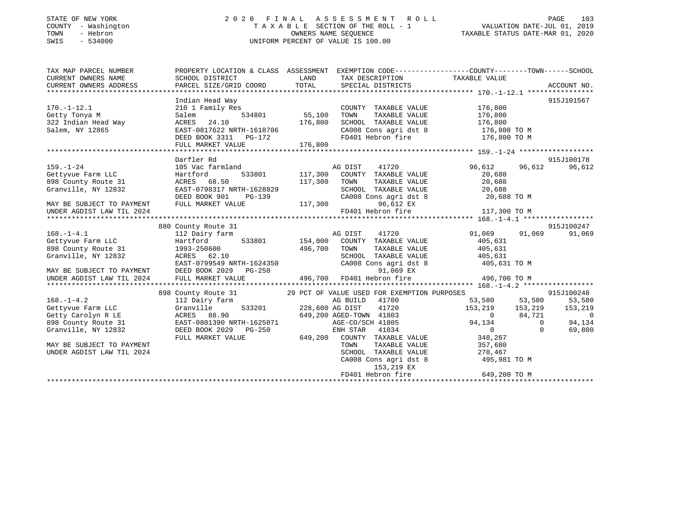#### STATE OF NEW YORK 2 0 2 0 F I N A L A S S E S S M E N T R O L L PAGE 103 COUNTY - Washington T A X A B L E SECTION OF THE ROLL - 1 VALUATION DATE-JUL 01, 2019 TOWN - Hebron OWNERS NAME SEQUENCE TAXABLE STATUS DATE-MAR 01, 2020 SWIS - 534000 UNIFORM PERCENT OF VALUE IS 100.00

| TAX MAP PARCEL NUMBER                                                                                                                                                                                                                                                                                   | PROPERTY LOCATION & CLASS ASSESSMENT EXEMPTION CODE---------------COUNTY-------TOWN------SCHOOL |         |                                                                                                    |                      |                                                                                                                          |
|---------------------------------------------------------------------------------------------------------------------------------------------------------------------------------------------------------------------------------------------------------------------------------------------------------|-------------------------------------------------------------------------------------------------|---------|----------------------------------------------------------------------------------------------------|----------------------|--------------------------------------------------------------------------------------------------------------------------|
|                                                                                                                                                                                                                                                                                                         |                                                                                                 |         |                                                                                                    |                      |                                                                                                                          |
|                                                                                                                                                                                                                                                                                                         |                                                                                                 |         |                                                                                                    |                      |                                                                                                                          |
|                                                                                                                                                                                                                                                                                                         | Indian Head Way                                                                                 |         |                                                                                                    |                      | 915J101567                                                                                                               |
| $170. - 1 - 12.1$                                                                                                                                                                                                                                                                                       | Family Res<br>534801 55,100<br>210 1 Family Res                                                 |         | COUNTY TAXABLE VALUE 176,800                                                                       |                      |                                                                                                                          |
| Getty Tonya M                                                                                                                                                                                                                                                                                           | Salem                                                                                           |         | TAXABLE VALUE<br>TOWN                                                                              | 176,800              |                                                                                                                          |
| 322 Indian Head Way                                                                                                                                                                                                                                                                                     | 176,800<br>ACRES 24.10                                                                          |         | SCHOOL TAXABLE VALUE 176,800                                                                       |                      |                                                                                                                          |
|                                                                                                                                                                                                                                                                                                         |                                                                                                 |         |                                                                                                    |                      |                                                                                                                          |
|                                                                                                                                                                                                                                                                                                         |                                                                                                 |         |                                                                                                    |                      |                                                                                                                          |
| $\begin{array}{r} \text{5.22} \text{ Indian head } \text{m} \end{array}$ $\begin{array}{r} \text{5.23} \text{ EAST-081762} \end{array}$<br>EAST-0817622 NRTH-1618706 CA008 Cons agri dst 8 176,800 TO M<br>DEED BOOK 3311 PG-172 FD401 Hebron fire 176,800 TO M<br>FULL MARKET VALUE 176,800 TO M<br>FU |                                                                                                 |         |                                                                                                    |                      |                                                                                                                          |
|                                                                                                                                                                                                                                                                                                         |                                                                                                 |         |                                                                                                    |                      |                                                                                                                          |
|                                                                                                                                                                                                                                                                                                         | Darfler Rd                                                                                      |         |                                                                                                    |                      | 915J100178                                                                                                               |
| $159. - 1 - 24$                                                                                                                                                                                                                                                                                         |                                                                                                 |         |                                                                                                    | 96,612               | 96,612 96,612                                                                                                            |
| Gettyvue Farm LLC Martford                                                                                                                                                                                                                                                                              |                                                                                                 |         |                                                                                                    | 20,688               |                                                                                                                          |
| 898 County Route 31 ACRES 68.50                                                                                                                                                                                                                                                                         |                                                                                                 | 117,300 | TOWN                                                                                               | TAXABLE VALUE 20,688 |                                                                                                                          |
| Granville, NY 12832                                                                                                                                                                                                                                                                                     | EAST-0798317 NRTH-1628829                                                                       |         |                                                                                                    |                      |                                                                                                                          |
|                                                                                                                                                                                                                                                                                                         | DEED BOOK 901                                                                                   |         | SCHOOL TAXABLE VALUE 20,688<br>CA008 Cons agri dst 8 20,688                                        | 20,688 TO M          |                                                                                                                          |
| MAY BE SUBJECT TO PAYMENT                                                                                                                                                                                                                                                                               | RTH-1628829 SCHOOL<br>PG-139 CA008 CC<br>LUE 117,300<br>FULL MARKET VALUE                       |         | 96,612 EX                                                                                          |                      |                                                                                                                          |
| UNDER AGDIST LAW TIL 2024                                                                                                                                                                                                                                                                               |                                                                                                 |         | FD401 Hebron fire 117,300 TO M                                                                     |                      |                                                                                                                          |
|                                                                                                                                                                                                                                                                                                         |                                                                                                 |         |                                                                                                    |                      |                                                                                                                          |
|                                                                                                                                                                                                                                                                                                         | 880 County Route 31                                                                             |         |                                                                                                    |                      | 915J100247                                                                                                               |
| 168.-1-4.1 112 Dairy farm AG DIST AG DIST Gettyvue Farm LLC 112 Dairy farm 533801 154,000 COUNTY                                                                                                                                                                                                        |                                                                                                 |         | 41720                                                                                              |                      | 91,069 91,069 91,069                                                                                                     |
|                                                                                                                                                                                                                                                                                                         |                                                                                                 |         | COUNTY TAXABLE VALUE 405,631                                                                       |                      |                                                                                                                          |
|                                                                                                                                                                                                                                                                                                         |                                                                                                 |         |                                                                                                    |                      |                                                                                                                          |
|                                                                                                                                                                                                                                                                                                         |                                                                                                 |         |                                                                                                    |                      |                                                                                                                          |
| 898 County Route 31 1993-250600 496,700<br>Granville, NY 12832 ACRES 62.10<br>EAST-0799549 NRTH-1624350                                                                                                                                                                                                 |                                                                                                 |         | TOWN TAXABLE VALUE 405,631<br>SCHOOL TAXABLE VALUE 405,631<br>CA008 Cons agri dst 8 405,631 TO M   |                      |                                                                                                                          |
| MAY BE SUBJECT TO PAYMENT DEED BOOK 2029                                                                                                                                                                                                                                                                |                                                                                                 |         |                                                                                                    |                      |                                                                                                                          |
| UNDER AGDIST LAW TIL 2024                                                                                                                                                                                                                                                                               | FULL MARKET VALUE                                                                               |         | $PG-250$ 91,069 EX<br>LUE 496,700 FD401 Hebron fire                                                | 496,700 TO M         |                                                                                                                          |
|                                                                                                                                                                                                                                                                                                         |                                                                                                 |         |                                                                                                    |                      |                                                                                                                          |
|                                                                                                                                                                                                                                                                                                         | 898 County Route 31 29 PCT OF VALUE USED FOR EXEMPTION PURPOSES                                 |         |                                                                                                    |                      | 915J100248                                                                                                               |
|                                                                                                                                                                                                                                                                                                         |                                                                                                 |         |                                                                                                    |                      | 53,580 53,580 53,580                                                                                                     |
|                                                                                                                                                                                                                                                                                                         |                                                                                                 |         |                                                                                                    |                      |                                                                                                                          |
| 168.-1-4.2<br>Gettyvue Farm LLC 312 Dairy farm 533201 228,600 AG DIST 41720<br>Getty Carolyn R LE ACRES 88.90<br>898 County Route 31 EAST-0801390 NRTH-1625071 430.200 AGED-TOWN 41803<br>898 County Route 31 EAST-0801390 NRTH-162507                                                                  |                                                                                                 |         |                                                                                                    |                      | $\begin{array}{cccc} 153,219 & 153,219 & 153,219 \\ 0 & 84,721 & 0 \\ 94,134 & 0 & 94,134 \\ 0 & 0 & 69,800 \end{array}$ |
|                                                                                                                                                                                                                                                                                                         |                                                                                                 |         |                                                                                                    |                      |                                                                                                                          |
| Granville, NY 12832                                                                                                                                                                                                                                                                                     | DEED BOOK 2029 PG-250                                                                           |         | ENH STAR 41834                                                                                     |                      |                                                                                                                          |
|                                                                                                                                                                                                                                                                                                         | FULL MARKET VALUE                                                                               |         |                                                                                                    |                      |                                                                                                                          |
| MAY BE SUBJECT TO PAYMENT                                                                                                                                                                                                                                                                               |                                                                                                 |         | 649,200 COUNTY TAXABLE VALUE 348,267<br>TOWN TAXABLE VALUE 357,680<br>SCHOOL TAXABLE VALUE 278,467 |                      |                                                                                                                          |
| UNDER AGDIST LAW TIL 2024                                                                                                                                                                                                                                                                               |                                                                                                 |         |                                                                                                    |                      |                                                                                                                          |
|                                                                                                                                                                                                                                                                                                         |                                                                                                 |         | CA008 Cons agri dst 8 495,981 TO M                                                                 |                      |                                                                                                                          |
|                                                                                                                                                                                                                                                                                                         |                                                                                                 |         | 153,219 EX                                                                                         |                      |                                                                                                                          |
|                                                                                                                                                                                                                                                                                                         |                                                                                                 |         | FD401 Hebron fire                                                                                  | 649,200 TO M         |                                                                                                                          |
|                                                                                                                                                                                                                                                                                                         |                                                                                                 |         |                                                                                                    |                      |                                                                                                                          |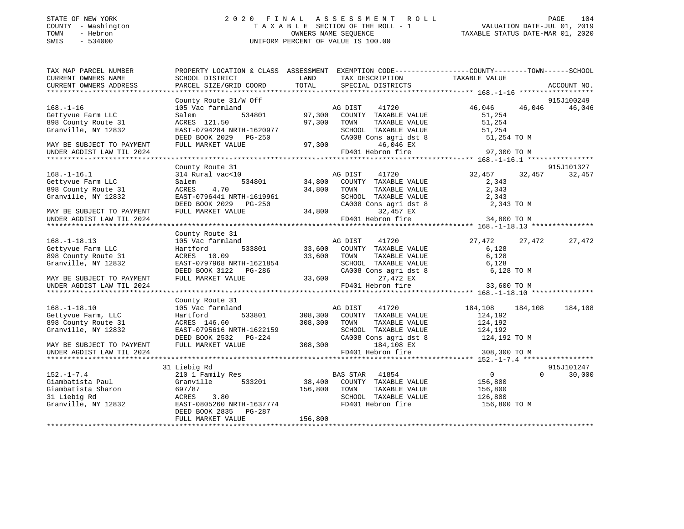#### STATE OF NEW YORK 2 0 2 0 F I N A L A S S E S S M E N T R O L L PAGE 104 COUNTY - Washington T A X A B L E SECTION OF THE ROLL - 1 VALUATION DATE-JUL 01, 2019 TOWN - Hebron OWNERS NAME SEQUENCE TAXABLE STATUS DATE-MAR 01, 2020 SWIS - 534000 UNIFORM PERCENT OF VALUE IS 100.00

| TAX MAP PARCEL NUMBER     | PROPERTY LOCATION & CLASS ASSESSMENT EXEMPTION CODE----------------COUNTY-------TOWN------SCHOOL |               |                                               |                    |        |                    |
|---------------------------|--------------------------------------------------------------------------------------------------|---------------|-----------------------------------------------|--------------------|--------|--------------------|
| CURRENT OWNERS NAME       | SCHOOL DISTRICT                                                                                  | LAND<br>TOTAL | TAX DESCRIPTION                               | TAXABLE VALUE      |        | ACCOUNT NO.        |
| CURRENT OWNERS ADDRESS    | PARCEL SIZE/GRID COORD                                                                           |               | SPECIAL DISTRICTS                             |                    |        |                    |
|                           | County Route 31/W Off                                                                            |               |                                               |                    |        | 915J100249         |
| $168. - 1 - 16$           | 105 Vac farmland                                                                                 |               | 41720<br>AG DIST                              | 46,046             |        | 46,046 46,046      |
| Gettyvue Farm LLC         | 534801<br>Salem                                                                                  |               | 97,300 COUNTY TAXABLE VALUE                   | 51,254             |        |                    |
| 898 County Route 31       | ACRES 121.50                                                                                     | 97,300        | TOWN<br>TAXABLE VALUE                         | 51,254             |        |                    |
| Granville, NY 12832       | EAST-0794284 NRTH-1620977                                                                        |               |                                               | 51,254             |        |                    |
|                           | DEED BOOK 2029    PG-250                                                                         |               | SCHOOL TAXABLE VALUE<br>CA008 Cons agri dst 8 | 51,254 TO M        |        |                    |
| MAY BE SUBJECT TO PAYMENT | FULL MARKET VALUE                                                                                | 97,300        | 46,046 EX                                     |                    |        |                    |
| UNDER AGDIST LAW TIL 2024 |                                                                                                  |               | FD401 Hebron fire                             | 97,300 TO M        |        |                    |
|                           |                                                                                                  |               |                                               |                    |        |                    |
|                           | County Route 31                                                                                  |               |                                               |                    |        | 915J101327         |
| $168. - 1 - 16.1$         | $314$ Rural vac<10                                                                               |               | 41720                                         | 32,457 32,457      |        | 32,457             |
| Gettyvue Farm LLC         | Salem                                                                                            |               |                                               | 2,343              |        |                    |
| 898 County Route 31       | ACRES 4.70                                                                                       | 34,800 TOWN   | TAXABLE VALUE                                 | 2,343              |        |                    |
| Granville, NY 12832       | EAST-0796441 NRTH-1619961                                                                        |               | SCHOOL TAXABLE VALUE                          | 2,343              |        |                    |
|                           | DEED BOOK 2029 PG-250                                                                            |               | CA008 Cons agri dst 8                         | 2,343 TO M         |        |                    |
| MAY BE SUBJECT TO PAYMENT | FULL MARKET VALUE                                                                                | 34,800        | 32,457 EX                                     |                    |        |                    |
| UNDER AGDIST LAW TIL 2024 |                                                                                                  |               | FD401 Hebron fire 34,800 TO M                 |                    |        |                    |
|                           |                                                                                                  |               |                                               |                    |        |                    |
|                           | County Route 31                                                                                  |               |                                               |                    |        |                    |
| $168. - 1 - 18.13$        | 105 Vac farmland                                                                                 |               |                                               | 27,472             | 27,472 | 27,472             |
| Gettyvue Farm LLC         | Hartford                                                                                         |               |                                               | 6,128              |        |                    |
| 898 County Route 31       | ACRES 10.09                                                                                      | 33,600 TOWN   | TAXABLE VALUE                                 | 6,128              |        |                    |
| Granville, NY 12832       | EAST-0797968 NRTH-1621854                                                                        |               | SCHOOL TAXABLE VALUE                          | 6,128              |        |                    |
|                           | DEED BOOK 3122 PG-286                                                                            |               | CA008 Cons agri dst 8                         | 6,128 TO M         |        |                    |
| MAY BE SUBJECT TO PAYMENT | FULL MARKET VALUE                                                                                | 33,600        | 27,472 EX                                     |                    |        |                    |
| UNDER AGDIST LAW TIL 2024 |                                                                                                  |               | FD401 Hebron fire                             | 33,600 TO M        |        |                    |
|                           |                                                                                                  |               |                                               |                    |        |                    |
|                           | County Route 31                                                                                  |               |                                               |                    |        |                    |
| $168. - 1 - 18.10$        | 105 Vac farmland                                                                                 | AG DIST       | 41720                                         | 184,108 184,108    |        | 184,108            |
| Gettyvue Farm, LLC        | 533801<br>Hartford                                                                               |               | 308,300 COUNTY TAXABLE VALUE                  | 124,192            |        |                    |
| 898 County Route 31       | ACRES 146.60                                                                                     | 308,300       | TOWN<br>TAXABLE VALUE                         | 124,192<br>124,192 |        |                    |
| Granville, NY 12832       | EAST-0795616 NRTH-1622159                                                                        |               | SCHOOL TAXABLE VALUE                          |                    |        |                    |
|                           |                                                                                                  |               | CA008 Cons agri dst 8 124,192 TO M            |                    |        |                    |
| MAY BE SUBJECT TO PAYMENT | DEED BOOK 2532 PG-224 CA008 Cons agri dst<br>FULL MARKET VALUE 308,300 184,108 EX                |               |                                               |                    |        |                    |
| UNDER AGDIST LAW TIL 2024 |                                                                                                  |               | FD401 Hebron fire                             | 308,300 TO M       |        |                    |
|                           |                                                                                                  |               |                                               |                    |        |                    |
|                           | 31 Liebig Rd                                                                                     |               |                                               |                    |        | 915J101247         |
| $152. - 1 - 7.4$          | 210 1 Family Res                                                                                 |               | BAS STAR 41854                                | $\overline{0}$     |        | $\Omega$<br>30,000 |
| Giambatista Paul          | Granville 533201 38,400                                                                          |               | COUNTY TAXABLE VALUE                          | 156,800            |        |                    |
| Giambatista Sharon        | 697/87                                                                                           | 156,800 TOWN  | TAXABLE VALUE                                 | 156,800            |        |                    |
| 31 Liebig Rd              | ACRES<br>3.80                                                                                    |               | SCHOOL TAXABLE VALUE                          | 126,800            |        |                    |
| Granville, NY 12832       | EAST-0805260 NRTH-1637774                                                                        |               | FD401 Hebron fire                             | 156,800 TO M       |        |                    |
|                           | DEED BOOK 2835 PG-287                                                                            |               |                                               |                    |        |                    |
|                           | FULL MARKET VALUE                                                                                | 156,800       |                                               |                    |        |                    |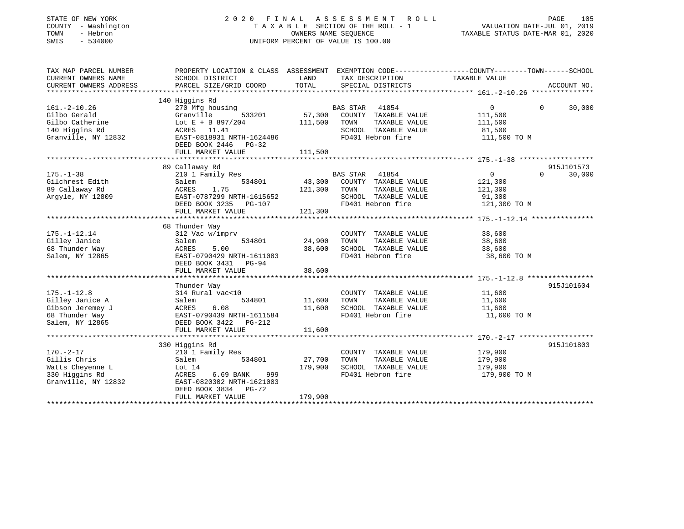| STATE OF NEW YORK                                                                                                                                    | 2020                                                                                            |                      | FINAL ASSESSMENT<br>R O L L        |                                  | PAGE<br>105        |
|------------------------------------------------------------------------------------------------------------------------------------------------------|-------------------------------------------------------------------------------------------------|----------------------|------------------------------------|----------------------------------|--------------------|
| COUNTY - Washington                                                                                                                                  |                                                                                                 |                      | TAXABLE SECTION OF THE ROLL - 1    | VALUATION DATE-JUL 01, 2019      |                    |
| TOWN<br>- Hebron                                                                                                                                     |                                                                                                 | OWNERS NAME SEQUENCE |                                    | TAXABLE STATUS DATE-MAR 01, 2020 |                    |
| $-534000$<br>SWIS                                                                                                                                    |                                                                                                 |                      | UNIFORM PERCENT OF VALUE IS 100.00 |                                  |                    |
|                                                                                                                                                      |                                                                                                 |                      |                                    |                                  |                    |
| TAX MAP PARCEL NUMBER                                                                                                                                | PROPERTY LOCATION & CLASS ASSESSMENT EXEMPTION CODE----------------COUNTY-------TOWN-----SCHOOL |                      |                                    |                                  |                    |
| CURRENT OWNERS NAME                                                                                                                                  | SCHOOL DISTRICT                                                                                 | LAND                 | TAX DESCRIPTION                    | TAXABLE VALUE                    |                    |
| CURRENT OWNERS ADDRESS                                                                                                                               | PARCEL SIZE/GRID COORD                                                                          | TOTAL                | SPECIAL DISTRICTS                  |                                  | ACCOUNT NO.        |
|                                                                                                                                                      |                                                                                                 |                      |                                    |                                  |                    |
|                                                                                                                                                      | 140 Higgins Rd                                                                                  |                      |                                    |                                  |                    |
| $161. - 2 - 10.26$                                                                                                                                   | 270 Mfg housing                                                                                 |                      | <b>BAS STAR</b><br>41854           | 0                                | $\Omega$<br>30,000 |
| Gilbo Gerald                                                                                                                                         | Granville<br>533201                                                                             | 57,300               | COUNTY TAXABLE VALUE               | 111,500                          |                    |
| Gilbo Catherine                                                                                                                                      | Lot E + B $897/204$                                                                             | 111,500              | TOWN<br>TAXABLE VALUE              | 111,500                          |                    |
| 140 Higgins Rd                                                                                                                                       | ACRES 11.41                                                                                     |                      | SCHOOL TAXABLE VALUE               | 81,500                           |                    |
| Granville, NY 12832                                                                                                                                  | EAST-0818931 NRTH-1624486                                                                       |                      | FD401 Hebron fire                  | 111,500 TO M                     |                    |
|                                                                                                                                                      | DEED BOOK 2446<br>PG-32                                                                         |                      |                                    |                                  |                    |
|                                                                                                                                                      | FULL MARKET VALUE                                                                               | 111,500              |                                    |                                  |                    |
|                                                                                                                                                      | **********************                                                                          |                      |                                    |                                  |                    |
|                                                                                                                                                      | 89 Callaway Rd                                                                                  |                      |                                    |                                  | 915J101573         |
| $175. - 1 - 38$                                                                                                                                      | 210 1 Family Res                                                                                |                      | 41854<br>BAS STAR                  | $\mathbf{0}$                     | 30,000<br>$\Omega$ |
| Gilchrest Edith                                                                                                                                      | Salem<br>534801                                                                                 | 43,300               | COUNTY TAXABLE VALUE               | 121,300                          |                    |
| 89 Callaway Rd                                                                                                                                       | 1.75<br>ACRES                                                                                   | 121,300              | TOWN<br>TAXABLE VALUE              | 121,300                          |                    |
| Argyle, NY 12809                                                                                                                                     | EAST-0787299 NRTH-1615652                                                                       |                      | SCHOOL TAXABLE VALUE               | 91,300                           |                    |
|                                                                                                                                                      | DEED BOOK 3235 PG-107                                                                           |                      | FD401 Hebron fire                  | 121,300 TO M                     |                    |
|                                                                                                                                                      | FULL MARKET VALUE                                                                               | 121,300              |                                    |                                  |                    |
|                                                                                                                                                      | ***********************                                                                         |                      |                                    |                                  |                    |
|                                                                                                                                                      | 68 Thunder Way                                                                                  |                      |                                    |                                  |                    |
| $175. - 1 - 12.14$                                                                                                                                   | 312 Vac w/imprv                                                                                 |                      | COUNTY TAXABLE VALUE               | 38,600                           |                    |
| Gilley Janice                                                                                                                                        | Salem<br>534801                                                                                 | 24,900               | TOWN<br>TAXABLE VALUE              | 38,600                           |                    |
| 68 Thunder Way                                                                                                                                       | ACRES<br>5.00                                                                                   | 38,600               | SCHOOL TAXABLE VALUE               | 38,600                           |                    |
| Salem, NY 12865                                                                                                                                      | EAST-0790429 NRTH-1611083                                                                       |                      | FD401 Hebron fire                  | 38,600 TO M                      |                    |
|                                                                                                                                                      | DEED BOOK 3431<br>PG-94                                                                         |                      |                                    |                                  |                    |
|                                                                                                                                                      | FULL MARKET VALUE                                                                               | 38,600               |                                    |                                  |                    |
|                                                                                                                                                      |                                                                                                 |                      |                                    |                                  |                    |
|                                                                                                                                                      |                                                                                                 |                      |                                    |                                  |                    |
|                                                                                                                                                      | Thunder Way                                                                                     |                      |                                    |                                  | 915J101604         |
|                                                                                                                                                      | 314 Rural vac<10                                                                                |                      | COUNTY TAXABLE VALUE               | 11,600                           |                    |
|                                                                                                                                                      | 534801<br>Salem                                                                                 | 11,600               | TOWN<br>TAXABLE VALUE              | 11,600                           |                    |
|                                                                                                                                                      | ACRES<br>6.08                                                                                   | 11,600               | SCHOOL TAXABLE VALUE               | 11,600                           |                    |
|                                                                                                                                                      | EAST-0790439 NRTH-1611584                                                                       |                      | FD401 Hebron fire                  | 11,600 TO M                      |                    |
|                                                                                                                                                      | DEED BOOK 3422<br>PG-212                                                                        |                      |                                    |                                  |                    |
|                                                                                                                                                      | FULL MARKET VALUE                                                                               | 11,600               |                                    |                                  |                    |
|                                                                                                                                                      |                                                                                                 |                      |                                    |                                  |                    |
|                                                                                                                                                      | 330 Higgins Rd                                                                                  |                      |                                    |                                  | 915J101803         |
|                                                                                                                                                      | 210 1 Family Res                                                                                |                      | COUNTY TAXABLE VALUE               | 179,900                          |                    |
|                                                                                                                                                      | 534801                                                                                          | 27,700               | TOWN<br>TAXABLE VALUE              |                                  |                    |
|                                                                                                                                                      | Salem<br>Lot $14$                                                                               | 179,900              | SCHOOL TAXABLE VALUE               | 179,900<br>179,900               |                    |
| $175. - 1 - 12.8$<br>Gilley Janice A<br>Gibson Jeremey J<br>68 Thunder Way<br>Salem, NY 12865<br>$170. - 2 - 17$<br>Gillis Chris<br>Watts Cheyenne L |                                                                                                 |                      |                                    |                                  |                    |
| 330 Higgins Rd                                                                                                                                       | ACRES<br>6.69 BANK<br>999                                                                       |                      | FD401 Hebron fire                  | 179,900 ТО М                     |                    |
|                                                                                                                                                      | EAST-0820302 NRTH-1621003                                                                       |                      |                                    |                                  |                    |
| Granville, NY 12832                                                                                                                                  | DEED BOOK 3834 PG-72<br>FULL MARKET VALUE                                                       | 179,900              |                                    |                                  |                    |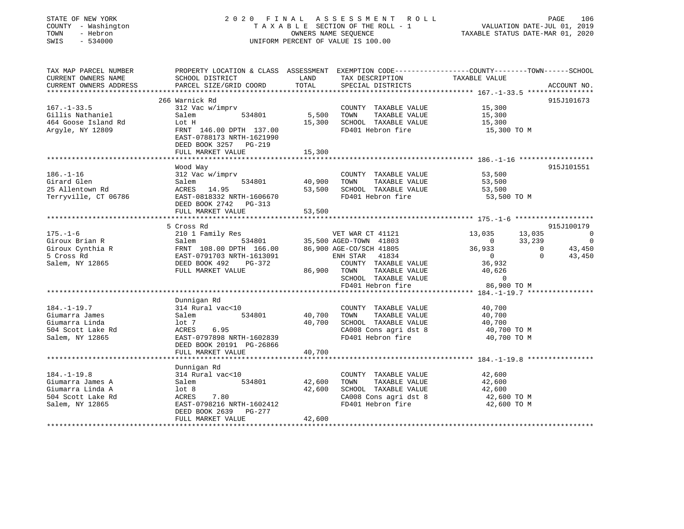| STATE OF NEW YORK<br>COUNTY - Washington<br>TOWN<br>- Hebron<br>SWIS<br>$-534000$                 |                                                                                                                                                                         | OWNERS NAME SEQUENCE | 2020 FINAL ASSESSMENT ROLL<br>T A X A B L E SECTION OF THE ROLL - 1 VALUATION DATE-JUL 01, 2019<br>UNIFORM PERCENT OF VALUE IS 100.00 | TAXABLE STATUS DATE-MAR 01, 2020                              | PAGE   | 106            |
|---------------------------------------------------------------------------------------------------|-------------------------------------------------------------------------------------------------------------------------------------------------------------------------|----------------------|---------------------------------------------------------------------------------------------------------------------------------------|---------------------------------------------------------------|--------|----------------|
| CURRENT OWNERS NAME<br>CURRENT OWNERS ADDRESS                                                     | TAX MAP PARCEL NUMBER THE PROPERTY LOCATION & CLASS ASSESSMENT EXEMPTION CODE---------------COUNTY--------TOWN------SCHOOL<br>SCHOOL DISTRICT<br>PARCEL SIZE/GRID COORD | LAND<br>TOTAL        | TAX DESCRIPTION<br>SPECIAL DISTRICTS                                                                                                  | TAXABLE VALUE                                                 |        | ACCOUNT NO.    |
|                                                                                                   |                                                                                                                                                                         |                      |                                                                                                                                       |                                                               |        |                |
|                                                                                                   | 266 Warnick Rd                                                                                                                                                          |                      |                                                                                                                                       |                                                               |        | 915J101673     |
| $167. - 1 - 33.5$<br>Gillis Nathaniel<br>464 Goose Island Rd<br>Argyle, NY 12809                  | 312 Vac w/imprv<br>Salem<br>534801<br>Lot H<br>FRNT 146.00 DPTH 137.00<br>EAST-0788173 NRTH-1621990<br>DEED BOOK 3257 PG-219                                            | 5,500<br>15,300      | COUNTY TAXABLE VALUE<br>TOWN<br>TAXABLE VALUE<br>SCHOOL TAXABLE VALUE<br>FD401 Hebron fire                                            | 15,300<br>15,300<br>15,300<br>15,300 TO M                     |        |                |
|                                                                                                   | FULL MARKET VALUE                                                                                                                                                       | 15,300               |                                                                                                                                       |                                                               |        |                |
| $186. - 1 - 16$<br>Girard Glen<br>25 Allentown Rd<br>Terryville, CT 06786                         | Wood Way<br>312 Vac w/imprv<br>534801<br>Salem<br>ACRES 14.95<br>EAST-0818332 NRTH-1606670<br>DEED BOOK 2742 PG-313                                                     | 40,900<br>53,500     | COUNTY TAXABLE VALUE<br>TAXABLE VALUE<br>TOWN<br>SCHOOL TAXABLE VALUE<br>FD401 Hebron fire                                            | 53,500<br>53,500<br>53,500<br>53,500 TO M                     |        | 915J101551     |
|                                                                                                   | FULL MARKET VALUE                                                                                                                                                       | 53,500               |                                                                                                                                       |                                                               |        |                |
|                                                                                                   |                                                                                                                                                                         |                      |                                                                                                                                       |                                                               |        |                |
|                                                                                                   | 5 Cross Rd                                                                                                                                                              |                      |                                                                                                                                       |                                                               |        | 915J100179     |
| $175. - 1 - 6$                                                                                    | 210 1 Family Res                                                                                                                                                        |                      | VET WAR CT 41121                                                                                                                      | 13,035                                                        | 13,035 | $\Omega$       |
| Giroux Brian R                                                                                    | Salem 534801                                                                                                                                                            |                      | 35,500 AGED-TOWN 41803                                                                                                                | $\frac{1}{2}$ , $\frac{1}{2}$ , $\frac{1}{2}$ , $\frac{1}{2}$ |        | $\overline{0}$ |
| Giroux Cynthia R                                                                                  |                                                                                                                                                                         |                      | 86,900 AGE-CO/SCH 41805                                                                                                               | $36,933$ 0<br>0 0                                             |        | 43,450         |
| 5 Cross Rd<br>Salem, NY 12865                                                                     | FULL MARKET VALUE                                                                                                                                                       | 86,900               | ENH STAR<br>41834<br>COUNTY TAXABLE VALUE<br>TOWN<br>TAXABLE VALUE<br>SCHOOL TAXABLE VALUE<br>FD401 Hebron fire                       | 36,932<br>40,626<br>$\overline{0}$<br>86,900 TO M             |        | 43,450         |
|                                                                                                   |                                                                                                                                                                         |                      |                                                                                                                                       |                                                               |        |                |
| $184. - 1 - 19.7$<br>Giumarra James<br>Giumarra Linda<br>504 Scott Lake Rd<br>Salem, NY 12865     | Dunnigan Rd<br>314 Rural vac<10<br>Salem 534801<br>lot 7<br>6.95<br>ACRES<br>EAST-0797898 NRTH-1602839<br>DEED BOOK 20191 PG-26866                                      | 40,700<br>40,700     | COUNTY TAXABLE VALUE<br>TOWN<br>TAXABLE VALUE<br>SCHOOL TAXABLE VALUE<br>CA008 Cons agri dst 8<br>FD401 Hebron fire                   | 40,700<br>40,700<br>40,700<br>40,700 TO M<br>40,700 TO M      |        |                |
|                                                                                                   | FULL MARKET VALUE                                                                                                                                                       | 40,700               |                                                                                                                                       |                                                               |        |                |
|                                                                                                   |                                                                                                                                                                         |                      |                                                                                                                                       |                                                               |        |                |
| $184. - 1 - 19.8$<br>Giumarra James A<br>Giumarra Linda A<br>504 Scott Lake Rd<br>Salem, NY 12865 | Dunnigan Rd<br>314 Rural vac<10<br>Salem 534801<br>lot <sub>8</sub><br>ACRES 7.80<br>EAST-0798216 NRTH-1602412                                                          | 42,600<br>42,600     | COUNTY TAXABLE VALUE<br>TAXABLE VALUE<br>TOWN<br>SCHOOL TAXABLE VALUE<br>CA008 Cons agri dst 8<br>FD401 Hebron fire                   | 42,600<br>42,600<br>42,600<br>42,600 TO M<br>42,600 TO M      |        |                |
|                                                                                                   | PG-277<br>DEED BOOK 2639<br>FULL MARKET VALUE                                                                                                                           | 42,600               |                                                                                                                                       |                                                               |        |                |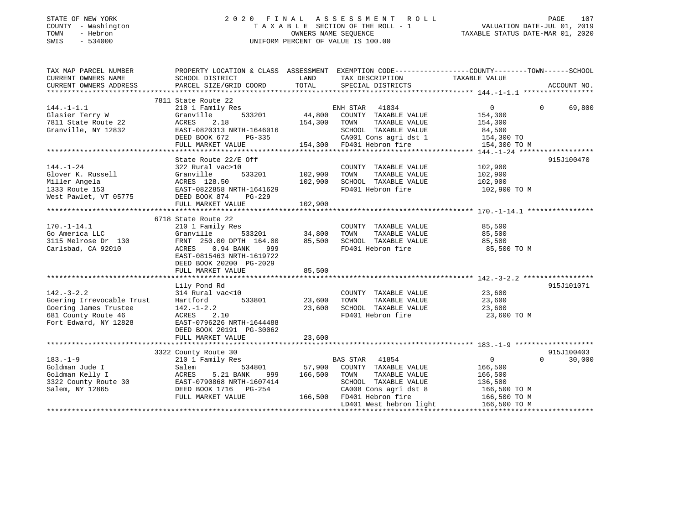| STATE OF NEW YORK |              |
|-------------------|--------------|
| <b>COUNTY</b>     | - Washingtom |
| TOWN              | - Hebron     |
| CM T C            | 521000       |

### STATE OF NEW YORK 2 0 2 0 F I N A L A S S E S S M E N T R O L L PAGE 107COUNTY - Washington T A X A B L E SECTION OF THE ROLL - 1 VALUATION DATE-JUL 01, 2019 SWIS - 534000 UNIFORM PERCENT OF VALUE IS 100.00

## VALUATION DATE-JUL 01, 2019

TAXABLE STATUS DATE-MAR 01, 2020

| TAX MAP PARCEL NUMBER<br>CURRENT OWNERS NAME   | PROPERTY LOCATION & CLASS ASSESSMENT EXEMPTION CODE---------------COUNTY-------TOWN------SCHOOL<br>SCHOOL DISTRICT | LAND<br>TOTAL  | TAX DESCRIPTION                                      | TAXABLE VALUE  | ACCOUNT NO.        |
|------------------------------------------------|--------------------------------------------------------------------------------------------------------------------|----------------|------------------------------------------------------|----------------|--------------------|
| CURRENT OWNERS ADDRESS                         | PARCEL SIZE/GRID COORD                                                                                             |                | SPECIAL DISTRICTS                                    |                |                    |
|                                                | 7811 State Route 22                                                                                                |                |                                                      |                |                    |
| $144. -1 - 1.1$                                | 210 1 Family Res                                                                                                   |                | ENH STAR 41834<br>533201 44,800 COUNTY TAXABLE VALUE | $\overline{0}$ | $\Omega$<br>69,800 |
| Glasier Terry W                                | Granville                                                                                                          |                |                                                      | 154,300        |                    |
| 7811 State Route 22                            | ACRES<br>2.18                                                                                                      | 154,300 TOWN   | TAXABLE VALUE                                        | 154,300        |                    |
| Granville, NY 12832                            | EAST-0820313 NRTH-1646016                                                                                          |                | SCHOOL TAXABLE VALUE                                 | 84,500         |                    |
|                                                | $PG-335$<br>DEED BOOK 672                                                                                          |                | CA001 Cons agri dst 1 154,300 TO                     |                |                    |
|                                                | FULL MARKET VALUE                                                                                                  |                | 154,300 FD401 Hebron fire                            | 154,300 TO M   |                    |
|                                                |                                                                                                                    |                |                                                      |                |                    |
|                                                | State Route 22/E Off                                                                                               |                |                                                      |                | 915J100470         |
| $144. - 1 - 24$                                | 322 Rural vac>10                                                                                                   |                | COUNTY TAXABLE VALUE                                 | 102,900        |                    |
| Glover K. Russell                              | Granville                                                                                                          | 533201 102,900 | TOWN<br>TAXABLE VALUE                                | 102,900        |                    |
| Miller Angela                                  | ACRES 128.50                                                                                                       | 102,900        | SCHOOL TAXABLE VALUE                                 | 102,900        |                    |
| 1333 Route 153                                 | ACRES 128.50<br>EAST-0822858 NRTH-1641629                                                                          |                | FD401 Hebron fire                                    | 102,900 TO M   |                    |
| West Pawlet, VT 05775 DEED BOOK 874            | PG-229                                                                                                             |                |                                                      |                |                    |
|                                                | FULL MARKET VALUE                                                                                                  | 102,900        |                                                      |                |                    |
|                                                |                                                                                                                    |                |                                                      |                |                    |
|                                                | 6718 State Route 22                                                                                                |                |                                                      |                |                    |
| $170. - 1 - 14.1$                              | 210 1 Family Res                                                                                                   |                | COUNTY TAXABLE VALUE 85,500                          |                |                    |
| Go America LLC                                 | 533201 34,800<br>Granville                                                                                         |                | TOWN<br>TAXABLE VALUE                                | 85,500         |                    |
| 3115 Melrose Dr 130                            | FRNT 250.00 DPTH 164.00                                                                                            | 85,500         | SCHOOL TAXABLE VALUE<br>FD401 Hebron fire            | 85,500         |                    |
| Carlsbad, CA 92010                             | ACRES 0.94 BANK<br>999                                                                                             |                |                                                      | 85,500 TO M    |                    |
|                                                | EAST-0815463 NRTH-1619722                                                                                          |                |                                                      |                |                    |
|                                                | DEED BOOK 20200 PG-2029                                                                                            |                |                                                      |                |                    |
|                                                | FULL MARKET VALUE                                                                                                  | 85,500         |                                                      |                |                    |
|                                                |                                                                                                                    |                |                                                      |                |                    |
|                                                | Lily Pond Rd                                                                                                       |                |                                                      |                | 915J101071         |
| $142. - 3 - 2.2$                               | 314 Rural vac<10                                                                                                   |                | COUNTY TAXABLE VALUE                                 | 23,600         |                    |
| Goering Irrevocable Trust                      | 533801<br>Hartford                                                                                                 | 23,600         | TOWN<br>TAXABLE VALUE                                | 23,600         |                    |
| Goering James Trustee                          | $142. - 1 - 2.2$                                                                                                   | 23,600         | SCHOOL TAXABLE VALUE 23,600                          |                |                    |
| 681 County Route 46                            | ACRES 2.10                                                                                                         |                | FD401 Hebron fire                                    | 23,600 TO M    |                    |
| Fort Edward, NY 12828                          | EAST-0796226 NRTH-1644488                                                                                          |                |                                                      |                |                    |
|                                                | DEED BOOK 20191 PG-30062                                                                                           |                |                                                      |                |                    |
|                                                |                                                                                                                    |                |                                                      |                |                    |
|                                                |                                                                                                                    |                |                                                      |                |                    |
|                                                | 3322 County Route 30                                                                                               |                |                                                      |                | 915J100403         |
| $183. - 1 - 9$                                 | 210 1 Family Res                                                                                                   |                | BAS STAR 41854                                       | $\overline{0}$ | $\Omega$<br>30,000 |
| Goldman Jude I                                 |                                                                                                                    |                | 534801 57,900 COUNTY TAXABLE VALUE                   | 166,500        |                    |
| Salem<br>ACRES<br>Goldman Kelly I              | 5.21 BANK<br>999                                                                                                   | 166,500        | TOWN<br>TAXABLE VALUE                                | 166,500        |                    |
| 3322 County Route 30 EAST-0790868 NRTH-1607414 |                                                                                                                    |                | SCHOOL TAXABLE VALUE                                 | 136,500        |                    |
| Salem, NY 12865                                |                                                                                                                    |                | CA008 Cons agri dst 8<br>FD401 Hebron fire           | 166,500 TO M   |                    |
|                                                | FULL MARKET VALUE                                                                                                  | 166,500        |                                                      | 166,500 TO M   |                    |
|                                                |                                                                                                                    |                | LD401 West hebron light 166,500 TO M                 |                |                    |
|                                                |                                                                                                                    |                |                                                      |                |                    |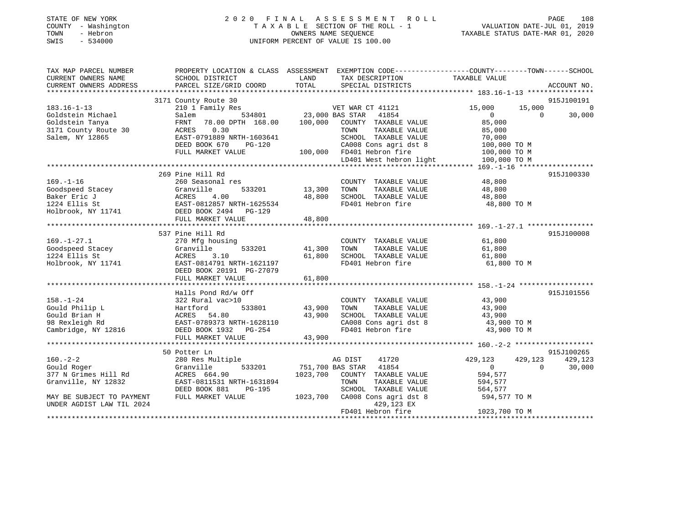| STATE OF NEW YORK<br>- Washington<br>COUNTY<br>- Hebron<br>TOWN<br>$-534000$<br>SWIS | 2020 FINAL ASSESSMENT ROLL                                                        | TAXABLE SECTION OF THE ROLL - 1<br>OWNERS NAME SEOUENCE<br>UNIFORM PERCENT OF VALUE IS 100.00 |                                      | 108<br>PAGE<br>VALUATION DATE-JUL 01, 2019<br>TAXABLE STATUS DATE-MAR 01, 2020 |            |         |
|--------------------------------------------------------------------------------------|-----------------------------------------------------------------------------------|-----------------------------------------------------------------------------------------------|--------------------------------------|--------------------------------------------------------------------------------|------------|---------|
| TAX MAP PARCEL NUMBER<br>CURRENT OWNERS NAME<br>CURRENT OWNERS ADDRESS               | PROPERTY LOCATION & CLASS ASSESSMENT<br>SCHOOL DISTRICT<br>DARCEL SIZE/CRID COORD | LAND<br>TOTAL.                                                                                | TAX DESCRIPTION<br>SDRATAL DISTRIATS | EXEMPTION CODE-----------------COUNTY-------TOWN-----<br>TAXABLE VALUE         | ACCOUNT NO | -SCHOOL |

| CUKKENI UWNEKS ADDKESS                                      | RAKCRT PIRRAGKID COOKD                                                                                                                                                                                     | TOTHT  | PRECIAL DIPIKICIP              |                                                               | ACCOUNT NO. |
|-------------------------------------------------------------|------------------------------------------------------------------------------------------------------------------------------------------------------------------------------------------------------------|--------|--------------------------------|---------------------------------------------------------------|-------------|
|                                                             |                                                                                                                                                                                                            |        |                                |                                                               |             |
|                                                             | 3171 County Route 30                                                                                                                                                                                       |        |                                |                                                               | 915J100191  |
| $183.16 - 1 - 13$                                           | 210 1 Family Res                                                                                                                                                                                           |        | VET WAR CT 41121               | 15,000<br>15,000                                              | $\bigcirc$  |
| Goldstein Michael                                           | VET WAR C<br>534801 23,000 BAS STAR<br>Salem                                                                                                                                                               |        | 41854                          | $\Omega$<br>$\Omega$                                          | 30,000      |
|                                                             | FRNT 78.00 DPTH 168.00 100,000 COUNTY TAXABLE VALUE                                                                                                                                                        |        |                                | 85,000                                                        |             |
| Goldstein Tanya<br>3171 County Route 30<br>311au - NY 13965 | ACRES 0.30                                                                                                                                                                                                 |        | TOWN<br>TAXABLE VALUE          | 85,000                                                        |             |
| Salem, NY 12865                                             | EAST-0791889 NRTH-1603641                                                                                                                                                                                  |        | SCHOOL TAXABLE VALUE           | 70,000                                                        |             |
|                                                             | DEED BOOK 670<br>PG-120                                                                                                                                                                                    |        | CA008 Cons agri dst 8          | M 00,000 TO M<br>100,000 TO M<br>100,000 TO M<br>100,000 TO M |             |
|                                                             | FULL MARKET VALUE                                                                                                                                                                                          |        | 100,000 FD401 Hebron fire      |                                                               |             |
|                                                             |                                                                                                                                                                                                            |        | LD401 West hebron light        |                                                               |             |
|                                                             |                                                                                                                                                                                                            |        |                                |                                                               |             |
|                                                             | 269 Pine Hill Rd                                                                                                                                                                                           |        |                                |                                                               | 915J100330  |
| $169. - 1 - 16$                                             | 260 Seasonal res                                                                                                                                                                                           |        | COUNTY TAXABLE VALUE           | 48,800                                                        |             |
|                                                             | 533201 13,300                                                                                                                                                                                              |        | TAXABLE VALUE<br>TOWN          | 48,800                                                        |             |
|                                                             |                                                                                                                                                                                                            | 48,800 | SCHOOL TAXABLE VALUE           | 48,800                                                        |             |
|                                                             | Coodspeed Stacey<br>Baker Eric J<br>1224 Ellis St<br>Holbrook, NY 11741<br>The CONSTRANT CONTROLLY STATE-1625534<br>Holbrook, NY 11741<br>THE CONTROLLY STATE FO-129<br>THE MATHER MATHEM CONTROLLY STATES |        | FD401 Hebron fire              | 48,800 TO M                                                   |             |
|                                                             |                                                                                                                                                                                                            |        |                                |                                                               |             |
|                                                             | FULL MARKET VALUE                                                                                                                                                                                          | 48,800 |                                |                                                               |             |
|                                                             |                                                                                                                                                                                                            |        |                                |                                                               |             |
|                                                             | 537 Pine Hill Rd                                                                                                                                                                                           |        |                                |                                                               | 915J100008  |
| $169. - 1 - 27.1$                                           | 270 Mfg housing                                                                                                                                                                                            |        | COUNTY TAXABLE VALUE           | 61,800                                                        |             |
| Goodspeed Stacey                                            | 533201 41,300<br>Granville                                                                                                                                                                                 |        | TOWN<br>TAXABLE VALUE          | 61,800                                                        |             |
|                                                             | 3.10                                                                                                                                                                                                       | 61,800 |                                |                                                               |             |
| 1224 Ellis St                                               | ACRES                                                                                                                                                                                                      |        | SCHOOL TAXABLE VALUE           | 61,800                                                        |             |
| Holbrook, NY 11741                                          | EAST-0814791 NRTH-1621197                                                                                                                                                                                  |        | FD401 Hebron fire              | 61,800 TO M                                                   |             |
|                                                             | DEED BOOK 20191 PG-27079                                                                                                                                                                                   |        |                                |                                                               |             |
|                                                             | FULL MARKET VALUE                                                                                                                                                                                          | 61,800 |                                |                                                               |             |
|                                                             |                                                                                                                                                                                                            |        |                                |                                                               |             |
|                                                             | Halls Pond Rd/w Off                                                                                                                                                                                        |        |                                |                                                               | 915J101556  |
| $158. - 1 - 24$                                             | 322 Rural vac>10<br>)<br>533801     43,900                                                                                                                                                                 |        | COUNTY TAXABLE VALUE           | 43,900                                                        |             |
| Gould Philip L                                              | Hartford                                                                                                                                                                                                   |        | TAXABLE VALUE<br>TOWN          | 43,900                                                        |             |
| Gould Brian H                                               | ACRES 54.80                                                                                                                                                                                                | 43,900 | SCHOOL TAXABLE VALUE 43,900    |                                                               |             |
| 98 Rexleigh Rd<br>Cambridge, NY 12816                       | EAST-0789373 NRTH-1628110                                                                                                                                                                                  |        | CA008 Cons agri dst 8          | 43,900 TO M                                                   |             |
|                                                             | DEED BOOK 1932    PG-254                                                                                                                                                                                   |        | FD401 Hebron fire              | 43,900 TO M                                                   |             |
|                                                             | FULL MARKET VALUE                                                                                                                                                                                          | 43,900 |                                |                                                               |             |
|                                                             |                                                                                                                                                                                                            |        |                                |                                                               |             |
|                                                             | 50 Potter Ln                                                                                                                                                                                               |        |                                |                                                               | 915J100265  |
| $160. - 2 - 2$                                              | 280 Res Multiple                                                                                                                                                                                           |        | AG DIST<br>41720               | 429,123<br>429,123                                            | 429,123     |
| Gould Roger                                                 | Granville                                                                                                                                                                                                  |        | 533201 751,700 BAS STAR 41854  | $\overline{0}$<br>$\Omega$                                    | 30,000      |
| 377 N Grimes Hill Rd                                        | ACRES 664.90                                                                                                                                                                                               |        | 1023,700 COUNTY TAXABLE VALUE  | 594,577                                                       |             |
| Granville, NY 12832                                         | EAST-0811531 NRTH-1631894                                                                                                                                                                                  |        | TOWN<br>TAXABLE VALUE          | 594,577                                                       |             |
|                                                             | DEED BOOK 881<br>PG-195                                                                                                                                                                                    |        | SCHOOL TAXABLE VALUE           | 564,577                                                       |             |
| MAY BE SUBJECT TO PAYMENT                                   | FULL MARKET VALUE                                                                                                                                                                                          |        | 1023,700 CA008 Cons agri dst 8 | 594,577 TO M                                                  |             |
| UNDER AGDIST LAW TIL 2024                                   |                                                                                                                                                                                                            |        | 429,123 EX                     |                                                               |             |
|                                                             |                                                                                                                                                                                                            |        | FD401 Hebron fire              | 1023,700 TO M                                                 |             |
|                                                             |                                                                                                                                                                                                            |        |                                |                                                               |             |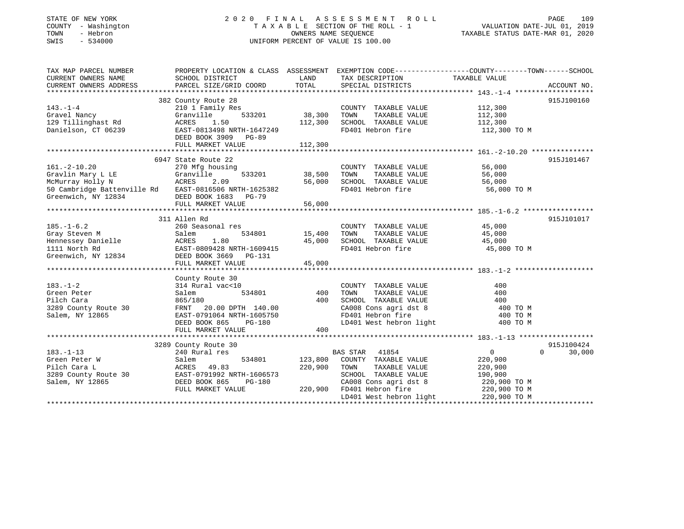### STATE OF NEW YORK 2 0 2 0 F I N A L A S S E S S M E N T R O L L PAGE 109 COUNTY - Washington T A X A B L E SECTION OF THE ROLL - 1 VALUATION DATE-JUL 01, 2019 TOWN - Hebron OWNERS NAME SEQUENCE TAXABLE STATUS DATE-MAR 01, 2020 SWIS - 534000 UNIFORM PERCENT OF VALUE IS 100.00

| TAX MAP PARCEL NUMBER<br>CURRENT OWNERS NAME<br>CURRENT OWNERS ADDRESS                                                                                      | SCHOOL DISTRICT<br>PARCEL SIZE/GRID COORD                                                                                                                                | LAND<br>TOTAL                     | TAX DESCRIPTION TAXABLE VALUE<br>SERCIAL DISTRICTS<br>SPECIAL DISTRICTS                                                                                                       | PROPERTY LOCATION & CLASS ASSESSMENT EXEMPTION CODE----------------COUNTY-------TOWN------SCHOOL | ACCOUNT NO.          |
|-------------------------------------------------------------------------------------------------------------------------------------------------------------|--------------------------------------------------------------------------------------------------------------------------------------------------------------------------|-----------------------------------|-------------------------------------------------------------------------------------------------------------------------------------------------------------------------------|--------------------------------------------------------------------------------------------------|----------------------|
| $143. - 1 - 4$<br>Gravel Nancy<br>129 Tillinghast Rd<br>Danielson, CT 06239                                                                                 | 382 County Route 28<br>210 1 Family Res<br>533201<br>Granville<br>ACRES<br>1.50<br>EAST-0813498 NRTH-1647249<br>DEED BOOK 3909 PG-89<br>FULL MARKET VALUE                | 38,300<br>112,300<br>112,300      | COUNTY TAXABLE VALUE<br>TOWN<br>TAXABLE VALUE<br>SCHOOL TAXABLE VALUE<br>FD401 Hebron fire                                                                                    | 112,300<br>112,300<br>112,300<br>112,300 TO M                                                    | 915J100160           |
|                                                                                                                                                             |                                                                                                                                                                          |                                   |                                                                                                                                                                               |                                                                                                  |                      |
| $161.-2-10.20$<br>Gravlin Mary L LE<br>Granvi:<br>ACRES<br>McMurray Holly N<br>50 Cambridge Battenville Rd EAST-0816506 NRTH-1625382<br>Greenwich, NY 12834 | 6947 State Route 22<br>270 Mfg housing<br>533201<br>Granville<br>2.09<br>DEED BOOK 1683 PG-79                                                                            | 38,500<br>56,000                  | COUNTY TAXABLE VALUE<br>TOWN<br>TAXABLE VALUE<br>SCHOOL TAXABLE VALUE<br>FD401 Hebron fire                                                                                    | 56,000<br>56,000<br>56,000<br>56,000 TO M                                                        | 915J101467           |
|                                                                                                                                                             |                                                                                                                                                                          |                                   |                                                                                                                                                                               |                                                                                                  |                      |
| $185. - 1 - 6.2$<br>Gray Steven M<br>Hennessey Danielle<br>1111 North Rd<br>Greenwich, NY 12834                                                             | 311 Allen Rd<br>260 Seasonal res<br>Salem<br>ACRES<br>1.80<br>EAST-0809428 NRTH-1609415<br>DEED BOOK 3669 PG-131<br>FULL MARKET VALUE                                    | 534801 15,400<br>45,000<br>45,000 | COUNTY TAXABLE VALUE<br>TOWN<br>TAXABLE VALUE<br>SCHOOL TAXABLE VALUE<br>FD401 Hebron fire                                                                                    | 45,000<br>45,000<br>45,000<br>45,000 TO M                                                        | 915J101017           |
|                                                                                                                                                             |                                                                                                                                                                          |                                   |                                                                                                                                                                               |                                                                                                  |                      |
| $183. - 1 - 2$<br>Green Peter<br>Pilch Cara<br>3289 County Route 30<br>Salem, NY 12865                                                                      | County Route 30<br>314 Rural vac<10<br>534801<br>Salem<br>865/180<br>FRNT 20.00 DPTH 140.00<br>EAST-0791064 NRTH-1605750<br>DEED BOOK 865<br>PG-180<br>FULL MARKET VALUE | 400<br>400<br>400                 | COUNTY TAXABLE VALUE<br>TOWN<br>TAXABLE VALUE<br>CHOOL TAXABLE VALUE<br>CA008 Cons agri dst 8 400 TO M<br>FD401 Hebron fire 400 TO M<br>LD401 West hebron light 400 TO M      | 400<br>400                                                                                       |                      |
|                                                                                                                                                             |                                                                                                                                                                          |                                   |                                                                                                                                                                               |                                                                                                  |                      |
| $183. - 1 - 13$<br>Green Peter W<br>Pilch Cara L<br>3289 County Route 30<br>Salem, NY 12865                                                                 | 3289 County Route 30<br>240 Rural res<br>Salem<br>534801<br>ACRES 49.83<br>EAST-0791992 NRTH-1606573<br>DEED BOOK 865<br>PG-180<br>FULL MARKET VALUE                     | 123,800<br>220,900<br>220,900     | BAS STAR 41854<br>COUNTY TAXABLE VALUE<br>TOWN<br>TAXABLE VALUE<br>SCHOOL TAXABLE VALUE<br>CA008 Cons agri dst 8<br>FD401 Hebron fire<br>LD401 West hebron light 220,900 TO M | $\overline{0}$<br>$\Omega$<br>220,900<br>220,900<br>190,900<br>220,900 TO M<br>220,900 TO M      | 915J100424<br>30,000 |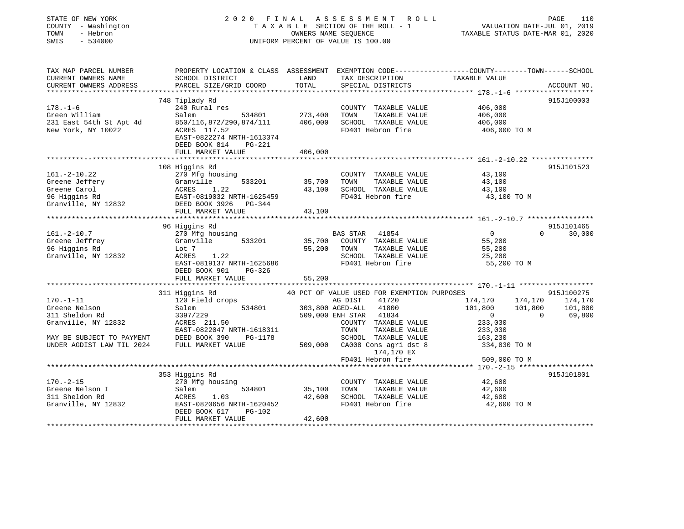| STATE OF NEW YORK                                                                   | 2020 FINAL                                                                                       |                      | A S S E S S M E N T<br>R O L L              |                                          | PAGE<br>110        |
|-------------------------------------------------------------------------------------|--------------------------------------------------------------------------------------------------|----------------------|---------------------------------------------|------------------------------------------|--------------------|
| COUNTY - Washington                                                                 |                                                                                                  |                      | TAXABLE SECTION OF THE ROLL - 1             | VALUATION DATE-JUL 01, 2019              |                    |
| TOWN<br>- Hebron                                                                    |                                                                                                  | OWNERS NAME SEQUENCE |                                             | TAXABLE STATUS DATE-MAR 01, 2020         |                    |
| SWIS<br>$-534000$                                                                   |                                                                                                  |                      | UNIFORM PERCENT OF VALUE IS 100.00          |                                          |                    |
| TAX MAP PARCEL NUMBER                                                               | PROPERTY LOCATION & CLASS ASSESSMENT EXEMPTION CODE----------------COUNTY-------TOWN------SCHOOL |                      |                                             |                                          |                    |
| CURRENT OWNERS NAME                                                                 | SCHOOL DISTRICT                                                                                  | LAND                 | TAX DESCRIPTION                             | TAXABLE VALUE                            |                    |
| CURRENT OWNERS ADDRESS                                                              | PARCEL SIZE/GRID COORD                                                                           | TOTAL                | SPECIAL DISTRICTS                           |                                          | ACCOUNT NO.        |
|                                                                                     |                                                                                                  |                      |                                             |                                          |                    |
|                                                                                     | 748 Tiplady Rd                                                                                   |                      |                                             |                                          | 915J100003         |
| $178. - 1 - 6$                                                                      | 240 Rural res                                                                                    |                      | COUNTY TAXABLE VALUE                        | 406,000                                  |                    |
| Green William                                                                       | Salem<br>534801                                                                                  | 273,400              | TOWN<br>TAXABLE VALUE                       | 406,000                                  |                    |
| 231 East 54th St Apt 4d<br>New York, NY 10022                                       | 850/116,872/290,874/111<br>ACRES 117.52                                                          | 406,000              | SCHOOL TAXABLE VALUE<br>FD401 Hebron fire   | 406,000<br>406,000 TO M                  |                    |
|                                                                                     | EAST-0822274 NRTH-1613374                                                                        |                      |                                             |                                          |                    |
|                                                                                     | DEED BOOK 814<br>PG-221                                                                          |                      |                                             |                                          |                    |
|                                                                                     | FULL MARKET VALUE                                                                                | 406,000              |                                             |                                          |                    |
|                                                                                     |                                                                                                  |                      |                                             |                                          |                    |
|                                                                                     | 108 Higgins Rd                                                                                   |                      |                                             |                                          | 915J101523         |
| $161.-2-10.22$                                                                      | 270 Mfg housing                                                                                  |                      | COUNTY TAXABLE VALUE                        | 43,100                                   |                    |
| Greene Jeffery                                                                      |                                                                                                  | 35,700               | TOWN<br>TAXABLE VALUE                       | 43,100                                   |                    |
| Greene Carol                                                                        |                                                                                                  | 43,100               | SCHOOL TAXABLE VALUE                        | 43,100                                   |                    |
| 96 Higgins Rd                                                                       | Granville 533201<br>ACRES 1.22<br>EAST-0819032 NRTH-1625459                                      |                      | FD401 Hebron fire                           | 43,100 TO M                              |                    |
| Granville, NY 12832                                                                 | DEED BOOK 3926 PG-344                                                                            |                      |                                             |                                          |                    |
|                                                                                     | FULL MARKET VALUE                                                                                | 43,100               |                                             |                                          |                    |
|                                                                                     | 96 Higgins Rd                                                                                    |                      |                                             |                                          | 915J101465         |
| $161. - 2 - 10.7$                                                                   | 270 Mfg housing                                                                                  |                      | BAS STAR<br>41854                           | $\overline{0}$                           | $\Omega$<br>30,000 |
| Greene Jeffrey                                                                      | Granville<br>533201                                                                              | 35,700               | COUNTY TAXABLE VALUE                        | 55,200                                   |                    |
| 96 Higgins Rd                                                                       | Lot 7                                                                                            | 55,200               | TOWN<br>TAXABLE VALUE                       | 55,200                                   |                    |
| Granville, NY 12832                                                                 | ACRES<br>1.22                                                                                    |                      | SCHOOL TAXABLE VALUE                        | 25,200                                   |                    |
|                                                                                     | EAST-0819137 NRTH-1625686                                                                        |                      | FD401 Hebron fire                           | 55,200 TO M                              |                    |
|                                                                                     | DEED BOOK 901<br>PG-326                                                                          |                      |                                             |                                          |                    |
|                                                                                     | FULL MARKET VALUE                                                                                | 55,200               |                                             |                                          |                    |
|                                                                                     | ************************                                                                         |                      |                                             |                                          |                    |
|                                                                                     | 311 Higgins Rd                                                                                   |                      | 40 PCT OF VALUE USED FOR EXEMPTION PURPOSES |                                          | 915J100275         |
| $170. - 1 - 11$<br>Greene Nelson                                                    | 120 Field crops<br>Salem 534801                                                                  |                      | AG DIST<br>41720<br>303,800 AGED-ALL 41800  | 174,170<br>174,170<br>101,800<br>101,800 | 174,170<br>101,800 |
| 311 Sheldon Rd                                                                      | 3397/229                                                                                         |                      | 509,000 ENH STAR 41834                      | $\overline{0}$                           | $\Omega$<br>69,800 |
| Granville, NY 12832                                                                 | ACRES 211.50                                                                                     |                      | COUNTY TAXABLE VALUE                        | 233,030                                  |                    |
|                                                                                     | EAST-0822047 NRTH-1618311                                                                        |                      | TOWN<br>TAXABLE VALUE                       | 233,030                                  |                    |
| MAY BE SUBJECT TO PAYMENT DEED BOOK 390 INDER AGDIST LAW TIL 2024 FULL MARKET VALUE | PG-1178                                                                                          |                      | SCHOOL TAXABLE VALUE                        | 163,230                                  |                    |
|                                                                                     |                                                                                                  |                      | 509,000 CA008 Cons agri dst 8<br>174,170 EX | 334,830 TO M                             |                    |
|                                                                                     |                                                                                                  |                      | FD401 Hebron fire                           | 509,000 TO M                             |                    |
|                                                                                     |                                                                                                  |                      |                                             |                                          |                    |
|                                                                                     | 353 Higgins Rd                                                                                   |                      |                                             |                                          | 915J101801         |
| $170. - 2 - 15$                                                                     | 270 Mfg housing                                                                                  |                      | COUNTY TAXABLE VALUE                        | 42,600                                   |                    |
|                                                                                     | 534801<br>Salem                                                                                  | 35,100               | TOWN<br>TAXABLE VALUE                       | 42,600                                   |                    |
|                                                                                     |                                                                                                  |                      |                                             |                                          |                    |
|                                                                                     | ACRES<br>1.03                                                                                    | 42,600               | SCHOOL TAXABLE VALUE                        | 42,600                                   |                    |
| Greene Nelson I<br>311 Sheldon Rd<br>Granville, NY 12832                            | EAST-0820656 NRTH-1620452<br>PG-102<br>DEED BOOK 617<br>FULL MARKET VALUE                        | 42,600               | FD401 Hebron fire                           | 42,600 TO M                              |                    |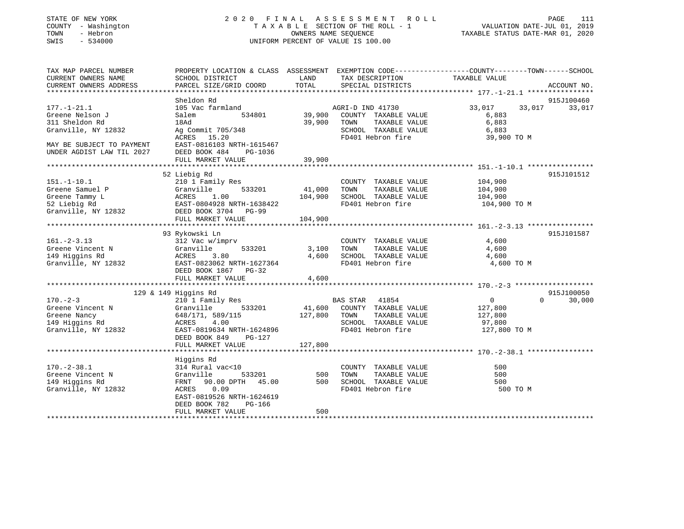### STATE OF NEW YORK 2 0 2 0 F I N A L A S S E S S M E N T R O L L PAGE 111 COUNTY - Washington T A X A B L E SECTION OF THE ROLL - 1 VALUATION DATE-JUL 01, 2019 TOWN - Hebron OWNERS NAME SEQUENCE TAXABLE STATUS DATE-MAR 01, 2020 SWIS - 534000 UNIFORM PERCENT OF VALUE IS 100.00

| CURRENT OWNERS NAME<br>SCHOOL DISTRICT<br>LAND<br>TAX DESCRIPTION<br>TAXABLE VALUE<br>CURRENT OWNERS ADDRESS<br>PARCEL SIZE/GRID COORD<br>TOTAL<br>SPECIAL DISTRICTS<br>ACCOUNT NO.<br>Sheldon Rd<br>915J100460<br>$177. - 1 - 21.1$<br>105 Vac farmland<br>33,017<br>33,017<br>33,017<br>AGRI-D IND 41730<br>39,900<br>534801<br>COUNTY TAXABLE VALUE<br>Greene Nelson J<br>Salem<br>6,883<br>39,900<br>TOWN<br>TAXABLE VALUE<br>6,883<br>18Ad<br>Ag Commit 705/348<br>SCHOOL TAXABLE VALUE<br>6,883<br>15.20<br>FD401 Hebron fire<br>ACRES<br>39,900 TO M<br>EAST-0816103 NRTH-1615467<br>DEED BOOK 484<br>PG-1036<br>39,900<br>FULL MARKET VALUE<br>52 Liebig Rd<br>915J101512<br>104,900<br>$151. - 1 - 10.1$<br>210 1 Family Res<br>COUNTY TAXABLE VALUE<br>533201<br>41,000<br>TOWN<br>TAXABLE VALUE<br>Greene Samuel P<br>Granville<br>104,900<br>104,900<br>Greene Tammy L<br>ACRES<br>1.00<br>SCHOOL TAXABLE VALUE<br>104,900<br>52 Liebig Rd<br>FD401 Hebron fire<br>EAST-0804928 NRTH-1638422<br>104,900 TO M<br>Granville, NY 12832<br>DEED BOOK 3704 PG-99<br>104,900<br>FULL MARKET VALUE<br>93 Rykowski Ln<br>915J101587<br>$161. - 2 - 3.13$<br>312 Vac w/imprv<br>COUNTY TAXABLE VALUE<br>4,600<br>533201<br>Greene Vincent N<br>Granville<br>3,100<br>TOWN<br>TAXABLE VALUE<br>4,600<br>149 Higgins Rd<br>3.80<br>4,600<br>SCHOOL TAXABLE VALUE<br>ACRES<br>4,600<br>Granville, NY 12832<br>EAST-0823062 NRTH-1627364<br>FD401 Hebron fire<br>4,600 TO M<br>DEED BOOK 1867 PG-32<br>FULL MARKET VALUE<br>4,600<br>129 & 149 Higgins Rd<br>915J100050<br>$170. - 2 - 3$<br>$\overline{0}$<br>$\Omega$<br>210 1 Family Res<br>BAS STAR 41854<br>30,000<br>533201<br>41,600<br>COUNTY TAXABLE VALUE<br>Greene Vincent N<br>Granville<br>127,800<br>127,800<br>Greene Nancy<br>648/171, 589/115<br>TOWN<br>TAXABLE VALUE<br>127,800<br>SCHOOL TAXABLE VALUE<br>149 Higgins Rd<br>4.00<br>97,800<br>ACRES<br>FD401 Hebron fire<br>Granville, NY 12832<br>EAST-0819634 NRTH-1624896<br>127,800 TO M<br>DEED BOOK 849<br>$PG-127$<br>127,800<br>FULL MARKET VALUE<br>Higgins Rd<br>500<br>314 Rural vac<10<br>COUNTY TAXABLE VALUE<br>TOWN<br>TAXABLE VALUE<br>Granville<br>533201<br>500<br>500<br>90.00 DPTH<br>45.00<br>500<br>SCHOOL TAXABLE VALUE<br>FRNT<br>500<br>0.09<br>FD401 Hebron fire<br>500 TO M<br>ACRES<br>EAST-0819526 NRTH-1624619<br>DEED BOOK 782<br>PG-166<br>FULL MARKET VALUE<br>500 | TAX MAP PARCEL NUMBER     | PROPERTY LOCATION & CLASS ASSESSMENT EXEMPTION CODE----------------COUNTY-------TOWN-----SCHOOL |  |  |
|------------------------------------------------------------------------------------------------------------------------------------------------------------------------------------------------------------------------------------------------------------------------------------------------------------------------------------------------------------------------------------------------------------------------------------------------------------------------------------------------------------------------------------------------------------------------------------------------------------------------------------------------------------------------------------------------------------------------------------------------------------------------------------------------------------------------------------------------------------------------------------------------------------------------------------------------------------------------------------------------------------------------------------------------------------------------------------------------------------------------------------------------------------------------------------------------------------------------------------------------------------------------------------------------------------------------------------------------------------------------------------------------------------------------------------------------------------------------------------------------------------------------------------------------------------------------------------------------------------------------------------------------------------------------------------------------------------------------------------------------------------------------------------------------------------------------------------------------------------------------------------------------------------------------------------------------------------------------------------------------------------------------------------------------------------------------------------------------------------------------------------------------------------------------------------------------------------------------------------------------------------------------------------------------------------------------------------------------------------------------------------------------------------------------|---------------------------|-------------------------------------------------------------------------------------------------|--|--|
|                                                                                                                                                                                                                                                                                                                                                                                                                                                                                                                                                                                                                                                                                                                                                                                                                                                                                                                                                                                                                                                                                                                                                                                                                                                                                                                                                                                                                                                                                                                                                                                                                                                                                                                                                                                                                                                                                                                                                                                                                                                                                                                                                                                                                                                                                                                                                                                                                        |                           |                                                                                                 |  |  |
|                                                                                                                                                                                                                                                                                                                                                                                                                                                                                                                                                                                                                                                                                                                                                                                                                                                                                                                                                                                                                                                                                                                                                                                                                                                                                                                                                                                                                                                                                                                                                                                                                                                                                                                                                                                                                                                                                                                                                                                                                                                                                                                                                                                                                                                                                                                                                                                                                        |                           |                                                                                                 |  |  |
|                                                                                                                                                                                                                                                                                                                                                                                                                                                                                                                                                                                                                                                                                                                                                                                                                                                                                                                                                                                                                                                                                                                                                                                                                                                                                                                                                                                                                                                                                                                                                                                                                                                                                                                                                                                                                                                                                                                                                                                                                                                                                                                                                                                                                                                                                                                                                                                                                        |                           |                                                                                                 |  |  |
|                                                                                                                                                                                                                                                                                                                                                                                                                                                                                                                                                                                                                                                                                                                                                                                                                                                                                                                                                                                                                                                                                                                                                                                                                                                                                                                                                                                                                                                                                                                                                                                                                                                                                                                                                                                                                                                                                                                                                                                                                                                                                                                                                                                                                                                                                                                                                                                                                        |                           |                                                                                                 |  |  |
|                                                                                                                                                                                                                                                                                                                                                                                                                                                                                                                                                                                                                                                                                                                                                                                                                                                                                                                                                                                                                                                                                                                                                                                                                                                                                                                                                                                                                                                                                                                                                                                                                                                                                                                                                                                                                                                                                                                                                                                                                                                                                                                                                                                                                                                                                                                                                                                                                        |                           |                                                                                                 |  |  |
|                                                                                                                                                                                                                                                                                                                                                                                                                                                                                                                                                                                                                                                                                                                                                                                                                                                                                                                                                                                                                                                                                                                                                                                                                                                                                                                                                                                                                                                                                                                                                                                                                                                                                                                                                                                                                                                                                                                                                                                                                                                                                                                                                                                                                                                                                                                                                                                                                        | 311 Sheldon Rd            |                                                                                                 |  |  |
|                                                                                                                                                                                                                                                                                                                                                                                                                                                                                                                                                                                                                                                                                                                                                                                                                                                                                                                                                                                                                                                                                                                                                                                                                                                                                                                                                                                                                                                                                                                                                                                                                                                                                                                                                                                                                                                                                                                                                                                                                                                                                                                                                                                                                                                                                                                                                                                                                        | Granville, NY 12832       |                                                                                                 |  |  |
|                                                                                                                                                                                                                                                                                                                                                                                                                                                                                                                                                                                                                                                                                                                                                                                                                                                                                                                                                                                                                                                                                                                                                                                                                                                                                                                                                                                                                                                                                                                                                                                                                                                                                                                                                                                                                                                                                                                                                                                                                                                                                                                                                                                                                                                                                                                                                                                                                        |                           |                                                                                                 |  |  |
|                                                                                                                                                                                                                                                                                                                                                                                                                                                                                                                                                                                                                                                                                                                                                                                                                                                                                                                                                                                                                                                                                                                                                                                                                                                                                                                                                                                                                                                                                                                                                                                                                                                                                                                                                                                                                                                                                                                                                                                                                                                                                                                                                                                                                                                                                                                                                                                                                        | MAY BE SUBJECT TO PAYMENT |                                                                                                 |  |  |
|                                                                                                                                                                                                                                                                                                                                                                                                                                                                                                                                                                                                                                                                                                                                                                                                                                                                                                                                                                                                                                                                                                                                                                                                                                                                                                                                                                                                                                                                                                                                                                                                                                                                                                                                                                                                                                                                                                                                                                                                                                                                                                                                                                                                                                                                                                                                                                                                                        | UNDER AGDIST LAW TIL 2027 |                                                                                                 |  |  |
|                                                                                                                                                                                                                                                                                                                                                                                                                                                                                                                                                                                                                                                                                                                                                                                                                                                                                                                                                                                                                                                                                                                                                                                                                                                                                                                                                                                                                                                                                                                                                                                                                                                                                                                                                                                                                                                                                                                                                                                                                                                                                                                                                                                                                                                                                                                                                                                                                        |                           |                                                                                                 |  |  |
|                                                                                                                                                                                                                                                                                                                                                                                                                                                                                                                                                                                                                                                                                                                                                                                                                                                                                                                                                                                                                                                                                                                                                                                                                                                                                                                                                                                                                                                                                                                                                                                                                                                                                                                                                                                                                                                                                                                                                                                                                                                                                                                                                                                                                                                                                                                                                                                                                        |                           |                                                                                                 |  |  |
|                                                                                                                                                                                                                                                                                                                                                                                                                                                                                                                                                                                                                                                                                                                                                                                                                                                                                                                                                                                                                                                                                                                                                                                                                                                                                                                                                                                                                                                                                                                                                                                                                                                                                                                                                                                                                                                                                                                                                                                                                                                                                                                                                                                                                                                                                                                                                                                                                        |                           |                                                                                                 |  |  |
|                                                                                                                                                                                                                                                                                                                                                                                                                                                                                                                                                                                                                                                                                                                                                                                                                                                                                                                                                                                                                                                                                                                                                                                                                                                                                                                                                                                                                                                                                                                                                                                                                                                                                                                                                                                                                                                                                                                                                                                                                                                                                                                                                                                                                                                                                                                                                                                                                        |                           |                                                                                                 |  |  |
|                                                                                                                                                                                                                                                                                                                                                                                                                                                                                                                                                                                                                                                                                                                                                                                                                                                                                                                                                                                                                                                                                                                                                                                                                                                                                                                                                                                                                                                                                                                                                                                                                                                                                                                                                                                                                                                                                                                                                                                                                                                                                                                                                                                                                                                                                                                                                                                                                        |                           |                                                                                                 |  |  |
|                                                                                                                                                                                                                                                                                                                                                                                                                                                                                                                                                                                                                                                                                                                                                                                                                                                                                                                                                                                                                                                                                                                                                                                                                                                                                                                                                                                                                                                                                                                                                                                                                                                                                                                                                                                                                                                                                                                                                                                                                                                                                                                                                                                                                                                                                                                                                                                                                        |                           |                                                                                                 |  |  |
|                                                                                                                                                                                                                                                                                                                                                                                                                                                                                                                                                                                                                                                                                                                                                                                                                                                                                                                                                                                                                                                                                                                                                                                                                                                                                                                                                                                                                                                                                                                                                                                                                                                                                                                                                                                                                                                                                                                                                                                                                                                                                                                                                                                                                                                                                                                                                                                                                        |                           |                                                                                                 |  |  |
|                                                                                                                                                                                                                                                                                                                                                                                                                                                                                                                                                                                                                                                                                                                                                                                                                                                                                                                                                                                                                                                                                                                                                                                                                                                                                                                                                                                                                                                                                                                                                                                                                                                                                                                                                                                                                                                                                                                                                                                                                                                                                                                                                                                                                                                                                                                                                                                                                        |                           |                                                                                                 |  |  |
|                                                                                                                                                                                                                                                                                                                                                                                                                                                                                                                                                                                                                                                                                                                                                                                                                                                                                                                                                                                                                                                                                                                                                                                                                                                                                                                                                                                                                                                                                                                                                                                                                                                                                                                                                                                                                                                                                                                                                                                                                                                                                                                                                                                                                                                                                                                                                                                                                        |                           |                                                                                                 |  |  |
|                                                                                                                                                                                                                                                                                                                                                                                                                                                                                                                                                                                                                                                                                                                                                                                                                                                                                                                                                                                                                                                                                                                                                                                                                                                                                                                                                                                                                                                                                                                                                                                                                                                                                                                                                                                                                                                                                                                                                                                                                                                                                                                                                                                                                                                                                                                                                                                                                        |                           |                                                                                                 |  |  |
|                                                                                                                                                                                                                                                                                                                                                                                                                                                                                                                                                                                                                                                                                                                                                                                                                                                                                                                                                                                                                                                                                                                                                                                                                                                                                                                                                                                                                                                                                                                                                                                                                                                                                                                                                                                                                                                                                                                                                                                                                                                                                                                                                                                                                                                                                                                                                                                                                        |                           |                                                                                                 |  |  |
|                                                                                                                                                                                                                                                                                                                                                                                                                                                                                                                                                                                                                                                                                                                                                                                                                                                                                                                                                                                                                                                                                                                                                                                                                                                                                                                                                                                                                                                                                                                                                                                                                                                                                                                                                                                                                                                                                                                                                                                                                                                                                                                                                                                                                                                                                                                                                                                                                        |                           |                                                                                                 |  |  |
|                                                                                                                                                                                                                                                                                                                                                                                                                                                                                                                                                                                                                                                                                                                                                                                                                                                                                                                                                                                                                                                                                                                                                                                                                                                                                                                                                                                                                                                                                                                                                                                                                                                                                                                                                                                                                                                                                                                                                                                                                                                                                                                                                                                                                                                                                                                                                                                                                        |                           |                                                                                                 |  |  |
|                                                                                                                                                                                                                                                                                                                                                                                                                                                                                                                                                                                                                                                                                                                                                                                                                                                                                                                                                                                                                                                                                                                                                                                                                                                                                                                                                                                                                                                                                                                                                                                                                                                                                                                                                                                                                                                                                                                                                                                                                                                                                                                                                                                                                                                                                                                                                                                                                        |                           |                                                                                                 |  |  |
|                                                                                                                                                                                                                                                                                                                                                                                                                                                                                                                                                                                                                                                                                                                                                                                                                                                                                                                                                                                                                                                                                                                                                                                                                                                                                                                                                                                                                                                                                                                                                                                                                                                                                                                                                                                                                                                                                                                                                                                                                                                                                                                                                                                                                                                                                                                                                                                                                        |                           |                                                                                                 |  |  |
|                                                                                                                                                                                                                                                                                                                                                                                                                                                                                                                                                                                                                                                                                                                                                                                                                                                                                                                                                                                                                                                                                                                                                                                                                                                                                                                                                                                                                                                                                                                                                                                                                                                                                                                                                                                                                                                                                                                                                                                                                                                                                                                                                                                                                                                                                                                                                                                                                        |                           |                                                                                                 |  |  |
|                                                                                                                                                                                                                                                                                                                                                                                                                                                                                                                                                                                                                                                                                                                                                                                                                                                                                                                                                                                                                                                                                                                                                                                                                                                                                                                                                                                                                                                                                                                                                                                                                                                                                                                                                                                                                                                                                                                                                                                                                                                                                                                                                                                                                                                                                                                                                                                                                        |                           |                                                                                                 |  |  |
|                                                                                                                                                                                                                                                                                                                                                                                                                                                                                                                                                                                                                                                                                                                                                                                                                                                                                                                                                                                                                                                                                                                                                                                                                                                                                                                                                                                                                                                                                                                                                                                                                                                                                                                                                                                                                                                                                                                                                                                                                                                                                                                                                                                                                                                                                                                                                                                                                        |                           |                                                                                                 |  |  |
|                                                                                                                                                                                                                                                                                                                                                                                                                                                                                                                                                                                                                                                                                                                                                                                                                                                                                                                                                                                                                                                                                                                                                                                                                                                                                                                                                                                                                                                                                                                                                                                                                                                                                                                                                                                                                                                                                                                                                                                                                                                                                                                                                                                                                                                                                                                                                                                                                        |                           |                                                                                                 |  |  |
|                                                                                                                                                                                                                                                                                                                                                                                                                                                                                                                                                                                                                                                                                                                                                                                                                                                                                                                                                                                                                                                                                                                                                                                                                                                                                                                                                                                                                                                                                                                                                                                                                                                                                                                                                                                                                                                                                                                                                                                                                                                                                                                                                                                                                                                                                                                                                                                                                        |                           |                                                                                                 |  |  |
|                                                                                                                                                                                                                                                                                                                                                                                                                                                                                                                                                                                                                                                                                                                                                                                                                                                                                                                                                                                                                                                                                                                                                                                                                                                                                                                                                                                                                                                                                                                                                                                                                                                                                                                                                                                                                                                                                                                                                                                                                                                                                                                                                                                                                                                                                                                                                                                                                        |                           |                                                                                                 |  |  |
|                                                                                                                                                                                                                                                                                                                                                                                                                                                                                                                                                                                                                                                                                                                                                                                                                                                                                                                                                                                                                                                                                                                                                                                                                                                                                                                                                                                                                                                                                                                                                                                                                                                                                                                                                                                                                                                                                                                                                                                                                                                                                                                                                                                                                                                                                                                                                                                                                        |                           |                                                                                                 |  |  |
|                                                                                                                                                                                                                                                                                                                                                                                                                                                                                                                                                                                                                                                                                                                                                                                                                                                                                                                                                                                                                                                                                                                                                                                                                                                                                                                                                                                                                                                                                                                                                                                                                                                                                                                                                                                                                                                                                                                                                                                                                                                                                                                                                                                                                                                                                                                                                                                                                        |                           |                                                                                                 |  |  |
|                                                                                                                                                                                                                                                                                                                                                                                                                                                                                                                                                                                                                                                                                                                                                                                                                                                                                                                                                                                                                                                                                                                                                                                                                                                                                                                                                                                                                                                                                                                                                                                                                                                                                                                                                                                                                                                                                                                                                                                                                                                                                                                                                                                                                                                                                                                                                                                                                        |                           |                                                                                                 |  |  |
|                                                                                                                                                                                                                                                                                                                                                                                                                                                                                                                                                                                                                                                                                                                                                                                                                                                                                                                                                                                                                                                                                                                                                                                                                                                                                                                                                                                                                                                                                                                                                                                                                                                                                                                                                                                                                                                                                                                                                                                                                                                                                                                                                                                                                                                                                                                                                                                                                        |                           |                                                                                                 |  |  |
|                                                                                                                                                                                                                                                                                                                                                                                                                                                                                                                                                                                                                                                                                                                                                                                                                                                                                                                                                                                                                                                                                                                                                                                                                                                                                                                                                                                                                                                                                                                                                                                                                                                                                                                                                                                                                                                                                                                                                                                                                                                                                                                                                                                                                                                                                                                                                                                                                        |                           |                                                                                                 |  |  |
|                                                                                                                                                                                                                                                                                                                                                                                                                                                                                                                                                                                                                                                                                                                                                                                                                                                                                                                                                                                                                                                                                                                                                                                                                                                                                                                                                                                                                                                                                                                                                                                                                                                                                                                                                                                                                                                                                                                                                                                                                                                                                                                                                                                                                                                                                                                                                                                                                        |                           |                                                                                                 |  |  |
|                                                                                                                                                                                                                                                                                                                                                                                                                                                                                                                                                                                                                                                                                                                                                                                                                                                                                                                                                                                                                                                                                                                                                                                                                                                                                                                                                                                                                                                                                                                                                                                                                                                                                                                                                                                                                                                                                                                                                                                                                                                                                                                                                                                                                                                                                                                                                                                                                        | $170. - 2 - 38.1$         |                                                                                                 |  |  |
|                                                                                                                                                                                                                                                                                                                                                                                                                                                                                                                                                                                                                                                                                                                                                                                                                                                                                                                                                                                                                                                                                                                                                                                                                                                                                                                                                                                                                                                                                                                                                                                                                                                                                                                                                                                                                                                                                                                                                                                                                                                                                                                                                                                                                                                                                                                                                                                                                        | Greene Vincent N          |                                                                                                 |  |  |
|                                                                                                                                                                                                                                                                                                                                                                                                                                                                                                                                                                                                                                                                                                                                                                                                                                                                                                                                                                                                                                                                                                                                                                                                                                                                                                                                                                                                                                                                                                                                                                                                                                                                                                                                                                                                                                                                                                                                                                                                                                                                                                                                                                                                                                                                                                                                                                                                                        | 149 Higgins Rd            |                                                                                                 |  |  |
|                                                                                                                                                                                                                                                                                                                                                                                                                                                                                                                                                                                                                                                                                                                                                                                                                                                                                                                                                                                                                                                                                                                                                                                                                                                                                                                                                                                                                                                                                                                                                                                                                                                                                                                                                                                                                                                                                                                                                                                                                                                                                                                                                                                                                                                                                                                                                                                                                        | Granville, NY 12832       |                                                                                                 |  |  |
|                                                                                                                                                                                                                                                                                                                                                                                                                                                                                                                                                                                                                                                                                                                                                                                                                                                                                                                                                                                                                                                                                                                                                                                                                                                                                                                                                                                                                                                                                                                                                                                                                                                                                                                                                                                                                                                                                                                                                                                                                                                                                                                                                                                                                                                                                                                                                                                                                        |                           |                                                                                                 |  |  |
|                                                                                                                                                                                                                                                                                                                                                                                                                                                                                                                                                                                                                                                                                                                                                                                                                                                                                                                                                                                                                                                                                                                                                                                                                                                                                                                                                                                                                                                                                                                                                                                                                                                                                                                                                                                                                                                                                                                                                                                                                                                                                                                                                                                                                                                                                                                                                                                                                        |                           |                                                                                                 |  |  |
|                                                                                                                                                                                                                                                                                                                                                                                                                                                                                                                                                                                                                                                                                                                                                                                                                                                                                                                                                                                                                                                                                                                                                                                                                                                                                                                                                                                                                                                                                                                                                                                                                                                                                                                                                                                                                                                                                                                                                                                                                                                                                                                                                                                                                                                                                                                                                                                                                        |                           |                                                                                                 |  |  |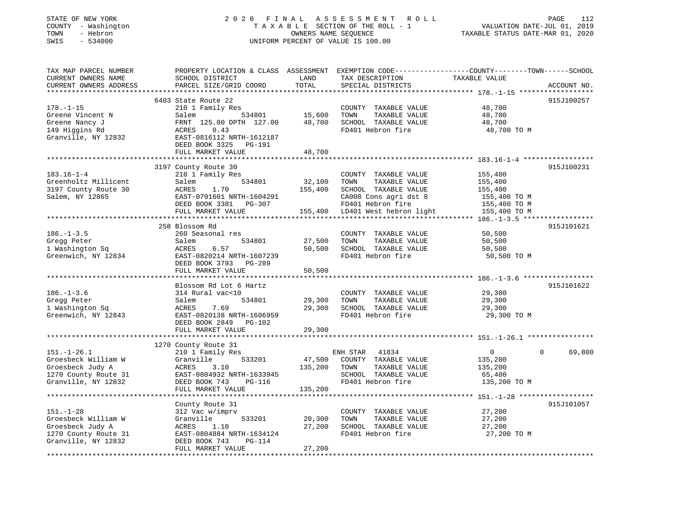| STATE OF NEW YORK<br>COUNTY - Washington | 2020<br>FINAL                                                                                   |                      | A S S E S S M E N T<br>R O L L<br>TAXABLE SECTION OF THE ROLL - 1 |                                           | PAGE<br>112<br>VALUATION DATE-JUL 01, 2019 |
|------------------------------------------|-------------------------------------------------------------------------------------------------|----------------------|-------------------------------------------------------------------|-------------------------------------------|--------------------------------------------|
| TOWN<br>- Hebron                         |                                                                                                 | OWNERS NAME SEQUENCE |                                                                   | TAXABLE STATUS DATE-MAR 01, 2020          |                                            |
| $-534000$<br>SWIS                        |                                                                                                 |                      | UNIFORM PERCENT OF VALUE IS 100.00                                |                                           |                                            |
|                                          |                                                                                                 |                      |                                                                   |                                           |                                            |
| TAX MAP PARCEL NUMBER                    | PROPERTY LOCATION & CLASS ASSESSMENT EXEMPTION CODE---------------COUNTY-------TOWN------SCHOOL |                      |                                                                   |                                           |                                            |
| CURRENT OWNERS NAME                      | SCHOOL DISTRICT                                                                                 | LAND                 | TAX DESCRIPTION                                                   | TAXABLE VALUE                             |                                            |
| CURRENT OWNERS ADDRESS                   | PARCEL SIZE/GRID COORD                                                                          | TOTAL                | SPECIAL DISTRICTS                                                 |                                           | ACCOUNT NO.                                |
| ***********************                  |                                                                                                 |                      |                                                                   |                                           |                                            |
|                                          | 6403 State Route 22                                                                             |                      |                                                                   |                                           | 915J100257                                 |
| $178. - 1 - 15$                          | 210 1 Family Res                                                                                |                      | COUNTY TAXABLE VALUE                                              | 48,700                                    |                                            |
| Greene Vincent N                         | Salem<br>534801                                                                                 | 15,600               | TOWN<br>TAXABLE VALUE                                             | 48,700                                    |                                            |
| Greene Nancy J                           | FRNT 125.00 DPTH 127.00                                                                         | 48,700               | SCHOOL TAXABLE VALUE                                              | 48,700                                    |                                            |
| 149 Higgins Rd                           | ACRES<br>0.43                                                                                   |                      | FD401 Hebron fire                                                 | 48,700 TO M                               |                                            |
| Granville, NY 12832                      | EAST-0816112 NRTH-1612187                                                                       |                      |                                                                   |                                           |                                            |
|                                          | DEED BOOK 3325 PG-191                                                                           |                      |                                                                   |                                           |                                            |
|                                          | FULL MARKET VALUE                                                                               | 48,700               |                                                                   |                                           |                                            |
|                                          |                                                                                                 |                      |                                                                   | *********** 183.16-1-4 ****************** |                                            |
|                                          | 3197 County Route 30                                                                            |                      |                                                                   |                                           | 915J100231                                 |
| $183.16 - 1 - 4$                         | 210 1 Family Res                                                                                |                      | COUNTY TAXABLE VALUE                                              | 155,400                                   |                                            |
| Greenholtz Millicent                     | 534801<br>Salem                                                                                 | 32,100               | TOWN<br>TAXABLE VALUE                                             | 155,400                                   |                                            |
| 3197 County Route 30                     | ACRES<br>1.70                                                                                   | 155,400              | SCHOOL TAXABLE VALUE                                              | 155,400                                   |                                            |
| Salem, NY 12865                          | EAST-0791601 NRTH-1604291                                                                       |                      | CA008 Cons agri dst 8                                             | 155,400 TO M                              |                                            |
|                                          | DEED BOOK 3381 PG-307                                                                           |                      | FD401 Hebron fire                                                 | 155,400 TO M                              |                                            |
|                                          | FULL MARKET VALUE                                                                               | 155,400              | LD401 West hebron light                                           | 155,400 TO M                              |                                            |
|                                          | **************************                                                                      | **************       |                                                                   |                                           |                                            |
|                                          | 258 Blossom Rd                                                                                  |                      |                                                                   |                                           | 915J101621                                 |
| $186. - 1 - 3.5$                         | 260 Seasonal res                                                                                |                      | COUNTY TAXABLE VALUE                                              | 50,500                                    |                                            |
| Gregg Peter                              | Salem<br>534801                                                                                 | 27,500               | TOWN<br>TAXABLE VALUE                                             | 50,500                                    |                                            |
| 1 Washington Sq                          | ACRES<br>6.57                                                                                   | 50,500               | SCHOOL TAXABLE VALUE                                              | 50,500                                    |                                            |
| Greenwich, NY 12834                      | EAST-0820214 NRTH-1607239                                                                       |                      | FD401 Hebron fire                                                 | 50,500 TO M                               |                                            |
|                                          | DEED BOOK 3793 PG-289                                                                           |                      |                                                                   |                                           |                                            |
|                                          | FULL MARKET VALUE                                                                               | 50,500               |                                                                   |                                           |                                            |
|                                          |                                                                                                 |                      |                                                                   |                                           |                                            |
|                                          | Blossom Rd Lot 6 Hartz                                                                          |                      |                                                                   |                                           | 915J101622                                 |
| $186. - 1 - 3.6$                         | 314 Rural vac<10                                                                                |                      | COUNTY TAXABLE VALUE                                              | 29,300                                    |                                            |
| Gregg Peter                              | Salem<br>534801                                                                                 | 29,300               | TOWN<br>TAXABLE VALUE                                             | 29,300                                    |                                            |
| 1 Washington Sq                          | ACRES<br>7.69                                                                                   | 29,300               | SCHOOL TAXABLE VALUE                                              | 29,300                                    |                                            |
| Greenwich, NY 12843                      | EAST-0820138 NRTH-1606959                                                                       |                      | FD401 Hebron fire                                                 | 29,300 TO M                               |                                            |
|                                          | DEED BOOK 2849<br>PG-102                                                                        |                      |                                                                   |                                           |                                            |
|                                          | FULL MARKET VALUE                                                                               | 29,300               |                                                                   |                                           |                                            |
|                                          |                                                                                                 |                      |                                                                   |                                           |                                            |
|                                          | 1270 County Route 31                                                                            |                      |                                                                   |                                           |                                            |
| $151. - 1 - 26.1$                        | 210 1 Family Res                                                                                |                      | ENH STAR<br>41834                                                 | $\overline{0}$                            | $\Omega$<br>69,800                         |
| Groesbeck William W                      | Granville<br>533201                                                                             | 47,500               | COUNTY TAXABLE VALUE                                              | 135,200                                   |                                            |
| Groesbeck Judy A                         | ACRES<br>3.10                                                                                   | 135,200              | TOWN<br>TAXABLE VALUE                                             | 135,200                                   |                                            |
| 1270 County Route 31                     | EAST-0804932 NRTH-1633945                                                                       |                      | SCHOOL TAXABLE VALUE                                              | 65,400                                    |                                            |
| Granville, NY 12832                      | DEED BOOK 743<br>PG-116                                                                         |                      | FD401 Hebron fire                                                 | 135,200 TO M                              |                                            |
|                                          | FULL MARKET VALUE                                                                               | 135,200              |                                                                   |                                           |                                            |
|                                          |                                                                                                 |                      |                                                                   |                                           |                                            |
|                                          | County Route 31                                                                                 |                      |                                                                   |                                           | 915J101057                                 |
| $151. - 1 - 28$                          | 312 Vac w/imprv                                                                                 |                      | COUNTY TAXABLE VALUE                                              | 27,200                                    |                                            |
| Groesbeck William W                      | 533201<br>Granville                                                                             | 20,300               | TOWN<br>TAXABLE VALUE                                             | 27,200                                    |                                            |
| Groesbeck Judy A                         | ACRES<br>1.10                                                                                   | 27,200               | SCHOOL TAXABLE VALUE                                              | 27,200                                    |                                            |
| 1270 County Route 31                     | EAST-0804884 NRTH-1634124                                                                       |                      | FD401 Hebron fire                                                 | 27,200 TO M                               |                                            |
| Granville, NY 12832                      | DEED BOOK 743<br>PG-114                                                                         |                      |                                                                   |                                           |                                            |
|                                          | FULL MARKET VALUE                                                                               | 27,200               |                                                                   |                                           |                                            |
| ************                             | ************************************                                                            | ************         |                                                                   |                                           |                                            |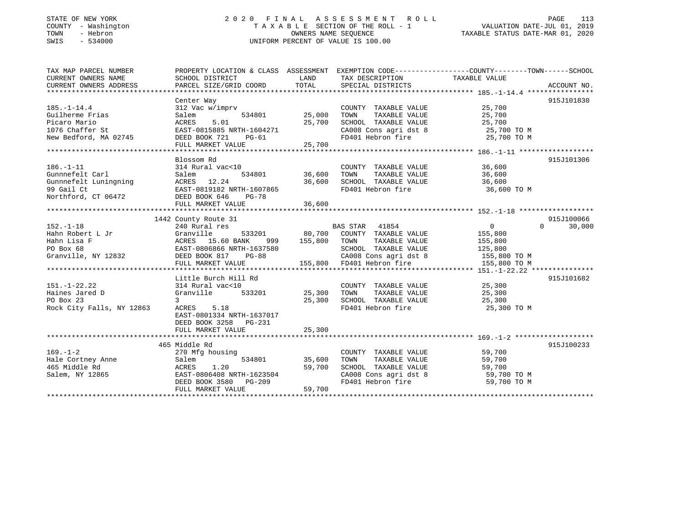#### STATE OF NEW YORK 2 0 2 0 F I N A L A S S E S S M E N T R O L L PAGE 113COUNTY - Washington T A X A B L E SECTION OF THE ROLL - 1 VALUATION DATE-JUL 01, 2019 TOWN - Hebron OWNERS NAME SEQUENCE TAXABLE STATUS DATE-MAR 01, 2020 SWIS - 534000 UNIFORM PERCENT OF VALUE IS 100.00

# VALUATION DATE-JUL 01, 2019

| TAX MAP PARCEL NUMBER              | PROPERTY LOCATION & CLASS ASSESSMENT EXEMPTION CODE---------------COUNTY-------TOWN------SCHOOL |                                   |                                                                              |                      |                    |
|------------------------------------|-------------------------------------------------------------------------------------------------|-----------------------------------|------------------------------------------------------------------------------|----------------------|--------------------|
| CURRENT OWNERS NAME                | SCHOOL DISTRICT                                                                                 | <b>EXAMPLE THE STATE OF STATE</b> | TAX DESCRIPTION TAXABLE VALUE                                                |                      |                    |
|                                    |                                                                                                 |                                   |                                                                              |                      |                    |
|                                    |                                                                                                 |                                   |                                                                              |                      |                    |
|                                    | Center Way                                                                                      |                                   |                                                                              |                      | 915J101830         |
| $185. - 1 - 14.4$                  | 312 Vac w/imprv                                                                                 |                                   | COUNTY TAXABLE VALUE 25,700                                                  |                      |                    |
| Guilherme Frias                    | $534801$ $25,000$<br>Salem                                                                      |                                   |                                                                              |                      |                    |
| Picaro Mario                       | 5.01<br>ACRES                                                                                   | 25,700                            | TOWN      TAXABLE  VALUE<br>SCHOOL    TAXABLE  VALUE                         | 25,700<br>25,700     |                    |
| 1076 Chaffer St                    | EAST-0815885 NRTH-1604271                                                                       |                                   | CA008 Cons agri dst 8 25,700 TO M                                            |                      |                    |
| New Bedford, MA 02745              | DEED BOOK 721<br>$PG-61$                                                                        |                                   | FD401 Hebron fire                                                            | 25,700 TO M          |                    |
|                                    | FULL MARKET VALUE                                                                               | 25,700                            |                                                                              |                      |                    |
|                                    |                                                                                                 |                                   |                                                                              |                      |                    |
|                                    | Blossom Rd                                                                                      |                                   |                                                                              |                      | 915J101306         |
| $186. - 1 - 11$                    | 314 Rural vac<10                                                                                |                                   | COUNTY TAXABLE VALUE 36,600                                                  |                      |                    |
| Gunnnefelt Carl                    | 534801 36,600<br>Salem                                                                          |                                   | TOWN                                                                         | TAXABLE VALUE 36,600 |                    |
|                                    |                                                                                                 |                                   |                                                                              |                      |                    |
|                                    |                                                                                                 |                                   | SCHOOL TAXABLE VALUE 36,600<br>FD401 Hebron fire 36.600<br>FD401 Hebron fire | 36,600 TO M          |                    |
| Northford, CT 06472 DEED BOOK 646  | <b>PG-78</b>                                                                                    |                                   |                                                                              |                      |                    |
|                                    |                                                                                                 |                                   |                                                                              |                      |                    |
|                                    |                                                                                                 |                                   |                                                                              |                      |                    |
|                                    | 1442 County Route 31                                                                            |                                   |                                                                              |                      | 915J100066         |
| $152. - 1 - 18$                    | 240 Rural res                                                                                   |                                   |                                                                              | $\overline{0}$       | $\Omega$<br>30,000 |
|                                    |                                                                                                 |                                   | BAS STAR 41854<br>533201 60,700 COUNTY TAXABLE VALUE                         | 155,800              |                    |
|                                    |                                                                                                 | 999 155,800                       | TAXABLE VALUE<br>TOWN                                                        | 155,800              |                    |
|                                    |                                                                                                 |                                   |                                                                              |                      |                    |
|                                    |                                                                                                 |                                   | SCHOOL TAXABLE VALUE 125,800<br>CA008 Cons agri dst 8 155,800 TO M           |                      |                    |
|                                    | FULL MARKET VALUE                                                                               |                                   | 155,800 FD401 Hebron fire 155,800 TO M                                       |                      |                    |
|                                    |                                                                                                 |                                   |                                                                              |                      |                    |
|                                    | Little Burch Hill Rd                                                                            |                                   |                                                                              |                      | 915J101682         |
| $151. - 1 - 22.22$                 | 314 Rural vac<10                                                                                |                                   | COUNTY TAXABLE VALUE 25,300                                                  |                      |                    |
| Haines Jared D                     | Granville 533201 25,300                                                                         |                                   | TOWN<br>TAXABLE VALUE                                                        |                      |                    |
| PO Box 23                          | $\overline{3}$                                                                                  | 25,300                            |                                                                              | 25,300<br>25,300     |                    |
| Rock City Falls, NY 12863          | ACRES 5.18                                                                                      |                                   | SCHOOL TAXABLE VALUE<br>FD401 Hebron fire                                    | 25,300 TO M          |                    |
|                                    | EAST-0801334 NRTH-1637017                                                                       |                                   |                                                                              |                      |                    |
|                                    | DEED BOOK 3258 PG-231                                                                           |                                   |                                                                              |                      |                    |
|                                    | FULL MARKET VALUE                                                                               | 25,300                            |                                                                              |                      |                    |
|                                    |                                                                                                 |                                   |                                                                              |                      |                    |
|                                    | 465 Middle Rd                                                                                   |                                   |                                                                              |                      | 915J100233         |
| $169. - 1 - 2$                     | 270 Mfg housing                                                                                 |                                   | COUNTY TAXABLE VALUE 59,700                                                  |                      |                    |
|                                    | 534801<br>Salem                                                                                 | 35,600                            | TOWN                                                                         |                      |                    |
| Hale Cortney Anne<br>465 Middle Rd | 1.20<br>ACRES                                                                                   | 59,700                            | TAXABLE VALUE 59,700<br>DL TAXABLE VALUE 59,700<br>SCHOOL TAXABLE VALUE      |                      |                    |
| Salem, NY 12865                    | ACRES 1.20<br>EAST-0806408 NRTH-1623504<br>10500 DC-200                                         |                                   | CA008 Cons agri dst 8 59,700 TO M                                            |                      |                    |
|                                    |                                                                                                 |                                   | FD401 Hebron fire                                                            | 59,700 TO M          |                    |
|                                    | FULL MARKET VALUE                                                                               | 59,700                            |                                                                              |                      |                    |
|                                    |                                                                                                 |                                   |                                                                              |                      |                    |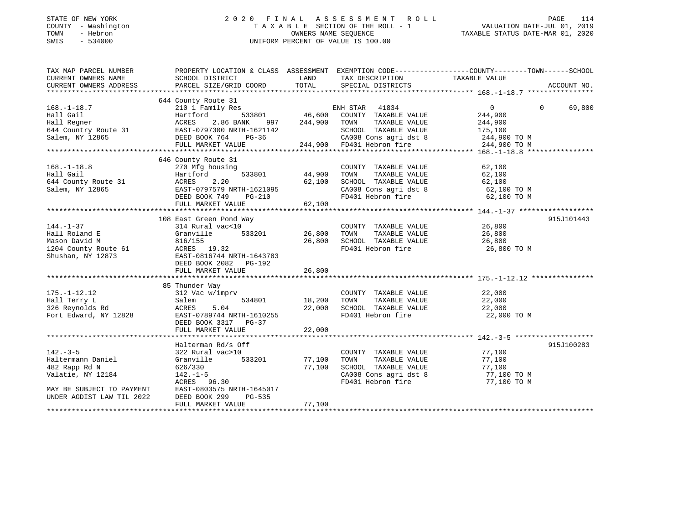### STATE OF NEW YORK 2 0 2 0 F I N A L A S S E S S M E N T R O L L PAGE 114 COUNTY - Washington T A X A B L E SECTION OF THE ROLL - 1 VALUATION DATE-JUL 01, 2019 TOWN - Hebron OWNERS NAME SEQUENCE TAXABLE STATUS DATE-MAR 01, 2020 SWIS - 534000 UNIFORM PERCENT OF VALUE IS 100.00

| TAX MAP PARCEL NUMBER                                                                                                                                                                                                                         | PROPERTY LOCATION & CLASS ASSESSMENT EXEMPTION CODE----------------COUNTY-------TOWN------SCHOOL                                                                                                                                                                                                      |             |                                                                                                                             |                      |             |
|-----------------------------------------------------------------------------------------------------------------------------------------------------------------------------------------------------------------------------------------------|-------------------------------------------------------------------------------------------------------------------------------------------------------------------------------------------------------------------------------------------------------------------------------------------------------|-------------|-----------------------------------------------------------------------------------------------------------------------------|----------------------|-------------|
| CURRENT OWNERS NAME                                                                                                                                                                                                                           | SCHOOL DISTRICT                                                                                                                                                                                                                                                                                       | <b>LAND</b> | TAX DESCRIPTION TAXABLE VALUE                                                                                               |                      |             |
| CURRENT OWNERS ADDRESS                                                                                                                                                                                                                        | PARCEL SIZE/GRID COORD TOTAL                                                                                                                                                                                                                                                                          |             | SPECIAL DISTRICTS                                                                                                           |                      | ACCOUNT NO. |
|                                                                                                                                                                                                                                               |                                                                                                                                                                                                                                                                                                       |             |                                                                                                                             |                      |             |
|                                                                                                                                                                                                                                               |                                                                                                                                                                                                                                                                                                       |             |                                                                                                                             |                      |             |
|                                                                                                                                                                                                                                               |                                                                                                                                                                                                                                                                                                       |             |                                                                                                                             |                      |             |
|                                                                                                                                                                                                                                               |                                                                                                                                                                                                                                                                                                       |             |                                                                                                                             |                      |             |
|                                                                                                                                                                                                                                               |                                                                                                                                                                                                                                                                                                       |             |                                                                                                                             |                      |             |
|                                                                                                                                                                                                                                               |                                                                                                                                                                                                                                                                                                       |             |                                                                                                                             |                      |             |
|                                                                                                                                                                                                                                               |                                                                                                                                                                                                                                                                                                       |             |                                                                                                                             |                      |             |
|                                                                                                                                                                                                                                               |                                                                                                                                                                                                                                                                                                       |             |                                                                                                                             |                      |             |
|                                                                                                                                                                                                                                               | 644 County Route 31<br>644 County Route 31<br>644 County Route 31<br>641 County Res<br>644 County Res<br>644 County Res<br>644 County Res<br>644 County Res<br>644 County Res<br>644 County Route 31<br>644 County Route 31<br>644 County Route 31<br>                                                |             |                                                                                                                             |                      |             |
|                                                                                                                                                                                                                                               | 646 County Route 31                                                                                                                                                                                                                                                                                   |             |                                                                                                                             |                      |             |
|                                                                                                                                                                                                                                               | using<br>533801 44,900                                                                                                                                                                                                                                                                                |             | COUNTY TAXABLE VALUE 62,100                                                                                                 |                      |             |
|                                                                                                                                                                                                                                               |                                                                                                                                                                                                                                                                                                       |             | TOWN                                                                                                                        | TAXABLE VALUE 62,100 |             |
|                                                                                                                                                                                                                                               |                                                                                                                                                                                                                                                                                                       |             |                                                                                                                             |                      |             |
|                                                                                                                                                                                                                                               |                                                                                                                                                                                                                                                                                                       |             |                                                                                                                             |                      |             |
|                                                                                                                                                                                                                                               |                                                                                                                                                                                                                                                                                                       |             | SCHOOL TAXABLE VALUE 62,100<br>CA008 Cons agri dst 8 62,100 TO M<br>FD401 Hebron fire 62,100 TO M                           |                      |             |
|                                                                                                                                                                                                                                               | 168.-1-18.8<br>Hall Gail Hartford 533801 44,900<br>644 County Route 31 ACRES 2.20 62,100<br>Salem, NY 12865<br>EAST-0797579 NRTH-1621095<br>DEED BOOK 749 PG-210<br>FIIT.T. MARKET VALUE (62,100                                                                                                      |             |                                                                                                                             |                      |             |
|                                                                                                                                                                                                                                               |                                                                                                                                                                                                                                                                                                       |             |                                                                                                                             |                      |             |
|                                                                                                                                                                                                                                               |                                                                                                                                                                                                                                                                                                       |             |                                                                                                                             |                      | 915J101443  |
| $144. - 1 - 37$                                                                                                                                                                                                                               | 108 East Green Pond Way<br>314 Rural vac<10                                                                                                                                                                                                                                                           |             | COUNTY TAXABLE VALUE 26,800                                                                                                 |                      |             |
|                                                                                                                                                                                                                                               | Granville 533201 26,800                                                                                                                                                                                                                                                                               |             |                                                                                                                             |                      |             |
|                                                                                                                                                                                                                                               |                                                                                                                                                                                                                                                                                                       |             |                                                                                                                             |                      |             |
|                                                                                                                                                                                                                                               |                                                                                                                                                                                                                                                                                                       |             |                                                                                                                             |                      |             |
|                                                                                                                                                                                                                                               |                                                                                                                                                                                                                                                                                                       |             |                                                                                                                             |                      |             |
|                                                                                                                                                                                                                                               |                                                                                                                                                                                                                                                                                                       |             |                                                                                                                             |                      |             |
|                                                                                                                                                                                                                                               | Fail Roland E<br>Mason David M<br>Mason David M<br>26,800<br>26,800<br>26,800<br>26,800<br>26,800<br>26,800<br>26,800<br>26,800<br>26,800<br>26,800<br>26,800<br>26,800<br>26,800<br>26,800<br>26,800<br>26,800<br>26,800<br>26,800<br>26,800<br>26,800<br>26,800<br>26,800<br>2<br>FULL MARKET VALUE |             |                                                                                                                             |                      |             |
|                                                                                                                                                                                                                                               |                                                                                                                                                                                                                                                                                                       | 26,800      |                                                                                                                             |                      |             |
|                                                                                                                                                                                                                                               | 85 Thunder Way                                                                                                                                                                                                                                                                                        |             |                                                                                                                             |                      |             |
|                                                                                                                                                                                                                                               | Thunder Way<br>312 Vac w/imprv                                                                                                                                                                                                                                                                        |             |                                                                                                                             |                      |             |
| $175. - 1 - 12.12$                                                                                                                                                                                                                            | $534801$ 18,200                                                                                                                                                                                                                                                                                       |             | COUNTY TAXABLE VALUE                                                                                                        | 22,000<br>22,000     |             |
|                                                                                                                                                                                                                                               |                                                                                                                                                                                                                                                                                                       |             | TAXABLE VALUE<br>TOWN                                                                                                       |                      |             |
|                                                                                                                                                                                                                                               |                                                                                                                                                                                                                                                                                                       |             |                                                                                                                             |                      |             |
| $\begin{tabular}{llllll} 175.-1-12.12 & 312 \text{Vac w/impr} \\ \text{Hall Terry L} & Salem \\ 326 \text{ Reynolds Rd} & \text{ACRES} & 5.04 \\ \text{Fort Edward, NY 12828} & \text{EAST-0789744 N} \\ \text{DEED BOOK 3317} \end{tabular}$ | ACRES 5.04 22,000 SCHOOL TAXABLE VALUE 22,000<br>EAST-0789744 NRTH-1610255 FD401 Hebron fire 22,000<br>PERSON 2317 PC 37                                                                                                                                                                              |             |                                                                                                                             | 22,000 TO M          |             |
|                                                                                                                                                                                                                                               | DEED BOOK 3317 PG-37                                                                                                                                                                                                                                                                                  |             |                                                                                                                             |                      |             |
|                                                                                                                                                                                                                                               |                                                                                                                                                                                                                                                                                                       |             |                                                                                                                             |                      |             |
|                                                                                                                                                                                                                                               |                                                                                                                                                                                                                                                                                                       |             |                                                                                                                             |                      |             |
|                                                                                                                                                                                                                                               | Halterman Rd/s Off                                                                                                                                                                                                                                                                                    |             |                                                                                                                             |                      | 915J100283  |
| $142. - 3 - 5$                                                                                                                                                                                                                                | 322 Rural vac>10                                                                                                                                                                                                                                                                                      |             | COUNTY TAXABLE VALUE 77,100                                                                                                 |                      |             |
|                                                                                                                                                                                                                                               |                                                                                                                                                                                                                                                                                                       |             | TOWN                                                                                                                        | TAXABLE VALUE 77,100 |             |
| 482 Rapp Rd N<br>482 Rapp Rd N<br>Valatie, NY 12184                                                                                                                                                                                           | 626/330<br>$220/330$<br>142.-1-5                                                                                                                                                                                                                                                                      | 77,100      |                                                                                                                             |                      |             |
|                                                                                                                                                                                                                                               |                                                                                                                                                                                                                                                                                                       |             | SCHOOL TAXABLE VALUE<br>CA008 Cons agri dst 8 77,100 TO M<br>FD401 Hebron fire 77,100 TO M<br>FD401 Hebron fire 77,100 TO M |                      |             |
|                                                                                                                                                                                                                                               | ACRES 96.30                                                                                                                                                                                                                                                                                           |             |                                                                                                                             |                      |             |
| MAY BE SUBJECT TO PAYMENT<br>UNDER AGDIST LAW TIL 2022                                                                                                                                                                                        | EAST-0803575 NRTH-1645017                                                                                                                                                                                                                                                                             |             |                                                                                                                             |                      |             |
|                                                                                                                                                                                                                                               | DEED BOOK 299<br>PG-535                                                                                                                                                                                                                                                                               |             |                                                                                                                             |                      |             |
|                                                                                                                                                                                                                                               | FULL MARKET VALUE                                                                                                                                                                                                                                                                                     | 77,100      |                                                                                                                             |                      |             |
|                                                                                                                                                                                                                                               |                                                                                                                                                                                                                                                                                                       |             |                                                                                                                             |                      |             |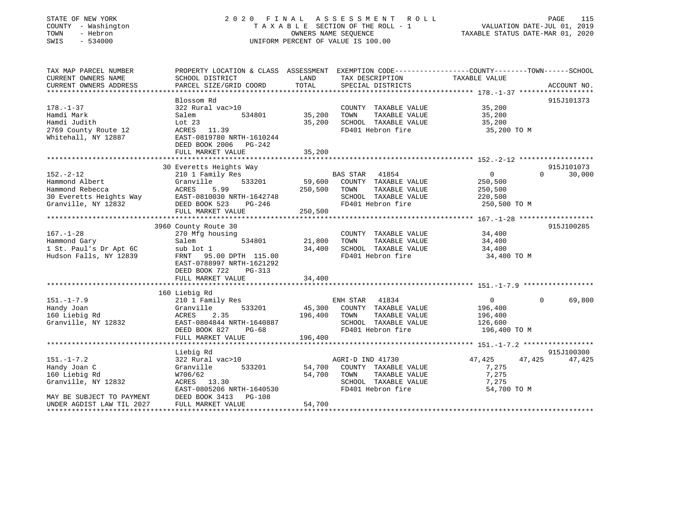| STATE OF NEW YORK<br>COUNTY - Washington<br>TOWN<br>- Hebron<br>SWIS<br>$-534000$                                                                                                                                                                                                                                           | 2020 FINAL                                                                                      | OWNERS NAME SEQUENCE | A S S E S S M E N T<br>R O L L<br>TAXABLE SECTION OF THE ROLL - 1<br>UNIFORM PERCENT OF VALUE IS 100.00 | VALUATION DATE-JUL 01, 2019<br>TAXABLE STATUS DATE-MAR 01, 2020 |          | PAGE<br>115 |
|-----------------------------------------------------------------------------------------------------------------------------------------------------------------------------------------------------------------------------------------------------------------------------------------------------------------------------|-------------------------------------------------------------------------------------------------|----------------------|---------------------------------------------------------------------------------------------------------|-----------------------------------------------------------------|----------|-------------|
| TAX MAP PARCEL NUMBER                                                                                                                                                                                                                                                                                                       | PROPERTY LOCATION & CLASS ASSESSMENT EXEMPTION CODE---------------COUNTY-------TOWN------SCHOOL |                      |                                                                                                         |                                                                 |          |             |
| CURRENT OWNERS NAME<br>CURRENT OWNERS ADDRESS                                                                                                                                                                                                                                                                               | SCHOOL DISTRICT<br>PARCEL SIZE/GRID COORD                                                       | LAND<br>TOTAL        | TAX DESCRIPTION<br>SPECIAL DISTRICTS                                                                    | TAXABLE VALUE                                                   |          | ACCOUNT NO. |
|                                                                                                                                                                                                                                                                                                                             |                                                                                                 |                      |                                                                                                         |                                                                 |          |             |
|                                                                                                                                                                                                                                                                                                                             | Blossom Rd                                                                                      |                      |                                                                                                         |                                                                 |          | 915J101373  |
| $178. - 1 - 37$                                                                                                                                                                                                                                                                                                             | 322 Rural vac>10                                                                                |                      | COUNTY TAXABLE VALUE                                                                                    | 35,200                                                          |          |             |
| Hamdi Mark                                                                                                                                                                                                                                                                                                                  | 534801<br>Salem                                                                                 | 35,200 TOWN          | TAXABLE VALUE                                                                                           | 35,200                                                          |          |             |
| Hamdi Judith                                                                                                                                                                                                                                                                                                                | Lot 23                                                                                          | 35,200               | SCHOOL TAXABLE VALUE                                                                                    | 35,200                                                          |          |             |
| 2769 County Route 12                                                                                                                                                                                                                                                                                                        | ACRES 11.39                                                                                     |                      | FD401 Hebron fire                                                                                       | 35,200 TO M                                                     |          |             |
| Whitehall, NY 12887                                                                                                                                                                                                                                                                                                         | EAST-0819780 NRTH-1610244<br>DEED BOOK 2006 PG-242                                              |                      |                                                                                                         |                                                                 |          |             |
|                                                                                                                                                                                                                                                                                                                             | FULL MARKET VALUE                                                                               | 35,200               |                                                                                                         |                                                                 |          |             |
|                                                                                                                                                                                                                                                                                                                             |                                                                                                 |                      |                                                                                                         |                                                                 |          |             |
|                                                                                                                                                                                                                                                                                                                             | 30 Everetts Heights Way                                                                         |                      |                                                                                                         |                                                                 |          | 915J101073  |
| $152. - 2 - 12$                                                                                                                                                                                                                                                                                                             | 210 1 Family Res                                                                                |                      | <b>BAS STAR</b><br>41854                                                                                | $\overline{0}$                                                  | $\Omega$ | 30,000      |
| Hammond Albert<br>Hammond Rebecca                                                                                                                                                                                                                                                                                           | 533201<br>Granville<br>ACRES<br>5.99                                                            | 59,600<br>250,500    | COUNTY TAXABLE VALUE<br>TOWN<br>TAXABLE VALUE                                                           | 250,500                                                         |          |             |
| 30 Everetts Heights Way EAST-0810030 NRTH-1642748                                                                                                                                                                                                                                                                           |                                                                                                 |                      | SCHOOL TAXABLE VALUE                                                                                    | 250,500<br>220,500                                              |          |             |
| Granville, NY 12832                                                                                                                                                                                                                                                                                                         | DEED BOOK 523 PG-246                                                                            |                      | FD401 Hebron fire                                                                                       | 250,500 TO M                                                    |          |             |
|                                                                                                                                                                                                                                                                                                                             | FULL MARKET VALUE                                                                               | 250,500              |                                                                                                         |                                                                 |          |             |
|                                                                                                                                                                                                                                                                                                                             |                                                                                                 |                      |                                                                                                         |                                                                 |          |             |
|                                                                                                                                                                                                                                                                                                                             | 3960 County Route 30                                                                            |                      |                                                                                                         |                                                                 |          | 915J100285  |
| $167. - 1 - 28$                                                                                                                                                                                                                                                                                                             | 270 Mfg housing                                                                                 |                      | COUNTY TAXABLE VALUE                                                                                    | 34,400                                                          |          |             |
| Hammond Gary                                                                                                                                                                                                                                                                                                                | Salem<br>534801                                                                                 | 21,800 TOWN          | TAXABLE VALUE                                                                                           | 34,400                                                          |          |             |
| Hammonu $\begin{bmatrix} 1 & 0 & 0 & 0 \\ 0 & 1 & 0 & 0 \\ 0 & 0 & 1 & 0 \\ 0 & 0 & 0 & 0 \\ 0 & 0 & 0 & 0 \\ 0 & 0 & 0 & 0 \\ 0 & 0 & 0 & 0 \\ 0 & 0 & 0 & 0 \\ 0 & 0 & 0 & 0 \\ 0 & 0 & 0 & 0 \\ 0 & 0 & 0 & 0 \\ 0 & 0 & 0 & 0 \\ 0 & 0 & 0 & 0 \\ 0 & 0 & 0 & 0 & 0 \\ 0 & 0 & 0 & 0 & 0 \\ 0 & 0 & 0 & 0 & 0 \\ 0 & 0$ | sub lot 1                                                                                       |                      | 34,400 SCHOOL TAXABLE VALUE                                                                             | 34,400                                                          |          |             |
| Hudson Falls, NY 12839                                                                                                                                                                                                                                                                                                      | FRNT 95.00 DPTH 115.00<br>EAST-0788997 NRTH-1621292<br>DEED BOOK 722<br>PG-313                  |                      | FD401 Hebron fire                                                                                       | 34,400 TO M                                                     |          |             |
|                                                                                                                                                                                                                                                                                                                             | FULL MARKET VALUE                                                                               | 34,400               |                                                                                                         |                                                                 |          |             |
|                                                                                                                                                                                                                                                                                                                             |                                                                                                 |                      |                                                                                                         |                                                                 |          |             |
|                                                                                                                                                                                                                                                                                                                             | 160 Liebig Rd                                                                                   |                      |                                                                                                         |                                                                 |          |             |
| $151. - 1 - 7.9$                                                                                                                                                                                                                                                                                                            | 210 1 Family Res                                                                                |                      | 41834<br>ENH STAR                                                                                       | $\overline{0}$                                                  | $\Omega$ | 69,800      |
| Handy Joan                                                                                                                                                                                                                                                                                                                  | 533201<br>Granville                                                                             | 45,300               | COUNTY TAXABLE VALUE                                                                                    | 196,400                                                         |          |             |
| 160 Liebig Rd                                                                                                                                                                                                                                                                                                               | ACRES<br>2.35                                                                                   | 196,400              | TOWN<br>TAXABLE VALUE                                                                                   | 196,400                                                         |          |             |
| Granville, NY 12832                                                                                                                                                                                                                                                                                                         | EAST-0804844 NRTH-1640887                                                                       |                      | SCHOOL TAXABLE VALUE<br>FD401 Hebron fire                                                               | 126,600                                                         |          |             |
|                                                                                                                                                                                                                                                                                                                             | DEED BOOK 827<br>PG-68<br>FULL MARKET VALUE                                                     | 196,400              |                                                                                                         | 196,400 TO M                                                    |          |             |
|                                                                                                                                                                                                                                                                                                                             | **************************                                                                      |                      |                                                                                                         |                                                                 |          |             |
|                                                                                                                                                                                                                                                                                                                             | Liebig Rd                                                                                       |                      |                                                                                                         |                                                                 |          | 915J100300  |
| $151. - 1 - 7.2$                                                                                                                                                                                                                                                                                                            | 322 Rural vac>10                                                                                |                      | AGRI-D IND 41730                                                                                        | 47,425                                                          | 47,425   | 47,425      |
| Handy Joan C                                                                                                                                                                                                                                                                                                                | Granville<br>533201                                                                             | 54,700               | COUNTY TAXABLE VALUE                                                                                    | 7,275                                                           |          |             |
| 160 Liebig Rd                                                                                                                                                                                                                                                                                                               | W706/62                                                                                         | 54,700               | TOWN<br>TAXABLE VALUE                                                                                   | 7,275                                                           |          |             |
| Granville, NY 12832                                                                                                                                                                                                                                                                                                         | ACRES 13.30                                                                                     |                      | SCHOOL TAXABLE VALUE                                                                                    | 7,275                                                           |          |             |
|                                                                                                                                                                                                                                                                                                                             | EAST-0805206 NRTH-1640530                                                                       |                      | FD401 Hebron fire                                                                                       | 54,700 TO M                                                     |          |             |
| MAY BE SUBJECT TO PAYMENT                                                                                                                                                                                                                                                                                                   | DEED BOOK 3413 PG-108                                                                           |                      |                                                                                                         |                                                                 |          |             |
| UNDER AGDIST LAW TIL 2027                                                                                                                                                                                                                                                                                                   | FULL MARKET VALUE                                                                               | 54,700               |                                                                                                         |                                                                 |          |             |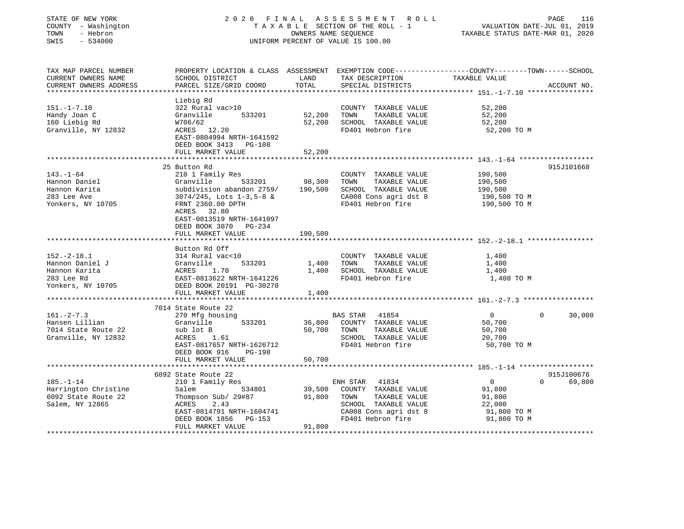| STATE OF NEW YORK<br>COUNTY - Washington<br>TOWN<br>- Hebron<br>SWIS<br>$-534000$                 | 2 0 2 0<br>FINAL                                                                                                                                                                                                                     |                              | A S S E S S M E N T<br>R O L L<br>TAXABLE SECTION OF THE ROLL - 1<br>OWNERS NAME SEQUENCE<br>UNIFORM PERCENT OF VALUE IS 100.00          | VALUATION DATE-JUL 01, 2019<br>TAXABLE STATUS DATE-MAR 01, 2020            | PAGE<br>116                      |
|---------------------------------------------------------------------------------------------------|--------------------------------------------------------------------------------------------------------------------------------------------------------------------------------------------------------------------------------------|------------------------------|------------------------------------------------------------------------------------------------------------------------------------------|----------------------------------------------------------------------------|----------------------------------|
| TAX MAP PARCEL NUMBER<br>CURRENT OWNERS NAME<br>CURRENT OWNERS ADDRESS<br>*********************** | PROPERTY LOCATION & CLASS ASSESSMENT EXEMPTION CODE---------------COUNTY-------TOWN-----SCHOOL<br>SCHOOL DISTRICT<br>PARCEL SIZE/GRID COORD                                                                                          | LAND<br>TOTAL                | TAX DESCRIPTION<br>SPECIAL DISTRICTS                                                                                                     | TAXABLE VALUE                                                              | ACCOUNT NO.                      |
| $151. - 1 - 7.10$<br>Handy Joan C<br>160 Liebig Rd<br>Granville, NY 12832                         | Liebig Rd<br>322 Rural vac>10<br>Granville<br>533201<br>W706/62<br>ACRES 12.20<br>EAST-0804994 NRTH-1641592<br>DEED BOOK 3413 PG-108<br>FULL MARKET VALUE                                                                            | 52,200<br>52,200<br>52,200   | COUNTY TAXABLE VALUE<br>TOWN<br>TAXABLE VALUE<br>SCHOOL TAXABLE VALUE<br>FD401 Hebron fire                                               | 52,200<br>52,200<br>52,200<br>52,200 TO M                                  |                                  |
|                                                                                                   | ***********************                                                                                                                                                                                                              | ***********                  |                                                                                                                                          | *********************************** 143.-1-64 *******************          |                                  |
| $143. - 1 - 64$<br>Hannon Daniel<br>Hannon Karita<br>283 Lee Ave<br>Yonkers, NY 10705             | 25 Button Rd<br>210 1 Family Res<br>Granville<br>533201<br>subdivision abandon 2759/<br>$3074/245$ , Lots $1-3,5-8$ &<br>FRNT 2360.00 DPTH<br>ACRES 32.80<br>EAST-0813519 NRTH-1641097<br>DEED BOOK 3070 PG-234<br>FULL MARKET VALUE | 98,300<br>190,500<br>190,500 | COUNTY TAXABLE VALUE<br>TOWN<br>TAXABLE VALUE<br>SCHOOL TAXABLE VALUE<br>CA008 Cons agri dst 8<br>FD401 Hebron fire                      | 190,500<br>190,500<br>190,500<br>190,500 TO M<br>190,500 TO M              | 915J101668                       |
|                                                                                                   |                                                                                                                                                                                                                                      |                              |                                                                                                                                          |                                                                            |                                  |
| $152. - 2 - 18.1$<br>Hannon Daniel J<br>Hannon Karita<br>283 Lee Rd<br>Yonkers, NY 10705          | Button Rd Off<br>314 Rural vac<10<br>Granville<br>533201<br>ACRES<br>1.70<br>EAST-0813622 NRTH-1641226<br>DEED BOOK 20191 PG-30270                                                                                                   | 1,400<br>1,400               | COUNTY TAXABLE VALUE<br>TOWN<br>TAXABLE VALUE<br>SCHOOL TAXABLE VALUE<br>FD401 Hebron fire                                               | 1,400<br>1,400<br>1,400<br>1,400 TO M                                      |                                  |
|                                                                                                   | FULL MARKET VALUE<br>*********************                                                                                                                                                                                           | 1,400                        |                                                                                                                                          |                                                                            |                                  |
| $161. - 2 - 7.3$<br>Hansen Lillian<br>7014 State Route 22<br>Granville, NY 12832                  | 7014 State Route 22<br>270 Mfg housing<br>Granville<br>533201<br>sub lot B<br>ACRES<br>1.61<br>EAST-0817657 NRTH-1626712<br>DEED BOOK 916<br>PG-198<br>FULL MARKET VALUE                                                             | 36,800<br>50,700<br>50,700   | <b>BAS STAR</b><br>41854<br>COUNTY TAXABLE VALUE<br>TAXABLE VALUE<br>TOWN<br>SCHOOL TAXABLE VALUE<br>FD401 Hebron fire                   | $\mathbf{0}$<br>50,700<br>50,700<br>20,700<br>50,700 TO M                  | 0<br>30,000                      |
|                                                                                                   | ***********************                                                                                                                                                                                                              |                              |                                                                                                                                          |                                                                            |                                  |
| $185. - 1 - 14$<br>Harrington Christine<br>6092 State Route 22<br>Salem, NY 12865                 | 6092 State Route 22<br>210 1 Family Res<br>Salem<br>534801<br>Thompson Sub/ 29#87<br>ACRES<br>2.43<br>EAST-0814791 NRTH-1604741<br>DEED BOOK 1856<br>PG-153<br>FULL MARKET VALUE                                                     | 39,500<br>91,800<br>91,800   | 41834<br>ENH STAR<br>COUNTY TAXABLE VALUE<br>TOWN<br>TAXABLE VALUE<br>SCHOOL TAXABLE VALUE<br>CA008 Cons agri dst 8<br>FD401 Hebron fire | $\overline{0}$<br>91,800<br>91,800<br>22,000<br>91,800 TO M<br>91,800 TO M | 915J100676<br>$\Omega$<br>69,800 |
|                                                                                                   |                                                                                                                                                                                                                                      |                              |                                                                                                                                          |                                                                            |                                  |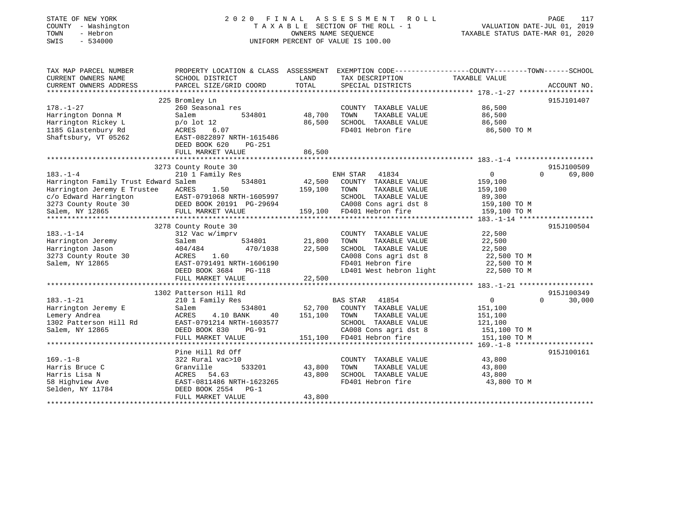| STATE OF NEW YORK<br>- Washington<br>COUNTY<br>TOWN<br>- Hebron<br>SWIS<br>$-534000$ | 2020 FINAL                                            |               | A S S E S S M E N T<br>R O L L<br>TAXABLE SECTION OF THE ROLL - 1<br>OWNERS NAME SEQUENCE<br>UNIFORM PERCENT OF VALUE IS 100.00 | PAGE<br>VALUATION DATE-JUL 01, 2019<br>TAXABLE STATUS DATE-MAR 01, 2020                         | 117         |
|--------------------------------------------------------------------------------------|-------------------------------------------------------|---------------|---------------------------------------------------------------------------------------------------------------------------------|-------------------------------------------------------------------------------------------------|-------------|
| TAX MAP PARCEL NUMBER                                                                |                                                       |               |                                                                                                                                 | PROPERTY LOCATION & CLASS ASSESSMENT EXEMPTION CODE---------------COUNTY-------TOWN------SCHOOL |             |
| CURRENT OWNERS NAME<br>CURRENT OWNERS ADDRESS                                        | SCHOOL DISTRICT<br>PARCEL SIZE/GRID COORD             | LAND<br>TOTAL | TAX DESCRIPTION<br>SPECIAL DISTRICTS                                                                                            | TAXABLE VALUE                                                                                   | ACCOUNT NO. |
|                                                                                      |                                                       |               |                                                                                                                                 |                                                                                                 |             |
|                                                                                      | 225 Bromley Ln                                        |               |                                                                                                                                 |                                                                                                 | 915J101407  |
| 178.–1–27                                                                            | 260 Seasonal res                                      |               | COUNTY TAXABLE VALUE                                                                                                            | 86,500                                                                                          |             |
| Harrington Donna M                                                                   | 534801<br>Salem                                       | 48,700        | TOWN<br>TAXABLE VALUE                                                                                                           | 86,500                                                                                          |             |
| Harrington Rickey L                                                                  | $p/o$ lot 12                                          | 86,500        | SCHOOL TAXABLE VALUE                                                                                                            | 86,500                                                                                          |             |
| 1185 Glastenbury Rd                                                                  | ACRES<br>6.07                                         |               | FD401 Hebron fire                                                                                                               | 86,500 TO M                                                                                     |             |
| Shaftsbury, VT 05262                                                                 | EAST-0822897 NRTH-1615486                             |               |                                                                                                                                 |                                                                                                 |             |
|                                                                                      | DEED BOOK 620<br>PG-251                               |               |                                                                                                                                 |                                                                                                 |             |
|                                                                                      | FULL MARKET VALUE                                     | 86,500        |                                                                                                                                 |                                                                                                 |             |
|                                                                                      |                                                       |               |                                                                                                                                 |                                                                                                 |             |
|                                                                                      | 3273 County Route 30                                  |               |                                                                                                                                 |                                                                                                 | 915J100509  |
| 183.-1-4                                                                             | 210 1 Family Res<br>534801                            |               | 41834<br>ENH STAR                                                                                                               | $\overline{0}$<br>$\Omega$                                                                      | 69,800      |
| Harrington Family Trust Edward Salem                                                 |                                                       | 42,500        | COUNTY TAXABLE VALUE<br>TOWN                                                                                                    | 159,100                                                                                         |             |
| Harrington Jeremy E Trustee                                                          | ACRES<br>1.50                                         | 159,100       | TAXABLE VALUE<br>SCHOOL TAXABLE VALUE                                                                                           | 159,100                                                                                         |             |
| c/o Edward Harrington<br>3273 County Route 30                                        | EAST-0791068 NRTH-1605997<br>DEED BOOK 20191 PG-29694 |               | CA008 Cons agri dst 8                                                                                                           | 89,300<br>159,100 TO M                                                                          |             |
| Salem, NY 12865                                                                      | FULL MARKET VALUE                                     | 159,100       | FD401 Hebron fire                                                                                                               | 159,100 TO M                                                                                    |             |
|                                                                                      |                                                       |               |                                                                                                                                 |                                                                                                 |             |
|                                                                                      | 3278 County Route 30                                  |               |                                                                                                                                 |                                                                                                 | 915J100504  |
| 183.-1-14                                                                            | 312 Vac w/imprv                                       |               | COUNTY TAXABLE VALUE                                                                                                            | 22,500                                                                                          |             |
| Harrington Jeremy                                                                    | 534801<br>Salem                                       | 21,800        | TOWN<br>TAXABLE VALUE                                                                                                           | 22,500                                                                                          |             |
| Harrington Jason                                                                     | 404/484<br>470/1038                                   | 22,500        | SCHOOL TAXABLE VALUE                                                                                                            | 22,500                                                                                          |             |
| 3273 County Route 30                                                                 | 1.60<br>ACRES                                         |               | CA008 Cons agri dst 8                                                                                                           | 22,500 TO M                                                                                     |             |
| Salem, NY 12865                                                                      | EAST-0791491 NRTH-1606190                             |               | FD401 Hebron fire                                                                                                               | 22,500 TO M                                                                                     |             |
|                                                                                      | DEED BOOK 3684<br>PG-118                              |               | LD401 West hebron light                                                                                                         | 22,500 TO M                                                                                     |             |
|                                                                                      | FULL MARKET VALUE                                     | 22,500        |                                                                                                                                 |                                                                                                 |             |
|                                                                                      | ************************                              |               |                                                                                                                                 |                                                                                                 |             |
|                                                                                      | 1302 Patterson Hill Rd                                |               |                                                                                                                                 |                                                                                                 | 915J100349  |
| 183.-1-21                                                                            | 210 1 Family Res                                      |               | 41854<br>BAS STAR                                                                                                               | $\mathbf{0}$<br>$\Omega$                                                                        | 30,000      |
| Harrington Jeremy E                                                                  | Salem<br>534801                                       | 52,700        | COUNTY TAXABLE VALUE                                                                                                            | 151,100                                                                                         |             |
| Lemery Andrea                                                                        | ACRES<br>4.10 BANK<br>40                              | 151,100       | TAXABLE VALUE<br>TOWN                                                                                                           | 151,100                                                                                         |             |
| 1302 Patterson Hill Rd                                                               | EAST-0791214 NRTH-1603577                             |               | SCHOOL TAXABLE VALUE                                                                                                            | 121,100                                                                                         |             |
| Salem, NY 12865                                                                      | DEED BOOK 830<br><b>PG-91</b>                         |               | CA008 Cons agri dst 8                                                                                                           | 151,100 TO M                                                                                    |             |
|                                                                                      | FULL MARKET VALUE                                     | 151,100       | FD401 Hebron fire                                                                                                               | 151,100 TO M                                                                                    |             |
|                                                                                      | Pine Hill Rd Off                                      |               |                                                                                                                                 |                                                                                                 | 915J100161  |
| $169. - 1 - 8$                                                                       | 322 Rural vac>10                                      |               | COUNTY<br>TAXABLE VALUE                                                                                                         | 43,800                                                                                          |             |
| Harris Bruce C                                                                       | Granville<br>533201                                   | 43,800        | TOWN<br>TAXABLE VALUE                                                                                                           | 43,800                                                                                          |             |
| Harris Lisa N                                                                        | ACRES 54.63                                           | 43,800        | SCHOOL TAXABLE VALUE                                                                                                            | 43,800                                                                                          |             |
| 58 Highview Ave                                                                      | EAST-0811486 NRTH-1623265                             |               | FD401 Hebron fire                                                                                                               | 43,800 TO M                                                                                     |             |
| Selden, NY 11784                                                                     | DEED BOOK 2554<br>$PG-1$                              |               |                                                                                                                                 |                                                                                                 |             |
|                                                                                      | FULL MARKET VALUE                                     | 43,800        |                                                                                                                                 |                                                                                                 |             |
|                                                                                      |                                                       |               |                                                                                                                                 |                                                                                                 |             |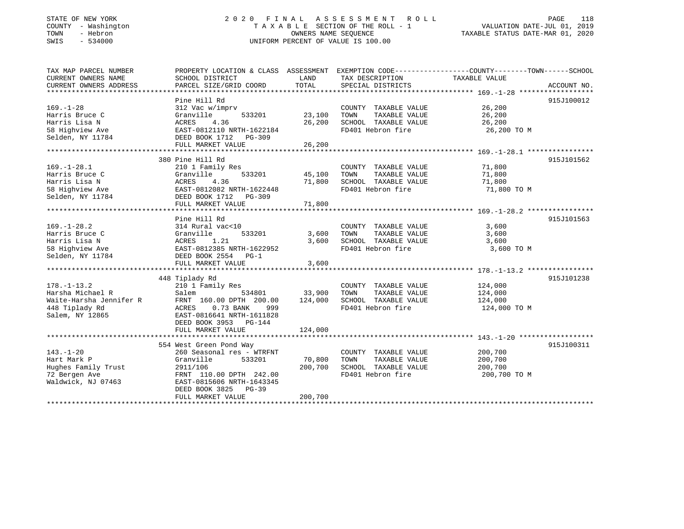### STATE OF NEW YORK 2 0 2 0 F I N A L A S S E S S M E N T R O L L PAGE 118 COUNTY - Washington T A X A B L E SECTION OF THE ROLL - 1 VALUATION DATE-JUL 01, 2019 TOWN - Hebron OWNERS NAME SEQUENCE TAXABLE STATUS DATE-MAR 01, 2020 SWIS - 534000 UNIFORM PERCENT OF VALUE IS 100.00

| TAX MAP PARCEL NUMBER<br>CURRENT OWNERS NAME<br>CURRENT OWNERS ADDRESS                                | SCHOOL DISTRICT<br>PARCEL SIZE/GRID COORD                                                                                                                                                    | LAND<br>TOTAL                | TAX DESCRIPTION<br>SPECIAL DISTRICTS                                                       | PROPERTY LOCATION & CLASS ASSESSMENT EXEMPTION CODE---------------COUNTY-------TOWN------SCHOOL<br>TAXABLE VALUE<br>ACCOUNT NO. |
|-------------------------------------------------------------------------------------------------------|----------------------------------------------------------------------------------------------------------------------------------------------------------------------------------------------|------------------------------|--------------------------------------------------------------------------------------------|---------------------------------------------------------------------------------------------------------------------------------|
| $169. - 1 - 28$<br>Harris Bruce C<br>Harris Lisa N<br>58 Highview Ave<br>Selden, NY 11784             | Pine Hill Rd<br>312 Vac w/imprv<br>Granville<br>533201<br>ACRES<br>4.36<br>EAST-0812110 NRTH-1622184<br>DEED BOOK 1712 PG-309                                                                | 23,100<br>26,200             | COUNTY TAXABLE VALUE<br>TOWN<br>TAXABLE VALUE<br>SCHOOL TAXABLE VALUE<br>FD401 Hebron fire | 915J100012<br>26,200<br>26,200<br>26,200<br>26,200 TO M                                                                         |
|                                                                                                       | FULL MARKET VALUE                                                                                                                                                                            | 26,200                       |                                                                                            |                                                                                                                                 |
| $169. - 1 - 28.1$<br>Harris Bruce C<br>Harris Lisa N<br>58 Highview Ave<br>Selden, NY 11784           | 380 Pine Hill Rd<br>210 1 Family Res<br>533201<br>Granville<br>ACRES<br>4.36<br>EAST-0812082 NRTH-1622448<br>DEED BOOK 1712 PG-309<br>FULL MARKET VALUE                                      | 45,100<br>71,800<br>71,800   | COUNTY TAXABLE VALUE<br>TOWN<br>TAXABLE VALUE<br>SCHOOL TAXABLE VALUE<br>FD401 Hebron fire | 915J101562<br>71,800<br>71,800<br>71,800<br>71,800 TO M                                                                         |
|                                                                                                       |                                                                                                                                                                                              |                              |                                                                                            |                                                                                                                                 |
| $169. - 1 - 28.2$<br>Harris Bruce C<br>Harris Lisa N<br>58 Highview Ave<br>Selden, NY 11784           | Pine Hill Rd<br>314 Rural vac<10<br>Granville<br>533201<br>1.21<br>ACRES<br>EAST-0812385 NRTH-1622952<br>DEED BOOK 2554 PG-1<br>FULL MARKET VALUE                                            | 3,600<br>3,600<br>3,600      | COUNTY TAXABLE VALUE<br>TOWN<br>TAXABLE VALUE<br>SCHOOL TAXABLE VALUE<br>FD401 Hebron fire | 915J101563<br>3,600<br>3,600<br>3,600<br>3,600 TO M                                                                             |
|                                                                                                       | 448 Tiplady Rd                                                                                                                                                                               |                              |                                                                                            | 915J101238                                                                                                                      |
| $178. - 1 - 13.2$<br>Harsha Michael R<br>Waite-Harsha Jennifer R<br>448 Tiplady Rd<br>Salem, NY 12865 | 210 1 Family Res<br>Salem<br>534801<br>FRNT 160.00 DPTH 200.00<br>0.73 BANK<br>ACRES<br>999<br>EAST-0816641 NRTH-1611828<br>DEED BOOK 3953 PG-144<br>FULL MARKET VALUE                       | 33,900<br>124,000<br>124,000 | COUNTY TAXABLE VALUE<br>TOWN<br>TAXABLE VALUE<br>SCHOOL TAXABLE VALUE<br>FD401 Hebron fire | 124,000<br>124,000<br>124,000<br>124,000 TO M                                                                                   |
|                                                                                                       |                                                                                                                                                                                              |                              |                                                                                            |                                                                                                                                 |
| $143. - 1 - 20$<br>Hart Mark P<br>Hughes Family Trust<br>72 Bergen Ave<br>Waldwick, NJ 07463          | 554 West Green Pond Way<br>260 Seasonal res - WTRFNT<br>Granville<br>533201<br>2911/106<br>FRNT 110.00 DPTH 242.00<br>EAST-0815606 NRTH-1643345<br>DEED BOOK 3825 PG-39<br>FULL MARKET VALUE | 70,800<br>200,700<br>200,700 | COUNTY TAXABLE VALUE<br>TOWN<br>TAXABLE VALUE<br>SCHOOL TAXABLE VALUE<br>FD401 Hebron fire | 915J100311<br>200,700<br>200,700<br>200,700<br>200,700 TO M                                                                     |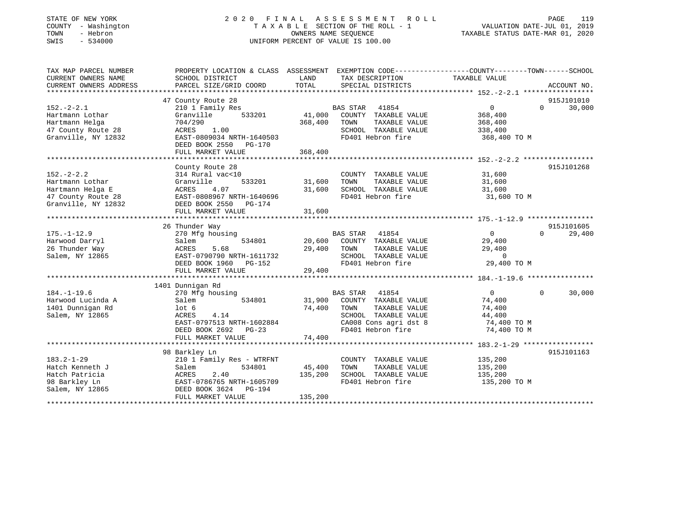### STATE OF NEW YORK 2 0 2 0 F I N A L A S S E S S M E N T R O L L PAGE 119 COUNTY - Washington T A X A B L E SECTION OF THE ROLL - 1 VALUATION DATE-JUL 01, 2019 TOWN - Hebron OWNERS NAME SEQUENCE TAXABLE STATUS DATE-MAR 01, 2020 SWIS - 534000 UNIFORM PERCENT OF VALUE IS 100.00

| TAX MAP PARCEL NUMBER  | PROPERTY LOCATION & CLASS ASSESSMENT EXEMPTION CODE---------------COUNTY-------TOWN-----SCHOOL |             |                                           |                |                    |
|------------------------|------------------------------------------------------------------------------------------------|-------------|-------------------------------------------|----------------|--------------------|
| CURRENT OWNERS NAME    | SCHOOL DISTRICT                                                                                | LAND        | TAX DESCRIPTION                           | TAXABLE VALUE  |                    |
| CURRENT OWNERS ADDRESS | PARCEL SIZE/GRID COORD                                                                         | TOTAL       | SPECIAL DISTRICTS                         |                | ACCOUNT NO.        |
|                        |                                                                                                |             |                                           |                |                    |
|                        | 47 County Route 28                                                                             |             |                                           |                | 915J101010         |
| $152. - 2 - 2.1$       | 210 1 Family Res                                                                               |             | BAS STAR 41854                            | 0              | 30,000<br>$\Omega$ |
| Hartmann Lothar        | 533201<br>Granville                                                                            |             | 41,000 COUNTY TAXABLE VALUE               | 368,400        |                    |
| Hartmann Helga         | 704/290                                                                                        | 368,400     | TOWN<br>TAXABLE VALUE                     | 368,400        |                    |
| 47 County Route 28     | 1.00<br>ACRES                                                                                  |             | SCHOOL TAXABLE VALUE                      | 338,400        |                    |
| Granville, NY 12832    | EAST-0809034 NRTH-1640503                                                                      |             | FD401 Hebron fire                         | 368,400 TO M   |                    |
|                        | DEED BOOK 2550 PG-170                                                                          |             |                                           |                |                    |
|                        | FULL MARKET VALUE                                                                              | 368,400     |                                           |                |                    |
|                        |                                                                                                |             |                                           |                |                    |
|                        | County Route 28                                                                                |             |                                           |                | 915J101268         |
| $152 - 2 - 2.2$        | 314 Rural vac<10                                                                               |             | COUNTY TAXABLE VALUE                      | 31,600         |                    |
| Hartmann Lothar        | 533201<br>Granville                                                                            | 31,600      | TAXABLE VALUE<br>TOWN                     | 31,600         |                    |
| Hartmann Helga E       | ACRES<br>4.07                                                                                  | 31,600      | SCHOOL TAXABLE VALUE                      | 31,600         |                    |
| 47 County Route 28     | EAST-0808967 NRTH-1640696                                                                      |             | FD401 Hebron fire                         | 31,600 TO M    |                    |
| Granville, NY 12832    | DEED BOOK 2550 PG-174                                                                          |             |                                           |                |                    |
|                        | FULL MARKET VALUE                                                                              | 31,600      |                                           |                |                    |
|                        |                                                                                                |             |                                           |                |                    |
|                        | 26 Thunder Way                                                                                 |             |                                           |                | 915J101605         |
| $175. - 1 - 12.9$      | 270 Mfg housing                                                                                |             | BAS STAR 41854                            | $\overline{0}$ | 29,400<br>$\Omega$ |
| Harwood Darryl         | 534801<br>Salem                                                                                |             | 20,600 COUNTY TAXABLE VALUE               | 29,400         |                    |
| 26 Thunder Way         | 5.68<br>ACRES                                                                                  | 29,400 TOWN | TAXABLE VALUE                             | 29,400         |                    |
| Salem, NY 12865        | EAST-0790790 NRTH-1611732                                                                      |             | SCHOOL TAXABLE VALUE<br>FD401 Hebron fire | $\overline{0}$ |                    |
|                        | DEED BOOK 1960 PG-152                                                                          |             |                                           | 29,400 TO M    |                    |
|                        | FULL MARKET VALUE                                                                              | 29,400      |                                           |                |                    |
|                        |                                                                                                |             |                                           |                |                    |
|                        | 1401 Dunnigan Rd                                                                               |             |                                           |                |                    |
| $184. - 1 - 19.6$      | 270 Mfg housing                                                                                |             | <b>BAS STAR</b><br>41854                  | $\overline{0}$ | 30,000<br>$\Omega$ |
| Harwood Lucinda A      | 534801<br>Salem                                                                                |             | 31,900 COUNTY TAXABLE VALUE               | 74,400         |                    |
| 1401 Dunnigan Rd       | lot <sub>6</sub>                                                                               | 74,400      | TAXABLE VALUE<br>TOWN                     | 74,400         |                    |
| Salem, NY 12865        | 4.14<br>ACRES                                                                                  |             | SCHOOL TAXABLE VALUE                      | 44,400         |                    |
|                        | EAST-0797513 NRTH-1602884                                                                      |             | CA008 Cons agri dst 8                     | 74,400 TO M    |                    |
|                        | DEED BOOK 2692 PG-23                                                                           |             | FD401 Hebron fire                         | 74,400 TO M    |                    |
|                        | FULL MARKET VALUE                                                                              | 74,400      |                                           |                |                    |
|                        |                                                                                                |             |                                           |                |                    |
|                        | 98 Barkley Ln                                                                                  |             |                                           |                | 915J101163         |
| $183.2 - 1 - 29$       | 210 1 Family Res - WTRFNT                                                                      |             | COUNTY TAXABLE VALUE                      | 135,200        |                    |
| Hatch Kenneth J        | 534801<br>Salem                                                                                | 45,400      | TOWN<br>TAXABLE VALUE                     | 135,200        |                    |
| Hatch Patricia         | 2.40<br>ACRES                                                                                  | 135,200     | SCHOOL TAXABLE VALUE                      | 135,200        |                    |
| 98 Barkley Ln          | EAST-0786765 NRTH-1605709                                                                      |             | FD401 Hebron fire                         | 135,200 TO M   |                    |
| Salem, NY 12865        | DEED BOOK 3624 PG-194                                                                          |             |                                           |                |                    |
|                        | FULL MARKET VALUE                                                                              | 135,200     |                                           |                |                    |
|                        |                                                                                                |             |                                           |                |                    |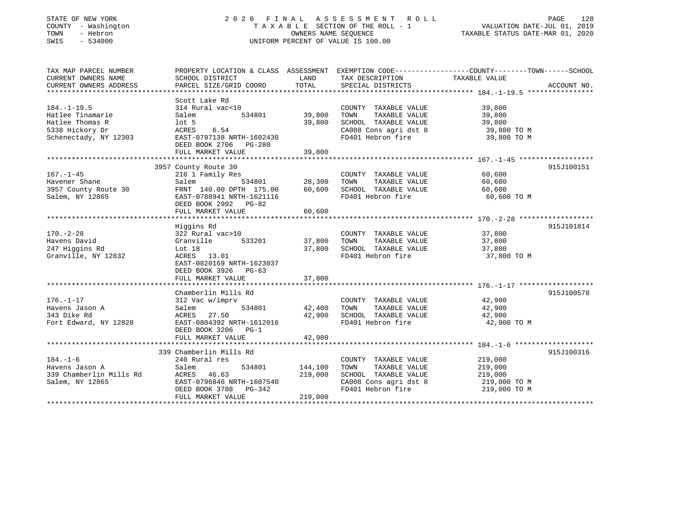| STATE OF NEW YORK |          |              |
|-------------------|----------|--------------|
| COUNTY            |          | - Washingtor |
| TOWN              | - Hebron |              |
| CMT C             |          | 521000       |

## STATE OF NEW YORK 2 0 2 0 F I N A L A S S E S S M E N T R O L L PAGE 120COUNTRA T A X A B L E SECTION OF THE ROLL - 1 OWNERS NAME SEQUENCE SWIS - 534000 UNIFORM PERCENT OF VALUE IS 100.00

## VALUATION DATE-JUL 01, 2019

TAXABLE STATUS DATE-MAR 01, 2020

| TAX MAP PARCEL NUMBER<br>CURRENT OWNERS NAME<br>CURRENT OWNERS ADDRESS                               | SCHOOL DISTRICT<br>PARCEL SIZE/GRID COORD                                                                                                    | LAND<br>TOTAL                          | TAX DESCRIPTION TAXABLE VALUE SPECIAL DISTRICTS                                                                                                              | PROPERTY LOCATION & CLASS ASSESSMENT EXEMPTION CODE---------------COUNTY-------TOWN------SCHOOL<br>ACCOUNT NO. |
|------------------------------------------------------------------------------------------------------|----------------------------------------------------------------------------------------------------------------------------------------------|----------------------------------------|--------------------------------------------------------------------------------------------------------------------------------------------------------------|----------------------------------------------------------------------------------------------------------------|
| $184. - 1 - 19.5$<br>Hatlee Tinamarie<br>Hatlee Thomas R<br>5338 Hickory Dr<br>Schenectady, NY 12303 | Scott Lake Rd<br>314 Rural vac<10<br>Salem<br>534801<br>$1$ ot 5<br>ACRES<br>6.54<br>EAST-0797138 NRTH-1602430<br>DEED BOOK 2706 PG-280      | 39,800<br>39,800                       | COUNTY TAXABLE VALUE<br>TOWN<br>TAXABLE VALUE<br>TOWN      TAXABLE VALUE<br>SCHOOL   TAXABLE VALUE<br>CA008 Cons agri dst 8 39,800 TO M<br>FD401 Hebron fire | 39,800<br>39,800<br>39,800<br>39,800 TO M                                                                      |
|                                                                                                      |                                                                                                                                              |                                        |                                                                                                                                                              |                                                                                                                |
|                                                                                                      |                                                                                                                                              |                                        |                                                                                                                                                              |                                                                                                                |
| $167. - 1 - 45$<br>Havener Shane<br>3957 County Route 30<br>Salem, NY 12865                          | 3957 County Route 30<br>210 1 Family Res<br>Salem<br>FRNT 140.00 DPTH 175.00<br>EAST-0788941 NRTH-1621116<br>DEED BOOK 2992 PG-82            | 60,600                                 | COUNTY TAXABLE VALUE<br>TOWN<br>TAXABLE VALUE<br>SCHOOL TAXABLE VALUE 60,600<br>FD401 Hebron fire                                                            | 915J100151<br>60,600<br>60,600<br>60,600 TO M                                                                  |
|                                                                                                      | FULL MARKET VALUE                                                                                                                            | 60,600                                 |                                                                                                                                                              |                                                                                                                |
|                                                                                                      |                                                                                                                                              |                                        |                                                                                                                                                              |                                                                                                                |
| $170. - 2 - 28$<br>Havens David<br>247 Higgins Rd<br>Granville, NY 12832                             | Higgins Rd<br>322 Rural vac>10<br>Granville<br>533201<br>Lot 18<br>ACRES 13.01<br>EAST-0820169 NRTH-1623037<br>DEED BOOK 3926 PG-63          | 37,800<br>37,800                       | COUNTY TAXABLE VALUE<br>TOWN<br>TAXABLE VALUE<br>SCHOOL TAXABLE VALUE 37,800<br>FD401 Hebron fire                                                            | 915J101814<br>37,800<br>37,800<br>37,800 TO M                                                                  |
|                                                                                                      |                                                                                                                                              |                                        |                                                                                                                                                              |                                                                                                                |
| $176. - 1 - 17$<br>Havens Jason A<br>343 Dike Rd<br>Fort Edward, NY 12828                            | Chamberlin Mills Rd<br>312 Vac w/imprv<br>Salem<br>ACRES 27.50<br>EAST-0804392 NRTH-1612016<br>DEED BOOK 3206<br>$PG-1$<br>FULL MARKET VALUE | 534801 42,400 TOWN<br>42,900<br>42,900 | COUNTY TAXABLE VALUE<br>TAXABLE VALUE<br>SCHOOL TAXABLE VALUE 42,900<br>FD401 Hebron fire                                                                    | 915J100578<br>42,900<br>42,900<br>42,900 TO M                                                                  |
|                                                                                                      |                                                                                                                                              |                                        |                                                                                                                                                              |                                                                                                                |
| $184. - 1 - 6$<br>Havens Jason A<br>339 Chamberlin Mills Rd<br>Salem, NY 12865                       | 339 Chamberlin Mills Rd<br>240 Rural res<br>Salem<br>ACRES 46.63<br>EAST-0796846 NRTH-1607540<br>DEED BOOK 3788 PG-342<br>FULL MARKET VALUE  | 534801 144,100<br>219,000<br>219,000   | COUNTY TAXABLE VALUE<br>TAXABLE VALUE<br>TOWN<br>SCHOOL TAXABLE VALUE<br>CA008 Cons agri dst 8<br>FD401 Hebron fire                                          | 915J100316<br>219,000<br>219.000<br>219,000<br>219,000<br>219,000 TO M<br>219,000 TO M                         |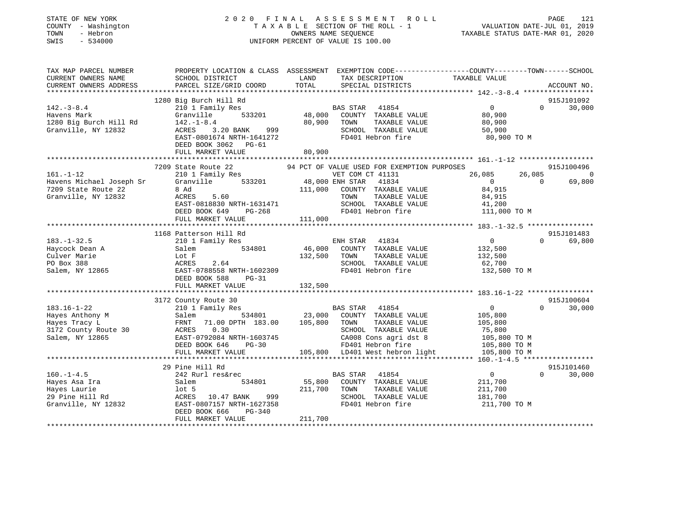| STATE OF NEW YORK<br>COUNTY - Washington<br>- Hebron<br>TOWN<br>$-534000$<br>SWIS | 2020 FINAL                                           | ASSESSMENT ROLL<br>TAXABLE SECTION OF THE ROLL - 1<br>OWNERS NAME SEQUENCE<br>UNIFORM PERCENT OF VALUE IS 100.00           | PAGE<br>121<br>VALUATION DATE-JUL 01, 2019<br>TAXABLE STATUS DATE-MAR 01, 2020 |
|-----------------------------------------------------------------------------------|------------------------------------------------------|----------------------------------------------------------------------------------------------------------------------------|--------------------------------------------------------------------------------|
| TAX MAP PARCEL NUMBER<br>CURRENT OWNERS NAME                                      | SCHOOL DISTRICT                                      | PROPERTY LOCATION & CLASS ASSESSMENT EXEMPTION CODE----------------COUNTY-------TOWN-----SCHOOL<br>LAND<br>TAX DESCRIPTION | TAXABLE VALUE                                                                  |
| CURRENT OWNERS ADDRESS                                                            | PARCEL SIZE/GRID COORD                               | TOTAL<br>SPECIAL DISTRICTS                                                                                                 | ACCOUNT NO.                                                                    |
|                                                                                   |                                                      |                                                                                                                            |                                                                                |
| $142. - 3 - 8.4$                                                                  | 1280 Big Burch Hill Rd<br>210 1 Family Res           | BAS STAR<br>41854                                                                                                          | 915J101092<br>$\overline{0}$<br>$\Omega$<br>30,000                             |
| Havens Mark                                                                       | 533201<br>Granville                                  | 48,000<br>COUNTY TAXABLE VALUE                                                                                             | 80,900                                                                         |
| 1280 Big Burch Hill Rd                                                            | $142. - 1 - 8.4$                                     | 80,900<br>TAXABLE VALUE<br>TOWN                                                                                            | 80,900                                                                         |
| Granville, NY 12832                                                               | ACRES<br>3.20 BANK<br>999                            | SCHOOL TAXABLE VALUE                                                                                                       | 50,900                                                                         |
|                                                                                   | EAST-0801674 NRTH-1641272<br>DEED BOOK 3062 PG-61    | FD401 Hebron fire                                                                                                          | 80,900 TO M                                                                    |
|                                                                                   | FULL MARKET VALUE                                    | 80,900                                                                                                                     |                                                                                |
|                                                                                   |                                                      |                                                                                                                            |                                                                                |
|                                                                                   | 7209 State Route 22                                  | 94 PCT OF VALUE USED FOR EXEMPTION PURPOSES                                                                                | 915J100496                                                                     |
| $161. - 1 - 12$                                                                   | 210 1 Family Res                                     | VET COM CT 41131                                                                                                           | 26,085<br>26,085<br>$\overline{0}$                                             |
| Havens Michael Joseph Sr                                                          | 533201<br>Granville                                  | 48,000 ENH STAR<br>41834                                                                                                   | $\overline{0}$<br>$\mathbf 0$<br>69,800                                        |
| 7209 State Route 22                                                               | 8 Ad                                                 | 111,000<br>COUNTY TAXABLE VALUE                                                                                            | 84,915                                                                         |
| Granville, NY 12832                                                               | ACRES<br>5.60                                        | TOWN<br>TAXABLE VALUE                                                                                                      | 84,915                                                                         |
|                                                                                   | EAST-0818830 NRTH-1631471                            | SCHOOL TAXABLE VALUE                                                                                                       | 41,200                                                                         |
|                                                                                   | DEED BOOK 649<br>PG-268                              | FD401 Hebron fire                                                                                                          | 111,000 TO M                                                                   |
|                                                                                   | FULL MARKET VALUE                                    | 111,000                                                                                                                    |                                                                                |
|                                                                                   |                                                      |                                                                                                                            |                                                                                |
| $183. - 1 - 32.5$                                                                 | 1168 Patterson Hill Rd                               | 41834                                                                                                                      | 915J101483<br>$\Omega$<br>69,800<br>$\Omega$                                   |
| Haycock Dean A                                                                    | 210 1 Family Res<br>534801<br>Salem                  | ENH STAR<br>46,000<br>COUNTY TAXABLE VALUE                                                                                 | 132,500                                                                        |
| Culver Marie                                                                      | Lot F                                                | 132,500<br>TOWN<br>TAXABLE VALUE                                                                                           | 132,500                                                                        |
| PO Box 388                                                                        | ACRES<br>2.64                                        | SCHOOL TAXABLE VALUE                                                                                                       | 62,700                                                                         |
| Salem, NY 12865                                                                   | EAST-0788558 NRTH-1602309                            | FD401 Hebron fire                                                                                                          | 132,500 TO M                                                                   |
|                                                                                   | DEED BOOK 588<br>$PG-31$                             |                                                                                                                            |                                                                                |
|                                                                                   | FULL MARKET VALUE                                    | 132,500                                                                                                                    |                                                                                |
|                                                                                   |                                                      |                                                                                                                            |                                                                                |
|                                                                                   | 3172 County Route 30                                 |                                                                                                                            | 915J100604                                                                     |
| $183.16 - 1 - 22$                                                                 | 210 1 Family Res                                     | BAS STAR 41854                                                                                                             | $\Omega$<br>30,000<br>$\overline{0}$                                           |
| Hayes Anthony M                                                                   | Salem<br>534801                                      | 23,000<br>COUNTY TAXABLE VALUE                                                                                             | 105,800                                                                        |
| Hayes Tracy L                                                                     | 71.00 DPTH 183.00<br>FRNT                            | 105,800<br>TOWN<br>TAXABLE VALUE                                                                                           | 105,800                                                                        |
| 3172 County Route 30                                                              | 0.30<br>ACRES                                        | SCHOOL TAXABLE VALUE                                                                                                       | 75,800                                                                         |
| Salem, NY 12865                                                                   | EAST-0792084 NRTH-1603745                            | CA008 Cons agri dst 8                                                                                                      | 105,800 TO M                                                                   |
|                                                                                   | DEED BOOK 646<br>$PG-30$                             | FD401 Hebron fire                                                                                                          | 105,800 TO M                                                                   |
|                                                                                   | FULL MARKET VALUE                                    | 105,800 LD401 West hebron light                                                                                            | 105,800 TO M                                                                   |
|                                                                                   |                                                      |                                                                                                                            |                                                                                |
|                                                                                   | 29 Pine Hill Rd                                      |                                                                                                                            | 915J101460                                                                     |
| $160. -1 - 4.5$                                                                   | 242 Rurl res&rec                                     | <b>BAS STAR</b><br>41854                                                                                                   | $\overline{0}$<br>$\Omega$<br>30,000                                           |
| Hayes Asa Ira                                                                     | Salem<br>534801                                      | 55,800<br>COUNTY TAXABLE VALUE                                                                                             | 211,700                                                                        |
| Hayes Laurie                                                                      | $1$ ot 5                                             | 211,700<br>TOWN<br>TAXABLE VALUE                                                                                           | 211,700                                                                        |
| 29 Pine Hill Rd                                                                   | ACRES<br>10.47 BANK<br>999                           | SCHOOL TAXABLE VALUE                                                                                                       | 181,700                                                                        |
| Granville, NY 12832                                                               | EAST-0807157 NRTH-1627358<br>DEED BOOK 666<br>PG-340 | FD401 Hebron fire                                                                                                          | 211,700 TO M                                                                   |

\*\*\*\*\*\*\*\*\*\*\*\*\*\*\*\*\*\*\*\*\*\*\*\*\*\*\*\*\*\*\*\*\*\*\*\*\*\*\*\*\*\*\*\*\*\*\*\*\*\*\*\*\*\*\*\*\*\*\*\*\*\*\*\*\*\*\*\*\*\*\*\*\*\*\*\*\*\*\*\*\*\*\*\*\*\*\*\*\*\*\*\*\*\*\*\*\*\*\*\*\*\*\*\*\*\*\*\*\*\*\*\*\*\*\*\*\*\*\*\*\*\*\*\*\*\*\*\*\*\*\*\*

FULL MARKET VALUE 211,700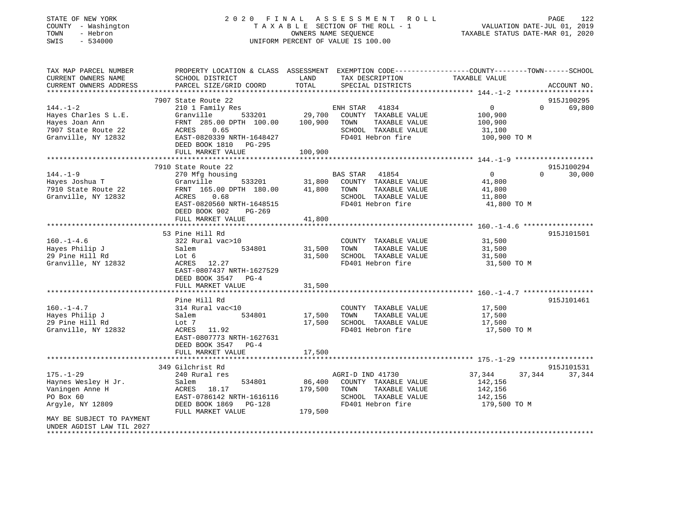| STATE OF NEW YORK<br>COUNTY - Washington<br>- Hebron<br>TOWN<br>$-534000$<br>SWIS                                       |                                                                                                                                                                                                             | OWNERS NAME SEQUENCE         | 2020 FINAL ASSESSMENT<br>ROLL<br>TAXABLE SECTION OF THE ROLL - 1<br>UNIFORM PERCENT OF VALUE IS 100.00          | VALUATION DATE-JUL 01, 2019<br>TAXABLE STATUS DATE-MAR 01, 2020                                                             | PAGE<br>122          |
|-------------------------------------------------------------------------------------------------------------------------|-------------------------------------------------------------------------------------------------------------------------------------------------------------------------------------------------------------|------------------------------|-----------------------------------------------------------------------------------------------------------------|-----------------------------------------------------------------------------------------------------------------------------|----------------------|
| TAX MAP PARCEL NUMBER<br>CURRENT OWNERS NAME<br>CURRENT OWNERS ADDRESS<br>***********************                       | SCHOOL DISTRICT<br>PARCEL SIZE/GRID COORD                                                                                                                                                                   | LAND<br>TOTAL                | TAX DESCRIPTION<br>SPECIAL DISTRICTS                                                                            | PROPERTY LOCATION & CLASS ASSESSMENT EXEMPTION CODE----------------COUNTY-------TOWN-----SCHOOL<br>TAXABLE VALUE            | ACCOUNT NO.          |
|                                                                                                                         | 7907 State Route 22                                                                                                                                                                                         |                              |                                                                                                                 |                                                                                                                             | 915J100295           |
| $144. - 1 - 2$                                                                                                          | 210 1 Family Res                                                                                                                                                                                            |                              | 41834<br>ENH STAR                                                                                               | $\mathbf{0}$<br>$\overline{0}$                                                                                              | 69,800               |
| Hayes Charles S L.E.<br>Hayes Joan Ann<br>7907 State Route 22<br>Granville, NY 12832                                    | Granville<br>533201<br>FRNT 285.00 DPTH 100.00<br>0.65<br>ACRES<br>EAST-0820339 NRTH-1648427<br>DEED BOOK 1810 PG-295                                                                                       | 29,700<br>100,900            | COUNTY TAXABLE VALUE<br>TOWN<br>TAXABLE VALUE<br>SCHOOL TAXABLE VALUE<br>FD401 Hebron fire                      | 100,900<br>100,900<br>31,100<br>100,900 TO M                                                                                |                      |
|                                                                                                                         | FULL MARKET VALUE                                                                                                                                                                                           | 100,900                      |                                                                                                                 |                                                                                                                             |                      |
| $144. - 1 - 9$<br>Hayes Joshua T<br>7910 State Route 22<br>Granville, NY 12832                                          | 7910 State Route 22<br>270 Mfg housing<br>533201<br>Granville<br>FRNT 165.00 DPTH 180.00<br>ACRES<br>0.68<br>EAST-0820560 NRTH-1648515<br>DEED BOOK 902<br>$PG-269$<br>FULL MARKET VALUE<br>*************** | 31,800<br>41,800<br>41,800   | BAS STAR<br>41854<br>COUNTY TAXABLE VALUE<br>TAXABLE VALUE<br>TOWN<br>SCHOOL TAXABLE VALUE<br>FD401 Hebron fire | $\overline{0}$<br>$\Omega$<br>41,800<br>41,800<br>11,800<br>41,800 TO M<br>****************** 160.-1-4.6 ****************** | 915J100294<br>30,000 |
|                                                                                                                         | 53 Pine Hill Rd                                                                                                                                                                                             |                              |                                                                                                                 |                                                                                                                             | 915J101501           |
| $160. - 1 - 4.6$<br>Hayes Philip J<br>29 Pine Hill Rd<br>Granville, NY 12832                                            | 322 Rural vac>10<br>Salem<br>534801<br>Lot 6<br>ACRES 12.27<br>EAST-0807437 NRTH-1627529<br>DEED BOOK 3547<br>$PG-4$                                                                                        | 31,500<br>31,500             | COUNTY TAXABLE VALUE<br>TOWN<br>TAXABLE VALUE<br>SCHOOL TAXABLE VALUE<br>FD401 Hebron fire                      | 31,500<br>31,500<br>31,500<br>31,500 TO M                                                                                   |                      |
|                                                                                                                         | FULL MARKET VALUE<br>*************************                                                                                                                                                              | 31,500                       |                                                                                                                 | ************************ 160.-1-4.7 ******************                                                                      |                      |
| $160. - 1 - 4.7$<br>Hayes Philip J<br>29 Pine Hill Rd<br>Granville, NY 12832                                            | Pine Hill Rd<br>314 Rural vac<10<br>Salem<br>534801<br>Lot 7<br>ACRES<br>11.92<br>EAST-0807773 NRTH-1627631<br>DEED BOOK 3547<br>$PG-4$<br>FULL MARKET VALUE                                                | 17,500<br>17,500<br>17,500   | COUNTY TAXABLE VALUE<br>TOWN<br>TAXABLE VALUE<br>SCHOOL TAXABLE VALUE<br>FD401 Hebron fire                      | 17,500<br>17,500<br>17,500<br>17,500 TO M                                                                                   | 915J101461           |
|                                                                                                                         |                                                                                                                                                                                                             |                              |                                                                                                                 |                                                                                                                             |                      |
| $175. - 1 - 29$<br>Haynes Wesley H Jr.<br>Vaningen Anne H<br>PO Box 60<br>Argyle, NY 12809<br>MAY BE SUBJECT TO PAYMENT | 349 Gilchrist Rd<br>240 Rural res<br>534801<br>Salem<br>ACRES<br>18.17<br>EAST-0786142 NRTH-1616116<br>DEED BOOK 1869<br>$PG-128$<br>FULL MARKET VALUE                                                      | 86,400<br>179,500<br>179,500 | AGRI-D IND 41730<br>COUNTY TAXABLE VALUE<br>TOWN<br>TAXABLE VALUE<br>SCHOOL TAXABLE VALUE<br>FD401 Hebron fire  | 37,344<br>37,344<br>142,156<br>142,156<br>142,156<br>179,500 TO M                                                           | 915J101531<br>37,344 |
| UNDER AGDIST LAW TIL 2027<br>*************************                                                                  |                                                                                                                                                                                                             |                              |                                                                                                                 |                                                                                                                             |                      |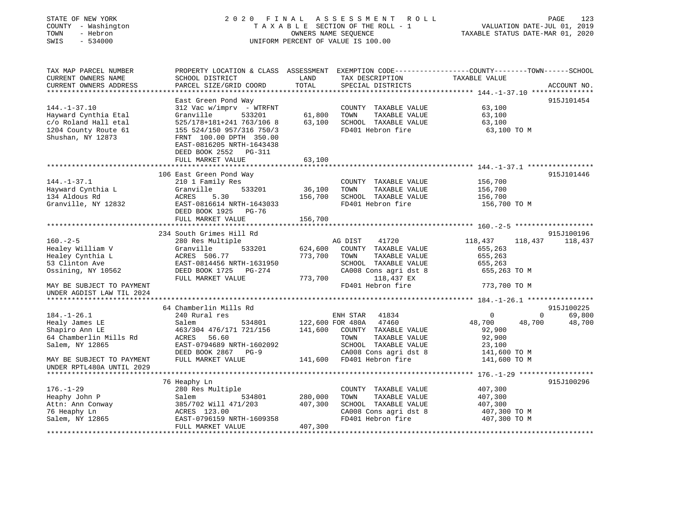| STATE OF NEW YORK<br>COUNTY - Washington<br>TOWN<br>- Hebron<br>SWIS<br>$-534000$                               |                                                                                                                                                                                                                                          | 2020 FINAL ASSESSMENT ROLL<br>TAXABLE SECTION OF THE ROLL - 1<br>OWNERS NAME SEQUENCE<br>UNIFORM PERCENT OF VALUE IS 100.00        |                                                                                                                  | PAGE<br>123<br>VALUATION DATE-JUL 01, 2019<br>TAXABLE STATUS DATE-MAR 01, 2020 |
|-----------------------------------------------------------------------------------------------------------------|------------------------------------------------------------------------------------------------------------------------------------------------------------------------------------------------------------------------------------------|------------------------------------------------------------------------------------------------------------------------------------|------------------------------------------------------------------------------------------------------------------|--------------------------------------------------------------------------------|
| TAX MAP PARCEL NUMBER<br>CURRENT OWNERS NAME<br>CURRENT OWNERS ADDRESS                                          | SCHOOL DISTRICT<br>PARCEL SIZE/GRID COORD                                                                                                                                                                                                | LAND<br>TAX DESCRIPTION<br>TOTAL<br>SPECIAL DISTRICTS                                                                              | PROPERTY LOCATION & CLASS ASSESSMENT EXEMPTION CODE----------------COUNTY-------TOWN-----SCHOOL<br>TAXABLE VALUE | ACCOUNT NO.                                                                    |
| $144. - 1 - 37.10$<br>Hayward Cynthia Etal<br>c/o Roland Hall etal<br>1204 County Route 61<br>Shushan, NY 12873 | East Green Pond Way<br>$312$ Vac w/imprv - WTRFNT<br>533201<br>Granville<br>525/178+181+241 763/106 8<br>155 524/150 957/316 750/3<br>FRNT 100.00 DPTH 350.00<br>EAST-0816205 NRTH-1643438<br>DEED BOOK 2552 PG-311<br>FULL MARKET VALUE | COUNTY TAXABLE VALUE<br>61,800<br>TOWN<br>63,100 SCHOOL TAXABLE VALUE<br>FD401 Hebron fire<br>63,100                               | 63,100<br>TAXABLE VALUE<br>63,100<br>63,100<br>63,100 TO M                                                       | 915J101454                                                                     |
|                                                                                                                 |                                                                                                                                                                                                                                          |                                                                                                                                    |                                                                                                                  |                                                                                |
| $144. - 1 - 37.1$<br>Hayward Cynthia L<br>134 Aldous Rd<br>Granville, NY 12832                                  | 106 East Green Pond Way<br>210 1 Family Res<br>Granville<br>533201<br>ACRES 5.30<br>EAST-0816614 NRTH-1643033                                                                                                                            | COUNTY TAXABLE VALUE<br>36,100<br>TOWN<br>156,700<br>SCHOOL TAXABLE VALUE<br>FD401 Hebron fire                                     | 156,700<br>TAXABLE VALUE<br>156,700<br>156,700<br>156,700 TO M                                                   | 915J101446                                                                     |
|                                                                                                                 | DEED BOOK 1925 PG-76                                                                                                                                                                                                                     |                                                                                                                                    |                                                                                                                  |                                                                                |
|                                                                                                                 | FULL MARKET VALUE                                                                                                                                                                                                                        | 156,700                                                                                                                            |                                                                                                                  |                                                                                |
|                                                                                                                 | 234 South Grimes Hill Rd                                                                                                                                                                                                                 |                                                                                                                                    |                                                                                                                  | 915J100196                                                                     |
| $160. - 2 - 5$<br>Healey William V<br>Healey Cynthia L<br>53 Clinton Ave<br>Ossining, NY 10562                  | 280 Res Multiple<br>Granville<br>533201<br>ACRES 506.77<br>EAST-0814456 NRTH-1631950<br>DEED BOOK 1725 PG-274<br>FULL MARKET VALUE                                                                                                       | AG DIST<br>41720<br>624,600<br>COUNTY TAXABLE VALUE<br>773,700<br>TOWN<br>SCHOOL TAXABLE VALUE<br>CA008 Cons agri dst 8<br>773,700 | 118,437<br>655,263<br>655,263<br>TAXABLE VALUE<br>655,263<br>655,263 TO M<br>118,437 EX                          | 118,437 118,437                                                                |
| MAY BE SUBJECT TO PAYMENT<br>UNDER AGDIST LAW TIL 2024                                                          |                                                                                                                                                                                                                                          | FD401 Hebron fire                                                                                                                  | 773,700 TO M                                                                                                     |                                                                                |
|                                                                                                                 |                                                                                                                                                                                                                                          |                                                                                                                                    |                                                                                                                  |                                                                                |
|                                                                                                                 | 64 Chamberlin Mills Rd                                                                                                                                                                                                                   |                                                                                                                                    |                                                                                                                  | 915J100225                                                                     |
| $184. - 1 - 26.1$<br>Healy James LE<br>Shapiro Ann LE<br>64 Chamberlin Mills Rd<br>Salem, NY 12865              | 240 Rural res<br>534801<br>Salem<br>463/304 476/171 721/156<br>ACRES 56.60<br>EAST-0794689 NRTH-1602092                                                                                                                                  | ENH STAR 41834<br>122,600 FOR 480A 47460<br>141,600<br>COUNTY TAXABLE VALUE<br>TOWN<br>SCHOOL TAXABLE VALUE                        | $\mathbf 0$<br>48,700<br>92,900<br>TAXABLE VALUE<br>92,900<br>23,100                                             | 69,800<br>$\mathbf 0$<br>48,700<br>48,700                                      |
| MAY BE SUBJECT TO PAYMENT<br>UNDER RPTL480A UNTIL 2029                                                          | DEED BOOK 2867 PG-9<br>FULL MARKET VALUE                                                                                                                                                                                                 | CA008 Cons agri dst 8<br>141,600 FD401 Hebron fire                                                                                 | 141,600 TO M<br>141,600 TO M                                                                                     |                                                                                |
|                                                                                                                 |                                                                                                                                                                                                                                          |                                                                                                                                    |                                                                                                                  |                                                                                |
|                                                                                                                 | 76 Heaphy Ln                                                                                                                                                                                                                             |                                                                                                                                    |                                                                                                                  | 915J100296                                                                     |
| $176. - 1 - 29$<br>Heaphy John P<br>Attn: Ann Conway                                                            | 280 Res Multiple<br>Salem<br>534801<br>385/702 Will 471/203                                                                                                                                                                              | COUNTY TAXABLE VALUE<br>280,000<br>TOWN<br>407,300<br>SCHOOL TAXABLE VALUE                                                         | 407,300<br>TAXABLE VALUE<br>407,300<br>407,300                                                                   |                                                                                |
| 76 Heaphy Ln                                                                                                    | ACRES 123.00                                                                                                                                                                                                                             | CA008 Cons agri dst 8                                                                                                              | 407,300 TO M                                                                                                     |                                                                                |
| Salem, NY 12865                                                                                                 | EAST-0796159 NRTH-1609358<br>FULL MARKET VALUE                                                                                                                                                                                           | FD401 Hebron fire<br>407,300<br>******************************                                                                     | 407,300 TO M                                                                                                     |                                                                                |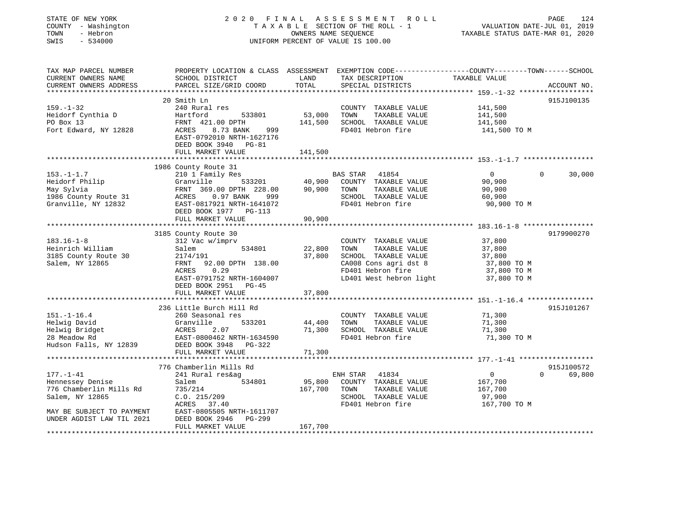| STATE OF NEW YORK                       | 2 0 2 0<br>FINAL                                                                                |                      | A S S E S S M E N T<br>R O L L                |                                              | 124<br>PAGE        |
|-----------------------------------------|-------------------------------------------------------------------------------------------------|----------------------|-----------------------------------------------|----------------------------------------------|--------------------|
| COUNTY - Washington                     |                                                                                                 |                      | TAXABLE SECTION OF THE ROLL - 1               | VALUATION DATE-JUL 01, 2019                  |                    |
| TOWN<br>- Hebron                        |                                                                                                 | OWNERS NAME SEQUENCE |                                               | TAXABLE STATUS DATE-MAR 01, 2020             |                    |
| SWIS<br>$-534000$                       |                                                                                                 |                      | UNIFORM PERCENT OF VALUE IS 100.00            |                                              |                    |
|                                         |                                                                                                 |                      |                                               |                                              |                    |
| TAX MAP PARCEL NUMBER                   | PROPERTY LOCATION & CLASS ASSESSMENT EXEMPTION CODE---------------COUNTY-------TOWN------SCHOOL |                      |                                               |                                              |                    |
| CURRENT OWNERS NAME                     | SCHOOL DISTRICT                                                                                 | LAND                 | TAX DESCRIPTION                               | TAXABLE VALUE                                |                    |
| CURRENT OWNERS ADDRESS                  | PARCEL SIZE/GRID COORD                                                                          | TOTAL                | SPECIAL DISTRICTS                             |                                              | ACCOUNT NO.        |
| *************************               |                                                                                                 |                      |                                               |                                              |                    |
|                                         | 20 Smith Ln                                                                                     |                      |                                               |                                              | 915J100135         |
| $159. - 1 - 32$                         | 240 Rural res                                                                                   |                      | COUNTY TAXABLE VALUE                          | 141,500                                      |                    |
| Heidorf Cynthia D                       | Hartford<br>533801                                                                              | 53,000               | TOWN<br>TAXABLE VALUE                         | 141,500                                      |                    |
| PO Box 13                               | FRNT 421.00 DPTH                                                                                | 141,500              | SCHOOL TAXABLE VALUE                          | 141,500                                      |                    |
| Fort Edward, NY 12828                   | ACRES<br>8.73 BANK<br>999                                                                       |                      | FD401 Hebron fire                             | 141,500 TO M                                 |                    |
|                                         | EAST-0792010 NRTH-1627176                                                                       |                      |                                               |                                              |                    |
|                                         | DEED BOOK 3940 PG-81                                                                            |                      |                                               |                                              |                    |
|                                         | FULL MARKET VALUE                                                                               | 141,500              |                                               |                                              |                    |
|                                         |                                                                                                 |                      |                                               |                                              |                    |
|                                         | 1986 County Route 31                                                                            |                      |                                               |                                              |                    |
| $153. - 1 - 1.7$                        | 210 1 Family Res                                                                                |                      | <b>BAS STAR</b><br>41854                      | $\mathbf{0}$                                 | $\Omega$<br>30,000 |
| Heidorf Philip                          | Granville<br>533201                                                                             | 40,900               | COUNTY TAXABLE VALUE                          | 90,900                                       |                    |
| May Sylvia                              | FRNT 369.00 DPTH 228.00                                                                         | 90,900               | TOWN<br>TAXABLE VALUE                         | 90,900                                       |                    |
| 1986 County Route 31                    | ACRES<br>0.97 BANK<br>999                                                                       |                      | SCHOOL TAXABLE VALUE                          | 60,900                                       |                    |
| Granville, NY 12832                     | EAST-0817921 NRTH-1641072                                                                       |                      | FD401 Hebron fire                             | 90,900 TO M                                  |                    |
|                                         | DEED BOOK 1977 PG-113                                                                           |                      |                                               |                                              |                    |
|                                         | FULL MARKET VALUE                                                                               | 90,900<br>********   |                                               |                                              |                    |
|                                         |                                                                                                 |                      |                                               | ************** 183.16-1-8 ****************** |                    |
|                                         | 3185 County Route 30                                                                            |                      |                                               |                                              | 9179900270         |
| $183.16 - 1 - 8$                        | 312 Vac w/imprv                                                                                 |                      | COUNTY TAXABLE VALUE                          | 37,800                                       |                    |
| Heinrich William                        | Salem<br>534801                                                                                 | 22,800<br>37,800     | TOWN<br>TAXABLE VALUE<br>SCHOOL TAXABLE VALUE | 37,800<br>37,800                             |                    |
| 3185 County Route 30<br>Salem, NY 12865 | 2174/191<br>FRNT<br>92.00 DPTH 138.00                                                           |                      | CA008 Cons agri dst 8                         | 37,800 TO M                                  |                    |
|                                         | ACRES<br>0.29                                                                                   |                      | FD401 Hebron fire                             | 37,800 TO M                                  |                    |
|                                         | EAST-0791752 NRTH-1604007                                                                       |                      | LD401 West hebron light                       | 37,800 TO M                                  |                    |
|                                         | DEED BOOK 2951<br>PG-45                                                                         |                      |                                               |                                              |                    |
|                                         | FULL MARKET VALUE                                                                               | 37,800               |                                               |                                              |                    |
|                                         |                                                                                                 |                      |                                               |                                              |                    |
|                                         | 236 Little Burch Hill Rd                                                                        |                      |                                               |                                              | 915J101267         |
| $151. - 1 - 16.4$                       | 260 Seasonal res                                                                                |                      | COUNTY TAXABLE VALUE                          | 71,300                                       |                    |
| Helwig David                            | Granville<br>533201                                                                             | 44,400               | TOWN<br>TAXABLE VALUE                         | 71,300                                       |                    |
| Helwig Bridget                          | ACRES<br>2.07                                                                                   | 71,300               | SCHOOL TAXABLE VALUE                          | 71,300                                       |                    |
| 28 Meadow Rd                            | EAST-0800462 NRTH-1634590                                                                       |                      | FD401 Hebron fire                             | 71,300 TO M                                  |                    |
| Hudson Falls, NY 12839                  | DEED BOOK 3948<br>PG-322                                                                        |                      |                                               |                                              |                    |
|                                         | FULL MARKET VALUE                                                                               | 71,300               |                                               |                                              |                    |
|                                         |                                                                                                 |                      |                                               |                                              |                    |
|                                         | 776 Chamberlin Mills Rd                                                                         |                      |                                               |                                              | 915J100572         |
| $177. - 1 - 41$                         | 241 Rural res&ag                                                                                |                      | ENH STAR<br>41834                             | $\overline{0}$                               | $\Omega$<br>69,800 |
| Hennessey Denise                        | 534801<br>Salem                                                                                 | 95,800               | COUNTY TAXABLE VALUE                          | 167,700                                      |                    |
| 776 Chamberlin Mills Rd                 | 735/214                                                                                         | 167,700              | TOWN<br>TAXABLE VALUE                         | 167,700                                      |                    |
| Salem, NY 12865                         | C.0.215/209                                                                                     |                      | SCHOOL TAXABLE VALUE                          | 97,900                                       |                    |
|                                         | ACRES 37.40                                                                                     |                      | FD401 Hebron fire                             | 167,700 TO M                                 |                    |
| MAY BE SUBJECT TO PAYMENT               | EAST-0805505 NRTH-1611707                                                                       |                      |                                               |                                              |                    |
| UNDER AGDIST LAW TIL 2021               | DEED BOOK 2946<br>PG-299                                                                        |                      |                                               |                                              |                    |
|                                         | FULL MARKET VALUE                                                                               | 167,700              |                                               |                                              |                    |
|                                         |                                                                                                 |                      |                                               |                                              |                    |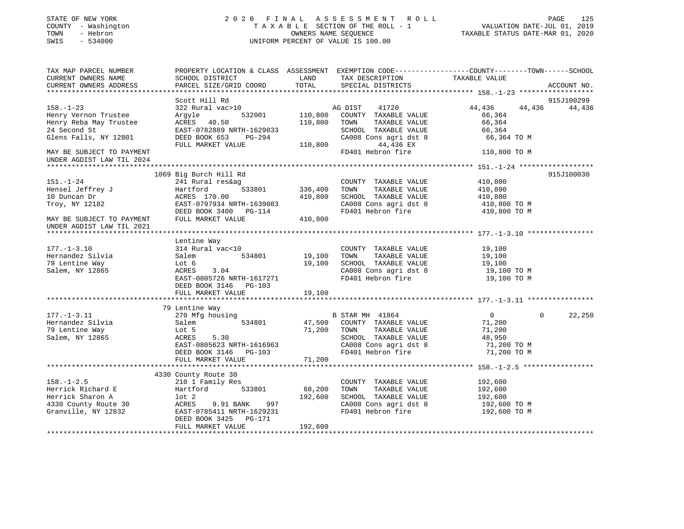| STATE OF NEW YORK<br>COUNTY - Washington<br>TOWN<br>- Hebron<br>$-534000$<br>SWIS |                                                                                                                                              |                    | 2020 FINAL ASSESSMENT ROLL<br>T A X A B L E SECTION OF THE ROLL - 1<br>OWNERS NAME SEQUENCE<br>UNIFORM PERCENT OF VALUE IS 100.00 | VALUATION DATE-JUL 01, 2019<br>TAXABLE STATUS DATE-MAR 01, 2020 | 125<br>PAGE        |
|-----------------------------------------------------------------------------------|----------------------------------------------------------------------------------------------------------------------------------------------|--------------------|-----------------------------------------------------------------------------------------------------------------------------------|-----------------------------------------------------------------|--------------------|
| TAX MAP PARCEL NUMBER<br>CURRENT OWNERS NAME<br>CURRENT OWNERS ADDRESS            | PROPERTY LOCATION & CLASS ASSESSMENT EXEMPTION CODE---------------COUNTY-------TOWN------SCHOOL<br>SCHOOL DISTRICT<br>PARCEL SIZE/GRID COORD | LAND<br>TOTAL      | TAX DESCRIPTION TAXABLE VALUE<br>SPECIAL DISTRICTS                                                                                |                                                                 | ACCOUNT NO.        |
|                                                                                   |                                                                                                                                              |                    |                                                                                                                                   |                                                                 |                    |
|                                                                                   | Scott Hill Rd                                                                                                                                |                    |                                                                                                                                   |                                                                 | 915J100299         |
| $158. - 1 - 23$                                                                   | 322 Rural vac>10                                                                                                                             |                    | AG DIST<br>41720                                                                                                                  | 44,436                                                          | 44,436 44,436      |
| Henry Vernon Trustee<br>Henry Reba May Trustee                                    | 532001<br>Argyle<br>ACRES 40.50                                                                                                              | 110,800<br>110,800 | COUNTY TAXABLE VALUE<br>TAXABLE VALUE<br>TOWN                                                                                     | 66,364<br>66,364                                                |                    |
| 24 Second St                                                                      | EAST-0782889 NRTH-1629033                                                                                                                    |                    | SCHOOL TAXABLE VALUE                                                                                                              | 66,364                                                          |                    |
| Glens Falls, NY 12801                                                             | DEED BOOK 653<br>PG-294                                                                                                                      |                    | CA008 Cons agri dst 8                                                                                                             | 66,364 ТО М                                                     |                    |
|                                                                                   | FULL MARKET VALUE                                                                                                                            | 110,800            | 44,436 EX                                                                                                                         |                                                                 |                    |
| MAY BE SUBJECT TO PAYMENT                                                         |                                                                                                                                              |                    | FD401 Hebron fire                                                                                                                 | 110,800 TO M                                                    |                    |
| UNDER AGDIST LAW TIL 2024                                                         |                                                                                                                                              |                    |                                                                                                                                   |                                                                 |                    |
|                                                                                   |                                                                                                                                              |                    |                                                                                                                                   |                                                                 |                    |
|                                                                                   | 1069 Big Burch Hill Rd                                                                                                                       |                    |                                                                                                                                   |                                                                 | 915J100030         |
| $151. - 1 - 24$                                                                   | 241 Rural res&ag                                                                                                                             |                    | COUNTY TAXABLE VALUE                                                                                                              | 410,800                                                         |                    |
| Hensel Jeffrey J                                                                  | 533801<br>Hartford                                                                                                                           | 336,400            | TOWN<br>TAXABLE VALUE                                                                                                             | 410,800                                                         |                    |
| 10 Duncan Dr                                                                      | ACRES 170.00                                                                                                                                 | 410,800            | SCHOOL TAXABLE VALUE                                                                                                              | 410,800                                                         |                    |
| Troy, NY 12182                                                                    | EAST-0797934 NRTH-1639083                                                                                                                    |                    | CA008 Cons agri dst 8                                                                                                             | 410,800 TO M                                                    |                    |
|                                                                                   | DEED BOOK 3400 PG-114                                                                                                                        |                    | FD401 Hebron fire                                                                                                                 | 410,800 TO M                                                    |                    |
| MAY BE SUBJECT TO PAYMENT<br>UNDER AGDIST LAW TIL 2021                            | FULL MARKET VALUE                                                                                                                            | 410,800            |                                                                                                                                   |                                                                 |                    |
|                                                                                   |                                                                                                                                              |                    |                                                                                                                                   |                                                                 |                    |
|                                                                                   | Lentine Way                                                                                                                                  |                    |                                                                                                                                   |                                                                 |                    |
| $177. - 1 - 3.10$                                                                 | 314 Rural vac<10                                                                                                                             |                    | COUNTY TAXABLE VALUE                                                                                                              | 19,100                                                          |                    |
| Hernandez Silvia                                                                  | 534801<br>Salem                                                                                                                              | 19,100             | TAXABLE VALUE<br>TOWN                                                                                                             | 19,100                                                          |                    |
| 79 Lentine Way                                                                    | Lot 6                                                                                                                                        | 19,100             | SCHOOL TAXABLE VALUE                                                                                                              | 19,100                                                          |                    |
| Salem, NY 12865                                                                   | ACRES<br>3.04                                                                                                                                |                    | CA008 Cons agri dst 8<br>FD401 Hebron fire                                                                                        | 19,100 TO M                                                     |                    |
|                                                                                   | EAST-0805726 NRTH-1617271<br>DEED BOOK 3146 PG-103                                                                                           |                    |                                                                                                                                   | 19,100 TO M                                                     |                    |
|                                                                                   | FULL MARKET VALUE                                                                                                                            | 19,100             |                                                                                                                                   |                                                                 |                    |
|                                                                                   |                                                                                                                                              |                    |                                                                                                                                   |                                                                 |                    |
|                                                                                   | 79 Lentine Way                                                                                                                               |                    |                                                                                                                                   |                                                                 |                    |
| $177. - 1 - 3.11$                                                                 | 270 Mfg housing                                                                                                                              |                    | B STAR MH 41864                                                                                                                   | $\overline{0}$                                                  | $\Omega$<br>22,250 |
| Hernandez Silvia                                                                  | 534801<br>Salem                                                                                                                              |                    | 47,500 COUNTY TAXABLE VALUE                                                                                                       | 71,200                                                          |                    |
| 79 Lentine Way                                                                    | Lot 5                                                                                                                                        | 71,200             | TOWN<br>TAXABLE VALUE                                                                                                             | 71,200                                                          |                    |
| Salem, NY 12865                                                                   | ACRES<br>5.30                                                                                                                                |                    | SCHOOL TAXABLE VALUE                                                                                                              | 48,950                                                          |                    |
|                                                                                   | EAST-0805623 NRTH-1616963                                                                                                                    |                    | CA008 Cons agri dst 8                                                                                                             | 71,200 TO M                                                     |                    |
|                                                                                   | DEED BOOK 3146 PG-103                                                                                                                        |                    | FD401 Hebron fire                                                                                                                 | 71,200 TO M                                                     |                    |
|                                                                                   | FULL MARKET VALUE                                                                                                                            | 71,200             |                                                                                                                                   |                                                                 |                    |
|                                                                                   |                                                                                                                                              |                    |                                                                                                                                   |                                                                 |                    |
|                                                                                   | 4330 County Route 30                                                                                                                         |                    |                                                                                                                                   |                                                                 |                    |
| $158. - 1 - 2.5$                                                                  | 210 1 Family Res                                                                                                                             |                    | COUNTY TAXABLE VALUE                                                                                                              | 192,600                                                         |                    |
| Herrick Richard E                                                                 | Hartford 533801                                                                                                                              | 68,200             | TAXABLE VALUE<br>TOWN                                                                                                             | 192,600                                                         |                    |
| Herrick Sharon A                                                                  | lot 2                                                                                                                                        | 192,600            | SCHOOL TAXABLE VALUE                                                                                                              | 192,600                                                         |                    |
| 4330 County Route 30                                                              | ACRES<br>9.91 BANK<br>997                                                                                                                    |                    | CA008 Cons agri dst 8                                                                                                             | 192,600 TO M                                                    |                    |
| Granville, NY 12832                                                               | EAST-0785411 NRTH-1629231<br>DEED BOOK 3425 PG-171                                                                                           |                    | FD401 Hebron fire                                                                                                                 | 192,600 TO M                                                    |                    |
|                                                                                   | FULL MARKET VALUE                                                                                                                            | 192,600            |                                                                                                                                   |                                                                 |                    |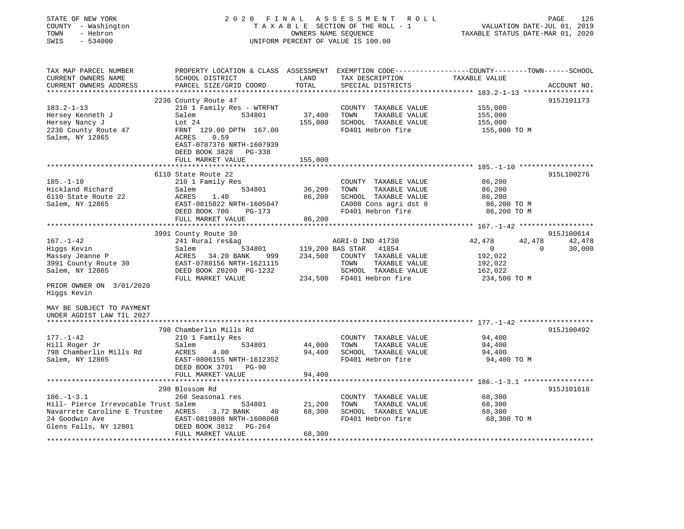| STATE OF NEW YORK<br>COUNTY - Washington<br>- Hebron<br>TOWN<br>SWIS<br>$-534000$                                        |                                                                                                                                                | OWNERS NAME SEQUENCE | 2020 FINAL ASSESSMENT ROLL<br>TAXABLE SECTION OF THE ROLL - 1<br>UNIFORM PERCENT OF VALUE IS 100.00                                                      | VALUATION DATE-JUL 01, 2019<br>TAXABLE STATUS DATE-MAR 01, 2020                                 | PAGE<br>126      |
|--------------------------------------------------------------------------------------------------------------------------|------------------------------------------------------------------------------------------------------------------------------------------------|----------------------|----------------------------------------------------------------------------------------------------------------------------------------------------------|-------------------------------------------------------------------------------------------------|------------------|
| TAX MAP PARCEL NUMBER<br>CURRENT OWNERS NAME<br>CURRENT OWNERS ADDRESS                                                   | PROPERTY LOCATION & CLASS ASSESSMENT EXEMPTION CODE---------------COUNTY-------TOWN-----SCHOOL<br>SCHOOL DISTRICT<br>PARCEL SIZE/GRID COORD    | LAND<br>TOTAL        | TAX DESCRIPTION<br>SPECIAL DISTRICTS                                                                                                                     | TAXABLE VALUE                                                                                   | ACCOUNT NO.      |
|                                                                                                                          | 2236 County Route 47                                                                                                                           |                      |                                                                                                                                                          |                                                                                                 | 915J101173       |
| $183.2 - 1 - 13$<br>Hersey Kenneth J<br>Hersey Nancy J<br>2236 County Route 47<br>Salem, NY 12865                        | 210 1 Family Res - WTRFNT<br>534801<br>Salem<br>Lot 24<br>FRNT 129.00 DPTH 167.00<br>0.59<br>ACRES<br>EAST-0787376 NRTH-1607939                | 37,400<br>155,000    | COUNTY TAXABLE VALUE<br>TOWN<br>TAXABLE VALUE<br>SCHOOL TAXABLE VALUE<br>FD401 Hebron fire                                                               | 155,000<br>155,000<br>155,000<br>155,000 TO M                                                   |                  |
|                                                                                                                          | DEED BOOK 3828 PG-338<br>FULL MARKET VALUE                                                                                                     | 155,000              |                                                                                                                                                          |                                                                                                 |                  |
|                                                                                                                          | 6110 State Route 22                                                                                                                            |                      |                                                                                                                                                          |                                                                                                 | 915L100276       |
| $185. - 1 - 10$<br>Hickland Richard<br>6110 State Route 22<br>Salem, NY 12865                                            | 210 1 Family Res<br>534801<br>Salem<br>ACRES<br>1.40<br>EAST-0815022 NRTH-1605047<br>DEED BOOK 700<br>PG-173                                   | 36,200<br>86,200     | COUNTY TAXABLE VALUE<br>TOWN<br>TAXABLE VALUE<br>SCHOOL TAXABLE VALUE<br>CA008 Cons agri dst 8<br>FD401 Hebron fire                                      | 86,200<br>86,200<br>86,200<br>86,200 TO M<br>86,200 TO M                                        |                  |
|                                                                                                                          | FULL MARKET VALUE                                                                                                                              | 86,200               |                                                                                                                                                          |                                                                                                 |                  |
|                                                                                                                          | 3991 County Route 30                                                                                                                           |                      |                                                                                                                                                          |                                                                                                 | 915J100614       |
| $167. - 1 - 42$<br>Higgs Kevin<br>Massey Jeanne P<br>3991 County Route 30<br>Salem, NY 12865                             | 241 Rural res&ag<br>534801<br>Salem<br>34.20 BANK<br>ACRES<br>999<br>EAST-0788156 NRTH-1621115<br>DEED BOOK 20200 PG-1232<br>FULL MARKET VALUE |                      | AGRI-D IND 41730<br>119,200 BAS STAR 41854<br>234,500 COUNTY TAXABLE VALUE<br>TOWN<br>TAXABLE VALUE<br>SCHOOL TAXABLE VALUE<br>234,500 FD401 Hebron fire | 42,478<br>42,478<br>$\overline{0}$<br>$\Omega$<br>192,022<br>192,022<br>162,022<br>234,500 TO M | 42,478<br>30,000 |
| PRIOR OWNER ON 3/01/2020<br>Higgs Kevin                                                                                  |                                                                                                                                                |                      |                                                                                                                                                          |                                                                                                 |                  |
| MAY BE SUBJECT TO PAYMENT<br>UNDER AGDIST LAW TIL 2027                                                                   |                                                                                                                                                |                      |                                                                                                                                                          |                                                                                                 |                  |
|                                                                                                                          | 798 Chamberlin Mills Rd                                                                                                                        |                      |                                                                                                                                                          |                                                                                                 | 915J100492       |
| $177. - 1 - 42$<br>Hill Roger Jr<br>798 Chamberlin Mills Rd<br>Salem, NY 12865                                           | 210 1 Family Res<br>Salem<br>534801<br>ACRES<br>4.00<br>EAST-0806155 NRTH-1612352<br>DEED BOOK 3701 PG-90                                      | 44,000<br>94,400     | COUNTY TAXABLE VALUE<br>TOWN<br>TAXABLE VALUE<br>SCHOOL TAXABLE VALUE<br>FD401 Hebron fire                                                               | 94,400<br>94,400<br>94,400<br>94,400 TO M                                                       |                  |
|                                                                                                                          | FULL MARKET VALUE                                                                                                                              | 94,400               |                                                                                                                                                          |                                                                                                 |                  |
| *******************                                                                                                      | ************************                                                                                                                       |                      |                                                                                                                                                          |                                                                                                 |                  |
| $186. - 1 - 3.1$                                                                                                         | 298 Blossom Rd<br>260 Seasonal res                                                                                                             |                      | COUNTY TAXABLE VALUE                                                                                                                                     | 68,300                                                                                          | 915J101618       |
| Hill- Pierce Irrevocable Trust Salem                                                                                     | 534801                                                                                                                                         | 21,200               | TOWN<br>TAXABLE VALUE                                                                                                                                    | 68,300                                                                                          |                  |
| Navarrete Caroline E Trustee ACRES<br>24 Goodwin Ave 6 EAST-0819808 NRTH-1608068<br>Glens Falls, NY 12801 DEED BOOK 3812 | 3.72 BANK<br>40<br>PG-264                                                                                                                      | 68,300               | SCHOOL TAXABLE VALUE<br>FD401 Hebron fire                                                                                                                | 68,300<br>68,300 TO M                                                                           |                  |
|                                                                                                                          | FULL MARKET VALUE                                                                                                                              | 68,300               |                                                                                                                                                          |                                                                                                 |                  |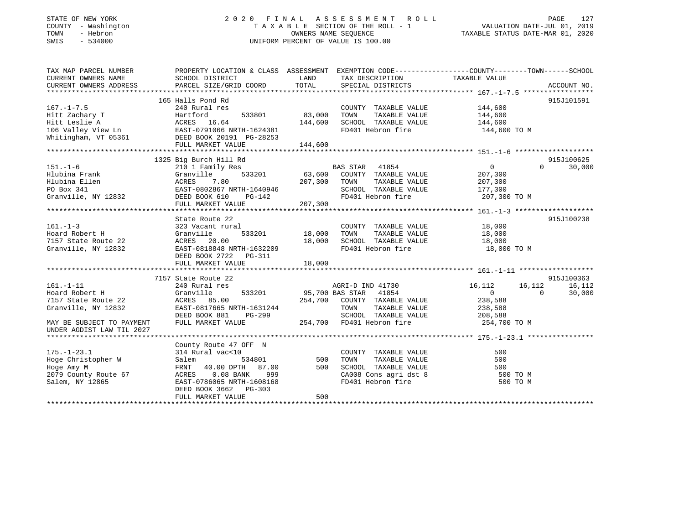### STATE OF NEW YORK 2 0 2 0 F I N A L A S S E S S M E N T R O L L PAGE 127 COUNTY - Washington T A X A B L E SECTION OF THE ROLL - 1 VALUATION DATE-JUL 01, 2019 TOWN - Hebron OWNERS NAME SEQUENCE TAXABLE STATUS DATE-MAR 01, 2020 SWIS - 534000 UNIFORM PERCENT OF VALUE IS 100.00

| TAX MAP PARCEL NUMBER                                                                                                                                                                                                           | PROPERTY LOCATION & CLASS ASSESSMENT EXEMPTION CODE----------------COUNTY-------TOWN------SCHOOL      |        |                                                              |                                            |                          |
|---------------------------------------------------------------------------------------------------------------------------------------------------------------------------------------------------------------------------------|-------------------------------------------------------------------------------------------------------|--------|--------------------------------------------------------------|--------------------------------------------|--------------------------|
| CURRENT OWNERS NAME                                                                                                                                                                                                             | SCHOOL DISTRICT                                                                                       | LAND   | TAX DESCRIPTION TAXABLE VALUE                                |                                            |                          |
|                                                                                                                                                                                                                                 |                                                                                                       |        |                                                              |                                            |                          |
|                                                                                                                                                                                                                                 |                                                                                                       |        |                                                              |                                            |                          |
|                                                                                                                                                                                                                                 | 165 Halls Pond Rd                                                                                     |        |                                                              |                                            | 915J101591               |
| $167. - 1 - 7.5$                                                                                                                                                                                                                | Halls Pond Rd<br>240 Rural res                                                                        |        | COUNTY TAXABLE VALUE 144,600                                 |                                            |                          |
|                                                                                                                                                                                                                                 |                                                                                                       |        | TOWN                                                         | TAXABLE VALUE 144,600                      |                          |
|                                                                                                                                                                                                                                 |                                                                                                       |        | SCHOOL TAXABLE VALUE 144,600                                 |                                            |                          |
|                                                                                                                                                                                                                                 |                                                                                                       |        | FD401 Hebron fire                                            | 144,600 TO M                               |                          |
| 167.-1-7.5<br>Hitt Zachary T<br>Hitt Leslie A (ACRES 16.64 144,600<br>106 Valley View Ln<br>Whitingham, VT 05361 DEAST-0791066 NRTH-1624381<br>Whitingham, VT 05361 DEED BOOK 20191 PG-28253<br>THE MENTE MATTER MATTER 144 600 |                                                                                                       |        |                                                              |                                            |                          |
|                                                                                                                                                                                                                                 |                                                                                                       |        |                                                              |                                            |                          |
|                                                                                                                                                                                                                                 |                                                                                                       |        |                                                              |                                            |                          |
|                                                                                                                                                                                                                                 | 1325 Big Burch Hill Rd                                                                                |        |                                                              |                                            | 915J100625               |
|                                                                                                                                                                                                                                 |                                                                                                       |        |                                                              | $\overline{0}$                             |                          |
|                                                                                                                                                                                                                                 |                                                                                                       |        |                                                              |                                            |                          |
|                                                                                                                                                                                                                                 |                                                                                                       |        |                                                              |                                            |                          |
|                                                                                                                                                                                                                                 |                                                                                                       |        |                                                              |                                            |                          |
|                                                                                                                                                                                                                                 |                                                                                                       |        |                                                              |                                            |                          |
|                                                                                                                                                                                                                                 |                                                                                                       |        |                                                              |                                            |                          |
|                                                                                                                                                                                                                                 |                                                                                                       |        |                                                              |                                            |                          |
|                                                                                                                                                                                                                                 | State Route 22                                                                                        |        |                                                              |                                            | 915J100238               |
| $161. - 1 - 3$                                                                                                                                                                                                                  | 323 Vacant rural                                                                                      |        | COUNTY TAXABLE VALUE 18,000                                  |                                            |                          |
| Hoard Robert H                                                                                                                                                                                                                  |                                                                                                       |        | TOWN<br>TAXABLE VALUE                                        | 18,000                                     |                          |
| 7157 State Route 22                                                                                                                                                                                                             | $\begin{array}{cccc}\n & 18,000 \\  & & 533201 \\  & & 18,000\n \end{array}$                          |        | SCHOOL TAXABLE VALUE 18,000                                  |                                            |                          |
| Granville, NY 12832                                                                                                                                                                                                             | 323 Vacant rural<br>Granville 533201 18,000<br>ACRES 20.00 18,000<br>EAST-0818848 NRTH-1632209 18,000 |        | FD401 Hebron fire 18,000 TO M                                |                                            |                          |
|                                                                                                                                                                                                                                 | DEED BOOK 2722 PG-311                                                                                 |        |                                                              |                                            |                          |
|                                                                                                                                                                                                                                 | FULL MARKET VALUE                                                                                     | 18,000 |                                                              |                                            |                          |
|                                                                                                                                                                                                                                 |                                                                                                       |        |                                                              |                                            |                          |
|                                                                                                                                                                                                                                 | 7157 State Route 22                                                                                   |        |                                                              |                                            | 915J100363               |
| $161. - 1 - 11$                                                                                                                                                                                                                 | 240 Rural res                                                                                         |        | AGRI-D IND 41730 16,112                                      |                                            | 16, 112 16, 112          |
|                                                                                                                                                                                                                                 | Granville                                                                                             |        |                                                              |                                            | 30,000<br>$\overline{0}$ |
| Hoard Robert H<br>7157 State Route 22                                                                                                                                                                                           | ACRES 85.00                                                                                           |        | 533201 95,700 BAS STAR 41854<br>254,700 COUNTY TAXABLE VALUE | $\begin{array}{c} 0 \ 238,588 \end{array}$ |                          |
| Granville, NY 12832                                                                                                                                                                                                             | EAST-0817665 NRTH-1631244                                                                             |        | TOWN                                                         | TAXABLE VALUE 238,588                      |                          |
|                                                                                                                                                                                                                                 | $PG-299$<br>DEED BOOK 881                                                                             |        |                                                              |                                            |                          |
| MAY BE SUBJECT TO PAYMENT                                                                                                                                                                                                       | FULL MARKET VALUE                                                                                     |        | SCHOOL TAXABLE VALUE<br>254,700 FD401 Hebron fire            | 208,588<br>254,700 TO M                    |                          |
| UNDER AGDIST LAW TIL 2027                                                                                                                                                                                                       |                                                                                                       |        |                                                              |                                            |                          |
|                                                                                                                                                                                                                                 |                                                                                                       |        |                                                              |                                            |                          |
|                                                                                                                                                                                                                                 | County Route 47 OFF N                                                                                 |        |                                                              |                                            |                          |
| $175. - 1 - 23.1$                                                                                                                                                                                                               |                                                                                                       |        | COUNTY TAXABLE VALUE                                         | 500                                        |                          |
|                                                                                                                                                                                                                                 |                                                                                                       |        | TAXABLE VALUE<br>TOWN                                        | 500                                        |                          |
| Hoge Christopher W<br>Hoge Amy M<br>Hoge Amy M                                                                                                                                                                                  | 314 Rural vac<10<br>Salem 534801 500<br>FRNT 40.00 DPTH 87.00 500                                     |        | SCHOOL TAXABLE VALUE                                         | 500                                        |                          |
|                                                                                                                                                                                                                                 |                                                                                                       |        | CA008 Cons agri dst 8 500 TO M                               |                                            |                          |
| 2079 County Route 67<br>Salem, NY 12865<br>Salem, NY 12865                                                                                                                                                                      | ACRES 0.08 BANK 999<br>EAST-0786065 NRTH-1608168                                                      |        | FD401 Hebron fire                                            | 500 TO M                                   |                          |
|                                                                                                                                                                                                                                 | DEED BOOK 3662 PG-303                                                                                 |        |                                                              |                                            |                          |
|                                                                                                                                                                                                                                 | FULL MARKET VALUE                                                                                     | 500    |                                                              |                                            |                          |
|                                                                                                                                                                                                                                 |                                                                                                       |        |                                                              |                                            |                          |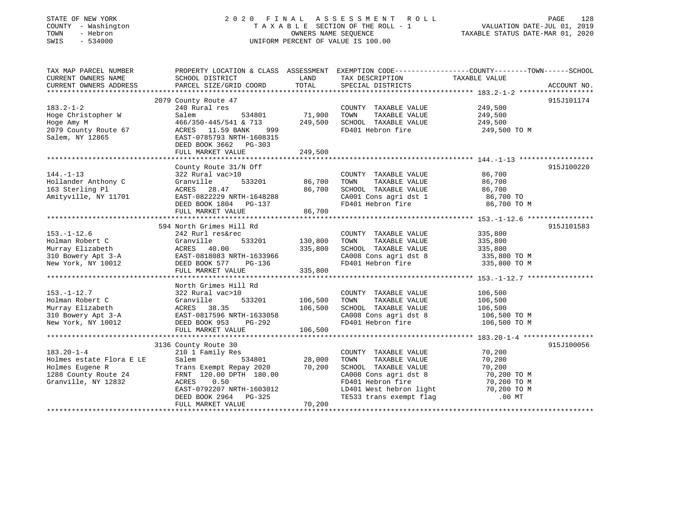### STATE OF NEW YORK 2 0 2 0 F I N A L A S S E S S M E N T R O L L PAGE 128 COUNTY - Washington T A X A B L E SECTION OF THE ROLL - 1 VALUATION DATE-JUL 01, 2019 TOWN - Hebron OWNERS NAME SEQUENCE TAXABLE STATUS DATE-MAR 01, 2020 SWIS - 534000 UNIFORM PERCENT OF VALUE IS 100.00

| TAX MAP PARCEL NUMBER                                                                                                                                                                            |                           |                |                                                                                                        | PROPERTY LOCATION & CLASS ASSESSMENT EXEMPTION CODE----------------COUNTY-------TOWN------SCHOOL |             |
|--------------------------------------------------------------------------------------------------------------------------------------------------------------------------------------------------|---------------------------|----------------|--------------------------------------------------------------------------------------------------------|--------------------------------------------------------------------------------------------------|-------------|
| CURRENT OWNERS NAME                                                                                                                                                                              | SCHOOL DISTRICT           | LAND           | TAX DESCRIPTION                                                                                        | TAXABLE VALUE                                                                                    |             |
| CURRENT OWNERS ADDRESS                                                                                                                                                                           | PARCEL SIZE/GRID COORD    | TOTAL          | SPECIAL DISTRICTS                                                                                      |                                                                                                  | ACCOUNT NO. |
|                                                                                                                                                                                                  |                           |                |                                                                                                        |                                                                                                  |             |
|                                                                                                                                                                                                  | 2079 County Route 47      |                |                                                                                                        |                                                                                                  | 915J101174  |
| $183.2 - 1 - 2$                                                                                                                                                                                  | 240 Rural res             |                | COUNTY TAXABLE VALUE 249,500                                                                           |                                                                                                  |             |
| Hoge Christopher W                                                                                                                                                                               | Salem<br>534801           | 71,900         | TOWN<br>TAXABLE VALUE                                                                                  | 249,500                                                                                          |             |
| Hoge Amy M                                                                                                                                                                                       | 466/350-445/541 & 713     | 249,500        | SCHOOL TAXABLE VALUE                                                                                   | 249,500                                                                                          |             |
| 2079 County Route 67                                                                                                                                                                             | ACRES 11.59 BANK<br>999   |                | FD401 Hebron fire                                                                                      | 249,500 TO M                                                                                     |             |
| Salem, NY 12865                                                                                                                                                                                  | EAST-0785793 NRTH-1608315 |                |                                                                                                        |                                                                                                  |             |
|                                                                                                                                                                                                  | DEED BOOK 3662 PG-303     |                |                                                                                                        |                                                                                                  |             |
|                                                                                                                                                                                                  | FULL MARKET VALUE         | 249,500        |                                                                                                        |                                                                                                  |             |
|                                                                                                                                                                                                  |                           |                |                                                                                                        |                                                                                                  |             |
|                                                                                                                                                                                                  | County Route 31/N Off     |                |                                                                                                        |                                                                                                  | 915J100220  |
| $144. - 1 - 13$                                                                                                                                                                                  | 322 Rural vac>10          |                | COUNTY TAXABLE VALUE                                                                                   | 86,700                                                                                           |             |
| Hollander Anthony C                                                                                                                                                                              | Granville                 | 533201 86,700  | TAXABLE VALUE<br>TOWN                                                                                  | 86,700                                                                                           |             |
| 163 Sterling Pl                                                                                                                                                                                  | ACRES 28.47               | 86,700         | SCHOOL TAXABLE VALUE 86,700                                                                            |                                                                                                  |             |
| Amityville, NY 11701 EAST-0822229 NRTH-1648288                                                                                                                                                   |                           |                |                                                                                                        |                                                                                                  |             |
|                                                                                                                                                                                                  |                           |                | CA001 Cons agri dst 1 86,700 TO<br>FD401 Hebron fire 86,700 TO M                                       |                                                                                                  |             |
|                                                                                                                                                                                                  | FULL MARKET VALUE         | 86,700         |                                                                                                        |                                                                                                  |             |
|                                                                                                                                                                                                  |                           |                |                                                                                                        |                                                                                                  |             |
|                                                                                                                                                                                                  | 594 North Grimes Hill Rd  |                |                                                                                                        |                                                                                                  | 915J101583  |
| $153. - 1 - 12.6$                                                                                                                                                                                | 242 Rurl res&rec          |                | COUNTY TAXABLE VALUE                                                                                   |                                                                                                  |             |
|                                                                                                                                                                                                  |                           |                | TAXABLE VALUE<br>TOWN                                                                                  | 335,800<br>335,800                                                                               |             |
| 153.-1-12.0<br>Holman Robert C (17 Granville 188201<br>Murray Elizabeth (17 Granville 1883201<br>310 Bowery Apt 3-A (1885-0818083 NRTH-1633966<br>New York, NY 10012 (1895) DEED BOOK 577 PG-136 |                           | 335,800        | SCHOOL TAXABLE VALUE 335,800<br>CA008 Cons agri dst 8 335,800 TO M                                     |                                                                                                  |             |
|                                                                                                                                                                                                  |                           |                |                                                                                                        |                                                                                                  |             |
|                                                                                                                                                                                                  |                           |                | CA008 Cons agri dst 8 335,800 TO M<br>FD401 Hebron fire 335,800 TO M                                   |                                                                                                  |             |
|                                                                                                                                                                                                  | FULL MARKET VALUE         | 335,800        |                                                                                                        |                                                                                                  |             |
|                                                                                                                                                                                                  |                           |                |                                                                                                        |                                                                                                  |             |
|                                                                                                                                                                                                  | North Grimes Hill Rd      |                |                                                                                                        |                                                                                                  |             |
| $153. - 1 - 12.7$                                                                                                                                                                                | 322 Rural vac>10          |                | COUNTY TAXABLE VALUE                                                                                   | 106,500                                                                                          |             |
| Holman Robert C                                                                                                                                                                                  | Granville                 | 533201 106,500 | TAXABLE VALUE<br>TOWN                                                                                  | 106,500                                                                                          |             |
|                                                                                                                                                                                                  | ACRES 38.35               | 106,500        |                                                                                                        |                                                                                                  |             |
| Murray Elizabeth                         ACRES     38.35                       106,50<br>310 Bowery Apt 3-A               EAST-0817596 NRTH-1633058                                              |                           |                |                                                                                                        | $106,500$ TO M<br>$106,500$ TO M                                                                 |             |
| New York, NY 10012 DEED BOOK 953                                                                                                                                                                 | $PG-292$                  |                | SCHOOL TAXABLE VALUE 106,500<br>CA008 Cons agri dst 8 106,500 TO M<br>FD401 Hebron fire 106,500 TO M   |                                                                                                  |             |
|                                                                                                                                                                                                  |                           |                |                                                                                                        |                                                                                                  |             |
|                                                                                                                                                                                                  |                           |                |                                                                                                        |                                                                                                  |             |
|                                                                                                                                                                                                  | 3136 County Route 30      |                |                                                                                                        |                                                                                                  | 915J100056  |
| $183.20 - 1 - 4$                                                                                                                                                                                 | 210 1 Family Res          |                | COUNTY TAXABLE VALUE                                                                                   | 70,200                                                                                           |             |
| Holmes estate Flora E LE                                                                                                                                                                         | Salem                     | 534801 28,000  | TOWN<br>TAXABLE VALUE                                                                                  | 70,200                                                                                           |             |
|                                                                                                                                                                                                  |                           | 70,200         | SCHOOL TAXABLE VALUE                                                                                   | 70,200                                                                                           |             |
|                                                                                                                                                                                                  |                           |                | CA008 Cons agri dst 8                                                                                  | 70,200 TO M                                                                                      |             |
| Granville, NY 12832                                                                                                                                                                              | ACRES<br>0.50             |                |                                                                                                        |                                                                                                  |             |
|                                                                                                                                                                                                  | EAST-0792207 NRTH-1603012 |                |                                                                                                        |                                                                                                  |             |
|                                                                                                                                                                                                  | DEED BOOK 2964 PG-325     |                | FD401 Hebron fire 70,200 TO M<br>LD401 West hebron light 70,200 TO M<br>TE533 trans exempt flag 100 MT |                                                                                                  |             |
|                                                                                                                                                                                                  | FULL MARKET VALUE         | 70,200         |                                                                                                        |                                                                                                  |             |
|                                                                                                                                                                                                  |                           |                |                                                                                                        |                                                                                                  |             |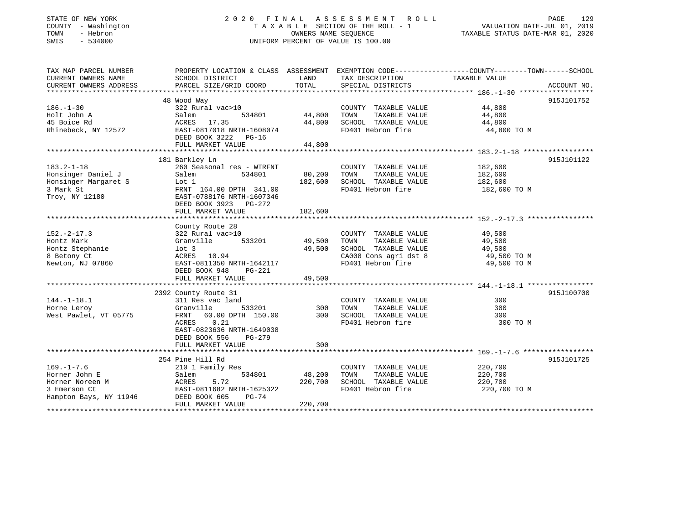### STATE OF NEW YORK 2 0 2 0 F I N A L A S S E S S M E N T R O L L PAGE 129 COUNTY - Washington T A X A B L E SECTION OF THE ROLL - 1 VALUATION DATE-JUL 01, 2019 TOWN - Hebron OWNERS NAME SEQUENCE TAXABLE STATUS DATE-MAR 01, 2020 SWIS - 534000 UNIFORM PERCENT OF VALUE IS 100.00

| TAX MAP PARCEL NUMBER<br>CURRENT OWNERS NAME | SCHOOL DISTRICT                                                         | LAND       | TAX DESCRIPTION TAXABLE VALUE                         | PROPERTY LOCATION & CLASS ASSESSMENT EXEMPTION CODE---------------COUNTY-------TOWN-----SCHOOL |             |
|----------------------------------------------|-------------------------------------------------------------------------|------------|-------------------------------------------------------|------------------------------------------------------------------------------------------------|-------------|
| CURRENT OWNERS ADDRESS                       | PARCEL SIZE/GRID COORD                                                  | TOTAL      | SPECIAL DISTRICTS                                     |                                                                                                | ACCOUNT NO. |
|                                              |                                                                         |            |                                                       |                                                                                                | 915J101752  |
| $186. - 1 - 30$                              | 48 Wood Way<br>322 Rural vac>10                                         |            | COUNTY TAXABLE VALUE                                  | 44,800                                                                                         |             |
| Holt John A                                  | Salem<br>534801                                                         | 44,800     | TAXABLE VALUE<br>TOWN                                 | 44,800                                                                                         |             |
| 45 Boice Rd                                  | ACRES 17.35                                                             | 44,800     | SCHOOL TAXABLE VALUE                                  | 44,800                                                                                         |             |
| Rhinebeck, NY 12572                          | EAST-0817018 NRTH-1608074<br>DEED BOOK 3222 PG-16<br>FULL MARKET VALUE  | 44,800     | FD401 Hebron fire                                     | 44,800 TO M                                                                                    |             |
|                                              |                                                                         |            |                                                       |                                                                                                |             |
|                                              | 181 Barkley Ln                                                          |            |                                                       |                                                                                                | 915J101122  |
| $183.2 - 1 - 18$                             | 260 Seasonal res - WTRFNT                                               |            | COUNTY TAXABLE VALUE                                  | 182,600                                                                                        |             |
| Honsinger Daniel J                           | Salem<br>534801                                                         | 80,200     | TOWN<br>TAXABLE VALUE                                 | 182,600                                                                                        |             |
| Honsinger Margaret S                         | Lot 1                                                                   | 182,600    | SCHOOL TAXABLE VALUE                                  | 182,600                                                                                        |             |
| 3 Mark St                                    | FRNT 164.00 DPTH 341.00                                                 |            | FD401 Hebron fire                                     | 182,600 TO M                                                                                   |             |
| Troy, NY 12180                               | EAST-0788176 NRTH-1607346<br>DEED BOOK 3923 PG-272<br>FULL MARKET VALUE | 182,600    |                                                       |                                                                                                |             |
|                                              |                                                                         |            |                                                       |                                                                                                |             |
|                                              | County Route 28                                                         |            |                                                       |                                                                                                |             |
| $152 - 2 - 17.3$                             | 322 Rural vac>10                                                        |            | COUNTY TAXABLE VALUE 49,500                           |                                                                                                |             |
| Hontz Mark                                   | 533201<br>Granville                                                     | 49,500     |                                                       |                                                                                                |             |
| Hontz Stephanie                              | $1$ ot $3$                                                              | 49,500     | TOWN       TAXABLE  VALUE<br>SCHOOL    TAXABLE  VALUE | 49,500<br>49,500                                                                               |             |
| 8 Betony Ct                                  | ACRES 10.94                                                             |            | CA008 Cons agri dst 8 49,500 TO M                     |                                                                                                |             |
| Newton, NJ 07860                             | EAST-0811350 NRTH-1642117                                               |            | FD401 Hebron fire                                     | 49,500 TO M                                                                                    |             |
|                                              | DEED BOOK 948<br>PG-221                                                 |            |                                                       |                                                                                                |             |
|                                              | FULL MARKET VALUE                                                       | 49,500     |                                                       |                                                                                                |             |
|                                              |                                                                         |            |                                                       |                                                                                                |             |
|                                              | 2392 County Route 31                                                    |            |                                                       |                                                                                                | 915J100700  |
| $144. - 1 - 18.1$                            | 311 Res vac land                                                        |            | COUNTY TAXABLE VALUE                                  | 300                                                                                            |             |
| Horne Leroy                                  | Granville                                                               | 533201 300 | TOWN<br>TAXABLE VALUE                                 | 300                                                                                            |             |
| West Pawlet, VT 05775                        | FRNT 60.00 DPTH 150.00                                                  | 300        | SCHOOL TAXABLE VALUE                                  | 300                                                                                            |             |
|                                              | ACRES<br>0.21                                                           |            | FD401 Hebron fire                                     | 300 TO M                                                                                       |             |
|                                              | EAST-0823636 NRTH-1649038                                               |            |                                                       |                                                                                                |             |
|                                              | DEED BOOK 556<br>PG-279                                                 |            |                                                       |                                                                                                |             |
|                                              | FULL MARKET VALUE                                                       | 300        |                                                       |                                                                                                |             |
|                                              |                                                                         |            |                                                       |                                                                                                |             |
|                                              | 254 Pine Hill Rd                                                        |            |                                                       |                                                                                                | 915J101725  |
| $169. - 1 - 7.6$                             | 210 1 Family Res                                                        |            | COUNTY TAXABLE VALUE                                  | 220,700                                                                                        |             |
| Horner John E                                | 534801<br>Salem                                                         | 48,200     | TAXABLE VALUE<br>TOWN                                 | 220,700                                                                                        |             |
| Horner Noreen M                              | ACRES<br>5.72                                                           | 220,700    | SCHOOL TAXABLE VALUE                                  | 220,700                                                                                        |             |
|                                              | EAST-0811682 NRTH-1625322                                               |            | FD401 Hebron fire                                     | 220,700 TO M                                                                                   |             |
| 3 Emerson Ct<br>Hampton Bays, NY 11946       | PG-74                                                                   |            |                                                       |                                                                                                |             |
|                                              | DEED BOOK 605                                                           | 220,700    |                                                       |                                                                                                |             |
|                                              | FULL MARKET VALUE                                                       |            |                                                       |                                                                                                |             |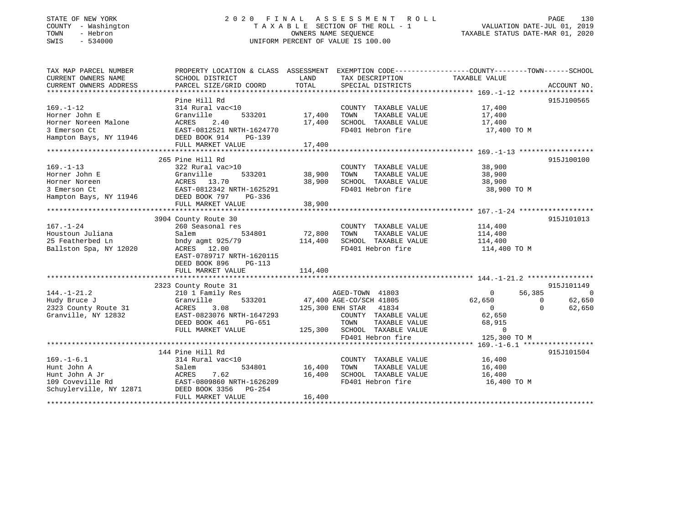### STATE OF NEW YORK 2 0 2 0 F I N A L A S S E S S M E N T R O L L PAGE 130 COUNTY - Washington T A X A B L E SECTION OF THE ROLL - 1 VALUATION DATE-JUL 01, 2019 TOWN - Hebron OWNERS NAME SEQUENCE TAXABLE STATUS DATE-MAR 01, 2020 SWIS - 534000 UNIFORM PERCENT OF VALUE IS 100.00

| TAX MAP PARCEL NUMBER<br>CURRENT OWNERS NAME<br>CURRENT OWNERS ADDRESS                             | PROPERTY LOCATION & CLASS ASSESSMENT<br>SCHOOL DISTRICT<br>PARCEL SIZE/GRID COORD                                                                        | LAND<br>TOTAL              | TAX DESCRIPTION TAXABLE VALUE<br>SPECIAL DISTRICTS                                           | EXEMPTION CODE----------------COUNTY-------TOWN------SCHOOL                    | ACCOUNT NO.                        |
|----------------------------------------------------------------------------------------------------|----------------------------------------------------------------------------------------------------------------------------------------------------------|----------------------------|----------------------------------------------------------------------------------------------|--------------------------------------------------------------------------------|------------------------------------|
| $169. - 1 - 12$<br>Horner John E<br>Horner Noreen Malone<br>3 Emerson Ct<br>Hampton Bays, NY 11946 | Pine Hill Rd<br>314 Rural vac<10<br>Granville<br>533201<br>2.40<br>ACRES<br>EAST-0812521 NRTH-1624770<br>DEED BOOK 914<br>$PG-139$<br>FULL MARKET VALUE  | 17,400<br>17,400<br>17,400 | COUNTY TAXABLE VALUE<br>TOWN<br>TAXABLE VALUE<br>SCHOOL TAXABLE VALUE<br>FD401 Hebron fire   | 17,400<br>17,400<br>17,400<br>17,400 TO M                                      | 915J100565                         |
|                                                                                                    | 265 Pine Hill Rd                                                                                                                                         |                            |                                                                                              |                                                                                | 915J100100                         |
| $169. - 1 - 13$<br>Horner John E<br>Horner Noreen<br>3 Emerson Ct<br>Hampton Bays, NY 11946        | 322 Rural vac>10<br>533201<br>Granville<br>ACRES 13.70<br>EAST-0812342 NRTH-1625291<br>DEED BOOK 797<br>PG-336<br>FULL MARKET VALUE                      | 38,900<br>38,900<br>38,900 | COUNTY TAXABLE VALUE<br>TOWN<br>TAXABLE VALUE<br>SCHOOL TAXABLE VALUE<br>FD401 Hebron fire   | 38,900<br>38,900<br>38,900<br>38,900 TO M                                      |                                    |
|                                                                                                    |                                                                                                                                                          |                            |                                                                                              |                                                                                |                                    |
| $167. - 1 - 24$<br>Houstoun Juliana<br>25 Featherbed Ln<br>Ballston Spa, NY 12020                  | 3904 County Route 30<br>260 Seasonal res<br>Salem<br>534801<br>bndy agmt 925/79<br>ACRES 12.00<br>EAST-0789717 NRTH-1620115<br>DEED BOOK 896<br>$PG-113$ | 72,800<br>114,400          | COUNTY TAXABLE VALUE<br>TAXABLE VALUE<br>TOWN<br>SCHOOL TAXABLE VALUE<br>FD401 Hebron fire   | 114,400<br>114,400<br>114,400<br>114,400 TO M                                  | 915J101013                         |
|                                                                                                    | FULL MARKET VALUE                                                                                                                                        | 114,400                    |                                                                                              |                                                                                |                                    |
|                                                                                                    | 2323 County Route 31                                                                                                                                     |                            |                                                                                              |                                                                                | 915J101149                         |
| $144. - 1 - 21.2$<br>Hudy Bruce J<br>2323 County Route 31<br>Granville, NY 12832                   | 210 1 Family Res<br>533201<br>Granville<br>ACRES<br>3.08<br>EAST-0823076 NRTH-1647293                                                                    |                            | AGED-TOWN 41803<br>47,400 AGE-CO/SCH 41805<br>125,300 ENH STAR 41834<br>COUNTY TAXABLE VALUE | 56,385<br>$\Omega$<br>62,650<br>$\mathbf{0}$<br>$\sim$ 0<br>$\Omega$<br>62,650 | $\overline{0}$<br>62,650<br>62,650 |
|                                                                                                    | DEED BOOK 461<br>PG-651<br>FULL MARKET VALUE                                                                                                             | 125,300                    | TOWN<br>TAXABLE VALUE<br>SCHOOL TAXABLE VALUE<br>FD401 Hebron fire                           | 68,915<br>$\Omega$<br>125,300 TO M                                             |                                    |
|                                                                                                    |                                                                                                                                                          |                            |                                                                                              |                                                                                |                                    |
| $169. - 1 - 6.1$<br>Hunt John A<br>Hunt John A Jr<br>109 Coveville Rd<br>Schuylerville, NY 12871   | 144 Pine Hill Rd<br>314 Rural vac<10<br>Salem<br>534801<br>7.62<br>ACRES<br>EAST-0809860 NRTH-1626209<br>DEED BOOK 3356<br>PG-254<br>FULL MARKET VALUE   | 16,400<br>16,400<br>16,400 | COUNTY TAXABLE VALUE<br>TOWN<br>TAXABLE VALUE<br>SCHOOL TAXABLE VALUE<br>FD401 Hebron fire   | 16,400<br>16,400<br>16,400<br>16,400 TO M                                      | 915J101504                         |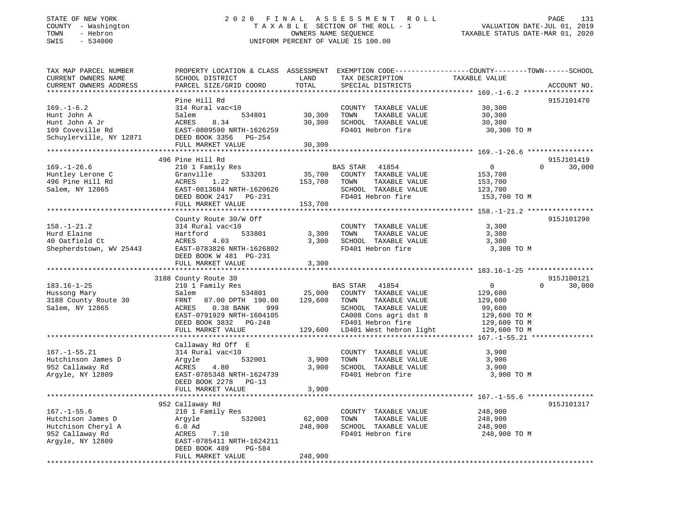### STATE OF NEW YORK 2 0 2 0 F I N A L A S S E S S M E N T R O L L PAGE 131 COUNTY - Washington T A X A B L E SECTION OF THE ROLL - 1 VALUATION DATE-JUL 01, 2019 TOWN - Hebron OWNERS NAME SEQUENCE TAXABLE STATUS DATE-MAR 01, 2020 SWIS - 534000 UNIFORM PERCENT OF VALUE IS 100.00

| TAX MAP PARCEL NUMBER<br>CURRENT OWNERS NAME<br>CURRENT OWNERS ADDRESS                              | PROPERTY LOCATION & CLASS ASSESSMENT<br>SCHOOL DISTRICT<br>PARCEL SIZE/GRID COORD                                                                                                                  | LAND<br>TOTAL                           | EXEMPTION CODE-----------------COUNTY-------TOWN------SCHOOL<br>TAX DESCRIPTION<br>SPECIAL DISTRICTS                                                                               | TAXABLE VALUE                                                                                | ACCOUNT NO.                      |
|-----------------------------------------------------------------------------------------------------|----------------------------------------------------------------------------------------------------------------------------------------------------------------------------------------------------|-----------------------------------------|------------------------------------------------------------------------------------------------------------------------------------------------------------------------------------|----------------------------------------------------------------------------------------------|----------------------------------|
| $169. - 1 - 6.2$<br>Hunt John A<br>Hunt John A Jr<br>109 Coveville Rd<br>Schuylerville, NY 12871    | Pine Hill Rd<br>314 Rural vac<10<br>Salem<br>534801<br>ACRES<br>8.34<br>EAST-0809590 NRTH-1626259<br>DEED BOOK 3356 PG-254<br>FULL MARKET VALUE                                                    | *********<br>30,300<br>30,300<br>30,300 | COUNTY TAXABLE VALUE<br>TAXABLE VALUE<br>TOWN<br>SCHOOL TAXABLE VALUE<br>FD401 Hebron fire                                                                                         | 30,300<br>30,300<br>30,300<br>30,300 TO M                                                    | 915J101470                       |
|                                                                                                     |                                                                                                                                                                                                    |                                         |                                                                                                                                                                                    |                                                                                              |                                  |
| $169. - 1 - 26.6$<br>Huntley Lerone C<br>496 Pine Hill Rd<br>Salem, NY 12865                        | 496 Pine Hill Rd<br>210 1 Family Res<br>Granville<br>533201<br>ACRES<br>1.22<br>EAST-0813684 NRTH-1620626<br>DEED BOOK 2417 PG-231<br>FULL MARKET VALUE                                            | 35,700<br>153,700<br>153,700            | <b>BAS STAR</b><br>41854<br>COUNTY TAXABLE VALUE<br>TOWN<br>TAXABLE VALUE<br>SCHOOL TAXABLE VALUE<br>FD401 Hebron fire                                                             | $\overline{0}$<br>153,700<br>153,700<br>123,700<br>153,700 TO M                              | 915J101419<br>$\Omega$<br>30,000 |
|                                                                                                     |                                                                                                                                                                                                    |                                         |                                                                                                                                                                                    |                                                                                              |                                  |
| $158. - 1 - 21.2$<br>Hurd Elaine<br>40 Oatfield Ct<br>Shepherdstown, WV 25443                       | County Route 30/W Off<br>314 Rural vac<10<br>Hartford<br>533801<br>ACRES<br>4.03<br>EAST-0783826 NRTH-1626802<br>DEED BOOK W 481 PG-231<br>FULL MARKET VALUE                                       | 3,300<br>3,300<br>3,300                 | COUNTY TAXABLE VALUE<br>TOWN<br>TAXABLE VALUE<br>SCHOOL TAXABLE VALUE<br>FD401 Hebron fire                                                                                         | 3,300<br>3,300<br>3,300<br>3,300 TO M                                                        | 915J101290                       |
|                                                                                                     |                                                                                                                                                                                                    |                                         |                                                                                                                                                                                    |                                                                                              |                                  |
| $183.16 - 1 - 25$<br>Hussong Mary<br>3188 County Route 30<br>Salem, NY 12865                        | 3188 County Route 30<br>210 1 Family Res<br>Salem<br>534801<br>FRNT<br>87.00 DPTH 190.00<br>$0.38$ BANK<br>ACRES<br>999<br>EAST-0791929 NRTH-1604105<br>DEED BOOK 3832 PG-248<br>FULL MARKET VALUE | 25,000<br>129,600                       | <b>BAS STAR</b><br>41854<br>COUNTY TAXABLE VALUE<br>TOWN<br>TAXABLE VALUE<br>SCHOOL TAXABLE VALUE<br>CA008 Cons agri dst 8<br>FD401 Hebron fire<br>129,600 LD401 West hebron light | $\mathbf{0}$<br>129,600<br>129,600<br>99,600<br>129,600 TO M<br>129,600 TO M<br>129,600 TO M | 915J100121<br>$\Omega$<br>30,000 |
|                                                                                                     |                                                                                                                                                                                                    |                                         |                                                                                                                                                                                    |                                                                                              |                                  |
| $167. - 1 - 55.21$<br>Hutchinson James D<br>952 Callaway Rd<br>Argyle, NY 12809                     | Callaway Rd Off E<br>314 Rural vac<10<br>532001<br>Arqyle<br>ACRES<br>4.80<br>EAST-0785348 NRTH-1624739<br>DEED BOOK 2278 PG-13                                                                    | 3,900<br>3,900                          | COUNTY TAXABLE VALUE<br>TAXABLE VALUE<br>TOWN<br>SCHOOL TAXABLE VALUE<br>FD401 Hebron fire                                                                                         | 3,900<br>3,900<br>3,900<br>3,900 TO M                                                        |                                  |
|                                                                                                     | FULL MARKET VALUE<br>**********************                                                                                                                                                        | 3,900                                   |                                                                                                                                                                                    |                                                                                              |                                  |
| $167. - 1 - 55.6$<br>Hutchison James D<br>Hutchison Cheryl A<br>952 Callaway Rd<br>Argyle, NY 12809 | 952 Callaway Rd<br>210 1 Family Res<br>Argyle<br>532001<br>$6.0$ Ad<br>7.10<br>ACRES<br>EAST-0785411 NRTH-1624211<br>DEED BOOK 489<br>PG-584<br>FULL MARKET VALUE                                  | 62,000<br>248,900<br>248,900            | COUNTY TAXABLE VALUE<br>TAXABLE VALUE<br>TOWN<br>SCHOOL TAXABLE VALUE<br>FD401 Hebron fire                                                                                         | 248,900<br>248,900<br>248,900<br>248,900 TO M                                                | 915J101317                       |
|                                                                                                     |                                                                                                                                                                                                    |                                         |                                                                                                                                                                                    |                                                                                              |                                  |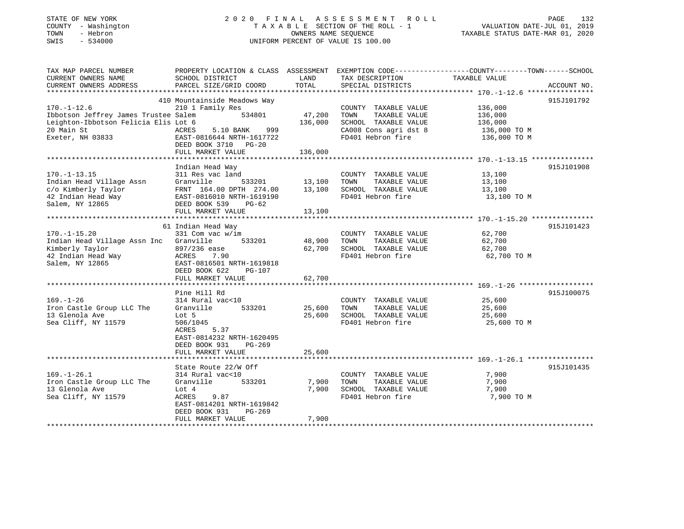| STATE OF NEW YORK<br>COUNTY - Washington<br>TOWN<br>- Hebron<br>SWIS<br>$-534000$                                               |                                                                                                                                                                               | OWNERS NAME SEQUENCE         | 2020 FINAL ASSESSMENT<br>R O L L<br>TAXABLE SECTION OF THE ROLL - 1<br>UNIFORM PERCENT OF VALUE IS 100.00           | PAGE<br>132<br>VALUATION DATE-JUL 01, 2019<br>TAXABLE STATUS DATE-MAR 01, 2020               |
|---------------------------------------------------------------------------------------------------------------------------------|-------------------------------------------------------------------------------------------------------------------------------------------------------------------------------|------------------------------|---------------------------------------------------------------------------------------------------------------------|----------------------------------------------------------------------------------------------|
| TAX MAP PARCEL NUMBER<br>CURRENT OWNERS NAME<br>CURRENT OWNERS ADDRESS<br>****************                                      | PROPERTY LOCATION & CLASS ASSESSMENT<br>SCHOOL DISTRICT<br>PARCEL SIZE/GRID COORD<br>*************************                                                                | LAND<br>TOTAL<br>*********** | TAX DESCRIPTION<br>SPECIAL DISTRICTS                                                                                | EXEMPTION CODE-----------------COUNTY-------TOWN------SCHOOL<br>TAXABLE VALUE<br>ACCOUNT NO. |
| $170.-1-12.6$<br>Ibbotson Jeffrey James Trustee Salem<br>Leighton-Ibbotson Felicia Elis Lot 6<br>20 Main St<br>Exeter, NH 03833 | 410 Mountainside Meadows Way<br>210 1 Family Res<br>534801<br>5.10 BANK<br>ACRES<br>999<br>EAST-0816644 NRTH-1617722<br>DEED BOOK 3710 PG-20<br>FULL MARKET VALUE             | 47,200<br>136,000<br>136,000 | COUNTY TAXABLE VALUE<br>TOWN<br>TAXABLE VALUE<br>SCHOOL TAXABLE VALUE<br>CA008 Cons agri dst 8<br>FD401 Hebron fire | 915J101792<br>136,000<br>136,000<br>136,000<br>136,000 TO M<br>136,000 TO M                  |
|                                                                                                                                 |                                                                                                                                                                               |                              |                                                                                                                     |                                                                                              |
| $170. - 1 - 13.15$<br>Indian Head Village Assn<br>c/o Kimberly Taylor<br>42 Indian Head Way<br>Salem, NY 12865                  | Indian Head Way<br>311 Res vac land<br>Granville<br>533201<br>FRNT 164.00 DPTH 274.00<br>EAST-0816010 NRTH-1619190<br>DEED BOOK 539<br>$PG-62$                                | 13,100<br>13,100             | COUNTY TAXABLE VALUE<br>TOWN<br>TAXABLE VALUE<br>SCHOOL TAXABLE VALUE<br>FD401 Hebron fire                          | 915J101908<br>13,100<br>13,100<br>13,100<br>13,100 TO M                                      |
|                                                                                                                                 | FULL MARKET VALUE                                                                                                                                                             | 13,100                       |                                                                                                                     |                                                                                              |
|                                                                                                                                 |                                                                                                                                                                               |                              |                                                                                                                     | 915J101423                                                                                   |
| $170. - 1 - 15.20$<br>Indian Head Village Assn Inc<br>Kimberly Taylor<br>42 Indian Head Way<br>Salem, NY 12865                  | 61 Indian Head Way<br>331 Com vac w/im<br>Granville<br>533201<br>897/236 ease<br>ACRES<br>7.90<br>EAST-0816501 NRTH-1619818<br>DEED BOOK 622<br>$PG-107$<br>FULL MARKET VALUE | 48,900<br>62,700<br>62,700   | COUNTY TAXABLE VALUE<br>TOWN<br>TAXABLE VALUE<br>SCHOOL TAXABLE VALUE<br>FD401 Hebron fire                          | 62,700<br>62,700<br>62,700<br>62,700 TO M                                                    |
|                                                                                                                                 |                                                                                                                                                                               | * * * * * * * *              |                                                                                                                     | ******************** 169.-1-26 *****************                                             |
| $169. - 1 - 26$<br>Iron Castle Group LLC The<br>13 Glenola Ave<br>Sea Cliff, NY 11579                                           | Pine Hill Rd<br>314 Rural vac<10<br>Granville<br>533201<br>Lot 5<br>506/1045<br>ACRES<br>5.37<br>EAST-0814232 NRTH-1620495<br>DEED BOOK 931<br>$PG-269$                       | 25,600<br>25,600             | COUNTY TAXABLE VALUE<br>TOWN<br>TAXABLE VALUE<br>SCHOOL TAXABLE VALUE<br>FD401 Hebron fire                          | 915J100075<br>25,600<br>25,600<br>25,600<br>25,600 TO M                                      |
|                                                                                                                                 | FULL MARKET VALUE                                                                                                                                                             | 25,600                       |                                                                                                                     |                                                                                              |
|                                                                                                                                 | *********************                                                                                                                                                         |                              |                                                                                                                     |                                                                                              |
| $169. - 1 - 26.1$<br>Iron Castle Group LLC The<br>13 Glenola Ave<br>Sea Cliff, NY 11579                                         | State Route 22/W Off<br>314 Rural vac<10<br>Granville<br>533201<br>Lot $4$<br>9.87<br>ACRES<br>EAST-0814201 NRTH-1619842<br>DEED BOOK 931<br>$PG-269$<br>FULL MARKET VALUE    | 7,900<br>7,900<br>7,900      | COUNTY TAXABLE VALUE<br>TOWN<br>TAXABLE VALUE<br>SCHOOL TAXABLE VALUE<br>FD401 Hebron fire                          | 915J101435<br>7,900<br>7,900<br>7,900<br>7,900 TO M                                          |
| ***************************                                                                                                     |                                                                                                                                                                               | *******                      |                                                                                                                     |                                                                                              |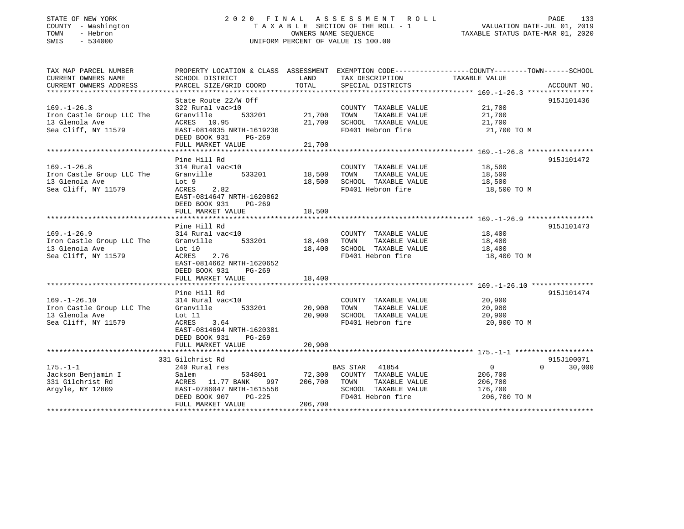### STATE OF NEW YORK 2020 FINAL ASSESSMENT ROLL COUNTY - Washington T A X A B L E SECTION OF THE ROLL - 1 VALUATION DATE-JUL 01, 2019 SWIS - 534000 UNIFORM PERCENT OF VALUE IS 100.00

VALUATION DATE-JUL 01, 2019

TAXABLE STATUS DATE-MAR 01, 2020

| TAX MAP PARCEL NUMBER     | PROPERTY LOCATION & CLASS ASSESSMENT EXEMPTION CODE---------------COUNTY-------TOWN------SCHOOL |               |                                           |                   |                    |
|---------------------------|-------------------------------------------------------------------------------------------------|---------------|-------------------------------------------|-------------------|--------------------|
| CURRENT OWNERS NAME       | SCHOOL DISTRICT                                                                                 | LAND          | TAX DESCRIPTION                           | TAXABLE VALUE     |                    |
| CURRENT OWNERS ADDRESS    | PARCEL SIZE/GRID COORD                                                                          | TOTAL         | SPECIAL DISTRICTS                         |                   | ACCOUNT NO.        |
|                           |                                                                                                 |               |                                           |                   |                    |
|                           | State Route 22/W Off                                                                            |               |                                           |                   | 915J101436         |
| $169. - 1 - 26.3$         | 322 Rural vac>10                                                                                |               | COUNTY TAXABLE VALUE                      | 21,700            |                    |
| Iron Castle Group LLC The | Granville<br>533201                                                                             | 21,700        | TAXABLE VALUE<br>TOWN                     | 21,700            |                    |
| 13 Glenola Ave            | ACRES 10.95                                                                                     | 21,700        | SCHOOL TAXABLE VALUE                      | 21,700            |                    |
| Sea Cliff, NY 11579       | EAST-0814035 NRTH-1619236                                                                       |               | FD401 Hebron fire                         | 21,700 TO M       |                    |
|                           | DEED BOOK 931<br>PG-269                                                                         |               |                                           |                   |                    |
|                           | FULL MARKET VALUE                                                                               | 21,700        |                                           |                   |                    |
|                           |                                                                                                 |               |                                           |                   |                    |
|                           | Pine Hill Rd                                                                                    |               |                                           |                   | 915J101472         |
| $169. - 1 - 26.8$         | 314 Rural vac<10                                                                                |               | COUNTY TAXABLE VALUE                      | 18,500            |                    |
| Iron Castle Group LLC The | Granville                                                                                       | 533201 18,500 | TAXABLE VALUE<br>TOWN                     | 18,500            |                    |
| 13 Glenola Ave            | Lot 9                                                                                           | 18,500        | SCHOOL TAXABLE VALUE                      | 18,500            |                    |
| Sea Cliff, NY 11579       | ACRES 2.82                                                                                      |               | FD401 Hebron fire                         | 18,500 TO M       |                    |
|                           | EAST-0814647 NRTH-1620862                                                                       |               |                                           |                   |                    |
|                           | DEED BOOK 931<br>PG-269                                                                         |               |                                           |                   |                    |
|                           | FULL MARKET VALUE                                                                               | 18,500        |                                           |                   |                    |
|                           |                                                                                                 |               |                                           |                   |                    |
|                           | Pine Hill Rd                                                                                    |               |                                           |                   | 915J101473         |
| $169. - 1 - 26.9$         | 314 Rural vac<10                                                                                |               | COUNTY TAXABLE VALUE                      | 18,400            |                    |
| Iron Castle Group LLC The | Granville 533201                                                                                | 18,400        | TOWN<br>TAXABLE VALUE                     | 18,400            |                    |
| 13 Glenola Ave            | Lot 10                                                                                          | 18,400        | SCHOOL TAXABLE VALUE<br>FD401 Hebron fire | 18,400            |                    |
| Sea Cliff, NY 11579       | ACRES<br>2.76                                                                                   |               |                                           | 18,400 TO M       |                    |
|                           | EAST-0814662 NRTH-1620652                                                                       |               |                                           |                   |                    |
|                           | DEED BOOK 931<br>PG-269<br>FULL MARKET VALUE                                                    | 18,400        |                                           |                   |                    |
|                           |                                                                                                 |               |                                           |                   |                    |
|                           | Pine Hill Rd                                                                                    |               |                                           |                   | 915J101474         |
| $169. - 1 - 26.10$        | 314 Rural vac<10                                                                                |               | COUNTY TAXABLE VALUE                      | 20,900            |                    |
| Iron Castle Group LLC The | 533201<br>Granville                                                                             | 20,900        | TAXABLE VALUE<br>TOWN                     | 20,900            |                    |
| 13 Glenola Ave            | Lot 11                                                                                          | 20,900        | SCHOOL TAXABLE VALUE                      | 20,900            |                    |
| Sea Cliff, NY 11579       | 3.64<br>ACRES                                                                                   |               | FD401 Hebron fire                         | 20,900 TO M       |                    |
|                           | EAST-0814694 NRTH-1620381                                                                       |               |                                           |                   |                    |
|                           | DEED BOOK 931<br>$PG-269$                                                                       |               |                                           |                   |                    |
|                           | FULL MARKET VALUE                                                                               | 20,900        |                                           |                   |                    |
|                           |                                                                                                 |               |                                           |                   |                    |
|                           | 331 Gilchrist Rd                                                                                |               |                                           |                   | 915J100071         |
| $175. - 1 - 1$            | 240 Rural res                                                                                   |               | BAS STAR 41854                            | $0 \qquad \qquad$ | 30,000<br>$\Omega$ |
| Jackson Benjamin I        | Salem                                                                                           | 534801 72,300 | COUNTY TAXABLE VALUE                      | 206,700           |                    |
| 331 Gilchrist Rd          | ACRES 11.77 BANK<br>997 —                                                                       | 206,700       | TOWN<br>TAXABLE VALUE                     | 206,700           |                    |
| Arqyle, NY 12809          | EAST-0786047 NRTH-1615556                                                                       |               | SCHOOL TAXABLE VALUE                      | 176,700           |                    |
|                           | DEED BOOK 907<br>$PG-225$                                                                       |               | FD401 Hebron fire                         | 206,700 TO M      |                    |
|                           | FULL MARKET VALUE                                                                               | 206,700       |                                           |                   |                    |
|                           |                                                                                                 |               |                                           |                   |                    |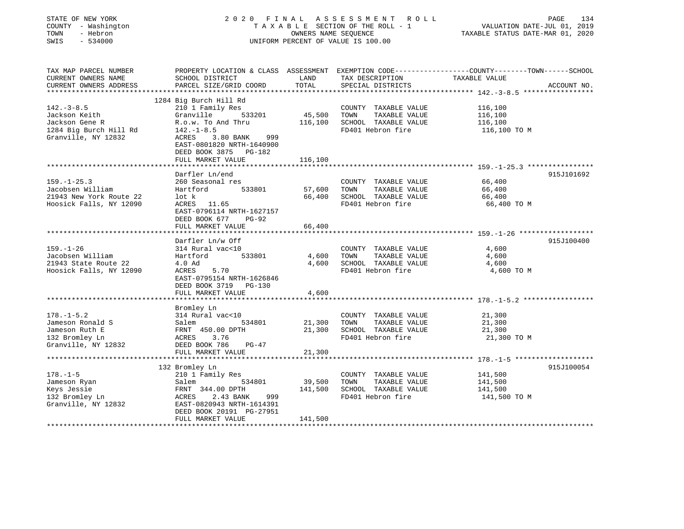| STATE OF NEW YORK                     | 2020<br>FINAL<br>A S S E S S M E N T<br>R O L L            |                                |                                           | 134<br>PAGE                                                  |  |  |
|---------------------------------------|------------------------------------------------------------|--------------------------------|-------------------------------------------|--------------------------------------------------------------|--|--|
| COUNTY - Washington                   | TAXABLE SECTION OF THE ROLL - 1                            |                                |                                           | VALUATION DATE-JUL 01, 2019                                  |  |  |
| - Hebron<br>TOWN                      | OWNERS NAME SEQUENCE<br>UNIFORM PERCENT OF VALUE IS 100.00 |                                |                                           | TAXABLE STATUS DATE-MAR 01, 2020                             |  |  |
| SWIS<br>$-534000$                     |                                                            |                                |                                           |                                                              |  |  |
| TAX MAP PARCEL NUMBER                 | PROPERTY LOCATION & CLASS ASSESSMENT                       |                                |                                           | EXEMPTION CODE-----------------COUNTY-------TOWN------SCHOOL |  |  |
| CURRENT OWNERS NAME                   | SCHOOL DISTRICT                                            | LAND                           | TAX DESCRIPTION                           | TAXABLE VALUE                                                |  |  |
| CURRENT OWNERS ADDRESS                | PARCEL SIZE/GRID COORD                                     | TOTAL                          | SPECIAL DISTRICTS                         | ACCOUNT NO.                                                  |  |  |
| ************************              |                                                            |                                |                                           |                                                              |  |  |
|                                       | 1284 Big Burch Hill Rd                                     |                                |                                           |                                                              |  |  |
| $142. - 3 - 8.5$                      | 210 1 Family Res                                           |                                | COUNTY TAXABLE VALUE                      | 116,100                                                      |  |  |
| Jackson Keith                         | Granville<br>533201                                        | 45,500                         | TOWN<br>TAXABLE VALUE                     | 116,100                                                      |  |  |
| Jackson Gene R                        | R.o.w. To And Thru                                         | 116,100                        | SCHOOL TAXABLE VALUE                      | 116,100                                                      |  |  |
| 1284 Big Burch Hill Rd                | $142. - 1 - 8.5$                                           |                                | FD401 Hebron fire                         | 116,100 TO M                                                 |  |  |
| Granville, NY 12832                   | 3.80 BANK<br>999<br>ACRES                                  |                                |                                           |                                                              |  |  |
|                                       | EAST-0801820 NRTH-1640900                                  |                                |                                           |                                                              |  |  |
|                                       | DEED BOOK 3875 PG-182                                      |                                |                                           |                                                              |  |  |
|                                       | FULL MARKET VALUE                                          | 116,100<br>* * * * * * * * * * |                                           |                                                              |  |  |
|                                       | Darfler Ln/end                                             |                                |                                           | **************************** 159.-1-25.3 ****************    |  |  |
| $159. - 1 - 25.3$                     | 260 Seasonal res                                           |                                | COUNTY<br>TAXABLE VALUE                   | 915J101692<br>66,400                                         |  |  |
| Jacobsen William                      | Hartford<br>533801                                         | 57,600                         | TOWN<br>TAXABLE VALUE                     | 66,400                                                       |  |  |
| 21943 New York Route 22               | lot k                                                      | 66,400                         | SCHOOL TAXABLE VALUE                      | 66,400                                                       |  |  |
| Hoosick Falls, NY 12090               | 11.65<br>ACRES                                             |                                | FD401 Hebron fire                         | 66,400 TO M                                                  |  |  |
|                                       | EAST-0796114 NRTH-1627157                                  |                                |                                           |                                                              |  |  |
|                                       | DEED BOOK 677<br><b>PG-92</b>                              |                                |                                           |                                                              |  |  |
|                                       | FULL MARKET VALUE                                          | 66,400                         |                                           |                                                              |  |  |
|                                       | *****************                                          |                                |                                           |                                                              |  |  |
|                                       | Darfler Ln/w Off                                           |                                |                                           | 915J100400                                                   |  |  |
| $159. - 1 - 26$                       | 314 Rural vac<10                                           |                                | COUNTY TAXABLE VALUE                      | 4,600                                                        |  |  |
| Jacobsen William                      | Hartford<br>533801                                         | 4,600                          | TOWN<br>TAXABLE VALUE                     | 4,600                                                        |  |  |
| 21943 State Route 22                  | 4.0 Ad                                                     | 4,600                          | SCHOOL TAXABLE VALUE                      | 4,600                                                        |  |  |
| Hoosick Falls, NY 12090               | 5.70<br>ACRES                                              |                                | FD401 Hebron fire                         | 4,600 TO M                                                   |  |  |
|                                       | EAST-0795154 NRTH-1626846                                  |                                |                                           |                                                              |  |  |
|                                       | DEED BOOK 3719 PG-130                                      |                                |                                           |                                                              |  |  |
|                                       | FULL MARKET VALUE                                          | 4,600                          |                                           |                                                              |  |  |
|                                       | * * * * * * * * * * * * * * * * * *                        | * * * * * * * * * * * * * *    |                                           |                                                              |  |  |
|                                       | Bromley Ln                                                 |                                |                                           |                                                              |  |  |
| $178. - 1 - 5.2$                      | 314 Rural vac<10                                           |                                | COUNTY<br>TAXABLE VALUE                   | 21,300                                                       |  |  |
| Jameson Ronald S                      | Salem<br>534801                                            | 21,300                         | TOWN<br>TAXABLE VALUE                     | 21,300                                                       |  |  |
| Jameson Ruth E                        | FRNT 450.00 DPTH                                           | 21,300                         | SCHOOL TAXABLE VALUE<br>FD401 Hebron fire | 21,300                                                       |  |  |
| 132 Bromley Ln<br>Granville, NY 12832 | ACRES<br>3.76<br>DEED BOOK 786<br>$PG-47$                  |                                |                                           | 21,300 TO M                                                  |  |  |
|                                       | FULL MARKET VALUE                                          | 21,300                         |                                           |                                                              |  |  |
|                                       | **************************                                 |                                |                                           |                                                              |  |  |
|                                       | 132 Bromley Ln                                             |                                |                                           | 915J100054                                                   |  |  |
| $178. - 1 - 5$                        | 210 1 Family Res                                           |                                | COUNTY TAXABLE VALUE                      | 141,500                                                      |  |  |
| Jameson Ryan                          | 534801<br>Salem                                            | 39,500                         | TOWN<br>TAXABLE VALUE                     | 141,500                                                      |  |  |
| Keys Jessie                           | FRNT 344.00 DPTH                                           | 141,500                        | SCHOOL TAXABLE VALUE                      | 141,500                                                      |  |  |
| 132 Bromley Ln                        | ACRES<br>2.43 BANK<br>999                                  |                                | FD401 Hebron fire                         | 141,500 TO M                                                 |  |  |
| Granville, NY 12832                   | EAST-0820943 NRTH-1614391                                  |                                |                                           |                                                              |  |  |
|                                       | DEED BOOK 20191 PG-27951                                   |                                |                                           |                                                              |  |  |
|                                       | FULL MARKET VALUE                                          | 141,500                        |                                           |                                                              |  |  |
|                                       |                                                            |                                |                                           |                                                              |  |  |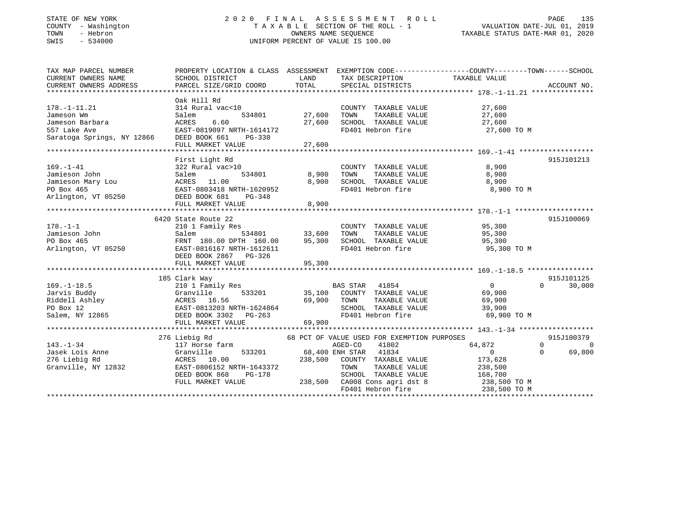### STATE OF NEW YORK 2 0 2 0 F I N A L A S S E S S M E N T R O L L PAGE 135 COUNTY - Washington T A X A B L E SECTION OF THE ROLL - 1 VALUATION DATE-JUL 01, 2019 TOWN - Hebron OWNERS NAME SEQUENCE TAXABLE STATUS DATE-MAR 01, 2020 SWIS - 534000 UNIFORM PERCENT OF VALUE IS 100.00

| TAX MAP PARCEL NUMBER<br>CURRENT OWNERS NAME<br>CURRENT OWNERS ADDRESS                                    | PROPERTY LOCATION & CLASS ASSESSMENT<br>SCHOOL DISTRICT<br>PARCEL SIZE/GRID COORD                                                                    | LAND<br>TOTAL                     | TAX DESCRIPTION<br>SPECIAL DISTRICTS                                                                                                                                                       | EXEMPTION CODE-----------------COUNTY-------TOWN------SCHOOL<br>TAXABLE VALUE               | ACCOUNT NO.                        |
|-----------------------------------------------------------------------------------------------------------|------------------------------------------------------------------------------------------------------------------------------------------------------|-----------------------------------|--------------------------------------------------------------------------------------------------------------------------------------------------------------------------------------------|---------------------------------------------------------------------------------------------|------------------------------------|
|                                                                                                           |                                                                                                                                                      |                                   |                                                                                                                                                                                            |                                                                                             |                                    |
| $178. - 1 - 11.21$<br>Jameson Wm<br>Jameson Barbara<br>557 Lake Ave<br>Saratoga Springs, NY 12866         | Oak Hill Rd<br>314 Rural vac<10<br>534801<br>Salem<br>6.60<br>ACRES<br>EAST-0819097 NRTH-1614172<br>DEED BOOK 661<br>PG-330<br>FULL MARKET VALUE     | 27,600<br>27,600<br>27,600        | COUNTY TAXABLE VALUE<br>TOWN<br>TAXABLE VALUE<br>SCHOOL TAXABLE VALUE<br>FD401 Hebron fire                                                                                                 | 27,600<br>27,600<br>27,600<br>27,600 TO M                                                   |                                    |
|                                                                                                           |                                                                                                                                                      |                                   |                                                                                                                                                                                            |                                                                                             |                                    |
| $169. - 1 - 41$<br>Jamieson John<br>Jamieson Mary Lou<br>DO Box 465<br>Arlington, VT 05250 DEED BOOK 681  | First Light Rd<br>322 Rural vac>10<br>534801<br>Salem<br>ACRES 11.00<br>EAST-0803418 NRTH-1620952<br>PG-348                                          | 8,900<br>8,900                    | COUNTY TAXABLE VALUE<br>TOWN<br>TAXABLE VALUE<br>SCHOOL TAXABLE VALUE<br>FD401 Hebron fire                                                                                                 | 8,900<br>8,900<br>8,900<br>8,900 TO M                                                       | 915J101213                         |
|                                                                                                           | FULL MARKET VALUE                                                                                                                                    | 8,900                             |                                                                                                                                                                                            |                                                                                             |                                    |
|                                                                                                           | 6420 State Route 22                                                                                                                                  |                                   |                                                                                                                                                                                            |                                                                                             | 915J100069                         |
| $178. - 1 - 1$<br>Jamieson John<br>PO Box 465<br>Arlington, VT 05250                                      | 210 1 Family Res<br>Salem<br>FRNT 180.00 DPTH 160.00<br>EAST-0816167 NRTH-1612611<br>DEED BOOK 2867 PG-326<br>FULL MARKET VALUE                      | 534801 33,600<br>95,300<br>95,300 | COUNTY TAXABLE VALUE<br>TAXABLE VALUE<br>TOWN<br>SCHOOL TAXABLE VALUE 95,300<br>FD401 Hebron fire                                                                                          | 95,300<br>95,300<br>95,300 TO M                                                             |                                    |
|                                                                                                           |                                                                                                                                                      |                                   |                                                                                                                                                                                            |                                                                                             |                                    |
| $169. - 1 - 18.5$<br>Jarvis Buddy<br>Riddell Ashley<br>PO Box 12<br>Salem, NY 12865 DEED BOOK 3302 PG-263 | 185 Clark Way<br>210 1 Family Res<br>533201 35,100<br>Granville<br>Granville 533201<br>ACRES 16.56<br>EAST-0813203 NRTH-1624864<br>FULL MARKET VALUE | 69,900<br>69,900                  | BAS STAR 41854<br>COUNTY TAXABLE VALUE<br>TAXABLE VALUE<br>TOWN<br>SCHOOL TAXABLE VALUE 39,900<br>FD401 Hebron fire                                                                        | $\overline{0}$<br>69,900<br>69,900<br>69,900 TO M                                           | 915J101125<br>$\Omega$<br>30,000   |
|                                                                                                           |                                                                                                                                                      |                                   |                                                                                                                                                                                            |                                                                                             |                                    |
| $143. - 1 - 34$<br>Jasek Lois Anne<br>276 Liebig Rd<br>Granville, NY 12832                                | 276 Liebig Rd<br>117 Horse farm<br>Granville<br>533201<br>ACRES 10.00<br>EAST-0806152 NRTH-1643372<br>DEED BOOK 868<br>PG-178<br>FULL MARKET VALUE   | 238,500<br>238,500                | 68 PCT OF VALUE USED FOR EXEMPTION PURPOSES<br>41802<br>AGED-CO<br>68,400 ENH STAR 41834<br>COUNTY TAXABLE VALUE<br>TOWN<br>TAXABLE VALUE<br>SCHOOL TAXABLE VALUE<br>CA008 Cons agri dst 8 | $\Omega$<br>64,872<br>$\Omega$<br>$\Omega$<br>173,628<br>238,500<br>168,700<br>238,500 TO M | 915J100379<br>$\bigcirc$<br>69,800 |
|                                                                                                           |                                                                                                                                                      |                                   | FD401 Hebron fire                                                                                                                                                                          | 238,500 TO M                                                                                |                                    |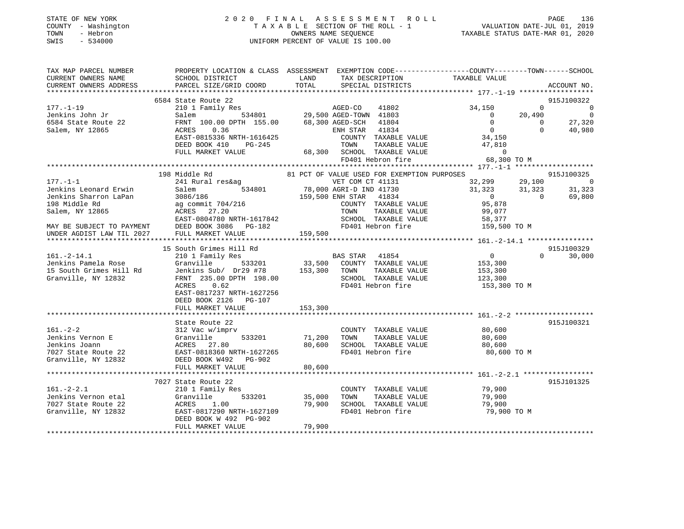|      | STATE OF NEW YORK   | 2020 FINAL ASSESSMENT ROLL         | PAGE                             | 136 |
|------|---------------------|------------------------------------|----------------------------------|-----|
|      | COUNTY - Washington | TAXABLE SECTION OF THE ROLL - 1    | VALUATION DATE-JUL 01, 2019      |     |
| TOWN | - Hebron            | OWNERS NAME SEOUENCE               | TAXABLE STATUS DATE-MAR 01, 2020 |     |
| SWIS | $-534000$           | UNIFORM PERCENT OF VALUE IS 100.00 |                                  |     |
|      |                     |                                    |                                  |     |
|      |                     |                                    |                                  |     |
|      |                     |                                    |                                  |     |

| TAX MAP PARCEL NUMBER                                                                                      | PROPERTY LOCATION & CLASS ASSESSMENT EXEMPTION CODE-----------------COUNTY-------TOWN------SCHOOL                                                                                                                                       |         |                                                          |                                                                                                                                                                |                                                                  |
|------------------------------------------------------------------------------------------------------------|-----------------------------------------------------------------------------------------------------------------------------------------------------------------------------------------------------------------------------------------|---------|----------------------------------------------------------|----------------------------------------------------------------------------------------------------------------------------------------------------------------|------------------------------------------------------------------|
| CURRENT OWNERS NAME                                                                                        | SCHOOL DISTRICT                                                                                                                                                                                                                         | LAND    | TAX DESCRIPTION                                          | TAXABLE VALUE                                                                                                                                                  |                                                                  |
| CURRENT OWNERS ADDRESS PARCEL SIZE/GRID COORD                                                              |                                                                                                                                                                                                                                         | TOTAL   | SPECIAL DISTRICTS                                        |                                                                                                                                                                | ACCOUNT NO.                                                      |
|                                                                                                            |                                                                                                                                                                                                                                         |         |                                                          |                                                                                                                                                                |                                                                  |
|                                                                                                            | 6584 State Route 22                                                                                                                                                                                                                     |         |                                                          |                                                                                                                                                                | 915J100322                                                       |
| $177. - 1 - 19$                                                                                            | 210 1 Family Res                                                                                                                                                                                                                        |         | 5<br>534801 29,500 AGED-TOWN 41803                       | 34,150                                                                                                                                                         | $\Omega$<br>$\sim$ 0                                             |
| Jenkins John Jr                                                                                            | Salem                                                                                                                                                                                                                                   |         |                                                          | 20,490<br>$\bigcirc$                                                                                                                                           |                                                                  |
|                                                                                                            | FRNT 100.00 DPTH 155.00 68,300 AGED-SCH 41804                                                                                                                                                                                           |         |                                                          | $\overline{0}$<br>$\overline{0}$                                                                                                                               |                                                                  |
| 6584 State Route 22<br>Salem, NY 12865                                                                     | 0.36<br>ACRES                                                                                                                                                                                                                           |         |                                                          | $\begin{array}{c}\n 0 \\  0 \\  34,150\n\end{array}$                                                                                                           | $\begin{array}{c} 0 \\ 27,320 \\ 40,980 \end{array}$<br>$\Omega$ |
|                                                                                                            | EAST-0815336 NRTH-1616425                                                                                                                                                                                                               |         |                                                          |                                                                                                                                                                |                                                                  |
|                                                                                                            | $PG-245$                                                                                                                                                                                                                                |         |                                                          | TAXABLE VALUE 47,810                                                                                                                                           |                                                                  |
|                                                                                                            | DEED BOOK 410                                                                                                                                                                                                                           |         | TOWN                                                     |                                                                                                                                                                |                                                                  |
|                                                                                                            | FULL MARKET VALUE                                                                                                                                                                                                                       |         | EXECUTE 1000 SCHOOL TAXABLE VALUE<br>FD401 Hebron fire   | $\Omega$                                                                                                                                                       |                                                                  |
|                                                                                                            |                                                                                                                                                                                                                                         |         |                                                          | 68,300 TO M                                                                                                                                                    |                                                                  |
|                                                                                                            |                                                                                                                                                                                                                                         |         |                                                          |                                                                                                                                                                |                                                                  |
|                                                                                                            | 198 Middle Rd                                                                                                                                                                                                                           |         | 81 PCT OF VALUE USED FOR EXEMPTION PURPOSES              |                                                                                                                                                                |                                                                  |
| $177. - 1 - 1$                                                                                             | 241 Rural res&ag                                                                                                                                                                                                                        |         | VET COM CT 41131                                         |                                                                                                                                                                |                                                                  |
|                                                                                                            |                                                                                                                                                                                                                                         |         |                                                          |                                                                                                                                                                |                                                                  |
|                                                                                                            |                                                                                                                                                                                                                                         |         |                                                          |                                                                                                                                                                |                                                                  |
|                                                                                                            |                                                                                                                                                                                                                                         |         | COUNTY TAXABLE VALUE                                     |                                                                                                                                                                |                                                                  |
|                                                                                                            |                                                                                                                                                                                                                                         |         |                                                          |                                                                                                                                                                |                                                                  |
|                                                                                                            | UNITY CHE CONTROLL THE VALUE OF CLUBICATION OF ALL ON CHE CONTRATED INDEPENDENT ORIGINAL TRISP.<br>Jenkins Sharron LaPan 3086/186 198 Middle Rd ag commit 704/216 159,500 ENH STAR 41834<br>Salem, NY 12865 27.20 TOWN TAXABLE VAL      |         | TOWN TAXABLE VALUE 99,077<br>SCHOOL TAXABLE VALUE 58,377 |                                                                                                                                                                |                                                                  |
|                                                                                                            | DEED BOOK 3086 PG-182                                                                                                                                                                                                                   |         |                                                          | FD401 Hebron fire 159,500 TO M                                                                                                                                 |                                                                  |
| MAY BE SUBJECT TO PAYMENT<br>UNDER AGDIST LAW TIL 2027                                                     | FULL MARKET VALUE                                                                                                                                                                                                                       | 159,500 |                                                          |                                                                                                                                                                |                                                                  |
|                                                                                                            |                                                                                                                                                                                                                                         |         |                                                          |                                                                                                                                                                |                                                                  |
|                                                                                                            | 15 South Grimes Hill Rd                                                                                                                                                                                                                 |         |                                                          |                                                                                                                                                                | 915J100329                                                       |
|                                                                                                            |                                                                                                                                                                                                                                         |         |                                                          | $\begin{tabular}{llll} 41854 & 0 \\ \texttt{TAXABLE VALUE} & 153,300 \\ \texttt{TAXABLE VALUE} & 153,300 \\ \texttt{TAXABLE VALUE} & 123,300 \\ \end{tabular}$ | 30,000<br>$\Omega$                                               |
|                                                                                                            | 161.-2-14.1 210 1 Family Res BAS STAR 41854<br>Jenkins Pamela Rose Granville 533201 33,500 COUNTY TAXABLE VALUE<br>15 South Grimes Hill Rd Jenkins Sub/ Dr29 #78 153,300 TOWN TAXABLE VALUE<br>Granville, NY 12832 FRNT 235.00 DPTH 198 |         |                                                          |                                                                                                                                                                |                                                                  |
|                                                                                                            |                                                                                                                                                                                                                                         |         |                                                          |                                                                                                                                                                |                                                                  |
|                                                                                                            |                                                                                                                                                                                                                                         |         |                                                          |                                                                                                                                                                |                                                                  |
|                                                                                                            | ACRES 0.62                                                                                                                                                                                                                              |         |                                                          | FD401 Hebron fire 153,300 TO M                                                                                                                                 |                                                                  |
|                                                                                                            |                                                                                                                                                                                                                                         |         |                                                          |                                                                                                                                                                |                                                                  |
|                                                                                                            | EAST-0817237 NRTH-1627256                                                                                                                                                                                                               |         |                                                          |                                                                                                                                                                |                                                                  |
|                                                                                                            | DEED BOOK 2126 PG-107                                                                                                                                                                                                                   |         |                                                          |                                                                                                                                                                |                                                                  |
|                                                                                                            | FULL MARKET VALUE                                                                                                                                                                                                                       | 153,300 |                                                          |                                                                                                                                                                |                                                                  |
|                                                                                                            |                                                                                                                                                                                                                                         |         |                                                          |                                                                                                                                                                |                                                                  |
|                                                                                                            | State Route 22                                                                                                                                                                                                                          |         |                                                          |                                                                                                                                                                | 915J100321                                                       |
| $161. - 2 - 2$                                                                                             |                                                                                                                                                                                                                                         |         | COUNTY TAXABLE VALUE 80,600                              |                                                                                                                                                                |                                                                  |
|                                                                                                            | Granville 533201 71,200                                                                                                                                                                                                                 |         |                                                          |                                                                                                                                                                |                                                                  |
|                                                                                                            |                                                                                                                                                                                                                                         |         |                                                          |                                                                                                                                                                |                                                                  |
|                                                                                                            | 161.-2-2<br>Jenkins Vernon E<br>Jenkins Joann B<br>71,200<br>7027 State Route 22<br>Granville, NY 12832<br>27.80<br>RAST-0818360 NRTH-1627265<br>Granville, NY 12832<br>28.9<br>DEED BOOK W492<br>PG-902                                |         | FD401 Hebron fire                                        | 80,600 TO M                                                                                                                                                    |                                                                  |
|                                                                                                            |                                                                                                                                                                                                                                         |         |                                                          |                                                                                                                                                                |                                                                  |
|                                                                                                            | FULL MARKET VALUE                                                                                                                                                                                                                       | 80,600  |                                                          |                                                                                                                                                                |                                                                  |
|                                                                                                            |                                                                                                                                                                                                                                         |         |                                                          |                                                                                                                                                                |                                                                  |
|                                                                                                            | 7027 State Route 22                                                                                                                                                                                                                     |         |                                                          |                                                                                                                                                                | 915J101325                                                       |
| Course Route 22<br>Jenkins Vernon etal<br>7027 State Route 22<br>Granville, NY 12832<br>FAST-0817290 NRTH- |                                                                                                                                                                                                                                         |         | COUNTY TAXABLE VALUE 79,900                              |                                                                                                                                                                |                                                                  |
|                                                                                                            |                                                                                                                                                                                                                                         |         |                                                          | 79,900                                                                                                                                                         |                                                                  |
|                                                                                                            |                                                                                                                                                                                                                                         |         | TOWN      TAXABLE  VALUE<br>SCHOOL   TAXABLE  VALUE      | 79,900                                                                                                                                                         |                                                                  |
|                                                                                                            | Granville 533201 35,000<br>ACRES 1.00 79,900<br>EAST-0817290 NRTH-1627109                                                                                                                                                               |         | FD401 Hebron fire                                        | 79,900 TO M                                                                                                                                                    |                                                                  |
|                                                                                                            | DEED BOOK W 492 PG-902                                                                                                                                                                                                                  |         |                                                          |                                                                                                                                                                |                                                                  |
|                                                                                                            | FULL MARKET VALUE                                                                                                                                                                                                                       | 79,900  |                                                          |                                                                                                                                                                |                                                                  |
|                                                                                                            |                                                                                                                                                                                                                                         |         |                                                          |                                                                                                                                                                |                                                                  |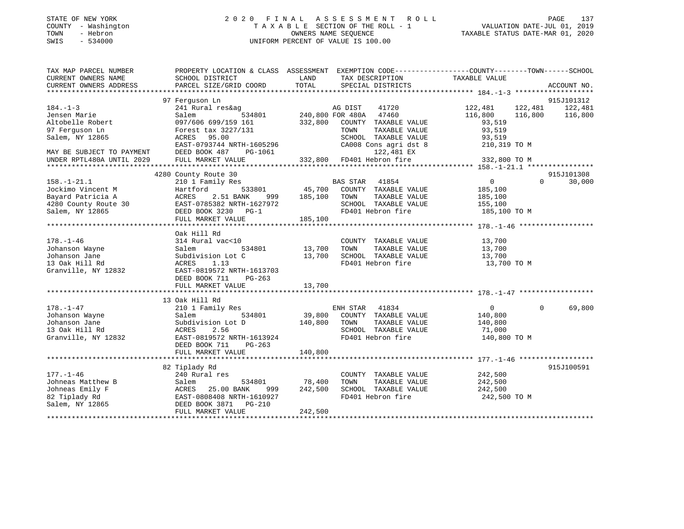### STATE OF NEW YORK 2 0 2 0 F I N A L A S S E S S M E N T R O L L PAGE 137 COUNTY - Washington T A X A B L E SECTION OF THE ROLL - 1 VALUATION DATE-JUL 01, 2019 TOWN - Hebron OWNERS NAME SEQUENCE TAXABLE STATUS DATE-MAR 01, 2020 SWIS - 534000 UNIFORM PERCENT OF VALUE IS 100.00

| TAX MAP PARCEL NUMBER                                  | PROPERTY LOCATION & CLASS ASSESSMENT EXEMPTION CODE---------------COUNTY-------TOWN------SCHOOL |               |                               |                    |                    |
|--------------------------------------------------------|-------------------------------------------------------------------------------------------------|---------------|-------------------------------|--------------------|--------------------|
| CURRENT OWNERS NAME                                    | SCHOOL DISTRICT                                                                                 | LAND          | TAX DESCRIPTION               | TAXABLE VALUE      |                    |
| CURRENT OWNERS ADDRESS                                 | PARCEL SIZE/GRID COORD                                                                          | TOTAL         | SPECIAL DISTRICTS             |                    | ACCOUNT NO.        |
|                                                        |                                                                                                 |               |                               |                    |                    |
|                                                        | 97 Ferguson Ln                                                                                  |               |                               |                    | 915J101312         |
| $184. - 1 - 3$                                         | 241 Rural res&ag                                                                                |               | 41720<br>AG DIST              | 122,481<br>122,481 | 122,481            |
| Jensen Marie                                           | Salem                                                                                           |               | 534801 240,800 FOR 480A 47460 | 116,800<br>116,800 | 116,800            |
| Altobelle Robert                                       | 097/606 699/159 161                                                                             |               | 332,800 COUNTY TAXABLE VALUE  | 93,519             |                    |
| 97 Ferguson Ln                                         | Forest tax 3227/131                                                                             |               | TOWN<br>TAXABLE VALUE         | 93,519             |                    |
| Salem, NY 12865                                        | ACRES 95.00                                                                                     |               | SCHOOL TAXABLE VALUE          | 93,519             |                    |
|                                                        | EAST-0793744 NRTH-1605296                                                                       |               | CA008 Cons agri dst 8         | 210,319 TO M       |                    |
| MAY BE SUBJECT TO PAYMENT<br>UNDER RPTL480A UNTIL 2029 | DEED BOOK 487<br>PG-1061                                                                        |               | 122,481 EX                    |                    |                    |
|                                                        | FULL MARKET VALUE                                                                               |               | 332,800 FD401 Hebron fire     | 332,800 TO M       |                    |
|                                                        |                                                                                                 |               |                               |                    |                    |
|                                                        | 4280 County Route 30                                                                            |               |                               |                    | 915J101308         |
| $158. - 1 - 21.1$                                      | 210 1 Family Res                                                                                |               | <b>BAS STAR</b><br>41854      | $\overline{0}$     | $\Omega$<br>30,000 |
| Jockimo Vincent M                                      | 533801<br>Hartford                                                                              |               | 45,700 COUNTY TAXABLE VALUE   | 185,100            |                    |
| Bayard Patricia A                                      | 2.51 BANK<br>ACRES<br>999                                                                       | 185,100       | TOWN<br>TAXABLE VALUE         | 185,100            |                    |
| 4280 County Route 30                                   | EAST-0785382 NRTH-1627972                                                                       |               | SCHOOL TAXABLE VALUE          | 155,100            |                    |
| Salem, NY 12865                                        | DEED BOOK 3230 PG-1                                                                             |               | FD401 Hebron fire             | 185,100 TO M       |                    |
|                                                        | FULL MARKET VALUE                                                                               | 185,100       |                               |                    |                    |
|                                                        |                                                                                                 |               |                               |                    |                    |
|                                                        | Oak Hill Rd                                                                                     |               |                               |                    |                    |
| $178. - 1 - 46$                                        | 314 Rural vac<10                                                                                |               | COUNTY TAXABLE VALUE          | 13,700             |                    |
| Johanson Wayne                                         | Salem                                                                                           | 534801 13,700 | TOWN<br>TAXABLE VALUE         | 13,700             |                    |
| Johanson Jane                                          | Subdivision Lot C                                                                               | 13,700        | SCHOOL TAXABLE VALUE          | 13,700             |                    |
| 13 Oak Hill Rd                                         | ACRES<br>1.13                                                                                   |               | FD401 Hebron fire             | 13,700 TO M        |                    |
| Granville, NY 12832                                    | EAST-0819572 NRTH-1613703                                                                       |               |                               |                    |                    |
|                                                        | DEED BOOK 711<br>$PG-263$                                                                       |               |                               |                    |                    |
|                                                        | FULL MARKET VALUE                                                                               | 13,700        |                               |                    |                    |
|                                                        |                                                                                                 |               |                               |                    |                    |
|                                                        | 13 Oak Hill Rd                                                                                  |               |                               |                    |                    |
| $178. - 1 - 47$                                        | 210 1 Family Res                                                                                |               | ENH STAR 41834                | $\overline{0}$     | 69,800<br>$\Omega$ |
| Johanson Wayne                                         | Salem<br>534801                                                                                 |               | 39,800 COUNTY TAXABLE VALUE   | 140,800            |                    |
| Johanson Jane                                          | Subdivision Lot D                                                                               | 140,800       | TOWN<br>TAXABLE VALUE         | 140,800            |                    |
| 13 Oak Hill Rd                                         | ACRES<br>2.56                                                                                   |               | SCHOOL TAXABLE VALUE          | 71,000             |                    |
| Granville, NY 12832                                    | EAST-0819572 NRTH-1613924                                                                       |               | FD401 Hebron fire             | 140,800 TO M       |                    |
|                                                        | DEED BOOK 711<br>PG-263                                                                         |               |                               |                    |                    |
|                                                        | FULL MARKET VALUE                                                                               | 140,800       |                               |                    |                    |
|                                                        |                                                                                                 |               |                               |                    |                    |
|                                                        | 82 Tiplady Rd                                                                                   |               |                               |                    | 915J100591         |
| $177. - 1 - 46$                                        | 240 Rural res                                                                                   |               | COUNTY TAXABLE VALUE          | 242,500            |                    |
| Johneas Matthew B                                      | 534801<br>Salem                                                                                 | 78,400        | TAXABLE VALUE<br>TOWN         | 242,500            |                    |
| Johneas Emily F                                        | ACRES 25.00 BANK<br>999                                                                         | 242,500       | SCHOOL TAXABLE VALUE          | 242,500            |                    |
| 82 Tiplady Rd<br>2.1 WIM 19965                         | EAST-0808408 NRTH-1610927                                                                       |               | FD401 Hebron fire             | 242,500 TO M       |                    |
| Salem, NY 12865                                        | DEED BOOK 3871 PG-210                                                                           |               |                               |                    |                    |
|                                                        | FULL MARKET VALUE                                                                               | 242,500       |                               |                    |                    |
|                                                        |                                                                                                 |               |                               |                    |                    |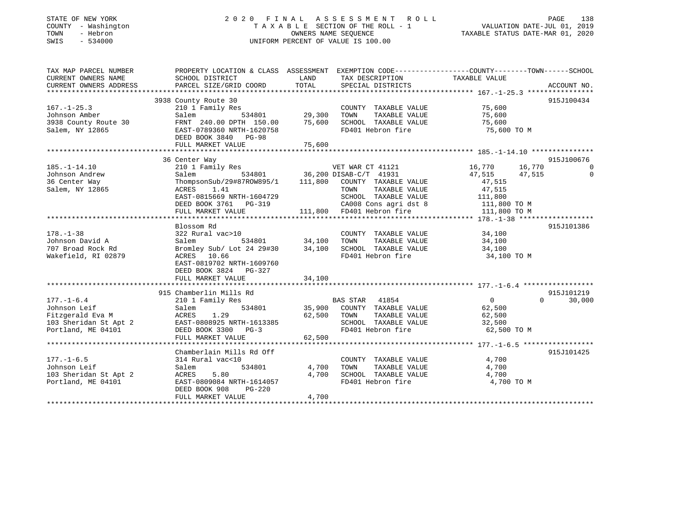### STATE OF NEW YORK 2 0 2 0 F I N A L A S S E S S M E N T R O L L PAGE 138 COUNTY - Washington T A X A B L E SECTION OF THE ROLL - 1 VALUATION DATE-JUL 01, 2019 TOWN - Hebron OWNERS NAME SEQUENCE TAXABLE STATUS DATE-MAR 01, 2020 SWIS - 534000 UNIFORM PERCENT OF VALUE IS 100.00

| TAX MAP PARCEL NUMBER<br>CURRENT OWNERS NAME | PROPERTY LOCATION & CLASS ASSESSMENT EXEMPTION CODE----------------COUNTY-------TOWN------SCHOOL<br>SCHOOL DISTRICT | LAND          | TAX DESCRIPTION                                                                                 | TAXABLE VALUE    |                        |
|----------------------------------------------|---------------------------------------------------------------------------------------------------------------------|---------------|-------------------------------------------------------------------------------------------------|------------------|------------------------|
| CURRENT OWNERS ADDRESS                       | PARCEL SIZE/GRID COORD                                                                                              | TOTAL         | SPECIAL DISTRICTS                                                                               |                  | ACCOUNT NO.            |
|                                              | 3938 County Route 30                                                                                                |               |                                                                                                 |                  | 915J100434             |
| $167. - 1 - 25.3$                            | 210 1 Family Res                                                                                                    |               | COUNTY TAXABLE VALUE                                                                            | 75,600           |                        |
| Johnson Amber                                |                                                                                                                     |               | TAXABLE VALUE<br>TOWN                                                                           | 75,600           |                        |
| 3938 County Route 30                         | Salem 534801 29,300<br>FRNT 240.00 DPTH 150.00 75,600                                                               |               | SCHOOL TAXABLE VALUE                                                                            | 75,600           |                        |
| Salem, NY 12865                              | EAST-0789360 NRTH-1620758                                                                                           |               | FD401 Hebron fire                                                                               | 75,600 TO M      |                        |
|                                              | DEED BOOK 3840 PG-98                                                                                                |               |                                                                                                 |                  |                        |
|                                              | FULL MARKET VALUE                                                                                                   | 75,600        |                                                                                                 |                  |                        |
|                                              |                                                                                                                     |               |                                                                                                 |                  |                        |
|                                              | 36 Center Way                                                                                                       |               |                                                                                                 |                  | 915J100676             |
| $185. - 1 - 14.10$                           | 210 1 Family Res                                                                                                    |               | VET WAR CT 41121 16,770                                                                         | 16,770           | $\Omega$               |
| Johnson Andrew                               |                                                                                                                     |               |                                                                                                 | 47,515<br>47,515 | $\overline{0}$         |
| 36 Center Way                                | Salem 534801 36,200 DISAB-C/T 41931<br>ThompsonSub/29#87ROW895/1 111,800 COUNTY TAXABLE VALUE                       |               |                                                                                                 | 47,515           |                        |
| Salem, NY 12865                              | ACRES<br>1.41                                                                                                       |               |                                                                                                 |                  |                        |
|                                              | EAST-0815669 NRTH-1604729                                                                                           |               |                                                                                                 |                  |                        |
|                                              | DEED BOOK 3761 PG-319                                                                                               |               | TOWN TAXABLE VALUE 47,515<br>SCHOOL TAXABLE VALUE 111,800<br>CA008 Cons agri dst 8 111,800 TO M |                  |                        |
|                                              | FULL MARKET VALUE                                                                                                   |               | 111,800 FD401 Hebron fire                                                                       | 111,800 TO M     |                        |
|                                              |                                                                                                                     |               |                                                                                                 |                  |                        |
|                                              | Blossom Rd                                                                                                          |               |                                                                                                 |                  | 915J101386             |
| $178. - 1 - 38$                              | 322 Rural vac>10                                                                                                    |               | COUNTY TAXABLE VALUE                                                                            | 34,100           |                        |
| Johnson David A                              | Salem                                                                                                               | 534801 34,100 | TAXABLE VALUE<br>TOWN                                                                           | 34,100           |                        |
| 707 Broad Rock Rd                            | Bromley Sub/ Lot 24 29#30 34,100                                                                                    |               | SCHOOL TAXABLE VALUE 34,100                                                                     |                  |                        |
| Wakefield, RI 02879                          | ACRES 10.66                                                                                                         |               | FD401 Hebron fire                                                                               | 34,100 TO M      |                        |
|                                              | EAST-0819702 NRTH-1609760                                                                                           |               |                                                                                                 |                  |                        |
|                                              | DEED BOOK 3824 PG-327                                                                                               |               |                                                                                                 |                  |                        |
|                                              |                                                                                                                     |               |                                                                                                 |                  |                        |
|                                              |                                                                                                                     |               |                                                                                                 |                  |                        |
|                                              | 915 Chamberlin Mills Rd                                                                                             |               |                                                                                                 |                  | 915J101219<br>$\Omega$ |
| $177. - 1 - 6.4$                             | 210 1 Family Res                                                                                                    | 534801 35,900 | BAS STAR 41854                                                                                  | $\overline{0}$   | 30,000                 |
| Johnson Leif<br>Fitzgerald Eva M             | Salem                                                                                                               | 62,500        | COUNTY TAXABLE VALUE<br>TAXABLE VALUE                                                           | 62,500           |                        |
|                                              | ACRES<br>1.29                                                                                                       |               | TOWN<br>SCHOOL TAXABLE VALUE                                                                    | 62,500<br>32,500 |                        |
| Portland, ME 04101                           | DEED BOOK 3300 PG-3                                                                                                 |               | FD401 Hebron fire                                                                               | 62,500 TO M      |                        |
|                                              | FULL MARKET VALUE                                                                                                   | 62,500        |                                                                                                 |                  |                        |
|                                              |                                                                                                                     |               |                                                                                                 |                  |                        |
|                                              | Chamberlain Mills Rd Off                                                                                            |               |                                                                                                 |                  | 915J101425             |
| $177. - 1 - 6.5$                             | 314 Rural vac<10                                                                                                    |               | COUNTY TAXABLE VALUE                                                                            | 4,700            |                        |
| Johnson Leif                                 | 534801<br>Salem                                                                                                     | 4,700         | TOWN<br>TAXABLE VALUE                                                                           | 4,700            |                        |
| 103 Sheridan St Apt 2                        | ACRES<br>5.80                                                                                                       | 4,700         | SCHOOL TAXABLE VALUE                                                                            | 4,700            |                        |
| Portland, ME 04101                           | EAST-0809084 NRTH-1614057                                                                                           |               | FD401 Hebron fire                                                                               | 4,700 TO M       |                        |
|                                              | DEED BOOK 908<br>$PG-220$                                                                                           |               |                                                                                                 |                  |                        |
|                                              | FULL MARKET VALUE                                                                                                   | 4,700         |                                                                                                 |                  |                        |
|                                              |                                                                                                                     |               |                                                                                                 |                  |                        |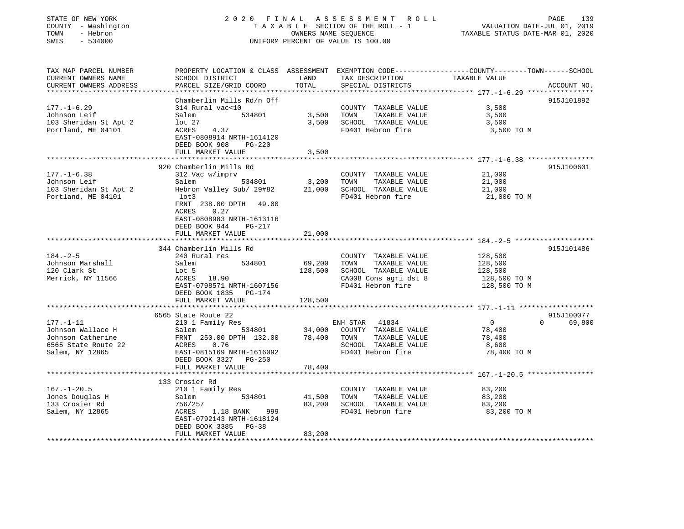| STATE OF NEW YORK<br>COUNTY - Washington<br>- Hebron<br>TOWN<br>SWIS<br>$-534000$                   | 2020 FINAL                                                                                                                                                            | OWNERS NAME SEOUENCE               | A S S E S S M E N T<br>R O L L<br>TAXABLE SECTION OF THE ROLL - 1<br>UNIFORM PERCENT OF VALUE IS 100.00             | PAGE<br>139<br>VALUATION DATE-JUL 01, 2019<br>TAXABLE STATUS DATE-MAR 01, 2020                                                   |
|-----------------------------------------------------------------------------------------------------|-----------------------------------------------------------------------------------------------------------------------------------------------------------------------|------------------------------------|---------------------------------------------------------------------------------------------------------------------|----------------------------------------------------------------------------------------------------------------------------------|
| TAX MAP PARCEL NUMBER<br>CURRENT OWNERS NAME<br>CURRENT OWNERS ADDRESS                              | SCHOOL DISTRICT<br>PARCEL SIZE/GRID COORD                                                                                                                             | LAND<br>TOTAL                      | TAX DESCRIPTION<br>SPECIAL DISTRICTS                                                                                | PROPERTY LOCATION & CLASS ASSESSMENT EXEMPTION CODE----------------COUNTY-------TOWN------SCHOOL<br>TAXABLE VALUE<br>ACCOUNT NO. |
|                                                                                                     |                                                                                                                                                                       |                                    |                                                                                                                     |                                                                                                                                  |
| $177. - 1 - 6.29$<br>Johnson Leif<br>103 Sheridan St Apt 2<br>Portland, ME 04101                    | Chamberlin Mills Rd/n Off<br>314 Rural vac<10<br>Salem<br>534801<br>lot <sub>27</sub><br>ACRES<br>4.37<br>EAST-0808914 NRTH-1614120<br>DEED BOOK 908<br><b>PG-220</b> | 3,500<br>3,500                     | COUNTY TAXABLE VALUE<br>TOWN<br>TAXABLE VALUE<br>SCHOOL TAXABLE VALUE<br>FD401 Hebron fire                          | 915J101892<br>3,500<br>3,500<br>3,500<br>3,500 TO M                                                                              |
|                                                                                                     | FULL MARKET VALUE                                                                                                                                                     | 3,500                              |                                                                                                                     |                                                                                                                                  |
| $177. - 1 - 6.38$                                                                                   | 920 Chamberlin Mills Rd<br>312 Vac w/imprv                                                                                                                            |                                    | COUNTY TAXABLE VALUE                                                                                                | 915J100601<br>21,000                                                                                                             |
| Johnson Leif<br>103 Sheridan St Apt 2<br>Portland, ME 04101                                         | 534801<br>Salem<br>Hebron Valley Sub/ 29#82<br>lot3<br>FRNT 238.00 DPTH<br>49.00<br>ACRES<br>0.27<br>EAST-0808983 NRTH-1613116<br>DEED BOOK 944<br>PG-217             | 3,200<br>21,000                    | TOWN<br>TAXABLE VALUE<br>SCHOOL TAXABLE VALUE<br>FD401 Hebron fire                                                  | 21,000<br>21,000<br>21,000 TO M                                                                                                  |
|                                                                                                     | FULL MARKET VALUE                                                                                                                                                     | 21,000                             |                                                                                                                     |                                                                                                                                  |
| $184. - 2 - 5$<br>Johnson Marshall<br>120 Clark St<br>Merrick, NY 11566                             | 344 Chamberlin Mills Rd<br>240 Rural res<br>Salem<br>534801<br>Lot 5<br>ACRES<br>18.90<br>EAST-0798571 NRTH-1607156<br>DEED BOOK 1835<br>PG-174                       | 69,200<br>128,500                  | COUNTY TAXABLE VALUE<br>TOWN<br>TAXABLE VALUE<br>SCHOOL TAXABLE VALUE<br>CA008 Cons agri dst 8<br>FD401 Hebron fire | 915J101486<br>128,500<br>128,500<br>128,500<br>128,500 TO M<br>128,500 TO M                                                      |
|                                                                                                     | FULL MARKET VALUE                                                                                                                                                     | 128,500<br>* * * * * * * * * * * * |                                                                                                                     |                                                                                                                                  |
| $177. - 1 - 11$<br>Johnson Wallace H<br>Johnson Catherine<br>6565 State Route 22<br>Salem, NY 12865 | 6565 State Route 22<br>210 1 Family Res<br>Salem<br>534801<br>FRNT 250.00 DPTH 132.00<br>ACRES<br>0.76<br>EAST-0815169 NRTH-1616092<br>DEED BOOK 3327<br>PG-250       | 34,000<br>78,400                   | ENH STAR<br>41834<br>COUNTY TAXABLE VALUE<br>TAXABLE VALUE<br>TOWN<br>SCHOOL TAXABLE VALUE<br>FD401 Hebron fire     | 915J100077<br>$\mathbf 0$<br>$\Omega$<br>69,800<br>78,400<br>78,400<br>8,600<br>78,400 TO M                                      |
|                                                                                                     | FULL MARKET VALUE                                                                                                                                                     | 78,400                             |                                                                                                                     |                                                                                                                                  |
| $167. - 1 - 20.5$<br>Jones Douglas H<br>133 Crosier Rd<br>Salem, NY 12865                           | 133 Crosier Rd<br>210 1 Family Res<br>534801<br>Salem<br>756/257<br>ACRES<br>1.18 BANK<br>999<br>EAST-0792143 NRTH-1618124<br>DEED BOOK 3385<br>$PG-38$               | 41,500<br>83,200                   | COUNTY TAXABLE VALUE<br>TAXABLE VALUE<br>TOWN<br>SCHOOL TAXABLE VALUE<br>FD401 Hebron fire                          | 83,200<br>83,200<br>83,200<br>83,200 TO M                                                                                        |
|                                                                                                     | FULL MARKET VALUE                                                                                                                                                     | 83,200<br>*****************        |                                                                                                                     |                                                                                                                                  |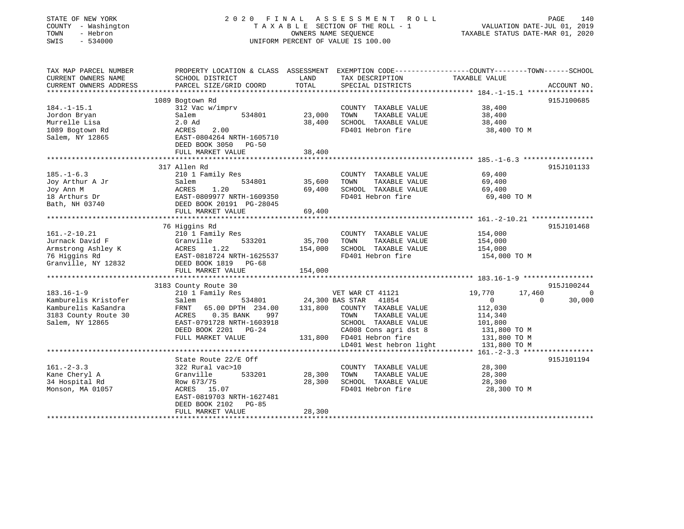| STATE OF NEW YORK<br>COUNTY - Washington<br>TOWN<br>- Hebron<br>$-534000$<br>SWIS |                                                                                                 | 2020 FINAL ASSESSMENT ROLL<br>TAXABLE SECTION OF THE ROLL - 1<br>OWNERS NAME SEQUENCE<br>UNIFORM PERCENT OF VALUE IS 100.00 |                                                               |                                                 |                    |
|-----------------------------------------------------------------------------------|-------------------------------------------------------------------------------------------------|-----------------------------------------------------------------------------------------------------------------------------|---------------------------------------------------------------|-------------------------------------------------|--------------------|
| TAX MAP PARCEL NUMBER                                                             | PROPERTY LOCATION & CLASS ASSESSMENT EXEMPTION CODE---------------COUNTY-------TOWN------SCHOOL |                                                                                                                             |                                                               |                                                 |                    |
| CURRENT OWNERS NAME                                                               | SCHOOL DISTRICT                                                                                 | LAND                                                                                                                        | TAX DESCRIPTION                                               | TAXABLE VALUE                                   |                    |
| CURRENT OWNERS ADDRESS                                                            | PARCEL SIZE/GRID COORD                                                                          | TOTAL                                                                                                                       | SPECIAL DISTRICTS                                             |                                                 | ACCOUNT NO.        |
|                                                                                   |                                                                                                 |                                                                                                                             |                                                               |                                                 |                    |
|                                                                                   | 1089 Bogtown Rd                                                                                 |                                                                                                                             |                                                               |                                                 | 915J100685         |
| $184. - 1 - 15.1$                                                                 | 312 Vac w/imprv                                                                                 |                                                                                                                             | COUNTY TAXABLE VALUE                                          | 38,400                                          |                    |
| Jordon Bryan                                                                      | 534801<br>Salem                                                                                 | 23,000                                                                                                                      | TOWN<br>TAXABLE VALUE                                         | 38,400                                          |                    |
| Murrelle Lisa                                                                     | $2.0$ Ad                                                                                        | 38,400                                                                                                                      | SCHOOL TAXABLE VALUE                                          | 38,400                                          |                    |
| 1089 Bogtown Rd                                                                   | 2.00<br>ACRES                                                                                   |                                                                                                                             | FD401 Hebron fire                                             | 38,400 TO M                                     |                    |
| Salem, NY 12865                                                                   | EAST-0804264 NRTH-1605710                                                                       |                                                                                                                             |                                                               |                                                 |                    |
|                                                                                   | DEED BOOK 3050 PG-50                                                                            |                                                                                                                             |                                                               |                                                 |                    |
|                                                                                   | FULL MARKET VALUE                                                                               | 38,400                                                                                                                      |                                                               |                                                 |                    |
|                                                                                   | 317 Allen Rd                                                                                    |                                                                                                                             |                                                               |                                                 | 915J101133         |
| $185. - 1 - 6.3$                                                                  | 210 1 Family Res                                                                                |                                                                                                                             | COUNTY TAXABLE VALUE                                          | 69,400                                          |                    |
| Joy Arthur A Jr                                                                   | Salem<br>534801                                                                                 | 35,600                                                                                                                      | TOWN<br>TAXABLE VALUE                                         | 69,400                                          |                    |
| Joy Ann M                                                                         | ACRES<br>1.20                                                                                   | 69,400                                                                                                                      | SCHOOL TAXABLE VALUE                                          | 69,400                                          |                    |
| 18 Arthurs Dr                                                                     | EAST-0809977 NRTH-1609350                                                                       |                                                                                                                             | FD401 Hebron fire                                             | 69,400 TO M                                     |                    |
| Bath, NH 03740                                                                    | DEED BOOK 20191 PG-28045                                                                        |                                                                                                                             |                                                               |                                                 |                    |
|                                                                                   | FULL MARKET VALUE                                                                               | 69,400                                                                                                                      |                                                               |                                                 |                    |
|                                                                                   |                                                                                                 |                                                                                                                             | ******************************** 161.-2-10.21 *************** |                                                 |                    |
|                                                                                   | 76 Higgins Rd                                                                                   |                                                                                                                             |                                                               |                                                 | 915J101468         |
| $161. - 2 - 10.21$                                                                | 210 1 Family Res                                                                                |                                                                                                                             | COUNTY TAXABLE VALUE                                          | 154,000                                         |                    |
| Jurnack David F                                                                   | Granville<br>533201                                                                             | 35,700                                                                                                                      | TOWN<br>TAXABLE VALUE                                         | 154,000                                         |                    |
| Armstrong Ashley K                                                                | ACRES<br>1.22                                                                                   | 154,000                                                                                                                     | SCHOOL TAXABLE VALUE                                          | 154,000                                         |                    |
| 76 Higgins Rd                                                                     | EAST-0818724 NRTH-1625537                                                                       |                                                                                                                             | FD401 Hebron fire                                             | 154,000 TO M                                    |                    |
| Granville, NY 12832                                                               | DEED BOOK 1819 PG-68                                                                            |                                                                                                                             |                                                               |                                                 |                    |
|                                                                                   | FULL MARKET VALUE                                                                               | 154,000                                                                                                                     |                                                               |                                                 |                    |
|                                                                                   |                                                                                                 |                                                                                                                             |                                                               |                                                 |                    |
|                                                                                   | 3183 County Route 30                                                                            |                                                                                                                             |                                                               |                                                 | 915J100244         |
| $183.16 - 1 - 9$                                                                  | 210 1 Family Res                                                                                |                                                                                                                             | VET WAR CT 41121                                              | 19,770                                          | 17,460<br>0        |
| Kamburelis Kristofer                                                              | 534801<br>Salem                                                                                 |                                                                                                                             | 24,300 BAS STAR<br>41854                                      | $\Omega$                                        | $\Omega$<br>30,000 |
| Kamburelis KaSandra                                                               | FRNT<br>65.00 DPTH 234.00                                                                       | 131,800                                                                                                                     | COUNTY TAXABLE VALUE                                          | 112,030                                         |                    |
| 3183 County Route 30                                                              | ACRES<br>$0.35$ BANK<br>997                                                                     |                                                                                                                             | TOWN<br>TAXABLE VALUE                                         | 114,340                                         |                    |
| Salem, NY 12865                                                                   | EAST-0791728 NRTH-1603918                                                                       |                                                                                                                             | SCHOOL TAXABLE VALUE                                          | 101,800                                         |                    |
|                                                                                   | DEED BOOK 2201 PG-24                                                                            |                                                                                                                             | CA008 Cons agri dst 8                                         | 131,800 TO M                                    |                    |
|                                                                                   | FULL MARKET VALUE                                                                               |                                                                                                                             | 131,800 FD401 Hebron fire                                     | 131,800 TO M                                    |                    |
|                                                                                   |                                                                                                 |                                                                                                                             | LD401 West hebron light                                       | 131,800 TO M                                    |                    |
|                                                                                   | ****************************                                                                    |                                                                                                                             |                                                               | ***************** 161. -2-3.3 ***************** |                    |
|                                                                                   | State Route 22/E Off                                                                            |                                                                                                                             |                                                               |                                                 | 915J101194         |
| $161 - 2 - 3.3$                                                                   | 322 Rural vac>10                                                                                |                                                                                                                             | COUNTY TAXABLE VALUE                                          | 28,300                                          |                    |
| Kane Cheryl A                                                                     | Granville<br>533201                                                                             | 28,300                                                                                                                      | TOWN<br>TAXABLE VALUE                                         | 28,300                                          |                    |
| 34 Hospital Rd                                                                    | Row 673/75                                                                                      | 28,300                                                                                                                      | SCHOOL TAXABLE VALUE                                          | 28,300                                          |                    |
| Monson, MA 01057                                                                  | ACRES 15.07                                                                                     |                                                                                                                             | FD401 Hebron fire                                             | 28,300 TO M                                     |                    |
|                                                                                   | EAST-0819703 NRTH-1627481                                                                       |                                                                                                                             |                                                               |                                                 |                    |
|                                                                                   |                                                                                                 |                                                                                                                             |                                                               |                                                 |                    |
|                                                                                   | DEED BOOK 2102 PG-85<br>FULL MARKET VALUE                                                       | 28,300                                                                                                                      |                                                               |                                                 |                    |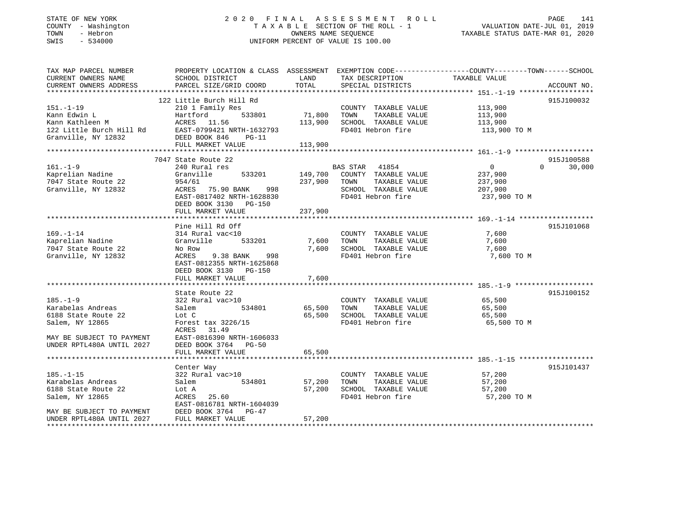### STATE OF NEW YORK 2 0 2 0 F I N A L A S S E S S M E N T R O L L PAGE 141 COUNTY - Washington T A X A B L E SECTION OF THE ROLL - 1 VALUATION DATE-JUL 01, 2019 TOWN - Hebron OWNERS NAME SEQUENCE TAXABLE STATUS DATE-MAR 01, 2020 SWIS - 534000 UNIFORM PERCENT OF VALUE IS 100.00

| TAX MAP PARCEL NUMBER<br>CURRENT OWNERS NAME<br>CURRENT OWNERS ADDRESS                                                                  | PROPERTY LOCATION & CLASS ASSESSMENT<br>SCHOOL DISTRICT<br>PARCEL SIZE/GRID COORD                                                                                           | LAND<br>TOTAL                 | TAX DESCRIPTION<br>SPECIAL DISTRICTS                                                                         | EXEMPTION CODE-----------------COUNTY-------TOWN------SCHOOL<br>TAXABLE VALUE | ACCOUNT NO.                      |
|-----------------------------------------------------------------------------------------------------------------------------------------|-----------------------------------------------------------------------------------------------------------------------------------------------------------------------------|-------------------------------|--------------------------------------------------------------------------------------------------------------|-------------------------------------------------------------------------------|----------------------------------|
|                                                                                                                                         |                                                                                                                                                                             |                               |                                                                                                              |                                                                               |                                  |
| $151. - 1 - 19$<br>Kann Edwin L<br>Kann Kathleen M<br>122 Little Burch Hill Rd<br>Granville, NY 12832                                   | 122 Little Burch Hill Rd<br>210 1 Family Res<br>533801<br>Hartford<br>ACRES 11.56<br>EAST-0799421 NRTH-1632793<br>DEED BOOK 846<br>$PG-11$<br>FULL MARKET VALUE             | 71,800<br>113,900<br>113,900  | COUNTY TAXABLE VALUE<br>TOWN<br>TAXABLE VALUE<br>SCHOOL TAXABLE VALUE<br>FD401 Hebron fire                   | 113,900<br>113,900<br>113,900<br>113,900 TO M                                 | 915J100032                       |
|                                                                                                                                         |                                                                                                                                                                             |                               |                                                                                                              |                                                                               |                                  |
| $161. - 1 - 9$<br>Kaprelian Nadine<br>7047 State Route 22<br>Granville, NY 12832                                                        | 7047 State Route 22<br>240 Rural res<br>Granville<br>533201<br>954/61<br>ACRES 75.90 BANK<br>998<br>EAST-0817402 NRTH-1628830<br>DEED BOOK 3130 PG-150<br>FULL MARKET VALUE | 149,700<br>237,900<br>237,900 | BAS STAR 41854<br>COUNTY TAXABLE VALUE<br>TOWN<br>TAXABLE VALUE<br>SCHOOL TAXABLE VALUE<br>FD401 Hebron fire | $\overline{0}$<br>237,900<br>237,900<br>207,900<br>237,900 TO M               | 915J100588<br>30,000<br>$\Omega$ |
|                                                                                                                                         | Pine Hill Rd Off                                                                                                                                                            |                               |                                                                                                              |                                                                               | 915J101068                       |
| $169. - 1 - 14$<br>Kaprelian Nadine<br>7047 State Route 22<br>Granville, NY 12832                                                       | 314 Rural vac<10<br>Granville<br>533201<br>No Row<br>ACRES<br>9.38 BANK<br>998<br>EAST-0812355 NRTH-1625868<br>DEED BOOK 3130 PG-150<br>FULL MARKET VALUE                   | 7,600<br>7,600<br>7,600       | COUNTY TAXABLE VALUE<br>TAXABLE VALUE<br>TOWN<br>SCHOOL TAXABLE VALUE<br>FD401 Hebron fire                   | 7,600<br>7,600<br>7,600<br>7,600 TO M                                         |                                  |
|                                                                                                                                         | State Route 22                                                                                                                                                              |                               |                                                                                                              |                                                                               | 915J100152                       |
| $185. - 1 - 9$<br>Karabelas Andreas<br>6188 State Route 22<br>Salem, NY 12865<br>MAY BE SUBJECT TO PAYMENT<br>UNDER RPTL480A UNTIL 2027 | 322 Rural vac>10<br>534801<br>Salem<br>Lot C<br>Forest tax 3226/15<br>ACRES<br>31.49<br>EAST-0816390 NRTH-1606033<br>DEED BOOK 3764 PG-50                                   | 65,500<br>65,500              | COUNTY TAXABLE VALUE<br>TAXABLE VALUE<br>TOWN<br>SCHOOL TAXABLE VALUE<br>FD401 Hebron fire                   | 65,500<br>65,500<br>65,500<br>65,500 TO M                                     |                                  |
|                                                                                                                                         | FULL MARKET VALUE                                                                                                                                                           | 65,500                        |                                                                                                              |                                                                               |                                  |
|                                                                                                                                         |                                                                                                                                                                             |                               |                                                                                                              |                                                                               |                                  |
| $185. - 1 - 15$<br>Karabelas Andreas<br>6188 State Route 22<br>Salem, NY 12865<br>MAY BE SUBJECT TO PAYMENT                             | Center Way<br>322 Rural vac>10<br>534801<br>Salem<br>Lot A<br>25.60<br>ACRES<br>EAST-0816781 NRTH-1604039<br>DEED BOOK 3764 PG-47                                           | 57,200<br>57,200              | COUNTY TAXABLE VALUE<br>TOWN<br>TAXABLE VALUE<br>SCHOOL TAXABLE VALUE<br>FD401 Hebron fire                   | 57,200<br>57,200<br>57,200<br>57,200 TO M                                     | 915J101437                       |
| UNDER RPTL480A UNTIL 2027                                                                                                               | FULL MARKET VALUE                                                                                                                                                           | 57,200                        |                                                                                                              |                                                                               |                                  |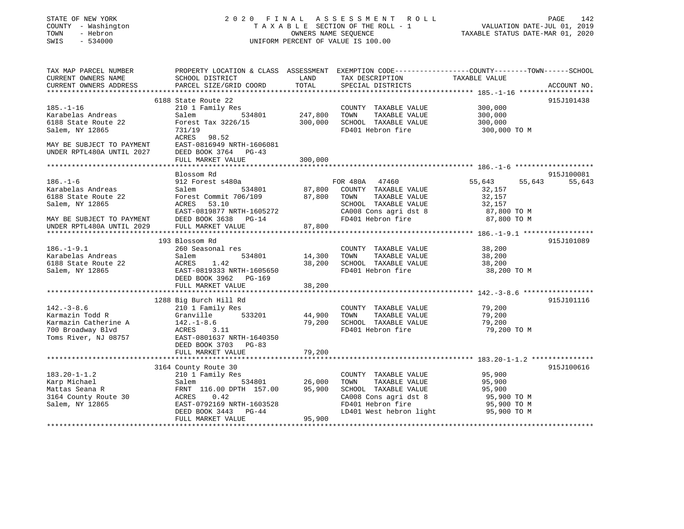### STATE OF NEW YORK 2 0 2 0 F I N A L A S S E S S M E N T R O L L PAGE 142 COUNTY - Washington T A X A B L E SECTION OF THE ROLL - 1 VALUATION DATE-JUL 01, 2019 TOWN - Hebron OWNERS NAME SEQUENCE TAXABLE STATUS DATE-MAR 01, 2020 SWIS - 534000 UNIFORM PERCENT OF VALUE IS 100.00

| TAX MAP PARCEL NUMBER<br>CURRENT OWNERS NAME<br>CURRENT OWNERS ADDRESS                                                                   | PROPERTY LOCATION & CLASS ASSESSMENT EXEMPTION CODE---------------COUNTY-------TOWN-----SCHOOL<br>SCHOOL DISTRICT<br>PARCEL SIZE/GRID COORD                                         | LAND<br>TOTAL                 | TAX DESCRIPTION<br>SPECIAL DISTRICTS                                                                                                                           | TAXABLE VALUE                                                                | ACCOUNT NO. |
|------------------------------------------------------------------------------------------------------------------------------------------|-------------------------------------------------------------------------------------------------------------------------------------------------------------------------------------|-------------------------------|----------------------------------------------------------------------------------------------------------------------------------------------------------------|------------------------------------------------------------------------------|-------------|
| $185. - 1 - 16$<br>Karabelas Andreas<br>6188 State Route 22<br>Salem, NY 12865<br>MAY BE SUBJECT TO PAYMENT<br>UNDER RPTL480A UNTIL 2027 | 6188 State Route 22<br>210 1 Family Res<br>Salem<br>534801<br>Forest Tax 3226/15<br>731/19<br>ACRES 98.52<br>EAST-0816949 NRTH-1606081<br>DEED BOOK 3764 PG-43<br>FULL MARKET VALUE | 247,800<br>300,000<br>300,000 | COUNTY TAXABLE VALUE<br>TOWN<br>TAXABLE VALUE<br>SCHOOL TAXABLE VALUE<br>FD401 Hebron fire                                                                     | 300,000<br>300,000<br>300,000<br>300,000 TO M                                | 915J101438  |
|                                                                                                                                          | Blossom Rd                                                                                                                                                                          |                               |                                                                                                                                                                |                                                                              | 915J100081  |
| $186. - 1 - 6$<br>Karabelas Andreas<br>6188 State Route 22<br>Salem, NY 12865<br>MAY BE SUBJECT TO PAYMENT<br>UNDER RPTL480A UNTIL 2029  | 912 Forest s480a<br>534801<br>Salem<br>Forest Commit 706/109 87,800<br>ACRES 53.10<br>EAST-0819877 NRTH-1605272<br>DEED BOOK 3638 PG-14<br>FULL MARKET VALUE                        | 87,800                        | FOR 480A 47460<br>FOR 480A 47460<br>87,800 COUNTY TAXABLE VALUE<br>TAXABLE VALUE<br>TOWN<br>SCHOOL TAXABLE VALUE<br>CA008 Cons agri dst 8<br>FD401 Hebron fire | 55,643<br>55,643<br>32,157<br>32,157<br>32,157<br>87,800 TO M<br>87,800 TO M | 55,643      |
|                                                                                                                                          | 193 Blossom Rd                                                                                                                                                                      |                               |                                                                                                                                                                |                                                                              | 915J101089  |
| $186. - 1 - 9.1$<br>Karabelas Andreas<br>6188 State Route 22<br>Salem, NY 12865                                                          | 260 Seasonal res<br>Salem<br>534801<br>1.42<br>ACRES<br>EAST-0819333 NRTH-1605650<br>DEED BOOK 3962 PG-169<br>FULL MARKET VALUE                                                     | 14,300<br>38,200<br>38,200    | COUNTY TAXABLE VALUE<br>TOWN<br>TAXABLE VALUE<br>SCHOOL TAXABLE VALUE<br>FD401 Hebron fire                                                                     | 38,200<br>38,200<br>38,200<br>38,200 TO M                                    |             |
|                                                                                                                                          | 1288 Big Burch Hill Rd                                                                                                                                                              |                               |                                                                                                                                                                |                                                                              | 915J101116  |
| $142. - 3 - 8.6$<br>Karmazin Todd R<br>Karmazin Catherine A<br>700 Broadway Blvd<br>Toms River, NJ 08757                                 | 210 1 Family Res<br>Granville<br>533201<br>$142. - 1 - 8.6$<br>ACRES 3.11<br>EAST-0801637 NRTH-1640350<br>DEED BOOK 3703 PG-83<br>FULL MARKET VALUE                                 | 44,900<br>79,200              | COUNTY TAXABLE VALUE<br>TOWN<br>TAXABLE VALUE<br>SCHOOL TAXABLE VALUE<br>FD401 Hebron fire                                                                     | 79,200<br>79,200<br>79,200<br>79,200 TO M                                    |             |
|                                                                                                                                          |                                                                                                                                                                                     | 79,200                        |                                                                                                                                                                |                                                                              |             |
| $183.20 - 1 - 1.2$<br>Karp Michael<br>Mattas Seana R<br>3164 County Route 30<br>Salem, NY 12865                                          | 3164 County Route 30<br>210 1 Family Res<br>534801<br>Salem<br>FRNT 116.00 DPTH 157.00<br>ACRES 0.42<br>EAST-0792169 NRTH-1603528<br>DEED BOOK 3443 PG-44                           | 26,000<br>95,900              | COUNTY TAXABLE VALUE<br>TOWN<br>TAXABLE VALUE<br>SCHOOL TAXABLE VALUE<br>CA008 Cons agri dst 8<br>FD401 Hebron fire<br>LD401 West hebron light                 | 95,900<br>95,900<br>95,900<br>95,900 TO M<br>95,900 TO M<br>95,900 TO M      | 915J100616  |
|                                                                                                                                          | FULL MARKET VALUE                                                                                                                                                                   | 95,900                        |                                                                                                                                                                |                                                                              |             |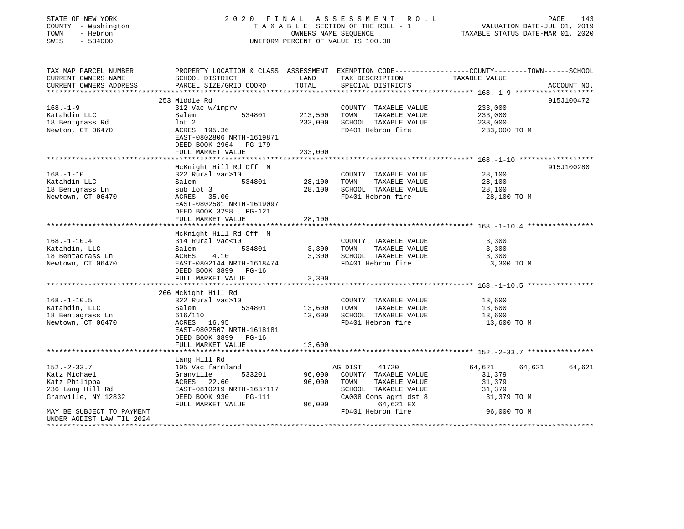| STATE OF NEW YORK<br>COUNTY - Washington<br>- Hebron<br>TOWN<br>SWIS<br>$-534000$            | 2020 FINAL ASSESSMENT ROLL<br>TAXABLE SECTION OF THE ROLL - 1<br>OWNERS NAME SEQUENCE<br>UNIFORM PERCENT OF VALUE IS 100.00                              |                            |                                                                                                                    | PAGE<br>143<br>VALUATION DATE-JUL 01, 2019<br>TAXABLE STATUS DATE-MAR 01, 2020                                                                                       |        |  |
|----------------------------------------------------------------------------------------------|----------------------------------------------------------------------------------------------------------------------------------------------------------|----------------------------|--------------------------------------------------------------------------------------------------------------------|----------------------------------------------------------------------------------------------------------------------------------------------------------------------|--------|--|
| TAX MAP PARCEL NUMBER<br>CURRENT OWNERS NAME<br>CURRENT OWNERS ADDRESS                       | PARCEL SIZE/GRID COORD                                                                                                                                   | TOTAL                      | SPECIAL DISTRICTS                                                                                                  | PROPERTY LOCATION & CLASS ASSESSMENT EXEMPTION CODE-----------------COUNTY--------TOWN------SCHOOL SCHOOL DISTRICT LAND TAX DESCRIPTION TAXABLE VALUE<br>ACCOUNT NO. |        |  |
|                                                                                              |                                                                                                                                                          | ***********                |                                                                                                                    | ******************** 168.-1-9 ****************                                                                                                                       |        |  |
|                                                                                              | 253 Middle Rd                                                                                                                                            |                            |                                                                                                                    | 915J100472                                                                                                                                                           |        |  |
| $168. - 1 - 9$<br>Katahdin LLC<br>18 Bentgrass Rd<br>Newton, CT 06470                        | 312 Vac w/imprv<br>Salem<br>534801<br>lot 2<br>ACRES 195.36<br>EAST-0802806 NRTH-1619871<br>DEED BOOK 2964 PG-179                                        | 213,500<br>233,000         | COUNTY TAXABLE VALUE<br>TOWN<br>TAXABLE VALUE<br>SCHOOL TAXABLE VALUE<br>FD401 Hebron fire                         | 233,000<br>233,000<br>233,000<br>233,000 TO M                                                                                                                        |        |  |
|                                                                                              | FULL MARKET VALUE                                                                                                                                        | 233,000                    |                                                                                                                    |                                                                                                                                                                      |        |  |
| $168. - 1 - 10$<br>Katahdin LLC<br>18 Bentgrass Ln<br>Newtown, CT 06470                      | McKnight Hill Rd Off N<br>322 Rural vac>10<br>534801<br>Salem<br>sub lot 3<br>ACRES 35.00                                                                | 28,100<br>28,100           | COUNTY TAXABLE VALUE<br>TAXABLE VALUE<br>TOWN<br>SCHOOL TAXABLE VALUE<br>FD401 Hebron fire                         | 915J100280<br>28,100<br>28,100<br>28,100<br>28,100 TO M                                                                                                              |        |  |
|                                                                                              | EAST-0802581 NRTH-1619097<br>DEED BOOK 3298 PG-121<br>FULL MARKET VALUE                                                                                  | 28,100                     |                                                                                                                    |                                                                                                                                                                      |        |  |
| $168. - 1 - 10.4$<br>Katahdin, LLC<br>18 Bentagrass Ln<br>Newtown, CT 06470                  | McKnight Hill Rd Off N<br>314 Rural vac<10<br>534801<br>Salem<br>4.10<br>ACRES<br>EAST-0802144 NRTH-1618474<br>DEED BOOK 3899 PG-16<br>FULL MARKET VALUE | 3,300<br>3,300<br>3,300    | COUNTY TAXABLE VALUE<br>TAXABLE VALUE<br>TOWN<br>SCHOOL TAXABLE VALUE<br>FD401 Hebron fire                         | 3,300<br>3,300<br>3,300<br>3,300 TO M                                                                                                                                |        |  |
|                                                                                              |                                                                                                                                                          | **********                 |                                                                                                                    | *********************** 168.-1-10.5 *****************                                                                                                                |        |  |
|                                                                                              | 266 McNight Hill Rd                                                                                                                                      |                            |                                                                                                                    |                                                                                                                                                                      |        |  |
| $168. - 1 - 10.5$<br>Katahdin, LLC<br>18 Bentagrass Ln<br>Newtown, CT 06470                  | 322 Rural vac>10<br>534801<br>Salem<br>616/110<br>ACRES 16.95<br>EAST-0802507 NRTH-1618181<br>DEED BOOK 3899 PG-16<br>FULL MARKET VALUE                  | 13,600<br>13,600<br>13,600 | COUNTY TAXABLE VALUE<br>TOWN<br>TAXABLE VALUE<br>SCHOOL TAXABLE VALUE<br>FD401 Hebron fire                         | 13,600<br>13,600<br>13,600<br>13,600 TO M                                                                                                                            |        |  |
|                                                                                              |                                                                                                                                                          |                            |                                                                                                                    | ****************************** 152.-2-33.7 **************                                                                                                            |        |  |
| $152 - 2 - 33.7$<br>Katz Michael<br>Katz Philippa<br>236 Lang Hill Rd<br>Granville, NY 12832 | Lang Hill Rd<br>105 Vac farmland<br>533201<br>Granville<br>ACRES 22.60<br>EAST-0810219 NRTH-1637117<br>DEED BOOK 930<br><b>PG-111</b>                    | 96,000<br>96,000           | 41720<br>AG DIST<br>COUNTY TAXABLE VALUE<br>TOWN<br>TAXABLE VALUE<br>SCHOOL TAXABLE VALUE<br>CA008 Cons agri dst 8 | 64,621<br>64,621<br>31,379<br>31,379<br>31,379<br>31,379 TO M                                                                                                        | 64,621 |  |
| MAY BE SUBJECT TO PAYMENT<br>UNDER AGDIST LAW TIL 2024<br>***************************        | FULL MARKET VALUE                                                                                                                                        | 96,000                     | 64,621 EX<br>FD401 Hebron fire                                                                                     | 96,000 TO M                                                                                                                                                          |        |  |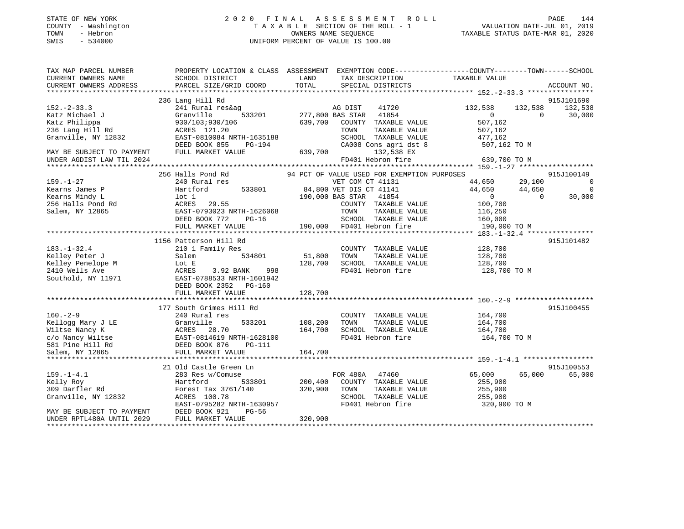| STATE OF NEW YORK   | 2020 FINAL ASSESSMENT ROLL         | 144<br>PAGE                      |
|---------------------|------------------------------------|----------------------------------|
| COUNTY - Washington | TAXABLE SECTION OF THE ROLL - 1    | VALUATION DATE-JUL 01, 2019      |
| TOWN<br>- Hebron    | OWNERS NAME SEQUENCE               | TAXABLE STATUS DATE-MAR 01, 2020 |
| $-534000$<br>SWIS   | UNIFORM PERCENT OF VALUE IS 100.00 |                                  |
|                     |                                    |                                  |
|                     |                                    |                                  |

| TAX MAP PARCEL NUMBER                         | PROPERTY LOCATION & CLASS ASSESSMENT EXEMPTION CODE----------------COUNTY-------TOWN------SCHOOL                                                            |                |                                                                                                                                                    |                    |                |                 |
|-----------------------------------------------|-------------------------------------------------------------------------------------------------------------------------------------------------------------|----------------|----------------------------------------------------------------------------------------------------------------------------------------------------|--------------------|----------------|-----------------|
| CURRENT OWNERS NAME                           | SCHOOL DISTRICT                                                                                                                                             | LAND           | TAX DESCRIPTION                                                                                                                                    | TAXABLE VALUE      |                |                 |
| CURRENT OWNERS ADDRESS                        | PARCEL SIZE/GRID COORD                                                                                                                                      | TOTAL          | SPECIAL DISTRICTS                                                                                                                                  |                    |                | ACCOUNT NO.     |
|                                               |                                                                                                                                                             |                |                                                                                                                                                    |                    |                |                 |
|                                               | 236 Lang Hill Rd                                                                                                                                            |                |                                                                                                                                                    |                    |                | 915J101690      |
|                                               |                                                                                                                                                             |                |                                                                                                                                                    | 132,538            |                |                 |
| $152 - 2 - 33.3$                              | 241 Rural res&ag                                                                                                                                            |                | M AG DIST 41720<br>533201 277,800 BAS STAR 41854<br>$41720$<br>$41854$                                                                             |                    |                | 132,538 132,538 |
| Katz Michael J                                | Granville                                                                                                                                                   |                |                                                                                                                                                    | $\sim$ 0           | $\overline{0}$ | 30,000          |
| watz Philippa<br>236 Lang Hill Rd<br>Crementi | 930/103;930/106                                                                                                                                             |                | 639,700 COUNTY TAXABLE VALUE                                                                                                                       | 507,162            |                |                 |
|                                               | ACRES 121.20                                                                                                                                                |                | TOWN<br>TAXABLE VALUE                                                                                                                              | 507,162            |                |                 |
| Granville, NY 12832                           | EAST-0810084 NRTH-1635188<br>DEED BOOK 855 PG-194                                                                                                           |                | SCHOOL TAXABLE VALUE                                                                                                                               | 477,162            |                |                 |
|                                               |                                                                                                                                                             |                |                                                                                                                                                    | 507,162 TO M       |                |                 |
| MAY BE SUBJECT TO PAYMENT                     | FULL MARKET VALUE                                                                                                                                           | 639,700        | CA008 Cons agri dst 8<br>132,538 EX                                                                                                                |                    |                |                 |
|                                               |                                                                                                                                                             |                |                                                                                                                                                    | 639,700 TO M       |                |                 |
| UNDER AGDIST LAW TIL 2024                     |                                                                                                                                                             |                | FD401 Hebron fire                                                                                                                                  |                    |                |                 |
|                                               |                                                                                                                                                             |                |                                                                                                                                                    |                    |                |                 |
|                                               |                                                                                                                                                             |                |                                                                                                                                                    | $44,650$ 29,100    |                | 915J100149      |
| $159. - 1 - 27$                               | 240 Rural res                                                                                                                                               |                | VET COM CT 41131                                                                                                                                   |                    |                | $\sim$ 0        |
| Kearns James P                                | Hartford                                                                                                                                                    |                | 533801 84,800 VET DIS CT 41141<br>190,000 BAS STAR 41854                                                                                           | 44,650 44,650      |                | $\overline{0}$  |
| Kearns Mindy L                                | lot 1                                                                                                                                                       |                |                                                                                                                                                    | $\overline{0}$     | $\overline{0}$ | 30,000          |
|                                               |                                                                                                                                                             |                | COUNTY TAXABLE VALUE 100,700<br>TOWN TAXABLE VALUE 116,250                                                                                         |                    |                |                 |
|                                               |                                                                                                                                                             |                |                                                                                                                                                    |                    |                |                 |
|                                               |                                                                                                                                                             |                |                                                                                                                                                    |                    |                |                 |
|                                               | DEED BOOK 772<br>$PG-16$                                                                                                                                    |                |                                                                                                                                                    |                    |                |                 |
|                                               | FULL MARKET VALUE                                                                                                                                           |                | COUNTY TAXABLE VALUE 100,700<br>1626068 TOWN TAXABLE VALUE 116,250<br>20-16 SCHOOL TAXABLE VALUE 160,000<br>190,000 FD401 Hebron fire 190,000 TO M |                    |                |                 |
|                                               |                                                                                                                                                             |                |                                                                                                                                                    |                    |                |                 |
|                                               | 1156 Patterson Hill Rd                                                                                                                                      |                |                                                                                                                                                    |                    |                | 915J101482      |
| $183. - 1 - 32.4$                             | 210 1 Family Res                                                                                                                                            |                | COUNTY TAXABLE VALUE                                                                                                                               | 128,700            |                |                 |
|                                               |                                                                                                                                                             |                |                                                                                                                                                    |                    |                |                 |
|                                               |                                                                                                                                                             | 51,800         | TAXABLE VALUE<br>TOWN                                                                                                                              | 128,700<br>128,700 |                |                 |
|                                               |                                                                                                                                                             | 128,700        | SCHOOL TAXABLE VALUE                                                                                                                               |                    |                |                 |
|                                               |                                                                                                                                                             |                | FD401 Hebron fire 128,700 TO M                                                                                                                     |                    |                |                 |
|                                               | Example of the Magnetic Salem Magnetic Solemn S34801<br>Example 2410 Wells Ave Magnetic ACRES 3.92 BANK 998<br>Southold, NY 11971 EAST-0788533 NRTH-1601942 |                |                                                                                                                                                    |                    |                |                 |
|                                               | DEED BOOK 2352 PG-160                                                                                                                                       |                |                                                                                                                                                    |                    |                |                 |
|                                               | FULL MARKET VALUE                                                                                                                                           | 128,700        |                                                                                                                                                    |                    |                |                 |
|                                               |                                                                                                                                                             |                |                                                                                                                                                    |                    |                |                 |
|                                               |                                                                                                                                                             |                |                                                                                                                                                    |                    |                |                 |
|                                               | 177 South Grimes Hill Rd                                                                                                                                    |                |                                                                                                                                                    |                    |                | 915J100455      |
| $160. - 2 - 9$                                | 240 Rural res                                                                                                                                               |                | COUNTY TAXABLE VALUE 164,700                                                                                                                       |                    |                |                 |
|                                               |                                                                                                                                                             | 533201 108,200 |                                                                                                                                                    |                    |                |                 |
|                                               |                                                                                                                                                             | 164,700        |                                                                                                                                                    |                    |                |                 |
|                                               | Example 1933201<br>Wiltse Nancy K<br>C/o Nancy K<br>C/o Nancy Wiltse EAST-0814619 NRTH-1628100<br>S81 Pine Hill Rd<br>Salem, NY 12865<br>PULL MARKET VALUE  |                | FD401 Hebron fire 164,700 TO M                                                                                                                     |                    |                |                 |
|                                               |                                                                                                                                                             |                |                                                                                                                                                    |                    |                |                 |
|                                               |                                                                                                                                                             |                |                                                                                                                                                    |                    |                |                 |
|                                               |                                                                                                                                                             | 164,700        |                                                                                                                                                    |                    |                |                 |
|                                               |                                                                                                                                                             |                |                                                                                                                                                    |                    |                |                 |
|                                               | 21 Old Castle Green Ln                                                                                                                                      |                |                                                                                                                                                    |                    |                | 915J100553      |
| $159. - 1 - 4.1$                              | 283 Res w/Comuse                                                                                                                                            |                | FOR 480A 47460                                                                                                                                     | 65,000             |                | 65,000 65,000   |
| Kelly Roy                                     | Hartford                                                                                                                                                    |                | 533801 200,400 COUNTY TAXABLE VALUE                                                                                                                | 255,900            |                |                 |
| 309 Darfler Rd                                |                                                                                                                                                             |                | TAXABLE VALUE                                                                                                                                      | 255,900            |                |                 |
| Granville, NY 12832                           | Forest Tax 3761/140 320,900 TOWN<br>ACRES 100 78 300 ROUGO<br>ACRES 100.78                                                                                  |                | SCHOOL TAXABLE VALUE 255,900                                                                                                                       |                    |                |                 |
|                                               |                                                                                                                                                             |                |                                                                                                                                                    |                    |                |                 |
|                                               | EAST-0795282 NRTH-1630957                                                                                                                                   |                | FD401 Hebron fire 320,900 TO M                                                                                                                     |                    |                |                 |
| MAY BE SUBJECT TO PAYMENT                     | PG-56<br>DEED BOOK 921                                                                                                                                      |                |                                                                                                                                                    |                    |                |                 |
| UNDER RPTL480A UNTIL 2029                     | FULL MARKET VALUE                                                                                                                                           | 320,900        |                                                                                                                                                    |                    |                |                 |
|                                               |                                                                                                                                                             |                |                                                                                                                                                    |                    |                |                 |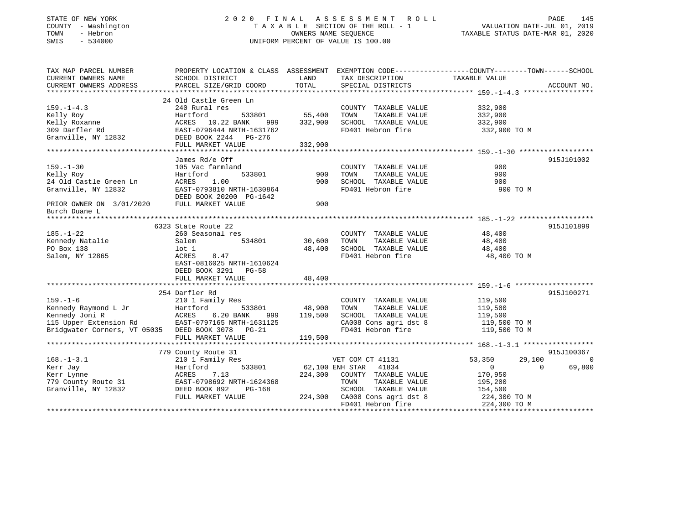| STATE OF NEW YORK |          |              |
|-------------------|----------|--------------|
| COUNTY            |          | - Washington |
| TOWN              | - Hebron |              |
| CM <sub>T</sub> C |          | 534000       |

### STATE OF NEW YORK 2 0 2 0 F I N A L A S S E S S M E N T R O L L PAGE 145COUNTY A X A B L E SECTION OF THE ROLL - 1 SWIS - 534000 UNIFORM PERCENT OF VALUE IS 100.00

## VALUATION DATE-JUL 01, 2019

TAXABLE STATUS DATE-MAR 01, 2020

| TAX MAP PARCEL NUMBER                             |                                                   |               |                               | PROPERTY LOCATION & CLASS ASSESSMENT EXEMPTION CODE----------------COUNTY-------TOWN------SCHOOL |                |
|---------------------------------------------------|---------------------------------------------------|---------------|-------------------------------|--------------------------------------------------------------------------------------------------|----------------|
| CURRENT OWNERS NAME                               | SCHOOL DISTRICT                                   | LAND          | TAX DESCRIPTION               | TAXABLE VALUE                                                                                    |                |
| CURRENT OWNERS ADDRESS                            | PARCEL SIZE/GRID COORD                            | TOTAL         | SPECIAL DISTRICTS             |                                                                                                  | ACCOUNT NO.    |
|                                                   |                                                   |               |                               |                                                                                                  |                |
|                                                   | 24 Old Castle Green Ln                            |               |                               |                                                                                                  |                |
| $159. - 1 - 4.3$                                  | 240 Rural res                                     |               | COUNTY TAXABLE VALUE          | 332,900                                                                                          |                |
| Kelly Roy                                         | Hartford                                          | 533801 55,400 | TAXABLE VALUE<br>TOWN         | 332,900                                                                                          |                |
| Kelly Roxanne                                     |                                                   | 999 332,900   | SCHOOL TAXABLE VALUE          | 332,900                                                                                          |                |
| 309 Darfler Rd                                    | ACRES 10.22 BANK 999<br>EAST-0796444 NRTH-1631762 |               | FD401 Hebron fire             | 332,900 TO M                                                                                     |                |
| Granville, NY 12832 DEED BOOK 2244 PG-276         |                                                   |               |                               |                                                                                                  |                |
|                                                   | FULL MARKET VALUE                                 | 332,900       |                               |                                                                                                  |                |
|                                                   |                                                   |               |                               |                                                                                                  |                |
|                                                   | James Rd/e Off                                    |               |                               |                                                                                                  | 915J101002     |
| $159. - 1 - 30$                                   | 105 Vac farmland                                  |               | COUNTY TAXABLE VALUE          | 900                                                                                              |                |
| Kelly Roy                                         | Hartford                                          | 533801 900    | TAXABLE VALUE<br>TOWN         | 900                                                                                              |                |
| 24 Old Castle Green Ln                            | 1.00<br>ACRES                                     | 900           | SCHOOL TAXABLE VALUE          | 900                                                                                              |                |
| Granville, NY 12832                               | EAST-0793810 NRTH-1630864                         |               | FD401 Hebron fire             | 900 TO M                                                                                         |                |
|                                                   | DEED BOOK 20200 PG-1642                           |               |                               |                                                                                                  |                |
| PRIOR OWNER ON 3/01/2020 FULL MARKET VALUE        |                                                   | 900           |                               |                                                                                                  |                |
| Burch Duane L                                     |                                                   |               |                               |                                                                                                  |                |
|                                                   |                                                   |               |                               |                                                                                                  |                |
|                                                   | 6323 State Route 22                               |               |                               |                                                                                                  | 915J101899     |
| $185. - 1 - 22$                                   | 260 Seasonal res                                  |               | COUNTY TAXABLE VALUE          | 48,400                                                                                           |                |
| Kennedy Natalie                                   | Salem                                             |               | TOWN<br>TAXABLE VALUE         | 48,400                                                                                           |                |
| PO Box 138                                        | $1$ ot $1$                                        | 48,400        | SCHOOL TAXABLE VALUE          | 48,400                                                                                           |                |
| Salem, NY 12865                                   | ACRES<br>8.47                                     |               | FD401 Hebron fire             | 48,400 TO M                                                                                      |                |
|                                                   | EAST-0816025 NRTH-1610624                         |               |                               |                                                                                                  |                |
|                                                   | DEED BOOK 3291 PG-58                              |               |                               |                                                                                                  |                |
|                                                   | FULL MARKET VALUE                                 | 48,400        |                               |                                                                                                  |                |
|                                                   |                                                   |               |                               |                                                                                                  |                |
|                                                   | 254 Darfler Rd                                    |               |                               |                                                                                                  | 915J100271     |
| $159. - 1 - 6$                                    | 210 1 Family Res                                  |               | COUNTY TAXABLE VALUE          | 119,500                                                                                          |                |
| Kennedy Raymond L Jr                              | Hartford                                          | 533801 48,900 | TOWN<br>TAXABLE VALUE         | 119,500                                                                                          |                |
| Kennedy Joni R                                    | ACRES<br>6.20 BANK                                | 999 119,500   | SCHOOL TAXABLE VALUE          | 119,500                                                                                          |                |
| 115 Upper Extension Rd                            | EAST-0797165 NRTH-1631125                         |               | CA008 Cons agri dst 8         | 119,500 TO M                                                                                     |                |
| Bridgwater Corners, VT 05035 DEED BOOK 3078 PG-21 |                                                   |               | FD401 Hebron fire             | 119,500 TO M                                                                                     |                |
|                                                   | FULL MARKET VALUE                                 | 119,500       |                               |                                                                                                  |                |
|                                                   |                                                   |               |                               |                                                                                                  |                |
|                                                   | 779 County Route 31                               |               |                               |                                                                                                  | 915J100367     |
| $168. - 1 - 3.1$                                  | 210 1 Family Res                                  |               | VET COM CT 41131              | 53,350<br>29,100                                                                                 | $\overline{0}$ |
| Kerr Jay                                          | 533801<br>Hartford                                |               | 62,100 ENH STAR 41834         | $\overline{0}$<br>$\Omega$                                                                       | 69,800         |
| Kerr Lynne                                        | 7.13<br>ACRES                                     | 224,300       | COUNTY TAXABLE VALUE          | 170,950                                                                                          |                |
| 779 County Route 31 EAST-0798692 NRTH-1624368     |                                                   |               | TAXABLE VALUE<br>TOWN         | 195,200                                                                                          |                |
| Granville, NY 12832                               | DEED BOOK 892<br>PG-168                           |               | SCHOOL TAXABLE VALUE          | 154,500                                                                                          |                |
|                                                   | FULL MARKET VALUE                                 |               | 224,300 CA008 Cons agri dst 8 | 224,300 TO M                                                                                     |                |
|                                                   |                                                   |               | FD401 Hebron fire             | 224,300 TO M                                                                                     |                |
|                                                   |                                                   |               |                               |                                                                                                  |                |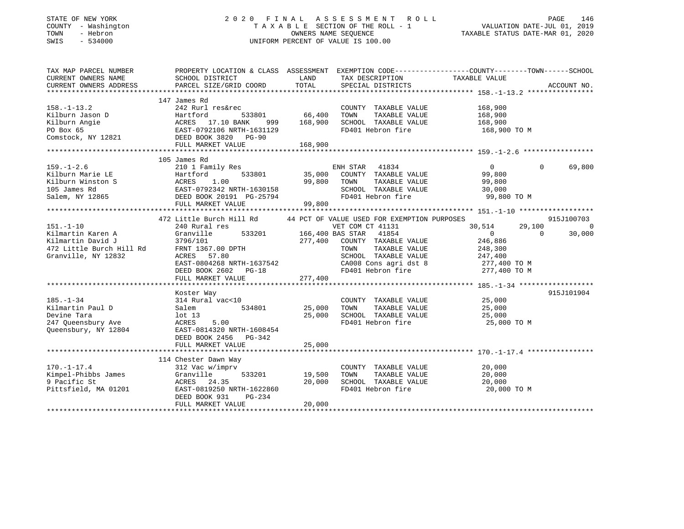### STATE OF NEW YORK 2 0 2 0 F I N A L A S S E S S M E N T R O L L PAGE 146 COUNTY - Washington T A X A B L E SECTION OF THE ROLL - 1 VALUATION DATE-JUL 01, 2019 TOWN - Hebron OWNERS NAME SEQUENCE TAXABLE STATUS DATE-MAR 01, 2020 SWIS - 534000 UNIFORM PERCENT OF VALUE IS 100.00

| TAX MAP PARCEL NUMBER<br>CURRENT OWNERS NAME<br>CURRENT OWNERS ADDRESS                                       | PROPERTY LOCATION & CLASS ASSESSMENT EXEMPTION CODE----------------COUNTY-------TOWN------SCHOOL<br>SCHOOL DISTRICT<br>PARCEL SIZE/GRID COORD                     | LAND<br>TOTAL                          | TAX DESCRIPTION<br>SPECIAL DISTRICTS                                                                                                                                     | TAXABLE VALUE                                                                       |                    | ACCOUNT NO.              |
|--------------------------------------------------------------------------------------------------------------|-------------------------------------------------------------------------------------------------------------------------------------------------------------------|----------------------------------------|--------------------------------------------------------------------------------------------------------------------------------------------------------------------------|-------------------------------------------------------------------------------------|--------------------|--------------------------|
|                                                                                                              | 147 James Rd                                                                                                                                                      |                                        |                                                                                                                                                                          |                                                                                     |                    |                          |
| $158. - 1 - 13.2$<br>Kilburn Jason D<br>Kilburn Angie                                                        | 242 Rurl res&rec<br>533801<br>Hartford<br>ACRES 17.10 BANK<br>999                                                                                                 | 66,400<br>168,900                      | COUNTY TAXABLE VALUE<br>TAXABLE VALUE<br>TOWN<br>SCHOOL TAXABLE VALUE                                                                                                    | 168,900<br>168,900<br>168,900                                                       |                    |                          |
| PO Box 65<br>Comstock, NY 12821                                                                              | EAST-0792106 NRTH-1631129<br>DEED BOOK 3820 PG-90<br>FULL MARKET VALUE                                                                                            | 168,900                                | FD401 Hebron fire                                                                                                                                                        | 168,900 TO M                                                                        |                    |                          |
|                                                                                                              |                                                                                                                                                                   |                                        |                                                                                                                                                                          |                                                                                     |                    |                          |
| $159. - 1 - 2.6$<br>Kilburn Marie LE<br>Kilburn Winston S<br>105 James Rd<br>Salem, NY 12865                 | 105 James Rd<br>210 1 Family Res<br>533801<br>Hartford<br>ACRES<br>1.00<br>EAST-0792342 NRTH-1630158<br>DEED BOOK 20191 PG-25794                                  | 35,000<br>99,800                       | ENH STAR<br>41834<br>COUNTY TAXABLE VALUE<br>TOWN<br>TAXABLE VALUE<br>SCHOOL TAXABLE VALUE<br>FD401 Hebron fire                                                          | $\overline{0}$<br>99,800<br>99,800<br>30,000<br>99,800 TO M                         | $\Omega$           | 69,800                   |
|                                                                                                              | FULL MARKET VALUE                                                                                                                                                 | 99,800                                 |                                                                                                                                                                          |                                                                                     |                    |                          |
|                                                                                                              | 472 Little Burch Hill Rd                                                                                                                                          |                                        | 44 PCT OF VALUE USED FOR EXEMPTION PURPOSES                                                                                                                              |                                                                                     |                    | 915J100703               |
| $151. - 1 - 10$<br>Kilmartin Karen A<br>Kilmartin David J<br>472 Little Burch Hill Rd<br>Granville, NY 12832 | 240 Rural res<br>533201<br>Granville<br>3796/101<br>FRNT 1367.00 DPTH<br>ACRES 57.80<br>EAST-0804268 NRTH-1637542<br>DEED BOOK 2602<br>PG-18<br>FULL MARKET VALUE | 166,400 BAS STAR<br>277,400<br>277,400 | VET COM CT 41131<br>41854<br>COUNTY TAXABLE VALUE<br>TAXABLE VALUE<br>TOWN<br>SCHOOL TAXABLE VALUE<br>SCHOOL TAXABLE VALUE<br>CA008 Cons agri dst 8<br>FD401 Hebron fire | 30,514<br>$\Omega$<br>246,886<br>248,300<br>247,400<br>277,400 TO M<br>277,400 TO M | 29,100<br>$\Omega$ | $\overline{0}$<br>30,000 |
|                                                                                                              | Koster Way                                                                                                                                                        |                                        |                                                                                                                                                                          |                                                                                     |                    | 915J101904               |
| $185. - 1 - 34$<br>Kilmartin Paul D<br>Devine Tara<br>247 Oueensbury Ave<br>Queensbury, NY 12804             | 314 Rural vac<10<br>534801<br>Salem<br>$1$ ot $13$<br>5.00<br>ACRES<br>EAST-0814320 NRTH-1608454<br>DEED BOOK 2456 PG-342<br>FULL MARKET VALUE                    | 25,000<br>25,000<br>25,000             | COUNTY TAXABLE VALUE<br>TAXABLE VALUE<br>TOWN<br>SCHOOL TAXABLE VALUE<br>FD401 Hebron fire                                                                               | 25,000<br>25,000<br>25,000<br>25,000 TO M                                           |                    |                          |
|                                                                                                              | 114 Chester Dawn Way                                                                                                                                              |                                        |                                                                                                                                                                          |                                                                                     |                    |                          |
| $170. - 1 - 17.4$<br>Kimpel-Phibbs James<br>9 Pacific St<br>Pittsfield, MA 01201                             | 312 Vac w/imprv<br>Granville<br>533201<br>ACRES 24.35<br>EAST-0819250 NRTH-1622860<br>DEED BOOK 931<br>$PG-234$<br>FULL MARKET VALUE                              | 19,500<br>20,000<br>20,000             | COUNTY TAXABLE VALUE<br>TOWN<br>TAXABLE VALUE<br>SCHOOL TAXABLE VALUE<br>FD401 Hebron fire                                                                               | 20,000<br>20,000<br>20,000<br>20,000 TO M                                           |                    |                          |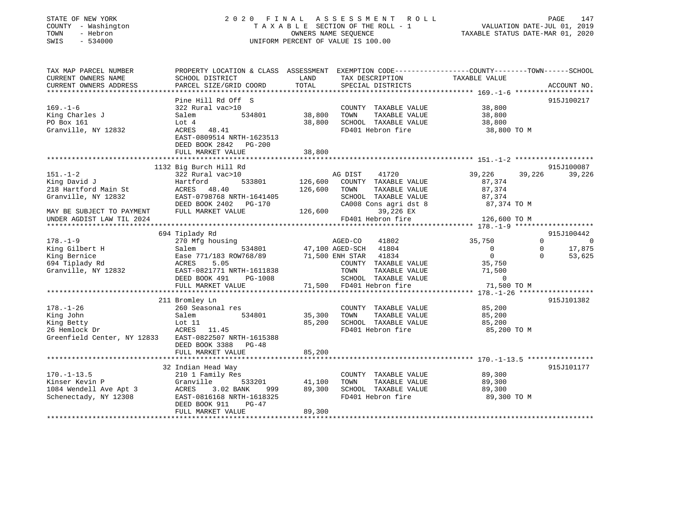| STATE OF NEW YORK |     |              |  |
|-------------------|-----|--------------|--|
| COUNTY            |     | - Washington |  |
| TOWN              |     | - Hebron     |  |
| <b>CMTC</b>       | $-$ | 534000       |  |

### STATE OF NEW YORK 2 0 2 0 F I N A L A S S E S S M E N T R O L L PAGE 147 COUNTY - Washington T A X A B L E SECTION OF THE ROLL - 1 VALUATION DATE-JUL 01, 2019 OWNERS NAME SEQUENCE TAXABLE STATUS DATE-MAR 01, 2020 SWIS - 534000 UNIFORM PERCENT OF VALUE IS 100.00

| TAX MAP PARCEL NUMBER<br>CURRENT OWNERS NAME<br>CURRENT OWNERS ADDRESS                                               | PROPERTY LOCATION & CLASS ASSESSMENT<br>SCHOOL DISTRICT<br>PARCEL SIZE/GRID COORD                                                                                      | LAND<br>TOTAL                 | EXEMPTION CODE-----------------COUNTY-------TOWN------SCHOOL<br>TAX DESCRIPTION<br>SPECIAL DISTRICTS                            | TAXABLE VALUE                                                             | ACCOUNT NO.                                                                             |
|----------------------------------------------------------------------------------------------------------------------|------------------------------------------------------------------------------------------------------------------------------------------------------------------------|-------------------------------|---------------------------------------------------------------------------------------------------------------------------------|---------------------------------------------------------------------------|-----------------------------------------------------------------------------------------|
| $169. - 1 - 6$<br>King Charles J<br>PO Box 161<br>Granville, NY 12832                                                | Pine Hill Rd Off S<br>322 Rural vac>10<br>534801<br>Salem<br>Lot 4<br>ACRES 48.41<br>EAST-0809514 NRTH-1623513<br>DEED BOOK 2842 PG-200<br>FULL MARKET VALUE           | 38,800<br>38,800<br>38,800    | COUNTY TAXABLE VALUE<br>TAXABLE VALUE<br>TOWN<br>SCHOOL TAXABLE VALUE<br>FD401 Hebron fire                                      | 38,800<br>38,800<br>38,800<br>38,800 TO M                                 | 915J100217                                                                              |
|                                                                                                                      |                                                                                                                                                                        |                               |                                                                                                                                 |                                                                           |                                                                                         |
| $151. - 1 - 2$<br>King David J<br>218 Hartford Main St<br>Granville, NY 12832<br>MAY BE SUBJECT TO PAYMENT           | 1132 Big Burch Hill Rd<br>322 Rural vac>10<br>533801<br>Hartford<br>ACRES<br>48.40<br>EAST-0798768 NRTH-1641405<br>DEED BOOK 2402 PG-170<br>FULL MARKET VALUE          | 126,600<br>126,600<br>126,600 | AG DIST<br>41720<br>COUNTY TAXABLE VALUE<br>TAXABLE VALUE<br>TOWN<br>SCHOOL TAXABLE VALUE<br>CA008 Cons agri dst 8<br>39,226 EX | 39,226<br>39,226<br>87,374<br>87,374<br>87,374<br>87, 374<br>87, 374 TO M | 915J100087<br>39,226                                                                    |
| UNDER AGDIST LAW TIL 2024                                                                                            |                                                                                                                                                                        |                               | FD401 Hebron fire                                                                                                               | 126,600 TO M                                                              |                                                                                         |
|                                                                                                                      |                                                                                                                                                                        |                               |                                                                                                                                 |                                                                           |                                                                                         |
| $178. - 1 - 9$<br>King Gilbert H<br>King Bernice<br>694 Tiplady Rd<br>Granville, NY 12832                            | 694 Tiplady Rd<br>270 Mfg housing<br>534801<br>Salem<br>Ease 771/183 ROW768/89 71,500 ENH STAR 41834<br>ACRES<br>5.05<br>EAST-0821771 NRTH-1611838                     |                               | AGED-CO<br>41802<br>47,100 AGED-SCH 41804<br>COUNTY TAXABLE VALUE<br>TOWN<br>TAXABLE VALUE                                      | 35,750<br>$\overline{0}$<br>$\overline{0}$<br>35,750<br>71,500            | 915J100442<br>$\Omega$<br>$\overline{0}$<br>$\mathbf 0$<br>17,875<br>$\Omega$<br>53,625 |
|                                                                                                                      | DEED BOOK 491<br>PG-1008                                                                                                                                               |                               | SCHOOL TAXABLE VALUE                                                                                                            | $\overline{0}$                                                            |                                                                                         |
|                                                                                                                      |                                                                                                                                                                        |                               |                                                                                                                                 |                                                                           |                                                                                         |
| $178. - 1 - 26$<br>King John<br>King Betty<br>26 Hemlock Dr<br>Greenfield Center, NY 12833 EAST-0822507 NRTH-1615388 | 211 Bromley Ln<br>260 Seasonal res<br>Salem<br>534801<br>Lot 11<br>ACRES 11.45<br>DEED BOOK 3388 PG-48<br>FULL MARKET VALUE                                            | 35,300<br>85,200<br>85,200    | COUNTY TAXABLE VALUE<br>TAXABLE VALUE<br>TOWN<br>SCHOOL TAXABLE VALUE<br>FD401 Hebron fire                                      | 85,200<br>85,200<br>85,200<br>85,200 TO M                                 | 915J101382                                                                              |
|                                                                                                                      |                                                                                                                                                                        |                               |                                                                                                                                 |                                                                           |                                                                                         |
| $170. - 1 - 13.5$<br>Kinser Kevin P<br>1084 Wendell Ave Apt 3<br>Schenectady, NY 12308                               | 32 Indian Head Way<br>210 1 Family Res<br>Granville<br>533201<br>ACRES<br>3.02 BANK<br>999<br>EAST-0816168 NRTH-1618325<br>PG-47<br>DEED BOOK 911<br>FULL MARKET VALUE | 41,100<br>89,300<br>89,300    | COUNTY TAXABLE VALUE<br>TAXABLE VALUE<br>TOWN<br>SCHOOL TAXABLE VALUE<br>FD401 Hebron fire                                      | 89,300<br>89,300<br>89,300<br>89,300 TO M                                 | 915J101177                                                                              |
|                                                                                                                      |                                                                                                                                                                        |                               |                                                                                                                                 |                                                                           |                                                                                         |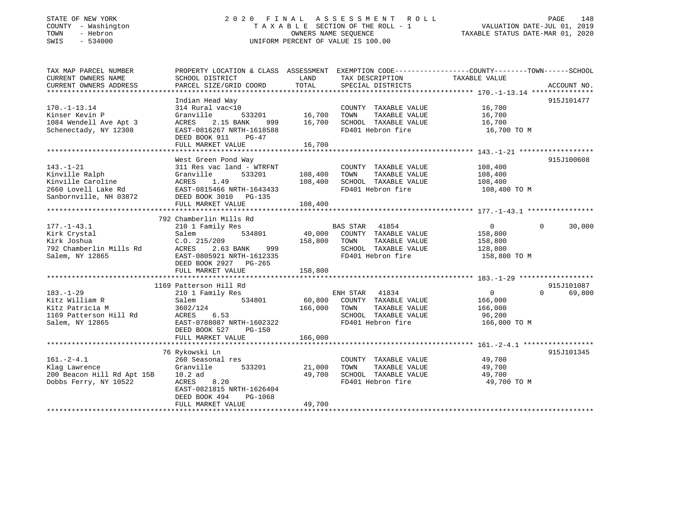### STATE OF NEW YORK 2 0 2 0 F I N A L A S S E S S M E N T R O L L PAGE 148 COUNTY - Washington T A X A B L E SECTION OF THE ROLL - 1 VALUATION DATE-JUL 01, 2019 TOWN - Hebron OWNERS NAME SEQUENCE TAXABLE STATUS DATE-MAR 01, 2020 SWIS - 534000 UNIFORM PERCENT OF VALUE IS 100.00

| TAX MAP PARCEL NUMBER                        | PROPERTY LOCATION & CLASS ASSESSMENT EXEMPTION CODE----------------COUNTY-------TOWN------SCHOOL |               |                                    |                   |                    |
|----------------------------------------------|--------------------------------------------------------------------------------------------------|---------------|------------------------------------|-------------------|--------------------|
| CURRENT OWNERS NAME                          | SCHOOL DISTRICT                                                                                  | LAND          | TAX DESCRIPTION                    | TAXABLE VALUE     |                    |
| CURRENT OWNERS ADDRESS                       | PARCEL SIZE/GRID COORD                                                                           | TOTAL         | SPECIAL DISTRICTS                  |                   | ACCOUNT NO.        |
|                                              |                                                                                                  |               |                                    |                   |                    |
|                                              | Indian Head Way                                                                                  |               |                                    |                   | 915J101477         |
| $170. - 1 - 13.14$                           | 314 Rural vac<10                                                                                 |               | COUNTY TAXABLE VALUE               | 16,700            |                    |
| Kinser Kevin P                               | Granville                                                                                        | 533201 16,700 | TOWN<br>TAXABLE VALUE              | 16,700            |                    |
| 1084 Wendell Ave Apt 3                       | ACRES 2.15 BANK 999 16,700                                                                       |               | SCHOOL TAXABLE VALUE               | 16,700            |                    |
| Schenectady, NY 12308                        | EAST-0816267 NRTH-1618588                                                                        |               | FD401 Hebron fire                  | 16,700 TO M       |                    |
|                                              | DEED BOOK 911<br>$PG-47$                                                                         |               |                                    |                   |                    |
|                                              | FULL MARKET VALUE                                                                                | 16,700        |                                    |                   |                    |
|                                              |                                                                                                  |               |                                    |                   |                    |
|                                              | West Green Pond Way                                                                              |               |                                    |                   | 915J100608         |
| $143. - 1 - 21$                              | 311 Res vac land - WTRFNT                                                                        |               | COUNTY TAXABLE VALUE               | 108,400           |                    |
| Kinville Ralph                               | Granville<br>533201                                                                              | 108,400       | TOWN<br>TAXABLE VALUE              | 108,400           |                    |
| Kinville Caroline                            | ACRES 1.49                                                                                       | 108,400       | SCHOOL TAXABLE VALUE               | 108,400           |                    |
| 2660 Lovell Lake Rd                          | EAST-0815466 NRTH-1643433                                                                        |               | FD401 Hebron fire                  | 108,400 TO M      |                    |
| Sanbornville, NH 03872 DEED BOOK 3010 PG-135 |                                                                                                  |               |                                    |                   |                    |
|                                              | FULL MARKET VALUE                                                                                | 108,400       |                                    |                   |                    |
|                                              |                                                                                                  |               |                                    |                   |                    |
|                                              | 792 Chamberlin Mills Rd                                                                          |               |                                    |                   |                    |
| 177.-1-43.1                                  | 210 1 Family Res                                                                                 |               | BAS STAR 41854                     | $\overline{0}$    | 30,000<br>$\Omega$ |
| Kirk Crystal                                 | 534801<br>Salem                                                                                  |               | 40,000 COUNTY TAXABLE VALUE        | 158,800           |                    |
| Kirk Joshua                                  | C.0.215/209                                                                                      | 158,800 TOWN  | TAXABLE VALUE                      | 158,800           |                    |
| 792 Chamberlin Mills Rd                      | 999<br>ACRES<br>2.63 BANK                                                                        |               | SCHOOL TAXABLE VALUE               | 128,800           |                    |
| Salem, NY 12865                              | EAST-0805921 NRTH-1612335                                                                        |               | FD401 Hebron fire                  | 158,800 TO M      |                    |
|                                              | DEED BOOK 2927 PG-265                                                                            |               |                                    |                   |                    |
|                                              | FULL MARKET VALUE                                                                                | 158,800       |                                    |                   |                    |
|                                              |                                                                                                  |               |                                    |                   |                    |
|                                              | 1169 Patterson Hill Rd                                                                           |               |                                    |                   | 915J101087         |
| $183. - 1 - 29$                              | 210 1 Family Res                                                                                 |               | ENH STAR 41834                     | $0 \qquad \qquad$ | $\Omega$<br>69,800 |
| Kitz William R                               | Salem                                                                                            |               | 534801 60,800 COUNTY TAXABLE VALUE | 166,000           |                    |
| Kitz Patricia M                              | 3602/124                                                                                         |               | 166,000 TOWN TAXABLE VALUE         | 166,000           |                    |
| 1169 Patterson Hill Rd                       | ACRES 6.53                                                                                       |               | SCHOOL TAXABLE VALUE               | 96,200            |                    |
| Salem, NY 12865                              | EAST-0788087 NRTH-1602322                                                                        |               | FD401 Hebron fire                  | 166,000 TO M      |                    |
|                                              | DEED BOOK 527<br>$PG-150$                                                                        |               |                                    |                   |                    |
|                                              | FULL MARKET VALUE                                                                                | 166,000       |                                    |                   |                    |
|                                              |                                                                                                  |               |                                    |                   |                    |
|                                              | 76 Rykowski Ln                                                                                   |               |                                    |                   | 915J101345         |
| $161. - 2 - 4.1$                             | 260 Seasonal res                                                                                 |               | COUNTY TAXABLE VALUE               | 49,700            |                    |
| Klag Lawrence                                | 533201<br>Granville                                                                              | 21,000        | TOWN<br>TAXABLE VALUE              | 49,700            |                    |
| 200 Beacon Hill Rd Apt 15B                   | $10.2$ ad                                                                                        | 49,700        | SCHOOL TAXABLE VALUE               | 49,700            |                    |
| Dobbs Ferry, NY 10522                        | ACRES 8.20                                                                                       |               | FD401 Hebron fire                  | 49,700 TO M       |                    |
|                                              | EAST-0821815 NRTH-1626404                                                                        |               |                                    |                   |                    |
|                                              | DEED BOOK 494<br>PG-1068                                                                         |               |                                    |                   |                    |
|                                              | FULL MARKET VALUE                                                                                | 49,700        |                                    |                   |                    |
|                                              |                                                                                                  |               |                                    |                   |                    |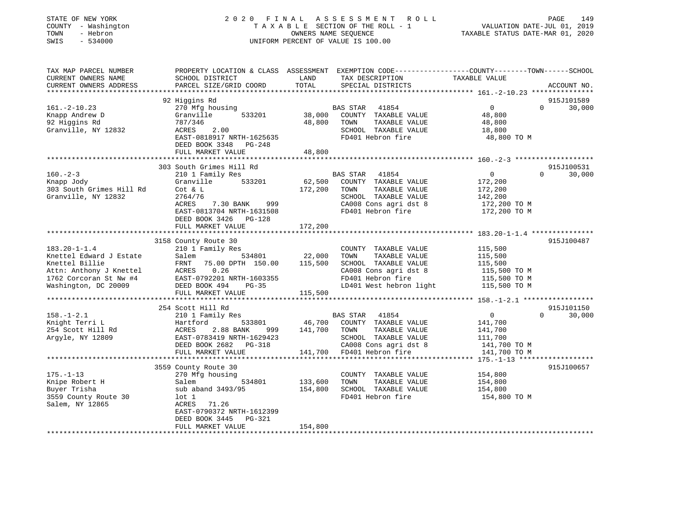| STATE OF NEW YORK<br>COUNTY - Washington<br>- Hebron<br>TOWN<br>$-534000$<br>SWIS | 2020 FINAL ASSESSMENT ROLL<br>TAXABLE SECTION OF THE ROLL - 1<br>OWNERS NAME SEQUENCE<br>UNIFORM PERCENT OF VALUE IS 100.00                  |               |                                                  | VALUATION DATE-JUL 01, 2019<br>TAXABLE STATUS DATE-MAR 01, 2020 | PAGE<br>149            |
|-----------------------------------------------------------------------------------|----------------------------------------------------------------------------------------------------------------------------------------------|---------------|--------------------------------------------------|-----------------------------------------------------------------|------------------------|
| TAX MAP PARCEL NUMBER<br>CURRENT OWNERS NAME<br>CURRENT OWNERS ADDRESS            | PROPERTY LOCATION & CLASS ASSESSMENT EXEMPTION CODE---------------COUNTY-------TOWN------SCHOOL<br>SCHOOL DISTRICT<br>PARCEL SIZE/GRID COORD | LAND<br>TOTAL | TAX DESCRIPTION<br>SPECIAL DISTRICTS             | TAXABLE VALUE                                                   | ACCOUNT NO.            |
|                                                                                   |                                                                                                                                              |               |                                                  |                                                                 |                        |
|                                                                                   | 92 Higgins Rd                                                                                                                                |               |                                                  |                                                                 | 915J101589             |
| $161. - 2 - 10.23$                                                                | 270 Mfg housing<br>533201<br>Granville                                                                                                       | 38,000        | 41854<br>BAS STAR<br>COUNTY TAXABLE VALUE        | $\overline{0}$<br>48,800                                        | 30,000<br>$\mathbf{0}$ |
| Knapp Andrew D<br>92 Higgins Rd                                                   | 787/346                                                                                                                                      | 48,800        | TAXABLE VALUE<br>TOWN                            | 48,800                                                          |                        |
| Granville, NY 12832                                                               | 2.00<br>ACRES                                                                                                                                |               | SCHOOL TAXABLE VALUE                             | 18,800                                                          |                        |
|                                                                                   | EAST-0818917 NRTH-1625635                                                                                                                    |               | FD401 Hebron fire                                | 48,800 TO M                                                     |                        |
|                                                                                   | DEED BOOK 3348 PG-248                                                                                                                        |               |                                                  |                                                                 |                        |
|                                                                                   | FULL MARKET VALUE                                                                                                                            | 48,800        |                                                  |                                                                 |                        |
|                                                                                   |                                                                                                                                              |               |                                                  |                                                                 |                        |
|                                                                                   | 303 South Grimes Hill Rd                                                                                                                     |               |                                                  |                                                                 | 915J100531             |
| $160. - 2 - 3$<br>Knapp Jody                                                      | 210 1 Family Res<br>Granville 533201                                                                                                         |               | BAS STAR<br>41854<br>62,500 COUNTY TAXABLE VALUE | $\overline{0}$<br>172,200                                       | 30,000<br>$\Omega$     |
| 303 South Grimes Hill Rd                                                          | Cot & L                                                                                                                                      | 172,200       | TOWN<br>TAXABLE VALUE                            | 172,200                                                         |                        |
| Granville, NY 12832                                                               | 2764/76                                                                                                                                      |               | SCHOOL TAXABLE VALUE                             | 142,200                                                         |                        |
|                                                                                   | ACRES<br>7.30 BANK 999                                                                                                                       |               | CA008 Cons agri dst 8                            | 172,200 TO M                                                    |                        |
|                                                                                   | EAST-0813704 NRTH-1631508                                                                                                                    |               | FD401 Hebron fire                                | 172,200 TO M                                                    |                        |
|                                                                                   | DEED BOOK 3426 PG-128                                                                                                                        |               |                                                  |                                                                 |                        |
|                                                                                   | FULL MARKET VALUE                                                                                                                            | 172,200       |                                                  |                                                                 |                        |
|                                                                                   |                                                                                                                                              |               |                                                  |                                                                 |                        |
| $183.20 - 1 - 1.4$                                                                | 3158 County Route 30<br>210 1 Family Res                                                                                                     |               | COUNTY TAXABLE VALUE                             | 115,500                                                         | 915J100487             |
| Knettel Edward J Estate                                                           | 534801<br>Salem                                                                                                                              | 22,000        | TOWN<br>TAXABLE VALUE                            | 115,500                                                         |                        |
| Knettel Billie                                                                    | 75.00 DPTH 150.00<br>FRNT                                                                                                                    | 115,500       | SCHOOL TAXABLE VALUE                             | 115,500                                                         |                        |
| Attn: Anthony J Knettel                                                           | ACRES 0.26                                                                                                                                   |               | CA008 Cons agri dst 8                            | 115,500 TO M                                                    |                        |
| 1762 Corcoran St Nw #4                                                            | EAST-0792201 NRTH-1603355                                                                                                                    |               | FD401 Hebron fire                                | 115,500 TO M                                                    |                        |
| Washington, DC 20009                                                              | DEED BOOK 494<br>PG-35                                                                                                                       |               | LD401 West hebron light                          | 115,500 TO M                                                    |                        |
|                                                                                   | FULL MARKET VALUE                                                                                                                            | 115,500       |                                                  |                                                                 |                        |
|                                                                                   | 254 Scott Hill Rd                                                                                                                            |               |                                                  |                                                                 | 915J101150             |
| $158. - 1 - 2.1$                                                                  | 210 1 Family Res                                                                                                                             |               | BAS STAR 41854                                   | $\overline{0}$                                                  | 30,000<br>$\Omega$     |
| Knight Terri L                                                                    | Hartford<br>533801                                                                                                                           |               | 46,700 COUNTY TAXABLE VALUE                      | 141,700                                                         |                        |
| 254 Scott Hill Rd                                                                 | 2.88 BANK<br>ACRES<br>999                                                                                                                    | 141,700       | TOWN<br>TAXABLE VALUE                            | 141,700                                                         |                        |
| Argyle, NY 12809                                                                  | EAST-0783419 NRTH-1629423                                                                                                                    |               | SCHOOL TAXABLE VALUE                             | 111,700                                                         |                        |
|                                                                                   | DEED BOOK 2682<br>PG-318                                                                                                                     |               | CA008 Cons agri dst 8                            | 141,700 TO M                                                    |                        |
|                                                                                   | FULL MARKET VALUE                                                                                                                            |               | 141,700 FD401 Hebron fire                        | 141,700 TO M                                                    |                        |
|                                                                                   |                                                                                                                                              |               |                                                  |                                                                 |                        |
| $175. - 1 - 13$                                                                   | 3559 County Route 30                                                                                                                         |               | COUNTY TAXABLE VALUE                             | 154,800                                                         | 915J100657             |
| Knipe Robert H                                                                    | 270 Mfg housing<br>534801<br>Salem                                                                                                           | 133,600       | TOWN<br>TAXABLE VALUE                            | 154,800                                                         |                        |
| Buyer Trisha                                                                      | sub aband 3493/95                                                                                                                            | 154,800       | SCHOOL TAXABLE VALUE                             | 154,800                                                         |                        |
| 3559 County Route 30                                                              | $1$ ot $1$                                                                                                                                   |               | FD401 Hebron fire                                | 154,800 TO M                                                    |                        |
| Salem, NY 12865                                                                   | 71.26<br>ACRES                                                                                                                               |               |                                                  |                                                                 |                        |
|                                                                                   | EAST-0790372 NRTH-1612399                                                                                                                    |               |                                                  |                                                                 |                        |
|                                                                                   | DEED BOOK 3445 PG-321                                                                                                                        |               |                                                  |                                                                 |                        |
|                                                                                   | FULL MARKET VALUE                                                                                                                            | 154,800       |                                                  |                                                                 |                        |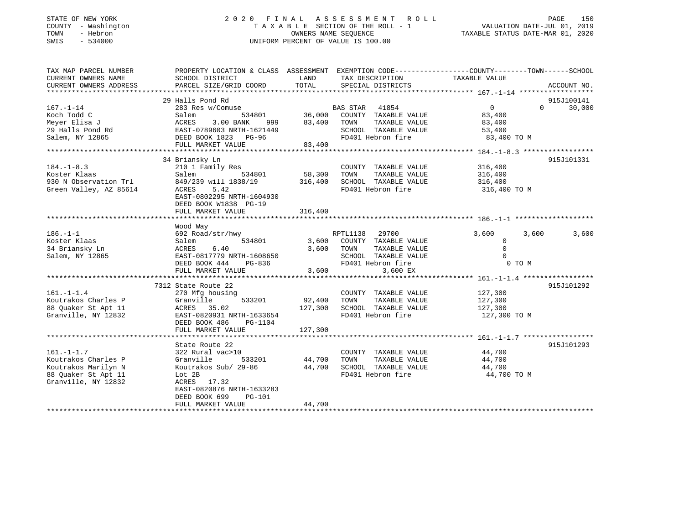| STATE OF NEW YORK |        |              |
|-------------------|--------|--------------|
| COUNTY            |        | - Washingtor |
| TOWN              |        | - Hebron     |
| <b>CMTC</b>       | $\sim$ | 534000       |

### STATE OF NEW YORK 2 0 2 0 F I N A L A S S E S S M E N T R O L L PAGE 150 COUNTY - Washington T A X A B L E SECTION OF THE ROLL - 1 VALUATION DATE-JUL 01, 2019 OWNERS NAME SEQUENCE TAXABLE STATUS DATE-MAR 01, 2020 SWIS - 534000 UNIFORM PERCENT OF VALUE IS 100.00

| TAX MAP PARCEL NUMBER  | PROPERTY LOCATION & CLASS ASSESSMENT EXEMPTION CODE---------------COUNTY-------TOWN------SCHOOL |         |                       |                   |                    |
|------------------------|-------------------------------------------------------------------------------------------------|---------|-----------------------|-------------------|--------------------|
| CURRENT OWNERS NAME    | SCHOOL DISTRICT                                                                                 | LAND    | TAX DESCRIPTION       | TAXABLE VALUE     |                    |
| CURRENT OWNERS ADDRESS | PARCEL SIZE/GRID COORD                                                                          | TOTAL   | SPECIAL DISTRICTS     |                   | ACCOUNT NO.        |
|                        |                                                                                                 |         |                       |                   |                    |
|                        | 29 Halls Pond Rd                                                                                |         |                       |                   | 915J100141         |
| $167. - 1 - 14$        | 283 Res w/Comuse                                                                                |         | BAS STAR 41854        | $0 \qquad \qquad$ | 30,000<br>$\Omega$ |
| Koch Todd C            | 534801<br>Salem                                                                                 | 36,000  | COUNTY TAXABLE VALUE  | 83,400            |                    |
| Meyer Elisa J          | 3.00 BANK<br>ACRES<br>999                                                                       | 83,400  | TOWN<br>TAXABLE VALUE | 83,400            |                    |
| 29 Halls Pond Rd       | EAST-0789603 NRTH-1621449                                                                       |         | SCHOOL TAXABLE VALUE  | 53,400            |                    |
| Salem, NY 12865        | DEED BOOK 1823 PG-96                                                                            |         | FD401 Hebron fire     | 83,400 TO M       |                    |
|                        | FULL MARKET VALUE                                                                               | 83,400  |                       |                   |                    |
|                        |                                                                                                 |         |                       |                   |                    |
|                        | 34 Briansky Ln                                                                                  |         |                       |                   | 915J101331         |
| $184. - 1 - 8.3$       | 210 1 Family Res                                                                                |         | COUNTY TAXABLE VALUE  | 316,400           |                    |
| Koster Klaas           | 534801<br>Salem                                                                                 | 58,300  | TOWN<br>TAXABLE VALUE | 316,400           |                    |
| 930 N Observation Trl  | 849/239 will 1838/19                                                                            | 316,400 | SCHOOL TAXABLE VALUE  | 316,400           |                    |
| Green Valley, AZ 85614 | 5.42<br>ACRES                                                                                   |         | FD401 Hebron fire     | 316,400 TO M      |                    |
|                        | EAST-0802295 NRTH-1604930                                                                       |         |                       |                   |                    |
|                        | DEED BOOK W1838 PG-19                                                                           |         |                       |                   |                    |
|                        | FULL MARKET VALUE                                                                               | 316,400 |                       |                   |                    |
|                        |                                                                                                 |         |                       |                   |                    |
|                        | Wood Way                                                                                        |         |                       |                   |                    |
| $186. - 1 - 1$         | 692 Road/str/hwy                                                                                |         | RPTL1138<br>29700     | 3,600             | 3,600<br>3,600     |
| Koster Klaas           | Salem<br>534801                                                                                 | 3,600   | COUNTY TAXABLE VALUE  | $\mathbf 0$       |                    |
| 34 Briansky Ln         | ACRES<br>6.40                                                                                   | 3,600   | TOWN<br>TAXABLE VALUE | $\Omega$          |                    |
| Salem, NY 12865        | EAST-0817779 NRTH-1608650                                                                       |         | SCHOOL TAXABLE VALUE  | $\Omega$          |                    |
|                        | DEED BOOK 444<br>PG-836                                                                         |         | FD401 Hebron fire     | 0 TO M            |                    |
|                        | FULL MARKET VALUE                                                                               | 3,600   | 3,600 EX              |                   |                    |
|                        |                                                                                                 |         |                       |                   |                    |
|                        | 7312 State Route 22                                                                             |         |                       |                   | 915J101292         |
| $161. - 1 - 1.4$       | 270 Mfg housing                                                                                 |         | COUNTY TAXABLE VALUE  | 127,300           |                    |
| Koutrakos Charles P    | Granville<br>533201                                                                             | 92,400  | TOWN<br>TAXABLE VALUE | 127,300           |                    |
| 88 Quaker St Apt 11    | ACRES 35.02                                                                                     | 127,300 | SCHOOL TAXABLE VALUE  | 127,300           |                    |
| Granville, NY 12832    | EAST-0820931 NRTH-1633654                                                                       |         | FD401 Hebron fire     | 127,300 TO M      |                    |
|                        | DEED BOOK 486<br>PG-1104                                                                        |         |                       |                   |                    |
|                        | FULL MARKET VALUE                                                                               | 127,300 |                       |                   |                    |
|                        |                                                                                                 |         |                       |                   |                    |
|                        | State Route 22                                                                                  |         |                       |                   | 915J101293         |
| $161. - 1 - 1.7$       | 322 Rural vac>10                                                                                |         | COUNTY TAXABLE VALUE  | 44,700            |                    |
| Koutrakos Charles P    | Granville<br>533201                                                                             | 44,700  | TOWN<br>TAXABLE VALUE | 44,700            |                    |
| Koutrakos Marilyn N    | Koutrakos Sub/ 29-86                                                                            | 44,700  | SCHOOL TAXABLE VALUE  | 44,700            |                    |
| 88 Quaker St Apt 11    | Lot 2B                                                                                          |         | FD401 Hebron fire     | 44,700 TO M       |                    |
| Granville, NY 12832    | ACRES 17.32                                                                                     |         |                       |                   |                    |
|                        | EAST-0820876 NRTH-1633283                                                                       |         |                       |                   |                    |
|                        | DEED BOOK 699<br><b>PG-101</b>                                                                  |         |                       |                   |                    |
|                        | FULL MARKET VALUE                                                                               | 44,700  |                       |                   |                    |
|                        |                                                                                                 |         |                       |                   |                    |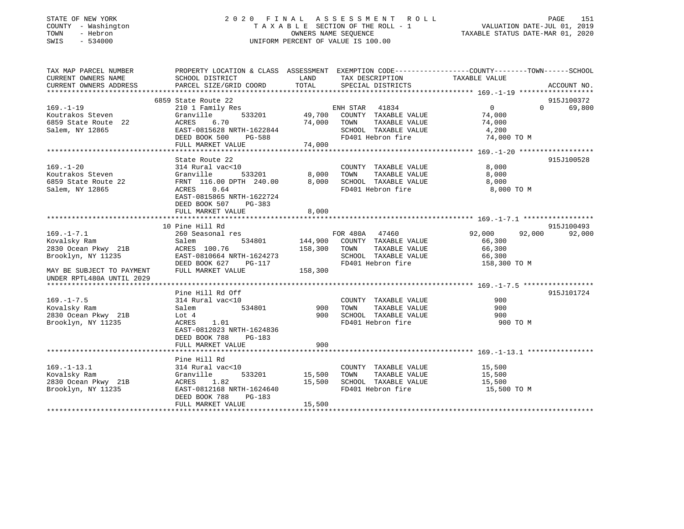| STATE OF NEW YORK<br>- Washington<br>COUNTY<br>- Hebron<br>TOWN<br>$-534000$<br>SWIS |                                                                        |                             | 2020 FINAL ASSESSMENT ROLL<br>TAXABLE SECTION OF THE ROLL - 1<br>OWNERS NAME SEOUENCE<br>UNIFORM PERCENT OF VALUE IS 100.00 |                                                                        | 151<br>PAGE<br>VALUATION DATE-JUL 01, 2019<br>TAXABLE STATUS DATE-MAR 01, 2020 |
|--------------------------------------------------------------------------------------|------------------------------------------------------------------------|-----------------------------|-----------------------------------------------------------------------------------------------------------------------------|------------------------------------------------------------------------|--------------------------------------------------------------------------------|
| TAX MAP PARCEL NUMBER<br>CURRENT OWNERS NAME<br>CURRENT OWNERS ADDRESS               | PROPERTY LOCATION & CLASS<br>SCHOOL DISTRICT<br>PARCEL SIZE/GRID COORD | ASSESSMENT<br>LAND<br>TOTAL | TAX DESCRIPTION<br>SPECIAL DISTRICTS                                                                                        | EXEMPTION CODE-----------------COUNTY-------TOWN-----<br>TAXABLE VALUE | --SCHOOL<br>ACCOUNT NO.                                                        |

|                           | 6859 State Route 22       |         |                   |                                     |                  |          | 915J100372 |
|---------------------------|---------------------------|---------|-------------------|-------------------------------------|------------------|----------|------------|
| $169. - 1 - 19$           | 210 1 Family Res          |         | ENH STAR 41834    |                                     | $\Omega$         | $\Omega$ | 69,800     |
| Koutrakos Steven          | 533201<br>Granville       |         |                   | 49,700 COUNTY TAXABLE VALUE         | 74,000           |          |            |
| 6859 State Route 22       | ACRES<br>6.70             | 74,000  | TOWN              | TAXABLE VALUE                       | 74,000           |          |            |
| Salem, NY 12865           | EAST-0815628 NRTH-1622844 |         |                   | SCHOOL TAXABLE VALUE                | 4,200            |          |            |
|                           | DEED BOOK 500<br>PG-588   |         | FD401 Hebron fire |                                     | 74,000 TO M      |          |            |
|                           | FULL MARKET VALUE         | 74,000  |                   |                                     |                  |          |            |
|                           |                           |         |                   |                                     |                  |          |            |
|                           | State Route 22            |         |                   |                                     |                  |          | 915J100528 |
| $169. - 1 - 20$           | 314 Rural vac<10          |         |                   | COUNTY TAXABLE VALUE                | 8,000            |          |            |
| Koutrakos Steven          | 533201<br>Granville       | 8,000   | TOWN              | TAXABLE VALUE                       | 8,000            |          |            |
| 6859 State Route 22       | FRNT 116.00 DPTH 240.00   | 8,000   |                   | SCHOOL TAXABLE VALUE                | 8,000            |          |            |
| Salem, NY 12865           | ACRES 0.64                |         | FD401 Hebron fire |                                     | 8,000 TO M       |          |            |
|                           | EAST-0815865 NRTH-1622724 |         |                   |                                     |                  |          |            |
|                           | DEED BOOK 507<br>PG-383   |         |                   |                                     |                  |          |            |
|                           | FULL MARKET VALUE         | 8,000   |                   |                                     |                  |          |            |
|                           |                           |         |                   |                                     |                  |          |            |
|                           | 10 Pine Hill Rd           |         |                   |                                     |                  |          | 915J100493 |
| $169. - 1 - 7.1$          | 260 Seasonal res          |         | FOR 480A 47460    |                                     | 92,000<br>92,000 |          | 92,000     |
| Kovalsky Ram              | Salem                     |         |                   | 534801 144,900 COUNTY TAXABLE VALUE | 66,300           |          |            |
| 2830 Ocean Pkwy 21B       | ACRES 100.76              | 158,300 | TOWN              | TAXABLE VALUE                       | 66,300           |          |            |
| Brooklyn, NY 11235        | EAST-0810664 NRTH-1624273 |         |                   | SCHOOL TAXABLE VALUE                | 66,300           |          |            |
|                           | DEED BOOK 627<br>PG-117   |         | FD401 Hebron fire |                                     | 158,300 TO M     |          |            |
| MAY BE SUBJECT TO PAYMENT | FULL MARKET VALUE         | 158,300 |                   |                                     |                  |          |            |
| UNDER RPTL480A UNTIL 2029 |                           |         |                   |                                     |                  |          |            |
|                           |                           |         |                   |                                     |                  |          |            |
|                           | Pine Hill Rd Off          |         |                   |                                     |                  |          | 915J101724 |
| $169. - 1 - 7.5$          | 314 Rural vac<10          |         |                   | COUNTY TAXABLE VALUE                | 900              |          |            |
|                           |                           | 900     |                   | TAXABLE VALUE                       |                  |          |            |
| Kovalsky Ram              | 534801<br>Salem           | 900     | TOWN              |                                     | 900              |          |            |
| 2830 Ocean Pkwy 21B       | Lot 4                     |         |                   | SCHOOL TAXABLE VALUE                | 900              |          |            |
| Brooklyn, NY 11235        | 1.01<br>ACRES             |         |                   | FD401 Hebron fire                   | 900 TO M         |          |            |
|                           | EAST-0812023 NRTH-1624836 |         |                   |                                     |                  |          |            |
|                           | DEED BOOK 788<br>$PG-183$ |         |                   |                                     |                  |          |            |
|                           | FULL MARKET VALUE         | 900     |                   |                                     |                  |          |            |
|                           |                           |         |                   |                                     |                  |          |            |
|                           | Pine Hill Rd              |         |                   |                                     |                  |          |            |
| $169. - 1 - 13.1$         | 314 Rural vac<10          |         |                   | COUNTY TAXABLE VALUE                | 15,500           |          |            |
| Kovalsky Ram              | Granville<br>533201       | 15,500  | TOWN              | TAXABLE VALUE                       | 15,500           |          |            |
| 2830 Ocean Pkwy 21B       | ACRES 1.82                | 15,500  |                   | SCHOOL TAXABLE VALUE                | 15,500           |          |            |
| Brooklyn, NY 11235        | EAST-0812168 NRTH-1624640 |         | FD401 Hebron fire |                                     | 15,500 TO M      |          |            |
|                           | DEED BOOK 788<br>$PG-183$ |         |                   |                                     |                  |          |            |
|                           | FULL MARKET VALUE         | 15,500  |                   |                                     |                  |          |            |
|                           |                           |         |                   |                                     |                  |          |            |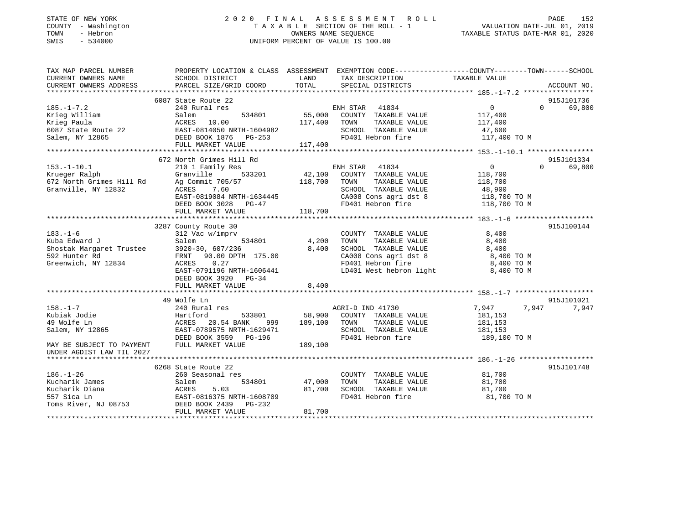### STATE OF NEW YORK 2 0 2 0 F I N A L A S S E S S M E N T R O L L PAGE 152 COUNTY - Washington T A X A B L E SECTION OF THE ROLL - 1 VALUATION DATE-JUL 01, 2019 TOWN - Hebron OWNERS NAME SEQUENCE TAXABLE STATUS DATE-MAR 01, 2020 SWIS - 534000 UNIFORM PERCENT OF VALUE IS 100.00

| LAND<br>TAXABLE VALUE<br>SCHOOL DISTRICT<br>TAX DESCRIPTION<br>TOTAL<br>PARCEL SIZE/GRID COORD<br>SPECIAL DISTRICTS<br>ACCOUNT NO.<br>6087 State Route 22<br>915J101736<br>$185. - 1 - 7.2$<br>$\overline{0}$<br>69,800<br>240 Rural res<br>ENH STAR 41834<br>$\Omega$<br>55,000<br>COUNTY TAXABLE VALUE<br>Salem<br>534801<br>117,400<br>117,400 TOWN<br>TAXABLE VALUE<br>117,400<br>47,600<br>Krieg Paula<br>Krieg Paula (1998)<br>EAST-0814050 NRTH-1604982<br>Salem, NY 12865 (1998)<br>PEED BOOK 1876 PG-253<br>PHILL MARKET VALUE (117,400)<br>SCHOOL TAXABLE VALUE<br>FD401 Hebron fire<br>117,400 TO M<br>672 North Grimes Hill Rd<br>915J101334<br>210 1 Family Res<br>$\overline{0}$<br>69,800<br>ENH STAR<br>41834<br>$\Omega$<br>Granville<br>533201<br>$42,100$<br>118.700<br>COUNTY TAXABLE VALUE<br>118,700<br>118,700<br>Ag Commit 705/57<br>TOWN<br>TAXABLE VALUE<br>118,700<br>7.60<br>SCHOOL TAXABLE VALUE<br>ACRES<br>48,900<br>118,700 TO M<br>EAST-0819084 NRTH-1634445<br>CA008 Cons agri dst 8 118,700 TO M<br>FD401 Hebron fire 118,700 TO M<br>DEED BOOK 3028 PG-47<br>FULL MARKET VALUE<br>118,700<br>3287 County Route 30<br>915J100144<br>312 Vac w/imprv<br>8,400<br>COUNTY TAXABLE VALUE<br>534801<br>4,200<br>TOWN<br>TAXABLE VALUE<br>8,400<br>8,400<br>SCHOOL TAXABLE VALUE<br>8,400<br>8,400 TO M<br>FRNT 90.00 DPTH 175.00<br>CA008 Cons agri dst 8<br>Greenwich, NY 12834<br>ACRES<br>0.27<br>FD401 Hebron fire<br>8,400 TO M<br>LD401 West hebron light 8,400 TO M<br>EAST-0791196 NRTH-1606441<br>DEED BOOK 3920 PG-34<br>8,400<br>FULL MARKET VALUE<br>49 Wolfe Ln<br>915J101021<br>$158. - 1 - 7$<br>7,947<br>7,947<br>7,947<br>240 Rural res<br>AGRI-D IND 41730<br>Kubiak Jodie<br>533801<br>58,900<br>Hartford<br>COUNTY TAXABLE VALUE<br>181,153<br>49 Wolfe Ln<br>20.54 BANK<br>189,100<br>TOWN<br>TAXABLE VALUE<br>ACRES<br>999<br>181,153<br>Salem, NY 12865<br>EAST-0789575 NRTH-1629471<br>SCHOOL TAXABLE VALUE<br>181,153<br>DEED BOOK 3559 PG-196<br>FD401 Hebron fire<br>189,100 TO M<br>FULL MARKET VALUE<br>MAY BE SUBJECT TO PAYMENT<br>189,100<br>UNDER AGDIST LAW TIL 2027<br>915J101748<br>6268 State Route 22<br>$186. - 1 - 26$<br>260 Seasonal res<br>COUNTY TAXABLE VALUE<br>81,700<br>Kucharik James<br>534801<br>47,000<br>TOWN<br>TAXABLE VALUE<br>81,700<br>Salem<br>Kucharik Diana<br>ACRES<br>5.03<br>81,700<br>SCHOOL TAXABLE VALUE<br>81,700<br>EAST-0816375 NRTH-1608709<br>FD401 Hebron fire<br>557 Sica Ln<br>81,700 TO M<br>DEED BOOK 2439<br>Toms River, NJ 08753<br>PG-232<br>FULL MARKET VALUE<br>81,700 | TAX MAP PARCEL NUMBER    | PROPERTY LOCATION & CLASS ASSESSMENT | EXEMPTION CODE-----------------COUNTY-------TOWN------SCHOOL |  |
|----------------------------------------------------------------------------------------------------------------------------------------------------------------------------------------------------------------------------------------------------------------------------------------------------------------------------------------------------------------------------------------------------------------------------------------------------------------------------------------------------------------------------------------------------------------------------------------------------------------------------------------------------------------------------------------------------------------------------------------------------------------------------------------------------------------------------------------------------------------------------------------------------------------------------------------------------------------------------------------------------------------------------------------------------------------------------------------------------------------------------------------------------------------------------------------------------------------------------------------------------------------------------------------------------------------------------------------------------------------------------------------------------------------------------------------------------------------------------------------------------------------------------------------------------------------------------------------------------------------------------------------------------------------------------------------------------------------------------------------------------------------------------------------------------------------------------------------------------------------------------------------------------------------------------------------------------------------------------------------------------------------------------------------------------------------------------------------------------------------------------------------------------------------------------------------------------------------------------------------------------------------------------------------------------------------------------------------------------------------------------------------------------------------------------------------------------------------------------------------------------------------------------------------------------------------------------------------|--------------------------|--------------------------------------|--------------------------------------------------------------|--|
|                                                                                                                                                                                                                                                                                                                                                                                                                                                                                                                                                                                                                                                                                                                                                                                                                                                                                                                                                                                                                                                                                                                                                                                                                                                                                                                                                                                                                                                                                                                                                                                                                                                                                                                                                                                                                                                                                                                                                                                                                                                                                                                                                                                                                                                                                                                                                                                                                                                                                                                                                                                        | CURRENT OWNERS NAME      |                                      |                                                              |  |
|                                                                                                                                                                                                                                                                                                                                                                                                                                                                                                                                                                                                                                                                                                                                                                                                                                                                                                                                                                                                                                                                                                                                                                                                                                                                                                                                                                                                                                                                                                                                                                                                                                                                                                                                                                                                                                                                                                                                                                                                                                                                                                                                                                                                                                                                                                                                                                                                                                                                                                                                                                                        | CURRENT OWNERS ADDRESS   |                                      |                                                              |  |
|                                                                                                                                                                                                                                                                                                                                                                                                                                                                                                                                                                                                                                                                                                                                                                                                                                                                                                                                                                                                                                                                                                                                                                                                                                                                                                                                                                                                                                                                                                                                                                                                                                                                                                                                                                                                                                                                                                                                                                                                                                                                                                                                                                                                                                                                                                                                                                                                                                                                                                                                                                                        |                          |                                      |                                                              |  |
|                                                                                                                                                                                                                                                                                                                                                                                                                                                                                                                                                                                                                                                                                                                                                                                                                                                                                                                                                                                                                                                                                                                                                                                                                                                                                                                                                                                                                                                                                                                                                                                                                                                                                                                                                                                                                                                                                                                                                                                                                                                                                                                                                                                                                                                                                                                                                                                                                                                                                                                                                                                        |                          |                                      |                                                              |  |
|                                                                                                                                                                                                                                                                                                                                                                                                                                                                                                                                                                                                                                                                                                                                                                                                                                                                                                                                                                                                                                                                                                                                                                                                                                                                                                                                                                                                                                                                                                                                                                                                                                                                                                                                                                                                                                                                                                                                                                                                                                                                                                                                                                                                                                                                                                                                                                                                                                                                                                                                                                                        |                          |                                      |                                                              |  |
|                                                                                                                                                                                                                                                                                                                                                                                                                                                                                                                                                                                                                                                                                                                                                                                                                                                                                                                                                                                                                                                                                                                                                                                                                                                                                                                                                                                                                                                                                                                                                                                                                                                                                                                                                                                                                                                                                                                                                                                                                                                                                                                                                                                                                                                                                                                                                                                                                                                                                                                                                                                        | Krieg William            |                                      |                                                              |  |
|                                                                                                                                                                                                                                                                                                                                                                                                                                                                                                                                                                                                                                                                                                                                                                                                                                                                                                                                                                                                                                                                                                                                                                                                                                                                                                                                                                                                                                                                                                                                                                                                                                                                                                                                                                                                                                                                                                                                                                                                                                                                                                                                                                                                                                                                                                                                                                                                                                                                                                                                                                                        |                          |                                      |                                                              |  |
|                                                                                                                                                                                                                                                                                                                                                                                                                                                                                                                                                                                                                                                                                                                                                                                                                                                                                                                                                                                                                                                                                                                                                                                                                                                                                                                                                                                                                                                                                                                                                                                                                                                                                                                                                                                                                                                                                                                                                                                                                                                                                                                                                                                                                                                                                                                                                                                                                                                                                                                                                                                        |                          |                                      |                                                              |  |
|                                                                                                                                                                                                                                                                                                                                                                                                                                                                                                                                                                                                                                                                                                                                                                                                                                                                                                                                                                                                                                                                                                                                                                                                                                                                                                                                                                                                                                                                                                                                                                                                                                                                                                                                                                                                                                                                                                                                                                                                                                                                                                                                                                                                                                                                                                                                                                                                                                                                                                                                                                                        |                          |                                      |                                                              |  |
|                                                                                                                                                                                                                                                                                                                                                                                                                                                                                                                                                                                                                                                                                                                                                                                                                                                                                                                                                                                                                                                                                                                                                                                                                                                                                                                                                                                                                                                                                                                                                                                                                                                                                                                                                                                                                                                                                                                                                                                                                                                                                                                                                                                                                                                                                                                                                                                                                                                                                                                                                                                        |                          |                                      |                                                              |  |
|                                                                                                                                                                                                                                                                                                                                                                                                                                                                                                                                                                                                                                                                                                                                                                                                                                                                                                                                                                                                                                                                                                                                                                                                                                                                                                                                                                                                                                                                                                                                                                                                                                                                                                                                                                                                                                                                                                                                                                                                                                                                                                                                                                                                                                                                                                                                                                                                                                                                                                                                                                                        |                          |                                      |                                                              |  |
|                                                                                                                                                                                                                                                                                                                                                                                                                                                                                                                                                                                                                                                                                                                                                                                                                                                                                                                                                                                                                                                                                                                                                                                                                                                                                                                                                                                                                                                                                                                                                                                                                                                                                                                                                                                                                                                                                                                                                                                                                                                                                                                                                                                                                                                                                                                                                                                                                                                                                                                                                                                        |                          |                                      |                                                              |  |
|                                                                                                                                                                                                                                                                                                                                                                                                                                                                                                                                                                                                                                                                                                                                                                                                                                                                                                                                                                                                                                                                                                                                                                                                                                                                                                                                                                                                                                                                                                                                                                                                                                                                                                                                                                                                                                                                                                                                                                                                                                                                                                                                                                                                                                                                                                                                                                                                                                                                                                                                                                                        | $153.-1-10.1$            |                                      |                                                              |  |
|                                                                                                                                                                                                                                                                                                                                                                                                                                                                                                                                                                                                                                                                                                                                                                                                                                                                                                                                                                                                                                                                                                                                                                                                                                                                                                                                                                                                                                                                                                                                                                                                                                                                                                                                                                                                                                                                                                                                                                                                                                                                                                                                                                                                                                                                                                                                                                                                                                                                                                                                                                                        | Krueger Ralph            |                                      |                                                              |  |
|                                                                                                                                                                                                                                                                                                                                                                                                                                                                                                                                                                                                                                                                                                                                                                                                                                                                                                                                                                                                                                                                                                                                                                                                                                                                                                                                                                                                                                                                                                                                                                                                                                                                                                                                                                                                                                                                                                                                                                                                                                                                                                                                                                                                                                                                                                                                                                                                                                                                                                                                                                                        | 672 North Grimes Hill Rd |                                      |                                                              |  |
|                                                                                                                                                                                                                                                                                                                                                                                                                                                                                                                                                                                                                                                                                                                                                                                                                                                                                                                                                                                                                                                                                                                                                                                                                                                                                                                                                                                                                                                                                                                                                                                                                                                                                                                                                                                                                                                                                                                                                                                                                                                                                                                                                                                                                                                                                                                                                                                                                                                                                                                                                                                        | Granville, NY 12832      |                                      |                                                              |  |
|                                                                                                                                                                                                                                                                                                                                                                                                                                                                                                                                                                                                                                                                                                                                                                                                                                                                                                                                                                                                                                                                                                                                                                                                                                                                                                                                                                                                                                                                                                                                                                                                                                                                                                                                                                                                                                                                                                                                                                                                                                                                                                                                                                                                                                                                                                                                                                                                                                                                                                                                                                                        |                          |                                      |                                                              |  |
|                                                                                                                                                                                                                                                                                                                                                                                                                                                                                                                                                                                                                                                                                                                                                                                                                                                                                                                                                                                                                                                                                                                                                                                                                                                                                                                                                                                                                                                                                                                                                                                                                                                                                                                                                                                                                                                                                                                                                                                                                                                                                                                                                                                                                                                                                                                                                                                                                                                                                                                                                                                        |                          |                                      |                                                              |  |
|                                                                                                                                                                                                                                                                                                                                                                                                                                                                                                                                                                                                                                                                                                                                                                                                                                                                                                                                                                                                                                                                                                                                                                                                                                                                                                                                                                                                                                                                                                                                                                                                                                                                                                                                                                                                                                                                                                                                                                                                                                                                                                                                                                                                                                                                                                                                                                                                                                                                                                                                                                                        |                          |                                      |                                                              |  |
|                                                                                                                                                                                                                                                                                                                                                                                                                                                                                                                                                                                                                                                                                                                                                                                                                                                                                                                                                                                                                                                                                                                                                                                                                                                                                                                                                                                                                                                                                                                                                                                                                                                                                                                                                                                                                                                                                                                                                                                                                                                                                                                                                                                                                                                                                                                                                                                                                                                                                                                                                                                        |                          |                                      |                                                              |  |
|                                                                                                                                                                                                                                                                                                                                                                                                                                                                                                                                                                                                                                                                                                                                                                                                                                                                                                                                                                                                                                                                                                                                                                                                                                                                                                                                                                                                                                                                                                                                                                                                                                                                                                                                                                                                                                                                                                                                                                                                                                                                                                                                                                                                                                                                                                                                                                                                                                                                                                                                                                                        |                          |                                      |                                                              |  |
|                                                                                                                                                                                                                                                                                                                                                                                                                                                                                                                                                                                                                                                                                                                                                                                                                                                                                                                                                                                                                                                                                                                                                                                                                                                                                                                                                                                                                                                                                                                                                                                                                                                                                                                                                                                                                                                                                                                                                                                                                                                                                                                                                                                                                                                                                                                                                                                                                                                                                                                                                                                        | $183. - 1 - 6$           |                                      |                                                              |  |
|                                                                                                                                                                                                                                                                                                                                                                                                                                                                                                                                                                                                                                                                                                                                                                                                                                                                                                                                                                                                                                                                                                                                                                                                                                                                                                                                                                                                                                                                                                                                                                                                                                                                                                                                                                                                                                                                                                                                                                                                                                                                                                                                                                                                                                                                                                                                                                                                                                                                                                                                                                                        |                          |                                      |                                                              |  |
|                                                                                                                                                                                                                                                                                                                                                                                                                                                                                                                                                                                                                                                                                                                                                                                                                                                                                                                                                                                                                                                                                                                                                                                                                                                                                                                                                                                                                                                                                                                                                                                                                                                                                                                                                                                                                                                                                                                                                                                                                                                                                                                                                                                                                                                                                                                                                                                                                                                                                                                                                                                        |                          |                                      |                                                              |  |
|                                                                                                                                                                                                                                                                                                                                                                                                                                                                                                                                                                                                                                                                                                                                                                                                                                                                                                                                                                                                                                                                                                                                                                                                                                                                                                                                                                                                                                                                                                                                                                                                                                                                                                                                                                                                                                                                                                                                                                                                                                                                                                                                                                                                                                                                                                                                                                                                                                                                                                                                                                                        |                          |                                      |                                                              |  |
|                                                                                                                                                                                                                                                                                                                                                                                                                                                                                                                                                                                                                                                                                                                                                                                                                                                                                                                                                                                                                                                                                                                                                                                                                                                                                                                                                                                                                                                                                                                                                                                                                                                                                                                                                                                                                                                                                                                                                                                                                                                                                                                                                                                                                                                                                                                                                                                                                                                                                                                                                                                        |                          |                                      |                                                              |  |
|                                                                                                                                                                                                                                                                                                                                                                                                                                                                                                                                                                                                                                                                                                                                                                                                                                                                                                                                                                                                                                                                                                                                                                                                                                                                                                                                                                                                                                                                                                                                                                                                                                                                                                                                                                                                                                                                                                                                                                                                                                                                                                                                                                                                                                                                                                                                                                                                                                                                                                                                                                                        |                          |                                      |                                                              |  |
|                                                                                                                                                                                                                                                                                                                                                                                                                                                                                                                                                                                                                                                                                                                                                                                                                                                                                                                                                                                                                                                                                                                                                                                                                                                                                                                                                                                                                                                                                                                                                                                                                                                                                                                                                                                                                                                                                                                                                                                                                                                                                                                                                                                                                                                                                                                                                                                                                                                                                                                                                                                        |                          |                                      |                                                              |  |
|                                                                                                                                                                                                                                                                                                                                                                                                                                                                                                                                                                                                                                                                                                                                                                                                                                                                                                                                                                                                                                                                                                                                                                                                                                                                                                                                                                                                                                                                                                                                                                                                                                                                                                                                                                                                                                                                                                                                                                                                                                                                                                                                                                                                                                                                                                                                                                                                                                                                                                                                                                                        |                          |                                      |                                                              |  |
|                                                                                                                                                                                                                                                                                                                                                                                                                                                                                                                                                                                                                                                                                                                                                                                                                                                                                                                                                                                                                                                                                                                                                                                                                                                                                                                                                                                                                                                                                                                                                                                                                                                                                                                                                                                                                                                                                                                                                                                                                                                                                                                                                                                                                                                                                                                                                                                                                                                                                                                                                                                        |                          |                                      |                                                              |  |
|                                                                                                                                                                                                                                                                                                                                                                                                                                                                                                                                                                                                                                                                                                                                                                                                                                                                                                                                                                                                                                                                                                                                                                                                                                                                                                                                                                                                                                                                                                                                                                                                                                                                                                                                                                                                                                                                                                                                                                                                                                                                                                                                                                                                                                                                                                                                                                                                                                                                                                                                                                                        |                          |                                      |                                                              |  |
|                                                                                                                                                                                                                                                                                                                                                                                                                                                                                                                                                                                                                                                                                                                                                                                                                                                                                                                                                                                                                                                                                                                                                                                                                                                                                                                                                                                                                                                                                                                                                                                                                                                                                                                                                                                                                                                                                                                                                                                                                                                                                                                                                                                                                                                                                                                                                                                                                                                                                                                                                                                        |                          |                                      |                                                              |  |
|                                                                                                                                                                                                                                                                                                                                                                                                                                                                                                                                                                                                                                                                                                                                                                                                                                                                                                                                                                                                                                                                                                                                                                                                                                                                                                                                                                                                                                                                                                                                                                                                                                                                                                                                                                                                                                                                                                                                                                                                                                                                                                                                                                                                                                                                                                                                                                                                                                                                                                                                                                                        |                          |                                      |                                                              |  |
|                                                                                                                                                                                                                                                                                                                                                                                                                                                                                                                                                                                                                                                                                                                                                                                                                                                                                                                                                                                                                                                                                                                                                                                                                                                                                                                                                                                                                                                                                                                                                                                                                                                                                                                                                                                                                                                                                                                                                                                                                                                                                                                                                                                                                                                                                                                                                                                                                                                                                                                                                                                        |                          |                                      |                                                              |  |
|                                                                                                                                                                                                                                                                                                                                                                                                                                                                                                                                                                                                                                                                                                                                                                                                                                                                                                                                                                                                                                                                                                                                                                                                                                                                                                                                                                                                                                                                                                                                                                                                                                                                                                                                                                                                                                                                                                                                                                                                                                                                                                                                                                                                                                                                                                                                                                                                                                                                                                                                                                                        |                          |                                      |                                                              |  |
|                                                                                                                                                                                                                                                                                                                                                                                                                                                                                                                                                                                                                                                                                                                                                                                                                                                                                                                                                                                                                                                                                                                                                                                                                                                                                                                                                                                                                                                                                                                                                                                                                                                                                                                                                                                                                                                                                                                                                                                                                                                                                                                                                                                                                                                                                                                                                                                                                                                                                                                                                                                        |                          |                                      |                                                              |  |
|                                                                                                                                                                                                                                                                                                                                                                                                                                                                                                                                                                                                                                                                                                                                                                                                                                                                                                                                                                                                                                                                                                                                                                                                                                                                                                                                                                                                                                                                                                                                                                                                                                                                                                                                                                                                                                                                                                                                                                                                                                                                                                                                                                                                                                                                                                                                                                                                                                                                                                                                                                                        |                          |                                      |                                                              |  |
|                                                                                                                                                                                                                                                                                                                                                                                                                                                                                                                                                                                                                                                                                                                                                                                                                                                                                                                                                                                                                                                                                                                                                                                                                                                                                                                                                                                                                                                                                                                                                                                                                                                                                                                                                                                                                                                                                                                                                                                                                                                                                                                                                                                                                                                                                                                                                                                                                                                                                                                                                                                        |                          |                                      |                                                              |  |
|                                                                                                                                                                                                                                                                                                                                                                                                                                                                                                                                                                                                                                                                                                                                                                                                                                                                                                                                                                                                                                                                                                                                                                                                                                                                                                                                                                                                                                                                                                                                                                                                                                                                                                                                                                                                                                                                                                                                                                                                                                                                                                                                                                                                                                                                                                                                                                                                                                                                                                                                                                                        |                          |                                      |                                                              |  |
|                                                                                                                                                                                                                                                                                                                                                                                                                                                                                                                                                                                                                                                                                                                                                                                                                                                                                                                                                                                                                                                                                                                                                                                                                                                                                                                                                                                                                                                                                                                                                                                                                                                                                                                                                                                                                                                                                                                                                                                                                                                                                                                                                                                                                                                                                                                                                                                                                                                                                                                                                                                        |                          |                                      |                                                              |  |
|                                                                                                                                                                                                                                                                                                                                                                                                                                                                                                                                                                                                                                                                                                                                                                                                                                                                                                                                                                                                                                                                                                                                                                                                                                                                                                                                                                                                                                                                                                                                                                                                                                                                                                                                                                                                                                                                                                                                                                                                                                                                                                                                                                                                                                                                                                                                                                                                                                                                                                                                                                                        |                          |                                      |                                                              |  |
|                                                                                                                                                                                                                                                                                                                                                                                                                                                                                                                                                                                                                                                                                                                                                                                                                                                                                                                                                                                                                                                                                                                                                                                                                                                                                                                                                                                                                                                                                                                                                                                                                                                                                                                                                                                                                                                                                                                                                                                                                                                                                                                                                                                                                                                                                                                                                                                                                                                                                                                                                                                        |                          |                                      |                                                              |  |
|                                                                                                                                                                                                                                                                                                                                                                                                                                                                                                                                                                                                                                                                                                                                                                                                                                                                                                                                                                                                                                                                                                                                                                                                                                                                                                                                                                                                                                                                                                                                                                                                                                                                                                                                                                                                                                                                                                                                                                                                                                                                                                                                                                                                                                                                                                                                                                                                                                                                                                                                                                                        |                          |                                      |                                                              |  |
|                                                                                                                                                                                                                                                                                                                                                                                                                                                                                                                                                                                                                                                                                                                                                                                                                                                                                                                                                                                                                                                                                                                                                                                                                                                                                                                                                                                                                                                                                                                                                                                                                                                                                                                                                                                                                                                                                                                                                                                                                                                                                                                                                                                                                                                                                                                                                                                                                                                                                                                                                                                        |                          |                                      |                                                              |  |
|                                                                                                                                                                                                                                                                                                                                                                                                                                                                                                                                                                                                                                                                                                                                                                                                                                                                                                                                                                                                                                                                                                                                                                                                                                                                                                                                                                                                                                                                                                                                                                                                                                                                                                                                                                                                                                                                                                                                                                                                                                                                                                                                                                                                                                                                                                                                                                                                                                                                                                                                                                                        |                          |                                      |                                                              |  |
|                                                                                                                                                                                                                                                                                                                                                                                                                                                                                                                                                                                                                                                                                                                                                                                                                                                                                                                                                                                                                                                                                                                                                                                                                                                                                                                                                                                                                                                                                                                                                                                                                                                                                                                                                                                                                                                                                                                                                                                                                                                                                                                                                                                                                                                                                                                                                                                                                                                                                                                                                                                        |                          |                                      |                                                              |  |
|                                                                                                                                                                                                                                                                                                                                                                                                                                                                                                                                                                                                                                                                                                                                                                                                                                                                                                                                                                                                                                                                                                                                                                                                                                                                                                                                                                                                                                                                                                                                                                                                                                                                                                                                                                                                                                                                                                                                                                                                                                                                                                                                                                                                                                                                                                                                                                                                                                                                                                                                                                                        |                          |                                      |                                                              |  |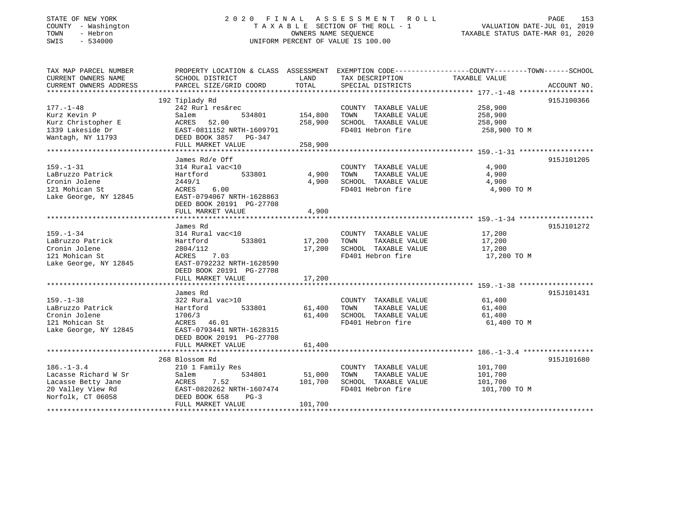### STATE OF NEW YORK 2 0 2 0 F I N A L A S S E S S M E N T R O L L PAGE 153 COUNTY - Washington T A X A B L E SECTION OF THE ROLL - 1 VALUATION DATE-JUL 01, 2019 TOWN - Hebron OWNERS NAME SEQUENCE TAXABLE STATUS DATE-MAR 01, 2020 SWIS - 534000 UNIFORM PERCENT OF VALUE IS 100.00

| TAX MAP PARCEL NUMBER<br>CURRENT OWNERS NAME<br>CURRENT OWNERS ADDRESS | SCHOOL DISTRICT                                                            | LAND<br>TOTAL | TAX DESCRIPTION<br>SPECIAL DISTRICTS          | PROPERTY LOCATION & CLASS ASSESSMENT EXEMPTION CODE---------------COUNTY-------TOWN------SCHOOL<br>TAXABLE VALUE |
|------------------------------------------------------------------------|----------------------------------------------------------------------------|---------------|-----------------------------------------------|------------------------------------------------------------------------------------------------------------------|
|                                                                        | PARCEL SIZE/GRID COORD                                                     |               |                                               | ACCOUNT NO.                                                                                                      |
|                                                                        | 192 Tiplady Rd                                                             |               |                                               | 915J100366                                                                                                       |
| 177.-1-48<br>Kurz Kevin P                                              | 242 Rurl res&rec<br>Salem<br>534801                                        | 154,800       | COUNTY TAXABLE VALUE<br>TAXABLE VALUE<br>TOWN | 258,900<br>258,900                                                                                               |
| Kurz Christopher E                                                     | 52.00<br>ACRES                                                             | 258,900       | SCHOOL TAXABLE VALUE                          | 258,900                                                                                                          |
| 1339 Lakeside Dr                                                       | EAST-0811152 NRTH-1609791                                                  |               | FD401 Hebron fire                             | 258,900 TO M                                                                                                     |
| Wantagh, NY 11793                                                      | DEED BOOK 3857 PG-347<br>FULL MARKET VALUE                                 | 258,900       |                                               |                                                                                                                  |
|                                                                        |                                                                            |               |                                               |                                                                                                                  |
|                                                                        | James Rd/e Off                                                             |               |                                               | 915J101205                                                                                                       |
| $159. - 1 - 31$                                                        | 314 Rural vac<10                                                           |               | COUNTY TAXABLE VALUE                          | 4,900                                                                                                            |
| LaBruzzo Patrick                                                       | 533801<br>Hartford                                                         | 4,900         | TAXABLE VALUE<br>TOWN                         | 4,900                                                                                                            |
| Cronin Jolene                                                          | 2449/1                                                                     | 4,900         | SCHOOL TAXABLE VALUE                          | 4,900                                                                                                            |
| 121 Mohican St                                                         | 6.00<br>ACRES                                                              |               | FD401 Hebron fire                             | 4,900 TO M                                                                                                       |
| Lake George, NY 12845                                                  | EAST-0794067 NRTH-1628863<br>DEED BOOK 20191 PG-27708<br>FULL MARKET VALUE | 4,900         |                                               |                                                                                                                  |
|                                                                        |                                                                            |               |                                               |                                                                                                                  |
|                                                                        | James Rd                                                                   |               |                                               | 915J101272                                                                                                       |
| $159. - 1 - 34$                                                        | 314 Rural vac<10                                                           |               | COUNTY TAXABLE VALUE                          | 17,200                                                                                                           |
| LaBruzzo Patrick                                                       | 533801<br>Hartford                                                         | 17,200        | TOWN<br>TAXABLE VALUE                         | 17,200                                                                                                           |
| Cronin Jolene                                                          | 2804/112                                                                   | 17,200        | SCHOOL TAXABLE VALUE                          | 17,200                                                                                                           |
| 121 Mohican St                                                         | ACRES 7.03                                                                 |               | FD401 Hebron fire                             | 17,200 TO M                                                                                                      |
| Lake George, NY 12845                                                  | EAST-0792232 NRTH-1628590<br>DEED BOOK 20191 PG-27708                      |               |                                               |                                                                                                                  |
|                                                                        | FULL MARKET VALUE                                                          | 17,200        |                                               |                                                                                                                  |
|                                                                        |                                                                            |               |                                               |                                                                                                                  |
|                                                                        | James Rd                                                                   |               |                                               | 915J101431                                                                                                       |
| $159. - 1 - 38$                                                        | 322 Rural vac>10                                                           |               | COUNTY TAXABLE VALUE                          | 61,400                                                                                                           |
| LaBruzzo Patrick                                                       | 533801<br>Hartford                                                         | 61,400        | TAXABLE VALUE<br>TOWN                         | 61,400                                                                                                           |
| Cronin Jolene                                                          | 1706/3                                                                     | 61,400        | SCHOOL TAXABLE VALUE                          | 61,400                                                                                                           |
| 121 Mohican St                                                         | ACRES 46.01                                                                |               | FD401 Hebron fire                             | 61,400 TO M                                                                                                      |
| Lake George, NY 12845                                                  | EAST-0793441 NRTH-1628315                                                  |               |                                               |                                                                                                                  |
|                                                                        | DEED BOOK 20191 PG-27708                                                   |               |                                               |                                                                                                                  |
|                                                                        | FULL MARKET VALUE                                                          | 61,400        |                                               |                                                                                                                  |
|                                                                        |                                                                            |               |                                               |                                                                                                                  |
|                                                                        | 268 Blossom Rd                                                             |               |                                               | 915J101680                                                                                                       |
| $186. - 1 - 3.4$                                                       | 210 1 Family Res                                                           |               | COUNTY TAXABLE VALUE                          | 101,700                                                                                                          |
| Lacasse Richard W Sr                                                   | Salem<br>534801                                                            | 51,000        | TAXABLE VALUE<br>TOWN                         | 101,700                                                                                                          |
| Lacasse Betty Jane                                                     | 7.52<br>ACRES                                                              | 101,700       | SCHOOL TAXABLE VALUE                          | 101,700                                                                                                          |
| 20 Valley View Rd                                                      | EAST-0820262 NRTH-1607474                                                  |               | FD401 Hebron fire                             | 101,700 TO M                                                                                                     |
| Norfolk, CT 06058                                                      | DEED BOOK 658<br>$PG-3$                                                    |               |                                               |                                                                                                                  |
|                                                                        | FULL MARKET VALUE                                                          | 101,700       |                                               |                                                                                                                  |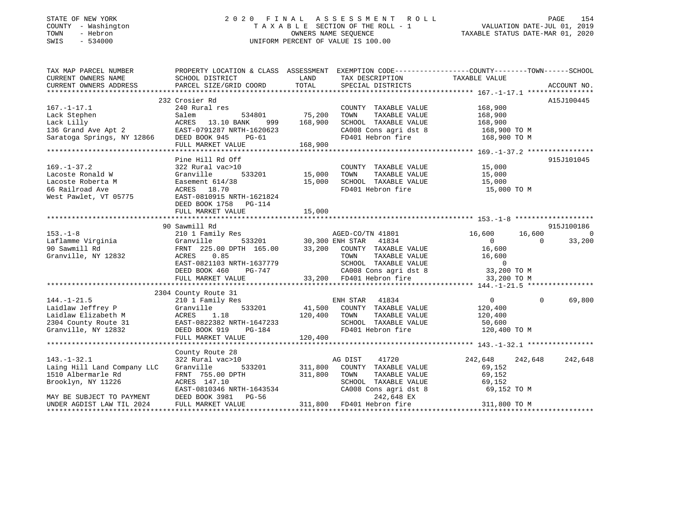### STATE OF NEW YORK 2 0 2 0 F I N A L A S S E S S M E N T R O L L PAGE 154 COUNTY - Washington T A X A B L E SECTION OF THE ROLL - 1 VALUATION DATE-JUL 01, 2019 TOWN - Hebron OWNERS NAME SEQUENCE TAXABLE STATUS DATE-MAR 01, 2020 SWIS - 534000 UNIFORM PERCENT OF VALUE IS 100.00

| TAX MAP PARCEL NUMBER                                                                                                                                                                                                                                                                                                                                                                                            | PROPERTY LOCATION & CLASS ASSESSMENT EXEMPTION CODE----------------COUNTY-------TOWN------SCHOOL                                                                                                             |        |                                                                                           |                          |                |            |
|------------------------------------------------------------------------------------------------------------------------------------------------------------------------------------------------------------------------------------------------------------------------------------------------------------------------------------------------------------------------------------------------------------------|--------------------------------------------------------------------------------------------------------------------------------------------------------------------------------------------------------------|--------|-------------------------------------------------------------------------------------------|--------------------------|----------------|------------|
| CURRENT OWNERS NAME                                                                                                                                                                                                                                                                                                                                                                                              | SCHOOL DISTRICT                                                                                                                                                                                              |        | LAND TAX DESCRIPTION TAXABLE VALUE                                                        |                          |                |            |
|                                                                                                                                                                                                                                                                                                                                                                                                                  |                                                                                                                                                                                                              |        |                                                                                           |                          |                |            |
|                                                                                                                                                                                                                                                                                                                                                                                                                  |                                                                                                                                                                                                              |        |                                                                                           |                          |                |            |
|                                                                                                                                                                                                                                                                                                                                                                                                                  | 232 Crosier Rd                                                                                                                                                                                               |        |                                                                                           |                          |                | A15J100445 |
| $167. - 1 - 17.1$                                                                                                                                                                                                                                                                                                                                                                                                | 240 Rural res                                                                                                                                                                                                |        | COUNTY TAXABLE VALUE 168,900                                                              |                          |                |            |
|                                                                                                                                                                                                                                                                                                                                                                                                                  |                                                                                                                                                                                                              |        |                                                                                           |                          |                |            |
|                                                                                                                                                                                                                                                                                                                                                                                                                  |                                                                                                                                                                                                              |        |                                                                                           |                          |                |            |
|                                                                                                                                                                                                                                                                                                                                                                                                                  |                                                                                                                                                                                                              |        |                                                                                           |                          |                |            |
|                                                                                                                                                                                                                                                                                                                                                                                                                  |                                                                                                                                                                                                              |        |                                                                                           |                          |                |            |
|                                                                                                                                                                                                                                                                                                                                                                                                                  |                                                                                                                                                                                                              |        |                                                                                           |                          |                |            |
| 167.-1-17.1<br>Lack Ephen Salem Salem Salem Salem Salem Salem Salem Salem Salem Salem Salem Salem Salem Salem Salem Salem Salem Salem Salem Salem Salem Salem Salem Salem Salem Salem Salem Salem Salem Salem Salem Salem School                                                                                                                                                                                 |                                                                                                                                                                                                              |        |                                                                                           |                          |                |            |
|                                                                                                                                                                                                                                                                                                                                                                                                                  | Pine Hill Rd Off                                                                                                                                                                                             |        |                                                                                           |                          |                | 915J101045 |
| $169. - 1 - 37.2$                                                                                                                                                                                                                                                                                                                                                                                                | 10.533201 COUNT<br>533201 15,000 TOWN<br>322 Rural vac>10                                                                                                                                                    |        | COUNTY TAXABLE VALUE 15,000                                                               |                          |                |            |
| Lacoste Ronald W<br>Lacoste Roberta M<br>66 Railroad Ave                                                                                                                                                                                                                                                                                                                                                         | Granville                                                                                                                                                                                                    |        | TOWN TAXABLE VALUE 15,000<br>SCHOOL TAXABLE VALUE 15,000<br>FD401 Hebron fire 15,000 TO M |                          |                |            |
|                                                                                                                                                                                                                                                                                                                                                                                                                  |                                                                                                                                                                                                              |        |                                                                                           |                          |                |            |
|                                                                                                                                                                                                                                                                                                                                                                                                                  | Easement 614/38 15,000<br>ACRES 18.70<br>ACRES 18.70                                                                                                                                                         |        |                                                                                           |                          |                |            |
| West Pawlet, VT 05775 EAST-0810915 NRTH-1621824                                                                                                                                                                                                                                                                                                                                                                  |                                                                                                                                                                                                              |        |                                                                                           |                          |                |            |
|                                                                                                                                                                                                                                                                                                                                                                                                                  | DEED BOOK 1758 PG-114                                                                                                                                                                                        |        |                                                                                           |                          |                |            |
|                                                                                                                                                                                                                                                                                                                                                                                                                  | FULL MARKET VALUE                                                                                                                                                                                            | 15,000 |                                                                                           |                          |                |            |
|                                                                                                                                                                                                                                                                                                                                                                                                                  |                                                                                                                                                                                                              |        |                                                                                           |                          |                |            |
|                                                                                                                                                                                                                                                                                                                                                                                                                  | 90 Sawmill Rd                                                                                                                                                                                                |        |                                                                                           |                          |                | 915J100186 |
|                                                                                                                                                                                                                                                                                                                                                                                                                  |                                                                                                                                                                                                              |        |                                                                                           |                          |                | $\sim$ 0   |
|                                                                                                                                                                                                                                                                                                                                                                                                                  |                                                                                                                                                                                                              |        |                                                                                           |                          | $\overline{0}$ | 33,200     |
|                                                                                                                                                                                                                                                                                                                                                                                                                  |                                                                                                                                                                                                              |        |                                                                                           |                          |                |            |
|                                                                                                                                                                                                                                                                                                                                                                                                                  |                                                                                                                                                                                                              |        |                                                                                           |                          |                |            |
|                                                                                                                                                                                                                                                                                                                                                                                                                  |                                                                                                                                                                                                              |        |                                                                                           |                          |                |            |
|                                                                                                                                                                                                                                                                                                                                                                                                                  |                                                                                                                                                                                                              |        |                                                                                           |                          |                |            |
|                                                                                                                                                                                                                                                                                                                                                                                                                  | ACRES 0.85 TOWN TAXABLE VALUE 16,600<br>EAST-0821103 NRTH-1637779 SCHOOL TAXABLE VALUE 0<br>DEED BOOK 460 PG-747 CA008 Cons agri dst 8 33,200 TO M<br>FULL MARKET VALUE 33,200 FD401 Hebron fire 33,200 TO M |        |                                                                                           |                          |                |            |
|                                                                                                                                                                                                                                                                                                                                                                                                                  |                                                                                                                                                                                                              |        |                                                                                           |                          |                |            |
|                                                                                                                                                                                                                                                                                                                                                                                                                  |                                                                                                                                                                                                              |        |                                                                                           |                          |                |            |
|                                                                                                                                                                                                                                                                                                                                                                                                                  | 2304 County Route 31                                                                                                                                                                                         |        | $EMH$ STAR 41834                                                                          |                          |                |            |
| $144. - 1 - 21.5$                                                                                                                                                                                                                                                                                                                                                                                                | 210 1 Family Res                                                                                                                                                                                             |        |                                                                                           | $\overline{\phantom{a}}$ | $\Omega$       | 69,800     |
|                                                                                                                                                                                                                                                                                                                                                                                                                  |                                                                                                                                                                                                              |        |                                                                                           |                          |                |            |
|                                                                                                                                                                                                                                                                                                                                                                                                                  |                                                                                                                                                                                                              |        |                                                                                           |                          |                |            |
|                                                                                                                                                                                                                                                                                                                                                                                                                  |                                                                                                                                                                                                              |        |                                                                                           |                          |                |            |
|                                                                                                                                                                                                                                                                                                                                                                                                                  |                                                                                                                                                                                                              |        |                                                                                           |                          |                |            |
|                                                                                                                                                                                                                                                                                                                                                                                                                  |                                                                                                                                                                                                              |        |                                                                                           |                          |                |            |
| $\begin{tabular}{lllllllllllllll} 144.-1-21.5 & 210 & \text{Family Res} & \text{ENH STAR} & 41834 & 0 & 09,000 \\ \text{Laidlaw Jeffrey P} & \text{Granville} & 533201 & 41,500 & \text{COUNTY} & \text{TAXABLE VALUE} & 120,400 \\ \text{Laidlaw Ellizabeth M} & \text{ACRES} & 1.18 & 120,400 & \text{TONMY} & \text{TAXABLE VALUE} & 120,400 \\ \text{Z304 County Route 31} & \text{EAST-0822382 NRTH-164723$ |                                                                                                                                                                                                              |        |                                                                                           |                          |                |            |
|                                                                                                                                                                                                                                                                                                                                                                                                                  | County Route 28                                                                                                                                                                                              |        |                                                                                           |                          |                |            |
| $143. - 1 - 32.1$                                                                                                                                                                                                                                                                                                                                                                                                | 322 Rural vac>10                                                                                                                                                                                             |        | 2>10 AG DIST 41720<br>533201 311,800 COUNTY TAXABLE VALUE                                 | 242,648                  | 242,648        | 242,648    |
| Laing Hill Land Company LLC                                                                                                                                                                                                                                                                                                                                                                                      | Granville                                                                                                                                                                                                    |        |                                                                                           | 69,152                   |                |            |
| 1510 Albermarle Rd                                                                                                                                                                                                                                                                                                                                                                                               |                                                                                                                                                                                                              |        | TAXABLE VALUE                                                                             | 69,152                   |                |            |
| Brooklyn, NY 11226                                                                                                                                                                                                                                                                                                                                                                                               |                                                                                                                                                                                                              |        | SCHOOL TAXABLE VALUE                                                                      | 69,152                   |                |            |
|                                                                                                                                                                                                                                                                                                                                                                                                                  |                                                                                                                                                                                                              |        | CA008 Cons agri dst 8 69,152 TO M                                                         |                          |                |            |
| MAY BE SUBJECT TO PAYMENT                                                                                                                                                                                                                                                                                                                                                                                        | FRNT 755.00 DPTH 311,800 TOWN<br>ACRES 147.10 SCHOO<br>EAST-0810346 NRTH-1643534 CA008<br>DEED BOOK 3981 PG-56                                                                                               |        | 242,648 EX                                                                                |                          |                |            |
| UNDER AGDIST LAW TIL 2024                                                                                                                                                                                                                                                                                                                                                                                        | FULL MARKET VALUE                                                                                                                                                                                            |        | 311,800 FD401 Hebron fire                                                                 | 311,800 TO M             |                |            |
|                                                                                                                                                                                                                                                                                                                                                                                                                  |                                                                                                                                                                                                              |        |                                                                                           |                          |                |            |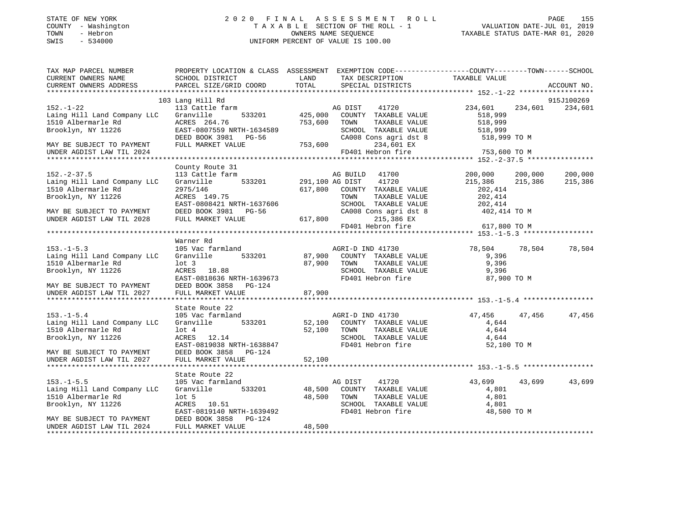### STATE OF NEW YORK 2 0 2 0 F I N A L A S S E S S M E N T R O L L PAGE 155 COUNTY - Washington T A X A B L E SECTION OF THE ROLL - 1 VALUATION DATE-JUL 01, 2019 TOWN - Hebron OWNERS NAME SEQUENCE TAXABLE STATUS DATE-MAR 01, 2020 SWIS - 534000 UNIFORM PERCENT OF VALUE IS 100.00

| TAX MAP PARCEL NUMBER       |                                                       |                 | PROPERTY LOCATION & CLASS ASSESSMENT EXEMPTION CODE----------------COUNTY-------TOWN------SCHOOL |               |         |             |
|-----------------------------|-------------------------------------------------------|-----------------|--------------------------------------------------------------------------------------------------|---------------|---------|-------------|
| CURRENT OWNERS NAME         | SCHOOL DISTRICT                                       | LAND            | TAX DESCRIPTION                                                                                  | TAXABLE VALUE |         |             |
| CURRENT OWNERS ADDRESS      | PARCEL SIZE/GRID COORD                                | TOTAL           | SPECIAL DISTRICTS                                                                                |               |         | ACCOUNT NO. |
|                             | 103 Lang Hill Rd                                      |                 |                                                                                                  |               |         | 915J100269  |
| $152. - 1 - 22$             | 113 Cattle farm                                       |                 | AG DIST<br>41720                                                                                 | 234,601       | 234,601 | 234,601     |
| Laing Hill Land Company LLC | Granville<br>533201                                   | 425,000         | COUNTY TAXABLE VALUE                                                                             | 518,999       |         |             |
| 1510 Albermarle Rd          | ACRES 264.76                                          | 753,600         | TAXABLE VALUE<br>TOWN                                                                            | 518,999       |         |             |
| Brooklyn, NY 11226          | EAST-0807559 NRTH-1634589                             |                 | SCHOOL TAXABLE VALUE                                                                             | 518,999       |         |             |
|                             | DEED BOOK 3981 PG-56                                  |                 | CA008 Cons agri dst 8                                                                            | 518,999 TO M  |         |             |
| MAY BE SUBJECT TO PAYMENT   | FULL MARKET VALUE                                     | 753,600         | 234,601 EX                                                                                       |               |         |             |
| UNDER AGDIST LAW TIL 2024   |                                                       |                 | FD401 Hebron fire                                                                                | 753,600 TO M  |         |             |
|                             |                                                       |                 |                                                                                                  |               |         |             |
|                             | County Route 31                                       |                 |                                                                                                  |               |         |             |
| $152. - 2 - 37.5$           | 113 Cattle farm                                       |                 | AG BUILD 41700                                                                                   | 200,000       | 200,000 | 200,000     |
| Laing Hill Land Company LLC | Granville<br>533201                                   | 291,100 AG DIST | 41720                                                                                            | 215,386       | 215,386 | 215,386     |
| 1510 Albermarle Rd          | 2975/146                                              | 617,800         | COUNTY TAXABLE VALUE                                                                             | 202,414       |         |             |
| Brooklyn, NY 11226          | ACRES 149.75                                          |                 | TOWN<br>TAXABLE VALUE                                                                            | 202,414       |         |             |
|                             | EAST-0808421 NRTH-1637606                             |                 | SCHOOL TAXABLE VALUE                                                                             | 202,414       |         |             |
| MAY BE SUBJECT TO PAYMENT   | DEED BOOK 3981 PG-56                                  |                 | CA008 Cons agri dst 8                                                                            | 402,414 TO M  |         |             |
| UNDER AGDIST LAW TIL 2028   | FULL MARKET VALUE                                     | 617,800         | 215,386 EX                                                                                       |               |         |             |
|                             |                                                       |                 | FD401 Hebron fire                                                                                | 617,800 TO M  |         |             |
|                             | Warner Rd                                             |                 |                                                                                                  |               |         |             |
| $153. - 1 - 5.3$            | 105 Vac farmland                                      |                 | AGRI-D IND 41730                                                                                 | 78,504        | 78,504  | 78,504      |
| Laing Hill Land Company LLC | Granville<br>533201                                   | 87,900          | COUNTY TAXABLE VALUE                                                                             | 9,396         |         |             |
| 1510 Albermarle Rd          | $1$ ot $3$                                            | 87,900          | TOWN<br>TAXABLE VALUE                                                                            | 9,396         |         |             |
| Brooklyn, NY 11226          | ACRES 18.88                                           |                 | SCHOOL TAXABLE VALUE                                                                             | 9,396         |         |             |
|                             | EAST-0818636 NRTH-1639673                             |                 | FD401 Hebron fire                                                                                | 87,900 TO M   |         |             |
| MAY BE SUBJECT TO PAYMENT   | DEED BOOK 3858 PG-124                                 |                 |                                                                                                  |               |         |             |
| UNDER AGDIST LAW TIL 2027   | FULL MARKET VALUE                                     | 87,900          |                                                                                                  |               |         |             |
|                             |                                                       |                 |                                                                                                  |               |         |             |
|                             | State Route 22                                        |                 |                                                                                                  |               |         |             |
| $153. - 1 - 5.4$            | 105 Vac farmland                                      |                 | AGRI-D IND 41730                                                                                 | 47,456        | 47,456  | 47,456      |
| Laing Hill Land Company LLC | 533201<br>Granville                                   | 52,100          | COUNTY TAXABLE VALUE                                                                             | 4,644         |         |             |
| 1510 Albermarle Rd          | $1$ ot $4$                                            | 52,100          | TOWN<br>TAXABLE VALUE                                                                            | 4,644         |         |             |
| Brooklyn, NY 11226          | ACRES 12.14                                           |                 | SCHOOL TAXABLE VALUE<br>FD401 Hebron fire                                                        | 4,644         |         |             |
| MAY BE SUBJECT TO PAYMENT   | EAST-0819038 NRTH-1638847<br>DEED BOOK 3858<br>PG-124 |                 |                                                                                                  | 52,100 TO M   |         |             |
| UNDER AGDIST LAW TIL 2027   | FULL MARKET VALUE                                     | 52,100          |                                                                                                  |               |         |             |
|                             |                                                       |                 |                                                                                                  |               |         |             |
|                             | State Route 22                                        |                 |                                                                                                  |               |         |             |
| $153. - 1 - 5.5$            | 105 Vac farmland                                      |                 | AG DIST<br>41720                                                                                 | 43,699        | 43,699  | 43,699      |
| Laing Hill Land Company LLC | Granville<br>533201                                   | 48,500          | COUNTY TAXABLE VALUE                                                                             | 4,801         |         |             |
| 1510 Albermarle Rd          | lot <sub>5</sub>                                      | 48,500          | TAXABLE VALUE<br>TOWN                                                                            | 4,801         |         |             |
| Brooklyn, NY 11226          | ACRES 10.51                                           |                 | SCHOOL TAXABLE VALUE                                                                             | 4,801         |         |             |
|                             | EAST-0819140 NRTH-1639492                             |                 | FD401 Hebron fire                                                                                | 48,500 TO M   |         |             |
| MAY BE SUBJECT TO PAYMENT   | DEED BOOK 3858<br>PG-124                              |                 |                                                                                                  |               |         |             |
| UNDER AGDIST LAW TIL 2024   | FULL MARKET VALUE                                     | 48,500          |                                                                                                  |               |         |             |
|                             |                                                       |                 |                                                                                                  |               |         |             |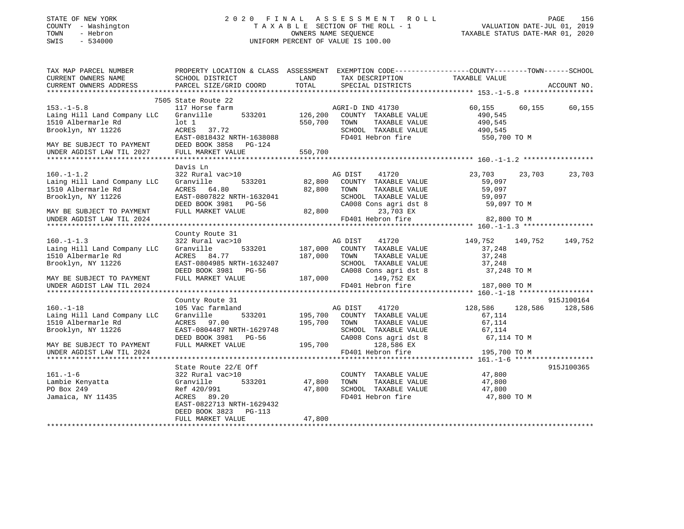### STATE OF NEW YORK 2 0 2 0 F I N A L A S S E S S M E N T R O L L PAGE 156 COUNTY - Washington T A X A B L E SECTION OF THE ROLL - 1 VALUATION DATE-JUL 01, 2019 TOWN - Hebron OWNERS NAME SEQUENCE TAXABLE STATUS DATE-MAR 01, 2020 SWIS - 534000 UNIFORM PERCENT OF VALUE IS 100.00

| TAX MAP PARCEL NUMBER                         | PROPERTY LOCATION & CLASS ASSESSMENT EXEMPTION CODE---------------COUNTY-------TOWN-----SCHOOL |               |                                      |                    |             |
|-----------------------------------------------|------------------------------------------------------------------------------------------------|---------------|--------------------------------------|--------------------|-------------|
| CURRENT OWNERS NAME<br>CURRENT OWNERS ADDRESS | SCHOOL DISTRICT<br>PARCEL SIZE/GRID COORD                                                      | LAND<br>TOTAL | TAX DESCRIPTION<br>SPECIAL DISTRICTS | TAXABLE VALUE      | ACCOUNT NO. |
|                                               |                                                                                                |               |                                      |                    |             |
|                                               | 7505 State Route 22                                                                            |               |                                      |                    |             |
| $153. - 1 - 5.8$                              | 117 Horse farm                                                                                 |               | AGRI-D IND 41730                     | 60,155<br>60,155   | 60,155      |
| Laing Hill Land Company LLC                   | Granville<br>533201                                                                            | 126,200       | COUNTY TAXABLE VALUE                 | 490,545            |             |
| 1510 Albermarle Rd                            | $1$ ot $1$                                                                                     | 550,700       | TOWN<br>TAXABLE VALUE                | 490,545            |             |
| Brooklyn, NY 11226                            | ACRES 37.72                                                                                    |               | SCHOOL TAXABLE VALUE                 | 490,545            |             |
|                                               | EAST-0818432 NRTH-1638088                                                                      |               | FD401 Hebron fire                    | 550,700 TO M       |             |
| MAY BE SUBJECT TO PAYMENT                     | DEED BOOK 3858<br>PG-124                                                                       |               |                                      |                    |             |
| UNDER AGDIST LAW TIL 2027                     | FULL MARKET VALUE                                                                              | 550,700       |                                      |                    |             |
|                                               |                                                                                                |               |                                      |                    |             |
|                                               | Davis Ln                                                                                       |               |                                      |                    |             |
| $160. - 1 - 1.2$                              | 322 Rural vac>10                                                                               |               | AG DIST<br>41720                     | 23,703<br>23,703   | 23,703      |
| Laing Hill Land Company LLC                   | 533201<br>Granville                                                                            | 82,800        | COUNTY TAXABLE VALUE                 | 59,097             |             |
| 1510 Albermarle Rd                            | ACRES 64.80                                                                                    | 82,800        | TAXABLE VALUE<br>TOWN                | 59,097             |             |
| Brooklyn, NY 11226                            | EAST-0807822 NRTH-1632041                                                                      |               | SCHOOL TAXABLE VALUE                 | 59,097             |             |
|                                               | DEED BOOK 3981<br>PG-56                                                                        |               | CA008 Cons agri dst 8                | 59,097 TO M        |             |
| MAY BE SUBJECT TO PAYMENT                     | FULL MARKET VALUE                                                                              | 82,800        | 23,703 EX                            |                    |             |
| UNDER AGDIST LAW TIL 2024                     |                                                                                                |               | FD401 Hebron fire                    | 82,800 TO M        |             |
|                                               |                                                                                                |               |                                      |                    |             |
|                                               | County Route 31                                                                                |               |                                      |                    |             |
| $160. -1 - 1.3$                               | 322 Rural vac>10                                                                               |               | AG DIST<br>41720                     | 149,752<br>149,752 | 149,752     |
| Laing Hill Land Company LLC                   | Granville<br>533201                                                                            | 187,000       | COUNTY TAXABLE VALUE                 | 37,248             |             |
| 1510 Albermarle Rd                            | ACRES 84.77                                                                                    | 187,000       | TOWN<br>TAXABLE VALUE                | 37,248             |             |
| Brooklyn, NY 11226                            | EAST-0804985 NRTH-1632407                                                                      |               | SCHOOL TAXABLE VALUE                 | 37,248             |             |
|                                               | DEED BOOK 3981<br>PG-56                                                                        |               | CA008 Cons agri dst 8                | 37,248 TO M        |             |
| MAY BE SUBJECT TO PAYMENT                     | FULL MARKET VALUE                                                                              | 187,000       | 149,752 EX                           |                    |             |
| UNDER AGDIST LAW TIL 2024                     |                                                                                                |               | FD401 Hebron fire                    | 187,000 TO M       |             |
|                                               |                                                                                                |               |                                      |                    |             |
|                                               | County Route 31                                                                                |               |                                      |                    | 915J100164  |
| $160. - 1 - 18$                               | 105 Vac farmland                                                                               |               | AG DIST<br>41720                     | 128,586<br>128,586 | 128,586     |
| Laing Hill Land Company LLC                   | Granville<br>533201                                                                            | 195,700       | COUNTY TAXABLE VALUE                 | 67,114             |             |
| 1510 Albermarle Rd                            | ACRES 97.00                                                                                    | 195,700       | TAXABLE VALUE<br>TOWN                | 67,114             |             |
| Brooklyn, NY 11226                            | EAST-0804487 NRTH-1629748                                                                      |               | SCHOOL TAXABLE VALUE                 | 67,114             |             |
|                                               | DEED BOOK 3981<br>PG-56                                                                        |               | CA008 Cons agri dst 8                | 67,114 TO M        |             |
| MAY BE SUBJECT TO PAYMENT                     | FULL MARKET VALUE                                                                              | 195,700       | 128,586 EX                           |                    |             |
| UNDER AGDIST LAW TIL 2024                     |                                                                                                |               | FD401 Hebron fire                    | 195,700 TO M       |             |
|                                               |                                                                                                |               |                                      |                    |             |
|                                               | State Route 22/E Off                                                                           |               |                                      |                    | 915J100365  |
| $161. - 1 - 6$                                | 322 Rural vac>10                                                                               |               | COUNTY TAXABLE VALUE                 | 47,800             |             |
| Lambie Kenyatta                               | 533201<br>Granville                                                                            | 47,800        | TAXABLE VALUE<br>TOWN                | 47,800             |             |
| PO Box 249                                    | Ref 420/991                                                                                    | 47,800        | SCHOOL TAXABLE VALUE                 | 47,800             |             |
| Jamaica, NY 11435                             | ACRES 89.20                                                                                    |               | FD401 Hebron fire                    | 47,800 TO M        |             |
|                                               | EAST-0822713 NRTH-1629432                                                                      |               |                                      |                    |             |
|                                               | DEED BOOK 3823<br>PG-113                                                                       |               |                                      |                    |             |
|                                               | FULL MARKET VALUE                                                                              | 47,800        |                                      |                    |             |
|                                               |                                                                                                |               |                                      |                    |             |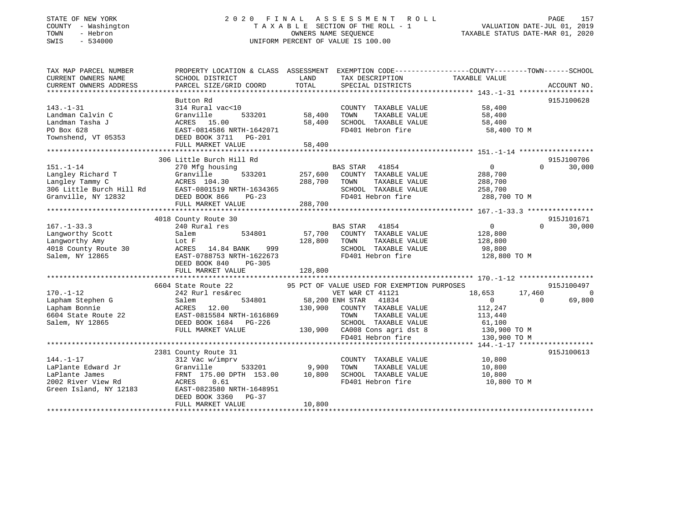### STATE OF NEW YORK 2 0 2 0 F I N A L A S S E S S M E N T R O L L PAGE 157 COUNTY - Washington T A X A B L E SECTION OF THE ROLL - 1 VALUATION DATE-JUL 01, 2019 TOWN - Hebron OWNERS NAME SEQUENCE TAXABLE STATUS DATE-MAR 01, 2020 SWIS - 534000 UNIFORM PERCENT OF VALUE IS 100.00

| TAX MAP PARCEL NUMBER<br>CURRENT OWNERS NAME<br>CURRENT OWNERS ADDRESS | PROPERTY LOCATION & CLASS ASSESSMENT EXEMPTION CODE----------------COUNTY-------TOWN-----SCHOOL<br>SCHOOL DISTRICT<br>PARCEL SIZE/GRID COORD | LAND<br>TOTAL | TAX DESCRIPTION<br>SPECIAL DISTRICTS        | TAXABLE VALUE    | ACCOUNT NO.        |
|------------------------------------------------------------------------|----------------------------------------------------------------------------------------------------------------------------------------------|---------------|---------------------------------------------|------------------|--------------------|
|                                                                        |                                                                                                                                              |               |                                             |                  |                    |
|                                                                        | Button Rd                                                                                                                                    |               |                                             |                  | 915J100628         |
| $143. - 1 - 31$                                                        | 314 Rural vac<10                                                                                                                             |               | COUNTY TAXABLE VALUE                        | 58,400           |                    |
| Landman Calvin C                                                       | Granville<br>533201                                                                                                                          | 58,400        | TOWN<br>TAXABLE VALUE                       | 58,400           |                    |
| Landman Tasha J                                                        | ACRES<br>15.00                                                                                                                               | 58,400        | SCHOOL TAXABLE VALUE                        | 58,400           |                    |
| PO Box 628                                                             | EAST-0814586 NRTH-1642071                                                                                                                    |               | FD401 Hebron fire                           | 58,400 TO M      |                    |
| Townshend, VT 05353                                                    | DEED BOOK 3711 PG-201                                                                                                                        |               |                                             |                  |                    |
|                                                                        | FULL MARKET VALUE                                                                                                                            | 58,400        |                                             |                  |                    |
|                                                                        |                                                                                                                                              |               |                                             |                  |                    |
|                                                                        | 306 Little Burch Hill Rd                                                                                                                     |               |                                             |                  | 915J100706         |
| $151. - 1 - 14$                                                        | 270 Mfg housing                                                                                                                              |               | BAS STAR<br>41854                           | $\overline{0}$   | 30,000<br>$\Omega$ |
| Langley Richard T                                                      | Granville<br>533201                                                                                                                          | 257,600       | COUNTY TAXABLE VALUE                        | 288,700          |                    |
| Langley Tammy C                                                        | ACRES 104.30                                                                                                                                 | 288,700       | TAXABLE VALUE<br>TOWN                       | 288,700          |                    |
| 306 Little Burch Hill Rd                                               | EAST-0801519 NRTH-1634365                                                                                                                    |               | SCHOOL TAXABLE VALUE                        | 258,700          |                    |
| Granville, NY 12832                                                    | DEED BOOK 866<br>$PG-23$                                                                                                                     |               | FD401 Hebron fire                           | 288,700 TO M     |                    |
|                                                                        | FULL MARKET VALUE                                                                                                                            | 288,700       |                                             |                  |                    |
|                                                                        |                                                                                                                                              |               |                                             |                  |                    |
|                                                                        | 4018 County Route 30                                                                                                                         |               |                                             |                  | 915J101671         |
| $167. - 1 - 33.3$                                                      | 240 Rural res                                                                                                                                |               | <b>BAS STAR</b><br>41854                    | $\sim$ 0         | 30,000<br>$\cap$   |
| Langworthy Scott                                                       | 534801<br>Salem                                                                                                                              | 57,700        | COUNTY TAXABLE VALUE                        | 128,800          |                    |
| Langworthy Amy                                                         | Lot F                                                                                                                                        | 128,800       | TAXABLE VALUE<br>TOWN                       | 128,800          |                    |
| 4018 County Route 30                                                   | ACRES<br>14.84 BANK<br>999                                                                                                                   |               | SCHOOL TAXABLE VALUE                        | 98,800           |                    |
| Salem, NY 12865                                                        | EAST-0788753 NRTH-1622673                                                                                                                    |               | FD401 Hebron fire                           | 128,800 TO M     |                    |
|                                                                        | DEED BOOK 840<br>$PG-305$                                                                                                                    |               |                                             |                  |                    |
|                                                                        | FULL MARKET VALUE                                                                                                                            | 128,800       |                                             |                  |                    |
|                                                                        |                                                                                                                                              |               |                                             |                  |                    |
|                                                                        | 6604 State Route 22                                                                                                                          |               | 95 PCT OF VALUE USED FOR EXEMPTION PURPOSES |                  | 915J100497         |
| $170. - 1 - 12$                                                        | 242 Rurl res&rec                                                                                                                             |               | VET WAR CT 41121                            | 18,653<br>17,460 | $\overline{0}$     |
|                                                                        |                                                                                                                                              |               | 58,200 ENH STAR                             |                  | 69,800<br>$\Omega$ |
| Lapham Stephen G                                                       | Salem<br>534801                                                                                                                              | 130,900       | 41834<br>COUNTY TAXABLE VALUE               | $\overline{0}$   |                    |
| Lapham Bonnie                                                          | ACRES<br>12.00                                                                                                                               |               |                                             | 112,247          |                    |
| 6604 State Route 22                                                    | EAST-0815584 NRTH-1616869                                                                                                                    |               | TAXABLE VALUE<br>TOWN                       | 113,440          |                    |
| Salem, NY 12865                                                        | DEED BOOK 1684 PG-226                                                                                                                        |               | SCHOOL TAXABLE VALUE                        | 61,100           |                    |
|                                                                        | FULL MARKET VALUE                                                                                                                            |               | 130,900 CA008 Cons agri dst 8               | 130,900 TO M     |                    |
|                                                                        |                                                                                                                                              |               | FD401 Hebron fire                           | 130,900 TO M     |                    |
|                                                                        |                                                                                                                                              |               |                                             |                  |                    |
|                                                                        | 2381 County Route 31                                                                                                                         |               |                                             |                  | 915J100613         |
| $144. - 1 - 17$                                                        | 312 Vac w/imprv                                                                                                                              |               | COUNTY TAXABLE VALUE                        | 10,800           |                    |
| LaPlante Edward Jr                                                     | 533201<br>Granville                                                                                                                          | 9,900         | TAXABLE VALUE<br>TOWN                       | 10,800           |                    |
| LaPlante James                                                         | FRNT 175.00 DPTH 153.00                                                                                                                      | 10,800        | SCHOOL TAXABLE VALUE                        | 10,800           |                    |
| 2002 River View Rd                                                     | ACRES<br>0.61                                                                                                                                |               | FD401 Hebron fire                           | 10,800 TO M      |                    |
| Green Island, NY 12183                                                 | EAST-0823580 NRTH-1648951                                                                                                                    |               |                                             |                  |                    |
|                                                                        | DEED BOOK 3360<br>$PG-37$                                                                                                                    |               |                                             |                  |                    |
|                                                                        | FULL MARKET VALUE                                                                                                                            | 10,800        |                                             |                  |                    |
|                                                                        |                                                                                                                                              |               |                                             |                  |                    |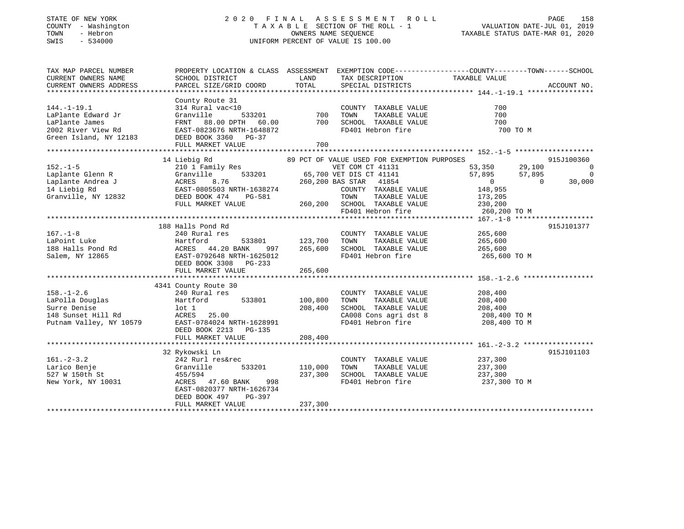### STATE OF NEW YORK 2 0 2 0 F I N A L A S S E S S M E N T R O L L PAGE 158 COUNTY - Washington T A X A B L E SECTION OF THE ROLL - 1 VALUATION DATE-JUL 01, 2019 TOWN - Hebron OWNERS NAME SEQUENCE TAXABLE STATUS DATE-MAR 01, 2020 SWIS - 534000 UNIFORM PERCENT OF VALUE IS 100.00

| TAX MAP PARCEL NUMBER<br>CURRENT OWNERS NAME<br>CURRENT OWNERS ADDRESS                                                                                                                                                                                             | SCHOOL DISTRICT<br>PARCEL SIZE/GRID COORD                                                                                                                                                                                                                                                                                                                              | LAND<br>TOTAL                        | TAX DESCRIPTION TAXABLE VALUE SPECIAL DISTRICTS                                                                                                                                 | PROPERTY LOCATION & CLASS ASSESSMENT EXEMPTION CODE---------------COUNTY-------TOWN-----SCHOOL | ACCOUNT NO.                                 |
|--------------------------------------------------------------------------------------------------------------------------------------------------------------------------------------------------------------------------------------------------------------------|------------------------------------------------------------------------------------------------------------------------------------------------------------------------------------------------------------------------------------------------------------------------------------------------------------------------------------------------------------------------|--------------------------------------|---------------------------------------------------------------------------------------------------------------------------------------------------------------------------------|------------------------------------------------------------------------------------------------|---------------------------------------------|
| $144. - 1 - 19.1$                                                                                                                                                                                                                                                  | County Route 31<br>314 Rural vac<10<br>LaPlante Edward Jr (1993)<br>Capital Capital Capital Capital Composition of the Magnetic State of the Magnetic State of the Magnetic State<br>Composition of the Magnetic State Capital Capital Capital Capital Capital Capital Ca<br>FULL MARKET VALUE                                                                         | 700                                  | FD401 Hebron fire                                                                                                                                                               | 700<br>700<br>700<br>700 TO M                                                                  |                                             |
|                                                                                                                                                                                                                                                                    |                                                                                                                                                                                                                                                                                                                                                                        |                                      |                                                                                                                                                                                 |                                                                                                |                                             |
| $152. - 1 - 5$                                                                                                                                                                                                                                                     | 14 Liebig Rd<br>210 $\overline{1}$ Family Res<br>Granville 533201 65,700 VET DIS CT 41141<br>152.-1-5<br>Laplante Glenn R<br>Laplante Andrea J<br>14 Liebig Rd<br>Granville, NY 12832<br>210 1 Family Res<br>Granville 533201<br>210 1 Famile 533201<br>210 1 Famile 533201<br>220 2025503 NRTH-1638274<br>220 2025503 NRTH-1638274<br>220 202550<br>FULL MARKET VALUE |                                      | 89 PCT OF VALUE USED FOR EXEMPTION PURPOSES<br>260,200 BAS STAR 41854<br>COUNTY TAXABLE VALUE<br>TOWN<br>260,200 SCHOOL TAXABLE VALUE 230,200<br>FD401 Hebron fire 260,200 TO M | 53,350 29,100<br>57,895 57,895<br>0 0<br>$\overline{0}$<br>148,955<br>TAXABLE VALUE 173,205    | 915J100360<br>0<br>$\overline{0}$<br>30,000 |
|                                                                                                                                                                                                                                                                    |                                                                                                                                                                                                                                                                                                                                                                        |                                      |                                                                                                                                                                                 |                                                                                                |                                             |
| $167. - 1 - 8$<br>LaPoint Luke<br>188 Halls Pond Rd<br>188 Halls Pond Rd<br>188 Halls Pond Rd<br>188 Halls Pond Rd<br>188 Halls Port Press, 1986<br>188 Halls Port Press, 1986<br>188 Halls Port Press, 1986<br>188 Halls Port Press, 1986<br>188 Halls Port Press | 188 Halls Pond Rd<br>240 Rural res<br>997<br>EAST-0792648 NRTH-1625012<br>DEED BOOK 3308 PG-233<br>FULL MARKET VALUE                                                                                                                                                                                                                                                   | 533801 123,700<br>265,600<br>265,600 | COUNTY TAXABLE VALUE 265,600<br>TOWN<br>TAXABLE VALUE<br>SCHOOL TAXABLE VALUE 265,600<br>FD401 Hebron fire 265,600 TO M                                                         | 265,600                                                                                        | 915J101377                                  |
|                                                                                                                                                                                                                                                                    | 4341 County Route 30                                                                                                                                                                                                                                                                                                                                                   |                                      |                                                                                                                                                                                 |                                                                                                |                                             |
| $158. - 1 - 2.6$                                                                                                                                                                                                                                                   | 240 Rural res<br>533801 100,800<br>Hartford<br>25.00<br>Putnam Valley, NY 10579 EAST-0784024 NRTH-1628991<br>DEED BOOK 2213 PG-135                                                                                                                                                                                                                                     | 208,400                              | COUNTY TAXABLE VALUE<br>TAXABLE VALUE<br>TOWN<br>SCHOOL TAXABLE VALUE $208,400$<br>CA008 Cons agri dst 8 $208,400$ TO M<br>FD401 Hebron fire $208,400$ TO M                     | 208,400<br>208,400                                                                             |                                             |
|                                                                                                                                                                                                                                                                    | FULL MARKET VALUE                                                                                                                                                                                                                                                                                                                                                      | 208,400                              |                                                                                                                                                                                 |                                                                                                |                                             |
| $161. - 2 - 3.2$<br>Larico Benje<br>527 W 150th St<br>New York, NY 10031                                                                                                                                                                                           | 32 Rykowski Ln<br>242 Rurl res&rec<br>Granville<br>533201<br>455/594<br>ACRES 47.60 BANK 998<br>EAST-0820377 NRTH-1626734<br>DEED BOOK 497<br>PG-397<br>FULL MARKET VALUE                                                                                                                                                                                              | 110,000<br>237,300<br>237,300        | COUNTY TAXABLE VALUE<br>TAXABLE VALUE<br>TOWN<br>SCHOOL TAXABLE VALUE<br>FD401 Hebron fire                                                                                      | 237,300<br>237,300<br>237,300<br>237,300 TO M                                                  | 915J101103                                  |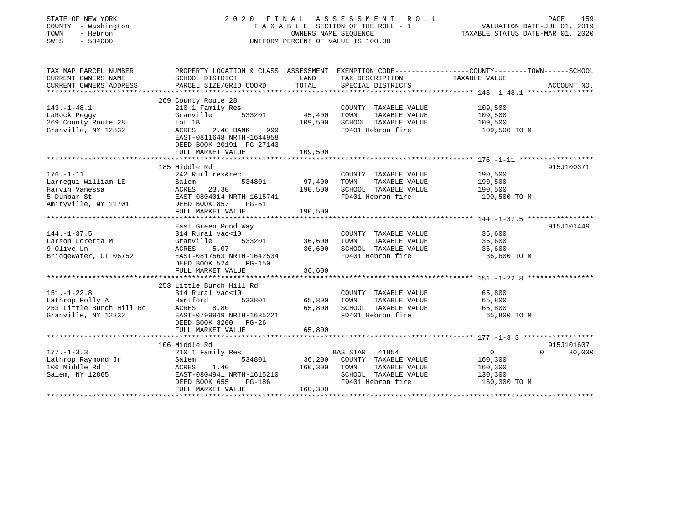| STATE OF NEW YORK<br>COUNTY - Washington<br>TOWN<br>- Hebron<br>$-534000$<br>SWIS         | 2020 FINAL<br>A S S E S S M E N T<br>R O L L<br>TAXABLE SECTION OF THE ROLL - 1<br>OWNERS NAME SEQUENCE<br>UNIFORM PERCENT OF VALUE IS 100.00 |                  |                                       | PAGE<br>159<br>VALUATION DATE-JUL 01, 2019<br>TAXABLE STATUS DATE-MAR 01, 2020                  |             |
|-------------------------------------------------------------------------------------------|-----------------------------------------------------------------------------------------------------------------------------------------------|------------------|---------------------------------------|-------------------------------------------------------------------------------------------------|-------------|
| TAX MAP PARCEL NUMBER                                                                     |                                                                                                                                               |                  |                                       | PROPERTY LOCATION & CLASS ASSESSMENT EXEMPTION CODE----------------COUNTY-------TOWN-----SCHOOL |             |
| CURRENT OWNERS NAME<br>CURRENT OWNERS ADDRESS                                             | SCHOOL DISTRICT<br>PARCEL SIZE/GRID COORD                                                                                                     | LAND<br>TOTAL    | TAX DESCRIPTION<br>SPECIAL DISTRICTS  | TAXABLE VALUE                                                                                   | ACCOUNT NO. |
|                                                                                           |                                                                                                                                               |                  |                                       |                                                                                                 |             |
|                                                                                           | 269 County Route 28                                                                                                                           |                  |                                       |                                                                                                 |             |
| $143. - 1 - 48.1$                                                                         | 210 1 Family Res                                                                                                                              |                  | COUNTY TAXABLE VALUE                  | 109,500                                                                                         |             |
| LaRock Peggy                                                                              | 533201<br>Granville                                                                                                                           | 45,400           | TAXABLE VALUE<br>TOWN                 | 109,500                                                                                         |             |
| 269 County Route 28                                                                       | Lot 1B                                                                                                                                        | 109,500          | SCHOOL TAXABLE VALUE                  | 109,500                                                                                         |             |
| Granville, NY 12832                                                                       | ACRES<br>2.40 BANK<br>999                                                                                                                     |                  | FD401 Hebron fire                     | 109,500 TO M                                                                                    |             |
|                                                                                           | EAST-0811648 NRTH-1644958                                                                                                                     |                  |                                       |                                                                                                 |             |
|                                                                                           | DEED BOOK 20191 PG-27143                                                                                                                      |                  |                                       |                                                                                                 |             |
|                                                                                           | FULL MARKET VALUE                                                                                                                             | 109,500          |                                       |                                                                                                 |             |
|                                                                                           |                                                                                                                                               |                  |                                       |                                                                                                 |             |
| $176. - 1 - 11$                                                                           | 185 Middle Rd<br>242 Rurl res&rec                                                                                                             |                  | COUNTY TAXABLE VALUE                  | 190,500                                                                                         | 915J100371  |
| Larregui William LE                                                                       | 534801<br>Salem                                                                                                                               | 97,400           | TOWN<br>TAXABLE VALUE                 | 190,500                                                                                         |             |
| Harvin Vanessa                                                                            | ACRES<br>23.30                                                                                                                                | 190,500          | SCHOOL TAXABLE VALUE                  | 190,500                                                                                         |             |
| 5 Dunbar St                                                                               | EAST-0804014 NRTH-1615741                                                                                                                     |                  | FD401 Hebron fire                     | 190,500 TO M                                                                                    |             |
| Amityville, NY 11701                                                                      | DEED BOOK 857<br>PG-61                                                                                                                        |                  |                                       |                                                                                                 |             |
|                                                                                           | FULL MARKET VALUE                                                                                                                             | 190,500          |                                       |                                                                                                 |             |
|                                                                                           | *******************                                                                                                                           |                  |                                       | ******************** 144.-1-37.5 *****************                                              |             |
|                                                                                           | East Green Pond Way                                                                                                                           |                  |                                       |                                                                                                 | 915J101449  |
| $144. - 1 - 37.5$                                                                         | 314 Rural vac<10                                                                                                                              |                  | COUNTY TAXABLE VALUE                  | 36,600                                                                                          |             |
| Larson Loretta M                                                                          | Granville<br>533201                                                                                                                           | 36,600           | TAXABLE VALUE<br>TOWN                 | 36,600                                                                                          |             |
| 9 Olive Ln                                                                                | ACRES<br>5.07                                                                                                                                 | 36,600           | SCHOOL TAXABLE VALUE                  | 36,600                                                                                          |             |
| Bridgewater, CT 06752                                                                     | EAST-0817563 NRTH-1642534                                                                                                                     |                  | FD401 Hebron fire                     | 36,600 TO M                                                                                     |             |
|                                                                                           | DEED BOOK 524<br><b>PG-150</b>                                                                                                                |                  |                                       |                                                                                                 |             |
|                                                                                           | FULL MARKET VALUE                                                                                                                             | 36,600           |                                       |                                                                                                 |             |
|                                                                                           |                                                                                                                                               |                  |                                       |                                                                                                 |             |
|                                                                                           | 253 Little Burch Hill Rd                                                                                                                      |                  |                                       |                                                                                                 |             |
| $151. - 1 - 22.8$                                                                         | 314 Rural vac<10<br>533801                                                                                                                    |                  | COUNTY TAXABLE VALUE<br>TOWN          | 65,800                                                                                          |             |
| Lathrop Polly A                                                                           | Hartford<br>8.80<br>ACRES                                                                                                                     | 65,800<br>65,800 | TAXABLE VALUE<br>SCHOOL TAXABLE VALUE | 65,800<br>65,800                                                                                |             |
|                                                                                           |                                                                                                                                               |                  |                                       |                                                                                                 |             |
|                                                                                           |                                                                                                                                               |                  |                                       |                                                                                                 |             |
|                                                                                           | EAST-0799949 NRTH-1635221                                                                                                                     |                  | FD401 Hebron fire                     | 65,800 TO M                                                                                     |             |
|                                                                                           | DEED BOOK 3200<br>PG-26                                                                                                                       |                  |                                       |                                                                                                 |             |
|                                                                                           | FULL MARKET VALUE                                                                                                                             | 65,800           |                                       |                                                                                                 |             |
|                                                                                           | 106 Middle Rd                                                                                                                                 |                  |                                       |                                                                                                 | 915J101607  |
|                                                                                           | 210 1 Family Res                                                                                                                              |                  | <b>BAS STAR</b><br>41854              | $\mathbf{0}$<br>$\Omega$                                                                        |             |
| 253 Little Burch Hill Rd<br>Granville, NY 12832<br>$177. - 1 - 3.3$<br>Lathrop Raymond Jr | Salem<br>534801                                                                                                                               | 36,200           | COUNTY TAXABLE VALUE                  | 160,300                                                                                         | 30,000      |
| 106 Middle Rd                                                                             | ACRES<br>1.40                                                                                                                                 | 160,300          | TOWN<br>TAXABLE VALUE                 | 160,300                                                                                         |             |
|                                                                                           | EAST-0804941 NRTH-1615210                                                                                                                     |                  | SCHOOL TAXABLE VALUE                  | 130,300                                                                                         |             |
| Salem, NY 12865                                                                           | DEED BOOK 655<br><b>PG-186</b>                                                                                                                |                  | FD401 Hebron fire                     | 160,300 TO M                                                                                    |             |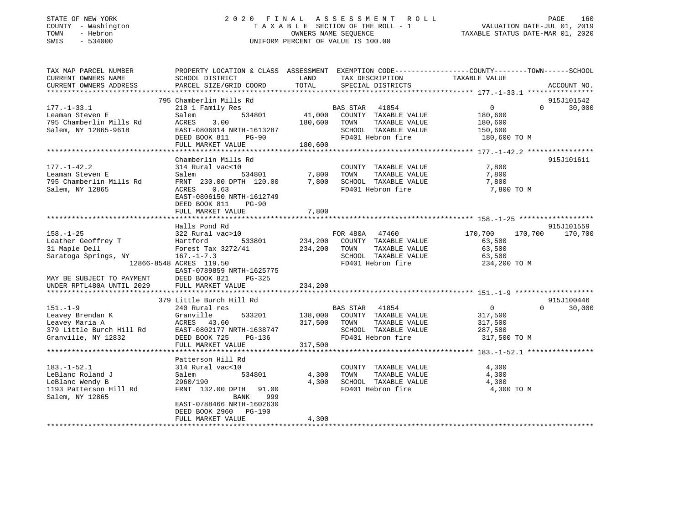### STATE OF NEW YORK 2 0 2 0 F I N A L A S S E S S M E N T R O L L PAGE 160 COUNTY - Washington T A X A B L E SECTION OF THE ROLL - 1 VALUATION DATE-JUL 01, 2019 TOWN - Hebron OWNERS NAME SEQUENCE TAXABLE STATUS DATE-MAR 01, 2020 SWIS - 534000 UNIFORM PERCENT OF VALUE IS 100.00

| TAX MAP PARCEL NUMBER                         | PROPERTY LOCATION & CLASS ASSESSMENT EXEMPTION CODE---------------COUNTY-------TOWN-----SCHOOL |               |                               |                |                    |
|-----------------------------------------------|------------------------------------------------------------------------------------------------|---------------|-------------------------------|----------------|--------------------|
| CURRENT OWNERS NAME<br>CURRENT OWNERS ADDRESS | SCHOOL DISTRICT                                                                                | LAND<br>TOTAL | TAX DESCRIPTION               | TAXABLE VALUE  | ACCOUNT NO.        |
|                                               | PARCEL SIZE/GRID COORD                                                                         |               | SPECIAL DISTRICTS             |                |                    |
|                                               | 795 Chamberlin Mills Rd                                                                        |               |                               |                | 915J101542         |
| $177. - 1 - 33.1$                             | 210 1 Family Res                                                                               |               | BAS STAR 41854                | $\overline{0}$ | 30,000<br>$\Omega$ |
| Leaman Steven E                               | 534801<br>Salem                                                                                |               | 41,000 COUNTY TAXABLE VALUE   | 180,600        |                    |
| 795 Chamberlin Mills Rd                       | ACRES<br>3.00                                                                                  |               | 180,600 TOWN<br>TAXABLE VALUE | 180,600        |                    |
| Salem, NY 12865-9618                          | EAST-0806014 NRTH-1613287                                                                      |               | SCHOOL TAXABLE VALUE          | 150,600        |                    |
|                                               | DEED BOOK 811<br>PG-90                                                                         |               | FD401 Hebron fire             | 180,600 TO M   |                    |
|                                               | FULL MARKET VALUE                                                                              | 180,600       |                               |                |                    |
|                                               |                                                                                                |               |                               |                |                    |
|                                               | Chamberlin Mills Rd                                                                            |               |                               |                | 915J101611         |
| $177. - 1 - 42.2$                             | 314 Rural vac<10                                                                               |               | COUNTY TAXABLE VALUE          | 7,800          |                    |
| Leaman Steven E                               | 534801<br>Salem                                                                                | 7,800         | TOWN<br>TAXABLE VALUE         | 7,800          |                    |
| 795 Chamberlin Mills Rd                       | FRNT 230.00 DPTH 120.00                                                                        |               | 7,800 SCHOOL TAXABLE VALUE    | 7,800          |                    |
| Salem, NY 12865                               | ACRES<br>0.63                                                                                  |               | FD401 Hebron fire             | 7,800 TO M     |                    |
|                                               | EAST-0806150 NRTH-1612749                                                                      |               |                               |                |                    |
|                                               | DEED BOOK 811<br>$PG-90$                                                                       |               |                               |                |                    |
|                                               | FULL MARKET VALUE                                                                              | 7,800         |                               |                |                    |
|                                               | Halls Pond Rd                                                                                  |               |                               |                | 915J101559         |
| $158. - 1 - 25$                               | 322 Rural vac>10                                                                               |               | FOR 480A 47460                | 170,700        | 170,700 170,700    |
| Leather Geoffrey T                            | Hartford<br>533801                                                                             |               | 234,200 COUNTY TAXABLE VALUE  | 63,500         |                    |
| 31 Maple Dell                                 | Forest Tax 3272/41                                                                             | 234,200 TOWN  | TAXABLE VALUE                 | 63,500         |                    |
| Saratoga Springs, NY                          | $167. - 1 - 7.3$                                                                               |               | SCHOOL TAXABLE VALUE          | 63,500         |                    |
|                                               | 12866-8548 ACRES 119.50                                                                        |               | FD401 Hebron fire             | 234,200 TO M   |                    |
|                                               | EAST-0789859 NRTH-1625775                                                                      |               |                               |                |                    |
| MAY BE SUBJECT TO PAYMENT                     | DEED BOOK 821<br>PG-325                                                                        |               |                               |                |                    |
| UNDER RPTL480A UNTIL 2029                     | FULL MARKET VALUE                                                                              | 234,200       |                               |                |                    |
|                                               |                                                                                                |               |                               |                |                    |
|                                               | 379 Little Burch Hill Rd                                                                       |               |                               |                | 915J100446         |
| $151. - 1 - 9$                                | 240 Rural res                                                                                  |               | BAS STAR 41854                | $\overline{0}$ | $\Omega$<br>30,000 |
| Leavey Brendan K                              | Granville<br>533201                                                                            |               | 138,000 COUNTY TAXABLE VALUE  | 317,500        |                    |
| Leavey Maria A                                | ACRES 43.60                                                                                    | 317,500       | TAXABLE VALUE<br>TOWN         | 317,500        |                    |
| 379 Little Burch Hill Rd                      | EAST-0802177 NRTH-1638747                                                                      |               | SCHOOL TAXABLE VALUE          | 287,500        |                    |
| Granville, NY 12832                           | DEED BOOK 725<br>PG-136                                                                        |               | FD401 Hebron fire             | 317,500 TO M   |                    |
|                                               | FULL MARKET VALUE                                                                              | 317,500       |                               |                |                    |
|                                               |                                                                                                |               |                               |                |                    |
| $183. - 1 - 52.1$                             | Patterson Hill Rd<br>314 Rural vac<10                                                          |               | COUNTY TAXABLE VALUE          | 4,300          |                    |
| LeBlanc Roland J                              | Salem<br>534801                                                                                | 4,300         | TOWN<br>TAXABLE VALUE         | 4,300          |                    |
| LeBlanc Wendy B                               | 2960/190                                                                                       | 4,300         | SCHOOL TAXABLE VALUE          | 4,300          |                    |
| 1193 Patterson Hill Rd                        | FRNT 132.00 DPTH 91.00                                                                         |               | FD401 Hebron fire             | 4,300 TO M     |                    |
| Salem, NY 12865                               | 999<br>BANK                                                                                    |               |                               |                |                    |
|                                               | EAST-0788466 NRTH-1602630                                                                      |               |                               |                |                    |
|                                               | DEED BOOK 2960 PG-190                                                                          |               |                               |                |                    |
|                                               | FULL MARKET VALUE                                                                              | 4,300         |                               |                |                    |
|                                               |                                                                                                |               |                               |                |                    |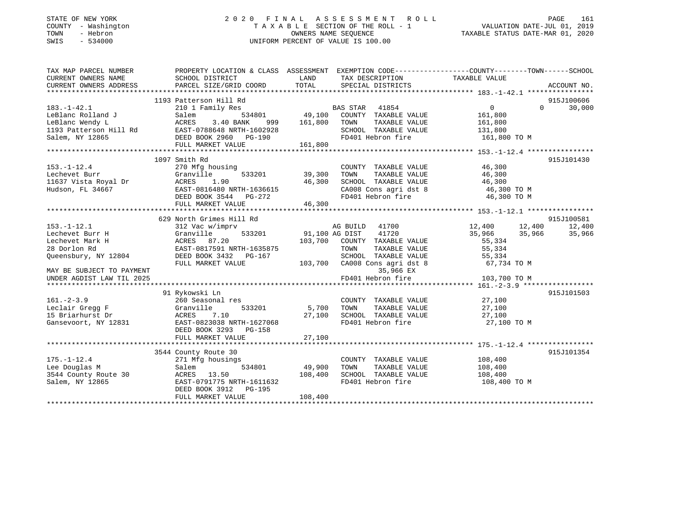### STATE OF NEW YORK 2 0 2 0 F I N A L A S S E S S M E N T R O L L PAGE 161COUNTY - Washington T A X A B L E SECTION OF THE ROLL - 1 VALUATION DATE-JUL 01, 2019 SWIS - 534000 UNIFORM PERCENT OF VALUE IS 100.00

VALUATION DATE-JUL 01, 2019

TAXABLE STATUS DATE-MAR 01, 2020

| TAX MAP PARCEL NUMBER                                                 |                                                                                                                                                                             |                  |                                                                    | PROPERTY LOCATION & CLASS ASSESSMENT EXEMPTION CODE----------------COUNTY-------TOWN------SCHOOL |                    |
|-----------------------------------------------------------------------|-----------------------------------------------------------------------------------------------------------------------------------------------------------------------------|------------------|--------------------------------------------------------------------|--------------------------------------------------------------------------------------------------|--------------------|
| CURRENT OWNERS NAME                                                   | SCHOOL DISTRICT                                                                                                                                                             | LAND             | TAX DESCRIPTION                                                    | TAXABLE VALUE                                                                                    |                    |
| CURRENT OWNERS ADDRESS                                                | PARCEL SIZE/GRID COORD                                                                                                                                                      | TOTAL            | SPECIAL DISTRICTS                                                  |                                                                                                  | ACCOUNT NO.        |
|                                                                       |                                                                                                                                                                             |                  |                                                                    |                                                                                                  |                    |
|                                                                       | 1193 Patterson Hill Rd                                                                                                                                                      |                  |                                                                    |                                                                                                  | 915J100606         |
| $183. - 1 - 42.1$                                                     | 210 1 Family Res                                                                                                                                                            |                  |                                                                    | $\overline{0}$                                                                                   | 30,000<br>$\Omega$ |
| LeBlanc Rolland J                                                     | Salem                                                                                                                                                                       |                  |                                                                    | 161,800                                                                                          |                    |
|                                                                       |                                                                                                                                                                             | 999 161,800 TOWN |                                                                    | TAXABLE VALUE 161,800                                                                            |                    |
|                                                                       |                                                                                                                                                                             |                  |                                                                    | SCHOOL TAXABLE VALUE 131,800<br>FD401 Hebron fire 161,800 TO M                                   |                    |
|                                                                       |                                                                                                                                                                             |                  |                                                                    |                                                                                                  |                    |
|                                                                       | EBBlanc Worldwide<br>LeBlanc Wendy L<br>LeBlanc Wendy L<br>193 Patterson Hill Rd<br>Salem, NY 12865<br>Salem, NY 12865<br>PULL MARKET VALUE<br>FULL MARKET VALUE<br>161,800 | 161,800          |                                                                    |                                                                                                  |                    |
|                                                                       |                                                                                                                                                                             |                  |                                                                    |                                                                                                  |                    |
|                                                                       | 1097 Smith Rd                                                                                                                                                               |                  |                                                                    |                                                                                                  | 915J101430         |
|                                                                       | 270 Mfg housing                                                                                                                                                             |                  | COUNTY TAXABLE VALUE 46,300                                        |                                                                                                  |                    |
|                                                                       | Granville                                                                                                                                                                   |                  | TOWN TAXABLE VALUE 46,300<br>SCHOOL TAXABLE VALUE 46,300           |                                                                                                  |                    |
|                                                                       | 1.90                                                                                                                                                                        | 46,300           |                                                                    |                                                                                                  |                    |
|                                                                       |                                                                                                                                                                             |                  |                                                                    | CA008 Cons agri dst 8 46,300 TO M                                                                |                    |
|                                                                       | EAST-0816480 NRTH-1636615<br>DEED BOOK 3544 PG-272                                                                                                                          |                  | FD401 Hebron fire                                                  | 46,300 TO M                                                                                      |                    |
| 270 M<br>270 M<br>11637 Vista Royal Dr<br>Hudson, FL 34667<br>EAST-08 | FULL MARKET VALUE                                                                                                                                                           | 46,300           |                                                                    |                                                                                                  |                    |
|                                                                       |                                                                                                                                                                             |                  |                                                                    |                                                                                                  |                    |
|                                                                       | 629 North Grimes Hill Rd<br>312 Vac w/imprv                                                                                                                                 |                  |                                                                    |                                                                                                  | 915J100581         |
| $153. - 1 - 12.1$                                                     |                                                                                                                                                                             |                  | AG BUILD 41700                                                     | 12,400 12,400 12,400                                                                             |                    |
| Lechevet Burr H                                                       | $\frac{91,100 \text{ AG DIST}}{102,700}$<br>Granville<br>ACRES 87.20                                                                                                        |                  | 41720                                                              | 35,966                                                                                           | 35,966 35,966      |
| Lechevet Mark H                                                       |                                                                                                                                                                             |                  | 103,700 COUNTY TAXABLE VALUE                                       | 55,334                                                                                           |                    |
| 28 Dorlon Rd                                                          |                                                                                                                                                                             |                  | TOWN                                                               | TAXABLE VALUE 55,334                                                                             |                    |
| Queensbury, NY 12804                                                  | EAST-0817591 NRTH-1635875<br>DEED BOOK 3432 PG-167<br>DEED BOOK 3432    PG-167                                                                                              |                  |                                                                    |                                                                                                  |                    |
|                                                                       |                                                                                                                                                                             |                  |                                                                    |                                                                                                  |                    |
| MAY BE SUBJECT TO PAYMENT                                             |                                                                                                                                                                             |                  |                                                                    |                                                                                                  |                    |
| UNDER AGDIST LAW TIL 2025                                             |                                                                                                                                                                             |                  | 35,966 EX<br>FD401 Hebron fire                                     | 103,700 TO M                                                                                     |                    |
|                                                                       |                                                                                                                                                                             |                  |                                                                    |                                                                                                  |                    |
|                                                                       | 91 Rykowski Ln                                                                                                                                                              |                  |                                                                    |                                                                                                  | 915J101503         |
|                                                                       | 260 Seasonal res                                                                                                                                                            |                  | COUNTY TAXABLE VALUE 27,100                                        |                                                                                                  |                    |
|                                                                       |                                                                                                                                                                             | 533201 5,700     | TOWN                                                               | TAXABLE VALUE 27,100                                                                             |                    |
| 101. 2-3.3<br>Leclair Gregg F (Granville 15 Briarhundt Dr.            |                                                                                                                                                                             | 27,100           |                                                                    |                                                                                                  |                    |
|                                                                       | 15 Briarhurst Dr                       ACRES     7.10<br>Gansevoort, NY 12831                 EAST-0823038 NRTH-1627068                                                     |                  | SCHOOL TAXABLE VALUE<br>FD401 Hebron fire                          | 27,100<br>27,100 TO M                                                                            |                    |
|                                                                       | DEED BOOK 3293 PG-158                                                                                                                                                       |                  |                                                                    |                                                                                                  |                    |
|                                                                       | FULL MARKET VALUE                                                                                                                                                           | 27,100           |                                                                    |                                                                                                  |                    |
|                                                                       |                                                                                                                                                                             |                  |                                                                    |                                                                                                  |                    |
|                                                                       | 3544 County Route 30                                                                                                                                                        |                  |                                                                    |                                                                                                  | 915J101354         |
| $175. - 1 - 12.4$                                                     | 271 Mfg housings                                                                                                                                                            |                  |                                                                    |                                                                                                  |                    |
| Lee Douglas M                                                         | Salem                                                                                                                                                                       | 534801 49,900    | COUNTY TAXABLE VALUE 108,400<br>TOWN TAXABLE VALUE 108,400<br>TOWN |                                                                                                  |                    |
|                                                                       | 3544 County Route 30 ACRES 13.50 108,400                                                                                                                                    |                  | SCHOOL TAXABLE VALUE 108,400                                       |                                                                                                  |                    |
| Salem, NY 12865                                                       | EAST-0791775 NRTH-1611632                                                                                                                                                   |                  | FD401 Hebron fire                                                  | 108,400 TO M                                                                                     |                    |
|                                                                       | DEED BOOK 3912 PG-195                                                                                                                                                       |                  |                                                                    |                                                                                                  |                    |
|                                                                       | FULL MARKET VALUE                                                                                                                                                           | 108,400          |                                                                    |                                                                                                  |                    |
|                                                                       |                                                                                                                                                                             |                  |                                                                    |                                                                                                  |                    |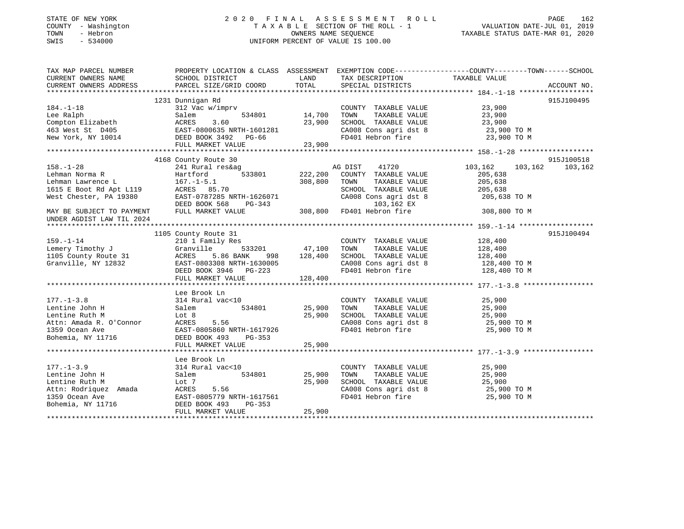### STATE OF NEW YORK 2 0 2 0 F I N A L A S S E S S M E N T R O L L PAGE 162 COUNTY - Washington T A X A B L E SECTION OF THE ROLL - 1 VALUATION DATE-JUL 01, 2019 TOWN - Hebron OWNERS NAME SEQUENCE TAXABLE STATUS DATE-MAR 01, 2020 SWIS - 534000 UNIFORM PERCENT OF VALUE IS 100.00

| TAX MAP PARCEL NUMBER        | PROPERTY LOCATION & CLASS ASSESSMENT EXEMPTION CODE---------------COUNTY-------TOWN-----SCHOOL                                                                                                                                                        |             |                                                                                               |                      |             |
|------------------------------|-------------------------------------------------------------------------------------------------------------------------------------------------------------------------------------------------------------------------------------------------------|-------------|-----------------------------------------------------------------------------------------------|----------------------|-------------|
| CURRENT OWNERS NAME          | SCHOOL DISTRICT                                                                                                                                                                                                                                       | <b>LAND</b> | TAX DESCRIPTION TAXABLE VALUE SPECIAL DISTRICTS                                               |                      |             |
| CURRENT OWNERS ADDRESS       | PARCEL SIZE/GRID COORD TOTAL                                                                                                                                                                                                                          |             |                                                                                               |                      | ACCOUNT NO. |
|                              |                                                                                                                                                                                                                                                       |             |                                                                                               |                      |             |
|                              | 1231 Dunnigan Rd                                                                                                                                                                                                                                      |             |                                                                                               |                      | 915J100495  |
| $184. - 1 - 18$              |                                                                                                                                                                                                                                                       |             | COUNTY TAXABLE VALUE 23,900                                                                   |                      |             |
|                              |                                                                                                                                                                                                                                                       |             |                                                                                               |                      |             |
|                              |                                                                                                                                                                                                                                                       |             |                                                                                               |                      |             |
|                              |                                                                                                                                                                                                                                                       |             |                                                                                               |                      |             |
|                              |                                                                                                                                                                                                                                                       |             |                                                                                               |                      |             |
|                              |                                                                                                                                                                                                                                                       |             |                                                                                               |                      |             |
|                              |                                                                                                                                                                                                                                                       |             |                                                                                               |                      |             |
|                              | 4168 County Route 30                                                                                                                                                                                                                                  |             |                                                                                               |                      | 915J100518  |
|                              |                                                                                                                                                                                                                                                       |             |                                                                                               | 103,162              | 103,162     |
|                              |                                                                                                                                                                                                                                                       |             |                                                                                               |                      |             |
|                              |                                                                                                                                                                                                                                                       |             |                                                                                               |                      |             |
|                              |                                                                                                                                                                                                                                                       |             |                                                                                               |                      |             |
|                              |                                                                                                                                                                                                                                                       |             |                                                                                               |                      |             |
|                              |                                                                                                                                                                                                                                                       |             |                                                                                               |                      |             |
|                              |                                                                                                                                                                                                                                                       |             |                                                                                               |                      |             |
|                              |                                                                                                                                                                                                                                                       |             |                                                                                               |                      |             |
|                              |                                                                                                                                                                                                                                                       |             |                                                                                               |                      |             |
|                              | 1105 County Route 31                                                                                                                                                                                                                                  |             |                                                                                               |                      | 915J100494  |
|                              |                                                                                                                                                                                                                                                       |             |                                                                                               |                      |             |
|                              |                                                                                                                                                                                                                                                       |             |                                                                                               |                      |             |
|                              |                                                                                                                                                                                                                                                       |             |                                                                                               |                      |             |
|                              |                                                                                                                                                                                                                                                       |             |                                                                                               |                      |             |
|                              |                                                                                                                                                                                                                                                       |             |                                                                                               |                      |             |
|                              |                                                                                                                                                                                                                                                       |             |                                                                                               |                      |             |
|                              |                                                                                                                                                                                                                                                       |             |                                                                                               |                      |             |
|                              |                                                                                                                                                                                                                                                       |             |                                                                                               |                      |             |
|                              | Lee Brook Ln<br>177.-1-3.8<br>Lentine John H 314 Rural vac<10<br>Lentine Ruth M Lot 8 25,900<br>Attn: Amada R. O'Connor ACRES 5.56<br>1359 Ocean Ave EAST-0805860 NRTH-1617926<br>Bohemia, NY 11716 DEED BOOK 493 PG-353<br>THIT, MADKET VALUE 25.900 |             |                                                                                               |                      |             |
|                              |                                                                                                                                                                                                                                                       |             |                                                                                               |                      |             |
|                              |                                                                                                                                                                                                                                                       |             | COUNTY TAXABLE VALUE $25,900$<br>TOWN TAXABLE VALUE $25,900$<br>SCHOOL TAXABLE VALUE $25,900$ |                      |             |
|                              |                                                                                                                                                                                                                                                       |             |                                                                                               |                      |             |
|                              |                                                                                                                                                                                                                                                       |             | SCHOOL TAXABLE VALUE 25,900<br>CA008 Cons agri dst 8 25,900 TO M                              |                      |             |
|                              |                                                                                                                                                                                                                                                       |             | FD401 Hebron fire                                                                             | 25,900 TO M          |             |
|                              |                                                                                                                                                                                                                                                       |             |                                                                                               |                      |             |
|                              | FULL MARKET VALUE 25,900                                                                                                                                                                                                                              |             |                                                                                               |                      |             |
|                              |                                                                                                                                                                                                                                                       |             |                                                                                               |                      |             |
|                              | Lee Brook Ln                                                                                                                                                                                                                                          |             |                                                                                               |                      |             |
| $177. - 1 - 3.9$             | 314 Rural vac<10                                                                                                                                                                                                                                      |             | COUNTY TAXABLE VALUE                                                                          | 25,900               |             |
| 177.-1-3.9<br>Lentine John H | ral vac<10<br>534801 25,900<br>Salem                                                                                                                                                                                                                  |             | TOWN                                                                                          | TAXABLE VALUE 25,900 |             |
|                              |                                                                                                                                                                                                                                                       |             | SCHOOL TAXABLE VALUE 25,900<br>CA008 Cons agri dst 8 25,900 TO M                              |                      |             |
|                              |                                                                                                                                                                                                                                                       |             |                                                                                               |                      |             |
|                              |                                                                                                                                                                                                                                                       |             | FD401 Hebron fire                                                                             | 25,900 TO M          |             |
|                              | Lentine Ruth M<br>Attn: Rodriquez Amada<br>1359 Ocean Ave EAST-0805779 NRTH-1617561<br>Bohemia, NY 11716<br>EAST-0805779 NRTH-1617561<br>EAST-0805779 NRTH-1617561<br>DEED BOOK 493<br>PG-353                                                         |             |                                                                                               |                      |             |
|                              | FULL MARKET VALUE                                                                                                                                                                                                                                     | 25,900      |                                                                                               |                      |             |
|                              |                                                                                                                                                                                                                                                       |             |                                                                                               |                      |             |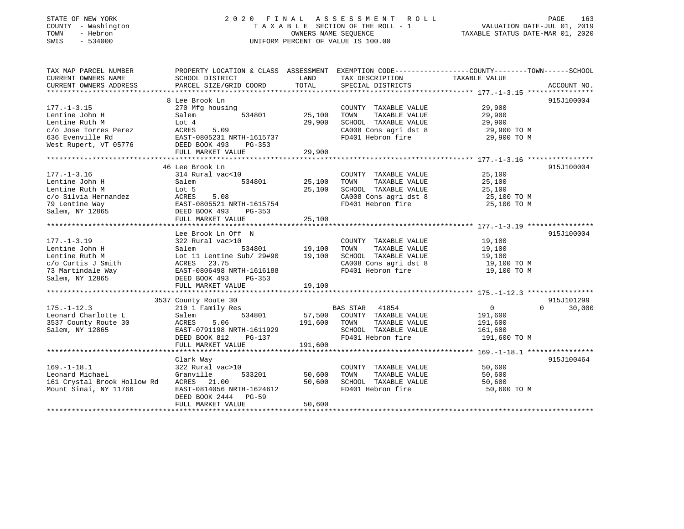### STATE OF NEW YORK 2 0 2 0 F I N A L A S S E S S M E N T R O L L PAGE 163 COUNTY - Washington T A X A B L E SECTION OF THE ROLL - 1 VALUATION DATE-JUL 01, 2019 TOWN - Hebron OWNERS NAME SEQUENCE TAXABLE STATUS DATE-MAR 01, 2020 SWIS - 534000 UNIFORM PERCENT OF VALUE IS 100.00

| TAX MAP PARCEL NUMBER                                                                                                                                                                                                         | PROPERTY LOCATION & CLASS ASSESSMENT EXEMPTION CODE---------------COUNTY-------TOWN-----SCHOOL |                                            |                                                                                                                                                                               |                            |                    |
|-------------------------------------------------------------------------------------------------------------------------------------------------------------------------------------------------------------------------------|------------------------------------------------------------------------------------------------|--------------------------------------------|-------------------------------------------------------------------------------------------------------------------------------------------------------------------------------|----------------------------|--------------------|
| CURRENT OWNERS NAME                                                                                                                                                                                                           | SCHOOL DISTRICT                                                                                | <b>EXAMPLE THE STATE OF STATE OF STATE</b> | TAX DESCRIPTION                                                                                                                                                               | TAXABLE VALUE              |                    |
| CURRENT OWNERS ADDRESS                                                                                                                                                                                                        | PARCEL SIZE/GRID COORD                                                                         | TOTAL                                      | SPECIAL DISTRICTS                                                                                                                                                             |                            | ACCOUNT NO.        |
|                                                                                                                                                                                                                               |                                                                                                |                                            |                                                                                                                                                                               |                            |                    |
|                                                                                                                                                                                                                               | 8 Lee Brook Ln                                                                                 |                                            |                                                                                                                                                                               |                            | 915J100004         |
| $177. - 1 - 3.15$                                                                                                                                                                                                             | 9 nousing<br>534801 25.10<br>270 Mfg housing                                                   |                                            | COUNTY TAXABLE VALUE<br>TOWN TAXABLE VALUE 29,900                                                                                                                             |                            |                    |
| Lentine John H                                                                                                                                                                                                                | Salem                                                                                          | 25,100                                     |                                                                                                                                                                               |                            |                    |
|                                                                                                                                                                                                                               |                                                                                                | 29,900                                     |                                                                                                                                                                               |                            |                    |
| Lentine Ruth M<br>c/o Jose Torres Perez ACRES 5.09<br>636 Evenville Rd EAST-0805231 NRTH-1615737                                                                                                                              |                                                                                                |                                            | $\begin{array}{llll}\n\text{CA008} & \text{Cons}\n\text{ a grid dist 8} & \text{29,900 TO M} \\ \text{FD401} & \text{Hebron}\n\text{ fire} & \text{29,900 TO M}\n\end{array}$ |                            |                    |
|                                                                                                                                                                                                                               |                                                                                                |                                            |                                                                                                                                                                               |                            |                    |
| West Rupert, VT 05776 DEED BOOK 493                                                                                                                                                                                           | PG-353                                                                                         |                                            |                                                                                                                                                                               |                            |                    |
|                                                                                                                                                                                                                               |                                                                                                |                                            |                                                                                                                                                                               |                            |                    |
|                                                                                                                                                                                                                               |                                                                                                |                                            |                                                                                                                                                                               |                            |                    |
|                                                                                                                                                                                                                               | 46 Lee Brook Ln                                                                                |                                            |                                                                                                                                                                               |                            | 915J100004         |
|                                                                                                                                                                                                                               | 314 Rural vac<10                                                                               |                                            | COUNTY TAXABLE VALUE                                                                                                                                                          | 25,100                     |                    |
| 177.-1-3.10<br>Lentine John H<br>$^{Duth}$ M                                                                                                                                                                                  | 534801 25,100<br>Salem                                                                         |                                            | TOWN      TAXABLE VALUE<br>SCHOOL   TAXABLE VALUE                                                                                                                             | 25,100<br>25,⊥∪∪<br>25,100 |                    |
|                                                                                                                                                                                                                               | Lot 5                                                                                          | 25,100                                     |                                                                                                                                                                               |                            |                    |
|                                                                                                                                                                                                                               |                                                                                                |                                            | CA008 Cons agri dst 8 25,100 TO M                                                                                                                                             |                            |                    |
|                                                                                                                                                                                                                               |                                                                                                |                                            | FD401 Hebron fire                                                                                                                                                             | 25,100 TO M                |                    |
|                                                                                                                                                                                                                               |                                                                                                |                                            |                                                                                                                                                                               |                            |                    |
|                                                                                                                                                                                                                               | FULL MARKET VALUE 25,100                                                                       |                                            |                                                                                                                                                                               |                            |                    |
|                                                                                                                                                                                                                               |                                                                                                |                                            |                                                                                                                                                                               |                            |                    |
|                                                                                                                                                                                                                               | Lee Brook Ln Off N                                                                             |                                            |                                                                                                                                                                               |                            | 915J100004         |
| $177. - 1 - 3.19$                                                                                                                                                                                                             | 322 Rural vac>10                                                                               |                                            | COUNTY TAXABLE VALUE 19,100                                                                                                                                                   |                            |                    |
|                                                                                                                                                                                                                               |                                                                                                | 0<br>534801 19,100                         |                                                                                                                                                                               |                            |                    |
| 177.-1-3.19<br>Lentine John H Salem 534801 19,100 TOWN TAXABLE VALUE 19,100<br>Lentine Ruth M Lot 11 Lentine Sub/29#90 19,100 SCHOOL TAXABLE VALUE 19,100<br>c/o Curtis J Smith ACRES 23.75 CA008 Cons agri dst 8 19,100 TO M |                                                                                                |                                            |                                                                                                                                                                               |                            |                    |
|                                                                                                                                                                                                                               |                                                                                                |                                            |                                                                                                                                                                               |                            |                    |
|                                                                                                                                                                                                                               |                                                                                                |                                            | FD401 Hebron fire                                                                                                                                                             | 19,100 TO M                |                    |
|                                                                                                                                                                                                                               |                                                                                                |                                            |                                                                                                                                                                               |                            |                    |
|                                                                                                                                                                                                                               | FULL MARKET VALUE                                                                              | 19,100                                     |                                                                                                                                                                               |                            |                    |
|                                                                                                                                                                                                                               |                                                                                                |                                            |                                                                                                                                                                               |                            |                    |
|                                                                                                                                                                                                                               | 3537 County Route 30                                                                           |                                            |                                                                                                                                                                               |                            | 915J101299         |
| $175. - 1 - 12.3$                                                                                                                                                                                                             | 210 1 Family Res                                                                               |                                            | BAS STAR 41854<br>57,500 COUNTY TAXABLE VALUE                                                                                                                                 | $\overline{0}$             | $\Omega$<br>30,000 |
| Leonard Charlotte L                                                                                                                                                                                                           | 534801<br>Salem                                                                                |                                            |                                                                                                                                                                               | 191,600                    |                    |
| 3537 County Route 30                                                                                                                                                                                                          | 5.06<br>ACRES                                                                                  | 191,600 TOWN                               |                                                                                                                                                                               | TAXABLE VALUE 191,600      |                    |
| Salem, NY 12865                                                                                                                                                                                                               | EAST-0791198 NRTH-1611929                                                                      |                                            |                                                                                                                                                                               | 161,600                    |                    |
|                                                                                                                                                                                                                               | EAST-0791198 NRTH-1611929<br>DEED BOOK 812 PG-137                                              |                                            | SCHOOL TAXABLE VALUE<br>FD401 Hebron fire                                                                                                                                     | 191,600 TO M               |                    |
|                                                                                                                                                                                                                               | FULL MARKET VALUE                                                                              | 191,600                                    |                                                                                                                                                                               |                            |                    |
|                                                                                                                                                                                                                               |                                                                                                |                                            |                                                                                                                                                                               |                            |                    |
|                                                                                                                                                                                                                               | Clark Way                                                                                      |                                            |                                                                                                                                                                               |                            | 915J100464         |
| $169. - 1 - 18.1$                                                                                                                                                                                                             | 322 Rural vac>10                                                                               |                                            |                                                                                                                                                                               | 50,600                     |                    |
| Leonard Michael                                                                                                                                                                                                               | 533201<br>Granville                                                                            | 50,600                                     | COUNTY TAXABLE VALUE<br>TOWN TAXABLE VALUE<br>TOWN                                                                                                                            | 50,600                     |                    |
| 161 Crystal Brook Hollow Rd                                                                                                                                                                                                   | ACRES 21.00                                                                                    | 50,600                                     | SCHOOL TAXABLE VALUE                                                                                                                                                          | 50,600                     |                    |
| Mount Sinai, NY 11766                                                                                                                                                                                                         | EAST-0814056 NRTH-1624612                                                                      |                                            | FD401 Hebron fire                                                                                                                                                             | 50,600 TO M                |                    |
|                                                                                                                                                                                                                               | DEED BOOK 2444 PG-59                                                                           |                                            |                                                                                                                                                                               |                            |                    |
|                                                                                                                                                                                                                               | FULL MARKET VALUE                                                                              | 50,600                                     |                                                                                                                                                                               |                            |                    |
|                                                                                                                                                                                                                               |                                                                                                |                                            |                                                                                                                                                                               |                            |                    |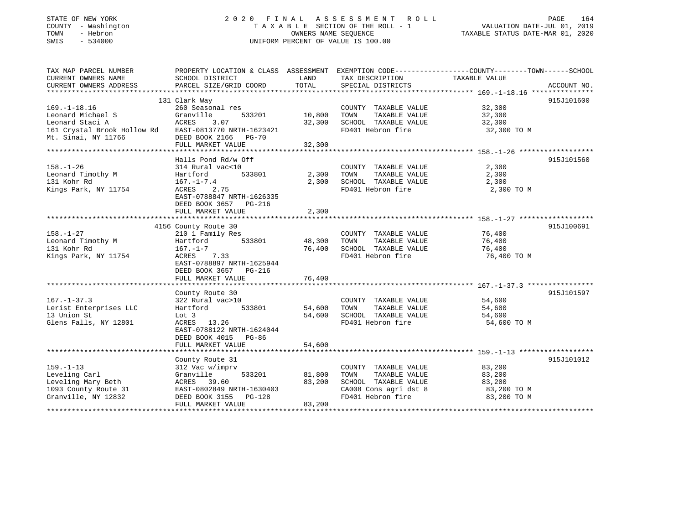| STATE OF NEW YORK |            |              |
|-------------------|------------|--------------|
| COUNTY            |            | - Washington |
| TOWN              | - Hebron   |              |
| CM <sub>T</sub> C | $-$ 534000 |              |

### STATE OF NEW YORK 2 0 2 0 F I N A L A S S E S S M E N T R O L L PAGE 164n 1992 T A X A B L E SECTION OF THE ROLL - 1 (VALUATION DATE-JUL 01, 2019<br>OWNERS NAME SEQUENCE (TAXABLE STATUS DATE-MAR 01, 2020 SWIS - 534000 UNIFORM PERCENT OF VALUE IS 100.00

|                             | PAGE | 164 |
|-----------------------------|------|-----|
| VALUATION DATE-JUL 01, 2019 |      |     |

TAXABLE STATUS DATE-MAR 01, 2020

| TAX MAP PARCEL NUMBER                                              | PROPERTY LOCATION & CLASS ASSESSMENT EXEMPTION CODE---------------COUNTY-------TOWN------SCHOOL |        |                                                |               |             |
|--------------------------------------------------------------------|-------------------------------------------------------------------------------------------------|--------|------------------------------------------------|---------------|-------------|
| CURRENT OWNERS NAME                                                | SCHOOL DISTRICT                                                                                 | LAND   | TAX DESCRIPTION                                | TAXABLE VALUE |             |
| CURRENT OWNERS ADDRESS                                             | PARCEL SIZE/GRID COORD                                                                          | TOTAL  | SPECIAL DISTRICTS                              |               | ACCOUNT NO. |
|                                                                    |                                                                                                 |        |                                                |               |             |
| $169. - 1 - 18.16$                                                 | 131 Clark Way                                                                                   |        | COUNTY TAXABLE VALUE 32,300                    |               | 915J101600  |
|                                                                    | 260 Seasonal res                                                                                |        |                                                |               |             |
| Leonard Michael S                                                  | Granville<br>533201                                                                             | 10,800 | TOWN<br>TAXABLE VALUE                          | 32,300        |             |
| Leonard Staci A                                                    | 3.07<br>ACRES                                                                                   | 32,300 | SCHOOL TAXABLE VALUE                           | 32,300        |             |
| 161 Crystal Brook Hollow Rd EAST-0813770 NRTH-1623421              |                                                                                                 |        | FD401 Hebron fire                              | 32,300 TO M   |             |
| Mt. Sinai, NY 11766                                                | DEED BOOK 2166 PG-70                                                                            |        |                                                |               |             |
|                                                                    |                                                                                                 |        |                                                |               |             |
|                                                                    |                                                                                                 |        |                                                |               |             |
|                                                                    | Halls Pond Rd/w Off                                                                             |        |                                                |               | 915J101560  |
| $158. - 1 - 26$                                                    | 314 Rural vac<10                                                                                |        | COUNTY TAXABLE VALUE                           | 2,300         |             |
| Leonard Timothy M                                                  | 533801<br>Hartford                                                                              | 2,300  | TOWN<br>TAXABLE VALUE                          | 2,300         |             |
| 131 Kohr Rd                                                        | $167. - 1 - 7.4$                                                                                | 2,300  | SCHOOL TAXABLE VALUE                           | 2,300         |             |
| Kings Park, NY 11754                                               | ACRES<br>2.75                                                                                   |        | FD401 Hebron fire                              | 2,300 TO M    |             |
|                                                                    | EAST-0788847 NRTH-1626335                                                                       |        |                                                |               |             |
|                                                                    | DEED BOOK 3657 PG-216                                                                           |        |                                                |               |             |
|                                                                    | FULL MARKET VALUE                                                                               | 2,300  |                                                |               |             |
|                                                                    |                                                                                                 |        |                                                |               |             |
|                                                                    | 4156 County Route 30                                                                            |        |                                                |               | 915J100691  |
| $158. - 1 - 27$                                                    | 210 1 Family Res                                                                                |        | COUNTY TAXABLE VALUE                           | 76,400        |             |
| Leonard Timothy M                                                  | 533801<br>Hartford                                                                              | 48,300 | TAXABLE VALUE<br>TOWN                          | 76,400        |             |
| 131 Kohr Rd                                                        | $167. - 1 - 7$                                                                                  | 76,400 | SCHOOL TAXABLE VALUE                           | 76,400        |             |
| Kings Park, NY 11754                                               |                                                                                                 |        | FD401 Hebron fire                              |               |             |
|                                                                    | ACRES 7.33                                                                                      |        |                                                | 76,400 TO M   |             |
|                                                                    | EAST-0788897 NRTH-1625944                                                                       |        |                                                |               |             |
|                                                                    | DEED BOOK 3657 PG-216                                                                           |        |                                                |               |             |
|                                                                    | FULL MARKET VALUE                                                                               | 76,400 |                                                |               |             |
|                                                                    |                                                                                                 |        |                                                |               |             |
|                                                                    | County Route 30                                                                                 |        |                                                |               | 915J101597  |
| $167. - 1 - 37.3$                                                  | 322 Rural vac>10                                                                                |        | COUNTY TAXABLE VALUE 54,600                    |               |             |
| Lerist Enterprises LLC                                             | Hartford 533801                                                                                 | 54,600 | TAXABLE VALUE<br>TOWN                          | 54,600        |             |
| 13 Union St                                                        | Lot 3                                                                                           | 54,600 | SCHOOL TAXABLE VALUE                           | 54,600        |             |
| Glens Falls, NY 12801                                              | ACRES 13.26                                                                                     |        | FD401 Hebron fire                              | 54,600 TO M   |             |
|                                                                    | EAST-0788122 NRTH-1624044                                                                       |        |                                                |               |             |
|                                                                    | DEED BOOK 4015 PG-86                                                                            |        |                                                |               |             |
|                                                                    | FULL MARKET VALUE                                                                               | 54,600 |                                                |               |             |
|                                                                    |                                                                                                 |        |                                                |               |             |
|                                                                    | County Route 31                                                                                 |        |                                                |               | 915J101012  |
| $159. - 1 - 13$                                                    | 312 Vac w/imprv                                                                                 |        | COUNTY TAXABLE VALUE                           | 83,200        |             |
| Leveling Carl                                                      | 533201<br>Granville                                                                             | 81,800 | TOWN<br>TAXABLE VALUE                          | 83,200        |             |
|                                                                    | ACRES 39.60                                                                                     | 83,200 | SCHOOL TAXABLE VALUE                           | 83,200        |             |
| Leveling Mary Beth<br>1002 County Route 31<br>1093 County Route 31 | EAST-0802849 NRTH-1630403                                                                       |        | CA008 Cons agri dst 8<br>CA008 Cons agri dst 8 | 83,200 TO M   |             |
| Granville, NY 12832                                                | DEED BOOK 3155 PG-128                                                                           |        | FD401 Hebron fire                              | 83,200 TO M   |             |
|                                                                    | FULL MARKET VALUE                                                                               | 83,200 |                                                |               |             |
|                                                                    |                                                                                                 |        |                                                |               |             |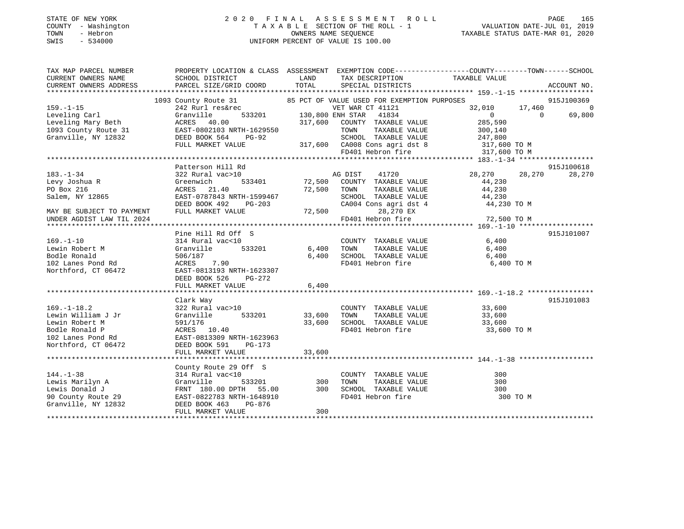### STATE OF NEW YORK 2 0 2 0 F I N A L A S S E S S M E N T R O L L PAGE 165 COUNTY - Washington T A X A B L E SECTION OF THE ROLL - 1 VALUATION DATE-JUL 01, 2019 TOWN - Hebron OWNERS NAME SEQUENCE TAXABLE STATUS DATE-MAR 01, 2020 SWIS - 534000 UNIFORM PERCENT OF VALUE IS 100.00

| TAX MAP PARCEL NUMBER                     | PROPERTY LOCATION & CLASS ASSESSMENT EXEMPTION CODE---------------COUNTY-------TOWN------SCHOOL                                                                                           |                         |                                                                                                              |                                                                                               |                    |
|-------------------------------------------|-------------------------------------------------------------------------------------------------------------------------------------------------------------------------------------------|-------------------------|--------------------------------------------------------------------------------------------------------------|-----------------------------------------------------------------------------------------------|--------------------|
| CURRENT OWNERS NAME                       | SCHOOL DISTRICT                                                                                                                                                                           | LAND                    | TAX DESCRIPTION                                                                                              | TAXABLE VALUE                                                                                 |                    |
| CURRENT OWNERS ADDRESS                    | PARCEL SIZE/GRID COORD                                                                                                                                                                    | TOTAL                   | SPECIAL DISTRICTS                                                                                            |                                                                                               | ACCOUNT NO.        |
|                                           |                                                                                                                                                                                           |                         |                                                                                                              |                                                                                               |                    |
|                                           | 1093 County Route 31                                                                                                                                                                      |                         | 85 PCT OF VALUE USED FOR EXEMPTION PURPOSES<br>VET WAR CT 41121                                              |                                                                                               | 915J100369         |
| $159. - 1 - 15$                           | 242 Rurl res&rec                                                                                                                                                                          |                         | VET WAR CT 41121                                                                                             | 32,010<br>17,460                                                                              | $\overline{0}$     |
|                                           |                                                                                                                                                                                           | 533201 130,800 ENH STAR |                                                                                                              | $\overline{0}$                                                                                | 69,800<br>$\Omega$ |
|                                           |                                                                                                                                                                                           |                         |                                                                                                              | 285,590                                                                                       |                    |
|                                           | Leveling Carl Granville 533201 130,800 ENH STAR 41834<br>Leveling Mary Beth ACRES 40.00 317,600 COUNTY TAXABLE VALUE<br>1093 County Route 31 EAST-0802103 NRTH-1629550 TOWN TAXABLE VALUE |                         |                                                                                                              | 300,140                                                                                       |                    |
| Granville, NY 12832                       | DEED BOOK 564<br>PG-92                                                                                                                                                                    |                         |                                                                                                              |                                                                                               |                    |
|                                           | FULL MARKET VALUE                                                                                                                                                                         |                         |                                                                                                              |                                                                                               |                    |
|                                           |                                                                                                                                                                                           |                         | SCHOOL TAXABLE VALUE 247,800<br>317,600 CA008 Cons agri dst 8 317,600 TO M<br>FD401 Hebron fire 317,600 TO M |                                                                                               |                    |
|                                           |                                                                                                                                                                                           |                         |                                                                                                              |                                                                                               |                    |
|                                           | Patterson Hill Rd                                                                                                                                                                         |                         |                                                                                                              |                                                                                               | 915J100618         |
| $183. - 1 - 34$                           | 322 Rural vac>10                                                                                                                                                                          |                         | AG DIST 41720                                                                                                | 28,270 28,270                                                                                 | 28,270             |
| Levy Joshua R                             | 533401<br>Greenwich                                                                                                                                                                       |                         | 72,500 COUNTY TAXABLE VALUE                                                                                  | 44,230                                                                                        |                    |
| PO Box 216                                | ACRES 21.40                                                                                                                                                                               | 72,500 TOWN<br>SCHOC    | TAXABLE VALUE                                                                                                | 44,230                                                                                        |                    |
| Salem, NY 12865                           | EAST-0787843 NRTH-1599467                                                                                                                                                                 |                         |                                                                                                              | TOWN TAXABLE VALUE 44,230<br>SCHOOL TAXABLE VALUE 44,230<br>CA004 Cons agri dst 4 44,230 TO M |                    |
|                                           | DEED BOOK 492<br>PG-203                                                                                                                                                                   |                         |                                                                                                              |                                                                                               |                    |
| MAY BE SUBJECT TO PAYMENT                 | FULL MARKET VALUE                                                                                                                                                                         | $72,500$ FD401 He       | 28,270 EX                                                                                                    |                                                                                               |                    |
| UNDER AGDIST LAW TIL 2024                 |                                                                                                                                                                                           |                         | FD401 Hebron fire                                                                                            | 72,500 TO M                                                                                   |                    |
|                                           |                                                                                                                                                                                           |                         |                                                                                                              |                                                                                               |                    |
|                                           | Pine Hill Rd Off S                                                                                                                                                                        |                         |                                                                                                              |                                                                                               | 915J101007         |
| $169. - 1 - 10$                           | 314 Rural vac<10                                                                                                                                                                          |                         | COUNTY TAXABLE VALUE                                                                                         | 6,400                                                                                         |                    |
| Lewin Robert M                            | 533201<br>Granville                                                                                                                                                                       | 6,400 TOWN              | TAXABLE VALUE<br>TAXABLE VALUE                                                                               | 6,400                                                                                         |                    |
| Bodle Ronald                              | 506/187                                                                                                                                                                                   | 6,400                   | SCHOOL TAXABLE VALUE                                                                                         | 6,400                                                                                         |                    |
| 102 Lanes Pond Rd                         | ACRES 7.90                                                                                                                                                                                |                         | FD401 Hebron fire                                                                                            | 6,400 TO M                                                                                    |                    |
| Northford, CT 06472                       | EAST-0813193 NRTH-1623307                                                                                                                                                                 |                         |                                                                                                              |                                                                                               |                    |
|                                           | DEED BOOK 526<br>PG-272                                                                                                                                                                   |                         |                                                                                                              |                                                                                               |                    |
|                                           | FULL MARKET VALUE                                                                                                                                                                         | 6,400                   |                                                                                                              |                                                                                               |                    |
|                                           |                                                                                                                                                                                           |                         |                                                                                                              |                                                                                               |                    |
|                                           | Clark Way                                                                                                                                                                                 |                         |                                                                                                              |                                                                                               | 915J101083         |
| $169. - 1 - 18.2$                         | 322 Rural vac>10                                                                                                                                                                          |                         | COUNTY TAXABLE VALUE                                                                                         |                                                                                               |                    |
| Lewin William J Jr                        | Granville<br>533201                                                                                                                                                                       | 33,600                  | TAXABLE VALUE<br>TOWN                                                                                        | $33,600$<br>$33.600$<br>33,600                                                                |                    |
| Lewin Robert M                            | 591/176                                                                                                                                                                                   | 33,600                  | SCHOOL TAXABLE VALUE                                                                                         | 33,600                                                                                        |                    |
| Bodle Ronald P                            | ACRES 10.40                                                                                                                                                                               |                         | FD401 Hebron fire                                                                                            | 33,600 TO M                                                                                   |                    |
| 102 Lanes Pond Rd                         | EAST-0813309 NRTH-1623963                                                                                                                                                                 |                         |                                                                                                              |                                                                                               |                    |
| Northford, CT 06472                       | DEED BOOK 591<br>PG-173                                                                                                                                                                   |                         |                                                                                                              |                                                                                               |                    |
|                                           | FULL MARKET VALUE                                                                                                                                                                         | 33,600                  |                                                                                                              |                                                                                               |                    |
|                                           |                                                                                                                                                                                           |                         |                                                                                                              |                                                                                               |                    |
|                                           | County Route 29 Off S                                                                                                                                                                     |                         |                                                                                                              |                                                                                               |                    |
| $144. - 1 - 38$                           | 314 Rural vac<10                                                                                                                                                                          |                         | COUNTY TAXABLE VALUE                                                                                         | 300                                                                                           |                    |
| Lewis Marilyn A                           | Granville<br>533201                                                                                                                                                                       | 300                     | TOWN<br>TAXABLE VALUE                                                                                        | 300                                                                                           |                    |
| Lewis Donald J                            | FRNT 180.00 DPTH<br>55.00                                                                                                                                                                 | 300                     | SCHOOL TAXABLE VALUE                                                                                         | 300                                                                                           |                    |
|                                           | EAST-0822783 NRTH-1648910                                                                                                                                                                 |                         | FD401 Hebron fire                                                                                            | 300 TO M                                                                                      |                    |
| 90 County Route 29<br>Granville, NY 12832 | DEED BOOK 463<br>PG-876                                                                                                                                                                   |                         |                                                                                                              |                                                                                               |                    |
|                                           | FULL MARKET VALUE                                                                                                                                                                         | 300                     |                                                                                                              |                                                                                               |                    |
|                                           |                                                                                                                                                                                           |                         |                                                                                                              |                                                                                               |                    |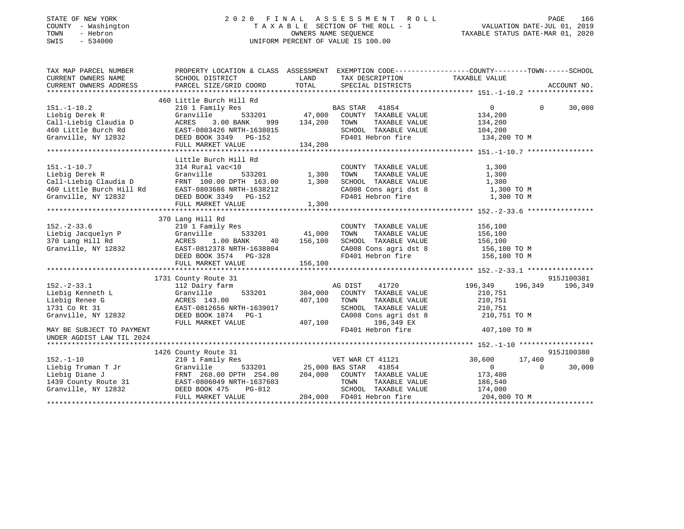### STATE OF NEW YORK 2 0 2 0 F I N A L A S S E S S M E N T R O L L PAGE 166 COUNTY - Washington T A X A B L E SECTION OF THE ROLL - 1 VALUATION DATE-JUL 01, 2019 TOWN - Hebron OWNERS NAME SEQUENCE TAXABLE STATUS DATE-MAR 01, 2020 SWIS - 534000 UNIFORM PERCENT OF VALUE IS 100.00

| TAX MAP PARCEL NUMBER                                                                                                                                                                                                                                                | PROPERTY LOCATION & CLASS ASSESSMENT EXEMPTION CODE-----------------COUNTY-------TOWN------SCHOOL                         |                                                                                           |                               |                |
|----------------------------------------------------------------------------------------------------------------------------------------------------------------------------------------------------------------------------------------------------------------------|---------------------------------------------------------------------------------------------------------------------------|-------------------------------------------------------------------------------------------|-------------------------------|----------------|
| CURRENT OWNERS NAME                                                                                                                                                                                                                                                  |                                                                                                                           |                                                                                           |                               |                |
|                                                                                                                                                                                                                                                                      |                                                                                                                           |                                                                                           |                               |                |
| 151.-1-10.2<br>460 Little Burch Hill Rd<br>210 1 Family Res<br>210 1 Family Res<br>210 1 Family Res<br>533201<br>47,000 COUNTY TAXABLE VALUE<br>214,200<br>210 I Family Res<br>533201<br>47,000 COUNTY TAXABLE VALUE<br>214,200<br>214,200<br>200 TOWN T             |                                                                                                                           |                                                                                           |                               |                |
|                                                                                                                                                                                                                                                                      |                                                                                                                           |                                                                                           | $\overline{0}$                | $0 \t 30,000$  |
|                                                                                                                                                                                                                                                                      |                                                                                                                           |                                                                                           |                               |                |
|                                                                                                                                                                                                                                                                      |                                                                                                                           |                                                                                           |                               |                |
|                                                                                                                                                                                                                                                                      |                                                                                                                           |                                                                                           |                               |                |
|                                                                                                                                                                                                                                                                      |                                                                                                                           |                                                                                           |                               |                |
|                                                                                                                                                                                                                                                                      |                                                                                                                           |                                                                                           |                               |                |
|                                                                                                                                                                                                                                                                      |                                                                                                                           |                                                                                           |                               |                |
|                                                                                                                                                                                                                                                                      | Little Burch Hill Rd                                                                                                      |                                                                                           |                               |                |
|                                                                                                                                                                                                                                                                      |                                                                                                                           |                                                                                           |                               |                |
|                                                                                                                                                                                                                                                                      |                                                                                                                           |                                                                                           |                               |                |
|                                                                                                                                                                                                                                                                      |                                                                                                                           |                                                                                           |                               |                |
|                                                                                                                                                                                                                                                                      |                                                                                                                           |                                                                                           |                               |                |
|                                                                                                                                                                                                                                                                      |                                                                                                                           |                                                                                           |                               |                |
| 151.-1-10.7<br>Lichigherek R<br>Call-Liebig Claudia D<br>Text Granville 533201<br>Call-Liebig Claudia D<br>FRNT 100.00 DPTH 163.00<br>TOWN TAXABLE VALUE 1,300<br>CALL TAXABLE VALUE 1,300<br>CAO08 Cons agridst 8<br>CAO08 Cons agridst 8<br>CAO0                   |                                                                                                                           |                                                                                           |                               |                |
|                                                                                                                                                                                                                                                                      |                                                                                                                           |                                                                                           |                               |                |
|                                                                                                                                                                                                                                                                      | 370 Lang Hill Rd<br>Lang Hill Rd<br>210 1 Family Res<br>Granville 533201 41,000 TOWN<br>ACRES 1.00 BANK 40 156,100 SCROOL |                                                                                           |                               |                |
|                                                                                                                                                                                                                                                                      |                                                                                                                           | COUNTY TAXABLE VALUE 156,100                                                              |                               |                |
|                                                                                                                                                                                                                                                                      |                                                                                                                           |                                                                                           |                               |                |
|                                                                                                                                                                                                                                                                      |                                                                                                                           | TOWN TAXABLE VALUE 156,100<br>SCHOOL TAXABLE VALUE 156,100                                |                               |                |
|                                                                                                                                                                                                                                                                      |                                                                                                                           | CA008 Cons agri dst 8<br>FD401 Hebron fire 156,100 TO M<br>FD401 Hebron fire 156,100 TO M |                               |                |
|                                                                                                                                                                                                                                                                      |                                                                                                                           | FD401 Hebron fire                                                                         |                               |                |
| 152.-2-33.6<br>Liebig Jacquelyn P Granville 533201 41,000<br>370 Lang Hill Rd ACRES 1.00 BANK 40 156,100<br>Granville, NY 12832<br>BEED BOOK 3574 PG-328<br>PEED BOOK 3574 PG-328<br>PEED BOOK 3574 PG-328<br>PEED BOOK 3574 PG-328                                  |                                                                                                                           |                                                                                           |                               |                |
|                                                                                                                                                                                                                                                                      |                                                                                                                           |                                                                                           |                               |                |
|                                                                                                                                                                                                                                                                      | 1731 County Route 31                                                                                                      |                                                                                           |                               | 915J100381     |
|                                                                                                                                                                                                                                                                      |                                                                                                                           |                                                                                           | 41720 196,349 196,349 196,349 |                |
|                                                                                                                                                                                                                                                                      |                                                                                                                           |                                                                                           |                               |                |
|                                                                                                                                                                                                                                                                      |                                                                                                                           |                                                                                           |                               |                |
|                                                                                                                                                                                                                                                                      |                                                                                                                           |                                                                                           |                               |                |
| 1731 County Route 31<br>1731 County Route 31<br>1732 County farm<br>1732 County farm<br>196,349<br>196,349<br>196,349<br>196,349<br>196,349<br>196,349<br>196,349<br>196,349<br>196,349<br>196,349<br>196,349<br>196,349<br>196,349<br>210,751<br>210,751<br>210,751 |                                                                                                                           | CA008 Cons agri dst 8 210,751 TO M                                                        |                               |                |
|                                                                                                                                                                                                                                                                      |                                                                                                                           | FD401 Hebron fire 407,100 TO M                                                            |                               |                |
| MAY BE SUBJECT TO PAYMENT<br>UNDER AGDIST LAW TIL 2024                                                                                                                                                                                                               |                                                                                                                           |                                                                                           |                               |                |
|                                                                                                                                                                                                                                                                      |                                                                                                                           |                                                                                           |                               |                |
|                                                                                                                                                                                                                                                                      |                                                                                                                           |                                                                                           |                               | 915J100380     |
|                                                                                                                                                                                                                                                                      |                                                                                                                           | VET WAR CT 41121 30,600 17,460<br>25,000 BAS STAR 41854 10 0 0 30                         |                               | $\overline{0}$ |
|                                                                                                                                                                                                                                                                      |                                                                                                                           |                                                                                           |                               | 30,000         |
|                                                                                                                                                                                                                                                                      |                                                                                                                           |                                                                                           |                               |                |
|                                                                                                                                                                                                                                                                      |                                                                                                                           |                                                                                           |                               |                |
|                                                                                                                                                                                                                                                                      |                                                                                                                           |                                                                                           |                               |                |
| 1426 County Route 31<br>152.-1-10 210 1 Family Res<br>Liebig Truman T Jr Granville 533201 25,000 BAS STAR 41854<br>Liebig Diane J FRNT 268.00 DPTH 254.00 204,000 COUNTY TAXABLE VALUE 173,400<br>1439 County Route 31 EAST-0806049 NR                               |                                                                                                                           |                                                                                           |                               |                |
|                                                                                                                                                                                                                                                                      |                                                                                                                           |                                                                                           |                               |                |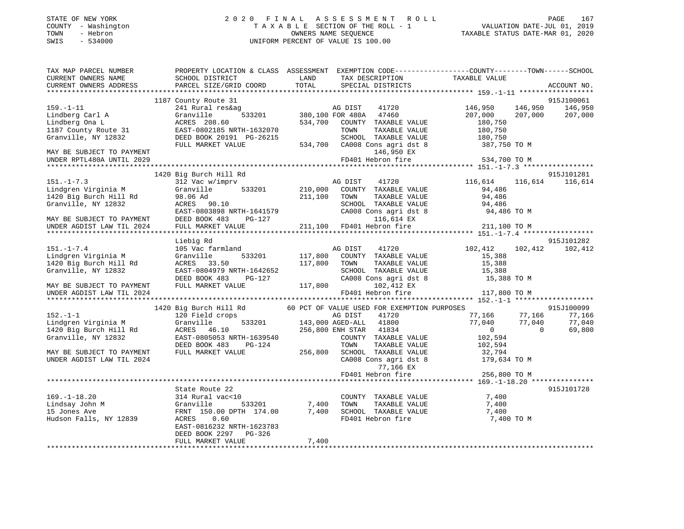| STATE OF NEW YORK<br>- Washington<br>COUNTY<br>- Hebron<br>TOWN<br>SWIS<br>$-534000$ |                                                                        |                             | 2020 FINAL ASSESSMENT ROLL<br>TAXABLE SECTION OF THE ROLL - 1<br>OWNERS NAME SEOUENCE<br>UNIFORM PERCENT OF VALUE IS 100.00 | TAXABLE STATUS DATE-MAR 01, 2020 | PAGE<br>VALUATION DATE-JUL 01, 2019 | 167         |
|--------------------------------------------------------------------------------------|------------------------------------------------------------------------|-----------------------------|-----------------------------------------------------------------------------------------------------------------------------|----------------------------------|-------------------------------------|-------------|
| TAX MAP PARCEL NUMBER<br>CURRENT OWNERS NAME<br>CURRENT OWNERS ADDRESS               | PROPERTY LOCATION & CLASS<br>SCHOOL DISTRICT<br>PARCEL SIZE/GRID COORD | ASSESSMENT<br>LAND<br>TOTAL | EXEMPTION $CODE-----------COUNTY------TOWN---SCHOOL$<br>TAX DESCRIPTION<br>SPECIAL DISTRICTS                                | TAXABLE VALUE                    |                                     | ACCOUNT NO. |

|                           | 1187 County Route 31          |                                                                     | 915J100061                           |
|---------------------------|-------------------------------|---------------------------------------------------------------------|--------------------------------------|
| $159. - 1 - 11$           | 241 Rural res&ag              | AG DIST<br>41720                                                    | 146,950<br>146,950<br>146,950        |
| Lindberg Carl A           | 533201<br>Granville           | 380,100 FOR 480A 47460                                              | 207,000<br>207,000<br>207,000        |
| Lindberg Ona L            | ACRES 208.60                  | 534,700<br>COUNTY TAXABLE VALUE                                     | 180,750                              |
| 1187 County Route 31      | EAST-0802185 NRTH-1632070     | TOWN<br>TAXABLE VALUE                                               | 180,750                              |
| Granville, NY 12832       | DEED BOOK 20191 PG-26215      | SCHOOL TAXABLE VALUE                                                | 180,750                              |
|                           | FULL MARKET VALUE             | 534,700 CA008 Cons agri dst 8 387,750 TO M                          |                                      |
| MAY BE SUBJECT TO PAYMENT |                               | 146,950 EX                                                          |                                      |
| UNDER RPTL480A UNTIL 2029 |                               | FD401 Hebron fire                                                   | 534,700 TO M                         |
|                           |                               |                                                                     |                                      |
|                           | 1420 Big Burch Hill Rd        |                                                                     | 915J101281                           |
| $151. - 1 - 7.3$          | 312 Vac w/imprv               | AG DIST<br>41720                                                    | 116,614 116,614 116,614              |
| Lindgren Virginia M       | Granville                     | 533201 210,000 COUNTY TAXABLE VALUE                                 | 94,486                               |
| 1420 Big Burch Hill Rd    | 98.06 Ad                      | TAXABLE VALUE<br>211,100 TOWN                                       | 94,486                               |
| Granville, NY 12832       | ACRES 90.10                   | SCHOOL TAXABLE VALUE 94,486                                         |                                      |
|                           | EAST-0803898 NRTH-1641579     | CA008 Cons agri dst 8                                               | 94,486 TO M                          |
| MAY BE SUBJECT TO PAYMENT | DEED BOOK 483<br>PG-127       | 116,614 EX                                                          |                                      |
| UNDER AGDIST LAW TIL 2024 | FULL MARKET VALUE             | 211,100 FD401 Hebron fire                                           | 211,100 TO M                         |
|                           |                               |                                                                     |                                      |
|                           | Liebig Rd                     |                                                                     | 915J101282                           |
| $151. - 1 - 7.4$          | 105 Vac farmland              | 41720<br>AG DIST                                                    | 102,412<br>102,412<br>102,412        |
| Lindgren Virginia M       | 533201<br>Granville           | 117,800 COUNTY TAXABLE VALUE                                        | 15,388                               |
| 1420 Big Burch Hill Rd    | ACRES 33.50                   | 117,800<br>TOWN<br>TAXABLE VALUE                                    | 15,388                               |
| Granville, NY 12832       | EAST-0804979 NRTH-1642652     |                                                                     | 15,388                               |
|                           | DEED BOOK 483<br>PG-127       | SCHOOL TAXABLE VALUE<br>CA008 Cons agri dst 8                       | 15,388 TO M                          |
| MAY BE SUBJECT TO PAYMENT | FULL MARKET VALUE             | 102,412 EX<br>117,800                                               |                                      |
| UNDER AGDIST LAW TIL 2024 |                               | FD401 Hebron fire                                                   | 117,800 TO M                         |
|                           |                               |                                                                     |                                      |
|                           |                               | 1420 Big Burch Hill Rd 60 PCT OF VALUE USED FOR EXEMPTION PURPOSES  | 915J100099                           |
| $152. - 1 - 1$            | 120 Field crops               | AG DIST 41720<br>533201 143,000 AGED-ALL 41800                      | 77,166 77,166<br>77,166              |
| Lindgren Virginia M       | Granville                     |                                                                     | 77,040<br>77,040<br>77,040           |
| 1420 Big Burch Hill Rd    | ACRES 46.10                   | 256,800 ENH STAR 41834                                              | $\overline{0}$<br>69,800<br>$\Omega$ |
| Granville, NY 12832       | EAST-0805053 NRTH-1639540     | COUNTY TAXABLE VALUE                                                | 102,594                              |
|                           | DEED BOOK 483<br>$PG-124$     | TOWN<br>TAXABLE VALUE                                               | 102,594                              |
| MAY BE SUBJECT TO PAYMENT | FULL MARKET VALUE             | 256,800<br>SCHOOL TAXABLE VALUE                                     |                                      |
| UNDER AGDIST LAW TIL 2024 |                               | SCHOOL TAXABLE VALUE $32,794$<br>CA008 Cons agri dst 8 179,634 TO M |                                      |
|                           |                               | 77,166 EX                                                           |                                      |
|                           |                               | FD401 Hebron fire                                                   | 256,800 TO M                         |
|                           |                               |                                                                     |                                      |
|                           | State Route 22                |                                                                     | 915J101728                           |
| $169. - 1 - 18.20$        | 314 Rural vac<10              | COUNTY TAXABLE VALUE                                                | 7,400                                |
| Lindsay John M            | Granville<br>533201           | 7,400<br>TAXABLE VALUE<br>TOWN                                      | 7,400                                |
| 15 Jones Ave              | FRNT 150.00 DPTH 174.00 7,400 | SCHOOL TAXABLE VALUE                                                | 7,400                                |
| Hudson Falls, NY 12839    | ACRES 0.60                    | FD401 Hebron fire                                                   | 7,400 TO M                           |
|                           | EAST-0816232 NRTH-1623783     |                                                                     |                                      |
|                           | DEED BOOK 2297 PG-326         |                                                                     |                                      |
|                           | FULL MARKET VALUE             | 7,400                                                               |                                      |
|                           |                               |                                                                     |                                      |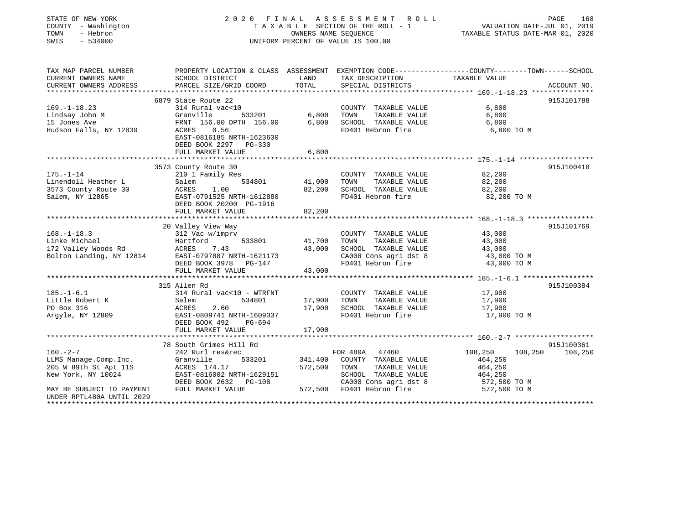| STATE OF NEW YORK<br>COUNTY - Washington<br>TOWN<br>- Hebron<br>SWIS<br>$-534000$ |                                                                                                                   |         | 2020 FINAL ASSESSMENT<br>R O L L<br>TAXABLE SECTION OF THE ROLL - 1<br>OWNERS NAME SEQUENCE<br>UNIFORM PERCENT OF VALUE IS 100.00 | VALUATION DATE-JUL 01, 2019<br>TAXABLE STATUS DATE-MAR 01, 2020 | 168<br>PAGE           |
|-----------------------------------------------------------------------------------|-------------------------------------------------------------------------------------------------------------------|---------|-----------------------------------------------------------------------------------------------------------------------------------|-----------------------------------------------------------------|-----------------------|
| TAX MAP PARCEL NUMBER<br>CURRENT OWNERS NAME                                      | PROPERTY LOCATION & CLASS ASSESSMENT EXEMPTION CODE---------------COUNTY-------TOWN-----SCHOOL<br>SCHOOL DISTRICT | LAND    | TAX DESCRIPTION                                                                                                                   | TAXABLE VALUE                                                   |                       |
| CURRENT OWNERS ADDRESS                                                            | PARCEL SIZE/GRID COORD<br>*************************                                                               | TOTAL   | SPECIAL DISTRICTS                                                                                                                 |                                                                 | ACCOUNT NO.           |
| *******************                                                               |                                                                                                                   |         |                                                                                                                                   |                                                                 |                       |
| $169. - 1 - 18.23$                                                                | 6879 State Route 22<br>314 Rural vac<10                                                                           |         | COUNTY TAXABLE VALUE                                                                                                              | 6,800                                                           | 915J101788            |
| Lindsay John M                                                                    | Granville<br>533201                                                                                               | 6,800   | TOWN<br>TAXABLE VALUE                                                                                                             | 6,800                                                           |                       |
| 15 Jones Ave                                                                      | FRNT 156.00 DPTH 156.00                                                                                           | 6,800   | SCHOOL TAXABLE VALUE                                                                                                              | 6,800                                                           |                       |
| Hudson Falls, NY 12839                                                            | ACRES<br>0.56<br>EAST-0816185 NRTH-1623630                                                                        |         | FD401 Hebron fire                                                                                                                 | 6,800 TO M                                                      |                       |
|                                                                                   | DEED BOOK 2297<br>PG-330                                                                                          |         |                                                                                                                                   |                                                                 |                       |
|                                                                                   | FULL MARKET VALUE                                                                                                 | 6,800   |                                                                                                                                   |                                                                 |                       |
|                                                                                   | *****************************                                                                                     |         |                                                                                                                                   |                                                                 |                       |
|                                                                                   | 3573 County Route 30                                                                                              |         |                                                                                                                                   |                                                                 | 915J100418            |
| $175. - 1 - 14$<br>Linendoll Heather L                                            | 210 1 Family Res<br>Salem<br>534801                                                                               | 41,000  | COUNTY TAXABLE VALUE<br>TOWN<br>TAXABLE VALUE                                                                                     | 82,200<br>82,200                                                |                       |
| 3573 County Route 30                                                              | 1.00<br>ACRES                                                                                                     | 82,200  | SCHOOL TAXABLE VALUE                                                                                                              | 82,200                                                          |                       |
| Salem, NY 12865                                                                   | EAST-0791525 NRTH-1612880                                                                                         |         | FD401 Hebron fire                                                                                                                 | 82,200 TO M                                                     |                       |
|                                                                                   | DEED BOOK 20200 PG-1916<br>FULL MARKET VALUE                                                                      | 82,200  |                                                                                                                                   |                                                                 |                       |
|                                                                                   |                                                                                                                   |         |                                                                                                                                   |                                                                 |                       |
|                                                                                   | 20 Valley View Way                                                                                                |         |                                                                                                                                   |                                                                 | 915J101769            |
| $168. - 1 - 18.3$                                                                 | 312 Vac w/imprv                                                                                                   |         | COUNTY TAXABLE VALUE                                                                                                              | 43,000                                                          |                       |
| Linke Michael                                                                     | Hartford<br>533801                                                                                                | 41,700  | TOWN<br>TAXABLE VALUE                                                                                                             | 43,000                                                          |                       |
| 172 Valley Woods Rd                                                               | ACRES<br>7.43                                                                                                     | 43,000  | SCHOOL TAXABLE VALUE                                                                                                              | 43,000                                                          |                       |
| Bolton Landing, NY 12814                                                          | EAST-0797887 NRTH-1621173                                                                                         |         | CA008 Cons agri dst 8                                                                                                             | 43,000 TO M                                                     |                       |
|                                                                                   | DEED BOOK 3978<br>PG-147                                                                                          |         | FD401 Hebron fire                                                                                                                 | 43,000 TO M                                                     |                       |
|                                                                                   | FULL MARKET VALUE<br>**********************                                                                       | 43,000  |                                                                                                                                   |                                                                 |                       |
|                                                                                   | 315 Allen Rd                                                                                                      |         |                                                                                                                                   |                                                                 | 915J100384            |
| $185. - 1 - 6.1$                                                                  | 314 Rural vac<10 - WTRFNT                                                                                         |         | COUNTY TAXABLE VALUE                                                                                                              | 17,900                                                          |                       |
| Little Robert K                                                                   | Salem<br>534801                                                                                                   | 17,900  | TOWN<br>TAXABLE VALUE                                                                                                             | 17,900                                                          |                       |
| PO Box 316                                                                        | ACRES<br>2.60                                                                                                     | 17,900  | SCHOOL TAXABLE VALUE                                                                                                              | 17,900                                                          |                       |
| Argyle, NY 12809                                                                  | EAST-0809741 NRTH-1609337                                                                                         |         | FD401 Hebron fire                                                                                                                 | 17,900 TO M                                                     |                       |
|                                                                                   | DEED BOOK 492<br>PG-694                                                                                           |         |                                                                                                                                   |                                                                 |                       |
|                                                                                   | FULL MARKET VALUE                                                                                                 | 17,900  |                                                                                                                                   |                                                                 |                       |
|                                                                                   |                                                                                                                   |         |                                                                                                                                   |                                                                 |                       |
|                                                                                   | 78 South Grimes Hill Rd                                                                                           |         |                                                                                                                                   |                                                                 | 915J100361            |
| $160. -2 - 7$                                                                     | 242 Rurl res&rec                                                                                                  |         | FOR 480A 47460                                                                                                                    | 108,250<br>108,250                                              | 108,250               |
| LLMS Manage.Comp.Inc.                                                             | Granville<br>533201                                                                                               | 341,400 | COUNTY TAXABLE VALUE                                                                                                              | 464,250                                                         |                       |
| 205 W 89th St Apt 11S<br>New York, NY 10024                                       | ACRES 174.17<br>EAST-0816002 NRTH-1629151                                                                         | 572,500 | TOWN<br>TAXABLE VALUE<br>SCHOOL TAXABLE VALUE                                                                                     | 464,250<br>464,250                                              |                       |
|                                                                                   | DEED BOOK 2632<br><b>PG-108</b>                                                                                   |         | CA008 Cons agri dst 8                                                                                                             | 572,500 TO M                                                    |                       |
| MAY BE SUBJECT TO PAYMENT                                                         | FULL MARKET VALUE                                                                                                 | 572,500 | FD401 Hebron fire                                                                                                                 | 572,500 TO M                                                    |                       |
| UNDER RPTL480A UNTIL 2029                                                         |                                                                                                                   |         |                                                                                                                                   |                                                                 |                       |
|                                                                                   |                                                                                                                   |         |                                                                                                                                   |                                                                 | <b>++++++++++++++</b> |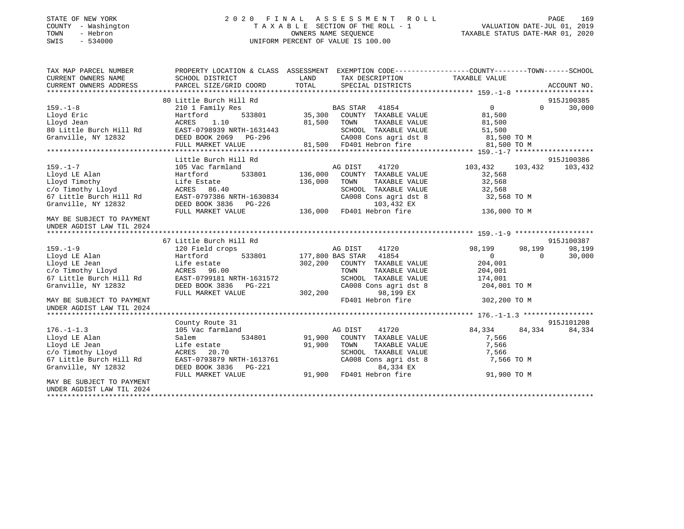### STATE OF NEW YORK 2 0 2 0 F I N A L A S S E S S M E N T R O L L PAGE 169 COUNTY - Washington T A X A B L E SECTION OF THE ROLL - 1 VALUATION DATE-JUL 01, 2019 TOWN - Hebron OWNERS NAME SEQUENCE TAXABLE STATUS DATE-MAR 01, 2020 SWIS - 534000 UNIFORM PERCENT OF VALUE IS 100.00

| TAX MAP PARCEL NUMBER     |                                     | PROPERTY LOCATION & CLASS ASSESSMENT EXEMPTION CODE---------------COUNTY-------TOWN-----SCHOOL |                            |             |
|---------------------------|-------------------------------------|------------------------------------------------------------------------------------------------|----------------------------|-------------|
| CURRENT OWNERS NAME       | SCHOOL DISTRICT                     | LAND<br>TAX DESCRIPTION                                                                        | TAXABLE VALUE              |             |
| CURRENT OWNERS ADDRESS    | PARCEL SIZE/GRID COORD              | TOTAL<br>SPECIAL DISTRICTS                                                                     |                            | ACCOUNT NO. |
|                           |                                     |                                                                                                |                            |             |
|                           | 80 Little Burch Hill Rd             |                                                                                                |                            | 915J100385  |
| $159. - 1 - 8$            | 210 1 Family Res                    | <b>BAS STAR</b><br>41854                                                                       | $\Omega$<br>$\Omega$       | 30,000      |
| Lloyd Eric<br>Lloyd Jean  | Hartford<br>533801<br>1.10<br>ACRES | 35,300<br>COUNTY TAXABLE VALUE<br>81,500<br>TAXABLE VALUE                                      | 81,500                     |             |
| 80 Little Burch Hill Rd   | EAST-0798939 NRTH-1631443           | TOWN<br>SCHOOL TAXABLE VALUE                                                                   | 81,500<br>51,500           |             |
| Granville, NY 12832       | DEED BOOK 2069 PG-296               | CA008 Cons agri dst 8                                                                          | 81,500 TO M                |             |
|                           |                                     |                                                                                                | 81,500 TO M                |             |
|                           | FULL MARKET VALUE                   | 81,500 FD401 Hebron fire                                                                       |                            |             |
|                           | Little Burch Hill Rd                |                                                                                                |                            | 915J100386  |
| $159. - 1 - 7$            | 105 Vac farmland                    | AG DIST<br>41720                                                                               | 103,432<br>103,432         | 103,432     |
| Lloyd LE Alan             | Hartford<br>533801                  | 136,000<br>COUNTY TAXABLE VALUE                                                                | 32,568                     |             |
| Lloyd Timothy             | Life Estate                         | 136,000<br>TOWN<br>TAXABLE VALUE                                                               | 32,568                     |             |
| c/o Timothy Lloyd         | ACRES 86.40                         | SCHOOL TAXABLE VALUE                                                                           | 32,568                     |             |
| 67 Little Burch Hill Rd   | EAST-0797386 NRTH-1630834           | CA008 Cons agri dst 8                                                                          | 32,568 TO M                |             |
| Granville, NY 12832       | DEED BOOK 3836 PG-226               | 103,432 EX                                                                                     |                            |             |
|                           | FULL MARKET VALUE                   | 136,000 FD401 Hebron fire                                                                      | 136,000 TO M               |             |
| MAY BE SUBJECT TO PAYMENT |                                     |                                                                                                |                            |             |
| UNDER AGDIST LAW TIL 2024 |                                     |                                                                                                |                            |             |
|                           |                                     |                                                                                                |                            |             |
|                           | 67 Little Burch Hill Rd             |                                                                                                |                            | 915J100387  |
| $159. - 1 - 9$            | 120 Field crops                     | 41720<br>AG DIST                                                                               | 98,199<br>98,199           | 98,199      |
| Lloyd LE Alan             | Hartford<br>533801                  | 177,800 BAS STAR 41854                                                                         | $\overline{0}$<br>$\Omega$ | 30,000      |
| Lloyd LE Jean             | Life estate                         | 302,200<br>COUNTY TAXABLE VALUE                                                                | 204,001                    |             |
| c/o Timothy Lloyd         | ACRES 96.00                         | TOWN<br>TAXABLE VALUE                                                                          | 204,001                    |             |
| 67 Little Burch Hill Rd   | EAST-0799181 NRTH-1631572           | SCHOOL TAXABLE VALUE                                                                           | 174,001                    |             |
| Granville, NY 12832       | DEED BOOK 3836 PG-221               | CA008 Cons agri dst 8                                                                          | 204,001 TO M               |             |
|                           | FULL MARKET VALUE                   | 302,200<br>98,199 EX                                                                           |                            |             |
| MAY BE SUBJECT TO PAYMENT |                                     | FD401 Hebron fire                                                                              | 302,200 TO M               |             |
| UNDER AGDIST LAW TIL 2024 |                                     |                                                                                                |                            |             |
|                           |                                     |                                                                                                |                            |             |
|                           | County Route 31                     |                                                                                                |                            | 915J101208  |
| $176. - 1 - 1.3$          | 105 Vac farmland                    | 41720<br>AG DIST                                                                               | 84,334<br>84,334           | 84,334      |
| Lloyd LE Alan             | 534801<br>Salem                     | 91,900<br>COUNTY TAXABLE VALUE                                                                 | 7,566                      |             |
| Lloyd LE Jean             | Life estate                         | 91,900<br>TOWN<br>TAXABLE VALUE                                                                | 7,566                      |             |
| c/o Timothy Lloyd         | ACRES 20.70                         | SCHOOL TAXABLE VALUE                                                                           | 7,566                      |             |
| 67 Little Burch Hill Rd   | EAST-0793879 NRTH-1613761           | CA008 Cons agri dst 8                                                                          | 7,566 TO M                 |             |
| Granville, NY 12832       | DEED BOOK 3836 PG-221               | 84,334 EX                                                                                      |                            |             |
|                           | FULL MARKET VALUE                   | 91,900<br>FD401 Hebron fire                                                                    | 91,900 TO M                |             |
| MAY BE SUBJECT TO PAYMENT |                                     |                                                                                                |                            |             |
| UNDER AGDIST LAW TIL 2024 |                                     |                                                                                                |                            |             |
|                           |                                     |                                                                                                |                            |             |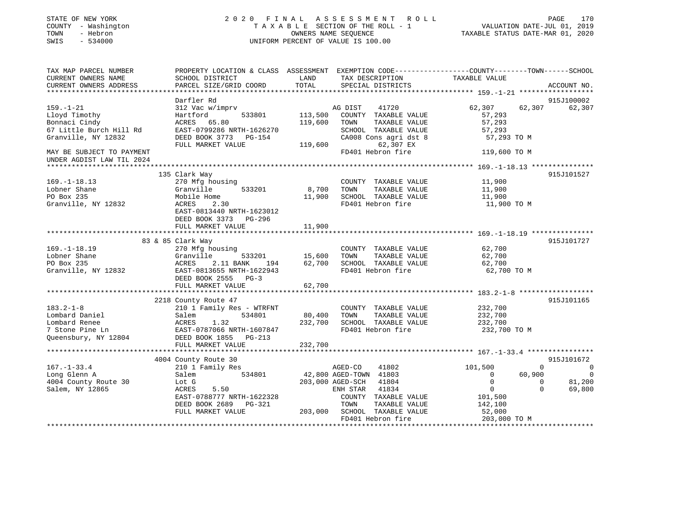| STATE OF NEW YORK                     | 2020<br>FINAL                                                                                   |         | A S S E S S M E N T<br>R O L L                             | PAGE 170<br>VALUATION DATE-JUL 01, 2019<br>TAXABLE STATUS DATE-MAR 01, 2020 |                |               |
|---------------------------------------|-------------------------------------------------------------------------------------------------|---------|------------------------------------------------------------|-----------------------------------------------------------------------------|----------------|---------------|
| COUNTY - Washington                   |                                                                                                 |         | TAXABLE SECTION OF THE ROLL - 1                            |                                                                             |                |               |
| - Hebron<br>TOWN<br>SWIS<br>$-534000$ |                                                                                                 |         | OWNERS NAME SEQUENCE<br>UNIFORM PERCENT OF VALUE IS 100.00 |                                                                             |                |               |
|                                       |                                                                                                 |         |                                                            |                                                                             |                |               |
| TAX MAP PARCEL NUMBER                 | PROPERTY LOCATION & CLASS ASSESSMENT EXEMPTION CODE---------------COUNTY-------TOWN------SCHOOL |         |                                                            |                                                                             |                |               |
| CURRENT OWNERS NAME                   | SCHOOL DISTRICT                                                                                 | LAND    | TAX DESCRIPTION                                            | TAXABLE VALUE                                                               |                |               |
| CURRENT OWNERS ADDRESS                | PARCEL SIZE/GRID COORD                                                                          | TOTAL   | SPECIAL DISTRICTS                                          |                                                                             |                | ACCOUNT NO.   |
|                                       |                                                                                                 |         |                                                            |                                                                             |                |               |
|                                       | Darfler Rd                                                                                      |         |                                                            |                                                                             |                | 915J100002    |
| $159. - 1 - 21$                       | 312 Vac w/imprv                                                                                 |         | AG DIST<br>41720                                           | 62,307                                                                      | 62,307         | 62,307        |
| Lloyd Timothy                         | Hartford<br>533801                                                                              | 113,500 | COUNTY TAXABLE VALUE                                       | 57,293                                                                      |                |               |
| Bonnaci Cindy                         | ACRES 65.80                                                                                     | 119,600 | TOWN<br>TAXABLE VALUE                                      | 57,293                                                                      |                |               |
| 67 Little Burch Hill Rd               | EAST-0799286 NRTH-1626270                                                                       |         | SCHOOL TAXABLE VALUE                                       | 57,293                                                                      |                |               |
| Granville, NY 12832                   | DEED BOOK 3773 PG-154                                                                           |         | CA008 Cons agri dst 8                                      | 57,293 TO M                                                                 |                |               |
|                                       | FULL MARKET VALUE                                                                               | 119,600 | 62,307 EX                                                  |                                                                             |                |               |
| MAY BE SUBJECT TO PAYMENT             |                                                                                                 |         | FD401 Hebron fire                                          | 119,600 TO M                                                                |                |               |
| UNDER AGDIST LAW TIL 2024             |                                                                                                 |         |                                                            |                                                                             |                |               |
|                                       |                                                                                                 |         |                                                            | ******************* 169. -1-18.13 ***************                           |                |               |
|                                       | 135 Clark Way                                                                                   |         |                                                            |                                                                             |                | 915J101527    |
| $169. - 1 - 18.13$                    | 270 Mfg housing                                                                                 |         | COUNTY TAXABLE VALUE                                       | 11,900                                                                      |                |               |
| Lobner Shane                          | Granville<br>533201                                                                             | 8,700   | TOWN<br>TAXABLE VALUE                                      | 11,900                                                                      |                |               |
| PO Box 235                            | Mobile Home                                                                                     | 11,900  | SCHOOL TAXABLE VALUE                                       | 11,900                                                                      |                |               |
| Granville, NY 12832                   | ACRES<br>2.30                                                                                   |         | FD401 Hebron fire                                          | 11,900 TO M                                                                 |                |               |
|                                       | EAST-0813440 NRTH-1623012                                                                       |         |                                                            |                                                                             |                |               |
|                                       | DEED BOOK 3373 PG-296                                                                           |         |                                                            |                                                                             |                |               |
|                                       | FULL MARKET VALUE                                                                               | 11,900  |                                                            |                                                                             |                |               |
|                                       |                                                                                                 |         |                                                            |                                                                             |                |               |
|                                       | 83 & 85 Clark Way                                                                               |         |                                                            |                                                                             |                | 915J101727    |
| $169. - 1 - 18.19$                    | 270 Mfg housing                                                                                 |         | COUNTY TAXABLE VALUE                                       | 62,700                                                                      |                |               |
| Lobner Shane                          | Granville<br>533201                                                                             | 15,600  | TOWN<br>TAXABLE VALUE                                      | 62,700                                                                      |                |               |
| PO Box 235                            | ACRES<br>2.11 BANK<br>194                                                                       | 62,700  | SCHOOL TAXABLE VALUE                                       | 62,700                                                                      |                |               |
| Granville, NY 12832                   | EAST-0813655 NRTH-1622943                                                                       |         | FD401 Hebron fire                                          | 62,700 TO M                                                                 |                |               |
|                                       | DEED BOOK 2555 PG-3                                                                             |         |                                                            |                                                                             |                |               |
|                                       | FULL MARKET VALUE                                                                               | 62,700  |                                                            |                                                                             |                |               |
|                                       |                                                                                                 |         |                                                            |                                                                             |                |               |
|                                       | 2218 County Route 47                                                                            |         |                                                            |                                                                             |                | 915J101165    |
| $183.2 - 1 - 8$                       | 210 1 Family Res - WTRFNT                                                                       |         | COUNTY TAXABLE VALUE                                       | 232,700                                                                     |                |               |
| Lombard Daniel                        | 534801                                                                                          | 80,400  | TOWN<br>TAXABLE VALUE                                      | 232,700                                                                     |                |               |
| Lombard Renee                         | 1.32                                                                                            |         | 232,700 SCHOOL TAXABLE VALUE                               | 232,700                                                                     |                |               |
| 7 Stone Pine Ln                       | EAST-0787066 NRTH-1607847                                                                       |         | FD401 Hebron fire                                          | 232,700 TO M                                                                |                |               |
| Queensbury, NY 12804                  | DEED BOOK 1855 PG-213                                                                           |         |                                                            |                                                                             |                |               |
|                                       |                                                                                                 |         |                                                            |                                                                             |                |               |
|                                       | FULL MARKET VALUE                                                                               | 232,700 |                                                            |                                                                             |                |               |
|                                       |                                                                                                 |         |                                                            |                                                                             |                | 915J101672    |
| $167. - 1 - 33.4$                     | 4004 County Route 30                                                                            |         |                                                            | 101,500                                                                     | 0              |               |
|                                       | 210 1 Family Res<br>534801                                                                      |         | AGED-CO<br>41802                                           | $\overline{0}$                                                              | 60,900         | 0<br>$\Omega$ |
| Long Glenn A                          | Salem                                                                                           |         | 42,800 AGED-TOWN 41803                                     | $\mathbf{0}$                                                                |                |               |
| 4004 County Route 30                  | Lot G                                                                                           |         | 203,000 AGED-SCH<br>41804                                  |                                                                             | $\overline{0}$ | 81,200        |
| Salem, NY 12865                       | ACRES<br>5.50                                                                                   |         | 41834<br>ENH STAR                                          | $\overline{0}$                                                              | $\Omega$       | 69,800        |
|                                       | EAST-0788777 NRTH-1622328                                                                       |         | COUNTY TAXABLE VALUE                                       | 101,500                                                                     |                |               |
|                                       | DEED BOOK 2689 PG-321                                                                           |         | TOWN<br>TAXABLE VALUE                                      | 142,100                                                                     |                |               |
|                                       |                                                                                                 |         |                                                            |                                                                             |                |               |
|                                       | FULL MARKET VALUE                                                                               |         | 203,000 SCHOOL TAXABLE VALUE<br>FD401 Hebron fire          | 52,000<br>203,000 TO M                                                      |                |               |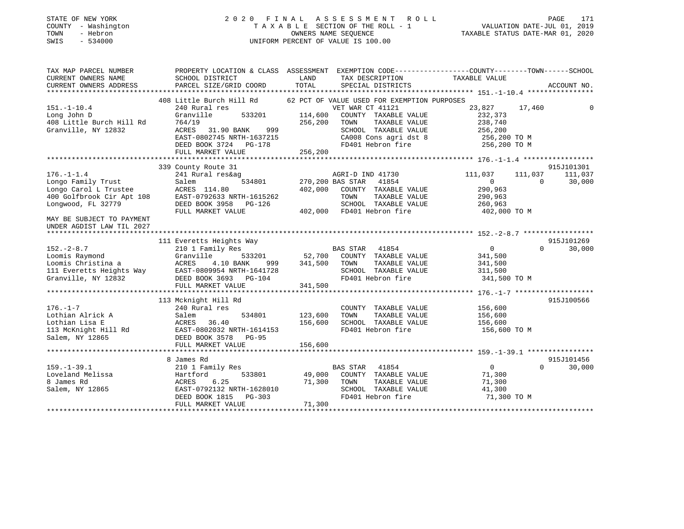| STATE OF NEW YORK |          |              |
|-------------------|----------|--------------|
| COUNTY            |          | - Washington |
| TOWN              | - Hebron |              |
| CM <sub>T</sub> C |          | 534000       |

### 2020 FINAL ASSESSMENT ROLL COUNTY A X A B L E SECTION OF THE ROLL - 1<br>
OWNERS NAME SEQUENCE SWIS - 534000 UNIFORM PERCENT OF VALUE IS 100.00

# VALUATION DATE-JUL 01, 2019

TAXABLE STATUS DATE-MAR 01, 2020

| TAX MAP PARCEL NUMBER     |                                                                             | PROPERTY LOCATION & CLASS ASSESSMENT EXEMPTION CODE---------------COUNTY-------TOWN-----SCHOOL |                            |            |
|---------------------------|-----------------------------------------------------------------------------|------------------------------------------------------------------------------------------------|----------------------------|------------|
| CURRENT OWNERS NAME       | SCHOOL DISTRICT                                                             | LAND<br>TAX DESCRIPTION                                                                        | TAXABLE VALUE              |            |
| CURRENT OWNERS ADDRESS    | PARCEL SIZE/GRID COORD                                                      | TOTAL<br>SPECIAL DISTRICTS                                                                     | ACCOUNT NO.                |            |
|                           |                                                                             |                                                                                                |                            |            |
|                           | 408 Little Burch Hill Rd                                                    | 62 PCT OF VALUE USED FOR EXEMPTION PURPOSES                                                    |                            |            |
| $151. - 1 - 10.4$         | 240 Rural res                                                               | VET WAR CT 41121                                                                               | 23,827 17,460              |            |
| Long John D               | 533201<br>Granville                                                         | 114,600<br>COUNTY TAXABLE VALUE                                                                | 232,373                    |            |
| 408 Little Burch Hill Rd  | 764/19                                                                      | 256,200<br>TOWN<br>TAXABLE VALUE                                                               | 238,740                    |            |
| Granville, NY 12832       | ACRES 31.90 BANK<br>999                                                     | SCHOOL TAXABLE VALUE                                                                           | 256,200                    |            |
|                           | EAST-0802745 NRTH-1637215                                                   | CA008 Cons agri dst 8                                                                          | 256,200 TO M               |            |
|                           | DEED BOOK 3724 PG-178                                                       | FD401 Hebron fire                                                                              | 256,200 TO M               |            |
|                           | FULL MARKET VALUE                                                           | 256,200                                                                                        |                            |            |
|                           |                                                                             |                                                                                                |                            |            |
|                           | 339 County Route 31                                                         |                                                                                                |                            | 915J101301 |
| $176. - 1 - 1.4$          | 241 Rural res&ag                                                            | AGRI-D IND 41730                                                                               | 111,037<br>111,037         | 111,037    |
| Longo Family Trust        | 534801<br>Salem                                                             | 270,200 BAS STAR 41854                                                                         | $\overline{0}$<br>$\Omega$ | 30,000     |
| Longo Carol L Trustee     | ACRES 114.80                                                                | 402,000<br>COUNTY TAXABLE VALUE                                                                | 290,963                    |            |
| 400 Golfbrook Cir Apt 108 | EAST-0792633 NRTH-1615262                                                   | TOWN<br>TAXABLE VALUE                                                                          | 290,963                    |            |
| Longwood, FL 32779        | DEED BOOK 3958 PG-126                                                       | SCHOOL TAXABLE VALUE                                                                           | 260,963                    |            |
|                           | FULL MARKET VALUE                                                           | 402,000 FD401 Hebron fire                                                                      | 402,000 TO M               |            |
| MAY BE SUBJECT TO PAYMENT |                                                                             |                                                                                                |                            |            |
| UNDER AGDIST LAW TIL 2027 |                                                                             |                                                                                                |                            |            |
|                           |                                                                             |                                                                                                |                            |            |
|                           | 111 Everetts Heights Way                                                    |                                                                                                |                            | 915J101269 |
| $152. - 2 - 8.7$          | 210 1 Family Res                                                            | <b>BAS STAR</b><br>41854                                                                       | $\overline{0}$<br>$\Omega$ | 30,000     |
| Loomis Raymond            | Granville<br>533201                                                         | 52,700 COUNTY TAXABLE VALUE                                                                    | 341,500                    |            |
| Loomis Christina a        | ACRES<br>4.10 BANK<br>999                                                   | 341,500<br>TOWN<br>TAXABLE VALUE                                                               | 341,500                    |            |
|                           |                                                                             | SCHOOL TAXABLE VALUE                                                                           | 311,500                    |            |
| Granville, NY 12832       | 111 Everetts Heights Way EAST-0809954 NRTH-1641728<br>DEED BOOK 3693 PG-104 | FD401 Hebron fire                                                                              | 341,500 TO M               |            |
|                           | FULL MARKET VALUE                                                           | 341,500                                                                                        |                            |            |
|                           |                                                                             |                                                                                                |                            |            |
|                           | 113 Mcknight Hill Rd                                                        |                                                                                                | 915J100566                 |            |
| $176. - 1 - 7$            | 240 Rural res                                                               |                                                                                                |                            |            |
|                           |                                                                             | COUNTY TAXABLE VALUE                                                                           | 156,600                    |            |
| Lothian Alrick A          | Salem<br>534801                                                             | 123,600<br>TOWN<br>TAXABLE VALUE                                                               | 156,600                    |            |
| Lothian Lisa E            | ACRES<br>36.40                                                              | 156,600<br>SCHOOL TAXABLE VALUE                                                                | 156,600                    |            |
| 113 McKnight Hill Rd      | EAST-0802032 NRTH-1614153                                                   | FD401 Hebron fire                                                                              | 156,600 TO M               |            |
| Salem, NY 12865           | DEED BOOK 3578 PG-95                                                        |                                                                                                |                            |            |
|                           | FULL MARKET VALUE                                                           | 156,600                                                                                        |                            |            |
|                           |                                                                             |                                                                                                |                            |            |
|                           | 8 James Rd                                                                  |                                                                                                | 915J101456                 |            |
| $159. - 1 - 39.1$         | 210 1 Family Res                                                            | BAS STAR 41854                                                                                 | $\overline{0}$<br>$\Omega$ | 30,000     |
| Loveland Melissa          | Hartford<br>533801                                                          | 49,000 COUNTY TAXABLE VALUE                                                                    | 71,300                     |            |
| 8 James Rd                | 6.25<br>ACRES                                                               | 71,300<br>TAXABLE VALUE<br>TOWN                                                                | 71,300                     |            |
| Salem, NY 12865           | EAST-0792132 NRTH-1628010                                                   | SCHOOL TAXABLE VALUE                                                                           | 41,300                     |            |
|                           | DEED BOOK 1815 PG-303                                                       | FD401 Hebron fire                                                                              | 71,300 TO M                |            |
|                           | FULL MARKET VALUE                                                           | 71,300                                                                                         |                            |            |
|                           |                                                                             |                                                                                                |                            |            |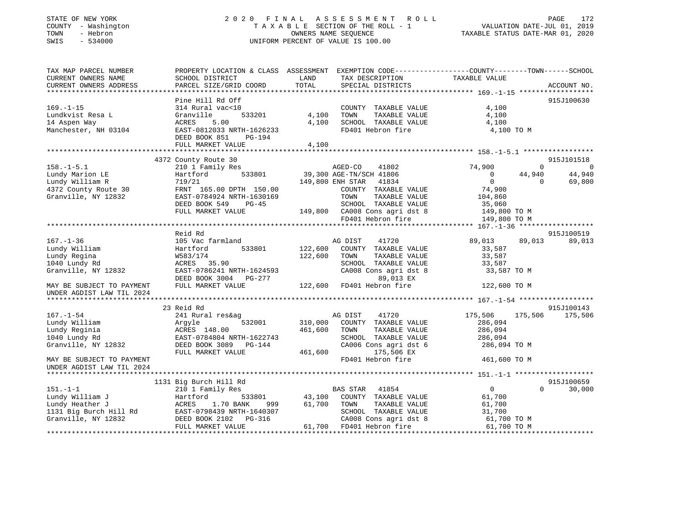### STATE OF NEW YORK 2 0 2 0 F I N A L A S S E S S M E N T R O L L PAGE 172 COUNTY - Washington T A X A B L E SECTION OF THE ROLL - 1 VALUATION DATE-JUL 01, 2019 TOWN - Hebron OWNERS NAME SEQUENCE TAXABLE STATUS DATE-MAR 01, 2020 SWIS - 534000 UNIFORM PERCENT OF VALUE IS 100.00

| TAX MAP PARCEL NUMBER<br>CURRENT OWNERS NAME<br>CURRENT OWNERS ADDRESS | PROPERTY LOCATION & CLASS ASSESSMENT<br>SCHOOL DISTRICT<br>PARCEL SIZE/GRID COORD | LAND<br>TAX DESCRIPTION<br>TOTAL<br>SPECIAL DISTRICTS | EXEMPTION CODE-----------------COUNTY-------TOWN------SCHOOL<br>TAXABLE VALUE<br>ACCOUNT NO. |
|------------------------------------------------------------------------|-----------------------------------------------------------------------------------|-------------------------------------------------------|----------------------------------------------------------------------------------------------|
|                                                                        | Pine Hill Rd Off                                                                  |                                                       | 915J100630                                                                                   |
| $169. - 1 - 15$                                                        | 314 Rural vac<10                                                                  | COUNTY TAXABLE VALUE                                  | 4,100                                                                                        |
| Lundkvist Resa L                                                       | 533201<br>Granville                                                               | 4,100<br>TOWN<br>TAXABLE VALUE                        | 4,100                                                                                        |
| 14 Aspen Way                                                           | ACRES<br>5.00                                                                     | 4,100<br>SCHOOL TAXABLE VALUE                         | 4,100                                                                                        |
| Manchester, NH 03104                                                   | EAST-0812033 NRTH-1626233<br>DEED BOOK 851<br>PG-194<br>FULL MARKET VALUE         | FD401 Hebron fire<br>4,100                            | 4,100 TO M                                                                                   |
|                                                                        |                                                                                   |                                                       |                                                                                              |
|                                                                        | 4372 County Route 30                                                              |                                                       | 915J101518                                                                                   |
| $158. - 1 - 5.1$                                                       | 210 1 Family Res                                                                  | AGED-CO<br>41802                                      | 74,900<br>$\Omega$<br>$\overline{0}$                                                         |
| Lundy Marion LE                                                        | 533801<br>Hartford                                                                | 39,300 AGE-TN/SCH 41806                               | 44,940<br>44,940<br>$\Omega$                                                                 |
| Lundy William R                                                        | 719/21                                                                            | 149,800 ENH STAR 41834                                | $\overline{0}$<br>$\Omega$<br>69,800                                                         |
| 4372 County Route 30                                                   | FRNT 165.00 DPTH 150.00                                                           | COUNTY TAXABLE VALUE                                  | 74,900                                                                                       |
| Granville, NY 12832                                                    | EAST-0784924 NRTH-1630169                                                         | TOWN<br>TAXABLE VALUE                                 | 104,860                                                                                      |
|                                                                        | DEED BOOK 549<br>$PG-45$                                                          | SCHOOL TAXABLE VALUE                                  | 35,060                                                                                       |
|                                                                        | FULL MARKET VALUE                                                                 | 149,800 CA008 Cons agri dst 8                         | 149,800 TO M                                                                                 |
|                                                                        |                                                                                   | FD401 Hebron fire                                     | 149,800 TO M                                                                                 |
|                                                                        |                                                                                   |                                                       |                                                                                              |
|                                                                        | Reid Rd                                                                           |                                                       | 915J100519                                                                                   |
| $167. - 1 - 36$                                                        | 105 Vac farmland                                                                  | AG DIST<br>41720                                      | 89,013<br>89,013<br>89,013                                                                   |
| Lundy William                                                          | 533801<br>Hartford                                                                | 122,600<br>COUNTY TAXABLE VALUE                       | 33,587                                                                                       |
| Lundy Regina                                                           | W583/174                                                                          | 122,600<br>TOWN<br>TAXABLE VALUE                      | 33,587                                                                                       |
| 1040 Lundy Rd                                                          | ACRES 35.90                                                                       | SCHOOL TAXABLE VALUE                                  | 33,587                                                                                       |
| Granville, NY 12832                                                    | EAST-0786241 NRTH-1624593                                                         | CA008 Cons agri dst 8                                 | 33,587 TO M                                                                                  |
|                                                                        | DEED BOOK 3004 PG-277                                                             | 89,013 EX                                             |                                                                                              |
| MAY BE SUBJECT TO PAYMENT<br>UNDER AGDIST LAW TIL 2024                 | FULL MARKET VALUE                                                                 | 122,600 FD401 Hebron fire                             | 122,600 TO M                                                                                 |
|                                                                        |                                                                                   |                                                       |                                                                                              |
|                                                                        | 23 Reid Rd                                                                        |                                                       | 915J100143                                                                                   |
| $167. - 1 - 54$                                                        | 241 Rural res&ag                                                                  | 41720<br>AG DIST                                      | 175,506<br>175,506<br>175,506                                                                |
| Lundy William                                                          | 532001<br>Argyle                                                                  | 310,000<br>COUNTY TAXABLE VALUE                       | 286,094                                                                                      |
| Lundy Reginia                                                          | ACRES 148.00                                                                      | 461,600<br>TOWN<br>TAXABLE VALUE                      | 286,094                                                                                      |
| 1040 Lundy Rd                                                          | EAST-0784804 NRTH-1622743                                                         | SCHOOL TAXABLE VALUE                                  | 286,094                                                                                      |
| Granville, NY 12832                                                    | DEED BOOK 3089 PG-144                                                             | CA006 Cons agri dst 6                                 | 286,094 TO M                                                                                 |
|                                                                        | FULL MARKET VALUE                                                                 | 461,600<br>175,506 EX                                 |                                                                                              |
| MAY BE SUBJECT TO PAYMENT                                              |                                                                                   | FD401 Hebron fire                                     | 461,600 TO M                                                                                 |
| UNDER AGDIST LAW TIL 2024                                              |                                                                                   |                                                       |                                                                                              |
|                                                                        |                                                                                   |                                                       |                                                                                              |
|                                                                        | 1131 Big Burch Hill Rd                                                            |                                                       | 915J100659                                                                                   |
| $151. - 1 - 1$                                                         | 210 1 Family Res                                                                  | 41854<br>BAS STAR                                     | $\overline{0}$<br>30,000<br>$\Omega$                                                         |
| Lundy William J                                                        | 533801<br>Hartford                                                                | 43,100<br>COUNTY TAXABLE VALUE                        | 61,700                                                                                       |
| Lundy Heather J                                                        | 1.70 BANK<br>ACRES<br>999                                                         | 61,700<br>TAXABLE VALUE<br>TOWN                       | 61,700                                                                                       |
| 1131 Big Burch Hill Rd                                                 | EAST-0798439 NRTH-1640307                                                         | SCHOOL TAXABLE VALUE                                  | 31,700                                                                                       |
| Granville, NY 12832                                                    |                                                                                   | CA008 Cons agri dst 8                                 | 61,700 TO M                                                                                  |
|                                                                        | FULL MARKET VALUE                                                                 | 61,700 FD401 Hebron fire                              | 61,700 TO M                                                                                  |
|                                                                        |                                                                                   |                                                       |                                                                                              |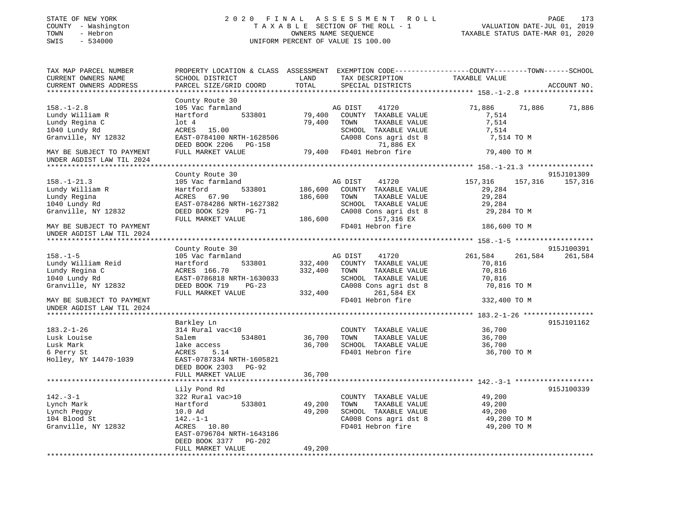| STATE OF NEW YORK<br>COUNTY - Washington<br>TOWN<br>- Hebron<br>$-534000$<br>SWIS | 2020 FINAL                                                                                      |               | ASSESSMENT ROLL<br>TAXABLE SECTION OF THE ROLL - 1<br>OWNERS NAME SEQUENCE<br>UNIFORM PERCENT OF VALUE IS 100.00 | TAXABLE STATUS DATE-MAR 01, 2020 |         | 173<br>PAGE<br>VALUATION DATE-JUL 01, 2019 |
|-----------------------------------------------------------------------------------|-------------------------------------------------------------------------------------------------|---------------|------------------------------------------------------------------------------------------------------------------|----------------------------------|---------|--------------------------------------------|
| TAX MAP PARCEL NUMBER                                                             | PROPERTY LOCATION & CLASS ASSESSMENT EXEMPTION CODE----------------COUNTY-------TOWN-----SCHOOL |               |                                                                                                                  |                                  |         |                                            |
| CURRENT OWNERS NAME<br>CURRENT OWNERS ADDRESS                                     | SCHOOL DISTRICT<br>PARCEL SIZE/GRID COORD                                                       | LAND<br>TOTAL | TAX DESCRIPTION<br>SPECIAL DISTRICTS                                                                             | TAXABLE VALUE                    |         | ACCOUNT NO.                                |
|                                                                                   | County Route 30                                                                                 |               |                                                                                                                  |                                  |         |                                            |
| $158. - 1 - 2.8$                                                                  | 105 Vac farmland                                                                                |               | AG DIST<br>41720                                                                                                 | 71,886                           | 71,886  | 71,886                                     |
| Lundy William R                                                                   | 533801<br>Hartford                                                                              | 79,400        | COUNTY TAXABLE VALUE                                                                                             | 7,514                            |         |                                            |
| Lundy Regina C                                                                    | $1$ ot $4$                                                                                      | 79,400        | TOWN<br>TAXABLE VALUE                                                                                            | 7,514                            |         |                                            |
| 1040 Lundy Rd                                                                     | ACRES<br>15.00                                                                                  |               | SCHOOL TAXABLE VALUE                                                                                             | 7,514                            |         |                                            |
| Granville, NY 12832                                                               | EAST-0784100 NRTH-1628506                                                                       |               | CA008 Cons agri dst 8<br>71,886 EX                                                                               | 7,514 TO M                       |         |                                            |
| MAY BE SUBJECT TO PAYMENT                                                         | DEED BOOK 2206 PG-158<br>FULL MARKET VALUE                                                      | 79,400        | FD401 Hebron fire                                                                                                | 79,400 TO M                      |         |                                            |
| UNDER AGDIST LAW TIL 2024                                                         |                                                                                                 |               |                                                                                                                  |                                  |         |                                            |
|                                                                                   | County Route 30                                                                                 |               |                                                                                                                  |                                  |         | 915J101309                                 |
| $158. - 1 - 21.3$                                                                 | 105 Vac farmland                                                                                |               | AG DIST<br>41720                                                                                                 | 157,316                          | 157,316 | 157,316                                    |
| Lundy William R                                                                   | 533801<br>Hartford                                                                              | 186,600       | COUNTY TAXABLE VALUE                                                                                             | 29,284                           |         |                                            |
| Lundy Regina                                                                      | ACRES 67.90                                                                                     | 186,600       | TAXABLE VALUE<br>TOWN                                                                                            | 29,284                           |         |                                            |
| 1040 Lundy Rd                                                                     | EAST-0784286 NRTH-1627382                                                                       |               | SCHOOL TAXABLE VALUE                                                                                             | 29,284                           |         |                                            |
| Granville, NY 12832                                                               | DEED BOOK 529<br>PG-71                                                                          |               | CA008 Cons agri dst 8                                                                                            | 29,284 TO M                      |         |                                            |
|                                                                                   | FULL MARKET VALUE                                                                               | 186,600       | 157,316 EX                                                                                                       |                                  |         |                                            |
| MAY BE SUBJECT TO PAYMENT<br>UNDER AGDIST LAW TIL 2024                            |                                                                                                 |               | FD401 Hebron fire                                                                                                | 186,600 TO M                     |         |                                            |
| ****************************                                                      |                                                                                                 |               |                                                                                                                  |                                  |         |                                            |
|                                                                                   | County Route 30                                                                                 |               |                                                                                                                  |                                  |         | 915J100391                                 |
| $158. - 1 - 5$                                                                    | 105 Vac farmland                                                                                |               | AG DIST<br>41720                                                                                                 | 261,584                          | 261,584 | 261,584                                    |
| Lundy William Reid                                                                | Hartford<br>533801                                                                              | 332,400       | COUNTY TAXABLE VALUE                                                                                             | 70,816                           |         |                                            |
| Lundy Regina C                                                                    | ACRES 166.70                                                                                    | 332,400       | TOWN<br>TAXABLE VALUE                                                                                            | 70,816                           |         |                                            |
| 1040 Lundy Rd                                                                     | EAST-0786818 NRTH-1630033                                                                       |               | SCHOOL TAXABLE VALUE                                                                                             | 70,816                           |         |                                            |
| Granville, NY 12832                                                               | DEED BOOK 719<br>$PG-23$<br>FULL MARKET VALUE                                                   | 332,400       | CA008 Cons agri dst 8<br>261,584 EX                                                                              | 70,816 TO M                      |         |                                            |
| MAY BE SUBJECT TO PAYMENT<br>UNDER AGDIST LAW TIL 2024                            |                                                                                                 |               | FD401 Hebron fire                                                                                                | 332,400 TO M                     |         |                                            |
|                                                                                   |                                                                                                 |               |                                                                                                                  |                                  |         |                                            |
|                                                                                   | Barkley Ln                                                                                      |               |                                                                                                                  |                                  |         | 915J101162                                 |
| $183.2 - 1 - 26$                                                                  | 314 Rural vac<10                                                                                |               | COUNTY TAXABLE VALUE                                                                                             | 36,700                           |         |                                            |
| Lusk Louise                                                                       | 534801<br>Salem                                                                                 | 36,700        | TOWN<br>TAXABLE VALUE                                                                                            | 36,700                           |         |                                            |
| Lusk Mark                                                                         | lake access                                                                                     | 36,700        | SCHOOL TAXABLE VALUE                                                                                             | 36,700                           |         |                                            |
| 6 Perry St                                                                        | ACRES<br>5.14<br>EAST-0787334 NRTH-1605821                                                      |               | FD401 Hebron fire                                                                                                | 36,700 TO M                      |         |                                            |
| Holley, NY 14470-1039                                                             | DEED BOOK 2303 PG-92                                                                            |               |                                                                                                                  |                                  |         |                                            |
|                                                                                   | FULL MARKET VALUE                                                                               | 36,700        |                                                                                                                  |                                  |         |                                            |
|                                                                                   | ************************                                                                        |               |                                                                                                                  |                                  |         |                                            |
|                                                                                   | Lily Pond Rd                                                                                    |               |                                                                                                                  |                                  |         | 915J100339                                 |
| $142. - 3 - 1$                                                                    | 322 Rural vac>10                                                                                |               | COUNTY TAXABLE VALUE                                                                                             | 49,200                           |         |                                            |
| Lynch Mark                                                                        | 533801<br>Hartford                                                                              | 49,200        | TOWN<br>TAXABLE VALUE                                                                                            | 49,200                           |         |                                            |
| Lynch Peggy                                                                       | 10.0 Ad                                                                                         | 49,200        | SCHOOL TAXABLE VALUE                                                                                             | 49,200                           |         |                                            |
| 104 Blood St                                                                      | $142. - 1 - 1$                                                                                  |               | CA008 Cons agri dst 8                                                                                            | 49,200 TO M                      |         |                                            |
| Granville, NY 12832                                                               | ACRES 10.80                                                                                     |               | FD401 Hebron fire                                                                                                | 49,200 TO M                      |         |                                            |
|                                                                                   | EAST-0796704 NRTH-1643186                                                                       |               |                                                                                                                  |                                  |         |                                            |
|                                                                                   | DEED BOOK 3377<br>PG-202                                                                        |               |                                                                                                                  |                                  |         |                                            |
|                                                                                   | FULL MARKET VALUE                                                                               | 49,200        |                                                                                                                  |                                  |         |                                            |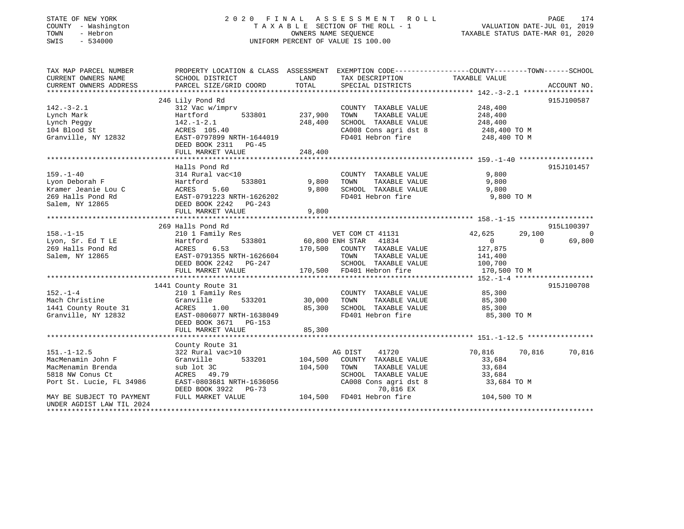| STATE OF NEW YORK<br>COUNTY - Washington<br>- Hebron<br>TOWN<br>SWIS<br>$-534000$ |                                                                                                  |               | 2020 FINAL ASSESSMENT ROLL<br>TAXABLE SECTION OF THE ROLL - 1<br>OWNERS NAME SEOUENCE<br>UNIFORM PERCENT OF VALUE IS 100.00 | PAGE 174<br>VALUATION DATE-JUL 01, 2019<br>TAXABLE STATUS DATE 11- |          |             |
|-----------------------------------------------------------------------------------|--------------------------------------------------------------------------------------------------|---------------|-----------------------------------------------------------------------------------------------------------------------------|--------------------------------------------------------------------|----------|-------------|
| TAX MAP PARCEL NUMBER                                                             | PROPERTY LOCATION & CLASS ASSESSMENT EXEMPTION CODE----------------COUNTY-------TOWN------SCHOOL |               |                                                                                                                             |                                                                    |          |             |
| CURRENT OWNERS NAME<br>CURRENT OWNERS ADDRESS                                     | SCHOOL DISTRICT<br>PARCEL SIZE/GRID COORD                                                        | LAND<br>TOTAL | TAX DESCRIPTION<br>SPECIAL DISTRICTS                                                                                        | TAXABLE VALUE                                                      |          | ACCOUNT NO. |
|                                                                                   |                                                                                                  |               |                                                                                                                             |                                                                    |          |             |
|                                                                                   | 246 Lily Pond Rd                                                                                 |               |                                                                                                                             |                                                                    |          | 915J100587  |
| $142. - 3 - 2.1$                                                                  | 312 Vac w/imprv                                                                                  |               | COUNTY TAXABLE VALUE                                                                                                        | 248,400                                                            |          |             |
| Lynch Mark                                                                        | Hartford<br>533801                                                                               | 237,900       | TOWN<br>TAXABLE VALUE                                                                                                       | 248,400                                                            |          |             |
| Lynch Peggy                                                                       | 142.-1-2.1                                                                                       | 248,400       | SCHOOL TAXABLE VALUE                                                                                                        | 248,400                                                            |          |             |
| 104 Blood St                                                                      | ACRES 105.40                                                                                     |               | CA008 Cons agri dst 8                                                                                                       | 248,400 TO M                                                       |          |             |
| Granville, NY 12832                                                               | EAST-0797899 NRTH-1644019                                                                        |               | FD401 Hebron fire                                                                                                           | 248,400 TO M                                                       |          |             |
|                                                                                   | DEED BOOK 2311 PG-45                                                                             |               |                                                                                                                             |                                                                    |          |             |
|                                                                                   | FULL MARKET VALUE                                                                                | 248,400       |                                                                                                                             |                                                                    |          |             |
|                                                                                   |                                                                                                  |               |                                                                                                                             |                                                                    |          |             |
| $159. - 1 - 40$                                                                   | Halls Pond Rd                                                                                    |               |                                                                                                                             | 9,800                                                              |          | 915J101457  |
| Lyon Deborah F                                                                    | 314 Rural vac<10<br>533801<br>Hartford                                                           | 9,800         | COUNTY TAXABLE VALUE<br>TOWN<br>TAXABLE VALUE                                                                               | 9,800                                                              |          |             |
| Kramer Jeanie Lou C                                                               | ACRES<br>5.60                                                                                    |               | 9,800 SCHOOL TAXABLE VALUE                                                                                                  | 9,800                                                              |          |             |
| 269 Halls Pond Rd                                                                 | EAST-0791223 NRTH-1626202                                                                        |               | FD401 Hebron fire                                                                                                           | 9,800 TO M                                                         |          |             |
| Salem, NY 12865                                                                   | DEED BOOK 2242 PG-243                                                                            |               |                                                                                                                             |                                                                    |          |             |
|                                                                                   | FULL MARKET VALUE                                                                                | 9,800         |                                                                                                                             |                                                                    |          |             |
|                                                                                   |                                                                                                  |               |                                                                                                                             |                                                                    |          |             |
|                                                                                   | 269 Halls Pond Rd                                                                                |               |                                                                                                                             |                                                                    |          | 915L100397  |
| $158. - 1 - 15$                                                                   | 210 1 Family Res                                                                                 |               | VET COM CT 41131                                                                                                            | 42,625                                                             | 29,100   | $\sim$ 0    |
| Lyon, Sr. Ed T LE                                                                 | 533801<br>Hartford                                                                               |               | 60,800 ENH STAR 41834                                                                                                       | $\overline{0}$                                                     | $\Omega$ | 69,800      |
| 269 Halls Pond Rd                                                                 | 6.53<br>ACRES                                                                                    |               | 170,500 COUNTY TAXABLE VALUE                                                                                                | 127,875                                                            |          |             |
| Salem, NY 12865                                                                   | EAST-0791355 NRTH-1626604                                                                        |               | TOWN<br>TAXABLE VALUE                                                                                                       | 141,400                                                            |          |             |
|                                                                                   | DEED BOOK 2242 PG-247                                                                            |               | SCHOOL TAXABLE VALUE                                                                                                        | 100,700                                                            |          |             |
|                                                                                   | FULL MARKET VALUE                                                                                |               | 170,500 FD401 Hebron fire                                                                                                   | 170,500 TO M                                                       |          |             |
|                                                                                   |                                                                                                  |               |                                                                                                                             |                                                                    |          | 915J100708  |
| 152.-1-4                                                                          | 1441 County Route 31<br>210 1 Family Res                                                         |               | COUNTY TAXABLE VALUE                                                                                                        | 85,300                                                             |          |             |
| Mach Christine                                                                    | 533201<br>Granville                                                                              | 30,000        | TOWN<br>TAXABLE VALUE                                                                                                       | 85,300                                                             |          |             |
| 1441 County Route 31                                                              | ACRES<br>1.00                                                                                    |               | 85,300 SCHOOL TAXABLE VALUE                                                                                                 | 85,300                                                             |          |             |
| Granville, NY 12832                                                               | EAST-0806077 NRTH-1638049                                                                        |               | FD401 Hebron fire                                                                                                           | 85,300 TO M                                                        |          |             |
|                                                                                   | DEED BOOK 3671 PG-153                                                                            |               |                                                                                                                             |                                                                    |          |             |
|                                                                                   | FULL MARKET VALUE                                                                                | 85,300        |                                                                                                                             |                                                                    |          |             |
|                                                                                   |                                                                                                  |               |                                                                                                                             |                                                                    |          |             |
|                                                                                   | County Route 31                                                                                  |               |                                                                                                                             |                                                                    |          |             |
| $151. - 1 - 12.5$                                                                 | 322 Rural vac>10                                                                                 |               | AG DIST<br>41720                                                                                                            | 70,816                                                             | 70,816   | 70,816      |
| MacMenamin John F                                                                 | 533201<br>Granville                                                                              | 104,500       | COUNTY TAXABLE VALUE                                                                                                        | 33,684                                                             |          |             |
| MacMenamin Brenda                                                                 | sub lot 3C                                                                                       | 104,500       | TOWN<br>TAXABLE VALUE                                                                                                       | 33,684                                                             |          |             |
| 5818 NW Conus Ct                                                                  | ACRES 49.79                                                                                      |               | SCHOOL TAXABLE VALUE                                                                                                        | 33,684                                                             |          |             |
| Port St. Lucie, FL 34986                                                          | EAST-0803681 NRTH-1636056                                                                        |               | CA008 Cons agri dst 8                                                                                                       | 33,684 TO M                                                        |          |             |
|                                                                                   | DEED BOOK 3922 PG-73                                                                             |               | 70,816 EX                                                                                                                   |                                                                    |          |             |
| MAY BE SUBJECT TO PAYMENT<br>UNDER AGDIST LAW TIL 2024                            | FULL MARKET VALUE                                                                                |               | 104,500 FD401 Hebron fire                                                                                                   | 104,500 TO M                                                       |          |             |
|                                                                                   |                                                                                                  |               |                                                                                                                             |                                                                    |          |             |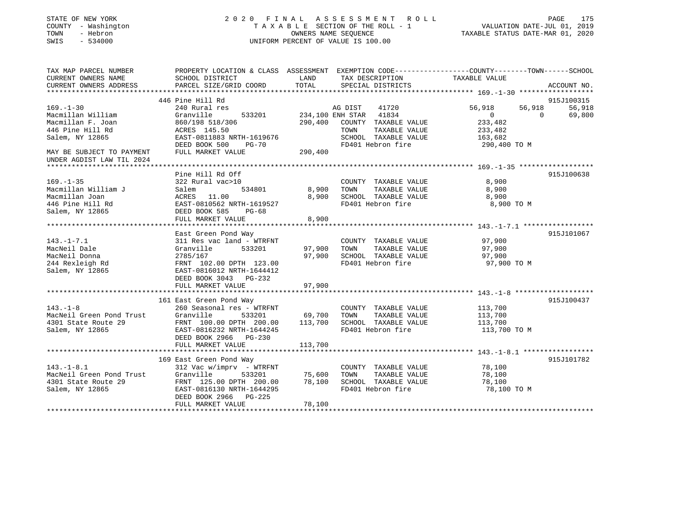| STATE OF NEW YORK<br>- Washington<br>COUNTY<br>- Hebron<br>TOWN<br>$-534000$<br>SWIS |                               |             | 2020 FINAL ASSESSMENT ROLL<br>TAXABLE SECTION OF THE ROLL - 1<br>OWNERS NAME SEQUENCE<br>UNIFORM PERCENT OF VALUE IS 100.00 | PAGE<br>VALUATION DATE-JUL 01, 2019<br>TAXABLE STATUS DATE-MAR 01, 2020                          | 175         |
|--------------------------------------------------------------------------------------|-------------------------------|-------------|-----------------------------------------------------------------------------------------------------------------------------|--------------------------------------------------------------------------------------------------|-------------|
| TAX MAP PARCEL NUMBER                                                                |                               |             |                                                                                                                             | PROPERTY LOCATION & CLASS ASSESSMENT EXEMPTION CODE----------------COUNTY-------TOWN------SCHOOL |             |
| CURRENT OWNERS NAME                                                                  | SCHOOL DISTRICT               | <b>LAND</b> | TAX DESCRIPTION TAXABLE VALUE                                                                                               |                                                                                                  |             |
| CURRENT OWNERS ADDRESS                                                               | PARCEL SIZE/GRID COORD TOTAL  |             | SPECIAL DISTRICTS                                                                                                           |                                                                                                  | ACCOUNT NO. |
|                                                                                      |                               |             |                                                                                                                             |                                                                                                  |             |
|                                                                                      | 446 Pine Hill Rd              |             |                                                                                                                             |                                                                                                  | 915J100315  |
| $169. - 1 - 30$                                                                      | 240 Rural res                 |             | AG DIST 41720                                                                                                               | 56,918<br>56,918                                                                                 | 56,918      |
| Macmillan William                                                                    | Granville<br>533201           |             | 234,100 ENH STAR<br>41834                                                                                                   | $\mathbf{0}$<br>0                                                                                | 69,800      |
| Macmillan F. Joan                                                                    | 860/198 518/306               | 290,400     | COUNTY<br>TAXABLE VALUE                                                                                                     | 233,482                                                                                          |             |
| 446 Pine Hill Rd                                                                     | <b>ACRES</b> 145.50           |             | TAXABLE VALUE<br>TOWN                                                                                                       | 233,482                                                                                          |             |
| Salem, NY 12865                                                                      | EAST-0811883 NRTH-1619676     |             | SCHOOL<br>TAXABLE VALUE                                                                                                     | 163,682                                                                                          |             |
|                                                                                      | DEED BOOK 500<br><b>PG-70</b> |             | FD401 Hebron fire                                                                                                           | 290,400 TO M                                                                                     |             |
| MAY BE SUBJECT TO PAYMENT<br>UNDER AGDIST LAW TIL 2024                               | FULL MARKET VALUE             | 290,400     |                                                                                                                             |                                                                                                  |             |
|                                                                                      |                               |             |                                                                                                                             |                                                                                                  |             |
|                                                                                      | Pine Hill Rd Off              |             |                                                                                                                             |                                                                                                  | 915J100638  |
| $169. - 1 - 35$                                                                      | 322 Rural vac>10              |             | COUNTY<br>TAXABLE VALUE                                                                                                     | 8,900                                                                                            |             |
| Macmillan William J                                                                  | Salem<br>534801               | 8,900       | TOWN<br>TAXABLE VALUE                                                                                                       | 8,900                                                                                            |             |
| Macmillan Joan                                                                       | 11.00<br>ACRES                | 8,900       | SCHOOL<br>TAXABLE VALUE                                                                                                     | 8,900                                                                                            |             |
| 446 Pine Hill Rd                                                                     | EAST-0810562 NRTH-1619527     |             | FD401 Hebron fire                                                                                                           | 8,900 TO M                                                                                       |             |
| Salem, NY 12865                                                                      | DEED BOOK 585<br>$PG-68$      |             |                                                                                                                             |                                                                                                  |             |
|                                                                                      | FULL MARKET VALUE             | 8,900       |                                                                                                                             |                                                                                                  |             |
|                                                                                      |                               |             |                                                                                                                             |                                                                                                  |             |
|                                                                                      | East Green Pond Way           |             |                                                                                                                             |                                                                                                  | 915J101067  |

|                                    | East Green Pond Way             |         |                         |              | 915J101067 |
|------------------------------------|---------------------------------|---------|-------------------------|--------------|------------|
| $143. - 1 - 7.1$                   | 311 Res vac land - WTRFNT       |         | COUNTY TAXABLE VALUE    | 97,900       |            |
| MacNeil Dale                       | Granville<br>533201             | 97,900  | TAXABLE VALUE<br>TOWN   | 97,900       |            |
| MacNeil Donna                      | 2785/167                        | 97,900  | SCHOOL TAXABLE VALUE    | 97,900       |            |
| 244 Rexleigh Rd                    | FRNT 102.00 DPTH 123.00         |         | FD401 Hebron fire       | 97,900 TO M  |            |
| Salem, NY 12865                    | EAST-0816012 NRTH-1644412       |         |                         |              |            |
|                                    | DEED BOOK 3043 PG-232           |         |                         |              |            |
|                                    | FULL MARKET VALUE               | 97,900  |                         |              |            |
|                                    |                                 |         |                         |              |            |
|                                    | 161 East Green Pond Way         |         |                         |              | 915J100437 |
| $143. - 1 - 8$                     | 260 Seasonal res - WTRFNT       |         | COUNTY<br>TAXABLE VALUE | 113,700      |            |
| MacNeil Green Pond Trust Granville | 533201 69,700                   |         | TOWN<br>TAXABLE VALUE   | 113,700      |            |
| 4301 State Route 29                | FRNT 100.00 DPTH 200.00 113,700 |         | SCHOOL TAXABLE VALUE    | 113,700      |            |
| Salem, NY 12865                    | EAST-0816232 NRTH-1644245       |         | FD401 Hebron fire       | 113,700 TO M |            |
|                                    | DEED BOOK 2966 PG-230           |         |                         |              |            |
|                                    | FULL MARKET VALUE               | 113,700 |                         |              |            |
|                                    |                                 |         |                         |              |            |
|                                    | 169 East Green Pond Way         |         |                         |              | 915J101782 |
| $143.-1-8.1$                       | 312 Vac w/imprv - WTRFNT        |         | COUNTY TAXABLE VALUE    | 78,100       |            |
| MacNeil Green Pond Trust Granville | 533201 75,600                   |         | TOWN<br>TAXABLE VALUE   | 78,100       |            |
| 4301 State Route 29                | FRNT 125.00 DPTH 200.00         | 78,100  | SCHOOL TAXABLE VALUE    | 78,100       |            |
| Salem, NY 12865                    | EAST-0816130 NRTH-1644295       |         | FD401 Hebron fire       | 78,100 TO M  |            |
|                                    | DEED BOOK 2966 PG-225           |         |                         |              |            |
|                                    | FULL MARKET VALUE               | 78,100  |                         |              |            |
|                                    |                                 |         |                         |              |            |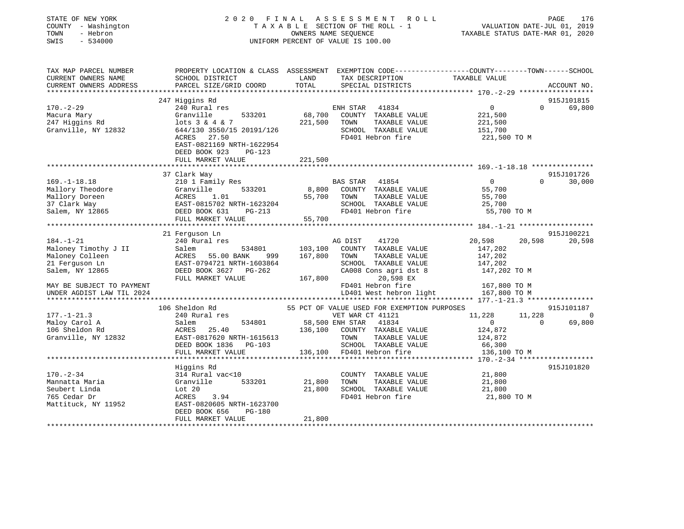| TAX MAP PARCEL NUMBER<br>PROPERTY LOCATION & CLASS ASSESSMENT EXEMPTION CODE----------------COUNTY-------TOWN-----SCHOOL<br>CURRENT OWNERS NAME<br>SCHOOL DISTRICT<br>LAND<br>TAX DESCRIPTION<br>TAXABLE VALUE<br>TOTAL<br>CURRENT OWNERS ADDRESS<br>PARCEL SIZE/GRID COORD<br>SPECIAL DISTRICTS<br>ACCOUNT NO.<br>247 Higgins Rd<br>915J101815<br>$\Omega$<br>$170. - 2 - 29$<br>240 Rural res<br>ENH STAR 41834<br>$\Omega$<br>69,800<br>68,700<br>Macura Mary<br>Granville<br>533201<br>COUNTY TAXABLE VALUE<br>221,500<br>247 Higgins Rd<br>221,500<br>$lots$ 3 & 4 & 7<br>TOWN<br>TAXABLE VALUE<br>221,500<br>644/130 3550/15 20191/126<br>SCHOOL TAXABLE VALUE<br>Granville, NY 12832<br>151,700<br>FD401 Hebron fire<br>ACRES 27.50<br>221,500 TO M<br>EAST-0821169 NRTH-1622954<br>DEED BOOK 923<br>PG-123<br>FULL MARKET VALUE<br>221,500<br>915J101726<br>37 Clark Way<br>$169. - 1 - 18.18$<br>BAS STAR 41854<br>$\overline{0}$<br>210 1 Family Res<br>$\Omega$<br>30,000<br>Mallory Theodore<br>Granville<br>533201<br>8,800<br>COUNTY TAXABLE VALUE<br>55,700<br>Mallory Doreen<br>ACRES<br>55,700<br>TOWN<br>TAXABLE VALUE<br>55,700<br>1.01<br>37 Clark Way<br>EAST-0815702 NRTH-1623204<br>SCHOOL TAXABLE VALUE<br>25,700<br>Salem, NY 12865<br>FD401 Hebron fire<br>DEED BOOK 631<br>55,700 TO M<br>PG-213<br>FULL MARKET VALUE<br>55,700<br>21 Ferguson Ln<br>915J100221<br>$184. - 1 - 21$<br>240 Rural res<br>20,598<br>20,598<br>AG DIST<br>41720<br>20,598<br>Maloney Timothy J II<br>Salem<br>534801<br>103,100<br>COUNTY TAXABLE VALUE<br>147,202<br>Maloney Colleen<br>ACRES<br>55.00 BANK<br>167,800<br>TOWN<br>TAXABLE VALUE<br>147,202<br>999<br>21 Ferguson Ln<br>EAST-0794721 NRTH-1603864<br>SCHOOL TAXABLE VALUE<br>147,202<br>DEED BOOK 3627 PG-262<br>CA008 Cons agri dst 8<br>147,202 TO M<br>Salem, NY 12865<br>FULL MARKET VALUE<br>167,800<br>20,598 EX<br>FD401 Hebron fire<br>167,800 TO M<br>MAY BE SUBJECT TO PAYMENT<br>LD401 West hebron light<br>167,800 TO M<br>UNDER AGDIST LAW TIL 2024<br>106 Sheldon Rd<br>55 PCT OF VALUE USED FOR EXEMPTION PURPOSES<br>915J101187<br>$177. - 1 - 21.3$<br>240 Rural res<br>VET WAR CT 41121<br>11,228<br>11,228<br>$\overline{0}$<br>Maloy Carol A<br>58,500 ENH STAR 41834<br>$\Omega$<br>69,800<br>Salem<br>534801<br>$\overline{0}$<br>106 Sheldon Rd<br>136,100<br>ACRES 25.40<br>COUNTY TAXABLE VALUE<br>124,872<br>Granville, NY 12832<br>EAST-0817620 NRTH-1615613<br>TAXABLE VALUE<br>TOWN<br>124,872<br>SCHOOL TAXABLE VALUE<br>DEED BOOK 1836 PG-103<br>66,300<br>FULL MARKET VALUE<br>136,100 FD401 Hebron fire<br>136,100 TO M<br>Higgins Rd<br>915J101820<br>$170. - 2 - 34$<br>314 Rural vac<10<br>21,800<br>COUNTY TAXABLE VALUE<br>Mannatta Maria<br>Granville<br>533201<br>21,800<br>TOWN<br>TAXABLE VALUE<br>21,800<br>Seubert Linda<br>Lot 20<br>21,800<br>SCHOOL TAXABLE VALUE<br>21,800<br>765 Cedar Dr<br>ACRES<br>FD401 Hebron fire<br>21,800 TO M<br>3.94<br>EAST-0820605 NRTH-1623700<br>Mattituck, NY 11952<br>DEED BOOK 656<br>PG-180<br>FULL MARKET VALUE<br>21,800 | STATE OF NEW YORK<br>COUNTY - Washington<br>TOWN<br>- Hebron<br>$-534000$<br>SWIS | 2020 FINAL ASSESSMENT ROLL<br>TAXABLE SECTION OF THE ROLL - 1<br>OWNERS NAME SEOUENCE<br>UNIFORM PERCENT OF VALUE IS 100.00 | PAGE<br>176<br>VALUATION DATE-JUL 01, 2019<br>TAXABLE STATUS DATE-MAR 01, 2020 |
|--------------------------------------------------------------------------------------------------------------------------------------------------------------------------------------------------------------------------------------------------------------------------------------------------------------------------------------------------------------------------------------------------------------------------------------------------------------------------------------------------------------------------------------------------------------------------------------------------------------------------------------------------------------------------------------------------------------------------------------------------------------------------------------------------------------------------------------------------------------------------------------------------------------------------------------------------------------------------------------------------------------------------------------------------------------------------------------------------------------------------------------------------------------------------------------------------------------------------------------------------------------------------------------------------------------------------------------------------------------------------------------------------------------------------------------------------------------------------------------------------------------------------------------------------------------------------------------------------------------------------------------------------------------------------------------------------------------------------------------------------------------------------------------------------------------------------------------------------------------------------------------------------------------------------------------------------------------------------------------------------------------------------------------------------------------------------------------------------------------------------------------------------------------------------------------------------------------------------------------------------------------------------------------------------------------------------------------------------------------------------------------------------------------------------------------------------------------------------------------------------------------------------------------------------------------------------------------------------------------------------------------------------------------------------------------------------------------------------------------------------------------------------------------------------------------------------------------------------------------------------------------------------------------------------------------------------------------------------------------------------------------------------------------------------------------------------------------|-----------------------------------------------------------------------------------|-----------------------------------------------------------------------------------------------------------------------------|--------------------------------------------------------------------------------|
|                                                                                                                                                                                                                                                                                                                                                                                                                                                                                                                                                                                                                                                                                                                                                                                                                                                                                                                                                                                                                                                                                                                                                                                                                                                                                                                                                                                                                                                                                                                                                                                                                                                                                                                                                                                                                                                                                                                                                                                                                                                                                                                                                                                                                                                                                                                                                                                                                                                                                                                                                                                                                                                                                                                                                                                                                                                                                                                                                                                                                                                                                      |                                                                                   |                                                                                                                             |                                                                                |
|                                                                                                                                                                                                                                                                                                                                                                                                                                                                                                                                                                                                                                                                                                                                                                                                                                                                                                                                                                                                                                                                                                                                                                                                                                                                                                                                                                                                                                                                                                                                                                                                                                                                                                                                                                                                                                                                                                                                                                                                                                                                                                                                                                                                                                                                                                                                                                                                                                                                                                                                                                                                                                                                                                                                                                                                                                                                                                                                                                                                                                                                                      |                                                                                   |                                                                                                                             |                                                                                |
|                                                                                                                                                                                                                                                                                                                                                                                                                                                                                                                                                                                                                                                                                                                                                                                                                                                                                                                                                                                                                                                                                                                                                                                                                                                                                                                                                                                                                                                                                                                                                                                                                                                                                                                                                                                                                                                                                                                                                                                                                                                                                                                                                                                                                                                                                                                                                                                                                                                                                                                                                                                                                                                                                                                                                                                                                                                                                                                                                                                                                                                                                      |                                                                                   |                                                                                                                             |                                                                                |
|                                                                                                                                                                                                                                                                                                                                                                                                                                                                                                                                                                                                                                                                                                                                                                                                                                                                                                                                                                                                                                                                                                                                                                                                                                                                                                                                                                                                                                                                                                                                                                                                                                                                                                                                                                                                                                                                                                                                                                                                                                                                                                                                                                                                                                                                                                                                                                                                                                                                                                                                                                                                                                                                                                                                                                                                                                                                                                                                                                                                                                                                                      |                                                                                   |                                                                                                                             |                                                                                |
|                                                                                                                                                                                                                                                                                                                                                                                                                                                                                                                                                                                                                                                                                                                                                                                                                                                                                                                                                                                                                                                                                                                                                                                                                                                                                                                                                                                                                                                                                                                                                                                                                                                                                                                                                                                                                                                                                                                                                                                                                                                                                                                                                                                                                                                                                                                                                                                                                                                                                                                                                                                                                                                                                                                                                                                                                                                                                                                                                                                                                                                                                      |                                                                                   |                                                                                                                             |                                                                                |
|                                                                                                                                                                                                                                                                                                                                                                                                                                                                                                                                                                                                                                                                                                                                                                                                                                                                                                                                                                                                                                                                                                                                                                                                                                                                                                                                                                                                                                                                                                                                                                                                                                                                                                                                                                                                                                                                                                                                                                                                                                                                                                                                                                                                                                                                                                                                                                                                                                                                                                                                                                                                                                                                                                                                                                                                                                                                                                                                                                                                                                                                                      |                                                                                   |                                                                                                                             |                                                                                |
|                                                                                                                                                                                                                                                                                                                                                                                                                                                                                                                                                                                                                                                                                                                                                                                                                                                                                                                                                                                                                                                                                                                                                                                                                                                                                                                                                                                                                                                                                                                                                                                                                                                                                                                                                                                                                                                                                                                                                                                                                                                                                                                                                                                                                                                                                                                                                                                                                                                                                                                                                                                                                                                                                                                                                                                                                                                                                                                                                                                                                                                                                      |                                                                                   |                                                                                                                             |                                                                                |
|                                                                                                                                                                                                                                                                                                                                                                                                                                                                                                                                                                                                                                                                                                                                                                                                                                                                                                                                                                                                                                                                                                                                                                                                                                                                                                                                                                                                                                                                                                                                                                                                                                                                                                                                                                                                                                                                                                                                                                                                                                                                                                                                                                                                                                                                                                                                                                                                                                                                                                                                                                                                                                                                                                                                                                                                                                                                                                                                                                                                                                                                                      |                                                                                   |                                                                                                                             |                                                                                |
|                                                                                                                                                                                                                                                                                                                                                                                                                                                                                                                                                                                                                                                                                                                                                                                                                                                                                                                                                                                                                                                                                                                                                                                                                                                                                                                                                                                                                                                                                                                                                                                                                                                                                                                                                                                                                                                                                                                                                                                                                                                                                                                                                                                                                                                                                                                                                                                                                                                                                                                                                                                                                                                                                                                                                                                                                                                                                                                                                                                                                                                                                      |                                                                                   |                                                                                                                             |                                                                                |
|                                                                                                                                                                                                                                                                                                                                                                                                                                                                                                                                                                                                                                                                                                                                                                                                                                                                                                                                                                                                                                                                                                                                                                                                                                                                                                                                                                                                                                                                                                                                                                                                                                                                                                                                                                                                                                                                                                                                                                                                                                                                                                                                                                                                                                                                                                                                                                                                                                                                                                                                                                                                                                                                                                                                                                                                                                                                                                                                                                                                                                                                                      |                                                                                   |                                                                                                                             |                                                                                |
|                                                                                                                                                                                                                                                                                                                                                                                                                                                                                                                                                                                                                                                                                                                                                                                                                                                                                                                                                                                                                                                                                                                                                                                                                                                                                                                                                                                                                                                                                                                                                                                                                                                                                                                                                                                                                                                                                                                                                                                                                                                                                                                                                                                                                                                                                                                                                                                                                                                                                                                                                                                                                                                                                                                                                                                                                                                                                                                                                                                                                                                                                      |                                                                                   |                                                                                                                             |                                                                                |
|                                                                                                                                                                                                                                                                                                                                                                                                                                                                                                                                                                                                                                                                                                                                                                                                                                                                                                                                                                                                                                                                                                                                                                                                                                                                                                                                                                                                                                                                                                                                                                                                                                                                                                                                                                                                                                                                                                                                                                                                                                                                                                                                                                                                                                                                                                                                                                                                                                                                                                                                                                                                                                                                                                                                                                                                                                                                                                                                                                                                                                                                                      |                                                                                   |                                                                                                                             |                                                                                |
|                                                                                                                                                                                                                                                                                                                                                                                                                                                                                                                                                                                                                                                                                                                                                                                                                                                                                                                                                                                                                                                                                                                                                                                                                                                                                                                                                                                                                                                                                                                                                                                                                                                                                                                                                                                                                                                                                                                                                                                                                                                                                                                                                                                                                                                                                                                                                                                                                                                                                                                                                                                                                                                                                                                                                                                                                                                                                                                                                                                                                                                                                      |                                                                                   |                                                                                                                             |                                                                                |
|                                                                                                                                                                                                                                                                                                                                                                                                                                                                                                                                                                                                                                                                                                                                                                                                                                                                                                                                                                                                                                                                                                                                                                                                                                                                                                                                                                                                                                                                                                                                                                                                                                                                                                                                                                                                                                                                                                                                                                                                                                                                                                                                                                                                                                                                                                                                                                                                                                                                                                                                                                                                                                                                                                                                                                                                                                                                                                                                                                                                                                                                                      |                                                                                   |                                                                                                                             |                                                                                |
|                                                                                                                                                                                                                                                                                                                                                                                                                                                                                                                                                                                                                                                                                                                                                                                                                                                                                                                                                                                                                                                                                                                                                                                                                                                                                                                                                                                                                                                                                                                                                                                                                                                                                                                                                                                                                                                                                                                                                                                                                                                                                                                                                                                                                                                                                                                                                                                                                                                                                                                                                                                                                                                                                                                                                                                                                                                                                                                                                                                                                                                                                      |                                                                                   |                                                                                                                             |                                                                                |
|                                                                                                                                                                                                                                                                                                                                                                                                                                                                                                                                                                                                                                                                                                                                                                                                                                                                                                                                                                                                                                                                                                                                                                                                                                                                                                                                                                                                                                                                                                                                                                                                                                                                                                                                                                                                                                                                                                                                                                                                                                                                                                                                                                                                                                                                                                                                                                                                                                                                                                                                                                                                                                                                                                                                                                                                                                                                                                                                                                                                                                                                                      |                                                                                   |                                                                                                                             |                                                                                |
|                                                                                                                                                                                                                                                                                                                                                                                                                                                                                                                                                                                                                                                                                                                                                                                                                                                                                                                                                                                                                                                                                                                                                                                                                                                                                                                                                                                                                                                                                                                                                                                                                                                                                                                                                                                                                                                                                                                                                                                                                                                                                                                                                                                                                                                                                                                                                                                                                                                                                                                                                                                                                                                                                                                                                                                                                                                                                                                                                                                                                                                                                      |                                                                                   |                                                                                                                             |                                                                                |
|                                                                                                                                                                                                                                                                                                                                                                                                                                                                                                                                                                                                                                                                                                                                                                                                                                                                                                                                                                                                                                                                                                                                                                                                                                                                                                                                                                                                                                                                                                                                                                                                                                                                                                                                                                                                                                                                                                                                                                                                                                                                                                                                                                                                                                                                                                                                                                                                                                                                                                                                                                                                                                                                                                                                                                                                                                                                                                                                                                                                                                                                                      |                                                                                   |                                                                                                                             |                                                                                |
|                                                                                                                                                                                                                                                                                                                                                                                                                                                                                                                                                                                                                                                                                                                                                                                                                                                                                                                                                                                                                                                                                                                                                                                                                                                                                                                                                                                                                                                                                                                                                                                                                                                                                                                                                                                                                                                                                                                                                                                                                                                                                                                                                                                                                                                                                                                                                                                                                                                                                                                                                                                                                                                                                                                                                                                                                                                                                                                                                                                                                                                                                      |                                                                                   |                                                                                                                             |                                                                                |
|                                                                                                                                                                                                                                                                                                                                                                                                                                                                                                                                                                                                                                                                                                                                                                                                                                                                                                                                                                                                                                                                                                                                                                                                                                                                                                                                                                                                                                                                                                                                                                                                                                                                                                                                                                                                                                                                                                                                                                                                                                                                                                                                                                                                                                                                                                                                                                                                                                                                                                                                                                                                                                                                                                                                                                                                                                                                                                                                                                                                                                                                                      |                                                                                   |                                                                                                                             |                                                                                |
|                                                                                                                                                                                                                                                                                                                                                                                                                                                                                                                                                                                                                                                                                                                                                                                                                                                                                                                                                                                                                                                                                                                                                                                                                                                                                                                                                                                                                                                                                                                                                                                                                                                                                                                                                                                                                                                                                                                                                                                                                                                                                                                                                                                                                                                                                                                                                                                                                                                                                                                                                                                                                                                                                                                                                                                                                                                                                                                                                                                                                                                                                      |                                                                                   |                                                                                                                             |                                                                                |
|                                                                                                                                                                                                                                                                                                                                                                                                                                                                                                                                                                                                                                                                                                                                                                                                                                                                                                                                                                                                                                                                                                                                                                                                                                                                                                                                                                                                                                                                                                                                                                                                                                                                                                                                                                                                                                                                                                                                                                                                                                                                                                                                                                                                                                                                                                                                                                                                                                                                                                                                                                                                                                                                                                                                                                                                                                                                                                                                                                                                                                                                                      |                                                                                   |                                                                                                                             |                                                                                |
|                                                                                                                                                                                                                                                                                                                                                                                                                                                                                                                                                                                                                                                                                                                                                                                                                                                                                                                                                                                                                                                                                                                                                                                                                                                                                                                                                                                                                                                                                                                                                                                                                                                                                                                                                                                                                                                                                                                                                                                                                                                                                                                                                                                                                                                                                                                                                                                                                                                                                                                                                                                                                                                                                                                                                                                                                                                                                                                                                                                                                                                                                      |                                                                                   |                                                                                                                             |                                                                                |
|                                                                                                                                                                                                                                                                                                                                                                                                                                                                                                                                                                                                                                                                                                                                                                                                                                                                                                                                                                                                                                                                                                                                                                                                                                                                                                                                                                                                                                                                                                                                                                                                                                                                                                                                                                                                                                                                                                                                                                                                                                                                                                                                                                                                                                                                                                                                                                                                                                                                                                                                                                                                                                                                                                                                                                                                                                                                                                                                                                                                                                                                                      |                                                                                   |                                                                                                                             |                                                                                |
|                                                                                                                                                                                                                                                                                                                                                                                                                                                                                                                                                                                                                                                                                                                                                                                                                                                                                                                                                                                                                                                                                                                                                                                                                                                                                                                                                                                                                                                                                                                                                                                                                                                                                                                                                                                                                                                                                                                                                                                                                                                                                                                                                                                                                                                                                                                                                                                                                                                                                                                                                                                                                                                                                                                                                                                                                                                                                                                                                                                                                                                                                      |                                                                                   |                                                                                                                             |                                                                                |
|                                                                                                                                                                                                                                                                                                                                                                                                                                                                                                                                                                                                                                                                                                                                                                                                                                                                                                                                                                                                                                                                                                                                                                                                                                                                                                                                                                                                                                                                                                                                                                                                                                                                                                                                                                                                                                                                                                                                                                                                                                                                                                                                                                                                                                                                                                                                                                                                                                                                                                                                                                                                                                                                                                                                                                                                                                                                                                                                                                                                                                                                                      |                                                                                   |                                                                                                                             |                                                                                |
|                                                                                                                                                                                                                                                                                                                                                                                                                                                                                                                                                                                                                                                                                                                                                                                                                                                                                                                                                                                                                                                                                                                                                                                                                                                                                                                                                                                                                                                                                                                                                                                                                                                                                                                                                                                                                                                                                                                                                                                                                                                                                                                                                                                                                                                                                                                                                                                                                                                                                                                                                                                                                                                                                                                                                                                                                                                                                                                                                                                                                                                                                      |                                                                                   |                                                                                                                             |                                                                                |
|                                                                                                                                                                                                                                                                                                                                                                                                                                                                                                                                                                                                                                                                                                                                                                                                                                                                                                                                                                                                                                                                                                                                                                                                                                                                                                                                                                                                                                                                                                                                                                                                                                                                                                                                                                                                                                                                                                                                                                                                                                                                                                                                                                                                                                                                                                                                                                                                                                                                                                                                                                                                                                                                                                                                                                                                                                                                                                                                                                                                                                                                                      |                                                                                   |                                                                                                                             |                                                                                |
|                                                                                                                                                                                                                                                                                                                                                                                                                                                                                                                                                                                                                                                                                                                                                                                                                                                                                                                                                                                                                                                                                                                                                                                                                                                                                                                                                                                                                                                                                                                                                                                                                                                                                                                                                                                                                                                                                                                                                                                                                                                                                                                                                                                                                                                                                                                                                                                                                                                                                                                                                                                                                                                                                                                                                                                                                                                                                                                                                                                                                                                                                      |                                                                                   |                                                                                                                             |                                                                                |
|                                                                                                                                                                                                                                                                                                                                                                                                                                                                                                                                                                                                                                                                                                                                                                                                                                                                                                                                                                                                                                                                                                                                                                                                                                                                                                                                                                                                                                                                                                                                                                                                                                                                                                                                                                                                                                                                                                                                                                                                                                                                                                                                                                                                                                                                                                                                                                                                                                                                                                                                                                                                                                                                                                                                                                                                                                                                                                                                                                                                                                                                                      |                                                                                   |                                                                                                                             |                                                                                |
|                                                                                                                                                                                                                                                                                                                                                                                                                                                                                                                                                                                                                                                                                                                                                                                                                                                                                                                                                                                                                                                                                                                                                                                                                                                                                                                                                                                                                                                                                                                                                                                                                                                                                                                                                                                                                                                                                                                                                                                                                                                                                                                                                                                                                                                                                                                                                                                                                                                                                                                                                                                                                                                                                                                                                                                                                                                                                                                                                                                                                                                                                      |                                                                                   |                                                                                                                             |                                                                                |
|                                                                                                                                                                                                                                                                                                                                                                                                                                                                                                                                                                                                                                                                                                                                                                                                                                                                                                                                                                                                                                                                                                                                                                                                                                                                                                                                                                                                                                                                                                                                                                                                                                                                                                                                                                                                                                                                                                                                                                                                                                                                                                                                                                                                                                                                                                                                                                                                                                                                                                                                                                                                                                                                                                                                                                                                                                                                                                                                                                                                                                                                                      |                                                                                   |                                                                                                                             |                                                                                |
|                                                                                                                                                                                                                                                                                                                                                                                                                                                                                                                                                                                                                                                                                                                                                                                                                                                                                                                                                                                                                                                                                                                                                                                                                                                                                                                                                                                                                                                                                                                                                                                                                                                                                                                                                                                                                                                                                                                                                                                                                                                                                                                                                                                                                                                                                                                                                                                                                                                                                                                                                                                                                                                                                                                                                                                                                                                                                                                                                                                                                                                                                      |                                                                                   |                                                                                                                             |                                                                                |
|                                                                                                                                                                                                                                                                                                                                                                                                                                                                                                                                                                                                                                                                                                                                                                                                                                                                                                                                                                                                                                                                                                                                                                                                                                                                                                                                                                                                                                                                                                                                                                                                                                                                                                                                                                                                                                                                                                                                                                                                                                                                                                                                                                                                                                                                                                                                                                                                                                                                                                                                                                                                                                                                                                                                                                                                                                                                                                                                                                                                                                                                                      |                                                                                   |                                                                                                                             |                                                                                |
|                                                                                                                                                                                                                                                                                                                                                                                                                                                                                                                                                                                                                                                                                                                                                                                                                                                                                                                                                                                                                                                                                                                                                                                                                                                                                                                                                                                                                                                                                                                                                                                                                                                                                                                                                                                                                                                                                                                                                                                                                                                                                                                                                                                                                                                                                                                                                                                                                                                                                                                                                                                                                                                                                                                                                                                                                                                                                                                                                                                                                                                                                      |                                                                                   |                                                                                                                             |                                                                                |
|                                                                                                                                                                                                                                                                                                                                                                                                                                                                                                                                                                                                                                                                                                                                                                                                                                                                                                                                                                                                                                                                                                                                                                                                                                                                                                                                                                                                                                                                                                                                                                                                                                                                                                                                                                                                                                                                                                                                                                                                                                                                                                                                                                                                                                                                                                                                                                                                                                                                                                                                                                                                                                                                                                                                                                                                                                                                                                                                                                                                                                                                                      |                                                                                   |                                                                                                                             |                                                                                |
|                                                                                                                                                                                                                                                                                                                                                                                                                                                                                                                                                                                                                                                                                                                                                                                                                                                                                                                                                                                                                                                                                                                                                                                                                                                                                                                                                                                                                                                                                                                                                                                                                                                                                                                                                                                                                                                                                                                                                                                                                                                                                                                                                                                                                                                                                                                                                                                                                                                                                                                                                                                                                                                                                                                                                                                                                                                                                                                                                                                                                                                                                      |                                                                                   |                                                                                                                             |                                                                                |
|                                                                                                                                                                                                                                                                                                                                                                                                                                                                                                                                                                                                                                                                                                                                                                                                                                                                                                                                                                                                                                                                                                                                                                                                                                                                                                                                                                                                                                                                                                                                                                                                                                                                                                                                                                                                                                                                                                                                                                                                                                                                                                                                                                                                                                                                                                                                                                                                                                                                                                                                                                                                                                                                                                                                                                                                                                                                                                                                                                                                                                                                                      |                                                                                   |                                                                                                                             |                                                                                |
|                                                                                                                                                                                                                                                                                                                                                                                                                                                                                                                                                                                                                                                                                                                                                                                                                                                                                                                                                                                                                                                                                                                                                                                                                                                                                                                                                                                                                                                                                                                                                                                                                                                                                                                                                                                                                                                                                                                                                                                                                                                                                                                                                                                                                                                                                                                                                                                                                                                                                                                                                                                                                                                                                                                                                                                                                                                                                                                                                                                                                                                                                      |                                                                                   |                                                                                                                             |                                                                                |
|                                                                                                                                                                                                                                                                                                                                                                                                                                                                                                                                                                                                                                                                                                                                                                                                                                                                                                                                                                                                                                                                                                                                                                                                                                                                                                                                                                                                                                                                                                                                                                                                                                                                                                                                                                                                                                                                                                                                                                                                                                                                                                                                                                                                                                                                                                                                                                                                                                                                                                                                                                                                                                                                                                                                                                                                                                                                                                                                                                                                                                                                                      |                                                                                   |                                                                                                                             |                                                                                |
|                                                                                                                                                                                                                                                                                                                                                                                                                                                                                                                                                                                                                                                                                                                                                                                                                                                                                                                                                                                                                                                                                                                                                                                                                                                                                                                                                                                                                                                                                                                                                                                                                                                                                                                                                                                                                                                                                                                                                                                                                                                                                                                                                                                                                                                                                                                                                                                                                                                                                                                                                                                                                                                                                                                                                                                                                                                                                                                                                                                                                                                                                      |                                                                                   |                                                                                                                             |                                                                                |
|                                                                                                                                                                                                                                                                                                                                                                                                                                                                                                                                                                                                                                                                                                                                                                                                                                                                                                                                                                                                                                                                                                                                                                                                                                                                                                                                                                                                                                                                                                                                                                                                                                                                                                                                                                                                                                                                                                                                                                                                                                                                                                                                                                                                                                                                                                                                                                                                                                                                                                                                                                                                                                                                                                                                                                                                                                                                                                                                                                                                                                                                                      |                                                                                   |                                                                                                                             |                                                                                |
|                                                                                                                                                                                                                                                                                                                                                                                                                                                                                                                                                                                                                                                                                                                                                                                                                                                                                                                                                                                                                                                                                                                                                                                                                                                                                                                                                                                                                                                                                                                                                                                                                                                                                                                                                                                                                                                                                                                                                                                                                                                                                                                                                                                                                                                                                                                                                                                                                                                                                                                                                                                                                                                                                                                                                                                                                                                                                                                                                                                                                                                                                      |                                                                                   |                                                                                                                             |                                                                                |
|                                                                                                                                                                                                                                                                                                                                                                                                                                                                                                                                                                                                                                                                                                                                                                                                                                                                                                                                                                                                                                                                                                                                                                                                                                                                                                                                                                                                                                                                                                                                                                                                                                                                                                                                                                                                                                                                                                                                                                                                                                                                                                                                                                                                                                                                                                                                                                                                                                                                                                                                                                                                                                                                                                                                                                                                                                                                                                                                                                                                                                                                                      |                                                                                   |                                                                                                                             |                                                                                |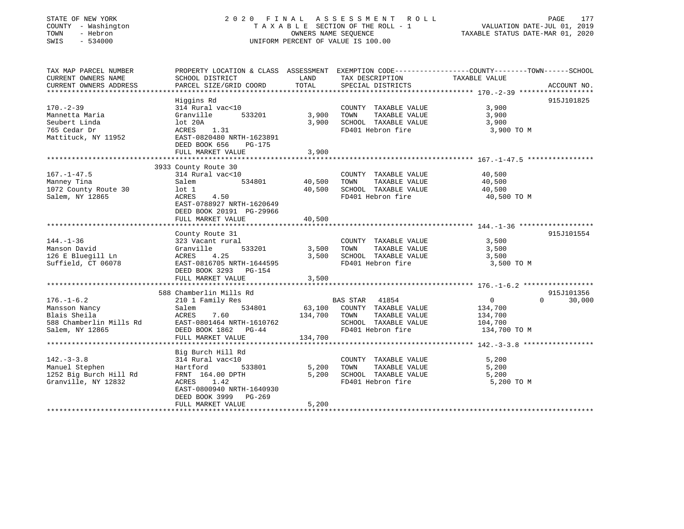| STATE OF NEW YORK  |          |                     |  |
|--------------------|----------|---------------------|--|
|                    |          | COUNTY - Washington |  |
| TOWN               | - Hebron |                     |  |
| 77.77 <sub>m</sub> |          | 5.1000              |  |

### STATE OF NEW YORK 2 0 2 0 F I N A L A S S E S S M E N T R O L L PAGE 177 COUNTY - Washington T A X A B L E SECTION OF THE ROLL - 1 VALUATION DATE-JUL 01, 2019 TOWN - Hebron OWNERS NAME SEQUENCE TAXABLE STATUS DATE-MAR 01, 2020 SWIS - 534000 UNIFORM PERCENT OF VALUE IS 100.00

| TAX MAP PARCEL NUMBER<br>CURRENT OWNERS NAME<br>CURRENT OWNERS ADDRESS                          | PROPERTY LOCATION & CLASS ASSESSMENT EXEMPTION CODE---------------COUNTY-------TOWN-----SCHOOL<br>SCHOOL DISTRICT<br>PARCEL SIZE/GRID COORD                                    | LAND<br>TOTAL           | TAX DESCRIPTION TAXABLE VALUE<br>SPECIAL DISTRICTS                                                          |                                                                 | ACCOUNT NO.        |
|-------------------------------------------------------------------------------------------------|--------------------------------------------------------------------------------------------------------------------------------------------------------------------------------|-------------------------|-------------------------------------------------------------------------------------------------------------|-----------------------------------------------------------------|--------------------|
| $170. - 2 - 39$<br>Mannetta Maria<br>Seubert Linda<br>765 Cedar Dr<br>Mattituck, NY 11952       | Higgins Rd<br>314 Rural vac<10<br>Granville<br>533201<br>lot 20A<br>1.31<br>ACRES<br>EAST-0820480 NRTH-1623891<br>DEED BOOK 656<br>PG-175                                      | 3,900<br>3,900          | COUNTY TAXABLE VALUE<br>TAXABLE VALUE<br>TOWN<br>SCHOOL TAXABLE VALUE<br>FD401 Hebron fire                  | 3,900<br>3,900<br>3,900<br>3,900 TO M                           | 915J101825         |
|                                                                                                 | FULL MARKET VALUE                                                                                                                                                              | 3,900                   |                                                                                                             |                                                                 |                    |
|                                                                                                 | 3933 County Route 30                                                                                                                                                           |                         |                                                                                                             |                                                                 |                    |
| $167. - 1 - 47.5$<br>Manney Tina<br>1072 County Route 30<br>Salem, NY 12865                     | 314 Rural vac<10<br>534801<br>Salem<br>lot 1<br>ACRES<br>4.50<br>EAST-0788927 NRTH-1620649<br>DEED BOOK 20191 PG-29966                                                         | 40,500<br>40,500        | COUNTY TAXABLE VALUE<br>TAXABLE VALUE<br>TOWN<br>SCHOOL TAXABLE VALUE<br>FD401 Hebron fire                  | 40,500<br>40,500<br>40,500<br>40,500 TO M                       |                    |
|                                                                                                 | FULL MARKET VALUE                                                                                                                                                              | 40,500                  |                                                                                                             |                                                                 |                    |
| $144. - 1 - 36$<br>Manson David<br>126 E Bluegill Ln<br>Suffield, CT 06078                      | County Route 31<br>323 Vacant rural<br>533201<br>Granville<br>4.25<br>ACRES<br>EAST-0816705 NRTH-1644595<br>DEED BOOK 3293 PG-154<br>FULL MARKET VALUE                         | 3,500<br>3,500<br>3,500 | COUNTY TAXABLE VALUE<br>SCHOOL TAXABLE VALUE<br>FD401 Hebron fire                                           | 3,500<br>3,500<br>3,500<br>3,500 TO M                           | 915J101554         |
|                                                                                                 | 588 Chamberlin Mills Rd                                                                                                                                                        |                         |                                                                                                             |                                                                 | 915J101356         |
| $176. - 1 - 6.2$<br>Mansson Nancy<br>Blais Sheila<br>588 Chamberlin Mills Rd<br>Salem, NY 12865 | 210 1 Family Res<br>534801<br>Salem<br>7.60<br>ACRES<br>EAST-0801464 NRTH-1610762<br>DEED BOOK 1862 PG-44<br>FULL MARKET VALUE                                                 | 134,700 TOWN<br>134,700 | BAS STAR 41854<br>63,100 COUNTY TAXABLE VALUE<br>TAXABLE VALUE<br>SCHOOL TAXABLE VALUE<br>FD401 Hebron fire | $\overline{0}$<br>134,700<br>134,700<br>104,700<br>134,700 TO M | $\Omega$<br>30,000 |
| $142. - 3 - 3.8$<br>Manuel Stephen<br>1252 Big Burch Hill Rd<br>Granville, NY 12832             | Big Burch Hill Rd<br>314 Rural vac<10<br>533801<br>Hartford<br>FRNT 164.00 DPTH<br>ACRES<br>1.42<br>EAST-0800940 NRTH-1640930<br>DEED BOOK 3999<br>PG-269<br>FULL MARKET VALUE | 5,200<br>5,200<br>5,200 | COUNTY TAXABLE VALUE<br>TOWN<br>TAXABLE VALUE<br>SCHOOL TAXABLE VALUE<br>FD401 Hebron fire                  | 5,200<br>5,200<br>5,200<br>5,200 TO M                           |                    |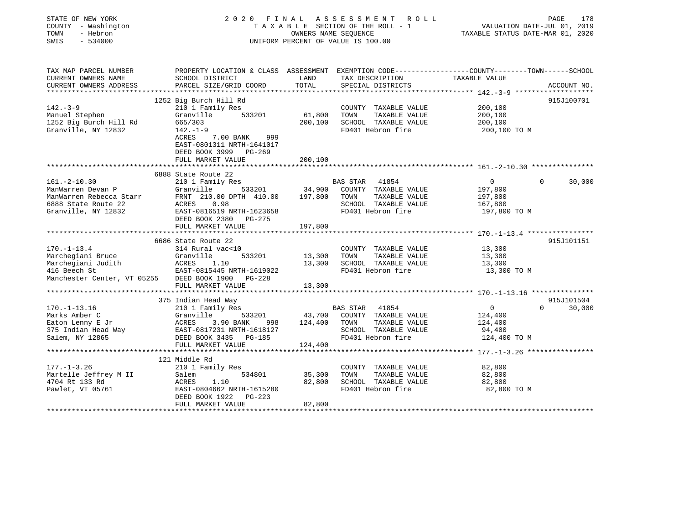| STATE OF NEW YORK<br>COUNTY - Washington<br>TOWN<br>- Hebron<br>SWIS<br>$-534000$                                |                                                                                                                                                                                                        |                              | 2020 FINAL ASSESSMENT<br>R O L L<br>TAXABLE SECTION OF THE ROLL - 1<br>OWNERS NAME SEQUENCE<br>UNIFORM PERCENT OF VALUE IS 100.00        |                                                                 | PAGE<br>178<br>VALUATION DATE-JUL 01, 2019<br>TAXABLE STATUS DATE-MAR 01, 2020 |
|------------------------------------------------------------------------------------------------------------------|--------------------------------------------------------------------------------------------------------------------------------------------------------------------------------------------------------|------------------------------|------------------------------------------------------------------------------------------------------------------------------------------|-----------------------------------------------------------------|--------------------------------------------------------------------------------|
| TAX MAP PARCEL NUMBER<br>CURRENT OWNERS NAME<br>CURRENT OWNERS ADDRESS<br>********************                   | SCHOOL DISTRICT<br>PARCEL SIZE/GRID COORD<br>***************************                                                                                                                               | LAND<br>TOTAL                | PROPERTY LOCATION & CLASS ASSESSMENT EXEMPTION CODE----------------COUNTY-------TOWN------SCHOOL<br>TAX DESCRIPTION<br>SPECIAL DISTRICTS | TAXABLE VALUE                                                   | ACCOUNT NO.                                                                    |
| $142 - 3 - 9$<br>Manuel Stephen<br>1252 Big Burch Hill Rd<br>Granville, NY 12832                                 | 1252 Big Burch Hill Rd<br>210 1 Family Res<br>Granville<br>533201<br>665/303<br>$142. - 1 - 9$<br>ACRES<br>7.00 BANK<br>999<br>EAST-0801311 NRTH-1641017<br>DEED BOOK 3999 PG-269<br>FULL MARKET VALUE | 61,800<br>200,100<br>200,100 | COUNTY TAXABLE VALUE<br>TOWN<br>TAXABLE VALUE<br>SCHOOL TAXABLE VALUE<br>FD401 Hebron fire                                               | 200,100<br>200,100<br>200,100<br>200,100 TO M                   | 915J100701                                                                     |
|                                                                                                                  |                                                                                                                                                                                                        |                              |                                                                                                                                          |                                                                 |                                                                                |
| $161. - 2 - 10.30$<br>ManWarren Devan P<br>ManWarren Rebecca Starr<br>6888 State Route 22<br>Granville, NY 12832 | 6888 State Route 22<br>210 1 Family Res<br>Granville<br>533201<br>FRNT 210.00 DPTH 410.00<br>ACRES<br>0.98<br>EAST-0816519 NRTH-1623658<br>DEED BOOK 2380 PG-275                                       | 34,900<br>197,800            | BAS STAR 41854<br>COUNTY TAXABLE VALUE<br>TOWN<br>TAXABLE VALUE<br>SCHOOL TAXABLE VALUE<br>FD401 Hebron fire                             | $\overline{0}$<br>197,800<br>197,800<br>167,800<br>197,800 TO M | $\Omega$<br>30,000                                                             |
|                                                                                                                  | FULL MARKET VALUE                                                                                                                                                                                      | 197,800                      |                                                                                                                                          |                                                                 |                                                                                |
| $170. - 1 - 13.4$<br>Marchegiani Bruce<br>Marchegiani Judith<br>416 Beech St<br>Manchester Center, VT 05255      | 6686 State Route 22<br>314 Rural vac<10<br>Granville<br>533201<br>ACRES<br>1.10<br>EAST-0815445 NRTH-1619022<br>DEED BOOK 1900 PG-228                                                                  | 13,300<br>13,300             | COUNTY TAXABLE VALUE<br>TOWN<br>TAXABLE VALUE<br>SCHOOL TAXABLE VALUE<br>FD401 Hebron fire                                               | 13,300<br>13,300<br>13,300<br>13,300 TO M                       | 915J101151                                                                     |
|                                                                                                                  | FULL MARKET VALUE                                                                                                                                                                                      | 13,300                       |                                                                                                                                          |                                                                 |                                                                                |
| $170. - 1 - 13.16$<br>Marks Amber C<br>Eaton Lenny E Jr<br>375 Indian Head Way<br>Salem, NY 12865                | 375 Indian Head Way<br>210 1 Family Res<br>Granville<br>533201<br>ACRES<br>3.90 BANK<br>998<br>EAST-0817231 NRTH-1618127<br>DEED BOOK 3435 PG-185                                                      | 43,700<br>124,400            | <b>BAS STAR</b><br>41854<br>COUNTY TAXABLE VALUE<br>TOWN<br>TAXABLE VALUE<br>SCHOOL TAXABLE VALUE<br>FD401 Hebron fire                   | $\overline{0}$<br>124,400<br>124,400<br>94,400<br>124,400 TO M  | 915J101504<br>30,000<br>$\Omega$                                               |
|                                                                                                                  | FULL MARKET VALUE                                                                                                                                                                                      | 124,400                      |                                                                                                                                          |                                                                 |                                                                                |
| $177. - 1 - 3.26$<br>Martelle Jeffrey M II<br>4704 Rt 133 Rd<br>Pawlet, VT 05761                                 | 121 Middle Rd<br>210 1 Family Res<br>534801<br>Salem<br>ACRES<br>1.10<br>EAST-0804662 NRTH-1615280<br>DEED BOOK 1922<br>PG-223<br>FULL MARKET VALUE                                                    | 35,300<br>82,800<br>82,800   | COUNTY TAXABLE VALUE<br>TOWN<br>TAXABLE VALUE<br>SCHOOL TAXABLE VALUE<br>FD401 Hebron fire                                               | 82,800<br>82,800<br>82,800<br>82,800 TO M                       |                                                                                |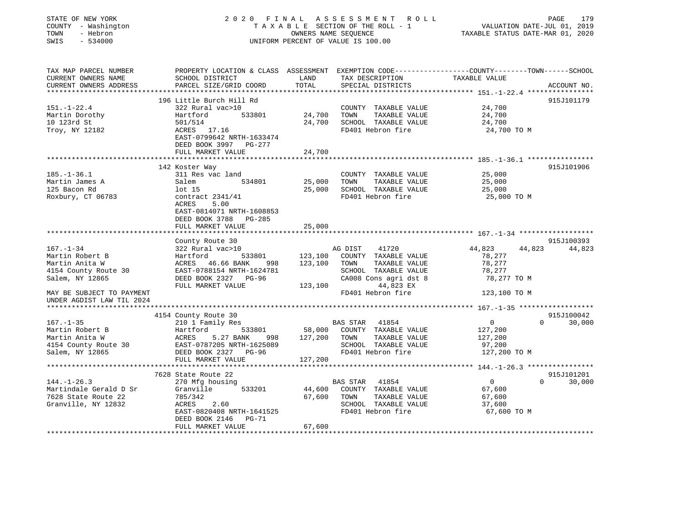| STATE OF NEW YORK                      | 2020 FINAL                                                                                       |                      | A S S E S S M E N T<br>R O L L                                 |                                                           | PAGE<br>179                 |
|----------------------------------------|--------------------------------------------------------------------------------------------------|----------------------|----------------------------------------------------------------|-----------------------------------------------------------|-----------------------------|
| COUNTY - Washington                    |                                                                                                  |                      | TAXABLE SECTION OF THE ROLL - 1                                |                                                           | VALUATION DATE-JUL 01, 2019 |
| TOWN<br>- Hebron                       |                                                                                                  | OWNERS NAME SEQUENCE |                                                                | TAXABLE STATUS DATE-MAR 01, 2020                          |                             |
| SWIS<br>$-534000$                      |                                                                                                  |                      | UNIFORM PERCENT OF VALUE IS 100.00                             |                                                           |                             |
| TAX MAP PARCEL NUMBER                  | PROPERTY LOCATION & CLASS ASSESSMENT EXEMPTION CODE----------------COUNTY-------TOWN------SCHOOL |                      |                                                                |                                                           |                             |
| CURRENT OWNERS NAME                    | SCHOOL DISTRICT                                                                                  | LAND                 | TAX DESCRIPTION                                                | TAXABLE VALUE                                             |                             |
| CURRENT OWNERS ADDRESS                 | PARCEL SIZE/GRID COORD                                                                           | TOTAL                | SPECIAL DISTRICTS                                              |                                                           | ACCOUNT NO.                 |
| **********************                 | *************************                                                                        | ***********          | ********************************* 151.-1-22.4 **************** |                                                           |                             |
|                                        | 196 Little Burch Hill Rd                                                                         |                      |                                                                |                                                           | 915J101179                  |
| $151. - 1 - 22.4$                      | 322 Rural vac>10                                                                                 |                      | COUNTY TAXABLE VALUE                                           | 24,700                                                    |                             |
| Martin Dorothy                         | Hartford<br>533801                                                                               | 24,700               | TOWN<br>TAXABLE VALUE                                          | 24,700                                                    |                             |
| 10 123rd St                            | 501/514                                                                                          | 24,700               | SCHOOL TAXABLE VALUE                                           | 24,700                                                    |                             |
| Troy, NY 12182                         | ACRES 17.16                                                                                      |                      | FD401 Hebron fire                                              | 24,700 TO M                                               |                             |
|                                        | EAST-0799642 NRTH-1633474<br>DEED BOOK 3997 PG-277                                               |                      |                                                                |                                                           |                             |
|                                        | FULL MARKET VALUE                                                                                | 24,700               |                                                                |                                                           |                             |
|                                        |                                                                                                  | ***********          |                                                                | **************************** 185.-1-36.1 **************** |                             |
|                                        | 142 Koster Way                                                                                   |                      |                                                                |                                                           | 915J101906                  |
| $185. - 1 - 36.1$                      | 311 Res vac land                                                                                 |                      | COUNTY TAXABLE VALUE                                           | 25,000                                                    |                             |
| Martin James A                         | Salem<br>534801                                                                                  | 25,000               | TOWN<br>TAXABLE VALUE                                          | 25,000                                                    |                             |
| 125 Bacon Rd                           | lot 15                                                                                           | 25,000               | SCHOOL TAXABLE VALUE                                           | 25,000                                                    |                             |
| Roxbury, CT 06783                      | contract 2341/41                                                                                 |                      | FD401 Hebron fire                                              | 25,000 TO M                                               |                             |
|                                        | ACRES<br>5.00                                                                                    |                      |                                                                |                                                           |                             |
|                                        | EAST-0814071 NRTH-1608853                                                                        |                      |                                                                |                                                           |                             |
|                                        | DEED BOOK 3788 PG-285                                                                            |                      |                                                                |                                                           |                             |
|                                        | FULL MARKET VALUE                                                                                | 25,000               |                                                                |                                                           |                             |
|                                        |                                                                                                  |                      |                                                                |                                                           |                             |
|                                        | County Route 30                                                                                  |                      |                                                                |                                                           | 915J100393                  |
| $167. - 1 - 34$                        | 322 Rural vac>10                                                                                 |                      | AG DIST<br>41720                                               | 44,823                                                    | 44,823<br>44,823            |
| Martin Robert B                        | 533801<br>Hartford<br>ACRES 46.66 BANK                                                           | 123,100              | COUNTY TAXABLE VALUE                                           | 78,277                                                    |                             |
| Martin Anita W<br>4154 County Route 30 | 998<br>EAST-0788154 NRTH-1624781                                                                 | 123,100              | TOWN<br>TAXABLE VALUE<br>SCHOOL TAXABLE VALUE                  | 78,277<br>78,277                                          |                             |
| Salem, NY 12865                        | DEED BOOK 2327 PG-96                                                                             |                      | CA008 Cons agri dst 8                                          | 78,277 TO M                                               |                             |
|                                        | FULL MARKET VALUE                                                                                | 123,100              | 44,823 EX                                                      |                                                           |                             |
| MAY BE SUBJECT TO PAYMENT              |                                                                                                  |                      | FD401 Hebron fire                                              | 123,100 TO M                                              |                             |
| UNDER AGDIST LAW TIL 2024              |                                                                                                  |                      |                                                                |                                                           |                             |
|                                        |                                                                                                  |                      |                                                                |                                                           |                             |
|                                        | 4154 County Route 30                                                                             |                      |                                                                |                                                           | 915J100042                  |
| $167. - 1 - 35$                        | 210 1 Family Res                                                                                 |                      | <b>BAS STAR</b><br>41854                                       | $\mathbf{0}$                                              | $\Omega$<br>30,000          |
| Martin Robert B                        | 533801<br>Hartford                                                                               | 58,000               | COUNTY TAXABLE VALUE                                           | 127,200                                                   |                             |
| Martin Anita W                         | ACRES<br>5.27 BANK<br>998                                                                        | 127,200              | TOWN<br>TAXABLE VALUE                                          | 127,200                                                   |                             |
| 4154 County Route 30                   | EAST-0787205 NRTH-1625089                                                                        |                      | SCHOOL TAXABLE VALUE                                           | 97,200                                                    |                             |
| Salem, NY 12865                        | DEED BOOK 2327 PG-96                                                                             |                      | FD401 Hebron fire                                              | 127,200 TO M                                              |                             |
|                                        | FULL MARKET VALUE                                                                                | 127,200              |                                                                |                                                           |                             |
|                                        | **********************                                                                           |                      |                                                                |                                                           |                             |
|                                        | 7628 State Route 22                                                                              |                      |                                                                |                                                           | 915J101201                  |
| $144. - 1 - 26.3$                      | 270 Mfg housing                                                                                  |                      | <b>BAS STAR</b><br>41854                                       | $\overline{0}$                                            | $\Omega$<br>30,000          |
| Martindale Gerald D Sr                 | 533201<br>Granville                                                                              | 44,600               | COUNTY TAXABLE VALUE                                           | 67,600                                                    |                             |
| 7628 State Route 22                    | 785/342                                                                                          | 67,600               | TOWN<br>TAXABLE VALUE                                          | 67,600                                                    |                             |
| Granville, NY 12832                    | 2.60<br>ACRES                                                                                    |                      | SCHOOL TAXABLE VALUE                                           | 37,600                                                    |                             |
|                                        | EAST-0820408 NRTH-1641525                                                                        |                      | FD401 Hebron fire                                              | 67,600 TO M                                               |                             |
|                                        |                                                                                                  |                      |                                                                |                                                           |                             |
|                                        | DEED BOOK 2146<br>PG-71<br>FULL MARKET VALUE                                                     | 67,600               |                                                                |                                                           |                             |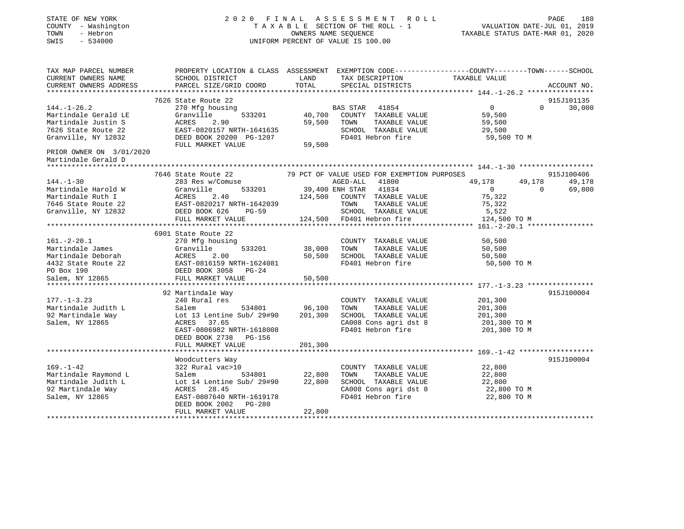| STATE OF NEW YORK<br>COUNTY - Washington<br>- Hebron<br>TOWN<br>SWIS<br>$-534000$                                                                                                                                             |                                                       |         | 2020 FINAL ASSESSMENT ROLL<br>TAXABLE SECTION OF THE ROLL - 1<br>OWNERS NAME SEQUENCE<br>UNIFORM PERCENT OF VALUE IS 100.00 | PAGE<br>VALUATION DATE-JUL 01, 2019<br>TAXABLE STATUS DATE-MAR 01, 2020                          | 180         |
|-------------------------------------------------------------------------------------------------------------------------------------------------------------------------------------------------------------------------------|-------------------------------------------------------|---------|-----------------------------------------------------------------------------------------------------------------------------|--------------------------------------------------------------------------------------------------|-------------|
| TAX MAP PARCEL NUMBER                                                                                                                                                                                                         |                                                       | LAND    |                                                                                                                             | PROPERTY LOCATION & CLASS ASSESSMENT EXEMPTION CODE----------------COUNTY-------TOWN------SCHOOL |             |
| CURRENT OWNERS NAME<br>CURRENT OWNERS ADDRESS                                                                                                                                                                                 | SCHOOL DISTRICT<br>PARCEL SIZE/GRID COORD             | TOTAL   | TAX DESCRIPTION<br>SPECIAL DISTRICTS                                                                                        | TAXABLE VALUE                                                                                    | ACCOUNT NO. |
|                                                                                                                                                                                                                               |                                                       |         |                                                                                                                             |                                                                                                  |             |
|                                                                                                                                                                                                                               | 7626 State Route 22                                   |         |                                                                                                                             |                                                                                                  | 915J101135  |
| $144. - 1 - 26.2$                                                                                                                                                                                                             | 270 Mfg housing                                       |         | BAS STAR 41854                                                                                                              | $\Omega$<br>$\Omega$                                                                             | 30,000      |
| Martindale Gerald LE                                                                                                                                                                                                          | Granville<br>533201                                   | 40,700  | COUNTY TAXABLE VALUE                                                                                                        | 59,500                                                                                           |             |
| Martindale Justin S                                                                                                                                                                                                           | ACRES<br>2.90                                         | 59,500  | TOWN<br>TAXABLE VALUE                                                                                                       | 59,500                                                                                           |             |
| 7626 State Route 22                                                                                                                                                                                                           | EAST-0820157 NRTH-1641635                             |         | SCHOOL TAXABLE VALUE                                                                                                        | 29,500                                                                                           |             |
| Granville, NY 12832                                                                                                                                                                                                           | DEED BOOK 20200 PG-1207                               |         | FD401 Hebron fire                                                                                                           | 59,500 TO M                                                                                      |             |
| PRIOR OWNER ON 3/01/2020<br>Martindale Gerald D                                                                                                                                                                               | FULL MARKET VALUE                                     | 59,500  |                                                                                                                             |                                                                                                  |             |
|                                                                                                                                                                                                                               |                                                       |         |                                                                                                                             |                                                                                                  |             |
|                                                                                                                                                                                                                               | 7646 State Route 22                                   |         | 79 PCT OF VALUE USED FOR EXEMPTION PURPOSES                                                                                 |                                                                                                  | 915J100406  |
| $144. - 1 - 30$                                                                                                                                                                                                               | 283 Res w/Comuse<br>Granville                         |         | AGED-ALL 41800                                                                                                              | 49,178<br>49,178<br>$\Omega$<br>$\Omega$                                                         | 49,178      |
| Martindale Harold W<br>Martindale Ruth I                                                                                                                                                                                      | 533201<br>ACRES<br>2.40                               |         | 39,400 ENH STAR 41834<br>124,500 COUNTY TAXABLE VALUE                                                                       | 75,322                                                                                           | 69,800      |
| 7646 State Route 22                                                                                                                                                                                                           | EAST-0820217 NRTH-1642039                             |         | TAXABLE VALUE<br>TOWN                                                                                                       | 75,322                                                                                           |             |
| Granville, NY 12832                                                                                                                                                                                                           | DEED BOOK 626<br>PG-59                                |         | SCHOOL TAXABLE VALUE                                                                                                        | 5,522                                                                                            |             |
|                                                                                                                                                                                                                               | FULL MARKET VALUE                                     |         | 124,500 FD401 Hebron fire                                                                                                   | 124,500 TO M                                                                                     |             |
|                                                                                                                                                                                                                               |                                                       |         |                                                                                                                             | ********* 161.-2-20.1 *****************                                                          |             |
| 161.-2-20.1<br>Martindale James Granvi<br>Martindale Deborah ACRES<br>4432 State Route 22 EAST-C<br>20 DEED J<br>FULL<br>FULL<br>TULL<br>TULL<br>TULL<br>TULL<br>TULL<br>TULL<br>TULL<br>TULL<br>TULL<br>TULL<br>TULL<br>TULL | 6901 State Route 22                                   |         |                                                                                                                             |                                                                                                  |             |
|                                                                                                                                                                                                                               | 270 Mfg housing                                       |         | COUNTY TAXABLE VALUE                                                                                                        | 50,500                                                                                           |             |
|                                                                                                                                                                                                                               | Granville<br>533201                                   | 38,000  | TAXABLE VALUE<br>TOWN                                                                                                       | 50,500                                                                                           |             |
|                                                                                                                                                                                                                               | 2.00                                                  | 50,500  | SCHOOL TAXABLE VALUE                                                                                                        | 50,500                                                                                           |             |
|                                                                                                                                                                                                                               | EAST-0816159 NRTH-1624081                             |         | FD401 Hebron fire                                                                                                           | 50,500 TO M                                                                                      |             |
|                                                                                                                                                                                                                               | DEED BOOK 3058 PG-24                                  |         |                                                                                                                             |                                                                                                  |             |
|                                                                                                                                                                                                                               | FULL MARKET VALUE                                     | 50,500  |                                                                                                                             |                                                                                                  |             |
|                                                                                                                                                                                                                               | 92 Martindale Way                                     |         |                                                                                                                             |                                                                                                  | 915J100004  |
| $177. - 1 - 3.23$                                                                                                                                                                                                             | 240 Rural res                                         |         | COUNTY TAXABLE VALUE                                                                                                        | 201,300                                                                                          |             |
| Martindale Judith L                                                                                                                                                                                                           | Salem<br>534801                                       | 96,100  | TOWN<br>TAXABLE VALUE                                                                                                       | 201,300                                                                                          |             |
| 92 Martindale Way                                                                                                                                                                                                             | Lot 13 Lentine Sub/ 29#90                             | 201,300 | SCHOOL TAXABLE VALUE                                                                                                        | 201,300                                                                                          |             |
| Salem, NY 12865                                                                                                                                                                                                               | ACRES 37.65                                           |         | CA008 Cons agri dst 8                                                                                                       | 201,300 TO M                                                                                     |             |
|                                                                                                                                                                                                                               | EAST-0806982 NRTH-1618008<br>DEED BOOK 2738 PG-156    |         | FD401 Hebron fire                                                                                                           | 201,300 TO M                                                                                     |             |
|                                                                                                                                                                                                                               | FULL MARKET VALUE                                     | 201,300 |                                                                                                                             |                                                                                                  |             |
|                                                                                                                                                                                                                               | Woodcutters Way                                       |         |                                                                                                                             |                                                                                                  | 915J100004  |
| $169. - 1 - 42$                                                                                                                                                                                                               | 322 Rural vac>10                                      |         | COUNTY TAXABLE VALUE                                                                                                        | 22,800                                                                                           |             |
| Martindale Raymond L                                                                                                                                                                                                          | Salem<br>534801                                       | 22,800  | TAXABLE VALUE<br>TOWN                                                                                                       | 22,800                                                                                           |             |
| Martindale Judith L                                                                                                                                                                                                           | Lot 14 Lentine Sub/ 29#90                             | 22,800  | SCHOOL TAXABLE VALUE                                                                                                        | 22,800                                                                                           |             |
| 92 Martindale Way                                                                                                                                                                                                             | ACRES 28.45                                           |         | CA008 Cons agri dst 8                                                                                                       | 22,800 TO M                                                                                      |             |
| Salem, NY 12865                                                                                                                                                                                                               | EAST-0807640 NRTH-1619178<br>DEED BOOK 2002<br>PG-280 |         | FD401 Hebron fire                                                                                                           | 22,800 TO M                                                                                      |             |
|                                                                                                                                                                                                                               | FULL MARKET VALUE                                     | 22,800  |                                                                                                                             |                                                                                                  |             |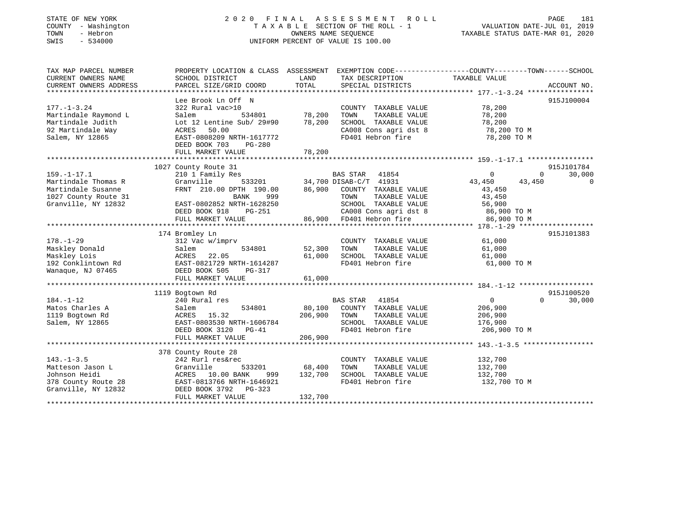### STATE OF NEW YORK 2 0 2 0 F I N A L A S S E S S M E N T R O L L PAGE 181 COUNTY - Washington T A X A B L E SECTION OF THE ROLL - 1 VALUATION DATE-JUL 01, 2019 TOWN - Hebron OWNERS NAME SEQUENCE TAXABLE STATUS DATE-MAR 01, 2020 SWIS - 534000 UNIFORM PERCENT OF VALUE IS 100.00

| TAX MAP PARCEL NUMBER  | PROPERTY LOCATION & CLASS ASSESSMENT EXEMPTION CODE---------------COUNTY-------TOWN-----SCHOOL |         |                          |                  |                    |
|------------------------|------------------------------------------------------------------------------------------------|---------|--------------------------|------------------|--------------------|
| CURRENT OWNERS NAME    | SCHOOL DISTRICT                                                                                | LAND    | TAX DESCRIPTION          | TAXABLE VALUE    |                    |
| CURRENT OWNERS ADDRESS | PARCEL SIZE/GRID COORD                                                                         | TOTAL   | SPECIAL DISTRICTS        |                  | ACCOUNT NO.        |
|                        |                                                                                                |         |                          |                  |                    |
|                        | Lee Brook Ln Off N                                                                             |         |                          |                  | 915J100004         |
| $177. - 1 - 3.24$      | 322 Rural vac>10                                                                               |         | COUNTY TAXABLE VALUE     | 78,200           |                    |
| Martindale Raymond L   | Salem<br>534801                                                                                | 78,200  | TAXABLE VALUE<br>TOWN    | 78,200           |                    |
| Martindale Judith      | Lot 12 Lentine Sub/ 29#90                                                                      | 78,200  | SCHOOL TAXABLE VALUE     | 78,200           |                    |
| 92 Martindale Way      | ACRES<br>50.00                                                                                 |         | CA008 Cons agri dst 8    | 78,200 TO M      |                    |
| Salem, NY 12865        | EAST-0808209 NRTH-1617772                                                                      |         | FD401 Hebron fire        | 78,200 TO M      |                    |
|                        | DEED BOOK 703<br>$PG-280$                                                                      |         |                          |                  |                    |
|                        | FULL MARKET VALUE                                                                              | 78,200  |                          |                  |                    |
|                        |                                                                                                |         |                          |                  |                    |
|                        | 1027 County Route 31                                                                           |         |                          |                  | 915J101784         |
| $159. - 1 - 17.1$      | 210 1 Family Res<br>$533201$ $34.7$<br>H 190.00                                                |         | BAS STAR<br>41854        | $\mathbf{0}$     | $\Omega$<br>30,000 |
| Martindale Thomas R    | Granville                                                                                      |         | 34,700 DISAB-C/T 41931   | 43,450<br>43,450 | $\mathbf 0$        |
| Martindale Susanne     | FRNT 210.00 DPTH 190.00                                                                        | 86,900  | COUNTY TAXABLE VALUE     | 43,450           |                    |
| 1027 County Route 31   | BANK<br>999                                                                                    |         | TAXABLE VALUE<br>TOWN    | 43,450           |                    |
| Granville, NY 12832    | EAST-0802852 NRTH-1628250                                                                      |         | SCHOOL TAXABLE VALUE     | 56,900           |                    |
|                        | DEED BOOK 918<br>PG-251                                                                        |         | CA008 Cons agri dst 8    | 86,900 TO M      |                    |
|                        | FULL MARKET VALUE                                                                              |         | 86,900 FD401 Hebron fire | 86,900 TO M      |                    |
|                        |                                                                                                |         |                          |                  |                    |
|                        | 174 Bromley Ln                                                                                 |         |                          |                  | 915J101383         |
| $178. - 1 - 29$        | 312 Vac w/imprv                                                                                |         | COUNTY TAXABLE VALUE     | 61,000           |                    |
| Maskley Donald         | 534801<br>Salem                                                                                | 52,300  | TOWN<br>TAXABLE VALUE    | 61,000           |                    |
| Maskley Lois           | 22.05<br>ACRES                                                                                 | 61,000  | SCHOOL TAXABLE VALUE     | 61,000           |                    |
| 192 Conklintown Rd     | EAST-0821729 NRTH-1614287                                                                      |         | FD401 Hebron fire        | 61,000 TO M      |                    |
| Wanaque, NJ 07465      | DEED BOOK 505<br>PG-317                                                                        |         |                          |                  |                    |
|                        | FULL MARKET VALUE                                                                              | 61,000  |                          |                  |                    |
|                        |                                                                                                |         |                          |                  |                    |
|                        | 1119 Bogtown Rd                                                                                |         |                          |                  | 915J100520         |
| $184. - 1 - 12$        | 240 Rural res                                                                                  |         | 41854<br>BAS STAR        | 0                | $\Omega$<br>30,000 |
| Matos Charles A        | 534801<br>Salem                                                                                | 80,100  | COUNTY TAXABLE VALUE     | 206,900          |                    |
| 1119 Bogtown Rd        | ACRES 15.32                                                                                    | 206,900 | TOWN<br>TAXABLE VALUE    | 206,900          |                    |
| Salem, NY 12865        | EAST-0803530 NRTH-1606784                                                                      |         | SCHOOL TAXABLE VALUE     | 176,900          |                    |
|                        | DEED BOOK 3120 PG-41                                                                           |         | FD401 Hebron fire        | 206,900 TO M     |                    |
|                        | FULL MARKET VALUE                                                                              | 206,900 |                          |                  |                    |
|                        |                                                                                                |         |                          |                  |                    |
|                        | 378 County Route 28                                                                            |         |                          |                  |                    |
| $143. - 1 - 3.5$       | 242 Rurl res&rec                                                                               |         | COUNTY TAXABLE VALUE     | 132,700          |                    |
| Matteson Jason L       | 533201<br>Granville                                                                            | 68,400  | TOWN<br>TAXABLE VALUE    | 132,700          |                    |
| Johnson Heidi          | ACRES 10.00 BANK<br>999                                                                        | 132,700 | SCHOOL TAXABLE VALUE     | 132,700          |                    |
| 378 County Route 28    | EAST-0813766 NRTH-1646921                                                                      |         | FD401 Hebron fire        | 132,700 TO M     |                    |
| Granville, NY 12832    | DEED BOOK 3792 PG-323                                                                          |         |                          |                  |                    |
|                        | FULL MARKET VALUE                                                                              | 132,700 |                          |                  |                    |
|                        |                                                                                                |         |                          |                  |                    |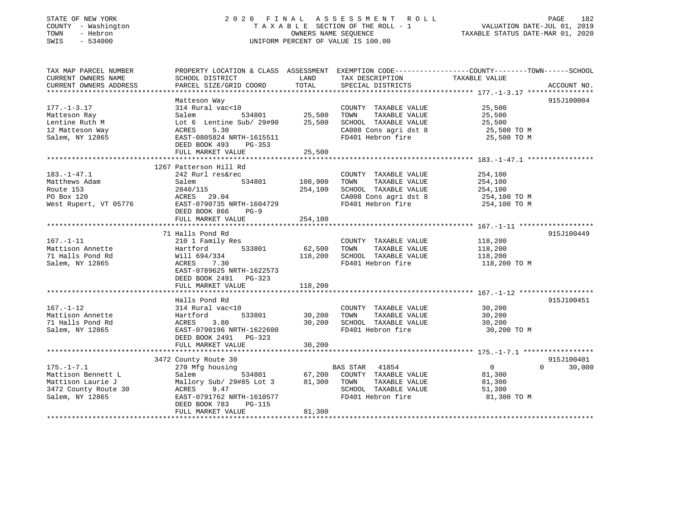### STATE OF NEW YORK 2 0 2 0 F I N A L A S S E S S M E N T R O L L PAGE 182 COUNTY - Washington T A X A B L E SECTION OF THE ROLL - 1 VALUATION DATE-JUL 01, 2019 TOWN - Hebron OWNERS NAME SEQUENCE TAXABLE STATUS DATE-MAR 01, 2020 SWIS - 534000 UNIFORM PERCENT OF VALUE IS 100.00

| TAX MAP PARCEL NUMBER<br>CURRENT OWNERS NAME<br>CURRENT OWNERS ADDRESS                                 | PROPERTY LOCATION & CLASS ASSESSMENT EXEMPTION CODE----------------COUNTY-------TOWN------SCHOOL<br>SCHOOL DISTRICT<br>PARCEL SIZE/GRID COORD         | LAND<br>TOTAL           | TAX DESCRIPTION<br>SPECIAL DISTRICTS                                                                                | TAXABLE VALUE                                                 | ACCOUNT NO.                      |
|--------------------------------------------------------------------------------------------------------|-------------------------------------------------------------------------------------------------------------------------------------------------------|-------------------------|---------------------------------------------------------------------------------------------------------------------|---------------------------------------------------------------|----------------------------------|
| $177. - 1 - 3.17$<br>Matteson Ray                                                                      | Matteson Way<br>314 Rural vac<10<br>Salem<br>534801                                                                                                   | 25,500                  | COUNTY TAXABLE VALUE<br>TAXABLE VALUE<br>TOWN                                                                       | 25,500<br>25,500                                              | 915J100004                       |
| Lentine Ruth M<br>12 Matteson Way<br>Salem, NY 12865                                                   | Lot 6 Lentine Sub/ 29#90<br>5.30<br>ACRES<br>EAST-0805824 NRTH-1615511<br>DEED BOOK 493<br>PG-353                                                     | 25,500                  | SCHOOL TAXABLE VALUE<br>CA008 Cons agri dst 8<br>FD401 Hebron fire                                                  | 25,500<br>25,500 TO M<br>25,500 TO M                          |                                  |
|                                                                                                        | FULL MARKET VALUE                                                                                                                                     | 25,500                  |                                                                                                                     |                                                               |                                  |
|                                                                                                        |                                                                                                                                                       |                         |                                                                                                                     |                                                               |                                  |
| $183. - 1 - 47.1$<br>Matthews Adam<br>Route 153<br>PO Box 120<br>West Rupert, VT 05776                 | 1267 Patterson Hill Rd<br>242 Rurl res&rec<br>534801<br>Salem<br>2840/115<br>ACRES 29.04<br>EAST-0790735 NRTH-1604729<br>DEED BOOK 866<br>$PG-9$      | 108,900<br>254,100      | COUNTY TAXABLE VALUE<br>TOWN<br>TAXABLE VALUE<br>SCHOOL TAXABLE VALUE<br>CA008 Cons agri dst 8<br>FD401 Hebron fire | 254,100<br>254,100<br>254,100<br>254,100 TO M<br>254,100 TO M |                                  |
|                                                                                                        | FULL MARKET VALUE                                                                                                                                     | 254,100                 |                                                                                                                     |                                                               |                                  |
|                                                                                                        | 71 Halls Pond Rd                                                                                                                                      |                         |                                                                                                                     |                                                               | 915J100449                       |
| $167. - 1 - 11$<br>Mattison Annette<br>71 Halls Pond Rd<br>Salem, NY 12865                             | 210 1 Family Res<br>533801<br>Hartford<br>Will 694/334<br>7.30<br>ACRES<br>EAST-0789625 NRTH-1622573<br>DEED BOOK 2491 PG-323                         | 62,500<br>118,200       | COUNTY TAXABLE VALUE<br>TAXABLE VALUE<br>TOWN<br>SCHOOL TAXABLE VALUE<br>FD401 Hebron fire                          | 118,200<br>118,200<br>118,200<br>118,200 TO M                 |                                  |
|                                                                                                        | FULL MARKET VALUE                                                                                                                                     | 118,200                 |                                                                                                                     |                                                               |                                  |
| $167. - 1 - 12$<br>Mattison Annette<br>71 Halls Pond Rd<br>Salem, NY 12865                             | Halls Pond Rd<br>314 Rural vac<10<br>533801<br>Hartford<br>3.80<br>ACRES<br>EAST-0790196 NRTH-1622600<br>DEED BOOK 2491 PG-323                        | 30,200<br>30,200        | COUNTY TAXABLE VALUE<br>TAXABLE VALUE<br>TOWN<br>SCHOOL TAXABLE VALUE<br>FD401 Hebron fire                          | 30,200<br>30,200<br>30,200<br>30,200 TO M                     | 915J100451                       |
|                                                                                                        | FULL MARKET VALUE                                                                                                                                     | 30,200                  |                                                                                                                     |                                                               |                                  |
|                                                                                                        |                                                                                                                                                       |                         |                                                                                                                     |                                                               |                                  |
| $175. - 1 - 7.1$<br>Mattison Bennett L<br>Mattison Laurie J<br>3472 County Route 30<br>Salem, NY 12865 | 3472 County Route 30<br>270 Mfg housing<br>Salem<br>Mallory Sub/ 29#85 Lot 3<br>ACRES<br>9.47<br>EAST-0791762 NRTH-1610577<br>DEED BOOK 783<br>PG-115 | 534801 67,200<br>81,300 | BAS STAR 41854<br>COUNTY TAXABLE VALUE<br>TAXABLE VALUE<br>TOWN<br>SCHOOL TAXABLE VALUE<br>FD401 Hebron fire        | $\overline{0}$<br>81,300<br>81,300<br>51,300<br>81,300 TO M   | 915J100401<br>$\Omega$<br>30,000 |
|                                                                                                        | FULL MARKET VALUE                                                                                                                                     | 81,300                  |                                                                                                                     |                                                               |                                  |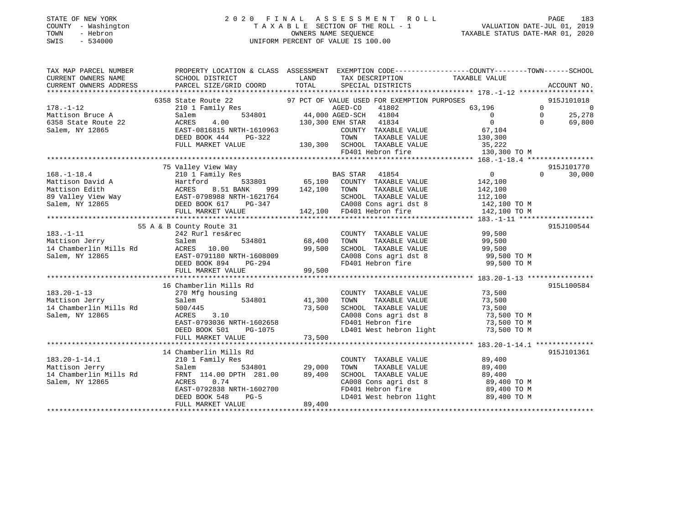### STATE OF NEW YORK 2 0 2 0 F I N A L A S S E S S M E N T R O L L PAGE 183 COUNTY - Washington T A X A B L E SECTION OF THE ROLL - 1 VALUATION DATE-JUL 01, 2019 TOWN - Hebron OWNERS NAME SEQUENCE TAXABLE STATUS DATE-MAR 01, 2020 SWIS - 534000 UNIFORM PERCENT OF VALUE IS 100.00

| TAX DESCRIPTION TAXABLE VALUE<br>CURRENT OWNERS NAME<br>SCHOOL DISTRICT<br><b>EXAMPLE SERVICE SERVICE SERVICE SERVICE SERVICE SERVICE SERVICE SERVICE SERVICE SERVICE SERVICE SERVICE SERVICE</b><br>PARCEL SIZE/GRID COORD<br>TOTAL<br>CURRENT OWNERS ADDRESS<br>SPECIAL DISTRICTS<br>ACCOUNT NO.<br>6358 State Route 22 97 PCT OF VALUE USED FOR EXEMPTION PURPOSES<br>210 1 Family Res RGED-CO 41802 63,19<br>534801 44,000 AGED-SCH 41804<br>ACRES 4.00 130,300 ENH STAR 41834<br>915J101018<br>کارلادی کا 58,196<br>63,196 0<br>$178. - 1 - 12$<br>$\overline{0}$<br>$\begin{bmatrix} 0 \\ 0 \end{bmatrix}$<br>178.-1-12<br>Mattison Bruce A 331801 44,000 AGED-SCH 41804<br>534801 44,000 AGED-SCH 41834<br>5358 State Route 22 ACRES 4.00 130,300 ENH STAR 41834<br>Salem, NY 12865 EAST-0816815 NRTH-1610963 COUNTY TAXABLE<br>$\overline{0}$<br>25,278<br>$\overline{0}$<br>$\Omega$<br>69,800<br>EAST-0816815 NRTH-1610963<br>DEED BOOK 444 PG-322 TOWN TAXABLE VALUE 130,300 TO M<br>FULL MARKET VALUE 130,300 SCHOOL TAXABLE VALUE 35,222<br>FD401 Hebron fire 130,300 TO M<br>FD401 Hebron fire 130,300 TO M<br>75 Valley View Way<br>915J101770<br>$\begin{array}{cc} & & 0 \\ & & 142,100 \end{array}$<br>210 1 Family Res 65,100 BAS STAR 41854<br>Hartford 533801 65,100 COUNTY TAXABLE VALUE<br>$0 \qquad \qquad$<br>30,000<br>168.-1-18.4<br>Mattison David A<br>Mattison Edith (1999) 2010<br>Mattison Edith (1999) 2021<br>Mattison Edith (1999) 2021<br>MacRES 8.51 BANK 999 142,100<br>2031<br>MacRES 8.51 BANK 999 142,100<br>2031<br>Salem, NY 12865<br>PULL MARKET VALUE<br>999 142,100 TOWN<br>TAXABLE VALUE 142,100<br>1621764 SCHOOL TAXABLE VALUE 112,100<br>G-347 CA008 Cons agri dst 8 142,100 TO M<br>142,100 FD401 Hebron fire 142,100 TO M<br>915J100544<br>55 A & B County Route 31<br>$183. - 1 - 11$<br>242 Rurl res&rec<br>COUNTY<br>534801 68,400 TOWN<br>COUNTY TAXABLE VALUE 99,500<br>TOWN TAXABLE VALUE 99,500<br>183.-1-11 242 Rurl res&r<br>Mattison Jerry Salem<br>14 Chamberlin Mills Rd ACRES 10.00<br>CHOOL TAXABLE VALUE<br>CAOOS Cons agri dst 8 99,500 TO M<br>FD401 Hebron fire 99,500 TO M<br>99,500<br>Salem, NY 12865<br>EAST-0791180 NRTH-1608009<br>DEED BOOK 894 PG-294<br>99,500<br>FULL MARKET VALUE<br>915L100584<br>16 Chamberlin Mills Rd<br>COUNTY TAXABLE VALUE 73,500<br>TOWN TAXABLE VALUE 73,500<br>$183.20 - 1 - 13$<br>270 Mfg housing<br>41,300 TOWN TAXABLE VALUE 73,500<br>73,500 SCHOOL TAXABLE VALUE 73,500 TO M<br>ACRES 3.10<br>CA008 Cons agri dst 8 73,500 TO M<br>FD401 Hebron fire 73,500 TO M<br>Salem, NY 12865<br>ACRES 3.10<br>EAST-0793036 NRTH-1602658<br>915J101361<br>14 Chamberlin Mills Rd<br>COUNTY TAXABLE VALUE 89,400<br>210 1 Family Res<br>183.20-1-14.1<br>Mattison Jerry<br>14 Chamberlin Mills Rd<br>TAXABLE VALUE 89,400<br>TAXABLE VALUE 89,400<br>TOWN<br>SCHOOL TAXABLE VALUE<br>CA008 Cons agri dst 8 89,400 TO M<br>Salem, NY 12865<br>0.74<br>ACRES<br>FD401 Hebron fire 89,400 TO M<br>LD401 West hebron light 89,400 TO M<br>89,400 | TAX MAP PARCEL NUMBER | PROPERTY LOCATION & CLASS ASSESSMENT EXEMPTION CODE----------------COUNTY-------TOWN------SCHOOL |  |  |  |
|----------------------------------------------------------------------------------------------------------------------------------------------------------------------------------------------------------------------------------------------------------------------------------------------------------------------------------------------------------------------------------------------------------------------------------------------------------------------------------------------------------------------------------------------------------------------------------------------------------------------------------------------------------------------------------------------------------------------------------------------------------------------------------------------------------------------------------------------------------------------------------------------------------------------------------------------------------------------------------------------------------------------------------------------------------------------------------------------------------------------------------------------------------------------------------------------------------------------------------------------------------------------------------------------------------------------------------------------------------------------------------------------------------------------------------------------------------------------------------------------------------------------------------------------------------------------------------------------------------------------------------------------------------------------------------------------------------------------------------------------------------------------------------------------------------------------------------------------------------------------------------------------------------------------------------------------------------------------------------------------------------------------------------------------------------------------------------------------------------------------------------------------------------------------------------------------------------------------------------------------------------------------------------------------------------------------------------------------------------------------------------------------------------------------------------------------------------------------------------------------------------------------------------------------------------------------------------------------------------------------------------------------------------------------------------------------------------------------------------------------------------------------------------------------------------------------------------------------------------------------------------------------------------------------------------------------------------------------------------------------------------------------------------------------------|-----------------------|--------------------------------------------------------------------------------------------------|--|--|--|
|                                                                                                                                                                                                                                                                                                                                                                                                                                                                                                                                                                                                                                                                                                                                                                                                                                                                                                                                                                                                                                                                                                                                                                                                                                                                                                                                                                                                                                                                                                                                                                                                                                                                                                                                                                                                                                                                                                                                                                                                                                                                                                                                                                                                                                                                                                                                                                                                                                                                                                                                                                                                                                                                                                                                                                                                                                                                                                                                                                                                                                                    |                       |                                                                                                  |  |  |  |
|                                                                                                                                                                                                                                                                                                                                                                                                                                                                                                                                                                                                                                                                                                                                                                                                                                                                                                                                                                                                                                                                                                                                                                                                                                                                                                                                                                                                                                                                                                                                                                                                                                                                                                                                                                                                                                                                                                                                                                                                                                                                                                                                                                                                                                                                                                                                                                                                                                                                                                                                                                                                                                                                                                                                                                                                                                                                                                                                                                                                                                                    |                       |                                                                                                  |  |  |  |
|                                                                                                                                                                                                                                                                                                                                                                                                                                                                                                                                                                                                                                                                                                                                                                                                                                                                                                                                                                                                                                                                                                                                                                                                                                                                                                                                                                                                                                                                                                                                                                                                                                                                                                                                                                                                                                                                                                                                                                                                                                                                                                                                                                                                                                                                                                                                                                                                                                                                                                                                                                                                                                                                                                                                                                                                                                                                                                                                                                                                                                                    |                       |                                                                                                  |  |  |  |
|                                                                                                                                                                                                                                                                                                                                                                                                                                                                                                                                                                                                                                                                                                                                                                                                                                                                                                                                                                                                                                                                                                                                                                                                                                                                                                                                                                                                                                                                                                                                                                                                                                                                                                                                                                                                                                                                                                                                                                                                                                                                                                                                                                                                                                                                                                                                                                                                                                                                                                                                                                                                                                                                                                                                                                                                                                                                                                                                                                                                                                                    |                       |                                                                                                  |  |  |  |
|                                                                                                                                                                                                                                                                                                                                                                                                                                                                                                                                                                                                                                                                                                                                                                                                                                                                                                                                                                                                                                                                                                                                                                                                                                                                                                                                                                                                                                                                                                                                                                                                                                                                                                                                                                                                                                                                                                                                                                                                                                                                                                                                                                                                                                                                                                                                                                                                                                                                                                                                                                                                                                                                                                                                                                                                                                                                                                                                                                                                                                                    |                       |                                                                                                  |  |  |  |
|                                                                                                                                                                                                                                                                                                                                                                                                                                                                                                                                                                                                                                                                                                                                                                                                                                                                                                                                                                                                                                                                                                                                                                                                                                                                                                                                                                                                                                                                                                                                                                                                                                                                                                                                                                                                                                                                                                                                                                                                                                                                                                                                                                                                                                                                                                                                                                                                                                                                                                                                                                                                                                                                                                                                                                                                                                                                                                                                                                                                                                                    |                       |                                                                                                  |  |  |  |
|                                                                                                                                                                                                                                                                                                                                                                                                                                                                                                                                                                                                                                                                                                                                                                                                                                                                                                                                                                                                                                                                                                                                                                                                                                                                                                                                                                                                                                                                                                                                                                                                                                                                                                                                                                                                                                                                                                                                                                                                                                                                                                                                                                                                                                                                                                                                                                                                                                                                                                                                                                                                                                                                                                                                                                                                                                                                                                                                                                                                                                                    |                       |                                                                                                  |  |  |  |
|                                                                                                                                                                                                                                                                                                                                                                                                                                                                                                                                                                                                                                                                                                                                                                                                                                                                                                                                                                                                                                                                                                                                                                                                                                                                                                                                                                                                                                                                                                                                                                                                                                                                                                                                                                                                                                                                                                                                                                                                                                                                                                                                                                                                                                                                                                                                                                                                                                                                                                                                                                                                                                                                                                                                                                                                                                                                                                                                                                                                                                                    |                       |                                                                                                  |  |  |  |
|                                                                                                                                                                                                                                                                                                                                                                                                                                                                                                                                                                                                                                                                                                                                                                                                                                                                                                                                                                                                                                                                                                                                                                                                                                                                                                                                                                                                                                                                                                                                                                                                                                                                                                                                                                                                                                                                                                                                                                                                                                                                                                                                                                                                                                                                                                                                                                                                                                                                                                                                                                                                                                                                                                                                                                                                                                                                                                                                                                                                                                                    |                       |                                                                                                  |  |  |  |
|                                                                                                                                                                                                                                                                                                                                                                                                                                                                                                                                                                                                                                                                                                                                                                                                                                                                                                                                                                                                                                                                                                                                                                                                                                                                                                                                                                                                                                                                                                                                                                                                                                                                                                                                                                                                                                                                                                                                                                                                                                                                                                                                                                                                                                                                                                                                                                                                                                                                                                                                                                                                                                                                                                                                                                                                                                                                                                                                                                                                                                                    |                       |                                                                                                  |  |  |  |
|                                                                                                                                                                                                                                                                                                                                                                                                                                                                                                                                                                                                                                                                                                                                                                                                                                                                                                                                                                                                                                                                                                                                                                                                                                                                                                                                                                                                                                                                                                                                                                                                                                                                                                                                                                                                                                                                                                                                                                                                                                                                                                                                                                                                                                                                                                                                                                                                                                                                                                                                                                                                                                                                                                                                                                                                                                                                                                                                                                                                                                                    |                       |                                                                                                  |  |  |  |
|                                                                                                                                                                                                                                                                                                                                                                                                                                                                                                                                                                                                                                                                                                                                                                                                                                                                                                                                                                                                                                                                                                                                                                                                                                                                                                                                                                                                                                                                                                                                                                                                                                                                                                                                                                                                                                                                                                                                                                                                                                                                                                                                                                                                                                                                                                                                                                                                                                                                                                                                                                                                                                                                                                                                                                                                                                                                                                                                                                                                                                                    |                       |                                                                                                  |  |  |  |
|                                                                                                                                                                                                                                                                                                                                                                                                                                                                                                                                                                                                                                                                                                                                                                                                                                                                                                                                                                                                                                                                                                                                                                                                                                                                                                                                                                                                                                                                                                                                                                                                                                                                                                                                                                                                                                                                                                                                                                                                                                                                                                                                                                                                                                                                                                                                                                                                                                                                                                                                                                                                                                                                                                                                                                                                                                                                                                                                                                                                                                                    |                       |                                                                                                  |  |  |  |
|                                                                                                                                                                                                                                                                                                                                                                                                                                                                                                                                                                                                                                                                                                                                                                                                                                                                                                                                                                                                                                                                                                                                                                                                                                                                                                                                                                                                                                                                                                                                                                                                                                                                                                                                                                                                                                                                                                                                                                                                                                                                                                                                                                                                                                                                                                                                                                                                                                                                                                                                                                                                                                                                                                                                                                                                                                                                                                                                                                                                                                                    |                       |                                                                                                  |  |  |  |
|                                                                                                                                                                                                                                                                                                                                                                                                                                                                                                                                                                                                                                                                                                                                                                                                                                                                                                                                                                                                                                                                                                                                                                                                                                                                                                                                                                                                                                                                                                                                                                                                                                                                                                                                                                                                                                                                                                                                                                                                                                                                                                                                                                                                                                                                                                                                                                                                                                                                                                                                                                                                                                                                                                                                                                                                                                                                                                                                                                                                                                                    |                       |                                                                                                  |  |  |  |
|                                                                                                                                                                                                                                                                                                                                                                                                                                                                                                                                                                                                                                                                                                                                                                                                                                                                                                                                                                                                                                                                                                                                                                                                                                                                                                                                                                                                                                                                                                                                                                                                                                                                                                                                                                                                                                                                                                                                                                                                                                                                                                                                                                                                                                                                                                                                                                                                                                                                                                                                                                                                                                                                                                                                                                                                                                                                                                                                                                                                                                                    |                       |                                                                                                  |  |  |  |
|                                                                                                                                                                                                                                                                                                                                                                                                                                                                                                                                                                                                                                                                                                                                                                                                                                                                                                                                                                                                                                                                                                                                                                                                                                                                                                                                                                                                                                                                                                                                                                                                                                                                                                                                                                                                                                                                                                                                                                                                                                                                                                                                                                                                                                                                                                                                                                                                                                                                                                                                                                                                                                                                                                                                                                                                                                                                                                                                                                                                                                                    |                       |                                                                                                  |  |  |  |
|                                                                                                                                                                                                                                                                                                                                                                                                                                                                                                                                                                                                                                                                                                                                                                                                                                                                                                                                                                                                                                                                                                                                                                                                                                                                                                                                                                                                                                                                                                                                                                                                                                                                                                                                                                                                                                                                                                                                                                                                                                                                                                                                                                                                                                                                                                                                                                                                                                                                                                                                                                                                                                                                                                                                                                                                                                                                                                                                                                                                                                                    |                       |                                                                                                  |  |  |  |
|                                                                                                                                                                                                                                                                                                                                                                                                                                                                                                                                                                                                                                                                                                                                                                                                                                                                                                                                                                                                                                                                                                                                                                                                                                                                                                                                                                                                                                                                                                                                                                                                                                                                                                                                                                                                                                                                                                                                                                                                                                                                                                                                                                                                                                                                                                                                                                                                                                                                                                                                                                                                                                                                                                                                                                                                                                                                                                                                                                                                                                                    |                       |                                                                                                  |  |  |  |
|                                                                                                                                                                                                                                                                                                                                                                                                                                                                                                                                                                                                                                                                                                                                                                                                                                                                                                                                                                                                                                                                                                                                                                                                                                                                                                                                                                                                                                                                                                                                                                                                                                                                                                                                                                                                                                                                                                                                                                                                                                                                                                                                                                                                                                                                                                                                                                                                                                                                                                                                                                                                                                                                                                                                                                                                                                                                                                                                                                                                                                                    |                       |                                                                                                  |  |  |  |
|                                                                                                                                                                                                                                                                                                                                                                                                                                                                                                                                                                                                                                                                                                                                                                                                                                                                                                                                                                                                                                                                                                                                                                                                                                                                                                                                                                                                                                                                                                                                                                                                                                                                                                                                                                                                                                                                                                                                                                                                                                                                                                                                                                                                                                                                                                                                                                                                                                                                                                                                                                                                                                                                                                                                                                                                                                                                                                                                                                                                                                                    |                       |                                                                                                  |  |  |  |
|                                                                                                                                                                                                                                                                                                                                                                                                                                                                                                                                                                                                                                                                                                                                                                                                                                                                                                                                                                                                                                                                                                                                                                                                                                                                                                                                                                                                                                                                                                                                                                                                                                                                                                                                                                                                                                                                                                                                                                                                                                                                                                                                                                                                                                                                                                                                                                                                                                                                                                                                                                                                                                                                                                                                                                                                                                                                                                                                                                                                                                                    |                       |                                                                                                  |  |  |  |
|                                                                                                                                                                                                                                                                                                                                                                                                                                                                                                                                                                                                                                                                                                                                                                                                                                                                                                                                                                                                                                                                                                                                                                                                                                                                                                                                                                                                                                                                                                                                                                                                                                                                                                                                                                                                                                                                                                                                                                                                                                                                                                                                                                                                                                                                                                                                                                                                                                                                                                                                                                                                                                                                                                                                                                                                                                                                                                                                                                                                                                                    |                       |                                                                                                  |  |  |  |
|                                                                                                                                                                                                                                                                                                                                                                                                                                                                                                                                                                                                                                                                                                                                                                                                                                                                                                                                                                                                                                                                                                                                                                                                                                                                                                                                                                                                                                                                                                                                                                                                                                                                                                                                                                                                                                                                                                                                                                                                                                                                                                                                                                                                                                                                                                                                                                                                                                                                                                                                                                                                                                                                                                                                                                                                                                                                                                                                                                                                                                                    |                       |                                                                                                  |  |  |  |
|                                                                                                                                                                                                                                                                                                                                                                                                                                                                                                                                                                                                                                                                                                                                                                                                                                                                                                                                                                                                                                                                                                                                                                                                                                                                                                                                                                                                                                                                                                                                                                                                                                                                                                                                                                                                                                                                                                                                                                                                                                                                                                                                                                                                                                                                                                                                                                                                                                                                                                                                                                                                                                                                                                                                                                                                                                                                                                                                                                                                                                                    |                       |                                                                                                  |  |  |  |
|                                                                                                                                                                                                                                                                                                                                                                                                                                                                                                                                                                                                                                                                                                                                                                                                                                                                                                                                                                                                                                                                                                                                                                                                                                                                                                                                                                                                                                                                                                                                                                                                                                                                                                                                                                                                                                                                                                                                                                                                                                                                                                                                                                                                                                                                                                                                                                                                                                                                                                                                                                                                                                                                                                                                                                                                                                                                                                                                                                                                                                                    |                       |                                                                                                  |  |  |  |
|                                                                                                                                                                                                                                                                                                                                                                                                                                                                                                                                                                                                                                                                                                                                                                                                                                                                                                                                                                                                                                                                                                                                                                                                                                                                                                                                                                                                                                                                                                                                                                                                                                                                                                                                                                                                                                                                                                                                                                                                                                                                                                                                                                                                                                                                                                                                                                                                                                                                                                                                                                                                                                                                                                                                                                                                                                                                                                                                                                                                                                                    |                       |                                                                                                  |  |  |  |
|                                                                                                                                                                                                                                                                                                                                                                                                                                                                                                                                                                                                                                                                                                                                                                                                                                                                                                                                                                                                                                                                                                                                                                                                                                                                                                                                                                                                                                                                                                                                                                                                                                                                                                                                                                                                                                                                                                                                                                                                                                                                                                                                                                                                                                                                                                                                                                                                                                                                                                                                                                                                                                                                                                                                                                                                                                                                                                                                                                                                                                                    |                       |                                                                                                  |  |  |  |
|                                                                                                                                                                                                                                                                                                                                                                                                                                                                                                                                                                                                                                                                                                                                                                                                                                                                                                                                                                                                                                                                                                                                                                                                                                                                                                                                                                                                                                                                                                                                                                                                                                                                                                                                                                                                                                                                                                                                                                                                                                                                                                                                                                                                                                                                                                                                                                                                                                                                                                                                                                                                                                                                                                                                                                                                                                                                                                                                                                                                                                                    |                       |                                                                                                  |  |  |  |
|                                                                                                                                                                                                                                                                                                                                                                                                                                                                                                                                                                                                                                                                                                                                                                                                                                                                                                                                                                                                                                                                                                                                                                                                                                                                                                                                                                                                                                                                                                                                                                                                                                                                                                                                                                                                                                                                                                                                                                                                                                                                                                                                                                                                                                                                                                                                                                                                                                                                                                                                                                                                                                                                                                                                                                                                                                                                                                                                                                                                                                                    |                       |                                                                                                  |  |  |  |
|                                                                                                                                                                                                                                                                                                                                                                                                                                                                                                                                                                                                                                                                                                                                                                                                                                                                                                                                                                                                                                                                                                                                                                                                                                                                                                                                                                                                                                                                                                                                                                                                                                                                                                                                                                                                                                                                                                                                                                                                                                                                                                                                                                                                                                                                                                                                                                                                                                                                                                                                                                                                                                                                                                                                                                                                                                                                                                                                                                                                                                                    |                       |                                                                                                  |  |  |  |
|                                                                                                                                                                                                                                                                                                                                                                                                                                                                                                                                                                                                                                                                                                                                                                                                                                                                                                                                                                                                                                                                                                                                                                                                                                                                                                                                                                                                                                                                                                                                                                                                                                                                                                                                                                                                                                                                                                                                                                                                                                                                                                                                                                                                                                                                                                                                                                                                                                                                                                                                                                                                                                                                                                                                                                                                                                                                                                                                                                                                                                                    |                       |                                                                                                  |  |  |  |
|                                                                                                                                                                                                                                                                                                                                                                                                                                                                                                                                                                                                                                                                                                                                                                                                                                                                                                                                                                                                                                                                                                                                                                                                                                                                                                                                                                                                                                                                                                                                                                                                                                                                                                                                                                                                                                                                                                                                                                                                                                                                                                                                                                                                                                                                                                                                                                                                                                                                                                                                                                                                                                                                                                                                                                                                                                                                                                                                                                                                                                                    |                       |                                                                                                  |  |  |  |
|                                                                                                                                                                                                                                                                                                                                                                                                                                                                                                                                                                                                                                                                                                                                                                                                                                                                                                                                                                                                                                                                                                                                                                                                                                                                                                                                                                                                                                                                                                                                                                                                                                                                                                                                                                                                                                                                                                                                                                                                                                                                                                                                                                                                                                                                                                                                                                                                                                                                                                                                                                                                                                                                                                                                                                                                                                                                                                                                                                                                                                                    |                       |                                                                                                  |  |  |  |
|                                                                                                                                                                                                                                                                                                                                                                                                                                                                                                                                                                                                                                                                                                                                                                                                                                                                                                                                                                                                                                                                                                                                                                                                                                                                                                                                                                                                                                                                                                                                                                                                                                                                                                                                                                                                                                                                                                                                                                                                                                                                                                                                                                                                                                                                                                                                                                                                                                                                                                                                                                                                                                                                                                                                                                                                                                                                                                                                                                                                                                                    |                       |                                                                                                  |  |  |  |
|                                                                                                                                                                                                                                                                                                                                                                                                                                                                                                                                                                                                                                                                                                                                                                                                                                                                                                                                                                                                                                                                                                                                                                                                                                                                                                                                                                                                                                                                                                                                                                                                                                                                                                                                                                                                                                                                                                                                                                                                                                                                                                                                                                                                                                                                                                                                                                                                                                                                                                                                                                                                                                                                                                                                                                                                                                                                                                                                                                                                                                                    |                       |                                                                                                  |  |  |  |
|                                                                                                                                                                                                                                                                                                                                                                                                                                                                                                                                                                                                                                                                                                                                                                                                                                                                                                                                                                                                                                                                                                                                                                                                                                                                                                                                                                                                                                                                                                                                                                                                                                                                                                                                                                                                                                                                                                                                                                                                                                                                                                                                                                                                                                                                                                                                                                                                                                                                                                                                                                                                                                                                                                                                                                                                                                                                                                                                                                                                                                                    |                       |                                                                                                  |  |  |  |
|                                                                                                                                                                                                                                                                                                                                                                                                                                                                                                                                                                                                                                                                                                                                                                                                                                                                                                                                                                                                                                                                                                                                                                                                                                                                                                                                                                                                                                                                                                                                                                                                                                                                                                                                                                                                                                                                                                                                                                                                                                                                                                                                                                                                                                                                                                                                                                                                                                                                                                                                                                                                                                                                                                                                                                                                                                                                                                                                                                                                                                                    |                       |                                                                                                  |  |  |  |
|                                                                                                                                                                                                                                                                                                                                                                                                                                                                                                                                                                                                                                                                                                                                                                                                                                                                                                                                                                                                                                                                                                                                                                                                                                                                                                                                                                                                                                                                                                                                                                                                                                                                                                                                                                                                                                                                                                                                                                                                                                                                                                                                                                                                                                                                                                                                                                                                                                                                                                                                                                                                                                                                                                                                                                                                                                                                                                                                                                                                                                                    |                       |                                                                                                  |  |  |  |
|                                                                                                                                                                                                                                                                                                                                                                                                                                                                                                                                                                                                                                                                                                                                                                                                                                                                                                                                                                                                                                                                                                                                                                                                                                                                                                                                                                                                                                                                                                                                                                                                                                                                                                                                                                                                                                                                                                                                                                                                                                                                                                                                                                                                                                                                                                                                                                                                                                                                                                                                                                                                                                                                                                                                                                                                                                                                                                                                                                                                                                                    |                       |                                                                                                  |  |  |  |
|                                                                                                                                                                                                                                                                                                                                                                                                                                                                                                                                                                                                                                                                                                                                                                                                                                                                                                                                                                                                                                                                                                                                                                                                                                                                                                                                                                                                                                                                                                                                                                                                                                                                                                                                                                                                                                                                                                                                                                                                                                                                                                                                                                                                                                                                                                                                                                                                                                                                                                                                                                                                                                                                                                                                                                                                                                                                                                                                                                                                                                                    |                       |                                                                                                  |  |  |  |
|                                                                                                                                                                                                                                                                                                                                                                                                                                                                                                                                                                                                                                                                                                                                                                                                                                                                                                                                                                                                                                                                                                                                                                                                                                                                                                                                                                                                                                                                                                                                                                                                                                                                                                                                                                                                                                                                                                                                                                                                                                                                                                                                                                                                                                                                                                                                                                                                                                                                                                                                                                                                                                                                                                                                                                                                                                                                                                                                                                                                                                                    |                       |                                                                                                  |  |  |  |
|                                                                                                                                                                                                                                                                                                                                                                                                                                                                                                                                                                                                                                                                                                                                                                                                                                                                                                                                                                                                                                                                                                                                                                                                                                                                                                                                                                                                                                                                                                                                                                                                                                                                                                                                                                                                                                                                                                                                                                                                                                                                                                                                                                                                                                                                                                                                                                                                                                                                                                                                                                                                                                                                                                                                                                                                                                                                                                                                                                                                                                                    |                       |                                                                                                  |  |  |  |
|                                                                                                                                                                                                                                                                                                                                                                                                                                                                                                                                                                                                                                                                                                                                                                                                                                                                                                                                                                                                                                                                                                                                                                                                                                                                                                                                                                                                                                                                                                                                                                                                                                                                                                                                                                                                                                                                                                                                                                                                                                                                                                                                                                                                                                                                                                                                                                                                                                                                                                                                                                                                                                                                                                                                                                                                                                                                                                                                                                                                                                                    |                       |                                                                                                  |  |  |  |
|                                                                                                                                                                                                                                                                                                                                                                                                                                                                                                                                                                                                                                                                                                                                                                                                                                                                                                                                                                                                                                                                                                                                                                                                                                                                                                                                                                                                                                                                                                                                                                                                                                                                                                                                                                                                                                                                                                                                                                                                                                                                                                                                                                                                                                                                                                                                                                                                                                                                                                                                                                                                                                                                                                                                                                                                                                                                                                                                                                                                                                                    |                       |                                                                                                  |  |  |  |
|                                                                                                                                                                                                                                                                                                                                                                                                                                                                                                                                                                                                                                                                                                                                                                                                                                                                                                                                                                                                                                                                                                                                                                                                                                                                                                                                                                                                                                                                                                                                                                                                                                                                                                                                                                                                                                                                                                                                                                                                                                                                                                                                                                                                                                                                                                                                                                                                                                                                                                                                                                                                                                                                                                                                                                                                                                                                                                                                                                                                                                                    |                       |                                                                                                  |  |  |  |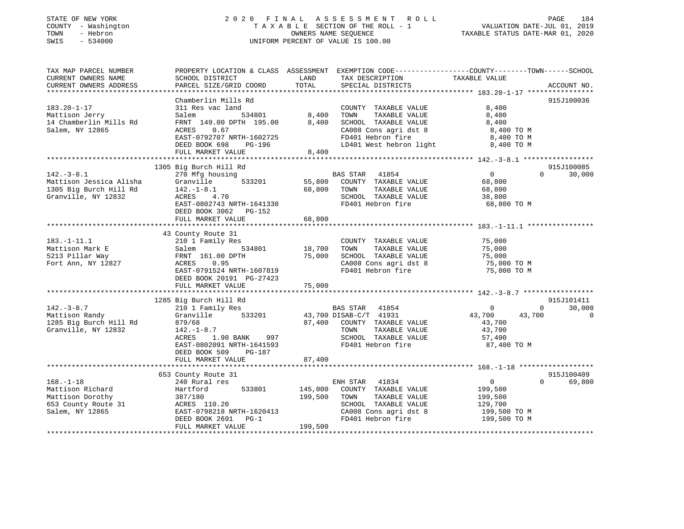### STATE OF NEW YORK 2 0 2 0 F I N A L A S S E S S M E N T R O L L PAGE 184 COUNTY - Washington T A X A B L E SECTION OF THE ROLL - 1 VALUATION DATE-JUL 01, 2019 TOWN - Hebron OWNERS NAME SEQUENCE TAXABLE STATUS DATE-MAR 01, 2020 SWIS - 534000 UNIFORM PERCENT OF VALUE IS 100.00

| TAX MAP PARCEL NUMBER<br>CURRENT OWNERS NAME<br>CURRENT OWNERS ADDRESS                            | PROPERTY LOCATION & CLASS ASSESSMENT EXEMPTION CODE----------------COUNTY-------TOWN------SCHOOL<br>SCHOOL DISTRICT<br>PARCEL SIZE/GRID COORD                                                             | LAND<br>TOTAL                 | TAX DESCRIPTION<br>SPECIAL DISTRICTS                                                                                                           | TAXABLE VALUE                                                                   | ACCOUNT NO.                                     |
|---------------------------------------------------------------------------------------------------|-----------------------------------------------------------------------------------------------------------------------------------------------------------------------------------------------------------|-------------------------------|------------------------------------------------------------------------------------------------------------------------------------------------|---------------------------------------------------------------------------------|-------------------------------------------------|
| $183.20 - 1 - 17$<br>Mattison Jerry<br>14 Chamberlin Mills Rd<br>Salem, NY 12865                  | Chamberlin Mills Rd<br>311 Res vac land<br>534801<br>Salem<br>FRNT 149.00 DPTH 195.00<br>ACRES<br>0.67<br>EAST-0792707 NRTH-1602725<br>DEED BOOK 698<br>PG-196<br>FULL MARKET VALUE                       | 8,400<br>8,400<br>8,400       | COUNTY TAXABLE VALUE<br>TOWN<br>TAXABLE VALUE<br>SCHOOL TAXABLE VALUE<br>CA008 Cons agri dst 8<br>FD401 Hebron fire<br>LD401 West hebron light | 8,400<br>8,400<br>8,400<br>8,400 TO M<br>8,400 TO M<br>8,400 TO M               | 915J100036                                      |
| $142. - 3 - 8.1$<br>Mattison Jessica Alisha<br>1305 Big Burch Hill Rd<br>Granville, NY 12832      | 1305 Big Burch Hill Rd<br>270 Mfg housing<br>533201<br>Granville<br>$142. - 1 - 8.1$<br>4.70<br>ACRES<br>EAST-0802743 NRTH-1641330<br>DEED BOOK 3062 PG-152<br>FULL MARKET VALUE                          | 55,800<br>68,800<br>68,800    | BAS STAR<br>41854<br>COUNTY TAXABLE VALUE<br>TAXABLE VALUE<br>TOWN<br>SCHOOL TAXABLE VALUE<br>FD401 Hebron fire                                | $\overline{0}$<br>68,800<br>68,800<br>38,800<br>68,800 TO M                     | 915J100085<br>30,000<br>$\Omega$                |
| $183. - 1 - 11.1$<br>Mattison Mark E<br>5213 Pillar Way<br>Fort Ann, NY 12827                     | 43 County Route 31<br>210 1 Family Res<br>534801<br>Salem<br>FRNT 161.00 DPTH<br>0.95<br>ACRES<br>EAST-0791524 NRTH-1607819<br>DEED BOOK 20191 PG-27423<br>FULL MARKET VALUE                              | 18,700<br>75,000<br>75,000    | COUNTY TAXABLE VALUE<br>TOWN<br>TAXABLE VALUE<br>SCHOOL TAXABLE VALUE<br>CA008 Cons agri dst 8<br>FD401 Hebron fire                            | 75,000<br>75,000<br>75,000<br>75,000 TO M<br>75,000 TO M                        |                                                 |
| $142. - 3 - 8.7$<br>Mattison Randy<br>1285 Big Burch Hill Rd<br>Granville, NY 12832               | 1285 Big Burch Hill Rd<br>210 1 Family Res<br>Granville<br>533201<br>879/68<br>$142. - 1 - 8.7$<br>ACRES<br>1.90 BANK<br>997<br>EAST-0802091 NRTH-1641593<br>DEED BOOK 509<br>PG-187<br>FULL MARKET VALUE | 87,400<br>87,400              | BAS STAR<br>41854<br>43,700 DISAB-C/T 41931<br>COUNTY TAXABLE VALUE<br>TOWN<br>TAXABLE VALUE<br>SCHOOL TAXABLE VALUE<br>FD401 Hebron fire      | $\mathbf{0}$<br>43,700<br>43,700<br>43,700<br>43,700<br>57,400<br>87,400 TO M   | 915J101411<br>$\Omega$<br>30,000<br>$\mathbf 0$ |
| $168. - 1 - 18$<br>Mattison Richard<br>Mattison Dorothy<br>653 County Route 31<br>Salem, NY 12865 | 653 County Route 31<br>240 Rural res<br>Hartford<br>533801<br>387/180<br>ACRES 110.20<br>EAST-0798218 NRTH-1620413<br>DEED BOOK 2691<br>$PG-1$<br>FULL MARKET VALUE                                       | 145,000<br>199,500<br>199,500 | ENH STAR<br>41834<br>COUNTY TAXABLE VALUE<br>TOWN<br>TAXABLE VALUE<br>SCHOOL TAXABLE VALUE<br>CA008 Cons agri dst 8<br>FD401 Hebron fire       | $\overline{0}$<br>199,500<br>199,500<br>129,700<br>199,500 TO M<br>199,500 TO M | 915J100409<br>$\Omega$<br>69,800                |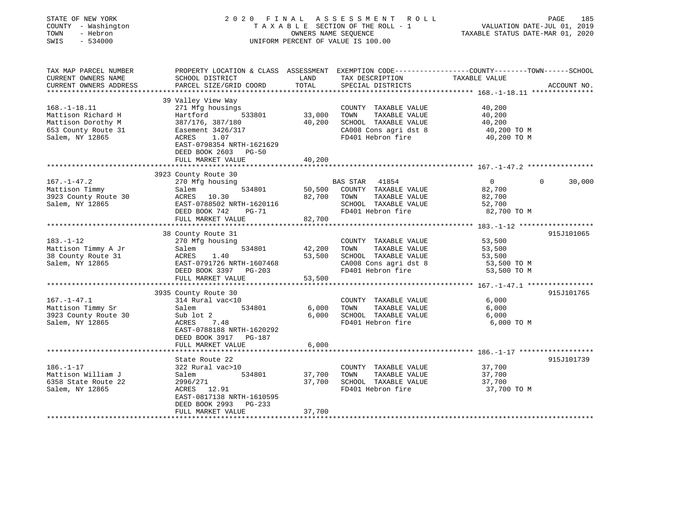| STATE OF NEW YORK<br>COUNTY - Washington<br>- Hebron<br>TOWN<br>SWIS<br>$-534000$ | 2020 FINAL ASSESSMENT<br>TAXABLE SECTION OF THE ROLL - 1<br>UNIFORM PERCENT OF VALUE IS 100.00 | 185<br>PAGE<br>VALUATION DATE-JUL 01, 2019<br>TAXABLE STATUS DATE-MAR 01, 2020 |                                               |                                                                                                                 |             |
|-----------------------------------------------------------------------------------|------------------------------------------------------------------------------------------------|--------------------------------------------------------------------------------|-----------------------------------------------|-----------------------------------------------------------------------------------------------------------------|-------------|
| TAX MAP PARCEL NUMBER<br>CURRENT OWNERS NAME                                      | SCHOOL DISTRICT                                                                                | LAND                                                                           | TAX DESCRIPTION                               | PROPERTY LOCATION & CLASS ASSESSMENT EXEMPTION CODE---------------COUNTY-------TOWN-----SCHOOL<br>TAXABLE VALUE |             |
| CURRENT OWNERS ADDRESS                                                            | PARCEL SIZE/GRID COORD                                                                         | TOTAL                                                                          | SPECIAL DISTRICTS                             |                                                                                                                 | ACCOUNT NO. |
|                                                                                   |                                                                                                |                                                                                |                                               |                                                                                                                 |             |
| $168. - 1 - 18.11$                                                                | 39 Valley View Way<br>271 Mfg housings                                                         |                                                                                | COUNTY TAXABLE VALUE                          | 40,200                                                                                                          |             |
| Mattison Richard H                                                                | Hartford<br>533801                                                                             | 33,000                                                                         | TOWN<br>TAXABLE VALUE                         | 40,200                                                                                                          |             |
| Mattison Dorothy M                                                                | 387/176, 387/180                                                                               | 40,200                                                                         | SCHOOL TAXABLE VALUE                          | 40,200                                                                                                          |             |
| 653 County Route 31                                                               | Easement 3426/317                                                                              |                                                                                | CA008 Cons agri dst 8                         | 40,200 TO M                                                                                                     |             |
| Salem, NY 12865                                                                   | ACRES<br>1.07                                                                                  |                                                                                | FD401 Hebron fire                             | 40,200 TO M                                                                                                     |             |
|                                                                                   | EAST-0798354 NRTH-1621629<br>DEED BOOK 2603<br><b>PG-50</b>                                    |                                                                                |                                               |                                                                                                                 |             |
|                                                                                   | FULL MARKET VALUE                                                                              | 40,200                                                                         |                                               |                                                                                                                 |             |
|                                                                                   | ******************                                                                             |                                                                                |                                               | ****************************** 167.-1-47.2 ************                                                         |             |
|                                                                                   | 3923 County Route 30                                                                           |                                                                                |                                               |                                                                                                                 |             |
| $167. - 1 - 47.2$                                                                 | 270 Mfg housing                                                                                |                                                                                | BAS STAR<br>41854                             | $\overline{0}$<br>$\Omega$                                                                                      | 30,000      |
| Mattison Timmy                                                                    | Salem<br>534801<br>ACRES 10.30                                                                 | 50,500<br>82,700                                                               | COUNTY TAXABLE VALUE<br>TOWN<br>TAXABLE VALUE | 82,700                                                                                                          |             |
| 3923 County Route 30<br>Salem, NY 12865                                           | EAST-0788502 NRTH-1620116                                                                      |                                                                                | SCHOOL TAXABLE VALUE                          | 82,700                                                                                                          |             |
|                                                                                   | DEED BOOK 742<br>$PG-71$                                                                       |                                                                                | FD401 Hebron fire                             | 52,700<br>82,700 TO M                                                                                           |             |
|                                                                                   | FULL MARKET VALUE                                                                              | 82,700                                                                         |                                               |                                                                                                                 |             |
|                                                                                   |                                                                                                |                                                                                |                                               |                                                                                                                 |             |
|                                                                                   | 38 County Route 31                                                                             |                                                                                |                                               |                                                                                                                 | 915J101065  |
| $183. - 1 - 12$                                                                   | 270 Mfg housing                                                                                |                                                                                | COUNTY TAXABLE VALUE                          | 53,500                                                                                                          |             |
| Mattison Timmy A Jr                                                               | 534801<br>Salem                                                                                | 42,200                                                                         | TAXABLE VALUE<br>TOWN                         | 53,500                                                                                                          |             |
| 38 County Route 31                                                                | ACRES<br>1.40                                                                                  | 53,500                                                                         | SCHOOL TAXABLE VALUE                          | 53,500                                                                                                          |             |
| Salem, NY 12865                                                                   | EAST-0791726 NRTH-1607468                                                                      |                                                                                | CA008 Cons agri dst 8                         | 53,500 TO M                                                                                                     |             |
|                                                                                   | DEED BOOK 3397 PG-203                                                                          |                                                                                | FD401 Hebron fire                             | 53,500 TO M                                                                                                     |             |
|                                                                                   | FULL MARKET VALUE                                                                              | 53,500                                                                         |                                               |                                                                                                                 |             |
|                                                                                   |                                                                                                |                                                                                |                                               |                                                                                                                 |             |
|                                                                                   | 3935 County Route 30                                                                           |                                                                                |                                               |                                                                                                                 | 915J101765  |
| $167. - 1 - 47.1$                                                                 | 314 Rural vac<10<br>534801<br>Salem                                                            | 6,000                                                                          | COUNTY TAXABLE VALUE<br>TOWN<br>TAXABLE VALUE | 6,000<br>6,000                                                                                                  |             |
| Mattison Timmy Sr<br>3923 County Route 30                                         | Sub lot 2                                                                                      | 6,000                                                                          | SCHOOL TAXABLE VALUE                          | 6,000                                                                                                           |             |
| Salem, NY 12865                                                                   | ACRES<br>7.48                                                                                  |                                                                                | FD401 Hebron fire                             | 6,000 TO M                                                                                                      |             |
|                                                                                   | EAST-0788188 NRTH-1620292<br>DEED BOOK 3917<br>PG-187                                          |                                                                                |                                               |                                                                                                                 |             |
|                                                                                   | FULL MARKET VALUE                                                                              | 6,000                                                                          |                                               |                                                                                                                 |             |
|                                                                                   | ********************                                                                           | *******************                                                            |                                               |                                                                                                                 |             |
|                                                                                   | State Route 22                                                                                 |                                                                                |                                               |                                                                                                                 | 915J101739  |
| $186. - 1 - 17$                                                                   | 322 Rural vac>10                                                                               |                                                                                | COUNTY TAXABLE VALUE                          | 37,700                                                                                                          |             |
| Mattison William J                                                                | Salem<br>534801                                                                                | 37,700                                                                         | TAXABLE VALUE<br>TOWN                         | 37,700                                                                                                          |             |
| 6358 State Route 22                                                               | 2996/271                                                                                       | 37,700                                                                         | SCHOOL TAXABLE VALUE                          | 37,700                                                                                                          |             |
| Salem, NY 12865                                                                   | ACRES 12.91                                                                                    |                                                                                | FD401 Hebron fire                             | 37,700 TO M                                                                                                     |             |
|                                                                                   | EAST-0817138 NRTH-1610595                                                                      |                                                                                |                                               |                                                                                                                 |             |
|                                                                                   | DEED BOOK 2993<br>PG-233                                                                       |                                                                                |                                               |                                                                                                                 |             |
|                                                                                   | FULL MARKET VALUE                                                                              | 37,700                                                                         |                                               |                                                                                                                 |             |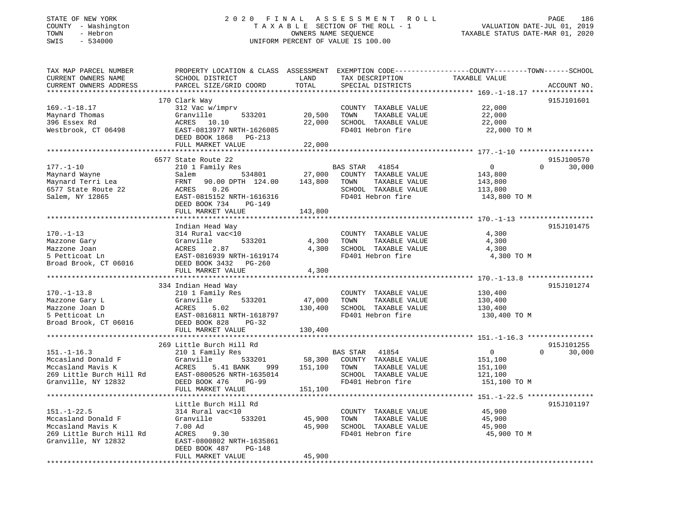### STATE OF NEW YORK 2 0 2 0 F I N A L A S S E S S M E N T R O L L PAGE 186 COUNTY - Washington T A X A B L E SECTION OF THE ROLL - 1 VALUATION DATE-JUL 01, 2019 TOWN - Hebron OWNERS NAME SEQUENCE TAXABLE STATUS DATE-MAR 01, 2020 SWIS - 534000 UNIFORM PERCENT OF VALUE IS 100.00

| TAX MAP PARCEL NUMBER                                                | PROPERTY LOCATION & CLASS ASSESSMENT EXEMPTION CODE----------------COUNTY-------TOWN------SCHOOL |               |                       |                |                        |
|----------------------------------------------------------------------|--------------------------------------------------------------------------------------------------|---------------|-----------------------|----------------|------------------------|
| CURRENT OWNERS NAME                                                  | SCHOOL DISTRICT                                                                                  | LAND          | TAX DESCRIPTION       | TAXABLE VALUE  |                        |
| CURRENT OWNERS ADDRESS                                               | PARCEL SIZE/GRID COORD                                                                           | TOTAL         | SPECIAL DISTRICTS     |                | ACCOUNT NO.            |
|                                                                      |                                                                                                  |               |                       |                |                        |
|                                                                      | 170 Clark Way                                                                                    |               |                       |                | 915J101601             |
| $169. - 1 - 18.17$                                                   | 312 Vac w/imprv                                                                                  |               | COUNTY TAXABLE VALUE  | 22,000         |                        |
| Maynard Thomas                                                       | Granville<br>533201                                                                              | 20,500        | TAXABLE VALUE<br>TOWN | 22,000         |                        |
| 396 Essex Rd                                                         | 10.10<br>ACRES                                                                                   | 22,000        | SCHOOL TAXABLE VALUE  | 22,000         |                        |
| Westbrook, CT 06498                                                  | EAST-0813977 NRTH-1626085                                                                        |               | FD401 Hebron fire     | 22,000 TO M    |                        |
|                                                                      | DEED BOOK 1868 PG-213                                                                            |               |                       |                |                        |
|                                                                      | FULL MARKET VALUE                                                                                | 22,000        |                       |                |                        |
|                                                                      |                                                                                                  |               |                       |                |                        |
|                                                                      | 6577 State Route 22                                                                              |               |                       |                | 915J100570<br>$\Omega$ |
| $177. - 1 - 10$                                                      | 210 1 Family Res                                                                                 |               | BAS STAR 41854        | $\overline{0}$ | 30,000                 |
| Maynard Wayne                                                        | Salem                                                                                            | 534801 27,000 | COUNTY TAXABLE VALUE  | 143,800        |                        |
| Maynard Terri Lea                                                    | 90.00 DPTH 124.00 143,800<br>FRNT                                                                |               | TOWN<br>TAXABLE VALUE | 143,800        |                        |
| 6577 State Route 22                                                  | 0.26<br>ACRES                                                                                    |               | SCHOOL TAXABLE VALUE  | 113,800        |                        |
| Salem, NY 12865                                                      | EAST-0815152 NRTH-1616316                                                                        |               | FD401 Hebron fire     | 143,800 TO M   |                        |
|                                                                      | DEED BOOK 734<br>PG-149                                                                          |               |                       |                |                        |
|                                                                      | FULL MARKET VALUE                                                                                | 143,800       |                       |                |                        |
|                                                                      |                                                                                                  |               |                       |                |                        |
|                                                                      | Indian Head Way                                                                                  |               |                       |                | 915J101475             |
| $170. - 1 - 13$                                                      | 314 Rural vac<10                                                                                 |               | COUNTY TAXABLE VALUE  | 4,300          |                        |
| Mazzone Gary                                                         | Granville<br>533201                                                                              | 4,300         | TAXABLE VALUE<br>TOWN | 4,300          |                        |
| Mazzone Joan                                                         | ACRES<br>2.87                                                                                    | 4,300         | SCHOOL TAXABLE VALUE  | 4,300          |                        |
| 5 Petticoat Ln                                                       | EAST-0816939 NRTH-1619174                                                                        |               | FD401 Hebron fire     | 4,300 TO M     |                        |
| Broad Brook, CT 06016                                                | DEED BOOK 3432 PG-260                                                                            |               |                       |                |                        |
|                                                                      | FULL MARKET VALUE                                                                                | 4,300         |                       |                |                        |
|                                                                      |                                                                                                  |               |                       |                |                        |
|                                                                      | 334 Indian Head Way                                                                              |               |                       |                | 915J101274             |
| $170. - 1 - 13.8$                                                    | 210 1 Family Res                                                                                 |               | COUNTY TAXABLE VALUE  | 130,400        |                        |
| Mazzone Gary L                                                       | 533201<br>Granville                                                                              | 47,000        | TAXABLE VALUE<br>TOWN | 130,400        |                        |
| Mazzone Joan D                                                       | ACRES<br>5.02                                                                                    | 130,400       | SCHOOL TAXABLE VALUE  | 130,400        |                        |
| 5 Petticoat Ln                                                       | EAST-0816811 NRTH-1618797                                                                        |               | FD401 Hebron fire     | 130,400 TO M   |                        |
| Broad Brook, CT 06016                                                | DEED BOOK 828<br>$PG-32$                                                                         |               |                       |                |                        |
|                                                                      | FULL MARKET VALUE                                                                                | 130,400       |                       |                |                        |
|                                                                      |                                                                                                  |               |                       |                |                        |
|                                                                      | 269 Little Burch Hill Rd                                                                         |               |                       |                | 915J101255             |
| $151.-1-16.3$                                                        | 210 1 Family Res                                                                                 |               | BAS STAR 41854        | $\overline{0}$ | $\Omega$<br>30,000     |
| Mccasland Donald F                                                   | Granville<br>533201                                                                              | 58,300        | COUNTY TAXABLE VALUE  | 151,100        |                        |
| Mccasland Mavis K                                                    | 5.41 BANK<br>ACRES<br>999                                                                        | 151,100 TOWN  | TAXABLE VALUE         | 151,100        |                        |
| Mccasland Mavis K<br>269 Little Burch Hill Rd<br>Granville, NY 12832 | EAST-0800526 NRTH-1635014                                                                        |               | SCHOOL TAXABLE VALUE  | 121,100        |                        |
| Granville, NY 12832                                                  | DEED BOOK 476<br>PG-99                                                                           |               | FD401 Hebron fire     | 151,100 TO M   |                        |
|                                                                      | FULL MARKET VALUE                                                                                | 151,100       |                       |                |                        |
|                                                                      |                                                                                                  |               |                       |                |                        |
|                                                                      | Little Burch Hill Rd                                                                             |               |                       |                | 915J101197             |
| $151. - 1 - 22.5$                                                    | 314 Rural vac<10                                                                                 |               | COUNTY TAXABLE VALUE  | 45,900         |                        |
| Mccasland Donald F                                                   | Granville<br>533201                                                                              | 45,900        | TOWN<br>TAXABLE VALUE | 45,900         |                        |
| Mccasland Mavis K                                                    | 7.00 Ad                                                                                          | 45,900        | SCHOOL TAXABLE VALUE  | 45,900         |                        |
| 269 Little Burch Hill Rd                                             | ACRES<br>9.30                                                                                    |               | FD401 Hebron fire     | 45,900 TO M    |                        |
| Granville, NY 12832                                                  | EAST-0800802 NRTH-1635861                                                                        |               |                       |                |                        |
|                                                                      | DEED BOOK 487<br>PG-148                                                                          |               |                       |                |                        |
|                                                                      | FULL MARKET VALUE                                                                                | 45,900        |                       |                |                        |
|                                                                      |                                                                                                  |               |                       |                |                        |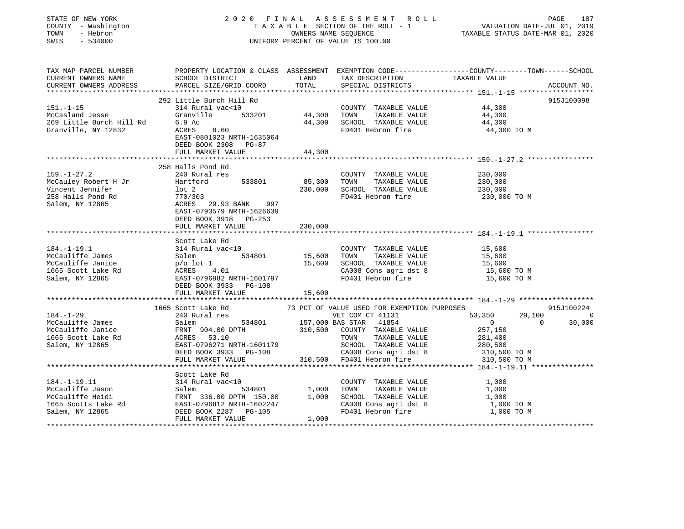| STATE OF NEW YORK<br>COUNTY - Washington<br>TOWN - Hebron<br>SWIS - 534000                                                                                                                                                                                                |                                                                                                                                                          |                   | UNIFORM PERCENT OF VALUE IS 100.00                                                                                                                                    | 2020 FINAL ASSESSMENT ROLL PAGE 187<br>TAXABLE SECTION OF THE ROLL - 1 VALUATION DATE-JUL 01, 2019<br>ONNERS NAME SEQUENCE<br>TAXABLE STATUS DATE-MAR 01, 2020 |            |
|---------------------------------------------------------------------------------------------------------------------------------------------------------------------------------------------------------------------------------------------------------------------------|----------------------------------------------------------------------------------------------------------------------------------------------------------|-------------------|-----------------------------------------------------------------------------------------------------------------------------------------------------------------------|----------------------------------------------------------------------------------------------------------------------------------------------------------------|------------|
| TAX MAP PARCEL NUMBER<br>CURRENT OWNERS NAME SCHOOL DISTRICT LAND TAX DESCRIPTION CODE----------------COUNTY--------TOWN------SCHOOL<br>CURRENT OWNERS ADDRESS PARCEL SIZE/GRID COORD TOTAL CORD TEXABLE VALUE                                                            |                                                                                                                                                          |                   |                                                                                                                                                                       |                                                                                                                                                                |            |
|                                                                                                                                                                                                                                                                           |                                                                                                                                                          |                   |                                                                                                                                                                       |                                                                                                                                                                |            |
|                                                                                                                                                                                                                                                                           |                                                                                                                                                          |                   | COUNTY TAXABLE VALUE                                                                                                                                                  | 44,300                                                                                                                                                         | 915J100098 |
|                                                                                                                                                                                                                                                                           | 314 Kural VacSiv<br>Granville 533201 44,300 TOWN TAXABLE VALUE 44,300<br>6.9 Ac 44,300 SCHOOL TAXABLE VALUE 44,300<br>44,300 SCHOOL TAXABLE VALUE 44,300 |                   | FD401 Hebron fire                                                                                                                                                     | 44,300 TO M                                                                                                                                                    |            |
|                                                                                                                                                                                                                                                                           |                                                                                                                                                          | 44,300            |                                                                                                                                                                       |                                                                                                                                                                |            |
|                                                                                                                                                                                                                                                                           |                                                                                                                                                          |                   |                                                                                                                                                                       |                                                                                                                                                                |            |
| McCauley Robert H Jr Hartford 533801<br>Vincent Jennifer 10t 2<br>258 Halls Pond Rd 770/303<br>Salem, NY 12865 ACRES 29.93 BANK 997<br>EAST-0793579 NRTH-1626639                                                                                                          |                                                                                                                                                          | 85,300<br>230,000 | COUNTY TAXABLE VALUE<br>TOWN TAXABLE VALUE 230,000<br>SCHOOL TAXABLE VALUE 230,000<br>SCHOOL TAXABLE VALUE                                                            | 230,000<br>FD401 Hebron fire 230,000 TO M                                                                                                                      |            |
|                                                                                                                                                                                                                                                                           | DEED BOOK 3918 PG-253<br>FULL MARKET VALUE                                                                                                               | 230,000           |                                                                                                                                                                       |                                                                                                                                                                |            |
| 314.-1-19.1<br>McCauliffe James<br>McCauliffe James<br>McCauliffe James<br>McCauliffe Janice<br>McCauliffe Janice<br>McCauliffe Janice<br>McCauliffe Janice<br>McCauliffe Janice<br>McCauliffe Janice<br>McCauliffe Janice<br>McCauliffe Janice<br>McC                    | Scott Lake Rd<br>FULL MARKET VALUE                                                                                                                       | 15,600            |                                                                                                                                                                       |                                                                                                                                                                |            |
|                                                                                                                                                                                                                                                                           |                                                                                                                                                          |                   |                                                                                                                                                                       |                                                                                                                                                                |            |
| $184. - 1 - 29$<br>184.-1-29<br>McCauliffe James<br>McCauliffe James<br>McCauliffe James<br>McCauliffe James<br>McCauliffe James<br>McCauliffe James<br>McCauliffe James<br>McCauliffe James<br>McCauliffe James<br>McCauliffe James<br>FRNT 904.00 DPTH<br>310,500 COUNT | 1665 Scott Lake Rd                                                                                                                                       |                   | 310,500 COUNTY TAXABLE VALUE 257,150<br>TOWN TAXABLE VALUE 281,400<br>SCHOOL TAXABLE VALUE 280,500<br>CA008 Cons agri dst 8 310,500 TO M<br>310,500 FD401 Hebron fire | VALUE USED FOR EXEMPTION PURPOSES<br>VET COM CT 41131 53,350 29,100 0<br>10 30,000 0 30,000                                                                    | 915J100224 |
|                                                                                                                                                                                                                                                                           |                                                                                                                                                          |                   |                                                                                                                                                                       |                                                                                                                                                                |            |
| 314 Rural vac<10<br>McCaulife Jason 314 Rural vac<10<br>McCaulife Heidi FRNT 336.00 DPTH 150.00 1,000 TOWN TAXABLE VALUE 1,000<br>McCaulife Heidi FRNT 336.00 DPTH 150.00 1,000 SCHOOL TAXABLE VALUE 1,000<br>1665 Scotts Lake Rd EAST                                    |                                                                                                                                                          |                   |                                                                                                                                                                       |                                                                                                                                                                |            |
|                                                                                                                                                                                                                                                                           |                                                                                                                                                          |                   |                                                                                                                                                                       |                                                                                                                                                                |            |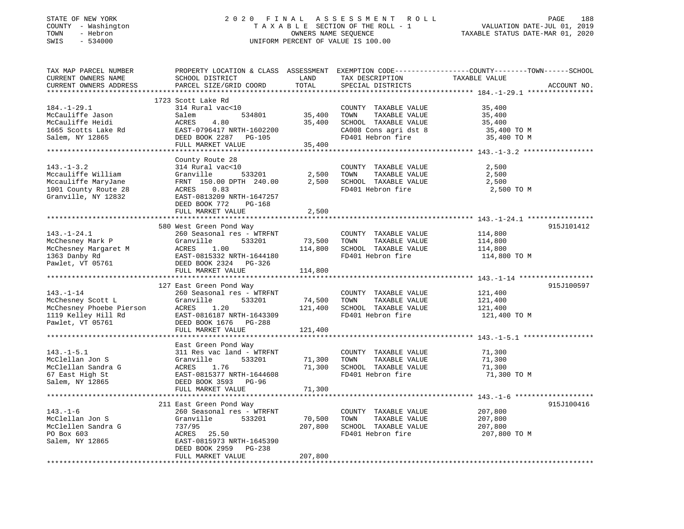#### STATE OF NEW YORK 2 0 2 0 F I N A L A S S E S S M E N T R O L L PAGE 188 COUNTY - Washington T A X A B L E SECTION OF THE ROLL - 1 VALUATION DATE-JUL 01, 2019 TOWN - Hebron OWNERS NAME SEQUENCE TAXABLE STATUS DATE-MAR 01, 2020 SWIS - 534000 UNIFORM PERCENT OF VALUE IS 100.00

| TAX MAP PARCEL NUMBER<br>CURRENT OWNERS NAME  | PROPERTY LOCATION & CLASS ASSESSMENT EXEMPTION CODE---------------COUNTY-------TOWN-----SCHOOL<br>SCHOOL DISTRICT | LAND          | TAX DESCRIPTION                            | TAXABLE VALUE      |             |
|-----------------------------------------------|-------------------------------------------------------------------------------------------------------------------|---------------|--------------------------------------------|--------------------|-------------|
| CURRENT OWNERS ADDRESS                        | PARCEL SIZE/GRID COORD                                                                                            | TOTAL         | SPECIAL DISTRICTS                          |                    | ACCOUNT NO. |
|                                               |                                                                                                                   |               |                                            |                    |             |
|                                               | 1723 Scott Lake Rd                                                                                                |               |                                            |                    |             |
| $184. - 1 - 29.1$                             | 314 Rural vac<10                                                                                                  |               | COUNTY TAXABLE VALUE                       | 35,400             |             |
| McCauliffe Jason                              | Salem                                                                                                             | 534801 35,400 | TOWN<br>TAXABLE VALUE                      | 35,400             |             |
| McCauliffe Heidi                              | 4.80<br>ACRES                                                                                                     | 35,400        | SCHOOL TAXABLE VALUE                       | 35,400             |             |
| 1665 Scotts Lake Rd                           | EAST-0796417 NRTH-1602200                                                                                         |               | CA008 Cons agri dst 8<br>FD401 Hebron fire | 35,400 TO M        |             |
| Salem, NY 12865                               | DEED BOOK 2287 PG-105<br>FULL MARKET VALUE                                                                        | 35,400        |                                            | 35,400 TO M        |             |
|                                               |                                                                                                                   |               |                                            |                    |             |
|                                               | County Route 28                                                                                                   |               |                                            |                    |             |
| $143. - 1 - 3.2$                              | 314 Rural vac<10                                                                                                  |               | COUNTY TAXABLE VALUE                       | 2,500              |             |
| Mccauliffe William                            | 533201<br>Granville                                                                                               |               | 2,500 TOWN<br>TAXABLE VALUE                | 2,500              |             |
| Mccauliffe MaryJane                           | FRNT 150.00 DPTH 240.00                                                                                           |               | 2,500 SCHOOL TAXABLE VALUE                 | 2,500              |             |
| 1001 County Route 28                          | ACRES 0.83                                                                                                        |               | FD401 Hebron fire                          | 2,500 TO M         |             |
| Granville, NY 12832                           | EAST-0813209 NRTH-1647257                                                                                         |               |                                            |                    |             |
|                                               | DEED BOOK 772<br>PG-168                                                                                           |               |                                            |                    |             |
|                                               | FULL MARKET VALUE                                                                                                 | 2,500         |                                            |                    |             |
|                                               |                                                                                                                   |               |                                            |                    |             |
|                                               | 580 West Green Pond Way                                                                                           |               |                                            |                    | 915J101412  |
| $143. - 1 - 24.1$                             | 260 Seasonal res - WTRFNT                                                                                         |               | COUNTY TAXABLE VALUE                       | 114,800            |             |
| McChesney Mark P                              | Granville<br>533201                                                                                               | 73,500 TOWN   | TAXABLE VALUE                              | 114,800            |             |
| McChesney Margaret M                          | ACRES<br>1.00                                                                                                     |               | 114,800 SCHOOL TAXABLE VALUE               | 114,800            |             |
| 1363 Danby Rd                                 | EAST-0815332 NRTH-1644180                                                                                         |               | FD401 Hebron fire                          | 114,800 TO M       |             |
| Pawlet, VT 05761                              | DEED BOOK 2324 PG-326                                                                                             |               |                                            |                    |             |
|                                               | FULL MARKET VALUE                                                                                                 | 114,800       |                                            |                    |             |
|                                               |                                                                                                                   |               |                                            |                    |             |
| $143. - 1 - 14$                               | 127 East Green Pond Way<br>260 Seasonal res - WTRFNT                                                              |               |                                            |                    | 915J100597  |
|                                               | Granville<br>533201                                                                                               | 74,500 TOWN   | COUNTY TAXABLE VALUE<br>TAXABLE VALUE      | 121,400<br>121,400 |             |
| McChesney Scott L<br>McChesney Phoebe Pierson | 1.20<br>ACRES                                                                                                     |               | 121,400 SCHOOL TAXABLE VALUE               | 121,400            |             |
| 1119 Kelley Hill Rd                           | EAST-0816187 NRTH-1643309                                                                                         |               | FD401 Hebron fire                          | 121,400 TO M       |             |
| Pawlet, VT 05761                              | DEED BOOK 1676 PG-288                                                                                             |               |                                            |                    |             |
|                                               | FULL MARKET VALUE                                                                                                 | 121,400       |                                            |                    |             |
|                                               |                                                                                                                   |               |                                            |                    |             |
|                                               | East Green Pond Way                                                                                               |               |                                            |                    |             |
| $143.-1-5.1$                                  | 311 Res vac land - WTRFNT                                                                                         |               | COUNTY TAXABLE VALUE                       | 71,300             |             |
| McClellan Jon S                               | Granville<br>533201                                                                                               | 71,300        | TOWN<br>TAXABLE VALUE                      | 71,300             |             |
| McClellan Sandra G                            | ACRES<br>1.76                                                                                                     | 71,300        | SCHOOL TAXABLE VALUE                       | 71,300             |             |
| 67 East High St                               | EAST-0815377 NRTH-1644608                                                                                         |               | FD401 Hebron fire                          | 71,300 TO M        |             |
| Salem, NY 12865                               | DEED BOOK 3593 PG-96                                                                                              |               |                                            |                    |             |
|                                               | FULL MARKET VALUE                                                                                                 | 71,300        |                                            |                    |             |
|                                               |                                                                                                                   |               |                                            |                    |             |
|                                               | 211 East Green Pond Way                                                                                           |               |                                            |                    | 915J100416  |
| $143. - 1 - 6$                                | 260 Seasonal res - WTRFNT                                                                                         |               | COUNTY TAXABLE VALUE                       | 207,800            |             |
| McClellan Jon S                               | Granville<br>533201                                                                                               | 70,500        | TOWN<br>TAXABLE VALUE                      | 207,800            |             |
| McClellen Sandra G                            | 737/95                                                                                                            | 207,800       | SCHOOL TAXABLE VALUE                       | 207,800            |             |
| PO Box 603                                    | ACRES 25.50<br>EAST-0815973 NRTH-1645390                                                                          |               | FD401 Hebron fire                          | 207,800 TO M       |             |
| Salem, NY 12865                               | DEED BOOK 2959 PG-238                                                                                             |               |                                            |                    |             |
|                                               | FULL MARKET VALUE                                                                                                 | 207,800       |                                            |                    |             |
|                                               |                                                                                                                   |               |                                            |                    |             |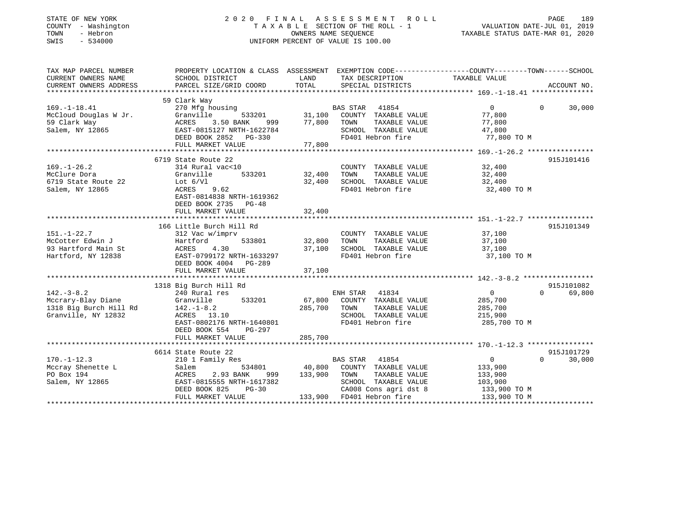| STATE OF NEW YORK<br>COUNTY - Washington<br>- Hebron<br>TOWN<br>SWIS<br>$-534000$ |                                              | 2020 FINAL ASSESSMENT ROLL<br>TAXABLE SECTION OF THE ROLL - 1<br>OWNERS NAME SEOUENCE<br>UNIFORM PERCENT OF VALUE IS 100.00 | TAXABLE STATUS DATE-MAR 01, 2020                                               | PAGE<br>VALUATION DATE-JUL 01, 2019 | 189 |
|-----------------------------------------------------------------------------------|----------------------------------------------|-----------------------------------------------------------------------------------------------------------------------------|--------------------------------------------------------------------------------|-------------------------------------|-----|
| TAX MAP PARCEL NUMBER<br>CURRENT OWNERS NAME                                      | PROPERTY LOCATION & CLASS<br>SCHOOL DISTRICT | ASSESSMENT<br>TAX DESCRIPTION<br>LAND                                                                                       | EXEMPTION CODE-----------------COUNTY--------TOWN------SCHOOL<br>TAXABLE VALUE |                                     |     |

| 30,000     |
|------------|
| 915J101416 |
|            |
|            |
|            |
| 915J101349 |
| 915J101082 |
| 69,800     |
|            |
|            |
| 915J101729 |
| 30,000     |
|            |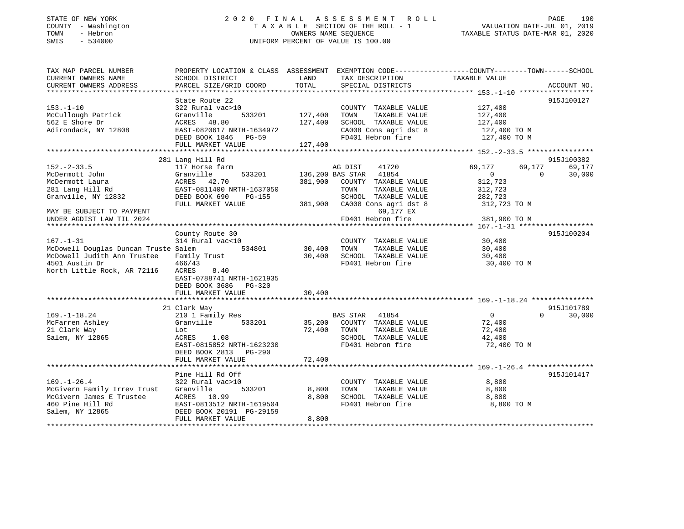### STATE OF NEW YORK 2 0 2 0 F I N A L A S S E S S M E N T R O L L PAGE 190 COUNTY - Washington T A X A B L E SECTION OF THE ROLL - 1 VALUATION DATE-JUL 01, 2019 TOWN - Hebron OWNERS NAME SEQUENCE TAXABLE STATUS DATE-MAR 01, 2020 SWIS - 534000 UNIFORM PERCENT OF VALUE IS 100.00

| TOTAL<br>CURRENT OWNERS ADDRESS<br>PARCEL SIZE/GRID COORD<br>SPECIAL DISTRICTS<br>ACCOUNT NO.<br>State Route 22<br>915J100127<br>$153. - 1 - 10$<br>322 Rural vac>10<br>127,400<br>COUNTY TAXABLE VALUE<br>533201<br>127,400<br>127,400<br>McCullough Patrick<br>Granville<br>TOWN<br>TAXABLE VALUE<br>562 E Shore Dr<br>127,400<br>SCHOOL TAXABLE VALUE<br>ACRES 48.80<br>127,400<br>Adirondack, NY 12808<br>CA008 Cons agri dst 8<br>EAST-0820617 NRTH-1634972<br>127,400 TO M<br>FD401 Hebron fire<br>DEED BOOK 1846 PG-59<br>127,400 TO M<br>127,400<br>FULL MARKET VALUE<br>281 Lang Hill Rd<br>915J100382<br>69,177<br>$152 - 2 - 33.5$<br>117 Horse farm<br>AG DIST<br>41720<br>69,177<br>69,177<br>533201<br>136,200 BAS STAR 41854<br>$\overline{0}$<br>30,000<br>McDermott John<br>Granville<br>$\Omega$<br>ACRES 42.70<br>381,900<br>COUNTY TAXABLE VALUE<br>312,723<br>McDermott Laura<br>EAST-0811400 NRTH-1637050<br>281 Lang Hill Rd<br>TOWN<br>TAXABLE VALUE<br>312,723<br>SCHOOL TAXABLE VALUE<br>Granville, NY 12832<br>DEED BOOK 690<br>PG-155<br>282,723<br>381,900<br>CA008 Cons agri dst 8<br>312,723 TO M<br>FULL MARKET VALUE<br>69,177 EX<br>MAY BE SUBJECT TO PAYMENT<br>FD401 Hebron fire<br>381,900 TO M<br>UNDER AGDIST LAW TIL 2024<br>County Route 30<br>915J100204<br>314 Rural vac<10<br>$167. - 1 - 31$<br>COUNTY TAXABLE VALUE<br>30,400<br>McDowell Douglas Duncan Truste Salem<br>534801<br>30,400<br>TOWN<br>TAXABLE VALUE<br>30,400<br>30,400<br>McDowell Judith Ann Trustee<br>Family Trust<br>SCHOOL TAXABLE VALUE<br>30,400<br>4501 Austin Dr<br>466/43<br>FD401 Hebron fire<br>30,400 TO M<br>North Little Rock, AR 72116<br>ACRES<br>8.40<br>EAST-0788741 NRTH-1621935<br>DEED BOOK 3686 PG-320<br>30,400<br>FULL MARKET VALUE<br>915J101789<br>21 Clark Way<br>$169. - 1 - 18.24$<br>210 1 Family Res<br>BAS STAR 41854<br>$\overline{0}$<br>$\Omega$<br>30,000<br>Granville<br>533201<br>35,200<br>COUNTY TAXABLE VALUE<br>McFarren Ashley<br>72,400<br>21 Clark Way<br>72,400<br>TOWN<br>TAXABLE VALUE<br>72,400<br>Lot<br>Salem, NY 12865<br>SCHOOL TAXABLE VALUE<br>1.08<br>42,400<br>ACRES<br>FD401 Hebron fire<br>EAST-0815852 NRTH-1623230<br>72,400 TO M |
|---------------------------------------------------------------------------------------------------------------------------------------------------------------------------------------------------------------------------------------------------------------------------------------------------------------------------------------------------------------------------------------------------------------------------------------------------------------------------------------------------------------------------------------------------------------------------------------------------------------------------------------------------------------------------------------------------------------------------------------------------------------------------------------------------------------------------------------------------------------------------------------------------------------------------------------------------------------------------------------------------------------------------------------------------------------------------------------------------------------------------------------------------------------------------------------------------------------------------------------------------------------------------------------------------------------------------------------------------------------------------------------------------------------------------------------------------------------------------------------------------------------------------------------------------------------------------------------------------------------------------------------------------------------------------------------------------------------------------------------------------------------------------------------------------------------------------------------------------------------------------------------------------------------------------------------------------------------------------------------------------------------------------------------------------------------------------------------------------------------------------------------------------------------------------------------------------------------|
|                                                                                                                                                                                                                                                                                                                                                                                                                                                                                                                                                                                                                                                                                                                                                                                                                                                                                                                                                                                                                                                                                                                                                                                                                                                                                                                                                                                                                                                                                                                                                                                                                                                                                                                                                                                                                                                                                                                                                                                                                                                                                                                                                                                                               |
|                                                                                                                                                                                                                                                                                                                                                                                                                                                                                                                                                                                                                                                                                                                                                                                                                                                                                                                                                                                                                                                                                                                                                                                                                                                                                                                                                                                                                                                                                                                                                                                                                                                                                                                                                                                                                                                                                                                                                                                                                                                                                                                                                                                                               |
|                                                                                                                                                                                                                                                                                                                                                                                                                                                                                                                                                                                                                                                                                                                                                                                                                                                                                                                                                                                                                                                                                                                                                                                                                                                                                                                                                                                                                                                                                                                                                                                                                                                                                                                                                                                                                                                                                                                                                                                                                                                                                                                                                                                                               |
|                                                                                                                                                                                                                                                                                                                                                                                                                                                                                                                                                                                                                                                                                                                                                                                                                                                                                                                                                                                                                                                                                                                                                                                                                                                                                                                                                                                                                                                                                                                                                                                                                                                                                                                                                                                                                                                                                                                                                                                                                                                                                                                                                                                                               |
|                                                                                                                                                                                                                                                                                                                                                                                                                                                                                                                                                                                                                                                                                                                                                                                                                                                                                                                                                                                                                                                                                                                                                                                                                                                                                                                                                                                                                                                                                                                                                                                                                                                                                                                                                                                                                                                                                                                                                                                                                                                                                                                                                                                                               |
|                                                                                                                                                                                                                                                                                                                                                                                                                                                                                                                                                                                                                                                                                                                                                                                                                                                                                                                                                                                                                                                                                                                                                                                                                                                                                                                                                                                                                                                                                                                                                                                                                                                                                                                                                                                                                                                                                                                                                                                                                                                                                                                                                                                                               |
|                                                                                                                                                                                                                                                                                                                                                                                                                                                                                                                                                                                                                                                                                                                                                                                                                                                                                                                                                                                                                                                                                                                                                                                                                                                                                                                                                                                                                                                                                                                                                                                                                                                                                                                                                                                                                                                                                                                                                                                                                                                                                                                                                                                                               |
|                                                                                                                                                                                                                                                                                                                                                                                                                                                                                                                                                                                                                                                                                                                                                                                                                                                                                                                                                                                                                                                                                                                                                                                                                                                                                                                                                                                                                                                                                                                                                                                                                                                                                                                                                                                                                                                                                                                                                                                                                                                                                                                                                                                                               |
|                                                                                                                                                                                                                                                                                                                                                                                                                                                                                                                                                                                                                                                                                                                                                                                                                                                                                                                                                                                                                                                                                                                                                                                                                                                                                                                                                                                                                                                                                                                                                                                                                                                                                                                                                                                                                                                                                                                                                                                                                                                                                                                                                                                                               |
|                                                                                                                                                                                                                                                                                                                                                                                                                                                                                                                                                                                                                                                                                                                                                                                                                                                                                                                                                                                                                                                                                                                                                                                                                                                                                                                                                                                                                                                                                                                                                                                                                                                                                                                                                                                                                                                                                                                                                                                                                                                                                                                                                                                                               |
|                                                                                                                                                                                                                                                                                                                                                                                                                                                                                                                                                                                                                                                                                                                                                                                                                                                                                                                                                                                                                                                                                                                                                                                                                                                                                                                                                                                                                                                                                                                                                                                                                                                                                                                                                                                                                                                                                                                                                                                                                                                                                                                                                                                                               |
|                                                                                                                                                                                                                                                                                                                                                                                                                                                                                                                                                                                                                                                                                                                                                                                                                                                                                                                                                                                                                                                                                                                                                                                                                                                                                                                                                                                                                                                                                                                                                                                                                                                                                                                                                                                                                                                                                                                                                                                                                                                                                                                                                                                                               |
|                                                                                                                                                                                                                                                                                                                                                                                                                                                                                                                                                                                                                                                                                                                                                                                                                                                                                                                                                                                                                                                                                                                                                                                                                                                                                                                                                                                                                                                                                                                                                                                                                                                                                                                                                                                                                                                                                                                                                                                                                                                                                                                                                                                                               |
|                                                                                                                                                                                                                                                                                                                                                                                                                                                                                                                                                                                                                                                                                                                                                                                                                                                                                                                                                                                                                                                                                                                                                                                                                                                                                                                                                                                                                                                                                                                                                                                                                                                                                                                                                                                                                                                                                                                                                                                                                                                                                                                                                                                                               |
|                                                                                                                                                                                                                                                                                                                                                                                                                                                                                                                                                                                                                                                                                                                                                                                                                                                                                                                                                                                                                                                                                                                                                                                                                                                                                                                                                                                                                                                                                                                                                                                                                                                                                                                                                                                                                                                                                                                                                                                                                                                                                                                                                                                                               |
|                                                                                                                                                                                                                                                                                                                                                                                                                                                                                                                                                                                                                                                                                                                                                                                                                                                                                                                                                                                                                                                                                                                                                                                                                                                                                                                                                                                                                                                                                                                                                                                                                                                                                                                                                                                                                                                                                                                                                                                                                                                                                                                                                                                                               |
|                                                                                                                                                                                                                                                                                                                                                                                                                                                                                                                                                                                                                                                                                                                                                                                                                                                                                                                                                                                                                                                                                                                                                                                                                                                                                                                                                                                                                                                                                                                                                                                                                                                                                                                                                                                                                                                                                                                                                                                                                                                                                                                                                                                                               |
|                                                                                                                                                                                                                                                                                                                                                                                                                                                                                                                                                                                                                                                                                                                                                                                                                                                                                                                                                                                                                                                                                                                                                                                                                                                                                                                                                                                                                                                                                                                                                                                                                                                                                                                                                                                                                                                                                                                                                                                                                                                                                                                                                                                                               |
|                                                                                                                                                                                                                                                                                                                                                                                                                                                                                                                                                                                                                                                                                                                                                                                                                                                                                                                                                                                                                                                                                                                                                                                                                                                                                                                                                                                                                                                                                                                                                                                                                                                                                                                                                                                                                                                                                                                                                                                                                                                                                                                                                                                                               |
|                                                                                                                                                                                                                                                                                                                                                                                                                                                                                                                                                                                                                                                                                                                                                                                                                                                                                                                                                                                                                                                                                                                                                                                                                                                                                                                                                                                                                                                                                                                                                                                                                                                                                                                                                                                                                                                                                                                                                                                                                                                                                                                                                                                                               |
|                                                                                                                                                                                                                                                                                                                                                                                                                                                                                                                                                                                                                                                                                                                                                                                                                                                                                                                                                                                                                                                                                                                                                                                                                                                                                                                                                                                                                                                                                                                                                                                                                                                                                                                                                                                                                                                                                                                                                                                                                                                                                                                                                                                                               |
|                                                                                                                                                                                                                                                                                                                                                                                                                                                                                                                                                                                                                                                                                                                                                                                                                                                                                                                                                                                                                                                                                                                                                                                                                                                                                                                                                                                                                                                                                                                                                                                                                                                                                                                                                                                                                                                                                                                                                                                                                                                                                                                                                                                                               |
|                                                                                                                                                                                                                                                                                                                                                                                                                                                                                                                                                                                                                                                                                                                                                                                                                                                                                                                                                                                                                                                                                                                                                                                                                                                                                                                                                                                                                                                                                                                                                                                                                                                                                                                                                                                                                                                                                                                                                                                                                                                                                                                                                                                                               |
|                                                                                                                                                                                                                                                                                                                                                                                                                                                                                                                                                                                                                                                                                                                                                                                                                                                                                                                                                                                                                                                                                                                                                                                                                                                                                                                                                                                                                                                                                                                                                                                                                                                                                                                                                                                                                                                                                                                                                                                                                                                                                                                                                                                                               |
|                                                                                                                                                                                                                                                                                                                                                                                                                                                                                                                                                                                                                                                                                                                                                                                                                                                                                                                                                                                                                                                                                                                                                                                                                                                                                                                                                                                                                                                                                                                                                                                                                                                                                                                                                                                                                                                                                                                                                                                                                                                                                                                                                                                                               |
|                                                                                                                                                                                                                                                                                                                                                                                                                                                                                                                                                                                                                                                                                                                                                                                                                                                                                                                                                                                                                                                                                                                                                                                                                                                                                                                                                                                                                                                                                                                                                                                                                                                                                                                                                                                                                                                                                                                                                                                                                                                                                                                                                                                                               |
|                                                                                                                                                                                                                                                                                                                                                                                                                                                                                                                                                                                                                                                                                                                                                                                                                                                                                                                                                                                                                                                                                                                                                                                                                                                                                                                                                                                                                                                                                                                                                                                                                                                                                                                                                                                                                                                                                                                                                                                                                                                                                                                                                                                                               |
|                                                                                                                                                                                                                                                                                                                                                                                                                                                                                                                                                                                                                                                                                                                                                                                                                                                                                                                                                                                                                                                                                                                                                                                                                                                                                                                                                                                                                                                                                                                                                                                                                                                                                                                                                                                                                                                                                                                                                                                                                                                                                                                                                                                                               |
|                                                                                                                                                                                                                                                                                                                                                                                                                                                                                                                                                                                                                                                                                                                                                                                                                                                                                                                                                                                                                                                                                                                                                                                                                                                                                                                                                                                                                                                                                                                                                                                                                                                                                                                                                                                                                                                                                                                                                                                                                                                                                                                                                                                                               |
|                                                                                                                                                                                                                                                                                                                                                                                                                                                                                                                                                                                                                                                                                                                                                                                                                                                                                                                                                                                                                                                                                                                                                                                                                                                                                                                                                                                                                                                                                                                                                                                                                                                                                                                                                                                                                                                                                                                                                                                                                                                                                                                                                                                                               |
|                                                                                                                                                                                                                                                                                                                                                                                                                                                                                                                                                                                                                                                                                                                                                                                                                                                                                                                                                                                                                                                                                                                                                                                                                                                                                                                                                                                                                                                                                                                                                                                                                                                                                                                                                                                                                                                                                                                                                                                                                                                                                                                                                                                                               |
|                                                                                                                                                                                                                                                                                                                                                                                                                                                                                                                                                                                                                                                                                                                                                                                                                                                                                                                                                                                                                                                                                                                                                                                                                                                                                                                                                                                                                                                                                                                                                                                                                                                                                                                                                                                                                                                                                                                                                                                                                                                                                                                                                                                                               |
|                                                                                                                                                                                                                                                                                                                                                                                                                                                                                                                                                                                                                                                                                                                                                                                                                                                                                                                                                                                                                                                                                                                                                                                                                                                                                                                                                                                                                                                                                                                                                                                                                                                                                                                                                                                                                                                                                                                                                                                                                                                                                                                                                                                                               |
| DEED BOOK 2813 PG-290                                                                                                                                                                                                                                                                                                                                                                                                                                                                                                                                                                                                                                                                                                                                                                                                                                                                                                                                                                                                                                                                                                                                                                                                                                                                                                                                                                                                                                                                                                                                                                                                                                                                                                                                                                                                                                                                                                                                                                                                                                                                                                                                                                                         |
| 72,400<br>FULL MARKET VALUE                                                                                                                                                                                                                                                                                                                                                                                                                                                                                                                                                                                                                                                                                                                                                                                                                                                                                                                                                                                                                                                                                                                                                                                                                                                                                                                                                                                                                                                                                                                                                                                                                                                                                                                                                                                                                                                                                                                                                                                                                                                                                                                                                                                   |
|                                                                                                                                                                                                                                                                                                                                                                                                                                                                                                                                                                                                                                                                                                                                                                                                                                                                                                                                                                                                                                                                                                                                                                                                                                                                                                                                                                                                                                                                                                                                                                                                                                                                                                                                                                                                                                                                                                                                                                                                                                                                                                                                                                                                               |
| Pine Hill Rd Off<br>915J101417                                                                                                                                                                                                                                                                                                                                                                                                                                                                                                                                                                                                                                                                                                                                                                                                                                                                                                                                                                                                                                                                                                                                                                                                                                                                                                                                                                                                                                                                                                                                                                                                                                                                                                                                                                                                                                                                                                                                                                                                                                                                                                                                                                                |
| $169. - 1 - 26.4$<br>322 Rural vac>10<br>8,800<br>COUNTY TAXABLE VALUE                                                                                                                                                                                                                                                                                                                                                                                                                                                                                                                                                                                                                                                                                                                                                                                                                                                                                                                                                                                                                                                                                                                                                                                                                                                                                                                                                                                                                                                                                                                                                                                                                                                                                                                                                                                                                                                                                                                                                                                                                                                                                                                                        |
| McGivern Family Irrev Trust<br>Granville<br>533201<br>8,800<br>TOWN<br>TAXABLE VALUE<br>8,800                                                                                                                                                                                                                                                                                                                                                                                                                                                                                                                                                                                                                                                                                                                                                                                                                                                                                                                                                                                                                                                                                                                                                                                                                                                                                                                                                                                                                                                                                                                                                                                                                                                                                                                                                                                                                                                                                                                                                                                                                                                                                                                 |
| McGivern James E Trustee<br>ACRES 10.99<br>8,800<br>SCHOOL TAXABLE VALUE<br>8,800                                                                                                                                                                                                                                                                                                                                                                                                                                                                                                                                                                                                                                                                                                                                                                                                                                                                                                                                                                                                                                                                                                                                                                                                                                                                                                                                                                                                                                                                                                                                                                                                                                                                                                                                                                                                                                                                                                                                                                                                                                                                                                                             |
| 460 Pine Hill Rd<br>FD401 Hebron fire<br>8,800 TO M<br>EAST-0813512 NRTH-1619504                                                                                                                                                                                                                                                                                                                                                                                                                                                                                                                                                                                                                                                                                                                                                                                                                                                                                                                                                                                                                                                                                                                                                                                                                                                                                                                                                                                                                                                                                                                                                                                                                                                                                                                                                                                                                                                                                                                                                                                                                                                                                                                              |
| Salem, NY 12865<br>DEED BOOK 20191 PG-29159                                                                                                                                                                                                                                                                                                                                                                                                                                                                                                                                                                                                                                                                                                                                                                                                                                                                                                                                                                                                                                                                                                                                                                                                                                                                                                                                                                                                                                                                                                                                                                                                                                                                                                                                                                                                                                                                                                                                                                                                                                                                                                                                                                   |
| FULL MARKET VALUE<br>8,800                                                                                                                                                                                                                                                                                                                                                                                                                                                                                                                                                                                                                                                                                                                                                                                                                                                                                                                                                                                                                                                                                                                                                                                                                                                                                                                                                                                                                                                                                                                                                                                                                                                                                                                                                                                                                                                                                                                                                                                                                                                                                                                                                                                    |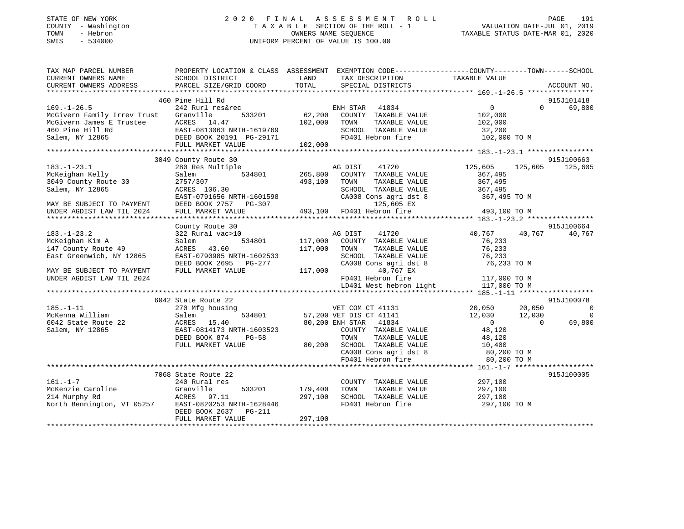| STATE OF NEW YORK |        |              |  |  |
|-------------------|--------|--------------|--|--|
| COUNTY            |        | - Washington |  |  |
| TOWN              |        | - Hebron     |  |  |
| CM <sub>T</sub> C | $\sim$ | 534000       |  |  |

### STATE OF NEW YORK 2 0 2 0 F I N A L A S S E S S M E N T R O L L PAGE 191T A X A B L E SECTION OF THE ROLL - 1<br>OWNERS NAME SEQUENCE SWIS - 534000 UNIFORM PERCENT OF VALUE IS 100.00

| TAX MAP PARCEL NUMBER                                           | PROPERTY LOCATION & CLASS ASSESSMENT EXEMPTION CODE---------------COUNTY-------TOWN-----SCHOOL |         |                             |                                                     |                          |
|-----------------------------------------------------------------|------------------------------------------------------------------------------------------------|---------|-----------------------------|-----------------------------------------------------|--------------------------|
| CURRENT OWNERS NAME                                             | SCHOOL DISTRICT                                                                                | LAND    | TAX DESCRIPTION             | TAXABLE VALUE                                       |                          |
| CURRENT OWNERS ADDRESS                                          | PARCEL SIZE/GRID COORD                                                                         | TOTAL   | SPECIAL DISTRICTS           |                                                     | ACCOUNT NO.              |
|                                                                 |                                                                                                |         |                             |                                                     |                          |
|                                                                 | 460 Pine Hill Rd                                                                               |         |                             |                                                     | 915J101418               |
| $169. - 1 - 26.5$                                               | 242 Rurl res&rec                                                                               |         | ENH STAR<br>41834           | $\overline{0}$                                      | $\Omega$<br>69,800       |
| McGivern Family Irrev Trust                                     | Granville<br>533201                                                                            | 62,200  | COUNTY TAXABLE VALUE        | 102,000                                             |                          |
| McGivern James E Trustee<br>460 Pine Hill Rd<br>Salem, NY 12865 | ACRES 14.47                                                                                    | 102,000 | TAXABLE VALUE<br>TOWN       | 102,000                                             |                          |
|                                                                 | EAST-0813063 NRTH-1619769                                                                      |         | SCHOOL TAXABLE VALUE        | 32,200                                              |                          |
| Salem, NY 12865                                                 | DEED BOOK 20191 PG-29171                                                                       |         | FD401 Hebron fire           | 102,000 TO M                                        |                          |
|                                                                 | FULL MARKET VALUE                                                                              | 102,000 |                             |                                                     |                          |
|                                                                 |                                                                                                |         |                             |                                                     |                          |
|                                                                 | 3049 County Route 30                                                                           |         |                             |                                                     | 915J100663               |
| $183. - 1 - 23.1$                                               | 280 Res Multiple                                                                               |         | AG DIST<br>41720            | 125,605                                             | 125,605<br>125,605       |
| McKeighan Kelly                                                 | 534801<br>Salem                                                                                | 265,800 | COUNTY TAXABLE VALUE        | 367,495                                             |                          |
| 3049 County Route 30                                            | 2757/307                                                                                       | 493,100 | TAXABLE VALUE<br>TOWN       | 367,495                                             |                          |
| Salem, NY 12865                                                 | ACRES 106.30                                                                                   |         | SCHOOL TAXABLE VALUE        | 367,495                                             |                          |
|                                                                 | EAST-0791656 NRTH-1601598                                                                      |         | CA008 Cons agri dst 8       | 367,495 TO M                                        |                          |
| MAY BE SUBJECT TO PAYMENT                                       | DEED BOOK 2757<br>PG-307                                                                       |         | 125,605 EX                  |                                                     |                          |
| UNDER AGDIST LAW TIL 2024                                       | FULL MARKET VALUE                                                                              |         | 493,100 FD401 Hebron fire   | 493,100 TO M                                        |                          |
|                                                                 |                                                                                                |         |                             |                                                     |                          |
|                                                                 | County Route 30                                                                                |         |                             |                                                     | 915J100664               |
| $183. - 1 - 23.2$                                               | 322 Rural vac>10                                                                               |         | AG DIST<br>41720            | 40,767                                              | 40,767<br>40,767         |
| McKeighan Kim A                                                 | 534801<br>Salem                                                                                | 117,000 | COUNTY TAXABLE VALUE        | 76,233                                              |                          |
| 147 County Route 49                                             | 43.60<br>ACRES                                                                                 | 117,000 | TAXABLE VALUE<br>TOWN       | 76,233                                              |                          |
| East Greenwich, NY 12865                                        | EAST-0790985 NRTH-1602533                                                                      |         | SCHOOL TAXABLE VALUE        | 76,233                                              |                          |
|                                                                 | DEED BOOK 2695 PG-277                                                                          |         | CA008 Cons agri dst 8       | 76,233 TO M                                         |                          |
| MAY BE SUBJECT TO PAYMENT                                       | FULL MARKET VALUE                                                                              | 117,000 | 40,767 EX                   |                                                     |                          |
| UNDER AGDIST LAW TIL 2024                                       |                                                                                                |         | FD401 Hebron fire           | 117,000 TO M                                        |                          |
|                                                                 |                                                                                                |         | LD401 West hebron light     | 117,000 TO M                                        |                          |
|                                                                 |                                                                                                |         |                             |                                                     |                          |
|                                                                 | 6042 State Route 22                                                                            |         |                             |                                                     | 915J100078               |
| $185. - 1 - 11$                                                 | 270 Mfg housing                                                                                |         | VET COM CT 41131            | 20,050                                              | 20,050<br>$\overline{0}$ |
| McKenna William                                                 | 534801<br>Salem                                                                                |         | 57,200 VET DIS CT 41141     | 12,030                                              | 12,030<br>$\overline{0}$ |
| 6042 State Route 22                                             | ACRES 15.40                                                                                    |         | 80,200 ENH STAR 41834       | $\overline{0}$                                      | 69,800<br>$\Omega$       |
| Salem, NY 12865                                                 | EAST-0814173 NRTH-1603523                                                                      |         | COUNTY TAXABLE VALUE        | 48,120                                              |                          |
|                                                                 | DEED BOOK 874<br>$PG-58$                                                                       |         | TOWN<br>TAXABLE VALUE       | 48,120                                              |                          |
|                                                                 | FULL MARKET VALUE                                                                              |         | 80,200 SCHOOL TAXABLE VALUE |                                                     |                          |
|                                                                 |                                                                                                |         | CA008 Cons agri dst 8       |                                                     |                          |
|                                                                 |                                                                                                |         | FD401 Hebron fire           | 10,100<br>80,200 TO M<br>00 200 TO M<br>80,200 TO M |                          |
|                                                                 |                                                                                                |         |                             |                                                     |                          |
|                                                                 | 7068 State Route 22                                                                            |         |                             |                                                     | 915J100005               |
| $161. - 1 - 7$                                                  | 240 Rural res                                                                                  |         | COUNTY TAXABLE VALUE        | 297,100                                             |                          |
| McKenzie Caroline                                               | Granville<br>533201                                                                            | 179,400 | TOWN<br>TAXABLE VALUE       | 297,100                                             |                          |
| 214 Murphy Rd                                                   | ACRES 97.11                                                                                    | 297,100 | SCHOOL TAXABLE VALUE        | 297,100                                             |                          |
| North Bennington, VT 05257                                      | EAST-0820253 NRTH-1628446                                                                      |         | FD401 Hebron fire           | 297,100 TO M                                        |                          |
|                                                                 | DEED BOOK 2637<br>PG-211                                                                       |         |                             |                                                     |                          |
|                                                                 | FULL MARKET VALUE                                                                              | 297,100 |                             |                                                     |                          |
|                                                                 |                                                                                                |         |                             |                                                     |                          |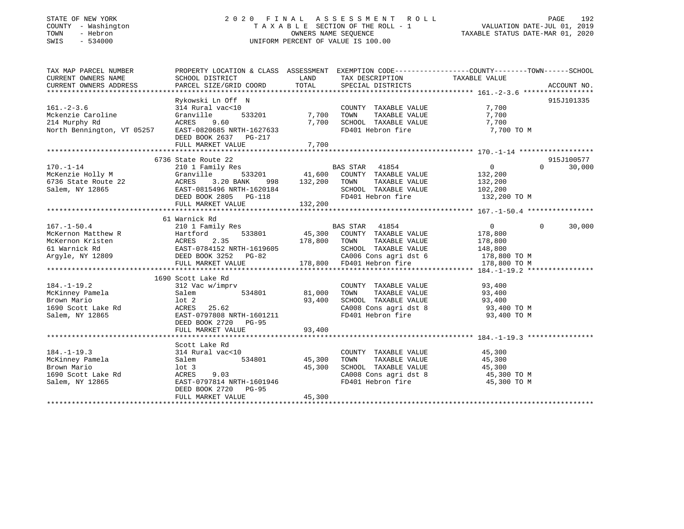### STATE OF NEW YORK 2 0 2 0 F I N A L A S S E S S M E N T R O L L PAGE 192 COUNTY - Washington T A X A B L E SECTION OF THE ROLL - 1 VALUATION DATE-JUL 01, 2019 TOWN - Hebron OWNERS NAME SEQUENCE TAXABLE STATUS DATE-MAR 01, 2020 SWIS - 534000 UNIFORM PERCENT OF VALUE IS 100.00

| TAX MAP PARCEL NUMBER                                                                                                                                                                                                                                                                                                                                                                                     | PROPERTY LOCATION & CLASS ASSESSMENT EXEMPTION CODE----------------COUNTY-------TOWN-----SCHOOL                                                                        |                  |                                                                                                                                                                                                       |                         |            |
|-----------------------------------------------------------------------------------------------------------------------------------------------------------------------------------------------------------------------------------------------------------------------------------------------------------------------------------------------------------------------------------------------------------|------------------------------------------------------------------------------------------------------------------------------------------------------------------------|------------------|-------------------------------------------------------------------------------------------------------------------------------------------------------------------------------------------------------|-------------------------|------------|
| $161. - 2 - 3.6$<br>Notenzie Caroline<br>Mckenzie Caroline<br>214 Murphy Rd<br>214 Murphy Rd<br>214 Murphy Rd<br>North Bennington, VT 05257 EAST-0820685 NRTH-1627633                                                                                                                                                                                                                                     | Rykowski Ln Off N<br>314 Rural vac<10<br>533201 7,700 TOWN<br>9.60<br>DEED BOOK 2637 PG-217<br>FULL MARKET VALUE                                                       | 7,700<br>7,700   | COUNTY TAXABLE VALUE<br>TOWN      TAXABLE  VALUE<br>SCHOOL   TAXABLE  VALUE<br>FD401 Hebron fire 7,700 TO M                                                                                           | 7,700<br>7,700<br>7,700 | 915J101335 |
| $\begin{array}{cccccccc} \text{170. -1-14} & \text{6736 State Route 22} & \text{BAS STAR} & \text{41854} & 0 & 30,000\\ \text{McKenzie Holy M} & \text{Granville} & \text{ACRES} & 3.20 BANK & 998 & 132,200 & \text{TOWN} & \text{TAXABLE VALUE} & 132,200\\ \text{5736 State Route 22} & \text{ACRES} & 3.20 BANK & 998 & 132,200 & \text{TOWN} & \text{TAXABLE VALUE} & 132,200\\ \text{EAB = & 53320$ | 6736 State Route 22                                                                                                                                                    |                  |                                                                                                                                                                                                       |                         | 915J100577 |
|                                                                                                                                                                                                                                                                                                                                                                                                           | 61 Warnick Rd                                                                                                                                                          |                  |                                                                                                                                                                                                       | $\mathbf{0}$            | 30,000     |
| $184. - 1 - 19.2$<br>McKinney Pamela<br>Brown Mario 1690 Scott Lake Rd 1690 ACRES<br>1690 Scott Lake Rd 1690 ACRES<br>1690 Scott Lake Rd 1690 ACRES<br>1690 Scott Lake Rd 1690 ACRES<br>1690 Scott Lake Rd 1690 ACRES<br>Salem, NY 12865                                                                                                                                                                  | 1690 Scott Lake Rd<br>312 Vac w/imprv<br>EAST-0797808 NRTH-1601211<br>DEED BOOK 2720 PG-95<br>FULL MARKET VALUE                                                        | 93,400           | COUNTY TAXABLE VALUE 93,400<br>TOWN TAXABLE VALUE<br>SCHOOL TAXABLE VALUE<br>CA008 Cons agri dst 8<br>FD401 Hebron fire<br>PD401 Hebron fire<br>PD401 Hebron fire<br>PD401 Hebron fire<br>P3,400 TO M |                         |            |
| 184.-1-19.3<br>McKinney Pamela<br>Brown Mario<br>Brown Mario<br>1690 Scott Lake Rd                                                                                                                                                                                                                                                                                                                        | Scott Lake Rd<br>314 Rural vac<10<br>534801 45,300<br>Salem<br>15.300<br>10t 3<br>ACRES 9.03<br>EAST-0797814 NRTH-1601946<br>DEED BOOK 2720 PG-95<br>FULL MARKET VALUE | 45,300<br>45,300 | COUNTY TAXABLE VALUE<br>TOWN TAXABLE VALUE 45,300<br>SCHOOL TAXABLE VALUE 45,300<br>CA008 Cons agri dst 8 45,300 TO M<br>FD401 Hebron fire                                                            | 45,300<br>45,300 TO M   |            |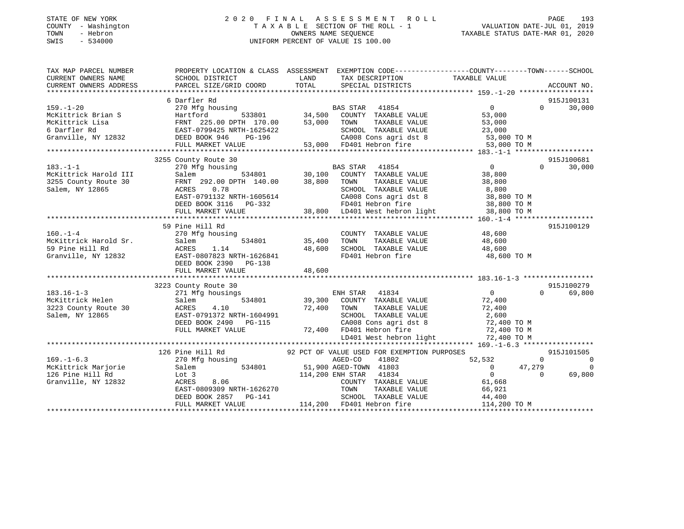### STATE OF NEW YORK 2 0 2 0 F I N A L A S S E S S M E N T R O L L PAGE 193 COUNTY - Washington T A X A B L E SECTION OF THE ROLL - 1 VALUATION DATE-JUL 01, 2019 TOWN - Hebron OWNERS NAME SEQUENCE TAXABLE STATUS DATE-MAR 01, 2020 SWIS - 534000 UNIFORM PERCENT OF VALUE IS 100.00

| TAX MAP PARCEL NUMBER | PROPERTY LOCATION & CLASS ASSESSMENT EXEMPTION CODE----------------COUNTY-------TOWN------SCHOOL                                                                                                                                                       |                              |                                                                                                                                                                                                                 |                                              |                                 |
|-----------------------|--------------------------------------------------------------------------------------------------------------------------------------------------------------------------------------------------------------------------------------------------------|------------------------------|-----------------------------------------------------------------------------------------------------------------------------------------------------------------------------------------------------------------|----------------------------------------------|---------------------------------|
| CURRENT OWNERS NAME   | SCHOOL DISTRICT                                                                                                                                                                                                                                        | <b>Example 12</b>            | TAX DESCRIPTION                                                                                                                                                                                                 | TAXABLE VALUE                                |                                 |
|                       |                                                                                                                                                                                                                                                        |                              |                                                                                                                                                                                                                 |                                              |                                 |
|                       |                                                                                                                                                                                                                                                        |                              |                                                                                                                                                                                                                 |                                              |                                 |
|                       | 6 Darfler Rd                                                                                                                                                                                                                                           |                              |                                                                                                                                                                                                                 |                                              | 915J100131                      |
|                       |                                                                                                                                                                                                                                                        |                              |                                                                                                                                                                                                                 |                                              |                                 |
|                       |                                                                                                                                                                                                                                                        |                              |                                                                                                                                                                                                                 |                                              |                                 |
|                       |                                                                                                                                                                                                                                                        |                              |                                                                                                                                                                                                                 |                                              |                                 |
|                       |                                                                                                                                                                                                                                                        |                              |                                                                                                                                                                                                                 |                                              |                                 |
|                       |                                                                                                                                                                                                                                                        |                              |                                                                                                                                                                                                                 |                                              |                                 |
|                       |                                                                                                                                                                                                                                                        |                              |                                                                                                                                                                                                                 |                                              |                                 |
|                       | 6 Darfler Rd<br>McKittrick Brian S<br>McKittrick Brian S<br>McKittrick Isla (1892)<br>McKittrick Isla (1892)<br>McKittrick Isla (1892)<br>McKittrick Isla (1892)<br>McKittrick Isla (1892)<br>McKittrick Isla (1892)<br>McKittrick Isla (1892)<br>     |                              |                                                                                                                                                                                                                 |                                              |                                 |
|                       | 3255 County Route 30                                                                                                                                                                                                                                   |                              |                                                                                                                                                                                                                 |                                              | 915J100681                      |
|                       |                                                                                                                                                                                                                                                        |                              |                                                                                                                                                                                                                 |                                              |                                 |
|                       |                                                                                                                                                                                                                                                        |                              |                                                                                                                                                                                                                 |                                              |                                 |
|                       |                                                                                                                                                                                                                                                        |                              |                                                                                                                                                                                                                 |                                              |                                 |
|                       |                                                                                                                                                                                                                                                        |                              |                                                                                                                                                                                                                 |                                              |                                 |
|                       |                                                                                                                                                                                                                                                        |                              |                                                                                                                                                                                                                 |                                              |                                 |
|                       |                                                                                                                                                                                                                                                        |                              |                                                                                                                                                                                                                 |                                              |                                 |
|                       |                                                                                                                                                                                                                                                        |                              |                                                                                                                                                                                                                 |                                              |                                 |
|                       | 3255 County Route 30<br>McKittrick Harold III 30.100<br>30,100 COUNTY TAXABLE VALUE<br>361em, NY 12865<br>Salem, NY 12865 0.78<br>EASS TAR 41854<br>Salem, NY 12865 0.78<br>EASS TAR 41854<br>Salem 30,100 COUNTY TAXABLE VALUE<br>38,800 TOWN T       |                              |                                                                                                                                                                                                                 |                                              |                                 |
|                       | 59 Pine Hill Rd                                                                                                                                                                                                                                        |                              |                                                                                                                                                                                                                 |                                              | 915J100129                      |
|                       |                                                                                                                                                                                                                                                        |                              | $\begin{tabular}{lllllllll} \multicolumn{2}{c}{\textbf{COUNTY}} & \textbf{TXABLE VALUE} & & & \textbf{48,600} \\ \multicolumn{2}{c}{\textbf{TOWN}} & \textbf{TXABLE VALUE} & & & \textbf{48,600} \end{tabular}$ |                                              |                                 |
|                       |                                                                                                                                                                                                                                                        | COUNTY<br>534801 35,400 TOWN |                                                                                                                                                                                                                 |                                              |                                 |
|                       |                                                                                                                                                                                                                                                        |                              |                                                                                                                                                                                                                 |                                              |                                 |
|                       | 160.-1-4<br>McKittrick Harold Sr.<br>59 Pine Hill Rd<br>Granville, NY 12832<br>The Book 2390<br>DEED BOOK 2390<br>PG-138                                                                                                                               |                              | 48,600 SCHOOL TAXABLE VALUE 48,600<br>FD401 Hebron fire 48,600                                                                                                                                                  | 48,600 TO M                                  |                                 |
|                       |                                                                                                                                                                                                                                                        |                              |                                                                                                                                                                                                                 |                                              |                                 |
|                       | FULL MARKET VALUE                                                                                                                                                                                                                                      | 48,600                       |                                                                                                                                                                                                                 |                                              |                                 |
|                       |                                                                                                                                                                                                                                                        |                              |                                                                                                                                                                                                                 |                                              |                                 |
|                       | 183.16-1-3<br>183.16-1-3<br>223 County Route 30<br>271 Mfg housings<br>McKittrick Helen<br>3223 County Route 30<br>2323 County Route 30<br>2323 County Salem<br>223 County Route 30<br>2400<br>223 County Salem<br>223 County Salem<br>223 County Rout |                              |                                                                                                                                                                                                                 |                                              | 915J100279                      |
|                       |                                                                                                                                                                                                                                                        |                              |                                                                                                                                                                                                                 |                                              | 69,800<br>$\Omega$ and $\Omega$ |
|                       |                                                                                                                                                                                                                                                        |                              |                                                                                                                                                                                                                 |                                              |                                 |
|                       |                                                                                                                                                                                                                                                        |                              |                                                                                                                                                                                                                 |                                              |                                 |
|                       |                                                                                                                                                                                                                                                        |                              |                                                                                                                                                                                                                 |                                              |                                 |
|                       |                                                                                                                                                                                                                                                        |                              |                                                                                                                                                                                                                 |                                              |                                 |
|                       |                                                                                                                                                                                                                                                        |                              |                                                                                                                                                                                                                 |                                              |                                 |
|                       |                                                                                                                                                                                                                                                        |                              |                                                                                                                                                                                                                 |                                              |                                 |
|                       |                                                                                                                                                                                                                                                        |                              |                                                                                                                                                                                                                 |                                              |                                 |
|                       |                                                                                                                                                                                                                                                        |                              |                                                                                                                                                                                                                 |                                              |                                 |
|                       | 126 Pine Hill Rd                                                                                                                                                                                                                                       |                              | 92 PCT OF VALUE USED FOR EXEMPTION PURPOSES                                                                                                                                                                     |                                              | 915J101505                      |
| $169. - 1 - 6.3$      | 270 Mfg housing<br>$534801$ 51,900 AGED-TOWN 41803<br>-<br>Salem                                                                                                                                                                                       |                              | AGED-CO<br>41802                                                                                                                                                                                                |                                              | $\Omega$<br>$\overline{0}$      |
| McKittrick Marjorie   | 334801 51,900 AGED-TOWN 41803<br>Lot 3 114,200 ENH STAR 41834<br>ACRES 8.06 COUNTY TAXABLE VALUE<br>EAST-0809309 NRTH-1626270 TOWN TAXABLE VALUE<br>DEED BOOK 2857 PG-141 SCHOOL TAXABLE VALUE<br>FULL MARKET VALUE                                    |                              |                                                                                                                                                                                                                 | $52,532$<br>0 47,27<br>0<br>61,668<br>47,279 | $\overline{0}$                  |
| 126 Pine Hill Rd      |                                                                                                                                                                                                                                                        |                              |                                                                                                                                                                                                                 |                                              | $\Omega$<br>69,800              |
| Granville, NY 12832   |                                                                                                                                                                                                                                                        |                              |                                                                                                                                                                                                                 |                                              |                                 |
|                       |                                                                                                                                                                                                                                                        |                              |                                                                                                                                                                                                                 |                                              |                                 |
|                       |                                                                                                                                                                                                                                                        |                              |                                                                                                                                                                                                                 |                                              |                                 |
|                       | 200811 TAXABLE VALUE (11 100821 11 200921 11 200821 11 200821 11 200821 11 200821 11 200821 11 200821 11 2008<br>EAST-0809309 NRTH-1626270 1000 TAXABLE VALUE 66,921<br>DEED BOOK 2857 PG-141 114,200 FD401 Hebron fire 114,200 TO                     |                              |                                                                                                                                                                                                                 |                                              |                                 |
|                       |                                                                                                                                                                                                                                                        |                              |                                                                                                                                                                                                                 |                                              |                                 |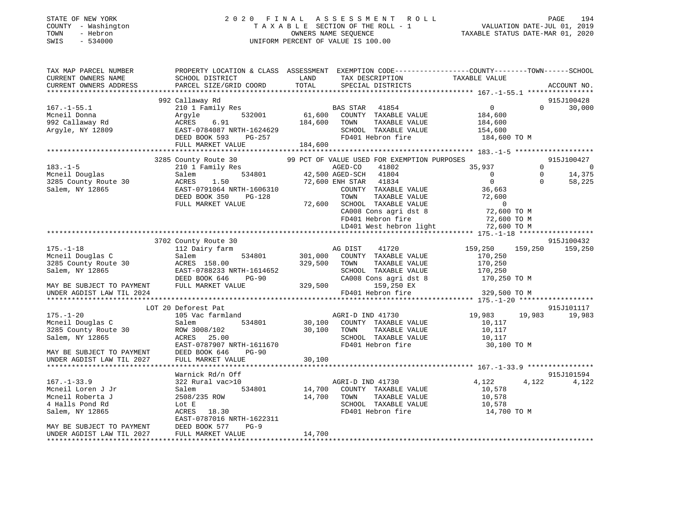| STATE OF NEW YORK<br>COUNTY - Washington<br>- Hebron<br>TOWN<br>$-534000$<br>SWIS | 2020 FINAL                                                                                      |               | A S S E S S M E N T<br>ROLL<br>TAXABLE SECTION OF THE ROLL - 1<br>OWNERS NAME SEQUENCE<br>UNIFORM PERCENT OF VALUE IS 100.00 | TAXABLE STATUS DATE-MAR 01, 2020 | PAGE<br>194<br>VALUATION DATE-JUL 01, 2019 |
|-----------------------------------------------------------------------------------|-------------------------------------------------------------------------------------------------|---------------|------------------------------------------------------------------------------------------------------------------------------|----------------------------------|--------------------------------------------|
| TAX MAP PARCEL NUMBER                                                             | PROPERTY LOCATION & CLASS ASSESSMENT EXEMPTION CODE---------------COUNTY-------TOWN------SCHOOL |               |                                                                                                                              |                                  |                                            |
| CURRENT OWNERS NAME<br>CURRENT OWNERS ADDRESS                                     | SCHOOL DISTRICT<br>PARCEL SIZE/GRID COORD                                                       | LAND<br>TOTAL | TAX DESCRIPTION<br>SPECIAL DISTRICTS                                                                                         | TAXABLE VALUE                    | ACCOUNT NO.                                |
|                                                                                   |                                                                                                 |               |                                                                                                                              |                                  |                                            |
|                                                                                   | 992 Callaway Rd                                                                                 |               |                                                                                                                              |                                  | 915J100428                                 |
| $167. - 1 - 55.1$                                                                 | 210 1 Family Res                                                                                |               | BAS STAR<br>41854                                                                                                            | $\overline{0}$                   | $\Omega$<br>30,000                         |
| Mcneil Donna                                                                      | Argyle<br>532001                                                                                | 61,600        | COUNTY TAXABLE VALUE                                                                                                         | 184,600                          |                                            |
| 992 Callaway Rd                                                                   | ACRES<br>6.91                                                                                   | 184,600       | TOWN<br>TAXABLE VALUE                                                                                                        | 184,600                          |                                            |
| Argyle, NY 12809                                                                  | EAST-0784087 NRTH-1624629                                                                       |               | SCHOOL TAXABLE VALUE                                                                                                         | 154,600                          |                                            |
|                                                                                   | DEED BOOK 593<br>PG-257                                                                         |               | FD401 Hebron fire                                                                                                            | 184,600 TO M                     |                                            |
|                                                                                   | FULL MARKET VALUE                                                                               | 184,600       |                                                                                                                              |                                  |                                            |
|                                                                                   |                                                                                                 |               |                                                                                                                              |                                  |                                            |
|                                                                                   | 3285 County Route 30                                                                            |               | 99 PCT OF VALUE USED FOR EXEMPTION PURPOSES                                                                                  |                                  | 915J100427                                 |
| $183. - 1 - 5$                                                                    | 210 1 Family Res                                                                                |               | AGED-CO<br>41802                                                                                                             | 35,937                           | $\Omega$<br>$\overline{\phantom{0}}$       |
| Mcneil Douglas                                                                    | Salem<br>534801                                                                                 |               | 41804<br>42,500 AGED-SCH                                                                                                     | $\Omega$                         | $\Omega$<br>14,375                         |
| 3285 County Route 30                                                              | ACRES<br>1.50                                                                                   |               | 72,600 ENH STAR 41834                                                                                                        | $\circ$                          | $\Omega$<br>58,225                         |
| Salem, NY 12865                                                                   | EAST-0791064 NRTH-1606310                                                                       |               | COUNTY TAXABLE VALUE<br>TOWN                                                                                                 | 36,663<br>72,600                 |                                            |
|                                                                                   | DEED BOOK 350<br>PG-128<br>FULL MARKET VALUE                                                    | 72,600        | TAXABLE VALUE<br>SCHOOL TAXABLE VALUE                                                                                        | $\overline{0}$                   |                                            |
|                                                                                   |                                                                                                 |               | CA008 Cons agri dst 8                                                                                                        | 72,600 TO M                      |                                            |
|                                                                                   |                                                                                                 |               | FD401 Hebron fire                                                                                                            | 72,600 TO M                      |                                            |
|                                                                                   |                                                                                                 |               | LD401 West hebron light                                                                                                      | 72,600 TO M                      |                                            |
|                                                                                   |                                                                                                 |               |                                                                                                                              |                                  |                                            |
|                                                                                   | 3702 County Route 30                                                                            |               |                                                                                                                              |                                  | 915J100432                                 |
| $175. - 1 - 18$                                                                   | 112 Dairy farm                                                                                  |               | AG DIST<br>41720                                                                                                             | 159,250                          | 159,250<br>159,250                         |
| Mcneil Douglas C                                                                  | 534801<br>Salem                                                                                 | 301,000       | COUNTY TAXABLE VALUE                                                                                                         | 170,250                          |                                            |
| 3285 County Route 30                                                              | ACRES 158.00                                                                                    | 329,500       | TOWN<br>TAXABLE VALUE                                                                                                        | 170,250                          |                                            |
| Salem, NY 12865                                                                   | EAST-0788233 NRTH-1614652                                                                       |               | SCHOOL TAXABLE VALUE                                                                                                         | 170,250                          |                                            |
|                                                                                   | DEED BOOK 646<br><b>PG-90</b>                                                                   |               | CA008 Cons agri dst 8                                                                                                        | 170,250 TO M                     |                                            |
| MAY BE SUBJECT TO PAYMENT                                                         | FULL MARKET VALUE                                                                               | 329,500       | 159,250 EX                                                                                                                   |                                  |                                            |
| UNDER AGDIST LAW TIL 2024                                                         |                                                                                                 |               | FD401 Hebron fire                                                                                                            | 329,500 TO M                     |                                            |
|                                                                                   | LOT 20 Deforest Pat                                                                             |               |                                                                                                                              |                                  | 915J101117                                 |
| $175. - 1 - 20$                                                                   | 105 Vac farmland                                                                                |               | AGRI-D IND 41730                                                                                                             | 19,983                           | 19,983<br>19,983                           |
| Mcneil Douglas C                                                                  | 534801<br>Salem                                                                                 | 30,100        | COUNTY TAXABLE VALUE                                                                                                         | 10,117                           |                                            |
| 3285 County Route 30                                                              | ROW 3008/102                                                                                    | 30,100        | TOWN<br>TAXABLE VALUE                                                                                                        | 10,117                           |                                            |
| Salem, NY 12865                                                                   | ACRES 25.00                                                                                     |               | SCHOOL TAXABLE VALUE                                                                                                         | 10,117                           |                                            |
|                                                                                   | EAST-0787907 NRTH-1611670                                                                       |               | FD401 Hebron fire                                                                                                            | 30,100 TO M                      |                                            |
| MAY BE SUBJECT TO PAYMENT                                                         | DEED BOOK 646<br><b>PG-90</b>                                                                   |               |                                                                                                                              |                                  |                                            |
| UNDER AGDIST LAW TIL 2027                                                         | FULL MARKET VALUE                                                                               | 30,100        |                                                                                                                              |                                  |                                            |
|                                                                                   |                                                                                                 |               |                                                                                                                              |                                  |                                            |
|                                                                                   | Warnick Rd/n Off                                                                                |               |                                                                                                                              |                                  | 915J101594                                 |
| $167. - 1 - 33.9$                                                                 | 322 Rural vac>10                                                                                |               | AGRI-D IND 41730                                                                                                             | 4,122                            | 4,122<br>4,122                             |
| Mcneil Loren J Jr                                                                 | Salem<br>534801                                                                                 | 14,700        | COUNTY TAXABLE VALUE                                                                                                         | 10,578                           |                                            |
| Mcneil Roberta J                                                                  | 2508/235 ROW                                                                                    | 14,700        | TOWN<br>TAXABLE VALUE                                                                                                        | 10,578                           |                                            |
| 4 Halls Pond Rd                                                                   | Lot E                                                                                           |               | SCHOOL TAXABLE VALUE                                                                                                         | 10,578                           |                                            |
| Salem, NY 12865                                                                   | ACRES<br>18.30<br>EAST-0787016 NRTH-1622311                                                     |               | FD401 Hebron fire                                                                                                            | 14,700 TO M                      |                                            |
| MAY BE SUBJECT TO PAYMENT                                                         | DEED BOOK 577<br>$PG-9$                                                                         |               |                                                                                                                              |                                  |                                            |
| UNDER AGDIST LAW TIL 2027                                                         | FULL MARKET VALUE                                                                               | 14,700        |                                                                                                                              |                                  |                                            |

\*\*\*\*\*\*\*\*\*\*\*\*\*\*\*\*\*\*\*\*\*\*\*\*\*\*\*\*\*\*\*\*\*\*\*\*\*\*\*\*\*\*\*\*\*\*\*\*\*\*\*\*\*\*\*\*\*\*\*\*\*\*\*\*\*\*\*\*\*\*\*\*\*\*\*\*\*\*\*\*\*\*\*\*\*\*\*\*\*\*\*\*\*\*\*\*\*\*\*\*\*\*\*\*\*\*\*\*\*\*\*\*\*\*\*\*\*\*\*\*\*\*\*\*\*\*\*\*\*\*\*\*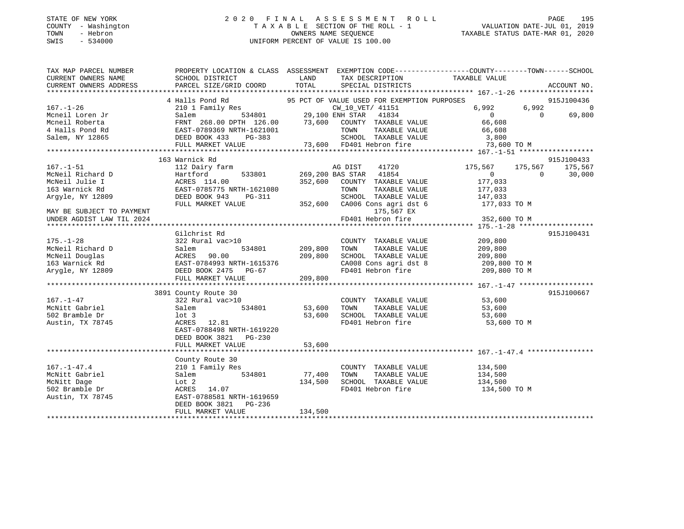### STATE OF NEW YORK 2 0 2 0 F I N A L A S S E S S M E N T R O L L PAGE 195 COUNTY - Washington T A X A B L E SECTION OF THE ROLL - 1 VALUATION DATE-JUL 01, 2019 TOWN - Hebron OWNERS NAME SEQUENCE TAXABLE STATUS DATE-MAR 01, 2020 SWIS - 534000 UNIFORM PERCENT OF VALUE IS 100.00

| CURRENT OWNERS NAME<br>SCHOOL DISTRICT<br><b>EXAMPLE SERVICE SERVICE SERVICE SERVICE SERVICE SERVICE SERVICE SERVICE SERVICE SERVICE SERVICE SERVICE SERVICE</b><br>TAX DESCRIPTION<br>TAXABLE VALUE<br>PARCEL SIZE/GRID COORD<br>TOTAL<br>CURRENT OWNERS ADDRESS<br>SPECIAL DISTRICTS<br>ACCOUNT NO.<br>915J100436<br>$6,992$ 0<br>$\overline{0}$<br>69,800<br>915J100433<br>163 Warnick Rd<br>167.-1-51<br>McNeil Richard D<br>McNeil Richard D<br>McNeil Julie I (12 Dairy farm 1533801)<br>McNeil Julie I (14.00 269,200 BAS STAR 41854<br>McNeil Julie I (163 Warnick Rd EAST-0785775 NRTH-1621080 TOWN TAXABLE VALUE<br>Argyle, NY 1<br>175,567 175,567<br>175,567<br>$\overline{0}$ 0<br>30,000<br>352,600 COUNTY TAXABLE VALUE 177,033<br>FULL MARKET VALUE 352,600 CA006 Cons agri dst 6 177,033 TO M<br>175,567 EX<br>MAY BE SUBJECT TO PAYMENT<br>FD401 Hebron fire 352,600 TO M<br>UNDER AGDIST LAW TIL 2024<br>915J100431<br>Gilchrist Rd<br>$\begin{tabular}{lllllllllll} \multicolumn{2}{c}{\textbf{COUNTY}} & \textbf{TXABLE VALUE} & & & 209\,,800 \\ \multicolumn{2}{c}{\textbf{TOWN}} & \textbf{TXABLE VALUE} & & 209\,,800 \\ \end{tabular}$<br>175.-1-28<br>MCNeil Richard D<br>MCNeil Douglas<br>MCNeil Douglas<br>163 Warnick Rd<br>163 Warnick Rd<br>163 Warnick Rd<br>163 Warnick Rd<br>163 Warnick Rd<br>163 Warnick Rd<br>163 Warnick Rd<br>163 Warnick Rd<br>163 Warnick Rd<br>163 Warnick Rd<br><br>TOWN<br>SCHOOL TAXABLE VALUE $209,800$<br>CA008 Cons agri dst 8 209,800 TO M<br>FD401 Hebron fire 209,800 TO M<br>3891 County Route 30<br>915J100667<br>COUNTY TAXABLE VALUE 53,600<br>$167. - 1 - 47$<br>322 Rural vac>10<br>534801 53,600<br>McNitt Gabriel<br>TOWN<br>TAXABLE VALUE 53,600<br>TAXABLE VALUE 53,600<br>Salem<br>502 Bramble Dr<br>53,600<br>SCHOOL TAXABLE VALUE<br>lot 3<br>FD401 Hebron fire 53,600 TO M<br>ACRES 12.81<br>EAST-0788498 NRTH-1619220<br>DEED BOOK 3821 PG-230<br>County Route 30<br>210 1 Family Res<br>COUNTY TAXABLE VALUE 134,500<br>McNitt Gabriel<br>534801 77,400<br>TAXABLE VALUE 134,500<br>Salem<br>TOWN<br>134,500<br>SCHOOL TAXABLE VALUE<br>134,500<br>$\frac{1}{2}$<br>ACRES 14.07<br>502 Bramble Dr<br>FD401 Hebron fire 134,500 TO M<br>Austin, TX 78745<br>EAST-0788581 NRTH-1619659<br>DEED BOOK 3821    PG-236<br>134,500<br>FULL MARKET VALUE | TAX MAP PARCEL NUMBER | PROPERTY LOCATION & CLASS ASSESSMENT EXEMPTION CODE----------------COUNTY-------TOWN------SCHOOL |  |  |  |
|---------------------------------------------------------------------------------------------------------------------------------------------------------------------------------------------------------------------------------------------------------------------------------------------------------------------------------------------------------------------------------------------------------------------------------------------------------------------------------------------------------------------------------------------------------------------------------------------------------------------------------------------------------------------------------------------------------------------------------------------------------------------------------------------------------------------------------------------------------------------------------------------------------------------------------------------------------------------------------------------------------------------------------------------------------------------------------------------------------------------------------------------------------------------------------------------------------------------------------------------------------------------------------------------------------------------------------------------------------------------------------------------------------------------------------------------------------------------------------------------------------------------------------------------------------------------------------------------------------------------------------------------------------------------------------------------------------------------------------------------------------------------------------------------------------------------------------------------------------------------------------------------------------------------------------------------------------------------------------------------------------------------------------------------------------------------------------------------------------------------------------------------------------------------------------------------------------------------------------------------------------------------------------------------------------------------------------------|-----------------------|--------------------------------------------------------------------------------------------------|--|--|--|
|                                                                                                                                                                                                                                                                                                                                                                                                                                                                                                                                                                                                                                                                                                                                                                                                                                                                                                                                                                                                                                                                                                                                                                                                                                                                                                                                                                                                                                                                                                                                                                                                                                                                                                                                                                                                                                                                                                                                                                                                                                                                                                                                                                                                                                                                                                                                       |                       |                                                                                                  |  |  |  |
|                                                                                                                                                                                                                                                                                                                                                                                                                                                                                                                                                                                                                                                                                                                                                                                                                                                                                                                                                                                                                                                                                                                                                                                                                                                                                                                                                                                                                                                                                                                                                                                                                                                                                                                                                                                                                                                                                                                                                                                                                                                                                                                                                                                                                                                                                                                                       |                       |                                                                                                  |  |  |  |
|                                                                                                                                                                                                                                                                                                                                                                                                                                                                                                                                                                                                                                                                                                                                                                                                                                                                                                                                                                                                                                                                                                                                                                                                                                                                                                                                                                                                                                                                                                                                                                                                                                                                                                                                                                                                                                                                                                                                                                                                                                                                                                                                                                                                                                                                                                                                       |                       |                                                                                                  |  |  |  |
|                                                                                                                                                                                                                                                                                                                                                                                                                                                                                                                                                                                                                                                                                                                                                                                                                                                                                                                                                                                                                                                                                                                                                                                                                                                                                                                                                                                                                                                                                                                                                                                                                                                                                                                                                                                                                                                                                                                                                                                                                                                                                                                                                                                                                                                                                                                                       |                       |                                                                                                  |  |  |  |
|                                                                                                                                                                                                                                                                                                                                                                                                                                                                                                                                                                                                                                                                                                                                                                                                                                                                                                                                                                                                                                                                                                                                                                                                                                                                                                                                                                                                                                                                                                                                                                                                                                                                                                                                                                                                                                                                                                                                                                                                                                                                                                                                                                                                                                                                                                                                       |                       |                                                                                                  |  |  |  |
|                                                                                                                                                                                                                                                                                                                                                                                                                                                                                                                                                                                                                                                                                                                                                                                                                                                                                                                                                                                                                                                                                                                                                                                                                                                                                                                                                                                                                                                                                                                                                                                                                                                                                                                                                                                                                                                                                                                                                                                                                                                                                                                                                                                                                                                                                                                                       |                       |                                                                                                  |  |  |  |
|                                                                                                                                                                                                                                                                                                                                                                                                                                                                                                                                                                                                                                                                                                                                                                                                                                                                                                                                                                                                                                                                                                                                                                                                                                                                                                                                                                                                                                                                                                                                                                                                                                                                                                                                                                                                                                                                                                                                                                                                                                                                                                                                                                                                                                                                                                                                       |                       |                                                                                                  |  |  |  |
|                                                                                                                                                                                                                                                                                                                                                                                                                                                                                                                                                                                                                                                                                                                                                                                                                                                                                                                                                                                                                                                                                                                                                                                                                                                                                                                                                                                                                                                                                                                                                                                                                                                                                                                                                                                                                                                                                                                                                                                                                                                                                                                                                                                                                                                                                                                                       |                       |                                                                                                  |  |  |  |
|                                                                                                                                                                                                                                                                                                                                                                                                                                                                                                                                                                                                                                                                                                                                                                                                                                                                                                                                                                                                                                                                                                                                                                                                                                                                                                                                                                                                                                                                                                                                                                                                                                                                                                                                                                                                                                                                                                                                                                                                                                                                                                                                                                                                                                                                                                                                       |                       |                                                                                                  |  |  |  |
|                                                                                                                                                                                                                                                                                                                                                                                                                                                                                                                                                                                                                                                                                                                                                                                                                                                                                                                                                                                                                                                                                                                                                                                                                                                                                                                                                                                                                                                                                                                                                                                                                                                                                                                                                                                                                                                                                                                                                                                                                                                                                                                                                                                                                                                                                                                                       |                       |                                                                                                  |  |  |  |
|                                                                                                                                                                                                                                                                                                                                                                                                                                                                                                                                                                                                                                                                                                                                                                                                                                                                                                                                                                                                                                                                                                                                                                                                                                                                                                                                                                                                                                                                                                                                                                                                                                                                                                                                                                                                                                                                                                                                                                                                                                                                                                                                                                                                                                                                                                                                       |                       |                                                                                                  |  |  |  |
|                                                                                                                                                                                                                                                                                                                                                                                                                                                                                                                                                                                                                                                                                                                                                                                                                                                                                                                                                                                                                                                                                                                                                                                                                                                                                                                                                                                                                                                                                                                                                                                                                                                                                                                                                                                                                                                                                                                                                                                                                                                                                                                                                                                                                                                                                                                                       |                       |                                                                                                  |  |  |  |
|                                                                                                                                                                                                                                                                                                                                                                                                                                                                                                                                                                                                                                                                                                                                                                                                                                                                                                                                                                                                                                                                                                                                                                                                                                                                                                                                                                                                                                                                                                                                                                                                                                                                                                                                                                                                                                                                                                                                                                                                                                                                                                                                                                                                                                                                                                                                       |                       |                                                                                                  |  |  |  |
|                                                                                                                                                                                                                                                                                                                                                                                                                                                                                                                                                                                                                                                                                                                                                                                                                                                                                                                                                                                                                                                                                                                                                                                                                                                                                                                                                                                                                                                                                                                                                                                                                                                                                                                                                                                                                                                                                                                                                                                                                                                                                                                                                                                                                                                                                                                                       |                       |                                                                                                  |  |  |  |
|                                                                                                                                                                                                                                                                                                                                                                                                                                                                                                                                                                                                                                                                                                                                                                                                                                                                                                                                                                                                                                                                                                                                                                                                                                                                                                                                                                                                                                                                                                                                                                                                                                                                                                                                                                                                                                                                                                                                                                                                                                                                                                                                                                                                                                                                                                                                       |                       |                                                                                                  |  |  |  |
|                                                                                                                                                                                                                                                                                                                                                                                                                                                                                                                                                                                                                                                                                                                                                                                                                                                                                                                                                                                                                                                                                                                                                                                                                                                                                                                                                                                                                                                                                                                                                                                                                                                                                                                                                                                                                                                                                                                                                                                                                                                                                                                                                                                                                                                                                                                                       |                       |                                                                                                  |  |  |  |
|                                                                                                                                                                                                                                                                                                                                                                                                                                                                                                                                                                                                                                                                                                                                                                                                                                                                                                                                                                                                                                                                                                                                                                                                                                                                                                                                                                                                                                                                                                                                                                                                                                                                                                                                                                                                                                                                                                                                                                                                                                                                                                                                                                                                                                                                                                                                       |                       |                                                                                                  |  |  |  |
|                                                                                                                                                                                                                                                                                                                                                                                                                                                                                                                                                                                                                                                                                                                                                                                                                                                                                                                                                                                                                                                                                                                                                                                                                                                                                                                                                                                                                                                                                                                                                                                                                                                                                                                                                                                                                                                                                                                                                                                                                                                                                                                                                                                                                                                                                                                                       |                       |                                                                                                  |  |  |  |
|                                                                                                                                                                                                                                                                                                                                                                                                                                                                                                                                                                                                                                                                                                                                                                                                                                                                                                                                                                                                                                                                                                                                                                                                                                                                                                                                                                                                                                                                                                                                                                                                                                                                                                                                                                                                                                                                                                                                                                                                                                                                                                                                                                                                                                                                                                                                       |                       |                                                                                                  |  |  |  |
|                                                                                                                                                                                                                                                                                                                                                                                                                                                                                                                                                                                                                                                                                                                                                                                                                                                                                                                                                                                                                                                                                                                                                                                                                                                                                                                                                                                                                                                                                                                                                                                                                                                                                                                                                                                                                                                                                                                                                                                                                                                                                                                                                                                                                                                                                                                                       |                       |                                                                                                  |  |  |  |
|                                                                                                                                                                                                                                                                                                                                                                                                                                                                                                                                                                                                                                                                                                                                                                                                                                                                                                                                                                                                                                                                                                                                                                                                                                                                                                                                                                                                                                                                                                                                                                                                                                                                                                                                                                                                                                                                                                                                                                                                                                                                                                                                                                                                                                                                                                                                       |                       |                                                                                                  |  |  |  |
|                                                                                                                                                                                                                                                                                                                                                                                                                                                                                                                                                                                                                                                                                                                                                                                                                                                                                                                                                                                                                                                                                                                                                                                                                                                                                                                                                                                                                                                                                                                                                                                                                                                                                                                                                                                                                                                                                                                                                                                                                                                                                                                                                                                                                                                                                                                                       |                       |                                                                                                  |  |  |  |
|                                                                                                                                                                                                                                                                                                                                                                                                                                                                                                                                                                                                                                                                                                                                                                                                                                                                                                                                                                                                                                                                                                                                                                                                                                                                                                                                                                                                                                                                                                                                                                                                                                                                                                                                                                                                                                                                                                                                                                                                                                                                                                                                                                                                                                                                                                                                       |                       |                                                                                                  |  |  |  |
|                                                                                                                                                                                                                                                                                                                                                                                                                                                                                                                                                                                                                                                                                                                                                                                                                                                                                                                                                                                                                                                                                                                                                                                                                                                                                                                                                                                                                                                                                                                                                                                                                                                                                                                                                                                                                                                                                                                                                                                                                                                                                                                                                                                                                                                                                                                                       |                       |                                                                                                  |  |  |  |
|                                                                                                                                                                                                                                                                                                                                                                                                                                                                                                                                                                                                                                                                                                                                                                                                                                                                                                                                                                                                                                                                                                                                                                                                                                                                                                                                                                                                                                                                                                                                                                                                                                                                                                                                                                                                                                                                                                                                                                                                                                                                                                                                                                                                                                                                                                                                       |                       |                                                                                                  |  |  |  |
|                                                                                                                                                                                                                                                                                                                                                                                                                                                                                                                                                                                                                                                                                                                                                                                                                                                                                                                                                                                                                                                                                                                                                                                                                                                                                                                                                                                                                                                                                                                                                                                                                                                                                                                                                                                                                                                                                                                                                                                                                                                                                                                                                                                                                                                                                                                                       |                       |                                                                                                  |  |  |  |
|                                                                                                                                                                                                                                                                                                                                                                                                                                                                                                                                                                                                                                                                                                                                                                                                                                                                                                                                                                                                                                                                                                                                                                                                                                                                                                                                                                                                                                                                                                                                                                                                                                                                                                                                                                                                                                                                                                                                                                                                                                                                                                                                                                                                                                                                                                                                       |                       |                                                                                                  |  |  |  |
|                                                                                                                                                                                                                                                                                                                                                                                                                                                                                                                                                                                                                                                                                                                                                                                                                                                                                                                                                                                                                                                                                                                                                                                                                                                                                                                                                                                                                                                                                                                                                                                                                                                                                                                                                                                                                                                                                                                                                                                                                                                                                                                                                                                                                                                                                                                                       |                       |                                                                                                  |  |  |  |
|                                                                                                                                                                                                                                                                                                                                                                                                                                                                                                                                                                                                                                                                                                                                                                                                                                                                                                                                                                                                                                                                                                                                                                                                                                                                                                                                                                                                                                                                                                                                                                                                                                                                                                                                                                                                                                                                                                                                                                                                                                                                                                                                                                                                                                                                                                                                       |                       |                                                                                                  |  |  |  |
|                                                                                                                                                                                                                                                                                                                                                                                                                                                                                                                                                                                                                                                                                                                                                                                                                                                                                                                                                                                                                                                                                                                                                                                                                                                                                                                                                                                                                                                                                                                                                                                                                                                                                                                                                                                                                                                                                                                                                                                                                                                                                                                                                                                                                                                                                                                                       |                       |                                                                                                  |  |  |  |
|                                                                                                                                                                                                                                                                                                                                                                                                                                                                                                                                                                                                                                                                                                                                                                                                                                                                                                                                                                                                                                                                                                                                                                                                                                                                                                                                                                                                                                                                                                                                                                                                                                                                                                                                                                                                                                                                                                                                                                                                                                                                                                                                                                                                                                                                                                                                       |                       |                                                                                                  |  |  |  |
|                                                                                                                                                                                                                                                                                                                                                                                                                                                                                                                                                                                                                                                                                                                                                                                                                                                                                                                                                                                                                                                                                                                                                                                                                                                                                                                                                                                                                                                                                                                                                                                                                                                                                                                                                                                                                                                                                                                                                                                                                                                                                                                                                                                                                                                                                                                                       | Austin, TX 78745      |                                                                                                  |  |  |  |
|                                                                                                                                                                                                                                                                                                                                                                                                                                                                                                                                                                                                                                                                                                                                                                                                                                                                                                                                                                                                                                                                                                                                                                                                                                                                                                                                                                                                                                                                                                                                                                                                                                                                                                                                                                                                                                                                                                                                                                                                                                                                                                                                                                                                                                                                                                                                       |                       |                                                                                                  |  |  |  |
|                                                                                                                                                                                                                                                                                                                                                                                                                                                                                                                                                                                                                                                                                                                                                                                                                                                                                                                                                                                                                                                                                                                                                                                                                                                                                                                                                                                                                                                                                                                                                                                                                                                                                                                                                                                                                                                                                                                                                                                                                                                                                                                                                                                                                                                                                                                                       |                       |                                                                                                  |  |  |  |
|                                                                                                                                                                                                                                                                                                                                                                                                                                                                                                                                                                                                                                                                                                                                                                                                                                                                                                                                                                                                                                                                                                                                                                                                                                                                                                                                                                                                                                                                                                                                                                                                                                                                                                                                                                                                                                                                                                                                                                                                                                                                                                                                                                                                                                                                                                                                       |                       |                                                                                                  |  |  |  |
|                                                                                                                                                                                                                                                                                                                                                                                                                                                                                                                                                                                                                                                                                                                                                                                                                                                                                                                                                                                                                                                                                                                                                                                                                                                                                                                                                                                                                                                                                                                                                                                                                                                                                                                                                                                                                                                                                                                                                                                                                                                                                                                                                                                                                                                                                                                                       |                       |                                                                                                  |  |  |  |
|                                                                                                                                                                                                                                                                                                                                                                                                                                                                                                                                                                                                                                                                                                                                                                                                                                                                                                                                                                                                                                                                                                                                                                                                                                                                                                                                                                                                                                                                                                                                                                                                                                                                                                                                                                                                                                                                                                                                                                                                                                                                                                                                                                                                                                                                                                                                       |                       |                                                                                                  |  |  |  |
|                                                                                                                                                                                                                                                                                                                                                                                                                                                                                                                                                                                                                                                                                                                                                                                                                                                                                                                                                                                                                                                                                                                                                                                                                                                                                                                                                                                                                                                                                                                                                                                                                                                                                                                                                                                                                                                                                                                                                                                                                                                                                                                                                                                                                                                                                                                                       | $167. - 1 - 47.4$     |                                                                                                  |  |  |  |
|                                                                                                                                                                                                                                                                                                                                                                                                                                                                                                                                                                                                                                                                                                                                                                                                                                                                                                                                                                                                                                                                                                                                                                                                                                                                                                                                                                                                                                                                                                                                                                                                                                                                                                                                                                                                                                                                                                                                                                                                                                                                                                                                                                                                                                                                                                                                       |                       |                                                                                                  |  |  |  |
|                                                                                                                                                                                                                                                                                                                                                                                                                                                                                                                                                                                                                                                                                                                                                                                                                                                                                                                                                                                                                                                                                                                                                                                                                                                                                                                                                                                                                                                                                                                                                                                                                                                                                                                                                                                                                                                                                                                                                                                                                                                                                                                                                                                                                                                                                                                                       | McNitt Dage           |                                                                                                  |  |  |  |
|                                                                                                                                                                                                                                                                                                                                                                                                                                                                                                                                                                                                                                                                                                                                                                                                                                                                                                                                                                                                                                                                                                                                                                                                                                                                                                                                                                                                                                                                                                                                                                                                                                                                                                                                                                                                                                                                                                                                                                                                                                                                                                                                                                                                                                                                                                                                       |                       |                                                                                                  |  |  |  |
|                                                                                                                                                                                                                                                                                                                                                                                                                                                                                                                                                                                                                                                                                                                                                                                                                                                                                                                                                                                                                                                                                                                                                                                                                                                                                                                                                                                                                                                                                                                                                                                                                                                                                                                                                                                                                                                                                                                                                                                                                                                                                                                                                                                                                                                                                                                                       |                       |                                                                                                  |  |  |  |
|                                                                                                                                                                                                                                                                                                                                                                                                                                                                                                                                                                                                                                                                                                                                                                                                                                                                                                                                                                                                                                                                                                                                                                                                                                                                                                                                                                                                                                                                                                                                                                                                                                                                                                                                                                                                                                                                                                                                                                                                                                                                                                                                                                                                                                                                                                                                       |                       |                                                                                                  |  |  |  |
|                                                                                                                                                                                                                                                                                                                                                                                                                                                                                                                                                                                                                                                                                                                                                                                                                                                                                                                                                                                                                                                                                                                                                                                                                                                                                                                                                                                                                                                                                                                                                                                                                                                                                                                                                                                                                                                                                                                                                                                                                                                                                                                                                                                                                                                                                                                                       |                       |                                                                                                  |  |  |  |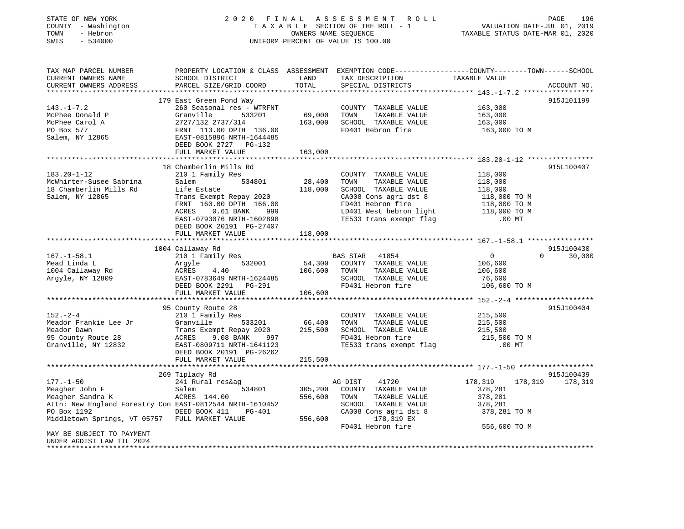| STATE OF NEW YORK<br>COUNTY - Washington<br>- Hebron<br>TOWN<br>$-534000$<br>SWIS |                                                                                                                                               |                   | 2020 FINAL ASSESSMENT<br>R O L L<br>TAXABLE SECTION OF THE ROLL - 1<br>OWNERS NAME SEQUENCE<br>UNIFORM PERCENT OF VALUE IS 100.00 | VALUATION DATE-JUL 01, 2019<br>TAXABLE STATUS DATE-MAR 01, 2020 | PAGE<br>196 |
|-----------------------------------------------------------------------------------|-----------------------------------------------------------------------------------------------------------------------------------------------|-------------------|-----------------------------------------------------------------------------------------------------------------------------------|-----------------------------------------------------------------|-------------|
| TAX MAP PARCEL NUMBER<br>CURRENT OWNERS NAME<br>CURRENT OWNERS ADDRESS            | PROPERTY LOCATION & CLASS ASSESSMENT EXEMPTION CODE----------------COUNTY-------TOWN------SCHOOL<br>SCHOOL DISTRICT<br>PARCEL SIZE/GRID COORD | LAND<br>TOTAL     | TAX DESCRIPTION<br>SPECIAL DISTRICTS                                                                                              | TAXABLE VALUE                                                   | ACCOUNT NO. |
|                                                                                   |                                                                                                                                               |                   |                                                                                                                                   |                                                                 |             |
|                                                                                   | 179 East Green Pond Way                                                                                                                       |                   |                                                                                                                                   |                                                                 | 915J101199  |
| $143. - 1 - 7.2$                                                                  | 260 Seasonal res - WTRFNT                                                                                                                     |                   | COUNTY TAXABLE VALUE                                                                                                              | 163,000                                                         |             |
| McPhee Donald P                                                                   | Granville<br>533201                                                                                                                           | 69,000            | TAXABLE VALUE<br>TOWN                                                                                                             | 163,000                                                         |             |
| McPhee Carol A                                                                    | 2727/132 2737/314                                                                                                                             | 163,000           | SCHOOL TAXABLE VALUE                                                                                                              | 163,000                                                         |             |
| PO Box 577<br>Salem, NY 12865                                                     | FRNT 113.00 DPTH 136.00<br>EAST-0815896 NRTH-1644485<br>DEED BOOK 2727 PG-132                                                                 |                   | FD401 Hebron fire                                                                                                                 | 163,000 TO M                                                    |             |
|                                                                                   | FULL MARKET VALUE                                                                                                                             | 163,000           |                                                                                                                                   |                                                                 |             |
|                                                                                   |                                                                                                                                               |                   |                                                                                                                                   |                                                                 |             |
|                                                                                   | 18 Chamberlin Mills Rd                                                                                                                        |                   |                                                                                                                                   |                                                                 | 915L100407  |
| $183.20 - 1 - 12$                                                                 | 210 1 Family Res                                                                                                                              |                   | COUNTY TAXABLE VALUE                                                                                                              | 118,000                                                         |             |
| McWhirter-Susee Sabrina                                                           | 534801<br>Salem                                                                                                                               | 28,400            | TAXABLE VALUE<br>TOWN                                                                                                             | 118,000                                                         |             |
| 18 Chamberlin Mills Rd<br>Salem, NY 12865                                         | Life Estate                                                                                                                                   | 118,000           | SCHOOL TAXABLE VALUE                                                                                                              | 118,000                                                         |             |
|                                                                                   | Trans Exempt Repay 2020<br>FRNT 160.00 DPTH 166.00                                                                                            |                   | CA008 Cons agri dst 8<br>FD401 Hebron fire                                                                                        | 118,000 TO M<br>118,000 TO M                                    |             |
|                                                                                   | ACRES<br>$0.61$ BANK<br>999                                                                                                                   |                   | LD401 West hebron light                                                                                                           |                                                                 |             |
|                                                                                   | EAST-0793076 NRTH-1602898                                                                                                                     |                   | TE533 trans exempt flag                                                                                                           | 118,000 TO M<br>$.00$ MT                                        |             |
|                                                                                   | DEED BOOK 20191 PG-27407                                                                                                                      |                   |                                                                                                                                   |                                                                 |             |
|                                                                                   | FULL MARKET VALUE                                                                                                                             | 118,000           |                                                                                                                                   |                                                                 |             |
|                                                                                   |                                                                                                                                               |                   |                                                                                                                                   |                                                                 |             |
|                                                                                   | 1004 Callaway Rd                                                                                                                              |                   |                                                                                                                                   |                                                                 | 915J100430  |
| $167. - 1 - 58.1$                                                                 | 210 1 Family Res                                                                                                                              |                   | BAS STAR 41854                                                                                                                    | $\mathbf{0}$<br>$\Omega$                                        | 30,000      |
| Mead Linda L                                                                      | 532001<br>Arqyle                                                                                                                              | 54,300            | COUNTY TAXABLE VALUE                                                                                                              | 106,600                                                         |             |
| 1004 Callaway Rd                                                                  | ACRES<br>4.40                                                                                                                                 | 106,600           | TOWN<br>TAXABLE VALUE                                                                                                             | 106,600                                                         |             |
| Argyle, NY 12809                                                                  | EAST-0783649 NRTH-1624485                                                                                                                     |                   | SCHOOL TAXABLE VALUE                                                                                                              | 76,600                                                          |             |
|                                                                                   | DEED BOOK 2291 PG-291                                                                                                                         |                   | FD401 Hebron fire                                                                                                                 | 106,600 TO M                                                    |             |
|                                                                                   | FULL MARKET VALUE                                                                                                                             | 106,600           |                                                                                                                                   |                                                                 |             |
|                                                                                   |                                                                                                                                               |                   |                                                                                                                                   |                                                                 |             |
| $152 - 2 - 4$                                                                     | 95 County Route 28                                                                                                                            |                   |                                                                                                                                   |                                                                 | 915J100404  |
| Meador Frankie Lee Jr                                                             | 210 1 Family Res<br>Granville<br>533201                                                                                                       |                   | COUNTY TAXABLE VALUE<br>TAXABLE VALUE<br>TOWN                                                                                     | 215,500                                                         |             |
| Meador Dawn                                                                       | Trans Exempt Repay 2020                                                                                                                       | 66,400<br>215,500 | SCHOOL TAXABLE VALUE                                                                                                              | 215,500<br>215,500                                              |             |
| 95 County Route 28                                                                | ACRES<br>9.08 BANK<br>997                                                                                                                     |                   | FD401 Hebron fire                                                                                                                 | 215,500 TO M                                                    |             |
| Granville, NY 12832                                                               | EAST-0809711 NRTH-1641123                                                                                                                     |                   | TE533 trans exempt flag                                                                                                           | $.00$ MT                                                        |             |
|                                                                                   | DEED BOOK 20191 PG-26262                                                                                                                      |                   |                                                                                                                                   |                                                                 |             |
|                                                                                   | FULL MARKET VALUE                                                                                                                             | 215,500           |                                                                                                                                   |                                                                 |             |
|                                                                                   |                                                                                                                                               |                   |                                                                                                                                   |                                                                 |             |
|                                                                                   | 269 Tiplady Rd                                                                                                                                |                   |                                                                                                                                   |                                                                 | 915J100439  |
| $177. - 1 - 50$                                                                   | 241 Rural res&ag                                                                                                                              |                   | AG DIST<br>41720                                                                                                                  | 178,319<br>178,319                                              | 178,319     |
| Meagher John F                                                                    | Salem<br>534801                                                                                                                               | 305,200           | COUNTY TAXABLE VALUE                                                                                                              | 378,281                                                         |             |
| Meagher Sandra K                                                                  | ACRES 144.00                                                                                                                                  | 556,600           | TOWN<br>TAXABLE VALUE                                                                                                             | 378,281                                                         |             |

Attn: New England Forestry Con EAST-0812544 NRTH-1610452 SCHOOL TAXABLE VALUE 378,281 378,281 TO M<br>PO Box 1192 378,281 TO M PO BOOK 411 PG-401 CA008 Cons agri dst<br>178,319 EX 319 EX 387 TULL MARKET VALUE 556,600 178,319 EX Middletown Springs, VT 05757 FULL MARKET VALUE FD401 Hebron fire 556,600 TO M MAY BE SUBJECT TO PAYMENT UNDER AGDIST LAW TIL 2024\*\*\*\*\*\*\*\*\*\*\*\*\*\*\*\*\*\*\*\*\*\*\*\*\*\*\*\*\*\*\*\*\*\*\*\*\*\*\*\*\*\*\*\*\*\*\*\*\*\*\*\*\*\*\*\*\*\*\*\*\*\*\*\*\*\*\*\*\*\*\*\*\*\*\*\*\*\*\*\*\*\*\*\*\*\*\*\*\*\*\*\*\*\*\*\*\*\*\*\*\*\*\*\*\*\*\*\*\*\*\*\*\*\*\*\*\*\*\*\*\*\*\*\*\*\*\*\*\*\*\*\*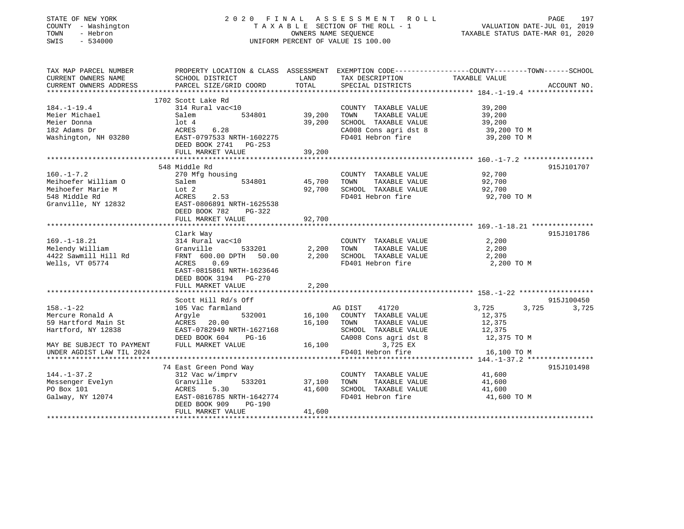### STATE OF NEW YORK 2 0 2 0 F I N A L A S S E S S M E N T R O L L PAGE 197 COUNTY - Washington T A X A B L E SECTION OF THE ROLL - 1 VALUATION DATE-JUL 01, 2019 TOWN - Hebron OWNERS NAME SEQUENCE TAXABLE STATUS DATE-MAR 01, 2020 SWIS - 534000 UNIFORM PERCENT OF VALUE IS 100.00

| TAX MAP PARCEL NUMBER     | PROPERTY LOCATION & CLASS ASSESSMENT EXEMPTION CODE----------------COUNTY-------TOWN------SCHOOL |             |                             |                                        |             |
|---------------------------|--------------------------------------------------------------------------------------------------|-------------|-----------------------------|----------------------------------------|-------------|
| CURRENT OWNERS NAME       | SCHOOL DISTRICT                                                                                  | LAND        | TAX DESCRIPTION             | TAXABLE VALUE                          |             |
| CURRENT OWNERS ADDRESS    | PARCEL SIZE/GRID COORD                                                                           | TOTAL       | SPECIAL DISTRICTS           |                                        | ACCOUNT NO. |
|                           |                                                                                                  |             |                             |                                        |             |
| $184. - 1 - 19.4$         | 1702 Scott Lake Rd<br>314 Rural vac<10                                                           |             | COUNTY TAXABLE VALUE        | 39,200                                 |             |
| Meier Michael             | 534801<br>Salem                                                                                  | 39,200      | TAXABLE VALUE<br>TOWN       | 39,200                                 |             |
| Meier Donna               | lot 4                                                                                            | 39,200      | SCHOOL TAXABLE VALUE        | 39,200                                 |             |
|                           |                                                                                                  |             |                             | دن 200, 25<br>39, 200 TO M<br>200 TO M |             |
| 182 Adams Dr              | ACRES<br>6.28                                                                                    |             | CA008 Cons agri dst 8       |                                        |             |
| Washington, NH 03280      | EAST-0797533 NRTH-1602275                                                                        |             | FD401 Hebron fire           | 39,200 TO M                            |             |
|                           | DEED BOOK 2741 PG-253                                                                            |             |                             |                                        |             |
|                           | FULL MARKET VALUE                                                                                | 39,200      |                             |                                        |             |
|                           | 548 Middle Rd                                                                                    |             |                             |                                        | 915J101707  |
| $160. - 1 - 7.2$          | 270 Mfg housing                                                                                  |             | COUNTY TAXABLE VALUE        | 92,700                                 |             |
| Meihoefer William O       | 534801<br>Salem                                                                                  | 45,700      | TOWN<br>TAXABLE VALUE       | 92,700                                 |             |
| Meihoefer Marie M         | Lot 2                                                                                            | 92,700      | SCHOOL TAXABLE VALUE        | 92,700                                 |             |
| 548 Middle Rd             | ACRES<br>2.53                                                                                    |             | FD401 Hebron fire           | 92,700 TO M                            |             |
| Granville, NY 12832       |                                                                                                  |             |                             |                                        |             |
|                           | EAST-0806891 NRTH-1625538                                                                        |             |                             |                                        |             |
|                           | DEED BOOK 782<br>PG-322<br>FULL MARKET VALUE                                                     | 92,700      |                             |                                        |             |
|                           |                                                                                                  |             |                             |                                        |             |
|                           | Clark Way                                                                                        |             |                             |                                        | 915J101786  |
| $169. - 1 - 18.21$        | 314 Rural vac<10                                                                                 |             | COUNTY TAXABLE VALUE        | 2,200                                  |             |
| Melendy William           | 533201<br>Granville                                                                              |             | 2,200 TOWN<br>TAXABLE VALUE | 2,200                                  |             |
| 4422 Sawmill Hill Rd      | FRNT 600.00 DPTH 50.00                                                                           | 2,200       | SCHOOL TAXABLE VALUE        | 2,200                                  |             |
| Wells, VT 05774           | ACRES<br>0.69                                                                                    |             | FD401 Hebron fire           | 2,200 TO M                             |             |
|                           | EAST-0815861 NRTH-1623646                                                                        |             |                             |                                        |             |
|                           | DEED BOOK 3194 PG-270                                                                            |             |                             |                                        |             |
|                           | FULL MARKET VALUE                                                                                | 2,200       |                             |                                        |             |
|                           |                                                                                                  |             |                             |                                        |             |
|                           | Scott Hill Rd/s Off                                                                              |             |                             |                                        | 915J100450  |
| $158. - 1 - 22$           | 105 Vac farmland                                                                                 |             | 41720<br>AG DIST            | 3,725<br>3,725                         | 3,725       |
| Mercure Ronald A          | 532001<br>Argyle                                                                                 |             | 16,100 COUNTY TAXABLE VALUE | 12,375                                 |             |
| 59 Hartford Main St       | ACRES<br>20.00                                                                                   | 16,100 TOWN | TAXABLE VALUE               | 12,375                                 |             |
| Hartford, NY 12838        | EAST-0782949 NRTH-1627168                                                                        |             | SCHOOL TAXABLE VALUE        | 12,375                                 |             |
|                           | DEED BOOK 604<br>PG-16                                                                           |             | CA008 Cons agri dst 8       | 12,375 TO M                            |             |
| MAY BE SUBJECT TO PAYMENT | FULL MARKET VALUE                                                                                | 16,100      | 3,725 EX                    |                                        |             |
| UNDER AGDIST LAW TIL 2024 |                                                                                                  |             | FD401 Hebron fire           | 16,100 TO M                            |             |
|                           |                                                                                                  |             |                             |                                        |             |
|                           | 74 East Green Pond Way                                                                           |             |                             |                                        | 915J101498  |
| $144. - 1 - 37.2$         | 312 Vac w/imprv                                                                                  |             | COUNTY TAXABLE VALUE        | 41,600                                 |             |
| Messenger Evelyn          | Granville<br>533201                                                                              | 37,100      | TAXABLE VALUE<br>TOWN       | 41,600                                 |             |
| PO Box 101                | ACRES<br>5.30                                                                                    | 41,600      | SCHOOL TAXABLE VALUE        | 41,600                                 |             |
| Galway, NY 12074          | EAST-0816785 NRTH-1642774                                                                        |             | FD401 Hebron fire           | 41,600 TO M                            |             |
|                           | DEED BOOK 909<br>PG-190                                                                          |             |                             |                                        |             |
|                           | FULL MARKET VALUE                                                                                | 41,600      |                             |                                        |             |
|                           |                                                                                                  |             |                             |                                        |             |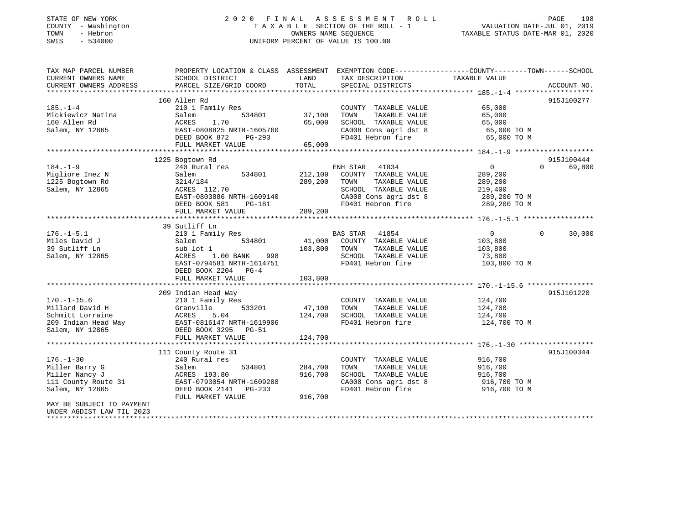| STATE OF NEW YORK |          |              |
|-------------------|----------|--------------|
| COUNTY            |          | - Washington |
| TOWN              | - Hebron |              |
| CM <sub>T</sub> C |          | 534000       |

### STATE OF NEW YORK 2020 FINAL ASSESSMENT ROLL PAGE 198 T A X A B L E SECTION OF THE ROLL - 1<br>OWNERS NAME SEQUENCE SWIS - 534000 UNIFORM PERCENT OF VALUE IS 100.00

## VALUATION DATE-JUL 01, 2019

| TAX MAP PARCEL NUMBER     | PROPERTY LOCATION & CLASS ASSESSMENT EXEMPTION CODE---------------COUNTY-------TOWN------SCHOOL |               |                       |                |                    |
|---------------------------|-------------------------------------------------------------------------------------------------|---------------|-----------------------|----------------|--------------------|
| CURRENT OWNERS NAME       | SCHOOL DISTRICT                                                                                 | LAND          | TAX DESCRIPTION       | TAXABLE VALUE  |                    |
| CURRENT OWNERS ADDRESS    | PARCEL SIZE/GRID COORD                                                                          | TOTAL         | SPECIAL DISTRICTS     |                | ACCOUNT NO.        |
|                           |                                                                                                 |               |                       |                |                    |
|                           | 160 Allen Rd                                                                                    |               |                       |                | 915J100277         |
| $185. - 1 - 4$            | 210 1 Family Res                                                                                |               | COUNTY TAXABLE VALUE  | 65,000         |                    |
| Mickiewicz Natina         | 534801<br>Salem                                                                                 | 37,100        | TOWN<br>TAXABLE VALUE | 65,000         |                    |
| 160 Allen Rd              | ACRES<br>1.70                                                                                   | 65,000        | SCHOOL TAXABLE VALUE  | 65,000         |                    |
| Salem, NY 12865           | EAST-0808825 NRTH-1605760                                                                       |               | CA008 Cons agri dst 8 | 65,000 TO M    |                    |
|                           | DEED BOOK 872<br>PG-293                                                                         |               | FD401 Hebron fire     | 65,000 TO M    |                    |
|                           | FULL MARKET VALUE                                                                               | 65,000        |                       |                |                    |
|                           |                                                                                                 |               |                       |                |                    |
|                           | 1225 Bogtown Rd                                                                                 |               |                       |                | 915J100444         |
| $184. - 1 - 9$            | 240 Rural res                                                                                   |               | ENH STAR<br>41834     | 0              | $\Omega$<br>69,800 |
| Migliore Inez N           | 534801<br>Salem                                                                                 | 212,100       | COUNTY TAXABLE VALUE  | 289,200        |                    |
| 1225 Bogtown Rd           | 3214/184                                                                                        | 289,200       | TOWN<br>TAXABLE VALUE | 289,200        |                    |
| Salem, NY 12865           | ACRES 112.70                                                                                    |               | SCHOOL TAXABLE VALUE  | 219,400        |                    |
|                           | EAST-0803886 NRTH-1609140                                                                       |               | CA008 Cons agri dst 8 | $289,200$ TO M |                    |
|                           | DEED BOOK 581<br>PG-181                                                                         | 289,200       | FD401 Hebron fire     | 289,200 TO M   |                    |
|                           | FULL MARKET VALUE                                                                               |               |                       |                |                    |
|                           |                                                                                                 |               |                       |                |                    |
|                           | 39 Sutliff Ln                                                                                   |               |                       |                |                    |
| $176. - 1 - 5.1$          | 210 1 Family Res                                                                                |               | BAS STAR 41854        | $\overline{0}$ | $\Omega$<br>30,000 |
| Miles David J             | 534801<br>Salem                                                                                 | 41,000        | COUNTY TAXABLE VALUE  | 103,800        |                    |
| 39 Sutliff Ln             | sub lot 1                                                                                       | 103,800       | TOWN<br>TAXABLE VALUE | 103,800        |                    |
| Salem, NY 12865           | ACRES 1.00 BANK 998                                                                             |               | SCHOOL TAXABLE VALUE  | 73,800         |                    |
|                           | EAST-0794581 NRTH-1614751                                                                       |               | FD401 Hebron fire     | 103,800 TO M   |                    |
|                           | DEED BOOK 2204 PG-4                                                                             |               |                       |                |                    |
|                           | FULL MARKET VALUE                                                                               | 103,800       |                       |                |                    |
|                           |                                                                                                 |               |                       |                |                    |
|                           | 209 Indian Head Way                                                                             |               |                       |                | 915J101220         |
| $170. - 1 - 15.6$         | 210 1 Family Res                                                                                |               | COUNTY TAXABLE VALUE  | 124,700        |                    |
| Millard David H           | Granville                                                                                       | 533201 47,100 | TAXABLE VALUE<br>TOWN | 124,700        |                    |
| Schmitt Lorraine          | ACRES<br>5.04                                                                                   | 124,700       | SCHOOL TAXABLE VALUE  | 124,700        |                    |
| 209 Indian Head Way       | EAST-0816147 NRTH-1619906                                                                       |               | FD401 Hebron fire     | 124,700 TO M   |                    |
| Salem, NY 12865           | DEED BOOK 3295 PG-51                                                                            |               |                       |                |                    |
|                           | FULL MARKET VALUE                                                                               | 124,700       |                       |                |                    |
|                           |                                                                                                 |               |                       |                |                    |
|                           | 111 County Route 31                                                                             |               |                       |                | 915J100344         |
| $176. - 1 - 30$           | 240 Rural res                                                                                   |               | COUNTY TAXABLE VALUE  | 916,700        |                    |
| Miller Barry G            | 534801<br>Salem                                                                                 | 284,700       | TOWN<br>TAXABLE VALUE | 916,700        |                    |
| Miller Nancy J            | ACRES 193.80                                                                                    | 916,700       | SCHOOL TAXABLE VALUE  | 916,700        |                    |
| 111 County Route 31       | EAST-0793054 NRTH-1609288                                                                       |               | CA008 Cons agri dst 8 | 916,700 TO M   |                    |
| Salem, NY 12865           | DEED BOOK 2141 PG-233                                                                           |               | FD401 Hebron fire     | 916,700 TO M   |                    |
|                           | FULL MARKET VALUE                                                                               | 916,700       |                       |                |                    |
| MAY BE SUBJECT TO PAYMENT |                                                                                                 |               |                       |                |                    |
| UNDER AGDIST LAW TIL 2023 |                                                                                                 |               |                       |                |                    |
|                           |                                                                                                 |               |                       |                |                    |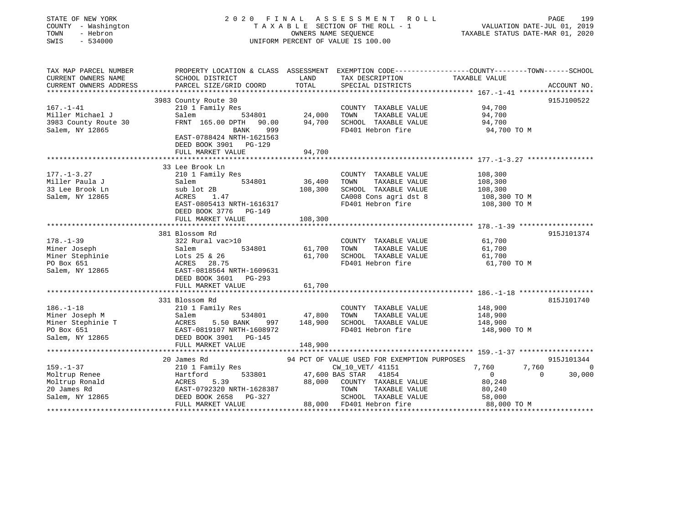| STATE OF NEW YORK<br>COUNTY - Washington<br>TOWN<br>- Hebron<br>SWIS<br>$-534000$ | 2020 FINAL<br>TAXABLE SECTION OF THE ROLL - 1<br>UNIFORM PERCENT OF VALUE IS 100.00                               | PAGE<br>199<br>VALUATION DATE-JUL 01, 2019<br>TAXABLE STATUS DATE-MAR 01, 2020 |                                               |                       |                    |
|-----------------------------------------------------------------------------------|-------------------------------------------------------------------------------------------------------------------|--------------------------------------------------------------------------------|-----------------------------------------------|-----------------------|--------------------|
| TAX MAP PARCEL NUMBER<br>CURRENT OWNERS NAME                                      | PROPERTY LOCATION & CLASS ASSESSMENT EXEMPTION CODE---------------COUNTY-------TOWN-----SCHOOL<br>SCHOOL DISTRICT | LAND                                                                           | TAX DESCRIPTION                               | TAXABLE VALUE         |                    |
| CURRENT OWNERS ADDRESS                                                            | PARCEL SIZE/GRID COORD                                                                                            | TOTAL                                                                          | SPECIAL DISTRICTS                             |                       | ACCOUNT NO.        |
| ***********************                                                           |                                                                                                                   |                                                                                |                                               |                       |                    |
|                                                                                   | 3983 County Route 30                                                                                              |                                                                                |                                               |                       | 915J100522         |
| $167. - 1 - 41$                                                                   | 210 1 Family Res                                                                                                  |                                                                                | COUNTY TAXABLE VALUE                          | 94,700                |                    |
| Miller Michael J                                                                  | 534801<br>Salem                                                                                                   | 24,000                                                                         | TAXABLE VALUE<br>TOWN                         | 94,700                |                    |
| 3983 County Route 30                                                              | FRNT 165.00 DPTH<br>90.00                                                                                         | 94,700                                                                         | SCHOOL TAXABLE VALUE                          | 94,700                |                    |
| Salem, NY 12865                                                                   | 999<br>BANK<br>EAST-0788424 NRTH-1621563<br>DEED BOOK 3901 PG-129                                                 |                                                                                | FD401 Hebron fire                             | 94,700 TO M           |                    |
|                                                                                   | FULL MARKET VALUE                                                                                                 | 94,700                                                                         |                                               |                       |                    |
|                                                                                   | **********************                                                                                            |                                                                                |                                               |                       |                    |
|                                                                                   | 33 Lee Brook Ln                                                                                                   |                                                                                |                                               |                       |                    |
| $177. - 1 - 3.27$                                                                 | 210 1 Family Res                                                                                                  |                                                                                | COUNTY TAXABLE VALUE                          | 108,300               |                    |
| Miller Paula J                                                                    | 534801<br>Salem                                                                                                   | 36,400                                                                         | TOWN<br>TAXABLE VALUE                         | 108,300               |                    |
| 33 Lee Brook Ln                                                                   | sub lot 2B                                                                                                        | 108,300                                                                        | SCHOOL TAXABLE VALUE                          | 108,300               |                    |
| Salem, NY 12865                                                                   | ACRES<br>1.47                                                                                                     |                                                                                | CA008 Cons agri dst 8                         | 108,300 TO M          |                    |
|                                                                                   | EAST-0805413 NRTH-1616317<br>DEED BOOK 3776 PG-149                                                                |                                                                                | FD401 Hebron fire                             | 108,300 TO M          |                    |
|                                                                                   | FULL MARKET VALUE                                                                                                 | 108,300                                                                        |                                               |                       |                    |
|                                                                                   |                                                                                                                   |                                                                                |                                               |                       |                    |
| $178. - 1 - 39$                                                                   | 381 Blossom Rd<br>322 Rural vac>10                                                                                |                                                                                | COUNTY TAXABLE VALUE                          | 61,700                | 915J101374         |
| Miner Joseph                                                                      | Salem<br>534801                                                                                                   | 61,700                                                                         | TOWN<br>TAXABLE VALUE                         | 61,700                |                    |
| Miner Stephinie                                                                   | Lots 25 & 26                                                                                                      | 61,700                                                                         | SCHOOL TAXABLE VALUE                          | 61,700                |                    |
| PO Box 651                                                                        | ACRES<br>28.75                                                                                                    |                                                                                | FD401 Hebron fire                             | 61,700 TO M           |                    |
| Salem, NY 12865                                                                   | EAST-0818564 NRTH-1609631<br>DEED BOOK 3601 PG-293                                                                |                                                                                |                                               |                       |                    |
|                                                                                   | FULL MARKET VALUE                                                                                                 | 61,700                                                                         |                                               |                       |                    |
|                                                                                   |                                                                                                                   |                                                                                |                                               |                       |                    |
|                                                                                   | 331 Blossom Rd                                                                                                    |                                                                                |                                               |                       | 815J101740         |
| $186. - 1 - 18$                                                                   | 210 1 Family Res                                                                                                  |                                                                                | COUNTY TAXABLE VALUE                          | 148,900               |                    |
| Miner Joseph M                                                                    | Salem<br>534801                                                                                                   | 47,800                                                                         | TOWN<br>TAXABLE VALUE                         | 148,900               |                    |
| Miner Stephinie T                                                                 | ACRES<br>5.50 BANK<br>997                                                                                         | 148,900                                                                        | SCHOOL TAXABLE VALUE                          | 148,900               |                    |
| PO Box 651                                                                        | EAST-0819107 NRTH-1608972                                                                                         |                                                                                | FD401 Hebron fire                             | 148,900 TO M          |                    |
| Salem, NY 12865                                                                   | DEED BOOK 3901<br>PG-145                                                                                          |                                                                                |                                               |                       |                    |
|                                                                                   | FULL MARKET VALUE                                                                                                 | 148,900                                                                        |                                               |                       |                    |
|                                                                                   |                                                                                                                   |                                                                                |                                               |                       |                    |
|                                                                                   | 20 James Rd                                                                                                       |                                                                                | 94 PCT OF VALUE USED FOR EXEMPTION PURPOSES   |                       | 915J101344         |
| $159. - 1 - 37$                                                                   | 210 1 Family Res                                                                                                  |                                                                                | CW_10_VET/ 41151                              | 7,760<br>7,760        | 0                  |
| Moltrup Renee                                                                     | Hartford<br>533801                                                                                                |                                                                                | 47,600 BAS STAR<br>41854                      | $\mathbf 0$           | 30,000<br>$\Omega$ |
| Moltrup Ronald                                                                    | ACRES<br>5.39                                                                                                     | 88,000                                                                         | COUNTY TAXABLE VALUE                          | 80,240                |                    |
| 20 James Rd<br>Salem, NY 12865                                                    | EAST-0792320 NRTH-1628387<br>PG-327<br>DEED BOOK 2658                                                             |                                                                                | TOWN<br>TAXABLE VALUE<br>SCHOOL TAXABLE VALUE | 80,240                |                    |
|                                                                                   | FULL MARKET VALUE                                                                                                 | 88,000                                                                         | FD401 Hebron fire                             | 58,000<br>88,000 TO M |                    |
|                                                                                   |                                                                                                                   |                                                                                |                                               |                       |                    |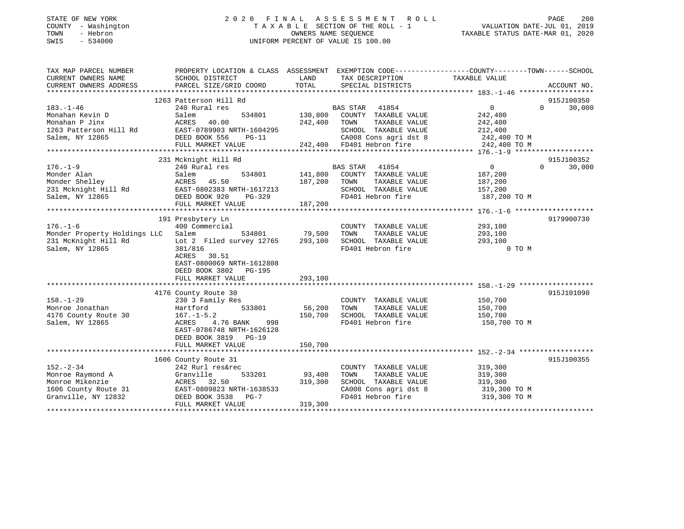### STATE OF NEW YORK 2 0 2 0 F I N A L A S S E S S M E N T R O L L PAGE 200COUNTY - Washington T A X A B L E SECTION OF THE ROLL - 1 VALUATION DATE-JUL 01, 2019 SWIS - 534000 UNIFORM PERCENT OF VALUE IS 100.00

VALUATION DATE-JUL 01, 2019

| TAX MAP PARCEL NUMBER                            | PROPERTY LOCATION & CLASS ASSESSMENT EXEMPTION CODE---------------COUNTY-------TOWN------SCHOOL |                |                                                                                                              |                    |                                 |
|--------------------------------------------------|-------------------------------------------------------------------------------------------------|----------------|--------------------------------------------------------------------------------------------------------------|--------------------|---------------------------------|
| CURRENT OWNERS NAME                              | SCHOOL DISTRICT                                                                                 | LAND           | TAX DESCRIPTION                                                                                              | TAXABLE VALUE      |                                 |
| CURRENT OWNERS ADDRESS                           | PARCEL SIZE/GRID COORD                                                                          | TOTAL          | SPECIAL DISTRICTS                                                                                            |                    | ACCOUNT NO.                     |
|                                                  |                                                                                                 |                |                                                                                                              |                    |                                 |
|                                                  | 1263 Patterson Hill Rd                                                                          |                |                                                                                                              |                    | 915J100350                      |
| $183. - 1 - 46$                                  | 240 Rural res                                                                                   |                | BAS STAR 41854                                                                                               | $0 \qquad \qquad$  | $\Omega$<br>30,000              |
| Monahan Kevin D                                  | Salem                                                                                           | 534801 130,800 | COUNTY TAXABLE VALUE                                                                                         | 242,400            |                                 |
| Monahan P Jinx                                   | ACRES 40.00                                                                                     | 242,400 TOWN   | TAXABLE VALUE                                                                                                |                    |                                 |
| 1263 Patterson Hill Rd EAST-0789903 NRTH-1604295 |                                                                                                 |                | SCHOOL TAXABLE VALUE                                                                                         | 242,400<br>212,400 |                                 |
| Salem, NY 12865                                  | DEED BOOK 556<br>$PG-11$                                                                        |                |                                                                                                              |                    |                                 |
|                                                  | FULL MARKET VALUE                                                                               |                | SCHOOL TAXABLE VALUE 212,400<br>CA008 Cons agri dst 8 242,400 TO M<br>242,400 FD401 Hebron fire 242,400 TO M |                    |                                 |
|                                                  |                                                                                                 |                |                                                                                                              |                    |                                 |
|                                                  | 231 Mcknight Hill Rd                                                                            |                |                                                                                                              |                    | 915J100352                      |
| $176. - 1 - 9$                                   | 240 Rural res                                                                                   |                | BAS STAR 41854                                                                                               | $\overline{0}$     | $\Omega$ and $\Omega$<br>30,000 |
| Monder Alan                                      | Salem                                                                                           | 534801 141,800 | COUNTY TAXABLE VALUE 187,200                                                                                 |                    |                                 |
| Monder Alan<br>Monder Shelley                    | ACRES 45.50                                                                                     | 187,200        | TOWN<br>TAXABLE VALUE                                                                                        | 187,200            |                                 |
| 231 Mcknight Hill Rd EAST-0802383 NRTH-1617213   |                                                                                                 |                | SCHOOL TAXABLE VALUE                                                                                         | 157,200            |                                 |
| Salem, NY 12865                                  | DEED BOOK 920<br>PG-329                                                                         |                | FD401 Hebron fire                                                                                            | 187,200 TO M       |                                 |
|                                                  | FULL MARKET VALUE                                                                               | 187,200        |                                                                                                              |                    |                                 |
|                                                  |                                                                                                 |                |                                                                                                              |                    |                                 |
|                                                  | 191 Presbytery Ln                                                                               |                |                                                                                                              |                    | 9179900730                      |
| $176. - 1 - 6$                                   | 400 Commercial                                                                                  |                | COUNTY TAXABLE VALUE 293,100                                                                                 |                    |                                 |
| Monder Property Holdings LLC Salem               |                                                                                                 |                | TOWN<br>TAXABLE VALUE                                                                                        |                    |                                 |
| 231 McKnight Hill Rd                             | Salem 534801 79,500<br>Lot 2 Filed survey 12765 293,100                                         |                |                                                                                                              | 293,100<br>293,100 |                                 |
| Salem, NY 12865                                  | 381/816                                                                                         |                | SCHOOL TAXABLE VALUE<br>FD401 Hebron fire                                                                    | 0 TO M             |                                 |
|                                                  | ACRES 30.51                                                                                     |                |                                                                                                              |                    |                                 |
|                                                  | EAST-0800069 NRTH-1612808                                                                       |                |                                                                                                              |                    |                                 |
|                                                  | DEED BOOK 3802 PG-195                                                                           |                |                                                                                                              |                    |                                 |
|                                                  | FULL MARKET VALUE                                                                               | 293,100        |                                                                                                              |                    |                                 |
|                                                  |                                                                                                 |                |                                                                                                              |                    |                                 |
|                                                  | 4176 County Route 30                                                                            |                |                                                                                                              |                    | 915J101090                      |
| $158. - 1 - 29$                                  | 230 3 Family Res                                                                                |                | COUNTY TAXABLE VALUE 150,700                                                                                 |                    |                                 |
| Monroe Jonathan<br>Hartford                      | 533801                                                                                          | 56,200         | TOWN<br>TAXABLE VALUE                                                                                        |                    |                                 |
| 4176 County Route 30                             | $167. - 1 - 5.2$                                                                                | 150,700        | SCHOOL TAXABLE VALUE                                                                                         | 150,700<br>150,700 |                                 |
| Salem, NY 12865                                  | 998<br>ACRES<br>4.76 BANK                                                                       |                | FD401 Hebron fire                                                                                            | 150,700 TO M       |                                 |
|                                                  | EAST-0786748 NRTH-1626128                                                                       |                |                                                                                                              |                    |                                 |
|                                                  | DEED BOOK 3819 PG-19                                                                            |                |                                                                                                              |                    |                                 |
|                                                  | FULL MARKET VALUE                                                                               | 150,700        |                                                                                                              |                    |                                 |
|                                                  |                                                                                                 |                |                                                                                                              |                    |                                 |
|                                                  | 1606 County Route 31                                                                            |                |                                                                                                              |                    | 915J100355                      |
| $152 - 2 - 34$                                   | 242 Rurl res&rec                                                                                |                | COUNTY TAXABLE VALUE                                                                                         |                    |                                 |
| Monroe Raymond A                                 | 533201<br>Granville                                                                             | 93,400         | TOWN<br>TAXABLE VALUE                                                                                        | 319,300<br>319,300 |                                 |
|                                                  |                                                                                                 | 319,300        | SCHOOL TAXABLE VALUE                                                                                         | 319,300            |                                 |
|                                                  |                                                                                                 |                |                                                                                                              |                    |                                 |
|                                                  |                                                                                                 |                | CA008 Cons agri dst 8 319,300 TO M<br>FD401 Hebron fire 319,300 TO M                                         |                    |                                 |
|                                                  | FULL MARKET VALUE                                                                               | 319,300        |                                                                                                              |                    |                                 |
|                                                  |                                                                                                 |                |                                                                                                              |                    |                                 |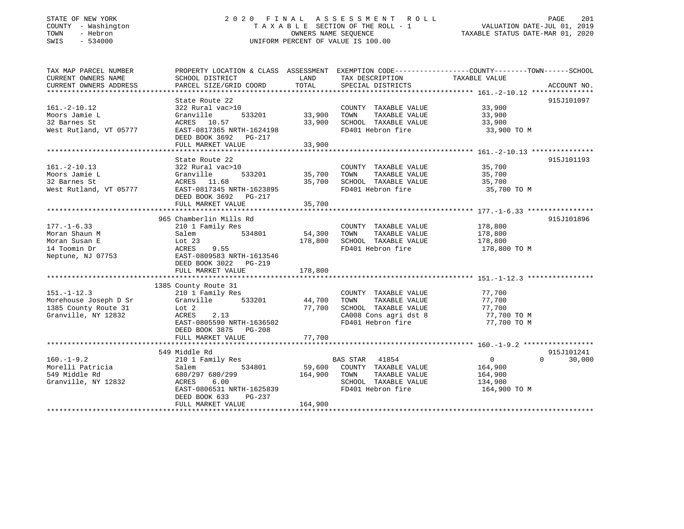### STATE OF NEW YORK 2 0 2 0 F I N A L A S S E S S M E N T R O L L PAGE 201COUNTY - Washington  $T A X A B L E$  SECTION OF THE ROLL - 1<br>TOWN - Hebron  $\cdot$ SWIS - 534000 UNIFORM PERCENT OF VALUE IS 100.00

# VALUATION DATE-JUL 01, 2019

| TAX MAP PARCEL NUMBER  |                            |               |                              | PROPERTY LOCATION & CLASS ASSESSMENT EXEMPTION CODE---------------COUNTY-------TOWN------SCHOOL |  |
|------------------------|----------------------------|---------------|------------------------------|-------------------------------------------------------------------------------------------------|--|
| CURRENT OWNERS NAME    | SCHOOL DISTRICT            | LAND          | TAX DESCRIPTION              | TAXABLE VALUE                                                                                   |  |
| CURRENT OWNERS ADDRESS | PARCEL SIZE/GRID COORD     | TOTAL         | SPECIAL DISTRICTS            | ACCOUNT NO.                                                                                     |  |
|                        |                            |               |                              |                                                                                                 |  |
|                        | State Route 22             |               |                              | 915J101097                                                                                      |  |
| $161.-2-10.12$         | 322 Rural vac>10           |               | COUNTY TAXABLE VALUE         | 33,900                                                                                          |  |
| Moors Jamie L          | Granville<br>533201        | 33,900        | TOWN<br>TAXABLE VALUE        | 33,900                                                                                          |  |
| 32 Barnes St           | ACRES 10.57                | 33,900        | SCHOOL TAXABLE VALUE         | 33,900                                                                                          |  |
| West Rutland, VT 05777 | EAST-0817365 NRTH-1624198  |               | FD401 Hebron fire            | 33,900 TO M                                                                                     |  |
|                        | DEED BOOK 3692 PG-217      |               |                              |                                                                                                 |  |
|                        | FULL MARKET VALUE          | 33,900        |                              |                                                                                                 |  |
|                        |                            |               |                              |                                                                                                 |  |
|                        | State Route 22             |               |                              | 915J101193                                                                                      |  |
| $161.-2-10.13$         | 322 Rural vac>10           |               | COUNTY TAXABLE VALUE         | 35,700                                                                                          |  |
|                        |                            | 533201 35,700 | TAXABLE VALUE<br>TOWN        |                                                                                                 |  |
| Moors Jamie L          | Granville                  | 35,700        | SCHOOL TAXABLE VALUE         | 35,700                                                                                          |  |
| 32 Barnes St           | ACRES 11.68                |               |                              | 35,700                                                                                          |  |
| West Rutland, VT 05777 | EAST-0817345 NRTH-1623895  |               | FD401 Hebron fire            | 35,700 TO M                                                                                     |  |
|                        | DEED BOOK 3692 PG-217      |               |                              |                                                                                                 |  |
|                        | FULL MARKET VALUE          | 35,700        |                              |                                                                                                 |  |
|                        |                            |               |                              |                                                                                                 |  |
|                        | 965 Chamberlin Mills Rd    |               |                              | 915J101896                                                                                      |  |
| $177. - 1 - 6.33$      | 210 1 Family Res           |               | COUNTY TAXABLE VALUE 178,800 |                                                                                                 |  |
| Moran Shaun M          | 534801<br>Salem            | 54,300        | TOWN<br>TAXABLE VALUE        | 178,800                                                                                         |  |
| Moran Susan E          | Lot $23$                   | 178,800       | SCHOOL TAXABLE VALUE         | 178,800                                                                                         |  |
| 14 Toomin Dr           | ACRES<br>9.55              |               | FD401 Hebron fire            | 178,800 TO M                                                                                    |  |
| Neptune, NJ 07753      | EAST-0809583 NRTH-1613546  |               |                              |                                                                                                 |  |
|                        | DEED BOOK 3022<br>$PG-219$ |               |                              |                                                                                                 |  |
|                        | FULL MARKET VALUE          | 178,800       |                              |                                                                                                 |  |
|                        |                            |               |                              |                                                                                                 |  |
|                        | 1385 County Route 31       |               |                              |                                                                                                 |  |
| $151. - 1 - 12.3$      | 210 1 Family Res           |               | COUNTY TAXABLE VALUE         | 77,700                                                                                          |  |
| Morehouse Joseph D Sr  | Granville                  | 533201 44,700 | TOWN<br>TAXABLE VALUE        | 77,700                                                                                          |  |
| 1385 County Route 31   | Lot 2                      | 77,700        | SCHOOL TAXABLE VALUE         | 77,700                                                                                          |  |
| Granville, NY 12832    | 2.13<br>ACRES              |               | CA008 Cons agri dst 8        | $77,700$ TO M<br>77,700 TO M                                                                    |  |
|                        | EAST-0805590 NRTH-1636502  |               | FD401 Hebron fire            | 77,700 TO M                                                                                     |  |
|                        | DEED BOOK 3875 PG-208      |               |                              |                                                                                                 |  |
|                        | FULL MARKET VALUE          | 77,700        |                              |                                                                                                 |  |
|                        |                            |               |                              |                                                                                                 |  |
|                        | 549 Middle Rd              |               |                              | 915J101241                                                                                      |  |
| $160. - 1 - 9.2$       | 210 1 Family Res           |               | BAS STAR<br>41854            | 0<br>30,000<br>$\Omega$                                                                         |  |
| Morelli Patricia       | 534801<br>Salem            |               | 59,600 COUNTY TAXABLE VALUE  | 164,900                                                                                         |  |
| 549 Middle Rd          | 680/297 680/299            | 164,900       | TAXABLE VALUE                |                                                                                                 |  |
| Granville, NY 12832    | ACRES<br>6.00              |               | TOWN<br>SCHOOL TAXABLE VALUE | 164,900<br>134,900                                                                              |  |
|                        | EAST-0806531 NRTH-1625839  |               | FD401 Hebron fire            |                                                                                                 |  |
|                        |                            |               |                              | 164,900 TO M                                                                                    |  |
|                        | DEED BOOK 633<br>PG-237    |               |                              |                                                                                                 |  |
|                        | FULL MARKET VALUE          | 164,900       |                              |                                                                                                 |  |
|                        |                            |               |                              |                                                                                                 |  |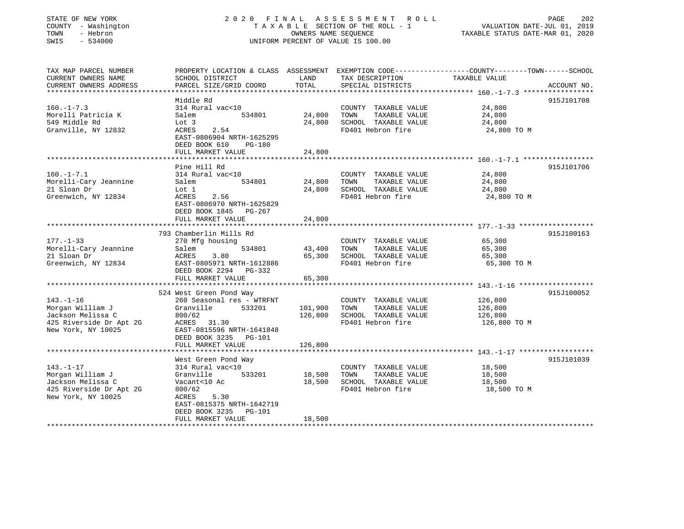| COUNTY - Washington<br>TOWN<br>- Hebron<br>SWIS<br>$-534000$ | TAXABLE SECTION OF THE ROLL - 1<br>OWNERS NAME SEQUENCE<br>UNIFORM PERCENT OF VALUE IS 100.00 |                    |                                               | VALUATION DATE-JUL 01, 2019<br>TAXABLE STATUS DATE-MAR 01, 2020                                                   |  |
|--------------------------------------------------------------|-----------------------------------------------------------------------------------------------|--------------------|-----------------------------------------------|-------------------------------------------------------------------------------------------------------------------|--|
| TAX MAP PARCEL NUMBER<br>CURRENT OWNERS NAME                 | SCHOOL DISTRICT                                                                               | LAND               | TAX DESCRIPTION                               | PROPERTY LOCATION & CLASS ASSESSMENT EXEMPTION CODE----------------COUNTY-------TOWN------SCHOOL<br>TAXABLE VALUE |  |
| CURRENT OWNERS ADDRESS                                       | PARCEL SIZE/GRID COORD                                                                        | TOTAL              | SPECIAL DISTRICTS                             | ACCOUNT NO.                                                                                                       |  |
|                                                              |                                                                                               |                    |                                               |                                                                                                                   |  |
|                                                              | Middle Rd                                                                                     |                    |                                               | 915J101708                                                                                                        |  |
| $160. - 1 - 7.3$<br>Morelli Patricia K                       | 314 Rural vac<10<br>Salem<br>534801                                                           | 24,800             | COUNTY TAXABLE VALUE<br>TAXABLE VALUE<br>TOWN | 24,800<br>24,800                                                                                                  |  |
| 549 Middle Rd                                                | Lot 3                                                                                         | 24,800             | SCHOOL TAXABLE VALUE                          | 24,800                                                                                                            |  |
| Granville, NY 12832                                          | ACRES<br>2.54                                                                                 |                    | FD401 Hebron fire                             | 24,800 TO M                                                                                                       |  |
|                                                              | EAST-0806904 NRTH-1625295                                                                     |                    |                                               |                                                                                                                   |  |
|                                                              | DEED BOOK 610<br>$PG-180$                                                                     |                    |                                               |                                                                                                                   |  |
|                                                              | FULL MARKET VALUE                                                                             | 24,800             |                                               |                                                                                                                   |  |
|                                                              | Pine Hill Rd                                                                                  |                    |                                               | 915J101706                                                                                                        |  |
| $160. - 1 - 7.1$                                             | 314 Rural vac<10                                                                              |                    | COUNTY TAXABLE VALUE                          | 24,800                                                                                                            |  |
| Morelli-Cary Jeannine                                        | Salem<br>534801                                                                               | 24,800             | TOWN<br>TAXABLE VALUE                         | 24,800                                                                                                            |  |
| 21 Sloan Dr                                                  | Lot 1                                                                                         | 24,800             | SCHOOL TAXABLE VALUE                          | 24,800                                                                                                            |  |
| Greenwich, NY 12834                                          | ACRES<br>2.56                                                                                 |                    | FD401 Hebron fire                             | 24,800 TO M                                                                                                       |  |
|                                                              | EAST-0806970 NRTH-1625829                                                                     |                    |                                               |                                                                                                                   |  |
|                                                              | DEED BOOK 1845 PG-267<br>FULL MARKET VALUE                                                    | 24,800             |                                               |                                                                                                                   |  |
|                                                              |                                                                                               |                    |                                               |                                                                                                                   |  |
|                                                              | 793 Chamberlin Mills Rd                                                                       |                    |                                               | 915J100163                                                                                                        |  |
| $177. - 1 - 33$                                              | 270 Mfg housing                                                                               |                    | COUNTY TAXABLE VALUE                          | 65,300                                                                                                            |  |
| Morelli-Cary Jeannine                                        | Salem<br>534801                                                                               | 43,400             | TAXABLE VALUE<br>TOWN                         | 65,300                                                                                                            |  |
| 21 Sloan Dr                                                  | 3.80<br>ACRES                                                                                 | 65,300             | SCHOOL TAXABLE VALUE<br>FD401 Hebron fire     | 65,300                                                                                                            |  |
| Greenwich, NY 12834                                          | EAST-0805971 NRTH-1612886<br>DEED BOOK 2294 PG-332                                            |                    |                                               | 65,300 TO M                                                                                                       |  |
|                                                              | FULL MARKET VALUE                                                                             | 65,300             |                                               |                                                                                                                   |  |
|                                                              |                                                                                               |                    |                                               |                                                                                                                   |  |
|                                                              | 524 West Green Pond Way                                                                       |                    |                                               | 915J100052                                                                                                        |  |
| $143. - 1 - 16$                                              | 260 Seasonal res - WTRFNT                                                                     |                    | COUNTY TAXABLE VALUE                          | 126,800                                                                                                           |  |
| Morgan William J<br>Jackson Melissa C                        | Granville<br>533201<br>800/62                                                                 | 101,900<br>126,800 | TAXABLE VALUE<br>TOWN<br>SCHOOL TAXABLE VALUE | 126,800<br>126,800                                                                                                |  |
| 425 Riverside Dr Apt 2G                                      | ACRES 31.30                                                                                   |                    | FD401 Hebron fire                             | 126,800 TO M                                                                                                      |  |
| New York, NY 10025                                           | EAST-0815596 NRTH-1641848                                                                     |                    |                                               |                                                                                                                   |  |
|                                                              | DEED BOOK 3235 PG-101                                                                         |                    |                                               |                                                                                                                   |  |
|                                                              | FULL MARKET VALUE                                                                             | 126,800            |                                               |                                                                                                                   |  |
|                                                              |                                                                                               |                    |                                               |                                                                                                                   |  |
| $143. - 1 - 17$                                              | West Green Pond Way<br>314 Rural vac<10                                                       |                    | COUNTY TAXABLE VALUE                          | 915J101039<br>18,500                                                                                              |  |
| Morgan William J                                             | Granville<br>533201                                                                           | 18,500             | TOWN<br>TAXABLE VALUE                         | 18,500                                                                                                            |  |
| Jackson Melissa C                                            | Vacant<10 Ac                                                                                  | 18,500             | SCHOOL TAXABLE VALUE                          | 18,500                                                                                                            |  |
| 425 Riverside Dr Apt 2G                                      | 800/62                                                                                        |                    | FD401 Hebron fire                             | 18,500 TO M                                                                                                       |  |
| New York, NY 10025                                           | 5.30<br>ACRES                                                                                 |                    |                                               |                                                                                                                   |  |
|                                                              | EAST-0815375 NRTH-1642719<br>DEED BOOK 3235<br>PG-101                                         |                    |                                               |                                                                                                                   |  |

\*\*\*\*\*\*\*\*\*\*\*\*\*\*\*\*\*\*\*\*\*\*\*\*\*\*\*\*\*\*\*\*\*\*\*\*\*\*\*\*\*\*\*\*\*\*\*\*\*\*\*\*\*\*\*\*\*\*\*\*\*\*\*\*\*\*\*\*\*\*\*\*\*\*\*\*\*\*\*\*\*\*\*\*\*\*\*\*\*\*\*\*\*\*\*\*\*\*\*\*\*\*\*\*\*\*\*\*\*\*\*\*\*\*\*\*\*\*\*\*\*\*\*\*\*\*\*\*\*\*\*\*

PAGE 202

STATE OF NEW YORK 2020 FINAL ASSESSMENT ROLL

FULL MARKET VALUE 18,500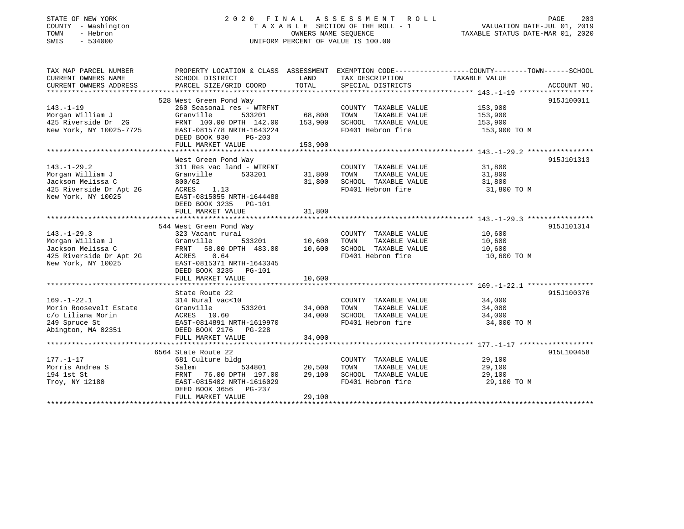### STATE OF NEW YORK 2 0 2 0 F I N A L A S S E S S M E N T R O L L PAGE 203 COUNTY - Washington T A X A B L E SECTION OF THE ROLL - 1 VALUATION DATE-JUL 01, 2019 TOWN - Hebron OWNERS NAME SEQUENCE TAXABLE STATUS DATE-MAR 01, 2020 SWIS - 534000 UNIFORM PERCENT OF VALUE IS 100.00

| TAX MAP PARCEL NUMBER<br>CURRENT OWNERS NAME<br>CURRENT OWNERS ADDRESS | SCHOOL DISTRICT<br>PARCEL SIZE/GRID COORD | LAND<br>TOTAL | TAX DESCRIPTION<br>SPECIAL DISTRICTS | PROPERTY LOCATION & CLASS ASSESSMENT EXEMPTION CODE---------------COUNTY-------TOWN------SCHOOL<br>TAXABLE VALUE<br>ACCOUNT NO. |
|------------------------------------------------------------------------|-------------------------------------------|---------------|--------------------------------------|---------------------------------------------------------------------------------------------------------------------------------|
|                                                                        |                                           |               |                                      |                                                                                                                                 |
|                                                                        | 528 West Green Pond Way                   |               |                                      | 915J100011                                                                                                                      |
| $143. - 1 - 19$                                                        | 260 Seasonal res - WTRFNT                 |               | COUNTY TAXABLE VALUE                 | 153,900                                                                                                                         |
| Morgan William J                                                       | Granville<br>533201                       | 68,800        | TOWN<br>TAXABLE VALUE                | 153,900                                                                                                                         |
| 425 Riverside Dr 2G                                                    | FRNT 100.00 DPTH 142.00                   | 153,900       | SCHOOL TAXABLE VALUE                 | 153,900                                                                                                                         |
| New York, NY 10025-7725                                                | EAST-0815778 NRTH-1643224                 |               | FD401 Hebron fire                    | 153,900 TO M                                                                                                                    |
|                                                                        | DEED BOOK 930<br>PG-203                   |               |                                      |                                                                                                                                 |
|                                                                        | FULL MARKET VALUE                         | 153,900       |                                      |                                                                                                                                 |
|                                                                        |                                           |               |                                      |                                                                                                                                 |
|                                                                        | West Green Pond Way                       |               |                                      | 915J101313                                                                                                                      |
| $143. - 1 - 29.2$                                                      | 311 Res vac land - WTRFNT                 |               | COUNTY TAXABLE VALUE                 | 31,800                                                                                                                          |
| Morgan William J                                                       | Granville<br>533201                       | 31,800        | TOWN<br>TAXABLE VALUE                | 31,800                                                                                                                          |
| Jackson Melissa C                                                      | 800/62                                    | 31,800        | SCHOOL TAXABLE VALUE                 | 31,800                                                                                                                          |
| 425 Riverside Dr Apt 2G                                                | ACRES<br>1.13                             |               | FD401 Hebron fire                    | 31,800 TO M                                                                                                                     |
| New York, NY 10025                                                     | EAST-0815055 NRTH-1644488                 |               |                                      |                                                                                                                                 |
|                                                                        | DEED BOOK 3235 PG-101                     |               |                                      |                                                                                                                                 |
|                                                                        | FULL MARKET VALUE                         | 31,800        |                                      |                                                                                                                                 |
|                                                                        |                                           |               |                                      |                                                                                                                                 |
|                                                                        | 544 West Green Pond Way                   |               |                                      | 915J101314                                                                                                                      |
| $143. - 1 - 29.3$                                                      | 323 Vacant rural                          |               | COUNTY TAXABLE VALUE                 | 10,600                                                                                                                          |
| Morgan William J                                                       | Granville<br>533201                       | 10,600        | TAXABLE VALUE<br>TOWN                | 10,600                                                                                                                          |
| Jackson Melissa C                                                      | FRNT 58.00 DPTH 483.00                    | 10,600        | SCHOOL TAXABLE VALUE                 | 10,600                                                                                                                          |
| 425 Riverside Dr Apt 2G                                                | ACRES 0.64                                |               | FD401 Hebron fire                    | 10,600 TO M                                                                                                                     |
| New York, NY 10025                                                     | EAST-0815371 NRTH-1643345                 |               |                                      |                                                                                                                                 |
|                                                                        | DEED BOOK 3235 PG-101                     |               |                                      |                                                                                                                                 |
|                                                                        | FULL MARKET VALUE                         | 10,600        |                                      |                                                                                                                                 |
|                                                                        |                                           |               |                                      |                                                                                                                                 |
|                                                                        | State Route 22                            |               |                                      | 915J100376                                                                                                                      |
| $169. - 1 - 22.1$                                                      | 314 Rural vac<10                          |               | COUNTY TAXABLE VALUE                 | 34,000                                                                                                                          |
| Morin Roosevelt Estate                                                 | Granville<br>533201                       | 34,000        | TOWN<br>TAXABLE VALUE                | 34,000                                                                                                                          |
| c/o Liliana Morin                                                      | ACRES 10.60                               | 34,000        | SCHOOL TAXABLE VALUE                 | 34,000                                                                                                                          |
| 249 Spruce St                                                          | EAST-0814891 NRTH-1619970                 |               | FD401 Hebron fire                    | 34,000 TO M                                                                                                                     |
| Abington, MA 02351                                                     | DEED BOOK 2176<br>PG-228                  |               |                                      |                                                                                                                                 |
|                                                                        | FULL MARKET VALUE                         | 34,000        |                                      |                                                                                                                                 |
|                                                                        |                                           |               |                                      |                                                                                                                                 |
|                                                                        | 6564 State Route 22                       |               |                                      | 915L100458                                                                                                                      |
| $177. - 1 - 17$                                                        | 681 Culture bldg                          |               | COUNTY TAXABLE VALUE                 | 29,100                                                                                                                          |
| Morris Andrea S                                                        | Salem<br>534801                           | 20,500        | TAXABLE VALUE<br>TOWN                | 29,100                                                                                                                          |
| 194 1st St                                                             | FRNT 76.00 DPTH 197.00                    | 29,100        | SCHOOL TAXABLE VALUE                 | 29,100                                                                                                                          |
| Troy, NY 12180                                                         | EAST-0815402 NRTH-1616029                 |               | FD401 Hebron fire                    | 29,100 TO M                                                                                                                     |
|                                                                        | DEED BOOK 3656 PG-237                     |               |                                      |                                                                                                                                 |
|                                                                        | FULL MARKET VALUE                         | 29,100        |                                      |                                                                                                                                 |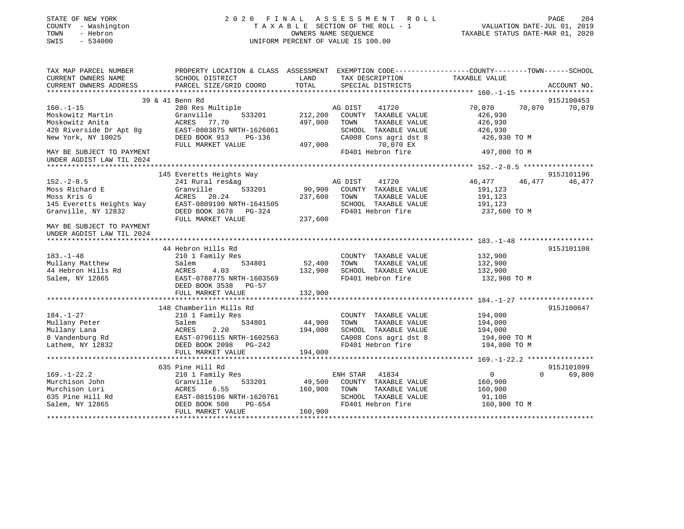| T A X A B L E SECTION OF THE ROLL - 1<br>OWNERS NAME SEOUENCE<br>VALUATION DATE-JUL 01, 2019<br>COUNTY - Washington<br>TOWN<br>- Hebron<br>OWNERS NAME SEQUENCE<br>TAXABLE STATUS DATE-MAR 01, 2020<br>SWIS<br>$-534000$<br>UNIFORM PERCENT OF VALUE IS 100.00 |             |
|----------------------------------------------------------------------------------------------------------------------------------------------------------------------------------------------------------------------------------------------------------------|-------------|
| TAX MAP PARCEL NUMBER<br>PROPERTY LOCATION & CLASS ASSESSMENT EXEMPTION CODE----------------COUNTY-------TOWN------SCHOOL<br>CURRENT OWNERS NAME<br>SCHOOL DISTRICT<br>LAND<br>TAXABLE VALUE<br>TAX DESCRIPTION                                                |             |
| TOTAL<br>CURRENT OWNERS ADDRESS<br>PARCEL SIZE/GRID COORD<br>SPECIAL DISTRICTS                                                                                                                                                                                 | ACCOUNT NO. |
| 39 & 41 Benn Rd                                                                                                                                                                                                                                                | 915J100453  |
| $160. - 1 - 15$<br>280 Res Multiple<br>70,070<br>70,070<br>AG DIST<br>41720                                                                                                                                                                                    | 70,070      |
| Moskowitz Martin<br>Granville<br>533201<br>212,200<br>COUNTY TAXABLE VALUE<br>426,930                                                                                                                                                                          |             |
| 497,000<br>Moskowitz Anita<br>ACRES<br>77.70<br>TOWN<br>TAXABLE VALUE<br>426,930                                                                                                                                                                               |             |
| 420 Riverside Dr Apt 8q<br>EAST-0803875 NRTH-1626061<br>SCHOOL TAXABLE VALUE<br>426,930                                                                                                                                                                        |             |
| New York, NY 10025<br>DEED BOOK 913<br>PG-136<br>CA008 Cons agri dst 8<br>426,930 TO M                                                                                                                                                                         |             |
| 70,070 EX<br>497,000<br>FULL MARKET VALUE                                                                                                                                                                                                                      |             |
| FD401 Hebron fire<br>MAY BE SUBJECT TO PAYMENT<br>497,000 TO M<br>UNDER AGDIST LAW TIL 2024                                                                                                                                                                    |             |
|                                                                                                                                                                                                                                                                |             |
| 145 Everetts Heights Way                                                                                                                                                                                                                                       | 915J101196  |
| $152. - 2 - 8.5$<br>241 Rural res&ag<br>AG DIST<br>41720<br>46,477<br>46,477                                                                                                                                                                                   | 46,477      |
| Moss Richard E<br>Granville<br>90,900<br>533201<br>COUNTY TAXABLE VALUE<br>191,123                                                                                                                                                                             |             |
| Moss Kris G<br>ACRES 20.24<br>237,600<br>TOWN<br>TAXABLE VALUE<br>191,123                                                                                                                                                                                      |             |
| 145 Everetts Heights Way<br>EAST-0809190 NRTH-1641505<br>SCHOOL TAXABLE VALUE<br>191,123                                                                                                                                                                       |             |
| Granville, NY 12832<br>DEED BOOK 3678 PG-324<br>FD401 Hebron fire<br>237,600 TO M                                                                                                                                                                              |             |
| FULL MARKET VALUE<br>237,600                                                                                                                                                                                                                                   |             |
| MAY BE SUBJECT TO PAYMENT                                                                                                                                                                                                                                      |             |
| UNDER AGDIST LAW TIL 2024<br>****************************                                                                                                                                                                                                      |             |
| 44 Hebron Hills Rd                                                                                                                                                                                                                                             | 915J101108  |
| $183. - 1 - 48$<br>210 1 Family Res<br>COUNTY TAXABLE VALUE<br>132,900                                                                                                                                                                                         |             |
| Mullany Matthew<br>Salem<br>534801<br>52,400<br>TOWN<br>TAXABLE VALUE<br>132,900                                                                                                                                                                               |             |
| 44 Hebron Hills Rd<br>ACRES<br>4.03<br>132,900<br>SCHOOL TAXABLE VALUE<br>132,900                                                                                                                                                                              |             |
| Salem, NY 12865<br>EAST-0788775 NRTH-1603569<br>FD401 Hebron fire<br>132,900 TO M                                                                                                                                                                              |             |
| DEED BOOK 3538 PG-57                                                                                                                                                                                                                                           |             |
| FULL MARKET VALUE<br>132,900                                                                                                                                                                                                                                   |             |
|                                                                                                                                                                                                                                                                |             |
| 148 Chamberlin Mills Rd                                                                                                                                                                                                                                        | 915J100647  |
| $184. - 1 - 27$<br>210 1 Family Res<br>COUNTY TAXABLE VALUE<br>194,000                                                                                                                                                                                         |             |
| Mullany Peter<br>534801<br>44,900<br>TAXABLE VALUE<br>194,000<br>Salem<br>TOWN                                                                                                                                                                                 |             |
| Mullany Lana<br>194,000<br>SCHOOL TAXABLE VALUE<br>ACRES<br>2.20<br>194,000                                                                                                                                                                                    |             |
| 8 Vandenburg Rd<br>CA008 Cons agri dst 8<br>EAST-0796115 NRTH-1602563<br>194,000 TO M                                                                                                                                                                          |             |
| Lathem, NY 12832<br>FD401 Hebron fire<br>194,000 TO M<br>DEED BOOK 2098 PG-242                                                                                                                                                                                 |             |
| FULL MARKET VALUE<br>194,000                                                                                                                                                                                                                                   |             |
| 635 Pine Hill Rd                                                                                                                                                                                                                                               | 915J101099  |
| $169. - 1 - 22.2$<br>41834<br>$\overline{0}$<br>$\Omega$<br>210 1 Family Res<br>ENH STAR                                                                                                                                                                       | 69,800      |
| Murchison John<br>Granville<br>533201<br>49,500<br>COUNTY TAXABLE VALUE<br>160,900                                                                                                                                                                             |             |
| Murchison Lori<br>160,900<br>ACRES<br>6.55<br>TOWN<br>TAXABLE VALUE<br>160,900                                                                                                                                                                                 |             |
| 635 Pine Hill Rd<br>SCHOOL TAXABLE VALUE<br>EAST-0815196 NRTH-1620761<br>91,100                                                                                                                                                                                |             |
| FD401 Hebron fire<br>Salem, NY 12865<br>DEED BOOK 500<br>PG-654<br>160,900 TO M                                                                                                                                                                                |             |
| FULL MARKET VALUE<br>160,900                                                                                                                                                                                                                                   |             |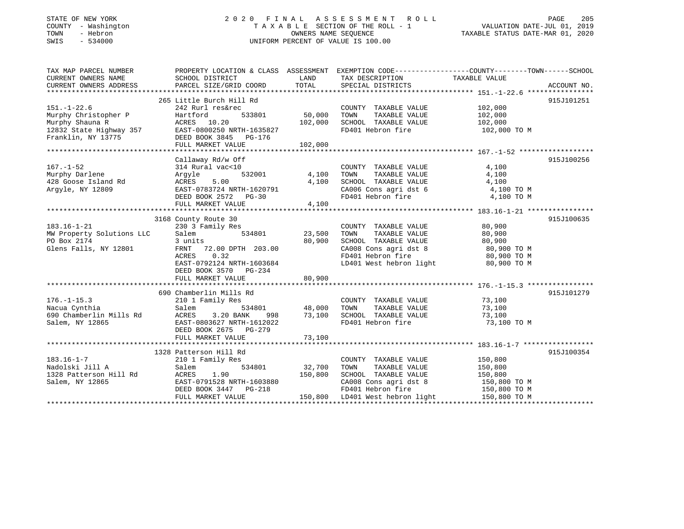### STATE OF NEW YORK 2 0 2 0 F I N A L A S S E S S M E N T R O L L PAGE 205 COUNTY - Washington T A X A B L E SECTION OF THE ROLL - 1 VALUATION DATE-JUL 01, 2019 TOWN - Hebron OWNERS NAME SEQUENCE TAXABLE STATUS DATE-MAR 01, 2020 SWIS - 534000 UNIFORM PERCENT OF VALUE IS 100.00

| TAX MAP PARCEL NUMBER                                       | PROPERTY LOCATION & CLASS ASSESSMENT EXEMPTION CODE----------------COUNTY-------TOWN------SCHOOL                                                                                                                                                                                                                                                                                                                                                             |                     |                                                                                                      |                    |            |
|-------------------------------------------------------------|--------------------------------------------------------------------------------------------------------------------------------------------------------------------------------------------------------------------------------------------------------------------------------------------------------------------------------------------------------------------------------------------------------------------------------------------------------------|---------------------|------------------------------------------------------------------------------------------------------|--------------------|------------|
| CURRENT OWNERS NAME                                         | SCHOOL DISTRICT                                                                                                                                                                                                                                                                                                                                                                                                                                              | LAND                | TAX DESCRIPTION TAXABLE VALUE                                                                        |                    |            |
|                                                             | $\begin{minipage}{0.5cm} \begin{minipage}{0.5cm} \begin{minipage}{0.5cm} \begin{minipage}{0.5cm} \begin{minipage}{0.5cm} \begin{minipage}{0.5cm} \begin{minipage}{0.5cm} \begin{minipage}{0.5cm} \begin{minipage}{0.5cm} \begin{minipage}{0.5cm} \begin{minipage}{0.5cm} \begin{minipage}{0.5cm} \begin{minipage}{0.5cm} \begin{minipage}{0.5cm} \begin{minipage}{0.5cm} \begin{minipage}{0.5cm} \begin{minipage}{0.5cm} \begin{minipage}{0.5cm} \begin{min$ |                     |                                                                                                      |                    |            |
|                                                             |                                                                                                                                                                                                                                                                                                                                                                                                                                                              |                     |                                                                                                      |                    |            |
|                                                             | 265 Little Burch Hill Rd                                                                                                                                                                                                                                                                                                                                                                                                                                     |                     |                                                                                                      |                    | 915J101251 |
| $151. - 1 - 22.6$                                           | 242 Rurl res&rec                                                                                                                                                                                                                                                                                                                                                                                                                                             |                     | COUNTY TAXABLE VALUE                                                                                 | 102,000<br>102,000 |            |
| Murphy Christopher P                                        |                                                                                                                                                                                                                                                                                                                                                                                                                                                              |                     | TAXABLE VALUE<br>TOWN                                                                                |                    |            |
|                                                             |                                                                                                                                                                                                                                                                                                                                                                                                                                                              | 102,000             | SCHOOL TAXABLE VALUE 102,000                                                                         |                    |            |
|                                                             |                                                                                                                                                                                                                                                                                                                                                                                                                                                              |                     | FD401 Hebron fire                                                                                    | 102,000 TO M       |            |
|                                                             | Murphy Christopher P Hartford 533801 50,000<br>Murphy Shauna R ACRES 10.20 102,000<br>102,000<br>102,000<br>Franklin, NY 13775 DEED BOOK 3845 PG-176<br>FULL MARKET VALUE 102,000                                                                                                                                                                                                                                                                            |                     |                                                                                                      |                    |            |
|                                                             |                                                                                                                                                                                                                                                                                                                                                                                                                                                              |                     |                                                                                                      |                    |            |
|                                                             |                                                                                                                                                                                                                                                                                                                                                                                                                                                              |                     |                                                                                                      |                    |            |
|                                                             | Callaway Rd/w Off                                                                                                                                                                                                                                                                                                                                                                                                                                            |                     |                                                                                                      |                    | 915J100256 |
| $167. - 1 - 52$                                             | 314 Rural vac<10                                                                                                                                                                                                                                                                                                                                                                                                                                             | COUNT<br>4,100 TOWN | COUNTY TAXABLE VALUE                                                                                 | 4,100              |            |
| Murphy Darlene                                              | 532001<br>Arqyle                                                                                                                                                                                                                                                                                                                                                                                                                                             |                     | TAXABLE VALUE                                                                                        | 4,100              |            |
|                                                             | ACRES 5.00                                                                                                                                                                                                                                                                                                                                                                                                                                                   | 4,100               | SCHOOL TAXABLE VALUE                                                                                 | 4,100              |            |
| 428 Goose Island Rd<br>Argyle. NY 12800<br>Argyle, NY 12809 | EAST-0783724 NRTH-1620791                                                                                                                                                                                                                                                                                                                                                                                                                                    |                     | CA006 Cons agri dst 6 4,100 TO M                                                                     |                    |            |
|                                                             | DEED BOOK 2572 PG-30                                                                                                                                                                                                                                                                                                                                                                                                                                         |                     | FD401 Hebron fire                                                                                    | 4,100 TO M         |            |
|                                                             | FULL MARKET VALUE                                                                                                                                                                                                                                                                                                                                                                                                                                            | 4,100               |                                                                                                      |                    |            |
|                                                             |                                                                                                                                                                                                                                                                                                                                                                                                                                                              |                     |                                                                                                      |                    |            |
|                                                             | 3168 County Route 30                                                                                                                                                                                                                                                                                                                                                                                                                                         |                     |                                                                                                      |                    | 915J100635 |
| $183.16 - 1 - 21$                                           | 230 3 Family Res                                                                                                                                                                                                                                                                                                                                                                                                                                             |                     | COUNTY TAXABLE VALUE                                                                                 | 80,900             |            |
| MW Property Solutions LLC                                   | 534801 23,500<br>Salem                                                                                                                                                                                                                                                                                                                                                                                                                                       |                     | TOWN<br>TAXABLE VALUE                                                                                | 80,900             |            |
| PO Box 2174                                                 | 3 units                                                                                                                                                                                                                                                                                                                                                                                                                                                      | 80,900              | SCHOOL TAXABLE VALUE                                                                                 | 80,900             |            |
| Glens Falls, NY 12801                                       | FRNT 72.00 DPTH 203.00                                                                                                                                                                                                                                                                                                                                                                                                                                       |                     | CA008 Cons agri dst 8 80,900 TO M                                                                    |                    |            |
|                                                             | ACRES 0.32                                                                                                                                                                                                                                                                                                                                                                                                                                                   |                     |                                                                                                      | 80,900 TO M        |            |
|                                                             | EAST-0792124 NRTH-1603684                                                                                                                                                                                                                                                                                                                                                                                                                                    |                     | FD401 Hebron fire<br>LD401 West hebron light                                                         | 80,900 TO M        |            |
|                                                             | DEED BOOK 3570 PG-234                                                                                                                                                                                                                                                                                                                                                                                                                                        |                     |                                                                                                      |                    |            |
|                                                             | FULL MARKET VALUE                                                                                                                                                                                                                                                                                                                                                                                                                                            | 80,900              |                                                                                                      |                    |            |
|                                                             |                                                                                                                                                                                                                                                                                                                                                                                                                                                              |                     |                                                                                                      |                    |            |
|                                                             | 690 Chamberlin Mills Rd                                                                                                                                                                                                                                                                                                                                                                                                                                      |                     |                                                                                                      |                    | 915J101279 |
| $176. - 1 - 15.3$                                           | 210 1 Family Res                                                                                                                                                                                                                                                                                                                                                                                                                                             |                     | COUNTY TAXABLE VALUE 73,100                                                                          |                    |            |
| Nacua Cynthia                                               | Salem                                                                                                                                                                                                                                                                                                                                                                                                                                                        | 534801 48,000       | TAXABLE VALUE 73,100<br>TOWN                                                                         |                    |            |
| 690 Chamberlin Mills Rd                                     | 3.20 BANK<br>ACRES                                                                                                                                                                                                                                                                                                                                                                                                                                           | 998 73,100          |                                                                                                      |                    |            |
| Salem, NY 12865                                             | EAST-0803627 NRTH-1612022                                                                                                                                                                                                                                                                                                                                                                                                                                    |                     | SCHOOL TAXABLE VALUE 73,100<br>FD401 Hebron fire 73,100 TO M                                         |                    |            |
|                                                             | DEED BOOK 2675 PG-279                                                                                                                                                                                                                                                                                                                                                                                                                                        |                     |                                                                                                      |                    |            |
|                                                             |                                                                                                                                                                                                                                                                                                                                                                                                                                                              |                     |                                                                                                      |                    |            |
|                                                             |                                                                                                                                                                                                                                                                                                                                                                                                                                                              |                     |                                                                                                      |                    |            |
|                                                             | 1328 Patterson Hill Rd                                                                                                                                                                                                                                                                                                                                                                                                                                       |                     |                                                                                                      |                    | 915J100354 |
| $183.16 - 1 - 7$                                            | 210 1 Family Res                                                                                                                                                                                                                                                                                                                                                                                                                                             |                     |                                                                                                      |                    |            |
| Nadolski Jill A                                             | 534801 32,700<br>Salem                                                                                                                                                                                                                                                                                                                                                                                                                                       |                     | COUNTY TAXABLE VALUE $150,800$<br>- TAXABLE VALUE (150,800                                           |                    |            |
| 1328 Patterson Hill Rd                                      | ACRES 1.90                                                                                                                                                                                                                                                                                                                                                                                                                                                   | 150,800             |                                                                                                      |                    |            |
| Salem, NY 12865                                             | EAST-0791528 NRTH-1603880                                                                                                                                                                                                                                                                                                                                                                                                                                    |                     |                                                                                                      |                    |            |
|                                                             | DEED BOOK 3447 PG-218                                                                                                                                                                                                                                                                                                                                                                                                                                        |                     | SCHOOL TAXABLE VALUE 150,800<br>CA008 Cons agri dst 8 150,800 TO M<br>FD401 Hebron fire 150,800 TO M |                    |            |
|                                                             | FULL MARKET VALUE                                                                                                                                                                                                                                                                                                                                                                                                                                            |                     | 150,800 LD401 West hebron light 150,800 TO M                                                         |                    |            |
|                                                             |                                                                                                                                                                                                                                                                                                                                                                                                                                                              |                     |                                                                                                      |                    |            |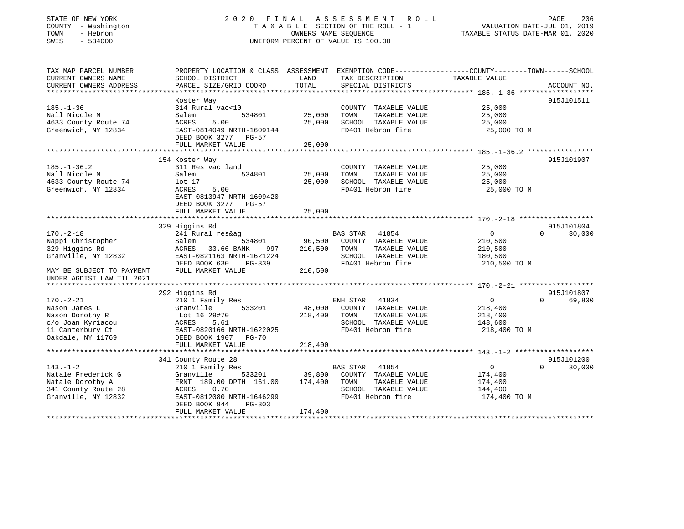### STATE OF NEW YORK 2 0 2 0 F I N A L A S S E S S M E N T R O L L PAGE 206 COUNTY - Washington T A X A B L E SECTION OF THE ROLL - 1 VALUATION DATE-JUL 01, 2019 TOWN - Hebron OWNERS NAME SEQUENCE TAXABLE STATUS DATE-MAR 01, 2020 SWIS - 534000 UNIFORM PERCENT OF VALUE IS 100.00

| TAX MAP PARCEL NUMBER     | PROPERTY LOCATION & CLASS ASSESSMENT |         |                          | EXEMPTION CODE-----------------COUNTY-------TOWN------SCHOOL |                    |
|---------------------------|--------------------------------------|---------|--------------------------|--------------------------------------------------------------|--------------------|
| CURRENT OWNERS NAME       | SCHOOL DISTRICT                      | LAND    | TAX DESCRIPTION          | TAXABLE VALUE                                                |                    |
| CURRENT OWNERS ADDRESS    | PARCEL SIZE/GRID COORD               | TOTAL   | SPECIAL DISTRICTS        |                                                              | ACCOUNT NO.        |
|                           |                                      |         |                          |                                                              |                    |
|                           | Koster Way                           |         |                          |                                                              | 915J101511         |
| $185. - 1 - 36$           | 314 Rural vac<10                     |         | COUNTY TAXABLE VALUE     | 25,000                                                       |                    |
| Nall Nicole M             | 534801<br>Salem                      | 25,000  | TOWN<br>TAXABLE VALUE    | 25,000                                                       |                    |
| 4633 County Route 74      | 5.00<br>ACRES                        | 25,000  | SCHOOL TAXABLE VALUE     | 25,000                                                       |                    |
| Greenwich, NY 12834       | EAST-0814049 NRTH-1609144            |         | FD401 Hebron fire        | 25,000 TO M                                                  |                    |
|                           | DEED BOOK 3277 PG-57                 |         |                          |                                                              |                    |
|                           | FULL MARKET VALUE                    | 25,000  |                          |                                                              |                    |
|                           |                                      |         |                          |                                                              |                    |
|                           | 154 Koster Way                       |         |                          |                                                              | 915J101907         |
| $185. - 1 - 36.2$         | 311 Res vac land                     |         | COUNTY TAXABLE VALUE     | 25,000                                                       |                    |
| Nall Nicole M             | 534801<br>Salem                      | 25,000  | TAXABLE VALUE<br>TOWN    | 25,000                                                       |                    |
| 4633 County Route 74      | lot 17                               | 25,000  | SCHOOL TAXABLE VALUE     | 25,000                                                       |                    |
| Greenwich, NY 12834       | ACRES<br>5.00                        |         | FD401 Hebron fire        | 25,000 TO M                                                  |                    |
|                           | EAST-0813947 NRTH-1609420            |         |                          |                                                              |                    |
|                           | DEED BOOK 3277 PG-57                 |         |                          |                                                              |                    |
|                           | FULL MARKET VALUE                    | 25,000  |                          |                                                              |                    |
|                           |                                      |         |                          |                                                              |                    |
|                           | 329 Higgins Rd                       |         |                          |                                                              | 915J101804         |
| $170. - 2 - 18$           | 241 Rural res&ag                     |         | <b>BAS STAR</b><br>41854 | $\Omega$                                                     | $\Omega$<br>30,000 |
| Nappi Christopher         | 534801<br>Salem                      | 90,500  | COUNTY TAXABLE VALUE     | 210,500                                                      |                    |
| 329 Higgins Rd            | 33.66 BANK<br>ACRES<br>997           | 210,500 | TOWN<br>TAXABLE VALUE    | 210,500                                                      |                    |
| Granville, NY 12832       | EAST-0821163 NRTH-1621224            |         | SCHOOL TAXABLE VALUE     | 180,500                                                      |                    |
|                           | DEED BOOK 630<br>PG-339              |         | FD401 Hebron fire        | 210,500 TO M                                                 |                    |
| MAY BE SUBJECT TO PAYMENT | FULL MARKET VALUE                    | 210,500 |                          |                                                              |                    |
| UNDER AGDIST LAW TIL 2021 |                                      |         |                          |                                                              |                    |
|                           |                                      |         |                          |                                                              |                    |
|                           | 292 Higgins Rd                       |         |                          |                                                              | 915J101807         |
| $170. - 2 - 21$           | 210 1 Family Res                     |         | ENH STAR<br>41834        | $\overline{0}$                                               | 69,800<br>$\Omega$ |
| Nason James L             | 533201<br>Granville                  | 48,000  | COUNTY TAXABLE VALUE     | 218,400                                                      |                    |
| Nason Dorothy R           | Lot 16 29#70                         | 218,400 | TOWN<br>TAXABLE VALUE    | 218,400                                                      |                    |
| c/o Joan Kyriacou         | 5.61<br>ACRES                        |         | SCHOOL TAXABLE VALUE     | 148,600                                                      |                    |
| 11 Canterbury Ct          | EAST-0820166 NRTH-1622025            |         | FD401 Hebron fire        | 218,400 TO M                                                 |                    |
| Oakdale, NY 11769         | DEED BOOK 1907 PG-70                 |         |                          |                                                              |                    |
|                           | FULL MARKET VALUE                    | 218,400 |                          |                                                              |                    |
|                           |                                      |         |                          |                                                              |                    |
|                           | 341 County Route 28                  |         |                          |                                                              | 915J101200         |
| $143. - 1 - 2$            | 210 1 Family Res                     |         | 41854<br>BAS STAR        | $\overline{0}$                                               | 30,000<br>$\Omega$ |
| Natale Frederick G        | 533201<br>Granville                  | 39,800  | COUNTY TAXABLE VALUE     | 174,400                                                      |                    |
| Natale Dorothy A          | FRNT 189.00 DPTH 161.00              | 174,400 | TAXABLE VALUE<br>TOWN    | 174,400                                                      |                    |
| 341 County Route 28       | 0.70<br>ACRES                        |         | SCHOOL TAXABLE VALUE     | 144,400                                                      |                    |
| Granville, NY 12832       | EAST-0812080 NRTH-1646299            |         | FD401 Hebron fire        | 174,400 TO M                                                 |                    |
|                           | DEED BOOK 944<br>$PG-303$            |         |                          |                                                              |                    |
|                           | FULL MARKET VALUE                    | 174,400 |                          |                                                              |                    |
|                           |                                      |         |                          |                                                              |                    |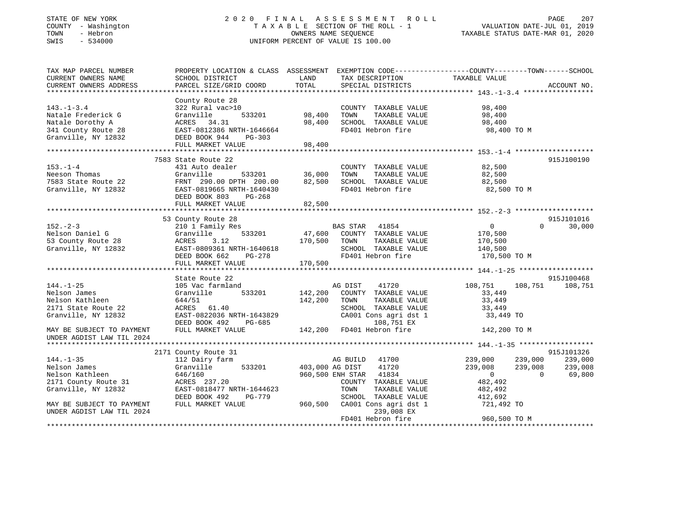### STATE OF NEW YORK 2 0 2 0 F I N A L A S S E S S M E N T R O L L PAGE 207 COUNTY - Washington T A X A B L E SECTION OF THE ROLL - 1 VALUATION DATE-JUL 01, 2019 TOWN - Hebron OWNERS NAME SEQUENCE TAXABLE STATUS DATE-MAR 01, 2020 SWIS - 534000 UNIFORM PERCENT OF VALUE IS 100.00

| TAX MAP PARCEL NUMBER<br>CURRENT OWNERS NAME<br>CURRENT OWNERS ADDRESS                                   | SCHOOL DISTRICT<br>PARCEL SIZE/GRID COORD                                                                                                                        | LAND<br>TOTAL                     | TAX DESCRIPTION<br>SPECIAL DISTRICTS                                                                                             | PROPERTY LOCATION & CLASS ASSESSMENT EXEMPTION CODE----------------COUNTY-------TOWN------SCHOOL<br>TAXABLE VALUE | ACCOUNT NO.                  |
|----------------------------------------------------------------------------------------------------------|------------------------------------------------------------------------------------------------------------------------------------------------------------------|-----------------------------------|----------------------------------------------------------------------------------------------------------------------------------|-------------------------------------------------------------------------------------------------------------------|------------------------------|
| $143. - 1 - 3.4$<br>Natale Frederick G<br>Natale Dorothy A<br>341 County Route 28<br>Granville, NY 12832 | County Route 28<br>322 Rural vac>10<br>Granville<br>ACRES 34.31<br>EAST-0812386 NRTH-1646664<br>DEED BOOK 944 PG-303<br>FULL MARKET VALUE                        | 533201 98,400<br>98,400<br>98,400 | COUNTY TAXABLE VALUE<br>TOWN<br>TAXABLE VALUE                                                                                    | 98,400<br>98,400                                                                                                  |                              |
|                                                                                                          | 7583 State Route 22                                                                                                                                              |                                   |                                                                                                                                  |                                                                                                                   | 915J100190                   |
| $153. - 1 - 4$<br>Neeson Thomas<br>7583 State Route 22<br>Granville, NY 12832                            | 431 Auto dealer<br>Granville<br>FRNT 290.00 DPTH 200.00 82,500<br>EAST-0819665 NRTH-1640430<br>DEED BOOK 803<br>PG-268<br>FULL MARKET VALUE                      | 533201 36,000<br>82,500           | COUNTY TAXABLE VALUE<br>TAXABLE VALUE<br>TOWN<br>SCHOOL TAXABLE VALUE<br>FD401 Hebron fire                                       | 82,500<br>82,500<br>82,500<br>82,500 TO M                                                                         |                              |
|                                                                                                          |                                                                                                                                                                  |                                   |                                                                                                                                  |                                                                                                                   |                              |
| $152 - 2 - 3$<br>Nelson Daniel G<br>53 County Route 28<br>Granville, NY 12832                            | 53 County Route 28<br>210 1 Family Res<br>533201<br>Granville<br>3.12<br>ACRES<br>EAST-0809361 NRTH-1640618<br>DEED BOOK 662 PG-278<br>FULL MARKET VALUE 170,500 | 170,500 TOWN                      | <b>BAS STAR</b><br>41854<br>47,600 COUNTY TAXABLE VALUE<br>TAXABLE VALUE<br>SCHOOL TAXABLE VALUE<br>FD401 Hebron fire            | $\overline{0}$<br>$\Omega$<br>170,500<br>170,500<br>140,500<br>170,500 TO M                                       | 915J101016<br>30,000         |
|                                                                                                          |                                                                                                                                                                  |                                   |                                                                                                                                  |                                                                                                                   |                              |
| $144. - 1 - 25$<br>Nelson James<br>Nelson Kathleen<br>2171 State Route 22<br>Granville, NY 12832         | State Route 22<br>105 Vac farmland<br>533201<br>Granville<br>644/51<br>ACRES 61.40<br>EAST-0822036 NRTH-1643829<br>DEED BOOK 492<br>PG-685                       | 142,200<br>142,200                | AG DIST<br>41720<br>COUNTY TAXABLE VALUE<br>TOWN<br>TAXABLE VALUE<br>SCHOOL TAXABLE VALUE<br>CA001 Cons agri dst 1<br>108,751 EX | 108,751<br>108,751<br>33,449<br>33,449<br>33,449<br>33,449 TO                                                     | 915J100468<br>108,751        |
| MAY BE SUBJECT TO PAYMENT                                                                                | FULL MARKET VALUE                                                                                                                                                |                                   | 142,200 FD401 Hebron fire                                                                                                        | 142,200 TO M                                                                                                      |                              |
| UNDER AGDIST LAW TIL 2024                                                                                |                                                                                                                                                                  |                                   |                                                                                                                                  |                                                                                                                   |                              |
|                                                                                                          | 2171 County Route 31                                                                                                                                             |                                   |                                                                                                                                  |                                                                                                                   | 915J101326                   |
| $144. - 1 - 35$<br>Nelson James<br>Nelson Kathleen<br>2171 County Route 31                               | 112 Dairy farm<br>Granville<br>646/160<br>ACRES 237.20                                                                                                           | 533201 403,000 AG DIST            | 41700<br>AG BUILD<br>41720<br>960,500 ENH STAR 41834<br>COUNTY TAXABLE VALUE                                                     | 239,000<br>239,000<br>239,008<br>239,008<br>$\overline{0}$<br>$\Omega$<br>482,492                                 | 239,000<br>239,008<br>69,800 |
| Granville, NY 12832                                                                                      | EAST-0818477 NRTH-1644623                                                                                                                                        |                                   | TOWN<br>TAXABLE VALUE                                                                                                            | 482,492                                                                                                           |                              |
| MAY BE SUBJECT TO PAYMENT<br>UNDER AGDIST LAW TIL 2024                                                   | DEED BOOK 492<br>PG-779<br>FULL MARKET VALUE                                                                                                                     | 960,500                           | SCHOOL TAXABLE VALUE<br>CA001 Cons agri dst 1<br>239,008 EX<br>FD401 Hebron fire                                                 | 412,692<br>721,492 TO<br>960,500 TO M                                                                             |                              |
|                                                                                                          |                                                                                                                                                                  |                                   |                                                                                                                                  |                                                                                                                   |                              |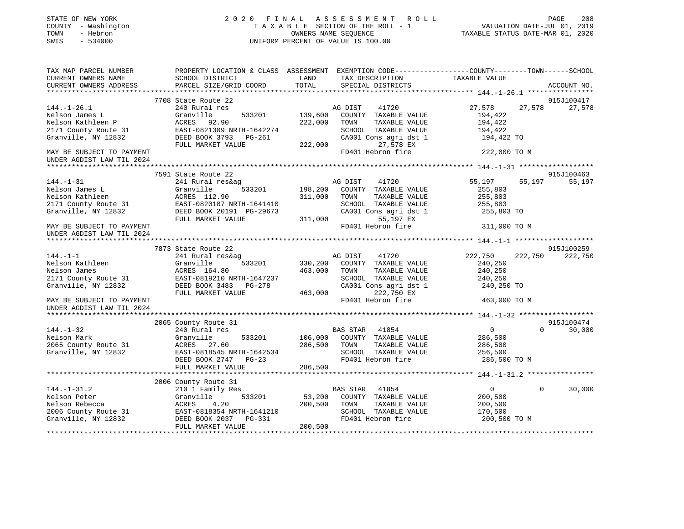| STATE OF NEW YORK<br>COUNTY - Washington<br>TOWN<br>- Hebron<br>SWIS<br>$-534000$ |                                           | 2020 FINAL ASSESSMENT ROLL<br>T A X A B L E SECTION OF THE ROLL - 1<br>OWNERS NAME SEOUENCE<br>UNIFORM PERCENT OF VALUE IS 100.00 | PAGE<br>208<br>VALUATION DATE-JUL 01, 2019<br>TAXABLE STATUS DATE-MAR 01, 2020                                    |
|-----------------------------------------------------------------------------------|-------------------------------------------|-----------------------------------------------------------------------------------------------------------------------------------|-------------------------------------------------------------------------------------------------------------------|
| TAX MAP PARCEL NUMBER<br>CURRENT OWNERS NAME                                      |                                           | LAND                                                                                                                              | PROPERTY LOCATION & CLASS ASSESSMENT EXEMPTION CODE----------------COUNTY-------TOWN------SCHOOL<br>TAXABLE VALUE |
| CURRENT OWNERS ADDRESS                                                            | SCHOOL DISTRICT<br>PARCEL SIZE/GRID COORD | TAX DESCRIPTION<br>TOTAL<br>SPECIAL DISTRICTS                                                                                     | ACCOUNT NO.                                                                                                       |
|                                                                                   |                                           |                                                                                                                                   |                                                                                                                   |
|                                                                                   | 7708 State Route 22                       |                                                                                                                                   | 915J100417                                                                                                        |
| $144. - 1 - 26.1$                                                                 | 240 Rural res                             | AG DIST<br>41720                                                                                                                  | 27,578<br>27,578<br>27,578                                                                                        |
| Nelson James L                                                                    | Granville<br>533201                       | 139,600<br>COUNTY TAXABLE VALUE                                                                                                   | 194,422                                                                                                           |
| Nelson Kathleen P                                                                 | ACRES 92.90                               | 222,000<br>TOWN<br>TAXABLE VALUE                                                                                                  | 194,422                                                                                                           |
| 2171 County Route 31                                                              | EAST-0821309 NRTH-1642274                 | SCHOOL TAXABLE VALUE                                                                                                              | 194,422                                                                                                           |
| Granville, NY 12832                                                               | DEED BOOK 3793 PG-261                     | CA001 Cons agri dst 1                                                                                                             | 194,422 TO                                                                                                        |
|                                                                                   | FULL MARKET VALUE                         | 222,000<br>27,578 EX                                                                                                              |                                                                                                                   |
| MAY BE SUBJECT TO PAYMENT                                                         |                                           | FD401 Hebron fire                                                                                                                 | 222,000 TO M                                                                                                      |
| UNDER AGDIST LAW TIL 2024                                                         |                                           |                                                                                                                                   |                                                                                                                   |
|                                                                                   |                                           |                                                                                                                                   |                                                                                                                   |
|                                                                                   | 7591 State Route 22                       |                                                                                                                                   | 915J100463                                                                                                        |
| $144. - 1 - 31$                                                                   | 241 Rural res&ag                          | AG DIST<br>41720                                                                                                                  | 55,197<br>55,197<br>55,197                                                                                        |
| Nelson James L                                                                    | Granville<br>533201                       | 198,200<br>COUNTY TAXABLE VALUE                                                                                                   | 255,803                                                                                                           |
| Nelson Kathleen                                                                   | ACRES 112.90                              | 311,000<br>TOWN<br>TAXABLE VALUE                                                                                                  | 255,803                                                                                                           |
| 2171 County Route 31                                                              | EAST-0820107 NRTH-1641410                 | SCHOOL TAXABLE VALUE                                                                                                              | 255,803                                                                                                           |
| Granville, NY 12832                                                               | DEED BOOK 20191 PG-29673                  | CA001 Cons agri dst 1                                                                                                             | 255,803 TO                                                                                                        |
|                                                                                   | FULL MARKET VALUE                         | 311,000<br>55,197 EX                                                                                                              |                                                                                                                   |
| MAY BE SUBJECT TO PAYMENT                                                         |                                           | FD401 Hebron fire                                                                                                                 | 311,000 TO M                                                                                                      |
| UNDER AGDIST LAW TIL 2024<br>*********************                                |                                           |                                                                                                                                   |                                                                                                                   |
|                                                                                   | 7873 State Route 22                       |                                                                                                                                   | 915J100259                                                                                                        |
| $144. - 1 - 1$                                                                    | 241 Rural res&ag                          | AG DIST<br>41720                                                                                                                  | 222,750<br>222,750<br>222,750                                                                                     |
| Nelson Kathleen                                                                   | Granville<br>533201                       | 330,200<br>COUNTY TAXABLE VALUE                                                                                                   | 240,250                                                                                                           |
| Nelson James                                                                      | ACRES 164.80                              | 463,000<br>TOWN<br>TAXABLE VALUE                                                                                                  | 240,250                                                                                                           |
| 2171 County Route 31                                                              | EAST-0819210 NRTH-1647237                 | SCHOOL TAXABLE VALUE                                                                                                              | 240,250                                                                                                           |
| Granville, NY 12832                                                               | DEED BOOK 3483 PG-278                     | CA001 Cons agri dst 1                                                                                                             | 240,250 TO                                                                                                        |
|                                                                                   | FULL MARKET VALUE                         | 463,000<br>222,750 EX                                                                                                             |                                                                                                                   |
| MAY BE SUBJECT TO PAYMENT<br>UNDER AGDIST LAW TIL 2024                            |                                           | FD401 Hebron fire                                                                                                                 | 463,000 TO M                                                                                                      |
|                                                                                   |                                           |                                                                                                                                   |                                                                                                                   |
|                                                                                   | 2065 County Route 31                      |                                                                                                                                   | 915J100474                                                                                                        |
| $144. - 1 - 32$                                                                   | 240 Rural res                             | BAS STAR 41854                                                                                                                    | $\Omega$<br>30,000<br>$\overline{0}$                                                                              |
| Nelson Mark                                                                       | Granville<br>533201                       | 106,000 COUNTY TAXABLE VALUE                                                                                                      | 286,500                                                                                                           |
| 2065 County Route 31                                                              | ACRES 27.60                               | 286,500 TOWN<br>TAXABLE VALUE                                                                                                     | 286,500                                                                                                           |
| Granville, NY 12832                                                               | EAST-0818545 NRTH-1642534                 | SCHOOL TAXABLE VALUE                                                                                                              | 256,500                                                                                                           |
|                                                                                   | DEED BOOK 2747 PG-23                      | FD401 Hebron fire                                                                                                                 | 286,500 TO M                                                                                                      |
|                                                                                   | FULL MARKET VALUE                         | 286,500                                                                                                                           |                                                                                                                   |
|                                                                                   | *************************                 | ******************                                                                                                                | ************************************** 144.-1-31.2 *****************                                              |
|                                                                                   | 2006 County Route 31                      |                                                                                                                                   |                                                                                                                   |
| $144. - 1 - 31.2$                                                                 | 210 1 Family Res                          | BAS STAR 41854                                                                                                                    | $\overline{0}$<br>$\Omega$<br>30,000                                                                              |
| Nelson Peter                                                                      | Granville<br>533201                       | 53,200<br>COUNTY TAXABLE VALUE                                                                                                    | 200,500                                                                                                           |
| Nelson Rebecca                                                                    | ACRES<br>4.20                             | 200,500 TOWN<br>TAXABLE VALUE                                                                                                     | 200,500                                                                                                           |
| 2006 County Route 31                                                              | EAST-0818354 NRTH-1641210                 | SCHOOL TAXABLE VALUE                                                                                                              | 170,500                                                                                                           |
| Granville, NY 12832                                                               | DEED BOOK 2037 PG-331                     | FD401 Hebron fire                                                                                                                 | 200,500 TO M                                                                                                      |
|                                                                                   | FULL MARKET VALUE                         | 200,500                                                                                                                           |                                                                                                                   |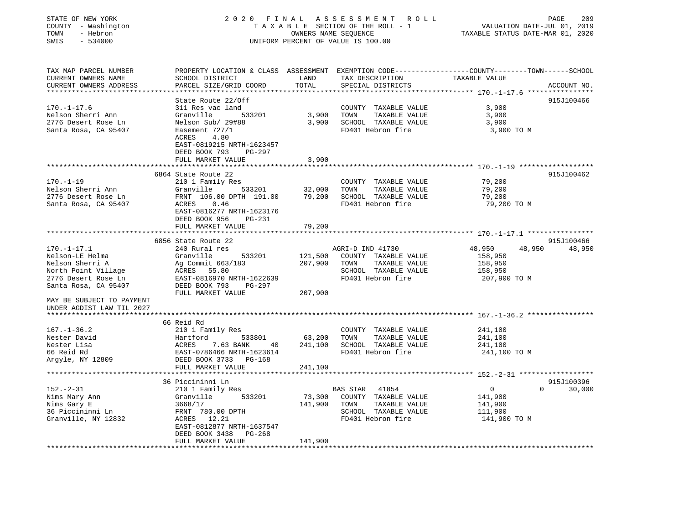| STATE OF NEW YORK<br>COUNTY - Washington<br>- Hebron<br>TOWN<br>SWIS<br>$-534000$                    |                                                                                         |                    | 2020 FINAL ASSESSMENT<br>R O L L<br>TAXABLE SECTION OF THE ROLL - 1<br>OWNERS NAME SEQUENCE<br>UNIFORM PERCENT OF VALUE IS 100.00 | VALUATION DATE-JUL 01, 2019<br>TAXABLE STATUS DATE-MAR 01, 2020                                                  | 209<br>PAGE |
|------------------------------------------------------------------------------------------------------|-----------------------------------------------------------------------------------------|--------------------|-----------------------------------------------------------------------------------------------------------------------------------|------------------------------------------------------------------------------------------------------------------|-------------|
| TAX MAP PARCEL NUMBER<br>CURRENT OWNERS NAME<br>CURRENT OWNERS ADDRESS<br>************************** | SCHOOL DISTRICT<br>PARCEL SIZE/GRID COORD                                               | LAND<br>TOTAL      | TAX DESCRIPTION<br>SPECIAL DISTRICTS                                                                                              | PROPERTY LOCATION & CLASS ASSESSMENT EXEMPTION CODE----------------COUNTY-------TOWN-----SCHOOL<br>TAXABLE VALUE | ACCOUNT NO. |
|                                                                                                      | State Route 22/Off                                                                      |                    |                                                                                                                                   |                                                                                                                  | 915J100466  |
| $170. - 1 - 17.6$                                                                                    | 311 Res vac land                                                                        |                    | COUNTY TAXABLE VALUE                                                                                                              | 3,900                                                                                                            |             |
| Nelson Sherri Ann                                                                                    | Granville<br>533201                                                                     | 3,900              | TOWN<br>TAXABLE VALUE                                                                                                             | 3,900                                                                                                            |             |
| 2776 Desert Rose Ln                                                                                  | Nelson Sub/ 29#88                                                                       | 3,900              | SCHOOL TAXABLE VALUE                                                                                                              | 3,900                                                                                                            |             |
| Santa Rosa, CA 95407                                                                                 | Easement 727/1<br>ACRES<br>4.80<br>EAST-0819215 NRTH-1623457<br>DEED BOOK 793<br>PG-297 |                    | FD401 Hebron fire                                                                                                                 | 3,900 TO M                                                                                                       |             |
|                                                                                                      | FULL MARKET VALUE                                                                       | 3,900              |                                                                                                                                   |                                                                                                                  |             |
|                                                                                                      |                                                                                         | ****************** |                                                                                                                                   |                                                                                                                  |             |
| $170. - 1 - 19$                                                                                      | 6864 State Route 22<br>210 1 Family Res                                                 |                    | COUNTY TAXABLE VALUE                                                                                                              | 79,200                                                                                                           | 915J100462  |
| Nelson Sherri Ann                                                                                    | Granville<br>533201                                                                     | 32,000             | TOWN<br>TAXABLE VALUE                                                                                                             | 79,200                                                                                                           |             |
| 2776 Desert Rose Ln                                                                                  | FRNT 106.00 DPTH 191.00                                                                 | 79,200             | SCHOOL TAXABLE VALUE                                                                                                              | 79,200                                                                                                           |             |
| Santa Rosa, CA 95407                                                                                 | 0.46<br>ACRES                                                                           |                    | FD401 Hebron fire                                                                                                                 | 79,200 TO M                                                                                                      |             |
|                                                                                                      | EAST-0816277 NRTH-1623176<br>DEED BOOK 956<br><b>PG-231</b>                             |                    |                                                                                                                                   |                                                                                                                  |             |
|                                                                                                      | FULL MARKET VALUE                                                                       | 79,200             |                                                                                                                                   |                                                                                                                  |             |
|                                                                                                      | ************************                                                                |                    |                                                                                                                                   |                                                                                                                  |             |
|                                                                                                      | 6856 State Route 22                                                                     |                    |                                                                                                                                   |                                                                                                                  | 915J100466  |
| $170.-1-17.1$                                                                                        | 240 Rural res                                                                           |                    | AGRI-D IND 41730                                                                                                                  | 48,950<br>48,950                                                                                                 | 48,950      |
| Nelson-LE Helma                                                                                      | Granville<br>533201                                                                     | 121,500            | COUNTY TAXABLE VALUE                                                                                                              | 158,950                                                                                                          |             |
| Nelson Sherri A                                                                                      | Ag Commit 663/183                                                                       | 207,900            | TOWN<br>TAXABLE VALUE                                                                                                             | 158,950                                                                                                          |             |
| North Point Village                                                                                  | ACRES<br>55.80                                                                          |                    | SCHOOL TAXABLE VALUE                                                                                                              | 158,950                                                                                                          |             |
| 2776 Desert Rose Ln                                                                                  | EAST-0816970 NRTH-1622639                                                               |                    | FD401 Hebron fire                                                                                                                 | 207,900 TO M                                                                                                     |             |
| Santa Rosa, CA 95407                                                                                 | DEED BOOK 793<br>PG-297<br>FULL MARKET VALUE                                            | 207,900            |                                                                                                                                   |                                                                                                                  |             |
| MAY BE SUBJECT TO PAYMENT<br>UNDER AGDIST LAW TIL 2027                                               |                                                                                         |                    |                                                                                                                                   |                                                                                                                  |             |
|                                                                                                      | 66 Reid Rd                                                                              |                    |                                                                                                                                   |                                                                                                                  |             |
|                                                                                                      |                                                                                         |                    |                                                                                                                                   |                                                                                                                  |             |
| $167. - 1 - 36.2$                                                                                    | 210 1 Family Res                                                                        | 63,200             | COUNTY TAXABLE VALUE                                                                                                              | 241,100<br>241,100                                                                                               |             |
| Nester David<br>Nester Lisa                                                                          | Hartford<br>533801<br>ACRES<br>7.63 BANK                                                | 241,100            | TOWN<br>TAXABLE VALUE<br>SCHOOL TAXABLE VALUE                                                                                     | 241,100                                                                                                          |             |
|                                                                                                      | 40                                                                                      |                    | FD401 Hebron fire                                                                                                                 |                                                                                                                  |             |
| 66 Reid Rd                                                                                           | EAST-0786466 NRTH-1623614                                                               |                    |                                                                                                                                   | 241,100 TO M                                                                                                     |             |
| Argyle, NY 12809                                                                                     | DEED BOOK 3733 PG-168<br>FULL MARKET VALUE                                              | 241,100            |                                                                                                                                   |                                                                                                                  |             |
|                                                                                                      | **********************                                                                  |                    |                                                                                                                                   |                                                                                                                  |             |
|                                                                                                      | 36 Piccininni Ln                                                                        |                    |                                                                                                                                   |                                                                                                                  | 915J100396  |
| $152 - 2 - 31$                                                                                       | 210 1 Family Res                                                                        |                    | 41854<br><b>BAS STAR</b>                                                                                                          | $\overline{0}$<br>$\Omega$                                                                                       | 30,000      |
| Nims Mary Ann                                                                                        | Granville<br>533201                                                                     | 73,300             | COUNTY TAXABLE VALUE                                                                                                              | 141,900                                                                                                          |             |
| Nims Gary E                                                                                          | 3668/17                                                                                 | 141,900            | TOWN<br>TAXABLE VALUE                                                                                                             | 141,900                                                                                                          |             |
| 36 Piccininni Ln                                                                                     | FRNT 780.00 DPTH                                                                        |                    | SCHOOL TAXABLE VALUE                                                                                                              | 111,900                                                                                                          |             |
| Granville, NY 12832                                                                                  | 12.21<br>ACRES                                                                          |                    | FD401 Hebron fire                                                                                                                 | 141,900 TO M                                                                                                     |             |
|                                                                                                      | EAST-0812877 NRTH-1637547                                                               |                    |                                                                                                                                   |                                                                                                                  |             |
|                                                                                                      | DEED BOOK 3438<br>PG-268                                                                |                    |                                                                                                                                   |                                                                                                                  |             |
|                                                                                                      | FULL MARKET VALUE                                                                       | 141,900            |                                                                                                                                   |                                                                                                                  |             |
|                                                                                                      |                                                                                         | ***********        |                                                                                                                                   |                                                                                                                  |             |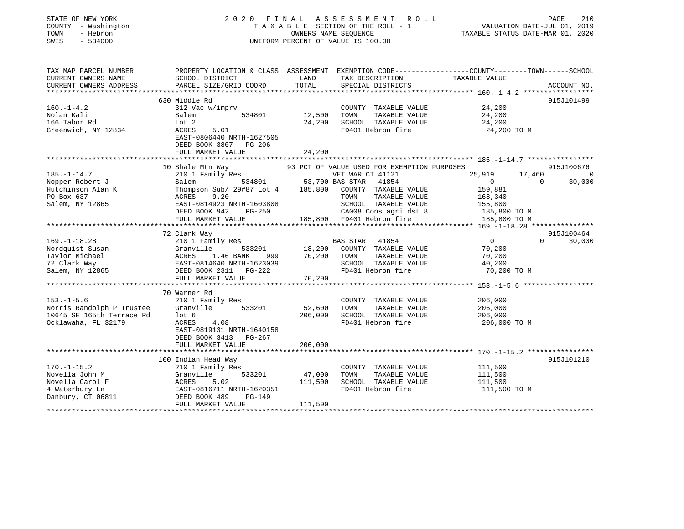| STATE OF NEW YORK<br>COUNTY - Washington<br>- Hebron<br>TOWN<br>SWIS<br>$-534000$ | 2020 FINAL<br>TAXABLE SECTION OF THE ROLL - 1<br>UNIFORM PERCENT OF VALUE IS 100.00                                 | VALUATION DATE-JUL 01, 2019<br>TAXABLE STATUS DATE-MAR 01, 2020 | PAGE                                        | 210                                          |          |             |
|-----------------------------------------------------------------------------------|---------------------------------------------------------------------------------------------------------------------|-----------------------------------------------------------------|---------------------------------------------|----------------------------------------------|----------|-------------|
| TAX MAP PARCEL NUMBER<br>CURRENT OWNERS NAME                                      | PROPERTY LOCATION & CLASS ASSESSMENT EXEMPTION CODE----------------COUNTY-------TOWN------SCHOOL<br>SCHOOL DISTRICT | LAND                                                            | TAX DESCRIPTION                             | TAXABLE VALUE                                |          |             |
| CURRENT OWNERS ADDRESS                                                            | PARCEL SIZE/GRID COORD                                                                                              | TOTAL                                                           | SPECIAL DISTRICTS                           |                                              |          | ACCOUNT NO. |
|                                                                                   | **************************                                                                                          |                                                                 |                                             | ************** 160.-1-4.2 ****************** |          |             |
|                                                                                   | 630 Middle Rd                                                                                                       |                                                                 |                                             |                                              |          | 915J101499  |
| $160. - 1 - 4.2$                                                                  | 312 Vac w/imprv                                                                                                     |                                                                 | COUNTY TAXABLE VALUE                        | 24,200                                       |          |             |
| Nolan Kali                                                                        | Salem<br>534801                                                                                                     | 12,500                                                          | TAXABLE VALUE<br>TOWN                       | 24,200                                       |          |             |
| 166 Tabor Rd<br>Greenwich, NY 12834                                               | Lot 2<br>ACRES<br>5.01                                                                                              | 24,200                                                          | SCHOOL TAXABLE VALUE<br>FD401 Hebron fire   | 24,200<br>24,200 TO M                        |          |             |
|                                                                                   | EAST-0806440 NRTH-1627505                                                                                           |                                                                 |                                             |                                              |          |             |
|                                                                                   | DEED BOOK 3807 PG-206                                                                                               |                                                                 |                                             |                                              |          |             |
|                                                                                   | FULL MARKET VALUE                                                                                                   | 24,200<br>* * * * * * * * * * * *                               |                                             |                                              |          |             |
|                                                                                   | 10 Shale Mtn Way                                                                                                    |                                                                 | 93 PCT OF VALUE USED FOR EXEMPTION PURPOSES |                                              |          | 915J100676  |
| $185. - 1 - 14.7$                                                                 | 210 1 Family Res                                                                                                    |                                                                 | VET WAR CT 41121                            | 25,919                                       | 17,460   | $\Omega$    |
| Nopper Robert J                                                                   | Salem<br>534801                                                                                                     |                                                                 | 53,700 BAS STAR<br>41854                    | $\overline{0}$                               | $\Omega$ | 30,000      |
| Hutchinson Alan K                                                                 | Thompson Sub/ 29#87 Lot 4                                                                                           |                                                                 | 185,800 COUNTY TAXABLE VALUE                | 159,881                                      |          |             |
| PO Box 637                                                                        | ACRES<br>9.20                                                                                                       |                                                                 | TOWN<br>TAXABLE VALUE                       | 168,340                                      |          |             |
| Salem, NY 12865                                                                   | EAST-0814923 NRTH-1603808                                                                                           |                                                                 | SCHOOL TAXABLE VALUE                        | 155,800                                      |          |             |
|                                                                                   | DEED BOOK 942<br>PG-250                                                                                             |                                                                 | CA008 Cons agri dst 8                       | 185,800 TO M                                 |          |             |
|                                                                                   | FULL MARKET VALUE                                                                                                   |                                                                 | 185,800 FD401 Hebron fire                   | 185,800 TO M                                 |          |             |
|                                                                                   | 72 Clark Way                                                                                                        |                                                                 |                                             |                                              |          | 915J100464  |
| $169. - 1 - 18.28$                                                                | 210 1 Family Res                                                                                                    |                                                                 | BAS STAR<br>41854                           | $\overline{0}$                               | $\Omega$ | 30,000      |
| Nordquist Susan                                                                   | 533201<br>Granville                                                                                                 | 18,200                                                          | COUNTY TAXABLE VALUE                        | 70,200                                       |          |             |
| Taylor Michael                                                                    | ACRES<br>1.46 BANK<br>999                                                                                           | 70,200                                                          | TOWN<br>TAXABLE VALUE                       | 70,200                                       |          |             |
| 72 Clark Way                                                                      | EAST-0814640 NRTH-1623039                                                                                           |                                                                 | SCHOOL TAXABLE VALUE                        | 40,200                                       |          |             |
| Salem, NY 12865                                                                   | DEED BOOK 2311 PG-222                                                                                               |                                                                 | FD401 Hebron fire                           | 70,200 TO M                                  |          |             |
|                                                                                   | FULL MARKET VALUE                                                                                                   | 70,200                                                          |                                             |                                              |          |             |
|                                                                                   | 70 Warner Rd                                                                                                        |                                                                 |                                             |                                              |          |             |
| $153. - 1 - 5.6$                                                                  | 210 1 Family Res                                                                                                    |                                                                 | COUNTY TAXABLE VALUE                        | 206,000                                      |          |             |
| Norris Randolph P Trustee                                                         | Granville<br>533201                                                                                                 | 52,600                                                          | TOWN<br>TAXABLE VALUE                       | 206,000                                      |          |             |
| 10645 SE 165th Terrace Rd                                                         | lot 6                                                                                                               | 206,000                                                         | SCHOOL TAXABLE VALUE                        | 206,000                                      |          |             |
| Ocklawaha, FL 32179                                                               | ACRES<br>4.08                                                                                                       |                                                                 | FD401 Hebron fire                           | 206,000 TO M                                 |          |             |
|                                                                                   | EAST-0819131 NRTH-1640158                                                                                           |                                                                 |                                             |                                              |          |             |
|                                                                                   | DEED BOOK 3413<br>PG-267                                                                                            |                                                                 |                                             |                                              |          |             |
|                                                                                   | FULL MARKET VALUE                                                                                                   | 206,000                                                         |                                             |                                              |          |             |
|                                                                                   | 100 Indian Head Way                                                                                                 |                                                                 |                                             |                                              |          | 915J101210  |
| $170.-1-15.2$                                                                     | 210 1 Family Res                                                                                                    |                                                                 | COUNTY TAXABLE VALUE                        | 111,500                                      |          |             |
| Novella John M                                                                    | Granville<br>533201                                                                                                 | 47,000                                                          | TOWN<br>TAXABLE VALUE                       | 111,500                                      |          |             |
| Novella Carol F                                                                   | ACRES<br>5.02                                                                                                       | 111,500                                                         | SCHOOL TAXABLE VALUE                        | 111,500                                      |          |             |
| 4 Waterbury Ln                                                                    | EAST-0816711 NRTH-1620351                                                                                           |                                                                 | FD401 Hebron fire                           | 111,500 TO M                                 |          |             |
| Danbury, CT 06811                                                                 | DEED BOOK 489<br>PG-149                                                                                             |                                                                 |                                             |                                              |          |             |
|                                                                                   | FULL MARKET VALUE                                                                                                   | 111,500<br>+ + + + + + + + + + + + + + + + + + +                |                                             |                                              |          |             |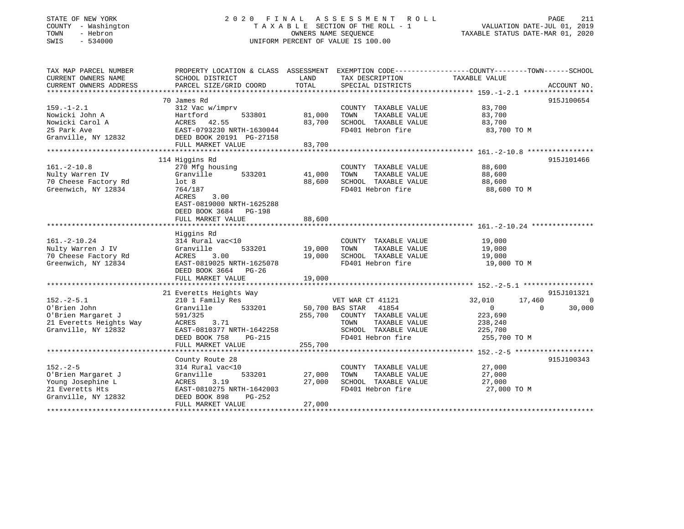### STATE OF NEW YORK 2 0 2 0 F I N A L A S S E S S M E N T R O L L PAGE 211 COUNTY - Washington T A X A B L E SECTION OF THE ROLL - 1 VALUATION DATE-JUL 01, 2019 TOWN - Hebron OWNERS NAME SEQUENCE TAXABLE STATUS DATE-MAR 01, 2020 SWIS - 534000 UNIFORM PERCENT OF VALUE IS 100.00

| TAX MAP PARCEL NUMBER<br>CURRENT OWNERS NAME<br>CURRENT OWNERS ADDRESS | SCHOOL DISTRICT<br>PARCEL SIZE/GRID COORD | LAND<br>TOTAL   | TAX DESCRIPTION<br>SPECIAL DISTRICTS | PROPERTY LOCATION & CLASS ASSESSMENT EXEMPTION CODE---------------COUNTY-------TOWN-----SCHOOL<br>TAXABLE VALUE | ACCOUNT NO. |
|------------------------------------------------------------------------|-------------------------------------------|-----------------|--------------------------------------|-----------------------------------------------------------------------------------------------------------------|-------------|
|                                                                        |                                           |                 |                                      |                                                                                                                 |             |
|                                                                        | 70 James Rd                               |                 |                                      |                                                                                                                 | 915J100654  |
| $159. - 1 - 2.1$                                                       | 312 Vac w/imprv                           |                 | COUNTY TAXABLE VALUE                 | 83,700                                                                                                          |             |
| Nowicki John A                                                         | 533801<br>Hartford                        | 81,000          | TAXABLE VALUE<br>TOWN                | 83,700                                                                                                          |             |
| Nowicki Carol A                                                        | ACRES<br>42.55                            | 83,700          | SCHOOL TAXABLE VALUE                 | 83,700                                                                                                          |             |
| 25 Park Ave                                                            | EAST-0793230 NRTH-1630044                 |                 | FD401 Hebron fire                    | 83,700 TO M                                                                                                     |             |
| Granville, NY 12832                                                    | DEED BOOK 20191 PG-27158                  |                 |                                      |                                                                                                                 |             |
|                                                                        | FULL MARKET VALUE                         | 83,700          |                                      |                                                                                                                 |             |
|                                                                        |                                           |                 |                                      |                                                                                                                 |             |
|                                                                        | 114 Higgins Rd                            |                 |                                      |                                                                                                                 | 915J101466  |
| $161. - 2 - 10.8$                                                      | 270 Mfg housing                           |                 | COUNTY TAXABLE VALUE                 | 88,600                                                                                                          |             |
| Nulty Warren IV                                                        | 533201<br>Granville                       | 41,000          | TOWN<br>TAXABLE VALUE                | 88,600                                                                                                          |             |
| 70 Cheese Factory Rd                                                   | lot <sub>8</sub>                          | 88,600          | SCHOOL TAXABLE VALUE                 | 88,600                                                                                                          |             |
| Greenwich, NY 12834                                                    | 764/187                                   |                 | FD401 Hebron fire                    | 88,600 TO M                                                                                                     |             |
|                                                                        | ACRES<br>3.00                             |                 |                                      |                                                                                                                 |             |
|                                                                        | EAST-0819000 NRTH-1625288                 |                 |                                      |                                                                                                                 |             |
|                                                                        | DEED BOOK 3684 PG-198                     |                 |                                      |                                                                                                                 |             |
|                                                                        | FULL MARKET VALUE                         | 88,600          |                                      |                                                                                                                 |             |
|                                                                        |                                           |                 |                                      |                                                                                                                 |             |
|                                                                        | Higgins Rd                                |                 |                                      |                                                                                                                 |             |
| $161. - 2 - 10.24$                                                     | 314 Rural vac<10                          |                 | COUNTY TAXABLE VALUE                 | 19,000                                                                                                          |             |
| Nulty Warren J IV                                                      | Granville<br>533201                       | 19,000          | TOWN<br>TAXABLE VALUE                | 19,000                                                                                                          |             |
| 70 Cheese Factory Rd                                                   | ACRES<br>3.00                             | 19,000          | SCHOOL TAXABLE VALUE                 | 19,000                                                                                                          |             |
| Greenwich, NY 12834                                                    | EAST-0819025 NRTH-1625078                 |                 | FD401 Hebron fire                    | 19,000 TO M                                                                                                     |             |
|                                                                        | DEED BOOK 3664 PG-26                      |                 |                                      |                                                                                                                 |             |
|                                                                        | FULL MARKET VALUE                         | 19,000          |                                      |                                                                                                                 |             |
|                                                                        |                                           |                 |                                      |                                                                                                                 |             |
|                                                                        | 21 Everetts Heights Way                   |                 |                                      |                                                                                                                 | 915J101321  |
| $152. - 2 - 5.1$                                                       | 210 1 Family Res                          |                 | VET WAR CT 41121                     | 32,010<br>17,460                                                                                                | $\Omega$    |
| O'Brien John                                                           | 533201<br>Granville                       | 50,700 BAS STAR | 41854                                | $\overline{0}$<br>$\Omega$                                                                                      | 30,000      |
| O'Brien Margaret J                                                     | 591/325                                   |                 | 255,700 COUNTY TAXABLE VALUE         | 223,690                                                                                                         |             |
| 21 Everetts Heights Way                                                | 3.71<br>ACRES                             |                 | TOWN<br>TAXABLE VALUE                | 238,240                                                                                                         |             |
| Granville, NY 12832                                                    | EAST-0810377 NRTH-1642258                 |                 | SCHOOL TAXABLE VALUE                 | 225,700                                                                                                         |             |
|                                                                        | DEED BOOK 758<br>PG-215                   |                 | FD401 Hebron fire                    | 255,700 TO M                                                                                                    |             |
|                                                                        | FULL MARKET VALUE                         | 255,700         |                                      |                                                                                                                 |             |
|                                                                        |                                           |                 |                                      |                                                                                                                 |             |
|                                                                        | County Route 28                           |                 |                                      |                                                                                                                 | 915J100343  |
| $152 - 2 - 5$                                                          | 314 Rural vac<10                          |                 | COUNTY TAXABLE VALUE                 | 27,000                                                                                                          |             |
| O'Brien Margaret J                                                     | 533201<br>Granville                       | 27,000          | TOWN<br>TAXABLE VALUE                | 27,000                                                                                                          |             |
| Young Josephine L                                                      | ACRES<br>3.19                             | 27,000          | SCHOOL TAXABLE VALUE                 | 27,000                                                                                                          |             |
| 21 Everetts Hts                                                        | EAST-0810275 NRTH-1642003                 |                 | FD401 Hebron fire                    | 27,000 TO M                                                                                                     |             |
| Granville, NY 12832                                                    | DEED BOOK 898<br>PG-252                   |                 |                                      |                                                                                                                 |             |
|                                                                        | FULL MARKET VALUE                         | 27,000          |                                      |                                                                                                                 |             |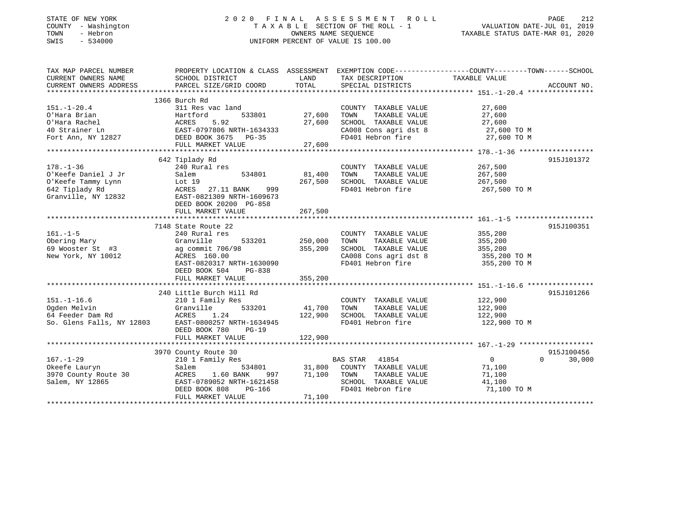| STATE OF NEW YORK |  |              |
|-------------------|--|--------------|
| COUNTY            |  | - Washingtor |
| TOWN              |  | - Hebron     |
| CLIT <sub>C</sub> |  | E 21000      |

### PAGE 212<br>TAXABLE SECTION OF THE ROLL - 1 VALUATION DATE-JUL 01, 2019<br>CONFIDENTS ON THE ROLL - 1 COUNTY A X A B L E SECTION OF THE ROLL - 1<br>
OWNERS NAME SEQUENCE SWIS - 534000 UNIFORM PERCENT OF VALUE IS 100.00

# PAGE 212

| TAX MAP PARCEL NUMBER                                                                                                                |                           |                 |                                    | PROPERTY LOCATION & CLASS ASSESSMENT EXEMPTION CODE---------------COUNTY-------TOWN------SCHOOL |
|--------------------------------------------------------------------------------------------------------------------------------------|---------------------------|-----------------|------------------------------------|-------------------------------------------------------------------------------------------------|
| CURRENT OWNERS NAME                                                                                                                  | SCHOOL DISTRICT           | LAND            | TAX DESCRIPTION                    | TAXABLE VALUE                                                                                   |
| CURRENT OWNERS ADDRESS                                                                                                               | PARCEL SIZE/GRID COORD    | TOTAL           | SPECIAL DISTRICTS                  | ACCOUNT NO.                                                                                     |
|                                                                                                                                      |                           |                 |                                    |                                                                                                 |
|                                                                                                                                      | 1366 Burch Rd             |                 |                                    |                                                                                                 |
| $151. - 1 - 20.4$                                                                                                                    | 311 Res vac land          |                 | COUNTY TAXABLE VALUE               | 27,600                                                                                          |
| O'Hara Brian                                                                                                                         | 533801                    | 27,600          | TOWN<br>TAXABLE VALUE              | 27,600                                                                                          |
|                                                                                                                                      |                           | 27,600          | SCHOOL TAXABLE VALUE               | 27,600                                                                                          |
|                                                                                                                                      |                           |                 |                                    | CA008 Cons agri dst 8 $27,600$ TO M                                                             |
|                                                                                                                                      |                           |                 | FD401 Hebron fire                  | 27,600 TO M                                                                                     |
|                                                                                                                                      | FULL MARKET VALUE         | 27,600          |                                    |                                                                                                 |
|                                                                                                                                      |                           |                 |                                    |                                                                                                 |
|                                                                                                                                      | 642 Tiplady Rd            |                 |                                    | 915J101372                                                                                      |
|                                                                                                                                      |                           |                 | COUNTY TAXABLE VALUE 267,500       |                                                                                                 |
|                                                                                                                                      | 534801                    | 81,400          | TOWN<br>TAXABLE VALUE              | 267,500<br>267,500                                                                              |
|                                                                                                                                      |                           | 267,500         | SCHOOL TAXABLE VALUE               |                                                                                                 |
| Example 20 Aural res<br>US Alem 53<br>Salem 53<br>642 Tiplady Rd ACRES 27.11 BANK<br>Granville, NY 12832<br>AST-0821309 NPTT         | 999                       |                 |                                    | FD401 Hebron fire 267,500 TO M                                                                  |
|                                                                                                                                      | EAST-0821309 NRTH-1609673 |                 |                                    |                                                                                                 |
|                                                                                                                                      | DEED BOOK 20200 PG-858    |                 |                                    |                                                                                                 |
|                                                                                                                                      |                           | 267,500         |                                    |                                                                                                 |
|                                                                                                                                      |                           |                 |                                    |                                                                                                 |
|                                                                                                                                      | 7148 State Route 22       |                 |                                    | 915J100351                                                                                      |
| $161. - 1 - 5$                                                                                                                       | 240 Rural res             |                 | COUNTY TAXABLE VALUE               | 355, 200                                                                                        |
| Obering Mary                                                                                                                         | Granville                 | 533201 250,000  | TOWN<br>TAXABLE VALUE              | 355,200                                                                                         |
| 69 Wooster St $#3$                                                                                                                   | ag commit 706/98          | 355,200         | SCHOOL TAXABLE VALUE               | 355,200                                                                                         |
| New York, NY 10012                                                                                                                   | ACRES 160.00              |                 |                                    | CA008 Cons agri dst 8 355,200 TO M                                                              |
|                                                                                                                                      | EAST-0820317 NRTH-1630090 |                 | FD401 Hebron fire                  | 355,200 TO M                                                                                    |
|                                                                                                                                      | DEED BOOK 504<br>PG-838   |                 |                                    |                                                                                                 |
|                                                                                                                                      |                           |                 |                                    |                                                                                                 |
|                                                                                                                                      |                           |                 |                                    |                                                                                                 |
|                                                                                                                                      | 240 Little Burch Hill Rd  |                 |                                    | 915J101266                                                                                      |
| $151. - 1 - 16.6$                                                                                                                    | 210 1 Family Res          |                 | COUNTY TAXABLE VALUE               | 122,900                                                                                         |
|                                                                                                                                      |                           | 41,700          | TOWN<br>TAXABLE VALUE              | 122,900                                                                                         |
| Call Catalynes (Campbell)<br>Catalynes (Campbell)<br>Scalen Melvin (Campbell)<br>So. Glens Falls, NY 12803 EAST-0800257 NRTH-1634945 |                           | 122,900         | SCHOOL TAXABLE VALUE 122,900       |                                                                                                 |
|                                                                                                                                      |                           |                 | FD401 Hebron fire                  | 122,900 TO M                                                                                    |
|                                                                                                                                      | DEED BOOK 780<br>$PG-19$  |                 |                                    |                                                                                                 |
|                                                                                                                                      | FULL MARKET VALUE         | 122,900         |                                    |                                                                                                 |
|                                                                                                                                      |                           |                 |                                    |                                                                                                 |
|                                                                                                                                      | 3970 County Route 30      |                 |                                    | 915J100456                                                                                      |
| $167. - 1 - 29$                                                                                                                      | 210 1 Family Res          |                 | BAS STAR 41854                     | $\Omega$<br>$\overline{0}$<br>30,000                                                            |
| Okeefe Lauryn                                                                                                                        | Salem                     |                 | 534801 31,800 COUNTY TAXABLE VALUE | 71,100                                                                                          |
| 3970 County Route 30                                                                                                                 | 1.60 BANK<br>ACRES        | 997 71,100 TOWN | TAXABLE VALUE                      | 71,100                                                                                          |
| Salem, NY 12865                                                                                                                      | EAST-0789052 NRTH-1621458 |                 | SCHOOL TAXABLE VALUE               | 41,100                                                                                          |
|                                                                                                                                      | DEED BOOK 808<br>PG-166   |                 | FD401 Hebron fire                  | 71,100 TO M                                                                                     |
|                                                                                                                                      | FULL MARKET VALUE         | 71,100          |                                    |                                                                                                 |
|                                                                                                                                      |                           |                 |                                    |                                                                                                 |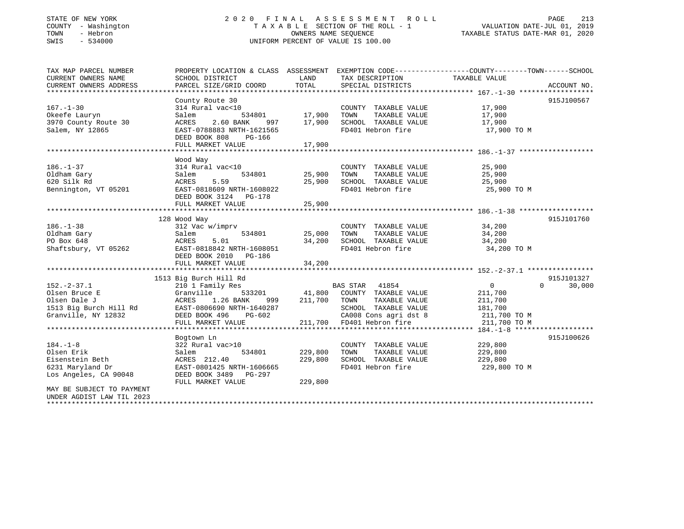### STATE OF NEW YORK 2 0 2 0 F I N A L A S S E S S M E N T R O L L PAGE 213 COUNTY - Washington T A X A B L E SECTION OF THE ROLL - 1 VALUATION DATE-JUL 01, 2019 TOWN - Hebron OWNERS NAME SEQUENCE TAXABLE STATUS DATE-MAR 01, 2020 SWIS - 534000 UNIFORM PERCENT OF VALUE IS 100.00

| TAX MAP PARCEL NUMBER<br>CURRENT OWNERS NAME | PROPERTY LOCATION & CLASS ASSESSMENT EXEMPTION CODE----------------COUNTY-------TOWN------SCHOOL<br>SCHOOL DISTRICT | LAND<br>TOTAL    | TAX DESCRIPTION TAXABLE VALUE<br>SPECIAL DISTRICTS                           |                |                    |
|----------------------------------------------|---------------------------------------------------------------------------------------------------------------------|------------------|------------------------------------------------------------------------------|----------------|--------------------|
| CURRENT OWNERS ADDRESS                       | PARCEL SIZE/GRID COORD                                                                                              |                  |                                                                              |                | ACCOUNT NO.        |
|                                              | County Route 30                                                                                                     |                  |                                                                              |                | 915J100567         |
| $167. - 1 - 30$                              | 314 Rural vac<10                                                                                                    |                  | COUNTY TAXABLE VALUE                                                         | 17,900         |                    |
| Okeefe Lauryn                                | Salem<br>534801                                                                                                     |                  | TOWN<br>TAXABLE VALUE                                                        | 17,900         |                    |
| 3970 County Route 30                         | 2.60 BANK<br>997<br>ACRES                                                                                           | 17,900<br>17,900 | <b>TOWN TAXABLE VALUE</b><br>SCHOOL TAXABLE VALUE                            | 17,900         |                    |
| Salem, NY 12865                              | EAST-0788883 NRTH-1621565                                                                                           |                  | FD401 Hebron fire                                                            | 17,900 TO M    |                    |
|                                              | DEED BOOK 808<br>PG-166                                                                                             |                  |                                                                              |                |                    |
|                                              | FULL MARKET VALUE                                                                                                   | 17,900           |                                                                              |                |                    |
|                                              |                                                                                                                     |                  |                                                                              |                |                    |
|                                              | Wood Way                                                                                                            |                  |                                                                              |                |                    |
| $186. - 1 - 37$                              | 314 Rural vac<10                                                                                                    |                  | COUNTY TAXABLE VALUE                                                         | 25,900         |                    |
| Oldham Gary                                  | 534801<br>Salem                                                                                                     | 25,900           | TOWN<br>TAXABLE VALUE                                                        | 25,900         |                    |
| 620 Silk Rd                                  | 5.59<br>ACRES                                                                                                       | 25,900           | SCHOOL TAXABLE VALUE                                                         | 25,900         |                    |
| Bennington, VT 05201                         | EAST-0818609 NRTH-1608022                                                                                           |                  | FD401 Hebron fire                                                            | 25,900 TO M    |                    |
|                                              | DEED BOOK 3124 PG-178                                                                                               |                  |                                                                              |                |                    |
|                                              |                                                                                                                     |                  |                                                                              |                |                    |
|                                              |                                                                                                                     |                  |                                                                              |                |                    |
|                                              | 128 Wood Way                                                                                                        |                  |                                                                              |                | 915J101760         |
| $186. - 1 - 38$                              | 312 Vac w/imprv                                                                                                     |                  | COUNTY TAXABLE VALUE                                                         | 34,200         |                    |
| Oldham Gary                                  | 534801<br>Salem                                                                                                     | 25,000           | TAXABLE VALUE<br>TOWN                                                        | 34,200         |                    |
| PO Box 648                                   | 5.01<br>ACRES                                                                                                       | 34,200           | SCHOOL TAXABLE VALUE                                                         | 34,200         |                    |
| Shaftsbury, VT 05262                         | EAST-0818842 NRTH-1608051                                                                                           |                  | FD401 Hebron fire                                                            | 34,200 TO M    |                    |
|                                              | DEED BOOK 2010 PG-186                                                                                               |                  |                                                                              |                |                    |
|                                              | FULL MARKET VALUE                                                                                                   | 34,200           |                                                                              |                |                    |
|                                              | 1513 Big Burch Hill Rd                                                                                              |                  |                                                                              |                | 915J101327         |
| $152 - 2 - 37.1$                             | 210 1 Family Res                                                                                                    |                  | BAS STAR 41854                                                               | $\overline{0}$ | $\Omega$<br>30,000 |
| Olsen Bruce E                                | Granville                                                                                                           |                  | 533201 41,800 COUNTY TAXABLE VALUE                                           | 211,700        |                    |
| Olsen Dale J                                 | 1.26 BANK<br>ACRES<br>999                                                                                           | 211,700 TOWN     | TAXABLE VALUE                                                                | 211,700        |                    |
| 1513 Big Burch Hill Rd                       | EAST-0806690 NRTH-1640287                                                                                           |                  | SCHOOL TAXABLE VALUE                                                         | 181,700        |                    |
| Granville, NY 12832                          | DEED BOOK 496<br>PG-602                                                                                             |                  |                                                                              |                |                    |
|                                              | FULL MARKET VALUE                                                                                                   |                  | CA008 Cons agri dst 8 211,700 TO M<br>211,700 FD401 Hebron fire 211,700 TO M |                |                    |
|                                              |                                                                                                                     |                  |                                                                              |                |                    |
|                                              | Bogtown Ln                                                                                                          |                  |                                                                              |                | 915J100626         |
| $184. - 1 - 8$                               | 322 Rural vac>10                                                                                                    |                  | COUNTY TAXABLE VALUE                                                         | 229,800        |                    |
| Olsen Erik                                   | Salem<br>534801                                                                                                     | 229,800          | TOWN<br>TAXABLE VALUE                                                        | 229,800        |                    |
| Eisenstein Beth                              | ACRES 212.40                                                                                                        | 229,800          | SCHOOL TAXABLE VALUE                                                         | 229,800        |                    |
| 6231 Maryland Dr                             | EAST-0801425 NRTH-1606665                                                                                           |                  | FD401 Hebron fire                                                            | 229,800 TO M   |                    |
| Los Angeles, CA 90048                        | DEED BOOK 3489 PG-297                                                                                               |                  |                                                                              |                |                    |
|                                              | FULL MARKET VALUE                                                                                                   | 229,800          |                                                                              |                |                    |
| MAY BE SUBJECT TO PAYMENT                    |                                                                                                                     |                  |                                                                              |                |                    |
| UNDER AGDIST LAW TIL 2023                    |                                                                                                                     |                  |                                                                              |                |                    |
|                                              |                                                                                                                     |                  |                                                                              |                |                    |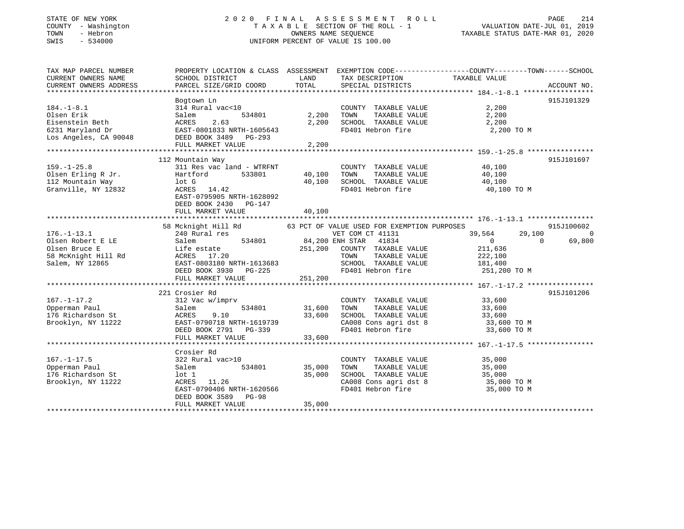### STATE OF NEW YORK 2 0 2 0 F I N A L A S S E S S M E N T R O L L PAGE 214 COUNTY - Washington T A X A B L E SECTION OF THE ROLL - 1 VALUATION DATE-JUL 01, 2019 TOWN - Hebron OWNERS NAME SEQUENCE TAXABLE STATUS DATE-MAR 01, 2020 SWIS - 534000 UNIFORM PERCENT OF VALUE IS 100.00

| TAX MAP PARCEL NUMBER<br>CURRENT OWNERS NAME<br>CURRENT OWNERS ADDRESS                                                      | SCHOOL DISTRICT<br>PARCEL SIZE/GRID COORD                                                        | LAND<br>TOTAL | TAX DESCRIPTION<br>SPECIAL DISTRICTS  | PROPERTY LOCATION & CLASS ASSESSMENT EXEMPTION CODE---------------COUNTY-------TOWN------SCHOOL<br>TAXABLE VALUE                                                                                                                                | ACCOUNT NO. |
|-----------------------------------------------------------------------------------------------------------------------------|--------------------------------------------------------------------------------------------------|---------------|---------------------------------------|-------------------------------------------------------------------------------------------------------------------------------------------------------------------------------------------------------------------------------------------------|-------------|
|                                                                                                                             |                                                                                                  |               |                                       |                                                                                                                                                                                                                                                 |             |
| $184. - 1 - 8.1$<br>Olsen Erik                                                                                              | Bogtown Ln<br>314 Rural vac<10<br>534801                                                         | 2,200         | COUNTY TAXABLE VALUE<br>TAXABLE VALUE | 2,200                                                                                                                                                                                                                                           | 915J101329  |
|                                                                                                                             | Salem                                                                                            |               | TOWN                                  | 2,200                                                                                                                                                                                                                                           |             |
| Eisenstein Beth                                                                                                             | ACRES<br>2.63                                                                                    | 2,200         | SCHOOL TAXABLE VALUE                  | 2,200                                                                                                                                                                                                                                           |             |
| 6231 Maryland Dr                   EAST-0801833 NRTH-1605643<br>Los Angeles, CA 90048             DEED BOOK 3489     PG-293 | EAST-0801833 NRTH-1605643                                                                        |               | FD401 Hebron fire                     | 2,200 TO M                                                                                                                                                                                                                                      |             |
|                                                                                                                             |                                                                                                  |               |                                       |                                                                                                                                                                                                                                                 |             |
|                                                                                                                             | FULL MARKET VALUE                                                                                | 2,200         |                                       |                                                                                                                                                                                                                                                 |             |
|                                                                                                                             |                                                                                                  |               |                                       |                                                                                                                                                                                                                                                 |             |
|                                                                                                                             | 112 Mountain Way                                                                                 |               |                                       |                                                                                                                                                                                                                                                 | 915J101697  |
| $159. - 1 - 25.8$                                                                                                           | 311 Res vac land - WTRFNT                                                                        |               | COUNTY TAXABLE VALUE 40,100           |                                                                                                                                                                                                                                                 |             |
| Olsen Erling R Jr.                                                                                                          | Hartford<br>533801                                                                               | 40,100        | TOWN                                  | TAXABLE VALUE 40,100                                                                                                                                                                                                                            |             |
| 112 Mountain Way                                                                                                            | lot G                                                                                            | 40,100        | SCHOOL TAXABLE VALUE                  | 40,100                                                                                                                                                                                                                                          |             |
| Granville, NY 12832                                                                                                         | ACRES 14.42                                                                                      |               | FD401 Hebron fire                     | 40,100 TO M                                                                                                                                                                                                                                     |             |
|                                                                                                                             | EAST-0795905 NRTH-1628092<br>DEED BOOK 2430 PG-147                                               |               |                                       |                                                                                                                                                                                                                                                 |             |
|                                                                                                                             | FULL MARKET VALUE                                                                                | 40,100        |                                       |                                                                                                                                                                                                                                                 |             |
|                                                                                                                             |                                                                                                  |               |                                       |                                                                                                                                                                                                                                                 |             |
|                                                                                                                             | 58 Mcknight Hill Rd 63 PCT OF VALUE USED FOR EXEMPTION PURPOSES                                  |               |                                       |                                                                                                                                                                                                                                                 | 915J100602  |
| $176. - 1 - 13.1$                                                                                                           | 240 Rural res<br>al res<br>534801 64,200 ENH STAR 41834<br>240 Rural res<br>Salem<br>Life estate |               |                                       | 39,564<br>29,100                                                                                                                                                                                                                                | $\sim$ 0    |
| Olsen Robert E LE<br>Clare Bruse E                                                                                          |                                                                                                  |               |                                       | $\overline{0}$<br>$\Omega$                                                                                                                                                                                                                      | 69,800      |
| Olsen Bruce E                                                                                                               |                                                                                                  | 251,200       | COUNTY TAXABLE VALUE                  | 211,636                                                                                                                                                                                                                                         |             |
|                                                                                                                             |                                                                                                  |               | TAXABLE VALUE<br>TOWN                 | 222,100<br>181,400                                                                                                                                                                                                                              |             |
|                                                                                                                             |                                                                                                  |               | SCHOOL TAXABLE VALUE                  |                                                                                                                                                                                                                                                 |             |
|                                                                                                                             | DEED BOOK 3930<br>PG-225                                                                         |               | FD401 Hebron fire                     | 251,200 TO M                                                                                                                                                                                                                                    |             |
|                                                                                                                             | FULL MARKET VALUE                                                                                | 251,200       |                                       |                                                                                                                                                                                                                                                 |             |
|                                                                                                                             |                                                                                                  |               |                                       |                                                                                                                                                                                                                                                 |             |
|                                                                                                                             | 221 Crosier Rd                                                                                   |               |                                       |                                                                                                                                                                                                                                                 | 915J101206  |
| $167. - 1 - 17.2$                                                                                                           | 312 Vac w/imprv                                                                                  |               | COUNTY TAXABLE VALUE 33,600           |                                                                                                                                                                                                                                                 |             |
| Opperman Paul                                                                                                               | 534801<br>Salem                                                                                  | 31,600        | TOWN<br>TAXABLE VALUE                 | 33,600                                                                                                                                                                                                                                          |             |
| 176 Richardson St                                                                                                           | 9.10                                                                                             | 33,600        |                                       |                                                                                                                                                                                                                                                 |             |
| Brooklyn, NY 11222                                                                                                          | ACRES 9.10<br>EAST-0790718 NRTH-1619739<br>CAST DG-339                                           |               |                                       | $\begin{tabular}{lllllllll} \texttt{SCHOOL} & \texttt{TAXABLE} & \texttt{VALUE} & & \texttt{33,600} \\ \texttt{CA008} & \texttt{Cons}\ & \texttt{agri}\ & \texttt{dst}\ & \texttt{8} & & \texttt{33,600} & \texttt{TO} \text{ M} \end{tabular}$ |             |
|                                                                                                                             |                                                                                                  |               | FD401 Hebron fire                     | 33,600 TO M                                                                                                                                                                                                                                     |             |
|                                                                                                                             | FULL MARKET VALUE                                                                                | 33,600        |                                       |                                                                                                                                                                                                                                                 |             |
|                                                                                                                             |                                                                                                  |               |                                       |                                                                                                                                                                                                                                                 |             |
|                                                                                                                             | Crosier Rd                                                                                       |               |                                       |                                                                                                                                                                                                                                                 |             |
| $167. - 1 - 17.5$                                                                                                           | 322 Rural vac>10                                                                                 |               | COUNTY TAXABLE VALUE                  | 35,000                                                                                                                                                                                                                                          |             |
| Opperman Paul                                                                                                               | 534801<br>Salem                                                                                  | 35,000        | TOWN<br>TAXABLE VALUE                 | 35,000                                                                                                                                                                                                                                          |             |
|                                                                                                                             |                                                                                                  | 35,000        | SCHOOL TAXABLE VALUE                  | 35,000                                                                                                                                                                                                                                          |             |
| 176 Richardson St                                                                                                           | lot 1                                                                                            |               |                                       |                                                                                                                                                                                                                                                 |             |
| Brooklyn, NY 11222                                                                                                          | ACRES 11.26                                                                                      |               |                                       | CA008 Cons agri dst 8 35,000 TO M                                                                                                                                                                                                               |             |
|                                                                                                                             | EAST-0790406 NRTH-1620566                                                                        |               | FD401 Hebron fire                     | 35,000 TO M                                                                                                                                                                                                                                     |             |
|                                                                                                                             | DEED BOOK 3589<br>$PG-98$                                                                        |               |                                       |                                                                                                                                                                                                                                                 |             |
|                                                                                                                             | FULL MARKET VALUE                                                                                | 35,000        |                                       |                                                                                                                                                                                                                                                 |             |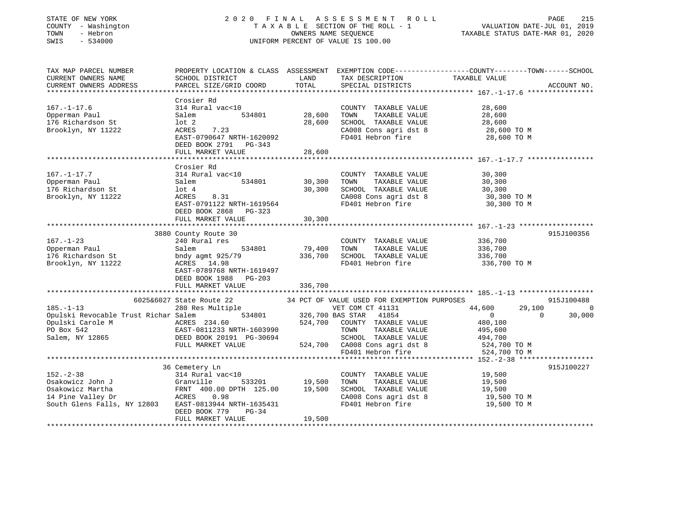| STATE OF NEW YORK<br>COUNTY - Washington<br>- Hebron<br>TOWN<br>SWIS<br>$-534000$ |                                                       |         | 2020 FINAL ASSESSMENT ROLL<br>TAXABLE SECTION OF THE ROLL - 1<br>OWNERS NAME SEQUENCE<br>UNIFORM PERCENT OF VALUE IS 100.00 | PAGE<br>215<br>VALUATION DATE-JUL 01, 2019<br>TAXABLE STATUS DATE-MAR 01, 2020                                   |
|-----------------------------------------------------------------------------------|-------------------------------------------------------|---------|-----------------------------------------------------------------------------------------------------------------------------|------------------------------------------------------------------------------------------------------------------|
| TAX MAP PARCEL NUMBER<br>CURRENT OWNERS NAME                                      | SCHOOL DISTRICT                                       | LAND    |                                                                                                                             | PROPERTY LOCATION & CLASS ASSESSMENT EXEMPTION CODE---------------COUNTY-------TOWN------SCHOOL<br>TAXABLE VALUE |
| CURRENT OWNERS ADDRESS                                                            | PARCEL SIZE/GRID COORD                                | TOTAL   | TAX DESCRIPTION<br>SPECIAL DISTRICTS                                                                                        | ACCOUNT NO.                                                                                                      |
| ******************                                                                |                                                       |         |                                                                                                                             |                                                                                                                  |
|                                                                                   | Crosier Rd                                            |         |                                                                                                                             |                                                                                                                  |
| $167. - 1 - 17.6$                                                                 | 314 Rural vac<10                                      |         | COUNTY TAXABLE VALUE                                                                                                        | 28,600                                                                                                           |
| Opperman Paul                                                                     | 534801<br>Salem                                       | 28,600  | TAXABLE VALUE<br>TOWN                                                                                                       | 28,600                                                                                                           |
| 176 Richardson St                                                                 | lot 2                                                 | 28,600  | SCHOOL TAXABLE VALUE                                                                                                        | 28,600                                                                                                           |
| Brooklyn, NY 11222                                                                | ACRES<br>7.23                                         |         | CA008 Cons agri dst 8                                                                                                       | 28,600 TO M                                                                                                      |
|                                                                                   | EAST-0790647 NRTH-1620092                             |         | FD401 Hebron fire                                                                                                           | 28,600 TO M                                                                                                      |
|                                                                                   | DEED BOOK 2791 PG-343<br>FULL MARKET VALUE            |         |                                                                                                                             |                                                                                                                  |
|                                                                                   |                                                       | 28,600  |                                                                                                                             |                                                                                                                  |
|                                                                                   | Crosier Rd                                            |         |                                                                                                                             |                                                                                                                  |
| $167. - 1 - 17.7$                                                                 | 314 Rural vac<10                                      |         | COUNTY TAXABLE VALUE                                                                                                        | 30,300                                                                                                           |
| Opperman Paul                                                                     | 534801<br>Salem                                       | 30,300  | TAXABLE VALUE<br>TOWN                                                                                                       | 30,300                                                                                                           |
| 176 Richardson St                                                                 | lot 4                                                 | 30,300  | SCHOOL TAXABLE VALUE                                                                                                        | 30,300                                                                                                           |
| Brooklyn, NY 11222                                                                | 8.31<br>ACRES                                         |         | CA008 Cons agri dst 8                                                                                                       | 30,300 TO M                                                                                                      |
|                                                                                   | EAST-0791122 NRTH-1619564                             |         | FD401 Hebron fire                                                                                                           | 30,300 TO M                                                                                                      |
|                                                                                   | DEED BOOK 2868 PG-323                                 |         |                                                                                                                             |                                                                                                                  |
|                                                                                   | FULL MARKET VALUE                                     | 30,300  |                                                                                                                             |                                                                                                                  |
|                                                                                   |                                                       |         |                                                                                                                             |                                                                                                                  |
|                                                                                   | 3880 County Route 30                                  |         |                                                                                                                             | 915J100356                                                                                                       |
| $167. - 1 - 23$                                                                   | 240 Rural res                                         |         | COUNTY TAXABLE VALUE                                                                                                        | 336,700                                                                                                          |
| Opperman Paul                                                                     | 534801<br>Salem                                       | 79,400  | TAXABLE VALUE<br>TOWN<br>SCHOOL TAXABLE VALUE                                                                               | 336,700                                                                                                          |
| 176 Richardson St<br>Brooklyn, NY 11222                                           | bndy agmt 925/79<br>ACRES 14.98                       | 336,700 | FD401 Hebron fire                                                                                                           | 336,700<br>336,700 TO M                                                                                          |
|                                                                                   | EAST-0789768 NRTH-1619497                             |         |                                                                                                                             |                                                                                                                  |
|                                                                                   | DEED BOOK 1988 PG-203                                 |         |                                                                                                                             |                                                                                                                  |
|                                                                                   | FULL MARKET VALUE                                     | 336,700 |                                                                                                                             |                                                                                                                  |
|                                                                                   |                                                       |         |                                                                                                                             |                                                                                                                  |
|                                                                                   | 6025&6027 State Route 22                              |         | 34 PCT OF VALUE USED FOR EXEMPTION PURPOSES                                                                                 | 915J100488                                                                                                       |
| $185. - 1 - 13$                                                                   | 280 Res Multiple                                      |         | VET COM CT 41131                                                                                                            | 29,100<br>44,600<br>$\cap$                                                                                       |
| Opulski Revocable Trust Richar Salem                                              | 534801                                                |         | 326,700 BAS STAR 41854                                                                                                      | 30,000<br>$\overline{0}$<br>$\Omega$                                                                             |
| Opulski Carole M MACRES 234.60                                                    |                                                       |         | 524,700 COUNTY TAXABLE VALUE                                                                                                | 480,100                                                                                                          |
| PO Box 542                                                                        | EAST-0811233 NRTH-1603990<br>DEED BOOK 20191 PG-30694 |         | TOWN<br>TAXABLE VALUE                                                                                                       | 495,600                                                                                                          |
| Salem, NY 12865                                                                   |                                                       |         | SCHOOL TAXABLE VALUE                                                                                                        | 494,700                                                                                                          |
|                                                                                   | FULL MARKET VALUE                                     |         | 524,700 CA008 Cons agri dst 8                                                                                               | 524,700 TO M                                                                                                     |
|                                                                                   |                                                       |         | FD401 Hebron fire                                                                                                           | 524,700 TO M                                                                                                     |
|                                                                                   | 36 Cemetery Ln                                        |         |                                                                                                                             | 915J100227                                                                                                       |
| $152 - 2 - 38$                                                                    | 314 Rural vac<10                                      |         | COUNTY TAXABLE VALUE                                                                                                        | 19,500                                                                                                           |
| Osakowicz John J                                                                  | Granville<br>533201                                   | 19,500  | TAXABLE VALUE<br>TOWN                                                                                                       | 19,500                                                                                                           |
| Osakowicz Martha                                                                  | FRNT 400.00 DPTH 125.00                               | 19,500  | SCHOOL TAXABLE VALUE                                                                                                        | 19,500                                                                                                           |
| FRNT<br>ACRES<br>14 Pine Valley Dr                                                | 0.98                                                  |         | CA008 Cons agri dst 8                                                                                                       | 19,500 TO M                                                                                                      |
| South Glens Falls, NY 12803 EAST-0813944 NRTH-1635431                             |                                                       |         | FD401 Hebron fire                                                                                                           | 19,500 TO M                                                                                                      |
|                                                                                   | DEED BOOK 779<br>$PG-34$                              |         |                                                                                                                             |                                                                                                                  |
|                                                                                   | FULL MARKET VALUE                                     | 19,500  |                                                                                                                             |                                                                                                                  |
|                                                                                   |                                                       |         |                                                                                                                             |                                                                                                                  |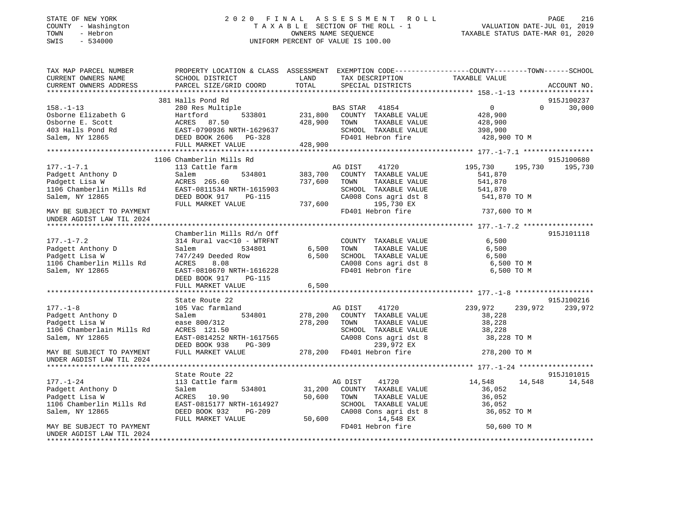### STATE OF NEW YORK 2 0 2 0 F I N A L A S S E S S M E N T R O L L PAGE 216 COUNTY - Washington T A X A B L E SECTION OF THE ROLL - 1 VALUATION DATE-JUL 01, 2019 TOWN - Hebron OWNERS NAME SEQUENCE TAXABLE STATUS DATE-MAR 01, 2020 SWIS - 534000 UNIFORM PERCENT OF VALUE IS 100.00

| TAX MAP PARCEL NUMBER<br>CURRENT OWNERS NAME                                                                                                                                                                                                     | PROPERTY LOCATION & CLASS ASSESSMENT EXEMPTION CODE----------------COUNTY-------TOWN------SCHOOL<br>SCHOOL DISTRICT LAND TAX DESCRIPTION                                                                                           |              |                                                                                                              | TAXABLE VALUE                               |          |             |
|--------------------------------------------------------------------------------------------------------------------------------------------------------------------------------------------------------------------------------------------------|------------------------------------------------------------------------------------------------------------------------------------------------------------------------------------------------------------------------------------|--------------|--------------------------------------------------------------------------------------------------------------|---------------------------------------------|----------|-------------|
| CURRENT OWNERS ADDRESS                                                                                                                                                                                                                           | PARCEL SIZE/GRID COORD                                                                                                                                                                                                             |              | TOTAL SPECIAL DISTRICTS                                                                                      |                                             |          | ACCOUNT NO. |
|                                                                                                                                                                                                                                                  |                                                                                                                                                                                                                                    |              |                                                                                                              |                                             |          |             |
|                                                                                                                                                                                                                                                  | 381 Halls Pond Rd                                                                                                                                                                                                                  |              |                                                                                                              |                                             |          | 915J100237  |
| 158.-1-13<br>0sborne Elizabeth G<br>0sborne E. Scott<br>428,900 [13] 1800 [231,800 [231,800 [231,800 ]<br>428,900 [25] 1800 [26] 285<br>531em, NY 12865<br>231,800 [26] 251.50<br>231,800 [26] 253801 2538<br>231,800 [26] 253801 2538<br>231,80 | 280 Res Multiple<br>Hartford 533801 231,800 COUNTY TAXABLE VALUE                                                                                                                                                                   |              |                                                                                                              | $\begin{array}{c} 0 \\ 428,900 \end{array}$ | $\Omega$ | 30,000      |
|                                                                                                                                                                                                                                                  |                                                                                                                                                                                                                                    |              |                                                                                                              |                                             |          |             |
|                                                                                                                                                                                                                                                  |                                                                                                                                                                                                                                    | 428,900 TOWN | TAXABLE VALUE                                                                                                | 428,900                                     |          |             |
|                                                                                                                                                                                                                                                  |                                                                                                                                                                                                                                    |              | SCHOOL TAXABLE VALUE                                                                                         | 398,900                                     |          |             |
|                                                                                                                                                                                                                                                  |                                                                                                                                                                                                                                    |              | FD401 Hebron fire 428,900 TO M                                                                               |                                             |          |             |
|                                                                                                                                                                                                                                                  |                                                                                                                                                                                                                                    |              |                                                                                                              |                                             |          |             |
|                                                                                                                                                                                                                                                  |                                                                                                                                                                                                                                    |              |                                                                                                              |                                             |          |             |
|                                                                                                                                                                                                                                                  | 1106 Chamberlin Mills Rd                                                                                                                                                                                                           |              |                                                                                                              |                                             |          | 915J100680  |
| $177. - 1 - 7.1$                                                                                                                                                                                                                                 | 113 Cattle farm MG DIST 41720<br>Salem 534801 383,700 COUNTY TAXABLE VALUE                                                                                                                                                         |              |                                                                                                              | 195,730 195,730                             |          | 195,730     |
|                                                                                                                                                                                                                                                  |                                                                                                                                                                                                                                    |              |                                                                                                              |                                             |          |             |
|                                                                                                                                                                                                                                                  |                                                                                                                                                                                                                                    |              |                                                                                                              |                                             |          |             |
|                                                                                                                                                                                                                                                  |                                                                                                                                                                                                                                    |              |                                                                                                              |                                             |          |             |
|                                                                                                                                                                                                                                                  |                                                                                                                                                                                                                                    |              | CA008 Cons agri dst 8 541,870 TO M                                                                           |                                             |          |             |
|                                                                                                                                                                                                                                                  |                                                                                                                                                                                                                                    |              |                                                                                                              |                                             |          |             |
| 177.-1-7.1 13 Cattle Larm<br>Padgett Anthony D Salem 534801 383,700 COUNTY TAXABLE VALUE 541,070<br>Padgett Lisa W ACRES 265.60 737,600 TOWN TAXABLE VALUE 541,870<br>106 Chamberlin Mills Rd EAST-0811534 NRTH-1615903<br>Salem, NY 1           |                                                                                                                                                                                                                                    |              | FD401 Hebron fire 737,600 TO M                                                                               |                                             |          |             |
| UNDER AGDIST LAW TIL 2024                                                                                                                                                                                                                        |                                                                                                                                                                                                                                    |              |                                                                                                              |                                             |          |             |
|                                                                                                                                                                                                                                                  |                                                                                                                                                                                                                                    |              |                                                                                                              |                                             |          |             |
|                                                                                                                                                                                                                                                  | Chamberlin Mills Rd/n Off<br>314 Rural vac<10 - WTRFNT<br>Salem 534801 6,500 TOWN<br>6,500 TOWN                                                                                                                                    |              |                                                                                                              |                                             |          | 915J101118  |
| $177. - 1 - 7.2$                                                                                                                                                                                                                                 |                                                                                                                                                                                                                                    |              | COUNTY TAXABLE VALUE                                                                                         | 6,500                                       |          |             |
|                                                                                                                                                                                                                                                  |                                                                                                                                                                                                                                    |              |                                                                                                              | TAXABLE VALUE 6,500                         |          |             |
| Padgett Anthony D<br>Padgett Anthony D<br>Padgett Lisa W                                                                                                                                                                                         |                                                                                                                                                                                                                                    |              |                                                                                                              |                                             |          |             |
|                                                                                                                                                                                                                                                  | 747/249 Deeded Row<br>20050 - 8.08<br>ACRES<br>8.08                                                                                                                                                                                |              | 6,500 SCHOOL TAXABLE VALUE 6,500 TO M<br>CA008 Cons agri dst 8 6,500 TO M                                    |                                             |          |             |
| Padgett Lisa W<br>1106 Chamberlin Mills Rd                                                                                                                                                                                                       | EAST-0810670 NRTH-1616228                                                                                                                                                                                                          |              |                                                                                                              |                                             |          |             |
| Salem, NY 12865                                                                                                                                                                                                                                  |                                                                                                                                                                                                                                    |              | FD401 Hebron fire                                                                                            | 6,500 TO M                                  |          |             |
|                                                                                                                                                                                                                                                  | DEED BOOK 917 PG-115                                                                                                                                                                                                               |              |                                                                                                              |                                             |          |             |
|                                                                                                                                                                                                                                                  | FULL MARKET VALUE                                                                                                                                                                                                                  | 6,500        |                                                                                                              |                                             |          |             |
|                                                                                                                                                                                                                                                  |                                                                                                                                                                                                                                    |              |                                                                                                              |                                             |          |             |
| 177.-1-8<br>Padgett Anthony D                                                                                                                                                                                                                    | State Route 22                                                                                                                                                                                                                     |              |                                                                                                              |                                             |          | 915J100216  |
|                                                                                                                                                                                                                                                  |                                                                                                                                                                                                                                    |              |                                                                                                              |                                             |          | 239,972     |
|                                                                                                                                                                                                                                                  |                                                                                                                                                                                                                                    |              |                                                                                                              |                                             |          |             |
|                                                                                                                                                                                                                                                  | ease 800/312<br>ACRES 121.50<br>SCHOO<br>SCHOO                                                                                                                                                                                     |              |                                                                                                              |                                             |          |             |
| 1106 Chamberlain Mills Rd                                                                                                                                                                                                                        |                                                                                                                                                                                                                                    |              |                                                                                                              |                                             |          |             |
| Salem, NY 12865                                                                                                                                                                                                                                  |                                                                                                                                                                                                                                    |              | TOWN TAXABLE VALUE 38,228<br>SCHOOL TAXABLE VALUE 38,228<br>CA008 Cons agri dst 8 38,228 TO M                |                                             |          |             |
|                                                                                                                                                                                                                                                  |                                                                                                                                                                                                                                    |              |                                                                                                              |                                             |          |             |
| MAY BE SUBJECT TO PAYMENT                                                                                                                                                                                                                        | ACRES 121.50 SCHOOL TAXABLE VALUE 38,228<br>EAST-0814252 NRTH-1617565 CA008 Cons agri dst 8 38,228 TO M<br>DEED BOOK 938 PG-309 278,200 FD401 Hebron fire 278,200 TO M<br>FULL MARKET VALUE 278,200 FD401 Hebron fire 278,200 TO M |              |                                                                                                              |                                             |          |             |
| UNDER AGDIST LAW TIL 2024                                                                                                                                                                                                                        |                                                                                                                                                                                                                                    |              |                                                                                                              |                                             |          |             |
|                                                                                                                                                                                                                                                  |                                                                                                                                                                                                                                    |              |                                                                                                              |                                             |          |             |
|                                                                                                                                                                                                                                                  | State Route 22                                                                                                                                                                                                                     |              | AG DIST 41720                                                                                                |                                             |          | 915J101015  |
| $177. - 1 - 24$                                                                                                                                                                                                                                  | 113 Cattle farm                                                                                                                                                                                                                    |              |                                                                                                              | 14,548 14,548                               |          | 14,548      |
| Padgett Anthony D<br>Padgett Lisa W                                                                                                                                                                                                              | Salem                                                                                                                                                                                                                              |              | 534801 31,200 COUNTY TAXABLE VALUE                                                                           | 36,052                                      |          |             |
|                                                                                                                                                                                                                                                  | ACRES 10.90                                                                                                                                                                                                                        |              | TOWN TAXABLE VALUE 36,052<br>SCHOOL TAXABLE VALUE 36,052                                                     |                                             |          |             |
| 1106 Chamberlin Mills Rd                                                                                                                                                                                                                         | EAST-0815177 NRTH-1614927                                                                                                                                                                                                          |              |                                                                                                              |                                             |          |             |
| Salem, NY 12865                                                                                                                                                                                                                                  | DEED BOOK 932 PG-209                                                                                                                                                                                                               |              | $CA008$ Cons agri dst $8$                                                                                    | 36,052 TO M                                 |          |             |
|                                                                                                                                                                                                                                                  | FULL MARKET VALUE                                                                                                                                                                                                                  |              | 50,600 TOWN TAXABLE VALUE<br>1614927 SCHOOL TAXABLE VALUE<br>3-209 CA008 Cons agri dst 8<br>50,600 14,548 EX |                                             |          |             |
| MAY BE SUBJECT TO PAYMENT                                                                                                                                                                                                                        |                                                                                                                                                                                                                                    |              | FD401 Hebron fire                                                                                            | 50,600 TO M                                 |          |             |
| UNDER AGDIST LAW TIL 2024                                                                                                                                                                                                                        |                                                                                                                                                                                                                                    |              |                                                                                                              |                                             |          |             |
|                                                                                                                                                                                                                                                  |                                                                                                                                                                                                                                    |              |                                                                                                              |                                             |          |             |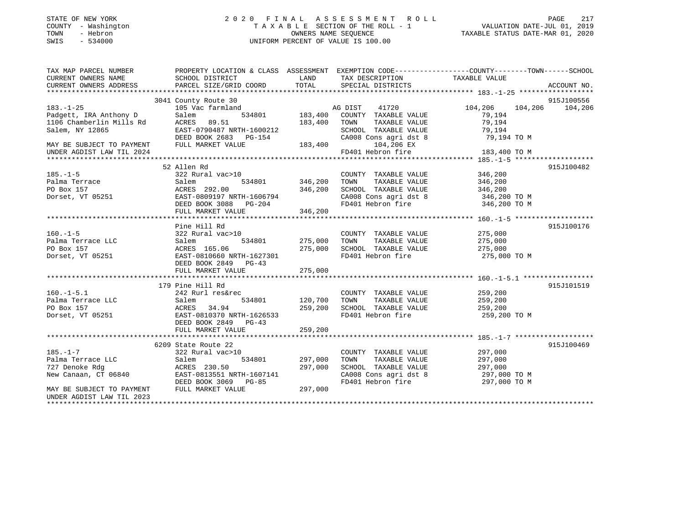| STATE OF NEW YORK |  |              |
|-------------------|--|--------------|
| COUNTY            |  | - Washington |
| TOWN              |  | - Hebron     |
| CM <sub>T</sub> C |  | $-$ 534000   |

# STATE OF NEW YORK 2 0 2 0 F I N A L A S S E S S M E N T R O L L PAGE 217 COUNTY - Washington T A X A B L E SECTION OF THE ROLL - 1 VALUATION DATE-JUL 01, 2019 TOWN - Hebron OWNERS NAME SEQUENCE TAXABLE STATUS DATE-MAR 01, 2020 SWIS - 534000 UNIFORM PERCENT OF VALUE IS 100.00UNIFORM PERCENT OF VALUE IS 100.00

| TAX MAP PARCEL NUMBER                                                                                                                                                                          | PROPERTY LOCATION & CLASS ASSESSMENT EXEMPTION CODE---------------COUNTY-------TOWN------SCHOOL |                                       |                                                                    |                    |                         |
|------------------------------------------------------------------------------------------------------------------------------------------------------------------------------------------------|-------------------------------------------------------------------------------------------------|---------------------------------------|--------------------------------------------------------------------|--------------------|-------------------------|
| CURRENT OWNERS NAME                                                                                                                                                                            | SCHOOL DISTRICT                                                                                 | <b>LAND</b>                           | TAX DESCRIPTION TAXABLE VALUE                                      |                    |                         |
| CURRENT OWNERS ADDRESS                                                                                                                                                                         | PARCEL SIZE/GRID COORD                                                                          | TOTAL                                 | SPECIAL DISTRICTS                                                  |                    | ACCOUNT NO.             |
|                                                                                                                                                                                                |                                                                                                 |                                       |                                                                    |                    |                         |
|                                                                                                                                                                                                | 3041 County Route 30                                                                            |                                       |                                                                    |                    | 915J100556              |
| $183. - 1 - 25$                                                                                                                                                                                | c farmland<br>534801 183,400<br>105 Vac farmland                                                |                                       | 41720<br>AG DIST                                                   |                    | 104,206 104,206 104,206 |
| Padgett, IRA Anthony D<br>1106 Chamberlin Mills Rd                                                                                                                                             | Salem                                                                                           |                                       | COUNTY TAXABLE VALUE                                               | 79,194             |                         |
|                                                                                                                                                                                                | ACRES 89.51                                                                                     | 183,400                               | TAXABLE VALUE<br>TOWN                                              | 79,194             |                         |
| Salem, NY 12865                                                                                                                                                                                | EASI-0790487 NRTH-1600212 SCHC<br>DEED BOOK 2683 PG-154 CA00<br>FULL MARKET VALUE 183,400       |                                       | SCHOOL TAXABLE VALUE<br>CA008 Cons agri dst 8                      | 79,194             |                         |
|                                                                                                                                                                                                |                                                                                                 |                                       |                                                                    | 79,194 TO M        |                         |
| MAY BE SUBJECT TO PAYMENT                                                                                                                                                                      |                                                                                                 |                                       | 104,206 EX                                                         |                    |                         |
| UNDER AGDIST LAW TIL 2024                                                                                                                                                                      |                                                                                                 |                                       | FD401 Hebron fire                                                  | 183,400 TO M       |                         |
|                                                                                                                                                                                                |                                                                                                 |                                       |                                                                    |                    |                         |
|                                                                                                                                                                                                | 52 Allen Rd                                                                                     |                                       |                                                                    |                    | 915J100482              |
| 185.-1-5<br>Palma Terrace                                                                                                                                                                      | 322 Rural vac>10                                                                                |                                       | COUNTY TAXABLE VALUE                                               | 346,200            |                         |
|                                                                                                                                                                                                | Salem                                                                                           |                                       | TAXABLE VALUE<br>TOWN                                              | 346,200            |                         |
| PO Box 157                                                                                                                                                                                     | ACRES 292.00                                                                                    | 346,200                               | SCHOOL TAXABLE VALUE 346,200<br>CA008 Cons agri dst 8 346,200 TO M |                    |                         |
| Dorset, VT 05251                                                                                                                                                                               | EAST-0809197 NRTH-1606794                                                                       |                                       | CA008 Cons agri dst 8<br>FD401 Hebron fire                         |                    |                         |
|                                                                                                                                                                                                | DEED BOOK 3088 PG-204                                                                           |                                       |                                                                    | 346,200 TO M       |                         |
|                                                                                                                                                                                                | FULL MARKET VALUE                                                                               | 346, 200                              |                                                                    |                    |                         |
|                                                                                                                                                                                                |                                                                                                 |                                       |                                                                    |                    |                         |
|                                                                                                                                                                                                | Pine Hill Rd                                                                                    |                                       |                                                                    |                    | 915J100176              |
| $160. -1 - 5$                                                                                                                                                                                  |                                                                                                 |                                       | COUNTY TAXABLE VALUE                                               |                    |                         |
| Palma Terrace LLC                                                                                                                                                                              | - 202 Rural vac>10<br>322 Rural vac>10<br>Salem 534801 275,000                                  |                                       | TAXABLE VALUE<br>TOWN                                              | 275,000<br>275,000 |                         |
| PO Box 157                                                                                                                                                                                     | ACRES 165.06<br>ACRES 165.06 275,000<br>EAST-0810660 NRTH-1627301                               |                                       | SCHOOL TAXABLE VALUE 275,000                                       |                    |                         |
| Dorset, VT 05251                                                                                                                                                                               |                                                                                                 |                                       | FD401 Hebron fire                                                  | 275,000 TO M       |                         |
|                                                                                                                                                                                                | DEED BOOK 2849 PG-43                                                                            |                                       |                                                                    |                    |                         |
|                                                                                                                                                                                                | FULL MARKET VALUE                                                                               | 275,000                               |                                                                    |                    |                         |
|                                                                                                                                                                                                |                                                                                                 |                                       |                                                                    |                    |                         |
|                                                                                                                                                                                                | 179 Pine Hill Rd                                                                                |                                       |                                                                    |                    | 915J101519              |
|                                                                                                                                                                                                | 242 Rurl res&rec                                                                                | c<br>534801                   120,700 | COUNTY TAXABLE VALUE 259,200                                       |                    |                         |
|                                                                                                                                                                                                |                                                                                                 |                                       | TOWN<br>TAXABLE VALUE                                              | 259,200            |                         |
| $\begin{tabular}{llllll} 160.-1-5.1 & 242 \; Rurl \; res\&\; \\\texttt{Palma} \; Terrace \; LLC & \; \texttt{Salem} \\ \texttt{PO} \; Box \; 157 & \; \texttt{ACRES} & 34.94 \\ \end{tabular}$ |                                                                                                 | 259,200                               | SCHOOL TAXABLE VALUE 259,200                                       |                    |                         |
| Dorset, VT 05251                                                                                                                                                                               | EAST-0810370 NRTH-1626533                                                                       |                                       | FD401 Hebron fire                                                  | 259,200 TO M       |                         |
|                                                                                                                                                                                                | DEED BOOK 2849 PG-43                                                                            |                                       |                                                                    |                    |                         |
|                                                                                                                                                                                                | FULL MARKET VALUE                                                                               | 259,200                               |                                                                    |                    |                         |
|                                                                                                                                                                                                |                                                                                                 |                                       |                                                                    |                    |                         |
|                                                                                                                                                                                                | 6209 State Route 22                                                                             |                                       |                                                                    |                    | 915J100469              |
| $185. - 1 - 7$                                                                                                                                                                                 | 322 Rural vac>10                                                                                |                                       | COUNTY TAXABLE VALUE                                               | 297,000            |                         |
| Palma Terrace LLC<br>727 Denoke Rdg                                                                                                                                                            | 534801 297,000<br>Salem                                                                         |                                       | TAXABLE VALUE<br>TOWN                                              | 297,000<br>297,000 |                         |
| 727 Denoke Rdg                                                                                                                                                                                 | ACRES 230.50                                                                                    | 297,000                               | SCHOOL TAXABLE VALUE                                               |                    |                         |
| New Canaan, CT 06840                                                                                                                                                                           | EAST-0813551 NRTH-1607141                                                                       |                                       | CA008 Cons agri dst 8 297,000 TO M                                 |                    |                         |
|                                                                                                                                                                                                | DEED BOOK 3069 PG-85                                                                            |                                       | FD401 Hebron fire                                                  | 297,000 TO M       |                         |
| MAY BE SUBJECT TO PAYMENT                                                                                                                                                                      | FULL MARKET VALUE                                                                               | 297,000                               |                                                                    |                    |                         |
| UNDER AGDIST LAW TIL 2023                                                                                                                                                                      |                                                                                                 |                                       |                                                                    |                    |                         |
|                                                                                                                                                                                                |                                                                                                 |                                       |                                                                    |                    |                         |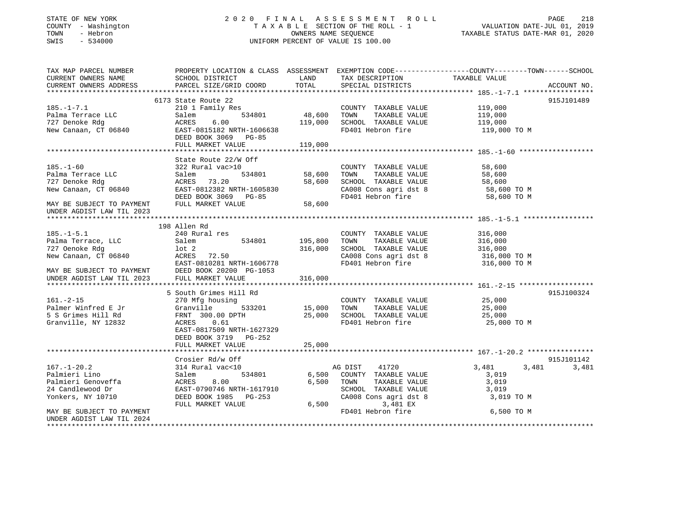# STATE OF NEW YORK 2 0 2 0 F I N A L A S S E S S M E N T R O L L PAGE 218 COUNTY - Washington T A X A B L E SECTION OF THE ROLL - 1 VALUATION DATE-JUL 01, 2019 TOWN - Hebron OWNERS NAME SEQUENCE TAXABLE STATUS DATE-MAR 01, 2020 SWIS - 534000 UNIFORM PERCENT OF VALUE IS 100.00

| TAX MAP PARCEL NUMBER     | PROPERTY LOCATION & CLASS ASSESSMENT EXEMPTION CODE----------------COUNTY-------TOWN------SCHOOL                                                                                                                                                         |         |                                                                                                                                                                                                                                                |            |            |
|---------------------------|----------------------------------------------------------------------------------------------------------------------------------------------------------------------------------------------------------------------------------------------------------|---------|------------------------------------------------------------------------------------------------------------------------------------------------------------------------------------------------------------------------------------------------|------------|------------|
|                           |                                                                                                                                                                                                                                                          |         |                                                                                                                                                                                                                                                |            |            |
|                           |                                                                                                                                                                                                                                                          |         |                                                                                                                                                                                                                                                |            |            |
|                           |                                                                                                                                                                                                                                                          |         |                                                                                                                                                                                                                                                |            |            |
|                           | 6173 State Route 22                                                                                                                                                                                                                                      |         |                                                                                                                                                                                                                                                |            | 915J101489 |
|                           |                                                                                                                                                                                                                                                          |         |                                                                                                                                                                                                                                                |            |            |
|                           |                                                                                                                                                                                                                                                          |         |                                                                                                                                                                                                                                                |            |            |
|                           | 210 1 Family Res<br>210 1 Family Res<br>210 1 Family Res<br>210 1 Family Res<br>210 1 Family Res<br>219,000 2010 119,000 2010 2010 2011 219,000<br>210,000 2010 2011 219,000                                                                             |         |                                                                                                                                                                                                                                                |            |            |
|                           |                                                                                                                                                                                                                                                          |         | FD401 Hebron fire 119,000 TO M                                                                                                                                                                                                                 |            |            |
|                           |                                                                                                                                                                                                                                                          |         |                                                                                                                                                                                                                                                |            |            |
|                           | FULL MARKET VALUE                                                                                                                                                                                                                                        | 119,000 |                                                                                                                                                                                                                                                |            |            |
|                           |                                                                                                                                                                                                                                                          |         |                                                                                                                                                                                                                                                |            |            |
|                           | State Route 22/W Off                                                                                                                                                                                                                                     |         | % Off<br>0 COUNTY TAXABLE VALUE<br>534801 58,600 TOWN TAXABLE VALUE<br>58,600 SCHOOL TAXABLE VALUE<br>58,600 CA008 Cons agri dst 8 58,600 TO M<br>71.1605830 CA008 Cons agri dst 8 58,600 TO M<br>71.17.17.22 Tobron fire<br>58,600 TO M<br>71 |            |            |
| $185. - 1 - 60$           | 322 Rural vac>10                                                                                                                                                                                                                                         |         |                                                                                                                                                                                                                                                |            |            |
|                           |                                                                                                                                                                                                                                                          |         |                                                                                                                                                                                                                                                |            |            |
|                           |                                                                                                                                                                                                                                                          |         |                                                                                                                                                                                                                                                |            |            |
|                           |                                                                                                                                                                                                                                                          |         |                                                                                                                                                                                                                                                |            |            |
|                           |                                                                                                                                                                                                                                                          |         |                                                                                                                                                                                                                                                |            |            |
|                           | 1931–1-00<br>Palma Terrace LLC 534801 58,600<br>727 Denoke Rdg (REES 73.20 58,600<br>New Canaan, CT 06840 EAST-0812382 NRTH-1605830 58,600<br>NAY BE SUBJECT TO PAYMENT FULL MARKET VALUE 58,600                                                         |         |                                                                                                                                                                                                                                                |            |            |
| UNDER AGDIST LAW TIL 2023 |                                                                                                                                                                                                                                                          |         |                                                                                                                                                                                                                                                |            |            |
|                           |                                                                                                                                                                                                                                                          |         |                                                                                                                                                                                                                                                |            |            |
|                           | 198 Allen Rd                                                                                                                                                                                                                                             |         |                                                                                                                                                                                                                                                |            |            |
| $185. -1 - 5.1$           | 240 Rural res                                                                                                                                                                                                                                            |         | COUNTY TAXABLE VALUE 316,000                                                                                                                                                                                                                   |            |            |
|                           |                                                                                                                                                                                                                                                          |         |                                                                                                                                                                                                                                                |            |            |
|                           |                                                                                                                                                                                                                                                          |         | $534801$ $195,800$ TOWN TAXABLE VALUE $316,000$ $316,000$ $534801$ $316,000$ $534801$                                                                                                                                                          |            |            |
|                           | 185.-1-5.1 240 Kutat 155<br>Palma Terrace, LLC Salem 534801 195,<br>727 Oenoke Rdg 1ot 2 316,<br>New Canaan, CT 06840 ACRES 72.50<br>MAY BE SUBJECT TO PAYMENT DEED BOOK 20200 PG-1053<br>MAY BE SUBJECT TO PAYMENT DEED BOOK 20200 PG-1                 | 316,000 |                                                                                                                                                                                                                                                |            |            |
|                           |                                                                                                                                                                                                                                                          |         | CA008 Cons agri dst 8<br>TD401 Hebron fire 316,000 TO M<br>316,000 TO M                                                                                                                                                                        |            |            |
|                           |                                                                                                                                                                                                                                                          |         |                                                                                                                                                                                                                                                |            |            |
|                           |                                                                                                                                                                                                                                                          |         |                                                                                                                                                                                                                                                |            |            |
|                           |                                                                                                                                                                                                                                                          | 316,000 |                                                                                                                                                                                                                                                |            |            |
|                           | 161.-2-15<br>270 Mfg housing<br>270 Mfg housing<br>270 Mfg housing<br>270 Mfg housing<br>270 Mfg housing<br>270 Mfg housing<br>270 Mfg housing<br>270 Mfg housing<br>270 Mfg housing<br>270 Mfg housing<br>270 Mfg housing<br>270 Mfg housing<br>270 Mfg |         |                                                                                                                                                                                                                                                |            |            |
|                           |                                                                                                                                                                                                                                                          |         |                                                                                                                                                                                                                                                |            | 915J100324 |
|                           |                                                                                                                                                                                                                                                          |         |                                                                                                                                                                                                                                                |            |            |
|                           |                                                                                                                                                                                                                                                          |         |                                                                                                                                                                                                                                                |            |            |
|                           |                                                                                                                                                                                                                                                          |         |                                                                                                                                                                                                                                                |            |            |
|                           |                                                                                                                                                                                                                                                          |         | FD401 Hebron fire 35,000 TO M                                                                                                                                                                                                                  |            |            |
|                           | EAST-0817509 NRTH-1627329                                                                                                                                                                                                                                |         |                                                                                                                                                                                                                                                |            |            |
|                           | DEED BOOK 3719 PG-252                                                                                                                                                                                                                                    |         |                                                                                                                                                                                                                                                |            |            |
|                           | FULL MARKET VALUE                                                                                                                                                                                                                                        | 25,000  |                                                                                                                                                                                                                                                |            |            |
|                           |                                                                                                                                                                                                                                                          |         |                                                                                                                                                                                                                                                |            |            |
|                           | Crosier Rd/w Off                                                                                                                                                                                                                                         |         |                                                                                                                                                                                                                                                |            | 915J101142 |
|                           |                                                                                                                                                                                                                                                          |         | AG DIST 41720 3,481                                                                                                                                                                                                                            | 3,481      | 3,481      |
|                           |                                                                                                                                                                                                                                                          |         |                                                                                                                                                                                                                                                |            |            |
|                           |                                                                                                                                                                                                                                                          |         |                                                                                                                                                                                                                                                |            |            |
|                           |                                                                                                                                                                                                                                                          |         |                                                                                                                                                                                                                                                |            |            |
|                           | 167.-1-20.2<br>Palmieri Lino 314 Rural vac<10<br>Palmieri Genoveffa Salem 534801 6,500<br>24 Candlewood Dr EAST-0790746 NRTH-1617910<br>Yonkers, NY 10710 DEED BOOK 1985 PG-253<br>THE DRESS PORT OF THE POST PG-253                                     |         | SCHOOL TAXABLE VALUE 3,019<br>CA008 Cons agri dst 8 3,019 TO M                                                                                                                                                                                 |            |            |
|                           | FULL MARKET VALUE                                                                                                                                                                                                                                        |         | 6,500<br>3,481 EX                                                                                                                                                                                                                              |            |            |
| MAY BE SUBJECT TO PAYMENT |                                                                                                                                                                                                                                                          |         | FD401 Hebron fire                                                                                                                                                                                                                              | 6,500 TO M |            |
| UNDER AGDIST LAW TIL 2024 |                                                                                                                                                                                                                                                          |         |                                                                                                                                                                                                                                                |            |            |
|                           |                                                                                                                                                                                                                                                          |         |                                                                                                                                                                                                                                                |            |            |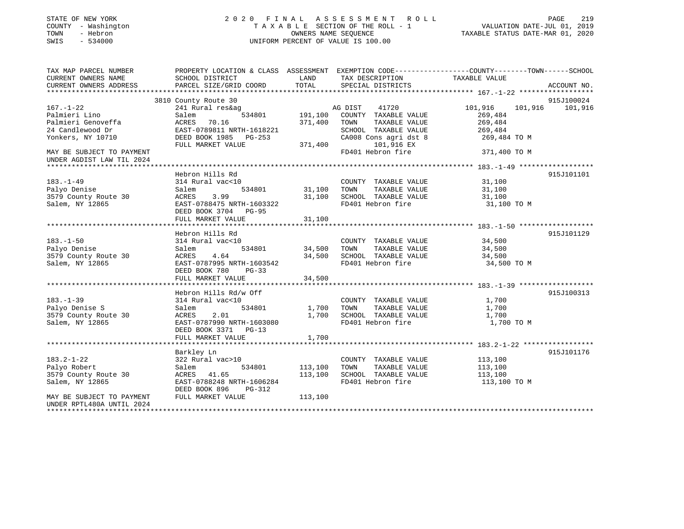| STATE OF NEW YORK<br>COUNTY - Washington<br>TOWN<br>- Hebron<br>SWIS<br>$-534000$ |                                                                                                 | OWNERS NAME SEOUENCE | 2020 FINAL ASSESSMENT<br>ROLL ROLL<br>TAXABLE SECTION OF THE ROLL - 1<br>UNIFORM PERCENT OF VALUE IS 100.00 | VALUATION DATE-JUL 01, 2019<br>TAXABLE STATUS DATE-MAR 01, 2020 | PAGE<br>219     |
|-----------------------------------------------------------------------------------|-------------------------------------------------------------------------------------------------|----------------------|-------------------------------------------------------------------------------------------------------------|-----------------------------------------------------------------|-----------------|
| TAX MAP PARCEL NUMBER                                                             | PROPERTY LOCATION & CLASS ASSESSMENT EXEMPTION CODE----------------COUNTY-------TOWN-----SCHOOL |                      |                                                                                                             |                                                                 |                 |
| CURRENT OWNERS NAME<br>CURRENT OWNERS ADDRESS                                     | SCHOOL DISTRICT<br>PARCEL SIZE/GRID COORD                                                       | LAND<br>TOTAL        | TAX DESCRIPTION<br>SPECIAL DISTRICTS                                                                        | TAXABLE VALUE                                                   | ACCOUNT NO.     |
| ******************                                                                |                                                                                                 |                      |                                                                                                             | **************** 167.-1-22 *******************                  |                 |
|                                                                                   | 3810 County Route 30                                                                            |                      |                                                                                                             |                                                                 | 915J100024      |
| $167. - 1 - 22$                                                                   | 241 Rural res&ag                                                                                |                      | 41720<br>AG DIST                                                                                            | 101,916                                                         | 101,916 101,916 |
| Palmieri Lino                                                                     | Salem<br>534801                                                                                 | 191,100              | COUNTY TAXABLE VALUE                                                                                        | 269,484                                                         |                 |
| Palmieri Genoveffa                                                                | ACRES<br>70.16                                                                                  | 371,400              | TOWN<br>TAXABLE VALUE                                                                                       | 269,484                                                         |                 |
| 24 Candlewood Dr                                                                  | EAST-0789811 NRTH-1618221                                                                       |                      | SCHOOL TAXABLE VALUE                                                                                        | 269,484                                                         |                 |
| Yonkers, NY 10710                                                                 | DEED BOOK 1985 PG-253                                                                           |                      | CA008 Cons agri dst 8                                                                                       | 269,484 TO M                                                    |                 |
|                                                                                   | FULL MARKET VALUE                                                                               | 371,400              | 101,916 EX                                                                                                  |                                                                 |                 |
| MAY BE SUBJECT TO PAYMENT<br>UNDER AGDIST LAW TIL 2024                            |                                                                                                 |                      | FD401 Hebron fire                                                                                           | 371,400 TO M                                                    |                 |
| * * * * * * * * * * * * * * * * * * * *                                           |                                                                                                 |                      |                                                                                                             | ********** 183.-1-49 *******************                        |                 |
|                                                                                   | Hebron Hills Rd                                                                                 |                      |                                                                                                             |                                                                 | 915J101101      |
| $183. - 1 - 49$                                                                   | 314 Rural vac<10                                                                                |                      | COUNTY TAXABLE VALUE<br>TOWN<br>TAXABLE VALUE                                                               | 31,100                                                          |                 |
| Palyo Denise<br>3579 County Route 30                                              | Salem<br>534801<br>ACRES<br>3.99                                                                | 31,100<br>31,100     | SCHOOL TAXABLE VALUE                                                                                        | 31,100<br>31,100                                                |                 |
| Salem, NY 12865                                                                   | EAST-0788475 NRTH-1603322                                                                       |                      | FD401 Hebron fire                                                                                           | 31,100 TO M                                                     |                 |
|                                                                                   | DEED BOOK 3704 PG-95                                                                            |                      |                                                                                                             |                                                                 |                 |
|                                                                                   | FULL MARKET VALUE                                                                               | 31,100               |                                                                                                             |                                                                 |                 |
|                                                                                   |                                                                                                 |                      |                                                                                                             |                                                                 |                 |
|                                                                                   | Hebron Hills Rd                                                                                 |                      |                                                                                                             |                                                                 | 915J101129      |
| $183. - 1 - 50$                                                                   | 314 Rural vac<10                                                                                |                      | COUNTY TAXABLE VALUE                                                                                        | 34,500                                                          |                 |
| Palyo Denise                                                                      | 534801<br>Salem                                                                                 | 34,500               | TOWN<br>TAXABLE VALUE                                                                                       | 34,500                                                          |                 |
| 3579 County Route 30                                                              | ACRES<br>4.64                                                                                   | 34,500               | SCHOOL TAXABLE VALUE                                                                                        | 34,500                                                          |                 |
| Salem, NY 12865                                                                   | EAST-0787995 NRTH-1603542                                                                       |                      | FD401 Hebron fire                                                                                           | 34,500 TO M                                                     |                 |
|                                                                                   | DEED BOOK 780<br>$PG-33$<br>FULL MARKET VALUE                                                   | 34,500               |                                                                                                             |                                                                 |                 |
|                                                                                   |                                                                                                 |                      |                                                                                                             |                                                                 |                 |
|                                                                                   | Hebron Hills Rd/w Off                                                                           |                      |                                                                                                             |                                                                 | 915J100313      |
| $183. - 1 - 39$                                                                   | 314 Rural vac<10                                                                                |                      | COUNTY TAXABLE VALUE                                                                                        | 1,700                                                           |                 |
| Palyo Denise S                                                                    | 534801<br>Salem                                                                                 | 1,700                | TAXABLE VALUE<br>TOWN                                                                                       | 1,700                                                           |                 |
| 3579 County Route 30                                                              | 2.01<br>ACRES                                                                                   | 1,700                | SCHOOL TAXABLE VALUE                                                                                        | 1,700                                                           |                 |
| Salem, NY 12865                                                                   | EAST-0787990 NRTH-1603080                                                                       |                      | FD401 Hebron fire                                                                                           | 1,700 TO M                                                      |                 |
|                                                                                   | DEED BOOK 3371 PG-13                                                                            |                      |                                                                                                             |                                                                 |                 |
|                                                                                   | FULL MARKET VALUE                                                                               | 1,700                |                                                                                                             |                                                                 |                 |
|                                                                                   |                                                                                                 |                      |                                                                                                             | ********************** 183.2-1-22 ************                  |                 |
|                                                                                   | Barkley Ln                                                                                      |                      |                                                                                                             |                                                                 | 915J101176      |
| $183.2 - 1 - 22$                                                                  | 322 Rural vac>10                                                                                |                      | COUNTY TAXABLE VALUE                                                                                        | 113,100                                                         |                 |
| Palyo Robert<br>3579 County Route 30                                              | Salem<br>534801<br>ACRES 41.65                                                                  | 113,100<br>113,100   | TAXABLE VALUE<br>TOWN<br>SCHOOL TAXABLE VALUE                                                               | 113,100<br>113,100                                              |                 |
| Salem, NY 12865                                                                   | EAST-0788248 NRTH-1606284                                                                       |                      | FD401 Hebron fire                                                                                           | 113,100 TO M                                                    |                 |
|                                                                                   | DEED BOOK 896<br>PG-312                                                                         |                      |                                                                                                             |                                                                 |                 |
| MAY BE SUBJECT TO PAYMENT                                                         | FULL MARKET VALUE                                                                               | 113,100              |                                                                                                             |                                                                 |                 |
| UNDER RPTL480A UNTIL 2024                                                         |                                                                                                 |                      |                                                                                                             |                                                                 |                 |
| *************************                                                         |                                                                                                 |                      |                                                                                                             |                                                                 |                 |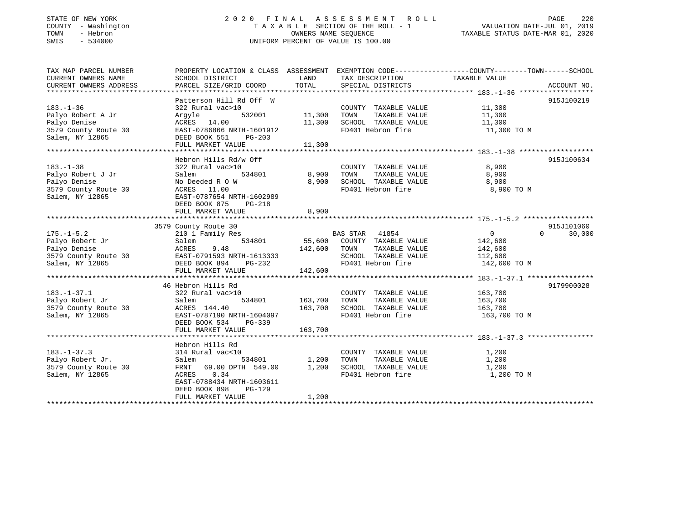# STATE OF NEW YORK 2 0 2 0 F I N A L A S S E S S M E N T R O L L PAGE 220 COUNTY - Washington T A X A B L E SECTION OF THE ROLL - 1 VALUATION DATE-JUL 01, 2019 TOWN - Hebron OWNERS NAME SEQUENCE TAXABLE STATUS DATE-MAR 01, 2020 SWIS - 534000 UNIFORM PERCENT OF VALUE IS 100.00

| TAX MAP PARCEL NUMBER<br>CURRENT OWNERS NAME                                                    | PROPERTY LOCATION & CLASS ASSESSMENT EXEMPTION CODE---------------COUNTY-------TOWN-----SCHOOL<br>SCHOOL DISTRICT                                                                                                                                                                                                                                                                                                                                       |                            | LAND TAX DESCRIPTION                                                                                                                                                                          |                              |                    |
|-------------------------------------------------------------------------------------------------|---------------------------------------------------------------------------------------------------------------------------------------------------------------------------------------------------------------------------------------------------------------------------------------------------------------------------------------------------------------------------------------------------------------------------------------------------------|----------------------------|-----------------------------------------------------------------------------------------------------------------------------------------------------------------------------------------------|------------------------------|--------------------|
| CURRENT OWNERS ADDRESS                                                                          | PARCEL SIZE/GRID COORD TOTAL SPECIAL DISTRICTS                                                                                                                                                                                                                                                                                                                                                                                                          |                            |                                                                                                                                                                                               | TAXABLE VALUE                | ACCOUNT NO.        |
|                                                                                                 |                                                                                                                                                                                                                                                                                                                                                                                                                                                         |                            |                                                                                                                                                                                               |                              |                    |
| $183. - 1 - 36$<br>Palyo Robert A Jr<br>Palyo Denise<br>3579 County Route 30<br>Salem, NY 12865 | Patterson Hill Rd Off W<br>322 Rural vac>10<br>Argyle<br>ACRES 14.00<br>BAST-0786866 NRTH-1601912<br>DEED BOOK 551 PG-203                                                                                                                                                                                                                                                                                                                               |                            | 10 COUNTY TAXABLE VALUE 11,300 11,300 11,300 11,300 2010 11,300 2010 11,300 2010 11,300 2010 11,300 2010 11,300 2010 11,300 2010 11,300 2010 11,300 2010 11,300 2010<br>FD401 Hebron fire     | 11,300 TO M                  | 915J100219         |
|                                                                                                 |                                                                                                                                                                                                                                                                                                                                                                                                                                                         |                            |                                                                                                                                                                                               |                              |                    |
|                                                                                                 |                                                                                                                                                                                                                                                                                                                                                                                                                                                         |                            |                                                                                                                                                                                               |                              |                    |
|                                                                                                 | Hebron Hills Rd/w Off<br>cal vac>10 0<br>534801 6,900 TOWN<br>183.-1-38<br>Palyo Robert J Jr<br>Palyo Pohise<br>322 Rural vac>10<br>534801<br>Palyo Denise<br>3579 County Route 30<br>Salem, NY 12865<br>828T-0787654 NRTH-1602989<br>DEED BOOK 875<br>PG-218                                                                                                                                                                                           |                            | COUNTY TAXABLE VALUE 8,900<br>TAXABLE VALUE<br>8,900 SCHOOL TAXABLE VALUE 8,900<br>FD401 Hebron fire 8,900 8 900<br>FD401 Hebron fire 3,900 TO M                                              | 8,900                        | 915J100634         |
|                                                                                                 | FULL MARKET VALUE                                                                                                                                                                                                                                                                                                                                                                                                                                       | 8,900                      |                                                                                                                                                                                               |                              |                    |
|                                                                                                 | 3579 County Route 30                                                                                                                                                                                                                                                                                                                                                                                                                                    |                            |                                                                                                                                                                                               |                              | 915J101060         |
| $175. - 1 - 5.2$                                                                                | County Route 30<br>210 1 Family Res 834801<br>55,600 COUNTY TAXABLE VALUE 142,600<br>55,600 COUNTY TAXABLE VALUE 142,600<br>142,600 COUNTY TAXABLE VALUE 142,600<br>Palyo Robert Jr (1990)<br>Palyo Robert Jr (1990)<br>Palyo Denise (1990)<br>210 1 Family Res (1990)<br>210 1 Family Res (1990)<br>210 1 Family Res (1990)<br>210 1 Family Res (1990)<br>210 12,600<br>212,600<br>212,600<br>212,600<br>212,600<br>212,6<br>FULL MARKET VALUE 142,600 |                            | FD401 Hebron fire 142,600 TO M                                                                                                                                                                | $\overline{0}$               | $\Omega$<br>30,000 |
|                                                                                                 |                                                                                                                                                                                                                                                                                                                                                                                                                                                         |                            |                                                                                                                                                                                               |                              |                    |
| $183. - 1 - 37.1$                                                                               | 46 Hebron Hills Rd<br>322 Rural vac>10<br>322 Ru<br>Salem<br>DEED BOOK 534<br>PG-339                                                                                                                                                                                                                                                                                                                                                                    |                            | 0 700 7 7AXABLE VALUE 163,700 2001 7AXABLE VALUE 163,700 2011 163,700 2011 7AXABLE VALUE<br>COUNTY TAXABLE VALUE 163,700<br>163,700 SCHOOL TAXABLE VALUE 163,700<br>FD401 Hebron fire 163,700 | 163,700 TO M                 | 9179900028         |
|                                                                                                 | FULL MARKET VALUE                                                                                                                                                                                                                                                                                                                                                                                                                                       | 163,700                    |                                                                                                                                                                                               |                              |                    |
|                                                                                                 |                                                                                                                                                                                                                                                                                                                                                                                                                                                         |                            |                                                                                                                                                                                               |                              |                    |
| $183. - 1 - 37.3$<br>Palyo Robert Jr.<br>Salem, NY 12865                                        | Hebron Hills Rd<br>314 Rural vac<10<br>Salem<br>3579 County Route 30 FRNT 69.00 DPTH 549.00 1,200 SCHOOL TAXABLE VALUE 1,200<br>ACRES 0.34<br>EAST-0788434 NRTH-1603611<br>DEED BOOK 898<br>$PG-129$<br>FULL MARKET VALUE                                                                                                                                                                                                                               | 534801 1,200 TOWN<br>1,200 | COUNTY TAXABLE VALUE<br>THEIRE VILLE<br>FD401 Hebron fire                                                                                                                                     | 1,200<br>1,200<br>1,200 TO M |                    |
|                                                                                                 |                                                                                                                                                                                                                                                                                                                                                                                                                                                         |                            |                                                                                                                                                                                               |                              |                    |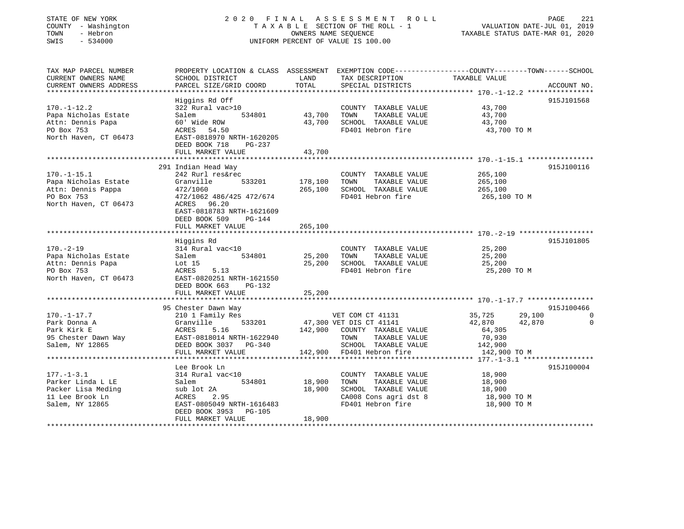# STATE OF NEW YORK 2 0 2 0 F I N A L A S S E S S M E N T R O L L PAGE 221 COUNTY - Washington T A X A B L E SECTION OF THE ROLL - 1 VALUATION DATE-JUL 01, 2019 TOWN - Hebron OWNERS NAME SEQUENCE TAXABLE STATUS DATE-MAR 01, 2020 SWIS - 534000 UNIFORM PERCENT OF VALUE IS 100.00

| TAX MAP PARCEL NUMBER<br>CURRENT OWNERS NAME<br>CURRENT OWNERS ADDRESS | PROPERTY LOCATION & CLASS ASSESSMENT<br>SCHOOL DISTRICT<br>PARCEL SIZE/GRID COORD | LAND<br>TOTAL    | EXEMPTION CODE-----------------COUNTY-------TOWN------SCHOOL<br>TAX DESCRIPTION<br>SPECIAL DISTRICTS | TAXABLE VALUE              | ACCOUNT NO. |
|------------------------------------------------------------------------|-----------------------------------------------------------------------------------|------------------|------------------------------------------------------------------------------------------------------|----------------------------|-------------|
|                                                                        |                                                                                   |                  |                                                                                                      |                            |             |
| $170. - 1 - 12.2$<br>Papa Nicholas Estate                              | Higgins Rd Off<br>322 Rural vac>10<br>534801<br>Salem                             | 43,700           | COUNTY TAXABLE VALUE<br>TOWN<br>TAXABLE VALUE                                                        | 43,700<br>43,700           | 915J101568  |
| Attn: Dennis Papa<br>PO Box 753                                        | 60' Wide ROW<br>54.50<br>ACRES                                                    | 43,700           | SCHOOL TAXABLE VALUE<br>FD401 Hebron fire                                                            | 43,700<br>43,700 TO M      |             |
| North Haven, CT 06473                                                  | EAST-0818970 NRTH-1620205<br>DEED BOOK 718<br>PG-237                              | 43,700           |                                                                                                      |                            |             |
|                                                                        | FULL MARKET VALUE                                                                 |                  |                                                                                                      |                            |             |
|                                                                        | 291 Indian Head Way                                                               |                  |                                                                                                      |                            | 915J100116  |
| $170. - 1 - 15.1$                                                      | 242 Rurl res&rec                                                                  |                  | COUNTY TAXABLE VALUE                                                                                 | 265,100                    |             |
| Papa Nicholas Estate                                                   | 533201<br>Granville                                                               | 178,100          | TOWN<br>TAXABLE VALUE                                                                                | 265,100                    |             |
| Attn: Dennis Pappa                                                     | 472/1060                                                                          | 265,100          | SCHOOL TAXABLE VALUE                                                                                 | 265,100                    |             |
| PO Box 753                                                             | 472/1062 486/425 472/674                                                          |                  | FD401 Hebron fire                                                                                    | 265,100 TO M               |             |
| North Haven, CT 06473                                                  | ACRES 96.20                                                                       |                  |                                                                                                      |                            |             |
|                                                                        | EAST-0818783 NRTH-1621609                                                         |                  |                                                                                                      |                            |             |
|                                                                        | DEED BOOK 509<br>PG-144                                                           |                  |                                                                                                      |                            |             |
|                                                                        | FULL MARKET VALUE                                                                 | 265,100          |                                                                                                      |                            |             |
|                                                                        |                                                                                   |                  |                                                                                                      |                            |             |
|                                                                        | Higgins Rd                                                                        |                  |                                                                                                      |                            | 915J101805  |
| $170. - 2 - 19$                                                        | 314 Rural vac<10                                                                  |                  | COUNTY TAXABLE VALUE                                                                                 | 25,200                     |             |
| Papa Nicholas Estate<br>Attn: Dennis Papa                              | Salem<br>534801<br>Lot 15                                                         | 25,200<br>25,200 | TOWN<br>TAXABLE VALUE<br>SCHOOL TAXABLE VALUE                                                        | 25,200<br>25,200           |             |
| PO Box 753                                                             | ACRES<br>5.13                                                                     |                  | FD401 Hebron fire                                                                                    | 25,200 TO M                |             |
| North Haven, CT 06473                                                  | EAST-0820251 NRTH-1621550                                                         |                  |                                                                                                      |                            |             |
|                                                                        | DEED BOOK 663<br>PG-132                                                           |                  |                                                                                                      |                            |             |
|                                                                        | FULL MARKET VALUE                                                                 | 25,200           |                                                                                                      |                            |             |
|                                                                        |                                                                                   |                  |                                                                                                      |                            |             |
|                                                                        | 95 Chester Dawn Way                                                               |                  |                                                                                                      |                            | 915J100466  |
| $170. - 1 - 17.7$                                                      | 210 1 Family Res                                                                  |                  | VET COM CT 41131                                                                                     | 35,725<br>29,100           | 0           |
| Park Donna A                                                           | Granville<br>533201                                                               |                  | 47,300 VET DIS CT 41141                                                                              | 42,870<br>42,870           | $\mathbf 0$ |
| Park Kirk E                                                            | ACRES<br>5.16                                                                     |                  | 142,900 COUNTY TAXABLE VALUE                                                                         | 64,305                     |             |
| 95 Chester Dawn Way                                                    | EAST-0818014 NRTH-1622940                                                         |                  | TOWN<br>TAXABLE VALUE                                                                                | 70,930                     |             |
| Salem, NY 12865                                                        | DEED BOOK 3037 PG-340                                                             |                  | SCHOOL TAXABLE VALUE                                                                                 | 142,900                    |             |
|                                                                        | FULL MARKET VALUE                                                                 |                  | 142,900 FD401 Hebron fire                                                                            | 142,900 TO M               |             |
|                                                                        |                                                                                   |                  |                                                                                                      |                            |             |
|                                                                        | Lee Brook Ln                                                                      |                  |                                                                                                      |                            | 915J100004  |
| $177. - 1 - 3.1$                                                       | 314 Rural vac<10                                                                  |                  | COUNTY TAXABLE VALUE                                                                                 | 18,900                     |             |
| Parker Linda L LE                                                      | 534801<br>Salem                                                                   | 18,900           | TOWN<br>TAXABLE VALUE                                                                                | 18,900                     |             |
| Packer Lisa Meding                                                     | sub lot 2A                                                                        | 18,900           | SCHOOL TAXABLE VALUE                                                                                 | 18,900                     |             |
| 11 Lee Brook Ln<br>Salem, NY 12865                                     | ACRES<br>2.95<br>EAST-0805049 NRTH-1616483                                        |                  | CA008 Cons agri dst 8<br>FD401 Hebron fire                                                           | 18,900 TO M<br>18,900 TO M |             |
|                                                                        | DEED BOOK 3953 PG-105                                                             |                  |                                                                                                      |                            |             |
|                                                                        | FULL MARKET VALUE                                                                 | 18,900           |                                                                                                      |                            |             |
|                                                                        |                                                                                   |                  |                                                                                                      |                            |             |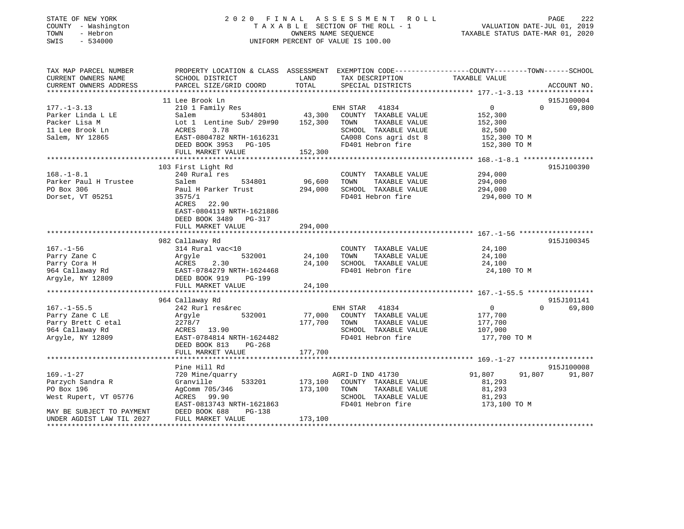# STATE OF NEW YORK 2 0 2 0 F I N A L A S S E S S M E N T R O L L PAGE 222 COUNTY - Washington T A X A B L E SECTION OF THE ROLL - 1 VALUATION DATE-JUL 01, 2019 TOWN - Hebron OWNERS NAME SEQUENCE TAXABLE STATUS DATE-MAR 01, 2020 SWIS - 534000 UNIFORM PERCENT OF VALUE IS 100.00UNIFORM PERCENT OF VALUE IS 100.00

| TAX MAP PARCEL NUMBER<br>CURRENT OWNERS NAME<br>CURRENT OWNERS ADDRESS | PROPERTY LOCATION & CLASS ASSESSMENT EXEMPTION CODE---------------COUNTY-------TOWN-----SCHOOL<br>SCHOOL DISTRICT<br>PARCEL SIZE/GRID COORD | LAND<br>TOTAL | TAX DESCRIPTION<br>SPECIAL DISTRICTS | TAXABLE VALUE              | ACCOUNT NO.        |
|------------------------------------------------------------------------|---------------------------------------------------------------------------------------------------------------------------------------------|---------------|--------------------------------------|----------------------------|--------------------|
|                                                                        |                                                                                                                                             |               |                                      |                            |                    |
|                                                                        | 11 Lee Brook Ln                                                                                                                             |               |                                      |                            | 915J100004         |
| $177. - 1 - 3.13$                                                      | 210 1 Family Res                                                                                                                            |               | ENH STAR 41834                       | $\overline{0}$             | $\Omega$<br>69,800 |
| Parker Linda L LE                                                      | Salem                                                                                                                                       |               | 534801 43,300 COUNTY TAXABLE VALUE   | 152,300                    |                    |
| Packer Lisa M                                                          | Lot 1 Lentine Sub/ 29#90 152,300 TOWN                                                                                                       |               | TAXABLE VALUE                        | 152,300                    |                    |
| 11 Lee Brook Ln                                                        | ACRES<br>3.78                                                                                                                               |               | SCHOOL TAXABLE VALUE                 | 82,500                     |                    |
| Salem, NY 12865                                                        | EAST-0804782 NRTH-1616231                                                                                                                   |               | CA008 Cons agri dst 8                | 152,300 TO M               |                    |
|                                                                        | DEED BOOK 3953 PG-105                                                                                                                       |               | FD401 Hebron fire                    | 152,300 TO M               |                    |
|                                                                        | FULL MARKET VALUE                                                                                                                           | 152,300       |                                      |                            |                    |
|                                                                        |                                                                                                                                             |               |                                      |                            |                    |
|                                                                        | 103 First Light Rd                                                                                                                          |               |                                      |                            | 915J100390         |
| $168. - 1 - 8.1$                                                       | 240 Rural res                                                                                                                               |               | COUNTY TAXABLE VALUE                 | 294,000                    |                    |
| Parker Paul H Trustee                                                  | 534801<br>Salem                                                                                                                             | 96,600        | TOWN<br>TAXABLE VALUE                | 294,000                    |                    |
| PO Box 306                                                             | Paul H Parker Trust                                                                                                                         |               | 294,000 SCHOOL TAXABLE VALUE         | 294,000                    |                    |
| Dorset, VT 05251                                                       | 3575/1                                                                                                                                      |               | FD401 Hebron fire                    | 294,000 TO M               |                    |
|                                                                        | ACRES 22.90                                                                                                                                 |               |                                      |                            |                    |
|                                                                        | EAST-0804119 NRTH-1621886                                                                                                                   |               |                                      |                            |                    |
|                                                                        | DEED BOOK 3489 PG-317                                                                                                                       |               |                                      |                            |                    |
|                                                                        | FULL MARKET VALUE                                                                                                                           | 294,000       |                                      |                            |                    |
|                                                                        |                                                                                                                                             |               |                                      |                            |                    |
|                                                                        | 982 Callaway Rd                                                                                                                             |               |                                      |                            | 915J100345         |
| $167. - 1 - 56$                                                        | 314 Rural vac<10                                                                                                                            |               | COUNTY TAXABLE VALUE                 | 24,100                     |                    |
| Parry Zane C                                                           |                                                                                                                                             | 24,100 TOWN   | TAXABLE VALUE                        | 24,100                     |                    |
| Parry Cora H                                                           |                                                                                                                                             | 24,100        | SCHOOL TAXABLE VALUE                 | 24,100                     |                    |
| 964 Callaway Rd                                                        | Argyle 532001<br>ACRES 2.30<br>EAST-0784279 NRTH-1624468<br>ACRES 10 DC-199                                                                 |               | FD401 Hebron fire                    | 24,100 TO M                |                    |
| Argyle, NY 12809                                                       | DEED BOOK 919<br>PG-199                                                                                                                     |               |                                      |                            |                    |
|                                                                        | FULL MARKET VALUE                                                                                                                           | 24,100        |                                      |                            |                    |
|                                                                        | 964 Callaway Rd                                                                                                                             |               |                                      |                            | 915J101141         |
| $167. - 1 - 55.5$                                                      | 242 Rurl res&rec                                                                                                                            |               | ENH STAR<br>41834                    | $\overline{0}$             | 69,800<br>$\Omega$ |
| Parry Zane C LE                                                        | 532001<br>Argyle                                                                                                                            |               | 77,000 COUNTY TAXABLE VALUE          | 177,700                    |                    |
| Parry Brett C etal                                                     | 2278/7                                                                                                                                      | 177,700 TOWN  | TAXABLE VALUE                        | 177,700                    |                    |
| 964 Callaway Rd                                                        | ACRES 13.90                                                                                                                                 |               | SCHOOL TAXABLE VALUE                 | 107,900                    |                    |
| Argyle, NY 12809                                                       | EAST-0784814 NRTH-1624482                                                                                                                   |               | FD401 Hebron fire                    | 177,700 TO M               |                    |
|                                                                        | DEED BOOK 813<br>PG-268                                                                                                                     |               |                                      |                            |                    |
|                                                                        | FULL MARKET VALUE                                                                                                                           | 177,700       |                                      |                            |                    |
|                                                                        |                                                                                                                                             |               |                                      |                            |                    |
|                                                                        | Pine Hill Rd                                                                                                                                |               |                                      |                            | 915J100008         |
| $169. - 1 - 27$                                                        | 720 Mine/quarry                                                                                                                             |               | AGRI-D IND 41730                     | 91,807<br>91,807           | 91,807             |
| Parzych Sandra R                                                       | Granville<br>533201                                                                                                                         |               | 173,100 COUNTY TAXABLE VALUE         | 81,293                     |                    |
| PO Box 196                                                             | AgComm 705/346                                                                                                                              | 173,100       | TOWN<br>TAXABLE VALUE                |                            |                    |
| West Rupert, VT 05776                                                  | ACRES 99.90                                                                                                                                 |               | SCHOOL TAXABLE VALUE                 | 81,293<br>81.293<br>81,293 |                    |
|                                                                        | EAST-0813743 NRTH-1621863                                                                                                                   |               | FD401 Hebron fire                    | 173,100 TO M               |                    |
| MAY BE SUBJECT TO PAYMENT                                              | DEED BOOK 688<br>PG-138                                                                                                                     |               |                                      |                            |                    |
| UNDER AGDIST LAW TIL 2027                                              | FULL MARKET VALUE                                                                                                                           | 173,100       |                                      |                            |                    |
|                                                                        |                                                                                                                                             |               |                                      |                            |                    |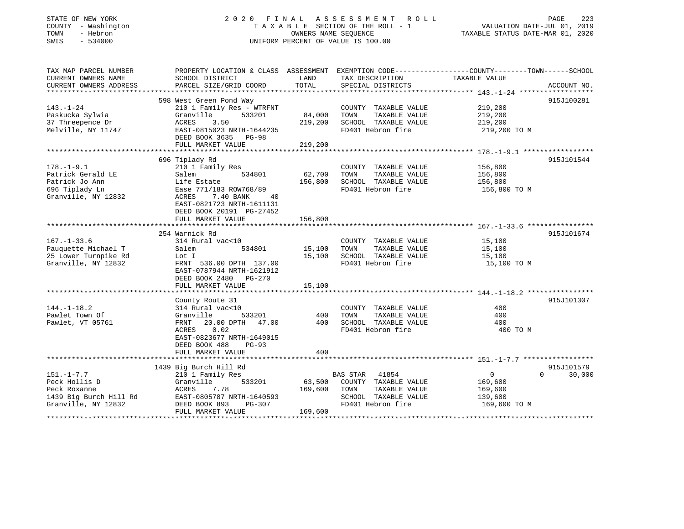# STATE OF NEW YORK 2 0 2 0 F I N A L A S S E S S M E N T R O L L PAGE 223 COUNTY - Washington T A X A B L E SECTION OF THE ROLL - 1 VALUATION DATE-JUL 01, 2019 TOWN - Hebron OWNERS NAME SEQUENCE TAXABLE STATUS DATE-MAR 01, 2020 SWIS - 534000 UNIFORM PERCENT OF VALUE IS 100.00

| TAX MAP PARCEL NUMBER                       | PROPERTY LOCATION & CLASS ASSESSMENT EXEMPTION CODE----------------COUNTY-------TOWN-----SCHOOL |                  |                                               |                       |                    |
|---------------------------------------------|-------------------------------------------------------------------------------------------------|------------------|-----------------------------------------------|-----------------------|--------------------|
| CURRENT OWNERS NAME                         | SCHOOL DISTRICT                                                                                 | LAND             | TAX DESCRIPTION                               | TAXABLE VALUE         |                    |
| CURRENT OWNERS ADDRESS                      | PARCEL SIZE/GRID COORD                                                                          | TOTAL            | SPECIAL DISTRICTS                             |                       | ACCOUNT NO.        |
|                                             | 598 West Green Pond Way                                                                         |                  |                                               |                       | 915J100281         |
| $143. - 1 - 24$                             | 210 1 Family Res - WTRFNT                                                                       |                  | COUNTY TAXABLE VALUE                          | 219,200               |                    |
| Paskucka Sylwia                             | 533201<br>Granville                                                                             | 84,000           | TOWN<br>TAXABLE VALUE                         | 219,200               |                    |
| 37 Threepence Dr                            | 3.50<br>ACRES                                                                                   | 219,200          | SCHOOL TAXABLE VALUE                          | 219,200               |                    |
| Melville, NY 11747                          | EAST-0815023 NRTH-1644235                                                                       |                  | FD401 Hebron fire                             | 219,200 TO M          |                    |
|                                             | DEED BOOK 3635 PG-98                                                                            |                  |                                               |                       |                    |
|                                             | FULL MARKET VALUE                                                                               | 219,200          |                                               |                       |                    |
|                                             |                                                                                                 |                  |                                               |                       |                    |
|                                             | 696 Tiplady Rd                                                                                  |                  |                                               |                       | 915J101544         |
| $178. - 1 - 9.1$                            | 210 1 Family Res                                                                                |                  | COUNTY TAXABLE VALUE                          | 156,800               |                    |
| Patrick Gerald LE                           | 534801<br>Salem                                                                                 | 62,700           | TAXABLE VALUE<br>TOWN                         | 156,800               |                    |
| Patrick Jo Ann                              | Life Estate                                                                                     | 156,800          | SCHOOL TAXABLE VALUE                          | 156,800               |                    |
| 696 Tiplady Ln                              | Ease 771/183 ROW768/89                                                                          |                  | FD401 Hebron fire                             | 156,800 TO M          |                    |
| Granville, NY 12832                         | 7.40 BANK<br>ACRES<br>40                                                                        |                  |                                               |                       |                    |
|                                             | EAST-0821723 NRTH-1611131                                                                       |                  |                                               |                       |                    |
|                                             | DEED BOOK 20191 PG-27452                                                                        |                  |                                               |                       |                    |
|                                             | FULL MARKET VALUE                                                                               | 156,800          |                                               |                       |                    |
|                                             |                                                                                                 |                  |                                               |                       |                    |
|                                             | 254 Warnick Rd                                                                                  |                  |                                               |                       | 915J101674         |
| $167. - 1 - 33.6$                           | 314 Rural vac<10<br>534801                                                                      |                  | COUNTY TAXABLE VALUE                          | 15,100                |                    |
| Pauquette Michael T<br>25 Lower Turnpike Rd | Salem                                                                                           | 15,100<br>15,100 | TAXABLE VALUE<br>TOWN<br>SCHOOL TAXABLE VALUE | 15,100                |                    |
| Granville, NY 12832                         | Lot I<br>FRNT 536.00 DPTH 137.00                                                                |                  | FD401 Hebron fire                             | 15,100<br>15,100 TO M |                    |
|                                             | EAST-0787944 NRTH-1621912                                                                       |                  |                                               |                       |                    |
|                                             | DEED BOOK 2480 PG-270                                                                           |                  |                                               |                       |                    |
|                                             | FULL MARKET VALUE                                                                               | 15,100           |                                               |                       |                    |
|                                             |                                                                                                 |                  |                                               |                       |                    |
|                                             | County Route 31                                                                                 |                  |                                               |                       | 915J101307         |
| $144. - 1 - 18.2$                           | 314 Rural vac<10                                                                                |                  | COUNTY TAXABLE VALUE                          | 400                   |                    |
| Pawlet Town Of                              | 533201<br>Granville                                                                             | 400              | TAXABLE VALUE<br>TOWN                         | 400                   |                    |
| Pawlet, VT 05761                            | 20.00 DPTH 47.00<br>FRNT                                                                        | 400              | SCHOOL TAXABLE VALUE                          | 400                   |                    |
|                                             | ACRES<br>0.02                                                                                   |                  | FD401 Hebron fire                             | 400 TO M              |                    |
|                                             | EAST-0823677 NRTH-1649015                                                                       |                  |                                               |                       |                    |
|                                             | DEED BOOK 488<br>$PG-93$                                                                        |                  |                                               |                       |                    |
|                                             | FULL MARKET VALUE                                                                               | 400              |                                               |                       |                    |
|                                             |                                                                                                 |                  |                                               |                       |                    |
|                                             | 1439 Big Burch Hill Rd                                                                          |                  |                                               |                       | 915J101579         |
| $151. - 1 - 7.7$                            | 210 1 Family Res                                                                                |                  | BAS STAR<br>41854                             | $\overline{0}$        | $\Omega$<br>30,000 |
| Peck Hollis D                               | Granville<br>533201                                                                             | 63,500           | COUNTY TAXABLE VALUE                          | 169,600               |                    |
| Peck Roxanne                                | ACRES<br>7.78                                                                                   | 169,600          | TOWN<br>TAXABLE VALUE                         | 169,600               |                    |
| 1439 Big Burch Hill Rd                      | EAST-0805787 NRTH-1640593                                                                       |                  | SCHOOL TAXABLE VALUE                          | 139,600               |                    |
| Granville, NY 12832                         | DEED BOOK 893<br>PG-307                                                                         |                  | FD401 Hebron fire                             | 169,600 TO M          |                    |
|                                             | FULL MARKET VALUE                                                                               | 169,600          |                                               |                       |                    |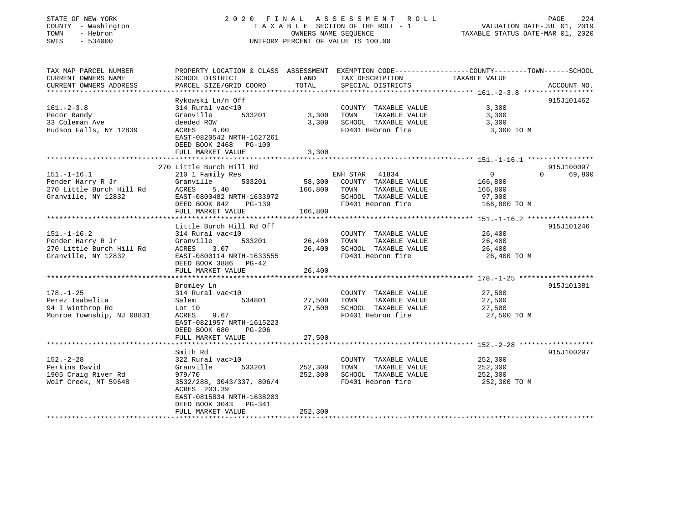| PROPERTY LOCATION & CLASS ASSESSMENT EXEMPTION CODE---------------COUNTY-------TOWN------SCHOOL<br>TAX MAP PARCEL NUMBER<br>CURRENT OWNERS NAME<br>TAX DESCRIPTION<br>TAXABLE VALUE<br>SCHOOL DISTRICT<br>LAND<br>CURRENT OWNERS ADDRESS<br>PARCEL SIZE/GRID COORD<br>TOTAL<br>SPECIAL DISTRICTS<br>ACCOUNT NO.<br>Rykowski Ln/n Off<br>915J101462<br>$161 - 2 - 3.8$<br>314 Rural vac<10<br>COUNTY TAXABLE VALUE<br>3,300<br>Pecor Randy<br>Granville<br>533201<br>3,300<br>TOWN<br>TAXABLE VALUE<br>3,300<br>33 Coleman Ave<br>3,300 SCHOOL TAXABLE VALUE<br>deeded ROW<br>3,300<br>Hudson Falls, NY 12839<br>FD401 Hebron fire<br>ACRES<br>4.00<br>3,300 TO M<br>EAST-0820542 NRTH-1627261<br>DEED BOOK 2468 PG-100<br>FULL MARKET VALUE<br>3,300<br>270 Little Burch Hill Rd<br>915J100097<br>$\overline{0}$<br>$\Omega$<br>69,800<br>$151.-1-16.1$<br>210 1 Family Res<br>ENH STAR 41834<br>533201<br>58,300<br>COUNTY TAXABLE VALUE<br>Pender Harry R Jr<br>Granville<br>166,800<br>270 Little Burch Hill Rd<br>ACRES<br>166,800<br>TOWN<br>TAXABLE VALUE<br>5.40<br>166,800 | STATE OF NEW YORK<br>COUNTY - Washington<br>TOWN<br>- Hebron<br>SWIS<br>$-534000$ | OWNERS NAME SEQUENCE | 2020 FINAL ASSESSMENT ROLL<br>TAXABLE SECTION OF THE ROLL - 1<br>UNIFORM PERCENT OF VALUE IS 100.00 | PAGE<br>VALUATION DATE-JUL 01, 2019<br>TAXABLE STATUS DATE-MAR 01, 2020 | 224 |
|------------------------------------------------------------------------------------------------------------------------------------------------------------------------------------------------------------------------------------------------------------------------------------------------------------------------------------------------------------------------------------------------------------------------------------------------------------------------------------------------------------------------------------------------------------------------------------------------------------------------------------------------------------------------------------------------------------------------------------------------------------------------------------------------------------------------------------------------------------------------------------------------------------------------------------------------------------------------------------------------------------------------------------------------------------------------------------|-----------------------------------------------------------------------------------|----------------------|-----------------------------------------------------------------------------------------------------|-------------------------------------------------------------------------|-----|
|                                                                                                                                                                                                                                                                                                                                                                                                                                                                                                                                                                                                                                                                                                                                                                                                                                                                                                                                                                                                                                                                                    |                                                                                   |                      |                                                                                                     |                                                                         |     |
|                                                                                                                                                                                                                                                                                                                                                                                                                                                                                                                                                                                                                                                                                                                                                                                                                                                                                                                                                                                                                                                                                    |                                                                                   |                      |                                                                                                     |                                                                         |     |
|                                                                                                                                                                                                                                                                                                                                                                                                                                                                                                                                                                                                                                                                                                                                                                                                                                                                                                                                                                                                                                                                                    |                                                                                   |                      |                                                                                                     |                                                                         |     |
|                                                                                                                                                                                                                                                                                                                                                                                                                                                                                                                                                                                                                                                                                                                                                                                                                                                                                                                                                                                                                                                                                    |                                                                                   |                      |                                                                                                     |                                                                         |     |
|                                                                                                                                                                                                                                                                                                                                                                                                                                                                                                                                                                                                                                                                                                                                                                                                                                                                                                                                                                                                                                                                                    |                                                                                   |                      |                                                                                                     |                                                                         |     |
|                                                                                                                                                                                                                                                                                                                                                                                                                                                                                                                                                                                                                                                                                                                                                                                                                                                                                                                                                                                                                                                                                    |                                                                                   |                      |                                                                                                     |                                                                         |     |
|                                                                                                                                                                                                                                                                                                                                                                                                                                                                                                                                                                                                                                                                                                                                                                                                                                                                                                                                                                                                                                                                                    |                                                                                   |                      |                                                                                                     |                                                                         |     |
|                                                                                                                                                                                                                                                                                                                                                                                                                                                                                                                                                                                                                                                                                                                                                                                                                                                                                                                                                                                                                                                                                    |                                                                                   |                      |                                                                                                     |                                                                         |     |
|                                                                                                                                                                                                                                                                                                                                                                                                                                                                                                                                                                                                                                                                                                                                                                                                                                                                                                                                                                                                                                                                                    |                                                                                   |                      |                                                                                                     |                                                                         |     |
|                                                                                                                                                                                                                                                                                                                                                                                                                                                                                                                                                                                                                                                                                                                                                                                                                                                                                                                                                                                                                                                                                    |                                                                                   |                      |                                                                                                     |                                                                         |     |
|                                                                                                                                                                                                                                                                                                                                                                                                                                                                                                                                                                                                                                                                                                                                                                                                                                                                                                                                                                                                                                                                                    |                                                                                   |                      |                                                                                                     |                                                                         |     |
|                                                                                                                                                                                                                                                                                                                                                                                                                                                                                                                                                                                                                                                                                                                                                                                                                                                                                                                                                                                                                                                                                    |                                                                                   |                      |                                                                                                     |                                                                         |     |
|                                                                                                                                                                                                                                                                                                                                                                                                                                                                                                                                                                                                                                                                                                                                                                                                                                                                                                                                                                                                                                                                                    |                                                                                   |                      |                                                                                                     |                                                                         |     |
|                                                                                                                                                                                                                                                                                                                                                                                                                                                                                                                                                                                                                                                                                                                                                                                                                                                                                                                                                                                                                                                                                    |                                                                                   |                      |                                                                                                     |                                                                         |     |
| Granville, NY 12832<br>EAST-0800482 NRTH-1633972<br>SCHOOL TAXABLE VALUE<br>97,000<br>FD401 Hebron fire<br>DEED BOOK 842<br>PG-139<br>166,800 TO M                                                                                                                                                                                                                                                                                                                                                                                                                                                                                                                                                                                                                                                                                                                                                                                                                                                                                                                                 |                                                                                   |                      |                                                                                                     |                                                                         |     |
| FULL MARKET VALUE<br>166,800                                                                                                                                                                                                                                                                                                                                                                                                                                                                                                                                                                                                                                                                                                                                                                                                                                                                                                                                                                                                                                                       |                                                                                   |                      |                                                                                                     |                                                                         |     |
|                                                                                                                                                                                                                                                                                                                                                                                                                                                                                                                                                                                                                                                                                                                                                                                                                                                                                                                                                                                                                                                                                    |                                                                                   |                      |                                                                                                     |                                                                         |     |
| Little Burch Hill Rd Off<br>915J101246                                                                                                                                                                                                                                                                                                                                                                                                                                                                                                                                                                                                                                                                                                                                                                                                                                                                                                                                                                                                                                             |                                                                                   |                      |                                                                                                     |                                                                         |     |
| $151.-1-16.2$<br>314 Rural vac<10<br>COUNTY TAXABLE VALUE<br>26,400                                                                                                                                                                                                                                                                                                                                                                                                                                                                                                                                                                                                                                                                                                                                                                                                                                                                                                                                                                                                                |                                                                                   |                      |                                                                                                     |                                                                         |     |
| TOWN<br>TAXABLE VALUE<br>26,400<br>Pender Harry R Jr<br>Granville<br>533201<br>26,400                                                                                                                                                                                                                                                                                                                                                                                                                                                                                                                                                                                                                                                                                                                                                                                                                                                                                                                                                                                              |                                                                                   |                      |                                                                                                     |                                                                         |     |
| 270 Little Burch Hill Rd<br>ACRES<br>3.07<br>26,400<br>SCHOOL TAXABLE VALUE<br>26,400                                                                                                                                                                                                                                                                                                                                                                                                                                                                                                                                                                                                                                                                                                                                                                                                                                                                                                                                                                                              |                                                                                   |                      |                                                                                                     |                                                                         |     |
| Granville, NY 12832<br>EAST-0800114 NRTH-1633555<br>FD401 Hebron fire<br>26,400 TO M<br>DEED BOOK 3886 PG-42                                                                                                                                                                                                                                                                                                                                                                                                                                                                                                                                                                                                                                                                                                                                                                                                                                                                                                                                                                       |                                                                                   |                      |                                                                                                     |                                                                         |     |
| FULL MARKET VALUE<br>26,400                                                                                                                                                                                                                                                                                                                                                                                                                                                                                                                                                                                                                                                                                                                                                                                                                                                                                                                                                                                                                                                        |                                                                                   |                      |                                                                                                     |                                                                         |     |
| Bromley Ln<br>915J101381                                                                                                                                                                                                                                                                                                                                                                                                                                                                                                                                                                                                                                                                                                                                                                                                                                                                                                                                                                                                                                                           |                                                                                   |                      |                                                                                                     |                                                                         |     |
| 314 Rural vac<10<br>27,500<br>$178. - 1 - 25$<br>COUNTY TAXABLE VALUE                                                                                                                                                                                                                                                                                                                                                                                                                                                                                                                                                                                                                                                                                                                                                                                                                                                                                                                                                                                                              |                                                                                   |                      |                                                                                                     |                                                                         |     |
| Perez Isabelita<br>Salem<br>534801<br>27,500<br>TAXABLE VALUE<br>TOWN<br>27,500                                                                                                                                                                                                                                                                                                                                                                                                                                                                                                                                                                                                                                                                                                                                                                                                                                                                                                                                                                                                    |                                                                                   |                      |                                                                                                     |                                                                         |     |
| 94 I Winthrop Rd<br>27,500<br>SCHOOL TAXABLE VALUE<br>Lot 10<br>27,500                                                                                                                                                                                                                                                                                                                                                                                                                                                                                                                                                                                                                                                                                                                                                                                                                                                                                                                                                                                                             |                                                                                   |                      |                                                                                                     |                                                                         |     |
| Monroe Township, NJ 08831<br>FD401 Hebron fire<br>ACRES<br>9.67<br>27,500 TO M                                                                                                                                                                                                                                                                                                                                                                                                                                                                                                                                                                                                                                                                                                                                                                                                                                                                                                                                                                                                     |                                                                                   |                      |                                                                                                     |                                                                         |     |
| EAST-0821957 NRTH-1615223                                                                                                                                                                                                                                                                                                                                                                                                                                                                                                                                                                                                                                                                                                                                                                                                                                                                                                                                                                                                                                                          |                                                                                   |                      |                                                                                                     |                                                                         |     |
| DEED BOOK 680<br>PG-206                                                                                                                                                                                                                                                                                                                                                                                                                                                                                                                                                                                                                                                                                                                                                                                                                                                                                                                                                                                                                                                            |                                                                                   |                      |                                                                                                     |                                                                         |     |
| FULL MARKET VALUE<br>27,500                                                                                                                                                                                                                                                                                                                                                                                                                                                                                                                                                                                                                                                                                                                                                                                                                                                                                                                                                                                                                                                        |                                                                                   |                      |                                                                                                     |                                                                         |     |
| Smith Rd<br>915J100297                                                                                                                                                                                                                                                                                                                                                                                                                                                                                                                                                                                                                                                                                                                                                                                                                                                                                                                                                                                                                                                             |                                                                                   |                      |                                                                                                     |                                                                         |     |
| $152. - 2 - 28$<br>322 Rural vac>10<br>COUNTY TAXABLE VALUE<br>252,300                                                                                                                                                                                                                                                                                                                                                                                                                                                                                                                                                                                                                                                                                                                                                                                                                                                                                                                                                                                                             |                                                                                   |                      |                                                                                                     |                                                                         |     |
| 533201<br>252,300<br>TAXABLE VALUE<br>252,300<br>Perkins David<br>Granville<br>TOWN                                                                                                                                                                                                                                                                                                                                                                                                                                                                                                                                                                                                                                                                                                                                                                                                                                                                                                                                                                                                |                                                                                   |                      |                                                                                                     |                                                                         |     |
| 1905 Craig River Rd<br>252,300<br>SCHOOL TAXABLE VALUE<br>979/70<br>252,300                                                                                                                                                                                                                                                                                                                                                                                                                                                                                                                                                                                                                                                                                                                                                                                                                                                                                                                                                                                                        |                                                                                   |                      |                                                                                                     |                                                                         |     |
| Wolf Creek, MT 59648<br>3532/288, 3043/337, 806/4<br>FD401 Hebron fire<br>252,300 TO M                                                                                                                                                                                                                                                                                                                                                                                                                                                                                                                                                                                                                                                                                                                                                                                                                                                                                                                                                                                             |                                                                                   |                      |                                                                                                     |                                                                         |     |
| ACRES 203.39                                                                                                                                                                                                                                                                                                                                                                                                                                                                                                                                                                                                                                                                                                                                                                                                                                                                                                                                                                                                                                                                       |                                                                                   |                      |                                                                                                     |                                                                         |     |
| EAST-0815834 NRTH-1638203                                                                                                                                                                                                                                                                                                                                                                                                                                                                                                                                                                                                                                                                                                                                                                                                                                                                                                                                                                                                                                                          |                                                                                   |                      |                                                                                                     |                                                                         |     |
| DEED BOOK 3043<br>PG-341                                                                                                                                                                                                                                                                                                                                                                                                                                                                                                                                                                                                                                                                                                                                                                                                                                                                                                                                                                                                                                                           |                                                                                   |                      |                                                                                                     |                                                                         |     |
| FULL MARKET VALUE<br>252,300                                                                                                                                                                                                                                                                                                                                                                                                                                                                                                                                                                                                                                                                                                                                                                                                                                                                                                                                                                                                                                                       |                                                                                   |                      |                                                                                                     |                                                                         |     |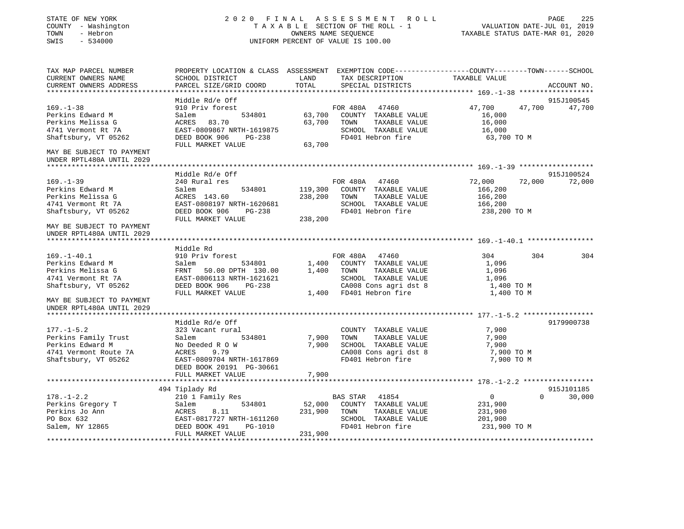| STATE OF NEW YORK<br>COUNTY - Washington<br>- Hebron<br>TOWN<br>SWIS<br>$-534000$                      |                                                                                                                                             |                    | 2020 FINAL ASSESSMENT ROLL<br>TAXABLE SECTION OF THE ROLL - 1<br>OWNERS NAME SEQUENCE<br>UNIFORM PERCENT OF VALUE IS 100.00 | TAXABLE STATUS DATE-MAR 01, 2020                    | 225<br>PAGE<br>VALUATION DATE-JUL 01, 2019 |
|--------------------------------------------------------------------------------------------------------|---------------------------------------------------------------------------------------------------------------------------------------------|--------------------|-----------------------------------------------------------------------------------------------------------------------------|-----------------------------------------------------|--------------------------------------------|
| TAX MAP PARCEL NUMBER<br>CURRENT OWNERS NAME<br>CURRENT OWNERS ADDRESS                                 | PROPERTY LOCATION & CLASS ASSESSMENT EXEMPTION CODE---------------COUNTY-------TOWN-----SCHOOL<br>SCHOOL DISTRICT<br>PARCEL SIZE/GRID COORD | LAND<br>TOTAL      | TAX DESCRIPTION<br>SPECIAL DISTRICTS                                                                                        | TAXABLE VALUE                                       | ACCOUNT NO.                                |
|                                                                                                        | Middle Rd/e Off                                                                                                                             |                    |                                                                                                                             |                                                     | 915J100545                                 |
| $169. - 1 - 38$<br>Perkins Edward M<br>Perkins Melissa G<br>4741 Vermont Rt 7A<br>Shaftsbury, VT 05262 | 910 Priv forest<br>Salem<br>534801<br>ACRES<br>83.70<br>EAST-0809867 NRTH-1619875<br>DEED BOOK 906<br>PG-238                                | 63,700<br>63,700   | FOR 480A<br>47460<br>COUNTY TAXABLE VALUE<br>TOWN<br>TAXABLE VALUE<br>SCHOOL TAXABLE VALUE<br>FD401 Hebron fire             | 47,700<br>16,000<br>16,000<br>16,000<br>63,700 ТО М | 47,700<br>47,700                           |
| MAY BE SUBJECT TO PAYMENT<br>UNDER RPTL480A UNTIL 2029<br>**********************                       | FULL MARKET VALUE                                                                                                                           | 63,700             |                                                                                                                             |                                                     |                                            |
|                                                                                                        | Middle Rd/e Off                                                                                                                             |                    |                                                                                                                             |                                                     | 915J100524                                 |
| $169. - 1 - 39$<br>Perkins Edward M<br>Perkins Melissa G                                               | 240 Rural res<br>534801<br>Salem<br>ACRES 143.60                                                                                            | 119,300<br>238,200 | FOR 480A 47460<br>COUNTY TAXABLE VALUE<br>TOWN<br>TAXABLE VALUE                                                             | 72,000<br>166,200<br>166,200                        | 72,000<br>72,000                           |
| 4741 Vermont Rt 7A<br>Shaftsbury, VT 05262                                                             | EAST-0808197 NRTH-1620681<br>DEED BOOK 906<br>PG-238<br>FULL MARKET VALUE                                                                   | 238,200            | SCHOOL TAXABLE VALUE<br>FD401 Hebron fire                                                                                   | 166,200<br>238,200 TO M                             |                                            |
| MAY BE SUBJECT TO PAYMENT<br>UNDER RPTL480A UNTIL 2029                                                 |                                                                                                                                             |                    |                                                                                                                             |                                                     |                                            |
|                                                                                                        | Middle Rd                                                                                                                                   |                    |                                                                                                                             |                                                     |                                            |
| $169. - 1 - 40.1$                                                                                      | 910 Priv forest                                                                                                                             |                    | FOR 480A<br>47460                                                                                                           | 304                                                 | 304<br>304                                 |
| Perkins Edward M                                                                                       | 534801<br>Salem                                                                                                                             | 1,400              | COUNTY TAXABLE VALUE                                                                                                        | 1,096                                               |                                            |
| Perkins Melissa G                                                                                      | FRNT 50.00 DPTH 130.00                                                                                                                      | 1,400              | TOWN<br>TAXABLE VALUE                                                                                                       | 1,096                                               |                                            |
| 4741 Vermont Rt 7A                                                                                     | EAST-0806113 NRTH-1621621                                                                                                                   |                    | SCHOOL TAXABLE VALUE                                                                                                        | 1,096                                               |                                            |
| Shaftsbury, VT 05262                                                                                   | DEED BOOK 906<br>PG-238                                                                                                                     |                    | CA008 Cons agri dst 8                                                                                                       | 1,400 TO M                                          |                                            |
| MAY BE SUBJECT TO PAYMENT<br>UNDER RPTL480A UNTIL 2029                                                 | FULL MARKET VALUE                                                                                                                           |                    | 1,400 FD401 Hebron fire                                                                                                     | 1,400 TO M                                          |                                            |
|                                                                                                        |                                                                                                                                             |                    |                                                                                                                             |                                                     |                                            |
|                                                                                                        | Middle Rd/e Off                                                                                                                             |                    |                                                                                                                             |                                                     | 9179900738                                 |
| $177. - 1 - 5.2$                                                                                       | 323 Vacant rural                                                                                                                            |                    | COUNTY TAXABLE VALUE                                                                                                        | 7,900                                               |                                            |
| Perkins Family Trust                                                                                   | Salem<br>534801                                                                                                                             | 7,900              | TAXABLE VALUE<br>TOWN                                                                                                       | 7,900                                               |                                            |
| Perkins Edward M                                                                                       | No Deeded R O W                                                                                                                             | 7,900              | SCHOOL TAXABLE VALUE                                                                                                        | 7,900                                               |                                            |
| 4741 Vermont Route 7A                                                                                  | ACRES<br>9.79                                                                                                                               |                    | CA008 Cons agri dst 8                                                                                                       | 7,900 TO M                                          |                                            |
| Shaftsbury, VT 05262                                                                                   | EAST-0809704 NRTH-1617869<br>DEED BOOK 20191 PG-30661<br>FULL MARKET VALUE                                                                  | 7,900              | FD401 Hebron fire                                                                                                           | 7,900 TO M                                          |                                            |
|                                                                                                        |                                                                                                                                             |                    |                                                                                                                             |                                                     |                                            |
|                                                                                                        | 494 Tiplady Rd                                                                                                                              |                    |                                                                                                                             |                                                     | 915J101185                                 |
| $178. - 1 - 2.2$                                                                                       | 210 1 Family Res                                                                                                                            |                    | 41854<br>BAS STAR                                                                                                           | $\overline{0}$                                      | $\Omega$<br>30,000                         |
| Perkins Gregory T                                                                                      | 534801<br>Salem                                                                                                                             | 52,000             | COUNTY TAXABLE VALUE                                                                                                        | 231,900                                             |                                            |
| Perkins Jo Ann                                                                                         | ACRES<br>8.11                                                                                                                               | 231,900            | TOWN<br>TAXABLE VALUE                                                                                                       | 231,900                                             |                                            |
| PO Box 632                                                                                             | EAST-0817727 NRTH-1611260                                                                                                                   |                    | SCHOOL TAXABLE VALUE                                                                                                        | 201,900                                             |                                            |
| Salem, NY 12865                                                                                        | DEED BOOK 491<br>PG-1010<br>FULL MARKET VALUE                                                                                               | 231,900            | FD401 Hebron fire                                                                                                           | 231,900 TO M                                        |                                            |
|                                                                                                        |                                                                                                                                             |                    |                                                                                                                             |                                                     |                                            |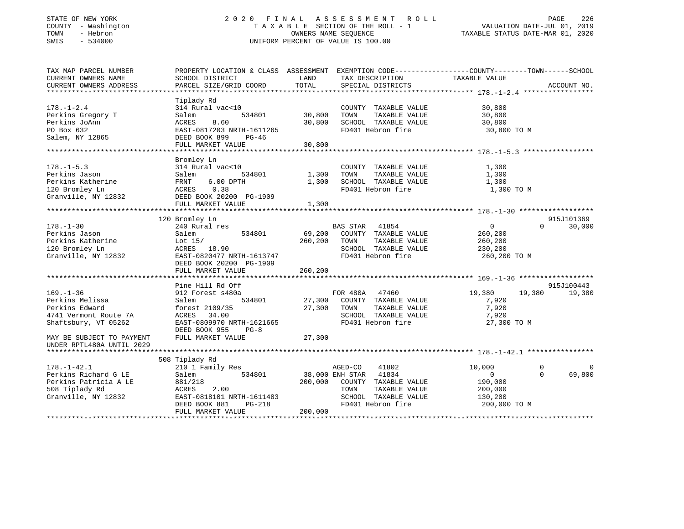# STATE OF NEW YORK 2 0 2 0 F I N A L A S S E S S M E N T R O L L PAGE 226 COUNTY - Washington T A X A B L E SECTION OF THE ROLL - 1 VALUATION DATE-JUL 01, 2019 TOWN - Hebron OWNERS NAME SEQUENCE TAXABLE STATUS DATE-MAR 01, 2020 SWIS - 534000 UNIFORM PERCENT OF VALUE IS 100.00

| TAX MAP PARCEL NUMBER     | PROPERTY LOCATION & CLASS ASSESSMENT EXEMPTION CODE----------------COUNTY-------TOWN------SCHOOL |                 |                          |               |                         |
|---------------------------|--------------------------------------------------------------------------------------------------|-----------------|--------------------------|---------------|-------------------------|
| CURRENT OWNERS NAME       | SCHOOL DISTRICT                                                                                  | LAND            | TAX DESCRIPTION          | TAXABLE VALUE |                         |
| CURRENT OWNERS ADDRESS    | PARCEL SIZE/GRID COORD                                                                           | TOTAL           | SPECIAL DISTRICTS        |               | ACCOUNT NO.             |
|                           |                                                                                                  |                 |                          |               |                         |
|                           | Tiplady Rd                                                                                       |                 |                          |               |                         |
| $178. - 1 - 2.4$          | 314 Rural vac<10                                                                                 |                 | COUNTY TAXABLE VALUE     | 30,800        |                         |
| Perkins Gregory T         | 534801<br>Salem                                                                                  | 30,800          | TAXABLE VALUE<br>TOWN    | 30,800        |                         |
| Perkins JoAnn             | ACRES<br>8.60                                                                                    | 30,800          | SCHOOL TAXABLE VALUE     | 30,800        |                         |
| PO Box 632                | EAST-0817203 NRTH-1611265                                                                        |                 | FD401 Hebron fire        | 30,800 TO M   |                         |
| Salem, NY 12865           | DEED BOOK 899<br>PG-46                                                                           |                 |                          |               |                         |
|                           | FULL MARKET VALUE                                                                                | 30,800          |                          |               |                         |
|                           |                                                                                                  |                 |                          |               |                         |
|                           | Bromley Ln                                                                                       |                 |                          |               |                         |
| $178. - 1 - 5.3$          | 314 Rural vac<10                                                                                 |                 | COUNTY TAXABLE VALUE     | 1,300         |                         |
| Perkins Jason             | Salem<br>534801                                                                                  | 1,300           | TAXABLE VALUE<br>TOWN    | 1,300         |                         |
| Perkins Katherine         | $6.00$ DPTH<br>FRNT                                                                              | 1,300           | SCHOOL TAXABLE VALUE     | 1,300         |                         |
| 120 Bromley Ln            | 0.38<br>ACRES                                                                                    |                 | FD401 Hebron fire        | 1,300 TO M    |                         |
| Granville, NY 12832       | DEED BOOK 20200 PG-1909                                                                          |                 |                          |               |                         |
|                           | FULL MARKET VALUE                                                                                | 1,300           |                          |               |                         |
|                           |                                                                                                  |                 |                          |               |                         |
|                           | 120 Bromley Ln                                                                                   |                 |                          |               | 915J101369              |
| $178. - 1 - 30$           | 240 Rural res                                                                                    |                 | <b>BAS STAR</b><br>41854 | 0             | 30,000<br>$\Omega$      |
| Perkins Jason             | 534801<br>Salem                                                                                  | 69,200          | COUNTY TAXABLE VALUE     | 260,200       |                         |
| Perkins Katherine         | Lot $15/$                                                                                        | 260,200         | TAXABLE VALUE<br>TOWN    | 260,200       |                         |
| 120 Bromley Ln            | ACRES<br>18.90                                                                                   |                 | SCHOOL TAXABLE VALUE     | 230,200       |                         |
| Granville, NY 12832       | EAST-0820477 NRTH-1613747                                                                        |                 | FD401 Hebron fire        | 260,200 TO M  |                         |
|                           | DEED BOOK 20200 PG-1909                                                                          |                 |                          |               |                         |
|                           | FULL MARKET VALUE                                                                                | 260,200         |                          |               |                         |
|                           |                                                                                                  |                 |                          |               |                         |
|                           | Pine Hill Rd Off                                                                                 |                 |                          |               | 915J100443              |
| $169. - 1 - 36$           | 912 Forest s480a                                                                                 |                 | FOR 480A<br>47460        | 19,380        | 19,380<br>19,380        |
| Perkins Melissa           | 534801<br>Salem                                                                                  | 27,300          | COUNTY TAXABLE VALUE     | 7,920         |                         |
| Perkins Edward            | forest 2109/35                                                                                   | 27,300          | TOWN<br>TAXABLE VALUE    | 7,920         |                         |
| 4741 Vermont Route 7A     | ACRES 34.00                                                                                      |                 | SCHOOL TAXABLE VALUE     | 7,920         |                         |
| Shaftsbury, VT 05262      | EAST-0809970 NRTH-1621665                                                                        |                 | FD401 Hebron fire        | 27,300 TO M   |                         |
|                           | DEED BOOK 955<br>$PG-8$                                                                          |                 |                          |               |                         |
| MAY BE SUBJECT TO PAYMENT | FULL MARKET VALUE                                                                                | 27,300          |                          |               |                         |
| UNDER RPTL480A UNTIL 2029 |                                                                                                  |                 |                          |               |                         |
|                           |                                                                                                  |                 |                          |               |                         |
|                           | 508 Tiplady Rd                                                                                   |                 |                          |               |                         |
| $178. - 1 - 42.1$         | 210 1 Family Res                                                                                 |                 | AGED-CO<br>41802         | 10,000        | $\Omega$<br>$\mathbf 0$ |
| Perkins Richard G LE      | 534801<br>Salem                                                                                  | 38,000 ENH STAR | 41834                    | $\mathbf{0}$  | 69,800<br>$\Omega$      |
| Perkins Patricia A LE     | 881/218                                                                                          | 200,000         | COUNTY TAXABLE VALUE     | 190,000       |                         |
| 508 Tiplady Rd            | ACRES<br>2.00                                                                                    |                 | TOWN<br>TAXABLE VALUE    | 200,000       |                         |
| Granville, NY 12832       | EAST-0818101 NRTH-1611483                                                                        |                 | SCHOOL TAXABLE VALUE     | 130,200       |                         |
|                           | DEED BOOK 881<br>PG-218                                                                          |                 | FD401 Hebron fire        | 200,000 TO M  |                         |
|                           | FULL MARKET VALUE                                                                                | 200,000         |                          |               |                         |
|                           |                                                                                                  |                 |                          |               |                         |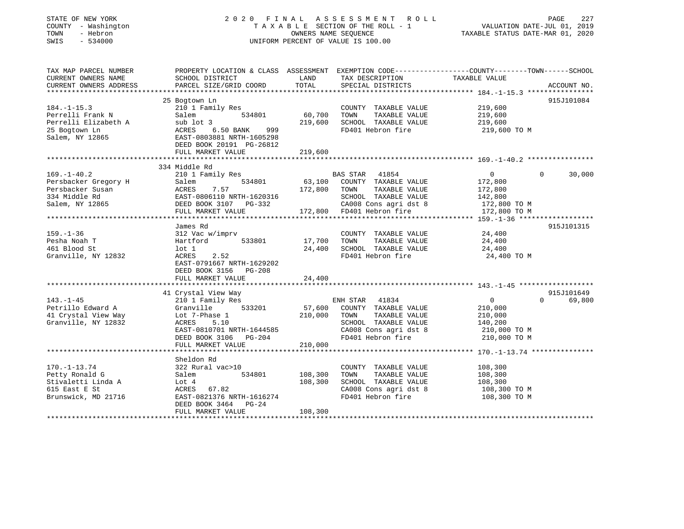| STATE OF NEW YORK<br>COUNTY - Washington<br>- Hebron<br>TOWN<br>$-534000$<br>SWIS |                                                       | UNIFORM PERCENT OF VALUE IS 100.00 | 2020 FINAL ASSESSMENT ROLL<br>TAXABLE SECTION OF THE ROLL - 1<br>OWNERS NAME SEQUENCE | PAGE<br>VALUATION DATE-JUL 01, 2019<br>TAXABLE STATUS DATE-MAR 01, 2020                                           | 227         |
|-----------------------------------------------------------------------------------|-------------------------------------------------------|------------------------------------|---------------------------------------------------------------------------------------|-------------------------------------------------------------------------------------------------------------------|-------------|
| TAX MAP PARCEL NUMBER<br>CURRENT OWNERS NAME                                      | SCHOOL DISTRICT                                       | LAND                               | TAX DESCRIPTION                                                                       | PROPERTY LOCATION & CLASS ASSESSMENT EXEMPTION CODE----------------COUNTY-------TOWN------SCHOOL<br>TAXABLE VALUE |             |
| CURRENT OWNERS ADDRESS<br>**************************                              | PARCEL SIZE/GRID COORD                                | TOTAL                              | SPECIAL DISTRICTS                                                                     |                                                                                                                   | ACCOUNT NO. |
|                                                                                   | 25 Bogtown Ln                                         |                                    |                                                                                       |                                                                                                                   | 915J101084  |
| $184. - 1 - 15.3$                                                                 | 210 1 Family Res                                      |                                    | COUNTY TAXABLE VALUE                                                                  | 219,600                                                                                                           |             |
| Perrelli Frank N                                                                  | Salem                                                 | 60,700<br>534801                   | TOWN<br>TAXABLE VALUE                                                                 | 219,600                                                                                                           |             |
| Perrelli Elizabeth A                                                              | sub lot 3                                             | 219,600                            | SCHOOL TAXABLE VALUE                                                                  | 219,600                                                                                                           |             |
| 25 Bogtown Ln                                                                     | ACRES<br>6.50 BANK                                    | 999                                | FD401 Hebron fire                                                                     | 219,600 TO M                                                                                                      |             |
| Salem, NY 12865                                                                   | EAST-0803881 NRTH-1605298<br>DEED BOOK 20191 PG-26812 |                                    |                                                                                       |                                                                                                                   |             |
|                                                                                   | FULL MARKET VALUE                                     | 219,600                            |                                                                                       |                                                                                                                   |             |
|                                                                                   | ********************************                      |                                    |                                                                                       |                                                                                                                   |             |
|                                                                                   | 334 Middle Rd                                         |                                    |                                                                                       |                                                                                                                   |             |
| $169. - 1 - 40.2$                                                                 | 210 1 Family Res                                      |                                    | BAS STAR<br>41854                                                                     | $\overline{0}$<br>$\Omega$                                                                                        | 30,000      |
| Persbacker Gregory H                                                              | Salem                                                 | 534801                             | 63,100 COUNTY TAXABLE VALUE                                                           | 172,800                                                                                                           |             |
| Persbacker Susan                                                                  | ACRES<br>7.57                                         | 172,800                            | TOWN<br>TAXABLE VALUE                                                                 | 172,800                                                                                                           |             |
| 334 Middle Rd                                                                     | EAST-0806110 NRTH-1620316                             |                                    | SCHOOL TAXABLE VALUE                                                                  | 142,800                                                                                                           |             |
| Salem, NY 12865                                                                   | DEED BOOK 3107 PG-332                                 |                                    | CA008 Cons agri dst 8                                                                 | 172,800 TO M                                                                                                      |             |
|                                                                                   | FULL MARKET VALUE                                     |                                    | 172,800 FD401 Hebron fire                                                             | 172,800 TO M                                                                                                      |             |
|                                                                                   | James Rd                                              |                                    |                                                                                       |                                                                                                                   | 915J101315  |
| 159.–1–36                                                                         | 312 Vac w/imprv                                       |                                    | COUNTY TAXABLE VALUE                                                                  | 24,400                                                                                                            |             |
| Pesha Noah T                                                                      | Hartford                                              | 17,700<br>533801                   | TOWN<br>TAXABLE VALUE                                                                 | 24,400                                                                                                            |             |
| 461 Blood St                                                                      | lot 1                                                 | 24,400                             | SCHOOL TAXABLE VALUE                                                                  | 24,400                                                                                                            |             |
| Granville, NY 12832                                                               | ACRES<br>2.52                                         |                                    | FD401 Hebron fire                                                                     | 24,400 TO M                                                                                                       |             |
|                                                                                   | EAST-0791667 NRTH-1629202<br>DEED BOOK 3156 PG-208    |                                    |                                                                                       |                                                                                                                   |             |
|                                                                                   | FULL MARKET VALUE                                     | 24,400                             |                                                                                       |                                                                                                                   |             |
|                                                                                   |                                                       |                                    |                                                                                       |                                                                                                                   |             |
|                                                                                   | 41 Crystal View Way                                   |                                    |                                                                                       |                                                                                                                   | 915J101649  |
| 143.-1-45                                                                         | 210 1 Family Res                                      |                                    | 41834<br>ENH STAR                                                                     | $\overline{0}$<br>$\Omega$                                                                                        | 69,800      |
| Petrillo Edward A                                                                 | Granville                                             | 533201<br>57,600                   | COUNTY TAXABLE VALUE                                                                  | 210,000                                                                                                           |             |
| 41 Crystal View Way                                                               | Lot 7-Phase 1                                         | 210,000                            | TAXABLE VALUE<br>TOWN                                                                 | 210,000                                                                                                           |             |
| Granville, NY 12832                                                               | ACRES<br>5.10                                         |                                    | SCHOOL TAXABLE VALUE                                                                  | 140,200                                                                                                           |             |
|                                                                                   | EAST-0810701 NRTH-1644585                             |                                    | CA008 Cons agri dst 8                                                                 | 210,000 TO M                                                                                                      |             |
|                                                                                   | DEED BOOK 3106 PG-204                                 |                                    | FD401 Hebron fire                                                                     | 210,000 TO M                                                                                                      |             |
|                                                                                   | FULL MARKET VALUE                                     | 210,000                            |                                                                                       |                                                                                                                   |             |
|                                                                                   |                                                       |                                    |                                                                                       |                                                                                                                   |             |
|                                                                                   | Sheldon Rd                                            |                                    |                                                                                       |                                                                                                                   |             |
| $170. - 1 - 13.74$                                                                | 322 Rural vac>10                                      |                                    | COUNTY TAXABLE VALUE                                                                  | 108,300                                                                                                           |             |
| Petty Ronald G                                                                    | Salem                                                 | 534801<br>108,300                  | TOWN<br>TAXABLE VALUE                                                                 | 108,300                                                                                                           |             |
| Stivaletti Linda A                                                                | Lot 4                                                 | 108,300                            | SCHOOL TAXABLE VALUE                                                                  | 108,300                                                                                                           |             |
|                                                                                   | ACRES 67.82                                           |                                    | CA008 Cons agri dst 8                                                                 | 108,300 то м                                                                                                      |             |
| 615 East E St                                                                     |                                                       |                                    |                                                                                       |                                                                                                                   |             |
| Brunswick, MD 21716                                                               | EAST-0821376 NRTH-1616274                             |                                    | FD401 Hebron fire                                                                     | 108,300 TO M                                                                                                      |             |
|                                                                                   | DEED BOOK 3464<br>FULL MARKET VALUE                   | PG-24<br>108,300                   |                                                                                       |                                                                                                                   |             |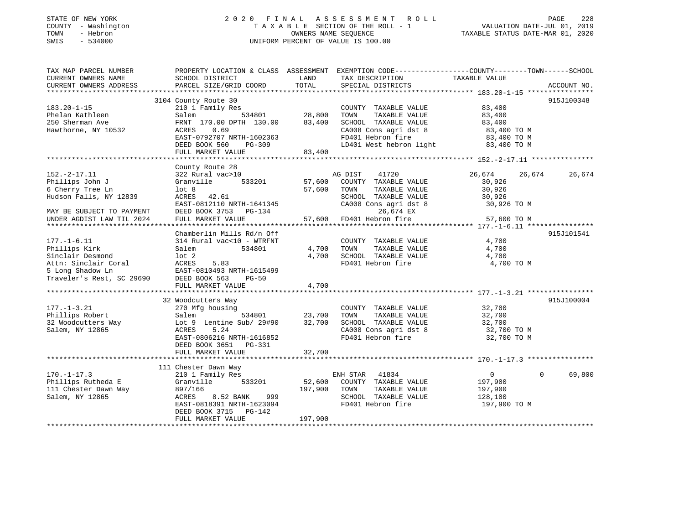# STATE OF NEW YORK 2 0 2 0 F I N A L A S S E S S M E N T R O L L PAGE 228 COUNTY - Washington T A X A B L E SECTION OF THE ROLL - 1 VALUATION DATE-JUL 01, 2019 TOWN - Hebron OWNERS NAME SEQUENCE TAXABLE STATUS DATE-MAR 01, 2020 SWIS - 534000 UNIFORM PERCENT OF VALUE IS 100.00

| TAX MAP PARCEL NUMBER<br>CURRENT OWNERS NAME<br>CURRENT OWNERS ADDRESS                        | SCHOOL DISTRICT<br>PARCEL SIZE/GRID COORD                                                                                                                                                     | LAND<br>TOTAL                | PROPERTY LOCATION & CLASS ASSESSMENT EXEMPTION CODE---------------COUNTY-------TOWN------SCHOOL<br>TAX DESCRIPTION<br>SPECIAL DISTRICTS                                                                                                                                          | TAXABLE VALUE                                                   | ACCOUNT NO.        |
|-----------------------------------------------------------------------------------------------|-----------------------------------------------------------------------------------------------------------------------------------------------------------------------------------------------|------------------------------|----------------------------------------------------------------------------------------------------------------------------------------------------------------------------------------------------------------------------------------------------------------------------------|-----------------------------------------------------------------|--------------------|
|                                                                                               |                                                                                                                                                                                               |                              |                                                                                                                                                                                                                                                                                  |                                                                 |                    |
| $183.20 - 1 - 15$<br>Phelan Kathleen<br>250 Sherman Ave<br>Hawthorne, NY 10532                | 3104 County Route 30<br>210 1 Family Res<br>Salem<br>FRNT 170.00 DPTH 130.00<br>0.69<br>ACRES                                                                                                 | 534801 28,800<br>83,400      | COUNTY TAXABLE VALUE<br>TAXABLE VALUE 83,400<br>TOWN<br>$\begin{tabular}{lllllllll} \texttt{SCHOOL} & \texttt{TAXABLE} & \texttt{VALUE} & \texttt{83,400} \\ \texttt{CA008} & \texttt{Cons}\ \texttt{agri}\ \texttt{dst}\ 8 & & & 83,400\ \texttt{TO}\ \texttt{M} \end{tabular}$ | 83,400                                                          | 915J100348         |
|                                                                                               | EAST-0792707 NRTH-1602363<br>DEED BOOK 560<br>PG-309<br>FULL MARKET VALUE                                                                                                                     | 83,400                       | FD401 Hebron fire<br>LD401 West hebron light                                                                                                                                                                                                                                     | 83,400 TO M<br>83,400 TO M                                      |                    |
|                                                                                               | County Route 28                                                                                                                                                                               |                              |                                                                                                                                                                                                                                                                                  |                                                                 |                    |
| $152. - 2 - 17.11$<br>Phillips John J<br>6 Cherry Tree Ln<br>Hudson Falls, NY 12839           | 322 Rural vac>10<br>Granville 533201<br>lot 8<br>ACRES 42.61<br>EAST-0812110 NRTH-1641345                                                                                                     | 57,600                       | AG DIST 41720<br>57,600 COUNTY TAXABLE VALUE<br>TAXABLE VALUE<br>TOWN<br>SCHOOL TAXABLE VALUE<br>CA008 Cons agri dst 8                                                                                                                                                           | 26,674 26,674<br>30,926<br>30,926<br>30,926<br>30,926 TO M      | 26,674             |
| MAY BE SUBJECT TO PAYMENT                                                                     | DEED BOOK 3753 PG-134                                                                                                                                                                         |                              | 26,674 EX                                                                                                                                                                                                                                                                        |                                                                 |                    |
| UNDER AGDIST LAW TIL 2024                                                                     | FULL MARKET VALUE                                                                                                                                                                             |                              | 57,600 FD401 Hebron fire                                                                                                                                                                                                                                                         | 57,600 TO M                                                     |                    |
|                                                                                               | Chamberlin Mills Rd/n Off                                                                                                                                                                     |                              |                                                                                                                                                                                                                                                                                  |                                                                 | 915J101541         |
| $177. - 1 - 6.11$<br>Phillips Kirk<br>Sinclair Desmond                                        | 314 Rural vac<10 - WTRFNT<br>534801<br>Salem<br>lot 2<br>Attn: Sinclair Coral (ACRES 5.83)<br>5 Long Shadow Ln (BAST-0810493 NRTH-1615499)<br>Traveler's Rest, SC 29690 (DEED BOOK 563, PG-50 | 4,700                        | COUNTY TAXABLE VALUE<br>4,700 TOWN<br>TAXABLE VALUE<br>SCHOOL TAXABLE VALUE<br>FD401 Hebron fire                                                                                                                                                                                 | 4,700<br>4,700<br>4,700<br>4,700 TO M                           |                    |
|                                                                                               | FULL MARKET VALUE                                                                                                                                                                             | 4,700                        |                                                                                                                                                                                                                                                                                  |                                                                 |                    |
|                                                                                               |                                                                                                                                                                                               |                              |                                                                                                                                                                                                                                                                                  |                                                                 |                    |
| $177. - 1 - 3.21$<br>Phillips Robert<br>Salem, NY 12865                                       | 32 Woodcutters Way<br>270 Mfg housing<br>Salem<br>32 Woodcutters Way<br>1. The May 1997 September 2016 29#90 32,700<br>ACRES<br>5.24<br>EAST-0806216 NRTH-1616852                             | 534801 23,700                | COUNTY TAXABLE VALUE<br>TAXABLE VALUE<br>TOWN<br>SCHOOL TAXABLE VALUE 32,700<br>CA008 Cons agri dst 8 32,700 TO M<br>CA008 Cons agri dst 8<br>FD401 Hebron fire                                                                                                                  | 32,700<br>32.700<br>32,700<br>32,700 TO M                       | 915J100004         |
|                                                                                               | DEED BOOK 3651 PG-331<br>FULL MARKET VALUE                                                                                                                                                    | 32,700                       |                                                                                                                                                                                                                                                                                  |                                                                 |                    |
|                                                                                               |                                                                                                                                                                                               |                              |                                                                                                                                                                                                                                                                                  |                                                                 |                    |
|                                                                                               | 111 Chester Dawn Way                                                                                                                                                                          |                              |                                                                                                                                                                                                                                                                                  |                                                                 |                    |
| $170. - 1 - 17.3$<br>Phillips Rutheda E Granville<br>1111 Chester Dawn Way<br>Salem, NY 12865 | 210 1 Family Res<br>533201<br>897/166<br>999 — 1<br>ACRES<br>8.52 BANK<br>EAST-0818391 NRTH-1623094<br>DEED BOOK 3715 PG-142<br>FULL MARKET VALUE                                             | 52,600<br>197,900<br>197,900 | ENH STAR 41834<br>COUNTY TAXABLE VALUE<br>TAXABLE VALUE<br>TOWN<br>SCHOOL TAXABLE VALUE<br>FD401 Hebron fire                                                                                                                                                                     | $\overline{0}$<br>197,900<br>197,900<br>128,100<br>197,900 TO M | $\Omega$<br>69,800 |
|                                                                                               |                                                                                                                                                                                               |                              |                                                                                                                                                                                                                                                                                  |                                                                 |                    |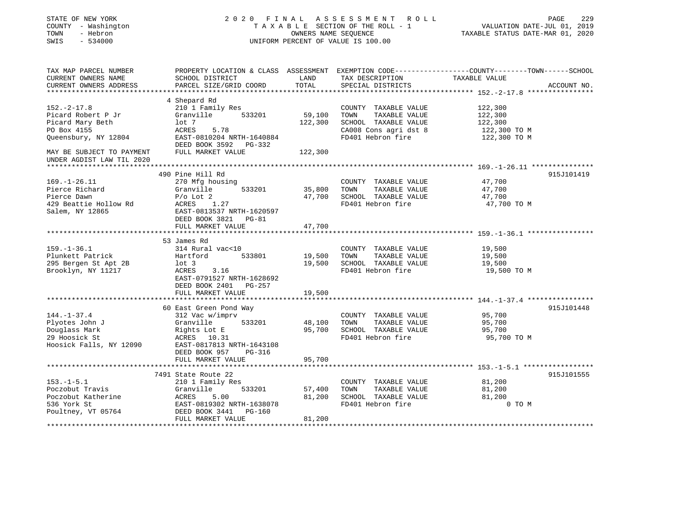| STATE OF NEW YORK<br>COUNTY - Washington<br>- Hebron<br>TOWN<br>SWIS<br>$-534000$ |                                                      | OWNERS NAME SEQUENCE     | 2020 FINAL ASSESSMENT<br>R O L L<br>TAXABLE SECTION OF THE ROLL - 1<br>UNIFORM PERCENT OF VALUE IS 100.00 | PAGE<br>229<br>VALUATION DATE-JUL 01, 2019<br>TAXABLE STATUS DATE-MAR 01, 2020                  |
|-----------------------------------------------------------------------------------|------------------------------------------------------|--------------------------|-----------------------------------------------------------------------------------------------------------|-------------------------------------------------------------------------------------------------|
| TAX MAP PARCEL NUMBER                                                             |                                                      |                          |                                                                                                           | PROPERTY LOCATION & CLASS ASSESSMENT EXEMPTION CODE----------------COUNTY-------TOWN-----SCHOOL |
| CURRENT OWNERS NAME                                                               | SCHOOL DISTRICT                                      | LAND                     | TAX DESCRIPTION                                                                                           | TAXABLE VALUE                                                                                   |
| CURRENT OWNERS ADDRESS                                                            | PARCEL SIZE/GRID COORD                               | TOTAL<br>*************** | SPECIAL DISTRICTS                                                                                         | ACCOUNT NO.                                                                                     |
|                                                                                   | 4 Shepard Rd                                         |                          |                                                                                                           |                                                                                                 |
| $152 - 2 - 17.8$                                                                  | 210 1 Family Res                                     |                          | COUNTY TAXABLE VALUE                                                                                      | 122,300                                                                                         |
| Picard Robert P Jr                                                                | Granville<br>533201                                  | 59,100                   | TOWN<br>TAXABLE VALUE                                                                                     | 122,300                                                                                         |
| Picard Mary Beth                                                                  | lot 7                                                | 122,300                  | SCHOOL TAXABLE VALUE                                                                                      | 122,300                                                                                         |
| PO Box 4155                                                                       | 5.78<br>ACRES                                        |                          | CA008 Cons agri dst 8                                                                                     | 122,300 TO M                                                                                    |
| Queensbury, NY 12804                                                              | EAST-0810204 NRTH-1640884<br>DEED BOOK 3592 PG-332   |                          | FD401 Hebron fire                                                                                         | 122,300 TO M                                                                                    |
| MAY BE SUBJECT TO PAYMENT<br>UNDER AGDIST LAW TIL 2020                            | FULL MARKET VALUE                                    | 122,300                  |                                                                                                           |                                                                                                 |
|                                                                                   | **********************                               |                          |                                                                                                           |                                                                                                 |
|                                                                                   | 490 Pine Hill Rd                                     |                          |                                                                                                           | 915J101419                                                                                      |
| $169. - 1 - 26.11$<br>Pierce Richard                                              | 270 Mfg housing<br>Granville<br>533201               | 35,800                   | COUNTY TAXABLE VALUE<br>TOWN<br>TAXABLE VALUE                                                             | 47,700<br>47,700                                                                                |
| Pierce Dawn                                                                       | $P/O$ Lot 2                                          | 47,700                   | SCHOOL TAXABLE VALUE                                                                                      | 47,700                                                                                          |
| 429 Beattie Hollow Rd                                                             | ACRES<br>1.27                                        |                          | FD401 Hebron fire                                                                                         | 47,700 TO M                                                                                     |
| Salem, NY 12865                                                                   | EAST-0813537 NRTH-1620597<br>DEED BOOK 3821 PG-81    |                          |                                                                                                           |                                                                                                 |
|                                                                                   | FULL MARKET VALUE                                    | 47,700                   |                                                                                                           |                                                                                                 |
|                                                                                   |                                                      |                          |                                                                                                           |                                                                                                 |
|                                                                                   | 53 James Rd                                          |                          |                                                                                                           |                                                                                                 |
| $159. - 1 - 36.1$<br>Plunkett Patrick                                             | 314 Rural vac<10<br>533801                           |                          | COUNTY TAXABLE VALUE<br>TOWN                                                                              | 19,500                                                                                          |
| 295 Bergen St Apt 2B                                                              | Hartford<br>lot <sub>3</sub>                         | 19,500<br>19,500         | TAXABLE VALUE<br>SCHOOL TAXABLE VALUE                                                                     | 19,500<br>19,500                                                                                |
| Brooklyn, NY 11217                                                                | 3.16<br>ACRES                                        |                          | FD401 Hebron fire                                                                                         | 19,500 TO M                                                                                     |
|                                                                                   | EAST-0791527 NRTH-1628692                            |                          |                                                                                                           |                                                                                                 |
|                                                                                   | DEED BOOK 2401<br>PG-257                             |                          |                                                                                                           |                                                                                                 |
|                                                                                   | FULL MARKET VALUE                                    | 19,500                   |                                                                                                           |                                                                                                 |
|                                                                                   | ***********************                              |                          |                                                                                                           |                                                                                                 |
|                                                                                   | 60 East Green Pond Way                               |                          |                                                                                                           | 915J101448                                                                                      |
| $144. - 1 - 37.4$                                                                 | 312 Vac w/imprv                                      |                          | COUNTY TAXABLE VALUE                                                                                      | 95,700                                                                                          |
| Plyotes John J                                                                    | Granville<br>533201                                  | 48,100                   | TOWN<br>TAXABLE VALUE                                                                                     | 95,700                                                                                          |
| Douglass Mark                                                                     | Rights Lot E                                         | 95,700                   | SCHOOL TAXABLE VALUE                                                                                      | 95,700                                                                                          |
| 29 Hoosick St                                                                     | ACRES 10.31                                          |                          | FD401 Hebron fire                                                                                         | 95,700 TO M                                                                                     |
| Hoosick Falls, NY 12090                                                           | EAST-0817813 NRTH-1643108<br>DEED BOOK 957<br>PG-316 |                          |                                                                                                           |                                                                                                 |
|                                                                                   | FULL MARKET VALUE                                    | 95,700                   |                                                                                                           |                                                                                                 |
|                                                                                   | 7491 State Route 22                                  |                          |                                                                                                           | 915J101555                                                                                      |
| $153.-1-5.1$                                                                      | 210 1 Family Res                                     |                          | COUNTY TAXABLE VALUE                                                                                      | 81,200                                                                                          |
| Poczobut Travis                                                                   | 533201<br>Granville                                  | 57,400                   | TOWN<br>TAXABLE VALUE                                                                                     | 81,200                                                                                          |
| Poczobut Katherine                                                                | ACRES<br>5.00                                        | 81,200                   | SCHOOL TAXABLE VALUE                                                                                      | 81,200                                                                                          |
| 536 York St                                                                       | EAST-0819302 NRTH-1638078                            |                          | FD401 Hebron fire                                                                                         | 0 TO M                                                                                          |
| Poultney, VT 05764                                                                | DEED BOOK 3441<br>PG-160<br>FULL MARKET VALUE        | 81,200                   |                                                                                                           |                                                                                                 |
|                                                                                   |                                                      | * * * * * * * * * * * *  |                                                                                                           |                                                                                                 |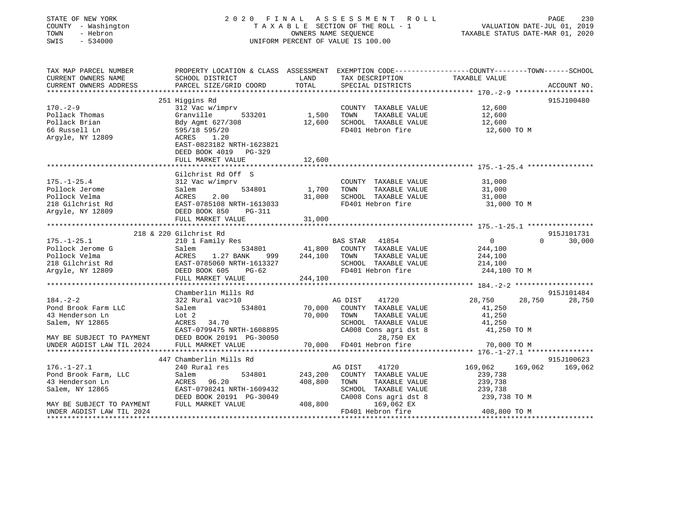| STATE OF NEW YORK<br>COUNTY - Washington<br>TOWN<br>- Hebron<br>SWIS<br>$-534000$ | 2020 FINAL ASSESSMENT ROLL<br>230<br>PAGE<br>VALUATION DATE-JUL 01, 2019<br>T A X A B L E SECTION OF THE ROLL - 1<br>OWNERS NAME SEQUENCE<br>TAXABLE STATUS DATE-MAR 01, 2020<br>UNIFORM PERCENT OF VALUE IS 100.00 |         |                                                      |                       |                         |
|-----------------------------------------------------------------------------------|---------------------------------------------------------------------------------------------------------------------------------------------------------------------------------------------------------------------|---------|------------------------------------------------------|-----------------------|-------------------------|
| TAX MAP PARCEL NUMBER<br>CURRENT OWNERS NAME                                      | PROPERTY LOCATION & CLASS ASSESSMENT EXEMPTION CODE----------------COUNTY-------TOWN-----SCHOOL<br>SCHOOL DISTRICT                                                                                                  | LAND    | TAX DESCRIPTION                                      | TAXABLE VALUE         |                         |
| CURRENT OWNERS ADDRESS                                                            | PARCEL SIZE/GRID COORD                                                                                                                                                                                              | TOTAL   | SPECIAL DISTRICTS                                    |                       | ACCOUNT NO.             |
|                                                                                   |                                                                                                                                                                                                                     |         |                                                      |                       |                         |
| $170. - 2 - 9$                                                                    | 251 Higgins Rd<br>312 Vac w/imprv                                                                                                                                                                                   |         | COUNTY TAXABLE VALUE                                 | 12,600                | 915J100480              |
| Pollack Thomas                                                                    | Granville<br>533201                                                                                                                                                                                                 |         | TOWN<br>TAXABLE VALUE                                | 12,600                |                         |
| Pollack Brian                                                                     | Bdy Agmt 627/308                                                                                                                                                                                                    | 1,500   | 12,600 SCHOOL TAXABLE VALUE                          | 12,600                |                         |
| 66 Russell Ln                                                                     | 595/18 595/20                                                                                                                                                                                                       |         | FD401 Hebron fire                                    | 12,600 TO M           |                         |
| Argyle, NY 12809                                                                  | ACRES 1.20                                                                                                                                                                                                          |         |                                                      |                       |                         |
|                                                                                   | EAST-0823182 NRTH-1623821                                                                                                                                                                                           |         |                                                      |                       |                         |
|                                                                                   | DEED BOOK 4019 PG-329                                                                                                                                                                                               |         |                                                      |                       |                         |
|                                                                                   | FULL MARKET VALUE                                                                                                                                                                                                   | 12,600  |                                                      |                       |                         |
|                                                                                   |                                                                                                                                                                                                                     |         |                                                      |                       |                         |
|                                                                                   | Gilchrist Rd Off S                                                                                                                                                                                                  |         |                                                      |                       |                         |
| $175. - 1 - 25.4$                                                                 | 312 Vac w/imprv                                                                                                                                                                                                     |         | COUNTY TAXABLE VALUE                                 | 31,000                |                         |
| Pollock Jerome                                                                    | Salem 534801<br>ACRES<br>2.00                                                                                                                                                                                       | 1,700   | TAXABLE VALUE<br>TOWN<br>31,000 SCHOOL TAXABLE VALUE | 31,000                |                         |
| Pollock Velma<br>218 Gilchrist Rd                                                 | EAST-0785108 NRTH-1613033                                                                                                                                                                                           |         | FD401 Hebron fire                                    | 31,000<br>31,000 TO M |                         |
| Argyle, NY 12809                                                                  | DEED BOOK 850 PG-311                                                                                                                                                                                                |         |                                                      |                       |                         |
|                                                                                   | FULL MARKET VALUE                                                                                                                                                                                                   | 31,000  |                                                      |                       |                         |
|                                                                                   |                                                                                                                                                                                                                     |         |                                                      |                       |                         |
|                                                                                   | 218 & 220 Gilchrist Rd                                                                                                                                                                                              |         |                                                      |                       | 915J101731              |
| $175. - 1 - 25.1$                                                                 | 210 1 Family Res                                                                                                                                                                                                    |         | <b>BAS STAR</b><br>41854                             | $\overline{0}$        | $\Omega$<br>30,000      |
| Pollock Jerome G                                                                  | Salem 534801<br>ACRES 1.27 BANK 999<br>EAST-0785060_NRTH-1613327                                                                                                                                                    |         | 534801 41,800 COUNTY TAXABLE VALUE                   | 244,100               |                         |
| Pollock Velma                                                                     | 1.27 BANK 999                                                                                                                                                                                                       |         | 244,100 TOWN<br>TAXABLE VALUE                        | 244,100               |                         |
| 218 Gilchrist Rd                                                                  |                                                                                                                                                                                                                     |         | SCHOOL TAXABLE VALUE                                 | 214,100               |                         |
| Argyle, NY 12809                                                                  | DEED BOOK 605 PG-62                                                                                                                                                                                                 |         | FD401 Hebron fire                                    | 244,100 TO M          |                         |
|                                                                                   | FULL MARKET VALUE                                                                                                                                                                                                   | 244,100 |                                                      |                       |                         |
|                                                                                   |                                                                                                                                                                                                                     |         |                                                      |                       |                         |
|                                                                                   | Chamberlin Mills Rd                                                                                                                                                                                                 |         |                                                      |                       | 915J101484              |
| $184. - 2 - 2$                                                                    | 322 Rural vac>10                                                                                                                                                                                                    |         | AG DIST<br>41720                                     | 28,750                | 28,750<br>28,750        |
| Pond Brook Farm LLC                                                               | Salem<br>534801                                                                                                                                                                                                     |         | 70,000 COUNTY TAXABLE VALUE                          | 41,250                |                         |
| 43 Henderson Ln                                                                   | Lot 2                                                                                                                                                                                                               | 70,000  | TOWN<br>TAXABLE VALUE                                | 41,250<br>41,250      |                         |
| Salem, NY 12865                                                                   | ACRES 34.70<br>EAST-0799475 NRTH-1608895                                                                                                                                                                            |         | SCHOOL TAXABLE VALUE<br>CA008 Cons agri dst 8        | 41,250 TO M           |                         |
| MAY BE SUBJECT TO PAYMENT                                                         | DEED BOOK 20191 PG-30050                                                                                                                                                                                            |         | 28,750 EX                                            |                       |                         |
| UNDER AGDIST LAW TIL 2024                                                         | FULL MARKET VALUE                                                                                                                                                                                                   |         | 70,000 FD401 Hebron fire                             | 70,000 TO M           |                         |
|                                                                                   |                                                                                                                                                                                                                     |         |                                                      |                       |                         |
|                                                                                   | 447 Chamberlin Mills Rd                                                                                                                                                                                             |         |                                                      |                       | 915J100623              |
| $176. - 1 - 27.1$                                                                 | 240 Rural res                                                                                                                                                                                                       |         | AG DIST<br>41720                                     |                       | 169,062 169,062 169,062 |
| Pond Brook Farm, LLC                                                              | 534801<br>Salem                                                                                                                                                                                                     | 243,200 | COUNTY TAXABLE VALUE                                 | 239,738               |                         |
| 43 Henderson Ln                                                                   | ACRES 96.20                                                                                                                                                                                                         | 408,800 | TOWN<br>TAXABLE VALUE                                | 239,738               |                         |
| Salem, NY 12865                                                                   | EAST-0798241 NRTH-1609432                                                                                                                                                                                           |         | SCHOOL TAXABLE VALUE                                 | 239,738               |                         |
|                                                                                   | DEED BOOK 20191 PG-30049                                                                                                                                                                                            |         | CA008 Cons agri dst 8                                | 239,738 TO M          |                         |
| MAY BE SUBJECT TO PAYMENT                                                         | FULL MARKET VALUE                                                                                                                                                                                                   |         | 408,800 169,062 EX                                   |                       |                         |
| UNDER AGDIST LAW TIL 2024                                                         |                                                                                                                                                                                                                     |         | FD401 Hebron fire                                    | 408,800 TO M          |                         |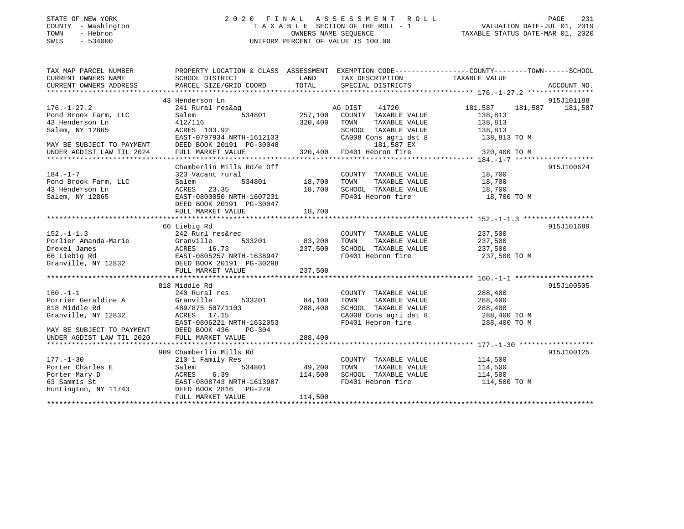# STATE OF NEW YORK 2 0 2 0 F I N A L A S S E S S M E N T R O L L PAGE 231 COUNTY - Washington T A X A B L E SECTION OF THE ROLL - 1 VALUATION DATE-JUL 01, 2019 TOWN - Hebron OWNERS NAME SEQUENCE TAXABLE STATUS DATE-MAR 01, 2020 SWIS - 534000 UNIFORM PERCENT OF VALUE IS 100.00

| TAX MAP PARCEL NUMBER     |                                                                                                                                                                                                                                                                                                                                                                                                                                                              |                        |                                                                                                                                                                                                         | PROPERTY LOCATION & CLASS ASSESSMENT EXEMPTION CODE---------------COUNTY-------TOWN-----SCHOOL   |            |
|---------------------------|--------------------------------------------------------------------------------------------------------------------------------------------------------------------------------------------------------------------------------------------------------------------------------------------------------------------------------------------------------------------------------------------------------------------------------------------------------------|------------------------|---------------------------------------------------------------------------------------------------------------------------------------------------------------------------------------------------------|--------------------------------------------------------------------------------------------------|------------|
| CURRENT OWNERS NAME       | SCHOOL DISTRICT                                                                                                                                                                                                                                                                                                                                                                                                                                              | <b>LAND</b>            | TAX DESCRIPTION                                                                                                                                                                                         | TAXABLE VALUE                                                                                    |            |
|                           | $\begin{minipage}{0.5cm} \begin{minipage}{0.5cm} \begin{minipage}{0.5cm} \begin{minipage}{0.5cm} \begin{minipage}{0.5cm} \begin{minipage}{0.5cm} \begin{minipage}{0.5cm} \begin{minipage}{0.5cm} \begin{minipage}{0.5cm} \begin{minipage}{0.5cm} \begin{minipage}{0.5cm} \begin{minipage}{0.5cm} \begin{minipage}{0.5cm} \begin{minipage}{0.5cm} \begin{minipage}{0.5cm} \begin{minipage}{0.5cm} \begin{minipage}{0.5cm} \begin{minipage}{0.5cm} \begin{min$ |                        |                                                                                                                                                                                                         |                                                                                                  |            |
|                           |                                                                                                                                                                                                                                                                                                                                                                                                                                                              |                        |                                                                                                                                                                                                         |                                                                                                  |            |
|                           | 43 Henderson Ln                                                                                                                                                                                                                                                                                                                                                                                                                                              |                        |                                                                                                                                                                                                         |                                                                                                  | 915J101188 |
| $176. - 1 - 27.2$         | 241 Rural res&ag a<br>Salem 534801 257,100                                                                                                                                                                                                                                                                                                                                                                                                                   |                        | 41720<br>AG DIST                                                                                                                                                                                        | 181,587 181,587 181,587                                                                          |            |
| Pond Brook Farm, LLC      |                                                                                                                                                                                                                                                                                                                                                                                                                                                              |                        | COUNTY TAXABLE VALUE                                                                                                                                                                                    | 138,813                                                                                          |            |
| 43 Henderson Ln           | 412/116                                                                                                                                                                                                                                                                                                                                                                                                                                                      | 320,400                |                                                                                                                                                                                                         |                                                                                                  |            |
| Salem, NY 12865           | ACRES 103.92                                                                                                                                                                                                                                                                                                                                                                                                                                                 |                        |                                                                                                                                                                                                         |                                                                                                  |            |
|                           | EAST-0797934 NRTH-1612133                                                                                                                                                                                                                                                                                                                                                                                                                                    |                        |                                                                                                                                                                                                         | TOWN TAXABLE VALUE 138,813<br>SCHOOL TAXABLE VALUE 138,813<br>CA008 Cons agri dst 8 138,813 TO M |            |
|                           |                                                                                                                                                                                                                                                                                                                                                                                                                                                              |                        |                                                                                                                                                                                                         |                                                                                                  |            |
|                           |                                                                                                                                                                                                                                                                                                                                                                                                                                                              |                        |                                                                                                                                                                                                         |                                                                                                  |            |
|                           |                                                                                                                                                                                                                                                                                                                                                                                                                                                              |                        |                                                                                                                                                                                                         |                                                                                                  |            |
|                           | Chamberlin Mills Rd/e Off                                                                                                                                                                                                                                                                                                                                                                                                                                    |                        |                                                                                                                                                                                                         |                                                                                                  | 915J100624 |
| $184. - 1 - 7$            | 323 Vacant rural                                                                                                                                                                                                                                                                                                                                                                                                                                             |                        |                                                                                                                                                                                                         |                                                                                                  |            |
| Pond Brook Farm, LLC      | Salem                                                                                                                                                                                                                                                                                                                                                                                                                                                        |                        | COUNTY TAXABLE VALUE 18,700<br>TOWN TAXABLE VALUE 18,700                                                                                                                                                |                                                                                                  |            |
| 43 Henderson Ln           |                                                                                                                                                                                                                                                                                                                                                                                                                                                              |                        |                                                                                                                                                                                                         | 18,700                                                                                           |            |
| Salem, NY 12865           | ACRES 23.35<br>EAST-0800050 NRTH-1607231                                                                                                                                                                                                                                                                                                                                                                                                                     | $18,700$<br>$-1607231$ | --<br>SCHOOL TAXABLE VALUE<br>FD401 Hebron fire                                                                                                                                                         | 18,700 TO M                                                                                      |            |
|                           | DEED BOOK 20191 PG-30047                                                                                                                                                                                                                                                                                                                                                                                                                                     |                        |                                                                                                                                                                                                         |                                                                                                  |            |
|                           | FULL MARKET VALUE                                                                                                                                                                                                                                                                                                                                                                                                                                            | 18,700                 |                                                                                                                                                                                                         |                                                                                                  |            |
|                           |                                                                                                                                                                                                                                                                                                                                                                                                                                                              |                        |                                                                                                                                                                                                         |                                                                                                  |            |
|                           | 66 Liebig Rd                                                                                                                                                                                                                                                                                                                                                                                                                                                 |                        |                                                                                                                                                                                                         |                                                                                                  | 915J101689 |
| $152. - 1 - 1.3$          | 242 Rurl res&rec                                                                                                                                                                                                                                                                                                                                                                                                                                             |                        |                                                                                                                                                                                                         |                                                                                                  |            |
|                           | 533201 83,200 TOWN                                                                                                                                                                                                                                                                                                                                                                                                                                           |                        | COUNTY TAXABLE VALUE 237,500<br>TOWN TAXABLE VALUE 237,500                                                                                                                                              |                                                                                                  |            |
|                           |                                                                                                                                                                                                                                                                                                                                                                                                                                                              | 237,500                | SCHOOL TAXABLE VALUE 237,500                                                                                                                                                                            |                                                                                                  |            |
|                           |                                                                                                                                                                                                                                                                                                                                                                                                                                                              |                        | FD401 Hebron fire                                                                                                                                                                                       | 237,500 TO M                                                                                     |            |
|                           |                                                                                                                                                                                                                                                                                                                                                                                                                                                              |                        |                                                                                                                                                                                                         |                                                                                                  |            |
|                           | Porlier Amanda-Marie<br>Porlier Amanda-Marie<br>Drexel James<br>66 Liebig Rd<br>Granville, NY 12832<br>Cranville, NY 12832<br>Cranville, NY 12832<br>Cranville, NY 12832<br>Cranville, NY 12832<br>Cranville, NY 12832<br>Cranville, NY 12832<br>Cra                                                                                                                                                                                                         |                        |                                                                                                                                                                                                         |                                                                                                  |            |
|                           |                                                                                                                                                                                                                                                                                                                                                                                                                                                              |                        |                                                                                                                                                                                                         |                                                                                                  |            |
|                           | 818 Middle Rd                                                                                                                                                                                                                                                                                                                                                                                                                                                |                        |                                                                                                                                                                                                         |                                                                                                  | 915J100505 |
| $160. -1 - 1$             | 240 Rural res                                                                                                                                                                                                                                                                                                                                                                                                                                                |                        |                                                                                                                                                                                                         |                                                                                                  |            |
|                           |                                                                                                                                                                                                                                                                                                                                                                                                                                                              |                        | COUNTY TAXABLE VALUE                                                                                                                                                                                    | 288,400                                                                                          |            |
|                           |                                                                                                                                                                                                                                                                                                                                                                                                                                                              |                        | TOWN TAXABLE VALUE<br>SCHOOL TAXABLE VALUE 288,400                                                                                                                                                      | 288,400                                                                                          |            |
|                           |                                                                                                                                                                                                                                                                                                                                                                                                                                                              |                        |                                                                                                                                                                                                         |                                                                                                  |            |
|                           | Granville, NY 12832<br>EAST-0806221 NRTH-1632053                                                                                                                                                                                                                                                                                                                                                                                                             |                        |                                                                                                                                                                                                         | CA008 Cons agri dst 8 288,400 TO M<br>FD401 Hebron fire 288,400 TO M                             |            |
|                           |                                                                                                                                                                                                                                                                                                                                                                                                                                                              |                        |                                                                                                                                                                                                         |                                                                                                  |            |
| MAY BE SUBJECT TO PAYMENT | DEED BOOK 436<br>$PG-304$                                                                                                                                                                                                                                                                                                                                                                                                                                    |                        |                                                                                                                                                                                                         |                                                                                                  |            |
| UNDER AGDIST LAW TIL 2020 | FULL MARKET VALUE                                                                                                                                                                                                                                                                                                                                                                                                                                            | 288,400                |                                                                                                                                                                                                         |                                                                                                  |            |
|                           |                                                                                                                                                                                                                                                                                                                                                                                                                                                              |                        |                                                                                                                                                                                                         |                                                                                                  |            |
|                           | 909 Chamberlin Mills Rd                                                                                                                                                                                                                                                                                                                                                                                                                                      |                        | $\begin{tabular}{lllllll} \multicolumn{2}{c}{\text{COUNTY}} & \text{TAXABLE} & \text{VALUE} & & & 114,500 \\ \multicolumn{2}{c}{\text{TANM}} & \text{TAXABLE} & \text{VALUE} & & 114,500 \end{tabular}$ |                                                                                                  | 915J100125 |
| $177. - 1 - 30$           | 210 1 Family Res<br>$534801$ $49,200$                                                                                                                                                                                                                                                                                                                                                                                                                        |                        |                                                                                                                                                                                                         |                                                                                                  |            |
| Porter Charles E          | Salem                                                                                                                                                                                                                                                                                                                                                                                                                                                        |                        | TOWN                                                                                                                                                                                                    |                                                                                                  |            |
|                           | 114,500                                                                                                                                                                                                                                                                                                                                                                                                                                                      |                        | SCHOOL TAXABLE VALUE 114,500                                                                                                                                                                            |                                                                                                  |            |
|                           | Porter Mary D<br>63 Sammis St<br>Huntington, NY 11743 DEED BOOK 2816 PG-279<br>PGED BOOK 2816 PG-279                                                                                                                                                                                                                                                                                                                                                         |                        | FD401 Hebron fire                                                                                                                                                                                       | 114,500 TO M                                                                                     |            |
|                           |                                                                                                                                                                                                                                                                                                                                                                                                                                                              |                        |                                                                                                                                                                                                         |                                                                                                  |            |
|                           | FULL MARKET VALUE                                                                                                                                                                                                                                                                                                                                                                                                                                            | 114,500                |                                                                                                                                                                                                         |                                                                                                  |            |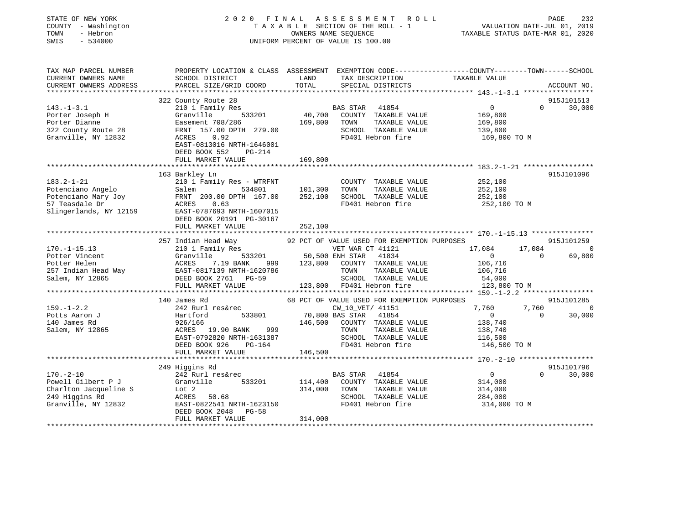| STATE OF NEW YORK<br>COUNTY - Washington<br>- Hebron<br>TOWN<br>SWIS<br>$-534000$ |                                                                                                                       | 2020 FINAL ASSESSMENT ROLL<br>TAXABLE SECTION OF THE ROLL - 1<br>OWNERS NAME SEQUENCE<br>UNIFORM PERCENT OF VALUE IS 100.00 | PAGE<br>232<br>VALUATION DATE-JUL 01, 2019<br>TAXABLE STATUS DATE-MAR 01, 2020                                  |
|-----------------------------------------------------------------------------------|-----------------------------------------------------------------------------------------------------------------------|-----------------------------------------------------------------------------------------------------------------------------|-----------------------------------------------------------------------------------------------------------------|
| TAX MAP PARCEL NUMBER<br>CURRENT OWNERS NAME<br>CURRENT OWNERS ADDRESS            | SCHOOL DISTRICT<br>PARCEL SIZE/GRID COORD                                                                             | TAX DESCRIPTION TAXABLE VALUE<br>LAND<br>TOTAL<br>SPECIAL DISTRICTS                                                         | PROPERTY LOCATION & CLASS ASSESSMENT EXEMPTION CODE----------------COUNTY-------TOWN------SCHOOL<br>ACCOUNT NO. |
| *************************                                                         |                                                                                                                       |                                                                                                                             |                                                                                                                 |
| $143. - 1 - 3.1$<br>Porter Joseph H<br>Porter Dianne                              | 322 County Route 28<br>210 1 Family Res<br>Granville<br>533201<br>Easement 708/286                                    | BAS STAR 41854<br>40,700<br>COUNTY TAXABLE VALUE<br>169,800<br>TOWN<br>TAXABLE VALUE                                        | 915J101513<br>$\Omega$<br>0<br>30,000<br>169,800<br>169,800                                                     |
| 322 County Route 28<br>Granville, NY 12832                                        | FRNT 157.00 DPTH 279.00<br>ACRES<br>0.92<br>EAST-0813016 NRTH-1646001<br>DEED BOOK 552<br>PG-214<br>FULL MARKET VALUE | SCHOOL TAXABLE VALUE<br>FD401 Hebron fire<br>169,800                                                                        | 139,800<br>169,800 TO M                                                                                         |
|                                                                                   |                                                                                                                       |                                                                                                                             |                                                                                                                 |
| $183.2 - 1 - 21$                                                                  | 163 Barkley Ln<br>210 1 Family Res - WTRFNT                                                                           |                                                                                                                             | 915J101096<br>252,100                                                                                           |
| Potenciano Angelo<br>Potenciano Angelo<br>Potenciano Mary Joy<br>57 Teaggale Dr   | Salem<br>534801<br>FRNT 200.00 DPTH 167.00                                                                            | COUNTY TAXABLE VALUE<br>101,300<br>TOWN<br>TAXABLE VALUE<br>252,100<br>SCHOOL TAXABLE VALUE                                 | 252,100<br>252,100                                                                                              |
| 57 Teasdale Dr<br>Slingerlands, NY 12159                                          | 0.63<br>ACRES<br>EAST-0787693 NRTH-1607015<br>DEED BOOK 20191 PG-30167<br>FULL MARKET VALUE                           | FD401 Hebron fire<br>252,100                                                                                                | 252,100 TO M                                                                                                    |
|                                                                                   |                                                                                                                       |                                                                                                                             |                                                                                                                 |
|                                                                                   | 257 Indian Head Way                                                                                                   | 92 PCT OF VALUE USED FOR EXEMPTION PURPOSES                                                                                 | 915J101259                                                                                                      |
| $170. - 1 - 15.13$                                                                | 210 1 Family Res                                                                                                      | VET WAR CT 41121                                                                                                            | 17,084<br>17,084<br>$\overline{\phantom{0}}$                                                                    |
| Potter Vincent                                                                    | Granville<br>533201                                                                                                   | 50,500 ENH STAR 41834                                                                                                       | 69,800<br>$\Omega$<br>$\overline{0}$                                                                            |
| Potter Helen                                                                      | 999<br>ACRES<br>7.19 BANK                                                                                             | 123,800<br>COUNTY TAXABLE VALUE                                                                                             | 106,716                                                                                                         |
| 257 Indian Head Way                                                               | EAST-0817139 NRTH-1620786                                                                                             | TOWN<br>TAXABLE VALUE                                                                                                       | 106,716                                                                                                         |
| Salem, NY 12865                                                                   | DEED BOOK 2761 PG-59                                                                                                  | SCHOOL TAXABLE VALUE                                                                                                        | 54,000                                                                                                          |
|                                                                                   | FULL MARKET VALUE                                                                                                     | 123,800 FD401 Hebron fire                                                                                                   | 123,800 TO M                                                                                                    |
|                                                                                   |                                                                                                                       |                                                                                                                             |                                                                                                                 |
| $159. - 1 - 2.2$                                                                  | 140 James Rd<br>242 Rurl res&rec                                                                                      | 68 PCT OF VALUE USED FOR EXEMPTION PURPOSES<br>CW_10_VET/ 41151                                                             | 915J101285<br>7,760<br>7,760<br>$\overline{0}$                                                                  |
| Potts Aaron J                                                                     | 533801<br>Hartford                                                                                                    | 70,800 BAS STAR 41854                                                                                                       | $\overline{0}$<br>30,000<br>$\Omega$                                                                            |
| 140 James Rd                                                                      | 926/166                                                                                                               | 146,500 COUNTY TAXABLE VALUE                                                                                                | 138,740                                                                                                         |
| Salem, NY 12865                                                                   | ACRES 19.90 BANK<br>999                                                                                               | TOWN<br>TAXABLE VALUE                                                                                                       | 138,740                                                                                                         |
|                                                                                   | EAST-0792820 NRTH-1631387                                                                                             | SCHOOL TAXABLE VALUE                                                                                                        | 116,500                                                                                                         |
|                                                                                   | DEED BOOK 926<br>PG-164                                                                                               | FD401 Hebron fire                                                                                                           | 146,500 TO M                                                                                                    |
|                                                                                   | FULL MARKET VALUE                                                                                                     | 146,500                                                                                                                     |                                                                                                                 |
|                                                                                   |                                                                                                                       |                                                                                                                             |                                                                                                                 |
|                                                                                   | 249 Higgins Rd                                                                                                        |                                                                                                                             | 915J101796                                                                                                      |
| $170. - 2 - 10$                                                                   | 242 Rurl res&rec                                                                                                      | BAS STAR 41854                                                                                                              | $\overline{0}$<br>$\Omega$<br>30,000                                                                            |
| Powell Gilbert P J                                                                | Granville<br>533201                                                                                                   | 114,400<br>COUNTY TAXABLE VALUE                                                                                             | 314,000                                                                                                         |
| Charlton Jacqueline S                                                             | Lot 2                                                                                                                 | 314,000<br>TOWN<br>TAXABLE VALUE                                                                                            | 314,000                                                                                                         |
| 249 Higgins Rd                                                                    | ACRES 50.68                                                                                                           | SCHOOL TAXABLE VALUE                                                                                                        | 284,000                                                                                                         |
| Granville, NY 12832                                                               | EAST-0822541 NRTH-1623150<br>DEED BOOK 2048<br>$PG-58$<br>FULL MARKET VALUE                                           | FD401 Hebron fire<br>314,000                                                                                                | 314,000 TO M                                                                                                    |
|                                                                                   |                                                                                                                       |                                                                                                                             |                                                                                                                 |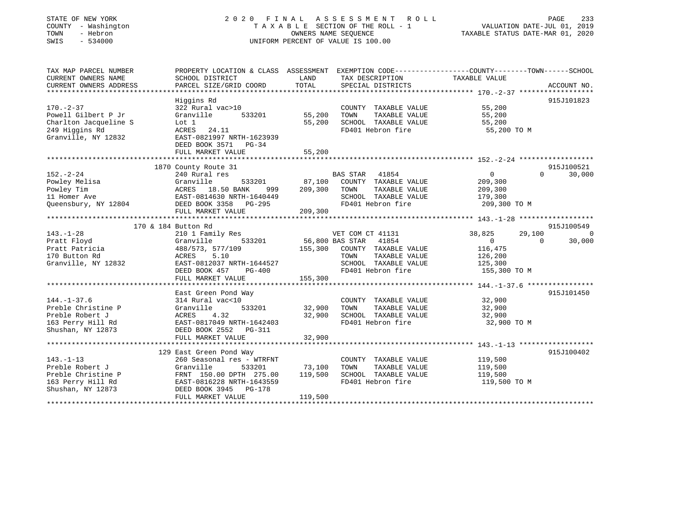| STATE OF NEW YORK<br>COUNTY - Washington<br>TOWN<br>- Hebron<br>$-534000$<br>SWIS |                                                                                                                                              | OWNERS NAME SEOUENCE | 2020 FINAL ASSESSMENT<br>R O L L<br>TAXABLE SECTION OF THE ROLL - 1<br>UNIFORM PERCENT OF VALUE IS 100.00 | VALUATION DATE-JUL 01, 2019<br>TAXABLE STATUS DATE-MAR 01, 2020 | PAGE<br>233        |
|-----------------------------------------------------------------------------------|----------------------------------------------------------------------------------------------------------------------------------------------|----------------------|-----------------------------------------------------------------------------------------------------------|-----------------------------------------------------------------|--------------------|
| TAX MAP PARCEL NUMBER<br>CURRENT OWNERS NAME<br>CURRENT OWNERS ADDRESS            | PROPERTY LOCATION & CLASS ASSESSMENT EXEMPTION CODE---------------COUNTY-------TOWN------SCHOOL<br>SCHOOL DISTRICT<br>PARCEL SIZE/GRID COORD | LAND<br>TOTAL        | TAX DESCRIPTION<br>SPECIAL DISTRICTS                                                                      | TAXABLE VALUE                                                   | ACCOUNT NO.        |
|                                                                                   | Higgins Rd                                                                                                                                   |                      |                                                                                                           |                                                                 | 915J101823         |
| $170. - 2 - 37$                                                                   | 322 Rural vac>10                                                                                                                             |                      | COUNTY TAXABLE VALUE                                                                                      | 55,200                                                          |                    |
| Powell Gilbert P Jr                                                               | Granville<br>533201                                                                                                                          | 55,200               | TOWN<br>TAXABLE VALUE                                                                                     | 55,200                                                          |                    |
| Charlton Jacqueline S                                                             | Lot 1                                                                                                                                        | 55,200               | SCHOOL TAXABLE VALUE                                                                                      | 55,200                                                          |                    |
| 249 Higgins Rd<br>Granville, NY 12832                                             | ACRES<br>24.11<br>EAST-0821997 NRTH-1623939                                                                                                  |                      | FD401 Hebron fire                                                                                         | 55,200 TO M                                                     |                    |
|                                                                                   | DEED BOOK 3571<br>$PG-34$                                                                                                                    |                      |                                                                                                           |                                                                 |                    |
|                                                                                   | FULL MARKET VALUE                                                                                                                            | 55,200               |                                                                                                           |                                                                 |                    |
|                                                                                   |                                                                                                                                              |                      |                                                                                                           |                                                                 |                    |
|                                                                                   | 1870 County Route 31                                                                                                                         |                      |                                                                                                           |                                                                 | 915J100521         |
| $152. - 2 - 24$                                                                   | 240 Rural res                                                                                                                                |                      | BAS STAR 41854                                                                                            | $\mathbf 0$                                                     | $\Omega$<br>30,000 |
| Powley Melisa                                                                     | Granville<br>533201                                                                                                                          | 87,100               | COUNTY TAXABLE VALUE                                                                                      | 209,300                                                         |                    |
| Powley Tim                                                                        | ACRES 18.50 BANK<br>999                                                                                                                      | 209,300              | TOWN<br>TAXABLE VALUE                                                                                     | 209,300                                                         |                    |
| 11 Homer Ave                                                                      | EAST-0814630 NRTH-1640449                                                                                                                    |                      | SCHOOL TAXABLE VALUE                                                                                      | 179,300                                                         |                    |
| Queensbury, NY 12804                                                              | DEED BOOK 3358<br>PG-295<br>FULL MARKET VALUE                                                                                                |                      | FD401 Hebron fire                                                                                         | 209,300 TO M                                                    |                    |
|                                                                                   |                                                                                                                                              | 209,300              |                                                                                                           | ********** 143.-1-28 ******************                         |                    |
|                                                                                   | 170 & 184 Button Rd                                                                                                                          |                      |                                                                                                           |                                                                 | 915J100549         |
| $143. - 1 - 28$                                                                   | 210 1 Family Res                                                                                                                             |                      | VET COM CT 41131                                                                                          | 38,825<br>29,100                                                | $\Omega$           |
| Pratt Floyd                                                                       | Granville<br>533201                                                                                                                          |                      | 56,800 BAS STAR<br>41854                                                                                  | $\mathbf{0}$                                                    | 30,000<br>$\Omega$ |
| Pratt Patricia                                                                    | 488/573, 577/109                                                                                                                             | 155,300              | COUNTY TAXABLE VALUE                                                                                      | 116,475                                                         |                    |
| 170 Button Rd                                                                     | 5.10<br>ACRES                                                                                                                                |                      | TOWN<br>TAXABLE VALUE                                                                                     | 126,200                                                         |                    |
| Granville, NY 12832                                                               | EAST-0812037 NRTH-1644527                                                                                                                    |                      | SCHOOL TAXABLE VALUE                                                                                      | 125,300                                                         |                    |
|                                                                                   | DEED BOOK 457<br><b>PG-400</b>                                                                                                               |                      | FD401 Hebron fire                                                                                         | 155,300 TO M                                                    |                    |
|                                                                                   | FULL MARKET VALUE                                                                                                                            | 155,300              |                                                                                                           |                                                                 |                    |
|                                                                                   |                                                                                                                                              |                      |                                                                                                           |                                                                 |                    |
|                                                                                   | East Green Pond Way                                                                                                                          |                      |                                                                                                           |                                                                 | 915J101450         |
| $144. - 1 - 37.6$                                                                 | 314 Rural vac<10                                                                                                                             |                      | COUNTY TAXABLE VALUE                                                                                      | 32,900                                                          |                    |
| Preble Christine P                                                                | 533201<br>Granville                                                                                                                          | 32,900               | TOWN<br>TAXABLE VALUE                                                                                     | 32,900                                                          |                    |
| Preble Robert J                                                                   | ACRES<br>4.32                                                                                                                                | 32,900               | SCHOOL TAXABLE VALUE                                                                                      | 32,900                                                          |                    |
| 163 Perry Hill Rd                                                                 | EAST-0817049 NRTH-1642403                                                                                                                    |                      | FD401 Hebron fire                                                                                         | 32,900 TO M                                                     |                    |
| Shushan, NY 12873                                                                 | DEED BOOK 2552<br><b>PG-311</b>                                                                                                              |                      |                                                                                                           |                                                                 |                    |
|                                                                                   | FULL MARKET VALUE<br>************************************                                                                                    | 32,900<br>********** |                                                                                                           |                                                                 |                    |
|                                                                                   |                                                                                                                                              |                      |                                                                                                           |                                                                 | 915J100402         |
| $143. - 1 - 13$                                                                   | 129 East Green Pond Way<br>260 Seasonal res - WTRFNT                                                                                         |                      | COUNTY TAXABLE VALUE                                                                                      | 119,500                                                         |                    |
| Preble Robert J                                                                   | Granville<br>533201                                                                                                                          | 73,100               | TOWN<br>TAXABLE VALUE                                                                                     | 119,500                                                         |                    |
| Preble Christine P                                                                | FRNT 150.00 DPTH 275.00                                                                                                                      | 119,500              | SCHOOL TAXABLE VALUE                                                                                      | 119,500                                                         |                    |
| 163 Perry Hill Rd                                                                 | EAST-0816228 NRTH-1643559                                                                                                                    |                      | FD401 Hebron fire                                                                                         | 119,500 TO M                                                    |                    |
| Shushan, NY 12873                                                                 | DEED BOOK 3945<br>PG-178                                                                                                                     |                      |                                                                                                           |                                                                 |                    |
|                                                                                   | FULL MARKET VALUE                                                                                                                            | 119,500              |                                                                                                           |                                                                 |                    |
|                                                                                   |                                                                                                                                              |                      |                                                                                                           |                                                                 |                    |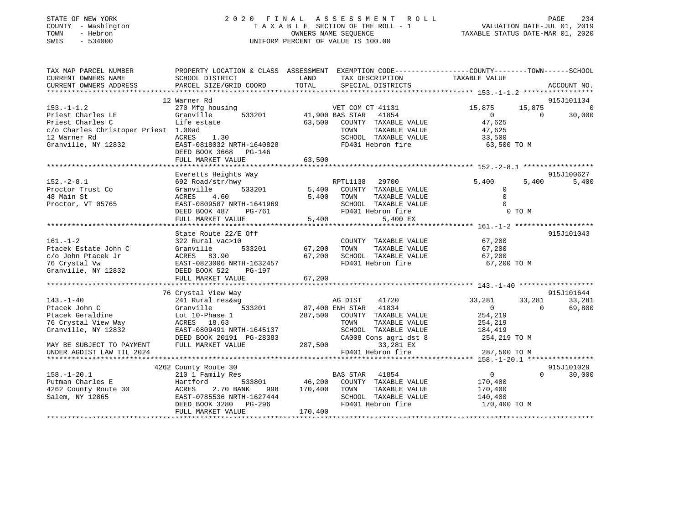# STATE OF NEW YORK 2 0 2 0 F I N A L A S S E S S M E N T R O L L PAGE 234 COUNTY - Washington T A X A B L E SECTION OF THE ROLL - 1 VALUATION DATE-JUL 01, 2019 TOWN - Hebron OWNERS NAME SEQUENCE TAXABLE STATUS DATE-MAR 01, 2020 SWIS - 534000 UNIFORM PERCENT OF VALUE IS 100.00

| TAX MAP PARCEL NUMBER<br>CURRENT OWNERS NAME<br>CURRENT OWNERS ADDRESS                                                                  | SCHOOL DISTRICT<br>PARCEL SIZE/GRID COORD                                                                                                         | PROPERTY LOCATION & CLASS ASSESSMENT EXEMPTION CODE---------------COUNTY-------TOWN------SCHOOL<br>LAND<br>TAX DESCRIPTION<br><b>TOTAL</b><br>SPECIAL DISTRICTS                     | TAXABLE VALUE                                                                               | ACCOUNT NO.        |
|-----------------------------------------------------------------------------------------------------------------------------------------|---------------------------------------------------------------------------------------------------------------------------------------------------|-------------------------------------------------------------------------------------------------------------------------------------------------------------------------------------|---------------------------------------------------------------------------------------------|--------------------|
|                                                                                                                                         | 12 Warner Rd                                                                                                                                      |                                                                                                                                                                                     |                                                                                             | 915J101134         |
| $153. -1 - 1.2$<br>Priest Charles LE<br>Priest Charles C<br>c/o Charles Christoper Priest 1.00ad<br>12 Warner Rd<br>Granville, NY 12832 | 270 Mfg housing<br>533201<br>Granville<br>Life estate<br>1.30<br>ACRES<br>EAST-0818032 NRTH-1640828<br>DEED BOOK 3668 PG-146<br>FULL MARKET VALUE | VET COM CT 41131<br>41,900 BAS STAR 41854<br>VET COM CT 41131<br>63,500 COUNTY TAXABLE VALUE<br>TAXABLE VALUE<br>TOWN<br>SCHOOL TAXABLE VALUE<br>FD401 Hebron fire<br>63,500        | 15,875<br>15,875<br>$\overline{0}$<br>$\Omega$<br>47,625<br>47,625<br>33,500<br>63,500 TO M | $\Omega$<br>30,000 |
|                                                                                                                                         | Everetts Heights Way                                                                                                                              |                                                                                                                                                                                     |                                                                                             | 915J100627         |
| $152. - 2 - 8.1$<br>Proctor Trust Co<br>48 Main St<br>Proctor, VT 05765                                                                 | 692 Road/str/hwy<br>Granville 533201<br>ACRES<br>4.60<br>EAST-0809587 NRTH-1641969<br>DEED BOOK 487<br>FULL MARKET VALUE                          | RPTL1138 29700<br>5,400 COUNTY TAXABLE VALUE<br>5,400 TOWN<br>TAXABLE VALUE<br>SCHOOL TAXABLE VALUE<br>H-1641969<br>PG-761<br>FD401 Hebron fire<br>5,400<br>5,400 EX                | 5,400<br>5,400<br>$\Omega$<br>$\Omega$<br>$\Omega$<br>0 TO M                                | 5,400              |
|                                                                                                                                         | State Route 22/E Off                                                                                                                              |                                                                                                                                                                                     |                                                                                             | 915J101043         |
| $161. - 1 - 2$<br>Ptacek Estate John C<br>c/o John Ptacek Jr<br>76 Crystal Vw<br>Granville, NY 12832 DEED BOOK 522                      | 322 Rural vac>10<br>Granville<br>PG-197                                                                                                           | COUNTY TAXABLE VALUE 67,200<br>533201 67,200 TOWN<br>TAXABLE VALUE                                                                                                                  | 67,200<br>67,200<br>67,200 TO M                                                             |                    |
|                                                                                                                                         | 76 Crystal View Way                                                                                                                               |                                                                                                                                                                                     |                                                                                             | 915J101644         |
| $143. - 1 - 40$<br>Ptacek John C<br>Ptacek Geraldine<br>76 Crystal View Way MCRES 18.63<br>Granville, NY 12832                          | 241 Rural res&ag<br>Granville $\frac{1}{2}$<br>Lot 10-Phase 1<br>EAST-0809491 NRTH-1645137<br>DEED BOOK 20191 PG-28383                            | AG DIST 41720<br>87,400 ENH STAR 41834<br>287,500 COUNTY -<br>287,500 COUNTY TAXABLE VALUE<br>TOWN<br>TAXABLE VALUE<br>SCHOOL TAXABLE VALUE<br>CA008 Cons agri dst 8 $254,219$ TO M | 33,281<br>33,281<br>$\overline{0}$<br>$\Omega$<br>254,219<br>254, 219<br>184,419            | 33,281<br>69,800   |
| MAY BE SUBJECT TO PAYMENT<br>UNDER AGDIST LAW TIL 2024                                                                                  | FULL MARKET VALUE                                                                                                                                 | 287,500<br>33,281 EX<br>FD401 Hebron fire                                                                                                                                           | 287,500 TO M                                                                                |                    |
|                                                                                                                                         | 4262 County Route 30                                                                                                                              |                                                                                                                                                                                     |                                                                                             | 915J101029         |
| $158. - 1 - 20.1$<br>Putman Charles E<br>4262 County Route 30 ACRES<br>Salem, NY 12865                                                  | 210 1 Family Res<br>Hartford<br>2.70 BANK<br>EAST-0785536 NRTH-1627444<br>DEED BOOK 3280 PG-296<br>FULL MARKET VALUE                              | 998 170,400 TOWN<br>TAXABLE VALUE<br>SCHOOL TAXABLE VALUE<br>FD401 Hebron fire<br>170,400                                                                                           | $\overline{0}$<br>$0 \qquad \qquad$<br>170,400<br>170,400<br>140,400<br>170,400 TO M        | 30,000             |
|                                                                                                                                         |                                                                                                                                                   |                                                                                                                                                                                     |                                                                                             |                    |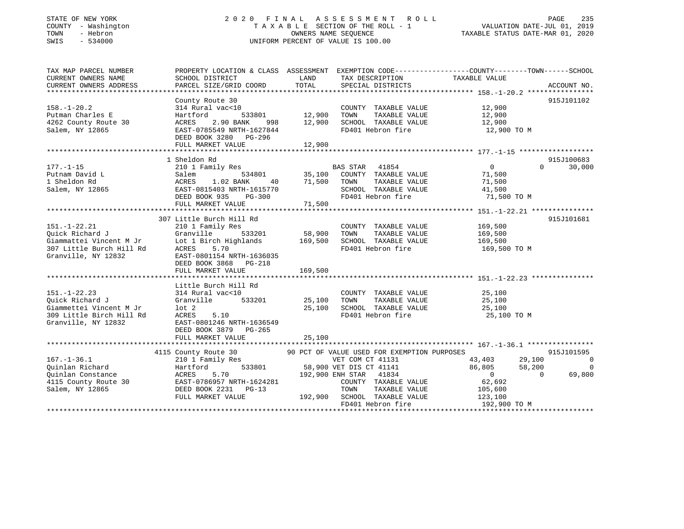# STATE OF NEW YORK 2 0 2 0 F I N A L A S S E S S M E N T R O L L PAGE 235 COUNTY - Washington T A X A B L E SECTION OF THE ROLL - 1 VALUATION DATE-JUL 01, 2019 TOWN - Hebron OWNERS NAME SEQUENCE TAXABLE STATUS DATE-MAR 01, 2020 SWIS - 534000 UNIFORM PERCENT OF VALUE IS 100.00

| TAX MAP PARCEL NUMBER<br>CURRENT OWNERS NAME<br>CURRENT OWNERS ADDRESS                                              | SCHOOL DISTRICT<br>PARCEL SIZE/GRID COORD                                                                                                                                                | LAND<br>TOTAL                | TAX DESCRIPTION<br>SPECIAL DISTRICTS                                                                                                                                | PROPERTY LOCATION & CLASS ASSESSMENT EXEMPTION CODE----------------COUNTY-------TOWN-----SCHOOL<br>TAXABLE VALUE   | ACCOUNT NO.                                    |
|---------------------------------------------------------------------------------------------------------------------|------------------------------------------------------------------------------------------------------------------------------------------------------------------------------------------|------------------------------|---------------------------------------------------------------------------------------------------------------------------------------------------------------------|--------------------------------------------------------------------------------------------------------------------|------------------------------------------------|
| $158. - 1 - 20.2$<br>Putman Charles E<br>4262 County Route 30<br>Salem, NY 12865                                    | County Route 30<br>314 Rural vac<10<br>Hartford<br>533801<br>ACRES<br>2.90 BANK<br>998<br>EAST-0785549 NRTH-1627844<br>DEED BOOK 3280 PG-296<br>FULL MARKET VALUE                        | 12,900<br>12,900<br>12,900   | COUNTY TAXABLE VALUE<br>TAXABLE VALUE<br>TOWN<br>SCHOOL TAXABLE VALUE<br>FD401 Hebron fire                                                                          | 12,900<br>12,900<br>12,900<br>12,900 TO M                                                                          | 915J101102                                     |
|                                                                                                                     |                                                                                                                                                                                          |                              |                                                                                                                                                                     |                                                                                                                    |                                                |
| $177. - 1 - 15$<br>Putnam David L<br>1 Sheldon Rd<br>Salem, NY 12865                                                | 1 Sheldon Rd<br>210 1 Family Res<br>534801<br>Salem<br>1.02 BANK<br>ACRES<br>40<br>EAST-0815403 NRTH-1615770<br>DEED BOOK 935<br>$PG-300$                                                | 35,100<br>71,500             | BAS STAR 41854<br>COUNTY TAXABLE VALUE<br>TAXABLE VALUE<br>TOWN<br>SCHOOL TAXABLE VALUE<br>FD401 Hebron fire                                                        | $\circ$<br>$\Omega$<br>71,500<br>71,500<br>41,500<br>71,500 TO M                                                   | 915J100683<br>30,000                           |
|                                                                                                                     | FULL MARKET VALUE                                                                                                                                                                        | 71,500                       |                                                                                                                                                                     |                                                                                                                    |                                                |
|                                                                                                                     |                                                                                                                                                                                          |                              |                                                                                                                                                                     |                                                                                                                    |                                                |
| $151. - 1 - 22.21$<br>Ouick Richard J<br>Giammattei Vincent M Jr<br>307 Little Burch Hill Rd<br>Granville, NY 12832 | 307 Little Burch Hill Rd<br>210 1 Family Res<br>Granville<br>533201<br>Lot 1 Birch Highlands<br>5.70<br>ACRES<br>EAST-0801154 NRTH-1636035<br>DEED BOOK 3868 PG-218<br>FULL MARKET VALUE | 58,900<br>169,500<br>169,500 | COUNTY TAXABLE VALUE<br>TOWN<br>TAXABLE VALUE<br>SCHOOL TAXABLE VALUE<br>FD401 Hebron fire                                                                          | 169,500<br>169,500<br>169,500<br>169,500 TO M                                                                      | 915J101681                                     |
| $151. - 1 - 22.23$<br>Ouick Richard J<br>Giammettei Vincent M Jr<br>309 Little Birch Hill Rd<br>Granville, NY 12832 | Little Burch Hill Rd<br>314 Rural vac<10<br>533201<br>Granville<br>$1$ ot $2$<br>ACRES<br>5.10<br>EAST-0801246 NRTH-1636549<br>DEED BOOK 3879 PG-265<br>FULL MARKET VALUE                | 25,100<br>25,100<br>25,100   | COUNTY TAXABLE VALUE<br>TOWN<br>TAXABLE VALUE<br>SCHOOL TAXABLE VALUE<br>FD401 Hebron fire                                                                          | 25,100<br>25,100<br>25,100<br>25,100 TO M                                                                          |                                                |
|                                                                                                                     |                                                                                                                                                                                          |                              | 90 PCT OF VALUE USED FOR EXEMPTION PURPOSES                                                                                                                         |                                                                                                                    | 915J101595                                     |
| $167. - 1 - 36.1$<br>Ouinlan Richard<br>Quinlan Constance<br>4115 County Route 30<br>Salem, NY 12865                | 4115 County Route 30<br>210 1 Family Res<br>533801<br>Hartford<br>ACRES<br>5.70<br>EAST-0786957 NRTH-1624281<br>DEED BOOK 2231 PG-13<br>FULL MARKET VALUE                                | 192,900                      | VET COM CT 41131<br>58,900 VET DIS CT 41141<br>192,900 ENH STAR 41834<br>COUNTY TAXABLE VALUE<br>TAXABLE VALUE<br>TOWN<br>SCHOOL TAXABLE VALUE<br>FD401 Hebron fire | 43,403<br>29,100<br>86,805<br>58,200<br>$\overline{0}$<br>$\Omega$<br>62,692<br>105,600<br>123,100<br>192,900 TO M | $\overline{\phantom{0}}$<br>$\Omega$<br>69,800 |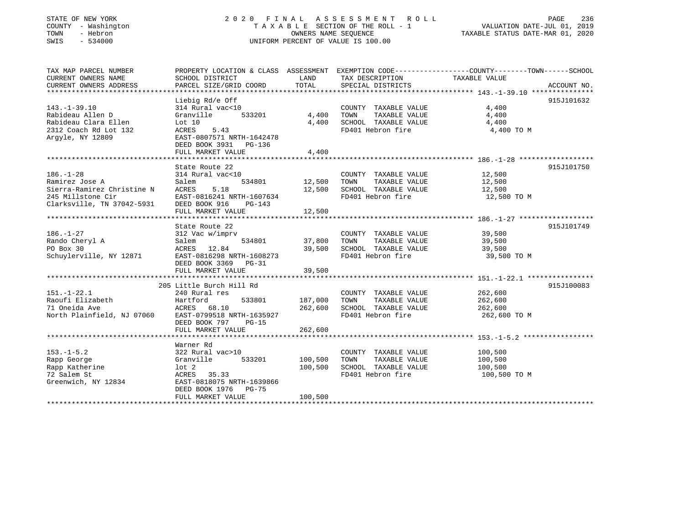# STATE OF NEW YORK 2 0 2 0 F I N A L A S S E S S M E N T R O L L PAGE 236 COUNTY - Washington T A X A B L E SECTION OF THE ROLL - 1 VALUATION DATE-JUL 01, 2019 TOWN - Hebron OWNERS NAME SEQUENCE TAXABLE STATUS DATE-MAR 01, 2020 SWIS - 534000 UNIFORM PERCENT OF VALUE IS 100.00

| TAX MAP PARCEL NUMBER         |                                                    |            |                       | PROPERTY LOCATION & CLASS ASSESSMENT EXEMPTION CODE----------------COUNTY-------TOWN------SCHOOL |
|-------------------------------|----------------------------------------------------|------------|-----------------------|--------------------------------------------------------------------------------------------------|
| CURRENT OWNERS NAME           | SCHOOL DISTRICT                                    | LAND       | TAX DESCRIPTION       | TAXABLE VALUE                                                                                    |
| <b>CURRENT OWNERS ADDRESS</b> | PARCEL SIZE/GRID COORD                             | TOTAL      | SPECIAL DISTRICTS     | ACCOUNT NO.                                                                                      |
|                               |                                                    |            |                       |                                                                                                  |
|                               | Liebig Rd/e Off                                    |            |                       | 915J101632                                                                                       |
| $143. - 1 - 39.10$            | 314 Rural vac<10                                   |            | COUNTY TAXABLE VALUE  | 4,400                                                                                            |
| Rabideau Allen D              | 533201<br>Granville                                | 4,400      | TOWN<br>TAXABLE VALUE | 4,400                                                                                            |
| Rabideau Clara Ellen          | Lot $10$                                           | 4,400      | SCHOOL TAXABLE VALUE  | 4,400                                                                                            |
| 2312 Coach Rd Lot 132         | ACRES<br>5.43                                      |            | FD401 Hebron fire     | 4,400 TO M                                                                                       |
|                               |                                                    |            |                       |                                                                                                  |
| Argyle, NY 12809              | EAST-0807571 NRTH-1642478<br>DEED BOOK 3931 PG-136 |            |                       |                                                                                                  |
|                               |                                                    |            |                       |                                                                                                  |
|                               | FULL MARKET VALUE                                  | 4,400      |                       |                                                                                                  |
|                               |                                                    |            |                       |                                                                                                  |
|                               | State Route 22                                     |            |                       | 915J101750                                                                                       |
| $186. - 1 - 28$               | 314 Rural vac<10                                   |            | COUNTY TAXABLE VALUE  | 12,500                                                                                           |
| Ramirez Jose A                | 534801<br>Salem                                    | 12,500     | TAXABLE VALUE<br>TOWN | 12,500                                                                                           |
| Sierra-Ramirez Christine N    | 5.18<br>ACRES                                      | 12,500     | SCHOOL TAXABLE VALUE  | 12,500                                                                                           |
| 245 Millstone Cir             | EAST-0816241 NRTH-1607634                          |            | FD401 Hebron fire     | 12,500 TO M                                                                                      |
| Clarksville, TN 37042-5931    | DEED BOOK 916<br>PG-143                            |            |                       |                                                                                                  |
|                               | FULL MARKET VALUE                                  | 12,500     |                       |                                                                                                  |
|                               | ********************************                   | ********** |                       |                                                                                                  |
|                               | State Route 22                                     |            |                       | 915J101749                                                                                       |
| $186. - 1 - 27$               | 312 Vac w/imprv                                    |            | COUNTY TAXABLE VALUE  | 39,500                                                                                           |
| Rando Cheryl A                | Salem<br>534801                                    | 37,800     | TAXABLE VALUE<br>TOWN | 39,500                                                                                           |
| PO Box 30                     | ACRES 12.84                                        | 39,500     | SCHOOL TAXABLE VALUE  | 39,500                                                                                           |
| Schuylerville, NY 12871       | EAST-0816298 NRTH-1608273                          |            | FD401 Hebron fire     | 39,500 TO M                                                                                      |
|                               | DEED BOOK 3369<br>PG-31                            |            |                       |                                                                                                  |
|                               | FULL MARKET VALUE                                  | 39,500     |                       |                                                                                                  |
|                               |                                                    |            |                       |                                                                                                  |
|                               |                                                    |            |                       |                                                                                                  |
|                               | 205 Little Burch Hill Rd                           |            |                       | 915J100083                                                                                       |
| $151.-1-22.1$                 | 240 Rural res                                      |            | COUNTY TAXABLE VALUE  | 262,600                                                                                          |
| Raoufi Elizabeth              | Hartford<br>533801                                 | 187,000    | TOWN<br>TAXABLE VALUE | 262,600                                                                                          |
| 71 Oneida Ave                 | 68.10<br>ACRES                                     | 262,600    | SCHOOL TAXABLE VALUE  | 262,600                                                                                          |
| North Plainfield, NJ 07060    | EAST-0799518 NRTH-1635927                          |            | FD401 Hebron fire     | 262,600 TO M                                                                                     |
|                               | DEED BOOK 797<br>$PG-15$                           |            |                       |                                                                                                  |
|                               | FULL MARKET VALUE                                  | 262,600    |                       |                                                                                                  |
|                               |                                                    |            |                       |                                                                                                  |
|                               | Warner Rd                                          |            |                       |                                                                                                  |
| $153. - 1 - 5.2$              | 322 Rural vac>10                                   |            | COUNTY TAXABLE VALUE  | 100,500                                                                                          |
| Rapp George                   | 533201<br>Granville                                | 100,500    | TOWN<br>TAXABLE VALUE | 100,500                                                                                          |
| Rapp Katherine                | $1$ ot $2$                                         | 100,500    | SCHOOL TAXABLE VALUE  | 100,500                                                                                          |
| 72 Salem St                   | ACRES 35.33                                        |            | FD401 Hebron fire     | 100,500 TO M                                                                                     |
| Greenwich, NY 12834           | EAST-0818075 NRTH-1639866                          |            |                       |                                                                                                  |
|                               | DEED BOOK 1976<br>PG-75                            |            |                       |                                                                                                  |
|                               | FULL MARKET VALUE                                  | 100,500    |                       |                                                                                                  |
|                               |                                                    |            |                       |                                                                                                  |
|                               |                                                    |            |                       |                                                                                                  |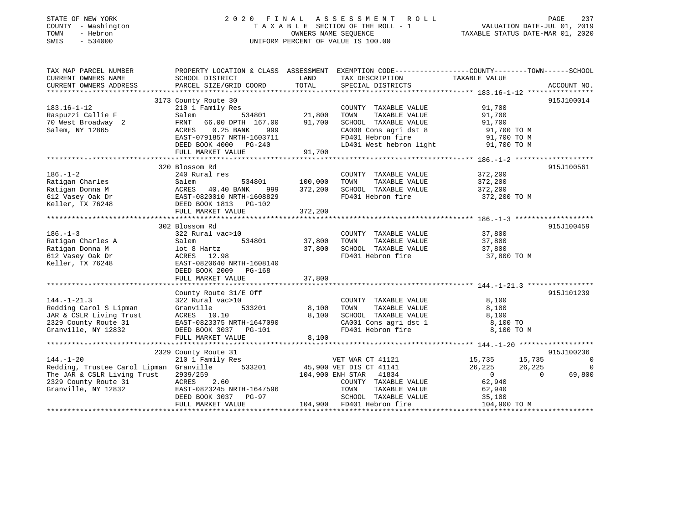| STATE OF NEW YORK<br>COUNTY - Washington<br>TOWN<br>- Hebron<br>$-534000$<br>SWIS                                     | 2 0 2 0                                                                                                                                                                                         | OWNERS NAME SEOUENCE          | FINAL ASSESSMENT<br>R O L L<br>TAXABLE SECTION OF THE ROLL - 1<br>UNIFORM PERCENT OF VALUE IS 100.00                                           | VALUATION DATE-JUL 01, 2019<br>TAXABLE STATUS DATE-MAR 01, 2020         | <b>PAGE</b><br>237 |
|-----------------------------------------------------------------------------------------------------------------------|-------------------------------------------------------------------------------------------------------------------------------------------------------------------------------------------------|-------------------------------|------------------------------------------------------------------------------------------------------------------------------------------------|-------------------------------------------------------------------------|--------------------|
| TAX MAP PARCEL NUMBER<br>CURRENT OWNERS NAME<br>CURRENT OWNERS ADDRESS                                                | PROPERTY LOCATION & CLASS ASSESSMENT<br>SCHOOL DISTRICT<br>PARCEL SIZE/GRID COORD                                                                                                               | LAND<br>TOTAL                 | EXEMPTION CODE-----------------COUNTY-------TOWN------SCHOOL<br>TAX DESCRIPTION<br>SPECIAL DISTRICTS                                           | TAXABLE VALUE                                                           | ACCOUNT NO.        |
| **********************                                                                                                |                                                                                                                                                                                                 |                               |                                                                                                                                                |                                                                         |                    |
| $183.16 - 1 - 12$<br>Raspuzzi Callie F<br>70 West Broadway 2<br>Salem, NY 12865                                       | 3173 County Route 30<br>210 1 Family Res<br>Salem<br>534801<br>FRNT 66.00 DPTH 167.00<br>$0.25$ BANK<br>ACRES<br>999<br>EAST-0791857 NRTH-1603711<br>DEED BOOK 4000 PG-240<br>FULL MARKET VALUE | 21,800<br>91,700<br>91,700    | COUNTY TAXABLE VALUE<br>TOWN<br>TAXABLE VALUE<br>SCHOOL TAXABLE VALUE<br>CA008 Cons agri dst 8<br>FD401 Hebron fire<br>LD401 West hebron light | 91,700<br>91,700<br>91,700<br>91,700 TO M<br>91,700 TO M<br>91,700 TO M | 915J100014         |
|                                                                                                                       | 320 Blossom Rd                                                                                                                                                                                  |                               |                                                                                                                                                |                                                                         | 915J100561         |
| $186. - 1 - 2$<br>Ratigan Charles<br>Ratigan Donna M<br>612 Vasey Oak Dr<br>Keller, TX 76248                          | 240 Rural res<br>534801<br>Salem<br>40.40 BANK<br>ACRES<br>999<br>EAST-0820010 NRTH-1608829<br>DEED BOOK 1813 PG-102<br>FULL MARKET VALUE                                                       | 100,000<br>372,200<br>372,200 | COUNTY TAXABLE VALUE<br>TAXABLE VALUE<br>TOWN<br>SCHOOL TAXABLE VALUE<br>FD401 Hebron fire                                                     | 372,200<br>372,200<br>372,200<br>372,200 TO M                           |                    |
|                                                                                                                       |                                                                                                                                                                                                 |                               |                                                                                                                                                |                                                                         |                    |
| $186. - 1 - 3$<br>Ratigan Charles A<br>Ratigan Donna M<br>612 Vasey Oak Dr<br>Keller, TX 76248                        | 302 Blossom Rd<br>322 Rural vac>10<br>Salem<br>534801<br>lot 8 Hartz<br>ACRES 12.98<br>EAST-0820640 NRTH-1608140<br>DEED BOOK 2009<br>$PG-168$<br>FULL MARKET VALUE                             | 37,800<br>37,800<br>37,800    | COUNTY TAXABLE VALUE<br>TOWN<br>TAXABLE VALUE<br>SCHOOL TAXABLE VALUE<br>FD401 Hebron fire                                                     | 37,800<br>37,800<br>37,800<br>37,800 TO M                               | 915J100459         |
|                                                                                                                       | County Route 31/E Off                                                                                                                                                                           |                               |                                                                                                                                                |                                                                         | 915J101239         |
| $144. - 1 - 21.3$<br>Redding Carol S Lipman<br>JAR & CSLR Living Trust<br>2329 County Route 31<br>Granville, NY 12832 | 322 Rural vac>10<br>Granville<br>533201<br>ACRES 10.10<br>EAST-0823375 NRTH-1647090<br>DEED BOOK 3037 PG-101<br>FULL MARKET VALUE                                                               | 8,100<br>8,100<br>8,100       | COUNTY TAXABLE VALUE<br>TOWN<br>TAXABLE VALUE<br>SCHOOL TAXABLE VALUE<br>CA001 Cons agri dst 1<br>FD401 Hebron fire                            | 8,100<br>8,100<br>8,100<br>8,100 TO<br>8,100 TO M                       |                    |
|                                                                                                                       | 2329 County Route 31                                                                                                                                                                            |                               |                                                                                                                                                |                                                                         | 915J100236         |
| $144 - 1 - 20$                                                                                                        | $210 - 1$ Femily Pec                                                                                                                                                                            |                               | 1707 הי <i>ח ס</i> גש ידים                                                                                                                     | 15 735<br>15 735                                                        | $\sim$ 0           |

|                                         | FULL MARKET VALUE         | 8,100   |                         |              |        |            |
|-----------------------------------------|---------------------------|---------|-------------------------|--------------|--------|------------|
|                                         |                           |         |                         |              |        |            |
|                                         | 2329 County Route 31      |         |                         |              |        | 915J100236 |
| $144. - 1 - 20$                         | 210 1 Family Res          |         | VET WAR CT 41121        | 15,735       | 15,735 | $\Omega$   |
| Redding, Trustee Carol Lipman Granville | 533201                    |         | 45,900 VET DIS CT 41141 | 26,225       | 26,225 | $\Omega$   |
| The JAR & CSLR Living Trust             | 2939/259                  |         | 104,900 ENH STAR 41834  |              |        | 69,800     |
| 2329 County Route 31                    | 2.60<br>ACRES             |         | COUNTY TAXABLE VALUE    | 62,940       |        |            |
| Granville, NY 12832                     | EAST-0823245 NRTH-1647596 |         | TAXABLE VALUE<br>TOWN   | 62,940       |        |            |
|                                         | DEED BOOK 3037 PG-97      |         | SCHOOL TAXABLE VALUE    | 35,100       |        |            |
|                                         | FULL MARKET VALUE         | 104,900 | FD401 Hebron fire       | 104,900 TO M |        |            |
|                                         |                           |         |                         |              |        |            |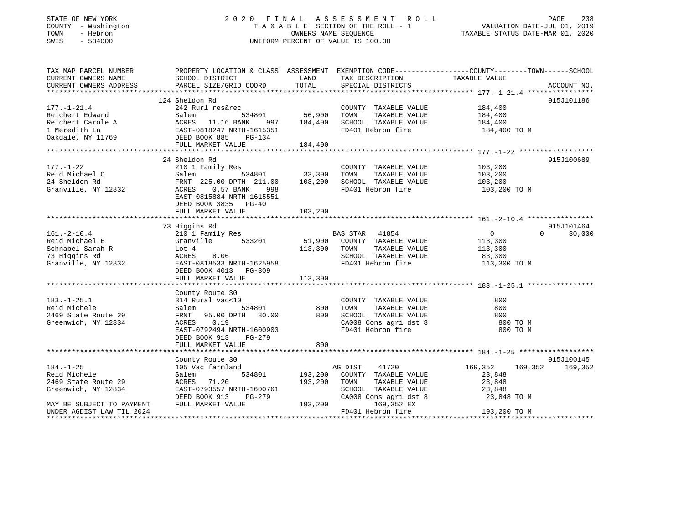# STATE OF NEW YORK 2 0 2 0 F I N A L A S S E S S M E N T R O L L PAGE 238 COUNTY - Washington T A X A B L E SECTION OF THE ROLL - 1 VALUATION DATE-JUL 01, 2019 TOWN - Hebron OWNERS NAME SEQUENCE TAXABLE STATUS DATE-MAR 01, 2020 SWIS - 534000 UNIFORM PERCENT OF VALUE IS 100.00

| TAX MAP PARCEL NUMBER<br>CURRENT OWNERS NAME | PROPERTY LOCATION & CLASS ASSESSMENT EXEMPTION CODE---------------COUNTY-------TOWN------SCHOOL<br>SCHOOL DISTRICT | LAND        | TAX DESCRIPTION       | TAXABLE VALUE      |                    |
|----------------------------------------------|--------------------------------------------------------------------------------------------------------------------|-------------|-----------------------|--------------------|--------------------|
| CURRENT OWNERS ADDRESS                       | PARCEL SIZE/GRID COORD                                                                                             | TOTAL       | SPECIAL DISTRICTS     |                    | ACCOUNT NO.        |
|                                              |                                                                                                                    |             |                       |                    |                    |
|                                              | 124 Sheldon Rd                                                                                                     |             |                       |                    | 915J101186         |
| $177. - 1 - 21.4$                            | 242 Rurl res&rec                                                                                                   |             | COUNTY TAXABLE VALUE  | 184,400            |                    |
| Reichert Edward                              | 534801<br>Salem                                                                                                    | 56,900      | TOWN<br>TAXABLE VALUE | 184,400            |                    |
| Reichert Carole A                            | ACRES 11.16 BANK                                                                                                   | 997 184,400 | SCHOOL TAXABLE VALUE  | 184,400            |                    |
| 1 Meredith Ln                                | EAST-0818247 NRTH-1615351                                                                                          |             | FD401 Hebron fire     | 184,400 TO M       |                    |
| Oakdale, NY 11769 DEED BOOK 885              | PG-134                                                                                                             |             |                       |                    |                    |
|                                              | FULL MARKET VALUE                                                                                                  | 184,400     |                       |                    |                    |
|                                              |                                                                                                                    |             |                       |                    |                    |
|                                              | 24 Sheldon Rd                                                                                                      |             |                       |                    | 915J100689         |
| $177. - 1 - 22$                              | 210 1 Family Res                                                                                                   |             | COUNTY TAXABLE VALUE  | 103,200            |                    |
| Reid Michael C                               | Salem                                                                                                              |             | TAXABLE VALUE<br>TOWN | 103,200            |                    |
| 24 Sheldon Rd                                | 534801 33,300<br>DPTH 211.00 103,200<br>FRNT 225.00 DPTH 211.00                                                    |             | SCHOOL TAXABLE VALUE  | 103,200            |                    |
| Granville, NY 12832                          | ACRES<br>$0.57$ BANK<br>998                                                                                        |             | FD401 Hebron fire     | 103,200 TO M       |                    |
|                                              | EAST-0815884 NRTH-1615551                                                                                          |             |                       |                    |                    |
|                                              | DEED BOOK 3835 PG-40                                                                                               |             |                       |                    |                    |
|                                              |                                                                                                                    |             |                       |                    |                    |
|                                              |                                                                                                                    |             |                       |                    |                    |
|                                              | 73 Higgins Rd                                                                                                      |             |                       |                    | 915J101464         |
| $161. - 2 - 10.4$                            |                                                                                                                    |             | BAS STAR 41854        | $\overline{0}$     | 30,000<br>$\Omega$ |
|                                              | 210 1 Family Res                                                                                                   | 51,900      |                       |                    |                    |
| Reid Michael E                               | 533201<br>Granville                                                                                                |             | COUNTY TAXABLE VALUE  | 113,300            |                    |
| Schnabel Sarah R                             | Lot 4                                                                                                              | 113,300     | TOWN<br>TAXABLE VALUE | 113,300            |                    |
| 73 Higgins Rd                                | ACRES<br>8.06<br>EAST-0818533 NRTH-1625958                                                                         |             | SCHOOL TAXABLE VALUE  | 83,300             |                    |
| Granville, NY 12832                          |                                                                                                                    |             | FD401 Hebron fire     | 113,300 TO M       |                    |
|                                              | DEED BOOK 4013 PG-309                                                                                              |             |                       |                    |                    |
|                                              | FULL MARKET VALUE                                                                                                  | 113,300     |                       |                    |                    |
|                                              |                                                                                                                    |             |                       |                    |                    |
|                                              | County Route 30                                                                                                    |             |                       |                    |                    |
| $183. - 1 - 25.1$                            | 314 Rural vac<10                                                                                                   |             | COUNTY TAXABLE VALUE  | 800                |                    |
| Reid Michele                                 | 534801<br>Salem                                                                                                    | 800         | TOWN<br>TAXABLE VALUE | 800                |                    |
| 2469 State Route 29                          | FRNT 95.00 DPTH 80.00                                                                                              | 800         | SCHOOL TAXABLE VALUE  | 800                |                    |
| Greenwich, NY 12834                          | 0.19<br>ACRES                                                                                                      |             | CA008 Cons agri dst 8 | 800 TO M           |                    |
|                                              | EAST-0792494 NRTH-1600903                                                                                          |             | FD401 Hebron fire     | 800 TO M           |                    |
|                                              | DEED BOOK 913<br>PG-279                                                                                            |             |                       |                    |                    |
|                                              | FULL MARKET VALUE                                                                                                  | 800         |                       |                    |                    |
|                                              |                                                                                                                    |             |                       |                    |                    |
|                                              | County Route 30                                                                                                    |             |                       |                    | 915J100145         |
| $184. - 1 - 25$                              | 105 Vac farmland                                                                                                   |             | AG DIST<br>41720      | 169,352<br>169,352 | 169,352            |
| Reid Michele                                 | 534801<br>Salem                                                                                                    | 193,200     | COUNTY TAXABLE VALUE  | 23,848             |                    |
| 2469 State Route 29                          | 71.20<br>ACRES                                                                                                     | 193,200     | TAXABLE VALUE<br>TOWN | 23,848             |                    |
| Greenwich, NY 12834                          | EAST-0793557 NRTH-1600761                                                                                          |             | SCHOOL TAXABLE VALUE  | 23,848             |                    |
|                                              | DEED BOOK 913<br>PG-279                                                                                            |             | CA008 Cons agri dst 8 | 23,848 TO M        |                    |
| MAY BE SUBJECT TO PAYMENT                    | FULL MARKET VALUE                                                                                                  | 193,200     | 169,352 EX            |                    |                    |
| UNDER AGDIST LAW TIL 2024                    |                                                                                                                    |             | FD401 Hebron fire     | 193,200 TO M       |                    |
|                                              |                                                                                                                    |             |                       |                    |                    |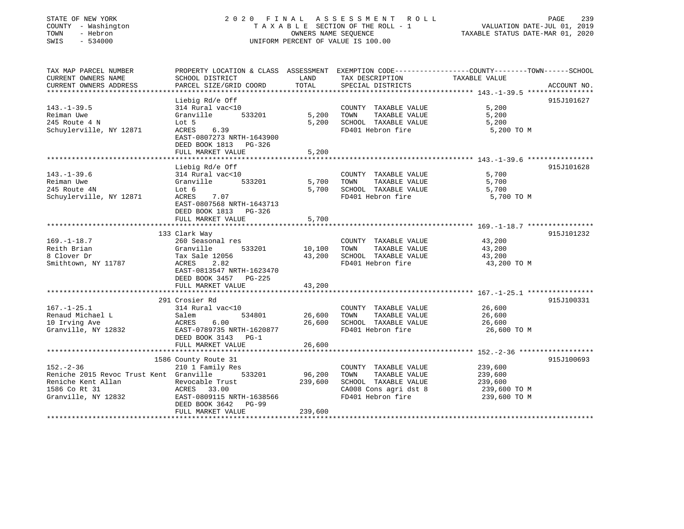| STATE OF NEW YORK<br>COUNTY - Washington<br>TOWN<br>- Hebron<br>SWIS<br>$-534000$ |                                                                                          | OWNERS NAME SEOUENCE                    | 2020 FINAL ASSESSMENT ROLL<br>TAXABLE SECTION OF THE ROLL - 1<br>UNIFORM PERCENT OF VALUE IS 100.00 | PAGE<br>239<br>VALUATION DATE-JUL 01, 2019<br>TAXABLE STATUS DATE-MAR 01, 2020                    |
|-----------------------------------------------------------------------------------|------------------------------------------------------------------------------------------|-----------------------------------------|-----------------------------------------------------------------------------------------------------|---------------------------------------------------------------------------------------------------|
| TAX MAP PARCEL NUMBER                                                             |                                                                                          |                                         |                                                                                                     | PROPERTY LOCATION & CLASS ASSESSMENT EXEMPTION CODE-----------------COUNTY-------TOWN------SCHOOL |
| CURRENT OWNERS NAME<br>CURRENT OWNERS ADDRESS                                     | SCHOOL DISTRICT<br>PARCEL SIZE/GRID COORD                                                | LAND<br>TOTAL                           | TAX DESCRIPTION<br>SPECIAL DISTRICTS                                                                | TAXABLE VALUE<br>ACCOUNT NO.                                                                      |
| ****************                                                                  |                                                                                          |                                         |                                                                                                     | **************** 143.-1-39.5 *****************                                                    |
|                                                                                   | Liebig Rd/e Off                                                                          |                                         |                                                                                                     | 915J101627                                                                                        |
| $143. - 1 - 39.5$                                                                 | 314 Rural vac<10                                                                         |                                         | COUNTY TAXABLE VALUE                                                                                | 5,200                                                                                             |
| Reiman Uwe                                                                        | 533201<br>Granville                                                                      | 5,200                                   | TAXABLE VALUE<br>TOWN                                                                               | 5,200                                                                                             |
| 245 Route 4 N<br>Schuylerville, NY 12871                                          | Lot 5<br>ACRES<br>6.39                                                                   | 5,200                                   | SCHOOL TAXABLE VALUE<br>FD401 Hebron fire                                                           | 5,200<br>5,200 TO M                                                                               |
|                                                                                   | EAST-0807273 NRTH-1643900<br>DEED BOOK 1813<br>PG-326<br>FULL MARKET VALUE               | 5,200                                   |                                                                                                     |                                                                                                   |
|                                                                                   |                                                                                          |                                         |                                                                                                     |                                                                                                   |
|                                                                                   | Liebig Rd/e Off                                                                          |                                         |                                                                                                     | 915J101628                                                                                        |
| $143. - 1 - 39.6$                                                                 | 314 Rural vac<10                                                                         |                                         | COUNTY TAXABLE VALUE                                                                                | 5,700                                                                                             |
| Reiman Uwe                                                                        | 533201<br>Granville                                                                      | 5,700                                   | TAXABLE VALUE<br>TOWN                                                                               | 5,700                                                                                             |
| 245 Route 4N                                                                      | Lot 6                                                                                    | 5,700                                   | SCHOOL TAXABLE VALUE                                                                                | 5,700                                                                                             |
| Schuylerville, NY 12871                                                           | 7.07<br>ACRES<br>EAST-0807568 NRTH-1643713<br>DEED BOOK 1813 PG-326<br>FULL MARKET VALUE | 5,700                                   | FD401 Hebron fire                                                                                   | 5,700 TO M                                                                                        |
|                                                                                   |                                                                                          |                                         |                                                                                                     |                                                                                                   |
|                                                                                   | 133 Clark Way                                                                            |                                         |                                                                                                     | 915J101232                                                                                        |
| $169. - 1 - 18.7$                                                                 | 260 Seasonal res                                                                         |                                         | COUNTY TAXABLE VALUE                                                                                | 43,200                                                                                            |
| Reith Brian                                                                       | Granville<br>533201                                                                      | 10,100                                  | TOWN<br>TAXABLE VALUE                                                                               | 43,200                                                                                            |
| 8 Clover Dr                                                                       | Tax Sale 12056                                                                           | 43,200                                  | SCHOOL TAXABLE VALUE                                                                                | 43,200                                                                                            |
| Smithtown, NY 11787                                                               | ACRES<br>2.82<br>EAST-0813547 NRTH-1623470<br>DEED BOOK 3457 PG-225<br>FULL MARKET VALUE | 43,200                                  | FD401 Hebron fire                                                                                   | 43,200 TO M                                                                                       |
|                                                                                   |                                                                                          |                                         |                                                                                                     |                                                                                                   |
|                                                                                   | 291 Crosier Rd                                                                           |                                         |                                                                                                     | 915J100331                                                                                        |
| $167. - 1 - 25.1$                                                                 | 314 Rural vac<10                                                                         |                                         | COUNTY TAXABLE VALUE                                                                                | 26,600                                                                                            |
| Renaud Michael L                                                                  | 534801<br>Salem                                                                          | 26,600                                  | TOWN<br>TAXABLE VALUE                                                                               | 26,600                                                                                            |
| 10 Irving Ave                                                                     | ACRES<br>6.00                                                                            | 26,600                                  | SCHOOL TAXABLE VALUE                                                                                | 26,600                                                                                            |
| Granville, NY 12832                                                               | EAST-0789735 NRTH-1620877<br>DEED BOOK 3143 PG-1                                         |                                         | FD401 Hebron fire                                                                                   | 26,600 TO M                                                                                       |
|                                                                                   | FULL MARKET VALUE                                                                        | 26,600                                  |                                                                                                     |                                                                                                   |
|                                                                                   | 1586 County Route 31                                                                     |                                         |                                                                                                     | 915J100693                                                                                        |
| $152 - 2 - 36$                                                                    | 210 1 Family Res                                                                         |                                         | COUNTY TAXABLE VALUE                                                                                | 239,600                                                                                           |
| Reniche 2015 Revoc Trust Kent Granville                                           | 533201                                                                                   | 96,200                                  | TAXABLE VALUE<br>TOWN                                                                               | 239,600                                                                                           |
| Reniche Kent Allan                                                                | Revocable Trust                                                                          | 239,600                                 | SCHOOL TAXABLE VALUE                                                                                | 239,600                                                                                           |
| 1586 Co Rt 31                                                                     | ACRES 33.00                                                                              |                                         | CA008 Cons agri dst 8                                                                               | 239,600 TO M                                                                                      |
| Granville, NY 12832                                                               | EAST-0809115 NRTH-1638566<br>DEED BOOK 3642<br>$PG-99$<br>FULL MARKET VALUE              |                                         | FD401 Hebron fire                                                                                   | 239,600 TO M                                                                                      |
|                                                                                   |                                                                                          | 239,600<br><b>. + + + + + + + + + +</b> |                                                                                                     |                                                                                                   |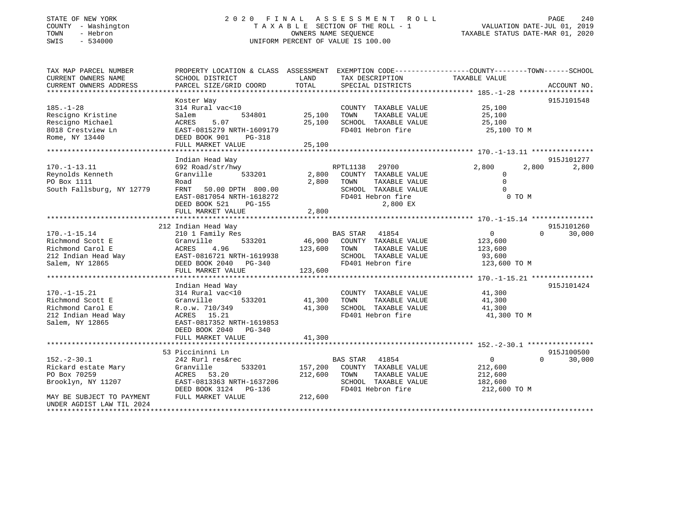# STATE OF NEW YORK 2 0 2 0 F I N A L A S S E S S M E N T R O L L PAGE 240 COUNTY - Washington T A X A B L E SECTION OF THE ROLL - 1 VALUATION DATE-JUL 01, 2019 TOWN - Hebron OWNERS NAME SEQUENCE TAXABLE STATUS DATE-MAR 01, 2020 SWIS - 534000 UNIFORM PERCENT OF VALUE IS 100.00

| TAX MAP PARCEL NUMBER                 | PROPERTY LOCATION & CLASS ASSESSMENT EXEMPTION CODE---------------COUNTY-------TOWN------SCHOOL |         |                             |                |                             |
|---------------------------------------|-------------------------------------------------------------------------------------------------|---------|-----------------------------|----------------|-----------------------------|
| CURRENT OWNERS NAME                   | SCHOOL DISTRICT                                                                                 | LAND    | TAX DESCRIPTION             | TAXABLE VALUE  |                             |
| CURRENT OWNERS ADDRESS                | PARCEL SIZE/GRID COORD                                                                          | TOTAL   | SPECIAL DISTRICTS           |                | ACCOUNT NO.                 |
|                                       |                                                                                                 |         |                             |                |                             |
|                                       | Koster Way                                                                                      |         |                             |                | 915J101548                  |
| $185. - 1 - 28$                       | 314 Rural vac<10                                                                                |         | COUNTY TAXABLE VALUE        | 25,100         |                             |
| Rescigno Kristine                     | 534801<br>Salem                                                                                 | 25,100  | TAXABLE VALUE<br>TOWN       | 25,100         |                             |
| Rescigno Michael                      | 5.07<br>ACRES                                                                                   | 25,100  | SCHOOL TAXABLE VALUE        | 25,100         |                             |
| 8018 Crestview Ln                     | EAST-0815279 NRTH-1609179                                                                       |         | FD401 Hebron fire           | 25,100 TO M    |                             |
| Rome, NY 13440                        | DEED BOOK 901<br>PG-318                                                                         |         |                             |                |                             |
|                                       | FULL MARKET VALUE                                                                               | 25,100  |                             |                |                             |
|                                       |                                                                                                 |         |                             |                |                             |
|                                       | Indian Head Way                                                                                 |         |                             |                | 915J101277                  |
| $170. - 1 - 13.11$                    | 692 Road/str/hwy                                                                                |         | RPTL1138<br>29700           | 2,800          | 2,800<br>2,800              |
| Reynolds Kenneth                      | 533201<br>Granville                                                                             | 2,800   | COUNTY TAXABLE VALUE        | $\Omega$       |                             |
| PO Box 1111                           | Road                                                                                            | 2,800   | TOWN<br>TAXABLE VALUE       | $\mathbf 0$    |                             |
| South Fallsburg, NY 12779             | FRNT 50.00 DPTH 800.00                                                                          |         | SCHOOL TAXABLE VALUE        | $\Omega$       |                             |
|                                       | EAST-0817054 NRTH-1618272                                                                       |         | FD401 Hebron fire           | 0 TO M         |                             |
|                                       | DEED BOOK 521<br>PG-155                                                                         |         | 2,800 EX                    |                |                             |
|                                       | FULL MARKET VALUE                                                                               | 2,800   |                             |                |                             |
|                                       |                                                                                                 |         |                             |                |                             |
|                                       | 212 Indian Head Way                                                                             |         |                             |                | 915J101260                  |
| $170. - 1 - 15.14$                    | 210 1 Family Res                                                                                |         | BAS STAR 41854              | $\overline{0}$ | $\Omega$<br>30,000          |
| Richmond Scott E                      | 533201<br>Granville                                                                             |         | 46,900 COUNTY TAXABLE VALUE | 123,600        |                             |
| Richmond Carol E                      | ACRES<br>4.96                                                                                   | 123,600 | TOWN<br>TAXABLE VALUE       |                |                             |
|                                       | EAST-0816721 NRTH-1619938                                                                       |         | SCHOOL TAXABLE VALUE        | 123,600        |                             |
| 212 Indian Head Way<br>Colom NV 12865 |                                                                                                 |         |                             | 93,600         |                             |
| Salem, NY 12865                       | DEED BOOK 2040 PG-340                                                                           |         | FD401 Hebron fire           | 123,600 TO M   |                             |
|                                       | FULL MARKET VALUE                                                                               | 123,600 |                             |                |                             |
|                                       |                                                                                                 |         |                             |                |                             |
|                                       | Indian Head Way                                                                                 |         |                             |                | 915J101424                  |
| $170. - 1 - 15.21$                    | 314 Rural vac<10                                                                                |         | COUNTY TAXABLE VALUE        | 41,300         |                             |
| Richmond Scott E                      | Granville<br>533201                                                                             | 41,300  | TAXABLE VALUE<br>TOWN       | 41,300         |                             |
| Richmond Carol E                      | R.o.w. 710/349                                                                                  | 41,300  | SCHOOL TAXABLE VALUE        | 41,300         |                             |
| 212 Indian Head Way                   | ACRES 15.21                                                                                     |         | FD401 Hebron fire           | 41,300 TO M    |                             |
| Salem, NY 12865                       | EAST-0817352 NRTH-1619853                                                                       |         |                             |                |                             |
|                                       | DEED BOOK 2040 PG-340                                                                           |         |                             |                |                             |
|                                       | FULL MARKET VALUE                                                                               | 41,300  |                             |                |                             |
|                                       |                                                                                                 |         |                             |                |                             |
|                                       | 53 Piccininni Ln                                                                                |         |                             |                | 915J100500                  |
| $152. - 2 - 30.1$                     | 242 Rurl res&rec                                                                                |         | <b>BAS STAR</b><br>41854    | $\overline{0}$ | $0 \qquad \qquad$<br>30,000 |
| Rickard estate Mary                   | 533201<br>Granville                                                                             | 157,200 | COUNTY TAXABLE VALUE        | 212,600        |                             |
| PO Box 70259                          | ACRES 53.20                                                                                     | 212,600 | TOWN<br>TAXABLE VALUE       | 212,600        |                             |
| Brooklyn, NY 11207                    | EAST-0813363 NRTH-1637206                                                                       |         | SCHOOL TAXABLE VALUE        | 182,600        |                             |
|                                       | DEED BOOK 3124 PG-136                                                                           |         | FD401 Hebron fire           | 212,600 TO M   |                             |
| MAY BE SUBJECT TO PAYMENT             | FULL MARKET VALUE                                                                               | 212,600 |                             |                |                             |
| UNDER AGDIST LAW TIL 2024             |                                                                                                 |         |                             |                |                             |
|                                       |                                                                                                 |         |                             |                |                             |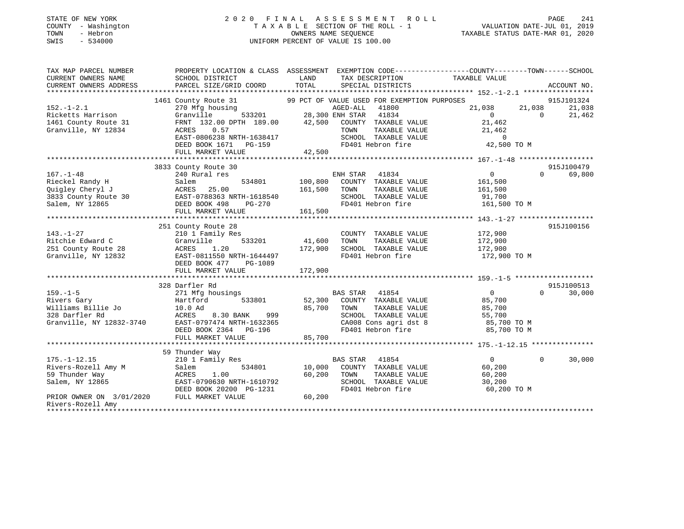| STATE OF NEW YORK<br>- Washington<br>COUNTY<br>TOWN<br>- Hebron<br>$-534000$<br>SWIS |                                                                                                                                                                                                                                                      |                     | 2020 FINAL ASSESSMENT ROLL<br>TAXABLE SECTION OF THE ROLL - 1<br>TAXABLE SECTION OF THE ROLL - 1<br>OWNERS NAME SEQUENCE<br>TAXABLE STATUS DATE-MAR 01, 2020<br>UNIFORM PERCENT OF VALUE IS 100.00 |                       |                 |
|--------------------------------------------------------------------------------------|------------------------------------------------------------------------------------------------------------------------------------------------------------------------------------------------------------------------------------------------------|---------------------|----------------------------------------------------------------------------------------------------------------------------------------------------------------------------------------------------|-----------------------|-----------------|
| TAX MAP PARCEL NUMBER                                                                | PROPERTY LOCATION & CLASS ASSESSMENT EXEMPTION CODE----------------COUNTY-------TOWN------SCHOOL                                                                                                                                                     |                     |                                                                                                                                                                                                    |                       |                 |
| CURRENT OWNERS NAME                                                                  | SCHOOL DISTRICT                                                                                                                                                                                                                                      |                     | LAND TAX DESCRIPTION TAXABLE VALUE                                                                                                                                                                 |                       |                 |
|                                                                                      | CUNNERS ADDRESS DARCEL SIZE/GRID COORD TOTAL SPECIAL DISTRICTS ACCOUNT NO.<br>- CURRENT OWNERS ADDRESS PARCEL SIZE/GRID COORD TOTAL SPECIAL DISTRICTS ACCOUNT NO.                                                                                    |                     |                                                                                                                                                                                                    |                       |                 |
|                                                                                      |                                                                                                                                                                                                                                                      |                     |                                                                                                                                                                                                    |                       |                 |
|                                                                                      | 1461 County Route 31 99 PCT OF VALUE USED FOR EXEMPTION PURPOSES 31,038 915J101324<br>21,038 21,038 21,038 21,038                                                                                                                                    |                     |                                                                                                                                                                                                    |                       |                 |
| $152. - 1 - 2.1$                                                                     |                                                                                                                                                                                                                                                      |                     | AGED-ALL 41800                                                                                                                                                                                     |                       |                 |
|                                                                                      |                                                                                                                                                                                                                                                      |                     |                                                                                                                                                                                                    |                       |                 |
|                                                                                      |                                                                                                                                                                                                                                                      |                     |                                                                                                                                                                                                    |                       |                 |
|                                                                                      | 1461 County Route 31<br>Granville, NY 12834<br>Granville, NY 12834<br>EAST-0806238 NRTH-1638417<br>DEED BOOK 1671 PG-159<br>CHOOL TAXABLE VALUE<br>FRAME VALUE<br>SCHOOL TAXABLE VALUE<br>FRAME VALUE<br>SCHOOL TAXABLE VALUE<br>FRAME VALUE<br>FRAM |                     |                                                                                                                                                                                                    |                       |                 |
|                                                                                      |                                                                                                                                                                                                                                                      |                     |                                                                                                                                                                                                    |                       |                 |
|                                                                                      | FULL MARKET VALUE                                                                                                                                                                                                                                    | 42,500              |                                                                                                                                                                                                    |                       |                 |
|                                                                                      |                                                                                                                                                                                                                                                      |                     |                                                                                                                                                                                                    |                       |                 |
|                                                                                      | 3833 County Route 30                                                                                                                                                                                                                                 |                     |                                                                                                                                                                                                    |                       | 915J100479      |
| $167. - 1 - 48$                                                                      | 240 Rural res                                                                                                                                                                                                                                        |                     | ENH STAR 41834                                                                                                                                                                                     | $\overline{0}$        | $0 \t\t 69,800$ |
| Rieckel Randy H                                                                      | Salem 534801 100,800 COUNTY TAXABLE VALUE 161,500                                                                                                                                                                                                    |                     |                                                                                                                                                                                                    |                       |                 |
| Quigley Cheryl J                                                                     | ACRES 25.00 161,500 TOWN                                                                                                                                                                                                                             |                     |                                                                                                                                                                                                    | TAXABLE VALUE 161,500 |                 |
|                                                                                      |                                                                                                                                                                                                                                                      | H-1618540<br>PG-270 | SCHOOL TAXABLE VALUE 91,700                                                                                                                                                                        |                       |                 |
|                                                                                      |                                                                                                                                                                                                                                                      |                     | FD401 Hebron fire 161,500 TO M                                                                                                                                                                     |                       |                 |
|                                                                                      | FULL MARKET VALUE 161,500                                                                                                                                                                                                                            |                     |                                                                                                                                                                                                    |                       |                 |
|                                                                                      |                                                                                                                                                                                                                                                      |                     |                                                                                                                                                                                                    |                       |                 |
|                                                                                      | 251 County Route 28                                                                                                                                                                                                                                  |                     |                                                                                                                                                                                                    |                       | 915J100156      |
| $143. - 1 - 27$                                                                      | 210 1 Family Res                                                                                                                                                                                                                                     |                     | COUNTY TAXABLE VALUE 172,900                                                                                                                                                                       |                       |                 |
| 28<br>Ritchie Edward C                                                               | Granville                                                                                                                                                                                                                                            | 533201 41,600 TOWN  |                                                                                                                                                                                                    | TAXABLE VALUE 172,900 |                 |
| 251 County Route 28                                                                  | ACRES 1.20                                                                                                                                                                                                                                           | 172,900             | SCHOOL TAXABLE VALUE                                                                                                                                                                               | 172,900               |                 |

| Granville, NY 12832      | EAST-0811550 NRTH-1644497 | FD401 Hebron fire                 | 172,900 TO M                         |
|--------------------------|---------------------------|-----------------------------------|--------------------------------------|
|                          | DEED BOOK 477<br>PG-1089  |                                   |                                      |
|                          | FULL MARKET VALUE         | 172,900                           |                                      |
|                          |                           |                                   |                                      |
|                          | 328 Darfler Rd            |                                   | 915J100513                           |
| $159. - 1 - 5$           | 271 Mfg housings          | 41854<br>BAS STAR                 | 30,000<br>$\overline{0}$<br>$\Omega$ |
| Rivers Gary              | Hartford<br>533801        | 52,300<br>COUNTY<br>TAXABLE VALUE | 85,700                               |
| Williams Billie Jo       | 10.0 Ad                   | 85,700<br>TOWN<br>TAXABLE VALUE   | 85,700                               |
| 328 Darfler Rd           | 8.30 BANK<br>999<br>ACRES | TAXABLE VALUE<br>SCHOOL           | 55,700                               |
| Granville, NY 12832-3740 | EAST-0797474 NRTH-1632365 | CA008 Cons agri dst 8             | 85,700 TO M                          |
|                          | DEED BOOK 2364<br>PG-196  | FD401 Hebron fire                 | 85,700 TO M                          |
|                          | FULL MARKET VALUE         | 85,700                            |                                      |
|                          |                           |                                   |                                      |
|                          | 59 Thunder Way            |                                   |                                      |
| $175. - 1 - 12.15$       | 210 1 Family Res          | 41854<br>BAS STAR                 | 30,000<br>$\Omega$<br>$\Omega$       |
| Rivers-Rozell Amy M      | Salem<br>534801           | 10,000<br>COUNTY<br>TAXABLE VALUE | 60,200                               |
| 59 Thunder Way           | ACRES<br>1.00             | 60,200<br>TOWN<br>TAXABLE VALUE   | 60,200                               |
| Salem, NY 12865          | EAST-0790630 NRTH-1610792 | SCHOOL<br>TAXABLE VALUE           | 30,200                               |
|                          | DEED BOOK 20200 PG-1231   | FD401 Hebron fire                 | 60,200 TO M                          |
| PRIOR OWNER ON 3/01/2020 | FULL MARKET VALUE         | 60,200                            |                                      |
| Rivers-Rozell Amy        |                           |                                   |                                      |
|                          |                           |                                   |                                      |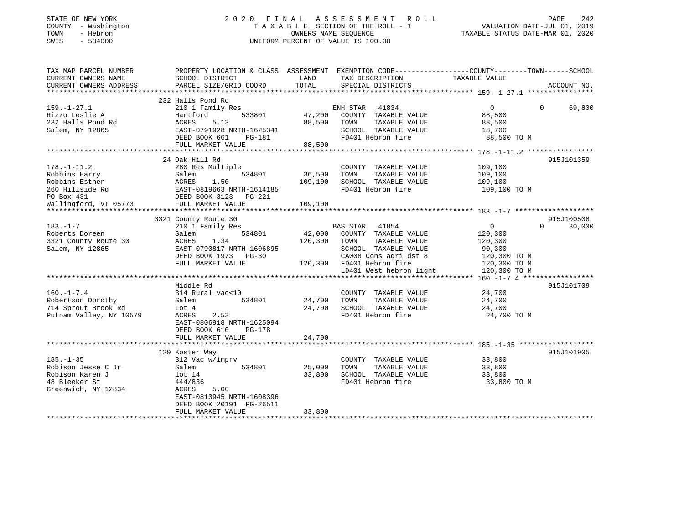## STATE OF NEW YORK 2 0 2 0 F I N A L A S S E S S M E N T R O L L PAGE 242 COUNTY - Washington T A X A B L E SECTION OF THE ROLL - 1 VALUATION DATE-JUL 01, 2019 TOWN - Hebron OWNERS NAME SEQUENCE TAXABLE STATUS DATE-MAR 01, 2020 SWIS - 534000 UNIFORM PERCENT OF VALUE IS 100.00

| TAX MAP PARCEL NUMBER<br>CURRENT OWNERS NAME<br>CURRENT OWNERS ADDRESS | SCHOOL DISTRICT<br>PARCEL SIZE/GRID COORD | LAND<br>TOTAL | TAX DESCRIPTION<br>SPECIAL DISTRICTS | PROPERTY LOCATION & CLASS ASSESSMENT EXEMPTION CODE---------------COUNTY-------TOWN------SCHOOL<br>TAXABLE VALUE | ACCOUNT NO. |
|------------------------------------------------------------------------|-------------------------------------------|---------------|--------------------------------------|------------------------------------------------------------------------------------------------------------------|-------------|
|                                                                        |                                           |               |                                      |                                                                                                                  |             |
|                                                                        | 232 Halls Pond Rd                         |               |                                      |                                                                                                                  |             |
| $159. - 1 - 27.1$                                                      | 210 1 Family Res                          |               | 41834<br>ENH STAR                    | $\overline{0}$<br>$\Omega$                                                                                       | 69,800      |
| Rizzo Leslie A                                                         | 533801<br>Hartford                        | 47,200        | COUNTY TAXABLE VALUE                 | 88,500                                                                                                           |             |
| 232 Halls Pond Rd                                                      | ACRES<br>5.13                             | 88,500        | TAXABLE VALUE<br>TOWN                | 88,500                                                                                                           |             |
| Salem, NY 12865                                                        | EAST-0791928 NRTH-1625341                 |               | SCHOOL TAXABLE VALUE                 | 18,700                                                                                                           |             |
|                                                                        | DEED BOOK 661<br>PG-181                   |               | FD401 Hebron fire                    | 88,500 TO M                                                                                                      |             |
|                                                                        | FULL MARKET VALUE                         | 88,500        |                                      |                                                                                                                  |             |
|                                                                        |                                           |               |                                      |                                                                                                                  |             |
|                                                                        | 24 Oak Hill Rd                            |               |                                      |                                                                                                                  | 915J101359  |
| $178. - 1 - 11.2$                                                      | 280 Res Multiple                          |               | COUNTY TAXABLE VALUE                 | 109,100                                                                                                          |             |
| Robbins Harry                                                          | 534801<br>Salem                           | 36,500        | TOWN<br>TAXABLE VALUE                | 109,100                                                                                                          |             |
| Robbins Esther                                                         | 1.50<br>ACRES                             | 109,100       | SCHOOL TAXABLE VALUE                 | 109,100                                                                                                          |             |
| 260 Hillside Rd                                                        | EAST-0819663 NRTH-1614185                 |               | FD401 Hebron fire                    | 109,100 TO M                                                                                                     |             |
| PO Box 431                                                             | DEED BOOK 3123<br>PG-221                  |               |                                      |                                                                                                                  |             |
| Wallingford, VT 05773                                                  | FULL MARKET VALUE                         | 109,100       |                                      |                                                                                                                  |             |
|                                                                        |                                           |               |                                      |                                                                                                                  |             |
|                                                                        | 3321 County Route 30                      |               |                                      |                                                                                                                  | 915J100508  |
| $183. - 1 - 7$                                                         | 210 1 Family Res                          |               | <b>BAS STAR</b><br>41854             | $\mathbf 0$<br>$\Omega$                                                                                          | 30,000      |
| Roberts Doreen                                                         | 534801<br>Salem                           | 42,000        | COUNTY TAXABLE VALUE                 | 120,300                                                                                                          |             |
| 3321 County Route 30                                                   | ACRES<br>1.34                             | 120,300       | TOWN<br>TAXABLE VALUE                | 120,300                                                                                                          |             |
| Salem, NY 12865                                                        | EAST-0790817 NRTH-1606895                 |               | SCHOOL TAXABLE VALUE                 | 90,300                                                                                                           |             |
|                                                                        | DEED BOOK 1973<br>$PG-30$                 |               | CA008 Cons agri dst 8                | 120,300 TO M                                                                                                     |             |
|                                                                        | FULL MARKET VALUE                         | 120,300       | FD401 Hebron fire                    | 120,300 TO M                                                                                                     |             |
|                                                                        |                                           |               | LD401 West hebron light              | 120,300 TO M                                                                                                     |             |
|                                                                        |                                           |               |                                      |                                                                                                                  |             |
|                                                                        | Middle Rd                                 |               |                                      |                                                                                                                  | 915J101709  |
| $160. - 1 - 7.4$                                                       | 314 Rural vac<10                          |               | COUNTY TAXABLE VALUE                 | 24,700                                                                                                           |             |
| Robertson Dorothy                                                      | 534801<br>Salem                           | 24,700        | TOWN<br>TAXABLE VALUE                | 24,700                                                                                                           |             |
| 714 Sprout Brook Rd                                                    | Lot 4                                     | 24,700        | SCHOOL TAXABLE VALUE                 | 24,700                                                                                                           |             |
| Putnam Valley, NY 10579                                                | 2.53<br>ACRES                             |               | FD401 Hebron fire                    | 24,700 TO M                                                                                                      |             |
|                                                                        | EAST-0806918 NRTH-1625094                 |               |                                      |                                                                                                                  |             |
|                                                                        | DEED BOOK 610<br>PG-178                   |               |                                      |                                                                                                                  |             |
|                                                                        | FULL MARKET VALUE                         | 24,700        |                                      |                                                                                                                  |             |
|                                                                        |                                           |               |                                      |                                                                                                                  |             |
|                                                                        | 129 Koster Way                            |               |                                      |                                                                                                                  | 915J101905  |
| $185. - 1 - 35$                                                        | 312 Vac w/imprv                           |               | COUNTY TAXABLE VALUE                 | 33,800                                                                                                           |             |
| Robison Jesse C Jr                                                     | Salem<br>534801                           | 25,000        | TOWN<br>TAXABLE VALUE                | 33,800                                                                                                           |             |
| Robison Karen J                                                        | lot <sub>14</sub>                         | 33,800        | SCHOOL TAXABLE VALUE                 | 33,800                                                                                                           |             |
| 48 Bleeker St                                                          | 444/836                                   |               | FD401 Hebron fire                    | 33,800 TO M                                                                                                      |             |
| Greenwich, NY 12834                                                    | 5.00<br>ACRES                             |               |                                      |                                                                                                                  |             |
|                                                                        | EAST-0813945 NRTH-1608396                 |               |                                      |                                                                                                                  |             |
|                                                                        |                                           |               |                                      |                                                                                                                  |             |
|                                                                        | DEED BOOK 20191 PG-26511                  |               |                                      |                                                                                                                  |             |
|                                                                        | FULL MARKET VALUE                         | 33,800        |                                      |                                                                                                                  |             |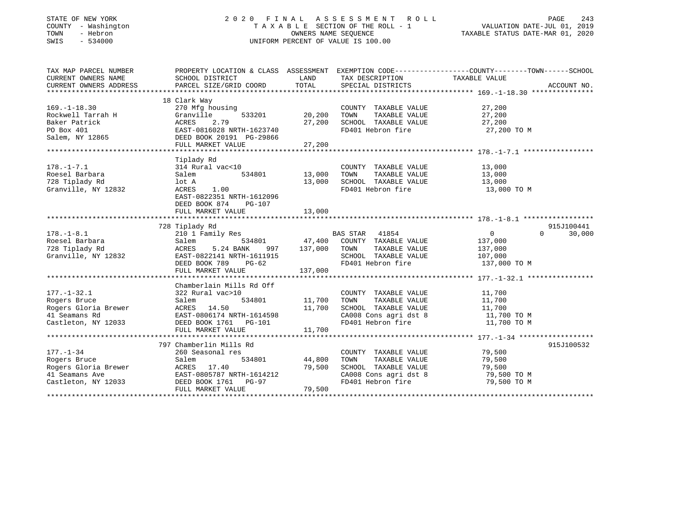# STATE OF NEW YORK 2 0 2 0 F I N A L A S S E S S M E N T R O L L PAGE 243 COUNTY - Washington T A X A B L E SECTION OF THE ROLL - 1 VALUATION DATE-JUL 01, 2019 TOWN - Hebron OWNERS NAME SEQUENCE TAXABLE STATUS DATE-MAR 01, 2020 SWIS - 534000 UNIFORM PERCENT OF VALUE IS 100.00

| TAX MAP PARCEL NUMBER  |                                                    |               |                                                                                                             | PROPERTY LOCATION & CLASS ASSESSMENT EXEMPTION CODE----------------COUNTY-------TOWN-----SCHOOL |                    |
|------------------------|----------------------------------------------------|---------------|-------------------------------------------------------------------------------------------------------------|-------------------------------------------------------------------------------------------------|--------------------|
| CURRENT OWNERS NAME    | SCHOOL DISTRICT                                    | LAND          | TAX DESCRIPTION                                                                                             | TAXABLE VALUE                                                                                   |                    |
| CURRENT OWNERS ADDRESS | PARCEL SIZE/GRID COORD                             | TOTAL         | SPECIAL DISTRICTS                                                                                           |                                                                                                 | ACCOUNT NO.        |
|                        |                                                    |               |                                                                                                             |                                                                                                 |                    |
|                        | 18 Clark Way                                       |               |                                                                                                             |                                                                                                 |                    |
| $169. - 1 - 18.30$     | 270 Mfg housing                                    |               | COUNTY TAXABLE VALUE                                                                                        | 27,200                                                                                          |                    |
| Rockwell Tarrah H      | 533201<br>Granville<br>ACRES<br>2.79               | 20,200        | TOWN      TAXABLE  VALUE<br>SCHOOL    TAXABLE  VALUE                                                        | 27,200                                                                                          |                    |
| Baker Patrick          |                                                    | 27,200        |                                                                                                             | 27,200                                                                                          |                    |
| PO Box 401             | EAST-0816028 NRTH-1623740                          |               | FD401 Hebron fire                                                                                           | лица и 27,200 том.                                                                              |                    |
| Salem, NY 12865        | DEED BOOK 20191 PG-29866<br>FULL MARKET VALUE      | 27,200        |                                                                                                             |                                                                                                 |                    |
|                        | **************************************             |               |                                                                                                             |                                                                                                 |                    |
|                        | Tiplady Rd                                         |               |                                                                                                             |                                                                                                 |                    |
| $178. - 1 - 7.1$       | 314 Rural vac<10                                   |               | COUNTY TAXABLE VALUE 13,000                                                                                 |                                                                                                 |                    |
| Roesel Barbara         | Salem                                              | 534801 13,000 | TOWN<br>TAXABLE VALUE                                                                                       | 13,000                                                                                          |                    |
| 728 Tiplady Rd         | lot A                                              | 13,000        | SCHOOL TAXABLE VALUE                                                                                        |                                                                                                 |                    |
| Granville, NY 12832    | 1.00<br>ACRES                                      |               | FD401 Hebron fire                                                                                           | 13,000<br>13,000 TO M                                                                           |                    |
|                        | EAST-0822351 NRTH-1612096                          |               |                                                                                                             |                                                                                                 |                    |
|                        | DEED BOOK 874<br>$PG-107$                          |               |                                                                                                             |                                                                                                 |                    |
|                        |                                                    |               |                                                                                                             |                                                                                                 |                    |
|                        |                                                    |               |                                                                                                             |                                                                                                 |                    |
|                        | 728 Tiplady Rd                                     |               |                                                                                                             |                                                                                                 | 915J100441         |
| $178. - 1 - 8.1$       | 210 1 Family Res                                   |               | <b>BAS STAR</b> 41854                                                                                       | $\overline{0}$                                                                                  | $\Omega$<br>30,000 |
| Roesel Barbara         | Salem                                              | 534801 47,400 | COUNTY TAXABLE VALUE 137,000                                                                                |                                                                                                 |                    |
| 728 Tiplady Rd         | ACRES<br>5.24 BANK                                 | 997 137,000   | TAXABLE VALUE<br>TOWN                                                                                       | 137,000                                                                                         |                    |
| Granville, NY 12832    | EAST-0822141 NRTH-1611915                          |               | SCHOOL TAXABLE VALUE 107,000                                                                                |                                                                                                 |                    |
|                        | DEED BOOK 789<br>PG-62                             |               | FD401 Hebron fire                                                                                           | 137,000 TO M                                                                                    |                    |
|                        | FULL MARKET VALUE                                  | 137,000       |                                                                                                             |                                                                                                 |                    |
|                        |                                                    |               |                                                                                                             |                                                                                                 |                    |
|                        | Chamberlain Mills Rd Off                           |               |                                                                                                             |                                                                                                 |                    |
| $177. - 1 - 32.1$      | 322 Rural vac>10                                   |               | COUNTY TAXABLE VALUE                                                                                        | 11,700                                                                                          |                    |
| Rogers Bruce           | Salem                                              | 534801 11,700 | TAXABLE VALUE                                                                                               |                                                                                                 |                    |
| Rogers Gloria Brewer   | ACRES 14.50                                        | 11,700        |                                                                                                             |                                                                                                 |                    |
| 41 Seamans Rd          |                                                    |               | TOWN TAXABLE VALUE 11,700<br>SCHOOL TAXABLE VALUE 11,700 TO M<br>CA008 Cons agri dst 8<br>FD401 Hebron fire |                                                                                                 |                    |
| Castleton, NY 12033    | EAST-0806174 NKIH-1013330<br>DEED BOOK 1761 PG-101 |               |                                                                                                             | 11,700 TO M                                                                                     |                    |
|                        | FULL MARKET VALUE                                  | 11,700        |                                                                                                             |                                                                                                 |                    |
|                        |                                                    |               |                                                                                                             |                                                                                                 |                    |
|                        | 797 Chamberlin Mills Rd                            |               |                                                                                                             |                                                                                                 | 915J100532         |
| $177. - 1 - 34$        | 260 Seasonal res                                   |               | COUNTY TAXABLE VALUE 79,500                                                                                 |                                                                                                 |                    |
| Rogers Bruce           | 534801<br>Salem                                    | 44,800        | TOWN      TAXABLE  VALUE<br>SCHOOL   TAXABLE  VALUE                                                         | 79,500<br>79,500<br>79,500                                                                      |                    |
| Rogers Gloria Brewer   | ACRES 17.40                                        | 79,500        |                                                                                                             |                                                                                                 |                    |
| 41 Seamans Ave         | EAST-0805787 NRTH-1614212                          |               |                                                                                                             | CA008 Cons agri dst 8 79,500 TO M                                                               |                    |
| Castleton, NY 12033    | DEED BOOK 1761 PG-97                               |               | FD401 Hebron fire                                                                                           | 79,500 TO M                                                                                     |                    |
|                        | FULL MARKET VALUE                                  | 79,500        |                                                                                                             |                                                                                                 |                    |
|                        |                                                    |               |                                                                                                             |                                                                                                 |                    |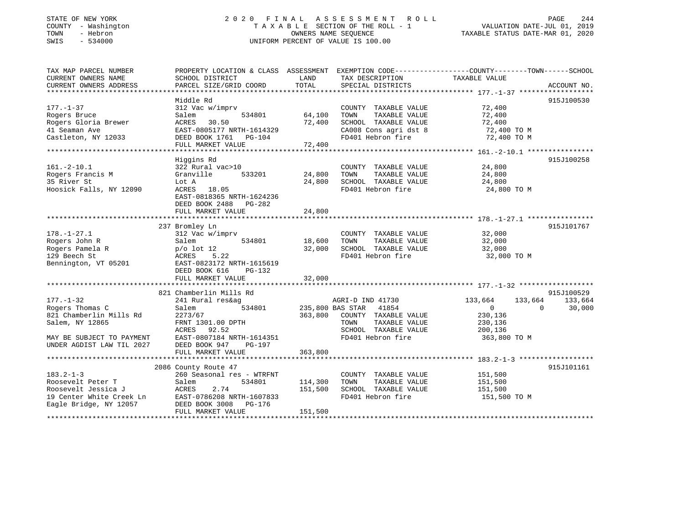# STATE OF NEW YORK 2 0 2 0 F I N A L A S S E S S M E N T R O L L PAGE 244 COUNTY - Washington T A X A B L E SECTION OF THE ROLL - 1 VALUATION DATE-JUL 01, 2019 TOWN - Hebron OWNERS NAME SEQUENCE TAXABLE STATUS DATE-MAR 01, 2020 SWIS - 534000 UNIFORM PERCENT OF VALUE IS 100.00

| TAX MAP PARCEL NUMBER     |                                   |         |                               | PROPERTY LOCATION & CLASS ASSESSMENT EXEMPTION CODE---------------COUNTY-------TOWN-----SCHOOL |                 |
|---------------------------|-----------------------------------|---------|-------------------------------|------------------------------------------------------------------------------------------------|-----------------|
| CURRENT OWNERS NAME       | SCHOOL DISTRICT                   | LAND    | TAX DESCRIPTION               | TAXABLE VALUE                                                                                  |                 |
| CURRENT OWNERS ADDRESS    | PARCEL SIZE/GRID COORD            | TOTAL   | SPECIAL DISTRICTS             |                                                                                                | ACCOUNT NO.     |
|                           | Middle Rd                         |         |                               |                                                                                                | 915J100530      |
| $177. - 1 - 37$           | 312 Vac w/imprv                   |         | COUNTY TAXABLE VALUE          | 72,400                                                                                         |                 |
| Rogers Bruce              | Salem<br>534801                   | 64,100  | TOWN<br>TAXABLE VALUE         | 72,400                                                                                         |                 |
| Rogers Gloria Brewer      | ACRES<br>30.50                    | 72,400  | SCHOOL TAXABLE VALUE          | 72,400                                                                                         |                 |
| 41 Seaman Ave             | EAST-0805177 NRTH-1614329         |         | CA008 Cons agri dst 8         | 72,400 TO M                                                                                    |                 |
| Castleton, NY 12033       | DEED BOOK 1761 PG-104             |         | FD401 Hebron fire             | 72,400 TO M                                                                                    |                 |
|                           | FULL MARKET VALUE                 | 72,400  |                               |                                                                                                |                 |
|                           |                                   |         |                               |                                                                                                |                 |
|                           | Higgins Rd                        |         |                               |                                                                                                | 915J100258      |
| $161. - 2 - 10.1$         | 322 Rural vac>10                  |         | COUNTY TAXABLE VALUE          | 24,800                                                                                         |                 |
| Rogers Francis M          | Granville<br>533201               | 24,800  | TAXABLE VALUE<br>TOWN         | 24,800                                                                                         |                 |
| 35 River St               | Lot A                             | 24,800  | SCHOOL TAXABLE VALUE          | 24,800                                                                                         |                 |
| Hoosick Falls, NY 12090   | ACRES 18.05                       |         | FD401 Hebron fire             | 24,800 TO M                                                                                    |                 |
|                           | EAST-0818365 NRTH-1624236         |         |                               |                                                                                                |                 |
|                           | DEED BOOK 2488 PG-282             |         |                               |                                                                                                |                 |
|                           | FULL MARKET VALUE                 | 24,800  |                               |                                                                                                |                 |
|                           |                                   |         |                               |                                                                                                | 915J101767      |
| $178. - 1 - 27.1$         | 237 Bromley Ln<br>312 Vac w/imprv |         | COUNTY TAXABLE VALUE          | 32,000                                                                                         |                 |
| Rogers John R             | Salem<br>534801                   | 18,600  | TOWN<br>TAXABLE VALUE         | 32,000                                                                                         |                 |
| Rogers Pamela R           | $p/o$ lot 12                      | 32,000  | SCHOOL TAXABLE VALUE          | 32,000                                                                                         |                 |
| 129 Beech St              | 5.22<br>ACRES                     |         | FD401 Hebron fire             | 32,000 TO M                                                                                    |                 |
| Bennington, VT 05201      | EAST-0823172 NRTH-1615619         |         |                               |                                                                                                |                 |
|                           | DEED BOOK 616<br>$PG-132$         |         |                               |                                                                                                |                 |
|                           | FULL MARKET VALUE                 | 32,000  |                               |                                                                                                |                 |
|                           |                                   |         |                               |                                                                                                |                 |
|                           | 821 Chamberlin Mills Rd           |         |                               |                                                                                                | 915J100529      |
| $177. - 1 - 32$           | 241 Rural res&ag                  |         | AGRI-D IND 41730              | 133,664                                                                                        | 133,664 133,664 |
| Rogers Thomas C           | Salem                             |         | 534801 235,800 BAS STAR 41854 | $\overline{0}$<br>$\Omega$                                                                     | 30,000          |
| 821 Chamberlin Mills Rd   | 2273/67                           | 363,800 | COUNTY TAXABLE VALUE          | 230,136                                                                                        |                 |
| Salem, NY 12865           | FRNT 1301.00 DPTH                 |         | TOWN<br>TAXABLE VALUE         | 230,136                                                                                        |                 |
|                           | ACRES 92.52                       |         | SCHOOL TAXABLE VALUE          | 200,136                                                                                        |                 |
| MAY BE SUBJECT TO PAYMENT | EAST-0807184 NRTH-1614351         |         | FD401 Hebron fire             | 363,800 TO M                                                                                   |                 |
| UNDER AGDIST LAW TIL 2027 | DEED BOOK 947<br>PG-197           |         |                               |                                                                                                |                 |
|                           | FULL MARKET VALUE                 | 363,800 |                               |                                                                                                |                 |
|                           |                                   |         |                               |                                                                                                |                 |
|                           | 2086 County Route 47              |         |                               |                                                                                                | 915J101161      |
| $183.2 - 1 - 3$           | 260 Seasonal res - WTRFNT         |         | COUNTY TAXABLE VALUE          | 151,500                                                                                        |                 |
| Roosevelt Peter T         | Salem<br>534801                   | 114,300 | TOWN<br>TAXABLE VALUE         | 151,500                                                                                        |                 |
| Roosevelt Jessica J       | ACRES<br>2.74                     | 151,500 | SCHOOL TAXABLE VALUE          | 151,500                                                                                        |                 |
| 19 Center White Creek Ln  | EAST-0786208 NRTH-1607833         |         | FD401 Hebron fire             | 151,500 TO M                                                                                   |                 |
| Eagle Bridge, NY 12057    | DEED BOOK 3008<br>PG-176          |         |                               |                                                                                                |                 |
|                           | FULL MARKET VALUE                 | 151,500 |                               |                                                                                                |                 |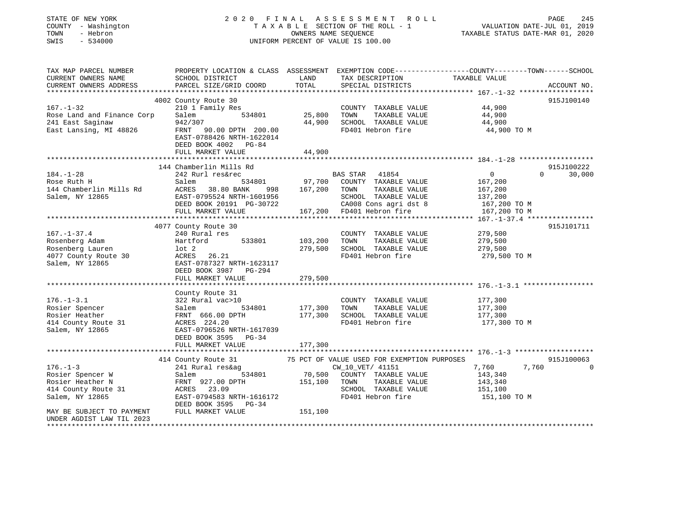| STATE OF NEW YORK<br>COUNTY - Washington<br>TOWN<br>- Hebron<br>SWIS<br>$-534000$ | 2020 FINAL                                        | OWNERS NAME SEQUENCE | A S S E S S M E N T R O L L<br>TAXABLE SECTION OF THE ROLL - 1<br>UNIFORM PERCENT OF VALUE IS 100.00                                     | VALUATION DATE-JUL 01, 2019<br>TAXABLE STATUS DATE-MAR 01, 2020 | PAGE<br>245        |
|-----------------------------------------------------------------------------------|---------------------------------------------------|----------------------|------------------------------------------------------------------------------------------------------------------------------------------|-----------------------------------------------------------------|--------------------|
| TAX MAP PARCEL NUMBER<br>CURRENT OWNERS NAME<br>CURRENT OWNERS ADDRESS            | SCHOOL DISTRICT<br>PARCEL SIZE/GRID COORD         | LAND<br>TOTAL        | PROPERTY LOCATION & CLASS ASSESSMENT EXEMPTION CODE----------------COUNTY-------TOWN------SCHOOL<br>TAX DESCRIPTION<br>SPECIAL DISTRICTS | TAXABLE VALUE                                                   | ACCOUNT NO.        |
|                                                                                   |                                                   |                      |                                                                                                                                          |                                                                 |                    |
|                                                                                   | 4002 County Route 30                              |                      |                                                                                                                                          |                                                                 | 915J100140         |
| $167. - 1 - 32$                                                                   | 210 1 Family Res                                  |                      | COUNTY TAXABLE VALUE                                                                                                                     | 44,900                                                          |                    |
| Rose Land and Finance Corp                                                        | Salem<br>534801<br>942/307                        | 25,800<br>44,900     | TOWN<br>TAXABLE VALUE                                                                                                                    | 44,900<br>44,900                                                |                    |
| 241 East Saginaw<br>East Lansing, MI 48826                                        | FRNT 90.00 DPTH 200.00                            |                      | SCHOOL TAXABLE VALUE<br>FD401 Hebron fire                                                                                                | 44,900 TO M                                                     |                    |
|                                                                                   | EAST-0788426 NRTH-1622014<br>DEED BOOK 4002 PG-84 |                      |                                                                                                                                          |                                                                 |                    |
|                                                                                   | FULL MARKET VALUE                                 | 44,900               |                                                                                                                                          |                                                                 |                    |
|                                                                                   |                                                   |                      |                                                                                                                                          |                                                                 |                    |
|                                                                                   | 144 Chamberlin Mills Rd                           |                      |                                                                                                                                          |                                                                 | 915J100222         |
| $184. - 1 - 28$                                                                   | 242 Rurl res&rec                                  |                      | BAS STAR 41854                                                                                                                           | $\overline{0}$                                                  | $\Omega$<br>30,000 |
| Rose Ruth H                                                                       | Salem<br>534801                                   | 97,700               | COUNTY TAXABLE VALUE                                                                                                                     | 167,200                                                         |                    |
| 144 Chamberlin Mills Rd                                                           | ACRES<br>38.80 BANK<br>998                        | 167,200              | TAXABLE VALUE<br>TOWN                                                                                                                    | 167,200                                                         |                    |
| Salem, NY 12865                                                                   | EAST-0795524 NRTH-1601956                         |                      | SCHOOL TAXABLE VALUE                                                                                                                     | 137,200                                                         |                    |
|                                                                                   | DEED BOOK 20191 PG-30722                          |                      | CA008 Cons agri dst 8                                                                                                                    | 167,200 TO M                                                    |                    |
|                                                                                   | FULL MARKET VALUE                                 |                      | 167,200 FD401 Hebron fire                                                                                                                | 167,200 TO M                                                    |                    |
|                                                                                   | 4077 County Route 30                              |                      |                                                                                                                                          |                                                                 | 915J101711         |
| $167. - 1 - 37.4$                                                                 | 240 Rural res                                     |                      | COUNTY TAXABLE VALUE                                                                                                                     | 279,500                                                         |                    |
| Rosenberg Adam                                                                    | Hartford<br>533801                                | 103,200              | TOWN<br>TAXABLE VALUE                                                                                                                    | 279,500                                                         |                    |
| Rosenberg Lauren                                                                  | lot 2                                             | 279,500              | SCHOOL TAXABLE VALUE                                                                                                                     | 279,500                                                         |                    |
| 4077 County Route 30                                                              | ACRES 26.21                                       |                      | FD401 Hebron fire                                                                                                                        | 279,500 TO M                                                    |                    |
| Salem, NY 12865                                                                   | EAST-0787327 NRTH-1623117                         |                      |                                                                                                                                          |                                                                 |                    |
|                                                                                   | DEED BOOK 3987 PG-294                             |                      |                                                                                                                                          |                                                                 |                    |
|                                                                                   | FULL MARKET VALUE                                 | 279,500              |                                                                                                                                          |                                                                 |                    |
|                                                                                   |                                                   |                      |                                                                                                                                          |                                                                 |                    |
|                                                                                   | County Route 31                                   |                      |                                                                                                                                          |                                                                 |                    |
| $176. - 1 - 3.1$                                                                  | 322 Rural vac>10                                  |                      | COUNTY TAXABLE VALUE                                                                                                                     | 177,300                                                         |                    |
| Rosier Spencer                                                                    | Salem<br>534801                                   | 177,300              | TOWN<br>TAXABLE VALUE                                                                                                                    | 177,300                                                         |                    |
| Rosier Heather                                                                    | FRNT 666.00 DPTH                                  | 177,300              | SCHOOL TAXABLE VALUE                                                                                                                     | 177,300                                                         |                    |
| 414 County Route 31                                                               | ACRES 224.20                                      |                      | FD401 Hebron fire                                                                                                                        | 177,300 TO M                                                    |                    |
| Salem, NY 12865                                                                   | EAST-0796526 NRTH-1617039                         |                      |                                                                                                                                          |                                                                 |                    |
|                                                                                   | DEED BOOK 3595 PG-34                              |                      |                                                                                                                                          |                                                                 |                    |
|                                                                                   | FULL MARKET VALUE                                 | 177,300              |                                                                                                                                          |                                                                 |                    |
|                                                                                   | 414 County Route 31                               |                      | 75 PCT OF VALUE USED FOR EXEMPTION PURPOSES                                                                                              |                                                                 | 915J100063         |
| $176. - 1 - 3$                                                                    | 241 Rural res&ag                                  |                      | CW_10_VET/ 41151                                                                                                                         | 7,760<br>7,760                                                  | 0                  |
| Rosier Spencer W                                                                  | 534801<br>Salem                                   | 70,500               | COUNTY TAXABLE VALUE                                                                                                                     | 143,340                                                         |                    |
| Rosier Heather N                                                                  | FRNT 927.00 DPTH                                  | 151,100              | TOWN<br>TAXABLE VALUE                                                                                                                    | 143,340                                                         |                    |
| 414 County Route 31                                                               | ACRES 23.09                                       |                      | SCHOOL TAXABLE VALUE                                                                                                                     | 151,100                                                         |                    |
| Salem, NY 12865                                                                   | EAST-0794583 NRTH-1616172                         |                      | FD401 Hebron fire                                                                                                                        | 151,100 TO M                                                    |                    |
|                                                                                   | DEED BOOK 3595<br>PG-34                           |                      |                                                                                                                                          |                                                                 |                    |
| MAY BE SUBJECT TO PAYMENT                                                         | FULL MARKET VALUE                                 | 151,100              |                                                                                                                                          |                                                                 |                    |
| UNDER AGDIST LAW TIL 2023                                                         |                                                   |                      |                                                                                                                                          |                                                                 |                    |
| ********************                                                              |                                                   |                      |                                                                                                                                          |                                                                 |                    |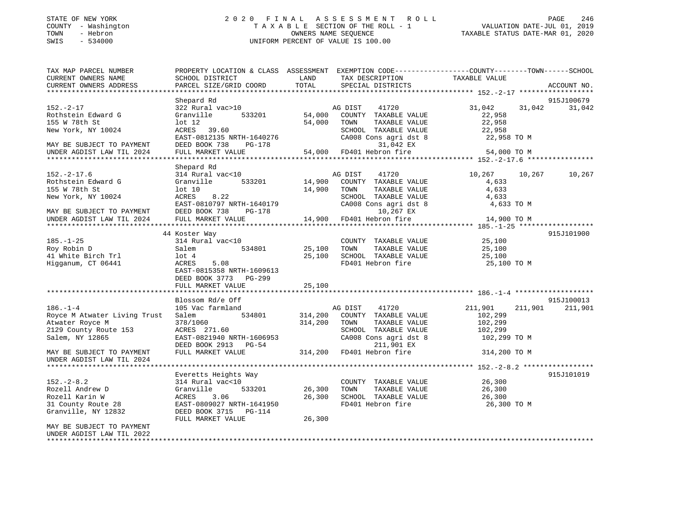# STATE OF NEW YORK 2 0 2 0 F I N A L A S S E S S M E N T R O L L PAGE 246 COUNTY - Washington T A X A B L E SECTION OF THE ROLL - 1 VALUATION DATE-JUL 01, 2019 TOWN - Hebron OWNERS NAME SEQUENCE TAXABLE STATUS DATE-MAR 01, 2020 SWIS - 534000 UNIFORM PERCENT OF VALUE IS 100.00

| TAX MAP PARCEL NUMBER        |                                                                 |               |                                               | PROPERTY LOCATION & CLASS ASSESSMENT EXEMPTION CODE----------------COUNTY-------TOWN------SCHOOL |                       |
|------------------------------|-----------------------------------------------------------------|---------------|-----------------------------------------------|--------------------------------------------------------------------------------------------------|-----------------------|
| CURRENT OWNERS NAME          | SCHOOL DISTRICT                                                 | LAND          | TAX DESCRIPTION                               | TAXABLE VALUE                                                                                    |                       |
| CURRENT OWNERS ADDRESS       | PARCEL SIZE/GRID COORD                                          | TOTAL         | SPECIAL DISTRICTS                             |                                                                                                  | ACCOUNT NO.           |
|                              |                                                                 |               |                                               |                                                                                                  |                       |
| $152. - 2 - 17$              | Shepard Rd<br>322 Rural vac>10                                  |               | AG DIST<br>41720                              | 31,042<br>31,042                                                                                 | 915J100679<br>31,042  |
| Rothstein Edward G           | Granville 533201                                                | A۱<br>54,000  | COUNTY TAXABLE VALUE                          | 22,958                                                                                           |                       |
| 155 W 78th St                | $1$ ot $12$                                                     | 54,000        | TOWN<br>TAXABLE VALUE                         | 22,958                                                                                           |                       |
| New York, NY 10024           | ACRES 39.60                                                     |               | SCHOOL TAXABLE VALUE                          | 22,958                                                                                           |                       |
|                              | $\text{EAST}-0812135 \text{ NRTH}-1640276$                      |               | CA008 Cons agri dst 8                         | 22,958 TO M                                                                                      |                       |
| MAY BE SUBJECT TO PAYMENT    | DEED BOOK 738 PG-178                                            |               | 31,042 EX                                     |                                                                                                  |                       |
| UNDER AGDIST LAW TIL 2024    | FULL MARKET VALUE                                               |               | 54,000 FD401 Hebron fire                      | 54,000 TO M                                                                                      |                       |
|                              |                                                                 |               |                                               |                                                                                                  |                       |
|                              | Shepard Rd                                                      |               |                                               |                                                                                                  |                       |
| $152. - 2 - 17.6$            | 314 Rural vac<10                                                |               | AG DIST<br>41720                              | 10,267<br>10,267                                                                                 | 10,267                |
| Rothstein Edward G           | Granville<br>533201                                             | 14,900        | COUNTY TAXABLE VALUE                          | 4,633                                                                                            |                       |
| 155 W 78th St                | $1$ ot $10$                                                     | 14,900        | TOWN<br>TAXABLE VALUE                         | 4,633                                                                                            |                       |
| New York, NY 10024           | ACRES<br>8.22                                                   |               | SCHOOL TAXABLE VALUE<br>CA008 Cons agri dst 8 | 4,633                                                                                            |                       |
|                              | ACKES 0.22<br>EAST-0810797 NRTH-1640179<br>PERD BOOK 738 DG-178 |               |                                               | 4,633 TO M                                                                                       |                       |
| MAY BE SUBJECT TO PAYMENT    | DEED BOOK 738<br>PG-178                                         |               | 10,267 EX                                     |                                                                                                  |                       |
| UNDER AGDIST LAW TIL 2024    | FULL MARKET VALUE                                               |               | $14,900$ FD401 Hebron fire                    | 14,900 TO M                                                                                      |                       |
|                              |                                                                 |               |                                               |                                                                                                  |                       |
|                              | 44 Koster Way                                                   |               |                                               |                                                                                                  | 915J101900            |
| $185. - 1 - 25$              | 314 Rural vac<10                                                |               | COUNTY TAXABLE VALUE                          | 25,100                                                                                           |                       |
| Roy Robin D                  | Salem                                                           | 534801 25,100 | TOWN<br>TAXABLE VALUE                         | 25,100                                                                                           |                       |
| 41 White Birch Trl           | $1$ ot $4$                                                      | 25,100        | SCHOOL TAXABLE VALUE<br>FD401 Hebron fire     | 25,100                                                                                           |                       |
| Higganum, CT 06441           | 5.08<br>ACRES                                                   |               |                                               | 25,100 TO M                                                                                      |                       |
|                              | EAST-0815358 NRTH-1609613                                       |               |                                               |                                                                                                  |                       |
|                              | DEED BOOK 3773 PG-299                                           |               |                                               |                                                                                                  |                       |
|                              | FULL MARKET VALUE                                               | 25,100        |                                               |                                                                                                  |                       |
|                              |                                                                 |               |                                               |                                                                                                  |                       |
| $186. - 1 - 4$               | Blossom Rd/e Off<br>105 Vac farmland                            |               | 41720                                         | 211,901<br>211,901                                                                               | 915J100013<br>211,901 |
| Royce M Atwater Living Trust | 534801<br>Salem                                                 | 314,200       | AG DIST<br>COUNTY TAXABLE VALUE               | 102,299                                                                                          |                       |
| Atwater Royce M              |                                                                 | 314,200       | TAXABLE VALUE<br>TOWN                         | 102,299                                                                                          |                       |
| 2129 County Route 153        | $ACRES$ 271.60                                                  |               | SCHOOL TAXABLE VALUE                          | 102,299                                                                                          |                       |
| Salem, NY 12865              | EAST-0821940 NRTH-1606953                                       |               | CA008 Cons agri dst 8                         | 102,299 TO M                                                                                     |                       |
|                              | DEED BOOK 2913 PG-54                                            |               | 211,901 EX                                    |                                                                                                  |                       |
| MAY BE SUBJECT TO PAYMENT    | FULL MARKET VALUE                                               |               | 314,200 FD401 Hebron fire                     | 314,200 TO M                                                                                     |                       |
| UNDER AGDIST LAW TIL 2024    |                                                                 |               |                                               |                                                                                                  |                       |
|                              |                                                                 |               |                                               |                                                                                                  |                       |
|                              | Everetts Heights Way                                            |               |                                               |                                                                                                  | 915J101019            |
| $152 - 2 - 8.2$              | 314 Rural vac<10                                                |               | COUNTY TAXABLE VALUE                          | 26,300                                                                                           |                       |
| Rozell Andrew D              | Granville<br>533201                                             | 26,300        | TOWN<br>TAXABLE VALUE                         | 26,300                                                                                           |                       |
| Rozell Karin W               | ACRES 3.06                                                      | 26,300        | SCHOOL TAXABLE VALUE                          | 26,300                                                                                           |                       |
| 31 County Route 28           | EAST-0809027 NRTH-1641950                                       |               | FD401 Hebron fire                             | 26,300 TO M                                                                                      |                       |
| Granville, NY 12832          | DEED BOOK 3715 PG-114                                           |               |                                               |                                                                                                  |                       |
|                              | FULL MARKET VALUE                                               | 26,300        |                                               |                                                                                                  |                       |
| MAY BE SUBJECT TO PAYMENT    |                                                                 |               |                                               |                                                                                                  |                       |
| UNDER AGDIST LAW TIL 2022    |                                                                 |               |                                               |                                                                                                  |                       |
|                              |                                                                 |               |                                               |                                                                                                  |                       |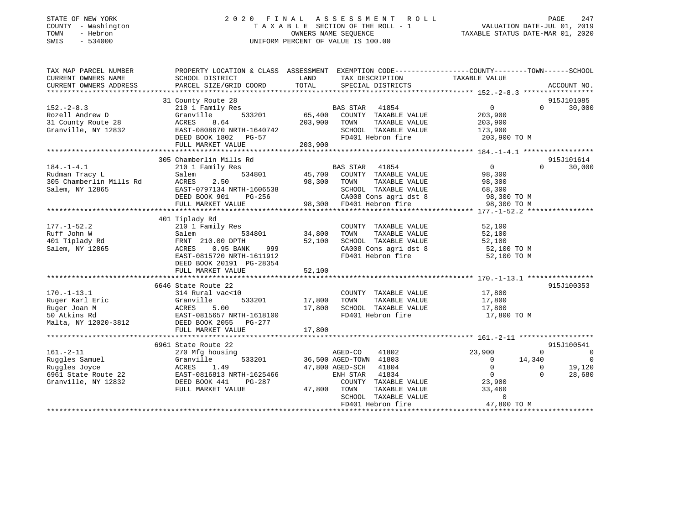# STATE OF NEW YORK 2 0 2 0 F I N A L A S S E S S M E N T R O L L PAGE 247 COUNTY - Washington T A X A B L E SECTION OF THE ROLL - 1 VALUATION DATE-JUL 01, 2019 TOWN - Hebron OWNERS NAME SEQUENCE TAXABLE STATUS DATE-MAR 01, 2020 SWIS - 534000 UNIFORM PERCENT OF VALUE IS 100.00

| TAX MAP PARCEL NUMBER                     |                                            |                                                                  | PROPERTY LOCATION & CLASS ASSESSMENT EXEMPTION CODE----------------COUNTY-------TOWN------SCHOOL |
|-------------------------------------------|--------------------------------------------|------------------------------------------------------------------|--------------------------------------------------------------------------------------------------|
| CURRENT OWNERS NAME                       | SCHOOL DISTRICT                            | LAND<br>TAX DESCRIPTION                                          | TAXABLE VALUE                                                                                    |
| CURRENT OWNERS ADDRESS                    | PARCEL SIZE/GRID COORD                     | TOTAL<br>SPECIAL DISTRICTS                                       | ACCOUNT NO.                                                                                      |
|                                           |                                            |                                                                  |                                                                                                  |
|                                           | 31 County Route 28                         |                                                                  | 915J101085                                                                                       |
| $152 - 2 - 8.3$                           | 210 1 Family Res                           | BAS STAR 41854                                                   | $0 \qquad \qquad$<br>30,000<br>$\Omega$                                                          |
| Rozell Andrew D                           | Granville<br>533201                        | 65,400 COUNTY TAXABLE VALUE<br>203,900 TOWN                      | 203,900                                                                                          |
| 31 County Route 28<br>Granville, NY 12832 | ACRES<br>8.64<br>EAST-0808670 NRTH-1640742 | TAXABLE VALUE<br>SCHOOL TAXABLE VALUE                            | 203,900<br>173,900                                                                               |
|                                           | DEED BOOK 1802 PG-57                       | FD401 Hebron fire                                                | 203,900 TO M                                                                                     |
|                                           | FULL MARKET VALUE                          | 203,900                                                          |                                                                                                  |
|                                           |                                            |                                                                  |                                                                                                  |
|                                           | 305 Chamberlin Mills Rd                    |                                                                  | 915J101614                                                                                       |
| $184. - 1 - 4.1$                          | 210 1 Family Res                           | BAS STAR 41854                                                   | $\overline{0}$<br>30,000<br>$\Omega$                                                             |
| Rudman Tracy L                            | Salem                                      | 534801 45,700 COUNTY TAXABLE VALUE 98,300                        |                                                                                                  |
| 305 Chamberlin Mills Rd                   | 2.50<br>ACRES                              | 98,300<br>TOWN<br>TAXABLE VALUE                                  | 98,300                                                                                           |
| Salem, NY 12865                           | EAST-0797134 NRTH-1606538                  | SCHOOL TAXABLE VALUE                                             | 68,300                                                                                           |
|                                           | DEED BOOK 901<br>PG-256                    | CA008 Cons agri dst 8                                            | 98,300 TO M                                                                                      |
|                                           | FULL MARKET VALUE                          | 98,300 FD401 Hebron fire                                         | 98,300 TO M                                                                                      |
|                                           |                                            |                                                                  |                                                                                                  |
|                                           | 401 Tiplady Rd                             |                                                                  |                                                                                                  |
| $177. - 1 - 52.2$                         | 210 1 Family Res                           | COUNTY TAXABLE VALUE                                             | 52,100                                                                                           |
| Ruff John W                               | Salem<br>534801                            | 34,800<br>TOWN<br>TAXABLE VALUE                                  | 52,100                                                                                           |
| 401 Tiplady Rd                            | FRNT 210.00 DPTH                           | 52,100<br>SCHOOL TAXABLE VALUE                                   | 52,100                                                                                           |
| Salem, NY 12865                           | 0.95 BANK<br>999<br>ACRES                  | SCHOOL TAXABLE VALUE 52,100<br>CA008 Cons agri dst 8 52,100 TO M |                                                                                                  |
|                                           | EAST-0815720 NRTH-1611912                  | FD401 Hebron fire                                                | 52,100 TO M                                                                                      |
|                                           | DEED BOOK 20191 PG-28354                   |                                                                  |                                                                                                  |
|                                           | FULL MARKET VALUE                          | 52,100                                                           |                                                                                                  |
|                                           |                                            |                                                                  |                                                                                                  |
|                                           | 6646 State Route 22                        |                                                                  | 915J100353                                                                                       |
| $170. - 1 - 13.1$                         | 314 Rural vac<10                           | COUNTY TAXABLE VALUE                                             |                                                                                                  |
| Ruger Karl Eric                           | 533201<br>Granville                        | 17,800<br>TAXABLE VALUE<br>TOWN                                  | 17,800<br>17,800                                                                                 |
| Ruger Joan M                              | ACRES<br>5.00                              | 17,800<br>SCHOOL TAXABLE VALUE                                   | 17,800                                                                                           |
| 50 Atkins Rd                              | EAST-0815657 NRTH-1618100                  | FD401 Hebron fire                                                | 17,800 TO M                                                                                      |
| Malta, NY 12020-3812                      | DEED BOOK 2055 PG-277                      |                                                                  |                                                                                                  |
|                                           | FULL MARKET VALUE                          | 17,800                                                           |                                                                                                  |
|                                           |                                            |                                                                  |                                                                                                  |
|                                           | 6961 State Route 22                        |                                                                  | 915J100541                                                                                       |
| $161. - 2 - 11$                           | 270 Mfg housing                            | AGED-CO<br>41802                                                 | 23,900<br>$\overline{0}$<br>$\Omega$                                                             |
| Ruggles Samuel                            | Granville<br>533201                        | 36,500 AGED-TOWN 41803                                           | $\overline{0}$<br>14,340<br>$\overline{0}$                                                       |
| Ruggles Joyce                             | 1.49<br>ACRES                              | 47,800 AGED-SCH<br>41804                                         | $\overline{0}$<br>19,120<br>$\Omega$                                                             |
| 6961 State Route 22                       | EAST-0816813 NRTH-1625466                  | ENH STAR<br>41834                                                | $\overline{0}$<br>28,680<br>$\Omega$                                                             |
| Granville, NY 12832                       | DEED BOOK 441<br>PG-287                    | COUNTY TAXABLE VALUE                                             | 23,900                                                                                           |
|                                           | FULL MARKET VALUE                          | 47,800<br>TOWN<br>TAXABLE VALUE                                  | 33,460                                                                                           |
|                                           |                                            | SCHOOL TAXABLE VALUE                                             | $\Omega$                                                                                         |
|                                           |                                            | FD401 Hebron fire                                                | 47,800 TO M                                                                                      |
|                                           |                                            |                                                                  |                                                                                                  |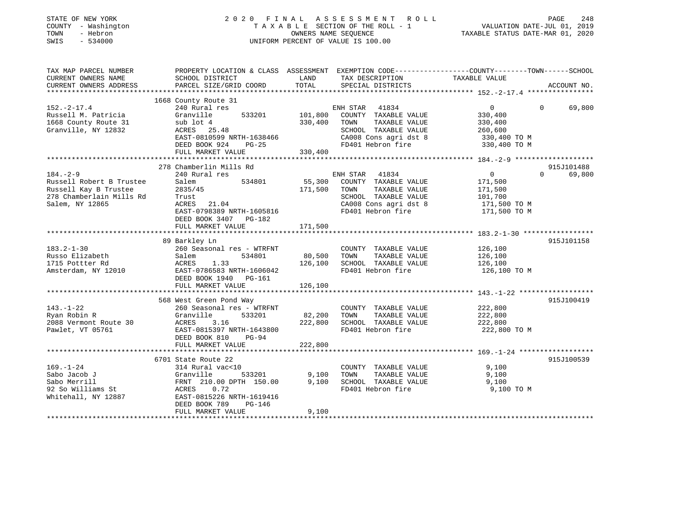| STATE OF NEW YORK<br>COUNTY - Washington<br>TOWN<br>- Hebron<br>$-534000$<br>SWIS |                                                       |                   | 2020 FINAL ASSESSMENT<br>R O L L<br>TAXABLE SECTION OF THE ROLL - 1<br>OWNERS NAME SEQUENCE<br>UNIFORM PERCENT OF VALUE IS 100.00 | PAGE<br>248<br>VALUATION DATE-JUL 01, 2019<br>TAXABLE STATUS DATE-MAR 01, 2020                                   |
|-----------------------------------------------------------------------------------|-------------------------------------------------------|-------------------|-----------------------------------------------------------------------------------------------------------------------------------|------------------------------------------------------------------------------------------------------------------|
| TAX MAP PARCEL NUMBER<br>CURRENT OWNERS NAME                                      | SCHOOL DISTRICT                                       | LAND              | TAX DESCRIPTION                                                                                                                   | PROPERTY LOCATION & CLASS ASSESSMENT EXEMPTION CODE---------------COUNTY-------TOWN------SCHOOL<br>TAXABLE VALUE |
| CURRENT OWNERS ADDRESS                                                            | PARCEL SIZE/GRID COORD                                | TOTAL             | SPECIAL DISTRICTS                                                                                                                 | ACCOUNT NO.                                                                                                      |
|                                                                                   | 1668 County Route 31                                  |                   |                                                                                                                                   |                                                                                                                  |
| $152. - 2 - 17.4$                                                                 | 240 Rural res                                         |                   | ENH STAR<br>41834                                                                                                                 | $\Omega$<br>$\Omega$<br>69,800                                                                                   |
| Russell M. Patricia                                                               | Granville<br>533201                                   | 101,800           | COUNTY TAXABLE VALUE                                                                                                              | 330,400                                                                                                          |
| 1668 County Route 31                                                              | sub lot 4                                             | 330,400           | TAXABLE VALUE<br>TOWN                                                                                                             | 330,400                                                                                                          |
| Granville, NY 12832                                                               | ACRES 25.48                                           |                   | SCHOOL TAXABLE VALUE                                                                                                              | 260,600                                                                                                          |
|                                                                                   | EAST-0810599 NRTH-1638466                             |                   | CA008 Cons agri dst 8                                                                                                             | 330,400 TO M                                                                                                     |
|                                                                                   | DEED BOOK 924<br>PG-25                                |                   | FD401 Hebron fire                                                                                                                 | 330,400 TO M                                                                                                     |
|                                                                                   | FULL MARKET VALUE                                     | 330,400           |                                                                                                                                   |                                                                                                                  |
|                                                                                   |                                                       |                   |                                                                                                                                   |                                                                                                                  |
|                                                                                   | 278 Chamberlin Mills Rd                               |                   |                                                                                                                                   | 915J101488                                                                                                       |
| $184. - 2 - 9$                                                                    | 240 Rural res                                         |                   | ENH STAR 41834                                                                                                                    | 69,800<br>$\overline{0}$<br>$\Omega$                                                                             |
| Russell Robert B Trustee                                                          | Salem<br>534801                                       | 55,300            | COUNTY TAXABLE VALUE                                                                                                              | 171,500                                                                                                          |
| Russell Kay B Trustee                                                             | 2835/45                                               | 171,500           | TOWN<br>TAXABLE VALUE                                                                                                             | 171,500                                                                                                          |
| 278 Chamberlain Mills Rd                                                          | Trust                                                 |                   | SCHOOL TAXABLE VALUE                                                                                                              | 101,700                                                                                                          |
| Salem, NY 12865                                                                   | ACRES 21.04                                           |                   | CA008 Cons agri dst 8                                                                                                             | 171,500 TO M                                                                                                     |
|                                                                                   | EAST-0798389 NRTH-1605816<br>DEED BOOK 3407<br>PG-182 |                   | FD401 Hebron fire                                                                                                                 | 171,500 TO M                                                                                                     |
|                                                                                   | FULL MARKET VALUE                                     | 171,500           |                                                                                                                                   |                                                                                                                  |
|                                                                                   |                                                       |                   |                                                                                                                                   |                                                                                                                  |
| $183.2 - 1 - 30$                                                                  | 89 Barkley Ln<br>260 Seasonal res - WTRFNT            |                   |                                                                                                                                   | 915J101158<br>126,100                                                                                            |
|                                                                                   | Salem<br>534801                                       |                   | COUNTY TAXABLE VALUE<br>TOWN                                                                                                      |                                                                                                                  |
| Russo Elizabeth<br>1715 Pottter Rd                                                | ACRES<br>1.33                                         | 80,500<br>126,100 | TAXABLE VALUE<br>SCHOOL TAXABLE VALUE                                                                                             | 126,100                                                                                                          |
|                                                                                   |                                                       |                   | FD401 Hebron fire                                                                                                                 | 126,100                                                                                                          |
| Amsterdam, NY 12010                                                               | EAST-0786583 NRTH-1606042<br>DEED BOOK 1940 PG-161    |                   |                                                                                                                                   | 126,100 TO M                                                                                                     |
|                                                                                   |                                                       |                   |                                                                                                                                   |                                                                                                                  |
|                                                                                   | FULL MARKET VALUE                                     | 126,100           |                                                                                                                                   |                                                                                                                  |
|                                                                                   |                                                       |                   |                                                                                                                                   | 915J100419                                                                                                       |
| $143. - 1 - 22$                                                                   | 568 West Green Pond Way<br>260 Seasonal res - WTRFNT  |                   | COUNTY TAXABLE VALUE                                                                                                              | 222,800                                                                                                          |
| Ryan Robin R                                                                      | Granville<br>533201                                   | 82,200            | TOWN<br>TAXABLE VALUE                                                                                                             | 222,800                                                                                                          |
| 2088 Vermont Route 30                                                             | ACRES<br>3.16                                         | 222,800           | SCHOOL TAXABLE VALUE                                                                                                              | 222,800                                                                                                          |
|                                                                                   | EAST-0815397 NRTH-1643800                             |                   | FD401 Hebron fire                                                                                                                 | 222,800 TO M                                                                                                     |
| Pawlet, VT 05761                                                                  |                                                       |                   |                                                                                                                                   |                                                                                                                  |
|                                                                                   | DEED BOOK 810<br>PG-94                                |                   |                                                                                                                                   |                                                                                                                  |
|                                                                                   | FULL MARKET VALUE                                     | 222,800           |                                                                                                                                   |                                                                                                                  |
|                                                                                   | 6701 State Route 22                                   |                   |                                                                                                                                   | 915J100539                                                                                                       |
| $169. - 1 - 24$                                                                   | 314 Rural vac<10                                      |                   | COUNTY TAXABLE VALUE                                                                                                              | 9,100                                                                                                            |
| Sabo Jacob J                                                                      | 533201<br>Granville                                   | 9,100             | TAXABLE VALUE<br>TOWN                                                                                                             | 9,100                                                                                                            |
| Sabo Merrill                                                                      | FRNT 210.00 DPTH 150.00                               | 9,100             | SCHOOL TAXABLE VALUE                                                                                                              | 9,100                                                                                                            |
| 92 So Williams St                                                                 | ACRES<br>0.72                                         |                   | FD401 Hebron fire                                                                                                                 | 9,100 TO M                                                                                                       |
| Whitehall, NY 12887                                                               | EAST-0815226 NRTH-1619416                             |                   |                                                                                                                                   |                                                                                                                  |
|                                                                                   | DEED BOOK 789<br>PG-146                               |                   |                                                                                                                                   |                                                                                                                  |
|                                                                                   | FULL MARKET VALUE                                     | 9,100             |                                                                                                                                   |                                                                                                                  |
|                                                                                   |                                                       |                   |                                                                                                                                   |                                                                                                                  |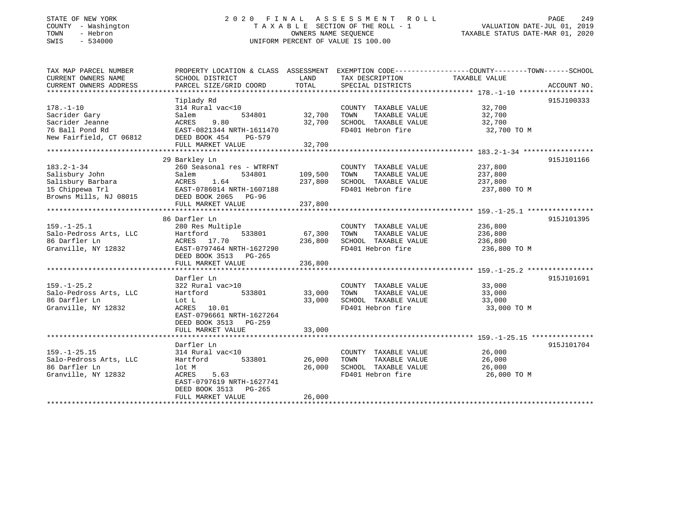# STATE OF NEW YORK 2 0 2 0 F I N A L A S S E S S M E N T R O L L PAGE 249 COUNTY - Washington T A X A B L E SECTION OF THE ROLL - 1 VALUATION DATE-JUL 01, 2019 TOWN - Hebron OWNERS NAME SEQUENCE TAXABLE STATUS DATE-MAR 01, 2020 SWIS - 534000 UNIFORM PERCENT OF VALUE IS 100.00

| TAX MAP PARCEL NUMBER<br>CURRENT OWNERS NAME | SCHOOL DISTRICT                   | LAND    | TAX DESCRIPTION                               | PROPERTY LOCATION & CLASS ASSESSMENT EXEMPTION CODE----------------COUNTY-------TOWN------SCHOOL<br>TAXABLE VALUE |
|----------------------------------------------|-----------------------------------|---------|-----------------------------------------------|-------------------------------------------------------------------------------------------------------------------|
| CURRENT OWNERS ADDRESS                       | PARCEL SIZE/GRID COORD            | TOTAL   | SPECIAL DISTRICTS                             | ACCOUNT NO.                                                                                                       |
|                                              | Tiplady Rd                        |         |                                               | 915J100333                                                                                                        |
| $178. - 1 - 10$                              | 314 Rural vac<10                  |         | COUNTY TAXABLE VALUE                          | 32,700                                                                                                            |
| Sacrider Gary                                | 534801<br>Salem                   | 32,700  | TAXABLE VALUE<br>TOWN                         | 32,700                                                                                                            |
| Sacrider Jeanne                              | ACRES<br>9.80                     | 32,700  | SCHOOL TAXABLE VALUE                          | 32,700                                                                                                            |
| 76 Ball Pond Rd                              | EAST-0821344 NRTH-1611470         |         | FD401 Hebron fire                             | 32,700 TO M                                                                                                       |
| New Fairfield, CT 06812                      | DEED BOOK 454<br>PG-579           |         |                                               |                                                                                                                   |
|                                              | FULL MARKET VALUE                 | 32,700  |                                               |                                                                                                                   |
|                                              |                                   |         |                                               |                                                                                                                   |
|                                              | 29 Barkley Ln                     |         |                                               | 915J101166                                                                                                        |
| $183.2 - 1 - 34$                             | 260 Seasonal res - WTRFNT         |         | COUNTY TAXABLE VALUE                          | 237,800                                                                                                           |
| Salisbury John                               | Salem<br>534801                   | 109,500 | TOWN<br>TAXABLE VALUE                         | 237,800                                                                                                           |
| Salisbury Barbara                            | ACRES<br>1.64                     | 237,800 | SCHOOL TAXABLE VALUE                          | 237,800                                                                                                           |
| 15 Chippewa Trl                              | EAST-0786014 NRTH-1607188         |         | FD401 Hebron fire                             | 237,800 TO M                                                                                                      |
| Browns Mills, NJ 08015                       | DEED BOOK 2065 PG-96              |         |                                               |                                                                                                                   |
|                                              | FULL MARKET VALUE                 | 237,800 |                                               |                                                                                                                   |
|                                              |                                   |         |                                               |                                                                                                                   |
|                                              | 86 Darfler Ln                     |         |                                               | 915J101395                                                                                                        |
| $159. - 1 - 25.1$                            | 280 Res Multiple                  |         | COUNTY TAXABLE VALUE                          | 236,800                                                                                                           |
| Salo-Pedross Arts, LLC<br>86 Darfler Ln      | Hartford<br>533801<br>ACRES 17.70 | 67,300  | TOWN<br>TAXABLE VALUE<br>SCHOOL TAXABLE VALUE | 236,800                                                                                                           |
| Granville, NY 12832                          | EAST-0797464 NRTH-1627290         | 236,800 | FD401 Hebron fire                             | 236,800<br>236,800 TO M                                                                                           |
|                                              | DEED BOOK 3513 PG-265             |         |                                               |                                                                                                                   |
|                                              | FULL MARKET VALUE                 | 236,800 |                                               |                                                                                                                   |
|                                              |                                   |         |                                               |                                                                                                                   |
|                                              | Darfler Ln                        |         |                                               | 915J101691                                                                                                        |
| $159. - 1 - 25.2$                            | 322 Rural vac>10                  |         | COUNTY TAXABLE VALUE                          | 33,000                                                                                                            |
| Salo-Pedross Arts, LLC                       | 533801<br>Hartford                | 33,000  | TOWN<br>TAXABLE VALUE                         | 33,000                                                                                                            |
| 86 Darfler Ln                                | Lot L                             | 33,000  | SCHOOL TAXABLE VALUE                          | 33,000                                                                                                            |
| Granville, NY 12832                          | ACRES<br>10.01                    |         | FD401 Hebron fire                             | 33,000 TO M                                                                                                       |
|                                              | EAST-0796661 NRTH-1627264         |         |                                               |                                                                                                                   |
|                                              | DEED BOOK 3513 PG-259             |         |                                               |                                                                                                                   |
|                                              | FULL MARKET VALUE                 | 33,000  |                                               |                                                                                                                   |
|                                              |                                   |         |                                               |                                                                                                                   |
|                                              | Darfler Ln                        |         |                                               | 915J101704                                                                                                        |
| $159. - 1 - 25.15$                           | 314 Rural vac<10                  |         | COUNTY TAXABLE VALUE                          | 26,000                                                                                                            |
| Salo-Pedross Arts, LLC                       | Hartford<br>533801                | 26,000  | TAXABLE VALUE<br>TOWN                         | 26,000                                                                                                            |
| 86 Darfler Ln                                | lot M                             | 26,000  | SCHOOL TAXABLE VALUE                          | 26,000                                                                                                            |
| Granville, NY 12832                          | ACRES<br>5.63                     |         | FD401 Hebron fire                             | 26,000 TO M                                                                                                       |
|                                              | EAST-0797619 NRTH-1627741         |         |                                               |                                                                                                                   |
|                                              | DEED BOOK 3513<br>PG-265          |         |                                               |                                                                                                                   |
|                                              | FULL MARKET VALUE                 | 26,000  |                                               |                                                                                                                   |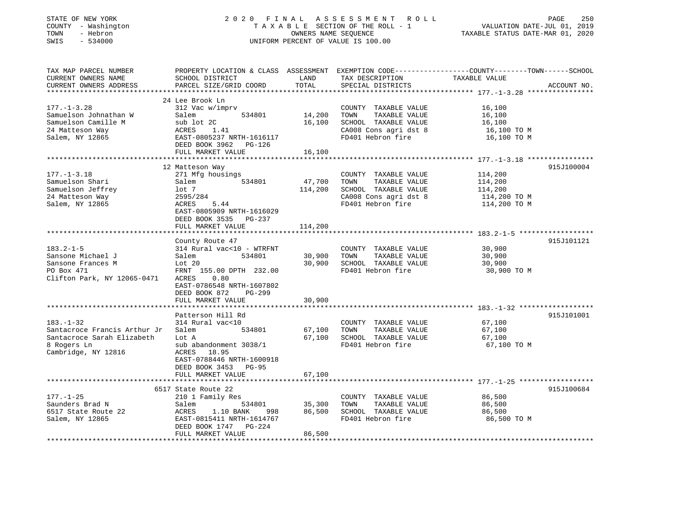| EXEMPTION CODE-----------------COUNTY-------TOWN------SCHOOL<br>PROPERTY LOCATION & CLASS ASSESSMENT<br>SCHOOL DISTRICT<br>LAND<br>TAX DESCRIPTION<br>TAXABLE VALUE<br>TOTAL<br>PARCEL SIZE/GRID COORD<br>SPECIAL DISTRICTS<br>ACCOUNT NO.<br>********************************* 177.-1-3.28<br>24 Lee Brook Ln<br>$177. - 1 - 3.28$<br>312 Vac w/imprv<br>COUNTY TAXABLE VALUE<br>16,100<br>14,200<br>Samuelson Johnathan W<br>Salem<br>534801<br>TOWN<br>TAXABLE VALUE<br>16,100<br>Samuelson Camille M<br>16,100<br>sub lot 2C<br>SCHOOL TAXABLE VALUE<br>16,100<br>24 Matteson Way<br>ACRES<br>CA008 Cons agri dst 8<br>16,100 TO M<br>1.41<br>Salem, NY 12865<br>EAST-0805237 NRTH-1616117<br>FD401 Hebron fire<br>16,100 TO M<br>DEED BOOK 3962 PG-126<br>FULL MARKET VALUE<br>16,100<br>* * * * * * * * * * * * * *<br>******************************** 177.-1-3.18 ****************<br>915J100004<br>12 Matteson Way<br>271 Mfg housings<br>114,200<br>COUNTY TAXABLE VALUE<br>47,700<br>534801<br>TOWN<br>TAXABLE VALUE<br>114,200<br>Salem<br>114,200<br>SCHOOL TAXABLE VALUE<br>114,200<br>lot 7<br>24 Matteson Way<br>2595/284<br>CA008 Cons agri dst 8<br>114,200 TO M<br>Salem, NY 12865<br>FD401 Hebron fire<br>114,200 TO M<br>ACRES<br>5.44<br>EAST-0805909 NRTH-1616029<br>DEED BOOK 3535 PG-237<br>FULL MARKET VALUE<br>114,200<br>**************************************53.2-1-5*******************<br>915J101121<br>County Route 47<br>314 Rural vac<10 - WTRFNT<br>COUNTY TAXABLE VALUE<br>30,900<br>30,900<br>534801<br>TAXABLE VALUE<br>30,900<br>Salem<br>TOWN<br>Lot 20<br>30,900<br>SCHOOL TAXABLE VALUE<br>30,900<br>PO Box 471<br>FD401 Hebron fire<br>FRNT 155.00 DPTH 232.00<br>30,900 TO M<br>Clifton Park, NY 12065-0471<br>ACRES<br>0.80<br>EAST-0786548 NRTH-1607802<br>DEED BOOK 872<br>PG-299<br>FULL MARKET VALUE<br>30,900<br>******************<br>**********<br>Patterson Hill Rd<br>915J101001<br>314 Rural vac<10<br>COUNTY TAXABLE VALUE<br>67,100<br>67,100<br>TAXABLE VALUE<br>67,100<br>Salem<br>534801<br>TOWN<br>67,100<br>SCHOOL TAXABLE VALUE<br>Lot A<br>67,100<br>sub abandonment 3038/1<br>FD401 Hebron fire<br>67,100 TO M<br>ACRES<br>18.95<br>EAST-0788446 NRTH-1600918<br>DEED BOOK 3453 PG-95<br>FULL MARKET VALUE<br>67,100<br>************************<br>6517 State Route 22<br>915J100684<br>$177. - 1 - 25$<br>86,500<br>210 1 Family Res<br>COUNTY TAXABLE VALUE<br>Saunders Brad N<br>35,300<br>Salem<br>534801<br>TOWN<br>TAXABLE VALUE<br>86,500<br>6517 State Route 22<br>86,500<br>ACRES<br>1.10 BANK<br>998<br>SCHOOL TAXABLE VALUE<br>86,500<br>EAST-0815411 NRTH-1614767<br>FD401 Hebron fire<br>86,500 TO M<br>DEED BOOK 1747 PG-224<br>FULL MARKET VALUE<br>86,500 | STATE OF NEW YORK<br>COUNTY - Washington<br>TOWN<br>- Hebron<br>$-534000$<br>SWIS | 2020 FINAL<br>A S S E S S M E N T<br>ROLL<br>TAXABLE SECTION OF THE ROLL - 1<br>OWNERS NAME SEQUENCE<br>UNIFORM PERCENT OF VALUE IS 100.00 |  |  | PAGE<br>250<br>VALUATION DATE-JUL 01, 2019<br>TAXABLE STATUS DATE-MAR 01, 2020 |
|----------------------------------------------------------------------------------------------------------------------------------------------------------------------------------------------------------------------------------------------------------------------------------------------------------------------------------------------------------------------------------------------------------------------------------------------------------------------------------------------------------------------------------------------------------------------------------------------------------------------------------------------------------------------------------------------------------------------------------------------------------------------------------------------------------------------------------------------------------------------------------------------------------------------------------------------------------------------------------------------------------------------------------------------------------------------------------------------------------------------------------------------------------------------------------------------------------------------------------------------------------------------------------------------------------------------------------------------------------------------------------------------------------------------------------------------------------------------------------------------------------------------------------------------------------------------------------------------------------------------------------------------------------------------------------------------------------------------------------------------------------------------------------------------------------------------------------------------------------------------------------------------------------------------------------------------------------------------------------------------------------------------------------------------------------------------------------------------------------------------------------------------------------------------------------------------------------------------------------------------------------------------------------------------------------------------------------------------------------------------------------------------------------------------------------------------------------------------------------------------------------------------------------------------------------------------------------------------------------------------------------------------------------------------------------------------------------------------------------------------|-----------------------------------------------------------------------------------|--------------------------------------------------------------------------------------------------------------------------------------------|--|--|--------------------------------------------------------------------------------|
|                                                                                                                                                                                                                                                                                                                                                                                                                                                                                                                                                                                                                                                                                                                                                                                                                                                                                                                                                                                                                                                                                                                                                                                                                                                                                                                                                                                                                                                                                                                                                                                                                                                                                                                                                                                                                                                                                                                                                                                                                                                                                                                                                                                                                                                                                                                                                                                                                                                                                                                                                                                                                                                                                                                                              | TAX MAP PARCEL NUMBER<br>CURRENT OWNERS NAME<br>CURRENT OWNERS ADDRESS            |                                                                                                                                            |  |  |                                                                                |
|                                                                                                                                                                                                                                                                                                                                                                                                                                                                                                                                                                                                                                                                                                                                                                                                                                                                                                                                                                                                                                                                                                                                                                                                                                                                                                                                                                                                                                                                                                                                                                                                                                                                                                                                                                                                                                                                                                                                                                                                                                                                                                                                                                                                                                                                                                                                                                                                                                                                                                                                                                                                                                                                                                                                              |                                                                                   |                                                                                                                                            |  |  |                                                                                |
|                                                                                                                                                                                                                                                                                                                                                                                                                                                                                                                                                                                                                                                                                                                                                                                                                                                                                                                                                                                                                                                                                                                                                                                                                                                                                                                                                                                                                                                                                                                                                                                                                                                                                                                                                                                                                                                                                                                                                                                                                                                                                                                                                                                                                                                                                                                                                                                                                                                                                                                                                                                                                                                                                                                                              |                                                                                   |                                                                                                                                            |  |  |                                                                                |
|                                                                                                                                                                                                                                                                                                                                                                                                                                                                                                                                                                                                                                                                                                                                                                                                                                                                                                                                                                                                                                                                                                                                                                                                                                                                                                                                                                                                                                                                                                                                                                                                                                                                                                                                                                                                                                                                                                                                                                                                                                                                                                                                                                                                                                                                                                                                                                                                                                                                                                                                                                                                                                                                                                                                              |                                                                                   |                                                                                                                                            |  |  |                                                                                |
|                                                                                                                                                                                                                                                                                                                                                                                                                                                                                                                                                                                                                                                                                                                                                                                                                                                                                                                                                                                                                                                                                                                                                                                                                                                                                                                                                                                                                                                                                                                                                                                                                                                                                                                                                                                                                                                                                                                                                                                                                                                                                                                                                                                                                                                                                                                                                                                                                                                                                                                                                                                                                                                                                                                                              |                                                                                   |                                                                                                                                            |  |  |                                                                                |
|                                                                                                                                                                                                                                                                                                                                                                                                                                                                                                                                                                                                                                                                                                                                                                                                                                                                                                                                                                                                                                                                                                                                                                                                                                                                                                                                                                                                                                                                                                                                                                                                                                                                                                                                                                                                                                                                                                                                                                                                                                                                                                                                                                                                                                                                                                                                                                                                                                                                                                                                                                                                                                                                                                                                              |                                                                                   |                                                                                                                                            |  |  |                                                                                |
|                                                                                                                                                                                                                                                                                                                                                                                                                                                                                                                                                                                                                                                                                                                                                                                                                                                                                                                                                                                                                                                                                                                                                                                                                                                                                                                                                                                                                                                                                                                                                                                                                                                                                                                                                                                                                                                                                                                                                                                                                                                                                                                                                                                                                                                                                                                                                                                                                                                                                                                                                                                                                                                                                                                                              |                                                                                   |                                                                                                                                            |  |  |                                                                                |
|                                                                                                                                                                                                                                                                                                                                                                                                                                                                                                                                                                                                                                                                                                                                                                                                                                                                                                                                                                                                                                                                                                                                                                                                                                                                                                                                                                                                                                                                                                                                                                                                                                                                                                                                                                                                                                                                                                                                                                                                                                                                                                                                                                                                                                                                                                                                                                                                                                                                                                                                                                                                                                                                                                                                              |                                                                                   |                                                                                                                                            |  |  |                                                                                |
|                                                                                                                                                                                                                                                                                                                                                                                                                                                                                                                                                                                                                                                                                                                                                                                                                                                                                                                                                                                                                                                                                                                                                                                                                                                                                                                                                                                                                                                                                                                                                                                                                                                                                                                                                                                                                                                                                                                                                                                                                                                                                                                                                                                                                                                                                                                                                                                                                                                                                                                                                                                                                                                                                                                                              |                                                                                   |                                                                                                                                            |  |  |                                                                                |
|                                                                                                                                                                                                                                                                                                                                                                                                                                                                                                                                                                                                                                                                                                                                                                                                                                                                                                                                                                                                                                                                                                                                                                                                                                                                                                                                                                                                                                                                                                                                                                                                                                                                                                                                                                                                                                                                                                                                                                                                                                                                                                                                                                                                                                                                                                                                                                                                                                                                                                                                                                                                                                                                                                                                              |                                                                                   |                                                                                                                                            |  |  |                                                                                |
|                                                                                                                                                                                                                                                                                                                                                                                                                                                                                                                                                                                                                                                                                                                                                                                                                                                                                                                                                                                                                                                                                                                                                                                                                                                                                                                                                                                                                                                                                                                                                                                                                                                                                                                                                                                                                                                                                                                                                                                                                                                                                                                                                                                                                                                                                                                                                                                                                                                                                                                                                                                                                                                                                                                                              |                                                                                   |                                                                                                                                            |  |  |                                                                                |
|                                                                                                                                                                                                                                                                                                                                                                                                                                                                                                                                                                                                                                                                                                                                                                                                                                                                                                                                                                                                                                                                                                                                                                                                                                                                                                                                                                                                                                                                                                                                                                                                                                                                                                                                                                                                                                                                                                                                                                                                                                                                                                                                                                                                                                                                                                                                                                                                                                                                                                                                                                                                                                                                                                                                              | $177. - 1 - 3.18$                                                                 |                                                                                                                                            |  |  |                                                                                |
|                                                                                                                                                                                                                                                                                                                                                                                                                                                                                                                                                                                                                                                                                                                                                                                                                                                                                                                                                                                                                                                                                                                                                                                                                                                                                                                                                                                                                                                                                                                                                                                                                                                                                                                                                                                                                                                                                                                                                                                                                                                                                                                                                                                                                                                                                                                                                                                                                                                                                                                                                                                                                                                                                                                                              | Samuelson Shari                                                                   |                                                                                                                                            |  |  |                                                                                |
|                                                                                                                                                                                                                                                                                                                                                                                                                                                                                                                                                                                                                                                                                                                                                                                                                                                                                                                                                                                                                                                                                                                                                                                                                                                                                                                                                                                                                                                                                                                                                                                                                                                                                                                                                                                                                                                                                                                                                                                                                                                                                                                                                                                                                                                                                                                                                                                                                                                                                                                                                                                                                                                                                                                                              | Samuelson Jeffrey                                                                 |                                                                                                                                            |  |  |                                                                                |
|                                                                                                                                                                                                                                                                                                                                                                                                                                                                                                                                                                                                                                                                                                                                                                                                                                                                                                                                                                                                                                                                                                                                                                                                                                                                                                                                                                                                                                                                                                                                                                                                                                                                                                                                                                                                                                                                                                                                                                                                                                                                                                                                                                                                                                                                                                                                                                                                                                                                                                                                                                                                                                                                                                                                              |                                                                                   |                                                                                                                                            |  |  |                                                                                |
|                                                                                                                                                                                                                                                                                                                                                                                                                                                                                                                                                                                                                                                                                                                                                                                                                                                                                                                                                                                                                                                                                                                                                                                                                                                                                                                                                                                                                                                                                                                                                                                                                                                                                                                                                                                                                                                                                                                                                                                                                                                                                                                                                                                                                                                                                                                                                                                                                                                                                                                                                                                                                                                                                                                                              |                                                                                   |                                                                                                                                            |  |  |                                                                                |
|                                                                                                                                                                                                                                                                                                                                                                                                                                                                                                                                                                                                                                                                                                                                                                                                                                                                                                                                                                                                                                                                                                                                                                                                                                                                                                                                                                                                                                                                                                                                                                                                                                                                                                                                                                                                                                                                                                                                                                                                                                                                                                                                                                                                                                                                                                                                                                                                                                                                                                                                                                                                                                                                                                                                              |                                                                                   |                                                                                                                                            |  |  |                                                                                |
|                                                                                                                                                                                                                                                                                                                                                                                                                                                                                                                                                                                                                                                                                                                                                                                                                                                                                                                                                                                                                                                                                                                                                                                                                                                                                                                                                                                                                                                                                                                                                                                                                                                                                                                                                                                                                                                                                                                                                                                                                                                                                                                                                                                                                                                                                                                                                                                                                                                                                                                                                                                                                                                                                                                                              |                                                                                   |                                                                                                                                            |  |  |                                                                                |
|                                                                                                                                                                                                                                                                                                                                                                                                                                                                                                                                                                                                                                                                                                                                                                                                                                                                                                                                                                                                                                                                                                                                                                                                                                                                                                                                                                                                                                                                                                                                                                                                                                                                                                                                                                                                                                                                                                                                                                                                                                                                                                                                                                                                                                                                                                                                                                                                                                                                                                                                                                                                                                                                                                                                              |                                                                                   |                                                                                                                                            |  |  |                                                                                |
|                                                                                                                                                                                                                                                                                                                                                                                                                                                                                                                                                                                                                                                                                                                                                                                                                                                                                                                                                                                                                                                                                                                                                                                                                                                                                                                                                                                                                                                                                                                                                                                                                                                                                                                                                                                                                                                                                                                                                                                                                                                                                                                                                                                                                                                                                                                                                                                                                                                                                                                                                                                                                                                                                                                                              |                                                                                   |                                                                                                                                            |  |  |                                                                                |
|                                                                                                                                                                                                                                                                                                                                                                                                                                                                                                                                                                                                                                                                                                                                                                                                                                                                                                                                                                                                                                                                                                                                                                                                                                                                                                                                                                                                                                                                                                                                                                                                                                                                                                                                                                                                                                                                                                                                                                                                                                                                                                                                                                                                                                                                                                                                                                                                                                                                                                                                                                                                                                                                                                                                              | $183.2 - 1 - 5$                                                                   |                                                                                                                                            |  |  |                                                                                |
|                                                                                                                                                                                                                                                                                                                                                                                                                                                                                                                                                                                                                                                                                                                                                                                                                                                                                                                                                                                                                                                                                                                                                                                                                                                                                                                                                                                                                                                                                                                                                                                                                                                                                                                                                                                                                                                                                                                                                                                                                                                                                                                                                                                                                                                                                                                                                                                                                                                                                                                                                                                                                                                                                                                                              | Sansone Michael J                                                                 |                                                                                                                                            |  |  |                                                                                |
|                                                                                                                                                                                                                                                                                                                                                                                                                                                                                                                                                                                                                                                                                                                                                                                                                                                                                                                                                                                                                                                                                                                                                                                                                                                                                                                                                                                                                                                                                                                                                                                                                                                                                                                                                                                                                                                                                                                                                                                                                                                                                                                                                                                                                                                                                                                                                                                                                                                                                                                                                                                                                                                                                                                                              | Sansone Frances M                                                                 |                                                                                                                                            |  |  |                                                                                |
|                                                                                                                                                                                                                                                                                                                                                                                                                                                                                                                                                                                                                                                                                                                                                                                                                                                                                                                                                                                                                                                                                                                                                                                                                                                                                                                                                                                                                                                                                                                                                                                                                                                                                                                                                                                                                                                                                                                                                                                                                                                                                                                                                                                                                                                                                                                                                                                                                                                                                                                                                                                                                                                                                                                                              |                                                                                   |                                                                                                                                            |  |  |                                                                                |
|                                                                                                                                                                                                                                                                                                                                                                                                                                                                                                                                                                                                                                                                                                                                                                                                                                                                                                                                                                                                                                                                                                                                                                                                                                                                                                                                                                                                                                                                                                                                                                                                                                                                                                                                                                                                                                                                                                                                                                                                                                                                                                                                                                                                                                                                                                                                                                                                                                                                                                                                                                                                                                                                                                                                              |                                                                                   |                                                                                                                                            |  |  |                                                                                |
|                                                                                                                                                                                                                                                                                                                                                                                                                                                                                                                                                                                                                                                                                                                                                                                                                                                                                                                                                                                                                                                                                                                                                                                                                                                                                                                                                                                                                                                                                                                                                                                                                                                                                                                                                                                                                                                                                                                                                                                                                                                                                                                                                                                                                                                                                                                                                                                                                                                                                                                                                                                                                                                                                                                                              |                                                                                   |                                                                                                                                            |  |  |                                                                                |
|                                                                                                                                                                                                                                                                                                                                                                                                                                                                                                                                                                                                                                                                                                                                                                                                                                                                                                                                                                                                                                                                                                                                                                                                                                                                                                                                                                                                                                                                                                                                                                                                                                                                                                                                                                                                                                                                                                                                                                                                                                                                                                                                                                                                                                                                                                                                                                                                                                                                                                                                                                                                                                                                                                                                              |                                                                                   |                                                                                                                                            |  |  |                                                                                |
|                                                                                                                                                                                                                                                                                                                                                                                                                                                                                                                                                                                                                                                                                                                                                                                                                                                                                                                                                                                                                                                                                                                                                                                                                                                                                                                                                                                                                                                                                                                                                                                                                                                                                                                                                                                                                                                                                                                                                                                                                                                                                                                                                                                                                                                                                                                                                                                                                                                                                                                                                                                                                                                                                                                                              |                                                                                   |                                                                                                                                            |  |  |                                                                                |
|                                                                                                                                                                                                                                                                                                                                                                                                                                                                                                                                                                                                                                                                                                                                                                                                                                                                                                                                                                                                                                                                                                                                                                                                                                                                                                                                                                                                                                                                                                                                                                                                                                                                                                                                                                                                                                                                                                                                                                                                                                                                                                                                                                                                                                                                                                                                                                                                                                                                                                                                                                                                                                                                                                                                              |                                                                                   |                                                                                                                                            |  |  |                                                                                |
|                                                                                                                                                                                                                                                                                                                                                                                                                                                                                                                                                                                                                                                                                                                                                                                                                                                                                                                                                                                                                                                                                                                                                                                                                                                                                                                                                                                                                                                                                                                                                                                                                                                                                                                                                                                                                                                                                                                                                                                                                                                                                                                                                                                                                                                                                                                                                                                                                                                                                                                                                                                                                                                                                                                                              | $183. - 1 - 32$                                                                   |                                                                                                                                            |  |  |                                                                                |
|                                                                                                                                                                                                                                                                                                                                                                                                                                                                                                                                                                                                                                                                                                                                                                                                                                                                                                                                                                                                                                                                                                                                                                                                                                                                                                                                                                                                                                                                                                                                                                                                                                                                                                                                                                                                                                                                                                                                                                                                                                                                                                                                                                                                                                                                                                                                                                                                                                                                                                                                                                                                                                                                                                                                              | Santacroce Francis Arthur Jr                                                      |                                                                                                                                            |  |  |                                                                                |
|                                                                                                                                                                                                                                                                                                                                                                                                                                                                                                                                                                                                                                                                                                                                                                                                                                                                                                                                                                                                                                                                                                                                                                                                                                                                                                                                                                                                                                                                                                                                                                                                                                                                                                                                                                                                                                                                                                                                                                                                                                                                                                                                                                                                                                                                                                                                                                                                                                                                                                                                                                                                                                                                                                                                              | Santacroce Sarah Elizabeth                                                        |                                                                                                                                            |  |  |                                                                                |
|                                                                                                                                                                                                                                                                                                                                                                                                                                                                                                                                                                                                                                                                                                                                                                                                                                                                                                                                                                                                                                                                                                                                                                                                                                                                                                                                                                                                                                                                                                                                                                                                                                                                                                                                                                                                                                                                                                                                                                                                                                                                                                                                                                                                                                                                                                                                                                                                                                                                                                                                                                                                                                                                                                                                              | 8 Rogers Ln                                                                       |                                                                                                                                            |  |  |                                                                                |
|                                                                                                                                                                                                                                                                                                                                                                                                                                                                                                                                                                                                                                                                                                                                                                                                                                                                                                                                                                                                                                                                                                                                                                                                                                                                                                                                                                                                                                                                                                                                                                                                                                                                                                                                                                                                                                                                                                                                                                                                                                                                                                                                                                                                                                                                                                                                                                                                                                                                                                                                                                                                                                                                                                                                              | Cambridge, NY 12816                                                               |                                                                                                                                            |  |  |                                                                                |
|                                                                                                                                                                                                                                                                                                                                                                                                                                                                                                                                                                                                                                                                                                                                                                                                                                                                                                                                                                                                                                                                                                                                                                                                                                                                                                                                                                                                                                                                                                                                                                                                                                                                                                                                                                                                                                                                                                                                                                                                                                                                                                                                                                                                                                                                                                                                                                                                                                                                                                                                                                                                                                                                                                                                              |                                                                                   |                                                                                                                                            |  |  |                                                                                |
|                                                                                                                                                                                                                                                                                                                                                                                                                                                                                                                                                                                                                                                                                                                                                                                                                                                                                                                                                                                                                                                                                                                                                                                                                                                                                                                                                                                                                                                                                                                                                                                                                                                                                                                                                                                                                                                                                                                                                                                                                                                                                                                                                                                                                                                                                                                                                                                                                                                                                                                                                                                                                                                                                                                                              |                                                                                   |                                                                                                                                            |  |  |                                                                                |
|                                                                                                                                                                                                                                                                                                                                                                                                                                                                                                                                                                                                                                                                                                                                                                                                                                                                                                                                                                                                                                                                                                                                                                                                                                                                                                                                                                                                                                                                                                                                                                                                                                                                                                                                                                                                                                                                                                                                                                                                                                                                                                                                                                                                                                                                                                                                                                                                                                                                                                                                                                                                                                                                                                                                              |                                                                                   |                                                                                                                                            |  |  |                                                                                |
|                                                                                                                                                                                                                                                                                                                                                                                                                                                                                                                                                                                                                                                                                                                                                                                                                                                                                                                                                                                                                                                                                                                                                                                                                                                                                                                                                                                                                                                                                                                                                                                                                                                                                                                                                                                                                                                                                                                                                                                                                                                                                                                                                                                                                                                                                                                                                                                                                                                                                                                                                                                                                                                                                                                                              |                                                                                   |                                                                                                                                            |  |  |                                                                                |
|                                                                                                                                                                                                                                                                                                                                                                                                                                                                                                                                                                                                                                                                                                                                                                                                                                                                                                                                                                                                                                                                                                                                                                                                                                                                                                                                                                                                                                                                                                                                                                                                                                                                                                                                                                                                                                                                                                                                                                                                                                                                                                                                                                                                                                                                                                                                                                                                                                                                                                                                                                                                                                                                                                                                              |                                                                                   |                                                                                                                                            |  |  |                                                                                |
|                                                                                                                                                                                                                                                                                                                                                                                                                                                                                                                                                                                                                                                                                                                                                                                                                                                                                                                                                                                                                                                                                                                                                                                                                                                                                                                                                                                                                                                                                                                                                                                                                                                                                                                                                                                                                                                                                                                                                                                                                                                                                                                                                                                                                                                                                                                                                                                                                                                                                                                                                                                                                                                                                                                                              |                                                                                   |                                                                                                                                            |  |  |                                                                                |
|                                                                                                                                                                                                                                                                                                                                                                                                                                                                                                                                                                                                                                                                                                                                                                                                                                                                                                                                                                                                                                                                                                                                                                                                                                                                                                                                                                                                                                                                                                                                                                                                                                                                                                                                                                                                                                                                                                                                                                                                                                                                                                                                                                                                                                                                                                                                                                                                                                                                                                                                                                                                                                                                                                                                              |                                                                                   |                                                                                                                                            |  |  |                                                                                |
|                                                                                                                                                                                                                                                                                                                                                                                                                                                                                                                                                                                                                                                                                                                                                                                                                                                                                                                                                                                                                                                                                                                                                                                                                                                                                                                                                                                                                                                                                                                                                                                                                                                                                                                                                                                                                                                                                                                                                                                                                                                                                                                                                                                                                                                                                                                                                                                                                                                                                                                                                                                                                                                                                                                                              | Salem, NY 12865                                                                   |                                                                                                                                            |  |  |                                                                                |
|                                                                                                                                                                                                                                                                                                                                                                                                                                                                                                                                                                                                                                                                                                                                                                                                                                                                                                                                                                                                                                                                                                                                                                                                                                                                                                                                                                                                                                                                                                                                                                                                                                                                                                                                                                                                                                                                                                                                                                                                                                                                                                                                                                                                                                                                                                                                                                                                                                                                                                                                                                                                                                                                                                                                              |                                                                                   |                                                                                                                                            |  |  |                                                                                |
| *************************************                                                                                                                                                                                                                                                                                                                                                                                                                                                                                                                                                                                                                                                                                                                                                                                                                                                                                                                                                                                                                                                                                                                                                                                                                                                                                                                                                                                                                                                                                                                                                                                                                                                                                                                                                                                                                                                                                                                                                                                                                                                                                                                                                                                                                                                                                                                                                                                                                                                                                                                                                                                                                                                                                                        |                                                                                   |                                                                                                                                            |  |  |                                                                                |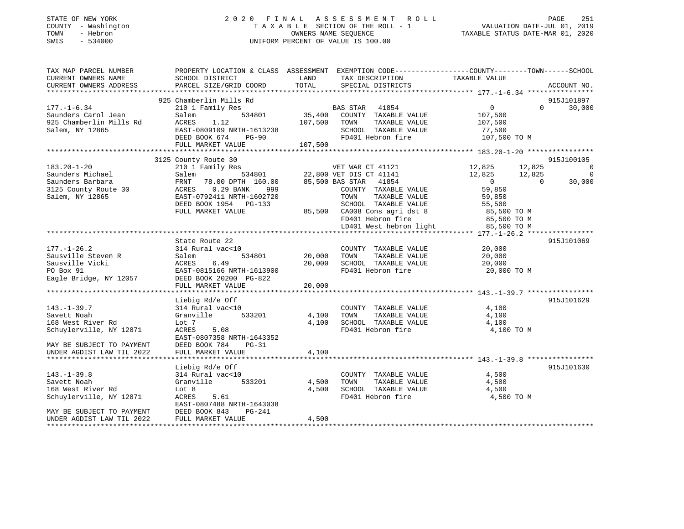| STATE OF NEW YORK<br>- Washington<br>COUNTY<br>- Hebron<br>TOWN<br>$-534000$<br>SWIS | 2020                                         | FINAL<br>TAXABLE   | A S S E S S M E N T<br>R O L L<br>SECTION OF THE ROLL - 1<br>OWNERS NAME SEOUENCE<br>UNIFORM PERCENT OF VALUE IS 100.00 | TAXABLE STATUS DATE-MAR 01, 2020 | PAGE<br>VALUATION DATE-JUL 01, 2019 | 251    |
|--------------------------------------------------------------------------------------|----------------------------------------------|--------------------|-------------------------------------------------------------------------------------------------------------------------|----------------------------------|-------------------------------------|--------|
| TAX MAP PARCEL NUMBER<br>CURRENT OWNERS NAME                                         | PROPERTY LOCATION & CLASS<br>SCHOOL DISTRICT | ASSESSMENT<br>LAND | EXEMPTION CODE-----------------COUNTY-------TOWN------SCHOOL<br>TAX DESCRIPTION                                         | TAXABLE VALUE                    |                                     |        |
| CURRENT OWNERS ADDRESS                                                               | PARCEL SIZE/GRID COORD                       | TOTAL              | SPECIAL DISTRICTS                                                                                                       |                                  | ACCOUNT NO.                         |        |
|                                                                                      | 925 Chamberlin Mills Rd                      |                    |                                                                                                                         |                                  | 915J101897                          |        |
| $177. - 1 - 6.34$                                                                    | 210 1 Family Res                             |                    | 41854<br>BAS STAR                                                                                                       | $\Omega$                         | $\Omega$                            | 30,000 |
| Saunders Carol Jean<br>925 Chamberlin Mills Rd                                       | 534801<br>Salem<br>1.12<br>ACRES             | 35,400<br>107,500  | COUNTY<br>TAXABLE VALUE<br>TOWN<br>TAXABLE VALUE                                                                        | 107,500<br>107,500               |                                     |        |

925 Chamberlin Mills Rd ACRES 1.12 107,500 TOWN TAXABLE VALUE 107,500 Salem, NY 12865 EAST-0809109 NRTH-1613238 SCHOOL TAXABLE VALUE 77,500

|                           | DEED BOOK 674<br>$PG-90$            |         | FD401 Hebron fire                             | 107,500 TO M             |            |
|---------------------------|-------------------------------------|---------|-----------------------------------------------|--------------------------|------------|
|                           | FULL MARKET VALUE                   | 107,500 |                                               |                          |            |
|                           | 3125 County Route 30                |         |                                               |                          | 915J100105 |
| $183.20 - 1 - 20$         | 210 1 Family Res                    |         | VET WAR CT 41121                              | 12,825<br>12,825         | 0          |
| Saunders Michael          | Salem<br>534801                     |         | 22,800 VET DIS CT 41141                       | 12,825<br>12,825         | $\Omega$   |
| Saunders Barbara          | FRNT<br>78.00 DPTH 160.00           |         | 85,500 BAS STAR<br>41854                      | $\mathbf{0}$<br>$\Omega$ | 30,000     |
| 3125 County Route 30      | 0.29 BANK<br>ACRES<br>999           |         | COUNTY TAXABLE VALUE                          | 59,850                   |            |
| Salem, NY 12865           | EAST-0792411 NRTH-1602720           |         | TAXABLE VALUE<br>TOWN                         | 59,850                   |            |
|                           | DEED BOOK 1954 PG-133               |         | SCHOOL TAXABLE VALUE                          | 55,500                   |            |
|                           | FULL MARKET VALUE                   | 85,500  | CA008 Cons agri dst 8                         | 85,500 TO M              |            |
|                           |                                     |         | FD401 Hebron fire                             | 85,500 TO M              |            |
|                           |                                     |         | LD401 West hebron light                       | 85,500 TO M              |            |
|                           | State Route 22                      |         |                                               |                          | 915J101069 |
| $177. - 1 - 26.2$         | 314 Rural vac<10                    |         | COUNTY TAXABLE VALUE                          | 20,000                   |            |
| Sausville Steven R        | Salem<br>534801                     | 20,000  | TAXABLE VALUE<br>TOWN                         | 20,000                   |            |
| Sausville Vicki           | 6.49<br>ACRES                       | 20,000  | SCHOOL TAXABLE VALUE                          | 20,000                   |            |
| PO Box 91                 | EAST-0815166 NRTH-1613900           |         | FD401 Hebron fire                             | 20,000 TO M              |            |
| Eagle Bridge, NY 12057    | DEED BOOK 20200 PG-822              |         |                                               |                          |            |
|                           | FULL MARKET VALUE                   | 20,000  |                                               |                          |            |
|                           |                                     |         |                                               |                          |            |
|                           | Liebig Rd/e Off                     |         |                                               |                          | 915J101629 |
| $143. - 1 - 39.7$         | 314 Rural vac<10                    |         | COUNTY TAXABLE VALUE                          | 4,100                    |            |
| Savett Noah               | Granville<br>533201                 | 4,100   | TOWN<br>TAXABLE VALUE                         | 4,100                    |            |
| 168 West River Rd         | Lot 7                               | 4,100   | SCHOOL TAXABLE VALUE                          | 4,100                    |            |
| Schuylerville, NY 12871   | <b>ACRES</b><br>5.08                |         | FD401 Hebron fire                             | 4,100 TO M               |            |
|                           | EAST-0807358 NRTH-1643352           |         |                                               |                          |            |
| MAY BE SUBJECT TO PAYMENT | DEED BOOK 784<br>$PG-31$            |         |                                               |                          |            |
| UNDER AGDIST LAW TIL 2022 | FULL MARKET VALUE                   | 4,100   |                                               |                          |            |
|                           |                                     |         |                                               |                          |            |
| $143. - 1 - 39.8$         | Liebig Rd/e Off<br>314 Rural vac<10 |         |                                               | 4,500                    | 915J101630 |
| Savett Noah               | Granville<br>533201                 | 4,500   | COUNTY TAXABLE VALUE<br>TOWN<br>TAXABLE VALUE | 4,500                    |            |
| 168 West River Rd         | Lot 8                               | 4,500   | SCHOOL TAXABLE VALUE                          | 4,500                    |            |
| Schuylerville, NY 12871   | <b>ACRES</b><br>5.61                |         | FD401 Hebron fire                             | 4,500 TO M               |            |
|                           | EAST-0807488 NRTH-1643038           |         |                                               |                          |            |
| MAY BE SUBJECT TO PAYMENT | DEED BOOK 843<br>PG-241             |         |                                               |                          |            |
| UNDER AGDIST LAW TIL 2022 | FULL MARKET VALUE                   | 4,500   |                                               |                          |            |
|                           |                                     |         |                                               |                          |            |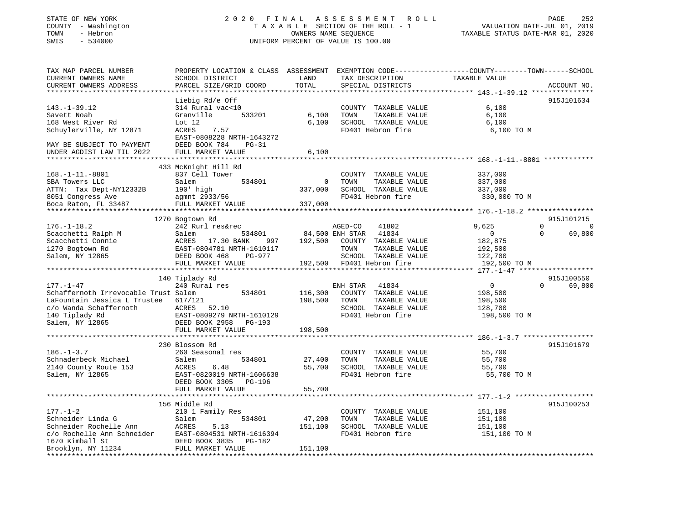# STATE OF NEW YORK 2 0 2 0 F I N A L A S S E S S M E N T R O L L PAGE 252 COUNTY - Washington T A X A B L E SECTION OF THE ROLL - 1 VALUATION DATE-JUL 01, 2019 TOWN - Hebron OWNERS NAME SEQUENCE TAXABLE STATUS DATE-MAR 01, 2020 SWIS - 534000 UNIFORM PERCENT OF VALUE IS 100.00

| TAX MAP PARCEL NUMBER<br>CURRENT OWNERS NAME<br>CURRENT OWNERS ADDRESS | PROPERTY LOCATION & CLASS ASSESSMENT<br>SCHOOL DISTRICT<br>PARCEL SIZE/GRID COORD | LAND<br>TOTAL | TAX DESCRIPTION<br>SPECIAL DISTRICTS | EXEMPTION CODE-----------------COUNTY-------TOWN------SCHOOL<br>TAXABLE VALUE | ACCOUNT NO.                |
|------------------------------------------------------------------------|-----------------------------------------------------------------------------------|---------------|--------------------------------------|-------------------------------------------------------------------------------|----------------------------|
|                                                                        |                                                                                   |               |                                      |                                                                               |                            |
|                                                                        | Liebig Rd/e Off                                                                   |               |                                      |                                                                               | 915J101634                 |
| $143. - 1 - 39.12$                                                     | 314 Rural vac<10                                                                  |               | COUNTY TAXABLE VALUE                 | 6,100                                                                         |                            |
| Savett Noah                                                            | Granville<br>533201                                                               | 6,100         | TOWN<br>TAXABLE VALUE                | 6,100                                                                         |                            |
| 168 West River Rd                                                      | Lot $12$                                                                          | 6,100         | SCHOOL TAXABLE VALUE                 | 6,100                                                                         |                            |
| Schuylerville, NY 12871                                                | ACRES<br>7.57                                                                     |               | FD401 Hebron fire                    | 6,100 TO M                                                                    |                            |
|                                                                        | EAST-0808228 NRTH-1643272                                                         |               |                                      |                                                                               |                            |
| MAY BE SUBJECT TO PAYMENT                                              | DEED BOOK 784<br>$PG-31$                                                          |               |                                      |                                                                               |                            |
| UNDER AGDIST LAW TIL 2022                                              | FULL MARKET VALUE                                                                 | 6,100         |                                      |                                                                               |                            |
|                                                                        | ********************                                                              |               |                                      | ********************************* 168.-1-11.-8801                             |                            |
|                                                                        | 433 McKnight Hill Rd                                                              |               |                                      |                                                                               |                            |
| $168. - 1 - 11. - 8801$                                                | 837 Cell Tower                                                                    |               | COUNTY TAXABLE VALUE                 | 337,000                                                                       |                            |
| SBA Towers LLC                                                         | Salem<br>534801                                                                   | 0             | TOWN<br>TAXABLE VALUE                | 337,000                                                                       |                            |
| ATTN: Tax Dept-NY12332B                                                | 190' high                                                                         | 337,000       | SCHOOL TAXABLE VALUE                 | 337,000                                                                       |                            |
| 8051 Congress Ave                                                      | agmnt 2933/56                                                                     |               | FD401 Hebron fire                    | 330,000 TO M                                                                  |                            |
| Boca Raton, FL 33487                                                   | FULL MARKET VALUE                                                                 | 337,000       |                                      |                                                                               |                            |
|                                                                        |                                                                                   |               |                                      |                                                                               |                            |
|                                                                        | 1270 Bogtown Rd                                                                   |               |                                      |                                                                               | 915J101215                 |
| $176. - 1 - 18.2$                                                      | 242 Rurl res&rec                                                                  |               | 41802<br>AGED-CO                     | 9,625                                                                         | $\Omega$<br>$\overline{0}$ |
| Scacchetti Ralph M                                                     | Salem<br>534801                                                                   |               | 84,500 ENH STAR<br>41834             | $\overline{0}$                                                                | $\Omega$<br>69,800         |
| Scacchetti Connie                                                      | ACRES<br>17.30 BANK<br>997                                                        | 192,500       | COUNTY TAXABLE VALUE                 | 182,875                                                                       |                            |
| 1270 Bogtown Rd                                                        | EAST-0804781 NRTH-1610117                                                         |               | TOWN<br>TAXABLE VALUE                | 192,500                                                                       |                            |
| Salem, NY 12865                                                        | DEED BOOK 468<br>PG-977                                                           |               | SCHOOL TAXABLE VALUE                 | 122,700                                                                       |                            |
|                                                                        | FULL MARKET VALUE                                                                 | 192,500       | FD401 Hebron fire                    | 192,500 TO M<br>***** 177.-1-47 ******                                        |                            |
|                                                                        |                                                                                   |               |                                      |                                                                               | 915J100550                 |
| $177. - 1 - 47$                                                        | 140 Tiplady Rd<br>240 Rural res                                                   |               | ENH STAR<br>41834                    | $\overline{0}$                                                                | $\Omega$<br>69,800         |
| Schaffernoth Irrevocable Trust Salem                                   | 534801                                                                            | 116,300       | COUNTY TAXABLE VALUE                 | 198,500                                                                       |                            |
| LaFountain Jessica L Trustee                                           | 617/121                                                                           | 198,500       | TOWN<br>TAXABLE VALUE                | 198,500                                                                       |                            |
| c/o Wanda Schaffernoth                                                 | 52.10<br>ACRES                                                                    |               | SCHOOL TAXABLE VALUE                 | 128,700                                                                       |                            |
| 140 Tiplady Rd                                                         | EAST-0809279 NRTH-1610129                                                         |               | FD401 Hebron fire                    | 198,500 TO M                                                                  |                            |
| Salem, NY 12865                                                        | DEED BOOK 2958<br>$PG-193$                                                        |               |                                      |                                                                               |                            |
|                                                                        | FULL MARKET VALUE                                                                 | 198,500       |                                      |                                                                               |                            |
|                                                                        | *********************                                                             |               |                                      | ·****************************** 186.-1-3.7 *****                              |                            |
|                                                                        | 230 Blossom Rd                                                                    |               |                                      |                                                                               | 915J101679                 |
| $186. - 1 - 3.7$                                                       | 260 Seasonal res                                                                  |               | COUNTY TAXABLE VALUE                 | 55,700                                                                        |                            |
| Schnaderbeck Michael                                                   | Salem<br>534801                                                                   | 27,400        | TAXABLE VALUE<br>TOWN                | 55,700                                                                        |                            |
| 2140 County Route 153                                                  | ACRES<br>6.48                                                                     | 55,700        | SCHOOL TAXABLE VALUE                 | 55,700                                                                        |                            |
| Salem, NY 12865                                                        | EAST-0820019 NRTH-1606638                                                         |               | FD401 Hebron fire                    | 55,700 TO M                                                                   |                            |
|                                                                        | DEED BOOK 3305<br>PG-196                                                          |               |                                      |                                                                               |                            |
|                                                                        | FULL MARKET VALUE                                                                 | 55,700        |                                      |                                                                               |                            |
|                                                                        | ***********************                                                           |               |                                      | ************************* 177._1_2 ********************                       |                            |
|                                                                        | 156 Middle Rd                                                                     |               |                                      |                                                                               | 915J100253                 |
| $177. - 1 - 2$                                                         | 210 1 Family Res                                                                  |               | COUNTY TAXABLE VALUE                 | 151,100                                                                       |                            |
| Schneider Linda G                                                      | Salem<br>534801                                                                   | 47,200        | TOWN<br>TAXABLE VALUE                | 151,100                                                                       |                            |
| Schneider Rochelle Ann                                                 | ACRES<br>5.13                                                                     | 151,100       | SCHOOL TAXABLE VALUE                 | 151,100                                                                       |                            |
| c/o Rochelle Ann Schneider                                             | EAST-0804531 NRTH-1616394                                                         |               | FD401 Hebron fire                    | 151,100 TO M                                                                  |                            |
| 1670 Kimball St                                                        | DEED BOOK 3835<br>PG-182                                                          |               |                                      |                                                                               |                            |
| Brooklyn, NY 11234                                                     | FULL MARKET VALUE                                                                 | 151,100       |                                      |                                                                               |                            |
|                                                                        |                                                                                   |               |                                      |                                                                               |                            |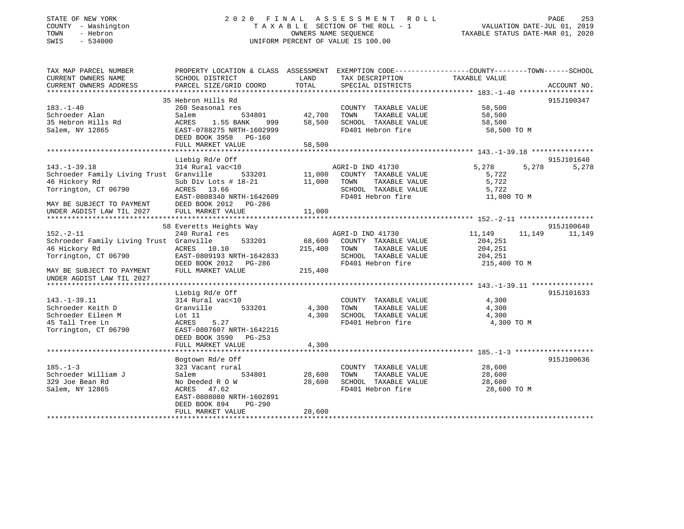# STATE OF NEW YORK 2 0 2 0 F I N A L A S S E S S M E N T R O L L PAGE 253 COUNTY - Washington T A X A B L E SECTION OF THE ROLL - 1 VALUATION DATE-JUL 01, 2019 TOWN - Hebron OWNERS NAME SEQUENCE TAXABLE STATUS DATE-MAR 01, 2020 SWIS - 534000 UNIFORM PERCENT OF VALUE IS 100.00

| TAX MAP PARCEL NUMBER<br>CURRENT OWNERS NAME                                                                                                                     | PROPERTY LOCATION & CLASS ASSESSMENT EXEMPTION CODE---------------COUNTY-------TOWN------SCHOOL<br>SCHOOL DISTRICT                                                        | LAND                         | TAX DESCRIPTION                                                                                                | TAXABLE VALUE                                            |                 |
|------------------------------------------------------------------------------------------------------------------------------------------------------------------|---------------------------------------------------------------------------------------------------------------------------------------------------------------------------|------------------------------|----------------------------------------------------------------------------------------------------------------|----------------------------------------------------------|-----------------|
| CURRENT OWNERS ADDRESS                                                                                                                                           | PARCEL SIZE/GRID COORD                                                                                                                                                    | TOTAL                        | SPECIAL DISTRICTS                                                                                              |                                                          | ACCOUNT NO.     |
|                                                                                                                                                                  | 35 Hebron Hills Rd                                                                                                                                                        |                              |                                                                                                                |                                                          | 915J100347      |
| $183. - 1 - 40$<br>Schroeder Alan<br>35 Hebron Hills Rd<br>Salem, NY 12865                                                                                       | 260 Seasonal res<br>534801<br>Salem<br>ACRES<br>1.55 BANK<br>999<br>EAST-0788275 NRTH-1602999<br>DEED BOOK 3958 PG-160<br>FULL MARKET VALUE                               | 42,700<br>58,500<br>58,500   | COUNTY TAXABLE VALUE<br>TOWN<br>TAXABLE VALUE<br>SCHOOL TAXABLE VALUE<br>FD401 Hebron fire                     | 58,500<br>58,500<br>58,500<br>58,500 TO M                |                 |
|                                                                                                                                                                  | Liebig Rd/e Off                                                                                                                                                           |                              |                                                                                                                |                                                          | 915J101640      |
| $143. - 1 - 39.18$<br>Schroeder Family Living Trust Granville<br>46 Hickory Rd<br>Torrington, CT 06790<br>MAY BE SUBJECT TO PAYMENT<br>UNDER AGDIST LAW TIL 2027 | 314 Rural vac<10<br>533201<br>Sub Div Lots $# 18-21$<br>ACRES 13.66<br>EAST-0808340 NRTH-1642609<br>DEED BOOK 2012 PG-286<br>FULL MARKET VALUE                            | 11,000<br>11,000<br>11,000   | AGRI-D IND 41730<br>COUNTY TAXABLE VALUE<br>TAXABLE VALUE<br>TOWN<br>SCHOOL TAXABLE VALUE<br>FD401 Hebron fire | 5,278<br>5,278<br>5,722<br>5,722<br>5,722<br>11,000 TO M | 5,278           |
|                                                                                                                                                                  | 58 Everetts Heights Way                                                                                                                                                   |                              |                                                                                                                |                                                          | 915J100640      |
| $152. - 2 - 11$<br>Schroeder Family Living Trust Granville<br>46 Hickory Rd<br>Torrington, CT 06790<br>MAY BE SUBJECT TO PAYMENT<br>UNDER AGDIST LAW TIL 2027    | 240 Rural res<br>533201<br>ACRES 10.10<br>EAST-0809193 NRTH-1642833<br>DEED BOOK 2012    PG-286<br>FULL MARKET VALUE                                                      | 68,600<br>215,400<br>215,400 | AGRI-D IND 41730<br>COUNTY TAXABLE VALUE<br>TAXABLE VALUE<br>TOWN<br>SCHOOL TAXABLE VALUE<br>FD401 Hebron fire | 11,149<br>204,251<br>204,251<br>204,251<br>215,400 TO M  | 11, 149 11, 149 |
|                                                                                                                                                                  |                                                                                                                                                                           |                              |                                                                                                                |                                                          |                 |
| $143. - 1 - 39.11$<br>Schroeder Keith D<br>Schroeder Eileen M<br>45 Tall Tree Ln<br>Torrington, CT 06790                                                         | Liebig Rd/e Off<br>314 Rural vac<10<br>533201<br>Granville<br>Lot $11$<br>ACRES<br>5.27<br>EAST-0807607 NRTH-1642215<br>DEED BOOK 3590 PG-253                             | 4,300<br>4,300               | COUNTY TAXABLE VALUE<br>TOWN<br>TAXABLE VALUE<br>SCHOOL TAXABLE VALUE<br>FD401 Hebron fire                     | 4,300<br>4,300<br>4,300<br>4,300 TO M                    | 915J101633      |
|                                                                                                                                                                  | FULL MARKET VALUE                                                                                                                                                         | 4,300                        |                                                                                                                |                                                          |                 |
| $185. - 1 - 3$<br>Schroeder William J<br>329 Joe Bean Rd<br>Salem, NY 12865                                                                                      | Bogtown Rd/e Off<br>323 Vacant rural<br>534801<br>Salem<br>No Deeded R O W<br>47.62<br>ACRES<br>EAST-0808080 NRTH-1602891<br>DEED BOOK 894<br>PG-290<br>FULL MARKET VALUE | 28,600<br>28,600<br>28,600   | COUNTY TAXABLE VALUE<br>TOWN<br>TAXABLE VALUE<br>SCHOOL TAXABLE VALUE<br>FD401 Hebron fire                     | 28,600<br>28,600<br>28,600<br>28,600 TO M                | 915J100636      |
|                                                                                                                                                                  |                                                                                                                                                                           |                              |                                                                                                                |                                                          |                 |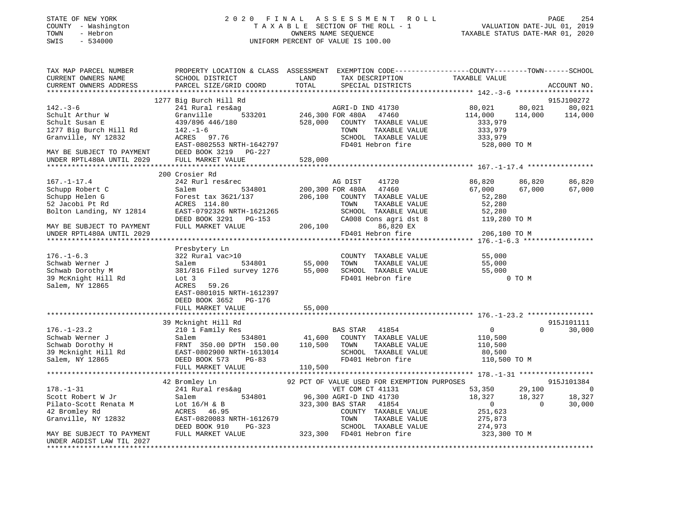# STATE OF NEW YORK 2 0 2 0 F I N A L A S S E S S M E N T R O L L PAGE 254 COUNTY - Washington T A X A B L E SECTION OF THE ROLL - 1 VALUATION DATE-JUL 01, 2019 TOWN - Hebron OWNERS NAME SEQUENCE TAXABLE STATUS DATE-MAR 01, 2020 SWIS - 534000 UNIFORM PERCENT OF VALUE IS 100.00

| TAX MAP PARCEL NUMBER<br>CURRENT OWNERS NAME                                                                                                                                                                                         | PROPERTY LOCATION & CLASS ASSESSMENT EXEMPTION CODE----------------COUNTY-------TOWN-----SCHOOL<br>SCHOOL DISTRICT | LAND<br>TOTAL                | TAX DESCRIPTION                             | TAXABLE VALUE      |          |                          |
|--------------------------------------------------------------------------------------------------------------------------------------------------------------------------------------------------------------------------------------|--------------------------------------------------------------------------------------------------------------------|------------------------------|---------------------------------------------|--------------------|----------|--------------------------|
| CURRENT OWNERS ADDRESS                                                                                                                                                                                                               | PARCEL SIZE/GRID COORD                                                                                             |                              | SPECIAL DISTRICTS                           |                    |          | ACCOUNT NO.              |
|                                                                                                                                                                                                                                      | 1277 Big Burch Hill Rd                                                                                             |                              |                                             |                    |          | 915J100272               |
| $142. - 3 - 6$                                                                                                                                                                                                                       | 241 Rural res&ag                                                                                                   |                              | AGRI-D IND 41730                            | 80,021             | 80,021   | 80,021                   |
| Schult Arthur W                                                                                                                                                                                                                      | Granville                                                                                                          | a<br>533201 146,300 FOR 480A | 47460                                       | 114,000            | 114,000  | 114,000                  |
| Schult Susan E                                                                                                                                                                                                                       | 439/896 446/180                                                                                                    | 528,000                      | COUNTY TAXABLE VALUE                        | 333,979            |          |                          |
| 1277 Big Burch Hill Rd                                                                                                                                                                                                               | $142. - 1 - 6$                                                                                                     |                              | TOWN<br>TAXABLE VALUE                       | 333,979            |          |                          |
| Granville, NY 12832                                                                                                                                                                                                                  | ACRES 97.76                                                                                                        |                              | SCHOOL TAXABLE VALUE                        | 333,979            |          |                          |
|                                                                                                                                                                                                                                      | EAST-0802553 NRTH-1642797                                                                                          |                              | FD401 Hebron fire                           | 528,000 TO M       |          |                          |
|                                                                                                                                                                                                                                      | DEED BOOK 3219 PG-227                                                                                              |                              |                                             |                    |          |                          |
| MAY BE SUBJECT TO PAYMENT<br>UNDER RPTL480A UNTIL 2029                                                                                                                                                                               | FULL MARKET VALUE                                                                                                  | 528,000                      |                                             |                    |          |                          |
|                                                                                                                                                                                                                                      |                                                                                                                    |                              |                                             |                    |          |                          |
|                                                                                                                                                                                                                                      | 200 Crosier Rd                                                                                                     |                              |                                             |                    |          |                          |
| $167. - 1 - 17.4$                                                                                                                                                                                                                    | 242 Rurl res&rec                                                                                                   |                              | AG DIST 41720                               | 86,820             | 86,820   | 86,820                   |
| Schupp Robert C                                                                                                                                                                                                                      | Salem                                                                                                              |                              | 534801 200,300 FOR 480A 47460               | 67,000             | 67,000   | 67,000                   |
| Schupp Helen G                                                                                                                                                                                                                       | Forest tax 3621/137                                                                                                |                              | 206,100 COUNTY TAXABLE VALUE                | 52,280             |          |                          |
| 52 Jacobi Pt Rd                                                                                                                                                                                                                      | ACRES 114.80                                                                                                       |                              | TOWN<br>TAXABLE VALUE                       | 52,280             |          |                          |
| Bolton Landing, NY 12814                                                                                                                                                                                                             | EAST-0792326 NRTH-1621265                                                                                          |                              | SCHOOL TAXABLE VALUE                        | 52,280             |          |                          |
|                                                                                                                                                                                                                                      | DEED BOOK 3291 PG-153                                                                                              |                              | CA008 Cons agri dst 8                       | 119,280 TO M       |          |                          |
| MAY BE SUBJECT TO PAYMENT                                                                                                                                                                                                            | FULL MARKET VALUE                                                                                                  | 206,100                      | 86,820 EX                                   |                    |          |                          |
| UNDER RPTL480A UNTIL 2029                                                                                                                                                                                                            |                                                                                                                    |                              | FD401 Hebron fire                           | 206,100 TO M       |          |                          |
|                                                                                                                                                                                                                                      |                                                                                                                    |                              |                                             |                    |          |                          |
|                                                                                                                                                                                                                                      | Presbytery Ln                                                                                                      |                              |                                             |                    |          |                          |
| $176. - 1 - 6.3$                                                                                                                                                                                                                     | 322 Rural vac>10                                                                                                   |                              | COUNTY TAXABLE VALUE                        | 55,000             |          |                          |
| Schwab Werner J                                                                                                                                                                                                                      |                                                                                                                    | 55,000                       |                                             | 55,000             |          |                          |
| Schwab Dorothy M                                                                                                                                                                                                                     | Salem 534801 55,000 TOWN TAXABLE VALUE<br>381/816 Filed survey 1276 55,000 SCHOOL TAXABLE VALUE                    |                              |                                             | 55,000             |          |                          |
| 39 McKnight Hill Rd                                                                                                                                                                                                                  | Lot 3                                                                                                              |                              | FD401 Hebron fire                           |                    | 0 TO M   |                          |
| Salem, NY 12865                                                                                                                                                                                                                      | 59.26<br>ACRES                                                                                                     |                              |                                             |                    |          |                          |
|                                                                                                                                                                                                                                      | EAST-0801015 NRTH-1612397                                                                                          |                              |                                             |                    |          |                          |
|                                                                                                                                                                                                                                      | DEED BOOK 3652 PG-176                                                                                              |                              |                                             |                    |          |                          |
|                                                                                                                                                                                                                                      | FULL MARKET VALUE                                                                                                  | 55,000                       |                                             |                    |          |                          |
|                                                                                                                                                                                                                                      |                                                                                                                    |                              |                                             |                    |          |                          |
|                                                                                                                                                                                                                                      | 39 Mcknight Hill Rd                                                                                                |                              |                                             |                    |          | 915J101111               |
| $176. - 1 - 23.2$                                                                                                                                                                                                                    | 210 1 Family Res                                                                                                   |                              | BAS STAR 41854                              | $\overline{0}$     | $\Omega$ | 30,000                   |
|                                                                                                                                                                                                                                      |                                                                                                                    |                              |                                             | 110,500<br>110,500 |          |                          |
| 176.-1-23.2 210 1 Family Res BAS STAR 41854<br>Schwab Werner J Salem 534801 41,600 COUNTY TAXABLE VALUE<br>Schwab Dorothy H FRNT 350.00 DPTH 150.00 110,500 TOWN TAXABLE VALUE<br>39 Mcknight Hill Rd EAST-0802900 NRTH-1613014 SCHO |                                                                                                                    |                              |                                             |                    |          |                          |
|                                                                                                                                                                                                                                      |                                                                                                                    |                              |                                             | 80,500             |          |                          |
|                                                                                                                                                                                                                                      |                                                                                                                    |                              |                                             | 110,500 TO M       |          |                          |
|                                                                                                                                                                                                                                      | FULL MARKET VALUE                                                                                                  | 110,500                      |                                             |                    |          |                          |
|                                                                                                                                                                                                                                      |                                                                                                                    |                              |                                             |                    |          |                          |
|                                                                                                                                                                                                                                      | 42 Bromley Ln                                                                                                      |                              | 92 PCT OF VALUE USED FOR EXEMPTION PURPOSES |                    |          | 915J101384               |
| $178. - 1 - 31$                                                                                                                                                                                                                      | 241 Rural res&ag                                                                                                   |                              | VET COM CT 41131                            | 53,350             | 29,100   | $\overline{\phantom{0}}$ |
| Scott Robert W Jr                                                                                                                                                                                                                    | Salem                                                                                                              |                              | 534801 96,300 AGRI-D IND 41730              | 18,327             | 18,327   | 18,327                   |
| Pilato-Scott Renata M                                                                                                                                                                                                                | Lot $16/H$ & B<br>poppe $46.95$                                                                                    |                              | 323,300 BAS STAR 41854                      | $\overline{0}$     | $\Omega$ | 30,000                   |
| 42 Bromley Rd                                                                                                                                                                                                                        | ACRES<br>46.95                                                                                                     |                              | COUNTY TAXABLE VALUE                        | 251,623            |          |                          |
| Granville, NY 12832                                                                                                                                                                                                                  | EAST-0820083 NRTH-1612679                                                                                          |                              | TAXABLE VALUE<br>TOWN                       | 275,873            |          |                          |
|                                                                                                                                                                                                                                      | DEED BOOK 910<br>PG-323                                                                                            |                              | SCHOOL TAXABLE VALUE                        | 274,973            |          |                          |
| MAY BE SUBJECT TO PAYMENT                                                                                                                                                                                                            | FULL MARKET VALUE                                                                                                  |                              | 323,300 FD401 Hebron fire                   | 323,300 TO M       |          |                          |
| UNDER AGDIST LAW TIL 2027                                                                                                                                                                                                            |                                                                                                                    |                              |                                             |                    |          |                          |
|                                                                                                                                                                                                                                      |                                                                                                                    |                              |                                             |                    |          |                          |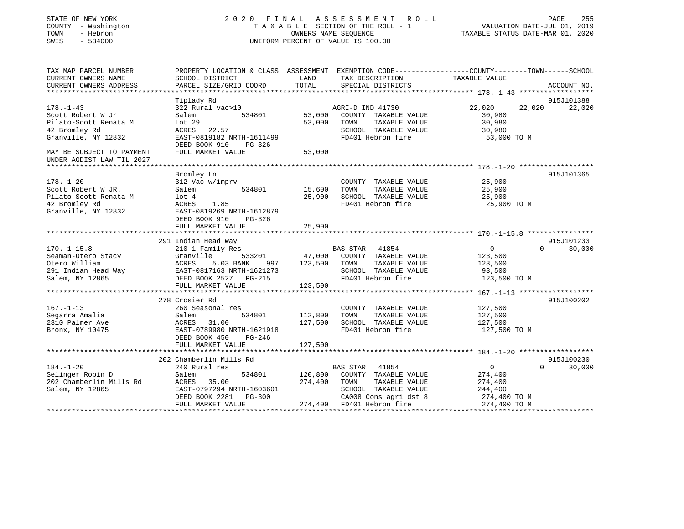| STATE OF NEW YORK<br>COUNTY - Washington<br>TOWN<br>- Hebron<br>SWIS<br>$-534000$ |                                                                                                | 2020 FINAL ASSESSMENT<br>OWNERS NAME SEQUENCE<br>UNIFORM PERCENT OF VALUE IS 100.00 | ROLL<br>TAXABLE SECTION OF THE ROLL - 1       | VALUATION DATE-JUL 01, 2019<br>TAXABLE STATUS DATE-MAR 01, 2020 | PAGE<br>255        |
|-----------------------------------------------------------------------------------|------------------------------------------------------------------------------------------------|-------------------------------------------------------------------------------------|-----------------------------------------------|-----------------------------------------------------------------|--------------------|
| TAX MAP PARCEL NUMBER                                                             | PROPERTY LOCATION & CLASS ASSESSMENT EXEMPTION CODE---------------COUNTY-------TOWN-----SCHOOL | LAND                                                                                |                                               | TAXABLE VALUE                                                   |                    |
| CURRENT OWNERS NAME<br>CURRENT OWNERS ADDRESS                                     | SCHOOL DISTRICT<br>PARCEL SIZE/GRID COORD                                                      | TOTAL                                                                               | TAX DESCRIPTION<br>SPECIAL DISTRICTS          |                                                                 | ACCOUNT NO.        |
|                                                                                   |                                                                                                |                                                                                     |                                               |                                                                 |                    |
|                                                                                   | Tiplady Rd                                                                                     |                                                                                     |                                               |                                                                 | 915J101388         |
| $178. - 1 - 43$                                                                   | 322 Rural vac>10                                                                               |                                                                                     | AGRI-D IND 41730                              | 22,020<br>22,020                                                | 22,020             |
| Scott Robert W Jr                                                                 | 534801<br>Salem                                                                                | 53,000                                                                              | COUNTY TAXABLE VALUE                          | 30,980                                                          |                    |
| Pilato-Scott Renata M<br>42 Bromley Rd                                            | Lot 29<br>ACRES<br>22.57                                                                       | 53,000                                                                              | TOWN<br>TAXABLE VALUE<br>SCHOOL TAXABLE VALUE | 30,980<br>30,980                                                |                    |
| Granville, NY 12832                                                               | EAST-0819182 NRTH-1611499                                                                      |                                                                                     | FD401 Hebron fire                             | 53,000 TO M                                                     |                    |
|                                                                                   | DEED BOOK 910<br>PG-326                                                                        |                                                                                     |                                               |                                                                 |                    |
| MAY BE SUBJECT TO PAYMENT<br>UNDER AGDIST LAW TIL 2027                            | FULL MARKET VALUE                                                                              | 53,000                                                                              |                                               |                                                                 |                    |
| *********************                                                             |                                                                                                |                                                                                     |                                               |                                                                 |                    |
|                                                                                   | Bromley Ln                                                                                     |                                                                                     |                                               |                                                                 | 915J101365         |
| $178. - 1 - 20$<br>Scott Robert W JR.                                             | 312 Vac w/imprv<br>534801<br>Salem                                                             | 15,600                                                                              | COUNTY TAXABLE VALUE<br>TOWN<br>TAXABLE VALUE | 25,900<br>25,900                                                |                    |
| Pilato-Scott Renata M                                                             | $1$ ot $4$                                                                                     | 25,900                                                                              | SCHOOL TAXABLE VALUE                          | 25,900                                                          |                    |
| 42 Bromley Rd                                                                     | 1.85<br>ACRES                                                                                  |                                                                                     | FD401 Hebron fire                             | 25,900 TO M                                                     |                    |
| Granville, NY 12832                                                               | EAST-0819269 NRTH-1612879                                                                      |                                                                                     |                                               |                                                                 |                    |
|                                                                                   | DEED BOOK 910<br>$PG-326$                                                                      |                                                                                     |                                               |                                                                 |                    |
|                                                                                   | FULL MARKET VALUE                                                                              | 25,900                                                                              |                                               |                                                                 |                    |
|                                                                                   |                                                                                                | * * * * * * * * * * * *                                                             |                                               |                                                                 | 915J101233         |
| $170. - 1 - 15.8$                                                                 | 291 Indian Head Way<br>210 1 Family Res                                                        |                                                                                     | BAS STAR<br>41854                             | $\overline{0}$                                                  | 30,000<br>$\Omega$ |
| Seaman-Otero Stacy                                                                | Granville<br>533201                                                                            | 47,000                                                                              | COUNTY TAXABLE VALUE                          | 123,500                                                         |                    |
| Otero William                                                                     | ACRES<br>5.03 BANK<br>997                                                                      | 123,500                                                                             | TOWN<br>TAXABLE VALUE                         | 123,500                                                         |                    |
| 291 Indian Head Way                                                               | EAST-0817163 NRTH-1621273                                                                      |                                                                                     | SCHOOL TAXABLE VALUE                          | 93,500                                                          |                    |
| Salem, NY 12865                                                                   | DEED BOOK 2527 PG-215                                                                          |                                                                                     | FD401 Hebron fire                             | 123,500 TO M                                                    |                    |
|                                                                                   | FULL MARKET VALUE                                                                              | 123,500                                                                             |                                               |                                                                 |                    |
|                                                                                   | 278 Crosier Rd                                                                                 |                                                                                     |                                               |                                                                 | 915J100202         |
| $167. - 1 - 13$                                                                   | 260 Seasonal res                                                                               |                                                                                     | COUNTY TAXABLE VALUE                          | 127,500                                                         |                    |
| Segarra Amalia                                                                    | Salem<br>534801                                                                                | 112,800                                                                             | TAXABLE VALUE<br>TOWN                         | 127,500                                                         |                    |
| 2310 Palmer Ave                                                                   | ACRES<br>31.00                                                                                 | 127,500                                                                             | SCHOOL TAXABLE VALUE                          | 127,500                                                         |                    |
| Bronx, NY 10475                                                                   | EAST-0789980 NRTH-1621918                                                                      |                                                                                     | FD401 Hebron fire                             | 127,500 TO M                                                    |                    |
|                                                                                   | DEED BOOK 450<br>PG-246                                                                        |                                                                                     |                                               |                                                                 |                    |
|                                                                                   | FULL MARKET VALUE                                                                              | 127,500                                                                             |                                               |                                                                 |                    |
|                                                                                   | 202 Chamberlin Mills Rd                                                                        |                                                                                     |                                               |                                                                 | 915J100230         |
| $184. - 1 - 20$                                                                   | 240 Rural res                                                                                  |                                                                                     | <b>BAS STAR</b><br>41854                      | $\overline{0}$                                                  | $\Omega$<br>30,000 |
| Selinger Robin D                                                                  | Salem<br>534801                                                                                | 120,800                                                                             | COUNTY TAXABLE VALUE                          | 274,400                                                         |                    |
| 202 Chamberlin Mills Rd                                                           | ACRES<br>35.00                                                                                 | 274,400                                                                             | TOWN<br>TAXABLE VALUE                         | 274,400                                                         |                    |
| Salem, NY 12865                                                                   | EAST-0797294 NRTH-1603601                                                                      |                                                                                     | SCHOOL TAXABLE VALUE                          | 244,400                                                         |                    |
|                                                                                   | DEED BOOK 2281<br>PG-300                                                                       |                                                                                     | CA008 Cons agri dst 8                         | 274,400 TO M                                                    |                    |
|                                                                                   | FULL MARKET VALUE                                                                              |                                                                                     | 274,400 FD401 Hebron fire                     | 274,400 TO M                                                    |                    |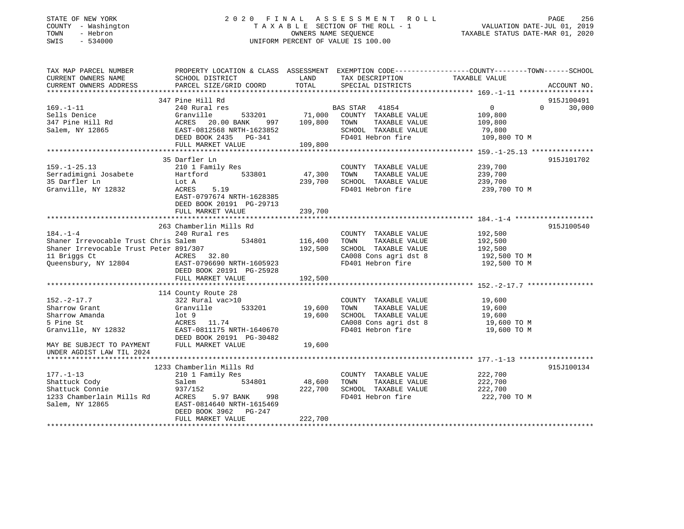# STATE OF NEW YORK 2 0 2 0 F I N A L A S S E S S M E N T R O L L PAGE 256 COUNTY - Washington T A X A B L E SECTION OF THE ROLL - 1 VALUATION DATE-JUL 01, 2019 TOWN - Hebron OWNERS NAME SEQUENCE TAXABLE STATUS DATE-MAR 01, 2020 SWIS - 534000 UNIFORM PERCENT OF VALUE IS 100.00

| TAX MAP PARCEL NUMBER                         | PROPERTY LOCATION & CLASS ASSESSMENT EXEMPTION CODE---------------COUNTY-------TOWN-----SCHOOL |               |                                      |               |          |             |
|-----------------------------------------------|------------------------------------------------------------------------------------------------|---------------|--------------------------------------|---------------|----------|-------------|
| CURRENT OWNERS NAME<br>CURRENT OWNERS ADDRESS | SCHOOL DISTRICT<br>PARCEL SIZE/GRID COORD                                                      | LAND<br>TOTAL | TAX DESCRIPTION<br>SPECIAL DISTRICTS | TAXABLE VALUE |          | ACCOUNT NO. |
|                                               |                                                                                                |               |                                      |               |          |             |
|                                               | 347 Pine Hill Rd                                                                               |               |                                      |               |          | 915J100491  |
| $169. - 1 - 11$                               | 240 Rural res                                                                                  |               | BAS STAR 41854                       | 0             | $\Omega$ | 30,000      |
| Sells Denice                                  | Granville<br>533201                                                                            | 71,000        | COUNTY TAXABLE VALUE                 | 109,800       |          |             |
| 347 Pine Hill Rd                              | ACRES<br>20.00 BANK<br>997                                                                     | 109,800       | TOWN<br>TAXABLE VALUE                | 109,800       |          |             |
| Salem, NY 12865                               | EAST-0812568 NRTH-1623852                                                                      |               | SCHOOL TAXABLE VALUE                 | 79,800        |          |             |
|                                               | DEED BOOK 2435 PG-341                                                                          |               | FD401 Hebron fire                    | 109,800 TO M  |          |             |
|                                               | FULL MARKET VALUE                                                                              | 109,800       |                                      |               |          |             |
|                                               |                                                                                                |               |                                      |               |          |             |
|                                               | 35 Darfler Ln                                                                                  |               |                                      |               |          | 915J101702  |
| $159. - 1 - 25.13$                            | 210 1 Family Res                                                                               |               | COUNTY TAXABLE VALUE                 | 239,700       |          |             |
| Serradimigni Josabete                         | Hartford<br>533801                                                                             | 47,300        | TAXABLE VALUE<br>TOWN                | 239,700       |          |             |
| 35 Darfler Ln                                 | Lot A                                                                                          | 239,700       | SCHOOL TAXABLE VALUE                 | 239,700       |          |             |
| Granville, NY 12832                           | ACRES<br>5.19                                                                                  |               | FD401 Hebron fire                    | 239,700 TO M  |          |             |
|                                               | EAST-0797674 NRTH-1628385                                                                      |               |                                      |               |          |             |
|                                               | DEED BOOK 20191 PG-29713                                                                       |               |                                      |               |          |             |
|                                               | FULL MARKET VALUE                                                                              | 239,700       |                                      |               |          |             |
|                                               |                                                                                                |               |                                      |               |          |             |
|                                               | 263 Chamberlin Mills Rd                                                                        |               |                                      |               |          | 915J100540  |
| $184. - 1 - 4$                                | 240 Rural res                                                                                  |               | COUNTY TAXABLE VALUE                 | 192,500       |          |             |
| Shaner Irrevocable Trust Chris Salem          | 534801                                                                                         | 116,400       | TAXABLE VALUE<br>TOWN                | 192,500       |          |             |
| Shaner Irrevocable Trust Peter 891/307        |                                                                                                | 192,500       | SCHOOL TAXABLE VALUE                 | 192,500       |          |             |
| 11 Briggs Ct                                  | ACRES 32.80                                                                                    |               | CA008 Cons agri dst 8                | 192,500 TO M  |          |             |
| Queensbury, NY 12804                          | EAST-0796690 NRTH-1605923                                                                      |               | FD401 Hebron fire                    | 192,500 TO M  |          |             |
|                                               | DEED BOOK 20191 PG-25928                                                                       |               |                                      |               |          |             |
|                                               | FULL MARKET VALUE                                                                              | 192,500       |                                      |               |          |             |
|                                               |                                                                                                |               |                                      |               |          |             |
|                                               | 114 County Route 28                                                                            |               |                                      |               |          |             |
| $152. - 2 - 17.7$                             | 322 Rural vac>10                                                                               |               | COUNTY TAXABLE VALUE                 | 19,600        |          |             |
| Sharrow Grant                                 | 533201<br>Granville                                                                            | 19,600        | TAXABLE VALUE<br>TOWN                | 19,600        |          |             |
| Sharrow Amanda                                | $1$ ot 9                                                                                       | 19,600        | SCHOOL TAXABLE VALUE                 | 19,600        |          |             |
| 5 Pine St                                     | ACRES 11.74                                                                                    |               | CA008 Cons agri dst 8                | 19,600 TO M   |          |             |
| Granville, NY 12832                           | EAST-0811175 NRTH-1640670                                                                      |               | FD401 Hebron fire                    | 19,600 TO M   |          |             |
|                                               | DEED BOOK 20191 PG-30482                                                                       |               |                                      |               |          |             |
| MAY BE SUBJECT TO PAYMENT                     | FULL MARKET VALUE                                                                              | 19,600        |                                      |               |          |             |
| UNDER AGDIST LAW TIL 2024                     |                                                                                                |               |                                      |               |          |             |
|                                               |                                                                                                |               |                                      |               |          |             |
|                                               | 1233 Chamberlin Mills Rd                                                                       |               |                                      |               |          | 915J100134  |
| $177. - 1 - 13$                               | 210 1 Family Res                                                                               |               | COUNTY TAXABLE VALUE                 | 222,700       |          |             |
| Shattuck Cody                                 | Salem<br>534801                                                                                | 48,600        | TOWN<br>TAXABLE VALUE                | 222,700       |          |             |
| Shattuck Connie                               | 937/152<br>998                                                                                 | 222,700       | SCHOOL TAXABLE VALUE                 | 222,700       |          |             |
| 1233 Chamberlain Mills Rd                     | 5.97 BANK<br>ACRES                                                                             |               | FD401 Hebron fire                    | 222,700 TO M  |          |             |
| Salem, NY 12865                               | EAST-0814640 NRTH-1615469                                                                      |               |                                      |               |          |             |
|                                               | DEED BOOK 3962 PG-247<br>FULL MARKET VALUE                                                     |               |                                      |               |          |             |
|                                               |                                                                                                | 222,700       |                                      |               |          |             |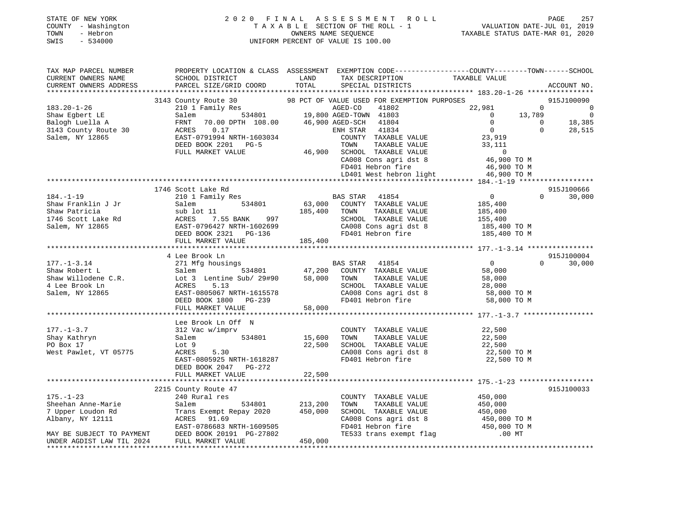|      | STATE OF NEW YORK   | 2020 FINAL ASSESSMENT ROLL         | 257<br>PAGE                      |
|------|---------------------|------------------------------------|----------------------------------|
|      | COUNTY - Washington | TAXABLE SECTION OF THE ROLL - 1    | VALUATION DATE-JUL 01, 2019      |
| TOWN | - Hebron            | OWNERS NAME SEOUENCE               | TAXABLE STATUS DATE-MAR 01, 2020 |
| SWIS | $-534000$           | UNIFORM PERCENT OF VALUE IS 100.00 |                                  |
|      |                     |                                    |                                  |
|      |                     |                                    |                                  |

| CURRENT OWNERS NAME<br>SCHOOL DISTRICT<br>LAND<br>TAXABLE VALUE<br>TAX DESCRIPTION<br>PARCEL SIZE/GRID COORD TOTAL<br>CURRENT OWNERS ADDRESS<br>SPECIAL DISTRICTS<br>ACCOUNT NO.<br>3143 County Route 30 98 PCT OF VALUE USED FOR EXEMPTION PURPOSES<br>210 1 Family Res 6 8GED-CO 41802 22.981<br>915J100090<br>$183.20 - 1 - 26$<br>$\overline{0}$<br>$\overline{0}$<br>Shaw Eqbert LE<br>13,789<br>$\overline{0}$<br>Salem<br>$\overline{0}$<br>18,385<br>$\bigcirc$<br>Balogh Luella A<br>FRNT<br>$\overline{0}$<br>$\overline{0}$<br>$\Omega$<br>3143 County Route 30<br>ACRES 0.17<br>ENH STAR 41834<br>28,515<br>ACRES 0.1/<br>EAST-0791994 NRTH-1603034<br>COUNTY TAXABLE VALUE 23,919<br>Salem, NY 12865<br>TAXABLE VALUE<br>DEED BOOK 2201 PG-5<br>TOWN<br>33,111<br>46,900 SCHOOL TAXABLE VALUE<br>FULL MARKET VALUE<br>0<br>46,900 TO M<br>CA008 Cons agri dst 8 d6,900 TO M<br>FD401 Hebron fire 46,900 TO M<br>LD401 West hebron light 46,900 TO M<br>1746 Scott Lake Rd<br>915J100666<br>$\overline{0}$<br>$184. - 1 - 19$<br>210 1 Family Res<br>$\Omega$<br>30,000<br>185,400<br>Shaw Franklin J Jr<br>Salem<br>Shaw Patricia<br>sub lot 11<br>185,400 TOWN<br>997 SCHOOL<br>2699 CA008 Cc<br>TAXABLE VALUE<br>185,400<br>1746 Scott Lake Rd<br>Salem, NY 12865<br>SCHOOL TAXABLE VALUE 155,400<br>ACRES<br>7.55 BANK<br>CA008 Cons agri dst 8<br>EAST-0796427 NRTH-1602699<br>CA008 Cons agri dst 8 185,400 TO M<br>FD401 Hebron fire 185,400 TO M<br>DEED BOOK 2321 PG-136<br>FULL MARKET VALUE<br>185,400<br>915J100004<br>4 Lee Brook Ln<br>271 Mfg housings BAS STAR 41854<br>Salem 534801 47,200 COUNTY TAXABLE VALUE<br>$\overline{0}$<br>$177. - 1 - 3.14$<br>30,000<br>$\mathbf{0}$<br>Shaw Robert L<br>58,000<br>TAXABLE VALUE<br>TAXABLE VALUE<br>58,000<br>SCHOOL TAXABLE VALUE<br>EAST-0805067 NRTH-1615578<br>DEED BOOK 1800 PG-239<br>FULL MARKET VALUE<br>CA008 Cons agri dst 8 38,000<br>FD401 Hebron fire 58,000 TO M<br>FD401 Hebron fire 58,000 TO M<br>Salem, NY 12865<br>Lee Brook Ln Off N<br>$177. - 1 - 3.7$<br>312 Vac w/imprv<br>COUNTY TAXABLE VALUE<br>22,500<br>Shay Kathryn<br>534801<br>15,600<br>TAXABLE VALUE<br>22,500<br>Salem<br>TOWN<br>SCHOOL TAXABLE VALUE<br>SCHOOL TAXABLE VALUE 22,500<br>CAOOR Cons agri dst 8 22,500 TO M<br>22,500<br>PO Box 17<br>Lot 9<br>West Pawlet, VT 05775<br>ACRES<br>5.30<br>$\begin{array}{lllllll} \texttt{CA008} \texttt{ Cons} & \texttt{aspti} & \texttt{dst} & \texttt{8} & \texttt{22,500} & \texttt{TO M} \\ \texttt{FP401} & \texttt{Hebron} & \texttt{fire} & \texttt{22,500} & \texttt{TO M} \end{array}$<br>EAST-0805925 NRTH-1618287<br>DEED BOOK 2047 PG-272<br>22,500<br>FULL MARKET VALUE<br>2215 County Route 47<br>915J100033<br>$240$ Rural res<br>$175. - 1 - 23$<br>COUNTY TAXABLE VALUE 450,000<br>Sheehan Anne-Marie Salem 534801<br>7 Upper Loudon Rd Trans Exempt Repay 2020<br>Albany, NY 12111 ACRES 91.69<br>MAY BE SUBJECT TO PAYMENT DEED BOOK 20191 PG-27802<br>UNDER AGDIST LAW TIL 2024 FULL MARKET VALUE<br>534801 213,200<br>TOWN<br>TAXABLE VALUE<br>450,000<br>450,000<br>Trans Exempt Repay 2020 450,000<br>SCHOOL TAXABLE VALUE<br>CA008 Cons agri dst 8 450,000 TO M<br>FD401 Hebron fire 450,000 TO M<br>TE533 trans exempt flag .00 MT .00 MT<br>450,000 | TAX MAP PARCEL NUMBER | PROPERTY LOCATION & CLASS ASSESSMENT EXEMPTION CODE----------------COUNTY-------TOWN------SCHOOL |  |  |
|--------------------------------------------------------------------------------------------------------------------------------------------------------------------------------------------------------------------------------------------------------------------------------------------------------------------------------------------------------------------------------------------------------------------------------------------------------------------------------------------------------------------------------------------------------------------------------------------------------------------------------------------------------------------------------------------------------------------------------------------------------------------------------------------------------------------------------------------------------------------------------------------------------------------------------------------------------------------------------------------------------------------------------------------------------------------------------------------------------------------------------------------------------------------------------------------------------------------------------------------------------------------------------------------------------------------------------------------------------------------------------------------------------------------------------------------------------------------------------------------------------------------------------------------------------------------------------------------------------------------------------------------------------------------------------------------------------------------------------------------------------------------------------------------------------------------------------------------------------------------------------------------------------------------------------------------------------------------------------------------------------------------------------------------------------------------------------------------------------------------------------------------------------------------------------------------------------------------------------------------------------------------------------------------------------------------------------------------------------------------------------------------------------------------------------------------------------------------------------------------------------------------------------------------------------------------------------------------------------------------------------------------------------------------------------------------------------------------------------------------------------------------------------------------------------------------------------------------------------------------------------------------------------------------------------------------------------------------------------------------------------------------------------------------------------------------------------------------------------------------------------------------------------------------------------------------------------------------------------------------------------------------------------------------|-----------------------|--------------------------------------------------------------------------------------------------|--|--|
|                                                                                                                                                                                                                                                                                                                                                                                                                                                                                                                                                                                                                                                                                                                                                                                                                                                                                                                                                                                                                                                                                                                                                                                                                                                                                                                                                                                                                                                                                                                                                                                                                                                                                                                                                                                                                                                                                                                                                                                                                                                                                                                                                                                                                                                                                                                                                                                                                                                                                                                                                                                                                                                                                                                                                                                                                                                                                                                                                                                                                                                                                                                                                                                                                                                                                            |                       |                                                                                                  |  |  |
|                                                                                                                                                                                                                                                                                                                                                                                                                                                                                                                                                                                                                                                                                                                                                                                                                                                                                                                                                                                                                                                                                                                                                                                                                                                                                                                                                                                                                                                                                                                                                                                                                                                                                                                                                                                                                                                                                                                                                                                                                                                                                                                                                                                                                                                                                                                                                                                                                                                                                                                                                                                                                                                                                                                                                                                                                                                                                                                                                                                                                                                                                                                                                                                                                                                                                            |                       |                                                                                                  |  |  |
|                                                                                                                                                                                                                                                                                                                                                                                                                                                                                                                                                                                                                                                                                                                                                                                                                                                                                                                                                                                                                                                                                                                                                                                                                                                                                                                                                                                                                                                                                                                                                                                                                                                                                                                                                                                                                                                                                                                                                                                                                                                                                                                                                                                                                                                                                                                                                                                                                                                                                                                                                                                                                                                                                                                                                                                                                                                                                                                                                                                                                                                                                                                                                                                                                                                                                            |                       |                                                                                                  |  |  |
|                                                                                                                                                                                                                                                                                                                                                                                                                                                                                                                                                                                                                                                                                                                                                                                                                                                                                                                                                                                                                                                                                                                                                                                                                                                                                                                                                                                                                                                                                                                                                                                                                                                                                                                                                                                                                                                                                                                                                                                                                                                                                                                                                                                                                                                                                                                                                                                                                                                                                                                                                                                                                                                                                                                                                                                                                                                                                                                                                                                                                                                                                                                                                                                                                                                                                            |                       |                                                                                                  |  |  |
|                                                                                                                                                                                                                                                                                                                                                                                                                                                                                                                                                                                                                                                                                                                                                                                                                                                                                                                                                                                                                                                                                                                                                                                                                                                                                                                                                                                                                                                                                                                                                                                                                                                                                                                                                                                                                                                                                                                                                                                                                                                                                                                                                                                                                                                                                                                                                                                                                                                                                                                                                                                                                                                                                                                                                                                                                                                                                                                                                                                                                                                                                                                                                                                                                                                                                            |                       |                                                                                                  |  |  |
|                                                                                                                                                                                                                                                                                                                                                                                                                                                                                                                                                                                                                                                                                                                                                                                                                                                                                                                                                                                                                                                                                                                                                                                                                                                                                                                                                                                                                                                                                                                                                                                                                                                                                                                                                                                                                                                                                                                                                                                                                                                                                                                                                                                                                                                                                                                                                                                                                                                                                                                                                                                                                                                                                                                                                                                                                                                                                                                                                                                                                                                                                                                                                                                                                                                                                            |                       |                                                                                                  |  |  |
|                                                                                                                                                                                                                                                                                                                                                                                                                                                                                                                                                                                                                                                                                                                                                                                                                                                                                                                                                                                                                                                                                                                                                                                                                                                                                                                                                                                                                                                                                                                                                                                                                                                                                                                                                                                                                                                                                                                                                                                                                                                                                                                                                                                                                                                                                                                                                                                                                                                                                                                                                                                                                                                                                                                                                                                                                                                                                                                                                                                                                                                                                                                                                                                                                                                                                            |                       |                                                                                                  |  |  |
|                                                                                                                                                                                                                                                                                                                                                                                                                                                                                                                                                                                                                                                                                                                                                                                                                                                                                                                                                                                                                                                                                                                                                                                                                                                                                                                                                                                                                                                                                                                                                                                                                                                                                                                                                                                                                                                                                                                                                                                                                                                                                                                                                                                                                                                                                                                                                                                                                                                                                                                                                                                                                                                                                                                                                                                                                                                                                                                                                                                                                                                                                                                                                                                                                                                                                            |                       |                                                                                                  |  |  |
|                                                                                                                                                                                                                                                                                                                                                                                                                                                                                                                                                                                                                                                                                                                                                                                                                                                                                                                                                                                                                                                                                                                                                                                                                                                                                                                                                                                                                                                                                                                                                                                                                                                                                                                                                                                                                                                                                                                                                                                                                                                                                                                                                                                                                                                                                                                                                                                                                                                                                                                                                                                                                                                                                                                                                                                                                                                                                                                                                                                                                                                                                                                                                                                                                                                                                            |                       |                                                                                                  |  |  |
|                                                                                                                                                                                                                                                                                                                                                                                                                                                                                                                                                                                                                                                                                                                                                                                                                                                                                                                                                                                                                                                                                                                                                                                                                                                                                                                                                                                                                                                                                                                                                                                                                                                                                                                                                                                                                                                                                                                                                                                                                                                                                                                                                                                                                                                                                                                                                                                                                                                                                                                                                                                                                                                                                                                                                                                                                                                                                                                                                                                                                                                                                                                                                                                                                                                                                            |                       |                                                                                                  |  |  |
|                                                                                                                                                                                                                                                                                                                                                                                                                                                                                                                                                                                                                                                                                                                                                                                                                                                                                                                                                                                                                                                                                                                                                                                                                                                                                                                                                                                                                                                                                                                                                                                                                                                                                                                                                                                                                                                                                                                                                                                                                                                                                                                                                                                                                                                                                                                                                                                                                                                                                                                                                                                                                                                                                                                                                                                                                                                                                                                                                                                                                                                                                                                                                                                                                                                                                            |                       |                                                                                                  |  |  |
|                                                                                                                                                                                                                                                                                                                                                                                                                                                                                                                                                                                                                                                                                                                                                                                                                                                                                                                                                                                                                                                                                                                                                                                                                                                                                                                                                                                                                                                                                                                                                                                                                                                                                                                                                                                                                                                                                                                                                                                                                                                                                                                                                                                                                                                                                                                                                                                                                                                                                                                                                                                                                                                                                                                                                                                                                                                                                                                                                                                                                                                                                                                                                                                                                                                                                            |                       |                                                                                                  |  |  |
|                                                                                                                                                                                                                                                                                                                                                                                                                                                                                                                                                                                                                                                                                                                                                                                                                                                                                                                                                                                                                                                                                                                                                                                                                                                                                                                                                                                                                                                                                                                                                                                                                                                                                                                                                                                                                                                                                                                                                                                                                                                                                                                                                                                                                                                                                                                                                                                                                                                                                                                                                                                                                                                                                                                                                                                                                                                                                                                                                                                                                                                                                                                                                                                                                                                                                            |                       |                                                                                                  |  |  |
|                                                                                                                                                                                                                                                                                                                                                                                                                                                                                                                                                                                                                                                                                                                                                                                                                                                                                                                                                                                                                                                                                                                                                                                                                                                                                                                                                                                                                                                                                                                                                                                                                                                                                                                                                                                                                                                                                                                                                                                                                                                                                                                                                                                                                                                                                                                                                                                                                                                                                                                                                                                                                                                                                                                                                                                                                                                                                                                                                                                                                                                                                                                                                                                                                                                                                            |                       |                                                                                                  |  |  |
|                                                                                                                                                                                                                                                                                                                                                                                                                                                                                                                                                                                                                                                                                                                                                                                                                                                                                                                                                                                                                                                                                                                                                                                                                                                                                                                                                                                                                                                                                                                                                                                                                                                                                                                                                                                                                                                                                                                                                                                                                                                                                                                                                                                                                                                                                                                                                                                                                                                                                                                                                                                                                                                                                                                                                                                                                                                                                                                                                                                                                                                                                                                                                                                                                                                                                            |                       |                                                                                                  |  |  |
|                                                                                                                                                                                                                                                                                                                                                                                                                                                                                                                                                                                                                                                                                                                                                                                                                                                                                                                                                                                                                                                                                                                                                                                                                                                                                                                                                                                                                                                                                                                                                                                                                                                                                                                                                                                                                                                                                                                                                                                                                                                                                                                                                                                                                                                                                                                                                                                                                                                                                                                                                                                                                                                                                                                                                                                                                                                                                                                                                                                                                                                                                                                                                                                                                                                                                            |                       |                                                                                                  |  |  |
|                                                                                                                                                                                                                                                                                                                                                                                                                                                                                                                                                                                                                                                                                                                                                                                                                                                                                                                                                                                                                                                                                                                                                                                                                                                                                                                                                                                                                                                                                                                                                                                                                                                                                                                                                                                                                                                                                                                                                                                                                                                                                                                                                                                                                                                                                                                                                                                                                                                                                                                                                                                                                                                                                                                                                                                                                                                                                                                                                                                                                                                                                                                                                                                                                                                                                            |                       |                                                                                                  |  |  |
|                                                                                                                                                                                                                                                                                                                                                                                                                                                                                                                                                                                                                                                                                                                                                                                                                                                                                                                                                                                                                                                                                                                                                                                                                                                                                                                                                                                                                                                                                                                                                                                                                                                                                                                                                                                                                                                                                                                                                                                                                                                                                                                                                                                                                                                                                                                                                                                                                                                                                                                                                                                                                                                                                                                                                                                                                                                                                                                                                                                                                                                                                                                                                                                                                                                                                            |                       |                                                                                                  |  |  |
|                                                                                                                                                                                                                                                                                                                                                                                                                                                                                                                                                                                                                                                                                                                                                                                                                                                                                                                                                                                                                                                                                                                                                                                                                                                                                                                                                                                                                                                                                                                                                                                                                                                                                                                                                                                                                                                                                                                                                                                                                                                                                                                                                                                                                                                                                                                                                                                                                                                                                                                                                                                                                                                                                                                                                                                                                                                                                                                                                                                                                                                                                                                                                                                                                                                                                            |                       |                                                                                                  |  |  |
|                                                                                                                                                                                                                                                                                                                                                                                                                                                                                                                                                                                                                                                                                                                                                                                                                                                                                                                                                                                                                                                                                                                                                                                                                                                                                                                                                                                                                                                                                                                                                                                                                                                                                                                                                                                                                                                                                                                                                                                                                                                                                                                                                                                                                                                                                                                                                                                                                                                                                                                                                                                                                                                                                                                                                                                                                                                                                                                                                                                                                                                                                                                                                                                                                                                                                            |                       |                                                                                                  |  |  |
|                                                                                                                                                                                                                                                                                                                                                                                                                                                                                                                                                                                                                                                                                                                                                                                                                                                                                                                                                                                                                                                                                                                                                                                                                                                                                                                                                                                                                                                                                                                                                                                                                                                                                                                                                                                                                                                                                                                                                                                                                                                                                                                                                                                                                                                                                                                                                                                                                                                                                                                                                                                                                                                                                                                                                                                                                                                                                                                                                                                                                                                                                                                                                                                                                                                                                            |                       |                                                                                                  |  |  |
|                                                                                                                                                                                                                                                                                                                                                                                                                                                                                                                                                                                                                                                                                                                                                                                                                                                                                                                                                                                                                                                                                                                                                                                                                                                                                                                                                                                                                                                                                                                                                                                                                                                                                                                                                                                                                                                                                                                                                                                                                                                                                                                                                                                                                                                                                                                                                                                                                                                                                                                                                                                                                                                                                                                                                                                                                                                                                                                                                                                                                                                                                                                                                                                                                                                                                            |                       |                                                                                                  |  |  |
|                                                                                                                                                                                                                                                                                                                                                                                                                                                                                                                                                                                                                                                                                                                                                                                                                                                                                                                                                                                                                                                                                                                                                                                                                                                                                                                                                                                                                                                                                                                                                                                                                                                                                                                                                                                                                                                                                                                                                                                                                                                                                                                                                                                                                                                                                                                                                                                                                                                                                                                                                                                                                                                                                                                                                                                                                                                                                                                                                                                                                                                                                                                                                                                                                                                                                            |                       |                                                                                                  |  |  |
|                                                                                                                                                                                                                                                                                                                                                                                                                                                                                                                                                                                                                                                                                                                                                                                                                                                                                                                                                                                                                                                                                                                                                                                                                                                                                                                                                                                                                                                                                                                                                                                                                                                                                                                                                                                                                                                                                                                                                                                                                                                                                                                                                                                                                                                                                                                                                                                                                                                                                                                                                                                                                                                                                                                                                                                                                                                                                                                                                                                                                                                                                                                                                                                                                                                                                            |                       |                                                                                                  |  |  |
|                                                                                                                                                                                                                                                                                                                                                                                                                                                                                                                                                                                                                                                                                                                                                                                                                                                                                                                                                                                                                                                                                                                                                                                                                                                                                                                                                                                                                                                                                                                                                                                                                                                                                                                                                                                                                                                                                                                                                                                                                                                                                                                                                                                                                                                                                                                                                                                                                                                                                                                                                                                                                                                                                                                                                                                                                                                                                                                                                                                                                                                                                                                                                                                                                                                                                            |                       |                                                                                                  |  |  |
|                                                                                                                                                                                                                                                                                                                                                                                                                                                                                                                                                                                                                                                                                                                                                                                                                                                                                                                                                                                                                                                                                                                                                                                                                                                                                                                                                                                                                                                                                                                                                                                                                                                                                                                                                                                                                                                                                                                                                                                                                                                                                                                                                                                                                                                                                                                                                                                                                                                                                                                                                                                                                                                                                                                                                                                                                                                                                                                                                                                                                                                                                                                                                                                                                                                                                            |                       |                                                                                                  |  |  |
|                                                                                                                                                                                                                                                                                                                                                                                                                                                                                                                                                                                                                                                                                                                                                                                                                                                                                                                                                                                                                                                                                                                                                                                                                                                                                                                                                                                                                                                                                                                                                                                                                                                                                                                                                                                                                                                                                                                                                                                                                                                                                                                                                                                                                                                                                                                                                                                                                                                                                                                                                                                                                                                                                                                                                                                                                                                                                                                                                                                                                                                                                                                                                                                                                                                                                            |                       |                                                                                                  |  |  |
|                                                                                                                                                                                                                                                                                                                                                                                                                                                                                                                                                                                                                                                                                                                                                                                                                                                                                                                                                                                                                                                                                                                                                                                                                                                                                                                                                                                                                                                                                                                                                                                                                                                                                                                                                                                                                                                                                                                                                                                                                                                                                                                                                                                                                                                                                                                                                                                                                                                                                                                                                                                                                                                                                                                                                                                                                                                                                                                                                                                                                                                                                                                                                                                                                                                                                            |                       |                                                                                                  |  |  |
|                                                                                                                                                                                                                                                                                                                                                                                                                                                                                                                                                                                                                                                                                                                                                                                                                                                                                                                                                                                                                                                                                                                                                                                                                                                                                                                                                                                                                                                                                                                                                                                                                                                                                                                                                                                                                                                                                                                                                                                                                                                                                                                                                                                                                                                                                                                                                                                                                                                                                                                                                                                                                                                                                                                                                                                                                                                                                                                                                                                                                                                                                                                                                                                                                                                                                            |                       |                                                                                                  |  |  |
|                                                                                                                                                                                                                                                                                                                                                                                                                                                                                                                                                                                                                                                                                                                                                                                                                                                                                                                                                                                                                                                                                                                                                                                                                                                                                                                                                                                                                                                                                                                                                                                                                                                                                                                                                                                                                                                                                                                                                                                                                                                                                                                                                                                                                                                                                                                                                                                                                                                                                                                                                                                                                                                                                                                                                                                                                                                                                                                                                                                                                                                                                                                                                                                                                                                                                            |                       |                                                                                                  |  |  |
|                                                                                                                                                                                                                                                                                                                                                                                                                                                                                                                                                                                                                                                                                                                                                                                                                                                                                                                                                                                                                                                                                                                                                                                                                                                                                                                                                                                                                                                                                                                                                                                                                                                                                                                                                                                                                                                                                                                                                                                                                                                                                                                                                                                                                                                                                                                                                                                                                                                                                                                                                                                                                                                                                                                                                                                                                                                                                                                                                                                                                                                                                                                                                                                                                                                                                            |                       |                                                                                                  |  |  |
|                                                                                                                                                                                                                                                                                                                                                                                                                                                                                                                                                                                                                                                                                                                                                                                                                                                                                                                                                                                                                                                                                                                                                                                                                                                                                                                                                                                                                                                                                                                                                                                                                                                                                                                                                                                                                                                                                                                                                                                                                                                                                                                                                                                                                                                                                                                                                                                                                                                                                                                                                                                                                                                                                                                                                                                                                                                                                                                                                                                                                                                                                                                                                                                                                                                                                            |                       |                                                                                                  |  |  |
|                                                                                                                                                                                                                                                                                                                                                                                                                                                                                                                                                                                                                                                                                                                                                                                                                                                                                                                                                                                                                                                                                                                                                                                                                                                                                                                                                                                                                                                                                                                                                                                                                                                                                                                                                                                                                                                                                                                                                                                                                                                                                                                                                                                                                                                                                                                                                                                                                                                                                                                                                                                                                                                                                                                                                                                                                                                                                                                                                                                                                                                                                                                                                                                                                                                                                            |                       |                                                                                                  |  |  |
|                                                                                                                                                                                                                                                                                                                                                                                                                                                                                                                                                                                                                                                                                                                                                                                                                                                                                                                                                                                                                                                                                                                                                                                                                                                                                                                                                                                                                                                                                                                                                                                                                                                                                                                                                                                                                                                                                                                                                                                                                                                                                                                                                                                                                                                                                                                                                                                                                                                                                                                                                                                                                                                                                                                                                                                                                                                                                                                                                                                                                                                                                                                                                                                                                                                                                            |                       |                                                                                                  |  |  |
|                                                                                                                                                                                                                                                                                                                                                                                                                                                                                                                                                                                                                                                                                                                                                                                                                                                                                                                                                                                                                                                                                                                                                                                                                                                                                                                                                                                                                                                                                                                                                                                                                                                                                                                                                                                                                                                                                                                                                                                                                                                                                                                                                                                                                                                                                                                                                                                                                                                                                                                                                                                                                                                                                                                                                                                                                                                                                                                                                                                                                                                                                                                                                                                                                                                                                            |                       |                                                                                                  |  |  |
|                                                                                                                                                                                                                                                                                                                                                                                                                                                                                                                                                                                                                                                                                                                                                                                                                                                                                                                                                                                                                                                                                                                                                                                                                                                                                                                                                                                                                                                                                                                                                                                                                                                                                                                                                                                                                                                                                                                                                                                                                                                                                                                                                                                                                                                                                                                                                                                                                                                                                                                                                                                                                                                                                                                                                                                                                                                                                                                                                                                                                                                                                                                                                                                                                                                                                            |                       |                                                                                                  |  |  |
|                                                                                                                                                                                                                                                                                                                                                                                                                                                                                                                                                                                                                                                                                                                                                                                                                                                                                                                                                                                                                                                                                                                                                                                                                                                                                                                                                                                                                                                                                                                                                                                                                                                                                                                                                                                                                                                                                                                                                                                                                                                                                                                                                                                                                                                                                                                                                                                                                                                                                                                                                                                                                                                                                                                                                                                                                                                                                                                                                                                                                                                                                                                                                                                                                                                                                            |                       |                                                                                                  |  |  |
|                                                                                                                                                                                                                                                                                                                                                                                                                                                                                                                                                                                                                                                                                                                                                                                                                                                                                                                                                                                                                                                                                                                                                                                                                                                                                                                                                                                                                                                                                                                                                                                                                                                                                                                                                                                                                                                                                                                                                                                                                                                                                                                                                                                                                                                                                                                                                                                                                                                                                                                                                                                                                                                                                                                                                                                                                                                                                                                                                                                                                                                                                                                                                                                                                                                                                            |                       |                                                                                                  |  |  |
|                                                                                                                                                                                                                                                                                                                                                                                                                                                                                                                                                                                                                                                                                                                                                                                                                                                                                                                                                                                                                                                                                                                                                                                                                                                                                                                                                                                                                                                                                                                                                                                                                                                                                                                                                                                                                                                                                                                                                                                                                                                                                                                                                                                                                                                                                                                                                                                                                                                                                                                                                                                                                                                                                                                                                                                                                                                                                                                                                                                                                                                                                                                                                                                                                                                                                            |                       |                                                                                                  |  |  |
|                                                                                                                                                                                                                                                                                                                                                                                                                                                                                                                                                                                                                                                                                                                                                                                                                                                                                                                                                                                                                                                                                                                                                                                                                                                                                                                                                                                                                                                                                                                                                                                                                                                                                                                                                                                                                                                                                                                                                                                                                                                                                                                                                                                                                                                                                                                                                                                                                                                                                                                                                                                                                                                                                                                                                                                                                                                                                                                                                                                                                                                                                                                                                                                                                                                                                            |                       |                                                                                                  |  |  |
|                                                                                                                                                                                                                                                                                                                                                                                                                                                                                                                                                                                                                                                                                                                                                                                                                                                                                                                                                                                                                                                                                                                                                                                                                                                                                                                                                                                                                                                                                                                                                                                                                                                                                                                                                                                                                                                                                                                                                                                                                                                                                                                                                                                                                                                                                                                                                                                                                                                                                                                                                                                                                                                                                                                                                                                                                                                                                                                                                                                                                                                                                                                                                                                                                                                                                            |                       |                                                                                                  |  |  |
|                                                                                                                                                                                                                                                                                                                                                                                                                                                                                                                                                                                                                                                                                                                                                                                                                                                                                                                                                                                                                                                                                                                                                                                                                                                                                                                                                                                                                                                                                                                                                                                                                                                                                                                                                                                                                                                                                                                                                                                                                                                                                                                                                                                                                                                                                                                                                                                                                                                                                                                                                                                                                                                                                                                                                                                                                                                                                                                                                                                                                                                                                                                                                                                                                                                                                            |                       |                                                                                                  |  |  |
|                                                                                                                                                                                                                                                                                                                                                                                                                                                                                                                                                                                                                                                                                                                                                                                                                                                                                                                                                                                                                                                                                                                                                                                                                                                                                                                                                                                                                                                                                                                                                                                                                                                                                                                                                                                                                                                                                                                                                                                                                                                                                                                                                                                                                                                                                                                                                                                                                                                                                                                                                                                                                                                                                                                                                                                                                                                                                                                                                                                                                                                                                                                                                                                                                                                                                            |                       |                                                                                                  |  |  |
|                                                                                                                                                                                                                                                                                                                                                                                                                                                                                                                                                                                                                                                                                                                                                                                                                                                                                                                                                                                                                                                                                                                                                                                                                                                                                                                                                                                                                                                                                                                                                                                                                                                                                                                                                                                                                                                                                                                                                                                                                                                                                                                                                                                                                                                                                                                                                                                                                                                                                                                                                                                                                                                                                                                                                                                                                                                                                                                                                                                                                                                                                                                                                                                                                                                                                            |                       |                                                                                                  |  |  |
|                                                                                                                                                                                                                                                                                                                                                                                                                                                                                                                                                                                                                                                                                                                                                                                                                                                                                                                                                                                                                                                                                                                                                                                                                                                                                                                                                                                                                                                                                                                                                                                                                                                                                                                                                                                                                                                                                                                                                                                                                                                                                                                                                                                                                                                                                                                                                                                                                                                                                                                                                                                                                                                                                                                                                                                                                                                                                                                                                                                                                                                                                                                                                                                                                                                                                            |                       |                                                                                                  |  |  |
|                                                                                                                                                                                                                                                                                                                                                                                                                                                                                                                                                                                                                                                                                                                                                                                                                                                                                                                                                                                                                                                                                                                                                                                                                                                                                                                                                                                                                                                                                                                                                                                                                                                                                                                                                                                                                                                                                                                                                                                                                                                                                                                                                                                                                                                                                                                                                                                                                                                                                                                                                                                                                                                                                                                                                                                                                                                                                                                                                                                                                                                                                                                                                                                                                                                                                            |                       |                                                                                                  |  |  |
|                                                                                                                                                                                                                                                                                                                                                                                                                                                                                                                                                                                                                                                                                                                                                                                                                                                                                                                                                                                                                                                                                                                                                                                                                                                                                                                                                                                                                                                                                                                                                                                                                                                                                                                                                                                                                                                                                                                                                                                                                                                                                                                                                                                                                                                                                                                                                                                                                                                                                                                                                                                                                                                                                                                                                                                                                                                                                                                                                                                                                                                                                                                                                                                                                                                                                            |                       |                                                                                                  |  |  |
|                                                                                                                                                                                                                                                                                                                                                                                                                                                                                                                                                                                                                                                                                                                                                                                                                                                                                                                                                                                                                                                                                                                                                                                                                                                                                                                                                                                                                                                                                                                                                                                                                                                                                                                                                                                                                                                                                                                                                                                                                                                                                                                                                                                                                                                                                                                                                                                                                                                                                                                                                                                                                                                                                                                                                                                                                                                                                                                                                                                                                                                                                                                                                                                                                                                                                            |                       |                                                                                                  |  |  |
|                                                                                                                                                                                                                                                                                                                                                                                                                                                                                                                                                                                                                                                                                                                                                                                                                                                                                                                                                                                                                                                                                                                                                                                                                                                                                                                                                                                                                                                                                                                                                                                                                                                                                                                                                                                                                                                                                                                                                                                                                                                                                                                                                                                                                                                                                                                                                                                                                                                                                                                                                                                                                                                                                                                                                                                                                                                                                                                                                                                                                                                                                                                                                                                                                                                                                            |                       |                                                                                                  |  |  |
|                                                                                                                                                                                                                                                                                                                                                                                                                                                                                                                                                                                                                                                                                                                                                                                                                                                                                                                                                                                                                                                                                                                                                                                                                                                                                                                                                                                                                                                                                                                                                                                                                                                                                                                                                                                                                                                                                                                                                                                                                                                                                                                                                                                                                                                                                                                                                                                                                                                                                                                                                                                                                                                                                                                                                                                                                                                                                                                                                                                                                                                                                                                                                                                                                                                                                            |                       |                                                                                                  |  |  |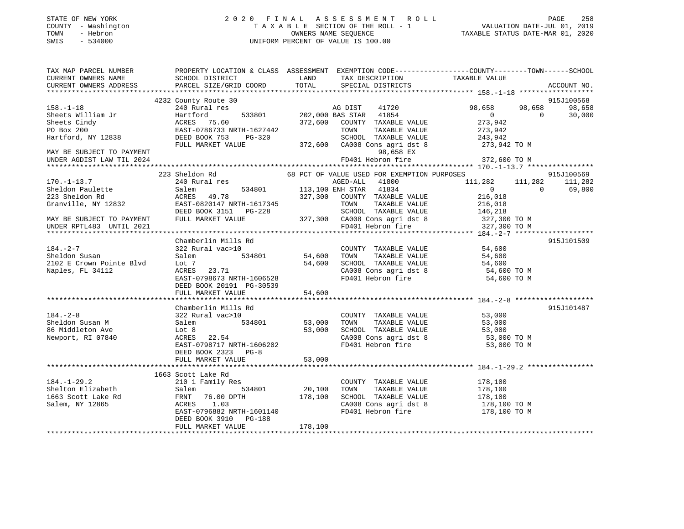| STATE OF NEW YORK |        |              |
|-------------------|--------|--------------|
| COUNTY            |        | - Washingtom |
| TOWN              |        | - Hebron     |
| <b>CMTC</b>       | $\sim$ | 534000       |

# STATE OF NEW YORK 2 0 2 0 F I N A L A S S E S S M E N T R O L L PAGE 258 COUNTY - Washington T A X A B L E SECTION OF THE ROLL - 1 VALUATION DATE-JUL 01, 2019 TOWN - Hebron OWNERS NAME SEQUENCE TAXABLE STATUS DATE-MAR 01, 2020 SWIS - 534000 UNIFORM PERCENT OF VALUE IS 100.00

| TAX MAP PARCEL NUMBER                  | PROPERTY LOCATION & CLASS ASSESSMENT EXEMPTION CODE---------------COUNTY-------TOWN------SCHOOL |         |                                                                  |                    |            |             |
|----------------------------------------|-------------------------------------------------------------------------------------------------|---------|------------------------------------------------------------------|--------------------|------------|-------------|
| CURRENT OWNERS NAME                    | SCHOOL DISTRICT                                                                                 | LAND    | TAX DESCRIPTION                                                  | TAXABLE VALUE      |            |             |
| CURRENT OWNERS ADDRESS                 | PARCEL SIZE/GRID COORD                                                                          | TOTAL   | SPECIAL DISTRICTS                                                |                    |            | ACCOUNT NO. |
|                                        | 4232 County Route 30                                                                            |         |                                                                  |                    |            | 915J100568  |
| $158. - 1 - 18$                        | 240 Rural res                                                                                   |         | AG DIST<br>41720                                                 | 98,658             | 98,658     | 98,658      |
| Sheets William Jr                      | Hartford<br>533801                                                                              |         | 202,000 BAS STAR 41854                                           | $\overline{0}$     | $\bigcirc$ | 30,000      |
| Sheets Cindy                           | 75.60<br>ACRES                                                                                  | 372,600 | COUNTY TAXABLE VALUE                                             | 273,942            |            |             |
| PO Box 200                             | EAST-0786733 NRTH-1627442                                                                       |         | TAXABLE VALUE<br>TOWN                                            | 273,942            |            |             |
| Hartford, NY 12838                     | DEED BOOK 753<br>$PG-320$                                                                       |         | SCHOOL TAXABLE VALUE                                             | 243,942            |            |             |
|                                        | FULL MARKET VALUE                                                                               | 372,600 | CA008 Cons agri dst 8                                            | 273,942 TO M       |            |             |
| MAY BE SUBJECT TO PAYMENT              |                                                                                                 |         | 98,658 EX                                                        |                    |            |             |
| UNDER AGDIST LAW TIL 2024              |                                                                                                 |         | FD401 Hebron fire                                                | 372,600 TO M       |            |             |
|                                        | 223 Sheldon Rd                                                                                  |         |                                                                  |                    |            | 915J100569  |
| $170. - 1 - 13.7$                      | 240 Rural res                                                                                   |         | 68 PCT OF VALUE USED FOR EXEMPTION PURPOSES<br>41800<br>AGED-ALL | 111,282            | 111,282    | 111,282     |
| Sheldon Paulette                       | Salem                                                                                           |         | 534801 113,100 ENH STAR 41834                                    | $\overline{0}$     | $\bigcirc$ | 69,800      |
| 223 Sheldon Rd                         | ACRES 49.78                                                                                     | 327,300 | COUNTY TAXABLE VALUE                                             | 216,018            |            |             |
| Granville, NY 12832                    | EAST-0820147 NRTH-1617345                                                                       |         | TOWN<br>TAXABLE VALUE                                            | 216,018            |            |             |
|                                        | DEED BOOK 3151 PG-228                                                                           |         | SCHOOL TAXABLE VALUE                                             | 146,218            |            |             |
| MAY BE SUBJECT TO PAYMENT              | FULL MARKET VALUE                                                                               |         | 327,300 CA008 Cons agri dst 8                                    | 327,300 TO M       |            |             |
| UNDER RPTL483 UNTIL 2021               |                                                                                                 |         |                                                                  | 327,300 TO M       |            |             |
|                                        |                                                                                                 |         |                                                                  |                    |            |             |
|                                        | Chamberlin Mills Rd                                                                             |         |                                                                  |                    |            | 915J101509  |
| $184. - 2 - 7$                         | 322 Rural vac>10                                                                                |         | COUNTY TAXABLE VALUE                                             | 54,600             |            |             |
| Sheldon Susan                          | 534801<br>Salem                                                                                 | 54,600  | TOWN<br>TAXABLE VALUE                                            | 54,600             |            |             |
| 2102 E Crown Pointe Blvd               | Lot 7                                                                                           | 54,600  | SCHOOL TAXABLE VALUE                                             | 54,600             |            |             |
| Naples, FL 34112                       | 23.71<br>ACRES                                                                                  |         | CA008 Cons agri dst 8                                            | 54,600 TO M        |            |             |
|                                        | EAST-0798673 NRTH-1606528                                                                       |         | FD401 Hebron fire                                                | 54,600 TO M        |            |             |
|                                        | DEED BOOK 20191 PG-30539<br>FULL MARKET VALUE                                                   | 54,600  |                                                                  |                    |            |             |
|                                        |                                                                                                 |         |                                                                  |                    |            |             |
|                                        | Chamberlin Mills Rd                                                                             |         |                                                                  |                    |            | 915J101487  |
| $184. - 2 - 8$                         | 322 Rural vac>10                                                                                |         | COUNTY TAXABLE VALUE                                             | 53,000             |            |             |
| Sheldon Susan M                        | 534801<br>Salem                                                                                 | 53,000  | TOWN<br>TAXABLE VALUE                                            | 53,000             |            |             |
| 86 Middleton Ave                       | Lot 8                                                                                           | 53,000  | SCHOOL TAXABLE VALUE                                             | 53,000             |            |             |
| Newport, RI 07840                      | ACRES 22.54                                                                                     |         | CA008 Cons agri dst 8                                            | 53,000 TO M        |            |             |
|                                        | EAST-0798717 NRTH-1606202                                                                       |         | FD401 Hebron fire                                                | 53,000 TO M        |            |             |
|                                        | DEED BOOK 2323<br>$PG-8$                                                                        |         |                                                                  |                    |            |             |
|                                        | FULL MARKET VALUE                                                                               | 53,000  |                                                                  |                    |            |             |
|                                        |                                                                                                 |         |                                                                  |                    |            |             |
|                                        | 1663 Scott Lake Rd                                                                              |         |                                                                  |                    |            |             |
| $184. - 1 - 29.2$<br>Shelton Elizabeth | 210 1 Family Res<br>Salem<br>534801                                                             | 20,100  | COUNTY TAXABLE VALUE<br>TOWN<br>TAXABLE VALUE                    | 178,100<br>178,100 |            |             |
| 1663 Scott Lake Rd                     | FRNT 76.00 DPTH                                                                                 | 178,100 | SCHOOL TAXABLE VALUE                                             | 178,100            |            |             |
| Salem, NY 12865                        | 1.03<br>ACRES                                                                                   |         | CA008 Cons agri dst 8                                            | 178,100 TO M       |            |             |
|                                        | EAST-0796882 NRTH-1601140                                                                       |         | FD401 Hebron fire                                                | 178,100 TO M       |            |             |
|                                        | DEED BOOK 3910<br>PG-188                                                                        |         |                                                                  |                    |            |             |
|                                        | FULL MARKET VALUE                                                                               | 178,100 |                                                                  |                    |            |             |
|                                        |                                                                                                 |         |                                                                  |                    |            |             |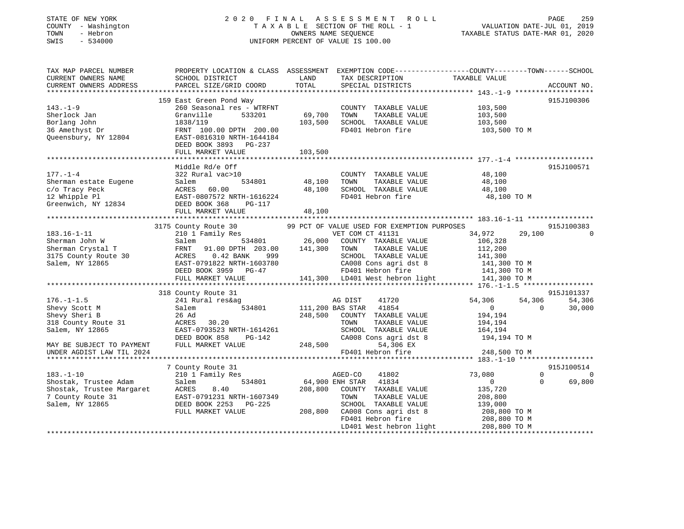| STATE OF NEW YORK |  |              |
|-------------------|--|--------------|
| <b>COUNTY</b>     |  | - Washington |
| TOWN              |  | - Hebron     |
| CM <sub>T</sub> C |  | 534000       |

# STATE OF NEW YORK 2 0 2 0 F I N A L A S S E S S M E N T R O L L PAGE 259 COUNTY - Washington T A X A B L E SECTION OF THE ROLL - 1 VALUATION DATE-JUL 01, 2019 TOWN - Hebron OWNERS NAME SEQUENCE TAXABLE STATUS DATE-MAR 01, 2020 SWIS - 534000 UNIFORM PERCENT OF VALUE IS 100.00

| TAX MAP PARCEL NUMBER<br>CURRENT OWNERS NAME<br>CURRENT OWNERS ADDRESS                                                                                                  | PROPERTY LOCATION & CLASS ASSESSMENT EXEMPTION CODE---------------COUNTY-------TOWN------SCHOOL<br>SCHOOL DISTRICT<br>PARCEL SIZE/GRID COORD                                                                                   | LAND<br>TOTAL    | TAX DESCRIPTION<br>SPECIAL DISTRICTS                                                       | TAXABLE VALUE                             | ACCOUNT NO. |
|-------------------------------------------------------------------------------------------------------------------------------------------------------------------------|--------------------------------------------------------------------------------------------------------------------------------------------------------------------------------------------------------------------------------|------------------|--------------------------------------------------------------------------------------------|-------------------------------------------|-------------|
|                                                                                                                                                                         |                                                                                                                                                                                                                                |                  |                                                                                            |                                           |             |
| $143. - 1 - 9$<br>Sherlock Jan                                                                                                                                          | 159 East Green Pond Way<br>260 Seasonal res - WTRFNT<br>533201<br>Granville                                                                                                                                                    | 69,700           | COUNTY TAXABLE VALUE<br>TOWN<br>TAXABLE VALUE                                              | 103,500<br>103,500                        | 915J100306  |
| Borlang John<br>36 Amethyst Dr<br>Queensbury, NY 12804                                                                                                                  | 1838/119<br>FRNT 100.00 DPTH 200.00<br>EAST-0816310 NRTH-1644184<br>DEED BOOK 3893 PG-237                                                                                                                                      | 103,500          | SCHOOL TAXABLE VALUE<br>FD401 Hebron fire                                                  | 103,500<br>103,500 ТО М                   |             |
|                                                                                                                                                                         | FULL MARKET VALUE                                                                                                                                                                                                              | 103,500          |                                                                                            |                                           |             |
|                                                                                                                                                                         |                                                                                                                                                                                                                                |                  |                                                                                            |                                           |             |
| $177. - 1 - 4$<br>Sherman estate Eugene<br>c/o Tracy Peck<br>12 Whipple Pl<br>Greenwich, NY 12834 DEED BOOK 368                                                         | Middle Rd/e Off<br>322 Rural vac>10<br>534801<br>Salem<br>ACRES<br>60.00<br>ACRES 60.00<br>EAST-0807572 NRTH-1616224<br>PG-117                                                                                                 | 48,100<br>48,100 | COUNTY TAXABLE VALUE<br>TOWN<br>TAXABLE VALUE<br>SCHOOL TAXABLE VALUE<br>FD401 Hebron fire | 48,100<br>48,100<br>48,100<br>48,100 TO M | 915J100571  |
|                                                                                                                                                                         | FULL MARKET VALUE                                                                                                                                                                                                              | 48,100           |                                                                                            |                                           |             |
|                                                                                                                                                                         |                                                                                                                                                                                                                                |                  |                                                                                            |                                           |             |
|                                                                                                                                                                         | 3175 County Route 30                                                                                                                                                                                                           |                  | 99 PCT OF VALUE USED FOR EXEMPTION PURPOSES                                                |                                           | 915J100383  |
| $183.16 - 1 - 11$                                                                                                                                                       | 210 1 Family Res                                                                                                                                                                                                               |                  | VET COM CT 41131                                                                           | 34,972<br>29,100                          |             |
| Sherman John W                                                                                                                                                          | 534801                                                                                                                                                                                                                         | 26,000           | COUNTY TAXABLE VALUE                                                                       | 106,328                                   |             |
| Sherman Crystal T                                                                                                                                                       | FRNT 91.00 DPTH 203.00                                                                                                                                                                                                         | 141,300          | TAXABLE VALUE<br>TOWN                                                                      | 112,200                                   |             |
| 3175 County Route 30                                                                                                                                                    | $0.42$ BANK<br>999                                                                                                                                                                                                             |                  | SCHOOL TAXABLE VALUE                                                                       | 141,300                                   |             |
| Salem, NY 12865                                                                                                                                                         | Salem<br>FRNT 91<br>ACRES<br>EAST-079<br>EAST-0791822 NRTH-1603780 (20008 Cons agridst 8 141,300 TO M<br>DEED BOOK 3959 PG-47 FD401 Hebron fire 141,300 TO M<br>FULL MARKET VALUE 141,300 LD401 West hebron light 141,300 TO M |                  |                                                                                            |                                           |             |
|                                                                                                                                                                         |                                                                                                                                                                                                                                |                  |                                                                                            |                                           |             |
|                                                                                                                                                                         |                                                                                                                                                                                                                                |                  |                                                                                            |                                           |             |
|                                                                                                                                                                         |                                                                                                                                                                                                                                |                  |                                                                                            |                                           |             |
|                                                                                                                                                                         | 318 County Route 31                                                                                                                                                                                                            |                  |                                                                                            |                                           | 915J101337  |
| $176. - 1 - 1.5$                                                                                                                                                        | 241 Rural res&ag                                                                                                                                                                                                               |                  | 41720<br>AG DIST                                                                           | 54,306<br>54,306                          | 54,306      |
| Shevy Scott M                                                                                                                                                           | 534801<br>Salem                                                                                                                                                                                                                |                  | 111,200 BAS STAR 41854                                                                     | $\overline{0}$<br>$\Omega$                | 30,000      |
| Shevy Sheri B                                                                                                                                                           | 26 Ad                                                                                                                                                                                                                          | 248,500          | COUNTY TAXABLE VALUE                                                                       | 194,194                                   |             |
| 318 County Route 31                                                                                                                                                     | ACRES 30.20                                                                                                                                                                                                                    |                  | TOWN<br>TAXABLE VALUE                                                                      | 194,194                                   |             |
| Salem, NY 12865                                                                                                                                                         | EAST-0793523 NRTH-1614261                                                                                                                                                                                                      |                  | SCHOOL TAXABLE VALUE                                                                       | 164,194                                   |             |
|                                                                                                                                                                         | DEED BOOK 858<br>PG-142<br>FULL MARKET VALUE                                                                                                                                                                                   |                  | CA008 Cons agri dst 8<br>248,500<br>54,306 EX                                              | 194,194 TO M                              |             |
| MAY BE SUBJECT TO PAYMENT<br>UNDER AGDIST LAW TIL 2024                                                                                                                  |                                                                                                                                                                                                                                |                  | FD401 Hebron fire                                                                          | 248,500 TO M                              |             |
|                                                                                                                                                                         |                                                                                                                                                                                                                                |                  |                                                                                            |                                           |             |
|                                                                                                                                                                         | 7 County Route 31                                                                                                                                                                                                              |                  |                                                                                            |                                           | 915J100514  |
| $183. - 1 - 10$                                                                                                                                                         | 210 1 Family Res                                                                                                                                                                                                               |                  | 41802<br>AGED-CO                                                                           | 73,080<br>$\mathbf 0$                     | $\Omega$    |
|                                                                                                                                                                         |                                                                                                                                                                                                                                | 64,900 ENH STAR  | 41834                                                                                      | $\overline{0}$<br>$\Omega$                | 69,800      |
| Shostak, Trustee Adam<br>Shostak, Trustee Margaret<br>7 County Route 31<br>The County Route 31<br>The County Route 31<br>CEED BOOK 2253 PG-225<br>CEED BOOK 2253 PG-225 |                                                                                                                                                                                                                                | 208,800          | COUNTY TAXABLE VALUE                                                                       | 135,720                                   |             |
|                                                                                                                                                                         |                                                                                                                                                                                                                                |                  | TOWN<br>TAXABLE VALUE                                                                      | 208,800                                   |             |
|                                                                                                                                                                         |                                                                                                                                                                                                                                |                  | SCHOOL TAXABLE VALUE                                                                       | 139,000                                   |             |
|                                                                                                                                                                         | FULL MARKET VALUE                                                                                                                                                                                                              | 208,800          |                                                                                            | 208,800 TO M                              |             |
|                                                                                                                                                                         |                                                                                                                                                                                                                                |                  | CA008 Cons agri dst 8<br>FD401 Hebron fire                                                 | 208,800 TO M                              |             |
|                                                                                                                                                                         |                                                                                                                                                                                                                                |                  | LD401 West hebron light 208,800 TO M                                                       |                                           |             |
|                                                                                                                                                                         |                                                                                                                                                                                                                                |                  |                                                                                            |                                           |             |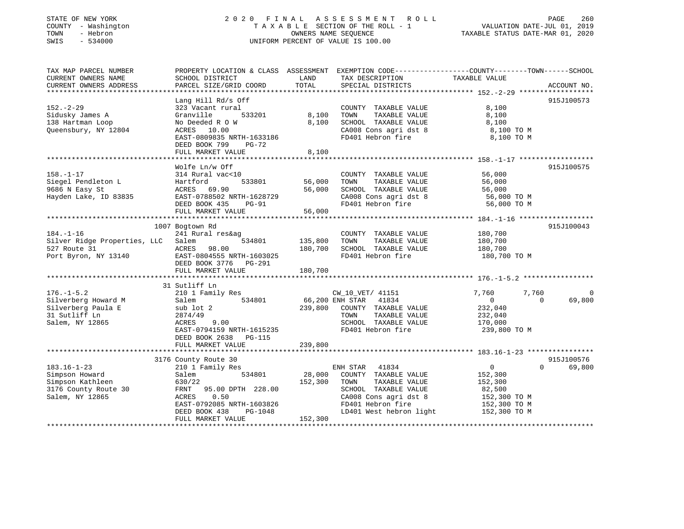# STATE OF NEW YORK 2 0 2 0 F I N A L A S S E S S M E N T R O L L PAGE 260 COUNTY - Washington T A X A B L E SECTION OF THE ROLL - 1 VALUATION DATE-JUL 01, 2019 TOWN - Hebron OWNERS NAME SEQUENCE TAXABLE STATUS DATE-MAR 01, 2020 SWIS - 534000 UNIFORM PERCENT OF VALUE IS 100.00

| TAX MAP PARCEL NUMBER<br>CURRENT OWNERS NAME<br>CURRENT OWNERS ADDRESS | PROPERTY LOCATION & CLASS ASSESSMENT EXEMPTION CODE----------------COUNTY-------TOWN------SCHOOL<br>SCHOOL DISTRICT<br>PARCEL SIZE/GRID COORD | LAND<br>TOTAL    | TAX DESCRIPTION<br>SPECIAL DISTRICTS          | TAXABLE VALUE                                | ACCOUNT NO. |
|------------------------------------------------------------------------|-----------------------------------------------------------------------------------------------------------------------------------------------|------------------|-----------------------------------------------|----------------------------------------------|-------------|
|                                                                        |                                                                                                                                               |                  |                                               |                                              |             |
| $152 - 2 - 29$                                                         | Lang Hill Rd/s Off<br>323 Vacant rural                                                                                                        |                  | COUNTY TAXABLE VALUE                          | 8,100                                        | 915J100573  |
| Sidusky James A<br>138 Hartman Loop                                    | 533201<br>Granville<br>No Deeded R O W                                                                                                        | 8,100<br>8,100   | TOWN<br>TAXABLE VALUE<br>SCHOOL TAXABLE VALUE | 8,100<br>8,100                               |             |
| Queensbury, NY 12804                                                   | ACRES 10.00<br>EAST-0809835 NRTH-1633186<br>DEED BOOK 799<br><b>PG-72</b>                                                                     |                  | CA008 Cons agri dst 8<br>FD401 Hebron fire    | 8,100 TO M<br>8,100 TO M                     |             |
|                                                                        | FULL MARKET VALUE                                                                                                                             | 8,100            |                                               |                                              |             |
|                                                                        |                                                                                                                                               |                  |                                               |                                              |             |
| $158. - 1 - 17$                                                        | Wolfe Ln/w Off<br>314 Rural vac<10                                                                                                            |                  | COUNTY TAXABLE VALUE                          | 56,000                                       | 915J100575  |
| Siegel Pendleton L<br>9686 N Easy St                                   | 533801<br>Hartford<br>ACRES 69.90                                                                                                             | 56,000<br>56,000 | TOWN<br>TAXABLE VALUE<br>SCHOOL TAXABLE VALUE | 56,000<br>56,000                             |             |
| Hayden Lake, ID 83835                                                  | EAST-0788502 NRTH-1628729                                                                                                                     |                  | CA008 Cons agri dst 8                         | 56,000 TO M                                  |             |
|                                                                        | DEED BOOK 435<br><b>PG-91</b>                                                                                                                 |                  | FD401 Hebron fire                             | 56,000 TO M                                  |             |
|                                                                        | FULL MARKET VALUE                                                                                                                             | 56,000           |                                               |                                              |             |
|                                                                        |                                                                                                                                               |                  |                                               |                                              |             |
| $184. - 1 - 16$                                                        | 1007 Bogtown Rd                                                                                                                               |                  |                                               |                                              | 915J100043  |
| Silver Ridge Properties, LLC                                           | 241 Rural res&ag<br>534801<br>Salem                                                                                                           | 135,800          | COUNTY TAXABLE VALUE<br>TOWN<br>TAXABLE VALUE | 180,700<br>180,700                           |             |
| 527 Route 31                                                           | ACRES<br>98.00                                                                                                                                | 180,700          | SCHOOL TAXABLE VALUE                          | 180,700                                      |             |
| Port Byron, NY 13140                                                   | EAST-0804555 NRTH-1603025<br>DEED BOOK 3776 PG-291                                                                                            |                  | FD401 Hebron fire                             | 180,700 TO M                                 |             |
|                                                                        | FULL MARKET VALUE                                                                                                                             | 180,700          |                                               |                                              |             |
|                                                                        |                                                                                                                                               |                  |                                               |                                              |             |
| $176. - 1 - 5.2$                                                       | 31 Sutliff Ln                                                                                                                                 |                  |                                               |                                              | $\Omega$    |
| Silverberg Howard M                                                    | 210 1 Family Res<br>534801<br>Salem                                                                                                           | 66,200 ENH STAR  | CW 10 VET/ 41151<br>41834                     | 7,760<br>7,760<br>$\overline{0}$<br>$\Omega$ | 69,800      |
| Silverberg Paula E                                                     | sub lot 2                                                                                                                                     | 239,800          | COUNTY TAXABLE VALUE                          | 232,040                                      |             |
| 31 Sutliff Ln                                                          | 2874/49                                                                                                                                       |                  | TOWN<br>TAXABLE VALUE                         | 232,040                                      |             |
| Salem, NY 12865                                                        | ACRES<br>9.00                                                                                                                                 |                  | SCHOOL TAXABLE VALUE                          | 170,000                                      |             |
|                                                                        | EAST-0794159 NRTH-1615235<br>DEED BOOK 2638<br>PG-115                                                                                         |                  | FD401 Hebron fire                             | 239,800 TO M                                 |             |
|                                                                        | FULL MARKET VALUE                                                                                                                             | 239,800          |                                               |                                              |             |
|                                                                        | 3176 County Route 30                                                                                                                          |                  |                                               |                                              | 915J100576  |
| $183.16 - 1 - 23$                                                      | 210 1 Family Res                                                                                                                              |                  | ENH STAR<br>41834                             | $\overline{0}$<br>$\Omega$                   | 69,800      |
| Simpson Howard                                                         | Salem<br>534801                                                                                                                               | 28,000           | COUNTY TAXABLE VALUE                          | 152,300                                      |             |
| Simpson Kathleen                                                       | 630/22                                                                                                                                        | 152,300          | TAXABLE VALUE<br>TOWN                         | 152,300                                      |             |
| 3176 County Route 30                                                   | FRNT<br>95.00 DPTH 228.00                                                                                                                     |                  | SCHOOL TAXABLE VALUE                          | 82,500                                       |             |
| Salem, NY 12865                                                        | 0.50<br>ACRES                                                                                                                                 |                  | CA008 Cons agri dst 8                         | 152,300 TO M                                 |             |
|                                                                        | EAST-0792085 NRTH-1603826                                                                                                                     |                  | FD401 Hebron fire                             | 152,300 TO M                                 |             |
|                                                                        | DEED BOOK 438<br>PG-1048                                                                                                                      |                  | LD401 West hebron light                       | 152,300 TO M                                 |             |
|                                                                        | FULL MARKET VALUE                                                                                                                             | 152,300          |                                               |                                              |             |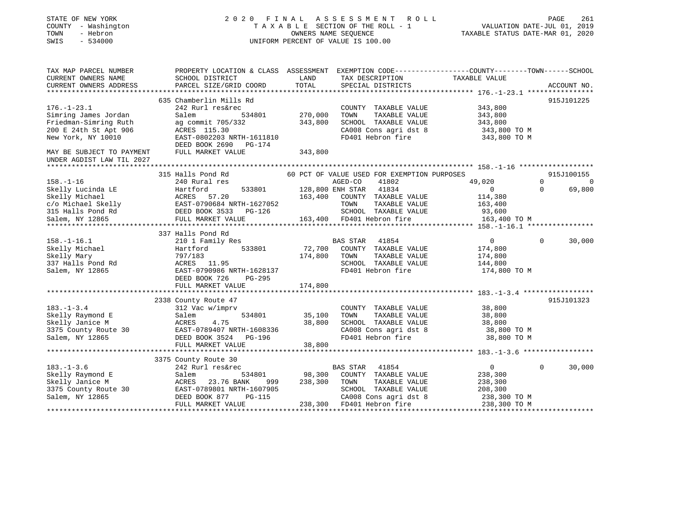| STATE OF NEW YORK<br>COUNTY - Washington<br>- Hebron<br>TOWN<br>SWIS<br>$-534000$ |                                                                                                                                      |               | 2020 FINAL ASSESSMENT ROLL<br>T A X A B L E SECTION OF THE ROLL - 1<br>OWNERS NAME SEQUENCE<br>UNIFORM PERCENT OF VALUE IS 100.00 | VALUATION DATE-JUL 01, 2019<br>TAXABLE STATUS DATE-MAR 01, 2020                                                                                                                                                                                        | PAGE<br>261                     |
|-----------------------------------------------------------------------------------|--------------------------------------------------------------------------------------------------------------------------------------|---------------|-----------------------------------------------------------------------------------------------------------------------------------|--------------------------------------------------------------------------------------------------------------------------------------------------------------------------------------------------------------------------------------------------------|---------------------------------|
| TAX MAP PARCEL NUMBER                                                             | PROPERTY LOCATION & CLASS ASSESSMENT EXEMPTION CODE----------------COUNTY-------TOWN-----SCHOOL                                      |               |                                                                                                                                   |                                                                                                                                                                                                                                                        |                                 |
| CURRENT OWNERS NAME<br>CURRENT OWNERS ADDRESS                                     | SCHOOL DISTRICT<br>PARCEL SIZE/GRID COORD                                                                                            | LAND<br>TOTAL | TAX DESCRIPTION<br>SPECIAL DISTRICTS                                                                                              | TAXABLE VALUE                                                                                                                                                                                                                                          | ACCOUNT NO.                     |
|                                                                                   |                                                                                                                                      |               |                                                                                                                                   |                                                                                                                                                                                                                                                        |                                 |
|                                                                                   | 635 Chamberlin Mills Rd                                                                                                              |               |                                                                                                                                   |                                                                                                                                                                                                                                                        | 915J101225                      |
| $176. - 1 - 23.1$                                                                 | 242 Rurl res&rec                                                                                                                     |               | COUNTY TAXABLE VALUE                                                                                                              | 343,800                                                                                                                                                                                                                                                |                                 |
| Simring James Jordan                                                              | Salem<br>534801                                                                                                                      | 270,000       | TAXABLE VALUE<br>TOWN                                                                                                             | 343,800                                                                                                                                                                                                                                                |                                 |
| Friedman-Simring Ruth                                                             | ag commit 705/332                                                                                                                    | 343,800       | SCHOOL TAXABLE VALUE                                                                                                              | 343,800                                                                                                                                                                                                                                                |                                 |
| 200 E 24th St Apt 906                                                             | ACRES 115.30<br>EAST-0802203 NRTH-1611810                                                                                            |               |                                                                                                                                   | CA008 Cons agri dst 8 $343,800$ TO M<br>FD401 Hebron fire 343,800 TO M                                                                                                                                                                                 |                                 |
| New York, NY 10010                                                                | DEED BOOK 2690 PG-174                                                                                                                |               |                                                                                                                                   |                                                                                                                                                                                                                                                        |                                 |
| MAY BE SUBJECT TO PAYMENT<br>UNDER AGDIST LAW TIL 2027                            | FULL MARKET VALUE                                                                                                                    | 343,800       |                                                                                                                                   |                                                                                                                                                                                                                                                        |                                 |
|                                                                                   |                                                                                                                                      |               |                                                                                                                                   |                                                                                                                                                                                                                                                        |                                 |
|                                                                                   | 315 Halls Pond Rd                                                                                                                    |               | 60 PCT OF VALUE USED FOR EXEMPTION PURPOSES                                                                                       |                                                                                                                                                                                                                                                        | 915J100155                      |
| $158. - 1 - 16$                                                                   | 240 Rural res                                                                                                                        |               | AGED-CO<br>41802                                                                                                                  | 49,020                                                                                                                                                                                                                                                 | $0 \qquad \qquad$<br>$\bigcirc$ |
| Skelly Lucinda LE                                                                 | Hartford                                                                                                                             |               | 533801 128,800 ENH STAR 41834                                                                                                     | $\overline{0}$                                                                                                                                                                                                                                         | 69,800<br>$\Omega$              |
|                                                                                   |                                                                                                                                      |               | 163,400 COUNTY TAXABLE VALUE                                                                                                      | 114,380                                                                                                                                                                                                                                                |                                 |
|                                                                                   |                                                                                                                                      |               | TOWN<br>TAXABLE VALUE                                                                                                             | 163,400                                                                                                                                                                                                                                                |                                 |
| Salem, NY 12865                                                                   | Skelly Michael (163,400)<br>C/O Michael Skelly (163,400)<br>EAST-0790684 NRTH-1627052<br>Salem, NY 12865 (FULL MARKET VALUE 163,400) |               | SCHOOL TAXABLE VALUE<br>163,400 FD401 Hebron fire                                                                                 | 93,600<br>$\label{eq:2.1} \frac{d\mathbf{r}}{dt} = \frac{1}{2} \left( \frac{d\mathbf{r}}{dt} + \frac{d\mathbf{r}}{dt} \right) \mathbf{r} \quad \text{and} \quad \mathbf{r} \in \mathbb{R}^{d \times d} \times \mathbb{R}^{d \times d}$<br>163,400 TO M |                                 |
|                                                                                   |                                                                                                                                      |               |                                                                                                                                   |                                                                                                                                                                                                                                                        |                                 |
|                                                                                   | 337 Halls Pond Rd                                                                                                                    |               |                                                                                                                                   |                                                                                                                                                                                                                                                        |                                 |
| $158. - 1 - 16.1$                                                                 | 210 1 Family Res                                                                                                                     |               | BAS STAR 41854                                                                                                                    | $\overline{0}$                                                                                                                                                                                                                                         | $\mathbf 0$<br>30,000           |
| Skelly Michael                                                                    | 533801<br>Hartford                                                                                                                   |               | 72,700 COUNTY TAXABLE VALUE                                                                                                       | 174,800                                                                                                                                                                                                                                                |                                 |
| Skelly Mary                                                                       | 797/183                                                                                                                              | 174,800       | TOWN<br>TAXABLE VALUE                                                                                                             | 174,800                                                                                                                                                                                                                                                |                                 |
| 337 Halls Pond Rd                                                                 | ACRES 11.95                                                                                                                          |               | SCHOOL TAXABLE VALUE                                                                                                              | 144,800                                                                                                                                                                                                                                                |                                 |
| Salem, NY 12865                                                                   | EAST-0790986 NRTH-1628137                                                                                                            |               | FD401 Hebron fire                                                                                                                 | 174,800 TO M                                                                                                                                                                                                                                           |                                 |
|                                                                                   | DEED BOOK 726<br>PG-295                                                                                                              |               |                                                                                                                                   |                                                                                                                                                                                                                                                        |                                 |
|                                                                                   | FULL MARKET VALUE                                                                                                                    | 174,800       |                                                                                                                                   |                                                                                                                                                                                                                                                        |                                 |
|                                                                                   | 2338 County Route 47                                                                                                                 |               |                                                                                                                                   |                                                                                                                                                                                                                                                        | 915J101323                      |
| $183. - 1 - 3.4$                                                                  | 312 Vac w/imprv                                                                                                                      |               | COUNTY TAXABLE VALUE                                                                                                              | 38,800                                                                                                                                                                                                                                                 |                                 |
| Skelly Raymond E                                                                  | 534801<br>Salem                                                                                                                      | 35,100        | TAXABLE VALUE<br>TOWN                                                                                                             | 38,800                                                                                                                                                                                                                                                 |                                 |
| Skelly Janice M                                                                   | 4.75<br>ACRES                                                                                                                        | 38,800        | SCHOOL TAXABLE VALUE                                                                                                              | 38,800                                                                                                                                                                                                                                                 |                                 |
| SKEITY URILLE<br>3375 County Route 30                                             | EAST-0789407 NRTH-1608336                                                                                                            |               | CA008 Cons agri dst 8                                                                                                             | 38,800 TO M                                                                                                                                                                                                                                            |                                 |
| Salem, NY 12865                                                                   | DEED BOOK 3524 PG-196                                                                                                                |               | FD401 Hebron fire                                                                                                                 | 38,800 TO M                                                                                                                                                                                                                                            |                                 |
|                                                                                   | FULL MARKET VALUE                                                                                                                    | 38,800        |                                                                                                                                   |                                                                                                                                                                                                                                                        |                                 |
|                                                                                   |                                                                                                                                      |               |                                                                                                                                   |                                                                                                                                                                                                                                                        |                                 |
|                                                                                   | 3375 County Route 30<br>242 Rurl res&rec                                                                                             |               | BAS STAR                                                                                                                          | $0 \qquad \qquad$                                                                                                                                                                                                                                      | $\Omega$<br>30,000              |
| $183. - 1 - 3.6$<br>Skelly Raymond E                                              | Salem<br>534801                                                                                                                      | 98,300        | 41854<br>COUNTY TAXABLE VALUE                                                                                                     | 238,300                                                                                                                                                                                                                                                |                                 |
| Skelly Janice M                                                                   | 23.76 BANK<br>ACRES<br>999 — 199                                                                                                     | 238,300       | TOWN<br>TAXABLE VALUE                                                                                                             | 238,300                                                                                                                                                                                                                                                |                                 |
| 3375 County Route 30                                                              | EAST-0789801 NRTH-1607905                                                                                                            |               | SCHOOL TAXABLE VALUE                                                                                                              | 208,300                                                                                                                                                                                                                                                |                                 |
| Salem, NY 12865                                                                   | DEED BOOK 877<br>PG-115                                                                                                              |               | CA008 Cons agri dst 8                                                                                                             | 238,300 TO M                                                                                                                                                                                                                                           |                                 |
|                                                                                   | FULL MARKET VALUE                                                                                                                    |               | 238,300 FD401 Hebron fire                                                                                                         | 238,300 TO M                                                                                                                                                                                                                                           |                                 |
|                                                                                   |                                                                                                                                      |               |                                                                                                                                   |                                                                                                                                                                                                                                                        |                                 |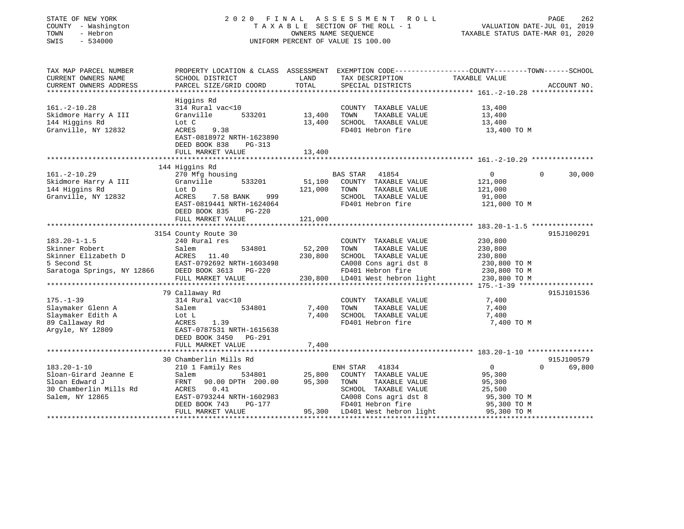| PROPERTY LOCATION & CLASS ASSESSMENT EXEMPTION CODE---------------COUNTY-------TOWN-----SCHOOL<br>CURRENT OWNERS NAME<br>SCHOOL DISTRICT<br>LAND<br>TAX DESCRIPTION<br>TAXABLE VALUE<br>TOTAL<br>CURRENT OWNERS ADDRESS<br>PARCEL SIZE/GRID COORD<br>SPECIAL DISTRICTS<br>ACCOUNT NO.<br>Higgins Rd<br>314 Rural vac<10<br>COUNTY TAXABLE VALUE<br>13,400<br>Granville<br>533201<br>13,400<br>TOWN<br>TAXABLE VALUE<br>13,400<br>13,400<br>SCHOOL TAXABLE VALUE<br>Lot C<br>13,400<br>Granville, NY 12832<br>ACRES<br>FD401 Hebron fire<br>9.38<br>13,400 TO M<br>EAST-0818972 NRTH-1623890<br>DEED BOOK 838<br>PG-313<br>FULL MARKET VALUE<br>13,400<br>144 Higgins Rd<br>30,000<br>270 Mfg housing<br>BAS STAR<br>41854<br>$\mathbf{0}$<br>$\Omega$<br>Granville<br>533201<br>51,100<br>COUNTY TAXABLE VALUE<br>121,000<br>121,000<br>TOWN<br>TAXABLE VALUE<br>121,000<br>Lot D<br>ACRES<br>7.58 BANK<br>999<br>SCHOOL TAXABLE VALUE<br>91,000<br>FD401 Hebron fire<br>EAST-0819441 NRTH-1624064<br>121,000 TO M<br>DEED BOOK 835<br>$PG-220$<br>FULL MARKET VALUE<br>121,000<br>*****************************<br>**************<br>915J100291<br>3154 County Route 30<br>$183.20 - 1 - 1.5$<br>240 Rural res<br>230,800<br>COUNTY TAXABLE VALUE<br>52,200<br>TAXABLE VALUE<br>Salem<br>534801<br>TOWN<br>230,800<br>Skinner Elizabeth D<br>230,800<br>ACRES<br>11.40<br>SCHOOL TAXABLE VALUE<br>230,800<br>5 Second St<br>EAST-0792692 NRTH-1603498<br>CA008 Cons agri dst 8<br>230,800 TO M<br>Saratoga Springs, NY 12866<br>DEED BOOK 3613 PG-220<br>FD401 Hebron fire<br>230,800 TO M<br>FULL MARKET VALUE<br>230,800<br>LD401 West hebron light<br>230,800 TO M<br>79 Callaway Rd<br>915J101536<br>$175. - 1 - 39$<br>314 Rural vac<10<br>COUNTY TAXABLE VALUE<br>7,400<br>Slaymaker Glenn A<br>7,400<br>Salem<br>534801<br>TOWN<br>TAXABLE VALUE<br>7,400<br>7,400<br>Slaymaker Edith A<br>SCHOOL TAXABLE VALUE<br>7,400<br>Lot L<br>FD401 Hebron fire<br>ACRES<br>1.39<br>7,400 TO M<br>EAST-0787531 NRTH-1615638<br>DEED BOOK 3450 PG-291<br>FULL MARKET VALUE<br>7,400<br>30 Chamberlin Mills Rd<br>915J100579<br>$183.20 - 1 - 10$<br>69,800<br>210 1 Family Res<br>ENH STAR<br>41834<br>$\overline{0}$<br>$\Omega$<br>Sloan-Girard Jeanne E<br>25,800<br>Salem<br>534801<br>COUNTY TAXABLE VALUE<br>95,300<br>Sloan Edward J<br>90.00 DPTH 200.00<br>95,300<br>FRNT<br>TOWN<br>TAXABLE VALUE<br>95,300<br>30 Chamberlin Mills Rd<br>ACRES<br>SCHOOL TAXABLE VALUE<br>0.41<br>25,500<br>CA008 Cons agri dst 8<br>EAST-0793244 NRTH-1602983<br>95,300 TO M<br>FD401 Hebron fire<br>DEED BOOK 743<br>PG-177<br>95,300 TO M<br>95,300 LD401 West hebron light<br>FULL MARKET VALUE<br>95,300 TO M | STATE OF NEW YORK<br>COUNTY - Washington<br>TOWN<br>- Hebron<br>$-534000$<br>SWIS | 2020 FINAL | OWNERS NAME SEQUENCE | A S S E S S M E N T<br>R O L L<br>TAXABLE SECTION OF THE ROLL - 1<br>UNIFORM PERCENT OF VALUE IS 100.00 | PAGE<br>VALUATION DATE-JUL 01, 2019<br>TAXABLE STATUS DATE-MAR 01, 2020 | 262 |
|------------------------------------------------------------------------------------------------------------------------------------------------------------------------------------------------------------------------------------------------------------------------------------------------------------------------------------------------------------------------------------------------------------------------------------------------------------------------------------------------------------------------------------------------------------------------------------------------------------------------------------------------------------------------------------------------------------------------------------------------------------------------------------------------------------------------------------------------------------------------------------------------------------------------------------------------------------------------------------------------------------------------------------------------------------------------------------------------------------------------------------------------------------------------------------------------------------------------------------------------------------------------------------------------------------------------------------------------------------------------------------------------------------------------------------------------------------------------------------------------------------------------------------------------------------------------------------------------------------------------------------------------------------------------------------------------------------------------------------------------------------------------------------------------------------------------------------------------------------------------------------------------------------------------------------------------------------------------------------------------------------------------------------------------------------------------------------------------------------------------------------------------------------------------------------------------------------------------------------------------------------------------------------------------------------------------------------------------------------------------------------------------------------------------------------------------------------------------------------------------------------------------------------------------------------------------------------------------------------------------------------------------------------------------------------------------------------|-----------------------------------------------------------------------------------|------------|----------------------|---------------------------------------------------------------------------------------------------------|-------------------------------------------------------------------------|-----|
|                                                                                                                                                                                                                                                                                                                                                                                                                                                                                                                                                                                                                                                                                                                                                                                                                                                                                                                                                                                                                                                                                                                                                                                                                                                                                                                                                                                                                                                                                                                                                                                                                                                                                                                                                                                                                                                                                                                                                                                                                                                                                                                                                                                                                                                                                                                                                                                                                                                                                                                                                                                                                                                                                                            | TAX MAP PARCEL NUMBER                                                             |            |                      |                                                                                                         |                                                                         |     |
|                                                                                                                                                                                                                                                                                                                                                                                                                                                                                                                                                                                                                                                                                                                                                                                                                                                                                                                                                                                                                                                                                                                                                                                                                                                                                                                                                                                                                                                                                                                                                                                                                                                                                                                                                                                                                                                                                                                                                                                                                                                                                                                                                                                                                                                                                                                                                                                                                                                                                                                                                                                                                                                                                                            |                                                                                   |            |                      |                                                                                                         |                                                                         |     |
|                                                                                                                                                                                                                                                                                                                                                                                                                                                                                                                                                                                                                                                                                                                                                                                                                                                                                                                                                                                                                                                                                                                                                                                                                                                                                                                                                                                                                                                                                                                                                                                                                                                                                                                                                                                                                                                                                                                                                                                                                                                                                                                                                                                                                                                                                                                                                                                                                                                                                                                                                                                                                                                                                                            |                                                                                   |            |                      |                                                                                                         |                                                                         |     |
|                                                                                                                                                                                                                                                                                                                                                                                                                                                                                                                                                                                                                                                                                                                                                                                                                                                                                                                                                                                                                                                                                                                                                                                                                                                                                                                                                                                                                                                                                                                                                                                                                                                                                                                                                                                                                                                                                                                                                                                                                                                                                                                                                                                                                                                                                                                                                                                                                                                                                                                                                                                                                                                                                                            |                                                                                   |            |                      |                                                                                                         |                                                                         |     |
|                                                                                                                                                                                                                                                                                                                                                                                                                                                                                                                                                                                                                                                                                                                                                                                                                                                                                                                                                                                                                                                                                                                                                                                                                                                                                                                                                                                                                                                                                                                                                                                                                                                                                                                                                                                                                                                                                                                                                                                                                                                                                                                                                                                                                                                                                                                                                                                                                                                                                                                                                                                                                                                                                                            | $161. - 2 - 10.28$                                                                |            |                      |                                                                                                         |                                                                         |     |
|                                                                                                                                                                                                                                                                                                                                                                                                                                                                                                                                                                                                                                                                                                                                                                                                                                                                                                                                                                                                                                                                                                                                                                                                                                                                                                                                                                                                                                                                                                                                                                                                                                                                                                                                                                                                                                                                                                                                                                                                                                                                                                                                                                                                                                                                                                                                                                                                                                                                                                                                                                                                                                                                                                            | Skidmore Harry A III                                                              |            |                      |                                                                                                         |                                                                         |     |
|                                                                                                                                                                                                                                                                                                                                                                                                                                                                                                                                                                                                                                                                                                                                                                                                                                                                                                                                                                                                                                                                                                                                                                                                                                                                                                                                                                                                                                                                                                                                                                                                                                                                                                                                                                                                                                                                                                                                                                                                                                                                                                                                                                                                                                                                                                                                                                                                                                                                                                                                                                                                                                                                                                            | 144 Higgins Rd                                                                    |            |                      |                                                                                                         |                                                                         |     |
|                                                                                                                                                                                                                                                                                                                                                                                                                                                                                                                                                                                                                                                                                                                                                                                                                                                                                                                                                                                                                                                                                                                                                                                                                                                                                                                                                                                                                                                                                                                                                                                                                                                                                                                                                                                                                                                                                                                                                                                                                                                                                                                                                                                                                                                                                                                                                                                                                                                                                                                                                                                                                                                                                                            |                                                                                   |            |                      |                                                                                                         |                                                                         |     |
|                                                                                                                                                                                                                                                                                                                                                                                                                                                                                                                                                                                                                                                                                                                                                                                                                                                                                                                                                                                                                                                                                                                                                                                                                                                                                                                                                                                                                                                                                                                                                                                                                                                                                                                                                                                                                                                                                                                                                                                                                                                                                                                                                                                                                                                                                                                                                                                                                                                                                                                                                                                                                                                                                                            |                                                                                   |            |                      |                                                                                                         |                                                                         |     |
|                                                                                                                                                                                                                                                                                                                                                                                                                                                                                                                                                                                                                                                                                                                                                                                                                                                                                                                                                                                                                                                                                                                                                                                                                                                                                                                                                                                                                                                                                                                                                                                                                                                                                                                                                                                                                                                                                                                                                                                                                                                                                                                                                                                                                                                                                                                                                                                                                                                                                                                                                                                                                                                                                                            |                                                                                   |            |                      |                                                                                                         |                                                                         |     |
|                                                                                                                                                                                                                                                                                                                                                                                                                                                                                                                                                                                                                                                                                                                                                                                                                                                                                                                                                                                                                                                                                                                                                                                                                                                                                                                                                                                                                                                                                                                                                                                                                                                                                                                                                                                                                                                                                                                                                                                                                                                                                                                                                                                                                                                                                                                                                                                                                                                                                                                                                                                                                                                                                                            |                                                                                   |            |                      |                                                                                                         |                                                                         |     |
|                                                                                                                                                                                                                                                                                                                                                                                                                                                                                                                                                                                                                                                                                                                                                                                                                                                                                                                                                                                                                                                                                                                                                                                                                                                                                                                                                                                                                                                                                                                                                                                                                                                                                                                                                                                                                                                                                                                                                                                                                                                                                                                                                                                                                                                                                                                                                                                                                                                                                                                                                                                                                                                                                                            |                                                                                   |            |                      |                                                                                                         |                                                                         |     |
|                                                                                                                                                                                                                                                                                                                                                                                                                                                                                                                                                                                                                                                                                                                                                                                                                                                                                                                                                                                                                                                                                                                                                                                                                                                                                                                                                                                                                                                                                                                                                                                                                                                                                                                                                                                                                                                                                                                                                                                                                                                                                                                                                                                                                                                                                                                                                                                                                                                                                                                                                                                                                                                                                                            | $161. - 2 - 10.29$                                                                |            |                      |                                                                                                         |                                                                         |     |
|                                                                                                                                                                                                                                                                                                                                                                                                                                                                                                                                                                                                                                                                                                                                                                                                                                                                                                                                                                                                                                                                                                                                                                                                                                                                                                                                                                                                                                                                                                                                                                                                                                                                                                                                                                                                                                                                                                                                                                                                                                                                                                                                                                                                                                                                                                                                                                                                                                                                                                                                                                                                                                                                                                            | Skidmore Harry A III                                                              |            |                      |                                                                                                         |                                                                         |     |
|                                                                                                                                                                                                                                                                                                                                                                                                                                                                                                                                                                                                                                                                                                                                                                                                                                                                                                                                                                                                                                                                                                                                                                                                                                                                                                                                                                                                                                                                                                                                                                                                                                                                                                                                                                                                                                                                                                                                                                                                                                                                                                                                                                                                                                                                                                                                                                                                                                                                                                                                                                                                                                                                                                            | 144 Higgins Rd                                                                    |            |                      |                                                                                                         |                                                                         |     |
|                                                                                                                                                                                                                                                                                                                                                                                                                                                                                                                                                                                                                                                                                                                                                                                                                                                                                                                                                                                                                                                                                                                                                                                                                                                                                                                                                                                                                                                                                                                                                                                                                                                                                                                                                                                                                                                                                                                                                                                                                                                                                                                                                                                                                                                                                                                                                                                                                                                                                                                                                                                                                                                                                                            | Granville, NY 12832                                                               |            |                      |                                                                                                         |                                                                         |     |
|                                                                                                                                                                                                                                                                                                                                                                                                                                                                                                                                                                                                                                                                                                                                                                                                                                                                                                                                                                                                                                                                                                                                                                                                                                                                                                                                                                                                                                                                                                                                                                                                                                                                                                                                                                                                                                                                                                                                                                                                                                                                                                                                                                                                                                                                                                                                                                                                                                                                                                                                                                                                                                                                                                            |                                                                                   |            |                      |                                                                                                         |                                                                         |     |
|                                                                                                                                                                                                                                                                                                                                                                                                                                                                                                                                                                                                                                                                                                                                                                                                                                                                                                                                                                                                                                                                                                                                                                                                                                                                                                                                                                                                                                                                                                                                                                                                                                                                                                                                                                                                                                                                                                                                                                                                                                                                                                                                                                                                                                                                                                                                                                                                                                                                                                                                                                                                                                                                                                            |                                                                                   |            |                      |                                                                                                         |                                                                         |     |
|                                                                                                                                                                                                                                                                                                                                                                                                                                                                                                                                                                                                                                                                                                                                                                                                                                                                                                                                                                                                                                                                                                                                                                                                                                                                                                                                                                                                                                                                                                                                                                                                                                                                                                                                                                                                                                                                                                                                                                                                                                                                                                                                                                                                                                                                                                                                                                                                                                                                                                                                                                                                                                                                                                            |                                                                                   |            |                      |                                                                                                         |                                                                         |     |
|                                                                                                                                                                                                                                                                                                                                                                                                                                                                                                                                                                                                                                                                                                                                                                                                                                                                                                                                                                                                                                                                                                                                                                                                                                                                                                                                                                                                                                                                                                                                                                                                                                                                                                                                                                                                                                                                                                                                                                                                                                                                                                                                                                                                                                                                                                                                                                                                                                                                                                                                                                                                                                                                                                            |                                                                                   |            |                      |                                                                                                         |                                                                         |     |
|                                                                                                                                                                                                                                                                                                                                                                                                                                                                                                                                                                                                                                                                                                                                                                                                                                                                                                                                                                                                                                                                                                                                                                                                                                                                                                                                                                                                                                                                                                                                                                                                                                                                                                                                                                                                                                                                                                                                                                                                                                                                                                                                                                                                                                                                                                                                                                                                                                                                                                                                                                                                                                                                                                            |                                                                                   |            |                      |                                                                                                         |                                                                         |     |
|                                                                                                                                                                                                                                                                                                                                                                                                                                                                                                                                                                                                                                                                                                                                                                                                                                                                                                                                                                                                                                                                                                                                                                                                                                                                                                                                                                                                                                                                                                                                                                                                                                                                                                                                                                                                                                                                                                                                                                                                                                                                                                                                                                                                                                                                                                                                                                                                                                                                                                                                                                                                                                                                                                            | Skinner Robert                                                                    |            |                      |                                                                                                         |                                                                         |     |
|                                                                                                                                                                                                                                                                                                                                                                                                                                                                                                                                                                                                                                                                                                                                                                                                                                                                                                                                                                                                                                                                                                                                                                                                                                                                                                                                                                                                                                                                                                                                                                                                                                                                                                                                                                                                                                                                                                                                                                                                                                                                                                                                                                                                                                                                                                                                                                                                                                                                                                                                                                                                                                                                                                            |                                                                                   |            |                      |                                                                                                         |                                                                         |     |
|                                                                                                                                                                                                                                                                                                                                                                                                                                                                                                                                                                                                                                                                                                                                                                                                                                                                                                                                                                                                                                                                                                                                                                                                                                                                                                                                                                                                                                                                                                                                                                                                                                                                                                                                                                                                                                                                                                                                                                                                                                                                                                                                                                                                                                                                                                                                                                                                                                                                                                                                                                                                                                                                                                            |                                                                                   |            |                      |                                                                                                         |                                                                         |     |
|                                                                                                                                                                                                                                                                                                                                                                                                                                                                                                                                                                                                                                                                                                                                                                                                                                                                                                                                                                                                                                                                                                                                                                                                                                                                                                                                                                                                                                                                                                                                                                                                                                                                                                                                                                                                                                                                                                                                                                                                                                                                                                                                                                                                                                                                                                                                                                                                                                                                                                                                                                                                                                                                                                            |                                                                                   |            |                      |                                                                                                         |                                                                         |     |
|                                                                                                                                                                                                                                                                                                                                                                                                                                                                                                                                                                                                                                                                                                                                                                                                                                                                                                                                                                                                                                                                                                                                                                                                                                                                                                                                                                                                                                                                                                                                                                                                                                                                                                                                                                                                                                                                                                                                                                                                                                                                                                                                                                                                                                                                                                                                                                                                                                                                                                                                                                                                                                                                                                            |                                                                                   |            |                      |                                                                                                         |                                                                         |     |
|                                                                                                                                                                                                                                                                                                                                                                                                                                                                                                                                                                                                                                                                                                                                                                                                                                                                                                                                                                                                                                                                                                                                                                                                                                                                                                                                                                                                                                                                                                                                                                                                                                                                                                                                                                                                                                                                                                                                                                                                                                                                                                                                                                                                                                                                                                                                                                                                                                                                                                                                                                                                                                                                                                            |                                                                                   |            |                      |                                                                                                         |                                                                         |     |
|                                                                                                                                                                                                                                                                                                                                                                                                                                                                                                                                                                                                                                                                                                                                                                                                                                                                                                                                                                                                                                                                                                                                                                                                                                                                                                                                                                                                                                                                                                                                                                                                                                                                                                                                                                                                                                                                                                                                                                                                                                                                                                                                                                                                                                                                                                                                                                                                                                                                                                                                                                                                                                                                                                            |                                                                                   |            |                      |                                                                                                         |                                                                         |     |
|                                                                                                                                                                                                                                                                                                                                                                                                                                                                                                                                                                                                                                                                                                                                                                                                                                                                                                                                                                                                                                                                                                                                                                                                                                                                                                                                                                                                                                                                                                                                                                                                                                                                                                                                                                                                                                                                                                                                                                                                                                                                                                                                                                                                                                                                                                                                                                                                                                                                                                                                                                                                                                                                                                            |                                                                                   |            |                      |                                                                                                         |                                                                         |     |
|                                                                                                                                                                                                                                                                                                                                                                                                                                                                                                                                                                                                                                                                                                                                                                                                                                                                                                                                                                                                                                                                                                                                                                                                                                                                                                                                                                                                                                                                                                                                                                                                                                                                                                                                                                                                                                                                                                                                                                                                                                                                                                                                                                                                                                                                                                                                                                                                                                                                                                                                                                                                                                                                                                            |                                                                                   |            |                      |                                                                                                         |                                                                         |     |
|                                                                                                                                                                                                                                                                                                                                                                                                                                                                                                                                                                                                                                                                                                                                                                                                                                                                                                                                                                                                                                                                                                                                                                                                                                                                                                                                                                                                                                                                                                                                                                                                                                                                                                                                                                                                                                                                                                                                                                                                                                                                                                                                                                                                                                                                                                                                                                                                                                                                                                                                                                                                                                                                                                            | 89 Callaway Rd                                                                    |            |                      |                                                                                                         |                                                                         |     |
|                                                                                                                                                                                                                                                                                                                                                                                                                                                                                                                                                                                                                                                                                                                                                                                                                                                                                                                                                                                                                                                                                                                                                                                                                                                                                                                                                                                                                                                                                                                                                                                                                                                                                                                                                                                                                                                                                                                                                                                                                                                                                                                                                                                                                                                                                                                                                                                                                                                                                                                                                                                                                                                                                                            | Argyle, NY 12809                                                                  |            |                      |                                                                                                         |                                                                         |     |
|                                                                                                                                                                                                                                                                                                                                                                                                                                                                                                                                                                                                                                                                                                                                                                                                                                                                                                                                                                                                                                                                                                                                                                                                                                                                                                                                                                                                                                                                                                                                                                                                                                                                                                                                                                                                                                                                                                                                                                                                                                                                                                                                                                                                                                                                                                                                                                                                                                                                                                                                                                                                                                                                                                            |                                                                                   |            |                      |                                                                                                         |                                                                         |     |
|                                                                                                                                                                                                                                                                                                                                                                                                                                                                                                                                                                                                                                                                                                                                                                                                                                                                                                                                                                                                                                                                                                                                                                                                                                                                                                                                                                                                                                                                                                                                                                                                                                                                                                                                                                                                                                                                                                                                                                                                                                                                                                                                                                                                                                                                                                                                                                                                                                                                                                                                                                                                                                                                                                            |                                                                                   |            |                      |                                                                                                         |                                                                         |     |
|                                                                                                                                                                                                                                                                                                                                                                                                                                                                                                                                                                                                                                                                                                                                                                                                                                                                                                                                                                                                                                                                                                                                                                                                                                                                                                                                                                                                                                                                                                                                                                                                                                                                                                                                                                                                                                                                                                                                                                                                                                                                                                                                                                                                                                                                                                                                                                                                                                                                                                                                                                                                                                                                                                            |                                                                                   |            |                      |                                                                                                         |                                                                         |     |
|                                                                                                                                                                                                                                                                                                                                                                                                                                                                                                                                                                                                                                                                                                                                                                                                                                                                                                                                                                                                                                                                                                                                                                                                                                                                                                                                                                                                                                                                                                                                                                                                                                                                                                                                                                                                                                                                                                                                                                                                                                                                                                                                                                                                                                                                                                                                                                                                                                                                                                                                                                                                                                                                                                            |                                                                                   |            |                      |                                                                                                         |                                                                         |     |
|                                                                                                                                                                                                                                                                                                                                                                                                                                                                                                                                                                                                                                                                                                                                                                                                                                                                                                                                                                                                                                                                                                                                                                                                                                                                                                                                                                                                                                                                                                                                                                                                                                                                                                                                                                                                                                                                                                                                                                                                                                                                                                                                                                                                                                                                                                                                                                                                                                                                                                                                                                                                                                                                                                            |                                                                                   |            |                      |                                                                                                         |                                                                         |     |
|                                                                                                                                                                                                                                                                                                                                                                                                                                                                                                                                                                                                                                                                                                                                                                                                                                                                                                                                                                                                                                                                                                                                                                                                                                                                                                                                                                                                                                                                                                                                                                                                                                                                                                                                                                                                                                                                                                                                                                                                                                                                                                                                                                                                                                                                                                                                                                                                                                                                                                                                                                                                                                                                                                            |                                                                                   |            |                      |                                                                                                         |                                                                         |     |
|                                                                                                                                                                                                                                                                                                                                                                                                                                                                                                                                                                                                                                                                                                                                                                                                                                                                                                                                                                                                                                                                                                                                                                                                                                                                                                                                                                                                                                                                                                                                                                                                                                                                                                                                                                                                                                                                                                                                                                                                                                                                                                                                                                                                                                                                                                                                                                                                                                                                                                                                                                                                                                                                                                            |                                                                                   |            |                      |                                                                                                         |                                                                         |     |
|                                                                                                                                                                                                                                                                                                                                                                                                                                                                                                                                                                                                                                                                                                                                                                                                                                                                                                                                                                                                                                                                                                                                                                                                                                                                                                                                                                                                                                                                                                                                                                                                                                                                                                                                                                                                                                                                                                                                                                                                                                                                                                                                                                                                                                                                                                                                                                                                                                                                                                                                                                                                                                                                                                            | Salem, NY 12865                                                                   |            |                      |                                                                                                         |                                                                         |     |
|                                                                                                                                                                                                                                                                                                                                                                                                                                                                                                                                                                                                                                                                                                                                                                                                                                                                                                                                                                                                                                                                                                                                                                                                                                                                                                                                                                                                                                                                                                                                                                                                                                                                                                                                                                                                                                                                                                                                                                                                                                                                                                                                                                                                                                                                                                                                                                                                                                                                                                                                                                                                                                                                                                            |                                                                                   |            |                      |                                                                                                         |                                                                         |     |
|                                                                                                                                                                                                                                                                                                                                                                                                                                                                                                                                                                                                                                                                                                                                                                                                                                                                                                                                                                                                                                                                                                                                                                                                                                                                                                                                                                                                                                                                                                                                                                                                                                                                                                                                                                                                                                                                                                                                                                                                                                                                                                                                                                                                                                                                                                                                                                                                                                                                                                                                                                                                                                                                                                            |                                                                                   |            |                      |                                                                                                         |                                                                         |     |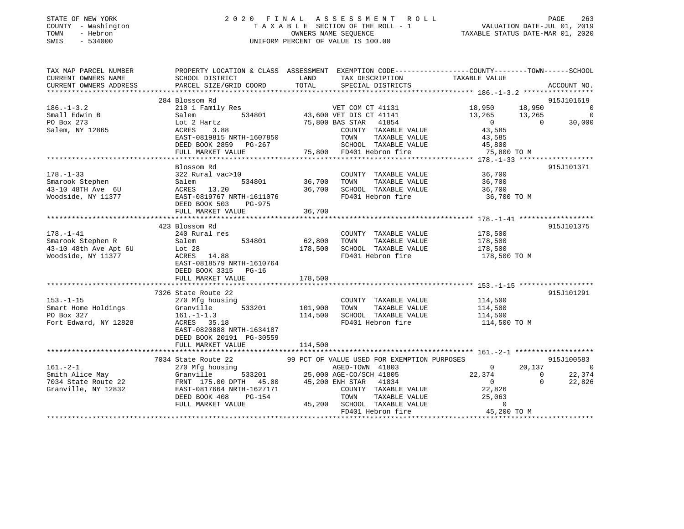| STATE OF NEW YORK<br>COUNTY - Washington<br>TOWN<br>- Hebron<br>SWIS<br>$-534000$                        | 2020 FINAL ASSESSMENT ROLL<br>TAXABLE SECTION OF THE ROLL - 1<br>UNIFORM PERCENT OF VALUE IS 100.00                                                                 | PAGE 263<br>VALUATION DATE-JUL 01, 2019<br>TAXABLE STATUS DATE-MAR 01, 2020 |                                                                                                                                                                       |                                              |  |                                                    |
|----------------------------------------------------------------------------------------------------------|---------------------------------------------------------------------------------------------------------------------------------------------------------------------|-----------------------------------------------------------------------------|-----------------------------------------------------------------------------------------------------------------------------------------------------------------------|----------------------------------------------|--|----------------------------------------------------|
| TAX MAP PARCEL NUMBER<br>CURRENT OWNERS NAME<br>CURRENT OWNERS ADDRESS                                   | PROPERTY LOCATION & CLASS ASSESSMENT EXEMPTION CODE---------------COUNTY-------TOWN-----SCHOOL<br>SCHOOL DISTRICT<br>PARCEL SIZE/GRID COORD TOTAL SPECIAL DISTRICTS |                                                                             | LAND TAX DESCRIPTION TAXABLE VALUE                                                                                                                                    |                                              |  | ACCOUNT NO.                                        |
|                                                                                                          | 284 Blossom Rd                                                                                                                                                      |                                                                             |                                                                                                                                                                       |                                              |  | 915J101619                                         |
| $186. - 1 - 3.2$<br>Small Edwin B<br>PO Box 273<br>Salem, NY 12865<br>$178. - 1 - 33$<br>Smarook Stephen | 210 1 Family Res<br>Salem<br>Lot 2 Hartz<br>3.88<br>ACRES<br>EAST-0819815 NRTH-1607850 TOWN<br>Blossom Rd<br>322 Rural vac>10<br>Salem                              | 534801 36,700 TOWN                                                          | VET COM CT 41131 18,950 18,950<br>534801 43,600 VET DIS CT 41141 13,265 13,265<br>75,800 BAS STAR 41854<br>COUNTY TAXABLE VALUE 43,585<br>COUNTY TAXABLE VALUE 36,700 | TAXABLE VALUE 43,585<br>TAXABLE VALUE 36,700 |  | $\sim$ 0<br>$\overline{0}$<br>30,000<br>915J101371 |
| 43-10 48TH Ave 6U<br>Woodside, NY 11377                                                                  | ACRES 13.20<br>EAST-0819767 NRTH-1611076<br>DEED BOOK 503<br>PG-975<br>FULL MARKET VALUE                                                                            | 36,700                                                                      | 36,700 SCHOOL TAXABLE VALUE<br>FD401 Hebron fire                                                                                                                      | 36,700<br>36,700 TO M                        |  |                                                    |
|                                                                                                          |                                                                                                                                                                     |                                                                             |                                                                                                                                                                       |                                              |  |                                                    |
| $178. - 1 - 41$<br>Smarook Stephen R<br>43-10 48th Ave Apt 6U Lot 28<br>Woodside, NY 11377               | 423 Blossom Rd<br>240 Rural res<br>534801 62,800 TOWN<br>Salem<br>ACRES 14.88<br>EAST-0818579 NRTH-1610764<br>DEED BOOK 3315<br>$PG-16$                             | 178,500                                                                     | COUNTY TAXABLE VALUE 178,500<br>TAXABLE VALUE<br>SCHOOL TAXABLE VALUE<br>FD401 Hebron fire 178,500 TO M                                                               | 178,500<br>178,500                           |  | 915J101375                                         |
|                                                                                                          | FULL MARKET VALUE                                                                                                                                                   | 178,500                                                                     |                                                                                                                                                                       |                                              |  |                                                    |

915J101291 7326 State Route 22<br>270 Mfg housing<br>Creatill 153.-1-15 270 Mfg housing COUNTY TAXABLE VALUE 114,500 Smart Home Holdings and Granville 533201 101,900 TOWN TAXABLE VALUE 114,500 PO Box 327 161.-1-1.3 114,500 SCHOOL TAXABLE VALUE 114,500 Fort Edward, NY 12828 ACRES 35.18 **FD401** Hebron fire 114,500 TO M EAST-0820888 NRTH-1634187 DEED BOOK 20191 PG-30559FULL MARKET VALUE 114,500 \*\*\*\*\*\*\*\*\*\*\*\*\*\*\*\*\*\*\*\*\*\*\*\*\*\*\*\*\*\*\*\*\*\*\*\*\*\*\*\*\*\*\*\*\*\*\*\*\*\*\*\*\*\*\*\*\*\*\*\*\*\*\*\*\*\*\*\*\*\*\*\*\*\*\*\*\*\*\*\*\*\*\*\*\*\*\*\*\*\*\*\*\*\*\*\*\*\*\*\*\*\*\* 161.-2-1 \*\*\*\*\*\*\*\*\*\*\*\*\*\*\*\*\*\*\*7034 State Route 22 99 PCT OF VALUE USED FOR EXEMPTION PURPOSES 915J100583<br>161.-2-1 270 Mfg housing AGED-TOWN 41803 0 20,137 0 Smith Alice May Granville 533201 25,000 AGE-CO/SCH 41805 22,374 0 22,374 7034 State Route 22 FRNT 175.00 DPTH 45.00 45,200 ENH STAR 41834 0 0 22,826 Granville, NY 12832 EAST-0817664 NRTH-1627171 COUNTY TAXABLE VALUE 22,826 DEED BOOK 408 PG-154 TOWN TAXABLE VALUE 25,063

FULL MARKET VALUE 45,200 SCHOOL TAXABLE VALUE 0

\*\*\*\*\*\*\*\*\*\*\*\*\*\*\*\*\*\*\*\*\*\*\*\*\*\*\*\*\*\*\*\*\*\*\*\*\*\*\*\*\*\*\*\*\*\*\*\*\*\*\*\*\*\*\*\*\*\*\*\*\*\*\*\*\*\*\*\*\*\*\*\*\*\*\*\*\*\*\*\*\*\*\*\*\*\*\*\*\*\*\*\*\*\*\*\*\*\*\*\*\*\*\*\*\*\*\*\*\*\*\*\*\*\*\*\*\*\*\*\*\*\*\*\*\*\*\*\*\*\*\*\*

FD401 Hebron fire 45,200 TO M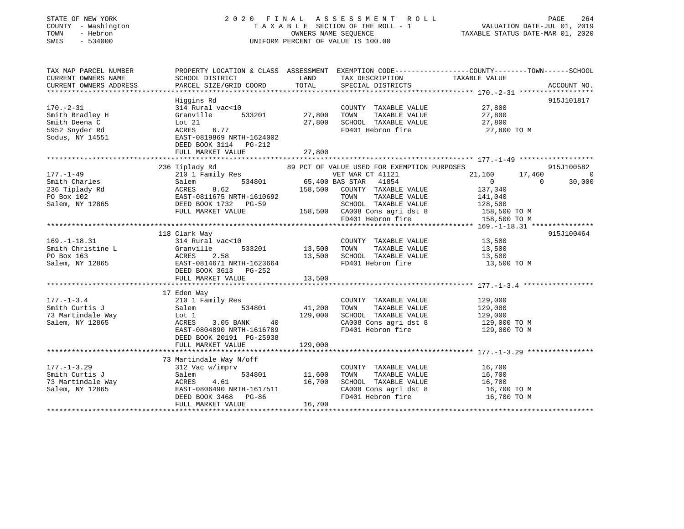# STATE OF NEW YORK 2 0 2 0 F I N A L A S S E S S M E N T R O L L PAGE 264 COUNTY - Washington T A X A B L E SECTION OF THE ROLL - 1 VALUATION DATE-JUL 01, 2019 TOWN - Hebron OWNERS NAME SEQUENCE TAXABLE STATUS DATE-MAR 01, 2020 SWIS - 534000 UNIFORM PERCENT OF VALUE IS 100.00

| TAX MAP PARCEL NUMBER<br>CURRENT OWNERS NAME<br>CURRENT OWNERS ADDRESS                                                          | PROPERTY LOCATION & CLASS ASSESSMENT EXEMPTION CODE---------------COUNTY-------TOWN-----SCHOOL<br>SCHOOL DISTRICT<br>PARCEL SIZE/GRID COORD              | LAND<br>TOTAL                | TAX DESCRIPTION TAXABLE VALUE<br>SPECIAL DISTRICTS                                                                                                                                                                             |                                                                                                                                | ACCOUNT NO.                                        |
|---------------------------------------------------------------------------------------------------------------------------------|----------------------------------------------------------------------------------------------------------------------------------------------------------|------------------------------|--------------------------------------------------------------------------------------------------------------------------------------------------------------------------------------------------------------------------------|--------------------------------------------------------------------------------------------------------------------------------|----------------------------------------------------|
| $170. - 2 - 31$<br>Smith Bradley H<br>Smith Deena C<br>5952 Snyder Rd<br>Sodus, NY 14551                                        | Higgins Rd<br>314 Rural vac<10<br>533201<br>Granville<br>Lot 21<br>6.77<br>ACRES<br>EAST-0819869 NRTH-1624002<br>DEED BOOK 3114 PG-212                   | 27,800<br>27,800             | COUNTY TAXABLE VALUE<br>TAXABLE VALUE<br>TOWN<br>SCHOOL TAXABLE VALUE<br>FD401 Hebron fire                                                                                                                                     | 27,800<br>27,800<br>27,800<br>27,800 TO M                                                                                      | 915J101817                                         |
|                                                                                                                                 |                                                                                                                                                          |                              |                                                                                                                                                                                                                                |                                                                                                                                |                                                    |
| $177. - 1 - 49$<br>Smith Charles<br>236 Tiplady Rd<br>PO Box 102<br>Salem, NY 12865                                             | 236 Tiplady Rd<br>210 1 Family Res<br>Salem<br>ACRES<br>8.62<br>EAST-0811675 NRTH-1610692<br>DEED BOOK 1732 PG-59<br>FULL MARKET VALUE                   | 158,500                      | 89 PCT OF VALUE USED FOR EXEMPTION PURPOSES<br>VET WAR CT 41121<br>534801 65,400 BAS STAR 41854<br>COUNTY TAXABLE VALUE<br>TAXABLE VALUE<br>TOWN<br>SCHOOL TAXABLE VALUE<br>158,500 CA008 Cons agri dst 8<br>FD401 Hebron fire | 21,160<br>17,460<br>$\overline{0}$<br>137,340<br>141,040<br>128,500<br>158,500 TO M<br>e e contra la contra la<br>158,500 TO M | 915J100582<br>$\overline{0}$<br>30,000<br>$\Omega$ |
|                                                                                                                                 | 118 Clark Way                                                                                                                                            |                              |                                                                                                                                                                                                                                |                                                                                                                                | 915J100464                                         |
| $169. - 1 - 18.31$<br>$\begin{array}{ll}\n\text{Smith Christine L} \\ \text{Smith Christine L}\n\end{array}$<br>Salem, NY 12865 | 314 Rural vac<10<br>533201<br>Granville<br>ACRES<br>2.58<br>EAST-0814671 NRTH-1623664<br>DEED BOOK 3613 PG-252<br>FULL MARKET VALUE                      | 13,500<br>13,500<br>13,500   | COUNTY TAXABLE VALUE<br>TOWN<br>TAXABLE VALUE<br>SCHOOL TAXABLE VALUE<br>FD401 Hebron fire                                                                                                                                     | 13,500<br>13,500<br>13,500<br>13,500 TO M                                                                                      |                                                    |
|                                                                                                                                 | 17 Eden Way                                                                                                                                              |                              |                                                                                                                                                                                                                                |                                                                                                                                |                                                    |
| $177. - 1 - 3.4$<br>Smith Curtis J<br>73 Martindale Way<br>Salem, NY 12865                                                      | 210 1 Family Res<br>534801<br>Salem<br>Lot 1<br>3.05 BANK<br>ACRES<br>40<br>EAST-0804890 NRTH-1616789<br>DEED BOOK 20191 PG-25938                        | 41,200<br>129,000<br>129,000 | COUNTY TAXABLE VALUE<br>TOWN<br>TAXABLE VALUE<br>SCHOOL TAXABLE VALUE<br>CA008 Cons agri dst 8<br>FD401 Hebron fire                                                                                                            | 129,000<br>129,000<br>129,000<br>129,000 TO M<br>129,000 TO M                                                                  |                                                    |
|                                                                                                                                 | FULL MARKET VALUE                                                                                                                                        |                              |                                                                                                                                                                                                                                |                                                                                                                                |                                                    |
| $177. - 1 - 3.29$<br>Smith Curtis J<br>73 Martindale Way<br>Salem, NY 12865                                                     | 73 Martindale Way N/off<br>312 Vac w/imprv<br>Salem<br>534801<br>4.61<br>ACRES<br>EAST-0806490 NRTH-1617511<br>DEED BOOK 3468 PG-86<br>FULL MARKET VALUE | 11,600<br>16,700<br>16,700   | COUNTY TAXABLE VALUE<br>TAXABLE VALUE<br>TOWN<br>SCHOOL TAXABLE VALUE<br>CA008 Cons agri dst 8<br>FD401 Hebron fire                                                                                                            | 16,700<br>16,700<br>16,700<br>16,700 TO M<br>16,700 TO M                                                                       |                                                    |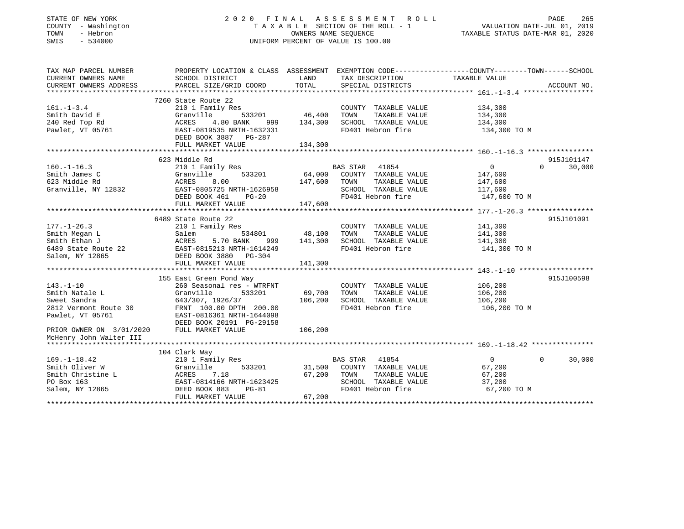# STATE OF NEW YORK 2 0 2 0 F I N A L A S S E S S M E N T R O L L PAGE 265 COUNTY - Washington T A X A B L E SECTION OF THE ROLL - 1 VALUATION DATE-JUL 01, 2019 TOWN - Hebron OWNERS NAME SEQUENCE TAXABLE STATUS DATE-MAR 01, 2020 SWIS - 534000 UNIFORM PERCENT OF VALUE IS 100.00

| TAX MAP PARCEL NUMBER           | PROPERTY LOCATION & CLASS ASSESSMENT EXEMPTION CODE---------------COUNTY-------TOWN------SCHOOL                                                                                                              |         |                                                                                                                                                                    |                                                |                             |
|---------------------------------|--------------------------------------------------------------------------------------------------------------------------------------------------------------------------------------------------------------|---------|--------------------------------------------------------------------------------------------------------------------------------------------------------------------|------------------------------------------------|-----------------------------|
| CURRENT OWNERS NAME             | SCHOOL DISTRICT                                                                                                                                                                                              |         | LAND TAX DESCRIPTION                                                                                                                                               | TAXABLE VALUE                                  |                             |
|                                 |                                                                                                                                                                                                              |         |                                                                                                                                                                    |                                                |                             |
|                                 |                                                                                                                                                                                                              |         |                                                                                                                                                                    |                                                |                             |
|                                 | 7260 State Route 22                                                                                                                                                                                          |         |                                                                                                                                                                    |                                                |                             |
| $161. - 1 - 3.4$                | 210 1 Family Res                                                                                                                                                                                             |         | COUNTY TAXABLE VALUE                                                                                                                                               | 134,300                                        |                             |
| Smith David E<br>240 Red Top Rd | Granville                                                                                                                                                                                                    |         | TAXABLE VALUE                                                                                                                                                      | 134,300                                        |                             |
|                                 | ACRES<br>4.80 BANK                                                                                                                                                                                           |         | 999 134,300 SCHOOL TAXABLE VALUE 134,300                                                                                                                           |                                                |                             |
| Pawlet, VT 05761                | EAST-0819535 NRTH-1632331                                                                                                                                                                                    |         | FD401 Hebron fire                                                                                                                                                  | 134,300 TO M                                   |                             |
|                                 | DEED BOOK 3887 PG-287                                                                                                                                                                                        |         |                                                                                                                                                                    |                                                |                             |
|                                 | FULL MARKET VALUE                                                                                                                                                                                            | 134,300 |                                                                                                                                                                    |                                                |                             |
|                                 |                                                                                                                                                                                                              |         |                                                                                                                                                                    |                                                |                             |
|                                 | 623 Middle Rd                                                                                                                                                                                                |         |                                                                                                                                                                    |                                                | 915J101147                  |
|                                 |                                                                                                                                                                                                              |         |                                                                                                                                                                    | $\begin{array}{c} 0 \\ 147,600 \end{array}$    | $\Omega$<br>30,000          |
|                                 |                                                                                                                                                                                                              |         |                                                                                                                                                                    |                                                |                             |
|                                 |                                                                                                                                                                                                              |         |                                                                                                                                                                    | TAXABLE VALUE 147,600                          |                             |
|                                 |                                                                                                                                                                                                              |         | SCHOOL TAXABLE VALUE 117,600                                                                                                                                       |                                                |                             |
|                                 | 160.-1-16.3<br>Smith James C<br>Smith James C<br>623 Middle Rd<br>Granville, NY 12832<br>SMISS 201<br>EAST-0805725 NRTH-1626958<br>DRED BOOK 461<br>PG-20<br>PG-20<br>PG-20<br>PG-20<br>PG-20<br>PG-20       |         |                                                                                                                                                                    | 147,600 TO M                                   |                             |
|                                 | FULL MARKET VALUE                                                                                                                                                                                            | 147,600 |                                                                                                                                                                    |                                                |                             |
|                                 |                                                                                                                                                                                                              |         |                                                                                                                                                                    |                                                |                             |
|                                 | 6489 State Route 22                                                                                                                                                                                          |         |                                                                                                                                                                    |                                                | 915J101091                  |
| $177. - 1 - 26.3$               | 210 1 Family Res                                                                                                                                                                                             |         | COUNTY TAXABLE VALUE 141,300                                                                                                                                       |                                                |                             |
|                                 |                                                                                                                                                                                                              |         | TAXABLE VALUE                                                                                                                                                      | 141,300<br>141,300                             |                             |
|                                 |                                                                                                                                                                                                              |         | $534801 \qquad \qquad 48,100 \qquad \qquad 70WN \qquad \qquad 7AXABLE VALUEBANK \qquad 999 \qquad \qquad 141,300 \qquad \qquad SCHOOL \qquad \qquad TAXABLE VALUE$ |                                                |                             |
|                                 |                                                                                                                                                                                                              |         | FD401 Hebron fire 141,300 TO M                                                                                                                                     |                                                |                             |
|                                 | Smith Megan L<br>Smith Ethan J<br>Salem 534801<br>Smith Ethan J<br>ACRES 5.70 BANK 999<br>6489 State Route 22<br>EAST-0815213 NRTH-1614249<br>Salem, NY 12865<br>DEED BOOK 3880 PG-304<br>FIILL MARKET VALUE |         |                                                                                                                                                                    |                                                |                             |
|                                 | FULL MARKET VALUE                                                                                                                                                                                            | 141,300 |                                                                                                                                                                    |                                                |                             |
|                                 |                                                                                                                                                                                                              |         |                                                                                                                                                                    |                                                |                             |
|                                 | 155 East Green Pond Way                                                                                                                                                                                      |         |                                                                                                                                                                    |                                                | 915J100598                  |
| $143. - 1 - 10$                 | 260 Seasonal res - WTRFNT                                                                                                                                                                                    |         | COUNTY TAXABLE VALUE 106,200                                                                                                                                       |                                                |                             |
| Smith Natale L                  | Granville<br>533201                                                                                                                                                                                          |         |                                                                                                                                                                    |                                                |                             |
| Sweet Sandra                    | 643/307, 1926/37                                                                                                                                                                                             |         |                                                                                                                                                                    | TAXABLE VALUE 106,200<br>TAXABLE VALUE 106,200 |                             |
|                                 | 2812 Vermont Route 30 FRNT 100.00 DPTH 200.00                                                                                                                                                                |         | 3201 69,700 TOWN TAXABLE VALUE<br>106,200 SCHOOL TAXABLE VALUE<br>200.00 FD401 Hebron fire<br>FD401 Hebron fire                                                    | 106,200 TO M                                   |                             |
| Pawlet, VT 05761                | EAST-0816361 NRTH-1644098<br>DEED BOOK 20191 PG-29158                                                                                                                                                        |         |                                                                                                                                                                    |                                                |                             |
|                                 |                                                                                                                                                                                                              |         |                                                                                                                                                                    |                                                |                             |
| PRIOR OWNER ON 3/01/2020        | FULL MARKET VALUE                                                                                                                                                                                            | 106,200 |                                                                                                                                                                    |                                                |                             |
| McHenry John Walter III         |                                                                                                                                                                                                              |         |                                                                                                                                                                    |                                                |                             |
|                                 |                                                                                                                                                                                                              |         |                                                                                                                                                                    |                                                |                             |
|                                 | 104 Clark Way                                                                                                                                                                                                |         |                                                                                                                                                                    |                                                |                             |
| $169. - 1 - 18.42$              |                                                                                                                                                                                                              |         |                                                                                                                                                                    | $\overline{0}$                                 | $0 \qquad \qquad$<br>30,000 |
| Smith Oliver W                  | Granville                                                                                                                                                                                                    |         | 533201 31,500 COUNTY TAXABLE VALUE 67,200                                                                                                                          |                                                |                             |
|                                 |                                                                                                                                                                                                              |         | 67,200 TOWN                                                                                                                                                        | 67,200                                         |                             |
|                                 |                                                                                                                                                                                                              |         | TOWN        TAXABLE  VALUE<br>SCHOOL    TAXABLE  VALUE                                                                                                             | 37,200                                         |                             |
|                                 | Smith Christine L<br>PO Box 163 EAST-0814166 NRTH-1623425<br>Salem, NY 12865 DEED BOOK 883 PG-81                                                                                                             |         | FD401 Hebron fire                                                                                                                                                  | 67,200 TO M                                    |                             |
|                                 | FULL MARKET VALUE                                                                                                                                                                                            | 67,200  |                                                                                                                                                                    |                                                |                             |
|                                 |                                                                                                                                                                                                              |         |                                                                                                                                                                    |                                                |                             |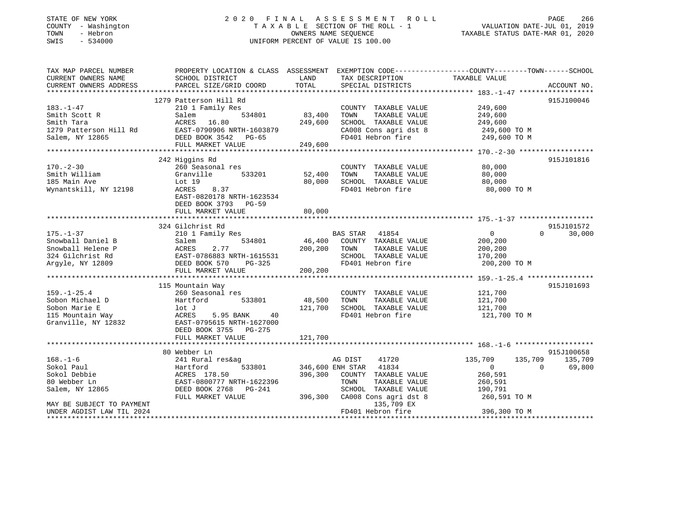# STATE OF NEW YORK 2 0 2 0 F I N A L A S S E S S M E N T R O L L PAGE 266 COUNTY - Washington T A X A B L E SECTION OF THE ROLL - 1 VALUATION DATE-JUL 01, 2019 TOWN - Hebron OWNERS NAME SEQUENCE TAXABLE STATUS DATE-MAR 01, 2020 SWIS - 534000 UNIFORM PERCENT OF VALUE IS 100.00

| TAX MAP PARCEL NUMBER             | PROPERTY LOCATION & CLASS ASSESSMENT EXEMPTION CODE---------------COUNTY-------TOWN-----SCHOOL                                                                                                            |          |                                    |                                  |                    |
|-----------------------------------|-----------------------------------------------------------------------------------------------------------------------------------------------------------------------------------------------------------|----------|------------------------------------|----------------------------------|--------------------|
| CURRENT OWNERS NAME               | SCHOOL DISTRICT                                                                                                                                                                                           | LAND     | TAX DESCRIPTION                    | TAXABLE VALUE                    |                    |
|                                   | CURRENT OWNERS NAME SCHOOL DISTRICT BOOK DAND THA DESCRIPTION THAABLE VALUE ACCOUNT NO.<br>CURRENT OWNERS ADDRESS PARCEL SIZE/GRID COORD TOTAL SPECIAL DISTRICTS 183.-1-47 ****************************** |          |                                    |                                  |                    |
|                                   |                                                                                                                                                                                                           |          |                                    |                                  |                    |
|                                   | 1279 Patterson Hill Rd                                                                                                                                                                                    |          |                                    |                                  | 915J100046         |
| $183. - 1 - 47$                   | 210 1 Family Res                                                                                                                                                                                          |          | COUNTY TAXABLE VALUE               | 249,600                          |                    |
| Smith Scott R                     | 534801<br>Salem                                                                                                                                                                                           | 83,400   | TAXABLE VALUE<br>TOWN              | 249,600                          |                    |
| Smith Tara                        | ACRES 16.80                                                                                                                                                                                               | 249,600  | SCHOOL TAXABLE VALUE               | سان, 249<br>249, 249             |                    |
|                                   | 1279 Patterson Hill Rd EAST-0790906 NRTH-1603879                                                                                                                                                          |          | CA008 Cons agri dst 8 249,600 TO M |                                  |                    |
| Salem, NY 12865                   | DEED BOOK 3542 PG-65                                                                                                                                                                                      |          | FD401 Hebron fire                  | 249,600 TO M                     |                    |
|                                   | FULL MARKET VALUE                                                                                                                                                                                         | 249,600  |                                    |                                  |                    |
|                                   |                                                                                                                                                                                                           |          |                                    |                                  |                    |
|                                   | 242 Higgins Rd                                                                                                                                                                                            |          |                                    |                                  | 915J101816         |
| $170. - 2 - 30$                   | 260 Seasonal res                                                                                                                                                                                          |          | COUNTY TAXABLE VALUE               | 80,000                           |                    |
| Smith William                     | Granville<br>533201                                                                                                                                                                                       | 52,400   | TAXABLE VALUE<br>TOWN              | 80,000                           |                    |
| 185 Main Ave                      | Lot 19                                                                                                                                                                                                    | 80,000   | SCHOOL TAXABLE VALUE               | 80,000                           |                    |
| Wynantskill, NY 12198             | ACRES<br>8.37                                                                                                                                                                                             |          | FD401 Hebron fire                  | 80,000 TO M                      |                    |
|                                   | EAST-0820178 NRTH-1623534                                                                                                                                                                                 |          |                                    |                                  |                    |
|                                   | DEED BOOK 3793 PG-59                                                                                                                                                                                      |          |                                    |                                  |                    |
|                                   | FULL MARKET VALUE                                                                                                                                                                                         | 80,000   |                                    |                                  |                    |
|                                   |                                                                                                                                                                                                           |          |                                    |                                  |                    |
|                                   | 324 Gilchrist Rd                                                                                                                                                                                          |          |                                    |                                  | 915J101572         |
| $175. - 1 - 37$                   | 210 1 Family Res                                                                                                                                                                                          |          | BAS STAR<br>41854                  | $\overline{0}$                   | 30,000<br>$\Omega$ |
| Snowball Daniel B                 | 534801<br>Salem                                                                                                                                                                                           | 46,400   | COUNTY TAXABLE VALUE               | 200,200                          |                    |
| Snowball Helene P                 | 2.77<br>ACRES                                                                                                                                                                                             |          | 200,200 TOWN<br>TAXABLE VALUE      | 200,200                          |                    |
| 324 Gilchrist Rd                  | EAST-0786883 NRTH-1615531                                                                                                                                                                                 |          | SCHOOL TAXABLE VALUE               | 170,200                          |                    |
| Argyle, NY 12809                  | EAST-0786883 NRTH-1615531<br>DEED BOOK 570 PG-325                                                                                                                                                         |          | FD401 Hebron fire                  | 200,200 TO M                     |                    |
|                                   | FULL MARKET VALUE                                                                                                                                                                                         | 200, 200 |                                    |                                  |                    |
|                                   |                                                                                                                                                                                                           |          |                                    |                                  |                    |
|                                   | 115 Mountain Way                                                                                                                                                                                          |          |                                    |                                  | 915J101693         |
| $159. - 1 - 25.4$                 | 260 Seasonal res                                                                                                                                                                                          |          | COUNTY TAXABLE VALUE               | 121,700                          |                    |
| Sobon Michael D                   | Hartford 533801                                                                                                                                                                                           | 48,500   | TAXABLE VALUE<br>TOWN              | 121,700                          |                    |
|                                   | lot J                                                                                                                                                                                                     | 121,700  | SCHOOL TAXABLE VALUE               | 121,700                          |                    |
| sowon Marie E<br>115 Mountain Way | ACRES<br>5.95 BANK<br>40                                                                                                                                                                                  |          | FD401 Hebron fire                  | 121,700 TO M                     |                    |
| Granville, NY 12832               | EAST-0795615 NRTH-1627000                                                                                                                                                                                 |          |                                    |                                  |                    |
|                                   | DEED BOOK 3755 PG-275                                                                                                                                                                                     |          |                                    |                                  |                    |
|                                   | FULL MARKET VALUE                                                                                                                                                                                         | 121,700  |                                    |                                  |                    |
|                                   |                                                                                                                                                                                                           |          |                                    |                                  |                    |
|                                   | 80 Webber Ln                                                                                                                                                                                              |          |                                    |                                  | 915J100658         |
| $168. - 1 - 6$                    | 241 Rural res&ag                                                                                                                                                                                          |          | 41720<br>AG DIST                   | 135,709<br>135,709               | 135,709            |
| Sokol Paul                        | 533801<br>Hartford                                                                                                                                                                                        |          | 346,600 ENH STAR 41834             | $\overline{0}$<br>$\overline{0}$ | 69,800             |
| Sokol Debbie                      | ACRES 178.50                                                                                                                                                                                              |          | 396,300 COUNTY TAXABLE VALUE       | 260,591                          |                    |
| 80 Webber Ln                      | EAST-0800777 NRTH-1622396                                                                                                                                                                                 |          | TAXABLE VALUE<br>TOWN              | 260,591                          |                    |
| Salem, NY 12865                   | DEED BOOK 2768 PG-241                                                                                                                                                                                     |          | SCHOOL TAXABLE VALUE               | 190,791                          |                    |
|                                   | FULL MARKET VALUE                                                                                                                                                                                         | 396,300  | CA008 Cons agri dst 8              | 260,591 TO M                     |                    |
| MAY BE SUBJECT TO PAYMENT         |                                                                                                                                                                                                           |          | 135,709 EX                         |                                  |                    |
| UNDER AGDIST LAW TIL 2024         |                                                                                                                                                                                                           |          | FD401 Hebron fire                  | 396,300 TO M                     |                    |
|                                   |                                                                                                                                                                                                           |          |                                    |                                  |                    |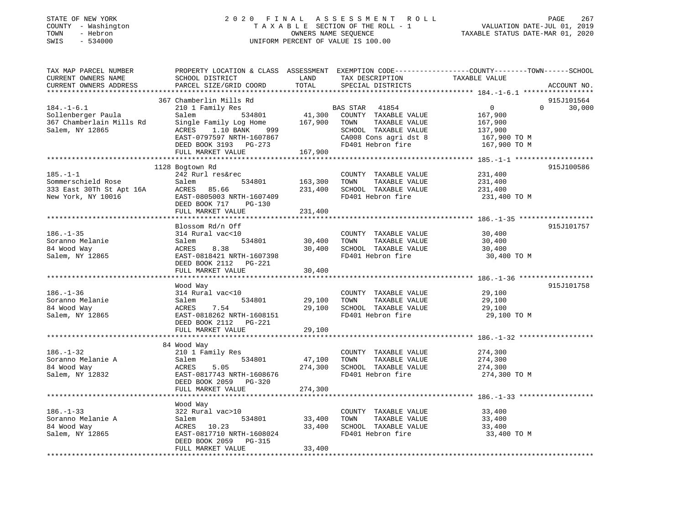| STATE OF NEW YORK<br>- Washington<br>COUNTY<br>- Hebron<br>TOWN<br>$-534000$<br>SWIS                                                            |                                     |                | 2020 FINAL ASSESSMENT ROLL<br>TAXABLE SECTION OF THE ROLL - 1<br>OWNERS NAME SEQUENCE<br>UNIFORM PERCENT OF VALUE IS 100.00 | VALUATION DATE-JUL 01, 2019<br>TAXABLE STATUS DATE-MAR 01, 2020 | 267<br>PAGE           |
|-------------------------------------------------------------------------------------------------------------------------------------------------|-------------------------------------|----------------|-----------------------------------------------------------------------------------------------------------------------------|-----------------------------------------------------------------|-----------------------|
| TAX MAP PARCEL NUMBER THE PROPERTY LOCATION & CLASS ASSESSMENT EXEMPTION CODE---------------COUNTY-------TOWN-----SCHOOL<br>CURRENT OWNERS NAME | SCHOOL DISTRICT                     | LAND           | TAX DESCRIPTION TAXABLE VALUE                                                                                               |                                                                 |                       |
| CURRENT OWNERS ADDRESS                                                                                                                          | PARCEL SIZE/GRID COORD              |                | TOTAL SPECIAL DISTRICTS                                                                                                     |                                                                 | ACCOUNT NO.           |
|                                                                                                                                                 |                                     |                |                                                                                                                             |                                                                 |                       |
|                                                                                                                                                 | 367 Chamberlin Mills Rd             |                |                                                                                                                             |                                                                 | 915J101564            |
| $184. -1 - 6.1$                                                                                                                                 | 210 1 Family Res                    |                | <b>BAS STAR</b> 41854                                                                                                       | $\overline{0}$                                                  | $\mathbf 0$<br>30,000 |
| Sollenberger Paula                                                                                                                              | Salem                               |                | 534801 41,300 COUNTY TAXABLE VALUE 167,900                                                                                  |                                                                 |                       |
| 367 Chamberlain Mills Rd                                                                                                                        | Single Family Log Home 167,900 TOWN |                |                                                                                                                             | TAXABLE VALUE 167,900                                           |                       |
| Salem, NY 12865                                                                                                                                 | 1.10 BANK 999<br>ACRES              |                | SCHOOL TAXABLE VALUE 137,900                                                                                                |                                                                 |                       |
|                                                                                                                                                 | EAST-0797597 NRTH-1607867           |                | CA008 Cons agri dst 8 167,900 TO M                                                                                          |                                                                 |                       |
|                                                                                                                                                 | DEED BOOK 3193 PG-273               |                | FD401 Hebron fire 167,900 TO M                                                                                              |                                                                 |                       |
|                                                                                                                                                 | FULL MARKET VALUE 167,900           |                |                                                                                                                             |                                                                 |                       |
|                                                                                                                                                 |                                     |                |                                                                                                                             |                                                                 |                       |
|                                                                                                                                                 | 1128 Bogtown Rd                     |                |                                                                                                                             |                                                                 | 915J100586            |
| $185. -1 - 1$                                                                                                                                   | 242 Rurl res&rec                    |                | COUNTY TAXABLE VALUE                                                                                                        | 231,400                                                         |                       |
| Sommerschield Rose                                                                                                                              | Salem                               | 534801 163,300 | TOWN<br>TAXABLE VALUE                                                                                                       | 231,400                                                         |                       |
| 333 East 30Th St Apt 16A ACRES 85.66                                                                                                            |                                     | 231,400        | SCHOOL TAXABLE VALUE                                                                                                        | 231,400                                                         |                       |
| New York, NY 10016                                                                                                                              | EAST-0805003 NRTH-1607409           |                | FD401 Hebron fire 331,400 TO M                                                                                              |                                                                 |                       |
|                                                                                                                                                 | DEED BOOK 717<br>PG-130             |                |                                                                                                                             |                                                                 |                       |
|                                                                                                                                                 | FULL MARKET VALUE                   | 231,400        |                                                                                                                             |                                                                 |                       |
|                                                                                                                                                 | Blossom Rd/n Off                    |                |                                                                                                                             |                                                                 | 915J101757            |

| $186. - 1 - 35$<br>Soranno Melanie | 314 Rural vac<10<br>Salem 534801 30,400                                                                               |        | COUNTY TAXABLE VALUE<br>TOWN TAXABLE VALUE<br>30,400 SCHOOL TAXABLE VALUE<br>FD401 Hebron fire 30,400 TO M | 30,400<br>30,400<br>30,400                    |            |
|------------------------------------|-----------------------------------------------------------------------------------------------------------------------|--------|------------------------------------------------------------------------------------------------------------|-----------------------------------------------|------------|
|                                    | DEED BOOK 2112    PG-221<br>FULL MARKET VALUE 30,400                                                                  |        |                                                                                                            |                                               |            |
|                                    | Wood Way                                                                                                              |        |                                                                                                            |                                               | 915J101758 |
|                                    |                                                                                                                       |        | COUNTY TAXABLE VALUE<br>TAXABLE VALUE<br>FD401 Hebron fire 39,100 TO M                                     | 29,100<br>29,100                              |            |
|                                    | FULL MARKET VALUE 29,100                                                                                              |        |                                                                                                            |                                               |            |
|                                    | 84 Wood Way                                                                                                           |        |                                                                                                            |                                               |            |
|                                    | DEED BOOK 2059 PG-320                                                                                                 |        | COUNTY TAXABLE VALUE<br>TAXABLE VALUE<br>SCHOOL TAXABLE VALUE<br>FD401 Hebron fire                         | 274,300<br>274,300<br>274,300<br>274,300 TO M |            |
|                                    |                                                                                                                       |        |                                                                                                            |                                               |            |
|                                    | Wood Way                                                                                                              |        |                                                                                                            |                                               |            |
| Soranno Melanie A<br>84 Wood Way   | 534801 33,400<br>Salem<br>ACRES 10.23<br>33,400<br>Salem, NY 12865 EAST-0817710 NRTH-1608024<br>DEED BOOK 2059 PG-315 |        | COUNTY TAXABLE VALUE<br>TOWN TAXABLE VALUE<br>SCHOOL TAXABLE VALUE<br>FD401 Hebron fire                    | 33,400<br>33,400<br>33,400<br>33,400 TO M     |            |
|                                    | FULL MARKET VALUE                                                                                                     | 33,400 |                                                                                                            |                                               |            |

\*\*\*\*\*\*\*\*\*\*\*\*\*\*\*\*\*\*\*\*\*\*\*\*\*\*\*\*\*\*\*\*\*\*\*\*\*\*\*\*\*\*\*\*\*\*\*\*\*\*\*\*\*\*\*\*\*\*\*\*\*\*\*\*\*\*\*\*\*\*\*\*\*\*\*\*\*\*\*\*\*\*\*\*\*\*\*\*\*\*\*\*\*\*\*\*\*\*\*\*\*\*\*\*\*\*\*\*\*\*\*\*\*\*\*\*\*\*\*\*\*\*\*\*\*\*\*\*\*\*\*\*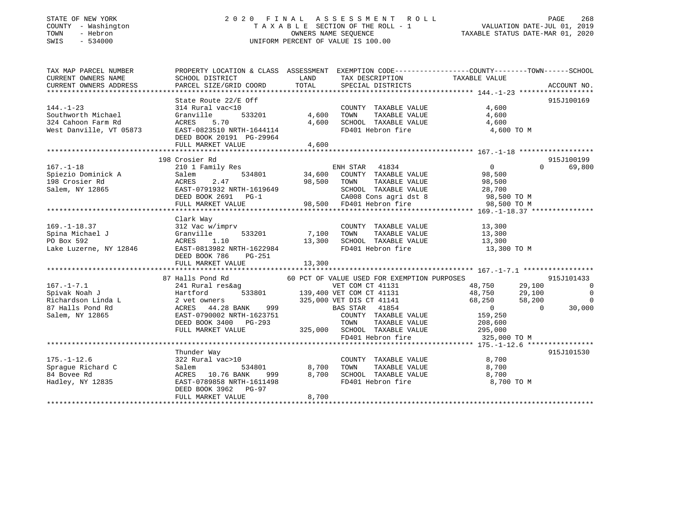# STATE OF NEW YORK 2 0 2 0 F I N A L A S S E S S M E N T R O L L PAGE 268 COUNTY - Washington T A X A B L E SECTION OF THE ROLL - 1 VALUATION DATE-JUL 01, 2019 TOWN - Hebron OWNERS NAME SEQUENCE TAXABLE STATUS DATE-MAR 01, 2020 SWIS - 534000 UNIFORM PERCENT OF VALUE IS 100.00

| TAX MAP PARCEL NUMBER                                                                                                                                                                                                                                    |                                                                                                                                                                                                                                        |                            | PROPERTY LOCATION & CLASS ASSESSMENT EXEMPTION CODE----------------COUNTY-------TOWN------SCHOOL |            |
|----------------------------------------------------------------------------------------------------------------------------------------------------------------------------------------------------------------------------------------------------------|----------------------------------------------------------------------------------------------------------------------------------------------------------------------------------------------------------------------------------------|----------------------------|--------------------------------------------------------------------------------------------------|------------|
|                                                                                                                                                                                                                                                          |                                                                                                                                                                                                                                        |                            |                                                                                                  |            |
|                                                                                                                                                                                                                                                          |                                                                                                                                                                                                                                        |                            |                                                                                                  |            |
|                                                                                                                                                                                                                                                          |                                                                                                                                                                                                                                        |                            |                                                                                                  |            |
|                                                                                                                                                                                                                                                          |                                                                                                                                                                                                                                        |                            |                                                                                                  |            |
|                                                                                                                                                                                                                                                          |                                                                                                                                                                                                                                        |                            |                                                                                                  |            |
|                                                                                                                                                                                                                                                          |                                                                                                                                                                                                                                        |                            |                                                                                                  |            |
|                                                                                                                                                                                                                                                          |                                                                                                                                                                                                                                        |                            |                                                                                                  |            |
|                                                                                                                                                                                                                                                          |                                                                                                                                                                                                                                        |                            |                                                                                                  |            |
|                                                                                                                                                                                                                                                          |                                                                                                                                                                                                                                        |                            |                                                                                                  |            |
|                                                                                                                                                                                                                                                          |                                                                                                                                                                                                                                        |                            |                                                                                                  |            |
| 314 Rural vac<10<br>State Route 22/E Off<br>314 Rural vac<10<br>314 Rural vac<10<br>314 Rural vac<10<br>324 Cahoon Farm Rd<br>324 Cahoon Farm Rd<br>324 Cahoon Farm Rd<br>324 Cahoon Farm Rd<br>324 Cahoon Farm Rd<br>324 Cahoon Farm Rd<br>324 Caho     |                                                                                                                                                                                                                                        |                            |                                                                                                  |            |
|                                                                                                                                                                                                                                                          |                                                                                                                                                                                                                                        |                            |                                                                                                  |            |
|                                                                                                                                                                                                                                                          | 198 Crosier Rd                                                                                                                                                                                                                         |                            |                                                                                                  | 915J100199 |
|                                                                                                                                                                                                                                                          |                                                                                                                                                                                                                                        |                            |                                                                                                  |            |
|                                                                                                                                                                                                                                                          |                                                                                                                                                                                                                                        |                            |                                                                                                  |            |
|                                                                                                                                                                                                                                                          |                                                                                                                                                                                                                                        |                            |                                                                                                  |            |
|                                                                                                                                                                                                                                                          |                                                                                                                                                                                                                                        |                            |                                                                                                  |            |
|                                                                                                                                                                                                                                                          |                                                                                                                                                                                                                                        |                            |                                                                                                  |            |
|                                                                                                                                                                                                                                                          |                                                                                                                                                                                                                                        |                            |                                                                                                  |            |
|                                                                                                                                                                                                                                                          |                                                                                                                                                                                                                                        |                            |                                                                                                  |            |
|                                                                                                                                                                                                                                                          | Clark Way                                                                                                                                                                                                                              |                            |                                                                                                  |            |
|                                                                                                                                                                                                                                                          |                                                                                                                                                                                                                                        |                            |                                                                                                  |            |
| Clark Way<br>Spina Michael J<br>Spina Michael J<br>Spina Michael J<br>Spina Michael J<br>Spina Michael J<br>Spina Michael J<br>Spina Michael J<br>Spina Michael J<br>Spina Michael J<br>Spina Michael J<br>Spina Michael J<br>Spina Michael J<br>Spina M |                                                                                                                                                                                                                                        |                            |                                                                                                  |            |
|                                                                                                                                                                                                                                                          |                                                                                                                                                                                                                                        |                            |                                                                                                  |            |
|                                                                                                                                                                                                                                                          |                                                                                                                                                                                                                                        |                            | 13,300 TO M                                                                                      |            |
|                                                                                                                                                                                                                                                          |                                                                                                                                                                                                                                        |                            |                                                                                                  |            |
|                                                                                                                                                                                                                                                          |                                                                                                                                                                                                                                        |                            |                                                                                                  |            |
|                                                                                                                                                                                                                                                          |                                                                                                                                                                                                                                        |                            |                                                                                                  |            |
|                                                                                                                                                                                                                                                          | 87 Halls Pond Rd 60 PCT OF VALUE USED FOR EXEMPTION PURPOSES                                                                                                                                                                           |                            |                                                                                                  | 915J101433 |
|                                                                                                                                                                                                                                                          |                                                                                                                                                                                                                                        |                            |                                                                                                  |            |
|                                                                                                                                                                                                                                                          |                                                                                                                                                                                                                                        |                            |                                                                                                  |            |
|                                                                                                                                                                                                                                                          |                                                                                                                                                                                                                                        |                            |                                                                                                  |            |
| 167.-1-7.1 (1999)<br>Spivak Noah J<br>Spivak Noah J<br>Spivak Noah J<br>2 141 Rural res&ag<br>2 139,400 VET COM CT 41131<br>2 139,400 VET COM CT 41131<br>2 139,400 VET COM CT 41131<br>2 29,100<br>325,000 VET DIS CT 41141<br>325,000 VET DIS CT       |                                                                                                                                                                                                                                        |                            |                                                                                                  |            |
|                                                                                                                                                                                                                                                          | EAST-0790002 NRTH-1623751<br>EAST-0790002 NRTH-1623751 COUNTY TAXABLE VALUE 159,250<br>DEED BOOK 3400 PG-293 TOWN TAXABLE VALUE 208,600<br>FULL MARKET VALUE 325,000 SCHOOL TAXABLE VALUE 295,000 TO M<br>FD401 Hebron fire 325,000 TO |                            |                                                                                                  |            |
|                                                                                                                                                                                                                                                          |                                                                                                                                                                                                                                        |                            |                                                                                                  |            |
|                                                                                                                                                                                                                                                          |                                                                                                                                                                                                                                        |                            |                                                                                                  |            |
|                                                                                                                                                                                                                                                          |                                                                                                                                                                                                                                        |                            |                                                                                                  |            |
|                                                                                                                                                                                                                                                          |                                                                                                                                                                                                                                        |                            |                                                                                                  |            |
|                                                                                                                                                                                                                                                          |                                                                                                                                                                                                                                        |                            |                                                                                                  |            |
|                                                                                                                                                                                                                                                          | Thunder Way                                                                                                                                                                                                                            |                            |                                                                                                  | 915J101530 |
| $175. - 1 - 12.6$                                                                                                                                                                                                                                        | $322$ Rural vac>10                                                                                                                                                                                                                     | COUNTY TAXABLE VALUE 8,700 |                                                                                                  |            |
| Sprague Richard C<br>Salem 534801 8,700 TOWN TAXABLE VALUE 8,700<br>84 Bovee Rd ACRES 10.76 BANK 999 8,700 SCHOOL TAXABLE VALUE 8,700<br>Hadley, NY 12835 EAST-0789858 NRTH-1611498<br>FD401 Hebron fire 8,700 TO M<br>FD401 Hebron fire                 |                                                                                                                                                                                                                                        |                            |                                                                                                  |            |
|                                                                                                                                                                                                                                                          |                                                                                                                                                                                                                                        |                            |                                                                                                  |            |
|                                                                                                                                                                                                                                                          |                                                                                                                                                                                                                                        |                            |                                                                                                  |            |
|                                                                                                                                                                                                                                                          |                                                                                                                                                                                                                                        |                            |                                                                                                  |            |
|                                                                                                                                                                                                                                                          | DEED BOOK 3962 PG-97<br>THE MADKET VALUE 68,700                                                                                                                                                                                        |                            |                                                                                                  |            |
|                                                                                                                                                                                                                                                          |                                                                                                                                                                                                                                        |                            |                                                                                                  |            |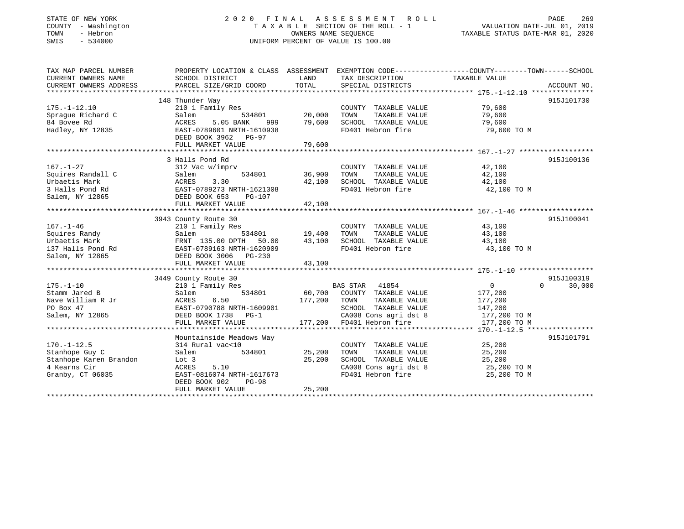# STATE OF NEW YORK 2 0 2 0 F I N A L A S S E S S M E N T R O L L PAGE 269COUNTY - Washington T A X A B L E SECTION OF THE ROLL - 1 VALUATION DATE-JUL 01, 2019 SWIS - 534000 UNIFORM PERCENT OF VALUE IS 100.00

# VALUATION DATE-JUL 01, 2019

TAXABLE STATUS DATE-MAR 01, 2020

| TAX MAP PARCEL NUMBER<br>CURRENT OWNERS NAME<br>CURRENT OWNERS ADDRESS                            | PROPERTY LOCATION & CLASS ASSESSMENT<br>SCHOOL DISTRICT<br>PARCEL SIZE/GRID COORD                                                                                            | LAND<br>TOTAL              | TAX DESCRIPTION<br>SPECIAL DISTRICTS                                                                                                         | EXEMPTION CODE-----------------COUNTY-------TOWN------SCHOOL<br>TAXABLE VALUE<br>ACCOUNT NO.                        |
|---------------------------------------------------------------------------------------------------|------------------------------------------------------------------------------------------------------------------------------------------------------------------------------|----------------------------|----------------------------------------------------------------------------------------------------------------------------------------------|---------------------------------------------------------------------------------------------------------------------|
| $175. - 1 - 12.10$<br>Spraque Richard C<br>84 Bovee Rd<br>Hadley, NY 12835                        | 148 Thunder Way<br>210 1 Family Res<br>Salem<br>534801<br>ACRES<br>5.05 BANK<br>999<br>EAST-0789601 NRTH-1610938<br>DEED BOOK 3962 PG-97                                     | 20,000<br>79,600           | COUNTY TAXABLE VALUE<br>TAXABLE VALUE<br>TOWN<br>SCHOOL TAXABLE VALUE<br>FD401 Hebron fire                                                   | 915J101730<br>79,600<br>79,600<br>79,600<br>79,600 TO M                                                             |
|                                                                                                   | FULL MARKET VALUE                                                                                                                                                            | 79,600                     |                                                                                                                                              |                                                                                                                     |
| $167. - 1 - 27$<br>Squires Randall C<br>Urbaetis Mark<br>3 Halls Pond Rd<br>Salem, NY 12865       | 3 Halls Pond Rd<br>312 Vac w/imprv<br>534801<br>Salem<br>3.30<br>ACRES<br>EAST-0789273 NRTH-1621308<br>DEED BOOK 653<br>PG-107<br>FULL MARKET VALUE                          | 36,900<br>42,100<br>42,100 | COUNTY TAXABLE VALUE<br>TOWN<br>TAXABLE VALUE<br>SCHOOL TAXABLE VALUE<br>FD401 Hebron fire                                                   | 915J100136<br>42,100<br>42,100<br>42,100<br>42,100 TO M                                                             |
|                                                                                                   | 3943 County Route 30                                                                                                                                                         |                            |                                                                                                                                              | 915J100041                                                                                                          |
| $167. - 1 - 46$<br>Squires Randy<br>Urbaetis Mark<br>137 Halls Pond Rd<br>Salem, NY 12865         | 210 1 Family Res<br>534801<br>Salem<br>FRNT 135.00 DPTH<br>50.00<br>EAST-0789163 NRTH-1620909<br>DEED BOOK 3006 PG-230<br>FULL MARKET VALUE                                  | 19,400<br>43,100<br>43,100 | COUNTY TAXABLE VALUE<br>TOWN<br>TAXABLE VALUE<br>SCHOOL TAXABLE VALUE<br>FD401 Hebron fire                                                   | 43,100<br>43,100<br>43,100<br>43,100 TO M                                                                           |
|                                                                                                   |                                                                                                                                                                              |                            |                                                                                                                                              |                                                                                                                     |
| $175. - 1 - 10$<br>Stamm Jared B<br>Nave William R Jr<br>PO Box 47<br>Salem, NY 12865             | 3449 County Route 30<br>210 1 Family Res<br>534801<br>Salem<br>ACRES<br>6.50<br>EAST-0790788 NRTH-1609901<br>DEED BOOK 1738 PG-1<br>FULL MARKET VALUE                        | 177,200<br>177,200         | BAS STAR 41854<br>60,700 COUNTY TAXABLE VALUE<br>TAXABLE VALUE<br>TOWN<br>SCHOOL TAXABLE VALUE<br>CA008 Cons agri dst 8<br>FD401 Hebron fire | 915J100319<br>$\Omega$<br>$\overline{0}$<br>30,000<br>177,200<br>177,200<br>147,200<br>177,200 TO M<br>177,200 TO M |
|                                                                                                   |                                                                                                                                                                              |                            |                                                                                                                                              |                                                                                                                     |
| $170. - 1 - 12.5$<br>Stanhope Guy C<br>Stanhope Karen Brandon<br>4 Kearns Cir<br>Granby, CT 06035 | Mountainside Meadows Way<br>314 Rural vac<10<br>Salem<br>534801<br>Lot 3<br>ACRES<br>5.10<br>EAST-0816074 NRTH-1617673<br>DEED BOOK 902<br><b>PG-98</b><br>FULL MARKET VALUE | 25,200<br>25,200<br>25,200 | COUNTY TAXABLE VALUE<br>TOWN<br>TAXABLE VALUE<br>SCHOOL TAXABLE VALUE<br>CA008 Cons agri dst 8<br>FD401 Hebron fire                          | 915J101791<br>25,200<br>25,200<br>25,200<br>$25,200$ TO M<br>$25,200$ TO M<br>25,200 TO M                           |
|                                                                                                   |                                                                                                                                                                              |                            |                                                                                                                                              |                                                                                                                     |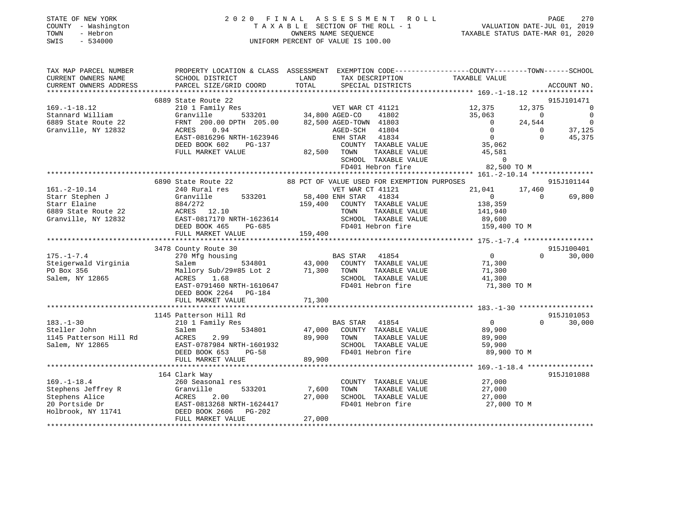| STATE OF NEW YORK   | 2020 FINAL ASSESSMENT ROLL         | 270<br>PAGE                      |
|---------------------|------------------------------------|----------------------------------|
| COUNTY - Washington | TAXABLE SECTION OF THE ROLL - 1    | VALUATION DATE-JUL 01, 2019      |
| TOWN<br>- Hebron    | OWNERS NAME SEOUENCE               | TAXABLE STATUS DATE-MAR 01, 2020 |
| SWIS<br>- 534000    | UNIFORM PERCENT OF VALUE IS 100.00 |                                  |
|                     |                                    |                                  |

| TAX MAP PARCEL NUMBER  | PROPERTY LOCATION & CLASS ASSESSMENT EXEMPTION CODE---------------COUNTY-------TOWN------SCHOOL                                                                  |             |                                                              |                                |                             |
|------------------------|------------------------------------------------------------------------------------------------------------------------------------------------------------------|-------------|--------------------------------------------------------------|--------------------------------|-----------------------------|
| CURRENT OWNERS NAME    | SCHOOL DISTRICT                                                                                                                                                  | LAND        | TAX DESCRIPTION                                              | TAXABLE VALUE                  |                             |
|                        |                                                                                                                                                                  |             |                                                              |                                |                             |
|                        |                                                                                                                                                                  |             |                                                              |                                |                             |
|                        | 6889 State Route 22                                                                                                                                              |             |                                                              |                                | 915J101471                  |
| $169. - 1 - 18.12$     |                                                                                                                                                                  |             |                                                              | 12,375<br>12,375               | $\Omega$                    |
| Stannard William       |                                                                                                                                                                  |             |                                                              | 35,063                         | $\overline{0}$<br>$\Omega$  |
| 6889 State Route 22    | FRNT 200.00 DPTH 205.00 82,500 AGED-TOWN 41803                                                                                                                   |             |                                                              | $\overline{0}$<br>24,544       | $\mathbf 0$                 |
| Granville, NY 12832    | ACRES 0.94                                                                                                                                                       |             | AGED-SCH<br>41804                                            | $\overline{0}$                 | $\Omega$<br>37,125          |
|                        | EAST-0816296 NRTH-1623946                                                                                                                                        |             | ENH STAR 41834                                               | $\overline{0}$                 | $\Omega$<br>45,375          |
|                        | DEED BOOK 602<br>PG-137                                                                                                                                          |             |                                                              | 35,062                         |                             |
|                        | FULL MARKET VALUE                                                                                                                                                |             | COUNTY TAXABLE VALUE<br>82,500 TOWN TAXABLE VALUE            | 45,581                         |                             |
|                        |                                                                                                                                                                  |             | SCHOOL TAXABLE VALUE                                         | $\Omega$                       |                             |
|                        |                                                                                                                                                                  |             | FD401 Hebron fire                                            |                                |                             |
|                        |                                                                                                                                                                  |             |                                                              | $82,500$ TO M                  |                             |
|                        | 6890 State Route 22 68 PCT OF VALUE USED FOR EXEMPTION PURPOSES                                                                                                  |             |                                                              |                                | 915J101144                  |
| $161. - 2 - 10.14$     | 240 Rural res                                                                                                                                                    |             | VET WAR CT 41121                                             | 17,460<br>21,041               | $\Omega$                    |
| Starr Stephen J        | Granville                                                                                                                                                        |             |                                                              | $0 \qquad \qquad$              | $\Omega$<br>69,800          |
| Starr Elaine           | 884/272                                                                                                                                                          |             | 533201 58,400 ENH STAR 41834<br>159,400 COUNTY TAXABLE VALUE |                                |                             |
|                        |                                                                                                                                                                  |             |                                                              | 138,359                        |                             |
| 6889 State Route 22    | ACRES 12.10                                                                                                                                                      |             | TAXABLE VALUE<br>TOWN                                        | 141,940<br>89,600              |                             |
| Granville, NY 12832    | ACRES 12.10<br>EAST-0817170 NRTH-1623614<br>DEED BOOK 465 PG-685                                                                                                 |             | SCHOOL TAXABLE VALUE                                         |                                |                             |
|                        |                                                                                                                                                                  |             |                                                              | FD401 Hebron fire 159,400 TO M |                             |
|                        |                                                                                                                                                                  |             |                                                              |                                |                             |
|                        |                                                                                                                                                                  |             |                                                              |                                |                             |
|                        | 3478 County Route 30                                                                                                                                             |             |                                                              |                                | 915J100401                  |
| $175. - 1 - 7.4$       | 270 Mfg housing                                                                                                                                                  |             | BAS STAR 41854<br>534801 43,000 COUNTY TAXABLE VALUE         | $\overline{0}$                 | $0 \qquad \qquad$<br>30,000 |
| Steigerwald Virginia   | Salem                                                                                                                                                            |             |                                                              | 71,300                         |                             |
| PO Box 356             | Mallory Sub/29#85 Lot 2 71,300 TOWN                                                                                                                              |             | TAXABLE VALUE                                                | 71,300                         |                             |
| Salem, NY 12865        | ACRES 1.68                                                                                                                                                       |             | TOWN 1AND-1-<br>SCHOOL TAXABLE VALUE                         | 41,300                         |                             |
|                        | EAST-0791460 NRTH-1610647                                                                                                                                        |             | FD401 Hebron fire                                            | 71,300 TO M                    |                             |
|                        | DEED BOOK 2264 PG-184                                                                                                                                            |             |                                                              |                                |                             |
|                        |                                                                                                                                                                  |             |                                                              |                                |                             |
|                        |                                                                                                                                                                  |             |                                                              |                                |                             |
|                        | 1145 Patterson Hill Rd                                                                                                                                           |             |                                                              |                                | 915J101053                  |
| $183. - 1 - 30$        | 210 1 Family Res                                                                                                                                                 |             | BAS STAR 41854                                               | $\overline{0}$                 | 30,000<br>$0 \qquad \qquad$ |
| Steller John           | 534801<br>Salem                                                                                                                                                  |             | 47,000 COUNTY TAXABLE VALUE                                  | 89,900                         |                             |
| 1145 Patterson Hill Rd | ACRES<br>2.99                                                                                                                                                    | 89,900 TOWN |                                                              | TAXABLE VALUE 89,900           |                             |
| Salem, NY 12865        | EAST-0787984 NRTH-1601932<br>DEED BOOK 653 PG-58                                                                                                                 |             | SCHOOL TAXABLE VALUE<br>FD401 Hebron fire                    | 59,900                         |                             |
|                        |                                                                                                                                                                  |             |                                                              | 89,900 TO M                    |                             |
|                        | FULL MARKET VALUE                                                                                                                                                | 89,900      |                                                              |                                |                             |
|                        |                                                                                                                                                                  |             |                                                              |                                |                             |
|                        | 164 Clark Way                                                                                                                                                    |             |                                                              |                                | 915J101088                  |
| $169. - 1 - 18.4$      | 260 Seasonal res                                                                                                                                                 |             | COUNTY TAXABLE VALUE                                         | 27,000                         |                             |
|                        | 533201                                                                                                                                                           | 7,600       | TOWN<br>TAXABLE VALUE                                        |                                |                             |
|                        |                                                                                                                                                                  | 27,000      | SCHOOL TAXABLE VALUE                                         | $27,000$<br>$27,000$           |                             |
|                        |                                                                                                                                                                  |             | FD401 Hebron fire                                            | 27,000 TO M                    |                             |
|                        | Stephens Jeffrey R (333201)<br>Stephens Alice (333201)<br>20 Portside Dr (34417)<br>20 Portside Dr (34417)<br>20 Portside Dr (34417)<br>20 Beep BOOK 2606 PG-202 |             |                                                              |                                |                             |
|                        | FULL MARKET VALUE                                                                                                                                                | 27,000      |                                                              |                                |                             |
|                        |                                                                                                                                                                  |             |                                                              |                                |                             |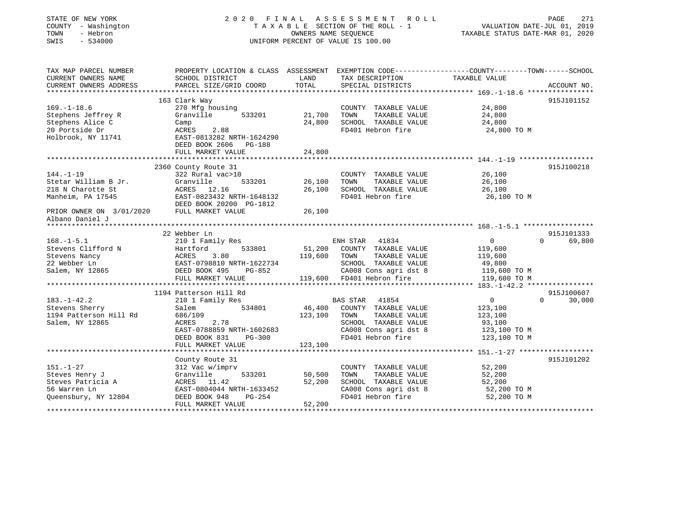| STATE OF NEW YORK<br>COUNTY - Washington<br>- Hebron<br>TOWN<br>$-534000$<br>SWIS |                                                                                                  |                  | 2020 FINAL ASSESSMENT<br>ROLL<br>TAXABLE SECTION OF THE ROLL - 1<br>OWNERS NAME SEQUENCE<br>UNIFORM PERCENT OF VALUE IS 100.00 | VALUATION DATE-JUL 01, 2019<br>TAXABLE STATUS DATE-MAR 01, 2020 | 271<br>PAGE        |
|-----------------------------------------------------------------------------------|--------------------------------------------------------------------------------------------------|------------------|--------------------------------------------------------------------------------------------------------------------------------|-----------------------------------------------------------------|--------------------|
| TAX MAP PARCEL NUMBER                                                             | PROPERTY LOCATION & CLASS ASSESSMENT EXEMPTION CODE----------------COUNTY-------TOWN------SCHOOL |                  |                                                                                                                                |                                                                 |                    |
| CURRENT OWNERS NAME                                                               | SCHOOL DISTRICT                                                                                  | LAND             | TAX DESCRIPTION                                                                                                                | TAXABLE VALUE                                                   |                    |
| CURRENT OWNERS ADDRESS                                                            | PARCEL SIZE/GRID COORD                                                                           | TOTAL            | SPECIAL DISTRICTS                                                                                                              |                                                                 | ACCOUNT NO.        |
|                                                                                   |                                                                                                  |                  |                                                                                                                                |                                                                 |                    |
|                                                                                   | 163 Clark Way                                                                                    |                  |                                                                                                                                |                                                                 | 915J101152         |
| $169. - 1 - 18.6$                                                                 | 270 Mfg housing                                                                                  |                  | COUNTY TAXABLE VALUE                                                                                                           | 24,800                                                          |                    |
| Stephens Jeffrey R                                                                | Granville<br>533201                                                                              | 21,700           | TOWN<br>TAXABLE VALUE                                                                                                          | 24,800                                                          |                    |
| Stephens Alice C                                                                  | Camp                                                                                             | 24,800           | SCHOOL TAXABLE VALUE                                                                                                           | 24,800                                                          |                    |
| 20 Portside Dr<br>Holbrook, NY 11741                                              | 2.88<br>ACRES<br>EAST-0813282 NRTH-1624290                                                       |                  | FD401 Hebron fire                                                                                                              | 24,800 TO M                                                     |                    |
|                                                                                   | DEED BOOK 2606 PG-188                                                                            |                  |                                                                                                                                |                                                                 |                    |
|                                                                                   | FULL MARKET VALUE                                                                                | 24,800           |                                                                                                                                |                                                                 |                    |
|                                                                                   |                                                                                                  |                  |                                                                                                                                |                                                                 |                    |
|                                                                                   | 2360 County Route 31                                                                             |                  |                                                                                                                                |                                                                 | 915J100218         |
| $144. - 1 - 19$                                                                   | 322 Rural vac>10<br>533201                                                                       |                  | COUNTY TAXABLE VALUE                                                                                                           | 26,100                                                          |                    |
| Stetar William B Jr.<br>218 N Charotte St                                         | Granville<br>ACRES 12.16                                                                         | 26,100<br>26,100 | TOWN<br>TAXABLE VALUE<br>SCHOOL TAXABLE VALUE                                                                                  | 26,100<br>26,100                                                |                    |
| Manheim, PA 17545                                                                 | EAST-0823432 NRTH-1648132                                                                        |                  | FD401 Hebron fire                                                                                                              | 26,100 TO M                                                     |                    |
|                                                                                   | DEED BOOK 20200 PG-1812                                                                          |                  |                                                                                                                                |                                                                 |                    |
| PRIOR OWNER ON 3/01/2020<br>Albano Daniel J                                       | FULL MARKET VALUE                                                                                | 26,100           |                                                                                                                                |                                                                 |                    |
| ******************                                                                |                                                                                                  |                  |                                                                                                                                |                                                                 |                    |
|                                                                                   | 22 Webber Ln                                                                                     |                  |                                                                                                                                |                                                                 | 915J101333         |
| $168. - 1 - 5.1$                                                                  | 210 1 Family Res                                                                                 |                  | ENH STAR 41834                                                                                                                 | $\Omega$                                                        | 69,800<br>$\Omega$ |
| Stevens Clifford N                                                                | Hartford<br>533801                                                                               |                  | 51,200 COUNTY TAXABLE VALUE                                                                                                    | 119,600                                                         |                    |
| Stevens Nancy                                                                     | ACRES<br>3.80                                                                                    | 119,600          | TOWN<br>TAXABLE VALUE                                                                                                          | 119,600                                                         |                    |
| 22 Webber Ln                                                                      | EAST-0798810 NRTH-1622734                                                                        |                  | SCHOOL TAXABLE VALUE                                                                                                           | 49,800                                                          |                    |
| Salem, NY 12865                                                                   | DEED BOOK 495 PG-852                                                                             |                  | CA008 Cons agri dst 8                                                                                                          | 119,600 TO M                                                    |                    |
|                                                                                   | FULL MARKET VALUE                                                                                |                  | 119,600 FD401 Hebron fire                                                                                                      | 119,600 TO M                                                    |                    |
|                                                                                   | ****************************                                                                     |                  | ***********************************                                                                                            | *** $183, -1 - 42.2$ ****************                           |                    |
|                                                                                   | 1194 Patterson Hill Rd                                                                           |                  |                                                                                                                                |                                                                 | 915J100607         |
| $183. - 1 - 42.2$                                                                 | 210 1 Family Res                                                                                 |                  | BAS STAR<br>41854                                                                                                              | $\overline{0}$                                                  | $\Omega$<br>30,000 |
| Stevens Sherry                                                                    | 534801<br>Salem                                                                                  | 46,400           | COUNTY TAXABLE VALUE                                                                                                           | 123,100                                                         |                    |
| 1194 Patterson Hill Rd                                                            | 686/109                                                                                          | 123,100          | TAXABLE VALUE<br>TOWN                                                                                                          | 123,100                                                         |                    |
| Salem, NY 12865                                                                   | ACRES<br>2.78                                                                                    |                  | SCHOOL TAXABLE VALUE                                                                                                           | 93,100                                                          |                    |
|                                                                                   | EAST-0788859 NRTH-1602683                                                                        |                  | CA008 Cons agri dst 8                                                                                                          | 123,100 TO M                                                    |                    |
|                                                                                   | DEED BOOK 831<br>$PG-300$                                                                        |                  | FD401 Hebron fire                                                                                                              | 123,100 TO M                                                    |                    |
|                                                                                   | FULL MARKET VALUE                                                                                | 123,100          |                                                                                                                                |                                                                 |                    |
|                                                                                   |                                                                                                  |                  |                                                                                                                                |                                                                 |                    |
| $151. - 1 - 27$                                                                   | County Route 31                                                                                  |                  |                                                                                                                                |                                                                 | 915J101202         |
|                                                                                   | 312 Vac w/imprv                                                                                  |                  | COUNTY TAXABLE VALUE                                                                                                           | 52,200                                                          |                    |
| Steves Henry J<br>Steves Patricia A                                               | Granville<br>533201                                                                              | 50,500<br>52,200 | TOWN<br>TAXABLE VALUE<br>SCHOOL TAXABLE VALUE                                                                                  | 52,200                                                          |                    |
| 56 Warren Ln                                                                      | ACRES 11.42                                                                                      |                  |                                                                                                                                | 52,200                                                          |                    |
|                                                                                   | EAST-0804044 NRTH-1633452                                                                        |                  | CA008 Cons agri dst 8<br>FD401 Hebron fire                                                                                     | 52,200 TO M                                                     |                    |
| Queensbury, NY 12804                                                              | DEED BOOK 948<br>PG-254                                                                          |                  |                                                                                                                                | 52,200 TO M                                                     |                    |
| + + + + + + + + + + + + + + + +                                                   | FULL MARKET VALUE                                                                                | 52,200           |                                                                                                                                |                                                                 |                    |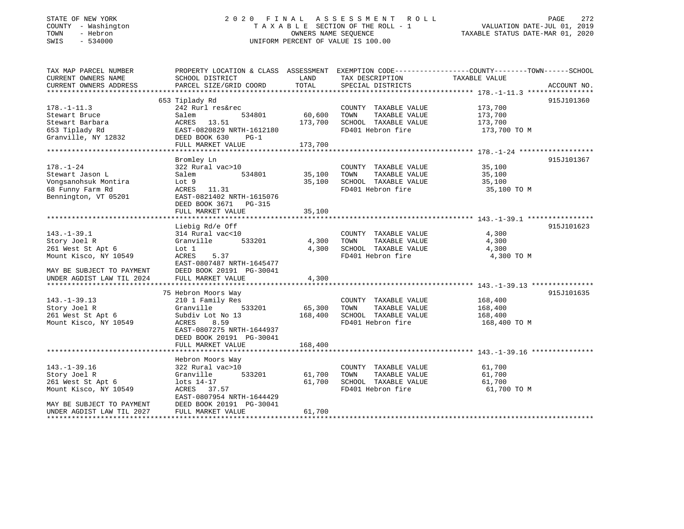# STATE OF NEW YORK 2 0 2 0 F I N A L A S S E S S M E N T R O L L PAGE 272 COUNTY - Washington T A X A B L E SECTION OF THE ROLL - 1 VALUATION DATE-JUL 01, 2019 TOWN - Hebron OWNERS NAME SEQUENCE TAXABLE STATUS DATE-MAR 01, 2020 SWIS - 534000 UNIFORM PERCENT OF VALUE IS 100.00

| TAX MAP PARCEL NUMBER                                                                                                                     | PROPERTY LOCATION & CLASS ASSESSMENT                                                                                                                               |                         | EXEMPTION CODE-----------------COUNTY--------TOWN------SCHOOL                              |                                               |             |
|-------------------------------------------------------------------------------------------------------------------------------------------|--------------------------------------------------------------------------------------------------------------------------------------------------------------------|-------------------------|--------------------------------------------------------------------------------------------|-----------------------------------------------|-------------|
| CURRENT OWNERS NAME<br>CURRENT OWNERS ADDRESS                                                                                             | SCHOOL DISTRICT<br>PARCEL SIZE/GRID COORD                                                                                                                          | LAND<br>TOTAL           | TAX DESCRIPTION<br>SPECIAL DISTRICTS                                                       | TAXABLE VALUE                                 | ACCOUNT NO. |
|                                                                                                                                           |                                                                                                                                                                    |                         |                                                                                            |                                               |             |
|                                                                                                                                           | 653 Tiplady Rd                                                                                                                                                     |                         |                                                                                            |                                               | 915J101360  |
| $178. - 1 - 11.3$<br>Stewart Bruce<br>Stewart Barbara                                                                                     | 242 Rurl res&rec<br>534801<br>Salem<br>13.51<br>ACRES                                                                                                              | 60,600<br>173,700       | COUNTY TAXABLE VALUE<br>TOWN<br>TAXABLE VALUE<br>SCHOOL TAXABLE VALUE                      | 173,700<br>173,700<br>173,700                 |             |
| 653 Tiplady Rd<br>Granville, NY 12832                                                                                                     | EAST-0820829 NRTH-1612180<br>DEED BOOK 630<br>$PG-1$<br>FULL MARKET VALUE                                                                                          | 173,700                 | FD401 Hebron fire                                                                          | 173,700 TO M                                  |             |
|                                                                                                                                           |                                                                                                                                                                    |                         |                                                                                            |                                               |             |
|                                                                                                                                           | Bromley Ln                                                                                                                                                         |                         |                                                                                            |                                               | 915J101367  |
| $178. - 1 - 24$<br>Stewart Jason L<br>Vongsanohsuk Montira<br>68 Funny Farm Rd<br>Bennington, VT 05201                                    | 322 Rural vac>10<br>Salem<br>534801<br>Lot 9<br>ACRES<br>11.31<br>EAST-0821402 NRTH-1615076<br>DEED BOOK 3671 PG-315                                               | 35,100<br>35,100        | COUNTY TAXABLE VALUE<br>TAXABLE VALUE<br>TOWN<br>SCHOOL TAXABLE VALUE<br>FD401 Hebron fire | 35,100<br>35,100<br>35,100<br>35,100 TO M     |             |
|                                                                                                                                           | FULL MARKET VALUE                                                                                                                                                  | 35,100                  |                                                                                            |                                               |             |
|                                                                                                                                           |                                                                                                                                                                    |                         |                                                                                            |                                               |             |
| $143. - 1 - 39.1$<br>Story Joel R<br>261 West St Apt 6<br>Mount Kisco, NY 10549<br>MAY BE SUBJECT TO PAYMENT<br>UNDER AGDIST LAW TIL 2024 | Liebig Rd/e Off<br>314 Rural vac<10<br>Granville<br>533201<br>Lot 1<br>ACRES<br>5.37<br>EAST-0807487 NRTH-1645477<br>DEED BOOK 20191 PG-30041<br>FULL MARKET VALUE | 4,300<br>4,300<br>4,300 | COUNTY TAXABLE VALUE<br>TOWN<br>TAXABLE VALUE<br>SCHOOL TAXABLE VALUE<br>FD401 Hebron fire | 4,300<br>4,300<br>4,300<br>4,300 TO M         | 915J101623  |
|                                                                                                                                           |                                                                                                                                                                    |                         |                                                                                            |                                               |             |
| $143. - 1 - 39.13$<br>Story Joel R<br>261 West St Apt 6<br>Mount Kisco, NY 10549                                                          | 75 Hebron Moors Way<br>210 1 Family Res<br>Granville<br>533201<br>Subdiv Lot No 13<br>ACRES<br>8.59<br>EAST-0807275 NRTH-1644937<br>DEED BOOK 20191 PG-30041       | 65,300<br>168,400       | COUNTY TAXABLE VALUE<br>TOWN<br>TAXABLE VALUE<br>SCHOOL TAXABLE VALUE<br>FD401 Hebron fire | 168,400<br>168,400<br>168,400<br>168,400 TO M | 915J101635  |
|                                                                                                                                           | FULL MARKET VALUE                                                                                                                                                  | 168,400                 |                                                                                            |                                               |             |
|                                                                                                                                           | Hebron Moors Way                                                                                                                                                   |                         |                                                                                            |                                               |             |
| $143. - 1 - 39.16$<br>Story Joel R<br>261 West St Apt 6<br>Mount Kisco, NY 10549                                                          | 322 Rural vac>10<br>Granville<br>533201<br>lots 14-17<br>ACRES 37.57<br>EAST-0807954 NRTH-1644429                                                                  | 61,700<br>61,700        | COUNTY TAXABLE VALUE<br>TOWN<br>TAXABLE VALUE<br>SCHOOL TAXABLE VALUE<br>FD401 Hebron fire | 61,700<br>61,700<br>61,700<br>61,700 TO M     |             |
| MAY BE SUBJECT TO PAYMENT<br>UNDER AGDIST LAW TIL 2027                                                                                    | DEED BOOK 20191 PG-30041<br>FULL MARKET VALUE                                                                                                                      | 61,700                  |                                                                                            |                                               |             |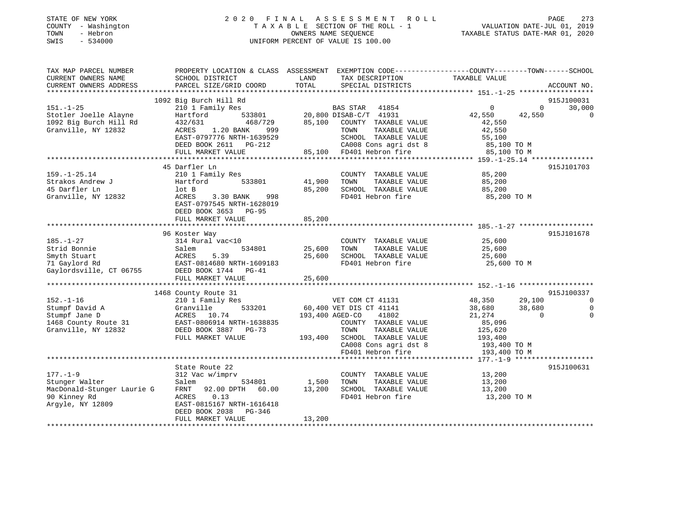| STATE OF NEW YORK   | 2020 FINAL ASSESSMENT ROLL         | 273<br>PAGE                      |
|---------------------|------------------------------------|----------------------------------|
| COUNTY - Washington | TAXABLE SECTION OF THE ROLL - 1    | VALUATION DATE-JUL 01, 2019      |
| TOWN<br>- Hebron    | OWNERS NAME SEOUENCE               | TAXABLE STATUS DATE-MAR 01, 2020 |
| SWIS<br>$-534000$   | UNIFORM PERCENT OF VALUE IS 100.00 |                                  |
|                     |                                    |                                  |
|                     |                                    |                                  |
|                     |                                    |                                  |

TAX MAP PARCEL NUMBER PROPERTY LOCATION & CLASS ASSESSMENT EXEMPTION CODE------------------COUNTY--------TOWN------SCHOOL

| CURRENT OWNERS NAME        | SCHOOL DISTRICT                 | LAND            | TAX DESCRIPTION             | TAXABLE VALUE           |                       |
|----------------------------|---------------------------------|-----------------|-----------------------------|-------------------------|-----------------------|
| CURRENT OWNERS ADDRESS     | PARCEL SIZE/GRID COORD          | TOTAL           | SPECIAL DISTRICTS           |                         | ACCOUNT NO.           |
| ***********************    |                                 |                 |                             |                         |                       |
|                            | 1092 Big Burch Hill Rd          |                 |                             |                         | 915J100031            |
| $151. - 1 - 25$            | 210 1 Family Res                |                 | <b>BAS STAR</b><br>41854    | 0                       | $\mathbf 0$<br>30,000 |
| Stotler Joelle Alayne      | Hartford<br>533801              |                 | 20,800 DISAB-C/T 41931      | 42,550<br>42,550        | $\mathbf 0$           |
| 1092 Big Burch Hill Rd     | 432/631<br>468/729              |                 | 85,100 COUNTY TAXABLE VALUE | 42,550                  |                       |
| Granville, NY 12832        | ACRES<br>1.20 BANK<br>999       |                 | TOWN<br>TAXABLE VALUE       | 42,550                  |                       |
|                            | EAST-0797776 NRTH-1639529       |                 | SCHOOL TAXABLE VALUE        | 55,100                  |                       |
|                            | DEED BOOK 2611 PG-212           |                 | CA008 Cons agri dst 8       | 85,100 TO M             |                       |
|                            |                                 |                 |                             |                         |                       |
|                            | FULL MARKET VALUE               |                 | 85,100 FD401 Hebron fire    | 85,100 TO M             |                       |
|                            |                                 |                 |                             |                         |                       |
|                            | 45 Darfler Ln                   |                 |                             |                         | 915J101703            |
| $159. - 1 - 25.14$         | 210 1 Family Res                |                 | COUNTY TAXABLE VALUE        | 85,200                  |                       |
| Strakos Andrew J           | Hartford<br>533801              | 41,900          | TOWN<br>TAXABLE VALUE       | 85,200                  |                       |
| 45 Darfler Ln              | lot B                           | 85,200          | SCHOOL TAXABLE VALUE        | 85,200                  |                       |
| Granville, NY 12832        | ACRES<br>3.30 BANK<br>998       |                 | FD401 Hebron fire           | 85,200 TO M             |                       |
|                            | EAST-0797545 NRTH-1628019       |                 |                             |                         |                       |
|                            | DEED BOOK 3653 PG-95            |                 |                             |                         |                       |
|                            | FULL MARKET VALUE               | 85,200          |                             |                         |                       |
|                            |                                 |                 |                             |                         |                       |
|                            | 96 Koster Way                   |                 |                             |                         | 915J101678            |
| $185. - 1 - 27$            | 314 Rural vac<10                |                 | COUNTY TAXABLE VALUE        | 25,600                  |                       |
| Strid Bonnie               | Salem<br>534801                 | 25,600          | TAXABLE VALUE<br>TOWN       | 25,600                  |                       |
|                            |                                 |                 |                             |                         |                       |
| Smyth Stuart               | ACRES<br>5.39                   | 25,600          | SCHOOL TAXABLE VALUE        | 25,600                  |                       |
| 71 Gaylord Rd              | EAST-0814680 NRTH-1609183       |                 | FD401 Hebron fire           | 25,600 TO M             |                       |
| Gaylordsville, CT 06755    | DEED BOOK 1744 PG-41            |                 |                             |                         |                       |
|                            | FULL MARKET VALUE               | 25,600          |                             |                         |                       |
|                            |                                 |                 |                             |                         |                       |
|                            | 1468 County Route 31            |                 |                             |                         | 915J100337            |
| $152. - 1 - 16$            | 210 1 Family Res                |                 | VET COM CT 41131            | 48,350<br>29,100        | $\Omega$              |
| Stumpf David A             | Granville<br>533201             |                 | 60,400 VET DIS CT 41141     | 38,680<br>38,680        | $\Omega$              |
| Stumpf Jane D              | ACRES 10.74                     | 193,400 AGED-CO | 41802                       | 21,274                  | $\Omega$<br>$\Omega$  |
| 1468 County Route 31       | EAST-0806914 NRTH-1638835       |                 | COUNTY TAXABLE VALUE        | 85,096                  |                       |
| Granville, NY 12832        | DEED BOOK 3887 PG-73            |                 | TOWN<br>TAXABLE VALUE       | 125,620                 |                       |
|                            | FULL MARKET VALUE               | 193,400         | SCHOOL TAXABLE VALUE        | 193,400                 |                       |
|                            |                                 |                 | CA008 Cons agri dst 8       | 193,400 TO M            |                       |
|                            |                                 |                 | FD401 Hebron fire           | 193,400 TO M            |                       |
|                            | ******************************* |                 |                             | ******* 177.-1-9 ****** |                       |
|                            | State Route 22                  |                 |                             |                         |                       |
|                            |                                 |                 |                             |                         | 915J100631            |
| $177. - 1 - 9$             | 312 Vac w/imprv                 |                 | COUNTY TAXABLE VALUE        | 13,200                  |                       |
| Stunger Walter             | Salem<br>534801                 | 1,500           | TAXABLE VALUE<br>TOWN       | 13,200                  |                       |
| MacDonald-Stunger Laurie G | 92.00 DPTH<br>60.00<br>FRNT     | 13,200          | SCHOOL TAXABLE VALUE        | 13,200                  |                       |
| 90 Kinney Rd               | ACRES<br>0.13                   |                 | FD401 Hebron fire           | 13,200 TO M             |                       |
| Argyle, NY 12809           | EAST-0815167 NRTH-1616418       |                 |                             |                         |                       |
|                            | DEED BOOK 2038<br>$PG-346$      |                 |                             |                         |                       |
|                            | FULL MARKET VALUE               | 13,200          |                             |                         |                       |
|                            |                                 |                 |                             |                         |                       |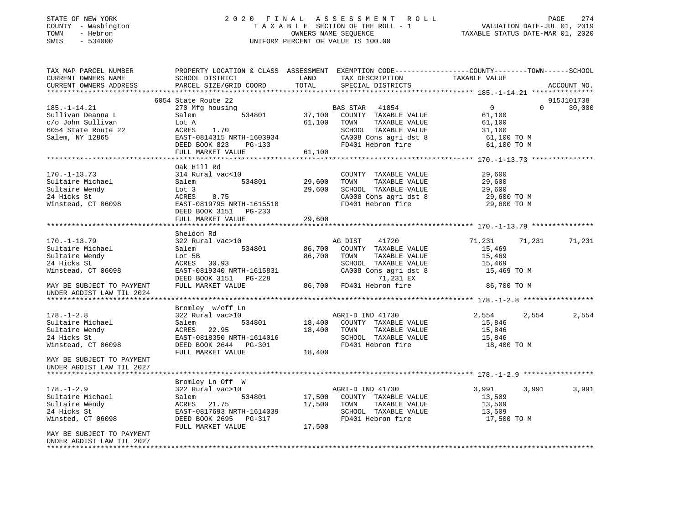# STATE OF NEW YORK 2 0 2 0 F I N A L A S S E S S M E N T R O L L PAGE 274 COUNTY - Washington T A X A B L E SECTION OF THE ROLL - 1 VALUATION DATE-JUL 01, 2019 TOWN - Hebron OWNERS NAME SEQUENCE TAXABLE STATUS DATE-MAR 01, 2020 SWIS - 534000 UNIFORM PERCENT OF VALUE IS 100.00

| TAX MAP PARCEL NUMBER<br>CURRENT OWNERS NAME<br>CURRENT OWNERS ADDRESS | PROPERTY LOCATION & CLASS ASSESSMENT EXEMPTION CODE----------------COUNTY-------TOWN------SCHOOL<br>SCHOOL DISTRICT<br>PARCEL SIZE/GRID COORD             | LAND<br>TOTAL             | TAX DESCRIPTION<br>SPECIAL DISTRICTS                                                        | TAXABLE VALUE                                       | ACCOUNT NO.                      |
|------------------------------------------------------------------------|-----------------------------------------------------------------------------------------------------------------------------------------------------------|---------------------------|---------------------------------------------------------------------------------------------|-----------------------------------------------------|----------------------------------|
|                                                                        |                                                                                                                                                           |                           |                                                                                             |                                                     |                                  |
| $185. - 1 - 14.21$<br>Sullivan Deanna L                                | 6054 State Route 22<br>270 Mfg housing<br>534801                                                                                                          | $37,100$ <sup>BZ</sup>    | BAS STAR 41854<br>COUNTY TAXABLE VALUE                                                      | $\overline{0}$<br>61,100                            | 915J101738<br>$\Omega$<br>30,000 |
| c/o John Sullivan<br>6054 State Route 22<br>Salem, NY 12865            | Salem<br>Lot A<br>ACRES 1.70<br>ASST-0814315 NRTH-16039<br>PERD BOOK 823 PG-133<br>EAST-0814315 NRTH-1603934<br>DEED BOOK 823 PG-133<br>FULL MARKET VALUE | 61,100                    | TOWN<br>TAXABLE VALUE<br>SCHOOL TAXABLE VALUE<br>CA008 Cons agri dst 8<br>FD401 Hebron fire | 61,100<br>31,100<br>61,100 TO M<br>61,100 TO M      |                                  |
|                                                                        |                                                                                                                                                           | 61,100                    |                                                                                             |                                                     |                                  |
|                                                                        |                                                                                                                                                           |                           |                                                                                             |                                                     |                                  |
|                                                                        | Oak Hill Rd                                                                                                                                               |                           |                                                                                             |                                                     |                                  |
| $170. - 1 - 13.73$                                                     | 314 Rural vac<10                                                                                                                                          |                           | COUNTY TAXABLE VALUE                                                                        | 29,600                                              |                                  |
| Sultaire Michael                                                       | Salem<br>534801 29,600                                                                                                                                    |                           | TAXABLE VALUE<br>TOWN                                                                       | 29,600                                              |                                  |
| Sultaire Wendy                                                         | Lot 3                                                                                                                                                     | 29,600                    | SCHOOL TAXABLE VALUE<br>CA008 Cons agri dst 8                                               | 29,600                                              |                                  |
| 24 Hicks St                                                            | 8.75<br>ACRES                                                                                                                                             |                           |                                                                                             | 29,600 TO M                                         |                                  |
| Winstead, CT 06098                                                     | EAST-0819795 NRTH-1615518<br>DEED BOOK 3151 PG-233                                                                                                        |                           | FD401 Hebron fire                                                                           | 29,600 TO M                                         |                                  |
|                                                                        | FULL MARKET VALUE                                                                                                                                         | 29,600                    |                                                                                             |                                                     |                                  |
|                                                                        | ***********************                                                                                                                                   | * * * * * * * * * * * * * |                                                                                             | *********************** 170.-1-13.79 ************** |                                  |
|                                                                        | Sheldon Rd                                                                                                                                                |                           |                                                                                             |                                                     |                                  |
| $170. - 1 - 13.79$                                                     | 322 Rural vac>10                                                                                                                                          |                           | AG DIST 41720                                                                               | 71,231 71,231                                       | 71,231                           |
| Sultaire Michael                                                       | 534801<br>Salem                                                                                                                                           |                           | 86,700 COUNTY TAXABLE VALUE                                                                 | 15,469                                              |                                  |
| Sultaire Wendy                                                         | Lot 5B<br>ACRES 30.93                                                                                                                                     | 86,700 TOWN               | TAXABLE VALUE                                                                               | 15,469                                              |                                  |
| 24 Hicks St                                                            |                                                                                                                                                           |                           | SCHOOL TAXABLE VALUE                                                                        | 15,469                                              |                                  |
| Winstead, CT 06098                                                     |                                                                                                                                                           |                           | CA008 Cons agri dst 8                                                                       | 15,469 TO M                                         |                                  |
| MAY BE SUBJECT TO PAYMENT                                              | ACRES 30.93<br>EAST-0819340 NRTH-1615831 CA008 Cons agri dst<br>DEED BOOK 3151 PG-228 71,231 EX<br>FULL MARKET VALUE 86,700 FD401 Hebron fire             |                           | 71,231 EX                                                                                   | 86,700 TO M                                         |                                  |
| UNDER AGDIST LAW TIL 2024                                              |                                                                                                                                                           |                           |                                                                                             |                                                     |                                  |
|                                                                        |                                                                                                                                                           |                           |                                                                                             |                                                     |                                  |
|                                                                        | Bromley w/off Ln                                                                                                                                          |                           |                                                                                             |                                                     |                                  |
| $178. - 1 - 2.8$                                                       | 322 Rural vac>10                                                                                                                                          |                           | AGRI-D IND 41730                                                                            | 2,554                                               | 2,554<br>2,554                   |
| Sultaire Michael                                                       | Salem                                                                                                                                                     |                           | 534801 18,400 COUNTY TAXABLE VALUE                                                          | 15,846                                              |                                  |
| Sultaire Wendy                                                         | ACRES 22.95                                                                                                                                               |                           | 18,400 TOWN<br>TAXABLE VALUE                                                                | 15,846                                              |                                  |
| 24 Hicks St                                                            | EAST-0818350 NRTH-1614016<br>EAST-0818350 NRTH-1614016<br>DEED BOOK 2644 PG-301                                                                           |                           | SCHOOL TAXABLE VALUE                                                                        | 15,846                                              |                                  |
| Winstead, CT 06098                                                     | FULL MARKET VALUE                                                                                                                                         | 18,400                    | FD401 Hebron fire                                                                           | 18,400 TO M                                         |                                  |
| MAY BE SUBJECT TO PAYMENT<br>UNDER AGDIST LAW TIL 2027                 |                                                                                                                                                           |                           |                                                                                             |                                                     |                                  |
| *****************************                                          |                                                                                                                                                           |                           |                                                                                             |                                                     |                                  |
|                                                                        | Bromley Ln Off W                                                                                                                                          |                           |                                                                                             |                                                     |                                  |
| $178. - 1 - 2.9$                                                       | 322 Rural vac>10                                                                                                                                          |                           | AGRI-D IND 41730                                                                            | 3,991                                               | 3,991<br>3,991                   |
| Sultaire Michael                                                       | Salem                                                                                                                                                     |                           | 534801 17,500 COUNTY TAXABLE VALUE                                                          | 13,509                                              |                                  |
| Sultaire Wendy                                                         | ACRES 21.75                                                                                                                                               |                           | 17,500 TOWN<br>TAXABLE VALUE                                                                | 13,509                                              |                                  |
| 24 Hicks St                                                            |                                                                                                                                                           |                           | SCHOOL TAXABLE VALUE 13,509                                                                 |                                                     |                                  |
| Winsted, CT 06098                                                      | FULL MARKET VALUE                                                                                                                                         | 17,500                    | FD401 Hebron fire                                                                           | 17,500 TO M                                         |                                  |
| MAY BE SUBJECT TO PAYMENT                                              |                                                                                                                                                           |                           |                                                                                             |                                                     |                                  |
| UNDER AGDIST LAW TIL 2027                                              |                                                                                                                                                           |                           |                                                                                             |                                                     |                                  |
| ******************                                                     |                                                                                                                                                           |                           |                                                                                             |                                                     |                                  |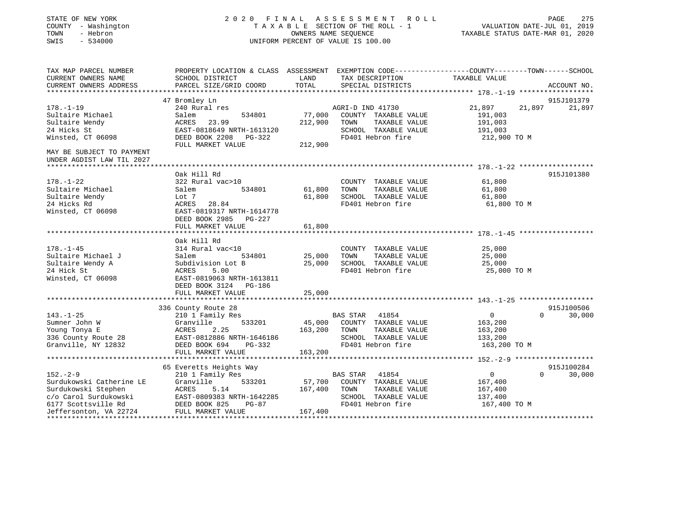| STATE OF NEW YORK<br>COUNTY - Washington<br>TOWN<br>- Hebron<br>$-534000$<br>SWIS |                                                    |         | 2020 FINAL ASSESSMENT ROLL<br>TAXABLE SECTION OF THE ROLL - 1<br>OWNERS NAME SEQUENCE<br>UNIFORM PERCENT OF VALUE IS 100.00 | VALUATION DATE-JUL 01, 2019<br>TAXABLE STATUS DATE-MAR 01, 2020                                                   | PAGE<br>275        |
|-----------------------------------------------------------------------------------|----------------------------------------------------|---------|-----------------------------------------------------------------------------------------------------------------------------|-------------------------------------------------------------------------------------------------------------------|--------------------|
| TAX MAP PARCEL NUMBER<br>CURRENT OWNERS NAME                                      | SCHOOL DISTRICT                                    | LAND    | TAX DESCRIPTION                                                                                                             | PROPERTY LOCATION & CLASS ASSESSMENT EXEMPTION CODE----------------COUNTY-------TOWN------SCHOOL<br>TAXABLE VALUE |                    |
| CURRENT OWNERS ADDRESS                                                            | PARCEL SIZE/GRID COORD                             | TOTAL   | SPECIAL DISTRICTS                                                                                                           |                                                                                                                   | ACCOUNT NO.        |
|                                                                                   |                                                    |         |                                                                                                                             |                                                                                                                   |                    |
|                                                                                   | 47 Bromley Ln                                      |         |                                                                                                                             |                                                                                                                   | 915J101379         |
| $178. - 1 - 19$                                                                   | 240 Rural res                                      |         | AGRI-D IND 41730                                                                                                            | 21,897<br>21,897                                                                                                  | 21,897             |
| Sultaire Michael                                                                  | Salem<br>534801                                    | 77,000  | COUNTY TAXABLE VALUE                                                                                                        | 191,003                                                                                                           |                    |
| Sultaire Wendy                                                                    | 23.99<br>ACRES                                     | 212,900 | TOWN<br>TAXABLE VALUE                                                                                                       | 191,003                                                                                                           |                    |
| 24 Hicks St                                                                       | EAST-0818649 NRTH-1613120                          |         | SCHOOL TAXABLE VALUE                                                                                                        | 191,003                                                                                                           |                    |
| Winsted, CT 06098                                                                 | DEED BOOK 2208 PG-322                              |         | FD401 Hebron fire                                                                                                           | 212,900 TO M                                                                                                      |                    |
| MAY BE SUBJECT TO PAYMENT<br>UNDER AGDIST LAW TIL 2027                            | FULL MARKET VALUE                                  | 212,900 |                                                                                                                             |                                                                                                                   |                    |
|                                                                                   | Oak Hill Rd                                        |         |                                                                                                                             |                                                                                                                   | 915J101380         |
| $178. - 1 - 22$                                                                   | 322 Rural vac>10                                   |         | COUNTY TAXABLE VALUE                                                                                                        | 61,800                                                                                                            |                    |
| Sultaire Michael                                                                  | 534801<br>Salem                                    | 61,800  | TOWN<br>TAXABLE VALUE                                                                                                       | 61,800                                                                                                            |                    |
| Sultaire Wendy                                                                    | Lot 7                                              | 61,800  | SCHOOL TAXABLE VALUE                                                                                                        | 61,800                                                                                                            |                    |
| 24 Hicks Rd                                                                       | ACRES 28.84                                        |         | FD401 Hebron fire                                                                                                           | 61,800 TO M                                                                                                       |                    |
| Winsted, CT 06098                                                                 | EAST-0819317 NRTH-1614778<br>DEED BOOK 2985 PG-227 |         |                                                                                                                             |                                                                                                                   |                    |
|                                                                                   | FULL MARKET VALUE                                  | 61,800  |                                                                                                                             |                                                                                                                   |                    |
|                                                                                   | Oak Hill Rd                                        |         |                                                                                                                             |                                                                                                                   |                    |
| $178. - 1 - 45$                                                                   | 314 Rural vac<10                                   |         | COUNTY TAXABLE VALUE                                                                                                        | 25,000                                                                                                            |                    |
| Sultaire Michael J                                                                | Salem<br>534801                                    | 25,000  | TOWN<br>TAXABLE VALUE                                                                                                       | 25,000                                                                                                            |                    |
| Sultaire Wendy A                                                                  | Subdivision Lot B                                  | 25,000  | SCHOOL TAXABLE VALUE                                                                                                        | 25,000                                                                                                            |                    |
| 24 Hick St                                                                        | ACRES<br>5.00                                      |         | FD401 Hebron fire                                                                                                           | 25,000 TO M                                                                                                       |                    |
| Winsted, CT 06098                                                                 | EAST-0819063 NRTH-1613811                          |         |                                                                                                                             |                                                                                                                   |                    |
|                                                                                   | DEED BOOK 3124 PG-186                              |         |                                                                                                                             |                                                                                                                   |                    |
|                                                                                   | FULL MARKET VALUE                                  | 25,000  |                                                                                                                             |                                                                                                                   |                    |
|                                                                                   |                                                    |         |                                                                                                                             |                                                                                                                   |                    |
|                                                                                   | 336 County Route 28                                |         |                                                                                                                             |                                                                                                                   | 915J100506         |
| $143. - 1 - 25$                                                                   | 210 1 Family Res                                   |         | BAS STAR 41854                                                                                                              | $\overline{0}$                                                                                                    | $\Omega$<br>30,000 |
| Sumner John W                                                                     | 533201<br>Granville                                | 45,000  | COUNTY TAXABLE VALUE                                                                                                        | 163,200                                                                                                           |                    |
| Young Tonya E<br>336 County Route 28                                              | ACRES<br>2.25<br>EAST-0812886 NRTH-1646186         | 163,200 | TAXABLE VALUE<br>TOWN<br>SCHOOL TAXABLE VALUE                                                                               | 163,200<br>133,200                                                                                                |                    |
| Granville, NY 12832                                                               | DEED BOOK 694<br>PG-332                            |         | FD401 Hebron fire                                                                                                           | 163,200 TO M                                                                                                      |                    |
|                                                                                   | FULL MARKET VALUE                                  | 163,200 |                                                                                                                             |                                                                                                                   |                    |
|                                                                                   |                                                    |         |                                                                                                                             |                                                                                                                   |                    |
|                                                                                   | 65 Everetts Heights Way                            |         |                                                                                                                             |                                                                                                                   | 915J100284         |
| $152. - 2 - 9$                                                                    | 210 1 Family Res                                   |         | BAS STAR 41854                                                                                                              | $\overline{0}$<br>$\Omega$                                                                                        | 30,000             |
| Surdukowski Catherine LE                                                          | 533201<br>Granville                                | 57,700  | COUNTY TAXABLE VALUE                                                                                                        | 167,400                                                                                                           |                    |
| Surdukowski Stephen                                                               | ACRES<br>5.14                                      | 167,400 | TAXABLE VALUE<br>TOWN                                                                                                       | 167,400                                                                                                           |                    |
| c/o Carol Surdukowski                                                             | EAST-0809383 NRTH-1642285                          |         | SCHOOL TAXABLE VALUE                                                                                                        | 137,400                                                                                                           |                    |
| 6177 Scottsville Rd                                                               | DEED BOOK 825<br>PG-87                             |         | FD401 Hebron fire                                                                                                           | 167,400 TO M                                                                                                      |                    |
| Jeffersonton, VA 22724                                                            | FULL MARKET VALUE                                  | 167,400 |                                                                                                                             |                                                                                                                   |                    |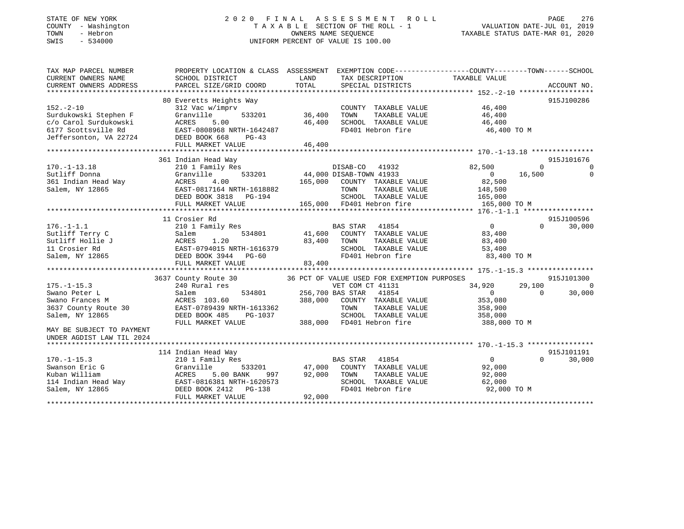# STATE OF NEW YORK 2 0 2 0 F I N A L A S S E S S M E N T R O L L PAGE 276 COUNTY - Washington T A X A B L E SECTION OF THE ROLL - 1 VALUATION DATE-JUL 01, 2019 TOWN - Hebron OWNERS NAME SEQUENCE TAXABLE STATUS DATE-MAR 01, 2020 SWIS - 534000 UNIFORM PERCENT OF VALUE IS 100.00

| TAX MAP PARCEL NUMBER<br>CURRENT OWNERS NAME<br>CURRENT OWNERS ADDRESS                                                                                                                                                                                                                                                                                                                                           | PROPERTY LOCATION & CLASS ASSESSMENT EXEMPTION CODE---------------COUNTY-------TOWN-----SCHOOL<br>SCHOOL DISTRICT<br>PARCEL SIZE/GRID COORD | LAND<br>TOTAL                                                                | TAX DESCRIPTION TAXABLE VALUE<br>SPECIAL DISTRICTS   |                                                      |          | ACCOUNT NO.    |
|------------------------------------------------------------------------------------------------------------------------------------------------------------------------------------------------------------------------------------------------------------------------------------------------------------------------------------------------------------------------------------------------------------------|---------------------------------------------------------------------------------------------------------------------------------------------|------------------------------------------------------------------------------|------------------------------------------------------|------------------------------------------------------|----------|----------------|
|                                                                                                                                                                                                                                                                                                                                                                                                                  |                                                                                                                                             |                                                                              |                                                      |                                                      |          |                |
|                                                                                                                                                                                                                                                                                                                                                                                                                  | 80 Everetts Heights Way                                                                                                                     |                                                                              |                                                      |                                                      |          | 915J100286     |
| $152 - 2 - 10$                                                                                                                                                                                                                                                                                                                                                                                                   | 312 Vac w/imprv                                                                                                                             |                                                                              | COUNTY TAXABLE VALUE                                 | 46,400                                               |          |                |
| Surdukowski Stephen F                                                                                                                                                                                                                                                                                                                                                                                            | $533201$ $36,400$<br>00 $46,400$<br>Granville                                                                                               |                                                                              | TOWN      TAXABLE  VALUE<br>SCHOOL    TAXABLE  VALUE | 46,400<br>46,400                                     |          |                |
| c/o Carol Surdukowski                                                                                                                                                                                                                                                                                                                                                                                            | ACRES<br>5.00                                                                                                                               |                                                                              |                                                      |                                                      |          |                |
|                                                                                                                                                                                                                                                                                                                                                                                                                  |                                                                                                                                             |                                                                              |                                                      | FD401 Hebron fire 46,400 TO M                        |          |                |
| 6177 Scottsville Rd<br>Jeffersonton, VA 22724<br>DEED BOOK 668 PG-43<br>THE MARGE DEED BOOK 668 PG-43                                                                                                                                                                                                                                                                                                            |                                                                                                                                             |                                                                              |                                                      |                                                      |          |                |
|                                                                                                                                                                                                                                                                                                                                                                                                                  | FULL MARKET VALUE                                                                                                                           | 46,400                                                                       |                                                      |                                                      |          |                |
|                                                                                                                                                                                                                                                                                                                                                                                                                  |                                                                                                                                             |                                                                              |                                                      |                                                      |          |                |
|                                                                                                                                                                                                                                                                                                                                                                                                                  | 361 Indian Head Way                                                                                                                         |                                                                              |                                                      |                                                      |          | 915J101676     |
| $170. - 1 - 13.18$                                                                                                                                                                                                                                                                                                                                                                                               | 210 1 Family Res                                                                                                                            | 1932<br>1932 533201 44,000 DISAB-TOWN 41933<br>1933 - 195 800 COUNTY TAYABLE |                                                      | 82,500                                               | $\Omega$ | $\mathbf 0$    |
| Sutliff Donna<br>361 Indian Head Way<br>Salem, NY 12865                                                                                                                                                                                                                                                                                                                                                          | Granville                                                                                                                                   |                                                                              |                                                      |                                                      | 16,500   | $\Omega$       |
|                                                                                                                                                                                                                                                                                                                                                                                                                  |                                                                                                                                             |                                                                              |                                                      | $\begin{smallmatrix}&&0\0&82\,,500\end{smallmatrix}$ |          |                |
|                                                                                                                                                                                                                                                                                                                                                                                                                  |                                                                                                                                             |                                                                              |                                                      |                                                      |          |                |
|                                                                                                                                                                                                                                                                                                                                                                                                                  |                                                                                                                                             |                                                                              |                                                      |                                                      |          |                |
|                                                                                                                                                                                                                                                                                                                                                                                                                  |                                                                                                                                             |                                                                              |                                                      |                                                      |          |                |
| 911 Sutliff Donna (Stanville $165,000$ COUNTY TAXABLE VALUE 32,500<br>261 Indian Head Way ACRES 4.00<br>261 Indian Head Way ACRES 4.00<br>261 Indian Head Way EAST-0817164 NRTH-1618882<br>262,500<br>262,500<br>265,000 EDEED BOOK 3818 P                                                                                                                                                                       |                                                                                                                                             |                                                                              |                                                      |                                                      |          |                |
|                                                                                                                                                                                                                                                                                                                                                                                                                  | 11 Crosier Rd                                                                                                                               |                                                                              |                                                      |                                                      |          | 915J100596     |
| $176. - 1 - 1.1$                                                                                                                                                                                                                                                                                                                                                                                                 |                                                                                                                                             |                                                                              |                                                      |                                                      | $\Omega$ | 30,000         |
| Sutliff Terry C                                                                                                                                                                                                                                                                                                                                                                                                  |                                                                                                                                             |                                                                              |                                                      |                                                      |          |                |
| Sutliff Hollie J                                                                                                                                                                                                                                                                                                                                                                                                 |                                                                                                                                             |                                                                              |                                                      |                                                      |          |                |
| 11 Crosier Rd                                                                                                                                                                                                                                                                                                                                                                                                    |                                                                                                                                             |                                                                              | SCHOOL TAXABLE VALUE                                 | 53,400                                               |          |                |
| Salem, NY 12865                                                                                                                                                                                                                                                                                                                                                                                                  |                                                                                                                                             |                                                                              | FD401 Hebron fire                                    | 83,400 TO M                                          |          |                |
|                                                                                                                                                                                                                                                                                                                                                                                                                  | Salem 534801 41,500 COON:<br>ACRES 1.20 83,400 TOWN<br>EAST-0794015 NRTH-1616379 SCHOO<br>DEED BOOK 3944 PG-60 FD401                        |                                                                              |                                                      |                                                      |          |                |
|                                                                                                                                                                                                                                                                                                                                                                                                                  |                                                                                                                                             |                                                                              |                                                      |                                                      |          |                |
|                                                                                                                                                                                                                                                                                                                                                                                                                  |                                                                                                                                             |                                                                              |                                                      |                                                      |          | 915J101300     |
| $175. - 1 - 15.3$                                                                                                                                                                                                                                                                                                                                                                                                | 3637 County Route 30 36 PCT OF VALUE USED FOR EXEMPTION PURPOSES 240 Rural res 34,920                                                       |                                                                              |                                                      | 34,920                                               | 29,100   | $\overline{0}$ |
|                                                                                                                                                                                                                                                                                                                                                                                                                  |                                                                                                                                             | 534801 256,700 BAS STAR 41854                                                |                                                      | $\overline{0}$                                       | $\Omega$ | 30,000         |
|                                                                                                                                                                                                                                                                                                                                                                                                                  |                                                                                                                                             |                                                                              |                                                      | 353,080                                              |          |                |
|                                                                                                                                                                                                                                                                                                                                                                                                                  |                                                                                                                                             |                                                                              | TAXABLE VALUE 358,900                                |                                                      |          |                |
| Salem, NY 12865                                                                                                                                                                                                                                                                                                                                                                                                  |                                                                                                                                             |                                                                              | SCHOOL TAXABLE VALUE 358,000                         |                                                      |          |                |
|                                                                                                                                                                                                                                                                                                                                                                                                                  | DEED BOOK 485 PG-1037 SCHOOL TAXABLE VALUE<br>FULL MARKET VALUE 388,000 FD401 Hebron fire                                                   |                                                                              |                                                      | 388,000 TO M                                         |          |                |
| MAY BE SUBJECT TO PAYMENT                                                                                                                                                                                                                                                                                                                                                                                        |                                                                                                                                             |                                                                              |                                                      |                                                      |          |                |
| UNDER AGDIST LAW TIL 2024                                                                                                                                                                                                                                                                                                                                                                                        |                                                                                                                                             |                                                                              |                                                      |                                                      |          |                |
|                                                                                                                                                                                                                                                                                                                                                                                                                  |                                                                                                                                             |                                                                              |                                                      |                                                      |          |                |
|                                                                                                                                                                                                                                                                                                                                                                                                                  |                                                                                                                                             |                                                                              |                                                      |                                                      |          | 915J101191     |
|                                                                                                                                                                                                                                                                                                                                                                                                                  |                                                                                                                                             |                                                                              |                                                      | $\overline{0}$                                       | $\Omega$ | 30,000         |
| $\begin{array}{lllllllllllll} \text{L70.-1-15.3} & \text{210} & \text{1.1} & \text{555201} \ \text{Swanson Eric G} & \text{Gramville} & \text{555201} \ \text{Kuban William} & \text{ACRES} & \text{5.00 BANK} & \text{997} \ \text{114 Indian Head Way} & \text{EAST-0816381 NRTH-1620573} \\\\ \text{- 1.14 NRTMAXEST} & \text{DEED BOOK} & \text{2412} & \text{PG-138} \\\\ \text{- 1.14 NRTMAXEST} & \text{$ |                                                                                                                                             | s<br>BAS STAR 41854<br>533201 47,000 COUNTY TAXABLE VALUE                    |                                                      | 92,000                                               |          |                |
|                                                                                                                                                                                                                                                                                                                                                                                                                  |                                                                                                                                             |                                                                              | TAXABLE VALUE                                        | 92,000                                               |          |                |
|                                                                                                                                                                                                                                                                                                                                                                                                                  | ACRES 5.00 BANK 997 92,000 TOWN<br>EAST-0816381 NRTH-1620573 SCHOO<br>DEED BOOK 2412 PG-138 FD401                                           |                                                                              | SCHOOL TAXABLE VALUE                                 | 62,000                                               |          |                |
|                                                                                                                                                                                                                                                                                                                                                                                                                  |                                                                                                                                             |                                                                              | FD401 Hebron fire                                    | 92,000 TO M                                          |          |                |
|                                                                                                                                                                                                                                                                                                                                                                                                                  |                                                                                                                                             | 92,000                                                                       |                                                      |                                                      |          |                |
|                                                                                                                                                                                                                                                                                                                                                                                                                  |                                                                                                                                             |                                                                              |                                                      |                                                      |          |                |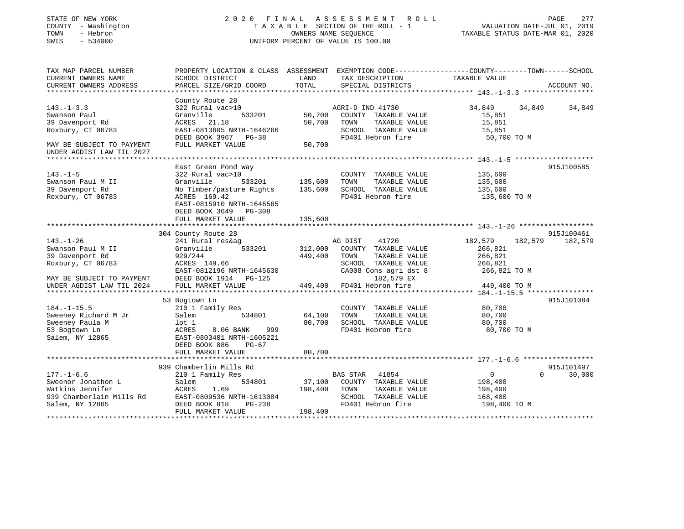# STATE OF NEW YORK 2 0 2 0 F I N A L A S S E S S M E N T R O L L PAGE 277 COUNTY - Washington T A X A B L E SECTION OF THE ROLL - 1 VALUATION DATE-JUL 01, 2019 TOWN - Hebron OWNERS NAME SEQUENCE TAXABLE STATUS DATE-MAR 01, 2020 SWIS - 534000 UNIFORM PERCENT OF VALUE IS 100.00

| TAX MAP PARCEL NUMBER<br>CURRENT OWNERS NAME<br>CURRENT OWNERS ADDRESS                                                                 | PROPERTY LOCATION & CLASS ASSESSMENT<br>SCHOOL DISTRICT<br>PARCEL SIZE/GRID COORD                                                                                                     | LAND<br>TOTAL                                           | EXEMPTION CODE-----------------COUNTY-------TOWN------SCHOOL<br>TAX DESCRIPTION<br>SPECIAL DISTRICTS                               | TAXABLE VALUE                                                            | ACCOUNT NO.                      |  |
|----------------------------------------------------------------------------------------------------------------------------------------|---------------------------------------------------------------------------------------------------------------------------------------------------------------------------------------|---------------------------------------------------------|------------------------------------------------------------------------------------------------------------------------------------|--------------------------------------------------------------------------|----------------------------------|--|
|                                                                                                                                        |                                                                                                                                                                                       |                                                         |                                                                                                                                    |                                                                          |                                  |  |
| $143. - 1 - 3.3$<br>Swanson Paul<br>39 Davenport Rd<br>Roxbury, CT 06783<br>MAY BE SUBJECT TO PAYMENT                                  | County Route 28<br>322 Rural vac>10<br>533201<br>Granville<br>21.18<br>ACRES<br>EAST-0813605 NRTH-1646266<br>DEED BOOK 3967 PG-38<br>FULL MARKET VALUE                                | 50,700<br>50,700<br>TOWN<br>50,700                      | AGRI-D IND 41730<br>COUNTY TAXABLE VALUE<br>TAXABLE VALUE<br>SCHOOL TAXABLE VALUE<br>FD401 Hebron fire                             | 34,849<br>15,851<br>15,851<br>15,851<br>50,700 TO M                      | 34,849<br>34,849                 |  |
| UNDER AGDIST LAW TIL 2027                                                                                                              |                                                                                                                                                                                       |                                                         |                                                                                                                                    |                                                                          |                                  |  |
| $143. - 1 - 5$<br>Swanson Paul M II<br>39 Davenport Rd<br>Roxbury, CT 06783                                                            | East Green Pond Way<br>322 Rural vac>10<br>Granville<br>533201<br>No Timber/pasture Rights<br>ACRES 169.42<br>EAST-0815910 NRTH-1646565<br>DEED BOOK 3649 PG-308<br>FULL MARKET VALUE | 135,600<br>TOWN<br>135,600<br>135,600                   | COUNTY TAXABLE VALUE<br>TAXABLE VALUE<br>SCHOOL TAXABLE VALUE<br>FD401 Hebron fire                                                 | 135,600<br>135,600<br>135,600<br>135,600 TO M                            | 915J100585                       |  |
|                                                                                                                                        |                                                                                                                                                                                       |                                                         |                                                                                                                                    |                                                                          |                                  |  |
| $143. - 1 - 26$<br>Swanson Paul M II<br>39 Davenport Rd<br>Roxbury, CT 06783<br>MAY BE SUBJECT TO PAYMENT<br>UNDER AGDIST LAW TIL 2024 | 304 County Route 28<br>241 Rural res&ag<br>533201<br>Granville<br>929/244<br>ACRES 149.66<br>EAST-0812196 NRTH-1645630<br>DEED BOOK 1914 PG-125<br>FULL MARKET VALUE                  | AG DIST<br>312,000<br>449,400<br>TOWN<br>449,400        | 41720<br>COUNTY TAXABLE VALUE<br>TAXABLE VALUE<br>SCHOOL TAXABLE VALUE<br>CA008 Cons agri dst 8<br>182,579 EX<br>FD401 Hebron fire | 182,579<br>266,821<br>266,821<br>266,821<br>266,821 TO M<br>449,400 TO M | 915J100461<br>182,579<br>182,579 |  |
| $184. - 1 - 15.5$<br>Sweeney Richard M Jr<br>Sweeney Paula M<br>53 Bogtown Ln<br>Salem, NY 12865                                       | 53 Bogtown Ln<br>210 1 Family Res<br>534801<br>Salem<br>$1$ ot $1$<br>ACRES<br>8.06 BANK<br>999<br>EAST-0803401 NRTH-1605221<br>DEED BOOK 886<br>$PG-67$<br>FULL MARKET VALUE         | 64,100<br>TOWN<br>80,700<br>80,700                      | COUNTY TAXABLE VALUE<br>TAXABLE VALUE<br>SCHOOL TAXABLE VALUE<br>FD401 Hebron fire                                                 | 80,700<br>80,700<br>80,700<br>80,700 TO M                                | 915J101084                       |  |
|                                                                                                                                        |                                                                                                                                                                                       |                                                         |                                                                                                                                    |                                                                          |                                  |  |
| $177. - 1 - 6.6$<br>Sweenor Jonathon L<br>Watkins Jennifer<br>939 Chamberlain Mills Rd<br>Salem, NY 12865                              | 939 Chamberlin Mills Rd<br>210 1 Family Res<br>534801<br>Salem<br>ACRES<br>1.69<br>EAST-0809536 NRTH-1613084<br>$PG-238$<br>DEED BOOK 818<br>FULL MARKET VALUE                        | <b>BAS STAR</b><br>37,100<br>198,400<br>TOWN<br>198,400 | 41854<br>COUNTY TAXABLE VALUE<br>TAXABLE VALUE<br>SCHOOL TAXABLE VALUE<br>FD401 Hebron fire                                        | $\mathbf 0$<br>198,400<br>198,400<br>168,400<br>198,400 TO M             | 915J101497<br>$\Omega$<br>30,000 |  |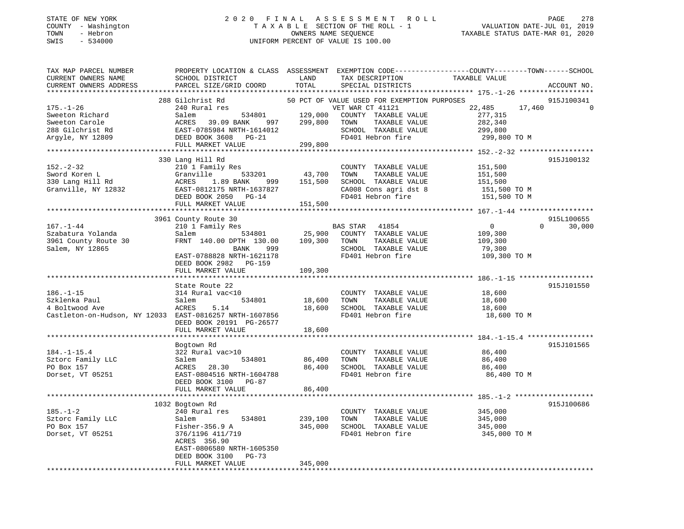# STATE OF NEW YORK 2 0 2 0 F I N A L A S S E S S M E N T R O L L PAGE 278 COUNTY - Washington T A X A B L E SECTION OF THE ROLL - 1 VALUATION DATE-JUL 01, 2019 TOWN - Hebron OWNERS NAME SEQUENCE TAXABLE STATUS DATE-MAR 01, 2020 SWIS - 534000 UNIFORM PERCENT OF VALUE IS 100.00UNIFORM PERCENT OF VALUE IS 100.00

| TAX MAP PARCEL NUMBER<br>CURRENT OWNERS NAME            | PROPERTY LOCATION & CLASS ASSESSMENT EXEMPTION CODE----------------COUNTY-------TOWN-----SCHOOL<br>SCHOOL DISTRICT | LAND          | TAX DESCRIPTION                             | TAXABLE VALUE                 |                       |
|---------------------------------------------------------|--------------------------------------------------------------------------------------------------------------------|---------------|---------------------------------------------|-------------------------------|-----------------------|
| CURRENT OWNERS ADDRESS                                  | PARCEL SIZE/GRID COORD                                                                                             | TOTAL         | SPECIAL DISTRICTS                           |                               | ACCOUNT NO.           |
|                                                         |                                                                                                                    |               |                                             |                               |                       |
|                                                         | 288 Gilchrist Rd                                                                                                   |               | 50 PCT OF VALUE USED FOR EXEMPTION PURPOSES |                               | 915J100341            |
| $175. - 1 - 26$                                         | 240 Rural res                                                                                                      |               | VET WAR CT 41121                            | 22,485                        | 17,460<br>$\mathbf 0$ |
| Sweeton Richard                                         |                                                                                                                    |               |                                             | 277,315                       |                       |
| Sweeton Carole                                          |                                                                                                                    |               | TAXABLE VALUE                               | 282,340                       |                       |
| 288 Gilchrist Rd                                        |                                                                                                                    |               | SCHOOL TAXABLE VALUE                        | 299,800                       |                       |
|                                                         | Salem<br>ACRES 39.09 BANK 997 299,800<br>EAST-0785984 NRTH-1614012<br>DEED BOOK 3608 PG-21<br>WADKET VALUE 299,800 |               | FD401 Hebron fire                           | 299,800 TO M                  |                       |
| Argyle, NY 12809                                        |                                                                                                                    |               |                                             |                               |                       |
|                                                         |                                                                                                                    |               |                                             |                               |                       |
|                                                         |                                                                                                                    |               |                                             |                               |                       |
|                                                         | 330 Lang Hill Rd                                                                                                   |               |                                             |                               | 915J100132            |
| $152 - 2 - 32$                                          | 210 1 Family Res                                                                                                   |               | COUNTY TAXABLE VALUE                        | 151,500                       |                       |
| Sword Koren L<br>330 Lang Hill Rd<br>330 Lang Hill Rd   | Granville<br>1.89 BANK 999                                                                                         | 533201 43,700 | TOWN<br>TAXABLE VALUE                       | 151,500<br>151,500<br>151,500 |                       |
|                                                         | ACRES                                                                                                              |               | 151,500 SCHOOL TAXABLE VALUE                |                               |                       |
| Granville, NY 12832                                     | EAST-0812175 NRTH-1637827                                                                                          |               | CA008 Cons agri dst 8                       | 151,500 TO M                  |                       |
|                                                         | DEED BOOK 2050 PG-14                                                                                               |               | FD401 Hebron fire                           | 151,500 TO M                  |                       |
|                                                         | FULL MARKET VALUE                                                                                                  | 151,500       |                                             |                               |                       |
|                                                         |                                                                                                                    |               |                                             |                               |                       |
|                                                         | 3961 County Route 30                                                                                               |               |                                             |                               | 915L100655            |
| $167. - 1 - 44$                                         | 210 1 Family Res                                                                                                   |               | BAS STAR 41854                              | $\overline{0}$                | 30,000                |
| Szabatura Yolanda                                       | Salem 534801                                                                                                       |               | 25,900 COUNTY TAXABLE VALUE                 | 109,300                       |                       |
| 3961 County Route 30                                    | FRNT 140.00 DPTH 130.00                                                                                            |               | 109,300 TOWN<br>TAXABLE VALUE               | 109,300                       |                       |
| Salem, NY 12865                                         | BANK 999                                                                                                           |               | SCHOOL TAXABLE VALUE                        | 79,300                        |                       |
|                                                         | EAST-0788828 NRTH-1621178                                                                                          |               | FD401 Hebron fire                           | 109,300 TO M                  |                       |
|                                                         | DEED BOOK 2982 PG-159                                                                                              |               |                                             |                               |                       |
|                                                         | FULL MARKET VALUE                                                                                                  | 109,300       |                                             |                               |                       |
|                                                         |                                                                                                                    |               |                                             |                               |                       |
|                                                         | State Route 22                                                                                                     |               |                                             |                               | 915J101550            |
| $186. - 1 - 15$                                         | 314 Rural vac<10                                                                                                   |               | COUNTY TAXABLE VALUE                        | 18,600                        |                       |
| Szklenka Paul                                           | Salem                                                                                                              | 534801 18,600 | TAXABLE VALUE<br>TOWN                       | 18,600                        |                       |
| 4 Boltwood Ave                                          | ACRES<br>5.14                                                                                                      | 18,600        | SCHOOL TAXABLE VALUE                        | 18,600                        |                       |
| Castleton-on-Hudson, NY 12033 EAST-0816257 NRTH-1607856 |                                                                                                                    |               | FD401 Hebron fire                           | 18,600 TO M                   |                       |
|                                                         | DEED BOOK 20191 PG-26577                                                                                           |               |                                             |                               |                       |
|                                                         | FULL MARKET VALUE                                                                                                  | 18,600        |                                             |                               |                       |
|                                                         |                                                                                                                    |               |                                             |                               |                       |
|                                                         | Bogtown Rd                                                                                                         |               |                                             |                               | 915J101565            |
| $184. - 1 - 15.4$                                       | 322 Rural vac>10                                                                                                   |               | COUNTY TAXABLE VALUE                        | 86,400                        |                       |
| Sztorc Family LLC                                       | 534801<br>Salem                                                                                                    | 86,400        | TOWN<br>TAXABLE VALUE                       | 86,400                        |                       |
| PO Box 157                                              | ACRES 28.30                                                                                                        |               | 86,400 SCHOOL TAXABLE VALUE                 | 86,400                        |                       |
| Dorset, VT 05251                                        | EAST-0804516 NRTH-1604788                                                                                          |               | FD401 Hebron fire                           | 86,400 TO M                   |                       |
|                                                         | DEED BOOK 3100 PG-87                                                                                               |               |                                             |                               |                       |
|                                                         | FULL MARKET VALUE                                                                                                  | 86,400        |                                             |                               |                       |
|                                                         |                                                                                                                    |               |                                             |                               |                       |
|                                                         | 1032 Bogtown Rd                                                                                                    |               |                                             |                               | 915J100686            |
| $185. - 1 - 2$                                          | 240 Rural res                                                                                                      |               | COUNTY TAXABLE VALUE                        | 345,000                       |                       |
| Sztorc Family LLC                                       | 534801<br>Salem                                                                                                    | 239,100       | TOWN<br>TAXABLE VALUE                       | 345,000                       |                       |
| PO Box 157                                              | Fisher-356.9 A                                                                                                     | 345,000       | SCHOOL TAXABLE VALUE                        | 345,000                       |                       |
| Dorset, VT 05251                                        | 376/1196 411/719                                                                                                   |               | FD401 Hebron fire                           | 345,000 TO M                  |                       |
|                                                         | ACRES 356.90                                                                                                       |               |                                             |                               |                       |
|                                                         | EAST-0806580 NRTH-1605350                                                                                          |               |                                             |                               |                       |
|                                                         | DEED BOOK 3100<br>PG-73                                                                                            |               |                                             |                               |                       |
|                                                         | FULL MARKET VALUE                                                                                                  | 345,000       |                                             |                               |                       |
|                                                         |                                                                                                                    |               |                                             |                               |                       |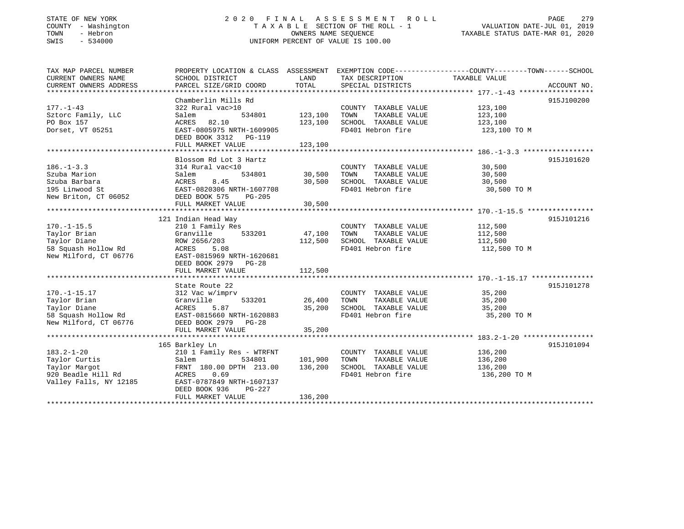# STATE OF NEW YORK 2 0 2 0 F I N A L A S S E S S M E N T R O L L PAGE 279COUNTY - Washington T A X A B L E SECTION OF THE ROLL - 1 VALUATION DATE-JUL 01, 2019 SWIS - 534000 UNIFORM PERCENT OF VALUE IS 100.00

VALUATION DATE-JUL 01, 2019

TAXABLE STATUS DATE-MAR 01, 2020

| CURRENT OWNERS NAME<br>SCHOOL DISTRICT<br>LAND<br>TAX DESCRIPTION<br>TAXABLE VALUE<br>TOTAL<br>CURRENT OWNERS ADDRESS<br>PARCEL SIZE/GRID COORD<br>SPECIAL DISTRICTS<br>ACCOUNT NO.<br>Chamberlin Mills Rd<br>915J100200<br>$177. - 1 - 43$<br>322 Rural vac>10<br>123,100<br>COUNTY TAXABLE VALUE<br>123,100<br>123,100<br>TAXABLE VALUE<br>Sztorc Family, LLC<br>534801<br>TOWN<br>Salem<br>PO Box 157<br>82.10<br>123,100<br>SCHOOL TAXABLE VALUE<br>ACRES<br>123,100<br>EAST-0805975 NRTH-1609905<br>FD401 Hebron fire<br>123,100 TO M<br>Dorset, VT 05251<br>DEED BOOK 3312 PG-119<br>FULL MARKET VALUE<br>123,100<br>915J101620<br>Blossom Rd Lot 3 Hartz<br>$186. - 1 - 3.3$<br>314 Rural vac<10<br>30,500<br>COUNTY TAXABLE VALUE<br>30,500<br>Szuba Marion<br>534801<br>Salem<br>TOWN<br>TAXABLE VALUE<br>30,500<br>Szuba Barbara<br>ACRES<br>8.45<br>30,500<br>SCHOOL TAXABLE VALUE<br>30,500<br>FD401 Hebron fire<br>195 Linwood St<br>EAST-0820306 NRTH-1607708<br>30,500 TO M<br>New Briton, CT 06052<br>DEED BOOK 575<br>PG-205<br>30,500<br>FULL MARKET VALUE<br>915J101216<br>121 Indian Head Way<br>$170. - 1 - 15.5$<br>112,500<br>210 1 Family Res<br>COUNTY TAXABLE VALUE<br>Taylor Brian<br>Granville<br>533201<br>47,100<br>TOWN<br>TAXABLE VALUE<br>112,500<br>112,500<br>Taylor Diane<br>112,500<br>SCHOOL TAXABLE VALUE<br>ROW 2656/203<br>FD401 Hebron fire<br>58 Squash Hollow Rd<br>112,500 TO M<br>ACRES 5.08<br>New Milford, CT 06776<br>EAST-0815969 NRTH-1620681<br>DEED BOOK 2979 PG-28<br>112,500<br>FULL MARKET VALUE<br>915J101278<br>State Route 22<br>$170. - 1 - 15.17$<br>312 Vac w/imprv<br>COUNTY TAXABLE VALUE<br>35,200<br>26,400<br>Taylor Brian<br>533201<br>TOWN<br>TAXABLE VALUE<br>Granville<br>35,200<br>35,200<br>SCHOOL TAXABLE VALUE<br>Taylor Diane<br>ACRES<br>5.87<br>35,200<br>FD401 Hebron fire<br>58 Squash Hollow Rd<br>EAST-0815660 NRTH-1620883<br>35,200 TO M<br>New Milford, CT 06776<br>DEED BOOK 2979 PG-28<br>35,200<br>FULL MARKET VALUE<br>915J101094<br>165 Barkley Ln<br>136,200<br>136,200<br>$183.2 - 1 - 20$<br>210 1 Family Res - WTRFNT<br>COUNTY TAXABLE VALUE<br>101,900<br>Taylor Curtis<br>Salem<br>534801<br>TOWN<br>TAXABLE VALUE<br>FRNT 180.00 DPTH 213.00<br>Taylor Margot<br>136,200<br>SCHOOL TAXABLE VALUE<br>136,200<br>920 Beadle Hill Rd<br>ACRES 0.69<br>FD401 Hebron fire<br>136,200 TO M<br>Valley Falls, NY 12185<br>EAST-0787849 NRTH-1607137<br>DEED BOOK 936<br>PG-227<br>136,200<br>FULL MARKET VALUE | TAX MAP PARCEL NUMBER |  | PROPERTY LOCATION & CLASS ASSESSMENT EXEMPTION CODE----------------COUNTY-------TOWN-----SCHOOL |  |
|----------------------------------------------------------------------------------------------------------------------------------------------------------------------------------------------------------------------------------------------------------------------------------------------------------------------------------------------------------------------------------------------------------------------------------------------------------------------------------------------------------------------------------------------------------------------------------------------------------------------------------------------------------------------------------------------------------------------------------------------------------------------------------------------------------------------------------------------------------------------------------------------------------------------------------------------------------------------------------------------------------------------------------------------------------------------------------------------------------------------------------------------------------------------------------------------------------------------------------------------------------------------------------------------------------------------------------------------------------------------------------------------------------------------------------------------------------------------------------------------------------------------------------------------------------------------------------------------------------------------------------------------------------------------------------------------------------------------------------------------------------------------------------------------------------------------------------------------------------------------------------------------------------------------------------------------------------------------------------------------------------------------------------------------------------------------------------------------------------------------------------------------------------------------------------------------------------------------------------------------------------------------------------------------------------------------------------------------------------------------------------------------------------------------------------------------------------------------------------------------------------|-----------------------|--|-------------------------------------------------------------------------------------------------|--|
|                                                                                                                                                                                                                                                                                                                                                                                                                                                                                                                                                                                                                                                                                                                                                                                                                                                                                                                                                                                                                                                                                                                                                                                                                                                                                                                                                                                                                                                                                                                                                                                                                                                                                                                                                                                                                                                                                                                                                                                                                                                                                                                                                                                                                                                                                                                                                                                                                                                                                                          |                       |  |                                                                                                 |  |
|                                                                                                                                                                                                                                                                                                                                                                                                                                                                                                                                                                                                                                                                                                                                                                                                                                                                                                                                                                                                                                                                                                                                                                                                                                                                                                                                                                                                                                                                                                                                                                                                                                                                                                                                                                                                                                                                                                                                                                                                                                                                                                                                                                                                                                                                                                                                                                                                                                                                                                          |                       |  |                                                                                                 |  |
|                                                                                                                                                                                                                                                                                                                                                                                                                                                                                                                                                                                                                                                                                                                                                                                                                                                                                                                                                                                                                                                                                                                                                                                                                                                                                                                                                                                                                                                                                                                                                                                                                                                                                                                                                                                                                                                                                                                                                                                                                                                                                                                                                                                                                                                                                                                                                                                                                                                                                                          |                       |  |                                                                                                 |  |
|                                                                                                                                                                                                                                                                                                                                                                                                                                                                                                                                                                                                                                                                                                                                                                                                                                                                                                                                                                                                                                                                                                                                                                                                                                                                                                                                                                                                                                                                                                                                                                                                                                                                                                                                                                                                                                                                                                                                                                                                                                                                                                                                                                                                                                                                                                                                                                                                                                                                                                          |                       |  |                                                                                                 |  |
|                                                                                                                                                                                                                                                                                                                                                                                                                                                                                                                                                                                                                                                                                                                                                                                                                                                                                                                                                                                                                                                                                                                                                                                                                                                                                                                                                                                                                                                                                                                                                                                                                                                                                                                                                                                                                                                                                                                                                                                                                                                                                                                                                                                                                                                                                                                                                                                                                                                                                                          |                       |  |                                                                                                 |  |
|                                                                                                                                                                                                                                                                                                                                                                                                                                                                                                                                                                                                                                                                                                                                                                                                                                                                                                                                                                                                                                                                                                                                                                                                                                                                                                                                                                                                                                                                                                                                                                                                                                                                                                                                                                                                                                                                                                                                                                                                                                                                                                                                                                                                                                                                                                                                                                                                                                                                                                          |                       |  |                                                                                                 |  |
|                                                                                                                                                                                                                                                                                                                                                                                                                                                                                                                                                                                                                                                                                                                                                                                                                                                                                                                                                                                                                                                                                                                                                                                                                                                                                                                                                                                                                                                                                                                                                                                                                                                                                                                                                                                                                                                                                                                                                                                                                                                                                                                                                                                                                                                                                                                                                                                                                                                                                                          |                       |  |                                                                                                 |  |
|                                                                                                                                                                                                                                                                                                                                                                                                                                                                                                                                                                                                                                                                                                                                                                                                                                                                                                                                                                                                                                                                                                                                                                                                                                                                                                                                                                                                                                                                                                                                                                                                                                                                                                                                                                                                                                                                                                                                                                                                                                                                                                                                                                                                                                                                                                                                                                                                                                                                                                          |                       |  |                                                                                                 |  |
|                                                                                                                                                                                                                                                                                                                                                                                                                                                                                                                                                                                                                                                                                                                                                                                                                                                                                                                                                                                                                                                                                                                                                                                                                                                                                                                                                                                                                                                                                                                                                                                                                                                                                                                                                                                                                                                                                                                                                                                                                                                                                                                                                                                                                                                                                                                                                                                                                                                                                                          |                       |  |                                                                                                 |  |
|                                                                                                                                                                                                                                                                                                                                                                                                                                                                                                                                                                                                                                                                                                                                                                                                                                                                                                                                                                                                                                                                                                                                                                                                                                                                                                                                                                                                                                                                                                                                                                                                                                                                                                                                                                                                                                                                                                                                                                                                                                                                                                                                                                                                                                                                                                                                                                                                                                                                                                          |                       |  |                                                                                                 |  |
|                                                                                                                                                                                                                                                                                                                                                                                                                                                                                                                                                                                                                                                                                                                                                                                                                                                                                                                                                                                                                                                                                                                                                                                                                                                                                                                                                                                                                                                                                                                                                                                                                                                                                                                                                                                                                                                                                                                                                                                                                                                                                                                                                                                                                                                                                                                                                                                                                                                                                                          |                       |  |                                                                                                 |  |
|                                                                                                                                                                                                                                                                                                                                                                                                                                                                                                                                                                                                                                                                                                                                                                                                                                                                                                                                                                                                                                                                                                                                                                                                                                                                                                                                                                                                                                                                                                                                                                                                                                                                                                                                                                                                                                                                                                                                                                                                                                                                                                                                                                                                                                                                                                                                                                                                                                                                                                          |                       |  |                                                                                                 |  |
|                                                                                                                                                                                                                                                                                                                                                                                                                                                                                                                                                                                                                                                                                                                                                                                                                                                                                                                                                                                                                                                                                                                                                                                                                                                                                                                                                                                                                                                                                                                                                                                                                                                                                                                                                                                                                                                                                                                                                                                                                                                                                                                                                                                                                                                                                                                                                                                                                                                                                                          |                       |  |                                                                                                 |  |
|                                                                                                                                                                                                                                                                                                                                                                                                                                                                                                                                                                                                                                                                                                                                                                                                                                                                                                                                                                                                                                                                                                                                                                                                                                                                                                                                                                                                                                                                                                                                                                                                                                                                                                                                                                                                                                                                                                                                                                                                                                                                                                                                                                                                                                                                                                                                                                                                                                                                                                          |                       |  |                                                                                                 |  |
|                                                                                                                                                                                                                                                                                                                                                                                                                                                                                                                                                                                                                                                                                                                                                                                                                                                                                                                                                                                                                                                                                                                                                                                                                                                                                                                                                                                                                                                                                                                                                                                                                                                                                                                                                                                                                                                                                                                                                                                                                                                                                                                                                                                                                                                                                                                                                                                                                                                                                                          |                       |  |                                                                                                 |  |
|                                                                                                                                                                                                                                                                                                                                                                                                                                                                                                                                                                                                                                                                                                                                                                                                                                                                                                                                                                                                                                                                                                                                                                                                                                                                                                                                                                                                                                                                                                                                                                                                                                                                                                                                                                                                                                                                                                                                                                                                                                                                                                                                                                                                                                                                                                                                                                                                                                                                                                          |                       |  |                                                                                                 |  |
|                                                                                                                                                                                                                                                                                                                                                                                                                                                                                                                                                                                                                                                                                                                                                                                                                                                                                                                                                                                                                                                                                                                                                                                                                                                                                                                                                                                                                                                                                                                                                                                                                                                                                                                                                                                                                                                                                                                                                                                                                                                                                                                                                                                                                                                                                                                                                                                                                                                                                                          |                       |  |                                                                                                 |  |
|                                                                                                                                                                                                                                                                                                                                                                                                                                                                                                                                                                                                                                                                                                                                                                                                                                                                                                                                                                                                                                                                                                                                                                                                                                                                                                                                                                                                                                                                                                                                                                                                                                                                                                                                                                                                                                                                                                                                                                                                                                                                                                                                                                                                                                                                                                                                                                                                                                                                                                          |                       |  |                                                                                                 |  |
|                                                                                                                                                                                                                                                                                                                                                                                                                                                                                                                                                                                                                                                                                                                                                                                                                                                                                                                                                                                                                                                                                                                                                                                                                                                                                                                                                                                                                                                                                                                                                                                                                                                                                                                                                                                                                                                                                                                                                                                                                                                                                                                                                                                                                                                                                                                                                                                                                                                                                                          |                       |  |                                                                                                 |  |
|                                                                                                                                                                                                                                                                                                                                                                                                                                                                                                                                                                                                                                                                                                                                                                                                                                                                                                                                                                                                                                                                                                                                                                                                                                                                                                                                                                                                                                                                                                                                                                                                                                                                                                                                                                                                                                                                                                                                                                                                                                                                                                                                                                                                                                                                                                                                                                                                                                                                                                          |                       |  |                                                                                                 |  |
|                                                                                                                                                                                                                                                                                                                                                                                                                                                                                                                                                                                                                                                                                                                                                                                                                                                                                                                                                                                                                                                                                                                                                                                                                                                                                                                                                                                                                                                                                                                                                                                                                                                                                                                                                                                                                                                                                                                                                                                                                                                                                                                                                                                                                                                                                                                                                                                                                                                                                                          |                       |  |                                                                                                 |  |
|                                                                                                                                                                                                                                                                                                                                                                                                                                                                                                                                                                                                                                                                                                                                                                                                                                                                                                                                                                                                                                                                                                                                                                                                                                                                                                                                                                                                                                                                                                                                                                                                                                                                                                                                                                                                                                                                                                                                                                                                                                                                                                                                                                                                                                                                                                                                                                                                                                                                                                          |                       |  |                                                                                                 |  |
|                                                                                                                                                                                                                                                                                                                                                                                                                                                                                                                                                                                                                                                                                                                                                                                                                                                                                                                                                                                                                                                                                                                                                                                                                                                                                                                                                                                                                                                                                                                                                                                                                                                                                                                                                                                                                                                                                                                                                                                                                                                                                                                                                                                                                                                                                                                                                                                                                                                                                                          |                       |  |                                                                                                 |  |
|                                                                                                                                                                                                                                                                                                                                                                                                                                                                                                                                                                                                                                                                                                                                                                                                                                                                                                                                                                                                                                                                                                                                                                                                                                                                                                                                                                                                                                                                                                                                                                                                                                                                                                                                                                                                                                                                                                                                                                                                                                                                                                                                                                                                                                                                                                                                                                                                                                                                                                          |                       |  |                                                                                                 |  |
|                                                                                                                                                                                                                                                                                                                                                                                                                                                                                                                                                                                                                                                                                                                                                                                                                                                                                                                                                                                                                                                                                                                                                                                                                                                                                                                                                                                                                                                                                                                                                                                                                                                                                                                                                                                                                                                                                                                                                                                                                                                                                                                                                                                                                                                                                                                                                                                                                                                                                                          |                       |  |                                                                                                 |  |
|                                                                                                                                                                                                                                                                                                                                                                                                                                                                                                                                                                                                                                                                                                                                                                                                                                                                                                                                                                                                                                                                                                                                                                                                                                                                                                                                                                                                                                                                                                                                                                                                                                                                                                                                                                                                                                                                                                                                                                                                                                                                                                                                                                                                                                                                                                                                                                                                                                                                                                          |                       |  |                                                                                                 |  |
|                                                                                                                                                                                                                                                                                                                                                                                                                                                                                                                                                                                                                                                                                                                                                                                                                                                                                                                                                                                                                                                                                                                                                                                                                                                                                                                                                                                                                                                                                                                                                                                                                                                                                                                                                                                                                                                                                                                                                                                                                                                                                                                                                                                                                                                                                                                                                                                                                                                                                                          |                       |  |                                                                                                 |  |
|                                                                                                                                                                                                                                                                                                                                                                                                                                                                                                                                                                                                                                                                                                                                                                                                                                                                                                                                                                                                                                                                                                                                                                                                                                                                                                                                                                                                                                                                                                                                                                                                                                                                                                                                                                                                                                                                                                                                                                                                                                                                                                                                                                                                                                                                                                                                                                                                                                                                                                          |                       |  |                                                                                                 |  |
|                                                                                                                                                                                                                                                                                                                                                                                                                                                                                                                                                                                                                                                                                                                                                                                                                                                                                                                                                                                                                                                                                                                                                                                                                                                                                                                                                                                                                                                                                                                                                                                                                                                                                                                                                                                                                                                                                                                                                                                                                                                                                                                                                                                                                                                                                                                                                                                                                                                                                                          |                       |  |                                                                                                 |  |
|                                                                                                                                                                                                                                                                                                                                                                                                                                                                                                                                                                                                                                                                                                                                                                                                                                                                                                                                                                                                                                                                                                                                                                                                                                                                                                                                                                                                                                                                                                                                                                                                                                                                                                                                                                                                                                                                                                                                                                                                                                                                                                                                                                                                                                                                                                                                                                                                                                                                                                          |                       |  |                                                                                                 |  |
|                                                                                                                                                                                                                                                                                                                                                                                                                                                                                                                                                                                                                                                                                                                                                                                                                                                                                                                                                                                                                                                                                                                                                                                                                                                                                                                                                                                                                                                                                                                                                                                                                                                                                                                                                                                                                                                                                                                                                                                                                                                                                                                                                                                                                                                                                                                                                                                                                                                                                                          |                       |  |                                                                                                 |  |
|                                                                                                                                                                                                                                                                                                                                                                                                                                                                                                                                                                                                                                                                                                                                                                                                                                                                                                                                                                                                                                                                                                                                                                                                                                                                                                                                                                                                                                                                                                                                                                                                                                                                                                                                                                                                                                                                                                                                                                                                                                                                                                                                                                                                                                                                                                                                                                                                                                                                                                          |                       |  |                                                                                                 |  |
|                                                                                                                                                                                                                                                                                                                                                                                                                                                                                                                                                                                                                                                                                                                                                                                                                                                                                                                                                                                                                                                                                                                                                                                                                                                                                                                                                                                                                                                                                                                                                                                                                                                                                                                                                                                                                                                                                                                                                                                                                                                                                                                                                                                                                                                                                                                                                                                                                                                                                                          |                       |  |                                                                                                 |  |
|                                                                                                                                                                                                                                                                                                                                                                                                                                                                                                                                                                                                                                                                                                                                                                                                                                                                                                                                                                                                                                                                                                                                                                                                                                                                                                                                                                                                                                                                                                                                                                                                                                                                                                                                                                                                                                                                                                                                                                                                                                                                                                                                                                                                                                                                                                                                                                                                                                                                                                          |                       |  |                                                                                                 |  |
|                                                                                                                                                                                                                                                                                                                                                                                                                                                                                                                                                                                                                                                                                                                                                                                                                                                                                                                                                                                                                                                                                                                                                                                                                                                                                                                                                                                                                                                                                                                                                                                                                                                                                                                                                                                                                                                                                                                                                                                                                                                                                                                                                                                                                                                                                                                                                                                                                                                                                                          |                       |  |                                                                                                 |  |
|                                                                                                                                                                                                                                                                                                                                                                                                                                                                                                                                                                                                                                                                                                                                                                                                                                                                                                                                                                                                                                                                                                                                                                                                                                                                                                                                                                                                                                                                                                                                                                                                                                                                                                                                                                                                                                                                                                                                                                                                                                                                                                                                                                                                                                                                                                                                                                                                                                                                                                          |                       |  |                                                                                                 |  |
|                                                                                                                                                                                                                                                                                                                                                                                                                                                                                                                                                                                                                                                                                                                                                                                                                                                                                                                                                                                                                                                                                                                                                                                                                                                                                                                                                                                                                                                                                                                                                                                                                                                                                                                                                                                                                                                                                                                                                                                                                                                                                                                                                                                                                                                                                                                                                                                                                                                                                                          |                       |  |                                                                                                 |  |
|                                                                                                                                                                                                                                                                                                                                                                                                                                                                                                                                                                                                                                                                                                                                                                                                                                                                                                                                                                                                                                                                                                                                                                                                                                                                                                                                                                                                                                                                                                                                                                                                                                                                                                                                                                                                                                                                                                                                                                                                                                                                                                                                                                                                                                                                                                                                                                                                                                                                                                          |                       |  |                                                                                                 |  |
|                                                                                                                                                                                                                                                                                                                                                                                                                                                                                                                                                                                                                                                                                                                                                                                                                                                                                                                                                                                                                                                                                                                                                                                                                                                                                                                                                                                                                                                                                                                                                                                                                                                                                                                                                                                                                                                                                                                                                                                                                                                                                                                                                                                                                                                                                                                                                                                                                                                                                                          |                       |  |                                                                                                 |  |
|                                                                                                                                                                                                                                                                                                                                                                                                                                                                                                                                                                                                                                                                                                                                                                                                                                                                                                                                                                                                                                                                                                                                                                                                                                                                                                                                                                                                                                                                                                                                                                                                                                                                                                                                                                                                                                                                                                                                                                                                                                                                                                                                                                                                                                                                                                                                                                                                                                                                                                          |                       |  |                                                                                                 |  |
|                                                                                                                                                                                                                                                                                                                                                                                                                                                                                                                                                                                                                                                                                                                                                                                                                                                                                                                                                                                                                                                                                                                                                                                                                                                                                                                                                                                                                                                                                                                                                                                                                                                                                                                                                                                                                                                                                                                                                                                                                                                                                                                                                                                                                                                                                                                                                                                                                                                                                                          |                       |  |                                                                                                 |  |
|                                                                                                                                                                                                                                                                                                                                                                                                                                                                                                                                                                                                                                                                                                                                                                                                                                                                                                                                                                                                                                                                                                                                                                                                                                                                                                                                                                                                                                                                                                                                                                                                                                                                                                                                                                                                                                                                                                                                                                                                                                                                                                                                                                                                                                                                                                                                                                                                                                                                                                          |                       |  |                                                                                                 |  |
|                                                                                                                                                                                                                                                                                                                                                                                                                                                                                                                                                                                                                                                                                                                                                                                                                                                                                                                                                                                                                                                                                                                                                                                                                                                                                                                                                                                                                                                                                                                                                                                                                                                                                                                                                                                                                                                                                                                                                                                                                                                                                                                                                                                                                                                                                                                                                                                                                                                                                                          |                       |  |                                                                                                 |  |
|                                                                                                                                                                                                                                                                                                                                                                                                                                                                                                                                                                                                                                                                                                                                                                                                                                                                                                                                                                                                                                                                                                                                                                                                                                                                                                                                                                                                                                                                                                                                                                                                                                                                                                                                                                                                                                                                                                                                                                                                                                                                                                                                                                                                                                                                                                                                                                                                                                                                                                          |                       |  |                                                                                                 |  |
|                                                                                                                                                                                                                                                                                                                                                                                                                                                                                                                                                                                                                                                                                                                                                                                                                                                                                                                                                                                                                                                                                                                                                                                                                                                                                                                                                                                                                                                                                                                                                                                                                                                                                                                                                                                                                                                                                                                                                                                                                                                                                                                                                                                                                                                                                                                                                                                                                                                                                                          |                       |  |                                                                                                 |  |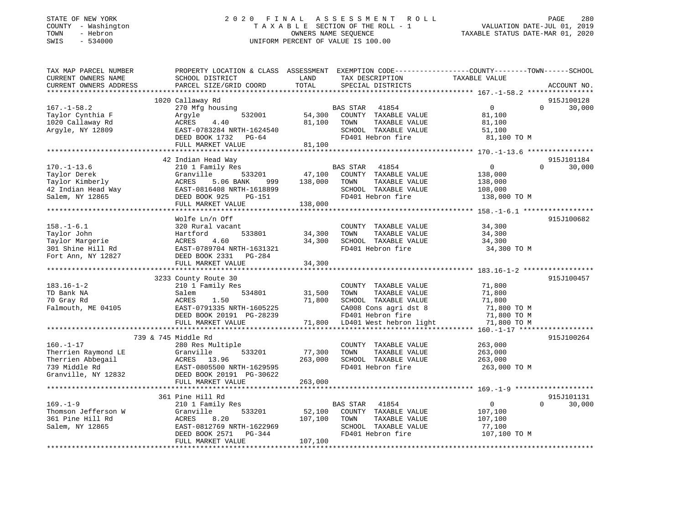# STATE OF NEW YORK 2 0 2 0 F I N A L A S S E S S M E N T R O L L PAGE 280 COUNTY - Washington T A X A B L E SECTION OF THE ROLL - 1 VALUATION DATE-JUL 01, 2019 TOWN - Hebron OWNERS NAME SEQUENCE TAXABLE STATUS DATE-MAR 01, 2020 SWIS - 534000 UNIFORM PERCENT OF VALUE IS 100.00

| TAX MAP PARCEL NUMBER  | PROPERTY LOCATION & CLASS ASSESSMENT EXEMPTION CODE---------------COUNTY-------TOWN-----SCHOOL |         |                                                     |                    |                    |
|------------------------|------------------------------------------------------------------------------------------------|---------|-----------------------------------------------------|--------------------|--------------------|
| CURRENT OWNERS NAME    | SCHOOL DISTRICT                                                                                | LAND    | TAX DESCRIPTION                                     | TAXABLE VALUE      |                    |
| CURRENT OWNERS ADDRESS | PARCEL SIZE/GRID COORD                                                                         | TOTAL   | SPECIAL DISTRICTS                                   |                    | ACCOUNT NO.        |
|                        |                                                                                                |         |                                                     |                    |                    |
|                        | 1020 Callaway Rd                                                                               |         |                                                     |                    | 915J100128         |
| $167. - 1 - 58.2$      | 270 Mfg housing                                                                                |         | BAS STAR<br>41854                                   | $\Omega$           | $\Omega$<br>30,000 |
| Taylor Cynthia F       | 532001<br>Argyle                                                                               | 54,300  | COUNTY TAXABLE VALUE                                | 81,100             |                    |
| 1020 Callaway Rd       | ACRES<br>4.40                                                                                  | 81,100  | TAXABLE VALUE<br>TOWN                               | 81,100             |                    |
| Argyle, NY 12809       | EAST-0783284 NRTH-1624540                                                                      |         | SCHOOL TAXABLE VALUE                                | 51,100             |                    |
|                        | DEED BOOK 1732 PG-64                                                                           |         | FD401 Hebron fire                                   | 81,100 TO M        |                    |
|                        | FULL MARKET VALUE                                                                              | 81,100  |                                                     |                    |                    |
|                        |                                                                                                |         |                                                     |                    |                    |
|                        | 42 Indian Head Way                                                                             |         |                                                     |                    | 915J101184         |
| $170. - 1 - 13.6$      | 210 1 Family Res                                                                               |         | <b>BAS STAR</b><br>41854                            | $\mathbf{0}$       | 30,000<br>$\Omega$ |
| Taylor Derek           | Granville<br>533201                                                                            | 47,100  | COUNTY TAXABLE VALUE                                | 138,000            |                    |
| Taylor Kimberly        | 5.06 BANK<br>ACRES<br>999                                                                      | 138,000 | TOWN<br>TAXABLE VALUE                               | 138,000            |                    |
| 42 Indian Head Way     | EAST-0816408 NRTH-1618899                                                                      |         | SCHOOL TAXABLE VALUE                                | 108,000            |                    |
| Salem, NY 12865        | DEED BOOK 925<br>PG-151                                                                        |         | FD401 Hebron fire                                   | 138,000 TO M       |                    |
|                        | FULL MARKET VALUE                                                                              | 138,000 |                                                     |                    |                    |
|                        |                                                                                                |         |                                                     |                    |                    |
|                        | Wolfe Ln/n Off                                                                                 |         |                                                     |                    | 915J100682         |
| $158. - 1 - 6.1$       | 320 Rural vacant                                                                               |         | COUNTY TAXABLE VALUE                                | 34,300             |                    |
| Taylor John            | 533801<br>Hartford                                                                             | 34,300  | TOWN<br>TAXABLE VALUE                               | 34,300             |                    |
| Taylor Margerie        | 4.60<br>ACRES                                                                                  | 34,300  | SCHOOL TAXABLE VALUE                                | 34,300             |                    |
| 301 Shine Hill Rd      | EAST-0789704 NRTH-1631321                                                                      |         | FD401 Hebron fire                                   | 34,300 TO M        |                    |
| Fort Ann, NY 12827     | DEED BOOK 2331 PG-284                                                                          |         |                                                     |                    |                    |
|                        | FULL MARKET VALUE                                                                              | 34,300  |                                                     |                    |                    |
|                        |                                                                                                |         |                                                     |                    |                    |
|                        | 3233 County Route 30                                                                           |         |                                                     |                    | 915J100457         |
| $183.16 - 1 - 2$       | 210 1 Family Res                                                                               |         | COUNTY TAXABLE VALUE                                | 71,800             |                    |
| TD Bank NA             | 534801<br>Salem                                                                                | 31,500  | TAXABLE VALUE<br>TOWN                               | 71,800             |                    |
| 70 Gray Rd             | ACRES<br>1.50                                                                                  | 71,800  | SCHOOL TAXABLE VALUE                                | 71,800             |                    |
| Falmouth, ME 04105     | EAST-0791335 NRTH-1605225                                                                      |         | CA008 Cons agri dst 8                               | 71,800 TO M        |                    |
|                        | DEED BOOK 20191 PG-28239                                                                       |         | FD401 Hebron fire<br>71,800 LD401 West hebron light | 71,800 TO M        |                    |
|                        | FULL MARKET VALUE                                                                              |         |                                                     | 71,800 TO M        |                    |
|                        | 739 & 745 Middle Rd                                                                            |         |                                                     |                    | 915J100264         |
| $160. - 1 - 17$        |                                                                                                |         | COUNTY TAXABLE VALUE                                |                    |                    |
| Therrien Raymond LE    | 280 Res Multiple<br>533201                                                                     | 77,300  | TOWN                                                | 263,000            |                    |
| Therrien Abbegail      | Granville<br>ACRES<br>13.96                                                                    | 263,000 | TAXABLE VALUE<br>SCHOOL TAXABLE VALUE               | 263,000<br>263,000 |                    |
| 739 Middle Rd          | EAST-0805500 NRTH-1629595                                                                      |         | FD401 Hebron fire                                   |                    |                    |
| Granville, NY 12832    | DEED BOOK 20191 PG-30622                                                                       |         |                                                     | 263,000 TO M       |                    |
|                        | FULL MARKET VALUE                                                                              | 263,000 |                                                     |                    |                    |
|                        |                                                                                                |         |                                                     |                    |                    |
|                        | 361 Pine Hill Rd                                                                               |         |                                                     |                    | 915J101131         |
| $169. - 1 - 9$         | 210 1 Family Res                                                                               |         | 41854<br>BAS STAR                                   | $\overline{0}$     | $\Omega$<br>30,000 |
| Thomson Jefferson W    | 533201<br>Granville                                                                            | 52,100  | COUNTY TAXABLE VALUE                                | 107,100            |                    |
| 361 Pine Hill Rd       | ACRES<br>8.20                                                                                  | 107,100 | TOWN<br>TAXABLE VALUE                               | 107,100            |                    |
| Salem, NY 12865        | EAST-0812769 NRTH-1622969                                                                      |         | SCHOOL TAXABLE VALUE                                | 77,100             |                    |
|                        | DEED BOOK 2571<br>PG-344                                                                       |         | FD401 Hebron fire                                   | 107,100 TO M       |                    |
|                        | FULL MARKET VALUE                                                                              | 107,100 |                                                     |                    |                    |
|                        |                                                                                                |         |                                                     |                    |                    |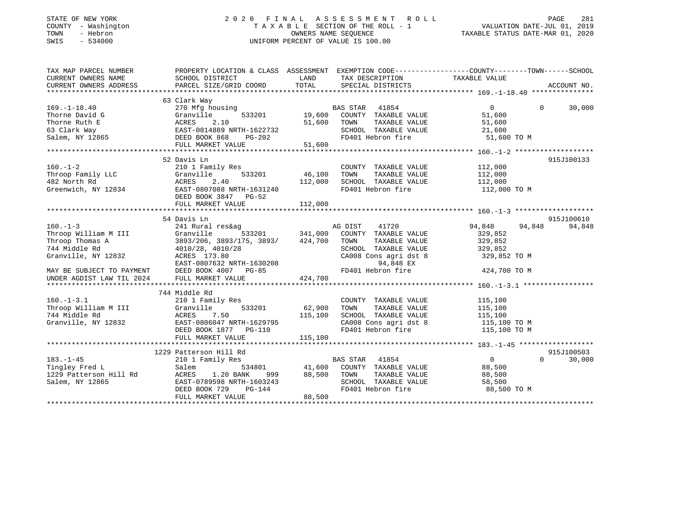# STATE OF NEW YORK 2 0 2 0 F I N A L A S S E S S M E N T R O L L PAGE 281 COUNTY - Washington T A X A B L E SECTION OF THE ROLL - 1 VALUATION DATE-JUL 01, 2019 TOWN - Hebron OWNERS NAME SEQUENCE TAXABLE STATUS DATE-MAR 01, 2020 SWIS - 534000 UNIFORM PERCENT OF VALUE IS 100.00

| TAX MAP PARCEL NUMBER                                         | PROPERTY LOCATION & CLASS ASSESSMENT EXEMPTION CODE----------------COUNTY-------TOWN------SCHOOL                                                                                                                                                                     |                 |                                                                                                      |                       |                                 |
|---------------------------------------------------------------|----------------------------------------------------------------------------------------------------------------------------------------------------------------------------------------------------------------------------------------------------------------------|-----------------|------------------------------------------------------------------------------------------------------|-----------------------|---------------------------------|
| CURRENT OWNERS NAME                                           | SCHOOL DISTRICT                                                                                                                                                                                                                                                      | <b>LAND</b>     | TAX DESCRIPTION TAXABLE VALUE                                                                        |                       |                                 |
| CURRENT OWNERS ADDRESS                                        | PARCEL SIZE/GRID COORD                                                                                                                                                                                                                                               | TOTAL           | SPECIAL DISTRICTS                                                                                    |                       | ACCOUNT NO.                     |
|                                                               |                                                                                                                                                                                                                                                                      |                 |                                                                                                      |                       |                                 |
|                                                               | 63 Clark Way                                                                                                                                                                                                                                                         |                 |                                                                                                      |                       |                                 |
| $169. - 1 - 18.40$                                            | 270 Mfg housing                                                                                                                                                                                                                                                      |                 |                                                                                                      | $\overline{0}$        | 30,000<br>$\Omega$ and $\Omega$ |
|                                                               |                                                                                                                                                                                                                                                                      |                 |                                                                                                      | 51,600                |                                 |
|                                                               |                                                                                                                                                                                                                                                                      | 51,600 TOWN     | TAXABLE VALUE                                                                                        | 51,600                |                                 |
|                                                               | Thorne David G<br>Thorne Ruth E<br>Formula and Cranville 533201 19,600<br>Formula 51,600<br>51,600<br>Salem, NY 12865<br>TULL MARKET VALUE 51,600<br>FULL MARKET VALUE 51,600                                                                                        |                 | SCHOOL TAXABLE VALUE<br>FD401 Hebron fire                                                            | 21,600                |                                 |
|                                                               |                                                                                                                                                                                                                                                                      |                 |                                                                                                      | 51,600 TO M           |                                 |
|                                                               |                                                                                                                                                                                                                                                                      |                 |                                                                                                      |                       |                                 |
|                                                               |                                                                                                                                                                                                                                                                      |                 |                                                                                                      |                       |                                 |
|                                                               | 52 Davis Ln                                                                                                                                                                                                                                                          |                 |                                                                                                      |                       | 915J100133                      |
| $160. - 1 - 2$                                                | 210 1 Family Res                                                                                                                                                                                                                                                     |                 | COUNTY TAXABLE VALUE 112,000                                                                         |                       |                                 |
|                                                               |                                                                                                                                                                                                                                                                      | 533201 46,100   |                                                                                                      |                       |                                 |
|                                                               | Throop Family LLC<br>Throop Family LLC<br>46,100<br>462 North Rd<br>Greenwich, NY 12834<br>533201<br>533201<br>533201<br>533201<br>533201<br>533201<br>533201<br>533201<br>533201<br>546,100<br>542 North Rd<br>542 North Rd<br>542 Past 540<br>542 Past 540<br>5440 | 112,000         |                                                                                                      |                       |                                 |
|                                                               |                                                                                                                                                                                                                                                                      |                 | FD401 Hebron fire 112,000 TO M                                                                       |                       |                                 |
|                                                               | DEED BOOK 3847 PG-52                                                                                                                                                                                                                                                 |                 |                                                                                                      |                       |                                 |
|                                                               |                                                                                                                                                                                                                                                                      |                 |                                                                                                      |                       |                                 |
|                                                               |                                                                                                                                                                                                                                                                      |                 |                                                                                                      |                       |                                 |
|                                                               | 54 Davis Ln                                                                                                                                                                                                                                                          |                 |                                                                                                      |                       | 915J100610                      |
| $160. - 1 - 3$                                                | 241 Rural res&ag                                                                                                                                                                                                                                                     |                 | 41720<br>AG DIST                                                                                     | 94,848 94,848         | 94,848                          |
| Throop William M III                                          |                                                                                                                                                                                                                                                                      |                 |                                                                                                      | 329,852               |                                 |
| Throop Thomas A                                               |                                                                                                                                                                                                                                                                      |                 |                                                                                                      | 329,852               |                                 |
| 744 Middle Rd                                                 | 4010/28, 4010/28                                                                                                                                                                                                                                                     |                 | SCHOOL TAXABLE VALUE 329,852                                                                         |                       |                                 |
| Granville, NY 12832                                           | ACRES 173.80                                                                                                                                                                                                                                                         |                 | CA008 Cons agri dst 8                                                                                | 329,852 TO M          |                                 |
|                                                               |                                                                                                                                                                                                                                                                      |                 |                                                                                                      |                       |                                 |
|                                                               |                                                                                                                                                                                                                                                                      |                 |                                                                                                      |                       |                                 |
| MAY BE SUBJECT TO PAYMENT<br>UNDER AGDIST LAW TIL 2024        |                                                                                                                                                                                                                                                                      |                 |                                                                                                      |                       |                                 |
|                                                               |                                                                                                                                                                                                                                                                      |                 |                                                                                                      |                       |                                 |
|                                                               |                                                                                                                                                                                                                                                                      |                 |                                                                                                      |                       |                                 |
|                                                               | 160.-1-3.1 744 Middle Rd<br>Throop William M III 310 1 Family Res<br>744 Middle Rd<br>744 Middle Rd<br>745 ACRES<br>7.50 115,100<br>62,900<br>82,900<br>744 Middle Rd<br>82,900<br>82,900<br>82,900<br>82,900<br>82,900<br>82,900<br>82,900<br>82,900<br>82,900<br>  |                 |                                                                                                      |                       |                                 |
|                                                               | $533201$ 62,900                                                                                                                                                                                                                                                      |                 | COUNTY TAXABLE VALUE                                                                                 | 115,100               |                                 |
|                                                               |                                                                                                                                                                                                                                                                      |                 | TOWN                                                                                                 | TAXABLE VALUE 115,100 |                                 |
|                                                               |                                                                                                                                                                                                                                                                      | 115, 100        |                                                                                                      |                       |                                 |
|                                                               |                                                                                                                                                                                                                                                                      |                 | SCHOOL TAXABLE VALUE 115,100<br>CA008 Cons agri dst 8 115,100 TO M<br>FD401 Hebron fire 115,100 TO M |                       |                                 |
|                                                               | DEED BOOK 1877 PG-110                                                                                                                                                                                                                                                |                 |                                                                                                      |                       |                                 |
|                                                               |                                                                                                                                                                                                                                                                      |                 |                                                                                                      |                       |                                 |
|                                                               |                                                                                                                                                                                                                                                                      |                 |                                                                                                      |                       |                                 |
|                                                               | 1229 Patterson Hill Rd                                                                                                                                                                                                                                               |                 |                                                                                                      |                       | 915J100503                      |
| $183. - 1 - 45$<br>103.-1-45<br>Tingley Fred L                | 210 1 Family Res                                                                                                                                                                                                                                                     |                 | BAS STAR 41854                                                                                       | $\overline{0}$        | $\Omega$<br>30,000              |
|                                                               | Salem                                                                                                                                                                                                                                                                |                 | 534801 41,600 COUNTY TAXABLE VALUE 88,500                                                            |                       |                                 |
| 1229 Patterson Hill Rd<br>1.20 BANK<br>1.20 BANK<br>1.20 BANK |                                                                                                                                                                                                                                                                      | 999 88,500 TOWN |                                                                                                      | TAXABLE VALUE 88,500  |                                 |
| Salem, NY 12865                                               | EAST-0789598 NRTH-1603243<br>DEED BOOK 729 PG-144                                                                                                                                                                                                                    |                 | SCHOOL TAXABLE VALUE<br>FD401 Hebron fire                                                            | 58,500                |                                 |
|                                                               |                                                                                                                                                                                                                                                                      |                 |                                                                                                      | 88,500 TO M           |                                 |
|                                                               | FULL MARKET VALUE                                                                                                                                                                                                                                                    | 88,500          |                                                                                                      |                       |                                 |
|                                                               |                                                                                                                                                                                                                                                                      |                 |                                                                                                      |                       |                                 |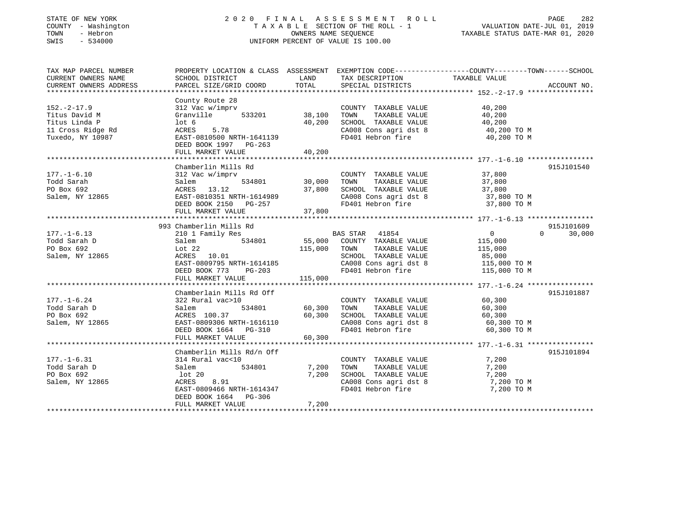# STATE OF NEW YORK 2 0 2 0 F I N A L A S S E S S M E N T R O L L PAGE 282 COUNTY - Washington T A X A B L E SECTION OF THE ROLL - 1 VALUATION DATE-JUL 01, 2019 TOWN - Hebron OWNERS NAME SEQUENCE TAXABLE STATUS DATE-MAR 01, 2020 SWIS - 534000 UNIFORM PERCENT OF VALUE IS 100.00

| TAX MAP PARCEL NUMBER<br>CURRENT OWNERS NAME                                                 | PROPERTY LOCATION & CLASS ASSESSMENT EXEMPTION CODE---------------COUNTY-------TOWN-----SCHOOL<br>SCHOOL DISTRICT                                         | LAND                              | TAX DESCRIPTION                                                                                                                                                                                                                                                                                    | TAXABLE VALUE                                                     |                                  |
|----------------------------------------------------------------------------------------------|-----------------------------------------------------------------------------------------------------------------------------------------------------------|-----------------------------------|----------------------------------------------------------------------------------------------------------------------------------------------------------------------------------------------------------------------------------------------------------------------------------------------------|-------------------------------------------------------------------|----------------------------------|
| CURRENT OWNERS ADDRESS                                                                       | PARCEL SIZE/GRID COORD                                                                                                                                    | TOTAL                             | SPECIAL DISTRICTS                                                                                                                                                                                                                                                                                  |                                                                   | ACCOUNT NO.                      |
|                                                                                              |                                                                                                                                                           |                                   |                                                                                                                                                                                                                                                                                                    |                                                                   |                                  |
| $152. - 2 - 17.9$<br>Titus David M<br>Titus Linda P<br>11 Cross Ridge Rd<br>Tuxedo, NY 10987 | County Route 28<br>312 Vac w/imprv<br>533201<br>Granville<br>lot 6<br>ACRES<br>5.78<br>EAST-0810500 NRTH-1641139                                          | 38,100<br>40,200                  | COUNTY TAXABLE VALUE<br>TOWN<br>TAXABLE VALUE<br>SCHOOL TAXABLE VALUE<br>$\begin{array}{llllll} \texttt{CA008} & \texttt{Cons}\ \texttt{agrid}\ \texttt{st}\ 8 & \texttt{40,200}}\ \texttt{T0 M} \\ \texttt{FD401} & \texttt{Hebron}\ \texttt{fire} & \texttt{40,200}}\ \texttt{T0 M} \end{array}$ | 40,200<br>40,200<br>40,200                                        |                                  |
|                                                                                              | DEED BOOK 1997 PG-263<br>FULL MARKET VALUE                                                                                                                | 40,200                            |                                                                                                                                                                                                                                                                                                    |                                                                   |                                  |
|                                                                                              |                                                                                                                                                           |                                   |                                                                                                                                                                                                                                                                                                    |                                                                   |                                  |
| $177. - 1 - 6.10$<br>Todd Sarah<br>PO Box 692<br>Salem, NY 12865                             | Chamberlin Mills Rd<br>312 Vac w/imprv<br>Salem<br>ACRES 13.12<br>EAST-0810351 NRTH-1614989<br>DEED BOOK 2150 PG-257<br>FULL MARKET VALUE                 | 534801 30,000<br>37,800<br>37,800 | COUNTY TAXABLE VALUE<br>TAXABLE VALUE<br>TOWN<br>SCHOOL TAXABLE VALUE<br>CA008 Cons agri dst 8<br>FD401 Hebron fire                                                                                                                                                                                | 37,800<br>37,800<br>37,800<br>37,800 TO M<br>37,800 TO M          | 915J101540                       |
|                                                                                              |                                                                                                                                                           |                                   |                                                                                                                                                                                                                                                                                                    |                                                                   |                                  |
| $177. - 1 - 6.13$<br>Todd Sarah D<br>PO Box 692<br>Salem, NY 12865                           | 993 Chamberlin Mills Rd<br>210 1 Family Res<br>534801<br>Salem<br>$ACRES$ 10.01<br>EAST-0809795 NRTH-1614185<br>DEED BOOK 773 PG-203<br>FULL MARKET VALUE | 115,000 TOWN<br>115,000           | BAS STAR 41854<br>55,000 COUNTY TAXABLE VALUE<br>TAXABLE VALUE<br>SCHOOL TAXABLE VALUE<br>FD401 Hebron fire                                                                                                                                                                                        | $0 \qquad \qquad$<br>115,000<br>115,000<br>85,000<br>115,000 TO M | 915J101609<br>$\Omega$<br>30,000 |
|                                                                                              | Chamberlain Mills Rd Off                                                                                                                                  |                                   |                                                                                                                                                                                                                                                                                                    |                                                                   | 915J101887                       |
| $177. - 1 - 6.24$<br>Todd Sarah D<br>PO Box 692<br>Salem, NY 12865                           | 322 Rural vac>10<br>534801<br>Salem<br>ACRES 100.37<br>EAST-0809306 NRTH-1616110<br>DEED BOOK 1664 PG-310<br>FULL MARKET VALUE                            | 60,300<br>60,300<br>60,300        | COUNTY TAXABLE VALUE 60,300<br>TOWN<br>TAXABLE VALUE<br>SCHOOL TAXABLE VALUE<br>CA008 Cons agri dst 8 60,300 TO M<br>FD401 Hebron fire                                                                                                                                                             | 60,300<br>60,300<br>60,300 TO M                                   |                                  |
|                                                                                              | Chamberlin Mills Rd/n Off                                                                                                                                 |                                   |                                                                                                                                                                                                                                                                                                    |                                                                   | 915J101894                       |
| $177. - 1 - 6.31$<br>Todd Sarah D<br>PO Box 692<br>Salem, NY 12865                           | 314 Rural vac<10<br>534801<br>Salem<br>lot 20<br>ACRES<br>8.91<br>EAST-0809466 NRTH-1614347<br>DEED BOOK 1664 PG-306<br>FULL MARKET VALUE                 | 7,200<br>7,200<br>7,200           | COUNTY TAXABLE VALUE<br>TAXABLE VALUE<br>TOWN<br>SCHOOL TAXABLE VALUE<br>CA008 Cons agri dst 8<br>FD401 Hebron fire                                                                                                                                                                                | 7,200<br>7,200<br>7,200<br>7,200 TO M<br>7,200 TO M               |                                  |
|                                                                                              |                                                                                                                                                           |                                   |                                                                                                                                                                                                                                                                                                    |                                                                   |                                  |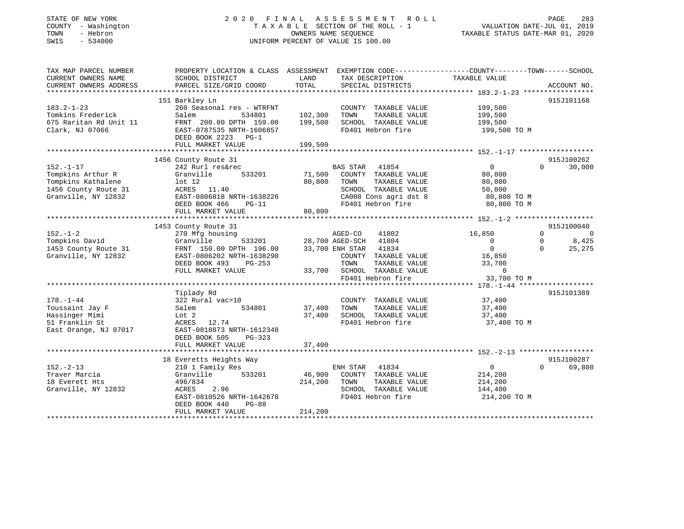# STATE OF NEW YORK 2 0 2 0 F I N A L A S S E S S M E N T R O L L PAGE 283 COUNTY - Washington T A X A B L E SECTION OF THE ROLL - 1 VALUATION DATE-JUL 01, 2019 TOWN - Hebron OWNERS NAME SEQUENCE TAXABLE STATUS DATE-MAR 01, 2020 SWIS - 534000 UNIFORM PERCENT OF VALUE IS 100.00

| TAX MAP PARCEL NUMBER<br>CURRENT OWNERS NAME<br>CURRENT OWNERS ADDRESS                                    | PROPERTY LOCATION & CLASS ASSESSMENT EXEMPTION CODE----------------COUNTY-------TOWN------SCHOOL<br>SCHOOL DISTRICT<br>PARCEL SIZE/GRID COORD                               | LAND<br>TOTAL                 | TAX DESCRIPTION<br>SPECIAL DISTRICTS                                                                                                                       | TAXABLE VALUE                                                                             | ACCOUNT NO.                                                                             |
|-----------------------------------------------------------------------------------------------------------|-----------------------------------------------------------------------------------------------------------------------------------------------------------------------------|-------------------------------|------------------------------------------------------------------------------------------------------------------------------------------------------------|-------------------------------------------------------------------------------------------|-----------------------------------------------------------------------------------------|
| $183.2 - 1 - 23$<br>Tomkins Frederick<br>675 Raritan Rd Unit 11<br>Clark, NJ 07066                        | 151 Barkley Ln<br>260 Seasonal res - WTRFNT<br>Salem<br>534801<br>FRNT 200.00 DPTH 159.00<br>EAST-0787535 NRTH-1606857<br>DEED BOOK 2223 PG-1<br>FULL MARKET VALUE          | 102,300<br>199,500<br>199,500 | COUNTY TAXABLE VALUE<br>TAXABLE VALUE<br>TOWN<br>SCHOOL TAXABLE VALUE<br>FD401 Hebron fire                                                                 | 199,500<br>199,500<br>199,500<br>199,500 TO M                                             | 915J101168                                                                              |
|                                                                                                           |                                                                                                                                                                             |                               |                                                                                                                                                            |                                                                                           |                                                                                         |
| $152. - 1 - 17$<br>Tompkins Arthur R<br>Tompkins Kathalene<br>1456 County Route 31<br>Granville, NY 12832 | 1456 County Route 31<br>242 Rurl res&rec<br>533201<br>Granville<br>$1$ ot $12$<br>ACRES 11.40<br>EAST-0806818 NRTH-1638226<br>DEED BOOK 466<br>$PG-11$<br>FULL MARKET VALUE | 71,500<br>80,800<br>80,800    | <b>BAS STAR</b><br>41854<br>COUNTY TAXABLE VALUE<br>TOWN<br>TAXABLE VALUE<br>SCHOOL TAXABLE VALUE<br>CA008 Cons agri dst 8<br>FD401 Hebron fire            | $\mathbf{0}$<br>80,800<br>80,800<br>50,800<br>80,800 TO M<br>80,800 TO M                  | 915J100262<br>30,000<br>$\Omega$                                                        |
|                                                                                                           |                                                                                                                                                                             |                               |                                                                                                                                                            |                                                                                           |                                                                                         |
| $152. - 1 - 2$<br>Tompkins David<br>1453 County Route 31<br>Granville, NY 12832                           | 1453 County Route 31<br>270 Mfg housing<br>Granville<br>FRNT 150.00 DPTH 196.00<br>EAST-0806202 NRTH-1638290<br>DEED BOOK 493<br>PG-253<br>FULL MARKET VALUE                | 533201 28,700 AGED-SCH        | AGED-CO<br>41802<br>41804<br>33,700 ENH STAR<br>41834<br>COUNTY TAXABLE VALUE<br>TOWN<br>TAXABLE VALUE<br>33,700 SCHOOL TAXABLE VALUE<br>FD401 Hebron fire | 16,850<br>$\overline{0}$<br>$\overline{0}$<br>16,850<br>33,700<br>$\Omega$<br>33,700 TO M | 915J100040<br>$\Omega$<br>$\overline{0}$<br>8,425<br>$\mathbf{0}$<br>$\Omega$<br>25,275 |
|                                                                                                           |                                                                                                                                                                             |                               |                                                                                                                                                            |                                                                                           |                                                                                         |
| $178. - 1 - 44$<br>Toussaint Jay F<br>Hassinger Mimi<br>51 Franklin St<br>East Orange, NJ 07017           | Tiplady Rd<br>322 Rural vac>10<br>534801<br>Salem<br>Lot 2<br>ACRES<br>12.74<br>EAST-0818873 NRTH-1612348<br>DEED BOOK 505<br>$PG-323$                                      | 37,400<br>37,400              | COUNTY TAXABLE VALUE<br>TOWN<br>TAXABLE VALUE<br>SCHOOL TAXABLE VALUE<br>FD401 Hebron fire                                                                 | 37,400<br>37,400<br>37,400<br>37,400 TO M                                                 | 915J101389                                                                              |
|                                                                                                           | FULL MARKET VALUE                                                                                                                                                           | 37,400                        |                                                                                                                                                            |                                                                                           |                                                                                         |
|                                                                                                           | 18 Everetts Heights Way                                                                                                                                                     |                               |                                                                                                                                                            |                                                                                           | 915J100287                                                                              |
| $152. - 2 - 13$<br>Traver Marcia<br>18 Everett Hts<br>Granville, NY 12832                                 | 210 1 Family Res<br>533201<br>Granville<br>496/834<br>ACRES<br>2.96<br>EAST-0810526 NRTH-1642678<br>DEED BOOK 440<br>$PG-88$<br>FULL MARKET VALUE                           | 46,900<br>214,200<br>214,200  | 41834<br>ENH STAR<br>COUNTY TAXABLE VALUE<br>TOWN<br>TAXABLE VALUE<br>SCHOOL TAXABLE VALUE<br>FD401 Hebron fire                                            | $\overline{0}$<br>214,200<br>214,200<br>144,400<br>214,200 TO M                           | 69,800<br>$\Omega$                                                                      |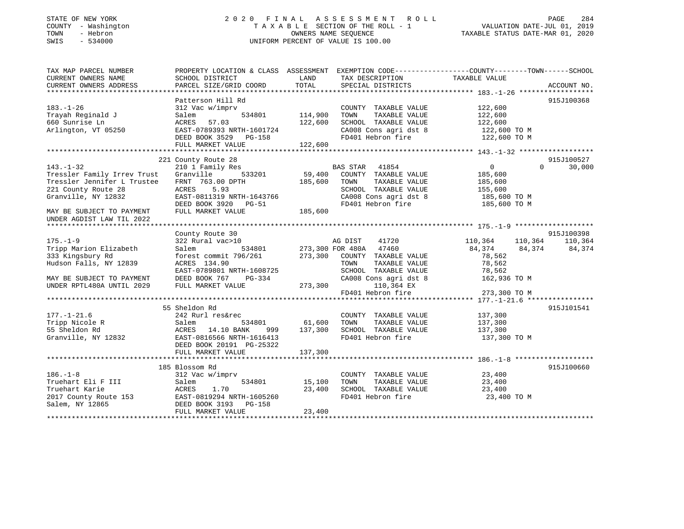# STATE OF NEW YORK 2 0 2 0 F I N A L A S S E S S M E N T R O L L PAGE 284 COUNTY - Washington T A X A B L E SECTION OF THE ROLL - 1 VALUATION DATE-JUL 01, 2019 TOWN - Hebron OWNERS NAME SEQUENCE TAXABLE STATUS DATE-MAR 01, 2020 SWIS - 534000 UNIFORM PERCENT OF VALUE IS 100.00

| TAX MAP PARCEL NUMBER<br>CURRENT OWNERS NAME<br>CURRENT OWNERS ADDRESS | PROPERTY LOCATION & CLASS ASSESSMENT EXEMPTION CODE---------------COUNTY-------TOWN-----SCHOOL<br>SCHOOL DISTRICT<br>PARCEL SIZE/GRID COORD | LAND<br>TOTAL | TAX DESCRIPTION<br>SPECIAL DISTRICTS                                                    | TAXABLE VALUE      | ACCOUNT NO.   |
|------------------------------------------------------------------------|---------------------------------------------------------------------------------------------------------------------------------------------|---------------|-----------------------------------------------------------------------------------------|--------------------|---------------|
|                                                                        |                                                                                                                                             |               |                                                                                         |                    |               |
|                                                                        | Patterson Hill Rd                                                                                                                           |               |                                                                                         |                    | 915J100368    |
| $183. - 1 - 26$                                                        | 312 Vac w/imprv                                                                                                                             |               | COUNTY TAXABLE VALUE                                                                    | 122,600            |               |
| Trayah Reginald J                                                      | 534801<br>Salem                                                                                                                             | 114,900       | TOWN<br>TAXABLE VALUE                                                                   | 122,600            |               |
| 660 Sunrise Ln                                                         | ACRES 57.03                                                                                                                                 | 122,600       | SCHOOL TAXABLE VALUE                                                                    | 122,600            |               |
| Arlington, VT 05250                                                    | EAST-0789393 NRTH-1601724                                                                                                                   |               |                                                                                         |                    |               |
|                                                                        |                                                                                                                                             |               |                                                                                         |                    |               |
|                                                                        | DEED BOOK 3529 PG-158                                                                                                                       |               | CA008 Cons agri dst 8<br>The state of the 122,600 TO M<br>Shah Hebron fire 122,600 TO M |                    |               |
|                                                                        | FULL MARKET VALUE                                                                                                                           | 122,600       |                                                                                         |                    |               |
|                                                                        | 221 County Route 28                                                                                                                         |               |                                                                                         |                    | 915J100527    |
|                                                                        |                                                                                                                                             |               |                                                                                         |                    | $\Omega$      |
| $143. - 1 - 32$                                                        | 210 1 Family Res                                                                                                                            |               | <b>BAS STAR</b><br>41854                                                                | $\overline{0}$     | 30,000        |
| Tressler Family Irrev Trust                                            | Granville<br>533201                                                                                                                         | 59,400        | COUNTY TAXABLE VALUE                                                                    | 185,600            |               |
| Tressler Jennifer L Trustee                                            | FRNT 763.00 DPTH                                                                                                                            | 185,600       | TOWN<br>TAXABLE VALUE                                                                   | 185,600            |               |
| 221 County Route 28                                                    | ACRES<br>5.93                                                                                                                               |               | SCHOOL TAXABLE VALUE                                                                    | 155,600            |               |
| Granville, NY 12832                                                    | EAST-0811319 NRTH-1643766                                                                                                                   |               | CA008 Cons agri dst 8                                                                   | 185,600 TO M       |               |
|                                                                        | DEED BOOK 3920 PG-51                                                                                                                        |               | FD401 Hebron fire                                                                       | 185,600 TO M       |               |
| MAY BE SUBJECT TO PAYMENT<br>UNDER AGDIST LAW TIL 2022                 | FULL MARKET VALUE                                                                                                                           | 185,600       |                                                                                         |                    |               |
|                                                                        |                                                                                                                                             |               |                                                                                         |                    |               |
|                                                                        | County Route 30                                                                                                                             |               |                                                                                         |                    | 915J100398    |
| $175. - 1 - 9$                                                         | 322 Rural vac>10                                                                                                                            |               | AG DIST<br>41720                                                                        | 110,364<br>110,364 | 110,364       |
| Tripp Marion Elizabeth                                                 | Salem<br>534801                                                                                                                             |               | 273,300 FOR 480A 47460                                                                  | 84,374             | 84,374 84,374 |
| 333 Kingsbury Rd                                                       | forest commit 796/261 273,300 COUNTY TAXABLE VALUE                                                                                          |               |                                                                                         | 78,562             |               |
| Hudson Falls, NY 12839                                                 | ACRES 134.90                                                                                                                                |               | TOWN<br>TAXABLE VALUE                                                                   | 78,562             |               |
|                                                                        | EAST-0789801 NRTH-1608725                                                                                                                   |               | SCHOOL TAXABLE VALUE                                                                    | 78,562             |               |
| MAY BE SUBJECT TO PAYMENT                                              | DEED BOOK 767 PG-334                                                                                                                        |               | CA008 Cons agri dst 8                                                                   | 162,936 TO M       |               |
| UNDER RPTL480A UNTIL 2029                                              | FULL MARKET VALUE                                                                                                                           | 273,300       | 110,364 EX                                                                              |                    |               |
|                                                                        |                                                                                                                                             |               | FD401 Hebron fire                                                                       | 273,300 TO M       |               |
|                                                                        |                                                                                                                                             |               |                                                                                         |                    |               |
|                                                                        | 55 Sheldon Rd                                                                                                                               |               |                                                                                         |                    | 915J101541    |
| $177. - 1 - 21.6$                                                      | 242 Rurl res&rec                                                                                                                            |               | COUNTY TAXABLE VALUE                                                                    | 137,300            |               |
| Tripp Nicole R                                                         | Salem<br>534801                                                                                                                             | 61,600        | TAXABLE VALUE<br>TOWN                                                                   | 137,300            |               |
|                                                                        |                                                                                                                                             |               |                                                                                         |                    |               |
| 55 Sheldon Rd                                                          | ACRES 14.10 BANK                                                                                                                            | 999 137,300   | SCHOOL TAXABLE VALUE                                                                    | 137,300            |               |
| Granville, NY 12832                                                    | EAST-0816566 NRTH-1616413                                                                                                                   |               | FD401 Hebron fire                                                                       | 137,300 TO M       |               |
|                                                                        | DEED BOOK 20191 PG-25322                                                                                                                    |               |                                                                                         |                    |               |
|                                                                        |                                                                                                                                             |               |                                                                                         |                    |               |
|                                                                        |                                                                                                                                             |               |                                                                                         |                    |               |
|                                                                        | 185 Blossom Rd                                                                                                                              |               |                                                                                         |                    | 915J100660    |
| $186. - 1 - 8$                                                         | 312 Vac w/imprv                                                                                                                             |               | COUNTY TAXABLE VALUE                                                                    | 23,400             |               |
| Truehart Eli F III                                                     | 534801<br>Salem                                                                                                                             | 15,100        | TAXABLE VALUE<br>TOWN                                                                   | 23,400             |               |
| Truehart Karie                                                         | ACRES<br>1.70                                                                                                                               | 23,400        | SCHOOL TAXABLE VALUE                                                                    | 23,400             |               |
| 2017 County Route 153                                                  | EAST-0819294 NRTH-1605260                                                                                                                   |               | FD401 Hebron fire                                                                       | 23,400 TO M        |               |
| Salem, NY 12865                                                        | DEED BOOK 3193 PG-158                                                                                                                       |               |                                                                                         |                    |               |
|                                                                        | FULL MARKET VALUE                                                                                                                           | 23,400        |                                                                                         |                    |               |
|                                                                        |                                                                                                                                             |               |                                                                                         |                    |               |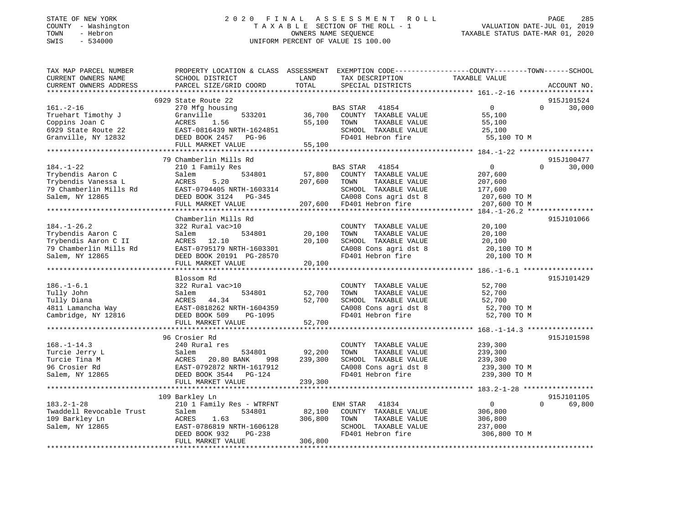# STATE OF NEW YORK 2 0 2 0 F I N A L A S S E S S M E N T R O L L PAGE 285 COUNTY - Washington T A X A B L E SECTION OF THE ROLL - 1 VALUATION DATE-JUL 01, 2019 TOWN - Hebron OWNERS NAME SEQUENCE TAXABLE STATUS DATE-MAR 01, 2020 SWIS - 534000 UNIFORM PERCENT OF VALUE IS 100.00

| TAX MAP PARCEL NUMBER<br>CURRENT OWNERS NAME<br>CURRENT OWNERS ADDRESS                                      | PROPERTY LOCATION & CLASS ASSESSMENT EXEMPTION CODE----------------COUNTY-------TOWN------SCHOOL<br>SCHOOL DISTRICT<br>PARCEL SIZE/GRID COORD                                   | LAND<br>TOTAL                | TAX DESCRIPTION<br>SPECIAL DISTRICTS                                                                                   | TAXABLE VALUE                                                 | ACCOUNT NO.                      |
|-------------------------------------------------------------------------------------------------------------|---------------------------------------------------------------------------------------------------------------------------------------------------------------------------------|------------------------------|------------------------------------------------------------------------------------------------------------------------|---------------------------------------------------------------|----------------------------------|
|                                                                                                             |                                                                                                                                                                                 |                              |                                                                                                                        |                                                               |                                  |
| $161. - 2 - 16$<br>Truehart Timothy J<br>Coppins Joan C<br>6929 State Route 22<br>Granville, NY 12832       | 6929 State Route 22<br>270 Mfg housing<br>Granville<br>533201<br>ACRES<br>1.56<br>EAST-0816439 NRTH-1624851<br>DEED BOOK 2457 PG-96<br>FULL MARKET VALUE                        | 36,700<br>55,100<br>55,100   | <b>BAS STAR</b><br>41854<br>COUNTY TAXABLE VALUE<br>TOWN<br>TAXABLE VALUE<br>SCHOOL TAXABLE VALUE<br>FD401 Hebron fire | $\mathbf 0$<br>55,100<br>55,100<br>25,100<br>55,100 TO M      | 915J101524<br>$\Omega$<br>30,000 |
|                                                                                                             |                                                                                                                                                                                 |                              |                                                                                                                        |                                                               |                                  |
| $184. - 1 - 22$<br>Trybendis Aaron C<br>Trybendis Vanessa L<br>79 Chamberlin Mills Rd<br>Salem, NY 12865    | 79 Chamberlin Mills Rd<br>210 1 Family Res<br>534801<br>Salem<br>5.20<br>ACRES<br>EAST-0794405 NRTH-1603314<br>DEED BOOK 3124 PG-345                                            | 57,800<br>207,600            | BAS STAR<br>41854<br>COUNTY TAXABLE VALUE<br>TAXABLE VALUE<br>TOWN<br>SCHOOL TAXABLE VALUE<br>CA008 Cons agri dst 8    | $\mathbf 0$<br>207,600<br>207,600<br>177,600<br>207,600 TO M  | 915J100477<br>30,000<br>$\Omega$ |
|                                                                                                             | FULL MARKET VALUE                                                                                                                                                               | 207,600                      | FD401 Hebron fire                                                                                                      | 207,600 TO M                                                  |                                  |
|                                                                                                             |                                                                                                                                                                                 |                              |                                                                                                                        |                                                               |                                  |
| $184. - 1 - 26.2$<br>Trybendis Aaron C<br>Trybendis Aaron C II<br>79 Chamberlin Mills Rd<br>Salem, NY 12865 | Chamberlin Mills Rd<br>322 Rural vac>10<br>Salem<br>534801<br>ACRES 12.10<br>EAST-0795179 NRTH-1603301<br>DEED BOOK 20191 PG-28570<br>FULL MARKET VALUE                         | 20,100<br>20,100<br>20,100   | COUNTY TAXABLE VALUE<br>TOWN<br>TAXABLE VALUE<br>SCHOOL TAXABLE VALUE<br>CA008 Cons agri dst 8<br>FD401 Hebron fire    | 20,100<br>20,100<br>20,100<br>20,100 TO M<br>20,100 TO M      | 915J101066                       |
|                                                                                                             |                                                                                                                                                                                 |                              |                                                                                                                        |                                                               |                                  |
| $186. - 1 - 6.1$<br>Tully John<br>Tully Diana<br>4811 Lamancha Way<br>Cambridge, NY 12816                   | Blossom Rd<br>322 Rural vac>10<br>534801<br>Salem<br>ACRES<br>44.34<br>EAST-0818262 NRTH-1604359<br>DEED BOOK 509<br>PG-1095<br>FULL MARKET VALUE<br>************************** | 52,700<br>52,700<br>52,700   | COUNTY TAXABLE VALUE<br>TAXABLE VALUE<br>TOWN<br>SCHOOL TAXABLE VALUE<br>CA008 Cons agri dst 8<br>FD401 Hebron fire    | 52,700<br>52,700<br>52,700<br>52,700 TO M<br>52,700 TO M      | 915J101429                       |
|                                                                                                             | 96 Crosier Rd                                                                                                                                                                   |                              |                                                                                                                        |                                                               | 915J101598                       |
| $168. - 1 - 14.3$<br>Turcie Jerry L<br>Turcie Tina M<br>96 Crosier Rd<br>Salem, NY 12865                    | 240 Rural res<br>Salem<br>534801<br><b>ACRES</b><br>20.80 BANK<br>998<br>EAST-0792872 NRTH-1617912<br>DEED BOOK 3544 PG-124                                                     | 92,200<br>239,300            | COUNTY TAXABLE VALUE<br>TOWN<br>TAXABLE VALUE<br>SCHOOL TAXABLE VALUE<br>CA008 Cons agri dst 8<br>FD401 Hebron fire    | 239,300<br>239,300<br>239,300<br>239,300 TO M<br>239,300 TO M |                                  |
|                                                                                                             | FULL MARKET VALUE                                                                                                                                                               | 239,300                      |                                                                                                                        |                                                               |                                  |
|                                                                                                             |                                                                                                                                                                                 |                              |                                                                                                                        |                                                               |                                  |
| $183.2 - 1 - 28$<br>Twaddell Revocable Trust<br>109 Barkley Ln<br>Salem, NY 12865                           | 109 Barkley Ln<br>210 1 Family Res - WTRFNT<br>534801<br>Salem<br>ACRES<br>1.63<br>EAST-0786819 NRTH-1606128<br>DEED BOOK 932<br>PG-238<br>FULL MARKET VALUE                    | 82,100<br>306,800<br>306,800 | 41834<br>ENH STAR<br>COUNTY TAXABLE VALUE<br>TOWN<br>TAXABLE VALUE<br>SCHOOL TAXABLE VALUE<br>FD401 Hebron fire        | 0<br>306,800<br>306,800<br>237,000<br>306,800 TO M            | 915J101105<br>$\Omega$<br>69,800 |
|                                                                                                             |                                                                                                                                                                                 |                              |                                                                                                                        |                                                               |                                  |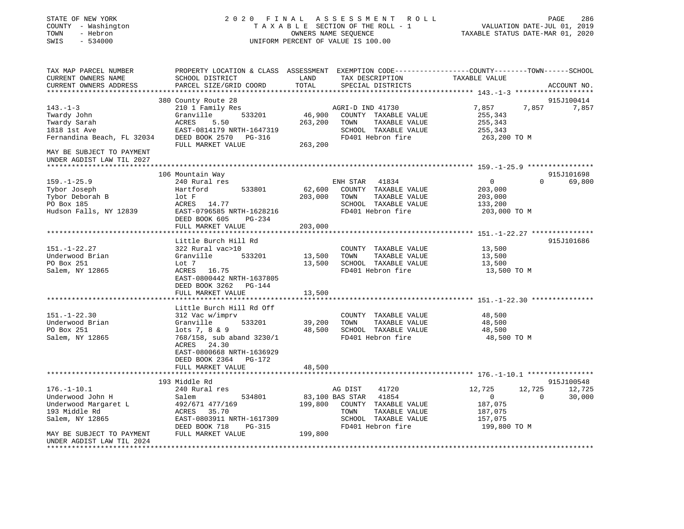| STATE OF NEW YORK<br>COUNTY - Washington<br>TOWN<br>- Hebron<br>SWIS<br>$-534000$ |                                               |               | 2020 FINAL ASSESSMENT<br>R O L L<br>TAXABLE SECTION OF THE ROLL - 1<br>OWNERS NAME SEQUENCE<br>UNIFORM PERCENT OF VALUE IS 100.00 | VALUATION DATE-JUL 01, 2019<br>TAXABLE STATUS DATE-MAR 01, 2020                                                  | PAGE<br>286         |
|-----------------------------------------------------------------------------------|-----------------------------------------------|---------------|-----------------------------------------------------------------------------------------------------------------------------------|------------------------------------------------------------------------------------------------------------------|---------------------|
| TAX MAP PARCEL NUMBER<br>CURRENT OWNERS NAME<br>CURRENT OWNERS ADDRESS            | SCHOOL DISTRICT<br>PARCEL SIZE/GRID COORD     | LAND<br>TOTAL | TAX DESCRIPTION<br>SPECIAL DISTRICTS                                                                                              | PROPERTY LOCATION & CLASS ASSESSMENT EXEMPTION CODE---------------COUNTY-------TOWN------SCHOOL<br>TAXABLE VALUE | ACCOUNT NO.         |
|                                                                                   |                                               |               |                                                                                                                                   |                                                                                                                  |                     |
| $143. - 1 - 3$                                                                    | 380 County Route 28<br>210 1 Family Res       |               | AGRI-D IND 41730                                                                                                                  | 7,857<br>7,857                                                                                                   | 915J100414<br>7,857 |
| Twardy John                                                                       | Granville<br>533201                           | 46,900        | COUNTY TAXABLE VALUE                                                                                                              | 255,343                                                                                                          |                     |
| Twardy Sarah                                                                      | ACRES<br>5.50                                 | 263,200       | TOWN<br>TAXABLE VALUE                                                                                                             | 255,343                                                                                                          |                     |
| 1818 1st Ave                                                                      | EAST-0814179 NRTH-1647319                     |               | SCHOOL TAXABLE VALUE                                                                                                              | 255,343                                                                                                          |                     |
| Fernandina Beach, FL 32034                                                        | DEED BOOK 2570 PG-316                         |               | FD401 Hebron fire                                                                                                                 | 263,200 TO M                                                                                                     |                     |
|                                                                                   | FULL MARKET VALUE                             | 263,200       |                                                                                                                                   |                                                                                                                  |                     |
| MAY BE SUBJECT TO PAYMENT                                                         |                                               |               |                                                                                                                                   |                                                                                                                  |                     |
| UNDER AGDIST LAW TIL 2027<br>*********************                                |                                               |               |                                                                                                                                   |                                                                                                                  |                     |
|                                                                                   | 106 Mountain Way                              |               |                                                                                                                                   |                                                                                                                  | 915J101698          |
| $159. - 1 - 25.9$                                                                 | 240 Rural res                                 |               | ENH STAR<br>41834                                                                                                                 | $\mathbf{0}$<br>$\Omega$                                                                                         | 69,800              |
| Tybor Joseph                                                                      | 533801<br>Hartford                            | 62,600        | COUNTY TAXABLE VALUE                                                                                                              | 203,000                                                                                                          |                     |
| Tybor Deborah B                                                                   | lot F                                         | 203,000       | TOWN<br>TAXABLE VALUE                                                                                                             | 203,000                                                                                                          |                     |
| PO Box 185                                                                        | ACRES 14.77                                   |               | SCHOOL TAXABLE VALUE                                                                                                              | 133,200                                                                                                          |                     |
| Hudson Falls, NY 12839                                                            | EAST-0796585 NRTH-1628216                     |               | FD401 Hebron fire                                                                                                                 | 203,000 TO M                                                                                                     |                     |
|                                                                                   | DEED BOOK 605<br>PG-234                       |               |                                                                                                                                   |                                                                                                                  |                     |
|                                                                                   | FULL MARKET VALUE                             | 203,000       |                                                                                                                                   |                                                                                                                  |                     |
|                                                                                   | Little Burch Hill Rd                          |               |                                                                                                                                   |                                                                                                                  | 915J101686          |
| $151. - 1 - 22.27$                                                                | 322 Rural vac>10                              |               | COUNTY TAXABLE VALUE                                                                                                              | 13,500                                                                                                           |                     |
| Underwood Brian                                                                   | Granville<br>533201                           | 13,500        | TOWN<br>TAXABLE VALUE                                                                                                             | 13,500                                                                                                           |                     |
| PO Box 251                                                                        | Lot 7                                         | 13,500        | SCHOOL TAXABLE VALUE                                                                                                              | 13,500                                                                                                           |                     |
| Salem, NY 12865                                                                   | ACRES 16.75                                   |               | FD401 Hebron fire                                                                                                                 | 13,500 TO M                                                                                                      |                     |
|                                                                                   | EAST-0800442 NRTH-1637805                     |               |                                                                                                                                   |                                                                                                                  |                     |
|                                                                                   | DEED BOOK 3262 PG-144                         |               |                                                                                                                                   |                                                                                                                  |                     |
|                                                                                   | FULL MARKET VALUE                             | 13,500        |                                                                                                                                   |                                                                                                                  |                     |
|                                                                                   | Little Burch Hill Rd Off                      |               |                                                                                                                                   |                                                                                                                  |                     |
| $151. - 1 - 22.30$                                                                | 312 Vac w/imprv                               |               | COUNTY TAXABLE VALUE                                                                                                              | 48,500                                                                                                           |                     |
| Underwood Brian                                                                   | Granville<br>533201                           | 39,200        | TOWN<br>TAXABLE VALUE                                                                                                             | 48,500                                                                                                           |                     |
| PO Box 251                                                                        | $lots 7, 8 \& 9$                              | 48,500        | SCHOOL TAXABLE VALUE                                                                                                              | 48,500                                                                                                           |                     |
| Salem, NY 12865                                                                   | 768/158, sub aband 3230/1                     |               | FD401 Hebron fire                                                                                                                 | 48,500 TO M                                                                                                      |                     |
|                                                                                   | ACRES 24.30                                   |               |                                                                                                                                   |                                                                                                                  |                     |
|                                                                                   | EAST-0800668 NRTH-1636929                     |               |                                                                                                                                   |                                                                                                                  |                     |
|                                                                                   | DEED BOOK 2364<br>PG-172<br>FULL MARKET VALUE | 48,500        |                                                                                                                                   |                                                                                                                  |                     |
|                                                                                   |                                               |               |                                                                                                                                   |                                                                                                                  |                     |
|                                                                                   | 193 Middle Rd                                 |               |                                                                                                                                   |                                                                                                                  | 915J100548          |
| $176. - 1 - 10.1$                                                                 | 240 Rural res                                 |               | AG DIST<br>41720                                                                                                                  | 12,725<br>12,725                                                                                                 | 12,725              |
| Underwood John H                                                                  | Salem<br>534801                               |               | 41854<br>83,100 BAS STAR                                                                                                          | $\overline{0}$<br>0                                                                                              | 30,000              |
| Underwood Margaret L                                                              | 492/671 477/169                               | 199,800       | COUNTY TAXABLE VALUE                                                                                                              | 187,075                                                                                                          |                     |
| 193 Middle Rd                                                                     | 35.70<br>ACRES                                |               | TOWN<br>TAXABLE VALUE                                                                                                             | 187,075                                                                                                          |                     |
| Salem, NY 12865                                                                   | EAST-0803911 NRTH-1617309                     |               | SCHOOL TAXABLE VALUE                                                                                                              | 157,075                                                                                                          |                     |
| MAY BE SUBJECT TO PAYMENT                                                         | DEED BOOK 718<br>PG-315<br>FULL MARKET VALUE  | 199,800       | FD401 Hebron fire                                                                                                                 | 199,800 TO M                                                                                                     |                     |
| UNDER AGDIST LAW TIL 2024                                                         |                                               |               |                                                                                                                                   |                                                                                                                  |                     |
| **************************                                                        |                                               |               |                                                                                                                                   |                                                                                                                  |                     |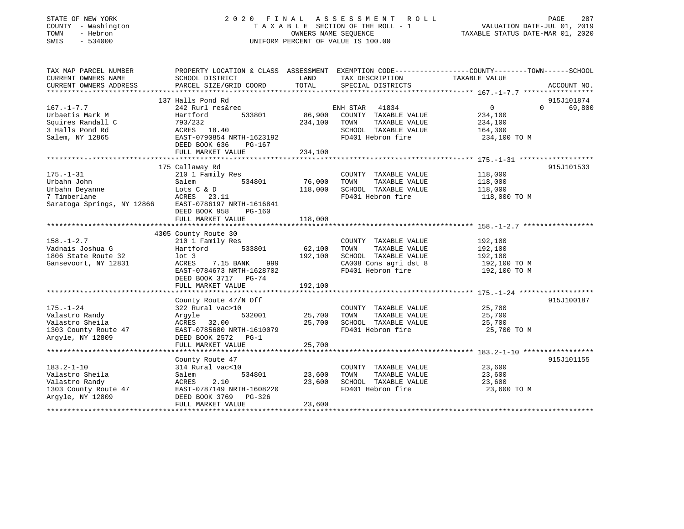# STATE OF NEW YORK 2 0 2 0 F I N A L A S S E S S M E N T R O L L PAGE 287 COUNTY - Washington T A X A B L E SECTION OF THE ROLL - 1 VALUATION DATE-JUL 01, 2019 TOWN - Hebron OWNERS NAME SEQUENCE TAXABLE STATUS DATE-MAR 01, 2020 SWIS - 534000 UNIFORM PERCENT OF VALUE IS 100.00

| TAX MAP PARCEL NUMBER                                | PROPERTY LOCATION & CLASS ASSESSMENT EXEMPTION CODE----------------COUNTY-------TOWN------SCHOOL |         |                       |                |                    |
|------------------------------------------------------|--------------------------------------------------------------------------------------------------|---------|-----------------------|----------------|--------------------|
| CURRENT OWNERS NAME                                  | SCHOOL DISTRICT                                                                                  | LAND    | TAX DESCRIPTION       | TAXABLE VALUE  |                    |
| CURRENT OWNERS ADDRESS                               | PARCEL SIZE/GRID COORD                                                                           | TOTAL   | SPECIAL DISTRICTS     |                | ACCOUNT NO.        |
|                                                      |                                                                                                  |         |                       |                |                    |
|                                                      | 137 Halls Pond Rd                                                                                |         |                       |                | 915J101874         |
| $167. - 1 - 7.7$                                     | 242 Rurl res&rec                                                                                 |         | ENH STAR 41834        | $\overline{0}$ | $\Omega$<br>69,800 |
| Urbaetis Mark M                                      | 533801<br>Hartford                                                                               | 86,900  | COUNTY TAXABLE VALUE  | 234,100        |                    |
| Squires Randall C                                    | 793/232                                                                                          | 234,100 | TOWN<br>TAXABLE VALUE | 234,100        |                    |
| 3 Halls Pond Rd                                      | ACRES 18.40                                                                                      |         | SCHOOL TAXABLE VALUE  | 164,300        |                    |
| Salem, NY 12865                                      | EAST-0790854 NRTH-1623192                                                                        |         | FD401 Hebron fire     | 234,100 TO M   |                    |
|                                                      | DEED BOOK 636<br>PG-167                                                                          |         |                       |                |                    |
|                                                      | FULL MARKET VALUE                                                                                | 234,100 |                       |                |                    |
|                                                      |                                                                                                  |         |                       |                |                    |
|                                                      | 175 Callaway Rd                                                                                  |         |                       |                | 915J101533         |
| $175. - 1 - 31$                                      | 210 1 Family Res                                                                                 |         | COUNTY TAXABLE VALUE  | 118,000        |                    |
| Urbahn John                                          | 534801<br>Salem                                                                                  | 76,000  | TAXABLE VALUE<br>TOWN | 118,000        |                    |
| Urbahn Deyanne                                       | Lots C & D                                                                                       | 118,000 | SCHOOL TAXABLE VALUE  | 118,000        |                    |
| 7 Timberlane                                         | ACRES 23.11                                                                                      |         | FD401 Hebron fire     | 118,000 TO M   |                    |
| Saratoga Springs, NY 12866 EAST-0786197 NRTH-1616841 |                                                                                                  |         |                       |                |                    |
|                                                      | DEED BOOK 958<br>PG-160                                                                          |         |                       |                |                    |
|                                                      | FULL MARKET VALUE                                                                                | 118,000 |                       |                |                    |
|                                                      |                                                                                                  |         |                       |                |                    |
|                                                      | 4305 County Route 30                                                                             |         |                       |                |                    |
| $158. - 1 - 2.7$                                     | 210 1 Family Res                                                                                 |         | COUNTY TAXABLE VALUE  | 192,100        |                    |
| Vadnais Joshua G                                     | 533801<br>Hartford                                                                               | 62,100  | TOWN<br>TAXABLE VALUE | 192,100        |                    |
| 1806 State Route 32                                  | $1$ ot 3                                                                                         | 192,100 | SCHOOL TAXABLE VALUE  | 192,100        |                    |
| Gansevoort, NY 12831                                 | ACRES<br>7.15 BANK<br>999                                                                        |         | CA008 Cons agri dst 8 | 192,100 TO M   |                    |
|                                                      | EAST-0784673 NRTH-1628702                                                                        |         | FD401 Hebron fire     | 192,100 TO M   |                    |
|                                                      | DEED BOOK 3717 PG-74                                                                             |         |                       |                |                    |
|                                                      | FULL MARKET VALUE                                                                                | 192,100 |                       |                |                    |
|                                                      | County Route 47/N Off                                                                            |         |                       |                | 915J100187         |
| $175. - 1 - 24$                                      | 322 Rural vac>10                                                                                 |         | COUNTY TAXABLE VALUE  | 25,700         |                    |
| Valastro Randy                                       | 532001                                                                                           | 25,700  | TOWN<br>TAXABLE VALUE | 25,700         |                    |
| Valastro Sheila                                      | Argyle<br>ACRES 32.00                                                                            | 25,700  | SCHOOL TAXABLE VALUE  | 25,700         |                    |
| 1303 County Route 47                                 | EAST-0785680 NRTH-1610079                                                                        |         | FD401 Hebron fire     | 25,700 TO M    |                    |
| Argyle, NY 12809                                     | DEED BOOK 2572 PG-1                                                                              |         |                       |                |                    |
|                                                      | FULL MARKET VALUE                                                                                | 25,700  |                       |                |                    |
|                                                      |                                                                                                  |         |                       |                |                    |
|                                                      | County Route 47                                                                                  |         |                       |                | 915J101155         |
| $183.2 - 1 - 10$                                     | 314 Rural vac<10                                                                                 |         | COUNTY TAXABLE VALUE  | 23,600         |                    |
| Valastro Sheila                                      | Salem<br>534801                                                                                  | 23,600  | TOWN<br>TAXABLE VALUE | 23,600         |                    |
| Valastro Randy                                       |                                                                                                  | 23,600  | SCHOOL TAXABLE VALUE  | 23,600         |                    |
| 1303 County Route 47                                 |                                                                                                  |         | FD401 Hebron fire     | 23,600 TO M    |                    |
| Argyle, NY 12809                                     |                                                                                                  |         |                       |                |                    |
|                                                      | FULL MARKET VALUE                                                                                | 23,600  |                       |                |                    |
|                                                      |                                                                                                  |         |                       |                |                    |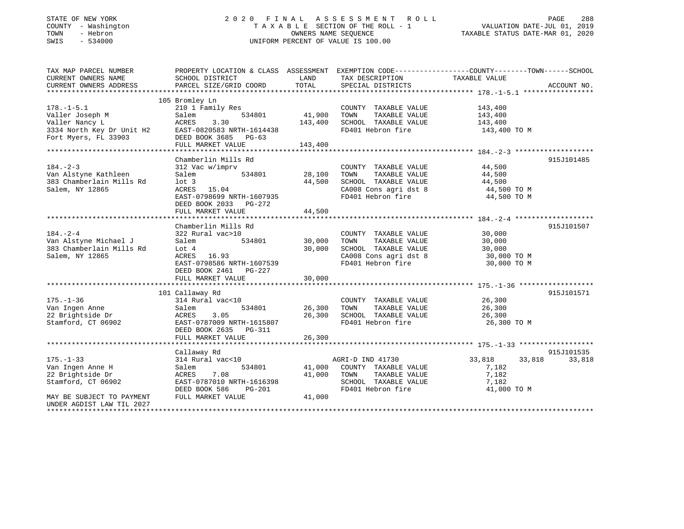| STATE OF NEW YORK |          |              |
|-------------------|----------|--------------|
| COUNTY            |          | - Washingtor |
| TOWN              | - Hebron |              |
| CM T C            |          | 521000       |

# 2020 FINAL ASSESSMENT ROLL COUNTY A NOTE TO MALL AT A B L E SECTION OF THE ROLL - 1 A MALUATION DATE-JUL 01, 2019<br>OWNERS NAME SEQUENCE TAXABLE STATUS DATE-MAR 01, 2020 SWIS - 534000 UNIFORM PERCENT OF VALUE IS 100.00

|                             | PAGE | 288 |
|-----------------------------|------|-----|
| VALUATION DATE-JUL 01, 2019 |      |     |

TAXABLE STATUS DATE-MAR 01, 2020

| TAX MAP PARCEL NUMBER                                                                                        | PROPERTY LOCATION & CLASS ASSESSMENT EXEMPTION CODE---------------COUNTY-------TOWN-----SCHOOL |               |                                                  |                                          |             |
|--------------------------------------------------------------------------------------------------------------|------------------------------------------------------------------------------------------------|---------------|--------------------------------------------------|------------------------------------------|-------------|
| CURRENT OWNERS NAME                                                                                          | SCHOOL DISTRICT                                                                                | LAND          | TAX DESCRIPTION                                  | TAXABLE VALUE                            |             |
| CURRENT OWNERS ADDRESS                                                                                       | PARCEL SIZE/GRID COORD                                                                         | TOTAL         | SPECIAL DISTRICTS                                |                                          | ACCOUNT NO. |
|                                                                                                              |                                                                                                |               |                                                  |                                          |             |
|                                                                                                              | 105 Bromley Ln                                                                                 |               |                                                  |                                          |             |
| $178. - 1 - 5.1$                                                                                             | 210 1 Family Res                                                                               |               | COUNTY TAXABLE VALUE                             | 143,400                                  |             |
| Valler Joseph M<br>Valler Joseph M<br>Valler Nancy L<br>3334 North Key Dr Unit H2<br>7 11: Microsof FL 33903 | 534801<br>Salem                                                                                | 41,900        | TOWN<br>TAXABLE VALUE                            | 143,400                                  |             |
|                                                                                                              | 3.30<br>ACRES                                                                                  | 143,400       | SCHOOL TAXABLE VALUE 143,400                     |                                          |             |
|                                                                                                              | EAST-0820583 NRTH-1614438                                                                      |               | FD401 Hebron fire                                | 143,400 TO M                             |             |
|                                                                                                              | DEED BOOK 3685 PG-63                                                                           |               |                                                  |                                          |             |
|                                                                                                              | FULL MARKET VALUE                                                                              | 143,400       |                                                  |                                          |             |
|                                                                                                              |                                                                                                |               |                                                  |                                          |             |
|                                                                                                              | Chamberlin Mills Rd                                                                            |               |                                                  |                                          | 915J101485  |
| $184. - 2 - 3$                                                                                               | 312 Vac w/imprv                                                                                |               | COUNTY TAXABLE VALUE                             | 44,500                                   |             |
| Van Alstyne Kathleen                                                                                         | Salem                                                                                          | 534801 28,100 | TAXABLE VALUE<br>TOWN                            | 44,500                                   |             |
| 383 Chamberlain Mills Rd                                                                                     | $1$ ot 3                                                                                       | 44,500        | SCHOOL TAXABLE VALUE                             |                                          |             |
| Salem, NY 12865                                                                                              | ACRES 15.04                                                                                    |               | CAOOB CONSTANDIE VALUE<br>CAOOB Constagri dst 8  | 44,500 TO M<br>44,500 TO M<br>1 TOO TO M |             |
|                                                                                                              | EAST-0798699 NRTH-1607935                                                                      |               | FD401 Hebron fire                                | 44,500 TO M                              |             |
|                                                                                                              | DEED BOOK 2033 PG-272                                                                          |               |                                                  |                                          |             |
|                                                                                                              | FULL MARKET VALUE                                                                              | 44,500        |                                                  |                                          |             |
|                                                                                                              |                                                                                                |               |                                                  |                                          |             |
|                                                                                                              | Chamberlin Mills Rd                                                                            |               |                                                  |                                          | 915J101507  |
| $184. - 2 - 4$                                                                                               | 322 Rural vac>10                                                                               |               | COUNTY TAXABLE VALUE                             | 30,000                                   |             |
| Van Alstyne Michael J                                                                                        | 534801<br>Salem                                                                                | 30,000        | TAXABLE VALUE<br>TOWN                            | 30,000                                   |             |
| 383 Chamberlain Mills Rd                                                                                     | Lot 4                                                                                          | 30,000        | SCHOOL TAXABLE VALUE                             | 30,000                                   |             |
| Salem, NY 12865                                                                                              | ACRES 16.93                                                                                    |               | CA008 Cons agri dst 8                            | 30,000 TO M                              |             |
|                                                                                                              | EAST-0798586 NRTH-1607539                                                                      |               | FD401 Hebron fire                                | 30,000 TO M                              |             |
|                                                                                                              | DEED BOOK 2461 PG-227                                                                          |               |                                                  |                                          |             |
|                                                                                                              | FULL MARKET VALUE                                                                              | 30,000        |                                                  |                                          |             |
|                                                                                                              |                                                                                                |               |                                                  |                                          |             |
|                                                                                                              | 101 Callaway Rd                                                                                |               |                                                  |                                          | 915J101571  |
| $175. - 1 - 36$                                                                                              | 314 Rural vac<10                                                                               |               | COUNTY TAXABLE VALUE 26,300                      |                                          |             |
| Van Ingen Anne                                                                                               | Salem                                                                                          | 534801 26,300 | TOWN<br>TAXABLE VALUE                            | 26,300                                   |             |
| 22 Brightside Dr                                                                                             | 3.05<br>ACRES                                                                                  |               |                                                  | 26,300                                   |             |
| Stamford, CT 06902                                                                                           | EAST-0787009 NRTH-1615807                                                                      |               | 26,300 SCHOOL TAXABLE VALUE<br>FD401 Hebron fire | 26,300 TO M                              |             |
|                                                                                                              | DEED BOOK 2635 PG-311                                                                          |               |                                                  |                                          |             |
|                                                                                                              |                                                                                                |               |                                                  |                                          |             |
|                                                                                                              |                                                                                                |               |                                                  |                                          |             |
|                                                                                                              | Callaway Rd                                                                                    |               |                                                  |                                          | 915J101535  |
| $175. - 1 - 33$                                                                                              | 314 Rural vac<10                                                                               |               | AGRI-D IND 41730                                 | 33,818<br>33,818                         | 33,818      |
| Van Ingen Anne H                                                                                             | Salem                                                                                          |               | 534801 41,000 COUNTY TAXABLE VALUE               | 7,182                                    |             |
| 22 Brightside Dr                                                                                             | 7.08<br>ACRES                                                                                  | 41,000        | TAXABLE VALUE<br>TOWN                            | 7,182                                    |             |
| Stamford, CT 06902                                                                                           | EAST-0787010 NRTH-1616398                                                                      |               | SCHOOL TAXABLE VALUE                             | 7,182                                    |             |
|                                                                                                              | DEED BOOK 586<br>PG-201                                                                        |               | FD401 Hebron fire                                | 41,000 TO M                              |             |
| MAY BE SUBJECT TO PAYMENT                                                                                    | FULL MARKET VALUE                                                                              | 41,000        |                                                  |                                          |             |
| UNDER AGDIST LAW TIL 2027                                                                                    |                                                                                                |               |                                                  |                                          |             |
|                                                                                                              |                                                                                                |               |                                                  |                                          |             |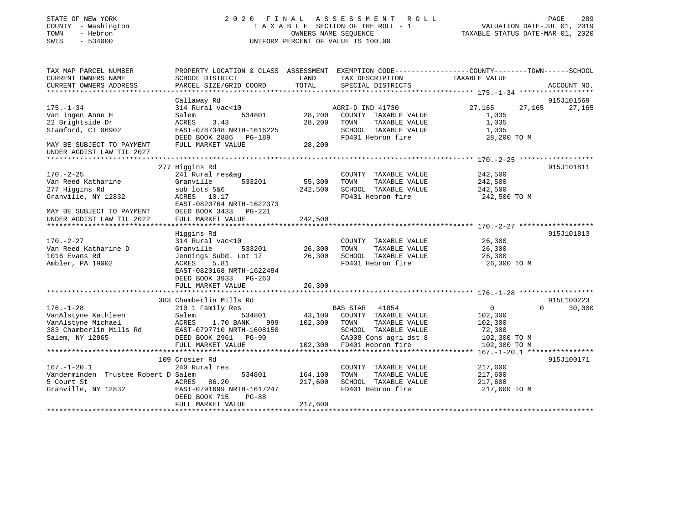## STATE OF NEW YORK 2 0 2 0 F I N A L A S S E S S M E N T R O L L PAGE 289 COUNTY - Washington T A X A B L E SECTION OF THE ROLL - 1 VALUATION DATE-JUL 01, 2019 TOWN - Hebron OWNERS NAME SEQUENCE TAXABLE STATUS DATE-MAR 01, 2020 SWIS - 534000 UNIFORM PERCENT OF VALUE IS 100.00

| TAX MAP PARCEL NUMBER               |                           |         |                           | PROPERTY LOCATION & CLASS ASSESSMENT EXEMPTION CODE----------------COUNTY-------TOWN------SCHOOL |                 |
|-------------------------------------|---------------------------|---------|---------------------------|--------------------------------------------------------------------------------------------------|-----------------|
| CURRENT OWNERS NAME                 | SCHOOL DISTRICT           | LAND    | TAX DESCRIPTION           | TAXABLE VALUE                                                                                    |                 |
| CURRENT OWNERS ADDRESS              | PARCEL SIZE/GRID COORD    | TOTAL   | SPECIAL DISTRICTS         |                                                                                                  | ACCOUNT NO.     |
|                                     |                           |         |                           |                                                                                                  |                 |
|                                     | Callaway Rd               |         |                           |                                                                                                  | 915J101569      |
| $175. - 1 - 34$                     | 314 Rural vac<10          |         | AGRI-D IND 41730          | 27,165                                                                                           | 27, 165 27, 165 |
| Van Ingen Anne H                    | 534801<br>Salem           | 28,200  | COUNTY TAXABLE VALUE      | 1,035                                                                                            |                 |
| 22 Brightside Dr                    | ACRES<br>3.43             | 28,200  | TOWN<br>TAXABLE VALUE     | 1,035                                                                                            |                 |
| Stamford, CT 06902                  | EAST-0787348 NRTH-1616225 |         | SCHOOL TAXABLE VALUE      | 1,035                                                                                            |                 |
|                                     | DEED BOOK 2886 PG-189     |         | FD401 Hebron fire         | 28,200 TO M                                                                                      |                 |
| MAY BE SUBJECT TO PAYMENT           | FULL MARKET VALUE         | 28,200  |                           |                                                                                                  |                 |
| UNDER AGDIST LAW TIL 2027           |                           |         |                           |                                                                                                  |                 |
|                                     |                           |         |                           |                                                                                                  |                 |
|                                     | 277 Higgins Rd            |         |                           |                                                                                                  | 915J101811      |
| $170. - 2 - 25$                     | 241 Rural res&ag          |         | COUNTY TAXABLE VALUE      | 242,500                                                                                          |                 |
| Van Reed Katharine                  | Granville<br>533201       | 55,300  | TOWN<br>TAXABLE VALUE     | 242,500                                                                                          |                 |
| 277 Higgins Rd                      | sub lots 5&6              | 242,500 | SCHOOL TAXABLE VALUE      | 242,500                                                                                          |                 |
| Granville, NY 12832                 | ACRES 10.17               |         | FD401 Hebron fire         | 242,500 TO M                                                                                     |                 |
|                                     | EAST-0820764 NRTH-1622373 |         |                           |                                                                                                  |                 |
| MAY BE SUBJECT TO PAYMENT           | DEED BOOK 3433 PG-221     |         |                           |                                                                                                  |                 |
| UNDER AGDIST LAW TIL 2022           | FULL MARKET VALUE         | 242,500 |                           |                                                                                                  |                 |
|                                     |                           |         |                           |                                                                                                  |                 |
|                                     | Higgins Rd                |         |                           |                                                                                                  | 915J101813      |
| $170. - 2 - 27$                     | 314 Rural vac<10          |         | COUNTY TAXABLE VALUE      | 26,300                                                                                           |                 |
| Van Reed Katharine D                | Granville<br>533201       | 26,300  | TAXABLE VALUE<br>TOWN     | 26,300                                                                                           |                 |
| 1016 Evans Rd                       | Jennings Subd. Lot 17     | 26,300  | SCHOOL TAXABLE VALUE      | 26,300                                                                                           |                 |
| Ambler, PA 19002                    | ACRES<br>5.81             |         | FD401 Hebron fire         | 26,300 TO M                                                                                      |                 |
|                                     | EAST-0820168 NRTH-1622484 |         |                           |                                                                                                  |                 |
|                                     | DEED BOOK 3933 PG-263     |         |                           |                                                                                                  |                 |
|                                     | FULL MARKET VALUE         | 26,300  |                           |                                                                                                  |                 |
|                                     |                           |         |                           |                                                                                                  |                 |
|                                     | 383 Chamberlin Mills Rd   |         |                           |                                                                                                  | 915L100223      |
| $176. - 1 - 28$                     | 210 1 Family Res          |         | BAS STAR 41854            | $\Omega$<br>0                                                                                    | 30,000          |
| VanAlstyne Kathleen                 | 534801<br>Salem           | 43,100  | COUNTY TAXABLE VALUE      | 102,300                                                                                          |                 |
| VanAlstyne Michael                  | 1.70 BANK<br>ACRES<br>999 | 102,300 | TAXABLE VALUE<br>TOWN     | 102,300                                                                                          |                 |
| 383 Chamberlin Mills Rd             | EAST-0797710 NRTH-1608150 |         | SCHOOL TAXABLE VALUE      | 72,300                                                                                           |                 |
| Salem, NY 12865                     | DEED BOOK 2961 PG-90      |         | CA008 Cons agri dst 8     | 102,300 TO M                                                                                     |                 |
|                                     | FULL MARKET VALUE         |         | 102,300 FD401 Hebron fire | 102,300 TO M                                                                                     |                 |
|                                     |                           |         |                           |                                                                                                  |                 |
|                                     | 109 Crosier Rd            |         |                           |                                                                                                  | 915J100171      |
| $167. - 1 - 20.1$                   | 240 Rural res             |         | COUNTY TAXABLE VALUE      | 217,600                                                                                          |                 |
| Vanderminden Trustee Robert D Salem | 534801                    | 164,100 | TOWN<br>TAXABLE VALUE     | 217,600                                                                                          |                 |
| 5 Court St                          | ACRES 86.20               | 217,600 | SCHOOL TAXABLE VALUE      | 217,600                                                                                          |                 |
| Granville, NY 12832                 | EAST-0791699 NRTH-1617247 |         | FD401 Hebron fire         | 217,600 TO M                                                                                     |                 |
|                                     | DEED BOOK 715<br>$PG-88$  |         |                           |                                                                                                  |                 |
|                                     | FULL MARKET VALUE         | 217,600 |                           |                                                                                                  |                 |
|                                     |                           |         |                           |                                                                                                  |                 |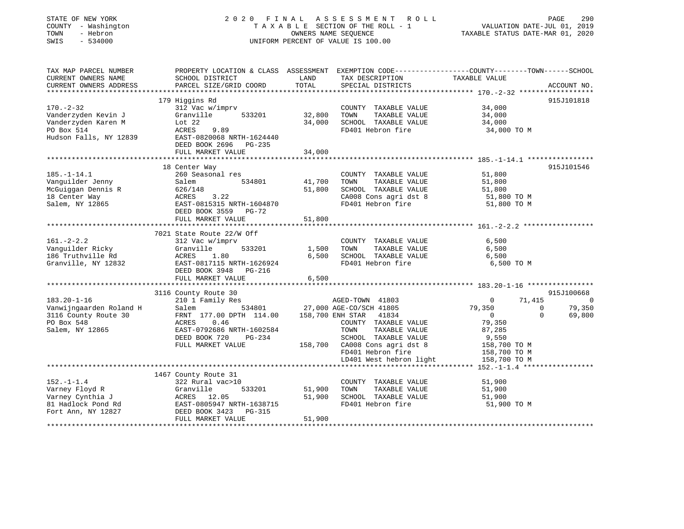| STATE OF NEW YORK<br>COUNTY - Washington<br>TOWN<br>- Hebron<br>SWIS<br>$-534000$ |                                                    |                | 2020 FINAL ASSESSMENT ROLL<br>TAXABLE SECTION OF THE ROLL - 1<br>OWNERS NAME SEQUENCE<br>UNIFORM PERCENT OF VALUE IS 100.00 | VALUATION DATE-JUL 01, 2019<br>TAXABLE STATUS DATE-MAR 01, 2020 | PAGE     | 290         |
|-----------------------------------------------------------------------------------|----------------------------------------------------|----------------|-----------------------------------------------------------------------------------------------------------------------------|-----------------------------------------------------------------|----------|-------------|
| TAX MAP PARCEL NUMBER                                                             |                                                    |                | PROPERTY LOCATION & CLASS ASSESSMENT EXEMPTION CODE----------------COUNTY-------TOWN------SCHOOL                            |                                                                 |          |             |
| CURRENT OWNERS NAME<br>CURRENT OWNERS ADDRESS<br>***********************          | SCHOOL DISTRICT<br>PARCEL SIZE/GRID COORD          | LAND<br>TOTAL  | TAX DESCRIPTION<br>SPECIAL DISTRICTS                                                                                        | TAXABLE VALUE                                                   |          | ACCOUNT NO. |
|                                                                                   |                                                    |                |                                                                                                                             |                                                                 |          |             |
| $170. - 2 - 32$                                                                   | 179 Higgins Rd                                     |                |                                                                                                                             | 34,000                                                          |          | 915J101818  |
| Vanderzyden Kevin J                                                               | 312 Vac w/imprv<br>Granville<br>533201             | 32,800         | COUNTY TAXABLE VALUE<br>TOWN<br>TAXABLE VALUE                                                                               | 34,000                                                          |          |             |
| Vanderzyden Karen M                                                               | Lot $22$                                           | 34,000         | SCHOOL TAXABLE VALUE                                                                                                        | 34,000                                                          |          |             |
| PO Box 514                                                                        | ACRES<br>9.89                                      |                | FD401 Hebron fire                                                                                                           | 34,000 TO M                                                     |          |             |
| Hudson Falls, NY 12839                                                            | EAST-0820068 NRTH-1624440<br>DEED BOOK 2696 PG-235 |                |                                                                                                                             |                                                                 |          |             |
|                                                                                   | FULL MARKET VALUE                                  | 34,000         |                                                                                                                             |                                                                 |          |             |
|                                                                                   |                                                    |                |                                                                                                                             |                                                                 |          |             |
|                                                                                   | 18 Center Way                                      |                |                                                                                                                             |                                                                 |          | 915J101546  |
| $185. - 1 - 14.1$                                                                 | 260 Seasonal res                                   |                | COUNTY TAXABLE VALUE                                                                                                        | 51,800                                                          |          |             |
| Vanguilder Jenny                                                                  | Salem<br>534801                                    | 41,700         | TOWN<br>TAXABLE VALUE                                                                                                       | 51,800                                                          |          |             |
| McGuiggan Dennis R                                                                | 626/148                                            | 51,800         | SCHOOL TAXABLE VALUE                                                                                                        | 51,800                                                          |          |             |
| 18 Center Way                                                                     | ACRES<br>3.22                                      |                | CA008 Cons agri dst 8                                                                                                       | 51,800 TO M                                                     |          |             |
| Salem, NY 12865                                                                   | EAST-0815315 NRTH-1604870                          |                | FD401 Hebron fire                                                                                                           | 51,800 TO M                                                     |          |             |
|                                                                                   | DEED BOOK 3559 PG-72                               |                |                                                                                                                             |                                                                 |          |             |
|                                                                                   | FULL MARKET VALUE                                  | 51,800         |                                                                                                                             |                                                                 |          |             |
|                                                                                   |                                                    |                |                                                                                                                             |                                                                 |          |             |
|                                                                                   | 7021 State Route 22/W Off                          |                |                                                                                                                             |                                                                 |          |             |
| $161. - 2 - 2.2$                                                                  | 312 Vac w/imprv                                    |                | COUNTY TAXABLE VALUE                                                                                                        | 6,500                                                           |          |             |
| Vanguilder Ricky<br>186 Truthville Rd                                             | Granville<br>533201                                | 1,500<br>6,500 | TAXABLE VALUE<br>TOWN<br>SCHOOL TAXABLE VALUE                                                                               | 6,500                                                           |          |             |
| Granville, NY 12832                                                               | ACRES<br>1.80<br>EAST-0817115 NRTH-1626924         |                | FD401 Hebron fire                                                                                                           | 6,500<br>6,500 TO M                                             |          |             |
|                                                                                   | DEED BOOK 3948 PG-216                              |                |                                                                                                                             |                                                                 |          |             |
|                                                                                   | FULL MARKET VALUE                                  | 6,500          |                                                                                                                             |                                                                 |          |             |
|                                                                                   |                                                    |                |                                                                                                                             |                                                                 |          |             |
|                                                                                   | 3116 County Route 30                               |                |                                                                                                                             |                                                                 |          | 915J100668  |
| $183.20 - 1 - 16$                                                                 | 210 1 Family Res                                   |                | AGED-TOWN 41803                                                                                                             | $\Omega$                                                        | 71,415   | $\Omega$    |
| Vanwijngaarden Roland H                                                           | 534801<br>Salem                                    |                | 27,000 AGE-CO/SCH 41805                                                                                                     | 79,350                                                          | $\Omega$ | 79,350      |
| 3116 County Route 30                                                              | FRNT 177.00 DPTH 114.00                            |                | 158,700 ENH STAR 41834                                                                                                      | $\overline{0}$                                                  | $\Omega$ | 69,800      |
| PO Box 548                                                                        | ACRES<br>0.46                                      |                | COUNTY TAXABLE VALUE                                                                                                        | 79,350                                                          |          |             |
| Salem, NY 12865                                                                   | EAST-0792686 NRTH-1602584                          |                | TAXABLE VALUE<br>TOWN                                                                                                       | 87,285                                                          |          |             |
|                                                                                   | DEED BOOK 720<br>PG-234                            |                | SCHOOL TAXABLE VALUE                                                                                                        | 9,550                                                           |          |             |
|                                                                                   | FULL MARKET VALUE                                  |                | 158,700 CA008 Cons agri dst 8                                                                                               | 158,700 TO M                                                    |          |             |
|                                                                                   |                                                    |                | FD401 Hebron fire                                                                                                           | 158,700 TO M                                                    |          |             |
|                                                                                   |                                                    |                | LD401 West hebron light                                                                                                     | 158,700 TO M                                                    |          |             |
|                                                                                   |                                                    |                |                                                                                                                             |                                                                 |          |             |
|                                                                                   | 1467 County Route 31                               |                |                                                                                                                             |                                                                 |          |             |
| $152. - 1 - 1.4$                                                                  | 322 Rural vac>10                                   |                | COUNTY TAXABLE VALUE                                                                                                        | 51,900                                                          |          |             |
| Varney Floyd R                                                                    | 533201<br>Granville                                | 51,900         | TOWN<br>TAXABLE VALUE                                                                                                       | 51,900                                                          |          |             |
| Varney Cynthia J                                                                  | ACRES 12.05                                        | 51,900         | SCHOOL TAXABLE VALUE                                                                                                        | 51,900                                                          |          |             |
| 81 Hadlock Pond Rd                                                                | EAST-0805947 NRTH-1638715                          |                | FD401 Hebron fire                                                                                                           | 51,900 TO M                                                     |          |             |
| Fort Ann, NY 12827                                                                | PG-315<br>DEED BOOK 3423                           |                |                                                                                                                             |                                                                 |          |             |
|                                                                                   | FULL MARKET VALUE                                  | 51,900         |                                                                                                                             |                                                                 |          |             |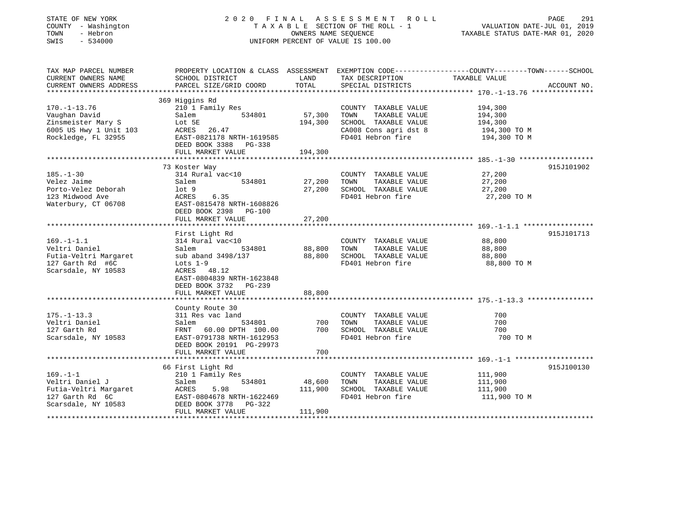| STATE OF NEW YORK<br>COUNTY - Washington<br>TOWN<br>- Hebron<br>SWIS<br>$-534000$ |                                                       | OWNERS NAME SEQUENCE             | 2020 FINAL ASSESSMENT ROLL<br>TAXABLE SECTION OF THE ROLL - 1<br>UNIFORM PERCENT OF VALUE IS 100.00 | 291<br>PAGE<br>VALUATION DATE-JUL 01, 2019<br>TAXABLE STATUS DATE-MAR 01, 2020                                    |
|-----------------------------------------------------------------------------------|-------------------------------------------------------|----------------------------------|-----------------------------------------------------------------------------------------------------|-------------------------------------------------------------------------------------------------------------------|
| TAX MAP PARCEL NUMBER<br>CURRENT OWNERS NAME                                      | SCHOOL DISTRICT                                       | LAND                             | TAX DESCRIPTION                                                                                     | PROPERTY LOCATION & CLASS ASSESSMENT EXEMPTION CODE----------------COUNTY-------TOWN------SCHOOL<br>TAXABLE VALUE |
| CURRENT OWNERS ADDRESS                                                            | PARCEL SIZE/GRID COORD                                | TOTAL                            | SPECIAL DISTRICTS                                                                                   | ACCOUNT NO.                                                                                                       |
|                                                                                   | 369 Higgins Rd                                        |                                  |                                                                                                     |                                                                                                                   |
| $170. - 1 - 13.76$                                                                | 210 1 Family Res                                      |                                  | COUNTY TAXABLE VALUE                                                                                | 194,300                                                                                                           |
| Vaughan David                                                                     | Salem<br>534801                                       | 57,300                           | TAXABLE VALUE<br>TOWN                                                                               | 194,300                                                                                                           |
| Zinsmeister Mary S                                                                | Lot 5E                                                | 194,300                          | SCHOOL TAXABLE VALUE                                                                                | 194,300                                                                                                           |
| 6005 US Hwy 1 Unit 103                                                            | ACRES 26.47                                           |                                  | CA008 Cons agri dst 8                                                                               | 194,300 TO M                                                                                                      |
| Rockledge, FL 32955                                                               | EAST-0821178 NRTH-1619585<br>DEED BOOK 3388 PG-338    |                                  | FD401 Hebron fire                                                                                   | 194,300 TO M                                                                                                      |
|                                                                                   | FULL MARKET VALUE                                     | 194,300                          |                                                                                                     |                                                                                                                   |
|                                                                                   |                                                       | *********                        |                                                                                                     | ******************** 185.-1-30 *******************                                                                |
|                                                                                   | 73 Koster Way                                         |                                  |                                                                                                     | 915J101902                                                                                                        |
| $185. - 1 - 30$                                                                   | 314 Rural vac<10                                      |                                  | COUNTY TAXABLE VALUE                                                                                | 27,200                                                                                                            |
| Velez Jaime                                                                       | 534801<br>Salem                                       | 27,200                           | TOWN<br>TAXABLE VALUE                                                                               | 27,200                                                                                                            |
| Porto-Velez Deborah                                                               | lot <sub>9</sub>                                      | 27,200                           | SCHOOL TAXABLE VALUE                                                                                | 27,200                                                                                                            |
| 123 Midwood Ave                                                                   | ACRES<br>6.35                                         |                                  | FD401 Hebron fire                                                                                   | 27,200 TO M                                                                                                       |
| Waterbury, CT 06708                                                               | EAST-0815478 NRTH-1608826<br>DEED BOOK 2398 PG-100    |                                  |                                                                                                     |                                                                                                                   |
|                                                                                   | FULL MARKET VALUE                                     | 27,200                           |                                                                                                     |                                                                                                                   |
|                                                                                   | First Light Rd                                        |                                  |                                                                                                     | 915J101713                                                                                                        |
| $169. - 1 - 1.1$                                                                  | 314 Rural vac<10                                      |                                  | COUNTY TAXABLE VALUE                                                                                | 88,800                                                                                                            |
| Veltri Daniel                                                                     | 534801<br>Salem                                       | 88,800                           | TAXABLE VALUE<br>TOWN                                                                               | 88,800                                                                                                            |
| Futia-Veltri Margaret                                                             | sub aband 3498/137                                    | 88,800                           | SCHOOL TAXABLE VALUE                                                                                | 88,800                                                                                                            |
| 127 Garth Rd #6C                                                                  | Lots $1-9$                                            |                                  | FD401 Hebron fire                                                                                   | 88,800 TO M                                                                                                       |
| Scarsdale, NY 10583                                                               | ACRES 48.12                                           |                                  |                                                                                                     |                                                                                                                   |
|                                                                                   | EAST-0804839 NRTH-1623848                             |                                  |                                                                                                     |                                                                                                                   |
|                                                                                   | DEED BOOK 3732 PG-239                                 |                                  |                                                                                                     |                                                                                                                   |
|                                                                                   | FULL MARKET VALUE                                     | 88,800                           |                                                                                                     |                                                                                                                   |
|                                                                                   |                                                       |                                  |                                                                                                     |                                                                                                                   |
|                                                                                   | County Route 30                                       |                                  |                                                                                                     |                                                                                                                   |
| $175. - 1 - 13.3$                                                                 | 311 Res vac land                                      |                                  | COUNTY TAXABLE VALUE                                                                                | 700                                                                                                               |
| Veltri Daniel                                                                     | Salem<br>534801                                       | 700                              | TAXABLE VALUE<br>TOWN                                                                               | 700                                                                                                               |
| 127 Garth Rd                                                                      | FRNT 60.00 DPTH 100.00                                | 700                              | SCHOOL TAXABLE VALUE                                                                                | 700                                                                                                               |
| Scarsdale, NY 10583                                                               | EAST-0791738 NRTH-1612953<br>DEED BOOK 20191 PG-29973 |                                  | FD401 Hebron fire                                                                                   | 700 TO M                                                                                                          |
| ********************                                                              | FULL MARKET VALUE                                     | 700                              |                                                                                                     |                                                                                                                   |
|                                                                                   | 66 First Light Rd                                     |                                  |                                                                                                     | 915J100130                                                                                                        |
| $169. - 1 - 1$                                                                    | 210 1 Family Res                                      |                                  | COUNTY TAXABLE VALUE                                                                                | 111,900                                                                                                           |
| Veltri Daniel J                                                                   | 534801<br>Salem                                       | 48,600                           | TOWN<br>TAXABLE VALUE                                                                               | 111,900                                                                                                           |
| Futia-Veltri Margaret                                                             | ACRES<br>5.98                                         | 111,900                          | SCHOOL TAXABLE VALUE                                                                                | 111,900                                                                                                           |
| 127 Garth Rd 6C                                                                   | EAST-0804678 NRTH-1622469                             |                                  | FD401 Hebron fire                                                                                   | 111,900 TO M                                                                                                      |
| Scarsdale, NY 10583                                                               | PG-322<br>DEED BOOK 3778                              |                                  |                                                                                                     |                                                                                                                   |
|                                                                                   | FULL MARKET VALUE                                     | 111,900<br><b>++++++++++++++</b> |                                                                                                     |                                                                                                                   |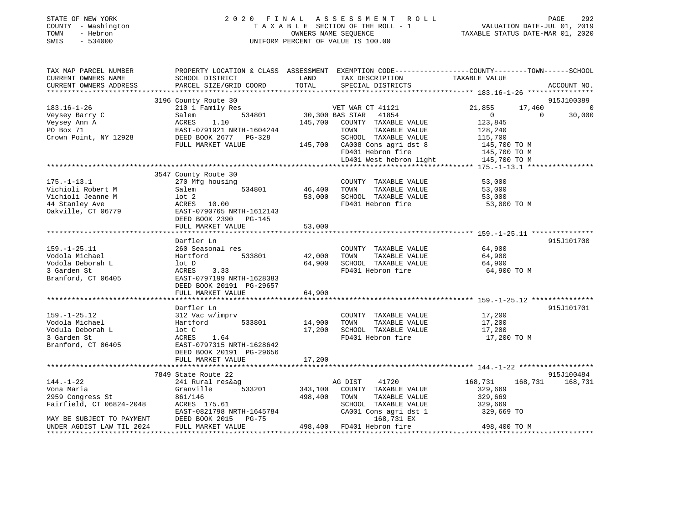| STATE OF NEW YORK<br>COUNTY - Washington<br>- Hebron<br>TOWN<br>SWIS<br>$-534000$ | 2020 FINAL ASSESSMENT ROLL<br>TAXABLE SECTION OF THE ROLL - 1<br>OWNERS NAME SEOUENCE<br>UNIFORM PERCENT OF VALUE IS 100.00 | PAGE<br>VALUATION DATE-JUL 01, 2019<br>TAXABLE STATUS DATE-MAR 01, 2020 | 292 |
|-----------------------------------------------------------------------------------|-----------------------------------------------------------------------------------------------------------------------------|-------------------------------------------------------------------------|-----|
| TAX MAP PARCEL NUMBER                                                             | PROPERTY LOCATION & CLASS ASSESSMENT EXEMPTION CODE----------------COUNTY-------TOWN------SCHOOL                            |                                                                         |     |

| TAX MAP PARCEL NUMBER                                |                                                                                                                                                                                                                                                              |                                  | PROPERTY LOCATION & CLASS ASSESSMENT EXEMPTION CODE----------------COUNTY-------TOWN------SCHOOL                                                                                                                                                                                                                                                                                                                                                                |                         |                    |
|------------------------------------------------------|--------------------------------------------------------------------------------------------------------------------------------------------------------------------------------------------------------------------------------------------------------------|----------------------------------|-----------------------------------------------------------------------------------------------------------------------------------------------------------------------------------------------------------------------------------------------------------------------------------------------------------------------------------------------------------------------------------------------------------------------------------------------------------------|-------------------------|--------------------|
| CURRENT OWNERS NAME                                  | SCHOOL DISTRICT                                                                                                                                                                                                                                              | LAND                             | TAX DESCRIPTION                                                                                                                                                                                                                                                                                                                                                                                                                                                 |                         |                    |
| CURRENT OWNERS ADDRESS                               | PARCEL SIZE/GRID COORD                                                                                                                                                                                                                                       | TOTAL                            | SPECIAL DISTRICTS                                                                                                                                                                                                                                                                                                                                                                                                                                               | TAXABLE VALUE           | ACCOUNT NO.        |
|                                                      |                                                                                                                                                                                                                                                              |                                  |                                                                                                                                                                                                                                                                                                                                                                                                                                                                 |                         |                    |
|                                                      | 3196 County Route 30                                                                                                                                                                                                                                         |                                  |                                                                                                                                                                                                                                                                                                                                                                                                                                                                 |                         | 915J100389         |
| $183.16 - 1 - 26$                                    | 210 1 Family Res                                                                                                                                                                                                                                             |                                  | VET WAR CT 41121<br>534801 30,300 BAS STAR 41854                                                                                                                                                                                                                                                                                                                                                                                                                | 21,855<br>17,460        | $\overline{0}$     |
|                                                      |                                                                                                                                                                                                                                                              |                                  |                                                                                                                                                                                                                                                                                                                                                                                                                                                                 | $\overline{0}$          | $\Omega$<br>30,000 |
|                                                      |                                                                                                                                                                                                                                                              |                                  | 145,700 COUNTY TAXABLE VALUE                                                                                                                                                                                                                                                                                                                                                                                                                                    | 123,845                 |                    |
|                                                      |                                                                                                                                                                                                                                                              |                                  |                                                                                                                                                                                                                                                                                                                                                                                                                                                                 | 128,240                 |                    |
|                                                      |                                                                                                                                                                                                                                                              |                                  | TOWN<br>TAXABLE VALUE                                                                                                                                                                                                                                                                                                                                                                                                                                           |                         |                    |
|                                                      | Veysey Barry C<br>Veysey Barry C<br>Veysey Ann A<br>PO Box 71<br>Crown Point, NY 12928<br>PO Box 71<br>Crown Point, NY 12928<br>PO BOX 2677<br>PO BOX 2677<br>PO BOX 2677<br>PO BOX 2677<br>PO BOX 2677<br>PO BOX 2677<br>PO BOX 2677<br>PO BOX 2677<br>PO 3 |                                  | 3-328 SCHOOL TAXABLE VALUE 115,700<br>145,700 CA008 Cons agri dst 8 145,700 TO M                                                                                                                                                                                                                                                                                                                                                                                |                         |                    |
|                                                      | FULL MARKET VALUE                                                                                                                                                                                                                                            |                                  |                                                                                                                                                                                                                                                                                                                                                                                                                                                                 |                         |                    |
|                                                      |                                                                                                                                                                                                                                                              |                                  |                                                                                                                                                                                                                                                                                                                                                                                                                                                                 |                         |                    |
|                                                      |                                                                                                                                                                                                                                                              |                                  | FD401 Hebron fire 145,700 TO M<br>LD401 West hebron light 145,700 TO M                                                                                                                                                                                                                                                                                                                                                                                          |                         |                    |
|                                                      |                                                                                                                                                                                                                                                              |                                  |                                                                                                                                                                                                                                                                                                                                                                                                                                                                 |                         |                    |
|                                                      | 3547 County Route 30                                                                                                                                                                                                                                         |                                  |                                                                                                                                                                                                                                                                                                                                                                                                                                                                 |                         |                    |
| $175. - 1 - 13.1$                                    | 270 Mfg housing                                                                                                                                                                                                                                              |                                  | COUNTY TAXABLE VALUE                                                                                                                                                                                                                                                                                                                                                                                                                                            |                         |                    |
| Vichioli Robert M                                    | Salem                                                                                                                                                                                                                                                        | COUNTY<br>534801   46,400   TOWN |                                                                                                                                                                                                                                                                                                                                                                                                                                                                 |                         |                    |
|                                                      |                                                                                                                                                                                                                                                              |                                  | $\begin{tabular}{lllllll} \multicolumn{2}{c}{\multicolumn{2}{c}{\textbf{0.00}}}\quad\textbf{0.00}\quad\textbf{0.00}\quad\textbf{0.00}\quad\textbf{0.00}\quad\textbf{0.00}\quad\textbf{0.00}\quad\textbf{0.00}\quad\textbf{0.00}\quad\textbf{0.00}\quad\textbf{0.00}\quad\textbf{0.00}\quad\textbf{0.00}\quad\textbf{0.00}\quad\textbf{0.00}\quad\textbf{0.00}\quad\textbf{0.00}\quad\textbf{0.00}\quad\textbf{0.00}\quad$<br>53,000 SCHOOL TAXABLE VALUE 53,000 |                         |                    |
|                                                      |                                                                                                                                                                                                                                                              |                                  | FD401 Hebron fire                                                                                                                                                                                                                                                                                                                                                                                                                                               | 53,000 TO M             |                    |
|                                                      |                                                                                                                                                                                                                                                              |                                  |                                                                                                                                                                                                                                                                                                                                                                                                                                                                 |                         |                    |
|                                                      | DEED BOOK 2390 PG-145                                                                                                                                                                                                                                        |                                  |                                                                                                                                                                                                                                                                                                                                                                                                                                                                 |                         |                    |
|                                                      | FULL MARKET VALUE                                                                                                                                                                                                                                            | 53,000                           |                                                                                                                                                                                                                                                                                                                                                                                                                                                                 |                         |                    |
|                                                      |                                                                                                                                                                                                                                                              |                                  |                                                                                                                                                                                                                                                                                                                                                                                                                                                                 |                         |                    |
|                                                      | Darfler Ln                                                                                                                                                                                                                                                   |                                  |                                                                                                                                                                                                                                                                                                                                                                                                                                                                 |                         | 915J101700         |
| $159. - 1 - 25.11$                                   | 260 Seasonal res                                                                                                                                                                                                                                             |                                  | COUNTY TAXABLE VALUE 64,900                                                                                                                                                                                                                                                                                                                                                                                                                                     |                         |                    |
|                                                      |                                                                                                                                                                                                                                                              |                                  |                                                                                                                                                                                                                                                                                                                                                                                                                                                                 |                         |                    |
| Vodola Michael<br>Vodola Michael<br>Vodola Deborah L | Hartford 533801 42,000 TOWN                                                                                                                                                                                                                                  |                                  | TAXABLE VALUE 64,900<br>TAXABLE VALUE 64,900                                                                                                                                                                                                                                                                                                                                                                                                                    |                         |                    |
|                                                      | lot D                                                                                                                                                                                                                                                        |                                  | 64,900 SCHOOL TAXABLE VALUE 64,900 FD401 Hebron fire 64,900 TO M                                                                                                                                                                                                                                                                                                                                                                                                |                         |                    |
|                                                      | 3.33<br>ACRES                                                                                                                                                                                                                                                |                                  |                                                                                                                                                                                                                                                                                                                                                                                                                                                                 |                         |                    |
| Branford, CT 06405                                   | EAST-0797199 NRTH-1628383                                                                                                                                                                                                                                    |                                  |                                                                                                                                                                                                                                                                                                                                                                                                                                                                 |                         |                    |
|                                                      | DEED BOOK 20191 PG-29657                                                                                                                                                                                                                                     |                                  |                                                                                                                                                                                                                                                                                                                                                                                                                                                                 |                         |                    |
|                                                      | FULL MARKET VALUE                                                                                                                                                                                                                                            | 64,900                           |                                                                                                                                                                                                                                                                                                                                                                                                                                                                 |                         |                    |
|                                                      |                                                                                                                                                                                                                                                              |                                  |                                                                                                                                                                                                                                                                                                                                                                                                                                                                 |                         |                    |
|                                                      | Darfler Ln                                                                                                                                                                                                                                                   |                                  |                                                                                                                                                                                                                                                                                                                                                                                                                                                                 |                         | 915J101701         |
| $159. - 1 - 25.12$                                   |                                                                                                                                                                                                                                                              |                                  | COUNTY TAXABLE VALUE 17,200                                                                                                                                                                                                                                                                                                                                                                                                                                     |                         |                    |
| Vodola Michael                                       |                                                                                                                                                                                                                                                              |                                  |                                                                                                                                                                                                                                                                                                                                                                                                                                                                 | 17,200                  |                    |
| Vodula Deborah L                                     |                                                                                                                                                                                                                                                              |                                  | 17,200 SCHOOL TAXABLE VALUE 17,200                                                                                                                                                                                                                                                                                                                                                                                                                              |                         |                    |
| 3 Garden St                                          |                                                                                                                                                                                                                                                              |                                  | FD401 Hebron fire                                                                                                                                                                                                                                                                                                                                                                                                                                               | 17,200 TO M             |                    |
| Branford, CT 06405                                   | 2111er III<br>312 Vac W/imprv<br>Hartford 533801 14,900 TOWN TAXABLE VALUE<br>lot C 17,200 SCHOOL TAXABLE VALUE<br>ACRES 1.64 FD401 Hebron fire<br>EAST-0797315 NRTH-1628642                                                                                 |                                  |                                                                                                                                                                                                                                                                                                                                                                                                                                                                 |                         |                    |
|                                                      | DEED BOOK 20191 PG-29656                                                                                                                                                                                                                                     |                                  |                                                                                                                                                                                                                                                                                                                                                                                                                                                                 |                         |                    |
|                                                      | FULL MARKET VALUE                                                                                                                                                                                                                                            | 17,200                           |                                                                                                                                                                                                                                                                                                                                                                                                                                                                 |                         |                    |
|                                                      |                                                                                                                                                                                                                                                              |                                  |                                                                                                                                                                                                                                                                                                                                                                                                                                                                 |                         |                    |
|                                                      | 7849 State Route 22                                                                                                                                                                                                                                          |                                  |                                                                                                                                                                                                                                                                                                                                                                                                                                                                 |                         | 915J100484         |
| $144. - 1 - 22$                                      |                                                                                                                                                                                                                                                              |                                  | AG DIST 41720                                                                                                                                                                                                                                                                                                                                                                                                                                                   | 168,731 168,731 168,731 |                    |
|                                                      |                                                                                                                                                                                                                                                              |                                  |                                                                                                                                                                                                                                                                                                                                                                                                                                                                 |                         |                    |
| Vona Maria                                           |                                                                                                                                                                                                                                                              |                                  | 343,100 COUNTY TAXABLE VALUE                                                                                                                                                                                                                                                                                                                                                                                                                                    | 329,669                 |                    |
|                                                      |                                                                                                                                                                                                                                                              |                                  | TAXABLE VALUE                                                                                                                                                                                                                                                                                                                                                                                                                                                   | 329,669<br>329,669      |                    |
|                                                      | 2959 Congress St<br>2961/146 498,400 TOWN<br>Fairfield, CT 06824-2048 ACRES 175.61 498,400 SCHOC                                                                                                                                                             |                                  |                                                                                                                                                                                                                                                                                                                                                                                                                                                                 |                         |                    |
|                                                      | EAST-0821798 NRTH-1645784<br>MAY BE SUBJECT TO PAYMENT DEED BOOK 2015 PG-75                                                                                                                                                                                  |                                  | SCHOOL TAXABLE VALUE 329,669<br>CA001 Cons agri dst 1 329,669 TO                                                                                                                                                                                                                                                                                                                                                                                                |                         |                    |
|                                                      |                                                                                                                                                                                                                                                              |                                  | 168,731 EX                                                                                                                                                                                                                                                                                                                                                                                                                                                      |                         |                    |
| UNDER AGDIST LAW TIL 2024                            | FULL MARKET VALUE                                                                                                                                                                                                                                            |                                  | 498,400 FD401 Hebron fire 398,400 TO M                                                                                                                                                                                                                                                                                                                                                                                                                          |                         |                    |
|                                                      |                                                                                                                                                                                                                                                              |                                  |                                                                                                                                                                                                                                                                                                                                                                                                                                                                 |                         |                    |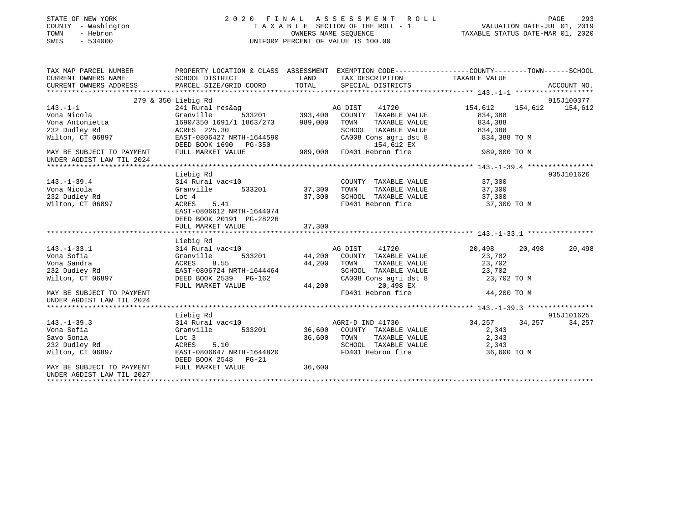| STATE OF NEW YORK<br>COUNTY - Washington<br>TOWN<br>- Hebron<br>SWIS<br>$-534000$ |                                                                        |         | 2020 FINAL ASSESSMENT<br>ROLL<br>TAXABLE SECTION OF THE ROLL - 1<br>OWNERS NAME SEQUENCE<br>UNIFORM PERCENT OF VALUE IS 100.00 | VALUATION DATE-JUL 01, 2019<br>TAXABLE STATUS DATE-MAR 01, 2020 | PAGE<br>293 |
|-----------------------------------------------------------------------------------|------------------------------------------------------------------------|---------|--------------------------------------------------------------------------------------------------------------------------------|-----------------------------------------------------------------|-------------|
| TAX MAP PARCEL NUMBER<br>CURRENT OWNERS NAME                                      | SCHOOL DISTRICT                                                        | LAND    | PROPERTY LOCATION & CLASS ASSESSMENT EXEMPTION CODE---------------COUNTY-------TOWN------SCHOOL<br>TAX DESCRIPTION             | TAXABLE VALUE                                                   |             |
| CURRENT OWNERS ADDRESS                                                            | PARCEL SIZE/GRID COORD                                                 | TOTAL   | SPECIAL DISTRICTS                                                                                                              |                                                                 | ACCOUNT NO. |
|                                                                                   |                                                                        |         |                                                                                                                                |                                                                 |             |
|                                                                                   | 279 & 350 Liebig Rd                                                    |         |                                                                                                                                |                                                                 | 915J100377  |
| $143. - 1 - 1$                                                                    | 241 Rural res&ag                                                       |         | AG DIST<br>41720                                                                                                               | 154,612<br>154,612                                              | 154,612     |
| Vona Nicola                                                                       | Granville<br>533201                                                    | 393,400 | COUNTY TAXABLE VALUE                                                                                                           | 834,388                                                         |             |
| Vona Antonietta                                                                   | 1690/350 1691/1 1863/273                                               | 989,000 | TAXABLE VALUE<br>TOWN                                                                                                          | 834,388                                                         |             |
| 232 Dudley Rd                                                                     | ACRES 225.30                                                           |         | SCHOOL TAXABLE VALUE                                                                                                           | 834,388                                                         |             |
| Wilton, CT 06897                                                                  | EAST-0806427 NRTH-1644590                                              |         | CA008 Cons agri dst 8                                                                                                          | 834,388 TO M                                                    |             |
| MAY BE SUBJECT TO PAYMENT<br>UNDER AGDIST LAW TIL 2024                            | DEED BOOK 1690 PG-350<br>FULL MARKET VALUE                             | 989,000 | 154,612 EX<br>FD401 Hebron fire                                                                                                | 989,000 TO M                                                    |             |
|                                                                                   |                                                                        |         |                                                                                                                                |                                                                 |             |
|                                                                                   | Liebig Rd                                                              |         |                                                                                                                                |                                                                 | 935J101626  |
| $143. - 1 - 39.4$                                                                 | 314 Rural vac<10                                                       |         | COUNTY TAXABLE VALUE                                                                                                           | 37,300                                                          |             |
| Vona Nicola                                                                       | Granville<br>533201                                                    | 37,300  | TAXABLE VALUE<br>TOWN                                                                                                          | 37,300                                                          |             |
| 232 Dudley Rd                                                                     | Lot 4                                                                  | 37,300  | SCHOOL TAXABLE VALUE                                                                                                           | 37,300                                                          |             |
| Wilton, CT 06897                                                                  | ACRES<br>5.41<br>EAST-0806612 NRTH-1644074<br>DEED BOOK 20191 PG-28226 |         | FD401 Hebron fire                                                                                                              | 37,300 TO M                                                     |             |
|                                                                                   | FULL MARKET VALUE                                                      | 37,300  |                                                                                                                                |                                                                 |             |
|                                                                                   |                                                                        |         |                                                                                                                                |                                                                 |             |
| $143. - 1 - 33.1$                                                                 | Liebig Rd<br>314 Rural vac<10                                          |         | AG DIST<br>41720                                                                                                               | 20,498<br>20,498                                                | 20,498      |
| Vona Sofia                                                                        | 533201<br>Granville                                                    | 44,200  | COUNTY TAXABLE VALUE                                                                                                           | 23,702                                                          |             |
| Vona Sandra                                                                       | 8.55<br>ACRES                                                          | 44,200  | TOWN<br>TAXABLE VALUE                                                                                                          | 23,702                                                          |             |
| 232 Dudley Rd                                                                     | EAST-0806724 NRTH-1644464                                              |         | SCHOOL TAXABLE VALUE                                                                                                           | 23,702                                                          |             |
| Wilton, CT 06897                                                                  | DEED BOOK 2539 PG-162                                                  |         | CA008 Cons agri dst 8                                                                                                          | 23,702 TO M                                                     |             |
|                                                                                   | FULL MARKET VALUE                                                      | 44,200  | 20,498 EX                                                                                                                      |                                                                 |             |
| MAY BE SUBJECT TO PAYMENT<br>UNDER AGDIST LAW TIL 2024                            |                                                                        |         | FD401 Hebron fire                                                                                                              | 44,200 TO M                                                     |             |
|                                                                                   |                                                                        |         |                                                                                                                                |                                                                 |             |
|                                                                                   | Liebig Rd                                                              |         |                                                                                                                                |                                                                 | 915J101625  |
| $143. - 1 - 39.3$                                                                 | 314 Rural vac<10                                                       |         | AGRI-D IND 41730                                                                                                               | 34,257<br>34,257                                                | 34,257      |
| Vona Sofia                                                                        | Granville<br>533201                                                    | 36,600  | COUNTY TAXABLE VALUE                                                                                                           | 2,343                                                           |             |
| Savo Sonia                                                                        | Lot 3                                                                  | 36,600  | TOWN<br>TAXABLE VALUE                                                                                                          | 2,343                                                           |             |
| 232 Dudley Rd                                                                     | ACRES<br>5.10                                                          |         | SCHOOL TAXABLE VALUE                                                                                                           | 2,343                                                           |             |
| Wilton, CT 06897                                                                  | EAST-0806647 NRTH-1644820                                              |         | FD401 Hebron fire                                                                                                              | 36,600 TO M                                                     |             |
| MAY BE SUBJECT TO PAYMENT<br>UNDER AGDIST LAW TIL 2027                            | DEED BOOK 2548<br>$PG-21$<br>FULL MARKET VALUE                         | 36,600  |                                                                                                                                |                                                                 |             |
|                                                                                   |                                                                        |         |                                                                                                                                |                                                                 |             |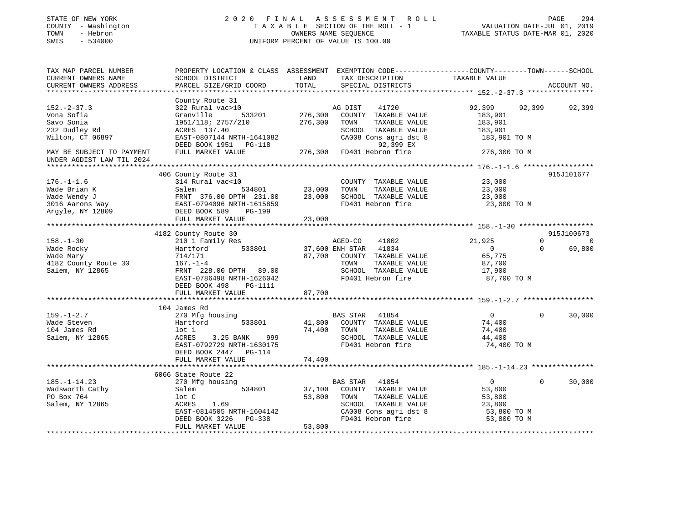| STATE OF NEW YORK<br>COUNTY - Washington<br>TOWN<br>- Hebron<br>SWIS<br>$-534000$ | 2020 FINAL                                                                                                                                  |               | A S S E S S M E N T R O L L<br>TAXABLE SECTION OF THE ROLL - 1<br>OWNERS NAME SEQUENCE<br>UNIFORM PERCENT OF VALUE IS 100.00 | VALUATION DATE-JUL 01, 2019<br>TAXABLE STATUS DATE-MAR 01, 2020 | PAGE<br>294                    |
|-----------------------------------------------------------------------------------|---------------------------------------------------------------------------------------------------------------------------------------------|---------------|------------------------------------------------------------------------------------------------------------------------------|-----------------------------------------------------------------|--------------------------------|
| TAX MAP PARCEL NUMBER<br>CURRENT OWNERS NAME<br>CURRENT OWNERS ADDRESS            | PROPERTY LOCATION & CLASS ASSESSMENT EXEMPTION CODE---------------COUNTY-------TOWN-----SCHOOL<br>SCHOOL DISTRICT<br>PARCEL SIZE/GRID COORD | LAND<br>TOTAL | TAX DESCRIPTION<br>SPECIAL DISTRICTS                                                                                         | TAXABLE VALUE                                                   | ACCOUNT NO.                    |
|                                                                                   | County Route 31                                                                                                                             |               |                                                                                                                              |                                                                 |                                |
| $152. - 2 - 37.3$                                                                 | 322 Rural vac>10                                                                                                                            |               | 41720<br>AG DIST                                                                                                             | 92,399                                                          | 92,399<br>92,399               |
| Vona Sofia                                                                        | 533201<br>Granville                                                                                                                         | 276,300       | COUNTY TAXABLE VALUE                                                                                                         | 183,901                                                         |                                |
| Savo Sonia                                                                        | 1951/118; 2757/210                                                                                                                          | 276,300       | TOWN<br>TAXABLE VALUE                                                                                                        | 183,901                                                         |                                |
| 232 Dudley Rd                                                                     | ACRES 137.40                                                                                                                                |               | SCHOOL TAXABLE VALUE                                                                                                         | 183,901                                                         |                                |
| Wilton, CT 06897                                                                  | EAST-0807144 NRTH-1641082                                                                                                                   |               | CA008 Cons agri dst 8                                                                                                        | 183,901 TO M                                                    |                                |
|                                                                                   | DEED BOOK 1951 PG-118                                                                                                                       |               | 92,399 EX                                                                                                                    |                                                                 |                                |
| MAY BE SUBJECT TO PAYMENT<br>UNDER AGDIST LAW TIL 2024                            | FULL MARKET VALUE                                                                                                                           |               | 276,300 FD401 Hebron fire                                                                                                    | 276,300 TO M                                                    |                                |
|                                                                                   |                                                                                                                                             |               |                                                                                                                              |                                                                 |                                |
|                                                                                   | 406 County Route 31                                                                                                                         |               |                                                                                                                              |                                                                 | 915J101677                     |
| $176. - 1 - 1.6$                                                                  | 314 Rural vac<10                                                                                                                            |               | COUNTY TAXABLE VALUE                                                                                                         | 23,000                                                          |                                |
| Wade Brian K                                                                      | Salem<br>534801                                                                                                                             | 23,000        | TAXABLE VALUE<br>TOWN                                                                                                        | 23,000                                                          |                                |
| Wade Wendy J                                                                      |                                                                                                                                             | 23,000        | SCHOOL TAXABLE VALUE                                                                                                         | 23,000                                                          |                                |
|                                                                                   |                                                                                                                                             |               | FD401 Hebron fire                                                                                                            | 23,000 TO M                                                     |                                |
| 3016 Aarons Way<br>Argyle, NY 12809                                               | DEED BOOK 589<br>PG-199                                                                                                                     |               |                                                                                                                              |                                                                 |                                |
|                                                                                   | FULL MARKET VALUE                                                                                                                           | 23,000        |                                                                                                                              |                                                                 |                                |
|                                                                                   |                                                                                                                                             |               |                                                                                                                              |                                                                 |                                |
|                                                                                   | 4182 County Route 30                                                                                                                        |               |                                                                                                                              |                                                                 | 915J100673<br>$\Omega$         |
| $158. - 1 - 30$<br>Wade Rocky                                                     | 210 1 Family Res<br>533801<br>Hartford                                                                                                      |               | AGED-CO<br>41802<br>37,600 ENH STAR 41834                                                                                    | 21,925<br>$\overline{0}$                                        | $\Omega$<br>69,800<br>$\Omega$ |
| Wade Mary                                                                         | 714/171                                                                                                                                     | 87,700        | COUNTY TAXABLE VALUE                                                                                                         | 65,775                                                          |                                |
| 4182 County Route 30                                                              | $167. - 1 - 4$                                                                                                                              |               | TOWN<br>TAXABLE VALUE                                                                                                        | 87,700                                                          |                                |
| Salem, NY 12865                                                                   | FRNT 228.00 DPTH 89.00                                                                                                                      |               | SCHOOL TAXABLE VALUE                                                                                                         | 17,900                                                          |                                |
|                                                                                   | EAST-0786498 NRTH-1626042                                                                                                                   |               | FD401 Hebron fire                                                                                                            | 87,700 TO M                                                     |                                |
|                                                                                   | DEED BOOK 498<br>PG-1111                                                                                                                    |               |                                                                                                                              |                                                                 |                                |
|                                                                                   | FULL MARKET VALUE                                                                                                                           | 87,700        |                                                                                                                              |                                                                 |                                |
|                                                                                   |                                                                                                                                             |               |                                                                                                                              |                                                                 |                                |
|                                                                                   | 104 James Rd                                                                                                                                |               |                                                                                                                              |                                                                 |                                |
| $159. - 1 - 2.7$                                                                  | 270 Mfg housing                                                                                                                             |               | BAS STAR 41854                                                                                                               | $\overline{0}$                                                  | $\mathbf 0$<br>30,000          |
| Wade Steven                                                                       | 533801<br>Hartford                                                                                                                          |               | 41,800 COUNTY TAXABLE VALUE                                                                                                  | 74,400                                                          |                                |
| 104 James Rd                                                                      | lot 1                                                                                                                                       | 74,400        | TAXABLE VALUE<br>TOWN                                                                                                        | 74,400                                                          |                                |
| Salem, NY 12865                                                                   | 3.25 BANK<br>999<br>ACRES                                                                                                                   |               | SCHOOL TAXABLE VALUE                                                                                                         | 44,400                                                          |                                |
|                                                                                   | EAST-0792729 NRTH-1630175                                                                                                                   |               | FD401 Hebron fire                                                                                                            | 74,400 TO M                                                     |                                |
|                                                                                   | DEED BOOK 2447 PG-114                                                                                                                       |               |                                                                                                                              |                                                                 |                                |
|                                                                                   | FULL MARKET VALUE                                                                                                                           | 74,400        |                                                                                                                              |                                                                 |                                |
|                                                                                   | 6066 State Route 22                                                                                                                         |               |                                                                                                                              |                                                                 |                                |
| $185. - 1 - 14.23$                                                                | 270 Mfg housing                                                                                                                             |               | BAS STAR<br>41854                                                                                                            | $\overline{0}$                                                  | $\Omega$<br>30,000             |
| Wadsworth Cathy                                                                   | 534801<br>Salem                                                                                                                             | 37,100        | COUNTY TAXABLE VALUE                                                                                                         | 53,800                                                          |                                |
| PO Box 764                                                                        | lot C                                                                                                                                       | 53,800        | TOWN<br>TAXABLE VALUE                                                                                                        | 53,800                                                          |                                |
| Salem, NY 12865                                                                   | ACRES<br>1.69                                                                                                                               |               | SCHOOL TAXABLE VALUE                                                                                                         | 23,800                                                          |                                |
|                                                                                   | EAST-0814505 NRTH-1604142                                                                                                                   |               | CA008 Cons agri dst 8                                                                                                        | 53,800 TO M                                                     |                                |
|                                                                                   | DEED BOOK 3226<br>PG-338                                                                                                                    |               | FD401 Hebron fire                                                                                                            | 53,800 TO M                                                     |                                |
|                                                                                   | FULL MARKET VALUE                                                                                                                           | 53,800        |                                                                                                                              |                                                                 |                                |
|                                                                                   |                                                                                                                                             |               |                                                                                                                              |                                                                 |                                |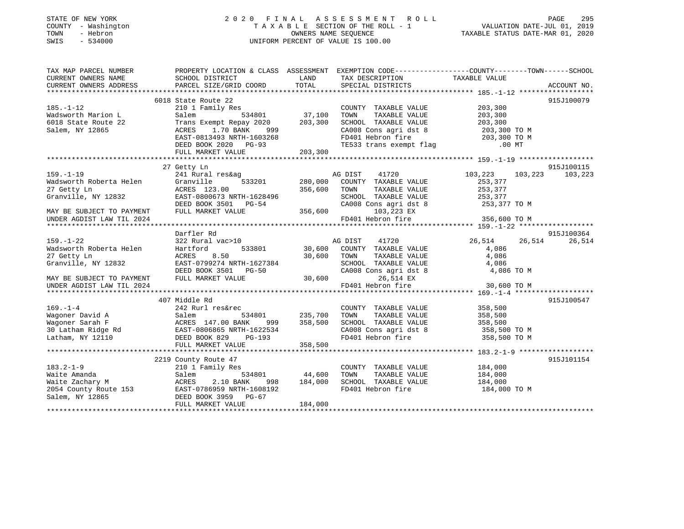| STATE OF NEW YORK |              |
|-------------------|--------------|
| COUNTY            | - Washington |
| TOWN              | - Hebron     |
| <b>CMTC</b>       | $-534000$    |

## STATE OF NEW YORK CONTROLLER 295 T A X A B L E SECTION OF THE ROLL - 1<br>OWNERS NAME SEQUENCE SWIS - 534000 UNIFORM PERCENT OF VALUE IS 100.00

# VALUATION DATE-JUL 01, 2019

| TAX MAP PARCEL NUMBER<br>CURRENT OWNERS NAME | SCHOOL DISTRICT                         | LAND          | PROPERTY LOCATION & CLASS ASSESSMENT EXEMPTION CODE---------------COUNTY-------TOWN------SCHOOL<br>TAX DESCRIPTION | TAXABLE VALUE      |             |
|----------------------------------------------|-----------------------------------------|---------------|--------------------------------------------------------------------------------------------------------------------|--------------------|-------------|
| CURRENT OWNERS ADDRESS                       | PARCEL SIZE/GRID COORD                  | TOTAL         | SPECIAL DISTRICTS                                                                                                  |                    | ACCOUNT NO. |
|                                              |                                         |               |                                                                                                                    |                    |             |
| $185. - 1 - 12$                              | 6018 State Route 22<br>210 1 Family Res |               | COUNTY TAXABLE VALUE                                                                                               | 203,300            | 915J100079  |
| Wadsworth Marion L                           | 534801                                  | 37,100        | TAXABLE VALUE                                                                                                      | 203,300            |             |
|                                              | Salem                                   |               | TOWN                                                                                                               |                    |             |
| 6018 State Route 22                          | Trans Exempt Repay 2020                 | 203,300       | SCHOOL TAXABLE VALUE                                                                                               | 203,300            |             |
| Salem, NY 12865                              | ACRES<br>1.70 BANK<br>999               |               |                                                                                                                    | 203,300 TO M       |             |
|                                              | EAST-0813493 NRTH-1603268               |               | CA008 Cons agri dst 8<br>FD401 Hebron fire<br>TE533 trans exempt flag                                              | 203,300 TO M       |             |
|                                              | DEED BOOK 2020 PG-93                    |               |                                                                                                                    | $.00$ MT           |             |
|                                              | FULL MARKET VALUE                       | 203,300       |                                                                                                                    |                    |             |
|                                              |                                         |               |                                                                                                                    |                    | 915J100115  |
|                                              | 27 Getty Ln                             |               |                                                                                                                    |                    |             |
| $159. - 1 - 19$                              | 241 Rural res&ag                        |               | 41720<br>AG DIST                                                                                                   | 103,223<br>103,223 | 103,223     |
| Wadsworth Roberta Helen                      | 533201<br>Granville                     | 280,000       | COUNTY TAXABLE VALUE                                                                                               | 253,377            |             |
| 27 Getty Ln                                  | ACRES 123.00                            | 356,600       | TAXABLE VALUE<br>TOWN                                                                                              | 253,377            |             |
| Granville, NY 12832                          | EAST-0800673 NRTH-1628496               |               | SCHOOL TAXABLE VALUE                                                                                               | 253,377            |             |
|                                              | DEED BOOK 3501 PG-54                    |               | CA008 Cons agri dst 8                                                                                              | 253,377 TO M       |             |
| MAY BE SUBJECT TO PAYMENT                    | FULL MARKET VALUE                       | 356,600       | 103,223 EX                                                                                                         |                    |             |
| UNDER AGDIST LAW TIL 2024                    |                                         |               | FD401 Hebron fire                                                                                                  | 356,600 TO M       |             |
|                                              |                                         |               |                                                                                                                    |                    |             |
|                                              | Darfler Rd                              |               |                                                                                                                    |                    | 915J100364  |
| $159. - 1 - 22$                              | 322 Rural vac>10                        |               | AG DIST<br>41720                                                                                                   | 26,514<br>26,514   | 26,514      |
| Wadsworth Roberta Helen                      | Hartford                                | 533801 30,600 | COUNTY TAXABLE VALUE                                                                                               | 4,086              |             |
| 27 Getty Ln                                  | ACRES<br>8.50                           | 30,600        | TOWN<br>TAXABLE VALUE                                                                                              | 4,086              |             |
| Granville, NY 12832                          | EAST-0799274 NRTH-1627384               |               | SCHOOL TAXABLE VALUE                                                                                               | 4,086              |             |
|                                              | DEED BOOK 3501 PG-50                    |               | CA008 Cons agri dst 8                                                                                              | 4,086 TO M         |             |
| MAY BE SUBJECT TO PAYMENT                    | FULL MARKET VALUE                       | 30,600        | 26,514 EX                                                                                                          |                    |             |
| UNDER AGDIST LAW TIL 2024                    |                                         |               | FD401 Hebron fire                                                                                                  | 30,600 TO M        |             |
|                                              |                                         |               |                                                                                                                    |                    |             |
|                                              | 407 Middle Rd                           |               |                                                                                                                    |                    | 915J100547  |
| $169. - 1 - 4$                               | 242 Rurl res&rec                        |               | COUNTY TAXABLE VALUE                                                                                               | 358,500            |             |
| Wagoner David A                              | 534801<br>Salem                         | 235,700       | TAXABLE VALUE<br>TOWN                                                                                              | 358,500            |             |
| Wagoner Sarah F                              | ACRES 147.00 BANK<br>999                | 358,500       | SCHOOL TAXABLE VALUE                                                                                               | 358,500            |             |
| 30 Latham Ridge Rd                           | EAST-0806865 NRTH-1622534               |               | CA008 Cons agri dst 8                                                                                              | 358,500 TO M       |             |
| Latham, NY 12110                             | DEED BOOK 829<br><b>PG-193</b>          |               | FD401 Hebron fire                                                                                                  | 358,500 TO M       |             |
|                                              | FULL MARKET VALUE                       | 358,500       |                                                                                                                    |                    |             |
|                                              |                                         |               |                                                                                                                    |                    |             |
|                                              | 2219 County Route 47                    |               |                                                                                                                    |                    | 915J101154  |
| $183.2 - 1 - 9$                              | 210 1 Family Res                        |               | COUNTY TAXABLE VALUE                                                                                               | 184,000            |             |
| Waite Amanda                                 | 534801<br>Salem                         | 44,600        | TOWN<br>TAXABLE VALUE                                                                                              | 184,000            |             |
| Waite Zachary M                              | 2.10 BANK<br>ACRES<br>998               | 184,000       | SCHOOL TAXABLE VALUE                                                                                               | 184,000            |             |
| 2054 County Route 153                        | EAST-0786959 NRTH-1608192               |               | FD401 Hebron fire                                                                                                  | 184,000 TO M       |             |
| Salem, NY 12865                              | DEED BOOK 3959 PG-67                    |               |                                                                                                                    |                    |             |
|                                              | FULL MARKET VALUE                       | 184,000       |                                                                                                                    |                    |             |
|                                              |                                         |               |                                                                                                                    |                    |             |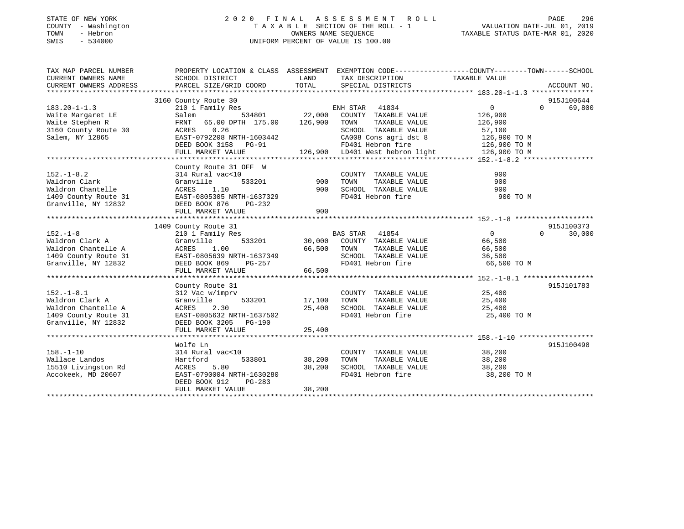## STATE OF NEW YORK 2 0 2 0 F I N A L A S S E S S M E N T R O L L PAGE 296 COUNTY - Washington T A X A B L E SECTION OF THE ROLL - 1 VALUATION DATE-JUL 01, 2019 TOWN - Hebron OWNERS NAME SEQUENCE TAXABLE STATUS DATE-MAR 01, 2020 SWIS - 534000 UNIFORM PERCENT OF VALUE IS 100.00

| TAX MAP PARCEL NUMBER                         | PROPERTY LOCATION & CLASS ASSESSMENT EXEMPTION CODE---------------COUNTY-------TOWN-----SCHOOL |                                                     |                                                             |                        |                                           |
|-----------------------------------------------|------------------------------------------------------------------------------------------------|-----------------------------------------------------|-------------------------------------------------------------|------------------------|-------------------------------------------|
| CURRENT OWNERS NAME<br>CURRENT OWNERS ADDRESS | SCHOOL DISTRICT<br>PARCEL SIZE/GRID COORD                                                      | <b>EXAMPLE THE STATE OF STATE OF STATE</b><br>TOTAL | TAX DESCRIPTION<br>SPECIAL DISTRICTS                        | TAXABLE VALUE          | ACCOUNT NO.                               |
|                                               |                                                                                                |                                                     |                                                             |                        |                                           |
|                                               | 3160 County Route 30                                                                           |                                                     |                                                             |                        | 915J100644                                |
| $183.20 - 1 - 1.3$                            | 210 1 Family Res                                                                               |                                                     | ENH STAR 41834                                              | $\overline{0}$         | 69,800<br>$\Omega$                        |
| Waite Margaret LE                             | Salem                                                                                          |                                                     | 534801 22,000 COUNTY TAXABLE VALUE                          | 126,900                |                                           |
| Waite Stephen R                               | FRNT 65.00 DPTH 175.00 126,900                                                                 |                                                     | TOWN<br>TAXABLE VALUE                                       | 126,900                |                                           |
| 3160 County Route 30                          | ACRES 0.26                                                                                     |                                                     | SCHOOL TAXABLE VALUE                                        |                        |                                           |
| Salem, NY 12865                               | EAST-0792208 NRTH-1603442                                                                      |                                                     |                                                             | 57,100<br>126,900 TO M |                                           |
|                                               | DEED BOOK 3158 PG-91                                                                           |                                                     | CA008 Cons agri dst 8<br>FD401 Hebron fire                  | 126,900 TO M           |                                           |
|                                               | FULL MARKET VALUE                                                                              |                                                     | 126,900 LD401 West hebron light 126,900 TO M                |                        |                                           |
|                                               |                                                                                                |                                                     |                                                             |                        |                                           |
|                                               | County Route 31 OFF W                                                                          |                                                     |                                                             |                        |                                           |
| $152. - 1 - 8.2$                              | 314 Rural vac<10                                                                               | 900                                                 | COUNTY TAXABLE VALUE                                        | 900                    |                                           |
| Waldron Clark                                 | Granville<br>533201                                                                            |                                                     | TOWN<br>TAXABLE VALUE                                       | 900                    |                                           |
| Waldron Chantelle                             | ACRES<br>1.10                                                                                  | 900                                                 | SCHOOL TAXABLE VALUE                                        | 900                    |                                           |
|                                               | 1409 County Route 31 EAST-0805305 NRTH-1637329                                                 |                                                     | FD401 Hebron fire                                           | 900 TO M               |                                           |
| Granville, NY 12832                           | DEED BOOK 876 PG-232                                                                           |                                                     |                                                             |                        |                                           |
|                                               | FULL MARKET VALUE                                                                              | 900                                                 |                                                             |                        |                                           |
|                                               |                                                                                                |                                                     |                                                             |                        |                                           |
|                                               | 1409 County Route 31                                                                           |                                                     |                                                             | $\overline{0}$         | 915J100373<br>30,000<br>$0 \qquad \qquad$ |
| $152. - 1 - 8$<br>Waldron Clark A             | 210 1 Family Res<br>Granville                                                                  |                                                     | BAS STAR 41854<br>533201 30,000 COUNTY TAXABLE VALUE 66,500 |                        |                                           |
| Waldron Chantelle A                           | ACRES<br>1.00                                                                                  | 66,500                                              | TOWN<br>TAXABLE VALUE                                       | 66,500                 |                                           |
| 1409 County Route 31                          | EAST-0805639 NRTH-1637349                                                                      |                                                     | SCHOOL TAXABLE VALUE                                        | 36,500                 |                                           |
| Granville, NY 12832                           | DEED BOOK 869<br>PG-257                                                                        |                                                     | FD401 Hebron fire                                           | 66,500 TO M            |                                           |
|                                               | FULL MARKET VALUE                                                                              | 66,500                                              |                                                             |                        |                                           |
|                                               |                                                                                                |                                                     |                                                             |                        |                                           |
|                                               | County Route 31                                                                                |                                                     |                                                             |                        | 915J101783                                |
| $152.-1-8.1$                                  | 312 Vac w/imprv                                                                                |                                                     | COUNTY TAXABLE VALUE 25,400                                 |                        |                                           |
| Waldron Clark A                               | 533201<br>Granville                                                                            | 17,100                                              | TAXABLE VALUE<br>TOWN                                       | 25,400                 |                                           |
| Waldron Chantelle A                           | 2.30<br>ACRES                                                                                  |                                                     | 25,400 SCHOOL TAXABLE VALUE 25,400                          |                        |                                           |
| 1409 County Route 31                          | EAST-0805632 NRTH-1637502                                                                      |                                                     | FD401 Hebron fire                                           | 25,400 TO M            |                                           |
| Granville, NY 12832                           | DEED BOOK 3205 PG-190                                                                          |                                                     |                                                             |                        |                                           |
|                                               | FULL MARKET VALUE                                                                              | 25,400                                              |                                                             |                        |                                           |
|                                               |                                                                                                |                                                     |                                                             |                        |                                           |
|                                               | Wolfe Ln                                                                                       |                                                     |                                                             |                        | 915J100498                                |
| $158. - 1 - 10$                               | 314 Rural vac<10                                                                               |                                                     | COUNTY TAXABLE VALUE                                        | 38,200                 |                                           |
| Wallace Landos                                | 533801<br>Hartford                                                                             | 38,200                                              | TOWN      TAXABLE VALUE<br>SCHOOL   TAXABLE VALUE           | 38,200                 |                                           |
| 15510 Livingston Rd                           | 5.80<br>ACRES                                                                                  | 38,200                                              |                                                             | 38,200                 |                                           |
| Accokeek, MD 20607                            | EAST-0790004 NRTH-1630280                                                                      |                                                     | FD401 Hebron fire                                           | 38,200 TO M            |                                           |
|                                               | DEED BOOK 912<br>PG-283                                                                        |                                                     |                                                             |                        |                                           |
|                                               | FULL MARKET VALUE                                                                              | 38,200                                              |                                                             |                        |                                           |
|                                               |                                                                                                |                                                     |                                                             |                        |                                           |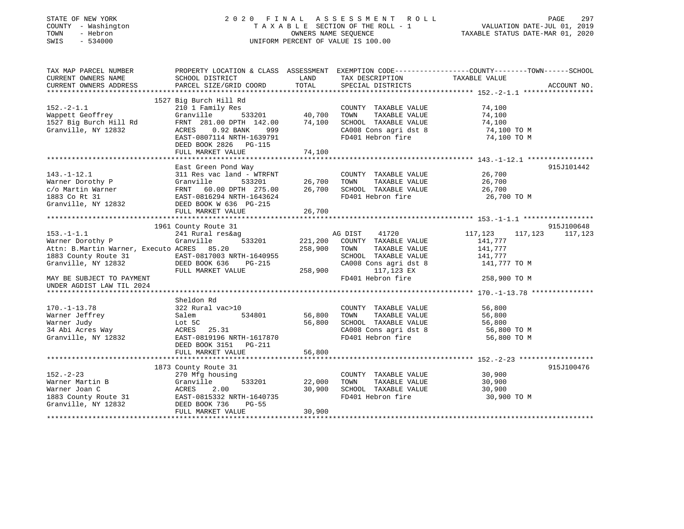| STATE OF NEW YORK<br>COUNTY - Washington<br>TOWN<br>- Hebron<br>SWIS<br>$-534000$          |                                                                         |              | 2020 FINAL ASSESSMENT ROLL<br>TAXABLE SECTION OF THE ROLL - 1<br>OWNERS NAME SEQUENCE<br>UNIFORM PERCENT OF VALUE IS 100.00 | VALUATION DATE-JUL 01, 2019<br>TAXABLE STATUS DATE-MAR 01, 2020 | PAGE<br>297       |
|--------------------------------------------------------------------------------------------|-------------------------------------------------------------------------|--------------|-----------------------------------------------------------------------------------------------------------------------------|-----------------------------------------------------------------|-------------------|
| TAX MAP PARCEL NUMBER<br>CURRENT OWNERS NAME                                               | SCHOOL DISTRICT                                                         | LAND         | PROPERTY LOCATION & CLASS ASSESSMENT EXEMPTION CODE----------------COUNTY-------TOWN------SCHOOL<br>TAX DESCRIPTION         | TAXABLE VALUE                                                   |                   |
| CURRENT OWNERS ADDRESS                                                                     | PARCEL SIZE/GRID COORD                                                  | TOTAL        | SPECIAL DISTRICTS                                                                                                           |                                                                 | ACCOUNT NO.       |
|                                                                                            |                                                                         |              |                                                                                                                             |                                                                 |                   |
|                                                                                            | 1527 Big Burch Hill Rd                                                  |              |                                                                                                                             |                                                                 |                   |
| $152 - 2 - 1.1$                                                                            | 210 1 Family Res                                                        |              | COUNTY TAXABLE VALUE                                                                                                        | 74,100                                                          |                   |
| Wappett Geoffrey                                                                           | - 533201 40,700 TOWN<br>10 DPTH 142.00 74,100 SCHOC<br>Granville        |              | TAXABLE VALUE                                                                                                               | 74,100                                                          |                   |
| 1527 Big Burch Hill Rd                                                                     | FRNT 281.00 DPTH 142.00                                                 |              | 74,100 SCHOOL TAXABLE VALUE                                                                                                 | 74,100                                                          |                   |
| Granville, NY 12832                                                                        | ACRES 0.92 BANK 999                                                     |              | CA008 Cons agri dst 8                                                                                                       | 74,100 TO M                                                     |                   |
|                                                                                            | EAST-0807114 NRTH-1639791                                               |              | FD401 Hebron fire                                                                                                           | 74,100 TO M                                                     |                   |
|                                                                                            | DEED BOOK 2826 PG-115                                                   |              |                                                                                                                             |                                                                 |                   |
|                                                                                            | FULL MARKET VALUE                                                       | 74,100       |                                                                                                                             |                                                                 |                   |
|                                                                                            | East Green Pond Way                                                     |              |                                                                                                                             |                                                                 | 915J101442        |
| $143. - 1 - 12.1$                                                                          | 311 Res vac land - WTRFNT                                               |              | COUNTY TAXABLE VALUE                                                                                                        | 26,700                                                          |                   |
| Warner Dorothy P                                                                           |                                                                         | 26,700 TOWN  | TAXABLE VALUE                                                                                                               | 26,700                                                          |                   |
| c/o Martin Warner                                                                          |                                                                         |              | 26,700 SCHOOL TAXABLE VALUE                                                                                                 | 26,700                                                          |                   |
| 1883 Co Rt 31                                                                              | Granville 533201<br>FRNT 60.00 DPTH 275.00<br>EAST-0816294 NRTH-1643624 |              | FD401 Hebron fire                                                                                                           | 26,700 TO M                                                     |                   |
| Granville, NY 12832                                                                        | DEED BOOK W 636 PG-215                                                  |              |                                                                                                                             |                                                                 |                   |
|                                                                                            | FULL MARKET VALUE                                                       | 26,700       |                                                                                                                             |                                                                 |                   |
|                                                                                            |                                                                         |              |                                                                                                                             |                                                                 |                   |
|                                                                                            |                                                                         |              |                                                                                                                             |                                                                 |                   |
|                                                                                            | 1961 County Route 31                                                    |              |                                                                                                                             |                                                                 | 915J100648        |
| $153. - 1 - 1.1$                                                                           | 241 Rural res&ag                                                        |              | AG DIST 41720                                                                                                               | 117,123                                                         | 117, 123 117, 123 |
| Warner Dorothy P                                                                           | Granville<br>533201                                                     |              | 221,200 COUNTY TAXABLE VALUE                                                                                                | 141,777                                                         |                   |
| Attn: B.Martin Warner, Executo ACRES 85.20                                                 |                                                                         | 258,900 TOWN | TAXABLE VALUE                                                                                                               | 141,777                                                         |                   |
|                                                                                            |                                                                         |              | SCHOOL TAXABLE VALUE                                                                                                        | 141,777                                                         |                   |
| 1883 County Route 31 EAST-0817003 NRTH-1640955<br>Granville, NY 12832 DEED BOOK 636 PG-215 |                                                                         |              | CA008 Cons agri dst 8                                                                                                       | 141,777 TO M                                                    |                   |
|                                                                                            | FULL MARKET VALUE                                                       | 258,900      | 117,123 EX                                                                                                                  |                                                                 |                   |
| MAY BE SUBJECT TO PAYMENT                                                                  |                                                                         |              | FD401 Hebron fire                                                                                                           | 258,900 TO M                                                    |                   |
| UNDER AGDIST LAW TIL 2024<br>****************************                                  |                                                                         |              |                                                                                                                             |                                                                 |                   |
|                                                                                            | Sheldon Rd                                                              |              |                                                                                                                             |                                                                 |                   |
| $170. - 1 - 13.78$                                                                         | 322 Rural vac>10                                                        |              | COUNTY TAXABLE VALUE                                                                                                        | 56,800                                                          |                   |
| Warner Jeffrey                                                                             | 534801<br>Salem                                                         | 56,800       | TOWN<br>TAXABLE VALUE                                                                                                       | 56,800                                                          |                   |
| Warner Judy                                                                                | Lot 5C                                                                  | 56,800       | SCHOOL TAXABLE VALUE                                                                                                        | 56,800                                                          |                   |
| 34 Abi Acres Way                                                                           | ACRES 25.31                                                             |              | CA008 Cons agri dst 8                                                                                                       | 56,800 TO M                                                     |                   |
| Granville, NY 12832                                                                        | EAST-0819196 NRTH-1617870                                               |              | FD401 Hebron fire                                                                                                           | 56,800 TO M                                                     |                   |
|                                                                                            | DEED BOOK 3151 PG-211                                                   |              |                                                                                                                             |                                                                 |                   |
|                                                                                            | FULL MARKET VALUE                                                       | 56,800       |                                                                                                                             |                                                                 |                   |
|                                                                                            |                                                                         |              |                                                                                                                             |                                                                 |                   |
|                                                                                            | 1873 County Route 31                                                    |              |                                                                                                                             |                                                                 | 915J100476        |
| $152 - 2 - 23$                                                                             | 270 Mfg housing                                                         |              | COUNTY TAXABLE VALUE                                                                                                        | 30,900                                                          |                   |
| Warner Martin B                                                                            | 533201<br>Granville                                                     | 22,000 TOWN  | TAXABLE VALUE                                                                                                               | 30,900                                                          |                   |
| Warner Joan C<br>1883 County Route 31                                                      | Granvil<br>ACRES<br>2.00<br>EAST-0815332 NRTH-1640735                   |              | 30,900 SCHOOL TAXABLE VALUE<br>FD401 Hebron fire                                                                            | 30,900<br>30,900 TO M                                           |                   |
| Granville, NY 12832                                                                        | DEED BOOK 736<br>PG-55                                                  |              |                                                                                                                             |                                                                 |                   |
|                                                                                            | FULL MARKET VALUE                                                       | 30,900       |                                                                                                                             |                                                                 |                   |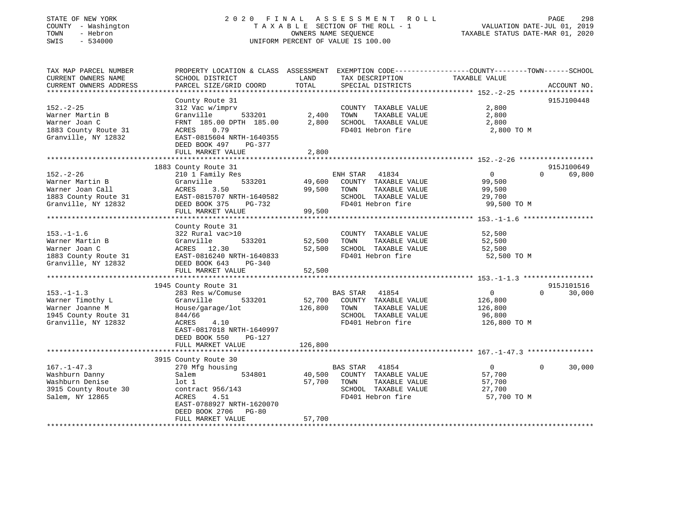| STATE OF NEW YORK<br>COUNTY - Washington<br>- Hebron<br>TOWN<br>SWIS<br>$-534000$ | 2020 FINAL                                                                                     | OWNERS NAME SEQUENCE | ASSESSMENT<br>R O L L<br>TAXABLE SECTION OF THE ROLL - 1<br>UNIFORM PERCENT OF VALUE IS 100.00 | TAXABLE STATUS DATE-MAR 01, 2020                    | PAGE<br>298<br>VALUATION DATE-JUL 01, 2019 |
|-----------------------------------------------------------------------------------|------------------------------------------------------------------------------------------------|----------------------|------------------------------------------------------------------------------------------------|-----------------------------------------------------|--------------------------------------------|
| TAX MAP PARCEL NUMBER                                                             | PROPERTY LOCATION & CLASS ASSESSMENT EXEMPTION CODE---------------COUNTY-------TOWN-----SCHOOL |                      |                                                                                                |                                                     |                                            |
| CURRENT OWNERS NAME<br>CURRENT OWNERS ADDRESS                                     | SCHOOL DISTRICT<br>PARCEL SIZE/GRID COORD                                                      | LAND<br>TOTAL        | TAX DESCRIPTION<br>SPECIAL DISTRICTS                                                           | TAXABLE VALUE                                       | ACCOUNT NO.                                |
|                                                                                   | County Route 31                                                                                |                      |                                                                                                | ********************** 152.-2-25 ****************** | 915J100448                                 |
| $152. - 2 - 25$                                                                   | 312 Vac w/imprv                                                                                |                      | COUNTY TAXABLE VALUE                                                                           | 2,800                                               |                                            |
| Warner Martin B                                                                   | 533201<br>Granville                                                                            | 2,400                | TOWN<br>TAXABLE VALUE                                                                          | 2,800                                               |                                            |
| Warner Joan C                                                                     | FRNT 185.00 DPTH 185.00                                                                        | 2,800                | SCHOOL TAXABLE VALUE                                                                           | 2,800                                               |                                            |
| 1883 County Route 31                                                              | ACRES<br>0.79                                                                                  |                      | FD401 Hebron fire                                                                              | 2,800 TO M                                          |                                            |
| Granville, NY 12832                                                               | EAST-0815604 NRTH-1640355                                                                      |                      |                                                                                                |                                                     |                                            |
|                                                                                   | DEED BOOK 497<br>PG-377                                                                        |                      |                                                                                                |                                                     |                                            |
|                                                                                   | FULL MARKET VALUE                                                                              | 2,800                |                                                                                                |                                                     |                                            |
|                                                                                   |                                                                                                |                      |                                                                                                |                                                     |                                            |
|                                                                                   | 1883 County Route 31                                                                           |                      |                                                                                                |                                                     | 915J100649                                 |
| 152.-2-26                                                                         | 210 1 Family Res                                                                               |                      | ENH STAR<br>41834                                                                              | $\overline{0}$                                      | $\mathbf{0}$<br>69,800                     |
| Warner Martin B                                                                   | Granville<br>533201                                                                            | 49,600               | COUNTY TAXABLE VALUE                                                                           | 99,500                                              |                                            |
| Warner Joan Call                                                                  | 3.50<br>ACRES                                                                                  | 99,500               | TOWN<br>TAXABLE VALUE                                                                          | 99,500                                              |                                            |
| 1883 County Route 31                                                              | EAST-0815707 NRTH-1640582                                                                      |                      | SCHOOL TAXABLE VALUE                                                                           | 29,700                                              |                                            |
| Granville, NY 12832                                                               | DEED BOOK 375<br>PG-732                                                                        | 99,500               | FD401 Hebron fire                                                                              | 99,500 TO M                                         |                                            |
|                                                                                   | FULL MARKET VALUE                                                                              |                      |                                                                                                |                                                     |                                            |
|                                                                                   | County Route 31                                                                                |                      |                                                                                                |                                                     |                                            |
| $153. - 1 - 1.6$                                                                  | 322 Rural vac>10                                                                               |                      | COUNTY TAXABLE VALUE                                                                           | 52,500                                              |                                            |
| Warner Martin B                                                                   | Granville<br>533201                                                                            | 52,500               | TOWN<br>TAXABLE VALUE                                                                          | 52,500                                              |                                            |
| Warner Joan C                                                                     | ACRES 12.30                                                                                    | 52,500               | SCHOOL TAXABLE VALUE                                                                           | 52,500                                              |                                            |
| 1883 County Route 31                                                              | EAST-0816240 NRTH-1640833                                                                      |                      | FD401 Hebron fire                                                                              | 52,500 TO M                                         |                                            |
| Granville, NY 12832                                                               | DEED BOOK 643<br>PG-340                                                                        |                      |                                                                                                |                                                     |                                            |
|                                                                                   | FULL MARKET VALUE                                                                              | 52,500               |                                                                                                |                                                     |                                            |
|                                                                                   |                                                                                                |                      |                                                                                                |                                                     |                                            |
|                                                                                   | 1945 County Route 31                                                                           |                      |                                                                                                |                                                     | 915J101516                                 |
| $153. - 1 - 1.3$                                                                  | 283 Res w/Comuse                                                                               |                      | BAS STAR<br>41854                                                                              | $\mathbf{0}$                                        | 30,000<br>$\Omega$                         |
| Warner Timothy L                                                                  | 533201<br>Granville                                                                            | 52,700               | COUNTY TAXABLE VALUE                                                                           | 126,800                                             |                                            |
| Warner Joanne M                                                                   | House/garage/lot                                                                               | 126,800              | TAXABLE VALUE<br>TOWN                                                                          | 126,800                                             |                                            |
| 1945 County Route 31                                                              | 844/66                                                                                         |                      | SCHOOL TAXABLE VALUE<br>FD401 Hebron fire                                                      | 96,800                                              |                                            |
| Granville, NY 12832                                                               | ACRES<br>4.10<br>EAST-0817018 NRTH-1640997                                                     |                      |                                                                                                | 126,800 TO M                                        |                                            |
|                                                                                   | DEED BOOK 550<br>PG-127                                                                        |                      |                                                                                                |                                                     |                                            |
|                                                                                   | FULL MARKET VALUE                                                                              | 126,800              |                                                                                                |                                                     |                                            |
|                                                                                   |                                                                                                |                      |                                                                                                |                                                     |                                            |
|                                                                                   | 3915 County Route 30                                                                           |                      |                                                                                                |                                                     |                                            |
| $167. - 1 - 47.3$                                                                 | 270 Mfg housing                                                                                |                      | <b>BAS STAR</b><br>41854                                                                       | $\overline{0}$                                      | 30,000<br>$\mathbf{0}$                     |
| Washburn Danny                                                                    | Salem<br>534801                                                                                | 40,500               | COUNTY TAXABLE VALUE                                                                           | 57,700                                              |                                            |
| Washburn Denise                                                                   | lot 1                                                                                          | 57,700               | TAXABLE VALUE<br>TOWN                                                                          | 57,700                                              |                                            |
| 3915 County Route 30                                                              | contract 956/143                                                                               |                      | SCHOOL TAXABLE VALUE                                                                           | 27,700                                              |                                            |
| Salem, NY 12865                                                                   | 4.51<br>ACRES                                                                                  |                      | FD401 Hebron fire                                                                              | 57,700 TO M                                         |                                            |
|                                                                                   | EAST-0788927 NRTH-1620070                                                                      |                      |                                                                                                |                                                     |                                            |
|                                                                                   | DEED BOOK 2706<br>PG-80                                                                        |                      |                                                                                                |                                                     |                                            |
|                                                                                   | FULL MARKET VALUE                                                                              | 57,700               |                                                                                                |                                                     |                                            |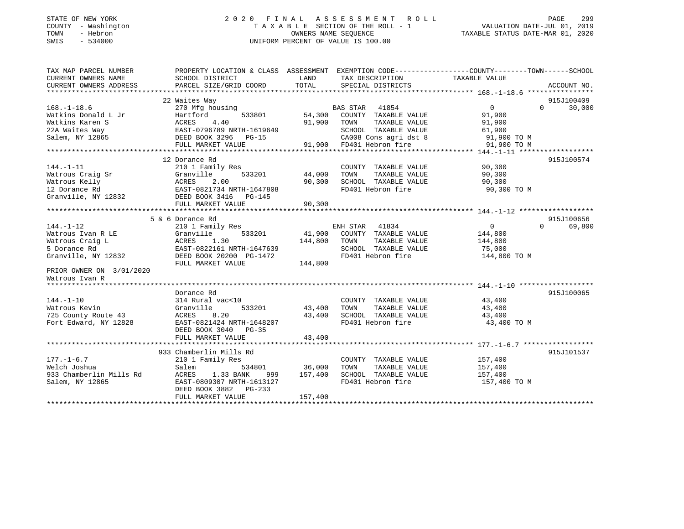## STATE OF NEW YORK 2 0 2 0 F I N A L A S S E S S M E N T R O L L PAGE 299COUNTY - Washington  $\begin{array}{ccc} 1 & 0 & 0 \\ 0 & 0 & 0 \end{array}$  T A X A B L E SECTION OF THE ROLL - 1 TOWN - Hebron SWIS - 534000 UNIFORM PERCENT OF VALUE IS 100.00

| TAX MAP PARCEL NUMBER  | PROPERTY LOCATION & CLASS ASSESSMENT EXEMPTION CODE---------------COUNTY-------TOWN------SCHOOL                                                                                                                                        |                    |                                                                                                                                                                     |                                                                   |                    |
|------------------------|----------------------------------------------------------------------------------------------------------------------------------------------------------------------------------------------------------------------------------------|--------------------|---------------------------------------------------------------------------------------------------------------------------------------------------------------------|-------------------------------------------------------------------|--------------------|
| CURRENT OWNERS NAME    | SCHOOL DISTRICT                                                                                                                                                                                                                        | LAND               | TAX DESCRIPTION TAXABLE VALUE                                                                                                                                       |                                                                   |                    |
| CURRENT OWNERS ADDRESS | PARCEL SIZE/GRID COORD TOTAL                                                                                                                                                                                                           |                    | SPECIAL DISTRICTS                                                                                                                                                   |                                                                   | ACCOUNT NO.        |
|                        |                                                                                                                                                                                                                                        |                    |                                                                                                                                                                     |                                                                   |                    |
|                        | 22 Waites Way                                                                                                                                                                                                                          |                    |                                                                                                                                                                     |                                                                   | 915J100409         |
|                        |                                                                                                                                                                                                                                        |                    |                                                                                                                                                                     |                                                                   | $0 \t 30,000$      |
|                        |                                                                                                                                                                                                                                        |                    |                                                                                                                                                                     |                                                                   |                    |
|                        |                                                                                                                                                                                                                                        |                    |                                                                                                                                                                     |                                                                   |                    |
|                        |                                                                                                                                                                                                                                        |                    |                                                                                                                                                                     |                                                                   |                    |
|                        |                                                                                                                                                                                                                                        |                    |                                                                                                                                                                     |                                                                   |                    |
|                        | 22 Waltes Way<br>Watkins Donald L Jr Hartford 533801 54,300 COUNTY TAXABLE VALUE 91,900<br>Watkins Karen S ACRES 4.40 533801 54,300 COUNTY TAXABLE VALUE 91,900<br>22A Waites Way EAST-0796789 NRTH-1619649 SCHOOL TAXABLE VALUE 91,   |                    |                                                                                                                                                                     |                                                                   |                    |
|                        |                                                                                                                                                                                                                                        |                    |                                                                                                                                                                     |                                                                   |                    |
|                        | 144.-1-11 210 1 Family Res<br>Watrous Craig Sr (2.00 1 Family Res (2.00 1)<br>Watrous Kelly (2.00 12 Dorance Rd EAST-0821734 NRTH-1647808 200 90,300 SCHOOL<br>Granville, NY 12832 DEED BOOK 3416 PG-145<br>************************** |                    |                                                                                                                                                                     |                                                                   | 915J100574         |
|                        |                                                                                                                                                                                                                                        |                    | COUNTY TAXABLE VALUE 90,300                                                                                                                                         |                                                                   |                    |
|                        |                                                                                                                                                                                                                                        |                    | TAXABLE VALUE                                                                                                                                                       | 90,300                                                            |                    |
|                        |                                                                                                                                                                                                                                        |                    | SCHOOL TAXABLE VALUE 90,300                                                                                                                                         |                                                                   |                    |
|                        |                                                                                                                                                                                                                                        |                    | FD401 Hebron fire                                                                                                                                                   | 90,300 TO M                                                       |                    |
|                        |                                                                                                                                                                                                                                        |                    |                                                                                                                                                                     |                                                                   |                    |
|                        |                                                                                                                                                                                                                                        |                    |                                                                                                                                                                     |                                                                   |                    |
|                        |                                                                                                                                                                                                                                        |                    |                                                                                                                                                                     |                                                                   |                    |
|                        | 5 & 6 Dorance Rd                                                                                                                                                                                                                       |                    |                                                                                                                                                                     |                                                                   | 915J100656         |
|                        |                                                                                                                                                                                                                                        |                    | ENH STAR 41834                                                                                                                                                      | $\begin{smallmatrix}&&0\144\,,\,800\144\,,\,800\end{smallmatrix}$ | $\Omega$<br>69,800 |
|                        |                                                                                                                                                                                                                                        |                    | $533201 \qquad \qquad 41,900 \qquad \text{COUNTY} \quad \text{TXABLE VALUE} \\ .30 \qquad \qquad 144,800 \qquad \text{TOWN} \qquad \text{TXABLE VALUE}$             |                                                                   |                    |
|                        |                                                                                                                                                                                                                                        |                    |                                                                                                                                                                     |                                                                   |                    |
|                        |                                                                                                                                                                                                                                        |                    | SCHOOL TAXABLE VALUE 75,000                                                                                                                                         |                                                                   |                    |
|                        |                                                                                                                                                                                                                                        |                    | FD401 Hebron fire                                                                                                                                                   | 144,800 TO M                                                      |                    |
|                        |                                                                                                                                                                                                                                        |                    |                                                                                                                                                                     |                                                                   |                    |
|                        | 144.-1-12<br>Watrous Ivan R LE (Sranville 3332)<br>5 Dorance Rd EAST-0822161 NRTH-1647639<br>Granville, NY 12832 DEED BOOK 20200 PG-1472<br>FULL MARKET VALUE 144,800                                                                  |                    |                                                                                                                                                                     |                                                                   |                    |
|                        |                                                                                                                                                                                                                                        |                    |                                                                                                                                                                     |                                                                   |                    |
|                        |                                                                                                                                                                                                                                        |                    |                                                                                                                                                                     |                                                                   |                    |
|                        | Dorance Rd                                                                                                                                                                                                                             |                    |                                                                                                                                                                     |                                                                   | 915J100065         |
|                        |                                                                                                                                                                                                                                        |                    | COUNTY TAXABLE VALUE 43,400                                                                                                                                         |                                                                   |                    |
|                        | 533201 43,400 TOWN                                                                                                                                                                                                                     |                    |                                                                                                                                                                     | TAXABLE VALUE 43,400                                              |                    |
|                        | 144.-1-10<br>Watrous Kevin<br>725 County Route 43<br>725 County Route 43<br>725 County Route 43<br>725 County Route 43<br>725 County Route 43<br>726 EAST-0821424 NRTH-1648207                                                         |                    | 43,400 SCHOOL TAXABLE VALUE<br>FD401 Hebron fire                                                                                                                    | 43,400<br>43,400 TO M                                             |                    |
|                        |                                                                                                                                                                                                                                        |                    |                                                                                                                                                                     |                                                                   |                    |
|                        | DEED BOOK 3040 PG-35                                                                                                                                                                                                                   |                    |                                                                                                                                                                     |                                                                   |                    |
|                        | FULL MARKET VALUE                                                                                                                                                                                                                      | 43,400             |                                                                                                                                                                     |                                                                   |                    |
|                        |                                                                                                                                                                                                                                        |                    |                                                                                                                                                                     |                                                                   |                    |
|                        | 933 Chamberlin Mills Rd                                                                                                                                                                                                                |                    |                                                                                                                                                                     |                                                                   | 915J101537         |
| $177. - 1 - 6.7$       | 210 1 Family Res                                                                                                                                                                                                                       |                    | $\begin{tabular}{lllllllll} \multicolumn{2}{c}{\text{COUNTY}} & \text{TAXABLE VALUE} & & & 157,400 \\ \text{TOWN} & \text{TAXABLE VALUE} & & 157,400 \end{tabular}$ |                                                                   |                    |
| Welch Joshua           | Salem                                                                                                                                                                                                                                  | 534801 36,000 TOWN |                                                                                                                                                                     |                                                                   |                    |
|                        |                                                                                                                                                                                                                                        | 999 157,400        | SCHOOL TAXABLE VALUE 157,400                                                                                                                                        |                                                                   |                    |
| Salem, NY 12865        | EAST-0809307 NRTH-1613127                                                                                                                                                                                                              |                    | FD401 Hebron fire                                                                                                                                                   | 157,400 TO M                                                      |                    |
|                        | DEED BOOK 3882 PG-233                                                                                                                                                                                                                  |                    |                                                                                                                                                                     |                                                                   |                    |
|                        | FULL MARKET VALUE                                                                                                                                                                                                                      | 157,400            |                                                                                                                                                                     |                                                                   |                    |
|                        |                                                                                                                                                                                                                                        |                    |                                                                                                                                                                     |                                                                   |                    |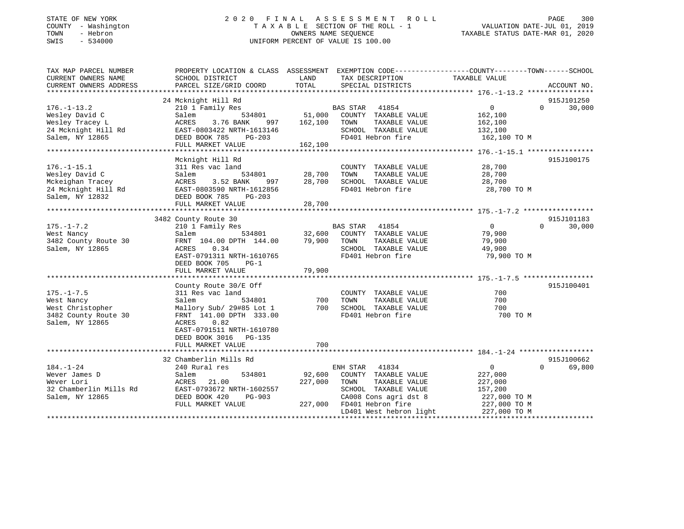## STATE OF NEW YORK 2 0 2 0 F I N A L A S S E S S M E N T R O L L PAGE 300 COUNTY - Washington T A X A B L E SECTION OF THE ROLL - 1 VALUATION DATE-JUL 01, 2019 TOWN - Hebron OWNERS NAME SEQUENCE TAXABLE STATUS DATE-MAR 01, 2020 SWIS - 534000 UNIFORM PERCENT OF VALUE IS 100.00

| TAX MAP PARCEL NUMBER<br>CURRENT OWNERS NAME                                                     | SCHOOL DISTRICT                                                                                                                                                           | LAND<br>TAX DESCRIPTION                                                                                                                                          | PROPERTY LOCATION & CLASS ASSESSMENT EXEMPTION CODE----------------COUNTY-------TOWN------SCHOOL<br>TAXABLE VALUE |
|--------------------------------------------------------------------------------------------------|---------------------------------------------------------------------------------------------------------------------------------------------------------------------------|------------------------------------------------------------------------------------------------------------------------------------------------------------------|-------------------------------------------------------------------------------------------------------------------|
| CURRENT OWNERS ADDRESS                                                                           | PARCEL SIZE/GRID COORD                                                                                                                                                    | TOTAL<br>SPECIAL DISTRICTS                                                                                                                                       | ACCOUNT NO.                                                                                                       |
|                                                                                                  |                                                                                                                                                                           |                                                                                                                                                                  |                                                                                                                   |
| $176. - 1 - 13.2$<br>Wesley David C<br>Wesley Tracey L<br>24 Mcknight Hill Rd<br>Salem, NY 12865 | 24 Mcknight Hill Rd<br>210 1 Family Res<br>Salem<br>ACRES<br>ACALL 0803422 NRTH-1613146<br>EAST-0803422 NRTH-1613146<br>DEED BOOK 785 PG-203<br>FULL MARKET VALUE 162,100 | BAS STAR 41854<br>534801 51,000<br>COUNTY TAXABLE VALUE<br>3.76 BANK 997 162,100 TOWN<br>TAXABLE VALUE<br>SCHOOL TAXABLE VALUE<br>FD401 Hebron fire 162,100 TO M | 915J101250<br>$\overline{0}$<br>$0 \t 30,000$<br>162,100<br>162,100<br>132,100                                    |
|                                                                                                  | Mcknight Hill Rd                                                                                                                                                          |                                                                                                                                                                  | 915J100175                                                                                                        |
| $176. - 1 - 15.1$<br>Wesley David C<br>Mckeighan Tracey                                          | 311 Res vac land<br>Salem<br>3.52 BANK<br>ACRES<br>24 Mcknight Hill Rd<br>Salem, NY 12832<br>Salem, NY 12832<br>FILL MARKET VALUE                                         | COUNTY TAXABLE VALUE<br>534801 28,700<br>TAXABLE VALUE<br>TOWN<br>$997$ 28,700<br>SCHOOL TAXABLE VALUE<br>FD401 Hebron fire                                      | 28,700<br>28,700<br>28,700<br>28,700 TO M                                                                         |
|                                                                                                  |                                                                                                                                                                           |                                                                                                                                                                  |                                                                                                                   |
| $175. - 1 - 7.2$<br>West Nancy<br>3482 County Route 30<br>Salem, NY 12865                        | 3482 County Route 30<br>210 1 Family Res<br>Salem<br>FRNT 104.00 DPTH 144.00 79,900<br>ACRES<br>0.34<br>EAST-0791311 NRTH-1610765<br>DEED BOOK 705<br>$PG-1$              | BAS STAR 41854<br>COUNTY TAXABLE VALUE<br>TAXABLE VALUE<br>TOWN<br>SCHOOL TAXABLE VALUE<br>FD401 Hebron fire                                                     | 915J101183<br>$\overline{0}$<br>$\Omega$<br>30,000<br>79,900<br>79,900<br>49,900<br>79,900 TO M                   |
|                                                                                                  |                                                                                                                                                                           |                                                                                                                                                                  |                                                                                                                   |
| $175. - 1 - 7.5$<br>West Nancy<br>West Christopher<br>3482 County Route 30<br>Salem, NY 12865    | County Route 30/E Off<br>311 Res vac land<br>534801<br>Salem<br>FRNT 141.00 DPTH 333.00<br>ACRES<br>0.82<br>EAST-0791511 NRTH-1610780<br>DEED BOOK 3016 PG-135            | 700<br>COUNTY TAXABLE VALUE<br>TAXABLE VALUE<br>TOWN<br>Mallory Sub/ 29#85 Lot 1 700 SCHOOL TAXABLE VALUE<br>FD401 Hebron fire                                   | 915J100401<br>700<br>700<br>700<br>700 TO M                                                                       |
|                                                                                                  | FULL MARKET VALUE                                                                                                                                                         | 700                                                                                                                                                              |                                                                                                                   |
| $184. - 1 - 24$<br>Wever James D                                                                 | 32 Chamberlin Mills Rd<br>240 Rural res<br>534801<br>Salem                                                                                                                | ENH STAR 41834<br>92,600<br>COUNTY TAXABLE VALUE                                                                                                                 | 915J100662<br>$\Omega$<br>69,800<br>$\overline{0}$<br>227,000                                                     |
| Wever Lori<br>32 Chamberlin Mills Rd<br>Salem, NY 12865                                          | ACRES<br>21.00<br>EAST-0793672 NRTH-1602557<br>DEED BOOK 420<br>PG-903<br>FULL MARKET VALUE                                                                               | 227,000<br>TAXABLE VALUE<br>TOWN<br>SCHOOL TAXABLE VALUE<br>CA008 Cons agri dst 8 227,000 TO M<br>227,000<br>FD401 Hebron fire                                   | 227,000<br>157,200<br>227,000 TO M                                                                                |
|                                                                                                  |                                                                                                                                                                           | LD401 West hebron light 227,000 TO M                                                                                                                             |                                                                                                                   |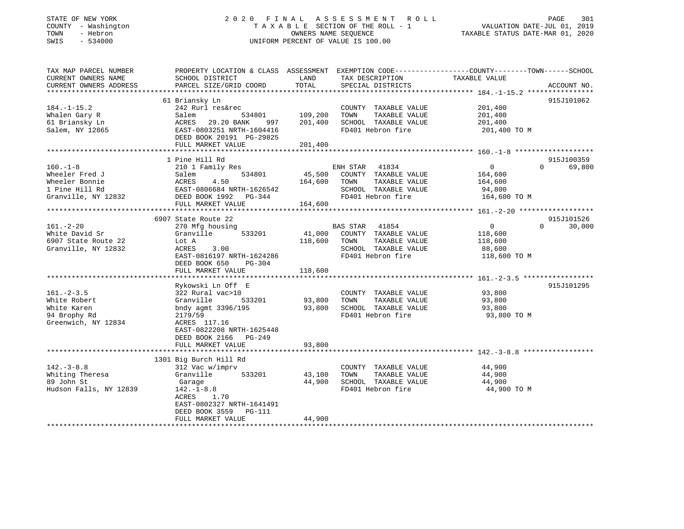## STATE OF NEW YORK 2 0 2 0 F I N A L A S S E S S M E N T R O L L PAGE 301 COUNTY - Washington T A X A B L E SECTION OF THE ROLL - 1 VALUATION DATE-JUL 01, 2019 TOWN - Hebron OWNERS NAME SEQUENCE TAXABLE STATUS DATE-MAR 01, 2020 SWIS - 534000 UNIFORM PERCENT OF VALUE IS 100.00

| TAX MAP PARCEL NUMBER  |                                                    |         |                       | PROPERTY LOCATION & CLASS ASSESSMENT EXEMPTION CODE----------------COUNTY-------TOWN------SCHOOL |                    |
|------------------------|----------------------------------------------------|---------|-----------------------|--------------------------------------------------------------------------------------------------|--------------------|
| CURRENT OWNERS NAME    | SCHOOL DISTRICT                                    | LAND    | TAX DESCRIPTION       | TAXABLE VALUE                                                                                    |                    |
| CURRENT OWNERS ADDRESS | PARCEL SIZE/GRID COORD                             | TOTAL   | SPECIAL DISTRICTS     |                                                                                                  | ACCOUNT NO.        |
|                        |                                                    |         |                       |                                                                                                  |                    |
|                        | 61 Briansky Ln                                     |         |                       |                                                                                                  | 915J101062         |
| $184. - 1 - 15.2$      | 242 Rurl res&rec                                   |         | COUNTY TAXABLE VALUE  | 201,400                                                                                          |                    |
| Whalen Gary R          | Salem<br>534801                                    | 109,200 | TOWN<br>TAXABLE VALUE | 201,400                                                                                          |                    |
| 61 Briansky Ln         | ACRES 29.20 BANK<br>997                            | 201,400 | SCHOOL TAXABLE VALUE  | 201,400                                                                                          |                    |
| Salem, NY 12865        | EAST-0803251 NRTH-1604416                          |         | FD401 Hebron fire     | 201,400 TO M                                                                                     |                    |
|                        | DEED BOOK 20191 PG-29825                           |         |                       |                                                                                                  |                    |
|                        | FULL MARKET VALUE                                  | 201,400 |                       |                                                                                                  |                    |
|                        |                                                    |         |                       |                                                                                                  |                    |
|                        | 1 Pine Hill Rd                                     |         |                       |                                                                                                  | 915J100359         |
| $160. -1 - 8$          | 210 1 Family Res                                   |         | ENH STAR 41834        | $\overline{0}$                                                                                   | $\Omega$<br>69,800 |
| Wheeler Fred J         | 534801<br>Salem                                    | 45,500  | COUNTY TAXABLE VALUE  | 164,600                                                                                          |                    |
| Wheeler Bonnie         | 4.50<br>ACRES                                      | 164,600 | TOWN<br>TAXABLE VALUE | 164,600                                                                                          |                    |
| 1 Pine Hill Rd         |                                                    |         | SCHOOL TAXABLE VALUE  | 94,800                                                                                           |                    |
| Granville, NY 12832    | EAST-0806684 NRTH-1626542<br>DEED BOOK 1992 PG-344 |         | FD401 Hebron fire     | 164,600 TO M                                                                                     |                    |
|                        |                                                    | 164,600 |                       |                                                                                                  |                    |
|                        | FULL MARKET VALUE                                  |         |                       |                                                                                                  |                    |
|                        |                                                    |         |                       |                                                                                                  |                    |
|                        | 6907 State Route 22                                |         |                       |                                                                                                  | 915J101526         |
| $161. - 2 - 20$        | 270 Mfg housing                                    |         | BAS STAR 41854        | $\overline{0}$                                                                                   | 30,000<br>$\Omega$ |
| White David Sr         | Granville<br>533201                                | 41,000  | COUNTY TAXABLE VALUE  | 118,600                                                                                          |                    |
| 6907 State Route 22    | Lot A                                              | 118,600 | TAXABLE VALUE<br>TOWN | 118,600                                                                                          |                    |
| Granville, NY 12832    | 3.00<br>ACRES                                      |         | SCHOOL TAXABLE VALUE  | 88,600                                                                                           |                    |
|                        | EAST-0816197 NRTH-1624286                          |         | FD401 Hebron fire     | 118,600 TO M                                                                                     |                    |
|                        | DEED BOOK 650<br>$PG-304$                          |         |                       |                                                                                                  |                    |
|                        | FULL MARKET VALUE                                  | 118,600 |                       |                                                                                                  |                    |
|                        |                                                    |         |                       |                                                                                                  |                    |
|                        | Rykowski Ln Off E                                  |         |                       |                                                                                                  | 915J101295         |
| $161. - 2 - 3.5$       | 322 Rural vac>10                                   |         | COUNTY TAXABLE VALUE  | 93,800                                                                                           |                    |
| White Robert           | Granville<br>533201                                | 93,800  | TAXABLE VALUE<br>TOWN | 93,800                                                                                           |                    |
| White Karen            | bndy agmt 3396/195                                 | 93,800  | SCHOOL TAXABLE VALUE  | 93,800                                                                                           |                    |
| 94 Brophy Rd           | 2179/59                                            |         | FD401 Hebron fire     | 93,800 TO M                                                                                      |                    |
| Greenwich, NY 12834    | ACRES 117.16                                       |         |                       |                                                                                                  |                    |
|                        | EAST-0822208 NRTH-1625448                          |         |                       |                                                                                                  |                    |
|                        | DEED BOOK 2166 PG-249                              |         |                       |                                                                                                  |                    |
|                        | FULL MARKET VALUE                                  | 93,800  |                       |                                                                                                  |                    |
|                        |                                                    |         |                       |                                                                                                  |                    |
|                        | 1301 Big Burch Hill Rd                             |         |                       |                                                                                                  |                    |
| $142. - 3 - 8.8$       | 312 Vac w/imprv                                    |         | COUNTY TAXABLE VALUE  | 44,900                                                                                           |                    |
| Whiting Theresa        | Granville<br>533201                                | 43,100  | TAXABLE VALUE<br>TOWN | 44,900                                                                                           |                    |
| 89 John St             | Garage                                             | 44,900  | SCHOOL TAXABLE VALUE  | 44,900                                                                                           |                    |
| Hudson Falls, NY 12839 | $142. - 1 - 8.8$                                   |         | FD401 Hebron fire     | 44,900 TO M                                                                                      |                    |
|                        | ACRES<br>1.70                                      |         |                       |                                                                                                  |                    |
|                        | EAST-0802327 NRTH-1641491                          |         |                       |                                                                                                  |                    |
|                        | DEED BOOK 3559<br>PG-111                           |         |                       |                                                                                                  |                    |
|                        | FULL MARKET VALUE                                  | 44,900  |                       |                                                                                                  |                    |
|                        |                                                    |         |                       |                                                                                                  |                    |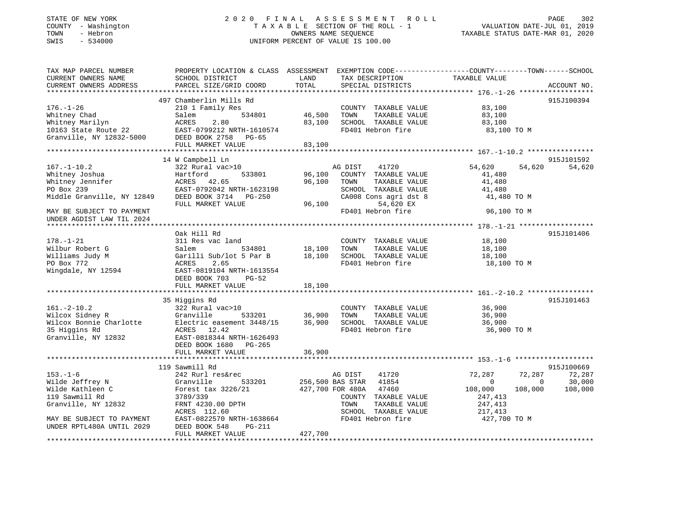## STATE OF NEW YORK 2 0 2 0 F I N A L A S S E S S M E N T R O L L PAGE 302 COUNTY - Washington T A X A B L E SECTION OF THE ROLL - 1 VALUATION DATE-JUL 01, 2019 TOWN - Hebron OWNERS NAME SEQUENCE TAXABLE STATUS DATE-MAR 01, 2020 SWIS - 534000 UNIFORM PERCENT OF VALUE IS 100.00

| TAX MAP PARCEL NUMBER<br>CURRENT OWNERS NAME<br>CURRENT OWNERS ADDRESS                                                                                       | PROPERTY LOCATION & CLASS ASSESSMENT EXEMPTION CODE----------------COUNTY-------TOWN------SCHOOL<br>SCHOOL DISTRICT<br>PARCEL SIZE/GRID COORD                                                                                                                                | LAND<br>TOTAL                                  | TAX DESCRIPTION<br>SPECIAL DISTRICTS                                                                                                                                | TAXABLE VALUE                                                                                                  | ACCOUNT NO.                 |
|--------------------------------------------------------------------------------------------------------------------------------------------------------------|------------------------------------------------------------------------------------------------------------------------------------------------------------------------------------------------------------------------------------------------------------------------------|------------------------------------------------|---------------------------------------------------------------------------------------------------------------------------------------------------------------------|----------------------------------------------------------------------------------------------------------------|-----------------------------|
|                                                                                                                                                              |                                                                                                                                                                                                                                                                              |                                                |                                                                                                                                                                     |                                                                                                                |                             |
| $176. - 1 - 26$<br>Whitney Chad<br>Whitney Marilyn<br>10163 State Route 22<br>Granville, NY 12832-5000                                                       | 497 Chamberlin Mills Rd<br>210 1 Family Res<br>534801<br>Salem<br>ACRES<br>2.80<br>EAST-0799212 NRTH-1610574<br>DEED BOOK 2758 PG-65                                                                                                                                         | 46,500<br>83,100                               | COUNTY TAXABLE VALUE<br>TOWN<br>TAXABLE VALUE<br>SCHOOL TAXABLE VALUE<br>FD401 Hebron fire                                                                          | 83,100<br>83,100<br>83,100<br>83,100 TO M                                                                      | 915J100394                  |
|                                                                                                                                                              | FULL MARKET VALUE                                                                                                                                                                                                                                                            | 83,100<br>**************                       |                                                                                                                                                                     |                                                                                                                |                             |
|                                                                                                                                                              | 14 W Campbell Ln                                                                                                                                                                                                                                                             |                                                |                                                                                                                                                                     |                                                                                                                | 915J101592                  |
| $167. - 1 - 10.2$<br>Whitney Joshua<br>Whitney Jennifer<br>PO Box 239<br>PO Box 239<br>Middle Granville, NY 12849                                            | 322 Rural vac>10<br>Hartford<br>533801<br>ACRES 42.65<br>EAST-0792042 NRTH-1623198<br>DEED BOOK 3714 PG-250<br>FULL MARKET VALUE                                                                                                                                             | 96,100<br>96,100<br>96,100                     | AG DIST<br>41720<br>COUNTY TAXABLE VALUE<br>TOWN<br>TAXABLE VALUE<br>SCHOOL TAXABLE VALUE<br>CA008 Cons agri dst 8<br>54,620 EX                                     | 54,620<br>54,620<br>41,480<br>41,480<br>41,480<br>41,480 TO M                                                  | 54,620                      |
| MAY BE SUBJECT TO PAYMENT<br>UNDER AGDIST LAW TIL 2024                                                                                                       |                                                                                                                                                                                                                                                                              |                                                | FD401 Hebron fire                                                                                                                                                   | 96,100 TO M                                                                                                    |                             |
|                                                                                                                                                              |                                                                                                                                                                                                                                                                              |                                                |                                                                                                                                                                     |                                                                                                                |                             |
| $178. - 1 - 21$<br>Wilbur Robert G<br>Williams Judy M<br>PO Box 772<br>Wingdale, NY 12594<br>$161. - 2 - 10.2$<br>Wilcox Sidney R<br>Wilcox Bonnie Charlotte | Oak Hill Rd<br>311 Res vac land<br>534801<br>Salem<br>Garilli Sub/lot 5 Par B<br><b>ACRES</b><br>2.65<br>EAST-0819104 NRTH-1613554<br>DEED BOOK 703<br>$PG-52$<br>FULL MARKET VALUE<br>35 Higgins Rd<br>322 Rural vac>10<br>533201<br>Granville<br>Electric easement 3448/15 | 18,100<br>18,100<br>18,100<br>36,900<br>36,900 | COUNTY TAXABLE VALUE<br>TAXABLE VALUE<br>TOWN<br>SCHOOL TAXABLE VALUE<br>FD401 Hebron fire<br>COUNTY TAXABLE VALUE<br>TOWN<br>TAXABLE VALUE<br>SCHOOL TAXABLE VALUE | 18,100<br>18,100<br>18,100<br>18,100 TO M<br>36,900<br>36,900<br>36,900                                        | 915J101406<br>915J101463    |
| 35 Higgins Rd<br>Granville, NY 12832                                                                                                                         | ACRES 12.42<br>EAST-0818344 NRTH-1626493<br>DEED BOOK 1680 PG-265<br>FULL MARKET VALUE                                                                                                                                                                                       | 36,900                                         | FD401 Hebron fire                                                                                                                                                   | 36,900 TO M                                                                                                    |                             |
|                                                                                                                                                              | 119 Sawmill Rd                                                                                                                                                                                                                                                               |                                                |                                                                                                                                                                     |                                                                                                                | 915J100669                  |
| $153. - 1 - 6$<br>Wilde Jeffrey N<br>Wilde Kathleen C<br>119 Sawmill Rd<br>Granville, NY 12832<br>MAY BE SUBJECT TO PAYMENT                                  | 242 Rurl res&rec<br>533201<br>Granville<br>Forest tax 3226/21<br>3789/339<br>FRNT 4230.00 DPTH<br>ACRES 112.60<br>EAST-0822570 NRTH-1638664                                                                                                                                  | 256,500 BAS STAR                               | AG DIST<br>41720<br>41854<br>427,700 FOR 480A<br>47460<br>COUNTY TAXABLE VALUE<br>TOWN<br>TAXABLE VALUE<br>SCHOOL TAXABLE VALUE<br>FD401 Hebron fire                | 72,287<br>72,287<br>$\circ$<br>$\Omega$<br>108,000<br>108,000<br>247,413<br>247,413<br>217,413<br>427,700 TO M | 72,287<br>30,000<br>108,000 |
| UNDER RPTL480A UNTIL 2029                                                                                                                                    | DEED BOOK 548<br>PG-211<br>FULL MARKET VALUE                                                                                                                                                                                                                                 | 427,700                                        |                                                                                                                                                                     |                                                                                                                |                             |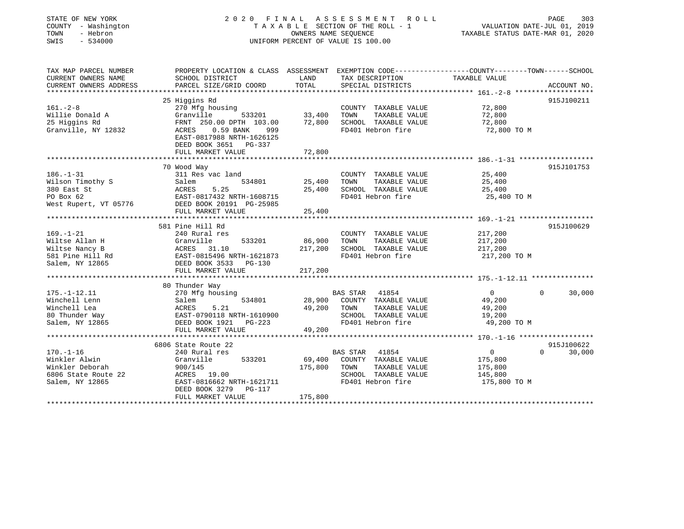| STATE OF NEW YORK<br>COUNTY - Washington<br>TOWN<br>- Hebron<br>SWIS<br>$-534000$                                         | 2020 FINAL ASSESSMENT ROLL<br>TAXABLE SECTION OF THE ROLL - 1<br>UNIFORM PERCENT OF VALUE IS 100.00  | 303<br>PAGE<br>VALUATION DATE-JUL 01, 2019<br>TAXABLE STATUS DATE-MAR 01, 2020 |                                                                                            |                                               |                       |
|---------------------------------------------------------------------------------------------------------------------------|------------------------------------------------------------------------------------------------------|--------------------------------------------------------------------------------|--------------------------------------------------------------------------------------------|-----------------------------------------------|-----------------------|
| TAX MAP PARCEL NUMBER<br>CURRENT OWNERS NAME                                                                              | PROPERTY LOCATION & CLASS ASSESSMENT EXEMPTION CODE---------------COUNTY-------TOWN------SCHOOL      | LAND                                                                           |                                                                                            |                                               |                       |
| CURRENT OWNERS ADDRESS                                                                                                    | SCHOOL DISTRICT<br>PARCEL SIZE/GRID COORD                                                            | TOTAL                                                                          | TAX DESCRIPTION<br>SPECIAL DISTRICTS                                                       | TAXABLE VALUE                                 | ACCOUNT NO.           |
|                                                                                                                           |                                                                                                      | **********                                                                     |                                                                                            |                                               |                       |
|                                                                                                                           | 25 Higgins Rd                                                                                        |                                                                                |                                                                                            |                                               | 915J100211            |
| $161. - 2 - 8$                                                                                                            | 270 Mfg housing                                                                                      |                                                                                | COUNTY TAXABLE VALUE                                                                       | 72,800                                        |                       |
| Willie Donald A                                                                                                           | Granville<br>533201                                                                                  | 33,400                                                                         | TOWN<br>TAXABLE VALUE                                                                      | 72,800                                        |                       |
| 25 Higgins Rd                                                                                                             | FRNT 250.00 DPTH 103.00                                                                              | 72,800                                                                         | SCHOOL TAXABLE VALUE                                                                       | 72,800                                        |                       |
| Granville, NY 12832                                                                                                       | ACRES<br>0.59 BANK<br>999<br>EAST-0817988 NRTH-1626125<br>DEED BOOK 3651 PG-337                      |                                                                                | FD401 Hebron fire                                                                          | 72,800 TO M                                   |                       |
|                                                                                                                           | FULL MARKET VALUE                                                                                    | 72,800                                                                         |                                                                                            |                                               |                       |
|                                                                                                                           |                                                                                                      |                                                                                |                                                                                            |                                               |                       |
|                                                                                                                           | 70 Wood Way                                                                                          |                                                                                |                                                                                            |                                               | 915J101753            |
| $186. - 1 - 31$                                                                                                           | 311 Res vac land                                                                                     |                                                                                | COUNTY TAXABLE VALUE                                                                       | 25,400                                        |                       |
| Wilson Timothy S                                                                                                          | 534801<br>Salem                                                                                      | 25,400                                                                         | TOWN<br>TAXABLE VALUE                                                                      | 25,400                                        |                       |
| 380 East St                                                                                                               | 5.25<br>ACRES                                                                                        | 25,400                                                                         | SCHOOL TAXABLE VALUE                                                                       | 25,400                                        |                       |
| PO Box 62                                                                                                                 | EAST-0817432 NRTH-1608715                                                                            |                                                                                | FD401 Hebron fire                                                                          | 25,400 TO M                                   |                       |
| West Rupert, VT 05776                                                                                                     | DEED BOOK 20191 PG-25985                                                                             |                                                                                |                                                                                            |                                               |                       |
| $169. - 1 - 21$<br>Wiltse Allan H<br>Wiltse Nancy B<br>581 Pine Hill Rd                                                   | 581 Pine Hill Rd<br>240 Rural res<br>Granville<br>533201<br>ACRES 31.10<br>EAST-0815496 NRTH-1621873 | 86,900<br>217,200                                                              | COUNTY TAXABLE VALUE<br>TAXABLE VALUE<br>TOWN<br>SCHOOL TAXABLE VALUE<br>FD401 Hebron fire | 217,200<br>217,200<br>217,200<br>217,200 TO M | 915J100629            |
|                                                                                                                           | DEED BOOK 3533<br>PG-130<br>FULL MARKET VALUE                                                        | 217,200                                                                        |                                                                                            |                                               |                       |
| Salem, NY 12865                                                                                                           |                                                                                                      |                                                                                |                                                                                            |                                               |                       |
|                                                                                                                           | 80 Thunder Way                                                                                       |                                                                                |                                                                                            |                                               |                       |
| $175. - 1 - 12.11$                                                                                                        | 270 Mfg housing                                                                                      |                                                                                | BAS STAR<br>41854                                                                          | $\overline{0}$                                | $\mathbf 0$<br>30,000 |
|                                                                                                                           | Salem<br>534801                                                                                      | 28,900                                                                         | COUNTY TAXABLE VALUE                                                                       | 49,200                                        |                       |
|                                                                                                                           | ACRES<br>5.21                                                                                        | 49,200                                                                         | TOWN<br>TAXABLE VALUE                                                                      | 49,200                                        |                       |
|                                                                                                                           | EAST-0790118 NRTH-1610900                                                                            |                                                                                | SCHOOL TAXABLE VALUE                                                                       | 19,200                                        |                       |
|                                                                                                                           | DEED BOOK 1921<br>PG-223                                                                             |                                                                                | FD401 Hebron fire                                                                          | 49,200 TO M                                   |                       |
|                                                                                                                           | FULL MARKET VALUE                                                                                    | 49,200                                                                         |                                                                                            |                                               |                       |
|                                                                                                                           |                                                                                                      |                                                                                |                                                                                            |                                               |                       |
|                                                                                                                           | 6806 State Route 22                                                                                  |                                                                                |                                                                                            |                                               | 915J100622            |
|                                                                                                                           | 240 Rural res                                                                                        |                                                                                | BAS STAR<br>41854                                                                          | $\mathbf{0}$                                  | $\Omega$<br>30,000    |
|                                                                                                                           | 533201<br>Granville                                                                                  | 69,400                                                                         | COUNTY TAXABLE VALUE                                                                       | 175,800                                       |                       |
| Winchell Lenn<br>Winchell Lea<br>80 Thunder Way<br>Salem, NY 12865<br>$170. - 1 - 16$<br>Winkler Alwin<br>Winkler Deborah | 900/145                                                                                              | 175,800                                                                        | TAXABLE VALUE<br>TOWN                                                                      | 175,800                                       |                       |
|                                                                                                                           | ACRES 19.00                                                                                          |                                                                                | SCHOOL TAXABLE VALUE                                                                       | 145,800                                       |                       |
| 6806 State Route 22<br>Salem, NY 12865                                                                                    | EAST-0816662 NRTH-1621711<br>DEED BOOK 3279<br>PG-117<br>FULL MARKET VALUE                           | 175,800                                                                        | FD401 Hebron fire                                                                          | 175,800 TO M                                  |                       |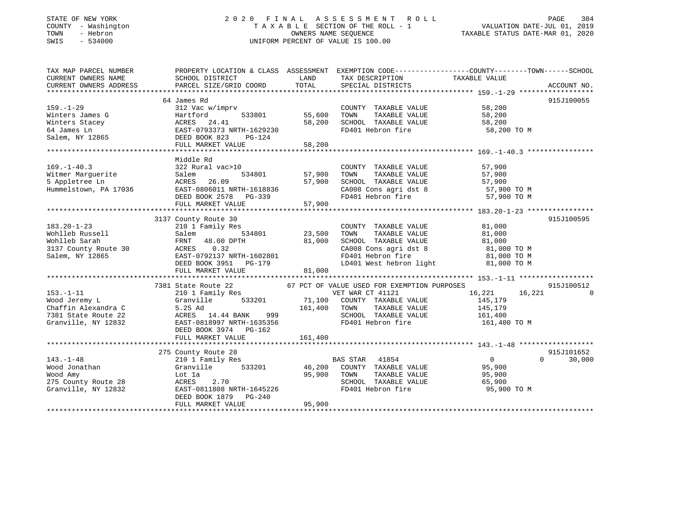## STATE OF NEW YORK 2 0 2 0 F I N A L A S S E S S M E N T R O L L PAGE 304 COUNTY - Washington T A X A B L E SECTION OF THE ROLL - 1 VALUATION DATE-JUL 01, 2019 TOWN - Hebron OWNERS NAME SEQUENCE TAXABLE STATUS DATE-MAR 01, 2020 SWIS - 534000 UNIFORM PERCENT OF VALUE IS 100.00

| TAX MAP PARCEL NUMBER                                                                                                                 |                                         |             | PROPERTY LOCATION & CLASS ASSESSMENT EXEMPTION CODE----------------COUNTY-------TOWN------SCHOOL                                                                                                                                                                                                                                                                                                                   |                                           |                    |
|---------------------------------------------------------------------------------------------------------------------------------------|-----------------------------------------|-------------|--------------------------------------------------------------------------------------------------------------------------------------------------------------------------------------------------------------------------------------------------------------------------------------------------------------------------------------------------------------------------------------------------------------------|-------------------------------------------|--------------------|
| CURRENT OWNERS NAME                                                                                                                   | SCHOOL DISTRICT                         | LAND        | TAX DESCRIPTION                                                                                                                                                                                                                                                                                                                                                                                                    | TAXABLE VALUE                             |                    |
|                                                                                                                                       |                                         |             |                                                                                                                                                                                                                                                                                                                                                                                                                    |                                           |                    |
|                                                                                                                                       |                                         |             |                                                                                                                                                                                                                                                                                                                                                                                                                    |                                           |                    |
| 64 James Rd                                                                                                                           |                                         |             |                                                                                                                                                                                                                                                                                                                                                                                                                    |                                           | 915J100055         |
| $159. - 1 - 29$                                                                                                                       | 312 Vac w/imprv                         |             | COUNTY TAXABLE VALUE                                                                                                                                                                                                                                                                                                                                                                                               | 58,200                                    |                    |
| Winters James G                                                                                                                       | 533801 55,600<br>Hartford               |             | TAXABLE VALUE 58,200<br>TOWN                                                                                                                                                                                                                                                                                                                                                                                       |                                           |                    |
|                                                                                                                                       |                                         | 58,200      |                                                                                                                                                                                                                                                                                                                                                                                                                    |                                           |                    |
| Winters Stacey<br>64 James Ln<br>54 James Ln<br>52 Martin 1629230<br>531 EAST-0793373 NRTH-1629230<br>541 DEED BOOK 823<br>541 PG-124 |                                         |             | SCHOOL TAXABLE VALUE 58,200<br>FD401 Hebron fire 58,200 TO M                                                                                                                                                                                                                                                                                                                                                       |                                           |                    |
|                                                                                                                                       |                                         |             |                                                                                                                                                                                                                                                                                                                                                                                                                    |                                           |                    |
|                                                                                                                                       |                                         |             |                                                                                                                                                                                                                                                                                                                                                                                                                    |                                           |                    |
|                                                                                                                                       |                                         |             |                                                                                                                                                                                                                                                                                                                                                                                                                    |                                           |                    |
|                                                                                                                                       |                                         |             |                                                                                                                                                                                                                                                                                                                                                                                                                    |                                           |                    |
|                                                                                                                                       | Middle Rd                               |             |                                                                                                                                                                                                                                                                                                                                                                                                                    |                                           |                    |
| $169. - 1 - 40.3$                                                                                                                     | 322 Rural vac>10                        |             | COUNTY TAXABLE VALUE                                                                                                                                                                                                                                                                                                                                                                                               | 57,900                                    |                    |
| Witmer Marguerite<br>5 Appletree Ln<br>Salem                                                                                          | 534801 57,900                           |             | TOWN TAXABLE VALUE 57,900<br>SCHOOL TAXABLE VALUE 57,900                                                                                                                                                                                                                                                                                                                                                           |                                           |                    |
| 5 Appletree Ln                                                                                                                        | ACRES 26.09                             | 57,900      |                                                                                                                                                                                                                                                                                                                                                                                                                    |                                           |                    |
| Hummelstown, PA 17036 EAST-0806011 NRTH-1618836                                                                                       |                                         |             | CA008 Cons agri dst 8 57,900 TO M                                                                                                                                                                                                                                                                                                                                                                                  |                                           |                    |
|                                                                                                                                       |                                         |             | FD401 Hebron fire                                                                                                                                                                                                                                                                                                                                                                                                  | 57,900 TO M                               |                    |
|                                                                                                                                       | FULL MARKET VALUE                       | 57,900      |                                                                                                                                                                                                                                                                                                                                                                                                                    |                                           |                    |
|                                                                                                                                       |                                         |             |                                                                                                                                                                                                                                                                                                                                                                                                                    |                                           |                    |
|                                                                                                                                       | 3137 County Route 30                    |             |                                                                                                                                                                                                                                                                                                                                                                                                                    |                                           | 915J100595         |
| $183.20 - 1 - 23$                                                                                                                     | 210 1 Family Res                        |             | COUNTY TAXABLE VALUE 81,000                                                                                                                                                                                                                                                                                                                                                                                        |                                           |                    |
| 183.20-1-23 210 1 Family Res<br>Wohlleb Russell Salem 534801<br>Wohlleb Sarah FRNT 48.00 DPTH                                         | Salem 534801                            |             |                                                                                                                                                                                                                                                                                                                                                                                                                    |                                           |                    |
|                                                                                                                                       |                                         | 81,000      | 23,500 TOWN TAXABLE VALUE 81,000<br>81,000 SCHOOL TAXABLE VALUE 81,000                                                                                                                                                                                                                                                                                                                                             |                                           |                    |
| WONLIED Salah<br>3137 County Route 30 ACRES 0.32<br>Salem, NY 12865 EAST-0792137 NRTH-1602801<br>DEED BOOK 3951 PG-179                |                                         |             |                                                                                                                                                                                                                                                                                                                                                                                                                    |                                           |                    |
|                                                                                                                                       |                                         |             | $\begin{array}{llll}\n\text{CA008} & \text{Cons}\n\text{ agri}\n\text{dst}\n\end{array}\n\quad\n\begin{array}{llll}\n\text{B1,000}} & \text{TO M} \\ \text{B1,000}} & \text{TO M}\n\end{array}\n\quad\n\begin{array}{llll}\n\text{B1,000}} & \text{TO M} \\ \text{B2,000}} & \text{TO M} \\ \text{B3,000}} & \text{TO M} \\ \end{array}\n\quad\n\begin{array}{llllllll}\n\text{C1,000}} & \text{TO M} \\ \text{D2$ |                                           |                    |
|                                                                                                                                       | DEED BOOK 3951 PG-179                   |             | LD401 West hebron light                                                                                                                                                                                                                                                                                                                                                                                            | 81,000 TO M                               |                    |
|                                                                                                                                       | FULL MARKET VALUE                       | 81,000      |                                                                                                                                                                                                                                                                                                                                                                                                                    |                                           |                    |
|                                                                                                                                       |                                         |             |                                                                                                                                                                                                                                                                                                                                                                                                                    |                                           |                    |
|                                                                                                                                       |                                         |             |                                                                                                                                                                                                                                                                                                                                                                                                                    |                                           |                    |
|                                                                                                                                       |                                         |             | 7381 State Route 22 67 PCT OF VALUE USED FOR EXEMPTION PURPOSES<br>210 1 Family Res 67 PCT OF VET WAR CT 41121 16                                                                                                                                                                                                                                                                                                  |                                           | 915J100512         |
| $153. - 1 - 11$                                                                                                                       |                                         |             |                                                                                                                                                                                                                                                                                                                                                                                                                    | 16,221 16,221 0                           |                    |
| Wood Jeremy L                                                                                                                         | Granville                               |             | 533201 71,100 COUNTY TAXABLE VALUE                                                                                                                                                                                                                                                                                                                                                                                 | 145,179                                   |                    |
| Chaffin Alexandra C $=$ 5.25 Ad $=$ 161,400 TOWN TAXABLE VALUE $=$ 145,179<br>161,400 TOWN TAXABLE VALUE 161,400                      |                                         |             |                                                                                                                                                                                                                                                                                                                                                                                                                    |                                           |                    |
|                                                                                                                                       |                                         |             |                                                                                                                                                                                                                                                                                                                                                                                                                    |                                           |                    |
| Granville, NY 12832                                                                                                                   | EAST-0818997 NRTH-1635356               |             | FD401 Hebron fire 161,400 TO M                                                                                                                                                                                                                                                                                                                                                                                     |                                           |                    |
|                                                                                                                                       | DEED BOOK 3974 PG-162                   |             |                                                                                                                                                                                                                                                                                                                                                                                                                    |                                           |                    |
|                                                                                                                                       | FULL MARKET VALUE                       | 161,400     |                                                                                                                                                                                                                                                                                                                                                                                                                    |                                           |                    |
|                                                                                                                                       |                                         |             |                                                                                                                                                                                                                                                                                                                                                                                                                    |                                           |                    |
|                                                                                                                                       | 275 County Route 28                     |             |                                                                                                                                                                                                                                                                                                                                                                                                                    |                                           | 915J101652         |
| $143. - 1 - 48$                                                                                                                       | 210 1 Family Res                        |             | BAS STAR 41854                                                                                                                                                                                                                                                                                                                                                                                                     | $\begin{array}{c} 0 \ 95,900 \end{array}$ | $\Omega$<br>30,000 |
| 143.-1-48<br>Wood Jonathan<br>Wood Amy                                                                                                |                                         |             | Granville 533201 46,200 COUNTY TAXABLE VALUE                                                                                                                                                                                                                                                                                                                                                                       |                                           |                    |
|                                                                                                                                       | Lot la                                  | 95,900 TOWN | TAXABLE VALUE 95,900                                                                                                                                                                                                                                                                                                                                                                                               |                                           |                    |
|                                                                                                                                       | ACRES 2.70                              |             |                                                                                                                                                                                                                                                                                                                                                                                                                    |                                           |                    |
| 275 County Route 28<br>Granville, NY 12832<br>Granville, NY 12832                                                                     | ACRES 2.70<br>EAST-0811808 NRTH-1645226 |             | SCHOOL TAXABLE VALUE 65,900<br>FD401 Hebron fire 95,900                                                                                                                                                                                                                                                                                                                                                            | 95,900 TO M                               |                    |
|                                                                                                                                       | DEED BOOK 1879 PG-240                   |             |                                                                                                                                                                                                                                                                                                                                                                                                                    |                                           |                    |
|                                                                                                                                       | FULL MARKET VALUE                       | 95,900      |                                                                                                                                                                                                                                                                                                                                                                                                                    |                                           |                    |
|                                                                                                                                       |                                         |             |                                                                                                                                                                                                                                                                                                                                                                                                                    |                                           |                    |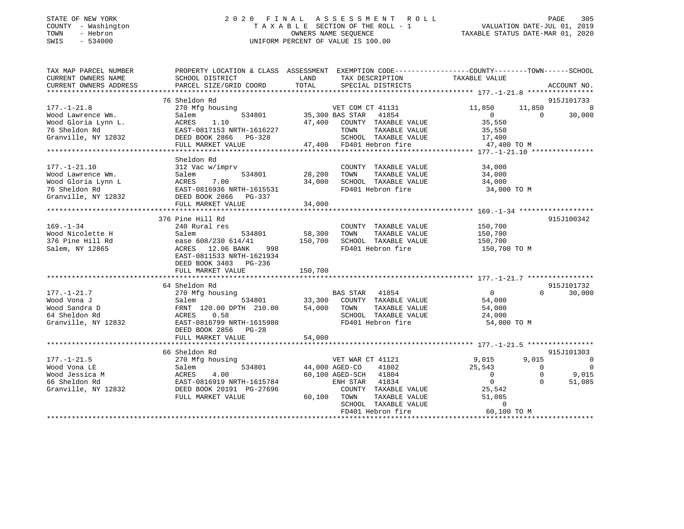## STATE OF NEW YORK 2 0 2 0 F I N A L A S S E S S M E N T R O L L PAGE 305 COUNTY - Washington T A X A B L E SECTION OF THE ROLL - 1 VALUATION DATE-JUL 01, 2019 TOWN - Hebron OWNERS NAME SEQUENCE TAXABLE STATUS DATE-MAR 01, 2020 SWIS - 534000 UNIFORM PERCENT OF VALUE IS 100.00

| TAX MAP PARCEL NUMBER<br>CURRENT OWNERS NAME<br>CURRENT OWNERS ADDRESS                      | SCHOOL DISTRICT<br>PARCEL SIZE/GRID COORD                                                                                                                                                                             | PROPERTY LOCATION & CLASS ASSESSMENT EXEMPTION CODE-----------------COUNTY--------TOWN------SCHOOL<br>LAND<br>TAX DESCRIPTION<br>TOTAL<br>SPECIAL DISTRICTS                                                                                                            | TAXABLE VALUE<br>ACCOUNT NO.                                                                                                                                                                                                                     |
|---------------------------------------------------------------------------------------------|-----------------------------------------------------------------------------------------------------------------------------------------------------------------------------------------------------------------------|------------------------------------------------------------------------------------------------------------------------------------------------------------------------------------------------------------------------------------------------------------------------|--------------------------------------------------------------------------------------------------------------------------------------------------------------------------------------------------------------------------------------------------|
|                                                                                             |                                                                                                                                                                                                                       |                                                                                                                                                                                                                                                                        |                                                                                                                                                                                                                                                  |
| $177. - 1 - 21.8$                                                                           | 76 Sheldon Rd<br>270 Mfg housing                                                                                                                                                                                      | VET COM CT 41131<br>Wood Lawrence Wm.<br>Wood Lawrence Wm.<br>Wood Gloria Lynn L.<br>ACRES 1.10<br>47,400 COUNTY TAXABLE VALUE<br>47,400 COUNTY TAXABLE VALUE<br>TOWN TAXABLE VALUE<br>Granville, NY 12832<br>DEED BOOK 2866 PG-328<br>FULL MARKET VALUE<br>FULL MARKE | 915J101733<br>11,850<br>11,850<br>0<br>30,000<br>$\overline{0}$<br>$\Omega$<br>35,550<br>35,550<br>LUE $\frac{17,400}{47,400}$<br>47,400 TO M                                                                                                    |
|                                                                                             | Sheldon Rd<br>312 Vac w/imprv<br>177.-1-21.10<br>Wood Lawrence Wm. Salem 534801<br>Wood Gloria Lynn L<br>76 Sheldon Rd EAST-0816936 NRTH-1615531<br>Granville, NY 12832<br>DEED BOOK 2866 PG-337<br>FULL MARKET VALUE | COUNTY TAXABLE VALUE<br>28,200 TOWN<br>34,000 SCHOC<br>FD401<br>TAXABLE VALUE<br>34,000 SCHOOL TAXABLE VALUE<br>FD401 Hebron fire<br>34,000                                                                                                                            | 34,000<br>34,000<br>34,000<br>34,000 TO M                                                                                                                                                                                                        |
| $169. - 1 - 34$<br>Wood Nicolette H<br>376 Pine Hill Rd<br>Salem, NY 12865                  | 376 Pine Hill Rd<br>240 Rural res<br>$534801$ 58,300<br>Salem<br>ease 608/230 614/41<br>ACRES 12.06 BANK<br>998<br>EAST-0811533 NRTH-1621934<br>DEED BOOK 3403 PG-236<br>FULL MARKET VALUE                            | COUNTY TAXABLE VALUE 150,700<br>TOWN<br>TAXABLE VALUE<br>150,700<br>SCHOOL TAXABLE VALUE<br>FD401 Hebron fire<br>150,700                                                                                                                                               | 915J100342<br>150,700<br>150,700<br>150,700 TO M                                                                                                                                                                                                 |
|                                                                                             |                                                                                                                                                                                                                       |                                                                                                                                                                                                                                                                        | 915J101732                                                                                                                                                                                                                                       |
| $177. - 1 - 21.7$<br>Wood Vona J<br>Wood Sandra D<br>64 Sheldon Rd<br>Granville, NY 12832   | 64 Sheldon Rd<br>270 Mfg housing<br>EAST-0816799 NRTH-1615980<br>DEED BOOK 2856 PG-28<br>FULL MARKET VALUE                                                                                                            | y housing<br>534801 534801 534801 534801 534801 534801 534801 534801 534801 534801 534801 53480 $\frac{1}{100}$<br>TAXABLE VALUE<br>SCHOOL TAXABLE VALUE<br>FD401 Hebron fire<br>54,000                                                                                | $\overline{0}$<br>$\Omega$<br>30,000<br>54,000<br>54,000<br>24,000<br>54,000 TO M                                                                                                                                                                |
|                                                                                             |                                                                                                                                                                                                                       |                                                                                                                                                                                                                                                                        |                                                                                                                                                                                                                                                  |
| $177. - 1 - 21.5$<br>Wood Vona LE<br>Wood Jessica M<br>66 Sheldon Rd<br>Granville, NY 12832 | 66 Sheldon Rd<br>270 Mfg housing<br>534801<br>Salem<br>231001<br>ACRES 4.00<br>EAST-0816919 NRTH-1615784<br>BEED BOOK 20191 PG-27696<br>FULL MARKET VALUE                                                             | VET WAR CT<br>44,000 AGED-CO<br>VET WAR CT 41121<br>41802<br>60,100 AGED-SCH 41804<br>ENH STAR 41834<br>COUNTY TAXABLE VALUE<br>60,100 TOWN<br>TAXABLE VALUE<br>SCHOOL TAXABLE VALUE<br>FD401 Hebron fire                                                              | 915J101303<br>9,015<br>9,015<br>$\overline{\phantom{0}}$<br>25,543<br>$\overline{\phantom{0}}$<br>$\bigcirc$<br>9,015<br>$\overline{0}$<br>$\Omega$<br>$\overline{0}$<br>51,085<br>$\Omega$<br>25,542<br>51,085<br>$\overline{0}$<br>60,100 TO M |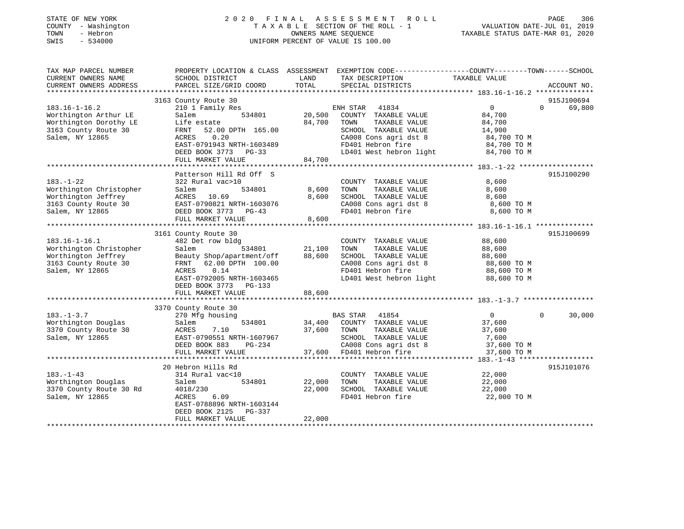| STATE OF NEW YORK<br>- Washington<br>COUNTY<br>- Hebron<br>TOWN<br>SWIS<br>$-534000$ | 2 0 2 0                   | FINAL      | ASSESSMENT ROLL<br>TAXABLE SECTION OF THE ROLL - 1<br>OWNERS NAME SEOUENCE<br>UNIFORM PERCENT OF VALUE IS 100.00 | TAXABLE STATUS DATE-MAR 01, 2020              | 306<br>PAGE<br>VALUATION DATE-JUL 01, 2019 |
|--------------------------------------------------------------------------------------|---------------------------|------------|------------------------------------------------------------------------------------------------------------------|-----------------------------------------------|--------------------------------------------|
| TAX MAP PARCEL NUMBER                                                                | PROPERTY LOCATION & CLASS | ASSESSMENT | EXEMPTION CODE----                                                                                               | ---------------COUNTY--------TOWN------SCHOOL |                                            |
| CURRENT OWNERS NAME                                                                  | SCHOOL DISTRICT           | LAND       | TAX DESCRIPTION                                                                                                  | TAXABLE VALUE                                 |                                            |
| CURRENT OWNERS ADDRESS                                                               | PARCEL SIZE/GRID COORD    | TOTAL      | SPECIAL DISTRICTS                                                                                                |                                               | ACCOUNT NO.                                |
|                                                                                      |                           |            |                                                                                                                  |                                               |                                            |
|                                                                                      | 3163 County Route 30      |            |                                                                                                                  |                                               | 915J100694                                 |
| $183.16 - 1 - 16.2$                                                                  | 210 1 Family Res          |            | 41834<br>ENH STAR                                                                                                | $\Omega$                                      | 69,800<br>$\Omega$                         |
| Worthington Arthur LE                                                                | Salem<br>534801           | 20,500     | COUNTY<br>TAXABLE VALUE                                                                                          | 84,700                                        |                                            |
| Worthington Dorothy LE                                                               | Life estate               | 84,700     | TOWN<br>TAXABLE VALUE                                                                                            | 84,700                                        |                                            |
| 3163 County Route 30                                                                 | FRNT 52.00 DPTH 165.00    |            | TAXABLE VALUE<br>SCHOOL                                                                                          | 14,900                                        |                                            |
| Salem, NY 12865                                                                      | 0.20<br>ACRES             |            | CA008 Cons agri dst 8                                                                                            | 84,700 TO M                                   |                                            |
|                                                                                      | EAST-0791943 NRTH-1603489 |            | FD401 Hebron fire                                                                                                | 84,700 TO M                                   |                                            |
|                                                                                      | DEED BOOK 3773<br>$PG-33$ |            | LD401 West hebron light                                                                                          | 84,700 TO M                                   |                                            |
|                                                                                      | FULL MARKET VALUE         | 84,700     |                                                                                                                  |                                               |                                            |

|                         | Patterson Hill Rd Off S          |             |                                              |                | 915J100290               |
|-------------------------|----------------------------------|-------------|----------------------------------------------|----------------|--------------------------|
| $183. - 1 - 22$         | 322 Rural vac>10                 |             | COUNTY TAXABLE VALUE                         | 8,600          |                          |
| Worthington Christopher | 534801<br>Salem                  | 8,600       | TOWN<br>TAXABLE VALUE                        | 8,600          |                          |
| Worthington Jeffrey     | ACRES 10.69                      | 8,600       | SCHOOL TAXABLE VALUE                         | 8,600          |                          |
| 3163 County Route 30    | EAST-0790821 NRTH-1603076        |             | CA008 Cons agri dst 8 3,600 TO M             |                |                          |
| Salem, NY 12865         | DEED BOOK 3773 PG-43             |             | FD401 Hebron fire 8,600 TO M                 |                |                          |
|                         | FULL MARKET VALUE                | 8,600       |                                              |                |                          |
|                         |                                  |             |                                              |                |                          |
|                         | 3161 County Route 30             |             |                                              |                | 915J100699               |
| $183.16 - 1 - 16.1$     | 482 Det row bldg                 |             | COUNTY TAXABLE VALUE                         | 88,600         |                          |
| Worthington Christopher | Salem                            |             | TOWN<br>TAXABLE VALUE                        | 88,600         |                          |
| Worthington Jeffrey     | Beauty Shop/apartment/off 88,600 |             | SCHOOL TAXABLE VALUE                         | 88,600         |                          |
| 3163 County Route 30    | FRNT 62.00 DPTH 100.00           |             | CA008 Cons agri dst 8                        | 88,600 TO M    |                          |
| Salem, NY 12865         | 0.14<br>ACRES                    |             | FD401 Hebron fire<br>LD401 West hebron light | 88,600 TO M    |                          |
|                         | EAST-0792005 NRTH-1603465        |             |                                              | 88,600 TO M    |                          |
|                         | DEED BOOK 3773 PG-133            |             |                                              |                |                          |
|                         | 88,600<br>FULL MARKET VALUE      |             |                                              |                |                          |
|                         |                                  |             |                                              |                |                          |
|                         | 3370 County Route 30             |             |                                              |                |                          |
| $183. - 1 - 3.7$        | 270 Mfg housing                  |             | 41854<br>BAS STAR                            | $\overline{0}$ | $\overline{0}$<br>30,000 |
| Worthington Douglas     | Salem                            |             | 534801 34,400 COUNTY TAXABLE VALUE           | 37,600         |                          |
| 3370 County Route 30    | ACRES 7.10                       | 37,600 TOWN | TAXABLE VALUE                                | 37,600         |                          |
| Salem, NY 12865         | EAST-0790551 NRTH-1607967        |             | SCHOOL TAXABLE VALUE 7,600                   |                |                          |
|                         | DEED BOOK 883<br>$PG-234$        |             | CA008 Cons agri dst 8 37,600 TO M            |                |                          |
|                         | FULL MARKET VALUE                |             | 37,600 FD401 Hebron fire 37,600 TO M         |                |                          |
|                         |                                  |             |                                              |                |                          |
|                         | 20 Hebron Hills Rd               |             |                                              |                | 915J101076               |
| $183. - 1 - 43$         | 314 Rural vac<10                 |             | COUNTY TAXABLE VALUE                         | 22,000         |                          |
| Worthington Douglas     | 534801 22,000<br>Salem           |             | TOWN<br>TAXABLE VALUE                        | 22,000         |                          |
| 3370 County Route 30 Rd | 4018/230                         | 22,000      | SCHOOL TAXABLE VALUE                         | 22,000         |                          |
| Salem, NY 12865         | 6.09<br>ACRES                    |             | FD401 Hebron fire                            | 22,000 TO M    |                          |
|                         | EAST-0788896 NRTH-1603144        |             |                                              |                |                          |

\*\*\*\*\*\*\*\*\*\*\*\*\*\*\*\*\*\*\*\*\*\*\*\*\*\*\*\*\*\*\*\*\*\*\*\*\*\*\*\*\*\*\*\*\*\*\*\*\*\*\*\*\*\*\*\*\*\*\*\*\*\*\*\*\*\*\*\*\*\*\*\*\*\*\*\*\*\*\*\*\*\*\*\*\*\*\*\*\*\*\*\*\*\*\*\*\*\*\*\*\*\*\*\*\*\*\*\*\*\*\*\*\*\*\*\*\*\*\*\*\*\*\*\*\*\*\*\*\*\*\*\*

DEED BOOK 2125 PG-337

FULL MARKET VALUE 22,000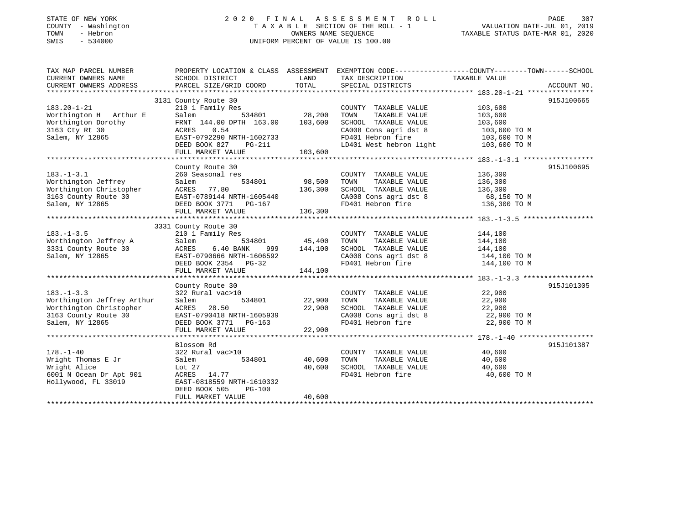## STATE OF NEW YORK 2 0 2 0 F I N A L A S S E S S M E N T R O L L PAGE 307COUNTY - Washington T A X A B L E SECTION OF THE ROLL - 1 VALUATION DATE-JUL 01, 2019 SWIS - 534000 UNIFORM PERCENT OF VALUE IS 100.00

VALUATION DATE-JUL 01, 2019

| TAX MAP PARCEL NUMBER                                                                                                                                                                       | PROPERTY LOCATION & CLASS ASSESSMENT EXEMPTION CODE----------------COUNTY-------TOWN------SCHOOL |               |                                                                                                                                                                                                                              |                       |             |
|---------------------------------------------------------------------------------------------------------------------------------------------------------------------------------------------|--------------------------------------------------------------------------------------------------|---------------|------------------------------------------------------------------------------------------------------------------------------------------------------------------------------------------------------------------------------|-----------------------|-------------|
| CURRENT OWNERS NAME                                                                                                                                                                         | SCHOOL DISTRICT                                                                                  | LAND          | TAX DESCRIPTION TAXABLE VALUE                                                                                                                                                                                                |                       |             |
| CURRENT OWNERS ADDRESS                                                                                                                                                                      | PARCEL SIZE/GRID COORD                                                                           | TOTAL         | SPECIAL DISTRICTS                                                                                                                                                                                                            |                       | ACCOUNT NO. |
|                                                                                                                                                                                             |                                                                                                  |               |                                                                                                                                                                                                                              |                       |             |
|                                                                                                                                                                                             | 3131 County Route 30                                                                             |               |                                                                                                                                                                                                                              |                       | 915J100665  |
| $183.20 - 1 - 21$                                                                                                                                                                           | 210 1 Family Res                                                                                 |               | COUNTY TAXABLE VALUE                                                                                                                                                                                                         | 103,600<br>103,600    |             |
| Worthington H Arthur E                                                                                                                                                                      | Salem                                                                                            |               | TOWN<br>TAXABLE VALUE                                                                                                                                                                                                        |                       |             |
| Worthington Dorothy<br>3163 Cty Rt 30<br>Salem, NY 12865                                                                                                                                    | FRNT 144.00 DPTH 163.00 103,600                                                                  |               | SCHOOL TAXABLE VALUE                                                                                                                                                                                                         | 103,600               |             |
|                                                                                                                                                                                             | ACRES 0.54                                                                                       |               | CA008 Cons agri dst 8 $103,600$ TO M<br>FD401 Hebron fire $103,600$ TO M                                                                                                                                                     |                       |             |
|                                                                                                                                                                                             | EAST-0792290 NRTH-1602733                                                                        |               |                                                                                                                                                                                                                              |                       |             |
|                                                                                                                                                                                             |                                                                                                  |               |                                                                                                                                                                                                                              |                       |             |
| DEED BOOK 827 PG-211 LD401 West hebron light 103,600 TO M<br>FULL MARKET VALUE 103,600 2008 FULL MARKET VALUE 103,600 2012 EULL MARKET VALUE 103,600 TO M                                   |                                                                                                  |               |                                                                                                                                                                                                                              |                       |             |
|                                                                                                                                                                                             |                                                                                                  |               |                                                                                                                                                                                                                              |                       |             |
|                                                                                                                                                                                             | County Route 30                                                                                  |               |                                                                                                                                                                                                                              |                       | 915J100695  |
| $183. - 1 - 3.1$                                                                                                                                                                            | 260 Seasonal res                                                                                 |               | COUNTY TAXABLE VALUE                                                                                                                                                                                                         | 136,300               |             |
| Worthington Jeffrey                                                                                                                                                                         | Salem                                                                                            | 534801 98,500 | TOWN                                                                                                                                                                                                                         | TAXABLE VALUE 136,300 |             |
|                                                                                                                                                                                             |                                                                                                  |               |                                                                                                                                                                                                                              |                       |             |
|                                                                                                                                                                                             |                                                                                                  |               | SCHOOL TAXABLE VALUE 136,300<br>CA008 Cons agri dst 8 68,150 TO M<br>FD401 Hebron fire 136,300 TO M                                                                                                                          |                       |             |
| Worthington Christopher ACRES 77.80 136,300<br>3163 County Route 30 EAST-0789144 NRTH-1605440<br>Salem, NY 12865 DEED BOOK 3771 PG-167                                                      |                                                                                                  |               |                                                                                                                                                                                                                              |                       |             |
|                                                                                                                                                                                             | FULL MARKET VALUE                                                                                | 136,300       |                                                                                                                                                                                                                              |                       |             |
|                                                                                                                                                                                             |                                                                                                  |               |                                                                                                                                                                                                                              |                       |             |
|                                                                                                                                                                                             | 3331 County Route 30<br>County Route 30<br>210 1 Family Res                                      |               |                                                                                                                                                                                                                              |                       |             |
|                                                                                                                                                                                             |                                                                                                  |               | COUNTY TAXABLE VALUE 144,100                                                                                                                                                                                                 |                       |             |
|                                                                                                                                                                                             |                                                                                                  |               | TOWN<br>TAXABLE VALUE                                                                                                                                                                                                        | 144,100               |             |
|                                                                                                                                                                                             |                                                                                                  |               |                                                                                                                                                                                                                              |                       |             |
|                                                                                                                                                                                             |                                                                                                  |               | $\begin{tabular}{lllllllllll} \multicolumn{4}{c}{\textbf{SCHODL}} & \textbf{TAXABLE VALUE} & & & 144,100 \\ \textbf{CA008 Cons agri dst 8} & & 144,100 TO M \\ \textbf{FD401 Hebron fire} & & 144,100 TO M \\ \end{tabular}$ |                       |             |
|                                                                                                                                                                                             |                                                                                                  |               |                                                                                                                                                                                                                              |                       |             |
| 183.-1-3.5<br>Worthington Jeffrey A Salem 534801 45,700<br>3331 County Route 30 ACRES 6.40 BANK 999 144,100<br>Salem, NY 12865 EAST-0790666 NRTH-1606592<br>DEED BOOK 2354 PG-32<br>144,100 |                                                                                                  |               |                                                                                                                                                                                                                              |                       |             |
|                                                                                                                                                                                             |                                                                                                  |               |                                                                                                                                                                                                                              |                       |             |
|                                                                                                                                                                                             | County Route 30                                                                                  |               |                                                                                                                                                                                                                              |                       | 915J101305  |
| $183. - 1 - 3.3$                                                                                                                                                                            | 322 Rural vac>10                                                                                 |               | COUNTY TAXABLE VALUE 22,900                                                                                                                                                                                                  |                       |             |
| Worthington Jeffrey Arthur                                                                                                                                                                  | Salem                                                                                            | 534801 22,900 | TOWN                                                                                                                                                                                                                         | TAXABLE VALUE 22,900  |             |
|                                                                                                                                                                                             |                                                                                                  | 22,900        |                                                                                                                                                                                                                              |                       |             |
|                                                                                                                                                                                             | EAST-0790418 NRTH-1605939<br>DEED BOOK 3771 PG-163                                               |               | SCHOOL TAXABLE VALUE 22,900<br>CA008 Cons agri dst 8 22,900 TO M<br>FD401 Hebron fire 22,900 TO M                                                                                                                            |                       |             |
| Worthington Christopher<br>163 County Route 30<br>Salem, NY 12865<br>Salem, NY 12865<br>CEED BOOK 3771 PG-163                                                                               |                                                                                                  |               |                                                                                                                                                                                                                              |                       |             |
|                                                                                                                                                                                             |                                                                                                  |               |                                                                                                                                                                                                                              |                       |             |
|                                                                                                                                                                                             |                                                                                                  |               |                                                                                                                                                                                                                              |                       |             |
|                                                                                                                                                                                             | Blossom Rd                                                                                       |               |                                                                                                                                                                                                                              |                       | 915J101387  |
| $178. - 1 - 40$                                                                                                                                                                             | 322 Rural vac>10                                                                                 |               | COUNTY TAXABLE VALUE 40,600                                                                                                                                                                                                  |                       |             |
| Wright Thomas E Jr                                                                                                                                                                          | Salem                                                                                            | 534801 40,600 | TAXABLE VALUE<br>TOWN                                                                                                                                                                                                        | 40,600                |             |
| Wright Alice<br>6001 N Ocean Dr Apt 901                                                                                                                                                     | Lot 27                                                                                           | 40,600        | SCHOOL TAXABLE VALUE 40,600                                                                                                                                                                                                  |                       |             |
|                                                                                                                                                                                             | ACRES 14.77                                                                                      |               | FD401 Hebron fire                                                                                                                                                                                                            | 40,600 TO M           |             |
| Hollywood, FL 33019                                                                                                                                                                         | EAST-0818559 NRTH-1610332                                                                        |               |                                                                                                                                                                                                                              |                       |             |
|                                                                                                                                                                                             | DEED BOOK 505<br>$PG-100$                                                                        |               |                                                                                                                                                                                                                              |                       |             |
|                                                                                                                                                                                             | FULL MARKET VALUE                                                                                | 40,600        |                                                                                                                                                                                                                              |                       |             |
|                                                                                                                                                                                             |                                                                                                  |               |                                                                                                                                                                                                                              |                       |             |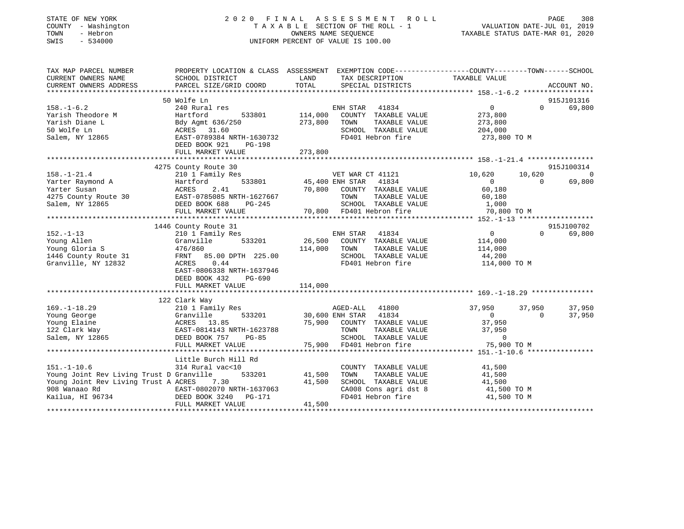| STATE OF NEW YORK<br>COUNTY - Washington<br>TOWN<br>- Hebron<br>SWIS<br>$-534000$              |                                                                                                               |               | 2020 FINAL ASSESSMENT ROLL<br>T A X A B L E SECTION OF THE ROLL - 1<br>UNIFORM PERCENT OF VALUE IS 100.00 | VALUATION DATE-JUL 01, 2019<br>TAXABLE STATUS DATE-MAR 01, 2020 |          | PAGE<br>308    |
|------------------------------------------------------------------------------------------------|---------------------------------------------------------------------------------------------------------------|---------------|-----------------------------------------------------------------------------------------------------------|-----------------------------------------------------------------|----------|----------------|
| TAX MAP PARCEL NUMBER                                                                          | PROPERTY LOCATION & CLASS ASSESSMENT EXEMPTION CODE---------------COUNTY-------TOWN-----SCHOOL                |               |                                                                                                           |                                                                 |          |                |
| CURRENT OWNERS NAME<br>CURRENT OWNERS ADDRESS                                                  | SCHOOL DISTRICT<br>PARCEL SIZE/GRID COORD                                                                     | LAND<br>TOTAL | TAX DESCRIPTION<br>SPECIAL DISTRICTS                                                                      | TAXABLE VALUE                                                   |          | ACCOUNT NO.    |
|                                                                                                |                                                                                                               |               |                                                                                                           |                                                                 |          |                |
|                                                                                                | 50 Wolfe Ln                                                                                                   |               |                                                                                                           |                                                                 |          | 915J101316     |
| $158. - 1 - 6.2$                                                                               | 240 Rural res                                                                                                 |               | ENH STAR 41834                                                                                            | $\overline{0}$                                                  | $\Omega$ | 69,800         |
| Yarish Theodore M                                                                              | Hartford<br>533801                                                                                            | 114,000       | COUNTY TAXABLE VALUE                                                                                      | 273,800                                                         |          |                |
| Yarish Diane L                                                                                 | Bdy Agmt 636/2<br>ACRES 31.60<br>EAST-0789384 N<br>Bdy Agmt 636/250                                           | 273,800       | TOWN<br>TAXABLE VALUE                                                                                     | 273,800                                                         |          |                |
| 50 Wolfe Ln<br>Salem, NY 12865                                                                 | EAST-0789384 NRTH-1630732                                                                                     |               | SCHOOL TAXABLE VALUE<br>FD401 Hebron fire                                                                 | 204,000                                                         |          |                |
|                                                                                                | DEED BOOK 921<br>PG-198                                                                                       |               |                                                                                                           | 273,800 TO M                                                    |          |                |
|                                                                                                | FULL MARKET VALUE                                                                                             | 273,800       |                                                                                                           |                                                                 |          |                |
|                                                                                                |                                                                                                               |               |                                                                                                           |                                                                 |          |                |
|                                                                                                | 4275 County Route 30                                                                                          |               |                                                                                                           |                                                                 |          | 915J100314     |
| $158. - 1 - 21.4$                                                                              | 210 1 Family Res                                                                                              |               | VET WAR CT 41121                                                                                          | 10,620                                                          | 10,620   | $\overline{0}$ |
| Yarter Raymond A                                                                               | Hartford                                                                                                      |               | 533801 45,400 ENH STAR 41834                                                                              | $\overline{0}$                                                  | $\Omega$ | 69,800         |
| Yarter Susan                                                                                   | 2.41<br>ACRES                                                                                                 | 70,800        | COUNTY TAXABLE VALUE<br>TOWN<br>TAXABLE VALUE                                                             | 60,180<br>60,180                                                |          |                |
| 4275 County Route 30 EAST-0785085 NRTH-1627667<br>Salem, NY 12865                              | DEED BOOK 688<br>PG-245                                                                                       |               | SCHOOL TAXABLE VALUE                                                                                      | 1,000                                                           |          |                |
|                                                                                                | FULL MARKET VALUE                                                                                             |               | 70,800 FD401 Hebron fire                                                                                  | 70,800 TO M                                                     |          |                |
|                                                                                                |                                                                                                               |               |                                                                                                           |                                                                 |          |                |
|                                                                                                | 1446 County Route 31                                                                                          |               |                                                                                                           |                                                                 |          | 915J100702     |
| $152. - 1 - 13$                                                                                | 210 1 Family Res                                                                                              |               | ENH STAR<br>41834                                                                                         | $\overline{0}$                                                  | $\Omega$ | 69,800         |
| Poung Allen<br>Young Allen<br>Young Gloria S<br>1446 County Route 31<br>TRNT 85.00 DPTH 225.00 |                                                                                                               | 26,500        | COUNTY TAXABLE VALUE                                                                                      | 114,000                                                         |          |                |
|                                                                                                |                                                                                                               | 114,000       | TOWN<br>TAXABLE VALUE                                                                                     | 114,000                                                         |          |                |
| Granville, NY 12832                                                                            | ACRES<br>0.44                                                                                                 |               | SCHOOL TAXABLE VALUE<br>FD401 Hebron fire                                                                 | 44,200<br>114,000 TO M                                          |          |                |
|                                                                                                | EAST-0806338 NRTH-1637946                                                                                     |               |                                                                                                           |                                                                 |          |                |
|                                                                                                | DEED BOOK 432<br>PG-690                                                                                       |               |                                                                                                           |                                                                 |          |                |
|                                                                                                | FULL MARKET VALUE                                                                                             | 114,000       |                                                                                                           |                                                                 |          |                |
|                                                                                                |                                                                                                               |               |                                                                                                           |                                                                 |          |                |
|                                                                                                | 122 Clark Way                                                                                                 |               |                                                                                                           |                                                                 |          |                |
| $169. - 1 - 18.29$                                                                             | 210 1 Family Res                                                                                              |               | AGED-ALL<br>41800                                                                                         | 37,950                                                          | 37,950   | 37,950         |
| Young George<br>Young Elaine                                                                   |                                                                                                               |               | 30,600 ENH STAR 41834<br>75,900 COUNTY TAXABLE VALUE                                                      | $\sim$ 0<br>37,950                                              | $\Omega$ | 37,950         |
| 122 Clark Way                                                                                  |                                                                                                               |               | TOWN<br>TAXABLE VALUE                                                                                     | 37,950                                                          |          |                |
| Salem, NY 12865                                                                                | Granville 533201<br>ACRES 13.85<br>EAST-0814143 NRTH-1623788<br>DEED BOOK 757 PG-85<br>DEED BOOK 757<br>PG-85 |               | SCHOOL TAXABLE VALUE                                                                                      | $\mathbf 0$                                                     |          |                |
|                                                                                                | FULL MARKET VALUE                                                                                             |               | 75,900 FD401 Hebron fire                                                                                  | 75,900 TO M                                                     |          |                |
|                                                                                                |                                                                                                               |               |                                                                                                           |                                                                 |          |                |
|                                                                                                | Little Burch Hill Rd                                                                                          |               |                                                                                                           |                                                                 |          |                |
| $151. - 1 - 10.6$                                                                              | 314 Rural vac<10                                                                                              |               | COUNTY TAXABLE VALUE                                                                                      | 41,500                                                          |          |                |
| Young Joint Rev Living Trust D Granville 533201                                                |                                                                                                               | 41,500        | TOWN<br>TAXABLE VALUE                                                                                     | 41,500                                                          |          |                |
| Young Joint Rev Living Trust A ACRES 7.30<br>908 Wanaao Rd                                     |                                                                                                               | 41,500        | SCHOOL TAXABLE VALUE<br>CA008 Cons agri dst 8                                                             | 41,500<br>41,500 TO M                                           |          |                |
|                                                                                                | EAST-0802070 NRTH-1637063<br>DEED BOOK 3240 PG-171<br>FIILL MARKET VALLIE                                     |               | FD401 Hebron fire                                                                                         | 41,500 TO M                                                     |          |                |
| Kailua, HI 96734                                                                               | FULL MARKET VALUE                                                                                             | 41,500        |                                                                                                           |                                                                 |          |                |
|                                                                                                |                                                                                                               |               |                                                                                                           |                                                                 |          |                |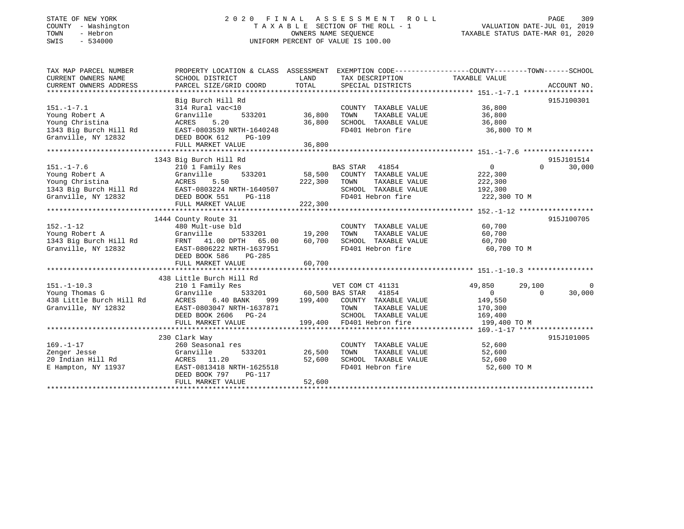## STATE OF NEW YORK 2 0 2 0 F I N A L A S S E S S M E N T R O L L PAGE 309 COUNTY - Washington T A X A B L E SECTION OF THE ROLL - 1 VALUATION DATE-JUL 01, 2019 TOWN - Hebron OWNERS NAME SEQUENCE TAXABLE STATUS DATE-MAR 01, 2020 SWIS - 534000 UNIFORM PERCENT OF VALUE IS 100.00

| SCHOOL DISTRICT<br>PARCEL SIZE/GRID COORD                                                                                                                             | LAND<br>TOTAL                                                                       | TAX DESCRIPTION<br>SPECIAL DISTRICTS                                                       |                                                                                                                                                                       | ACCOUNT NO.                                                                                                                                                                                                                                                               |
|-----------------------------------------------------------------------------------------------------------------------------------------------------------------------|-------------------------------------------------------------------------------------|--------------------------------------------------------------------------------------------|-----------------------------------------------------------------------------------------------------------------------------------------------------------------------|---------------------------------------------------------------------------------------------------------------------------------------------------------------------------------------------------------------------------------------------------------------------------|
| Big Burch Hill Rd<br>314 Rural vac<10<br>533201<br>Granville<br>ACRES<br>5.20<br>EAST-0803539 NRTH-1640248<br>DEED BOOK 612<br><b>PG-109</b>                          | 36,800                                                                              | COUNTY TAXABLE VALUE<br>TOWN<br>TAXABLE VALUE<br>SCHOOL TAXABLE VALUE<br>FD401 Hebron fire | 36,800<br>36,800<br>36,800                                                                                                                                            | 915J100301                                                                                                                                                                                                                                                                |
|                                                                                                                                                                       |                                                                                     |                                                                                            |                                                                                                                                                                       |                                                                                                                                                                                                                                                                           |
| 1343 Big Burch Hill Rd<br>210 1 Family Res<br>Granville<br>533201<br>ACRES<br>5.50<br>EAST-0803224 NRTH-1640507<br>DEED BOOK 551<br>PG-118                            | 222,300                                                                             | COUNTY TAXABLE VALUE<br>TOWN<br>TAXABLE VALUE<br>SCHOOL TAXABLE VALUE<br>FD401 Hebron fire | $\overline{0}$<br>222,300<br>222,300<br>192,300                                                                                                                       | 915J101514<br>$\Omega$<br>30,000                                                                                                                                                                                                                                          |
|                                                                                                                                                                       |                                                                                     |                                                                                            |                                                                                                                                                                       |                                                                                                                                                                                                                                                                           |
| 1444 County Route 31<br>480 Mult-use bld<br>533201<br>Granville<br>FRNT 41.00 DPTH 65.00<br>EAST-0806222 NRTH-1637951<br>DEED BOOK 586<br>PG-285<br>FULL MARKET VALUE | 60,700<br>60,700                                                                    | TAXABLE VALUE<br>TOWN<br>SCHOOL TAXABLE VALUE<br>FD401 Hebron fire                         | 60,700<br>60,700<br>60,700                                                                                                                                            | 915J100705                                                                                                                                                                                                                                                                |
|                                                                                                                                                                       |                                                                                     |                                                                                            |                                                                                                                                                                       |                                                                                                                                                                                                                                                                           |
| 210 1 Family Res<br>י<br>Rd יי<br>Granville<br>6.40 BANK<br>ACRES<br>EAST-0803047 NRTH-1637871<br>DEED BOOK 2606 PG-24<br>FULL MARKET VALUE                           |                                                                                     | TOWN<br>TAXABLE VALUE<br>SCHOOL TAXABLE VALUE                                              | 49,850<br>0<br>149,550<br>170,300                                                                                                                                     | 29,100<br>$\overline{\phantom{0}}$<br>30,000<br>$\Omega$                                                                                                                                                                                                                  |
|                                                                                                                                                                       |                                                                                     |                                                                                            |                                                                                                                                                                       | 915J101005                                                                                                                                                                                                                                                                |
| 260 Seasonal res<br>533201<br>Granville<br>ACRES 11.20<br>EAST-0813418 NRTH-1625518<br>DEED BOOK 797<br>PG-117<br>FULL MARKET VALUE                                   | 52,600<br>52,600                                                                    | COUNTY TAXABLE VALUE<br>TOWN<br>FD401 Hebron fire                                          | 52,600<br>52,600<br>52,600                                                                                                                                            |                                                                                                                                                                                                                                                                           |
|                                                                                                                                                                       | FULL MARKET VALUE<br>FULL MARKET VALUE<br>438 Little Burch Hill Rd<br>230 Clark Way | 36,800<br>36,800<br>222,300                                                                | PROPERTY LOCATION & CLASS ASSESSMENT<br>BAS STAR 41854<br>58,500<br>19,200<br>VET COM CT 41131<br>533201 60,500 BAS STAR 41854<br>199,400 FD401 Hebron fire<br>26,500 | EXEMPTION CODE----------------COUNTY-------TOWN------SCHOOL<br>TAXABLE VALUE<br>36,800 TO M<br>222,300 TO M<br>COUNTY TAXABLE VALUE<br>60,700 TO M<br>999 199,400 COUNTY TAXABLE VALUE<br>169,400<br>199,400 TO M<br>TAXABLE VALUE<br>SCHOOL TAXABLE VALUE<br>52,600 TO M |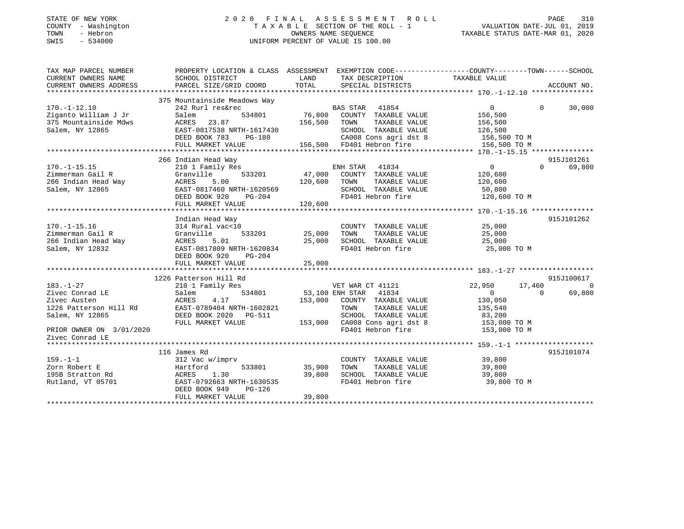## STATE OF NEW YORK 2 0 2 0 F I N A L A S S E S S M E N T R O L L PAGE 310COUNTY - Washington T A X A B L E SECTION OF THE ROLL - 1 VALUATION DATE-JUL 01, 2019 SWIS - 534000 UNIFORM PERCENT OF VALUE IS 100.00

VALUATION DATE-JUL 01, 2019

| TAX MAP PARCEL NUMBER                                                      | PROPERTY LOCATION & CLASS ASSESSMENT EXEMPTION CODE---------------COUNTY-------TOWN------SCHOOL |               |                                                                                 |                        |                              |
|----------------------------------------------------------------------------|-------------------------------------------------------------------------------------------------|---------------|---------------------------------------------------------------------------------|------------------------|------------------------------|
| CURRENT OWNERS NAME                                                        | SCHOOL DISTRICT                                                                                 | LAND          | TAX DESCRIPTION                                                                 | TAXABLE VALUE          |                              |
|                                                                            |                                                                                                 |               |                                                                                 |                        |                              |
|                                                                            |                                                                                                 |               |                                                                                 |                        |                              |
|                                                                            | 375 Mountainside Meadows Way                                                                    |               |                                                                                 |                        |                              |
| $170. - 1 - 12.10$                                                         | 242 Rurl res&rec                                                                                |               |                                                                                 | $\Omega$               | $0 \t 30,000$                |
| Ziganto William J Jr                                                       | Salem                                                                                           |               |                                                                                 | 156,500                |                              |
| 375 Mountainside Mdws                                                      | ACRES 23.87                                                                                     |               | 156,500 TOWN TAXABLE VALUE                                                      |                        |                              |
| Salem, NY 12865                                                            | EAST-0817538 NRTH-1617430                                                                       |               | SCHOOL TAXABLE VALUE                                                            | 156,500<br>126,500     |                              |
|                                                                            | $PG-180$<br>DEED BOOK 783                                                                       |               |                                                                                 |                        |                              |
|                                                                            | FULL MARKET VALUE                                                                               |               |                                                                                 |                        |                              |
|                                                                            |                                                                                                 |               |                                                                                 |                        |                              |
|                                                                            | 266 Indian Head Way                                                                             |               |                                                                                 |                        | 915J101261                   |
| $170. - 1 - 15.15$                                                         | 210 1 Family Res                                                                                |               |                                                                                 | $0 \qquad \qquad$      | 69,800<br>$\Omega$           |
| Zimmerman Gail R                                                           | Granville                                                                                       |               |                                                                                 | 120,600                |                              |
|                                                                            | 5.00                                                                                            | 120,600 TOWN  | TAXABLE VALUE                                                                   | 120,600                |                              |
| 266 Indian Head Way<br>Salem, NY 12865<br>Salem, NY 12865<br>EAST-0        | EAST-0817460 NRTH-1620569                                                                       |               |                                                                                 |                        |                              |
|                                                                            | RTH-1620569<br>PG-204<br>DEED BOOK 920                                                          |               | SCHOOL TAXABLE VALUE<br>FD401 Hebron fire                                       | 50,800<br>120,600 TO M |                              |
|                                                                            | FULL MARKET VALUE                                                                               | 120,600       |                                                                                 |                        |                              |
|                                                                            |                                                                                                 |               |                                                                                 |                        |                              |
|                                                                            | Indian Head Way                                                                                 |               |                                                                                 |                        | 915J101262                   |
| $170. - 1 - 15.16$                                                         | 314 Rural vac<10                                                                                |               | COUNTY TAXABLE VALUE 25,000                                                     |                        |                              |
| Zimmerman Gail R                                                           | Granville<br>533201 25,000                                                                      |               | TAXABLE VALUE<br>TOWN                                                           | 25,000                 |                              |
| 266 Indian Head Way                                                        | ACRES 5.01                                                                                      | 25,000        | SCHOOL TAXABLE VALUE 25,000                                                     |                        |                              |
| Salem, NY 12832                                                            | EAST-0817809 NRTH-1620834                                                                       |               | FD401 Hebron fire                                                               | 25,000 TO M            |                              |
|                                                                            | DEED BOOK 920<br>PG-204                                                                         |               |                                                                                 |                        |                              |
|                                                                            |                                                                                                 | 25,000        |                                                                                 |                        |                              |
|                                                                            | FULL MARKET VALUE                                                                               |               |                                                                                 |                        |                              |
|                                                                            |                                                                                                 |               |                                                                                 |                        |                              |
|                                                                            | 1226 Patterson Hill Rd<br>210 1 Family Res WET WAR CT 41121                                     |               |                                                                                 |                        | 915J100617<br>$\overline{a}$ |
| $183. - 1 - 27$                                                            |                                                                                                 |               |                                                                                 | 22,950<br>17,460       |                              |
| Zivec Conrad LE                                                            | 534801<br>Salem                                                                                 |               | 53,100 ENH STAR 41834                                                           | $\overline{0}$         | 69,800<br>$\overline{0}$     |
| Zivec Austen                                                               | ACRES<br>4.17                                                                                   |               | 153,000 COUNTY TAXABLE VALUE                                                    | 130,050                |                              |
| 1226 Patterson Hill Rd<br>1226 Patterson Hill Rd<br>1226 Patterson Hill Rd |                                                                                                 |               | TAXABLE VALUE<br>TOWN                                                           | 135,540                |                              |
| Salem, NY 12865                                                            | DEED BOOK 2020 PG-511                                                                           |               | G-511 SCHOOL TAXABLE VALUE 83,200<br>153,000 CA008 Cons agri dst 8 153,000 TO M |                        |                              |
|                                                                            | FULL MARKET VALUE                                                                               |               |                                                                                 |                        |                              |
| PRIOR OWNER ON 3/01/2020                                                   |                                                                                                 |               | FD401 Hebron fire 153,000 TO M                                                  |                        |                              |
| Zivec Conrad LE                                                            |                                                                                                 |               |                                                                                 |                        |                              |
|                                                                            |                                                                                                 |               |                                                                                 |                        |                              |
|                                                                            | 116 James Rd                                                                                    |               |                                                                                 |                        | 915J101074                   |
| $159. - 1 - 1$                                                             | 312 Vac w/imprv                                                                                 |               | COUNTY TAXABLE VALUE 39,800                                                     |                        |                              |
| Hartford<br>Zorn Robert E                                                  |                                                                                                 | 533801 35,900 | TOWN                                                                            | TAXABLE VALUE 39,800   |                              |
| 195B Stratton Rd<br>Rutland, VT 05701 EAST-0792663 NRTH-1630535            |                                                                                                 | 39,800        | SCHOOL TAXABLE VALUE 39,800                                                     |                        |                              |
|                                                                            |                                                                                                 |               | FD401 Hebron fire                                                               | 39,800 TO M            |                              |
|                                                                            | DEED BOOK 949<br>PG-126                                                                         |               |                                                                                 |                        |                              |
|                                                                            | FULL MARKET VALUE                                                                               | 39,800        |                                                                                 |                        |                              |
|                                                                            |                                                                                                 |               |                                                                                 |                        |                              |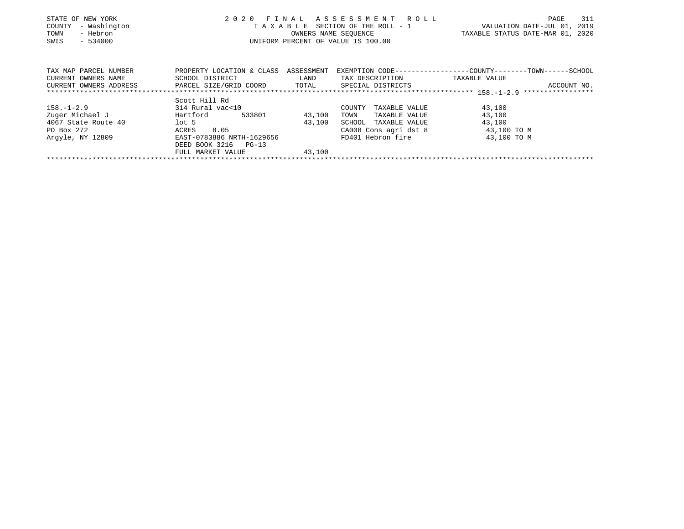| STATE OF NEW YORK                             | 2020                                 |        | FINAL ASSESSMENT ROLL                 | 311<br>PAGE                                                   |
|-----------------------------------------------|--------------------------------------|--------|---------------------------------------|---------------------------------------------------------------|
| - Washington<br>COUNTY                        |                                      |        | T A X A B L E SECTION OF THE ROLL - 1 | VALUATION DATE-JUL 01, 2019                                   |
| TOWN<br>- Hebron                              |                                      |        | OWNERS NAME SEQUENCE                  | TAXABLE STATUS DATE-MAR 01, 2020                              |
| $-534000$<br>SWIS                             |                                      |        | UNIFORM PERCENT OF VALUE IS 100.00    |                                                               |
|                                               |                                      |        |                                       |                                                               |
|                                               |                                      |        |                                       |                                                               |
| TAX MAP PARCEL NUMBER                         | PROPERTY LOCATION & CLASS ASSESSMENT |        |                                       | EXEMPTION CODE-----------------COUNTY--------TOWN------SCHOOL |
|                                               |                                      |        |                                       |                                                               |
| CURRENT OWNERS NAME                           | SCHOOL DISTRICT                      | LAND   | TAX DESCRIPTION                       | TAXABLE VALUE                                                 |
| CURRENT OWNERS ADDRESS PARCEL SIZE/GRID COORD |                                      | TOTAL  | SPECIAL DISTRICTS                     | ACCOUNT NO.                                                   |
|                                               |                                      |        |                                       |                                                               |
|                                               | Scott Hill Rd                        |        |                                       |                                                               |
| 158.-1-2.9                                    | 314 Rural vac<10                     |        | COUNTY<br>TAXABLE VALUE               | 43,100                                                        |
| Zuger Michael J                               | Hartford<br>533801                   | 43,100 | TOWN<br>TAXABLE VALUE                 | 43,100                                                        |
| 4067 State Route 40                           | $1$ ot 5                             | 43,100 | SCHOOL TAXABLE VALUE                  | 43,100                                                        |
| PO Box 272                                    | 8.05<br>ACRES                        |        | CA008 Cons agri dst 8                 | 43,100 TO M                                                   |
| Arqyle, NY 12809                              | EAST-0783886 NRTH-1629656            |        | FD401 Hebron fire                     | 43,100 TO M                                                   |
|                                               | DEED BOOK 3216 PG-13                 |        |                                       |                                                               |
|                                               | FULL MARKET VALUE                    | 43,100 |                                       |                                                               |

\*\*\*\*\*\*\*\*\*\*\*\*\*\*\*\*\*\*\*\*\*\*\*\*\*\*\*\*\*\*\*\*\*\*\*\*\*\*\*\*\*\*\*\*\*\*\*\*\*\*\*\*\*\*\*\*\*\*\*\*\*\*\*\*\*\*\*\*\*\*\*\*\*\*\*\*\*\*\*\*\*\*\*\*\*\*\*\*\*\*\*\*\*\*\*\*\*\*\*\*\*\*\*\*\*\*\*\*\*\*\*\*\*\*\*\*\*\*\*\*\*\*\*\*\*\*\*\*\*\*\*\*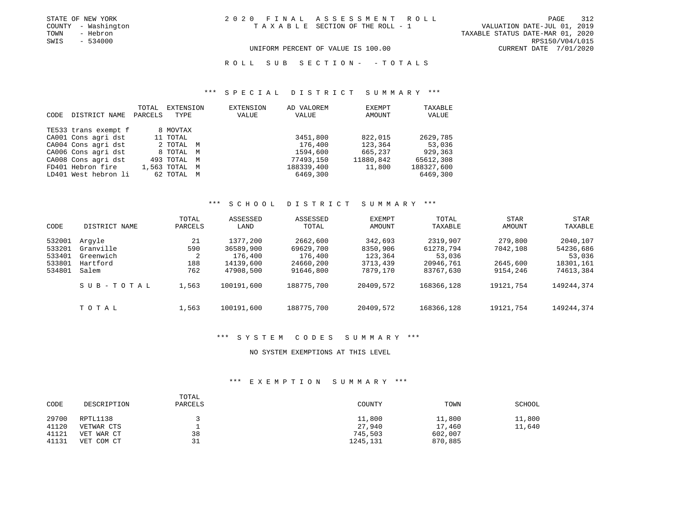TOWN - Hebron TAXABLE STATUS DATE-MAR 01, 2020 UNIFORM PERCENT OF VALUE IS 100.00 CURRENT DATE 7/01/2020

R O L L S U B S E C T I O N - - T O T A L S

#### \*\*\* S P E C I A L D I S T R I C T S U M M A R Y \*\*\*

|      |                      | TOTAL   | EXTENSION     | EXTENSION | AD VALOREM | EXEMPT    | TAXABLE    |
|------|----------------------|---------|---------------|-----------|------------|-----------|------------|
| CODE | DISTRICT NAME        | PARCELS | TYPE          | VALUE     | VALUE      | AMOUNT    | VALUE      |
|      | TE533 trans exempt f |         | 8 MOVTAX      |           |            |           |            |
|      | CA001 Cons agri dst  |         | 11 TOTAL      |           | 3451,800   | 822,015   | 2629,785   |
|      | CA004 Cons agri dst  |         | 2 TOTAL M     |           | 176,400    | 123,364   | 53,036     |
|      | CA006 Cons agri dst  |         | 8 TOTAL M     |           | 1594,600   | 665,237   | 929,363    |
|      | CA008 Cons agri dst  |         | 493 TOTAL M   |           | 77493,150  | 11880,842 | 65612,308  |
|      | FD401 Hebron fire    |         | 1,563 TOTAL M |           | 188339,400 | 11,800    | 188327,600 |
|      | LD401 West hebron li |         | 62 TOTAL M    |           | 6469,300   |           | 6469,300   |

#### \*\*\* S C H O O L D I S T R I C T S U M M A R Y \*\*\*

| CODE                                           | DISTRICT NAME                                         | TOTAL<br>PARCELS             | ASSESSED<br>LAND                                           | ASSESSED<br>TOTAL                                          | EXEMPT<br>AMOUNT                                       | TOTAL<br>TAXABLE                                          | <b>STAR</b><br>AMOUNT                       | STAR<br>TAXABLE                                           |
|------------------------------------------------|-------------------------------------------------------|------------------------------|------------------------------------------------------------|------------------------------------------------------------|--------------------------------------------------------|-----------------------------------------------------------|---------------------------------------------|-----------------------------------------------------------|
| 532001<br>533201<br>533401<br>533801<br>534801 | Arqyle<br>Granville<br>Greenwich<br>Hartford<br>Salem | 21<br>590<br>2<br>188<br>762 | 1377,200<br>36589,900<br>176,400<br>14139,600<br>47908,500 | 2662,600<br>69629,700<br>176,400<br>24660,200<br>91646,800 | 342,693<br>8350,906<br>123,364<br>3713,439<br>7879,170 | 2319,907<br>61278,794<br>53,036<br>20946,761<br>83767,630 | 279,800<br>7042,108<br>2645,600<br>9154,246 | 2040,107<br>54236,686<br>53,036<br>18301,161<br>74613,384 |
|                                                | SUB-TOTAL                                             | 1,563                        | 100191,600                                                 | 188775,700                                                 | 20409,572                                              | 168366,128                                                | 19121,754                                   | 149244,374                                                |
|                                                | TOTAL                                                 | 1,563                        | 100191,600                                                 | 188775,700                                                 | 20409,572                                              | 168366,128                                                | 19121,754                                   | 149244,374                                                |

#### \*\*\* S Y S T E M C O D E S S U M M A R Y \*\*\*

#### NO SYSTEM EXEMPTIONS AT THIS LEVEL

#### \*\*\* E X E M P T I O N S U M M A R Y \*\*\*

| CODE  | DESCRIPTION | TOTAL<br>PARCELS | COUNTY   | TOWN    | SCHOOL |
|-------|-------------|------------------|----------|---------|--------|
| 29700 | RPTL1138    |                  | 11,800   | 11,800  | 11,800 |
| 41120 | VETWAR CTS  |                  | 27,940   | 17,460  | 11,640 |
| 41121 | VET WAR CT  | 38               | 745,503  | 602,007 |        |
| 41131 | VET COM CT  | 31               | 1245,131 | 870,885 |        |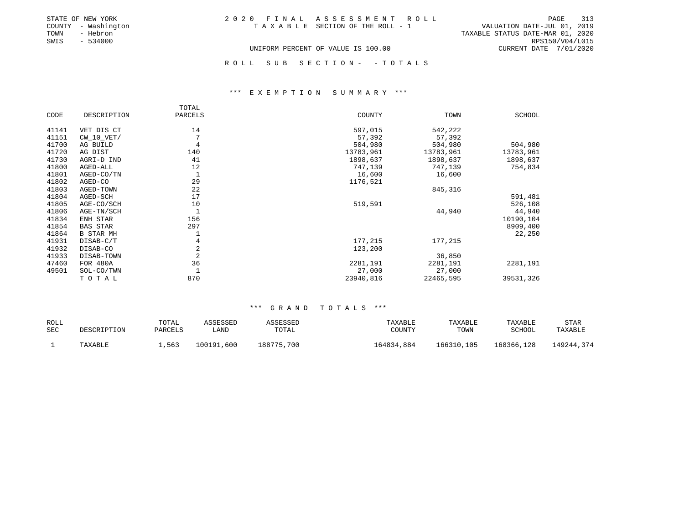|      | STATE OF NEW YORK   | 2020 FINAL ASSESSMENT ROLL         | PAGE                        | 313 |
|------|---------------------|------------------------------------|-----------------------------|-----|
|      | COUNTY - Washington | TAXABLE SECTION OF THE ROLL - 1    | VALUATION DATE-JUL 01, 2019 |     |
| TOWN | - Hebron            | TAXABLE STATUS DATE-MAR 01, 2020   |                             |     |
| SWIS | - 534000            |                                    | RPS150/V04/L015             |     |
|      |                     | UNIFORM PERCENT OF VALUE IS 100.00 | CURRENT DATE 7/01/2020      |     |

ROLL SUB SECTION - - TOTALS

#### \*\*\* E X E M P T I O N S U M M A R Y \*\*\*

|       |                  | TOTAL   |           |           |           |
|-------|------------------|---------|-----------|-----------|-----------|
| CODE  | DESCRIPTION      | PARCELS | COUNTY    | TOWN      | SCHOOL    |
| 41141 | VET DIS CT       | 14      | 597,015   | 542,222   |           |
| 41151 | $CW_10_VET/$     |         | 57,392    | 57,392    |           |
| 41700 | AG BUILD         | 4       | 504,980   | 504,980   | 504,980   |
| 41720 | AG DIST          | 140     | 13783,961 | 13783,961 | 13783,961 |
| 41730 | AGRI-D IND       | 41      | 1898,637  | 1898,637  | 1898,637  |
| 41800 | AGED-ALL         | 12      | 747,139   | 747,139   | 754,834   |
| 41801 | AGED-CO/TN       |         | 16,600    | 16,600    |           |
| 41802 | AGED-CO          | 29      | 1176,521  |           |           |
| 41803 | AGED-TOWN        | 22      |           | 845,316   |           |
| 41804 | AGED-SCH         | 17      |           |           | 591,481   |
| 41805 | AGE-CO/SCH       | 10      | 519,591   |           | 526,108   |
| 41806 | AGE-TN/SCH       |         |           | 44,940    | 44,940    |
| 41834 | ENH STAR         | 156     |           |           | 10190,104 |
| 41854 | <b>BAS STAR</b>  | 297     |           |           | 8909,400  |
| 41864 | <b>B STAR MH</b> |         |           |           | 22,250    |
| 41931 | DISAB-C/T        | 4       | 177,215   | 177,215   |           |
| 41932 | DISAB-CO         | 2       | 123,200   |           |           |
| 41933 | DISAB-TOWN       | 2       |           | 36,850    |           |
| 47460 | FOR 480A         | 36      | 2281,191  | 2281,191  | 2281,191  |
| 49501 | SOL-CO/TWN       |         | 27,000    | 27,000    |           |
|       | TOTAL            | 870     | 23940,816 | 22465,595 | 39531,326 |

| ROLL |             | TOTAL   | ASSESSED   | ASSESSED   | TAXABLE    | TAXABLE    | TAXABLE    | STAR       |
|------|-------------|---------|------------|------------|------------|------------|------------|------------|
| SEC  | DESCRIPTION | PARCELS | LAND       | TOTAL      | COUNTY     | TOWN       | SCHOOL     | TAXABLE    |
|      | TAXABLE     | 1,563   | 100191,600 | 188775,700 | 164834,884 | 166310,105 | 168366,128 | 149244,374 |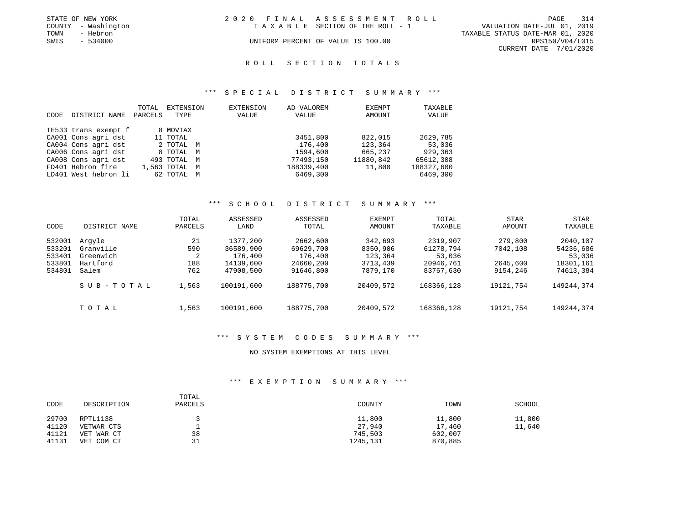|      | STATE OF NEW YORK   | 2020 FINAL ASSESSMENT ROLL         |                                  |                        | PAGE | 314 |
|------|---------------------|------------------------------------|----------------------------------|------------------------|------|-----|
|      | COUNTY - Washington | TAXABLE SECTION OF THE ROLL - 1    | VALUATION DATE-JUL 01, 2019      |                        |      |     |
| TOWN | - Hebron            |                                    | TAXABLE STATUS DATE-MAR 01, 2020 |                        |      |     |
| SWIS | - 534000            | UNIFORM PERCENT OF VALUE IS 100.00 |                                  | RPS150/V04/L015        |      |     |
|      |                     |                                    |                                  | CURRENT DATE 7/01/2020 |      |     |

## ROLL SECTION TOTALS

#### \*\*\* S P E C I A L D I S T R I C T S U M M A R Y \*\*\*

|      |                      | TOTAL   | EXTENSION        | EXTENSION | AD VALOREM | EXEMPT    | TAXABLE    |
|------|----------------------|---------|------------------|-----------|------------|-----------|------------|
| CODE | DISTRICT NAME        | PARCELS | TYPE             | VALUE     | VALUE      | AMOUNT    | VALUE      |
|      |                      |         |                  |           |            |           |            |
|      | TE533 trans exempt f |         | 8 MOVTAX         |           |            |           |            |
|      | CA001 Cons agri dst  |         | 11 TOTAL         |           | 3451,800   | 822,015   | 2629,785   |
|      | CA004 Cons agri dst  |         | 2 TOTAL M        |           | 176,400    | 123,364   | 53,036     |
|      | CA006 Cons agri dst  |         | 8 TOTAL M        |           | 1594,600   | 665,237   | 929,363    |
|      | CA008 Cons agri dst  |         | 493 TOTAL M      |           | 77493,150  | 11880,842 | 65612,308  |
|      | FD401 Hebron fire    |         | 1,563 TOTAL<br>M |           | 188339,400 | 11,800    | 188327,600 |
|      | LD401 West hebron li |         | 62 TOTAL<br>M    |           | 6469,300   |           | 6469,300   |

#### \*\*\* S C H O O L D I S T R I C T S U M M A R Y \*\*\*

| CODE                                           | DISTRICT NAME                                         | TOTAL<br>PARCELS             | ASSESSED<br>LAND                                           | ASSESSED<br>TOTAL                                          | EXEMPT<br>AMOUNT                                       | TOTAL<br>TAXABLE                                          | <b>STAR</b><br>AMOUNT                       | STAR<br>TAXABLE                                           |
|------------------------------------------------|-------------------------------------------------------|------------------------------|------------------------------------------------------------|------------------------------------------------------------|--------------------------------------------------------|-----------------------------------------------------------|---------------------------------------------|-----------------------------------------------------------|
| 532001<br>533201<br>533401<br>533801<br>534801 | Arqyle<br>Granville<br>Greenwich<br>Hartford<br>Salem | 21<br>590<br>2<br>188<br>762 | 1377,200<br>36589,900<br>176,400<br>14139,600<br>47908,500 | 2662,600<br>69629,700<br>176,400<br>24660,200<br>91646,800 | 342,693<br>8350,906<br>123,364<br>3713,439<br>7879,170 | 2319,907<br>61278,794<br>53,036<br>20946,761<br>83767,630 | 279,800<br>7042,108<br>2645,600<br>9154,246 | 2040,107<br>54236,686<br>53,036<br>18301,161<br>74613,384 |
|                                                | SUB-TOTAL                                             | 1,563                        | 100191,600                                                 | 188775,700                                                 | 20409,572                                              | 168366,128                                                | 19121,754                                   | 149244,374                                                |
|                                                | TOTAL                                                 | 1,563                        | 100191,600                                                 | 188775,700                                                 | 20409,572                                              | 168366,128                                                | 19121,754                                   | 149244,374                                                |

#### \*\*\* S Y S T E M C O D E S S U M M A R Y \*\*\*

#### NO SYSTEM EXEMPTIONS AT THIS LEVEL

### \*\*\* E X E M P T I O N S U M M A R Y \*\*\*

| CODE  | DESCRIPTION | TOTAL<br>PARCELS | COUNTY   | TOWN    | SCHOOL |
|-------|-------------|------------------|----------|---------|--------|
| 29700 | RPTL1138    |                  | 11,800   | 11,800  | 11,800 |
| 41120 | VETWAR CTS  |                  | 27,940   | 17,460  | 11,640 |
| 41121 | VET WAR CT  | 38               | 745,503  | 602,007 |        |
| 41131 | VET COM CT  | 31               | 1245,131 | 870,885 |        |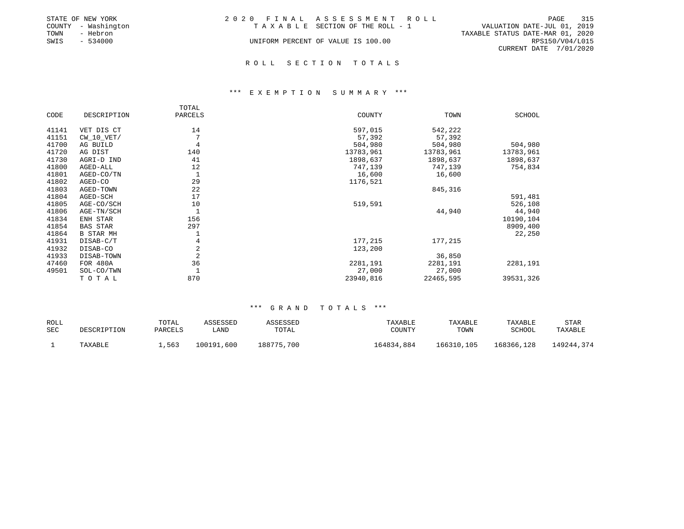|      | STATE OF NEW YORK   | 2020 FINAL ASSESSMENT ROLL         |                                  |                        | PAGE | 315 |
|------|---------------------|------------------------------------|----------------------------------|------------------------|------|-----|
|      | COUNTY - Washington | TAXABLE SECTION OF THE ROLL - 1    | VALUATION DATE-JUL 01, 2019      |                        |      |     |
| TOWN | - Hebron            |                                    | TAXABLE STATUS DATE-MAR 01, 2020 |                        |      |     |
| SWIS | $-534000$           | UNIFORM PERCENT OF VALUE IS 100.00 |                                  | RPS150/V04/L015        |      |     |
|      |                     |                                    |                                  | CURRENT DATE 7/01/2020 |      |     |
|      |                     |                                    |                                  |                        |      |     |

#### R O L L S E C T I O N T O T A L S

#### \*\*\* E X E M P T I O N S U M M A R Y \*\*\*

|       |                  | TOTAL   |           |           |               |
|-------|------------------|---------|-----------|-----------|---------------|
| CODE  | DESCRIPTION      | PARCELS | COUNTY    | TOWN      | <b>SCHOOL</b> |
| 41141 | VET DIS CT       | 14      | 597,015   | 542,222   |               |
| 41151 | $CW_10_VET/$     |         | 57,392    | 57,392    |               |
| 41700 | AG BUILD         | 4       | 504,980   | 504,980   | 504,980       |
| 41720 | AG DIST          | 140     | 13783,961 | 13783,961 | 13783,961     |
| 41730 | AGRI-D IND       | 41      | 1898,637  | 1898,637  | 1898,637      |
| 41800 | AGED-ALL         | 12      | 747,139   | 747,139   | 754,834       |
| 41801 | AGED-CO/TN       | 1       | 16,600    | 16,600    |               |
| 41802 | AGED-CO          | 29      | 1176,521  |           |               |
| 41803 | AGED-TOWN        | 22      |           | 845,316   |               |
| 41804 | AGED-SCH         | 17      |           |           | 591,481       |
| 41805 | AGE-CO/SCH       | 10      | 519,591   |           | 526,108       |
| 41806 | AGE-TN/SCH       |         |           | 44,940    | 44,940        |
| 41834 | ENH STAR         | 156     |           |           | 10190,104     |
| 41854 | <b>BAS STAR</b>  | 297     |           |           | 8909,400      |
| 41864 | <b>B STAR MH</b> |         |           |           | 22,250        |
| 41931 | DISAB-C/T        | 4       | 177,215   | 177,215   |               |
| 41932 | DISAB-CO         | 2       | 123,200   |           |               |
| 41933 | DISAB-TOWN       | 2       |           | 36,850    |               |
| 47460 | FOR 480A         | 36      | 2281,191  | 2281,191  | 2281,191      |
| 49501 | SOL-CO/TWN       |         | 27,000    | 27,000    |               |
|       | TOTAL            | 870     | 23940,816 | 22465,595 | 39531,326     |

| ROLL |             | TOTAL   | ASSESSED   | ASSESSED   | TAXABLE    | TAXABLE    | TAXABLE    | STAR       |
|------|-------------|---------|------------|------------|------------|------------|------------|------------|
| SEC  | DESCRIPTION | PARCELS | ∟AND       | TOTAL      | COUNTY     | TOWN       | SCHOOL     | TAXABLE    |
|      | TAXABLE     | 1,563   | 100191,600 | 188775,700 | 164834,884 | 166310,105 | 168366,128 | 149244,374 |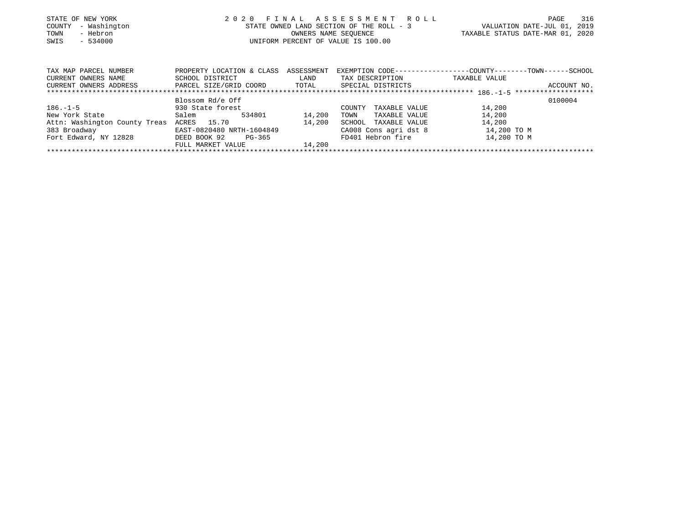| STATE OF NEW YORK<br>COUNTY - Washington<br>- Hebron<br>TOWN<br>$-534000$<br>SWIS | 2020 FINAL ASSESSMENT ROLL                                                                | STATE OWNED LAND SECTION OF THE ROLL - 3<br>OWNERS NAME SEOUENCE<br>UNIFORM PERCENT OF VALUE IS 100.00 | VALUATION DATE-JUL 01, 2019<br>TAXABLE STATUS DATE-MAR 01, 2020 | PAGE | 316      |
|-----------------------------------------------------------------------------------|-------------------------------------------------------------------------------------------|--------------------------------------------------------------------------------------------------------|-----------------------------------------------------------------|------|----------|
| TAX MAP PARCEL NUMBER                                                             | PROPERTY LOCATION & CLASS ASSESSMENT EXEMPTION CODE----------------COUNTY-------TOWN----- |                                                                                                        |                                                                 |      | --SCHOOL |

| CURRENT OWNERS NAME           | SCHOOL DISTRICT           | LAND   | TAX DESCRIPTION         | TAXABLE VALUE |
|-------------------------------|---------------------------|--------|-------------------------|---------------|
| CURRENT OWNERS ADDRESS        | PARCEL SIZE/GRID COORD    | TOTAL  | SPECIAL DISTRICTS       | ACCOUNT NO.   |
|                               |                           |        |                         |               |
|                               | Blossom Rd/e Off          |        |                         | 0100004       |
| $186. - 1 - 5$                | 930 State forest          |        | TAXABLE VALUE<br>COUNTY | 14,200        |
| New York State                | Salem<br>534801           | 14,200 | TAXABLE VALUE<br>TOWN   | 14,200        |
| Attn: Washington County Treas | ACRES 15.70               | 14,200 | SCHOOL<br>TAXABLE VALUE | 14,200        |
| 383 Broadway                  | EAST-0820480 NRTH-1604849 |        | CA008 Cons agri dst 8   | 14,200 TO M   |
| Fort Edward, NY 12828         | DEED BOOK 92<br>PG-365    |        | FD401 Hebron fire       | 14,200 TO M   |
|                               | FULL MARKET VALUE         | 14,200 |                         |               |
|                               |                           |        |                         |               |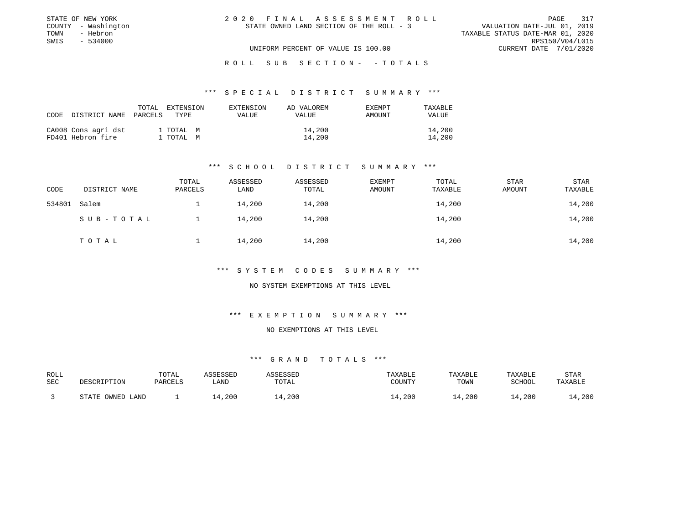| STATE OF NEW YORK   | 2020 FINAL ASSESSMENT ROLL               | 317<br>PAGE                      |
|---------------------|------------------------------------------|----------------------------------|
| COUNTY - Washington | STATE OWNED LAND SECTION OF THE ROLL - 3 | VALUATION DATE-JUL 01, 2019      |
| TOWN<br>- Hebron    |                                          | TAXABLE STATUS DATE-MAR 01, 2020 |
| SWIS<br>$-534000$   |                                          | RPS150/V04/L015                  |
|                     | UNIFORM PERCENT OF VALUE IS 100.00       | CURRENT DATE 7/01/2020           |

#### ROLL SUB SECTION - - TOTALS

#### \*\*\* S P E C I A L D I S T R I C T S U M M A R Y \*\*\*

| CODE DISTRICT NAME                       | TOTAL<br>PARCELS | <b>EXTENSION</b><br>TYPE. | EXTENSION<br>VALUE | AD VALOREM<br>VALUE | EXEMPT<br>AMOUNT | TAXABLE<br><b>VALUE</b> |
|------------------------------------------|------------------|---------------------------|--------------------|---------------------|------------------|-------------------------|
| CA008 Cons agri dst<br>FD401 Hebron fire |                  | 1 TOTAL M<br>l TOTAL M    |                    | 14,200<br>14,200    |                  | 14,200<br>14,200        |

### \*\*\* S C H O O L D I S T R I C T S U M M A R Y \*\*\*

| CODE   | DISTRICT NAME | TOTAL<br>PARCELS | ASSESSED<br>LAND | ASSESSED<br>TOTAL | EXEMPT<br>AMOUNT | TOTAL<br>TAXABLE | <b>STAR</b><br>AMOUNT | STAR<br>TAXABLE |
|--------|---------------|------------------|------------------|-------------------|------------------|------------------|-----------------------|-----------------|
| 534801 | Salem         |                  | 14,200           | 14,200            |                  | 14,200           |                       | 14,200          |
|        | SUB-TOTAL     |                  | 14,200           | 14,200            |                  | 14,200           |                       | 14,200          |
|        | TOTAL         |                  | 14,200           | 14,200            |                  | 14,200           |                       | 14,200          |

#### \*\*\* S Y S T E M C O D E S S U M M A R Y \*\*\*

#### NO SYSTEM EXEMPTIONS AT THIS LEVEL

### \*\*\* E X E M P T I O N S U M M A R Y \*\*\*

#### NO EXEMPTIONS AT THIS LEVEL

| ROLL |                  | TOTAL   | ASSESSED | ASSESSED | TAXABLE                | TAXABLE | TAXABLE       | STAR    |
|------|------------------|---------|----------|----------|------------------------|---------|---------------|---------|
| SEC  | DESCRIPTION      | PARCELS | LAND     | TOTAL    | COUNTY                 | TOWN    | <b>SCHOOL</b> | TAXABLE |
|      | STATE OWNED LAND |         | 14,200   | ⊥4,200   | .200<br>$\overline{4}$ | 14,200  | 14,200        | 14,200  |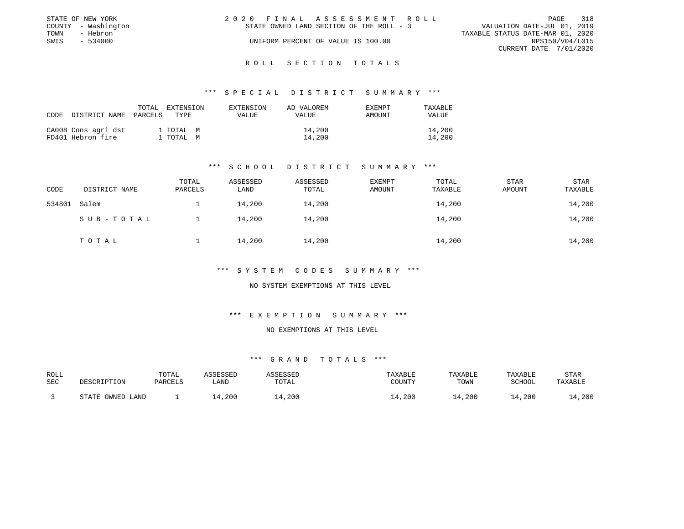|      | STATE OF NEW YORK   | 2020 FINAL ASSESSMENT ROLL               | 318<br>PAGE                      |
|------|---------------------|------------------------------------------|----------------------------------|
|      | COUNTY - Washington | STATE OWNED LAND SECTION OF THE ROLL - 3 | VALUATION DATE-JUL 01, 2019      |
| TOWN | - Hebron            |                                          | TAXABLE STATUS DATE-MAR 01, 2020 |
| SWIS | $-534000$           | UNIFORM PERCENT OF VALUE IS 100.00       | RPS150/V04/L015                  |
|      |                     |                                          | CURRENT DATE 7/01/2020           |

#### R O L L S E C T I O N T O T A L S

#### \*\*\* S P E C I A L D I S T R I C T S U M M A R Y \*\*\*

| CODE | DISTRICT NAME                            | TOTAL<br>PARCELS | EXTENSION<br>TYPE.     | EXTENSION<br>VALUE | AD VALOREM<br>VALUE | <b>EXEMPT</b><br>AMOUNT | TAXABLE<br><b>VALUE</b> |
|------|------------------------------------------|------------------|------------------------|--------------------|---------------------|-------------------------|-------------------------|
|      | CA008 Cons agri dst<br>FD401 Hebron fire |                  | 1 TOTAL M<br>1 TOTAL M |                    | 14,200<br>14,200    |                         | 14,200<br>14,200        |

### \*\*\* S C H O O L D I S T R I C T S U M M A R Y \*\*\*

| CODE   | DISTRICT NAME | TOTAL<br>PARCELS | ASSESSED<br>LAND | ASSESSED<br>TOTAL | EXEMPT<br>AMOUNT | TOTAL<br>TAXABLE | STAR<br>AMOUNT | STAR<br>TAXABLE |
|--------|---------------|------------------|------------------|-------------------|------------------|------------------|----------------|-----------------|
| 534801 | Salem         |                  | 14,200           | 14,200            |                  | 14,200           |                | 14,200          |
|        | SUB-TOTAL     |                  | 14,200           | 14,200            |                  | 14,200           |                | 14,200          |
|        | TOTAL         |                  | 14,200           | 14,200            |                  | 14,200           |                | 14,200          |

#### \*\*\* S Y S T E M C O D E S S U M M A R Y \*\*\*

#### NO SYSTEM EXEMPTIONS AT THIS LEVEL

### \*\*\* E X E M P T I O N S U M M A R Y \*\*\*

#### NO EXEMPTIONS AT THIS LEVEL

| ROLL |                  | TOTAL   | ASSESSED | ASSESSED | TAXABLE                | TAXABLE | TAXABLE       | STAR    |
|------|------------------|---------|----------|----------|------------------------|---------|---------------|---------|
| SEC  | DESCRIPTION      | PARCELS | LAND     | TOTAL    | COUNTY                 | TOWN    | <b>SCHOOL</b> | TAXABLE |
|      | STATE OWNED LAND |         | 14,200   | ⊥4,200   | .200<br>$\overline{4}$ | 14,200  | 14,200        | 14,200  |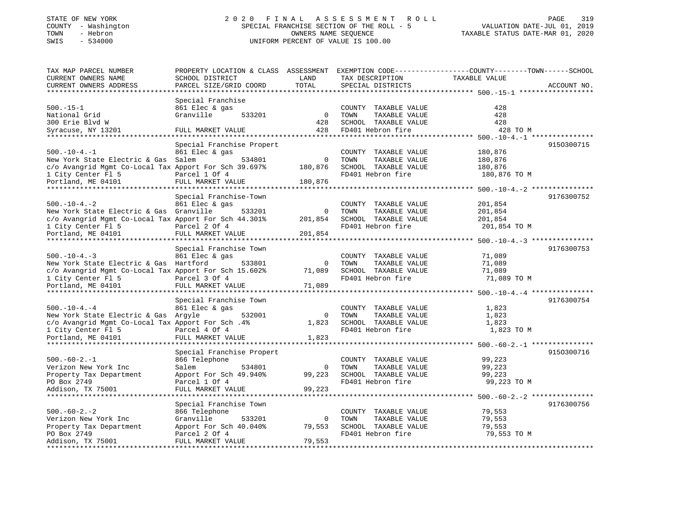## STATE OF NEW YORK 2 0 2 0 F I N A L A S S E S S M E N T R O L L PAGE 319 COUNTY - Washington SPECIAL FRANCHISE SECTION OF THE ROLL - 5 VALUATION DATE-JUL 01, 2019 TOWN - Hebron OWNERS NAME SEQUENCE TAXABLE STATUS DATE-MAR 01, 2020 SWIS - 534000 UNIFORM PERCENT OF VALUE IS 100.00

| TAX MAP PARCEL NUMBER                                 | PROPERTY LOCATION & CLASS ASSESSMENT EXEMPTION CODE----------------COUNTY-------TOWN-----SCHOOL |                |                       |                                                    |             |
|-------------------------------------------------------|-------------------------------------------------------------------------------------------------|----------------|-----------------------|----------------------------------------------------|-------------|
| CURRENT OWNERS NAME                                   | SCHOOL DISTRICT                                                                                 | LAND           | TAX DESCRIPTION       | TAXABLE VALUE                                      |             |
| CURRENT OWNERS ADDRESS                                | PARCEL SIZE/GRID COORD                                                                          | TOTAL          | SPECIAL DISTRICTS     |                                                    | ACCOUNT NO. |
|                                                       |                                                                                                 |                |                       |                                                    |             |
|                                                       | Special Franchise                                                                               |                |                       |                                                    |             |
| $500.-15-1$                                           | 861 Elec & gas                                                                                  |                | COUNTY TAXABLE VALUE  | 428                                                |             |
| National Grid                                         | Granville<br>533201                                                                             | $\overline{0}$ | TOWN<br>TAXABLE VALUE | 428                                                |             |
| 300 Erie Blvd W                                       |                                                                                                 | 428            | SCHOOL TAXABLE VALUE  | 428                                                |             |
| Syracuse, NY 13201                                    | FULL MARKET VALUE                                                                               | 428            | FD401 Hebron fire     | 428 TO M                                           |             |
| ****************************                          | **********************                                                                          |                |                       |                                                    |             |
|                                                       | Special Franchise Propert                                                                       |                |                       |                                                    | 9150300715  |
| $500. - 10 - 4. - 1$                                  | 861 Elec & gas                                                                                  |                | COUNTY TAXABLE VALUE  | 180,876                                            |             |
| New York State Electric & Gas Salem                   | 534801                                                                                          | $\Omega$       | TOWN<br>TAXABLE VALUE | 180,876                                            |             |
| c/o Avangrid Mgmt Co-Local Tax Apport For Sch 39.697% |                                                                                                 | 180,876        | SCHOOL TAXABLE VALUE  | 180,876                                            |             |
| 1 City Center Fl 5                                    | Parcel 1 Of 4                                                                                   |                | FD401 Hebron fire     | 180,876 TO M                                       |             |
| Portland, ME 04101                                    | FULL MARKET VALUE                                                                               | 180,876        |                       |                                                    |             |
|                                                       |                                                                                                 |                |                       |                                                    |             |
|                                                       | Special Franchise-Town                                                                          |                |                       |                                                    | 9176300752  |
| $500. - 10 - 4. - 2$                                  | 861 Elec & gas                                                                                  |                | COUNTY TAXABLE VALUE  | 201,854                                            |             |
| New York State Electric & Gas Granville               | 533201                                                                                          | $\mathbf 0$    | TOWN<br>TAXABLE VALUE | 201,854                                            |             |
| c/o Avangrid Mgmt Co-Local Tax Apport For Sch 44.301% |                                                                                                 | 201,854        | SCHOOL TAXABLE VALUE  | 201,854                                            |             |
| 1 City Center Fl 5                                    | Parcel 2 Of 4                                                                                   |                | FD401 Hebron fire     | 201,854 TO M                                       |             |
| Portland, ME 04101                                    | FULL MARKET VALUE                                                                               | 201,854        |                       |                                                    |             |
|                                                       |                                                                                                 |                |                       |                                                    |             |
|                                                       | Special Franchise Town                                                                          |                |                       |                                                    | 9176300753  |
| $500. -10 - 4. -3$                                    | 861 Elec & gas                                                                                  |                | COUNTY TAXABLE VALUE  | 71,089                                             |             |
| New York State Electric & Gas Hartford                | 533801                                                                                          | 0              | TOWN<br>TAXABLE VALUE | 71,089                                             |             |
| c/o Avangrid Mgmt Co-Local Tax Apport For Sch 15.602% |                                                                                                 | 71,089         | SCHOOL TAXABLE VALUE  | 71,089                                             |             |
| 1 City Center Fl 5                                    | Parcel 3 Of 4                                                                                   |                | FD401 Hebron fire     | 71,089 TO M                                        |             |
| Portland, ME 04101                                    | FULL MARKET VALUE                                                                               | 71,089         |                       |                                                    |             |
|                                                       |                                                                                                 |                |                       | ********************************* 500.-10-4.-4 *** |             |
|                                                       | Special Franchise Town                                                                          |                |                       |                                                    | 9176300754  |
| $500. - 10 - 4. - 4$                                  | 861 Elec & gas                                                                                  |                | COUNTY TAXABLE VALUE  | 1,823                                              |             |
| New York State Electric & Gas Argyle                  | 532001                                                                                          | $\mathbf{0}$   | TAXABLE VALUE<br>TOWN | 1,823                                              |             |
| c/o Avangrid Mgmt Co-Local Tax Apport For Sch. 4%     |                                                                                                 | 1,823          | SCHOOL TAXABLE VALUE  | 1,823                                              |             |
| 1 City Center Fl 5                                    | Parcel 4 Of 4                                                                                   |                | FD401 Hebron fire     | 1,823 TO M                                         |             |
| Portland, ME 04101                                    | FULL MARKET VALUE                                                                               | 1,823          |                       |                                                    |             |
|                                                       |                                                                                                 |                |                       |                                                    |             |
|                                                       | Special Franchise Propert                                                                       |                |                       |                                                    | 9150300716  |
| $500. -60 - 2. -1$                                    | 866 Telephone                                                                                   |                | COUNTY TAXABLE VALUE  | 99,223                                             |             |
| Verizon New York Inc                                  | 534801<br>Salem                                                                                 | $\circ$        | TAXABLE VALUE<br>TOWN | 99,223                                             |             |
| Property Tax Department                               | Apport For Sch 49.940%                                                                          | 99,223         | SCHOOL TAXABLE VALUE  | 99,223                                             |             |
| PO Box 2749                                           | Parcel 1 Of 4                                                                                   |                | FD401 Hebron fire     | 99,223 TO M                                        |             |
| Addison, TX 75001                                     | FULL MARKET VALUE                                                                               | 99,223         |                       |                                                    |             |
|                                                       |                                                                                                 |                |                       |                                                    |             |
|                                                       | Special Franchise Town                                                                          |                |                       |                                                    | 9176300756  |
| $500. -60 - 2. - 2$                                   | 866 Telephone                                                                                   |                | COUNTY TAXABLE VALUE  | 79,553                                             |             |
| Verizon New York Inc                                  | Granville<br>533201                                                                             | $\mathbf 0$    | TAXABLE VALUE<br>TOWN | 79,553                                             |             |
| Property Tax Department                               | Apport For Sch 40.040%                                                                          | 79,553         | SCHOOL TAXABLE VALUE  | 79,553                                             |             |
| PO Box 2749                                           | Parcel 2 Of 4                                                                                   |                | FD401 Hebron fire     | 79,553 TO M                                        |             |
| Addison, TX 75001                                     | FULL MARKET VALUE                                                                               | 79,553         |                       |                                                    |             |
|                                                       |                                                                                                 |                |                       |                                                    |             |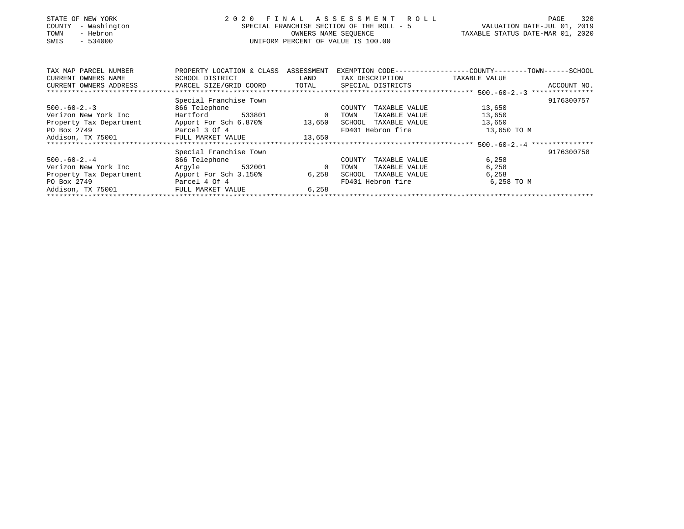| STATE OF NEW YORK<br>- Washington<br>COUNTY<br>- Hebron<br>TOWN<br>SWIS<br>$-534000$ | 2 0 2 0<br>FINAL ASSESSMENT ROLL<br>SPECIAL FRANCHISE SECTION OF THE ROLL - 5<br>UNIFORM PERCENT OF VALUE IS 100.00 | 320<br>PAGE<br>VALUATION DATE-JUL 01, 2019<br>TAXABLE STATUS DATE-MAR 01, 2020 |                         |                                                                               |
|--------------------------------------------------------------------------------------|---------------------------------------------------------------------------------------------------------------------|--------------------------------------------------------------------------------|-------------------------|-------------------------------------------------------------------------------|
| TAX MAP PARCEL NUMBER<br>CURRENT OWNERS NAME                                         | PROPERTY LOCATION & CLASS ASSESSMENT<br>SCHOOL DISTRICT                                                             | LAND                                                                           | TAX DESCRIPTION         | EXEMPTION CODE-----------------COUNTY-------TOWN------SCHOOL<br>TAXABLE VALUE |
| CURRENT OWNERS ADDRESS                                                               | PARCEL SIZE/GRID COORD                                                                                              | TOTAL                                                                          | SPECIAL DISTRICTS       | ACCOUNT NO.                                                                   |
|                                                                                      |                                                                                                                     |                                                                                |                         |                                                                               |
|                                                                                      | Special Franchise Town                                                                                              |                                                                                |                         | 9176300757                                                                    |
| $500. -60 - 2. -3$                                                                   | 866 Telephone                                                                                                       |                                                                                | TAXABLE VALUE<br>COUNTY | 13,650                                                                        |
| Verizon New York Inc                                                                 | Hartford<br>533801                                                                                                  | $\overline{0}$                                                                 | TOWN<br>TAXABLE VALUE   | 13,650                                                                        |
| Property Tax Department Apport For Sch 6.870% 13,650                                 |                                                                                                                     |                                                                                | SCHOOL TAXABLE VALUE    | 13,650                                                                        |
| PO Box 2749<br>Parcel 3 Of 4                                                         |                                                                                                                     |                                                                                | FD401 Hebron fire       | 13,650 TO M                                                                   |
| Addison, TX 75001 FULL MARKET VALUE 13,650                                           |                                                                                                                     |                                                                                |                         |                                                                               |
|                                                                                      |                                                                                                                     |                                                                                |                         |                                                                               |
|                                                                                      | Special Franchise Town                                                                                              |                                                                                |                         | 9176300758                                                                    |
| $500. -60 - 2. -4$                                                                   | 866 Telephone                                                                                                       |                                                                                | TAXABLE VALUE<br>COUNTY | 6,258                                                                         |
| Verizon New York Inc                                                                 | 532001<br>Argyle                                                                                                    | 0                                                                              | TAXABLE VALUE<br>TOWN   | 6,258                                                                         |
| Property Tax Department                                                              | Apport For Sch 3.150%                                                                                               | 6,258                                                                          | SCHOOL<br>TAXABLE VALUE | 6,258                                                                         |
| PO Box 2749                                                                          | Parcel 4 Of 4                                                                                                       |                                                                                | FD401 Hebron fire       | 6,258 TO M                                                                    |
| Addison, TX 75001                                                                    | FULL MARKET VALUE                                                                                                   |                                                                                |                         |                                                                               |
|                                                                                      |                                                                                                                     |                                                                                |                         |                                                                               |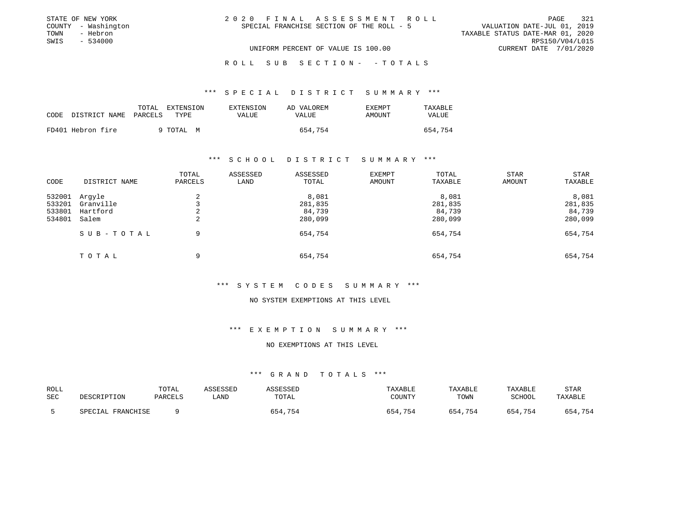| STATE OF NEW YORK   | 2020 FINAL ASSESSMENT ROLL                | 321<br>PAGE                      |
|---------------------|-------------------------------------------|----------------------------------|
| COUNTY - Washington | SPECIAL FRANCHISE SECTION OF THE ROLL - 5 | VALUATION DATE-JUL 01, 2019      |
| TOWN<br>- Hebron    |                                           | TAXABLE STATUS DATE-MAR 01, 2020 |
| SWIS<br>$-534000$   |                                           | RPS150/V04/L015                  |
|                     | UNIFORM PERCENT OF VALUE IS 100.00        | CURRENT DATE 7/01/2020           |

ROLL SUB SECTION - - TOTALS

#### \*\*\* S P E C I A L D I S T R I C T S U M M A R Y \*\*\*

| CODE | DISTRICT NAME     | TOTAL<br>EXTENSION<br>PARCELS<br>TYPE. | EXTENSION<br>VALUE | AD VALOREM<br>VALUE | EXEMPT<br>AMOUNT | TAXABLE<br>VALUE |
|------|-------------------|----------------------------------------|--------------------|---------------------|------------------|------------------|
|      |                   |                                        |                    |                     |                  |                  |
|      | FD401 Hebron fire | 9 TOTAL M                              |                    | 654,754             |                  | 654,754          |

#### \*\*\* S C H O O L D I S T R I C T S U M M A R Y \*\*\*

| CODE                                 | DISTRICT NAME                            | TOTAL<br>PARCELS                    | ASSESSED<br>LAND | ASSESSED<br>TOTAL                     | EXEMPT<br>AMOUNT | TOTAL<br>TAXABLE                      | <b>STAR</b><br>AMOUNT | STAR<br>TAXABLE                       |
|--------------------------------------|------------------------------------------|-------------------------------------|------------------|---------------------------------------|------------------|---------------------------------------|-----------------------|---------------------------------------|
| 532001<br>533201<br>533801<br>534801 | Argyle<br>Granville<br>Hartford<br>Salem | $\sim$<br>$\epsilon$<br>$\sim$<br>4 |                  | 8,081<br>281,835<br>84,739<br>280,099 |                  | 8,081<br>281,835<br>84,739<br>280,099 |                       | 8,081<br>281,835<br>84,739<br>280,099 |
|                                      | SUB-TOTAL                                | 9                                   |                  | 654,754                               |                  | 654,754                               |                       | 654,754                               |
|                                      | TOTAL                                    | 9                                   |                  | 654,754                               |                  | 654,754                               |                       | 654,754                               |

#### \*\*\* S Y S T E M C O D E S S U M M A R Y \*\*\*

#### NO SYSTEM EXEMPTIONS AT THIS LEVEL

#### \*\*\* E X E M P T I O N S U M M A R Y \*\*\*

#### NO EXEMPTIONS AT THIS LEVEL

| ROLL<br>SEC | DESCRIPTION       | TOTAL<br>PARCELS | ASSESSED<br>LAND | TOTAL       | TAXABLE<br>COUNTY | TAXABLE<br>TOWN | TAXABLE<br><b>SCHOOL</b> | STAR<br>TAXABLE |
|-------------|-------------------|------------------|------------------|-------------|-------------------|-----------------|--------------------------|-----------------|
|             | SPECIAL FRANCHISE |                  |                  | 754<br>554. | 754<br>654        | .754<br>654     | 654,754                  | 654 754         |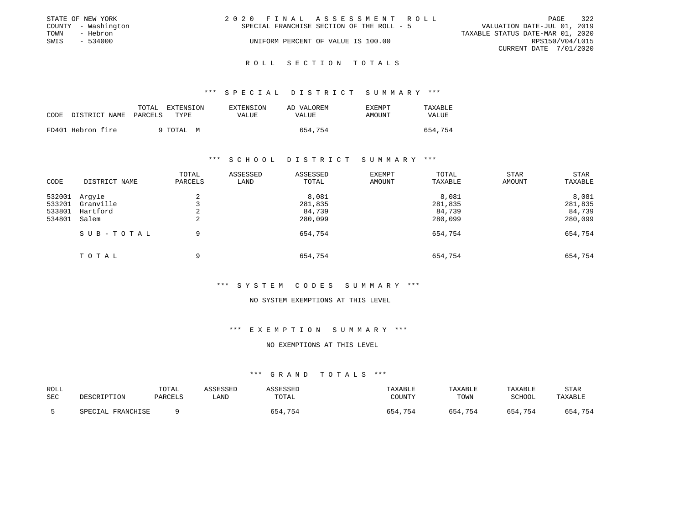|      | STATE OF NEW YORK   | 2020 FINAL ASSESSMENT ROLL                | 322<br>PAGE                      |
|------|---------------------|-------------------------------------------|----------------------------------|
|      | COUNTY - Washington | SPECIAL FRANCHISE SECTION OF THE ROLL - 5 | VALUATION DATE-JUL 01, 2019      |
| TOWN | - Hebron            |                                           | TAXABLE STATUS DATE-MAR 01, 2020 |
| SWIS | $-534000$           | UNIFORM PERCENT OF VALUE IS 100.00        | RPS150/V04/L015                  |
|      |                     |                                           | CURRENT DATE 7/01/2020           |

#### R O L L S E C T I O N T O T A L S

#### \*\*\* S P E C I A L D I S T R I C T S U M M A R Y \*\*\*

|      |                       | TOTAL | EXTENSION | EXTENSION | AD VALOREM | EXEMPT | TAXABLE |
|------|-----------------------|-------|-----------|-----------|------------|--------|---------|
| CODE | DISTRICT NAME PARCELS |       | TYPE      | VALUE     | VALUE      | AMOUNT | VALUE   |
|      | FD401 Hebron fire     |       | 9 TOTAL M |           | 654,754    |        | 654,754 |

#### \*\*\* S C H O O L D I S T R I C T S U M M A R Y \*\*\*

| CODE                                 | DISTRICT NAME                            | TOTAL<br>PARCELS | ASSESSED<br>LAND | ASSESSED<br>TOTAL                     | EXEMPT<br>AMOUNT | TOTAL<br>TAXABLE                      | <b>STAR</b><br>AMOUNT | STAR<br>TAXABLE                       |
|--------------------------------------|------------------------------------------|------------------|------------------|---------------------------------------|------------------|---------------------------------------|-----------------------|---------------------------------------|
| 532001<br>533201<br>533801<br>534801 | Argyle<br>Granville<br>Hartford<br>Salem | $\sim$<br>∠<br>2 |                  | 8,081<br>281,835<br>84,739<br>280,099 |                  | 8,081<br>281,835<br>84,739<br>280,099 |                       | 8,081<br>281,835<br>84,739<br>280,099 |
|                                      | SUB-TOTAL                                | 9                |                  | 654,754                               |                  | 654,754                               |                       | 654,754                               |
|                                      | TOTAL                                    | 9                |                  | 654,754                               |                  | 654,754                               |                       | 654,754                               |

### \*\*\* S Y S T E M C O D E S S U M M A R Y \*\*\*

#### NO SYSTEM EXEMPTIONS AT THIS LEVEL

#### \*\*\* E X E M P T I O N S U M M A R Y \*\*\*

#### NO EXEMPTIONS AT THIS LEVEL

| ROLL<br>SEC | DESCRIPTION          | TOTAL<br>PARCELS | <i><b>SSESSEL</b></i><br>∟AND | שפספ<br>TOTAL | TAXABLE<br>TOUNTY | TAXABLE<br>TOWN | TAXABLE<br>SCHOOL | <b>STAR</b><br>TAXABLE |
|-------------|----------------------|------------------|-------------------------------|---------------|-------------------|-----------------|-------------------|------------------------|
|             | FRANCHISE<br>SPECIAL |                  |                               | 654,754       | 754<br>654        | 4,754           | 654<br>.754       | 654,754                |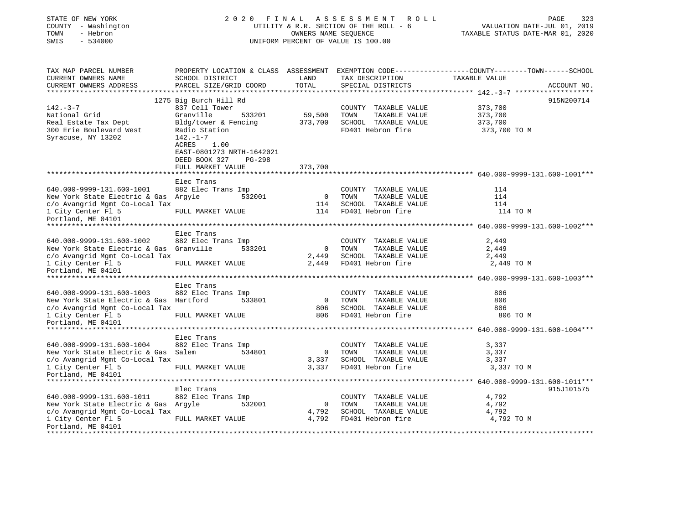| STATE OF NEW YORK<br>COUNTY - Washington<br>- Hebron<br>TOWN<br>SWIS<br>$-534000$ |                                                                           |          | 2020 FINAL ASSESSMENT<br>UTILITY & R.R. SECTION OF THE ROLL - 6<br>OWNERS NAME SEQUENCE<br>UNIFORM PERCENT OF VALUE IS 100.00 |      | R O L L                                   |               | 323<br>PAGE<br>VALUATION DATE-JUL 01, 2019<br>TAXABLE STATUS DATE-MAR 01, 2020                   |
|-----------------------------------------------------------------------------------|---------------------------------------------------------------------------|----------|-------------------------------------------------------------------------------------------------------------------------------|------|-------------------------------------------|---------------|--------------------------------------------------------------------------------------------------|
| TAX MAP PARCEL NUMBER                                                             |                                                                           |          |                                                                                                                               |      |                                           |               | PROPERTY LOCATION & CLASS ASSESSMENT EXEMPTION CODE----------------COUNTY-------TOWN------SCHOOL |
| CURRENT OWNERS NAME<br>CURRENT OWNERS ADDRESS<br>**********************           | SCHOOL DISTRICT<br>PARCEL SIZE/GRID COORD<br>**************************** |          | LAND<br>TOTAL<br>**************                                                                                               |      | TAX DESCRIPTION<br>SPECIAL DISTRICTS      | TAXABLE VALUE | ACCOUNT NO.                                                                                      |
|                                                                                   |                                                                           |          |                                                                                                                               |      |                                           |               | 915N200714                                                                                       |
| $142. - 3 - 7$                                                                    | 1275 Big Burch Hill Rd<br>837 Cell Tower                                  |          |                                                                                                                               |      | COUNTY TAXABLE VALUE                      | 373,700       |                                                                                                  |
| National Grid                                                                     | Granville                                                                 | 533201   | 59,500                                                                                                                        | TOWN | TAXABLE VALUE                             | 373,700       |                                                                                                  |
| Real Estate Tax Dept                                                              | Bldg/tower & Fencing                                                      |          | 373,700                                                                                                                       |      | SCHOOL TAXABLE VALUE                      | 373,700       |                                                                                                  |
| 300 Erie Boulevard West                                                           | Radio Station                                                             |          |                                                                                                                               |      | FD401 Hebron fire                         | 373,700 TO M  |                                                                                                  |
| Syracuse, NY 13202                                                                | 142.-1-7<br>ACRES<br>1.00<br>EAST-0801273 NRTH-1642021<br>DEED BOOK 327   | $PG-298$ |                                                                                                                               |      |                                           |               |                                                                                                  |
|                                                                                   | FULL MARKET VALUE                                                         |          | 373,700                                                                                                                       |      |                                           |               |                                                                                                  |
|                                                                                   |                                                                           |          |                                                                                                                               |      |                                           |               |                                                                                                  |
|                                                                                   | Elec Trans                                                                |          |                                                                                                                               |      |                                           |               |                                                                                                  |
| 640.000-9999-131.600-1001                                                         | 882 Elec Trans Imp                                                        |          |                                                                                                                               |      | COUNTY TAXABLE VALUE                      | 114           |                                                                                                  |
| New York State Electric & Gas Argyle                                              |                                                                           | 532001   | $\overline{\mathbf{0}}$                                                                                                       | TOWN | TAXABLE VALUE                             | 114           |                                                                                                  |
| c/o Avangrid Mgmt Co-Local Tax                                                    |                                                                           |          | 114                                                                                                                           |      | SCHOOL TAXABLE VALUE                      | 114           |                                                                                                  |
| 1 City Center Fl 5<br>Portland, ME 04101                                          | FULL MARKET VALUE                                                         |          | 114                                                                                                                           |      | FD401 Hebron fire                         |               | 114 TO M                                                                                         |
|                                                                                   |                                                                           |          |                                                                                                                               |      |                                           |               |                                                                                                  |
|                                                                                   | Elec Trans                                                                |          |                                                                                                                               |      |                                           |               |                                                                                                  |
| 640.000-9999-131.600-1002                                                         | 882 Elec Trans Imp                                                        |          |                                                                                                                               |      | COUNTY TAXABLE VALUE                      | 2,449         |                                                                                                  |
| New York State Electric & Gas Granville                                           |                                                                           | 533201   | $\overline{\phantom{0}}$                                                                                                      | TOWN | TAXABLE VALUE                             | 2,449         |                                                                                                  |
| c/o Avangrid Mgmt Co-Local Tax                                                    |                                                                           |          | 2,449                                                                                                                         |      | SCHOOL TAXABLE VALUE                      | 2,449         |                                                                                                  |
| 1 City Center Fl 5<br>Portland, ME 04101                                          | FULL MARKET VALUE                                                         |          | 2,449                                                                                                                         |      | FD401 Hebron fire                         | 2,449 TO M    |                                                                                                  |
|                                                                                   |                                                                           |          |                                                                                                                               |      |                                           |               |                                                                                                  |
|                                                                                   | Elec Trans                                                                |          |                                                                                                                               |      |                                           |               |                                                                                                  |
| 640.000-9999-131.600-1003                                                         | 882 Elec Trans Imp                                                        |          |                                                                                                                               |      | COUNTY TAXABLE VALUE                      | 806           |                                                                                                  |
| New York State Electric & Gas Hartford                                            |                                                                           | 533801   | $\overline{0}$                                                                                                                | TOWN | TAXABLE VALUE                             | 806           |                                                                                                  |
| c/o Avangrid Mgmt Co-Local Tax                                                    |                                                                           |          | 806                                                                                                                           |      | SCHOOL TAXABLE VALUE                      | 806           |                                                                                                  |
| 1 City Center Fl 5                                                                | FULL MARKET VALUE                                                         |          | 806                                                                                                                           |      | FD401 Hebron fire                         |               | 806 TO M                                                                                         |
| Portland, ME 04101                                                                |                                                                           |          |                                                                                                                               |      |                                           |               |                                                                                                  |
|                                                                                   |                                                                           |          |                                                                                                                               |      |                                           |               |                                                                                                  |
|                                                                                   | Elec Trans                                                                |          |                                                                                                                               |      |                                           |               |                                                                                                  |
| 640.000-9999-131.600-1004                                                         | 882 Elec Trans Imp                                                        |          |                                                                                                                               |      | COUNTY TAXABLE VALUE                      | 3,337         |                                                                                                  |
| New York State Electric & Gas Salem                                               |                                                                           | 534801   | $\mathbf 0$                                                                                                                   | TOWN | TAXABLE VALUE                             | 3,337         |                                                                                                  |
| c/o Avangrid Mgmt Co-Local Tax                                                    |                                                                           |          | 3,337<br>3,337                                                                                                                |      | SCHOOL TAXABLE VALUE<br>FD401 Hebron fire | 3,337         |                                                                                                  |
| 1 City Center Fl 5<br>Portland, ME 04101                                          | FULL MARKET VALUE                                                         |          |                                                                                                                               |      |                                           | 3,337 TO M    |                                                                                                  |
|                                                                                   |                                                                           |          |                                                                                                                               |      |                                           |               |                                                                                                  |
|                                                                                   | Elec Trans                                                                |          |                                                                                                                               |      |                                           |               | 915J101575                                                                                       |
| 640.000-9999-131.600-1011                                                         | 882 Elec Trans Imp                                                        |          |                                                                                                                               |      | COUNTY TAXABLE VALUE                      | 4,792         |                                                                                                  |
| New York State Electric & Gas Argyle                                              |                                                                           | 532001   | $\mathbf 0$                                                                                                                   | TOWN | TAXABLE VALUE                             | 4,792         |                                                                                                  |
| c/o Avangrid Mgmt Co-Local Tax                                                    |                                                                           |          | 4,792                                                                                                                         |      | SCHOOL TAXABLE VALUE                      | 4,792         |                                                                                                  |
| 1 City Center Fl 5                                                                | FULL MARKET VALUE                                                         |          | 4,792                                                                                                                         |      | FD401 Hebron fire                         | 4,792 TO M    |                                                                                                  |
| Portland, ME 04101<br>**************                                              |                                                                           |          |                                                                                                                               |      |                                           |               |                                                                                                  |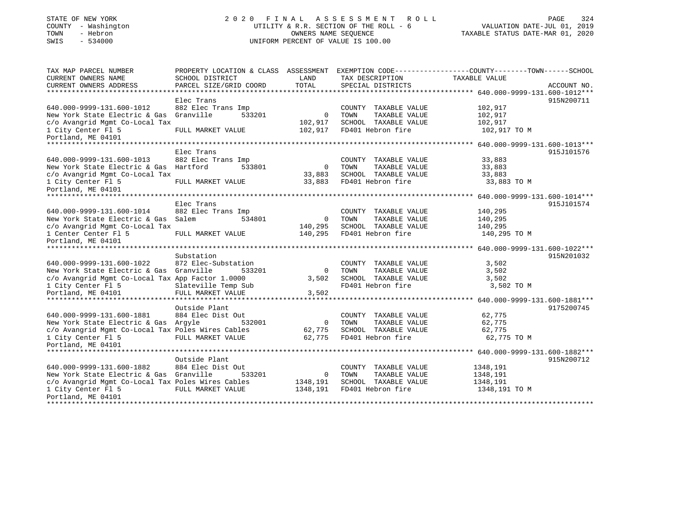## STATE OF NEW YORK 2 0 2 0 F I N A L A S S E S S M E N T R O L L PAGE 324COUNTY - Washington  $U1L1TY & R.R.$  SECTION OF THE ROLL - 6<br>TOWN - Hebron DATE-JUL 000NERS NAME SEQUENCE SWIS - 534000 UNIFORM PERCENT OF VALUE IS 100.00

# VALUATION DATE-JUL 01, 2019

| TAX MAP PARCEL NUMBER                             |                        |                |                       | PROPERTY LOCATION & CLASS ASSESSMENT EXEMPTION CODE---------------COUNTY-------TOWN------SCHOOL |             |
|---------------------------------------------------|------------------------|----------------|-----------------------|-------------------------------------------------------------------------------------------------|-------------|
| CURRENT OWNERS NAME                               | SCHOOL DISTRICT        | LAND           | TAX DESCRIPTION       | TAXABLE VALUE                                                                                   |             |
| CURRENT OWNERS ADDRESS                            | PARCEL SIZE/GRID COORD | TOTAL          | SPECIAL DISTRICTS     |                                                                                                 | ACCOUNT NO. |
|                                                   |                        |                |                       |                                                                                                 |             |
|                                                   | Elec Trans             |                |                       |                                                                                                 | 915N200711  |
| 640.000-9999-131.600-1012                         | 882 Elec Trans Imp     |                | COUNTY TAXABLE VALUE  | 102,917                                                                                         |             |
| New York State Electric & Gas                     | Granville<br>533201    | $\Omega$       | TAXABLE VALUE<br>TOWN | 102,917                                                                                         |             |
| c/o Avangrid Mgmt Co-Local Tax                    |                        | 102,917        | SCHOOL TAXABLE VALUE  | 102,917                                                                                         |             |
| 1 City Center Fl 5<br>Portland, ME 04101          | FULL MARKET VALUE      | 102,917        | FD401 Hebron fire     | 102,917 TO M                                                                                    |             |
|                                                   |                        |                |                       |                                                                                                 |             |
|                                                   | Elec Trans             |                |                       |                                                                                                 | 915J101576  |
| 640.000-9999-131.600-1013                         | 882 Elec Trans Imp     |                | COUNTY TAXABLE VALUE  | 33,883                                                                                          |             |
| New York State Electric & Gas                     | Hartford<br>533801     | $\mathbf{0}$   | TOWN<br>TAXABLE VALUE | 33,883                                                                                          |             |
| c/o Avangrid Mgmt Co-Local Tax                    |                        | 33,883         | SCHOOL TAXABLE VALUE  | 33,883                                                                                          |             |
| 1 City Center Fl 5                                | FULL MARKET VALUE      | 33,883         | FD401 Hebron fire     | 33,883 TO M                                                                                     |             |
| Portland, ME 04101                                |                        |                |                       |                                                                                                 |             |
|                                                   |                        |                |                       |                                                                                                 |             |
|                                                   | Elec Trans             |                |                       |                                                                                                 | 915J101574  |
| 640.000-9999-131.600-1014                         | 882 Elec Trans Imp     |                | COUNTY TAXABLE VALUE  | 140,295                                                                                         |             |
| New York State Electric & Gas                     | 534801<br>Salem        | $\Omega$       | TOWN<br>TAXABLE VALUE | 140,295                                                                                         |             |
| c/o Avangrid Mgmt Co-Local Tax                    |                        | 140,295        | SCHOOL TAXABLE VALUE  | 140,295                                                                                         |             |
| 1 Center Center F1 5                              | FULL MARKET VALUE      | 140,295        | FD401 Hebron fire     | 140,295 TO M                                                                                    |             |
| Portland, ME 04101                                |                        |                |                       |                                                                                                 |             |
|                                                   |                        |                |                       |                                                                                                 |             |
|                                                   | Substation             |                |                       |                                                                                                 | 915N201032  |
| 640.000-9999-131.600-1022                         | 872 Elec-Substation    |                | COUNTY TAXABLE VALUE  | 3,502                                                                                           |             |
| New York State Electric & Gas                     | Granville<br>533201    | $\mathbf{0}$   | TOWN<br>TAXABLE VALUE | 3,502                                                                                           |             |
| c/o Avangrid Mgmt Co-Local Tax App Factor 1.0000  |                        | 3,502          | SCHOOL TAXABLE VALUE  | 3,502                                                                                           |             |
| 1 City Center Fl 5                                | Slateville Temp Sub    |                | FD401 Hebron fire     | 3,502 TO M                                                                                      |             |
| Portland, ME 04101                                | FULL MARKET VALUE      | 3,502          |                       |                                                                                                 |             |
| Outside Plant<br>9175200745                       |                        |                |                       |                                                                                                 |             |
| 640.000-9999-131.600-1881                         | 884 Elec Dist Out      |                | COUNTY TAXABLE VALUE  | 62,775                                                                                          |             |
| New York State Electric & Gas Argyle              | 532001                 | $\overline{0}$ | TAXABLE VALUE<br>TOWN | 62,775                                                                                          |             |
| c/o Avangrid Mgmt Co-Local Tax Poles Wires Cables |                        | 62,775         | SCHOOL TAXABLE VALUE  | 62,775                                                                                          |             |
| 1 City Center Fl 5                                | FULL MARKET VALUE      | 62,775         | FD401 Hebron fire     | 62,775 TO M                                                                                     |             |
| Portland, ME 04101                                |                        |                |                       |                                                                                                 |             |
|                                                   |                        |                |                       |                                                                                                 |             |
|                                                   | Outside Plant          |                |                       |                                                                                                 | 915N200712  |
| 640.000-9999-131.600-1882                         | 884 Elec Dist Out      |                | COUNTY TAXABLE VALUE  | 1348,191                                                                                        |             |
| New York State Electric & Gas Granville           | 533201                 | $\mathbf{0}$   | TOWN<br>TAXABLE VALUE | 1348,191                                                                                        |             |
| c/o Avangrid Mgmt Co-Local Tax Poles Wires Cables |                        | 1348,191       | SCHOOL TAXABLE VALUE  | 1348,191                                                                                        |             |
| 1 City Center Fl 5                                | FULL MARKET VALUE      | 1348,191       | FD401 Hebron fire     | 1348,191 TO M                                                                                   |             |
| Portland, ME 04101                                |                        |                |                       |                                                                                                 |             |
|                                                   |                        |                |                       |                                                                                                 |             |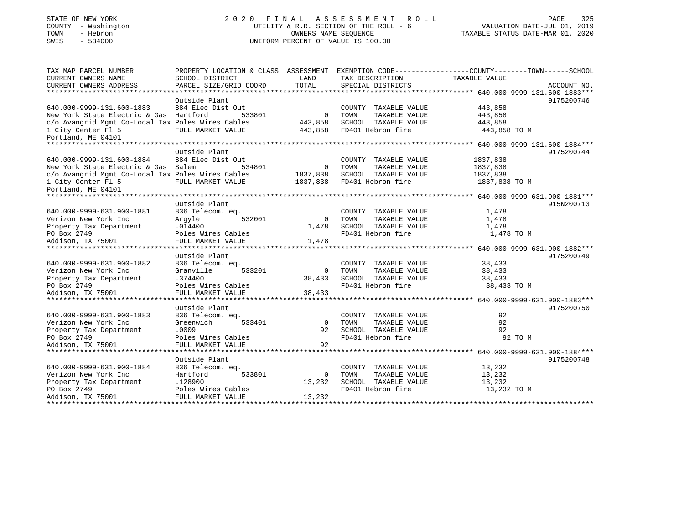# STATE OF NEW YORK 2 0 2 0 F I N A L A S S E S S M E N T R O L L PAGE 325 COUNTY - Washington UTILITY & R.R. SECTION OF THE ROLL - 6 VALUATION DATE-JUL 01, 2019 TOWN - Hebron OWNERS NAME SEQUENCE TAXABLE STATUS DATE-MAR 01, 2020 SWIS - 534000 UNIFORM PERCENT OF VALUE IS 100.00

| TAX MAP PARCEL NUMBER<br>CURRENT OWNERS NAME      | SCHOOL DISTRICT                        | LAND                     | TAX DESCRIPTION              | PROPERTY LOCATION & CLASS ASSESSMENT EXEMPTION CODE---------------COUNTY-------TOWN------SCHOOL<br>TAXABLE VALUE |
|---------------------------------------------------|----------------------------------------|--------------------------|------------------------------|------------------------------------------------------------------------------------------------------------------|
| CURRENT OWNERS ADDRESS                            | PARCEL SIZE/GRID COORD                 | TOTAL                    | SPECIAL DISTRICTS            | ACCOUNT NO.                                                                                                      |
|                                                   |                                        |                          |                              |                                                                                                                  |
|                                                   | Outside Plant                          |                          |                              | 9175200746                                                                                                       |
| 640.000-9999-131.600-1883                         | 884 Elec Dist Out                      |                          | COUNTY TAXABLE VALUE         | 443,858                                                                                                          |
| New York State Electric & Gas Hartford            | 533801                                 | $\Omega$                 | TOWN<br>TAXABLE VALUE        | 443,858                                                                                                          |
| c/o Avangrid Mgmt Co-Local Tax Poles Wires Cables |                                        | 443,858                  | SCHOOL TAXABLE VALUE         | 443,858                                                                                                          |
| 1 City Center Fl 5                                | FULL MARKET VALUE                      | 443,858                  | FD401 Hebron fire            | 443,858 TO M                                                                                                     |
| Portland, ME 04101                                |                                        |                          |                              |                                                                                                                  |
|                                                   |                                        |                          |                              |                                                                                                                  |
|                                                   | Outside Plant                          |                          |                              | 9175200744                                                                                                       |
| 640.000-9999-131.600-1884                         | 884 Elec Dist Out                      |                          | COUNTY TAXABLE VALUE         | 1837,838                                                                                                         |
| New York State Electric & Gas Salem               | 534801                                 | $\overline{\phantom{0}}$ | TAXABLE VALUE<br>TOWN        | 1837,838                                                                                                         |
| c/o Avangrid Mgmt Co-Local Tax Poles Wires Cables |                                        | 1837,838                 | SCHOOL TAXABLE VALUE         | 1837,838                                                                                                         |
| 1 City Center Fl 5                                | FULL MARKET VALUE                      | 1837,838                 | FD401 Hebron fire            | 1837,838 TO M                                                                                                    |
| Portland, ME 04101                                |                                        |                          |                              |                                                                                                                  |
|                                                   |                                        |                          |                              |                                                                                                                  |
|                                                   | Outside Plant                          |                          |                              | 915N200713                                                                                                       |
| 640.000-9999-631.900-1881                         | 836 Telecom. eq.                       |                          | COUNTY TAXABLE VALUE         | 1,478                                                                                                            |
| Verizon New York Inc                              | 532001<br>Arqyle                       | $\Omega$                 | TOWN<br>TAXABLE VALUE        | 1,478                                                                                                            |
| Property Tax Department                           | .014400                                | 1,478                    | SCHOOL TAXABLE VALUE         | 1,478                                                                                                            |
| PO Box 2749                                       | Poles Wires Cables                     |                          | FD401 Hebron fire            | 1,478 TO M                                                                                                       |
| Addison, TX 75001                                 | FULL MARKET VALUE                      | 1,478                    |                              |                                                                                                                  |
|                                                   |                                        |                          |                              |                                                                                                                  |
|                                                   | Outside Plant                          |                          |                              | 9175200749                                                                                                       |
| 640.000-9999-631.900-1882                         | 836 Telecom. eq.                       |                          | COUNTY TAXABLE VALUE         | 38,433                                                                                                           |
| Verizon New York Inc                              | Granville<br>533201                    | $\Omega$                 | TAXABLE VALUE<br>TOWN        | 38,433                                                                                                           |
| Property Tax Department                           | .374400                                | 38,433                   | SCHOOL TAXABLE VALUE         | 38,433                                                                                                           |
| PO Box 2749                                       | Poles Wires Cables                     |                          | FD401 Hebron fire            | 38,433 TO M                                                                                                      |
| Addison, TX 75001                                 | FULL MARKET VALUE                      | 38,433                   |                              |                                                                                                                  |
|                                                   |                                        |                          |                              |                                                                                                                  |
|                                                   | Outside Plant                          |                          |                              | 9175200750                                                                                                       |
| 640.000-9999-631.900-1883                         | 836 Telecom. eq.                       |                          | COUNTY TAXABLE VALUE         | 92                                                                                                               |
| Verizon New York Inc                              | Greenwich<br>533401                    | $\Omega$                 | TAXABLE VALUE<br><b>TOWN</b> | 92                                                                                                               |
| Property Tax Department                           | .0009                                  | 92                       | SCHOOL TAXABLE VALUE         | 92                                                                                                               |
| PO Box 2749                                       | Poles Wires Cables                     |                          | FD401 Hebron fire            | 92 TO M                                                                                                          |
| Addison, TX 75001                                 | FULL MARKET VALUE                      | 92                       |                              |                                                                                                                  |
|                                                   |                                        |                          |                              |                                                                                                                  |
| 640.000-9999-631.900-1884                         | Outside Plant                          |                          | COUNTY TAXABLE VALUE         | 9175200748<br>13,232                                                                                             |
| Verizon New York Inc                              | 836 Telecom. eq.<br>533801<br>Hartford | $\Omega$                 | TOWN<br>TAXABLE VALUE        | 13,232                                                                                                           |
| Property Tax Department                           | .128900                                | 13,232                   | SCHOOL TAXABLE VALUE         | 13,232                                                                                                           |
| PO Box 2749                                       | Poles Wires Cables                     |                          | FD401 Hebron fire            | 13,232 TO M                                                                                                      |
| Addison, TX 75001                                 | FULL MARKET VALUE                      | 13,232                   |                              |                                                                                                                  |
|                                                   |                                        |                          |                              |                                                                                                                  |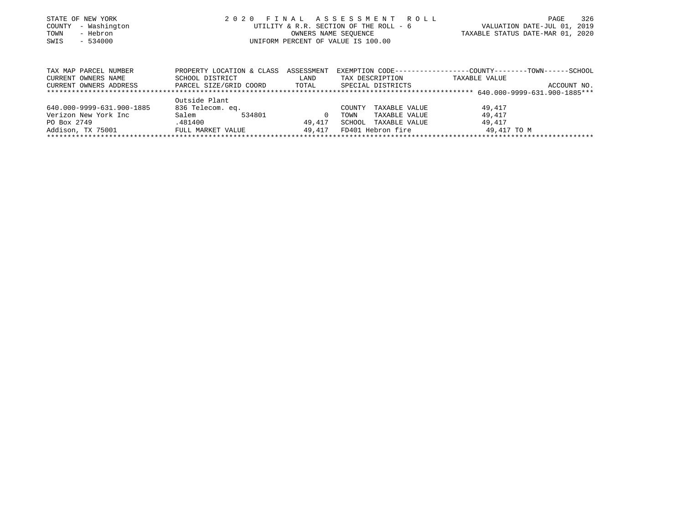| STATE OF NEW YORK<br>COUNTY - Washington<br>- Hebron<br>TOWN<br>$-534000$<br>SWIS |                                                                        |                             | 2020 FINAL ASSESSMENT ROLL<br>UTILITY & R.R. SECTION OF THE ROLL - 6<br>OWNERS NAME SEOUENCE<br>UNIFORM PERCENT OF VALUE IS 100.00 | TAXABLE STATUS DATE-MAR 01, 2020                                              | PAGE<br>VALUATION DATE-JUL 01, 2019 | 326 |
|-----------------------------------------------------------------------------------|------------------------------------------------------------------------|-----------------------------|------------------------------------------------------------------------------------------------------------------------------------|-------------------------------------------------------------------------------|-------------------------------------|-----|
| TAX MAP PARCEL NUMBER<br>CURRENT OWNERS NAME<br>CURRENT OWNERS ADDRESS            | PROPERTY LOCATION & CLASS<br>SCHOOL DISTRICT<br>PARCEL SIZE/GRID COORD | ASSESSMENT<br>LAND<br>TOTAL | TAX DESCRIPTION<br>SPECIAL DISTRICTS                                                                                               | EXEMPTION CODE-----------------COUNTY-------TOWN------SCHOOL<br>TAXABLE VALUE | ACCOUNT NO.                         |     |

|                           | Outside Plant     |        |        |        |                   |             |
|---------------------------|-------------------|--------|--------|--------|-------------------|-------------|
| 640.000-9999-631.900-1885 | 836 Telecom. eq.  |        |        | COUNTY | TAXABLE VALUE     | 49,417      |
| Verizon New York Inc      | Salem             | 534801 |        | TOWN   | TAXABLE VALUE     | 49,417      |
| PO Box 2749               | .481400           |        | 49.417 | SCHOOL | TAXABLE VALUE     | 49,417      |
| Addison, TX 75001         | FULL MARKET VALUE |        | 49.417 |        | FD401 Hebron fire | 49,417 TO M |
|                           |                   |        |        |        |                   |             |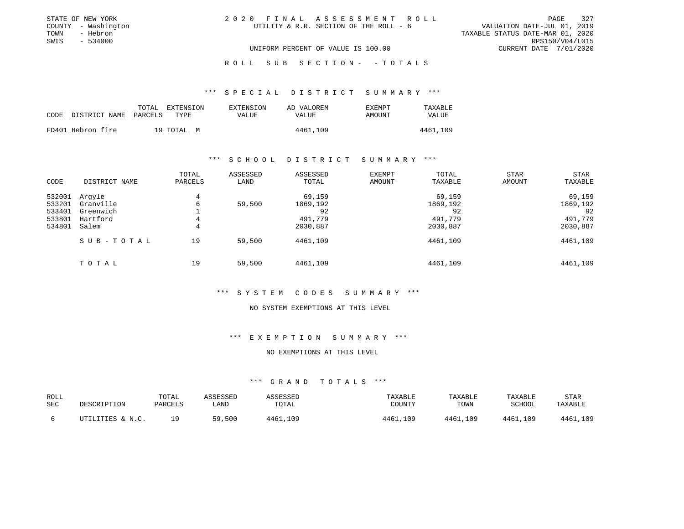|      | STATE OF NEW YORK   | 2020 FINAL ASSESSMENT ROLL                                            | PAGE                   | 327 |
|------|---------------------|-----------------------------------------------------------------------|------------------------|-----|
|      | COUNTY - Washington | VALUATION DATE-JUL 01, 2019<br>UTILITY & R.R. SECTION OF THE ROLL - 6 |                        |     |
| TOWN | - Hebron            | TAXABLE STATUS DATE-MAR 01, 2020                                      |                        |     |
| SWIS | - 534000            |                                                                       | RPS150/V04/L015        |     |
|      |                     | UNIFORM PERCENT OF VALUE IS 100.00                                    | CURRENT DATE 7/01/2020 |     |

# ROLL SUB SECTION - - TOTALS

#### \*\*\* S P E C I A L D I S T R I C T S U M M A R Y \*\*\*

|                            | TOTAL | EXTENSION  | EXTENSION | AD VALOREM   | <b>EXEMPT</b> | TAXABLE  |
|----------------------------|-------|------------|-----------|--------------|---------------|----------|
| CODE DISTRICT NAME PARCELS |       | TYPE.      | VALUE     | <b>VALUE</b> | AMOUNT        | VALUE    |
| FD401 Hebron fire          |       | 19 TOTAL M |           | 4461,109     |               | 4461,109 |

### \*\*\* S C H O O L D I S T R I C T S U M M A R Y \*\*\*

| CODE                                           | DISTRICT NAME                                         | TOTAL<br>PARCELS | ASSESSED<br>LAND | ASSESSED<br>TOTAL                               | EXEMPT<br>AMOUNT | TOTAL<br>TAXABLE                                | <b>STAR</b><br>AMOUNT | <b>STAR</b><br>TAXABLE                          |
|------------------------------------------------|-------------------------------------------------------|------------------|------------------|-------------------------------------------------|------------------|-------------------------------------------------|-----------------------|-------------------------------------------------|
| 532001<br>533201<br>533401<br>533801<br>534801 | Argyle<br>Granville<br>Greenwich<br>Hartford<br>Salem | 4<br>6<br>4<br>4 | 59,500           | 69,159<br>1869,192<br>92<br>491,779<br>2030,887 |                  | 69,159<br>1869,192<br>92<br>491,779<br>2030,887 |                       | 69,159<br>1869,192<br>92<br>491,779<br>2030,887 |
|                                                | SUB-TOTAL                                             | 19               | 59,500           | 4461,109                                        |                  | 4461,109                                        |                       | 4461,109                                        |
|                                                | TOTAL                                                 | 19               | 59,500           | 4461,109                                        |                  | 4461,109                                        |                       | 4461,109                                        |

#### \*\*\* S Y S T E M C O D E S S U M M A R Y \*\*\*

#### NO SYSTEM EXEMPTIONS AT THIS LEVEL

## \*\*\* E X E M P T I O N S U M M A R Y \*\*\*

# NO EXEMPTIONS AT THIS LEVEL

| ROLL<br>SEC | DESCRIPTION      | TOTAL<br>PARCELS | <i><b>\SSESSED</b></i><br>LAND | <b>ASSESSED</b><br>TOTAL | TAXABLE<br>COUNTY | TAXABLE<br>TOWN | TAXABLE<br>SCHOOL | STAR<br>TAXABLE |
|-------------|------------------|------------------|--------------------------------|--------------------------|-------------------|-----------------|-------------------|-----------------|
|             | UTILITIES & N.C. | 1 Q              | 59,500                         | 4461,109                 | 4461,109          | 4461,109        | 4461,109          | 4461,109        |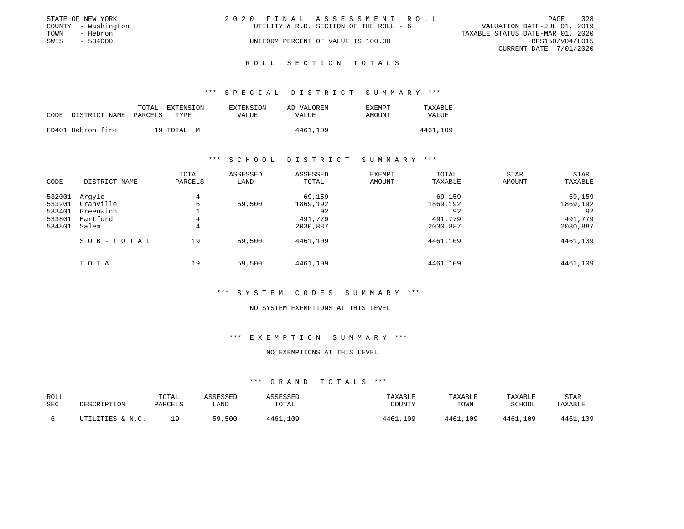| 2020 FINAL ASSESSMENT ROLL                                       | 328<br>PAGE                      |
|------------------------------------------------------------------|----------------------------------|
| UTILITY & R.R. SECTION OF THE ROLL - 6                           | VALUATION DATE-JUL 01, 2019      |
|                                                                  | TAXABLE STATUS DATE-MAR 01, 2020 |
| UNIFORM PERCENT OF VALUE IS 100.00                               | RPS150/V04/L015                  |
|                                                                  | CURRENT DATE 7/01/2020           |
| STATE OF NEW YORK<br>COUNTY - Washington<br>- Hebron<br>- 534000 |                                  |

#### R O L L S E C T I O N T O T A L S

#### \*\*\* S P E C I A L D I S T R I C T S U M M A R Y \*\*\*

|                            | TOTAL | EXTENSION  | EXTENSION | AD VALOREM | EXEMPT | TAXABLE      |
|----------------------------|-------|------------|-----------|------------|--------|--------------|
| CODE DISTRICT NAME PARCELS |       | TYPE.      | VALUE     | VALUE      | AMOUNT | <b>VALUE</b> |
| FD401 Hebron fire          |       | 19 TOTAL M |           | 4461,109   |        | 4461,109     |

#### \*\*\* S C H O O L D I S T R I C T S U M M A R Y \*\*\*

| CODE                                           | DISTRICT NAME                                         | TOTAL<br>PARCELS | ASSESSED<br>LAND | ASSESSED<br>TOTAL                               | EXEMPT<br>AMOUNT | TOTAL<br>TAXABLE                                | <b>STAR</b><br>AMOUNT | <b>STAR</b><br>TAXABLE                          |
|------------------------------------------------|-------------------------------------------------------|------------------|------------------|-------------------------------------------------|------------------|-------------------------------------------------|-----------------------|-------------------------------------------------|
| 532001<br>533201<br>533401<br>533801<br>534801 | Argyle<br>Granville<br>Greenwich<br>Hartford<br>Salem | 4<br>6<br>4<br>4 | 59,500           | 69,159<br>1869,192<br>92<br>491,779<br>2030,887 |                  | 69,159<br>1869,192<br>92<br>491,779<br>2030,887 |                       | 69,159<br>1869,192<br>92<br>491,779<br>2030,887 |
|                                                | SUB-TOTAL                                             | 19               | 59,500           | 4461,109                                        |                  | 4461,109                                        |                       | 4461,109                                        |
|                                                | TOTAL                                                 | 19               | 59,500           | 4461,109                                        |                  | 4461,109                                        |                       | 4461,109                                        |

#### \*\*\* S Y S T E M C O D E S S U M M A R Y \*\*\*

#### NO SYSTEM EXEMPTIONS AT THIS LEVEL

## \*\*\* E X E M P T I O N S U M M A R Y \*\*\*

# NO EXEMPTIONS AT THIS LEVEL

| ROLL<br>SEC | DESCRIPTION      | TOTAL<br>PARCELS | ASSESSED<br>LAND | <i><b>\SSESSED</b></i><br>TOTAL | TAXABLE<br>COUNTY | TAXABLE<br>TOWN | TAXABLE<br>SCHOOL | STAR<br>TAXABLE |
|-------------|------------------|------------------|------------------|---------------------------------|-------------------|-----------------|-------------------|-----------------|
|             | UTILITIES & N.C. | 1 Q              | ,500<br>59       | 4461,109                        | 4461,109          | 4461,109        | 4461,109          | 4461,109        |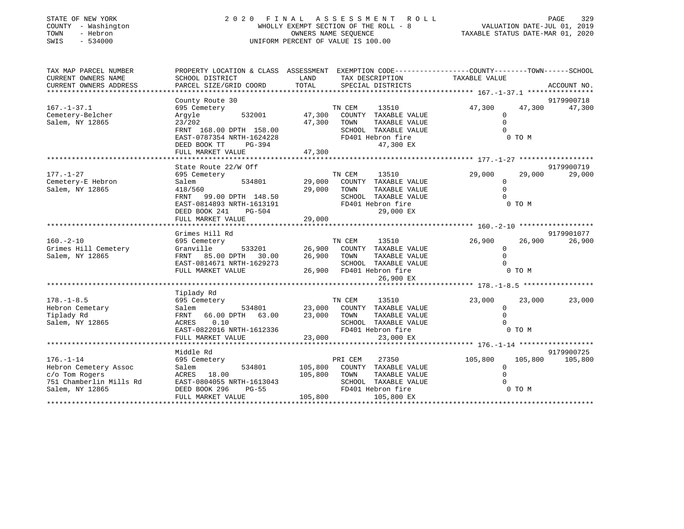| STATE OF NEW YORK<br>COUNTY - Washington<br>- Hebron<br>TOWN<br>$-534000$<br>SWIS     | 2020 FINAL<br>UNIFORM PERCENT OF VALUE IS 100.00                                                                               | A S S E S S M E N T<br>ROLL<br>WHOLLY EXEMPT SECTION OF THE ROLL - 8<br>OWNERS NAME SEQUENCE |                                                                                                          | PAGE<br>VALUATION DATE-JUL 01, 2019<br>TAXABLE STATUS DATE-MAR 01, 2020 | 329                        |  |
|---------------------------------------------------------------------------------------|--------------------------------------------------------------------------------------------------------------------------------|----------------------------------------------------------------------------------------------|----------------------------------------------------------------------------------------------------------|-------------------------------------------------------------------------|----------------------------|--|
| TAX MAP PARCEL NUMBER<br>CURRENT OWNERS NAME                                          | PROPERTY LOCATION & CLASS ASSESSMENT EXEMPTION CODE----------------COUNTY-------TOWN------SCHOOL<br>SCHOOL DISTRICT            | LAND                                                                                         | TAX DESCRIPTION                                                                                          | TAXABLE VALUE                                                           |                            |  |
| CURRENT OWNERS ADDRESS<br>**********************                                      | PARCEL SIZE/GRID COORD                                                                                                         | TOTAL                                                                                        | SPECIAL DISTRICTS                                                                                        |                                                                         | ACCOUNT NO.                |  |
|                                                                                       | County Route 30                                                                                                                |                                                                                              |                                                                                                          |                                                                         | 9179900718                 |  |
| $167. - 1 - 37.1$<br>Cemetery-Belcher<br>Salem, NY 12865                              | 695 Cemetery<br>532001<br>Argyle<br>23/202<br>FRNT 168.00 DPTH 158.00<br>EAST-0787354 NRTH-1624228<br>DEED BOOK TT<br>$PG-394$ | TN CEM<br>47,300<br>47,300<br>TOWN                                                           | 13510<br>COUNTY TAXABLE VALUE<br>TAXABLE VALUE<br>SCHOOL TAXABLE VALUE<br>FD401 Hebron fire<br>47,300 EX | 47,300<br>$\mathbf 0$<br>$\Omega$<br>$\Omega$                           | 47,300<br>47,300<br>0 TO M |  |
|                                                                                       | FULL MARKET VALUE                                                                                                              | 47,300                                                                                       |                                                                                                          |                                                                         |                            |  |
|                                                                                       | State Route 22/W Off                                                                                                           |                                                                                              |                                                                                                          |                                                                         | 9179900719                 |  |
| $177. - 1 - 27$<br>Cemetery-E Hebron<br>Salem, NY 12865                               | 695 Cemetery<br>534801<br>Salem<br>418/560<br>FRNT<br>99.00 DPTH 148.50                                                        | TN CEM<br>29,000<br>29,000<br>TOWN                                                           | 13510<br>COUNTY TAXABLE VALUE<br>TAXABLE VALUE<br>SCHOOL TAXABLE VALUE                                   | 29,000<br>$\mathbf{0}$<br>$\Omega$<br>$\Omega$                          | 29,000<br>29,000           |  |
|                                                                                       | EAST-0814893 NRTH-1613191<br>DEED BOOK 241<br>PG-504<br>FULL MARKET VALUE                                                      | 29,000                                                                                       | FD401 Hebron fire<br>29,000 EX                                                                           |                                                                         | 0 TO M                     |  |
|                                                                                       | Grimes Hill Rd                                                                                                                 |                                                                                              |                                                                                                          |                                                                         | 9179901077                 |  |
| $160. -2 - 10$<br>Grimes Hill Cemetery<br>Salem, NY 12865                             | 695 Cemetery<br>Granville<br>533201<br>85.00 DPTH 30.00<br>FRNT<br>EAST-0814671 NRTH-1629273<br>FULL MARKET VALUE              | TN CEM<br>26,900<br>26,900<br>TOWN<br>26,900                                                 | 13510<br>COUNTY TAXABLE VALUE<br>TAXABLE VALUE<br>SCHOOL TAXABLE VALUE<br>FD401 Hebron fire<br>26,900 EX | 26,900<br>$\mathbf 0$<br>$\Omega$<br>$\Omega$                           | 26,900<br>26,900<br>0 TO M |  |
|                                                                                       |                                                                                                                                |                                                                                              |                                                                                                          |                                                                         |                            |  |
| $178. - 1 - 8.5$<br>Hebron Cemetary<br>Tiplady Rd<br>Salem, NY 12865                  | Tiplady Rd<br>695 Cemetery<br>Salem<br>534801<br>FRNT<br>66.00 DPTH 63.00<br>0.10<br>ACRES<br>EAST-0822016 NRTH-1612336        | TN CEM<br>23,000<br>23,000<br>TOWN                                                           | 13510<br>COUNTY TAXABLE VALUE<br>TAXABLE VALUE<br>SCHOOL TAXABLE VALUE<br>FD401 Hebron fire              | 23,000<br>$\Omega$<br>$\Omega$<br>$\Omega$                              | 23,000<br>23,000<br>0 TO M |  |
|                                                                                       | FULL MARKET VALUE<br>*********************                                                                                     | 23,000                                                                                       | 23,000 EX                                                                                                |                                                                         |                            |  |
|                                                                                       | Middle Rd                                                                                                                      |                                                                                              |                                                                                                          |                                                                         | 9179900725                 |  |
| $176. - 1 - 14$<br>Hebron Cemetery Assoc<br>c/o Tom Rogers<br>751 Chamberlin Mills Rd | 695 Cemetery<br>Salem<br>534801<br>ACRES 18.00<br>EAST-0804055 NRTH-1613043                                                    | PRI CEM<br>105,800<br>105,800<br>TOWN                                                        | 27350<br>COUNTY TAXABLE VALUE<br>TAXABLE VALUE<br>SCHOOL TAXABLE VALUE                                   | 105,800<br>$\mathbf 0$<br>$\Omega$                                      | 105,800<br>105,800         |  |
| Salem, NY 12865                                                                       | DEED BOOK 296<br>$PG-55$<br>FULL MARKET VALUE                                                                                  | 105,800                                                                                      | FD401 Hebron fire<br>105,800 EX                                                                          |                                                                         | 0 TO M                     |  |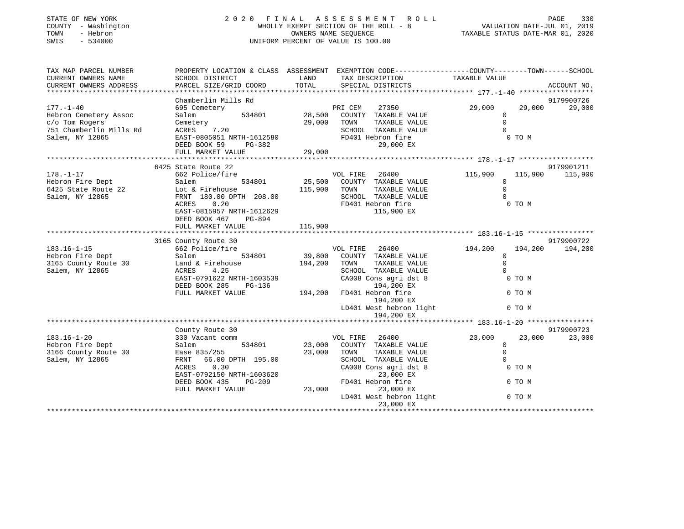| STATE OF NEW YORK<br>COUNTY - Washington<br>TOWN<br>- Hebron<br>$-534000$<br>SWIS                                                                                 | 2020 FINAL ASSESSMENT<br>WHOLLY EXEMPT SECTION OF THE ROLL - 8<br>UNIFORM PERCENT OF VALUE IS 100.00                                                                                                                                                                                                                                                                                  | VALUATION DATE-JUL 01, 2019<br>TAXABLE STATUS DATE-MAR 01, 2020 |                                                                                                                                                                                                                                                                                             | PAGE<br>330                                                                                |                                                  |                                                |
|-------------------------------------------------------------------------------------------------------------------------------------------------------------------|---------------------------------------------------------------------------------------------------------------------------------------------------------------------------------------------------------------------------------------------------------------------------------------------------------------------------------------------------------------------------------------|-----------------------------------------------------------------|---------------------------------------------------------------------------------------------------------------------------------------------------------------------------------------------------------------------------------------------------------------------------------------------|--------------------------------------------------------------------------------------------|--------------------------------------------------|------------------------------------------------|
| TAX MAP PARCEL NUMBER<br>CURRENT OWNERS NAME<br>CURRENT OWNERS ADDRESS                                                                                            | SCHOOL DISTRICT<br>PARCEL SIZE/GRID COORD                                                                                                                                                                                                                                                                                                                                             | LAND<br>TOTAL                                                   | PROPERTY LOCATION & CLASS ASSESSMENT EXEMPTION CODE---------------COUNTY-------TOWN------SCHOOL<br>TAX DESCRIPTION<br>SPECIAL DISTRICTS                                                                                                                                                     | TAXABLE VALUE                                                                              |                                                  | ACCOUNT NO.                                    |
|                                                                                                                                                                   | Chamberlin Mills Rd                                                                                                                                                                                                                                                                                                                                                                   |                                                                 |                                                                                                                                                                                                                                                                                             |                                                                                            |                                                  | 9179900726                                     |
| $177. - 1 - 40$<br>Hebron Cemetery Assoc<br>c/o Tom Rogers<br>751 Chamberlin Mills Rd<br>Salem, NY 12865                                                          | 695 Cemetery<br>Salem<br>534801<br>Cemetery<br>7.20<br>ACRES<br>EAST-0805051 NRTH-1612580<br>DEED BOOK 59<br>PG-382                                                                                                                                                                                                                                                                   | 28,500<br>29,000                                                | PRI CEM<br>27350<br>COUNTY TAXABLE VALUE<br>TOWN<br>TAXABLE VALUE<br>SCHOOL TAXABLE VALUE<br>FD401 Hebron fire<br>29,000 EX                                                                                                                                                                 | 29,000<br>$\mathbf 0$<br>$\mathbf 0$<br>$\Omega$                                           | 29,000<br>0 TO M                                 | 29,000                                         |
|                                                                                                                                                                   | FULL MARKET VALUE                                                                                                                                                                                                                                                                                                                                                                     | 29,000                                                          |                                                                                                                                                                                                                                                                                             |                                                                                            |                                                  |                                                |
|                                                                                                                                                                   |                                                                                                                                                                                                                                                                                                                                                                                       |                                                                 |                                                                                                                                                                                                                                                                                             |                                                                                            |                                                  |                                                |
| $178. - 1 - 17$<br>Hebron Fire Dept<br>6425 State Route 22<br>Salem, NY 12865<br>$183.16 - 1 - 15$<br>Hebron Fire Dept<br>3165 County Route 30<br>Salem, NY 12865 | 6425 State Route 22<br>662 Police/fire<br>534801<br>Salem<br>Lot & Firehouse<br>FRNT 180.00 DPTH 208.00<br>ACRES<br>0.20<br>EAST-0815957 NRTH-1612629<br>DEED BOOK 467<br>PG-894<br>FULL MARKET VALUE<br>3165 County Route 30<br>662 Police/fire<br>534801<br>Salem<br>Land & Firehouse<br>4.25<br>ACRES<br>EAST-0791622 NRTH-1603539<br>DEED BOOK 285<br>PG-136<br>FULL MARKET VALUE | 115,900<br>115,900<br>39,800<br>194,200<br>194,200              | VOL FIRE<br>26400<br>25,500 COUNTY TAXABLE VALUE<br>TAXABLE VALUE<br>TOWN<br>SCHOOL TAXABLE VALUE<br>FD401 Hebron fire<br>115,900 EX<br>VOL FIRE 26400<br>COUNTY TAXABLE VALUE<br>TOWN<br>TAXABLE VALUE<br>SCHOOL TAXABLE VALUE<br>CA008 Cons agri dst 8<br>194,200 EX<br>FD401 Hebron fire | 115,900<br>0<br>$\Omega$<br>$\mathbf 0$<br>194,200<br>$\mathbf{0}$<br>$\Omega$<br>$\Omega$ | 115,900<br>0 TO M<br>194,200<br>0 TO M<br>0 TO M | 9179901211<br>115,900<br>9179900722<br>194,200 |
|                                                                                                                                                                   |                                                                                                                                                                                                                                                                                                                                                                                       |                                                                 | 194,200 EX<br>LD401 West hebron light                                                                                                                                                                                                                                                       |                                                                                            | 0 TO M                                           |                                                |
|                                                                                                                                                                   |                                                                                                                                                                                                                                                                                                                                                                                       |                                                                 | 194,200 EX                                                                                                                                                                                                                                                                                  |                                                                                            |                                                  |                                                |
|                                                                                                                                                                   |                                                                                                                                                                                                                                                                                                                                                                                       |                                                                 |                                                                                                                                                                                                                                                                                             |                                                                                            |                                                  |                                                |
| $183.16 - 1 - 20$<br>Hebron Fire Dept<br>3166 County Route 30<br>Salem, NY 12865                                                                                  | County Route 30<br>330 Vacant comm<br>534801<br>Salem<br>Ease 835/255<br>FRNT<br>66.00 DPTH 195.00<br>ACRES<br>0.30<br>EAST-0792150 NRTH-1603620<br>DEED BOOK 435<br>PG-209<br>FULL MARKET VALUE                                                                                                                                                                                      | 23,000<br>23,000<br>23,000                                      | VOL FIRE<br>26400<br>COUNTY TAXABLE VALUE<br>TAXABLE VALUE<br>TOWN<br>SCHOOL TAXABLE VALUE<br>CA008 Cons agri dst 8<br>23,000 EX<br>FD401 Hebron fire<br>23,000 EX<br>LD401 West hebron light<br>23,000 EX                                                                                  | 23,000<br>$\mathbf{0}$<br>$\Omega$<br>$\Omega$                                             | 23,000<br>0 TO M<br>0 TO M<br>0 TO M             | 9179900723<br>23,000                           |

\*\*\*\*\*\*\*\*\*\*\*\*\*\*\*\*\*\*\*\*\*\*\*\*\*\*\*\*\*\*\*\*\*\*\*\*\*\*\*\*\*\*\*\*\*\*\*\*\*\*\*\*\*\*\*\*\*\*\*\*\*\*\*\*\*\*\*\*\*\*\*\*\*\*\*\*\*\*\*\*\*\*\*\*\*\*\*\*\*\*\*\*\*\*\*\*\*\*\*\*\*\*\*\*\*\*\*\*\*\*\*\*\*\*\*\*\*\*\*\*\*\*\*\*\*\*\*\*\*\*\*\*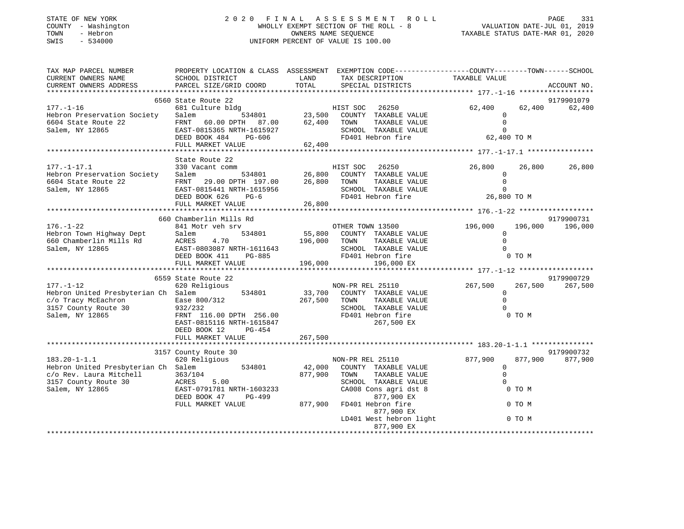| STATE OF NEW YORK<br>- Washington<br>COUNTY<br>- Hebron<br>TOWN<br>SWIS<br>$-534000$ | 2020                                                                   | FINAL ASSESSMENT ROLL<br>WHOLLY EXEMPT SECTION OF THE ROLL - 8<br>OWNERS NAME SEOUENCE<br>UNIFORM PERCENT OF VALUE IS 100.00 |                                                                                                      |               |                  |
|--------------------------------------------------------------------------------------|------------------------------------------------------------------------|------------------------------------------------------------------------------------------------------------------------------|------------------------------------------------------------------------------------------------------|---------------|------------------|
| TAX MAP PARCEL NUMBER<br>CURRENT OWNERS NAME<br>CURRENT OWNERS ADDRESS               | PROPERTY LOCATION & CLASS<br>SCHOOL DISTRICT<br>PARCEL SIZE/GRID COORD | ASSESSMENT<br>LAND<br>TOTAL                                                                                                  | EXEMPTION CODE-----------------COUNTY-------TOWN------SCHOOL<br>TAX DESCRIPTION<br>SPECIAL DISTRICTS | TAXABLE VALUE | ACCOUNT NO.      |
|                                                                                      |                                                                        |                                                                                                                              |                                                                                                      |               |                  |
|                                                                                      | 6560 State Route 22                                                    |                                                                                                                              |                                                                                                      |               | 9179901079       |
| 177.-1-16                                                                            | 681 Culture bldg                                                       |                                                                                                                              | 26250<br>HIST SOC                                                                                    | 62,400        | 62,400<br>62,400 |

| Hebron Preservation Society<br>6604 State Route 22<br>Salem, NY 12865                                                           | 534801<br>Salem<br>60.00 DPTH 87.00<br>FRNT<br>EAST-0815365 NRTH-1615927<br>DEED BOOK 484<br>PG-606<br>FULL MARKET VALUE                                                         | 23,500<br>62,400<br>62,400   | COUNTY TAXABLE VALUE<br>TAXABLE VALUE<br>TOWN<br>SCHOOL TAXABLE VALUE<br>FD401 Hebron fire                                                                                                                   | $\Omega$<br>62,400 TO M                                      |                       |
|---------------------------------------------------------------------------------------------------------------------------------|----------------------------------------------------------------------------------------------------------------------------------------------------------------------------------|------------------------------|--------------------------------------------------------------------------------------------------------------------------------------------------------------------------------------------------------------|--------------------------------------------------------------|-----------------------|
|                                                                                                                                 |                                                                                                                                                                                  |                              |                                                                                                                                                                                                              |                                                              |                       |
| $177. - 1 - 17.1$<br>Hebron Preservation Society<br>6604 State Route 22<br>Salem, NY 12865                                      | State Route 22<br>330 Vacant comm<br>534801<br>Salem<br>FRNT<br>29.00 DPTH 197.00<br>EAST-0815441 NRTH-1615956<br>DEED BOOK 626<br>$PG-6$<br>FULL MARKET VALUE                   | 26,800<br>26,800<br>26,800   | HIST SOC<br>26250<br>COUNTY TAXABLE VALUE<br>TAXABLE VALUE<br>TOWN<br>SCHOOL TAXABLE VALUE<br>FD401 Hebron fire                                                                                              | 26,800<br>26,800<br>0<br>$\Omega$<br>$\Omega$<br>26,800 TO M | 26,800                |
|                                                                                                                                 | 660 Chamberlin Mills Rd                                                                                                                                                          |                              |                                                                                                                                                                                                              |                                                              | 9179900731            |
| $176. - 1 - 22$<br>Hebron Town Highway Dept<br>660 Chamberlin Mills Rd<br>Salem, NY 12865                                       | 841 Motr veh srv<br>534801<br>Salem<br><b>ACRES</b><br>4.70<br>EAST-0803087 NRTH-1611643<br>DEED BOOK 411<br>PG-885<br>FULL MARKET VALUE                                         | 196,000<br>196,000           | OTHER TOWN 13500<br>55,800 COUNTY TAXABLE VALUE<br>TOWN<br>TAXABLE VALUE<br>SCHOOL TAXABLE VALUE<br>FD401 Hebron fire<br>196,000 EX                                                                          | 196,000<br>196,000<br>$\Omega$<br>$\Omega$<br>0 TO M         | 196,000               |
|                                                                                                                                 |                                                                                                                                                                                  |                              |                                                                                                                                                                                                              |                                                              |                       |
| $177. - 1 - 12$<br>Hebron United Presbyterian Ch Salem<br>c/o Tracy McEachron<br>3157 County Route 30<br>Salem, NY 12865        | 6559 State Route 22<br>620 Religious<br>534801<br>Ease 800/312<br>932/232<br>FRNT 116.00 DPTH 256.00<br>EAST-0815116 NRTH-1615847<br>DEED BOOK 12<br>PG-454<br>FULL MARKET VALUE | 267,500<br>267,500           | NON-PR REL 25110<br>33,700 COUNTY TAXABLE VALUE<br>TOWN<br>TAXABLE VALUE<br>SCHOOL TAXABLE VALUE<br>FD401 Hebron fire<br>267,500 EX                                                                          | 267,500<br>267,500<br>$\Omega$<br>0 TO M                     | 9179900729<br>267,500 |
|                                                                                                                                 |                                                                                                                                                                                  |                              |                                                                                                                                                                                                              |                                                              |                       |
| $183.20 - 1 - 1.1$<br>Hebron United Presbyterian Ch Salem<br>c/o Rev. Laura Mitchell<br>3157 County Route 30<br>Salem, NY 12865 | 3157 County Route 30<br>620 Religious<br>534801<br>363/104<br>5.00<br>ACRES<br>EAST-0791781 NRTH-1603233<br>DEED BOOK 47<br>PG-499<br>FULL MARKET VALUE                          | 42,000<br>877,900<br>877,900 | NON-PR REL 25110<br>COUNTY TAXABLE VALUE<br>TOWN<br>TAXABLE VALUE<br>SCHOOL TAXABLE VALUE<br>CA008 Cons agri dst 8<br>877,900 EX<br>FD401 Hebron fire<br>877,900 EX<br>LD401 West hebron light<br>877,900 EX | 877,900<br>877,900<br>$\Omega$<br>0 TO M<br>0 TO M<br>0 TO M | 9179900732<br>877,900 |
|                                                                                                                                 |                                                                                                                                                                                  |                              |                                                                                                                                                                                                              |                                                              |                       |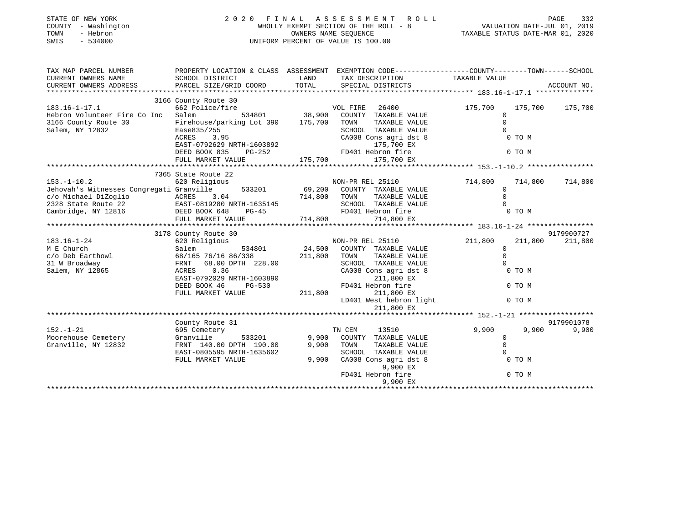| STATE OF NEW YORK<br>COUNTY - Washington<br>TOWN<br>- Hebron<br>$-534000$<br>SWIS                                                                          | $\begin{tabular}{lllllllllllll} \hline 2&0&2&0&\text{F I I N A L} &A S S E S S M E N T & R O L L & \text{PAGE} & 332 \\ & \text{WHOLLY EXEMPT SCCTION OF THE ROLL} & - & 8 & \text{VALUATION DATE–JUL 01, 2019} \\ & \text{OWNERS NAME SEQUENCE} & \text{TAXABLE STATUS DATE–MAR 01, 2020} \end{tabular}$<br>UNIFORM PERCENT OF VALUE IS 100.00                                                                                                                        |         |                                                                                                                          |                                                                                      |             |
|------------------------------------------------------------------------------------------------------------------------------------------------------------|------------------------------------------------------------------------------------------------------------------------------------------------------------------------------------------------------------------------------------------------------------------------------------------------------------------------------------------------------------------------------------------------------------------------------------------------------------------------|---------|--------------------------------------------------------------------------------------------------------------------------|--------------------------------------------------------------------------------------|-------------|
| TAX MAP PARCEL NUMBER                                                                                                                                      |                                                                                                                                                                                                                                                                                                                                                                                                                                                                        |         | PROPERTY LOCATION & CLASS ASSESSMENT EXEMPTION CODE----------------COUNTY-------TOWN------SCHOOL                         |                                                                                      |             |
| CURRENT OWNERS NAME                                                                                                                                        | SCHOOL DISTRICT                                                                                                                                                                                                                                                                                                                                                                                                                                                        | LAND    |                                                                                                                          |                                                                                      |             |
| CURRENT OWNERS ADDRESS                                                                                                                                     | PARCEL SIZE/GRID COORD                                                                                                                                                                                                                                                                                                                                                                                                                                                 | TOTAL   |                                                                                                                          |                                                                                      | ACCOUNT NO. |
|                                                                                                                                                            |                                                                                                                                                                                                                                                                                                                                                                                                                                                                        |         |                                                                                                                          |                                                                                      |             |
|                                                                                                                                                            | 3166 County Route 30                                                                                                                                                                                                                                                                                                                                                                                                                                                   |         |                                                                                                                          |                                                                                      |             |
| $183.16 - 1 - 17.1$                                                                                                                                        | 662 Police/fire                                                                                                                                                                                                                                                                                                                                                                                                                                                        |         | VOL FIRE 26400<br>534801 38,900 COUNTY TAXABLE VALUE                                                                     | 175,700<br>175,700                                                                   | 175,700     |
| Hebron Volunteer Fire Co Inc Salem                                                                                                                         |                                                                                                                                                                                                                                                                                                                                                                                                                                                                        |         |                                                                                                                          | $\mathbf 0$<br>$\Omega$                                                              |             |
| 3166 County Route 30<br>Salem, NY 12832                                                                                                                    | Firehouse/parking Lot 390 175,700 TOWN<br>Ease835/255                                                                                                                                                                                                                                                                                                                                                                                                                  |         | TAXABLE VALUE<br>SCHOOL TAXABLE VALUE                                                                                    | $\Omega$                                                                             |             |
|                                                                                                                                                            | Ease 557255<br>ACRES 3.95                                                                                                                                                                                                                                                                                                                                                                                                                                              |         |                                                                                                                          | 0 TO M                                                                               |             |
|                                                                                                                                                            | EAST-0792629 NRTH-1603892                                                                                                                                                                                                                                                                                                                                                                                                                                              |         | CA008 Cons agri dst 8<br>175,700 EX                                                                                      |                                                                                      |             |
|                                                                                                                                                            | DEED BOOK 835 PG-252                                                                                                                                                                                                                                                                                                                                                                                                                                                   |         | ERSO SOME ASIT AND STREET<br>175,700 EX<br>FD401 Hebron fire                                                             | 0 TO M                                                                               |             |
|                                                                                                                                                            | FULL MARKET VALUE                                                                                                                                                                                                                                                                                                                                                                                                                                                      |         | 175,700 175,700 EX                                                                                                       |                                                                                      |             |
|                                                                                                                                                            |                                                                                                                                                                                                                                                                                                                                                                                                                                                                        |         |                                                                                                                          |                                                                                      |             |
|                                                                                                                                                            | 7365 State Route 22                                                                                                                                                                                                                                                                                                                                                                                                                                                    |         |                                                                                                                          |                                                                                      |             |
| $153. - 1 - 10.2$                                                                                                                                          | 620 Religious                                                                                                                                                                                                                                                                                                                                                                                                                                                          |         | NON-PR REL 25110<br>533201 69,200 COUNTY TAXABLE VALUE                                                                   | 714,800<br>714,800                                                                   | 714,800     |
| Jehovah's Witnesses Congregati Granville                                                                                                                   |                                                                                                                                                                                                                                                                                                                                                                                                                                                                        |         |                                                                                                                          | $\mathbf{0}$                                                                         |             |
|                                                                                                                                                            | 3.04                                                                                                                                                                                                                                                                                                                                                                                                                                                                   |         | TAXABLE VALUE                                                                                                            | $\Omega$                                                                             |             |
| c/o Michael DiZoglio $ACRES$ 3.04 714,800 TOWN<br>2328 State Route 22 EAST-0819280 NRTH-1635145 SCHOOL<br>Cambridge, NY 12816 DEED BOOK 648 PG-45 FD401 He |                                                                                                                                                                                                                                                                                                                                                                                                                                                                        |         | SCHOOL TAXABLE VALUE 0<br>FD401 Hebron fire 0 0 TO M                                                                     |                                                                                      |             |
|                                                                                                                                                            |                                                                                                                                                                                                                                                                                                                                                                                                                                                                        |         |                                                                                                                          |                                                                                      |             |
|                                                                                                                                                            | FULL MARKET VALUE 714,800                                                                                                                                                                                                                                                                                                                                                                                                                                              |         | 714,800 EX                                                                                                               |                                                                                      |             |
|                                                                                                                                                            |                                                                                                                                                                                                                                                                                                                                                                                                                                                                        |         |                                                                                                                          |                                                                                      |             |
|                                                                                                                                                            | 3178 County Route 30                                                                                                                                                                                                                                                                                                                                                                                                                                                   |         |                                                                                                                          |                                                                                      | 9179900727  |
| $183.16 - 1 - 24$                                                                                                                                          | 620 Religious                                                                                                                                                                                                                                                                                                                                                                                                                                                          |         | NON-PR REL 25110                                                                                                         | 211,800<br>211,800                                                                   | 211,800     |
| M E Church                                                                                                                                                 | 534801<br>Salem                                                                                                                                                                                                                                                                                                                                                                                                                                                        |         | $24,500$ COUNTY TAXABLE VALUE                                                                                            | $\Omega$                                                                             |             |
|                                                                                                                                                            | 68/165 76/16 86/338 211,800 TOWN                                                                                                                                                                                                                                                                                                                                                                                                                                       |         | TAXABLE VALUE                                                                                                            | $\mathbf 0$                                                                          |             |
| m E CHILICH<br>C/O Deb Earthowl<br>31 W Broadway<br>Salem, NY 12865                                                                                        | FRNT 68.00 DPTH 228.00                                                                                                                                                                                                                                                                                                                                                                                                                                                 |         | SCHOOL TAXABLE VALUE                                                                                                     |                                                                                      |             |
|                                                                                                                                                            | ACRES<br>0.36                                                                                                                                                                                                                                                                                                                                                                                                                                                          |         | CA008 Cons agri dst 8                                                                                                    | 0 TO M                                                                               |             |
|                                                                                                                                                            | EAST-0792029 NRTH-1603890                                                                                                                                                                                                                                                                                                                                                                                                                                              |         | 211,800 EX                                                                                                               |                                                                                      |             |
|                                                                                                                                                            | DEED BOOK 46<br>PG-530                                                                                                                                                                                                                                                                                                                                                                                                                                                 |         |                                                                                                                          |                                                                                      |             |
|                                                                                                                                                            | FULL MARKET VALUE                                                                                                                                                                                                                                                                                                                                                                                                                                                      | 211,800 |                                                                                                                          |                                                                                      |             |
|                                                                                                                                                            |                                                                                                                                                                                                                                                                                                                                                                                                                                                                        |         | FD401 Hebron fire<br>211,800 EX<br>LD401 West hebron light<br>$211.800$ EX<br>$11.800$ FV<br>$211.800$ FV<br>$71.800$ FV |                                                                                      |             |
|                                                                                                                                                            |                                                                                                                                                                                                                                                                                                                                                                                                                                                                        |         | 211,800 EX                                                                                                               |                                                                                      |             |
|                                                                                                                                                            |                                                                                                                                                                                                                                                                                                                                                                                                                                                                        |         |                                                                                                                          |                                                                                      |             |
|                                                                                                                                                            | County Route 31                                                                                                                                                                                                                                                                                                                                                                                                                                                        |         |                                                                                                                          |                                                                                      | 9179901078  |
| $152. - 1 - 21$                                                                                                                                            | 695 Cemetery                                                                                                                                                                                                                                                                                                                                                                                                                                                           |         | TN CEM<br>13510                                                                                                          | 9,900<br>9,900<br>$\mathbf{0}$                                                       | 9,900       |
| Moorehouse Cemetery<br>Granville, NY 12832                                                                                                                 | $\begin{tabular}{lllllllll} \multicolumn{2}{c}{\text{Granville}} & \multicolumn{2}{c}{\text{533201}} & \multicolumn{2}{c}{\text{9,900}} & \multicolumn{2}{c}{\text{COUNTY}} & \text{TAXABLE VALUE} \\ \multicolumn{2}{c}{\text{FRNT}} & \multicolumn{2}{c}{\text{140.00 DPTH}} & \multicolumn{2}{c}{\text{190.00}} & \multicolumn{2}{c}{\text{9,900}} & \multicolumn{2}{c}{\text{TONN}} & \text{TAXABLE VALUE} \\ \multicolumn{2}{c}{\text{TRNT}} & \multicolumn{2}{c$ |         | TAXABLE VALUE                                                                                                            | $\Omega$                                                                             |             |
|                                                                                                                                                            |                                                                                                                                                                                                                                                                                                                                                                                                                                                                        |         | SCHOOL TAXABLE VALUE                                                                                                     |                                                                                      |             |
|                                                                                                                                                            | EAST-0805595 NRTH-1635602<br>FULL MARKET VALUE                                                                                                                                                                                                                                                                                                                                                                                                                         |         | 9,900 CA008 Cons agri dst 8                                                                                              | AXABLE VALUE<br>AXABLE VALUE<br>s agri dst 8 0 0 TO M<br>9,900 EX<br>ron fire 0 TO M |             |
|                                                                                                                                                            |                                                                                                                                                                                                                                                                                                                                                                                                                                                                        |         |                                                                                                                          |                                                                                      |             |
|                                                                                                                                                            |                                                                                                                                                                                                                                                                                                                                                                                                                                                                        |         | FD401 Hebron fire                                                                                                        |                                                                                      |             |
|                                                                                                                                                            |                                                                                                                                                                                                                                                                                                                                                                                                                                                                        |         | 9,900 EX                                                                                                                 |                                                                                      |             |
|                                                                                                                                                            |                                                                                                                                                                                                                                                                                                                                                                                                                                                                        |         |                                                                                                                          |                                                                                      |             |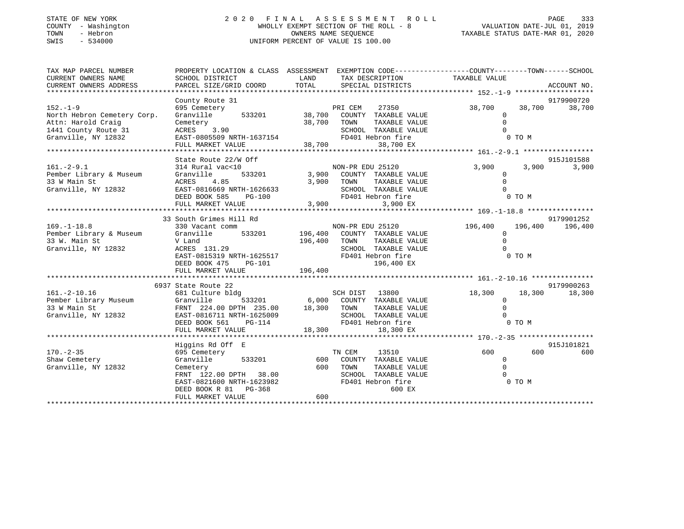| STATE OF NEW YORK   | 2020 FINAL ASSESSMENT ROLL            | 333<br>PAGE                      |
|---------------------|---------------------------------------|----------------------------------|
|                     |                                       |                                  |
| COUNTY - Washington | WHOLLY EXEMPT SECTION OF THE ROLL - 8 | VALUATION DATE-JUL 01, 2019      |
| TOWN<br>- Hebron    | OWNERS NAME SEOUENCE                  | TAXABLE STATUS DATE-MAR 01, 2020 |
| SWIS<br>- 534000    | UNIFORM PERCENT OF VALUE IS 100.00    |                                  |
|                     |                                       |                                  |

| TAX MAP PARCEL NUMBER       |                                                             |             | PROPERTY LOCATION & CLASS ASSESSMENT EXEMPTION CODE---------------COUNTY-------TOWN------SCHOOL |                |         |                     |
|-----------------------------|-------------------------------------------------------------|-------------|-------------------------------------------------------------------------------------------------|----------------|---------|---------------------|
| CURRENT OWNERS NAME         | SCHOOL DISTRICT                                             | LAND        | TAX DESCRIPTION                                                                                 | TAXABLE VALUE  |         |                     |
| CURRENT OWNERS ADDRESS      | PARCEL SIZE/GRID COORD                                      | TOTAL       | SPECIAL DISTRICTS                                                                               |                |         | ACCOUNT NO.         |
|                             | County Route 31                                             |             |                                                                                                 |                |         | 9179900720          |
| $152. - 1 - 9$              | 695 Cemetery                                                |             | PRI CEM<br>27350                                                                                | 38,700         | 38,700  | 38,700              |
| North Hebron Cemetery Corp. | Granville<br>533201                                         |             | 38,700 COUNTY TAXABLE VALUE                                                                     | $\mathbf{0}$   |         |                     |
| Attn: Harold Craig          | Cemetery                                                    | 38,700 TOWN | TAXABLE VALUE                                                                                   | $\Omega$       |         |                     |
| 1441 County Route 31        | ACRES 3.90                                                  |             | SCHOOL TAXABLE VALUE                                                                            | $\Omega$       |         |                     |
| Granville, NY 12832         | EAST-0805509 NRTH-1637154                                   |             | FD401 Hebron fire                                                                               |                | 0 TO M  |                     |
|                             | FULL MARKET VALUE                                           | 38,700      | 38,700 EX                                                                                       |                |         |                     |
|                             |                                                             |             |                                                                                                 |                |         |                     |
| $161. - 2 - 9.1$            | State Route 22/W Off                                        |             |                                                                                                 | 3,900          | 3,900   | 915J101588<br>3,900 |
| Pember Library & Museum     | 314 Rural vac<10<br>533201<br>Granville                     |             | NON-PR EDU 25120<br>3,900 COUNTY TAXABLE VALUE                                                  | $\mathbf{0}$   |         |                     |
| 33 W Main St                | 4.85<br>ACRES                                               |             | 3,900 TOWN<br>TAXABLE VALUE                                                                     | $\Omega$       |         |                     |
| Granville, NY 12832         | EAST-0816669 NRTH-1626633                                   |             | SCHOOL TAXABLE VALUE                                                                            | $\Omega$       |         |                     |
|                             | DEED BOOK 585<br>PG-100                                     |             | FD401 Hebron fire                                                                               |                | 0 TO M  |                     |
|                             | FULL MARKET VALUE                                           | 3,900       | 3,900 EX                                                                                        |                |         |                     |
|                             |                                                             |             |                                                                                                 |                |         |                     |
|                             | 33 South Grimes Hill Rd                                     |             |                                                                                                 |                |         | 9179901252          |
| $169. - 1 - 18.8$           | 330 Vacant comm                                             |             | NON-PR EDU 25120                                                                                | 196,400        | 196,400 | 196,400             |
| Pember Library & Museum     | 533201 196,400<br>Granville                                 |             | COUNTY TAXABLE VALUE                                                                            | 0              |         |                     |
| 33 W. Main St               | V Land                                                      | 196,400     | TOWN<br>TAXABLE VALUE                                                                           | $\Omega$       |         |                     |
| Granville, NY 12832         | ACRES 131.29                                                |             | SCHOOL TAXABLE VALUE<br>BURGUL TANALLA<br>FD401 Hebron fire                                     | $\Omega$       |         |                     |
|                             | EAST-0815319 NRTH-1625517<br>DEED BOOK 475<br><b>PG-101</b> |             | 196,400 EX                                                                                      |                | 0 TO M  |                     |
|                             |                                                             |             |                                                                                                 |                |         |                     |
|                             |                                                             |             |                                                                                                 |                |         |                     |
|                             | 6937 State Route 22                                         |             |                                                                                                 |                |         | 9179900263          |
| $161.-2-10.16$              | 681 Culture bldg                                            |             | SCH DIST 13800                                                                                  | 18,300         | 18,300  | 18,300              |
| Pember Library Museum       | Granville                                                   |             | 533201 6,000 COUNTY TAXABLE VALUE                                                               | $\mathbf 0$    |         |                     |
| 33 W Main St                | FRNT 224.00 DPTH 235.00                                     | 18,300 TOWN | TAXABLE VALUE                                                                                   | $\Omega$       |         |                     |
| Granville, NY 12832         | EAST-0816711 NRTH-1625009                                   |             | SCHOOL TAXABLE VALUE                                                                            | $\Omega$       |         |                     |
|                             | DEED BOOK 561<br>PG-114                                     |             | FD401 Hebron fire                                                                               |                | 0 TO M  |                     |
|                             | FULL MARKET VALUE                                           | 18,300      | 18,300 EX                                                                                       |                |         |                     |
|                             |                                                             |             |                                                                                                 |                |         |                     |
| $170. - 2 - 35$             | Higgins Rd Off E                                            |             |                                                                                                 | 600 -          | 600     | 915J101821          |
| Shaw Cemetery               | 695 Cemetery<br>533201<br>Granville                         | 600         | TN CEM<br>13510<br>COUNTY TAXABLE VALUE                                                         | $\overline{0}$ |         | 600                 |
| Granville, NY 12832         | Cemetery                                                    | 600         | TOWN<br>TAXABLE VALUE                                                                           | $\Omega$       |         |                     |
|                             | FRNT 122.00 DPTH 38.00                                      |             | SCHOOL TAXABLE VALUE                                                                            |                |         |                     |
|                             | EAST-0821600 NRTH-1623982                                   |             | FD401 Hebron fire                                                                               |                | 0 TO M  |                     |
|                             | DEED BOOK R 81 PG-368                                       |             | 600 EX                                                                                          |                |         |                     |
|                             | FULL MARKET VALUE                                           | 600         |                                                                                                 |                |         |                     |
|                             |                                                             |             |                                                                                                 |                |         |                     |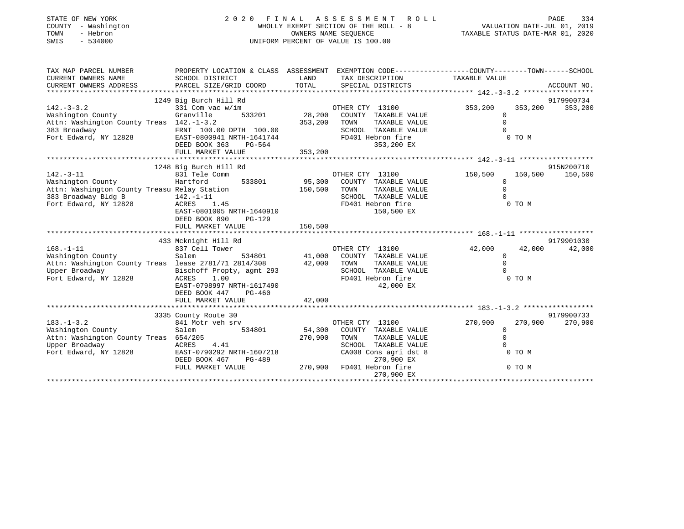| STATE OF NEW YORK<br>COUNTY - Washington<br>- Hebron<br>TOWN<br>$-534000$<br>SWIS                                                                                     | 2020 FINAL ASSESSMENT ROLL<br>WHOLLY EXEMPT SECTION OF THE ROLL - 8<br>UNIFORM PERCENT OF VALUE IS 100.00                                                   | 134 PAGE<br>101, VALUATION DATE-JUL 01, 2019<br>2020, TAXABLE STATUS DATE-MAR 01 | PAGE<br>334                                                                                                                            |                                                                |                               |
|-----------------------------------------------------------------------------------------------------------------------------------------------------------------------|-------------------------------------------------------------------------------------------------------------------------------------------------------------|----------------------------------------------------------------------------------|----------------------------------------------------------------------------------------------------------------------------------------|----------------------------------------------------------------|-------------------------------|
| TAX MAP PARCEL NUMBER<br>CURRENT OWNERS NAME<br>CURRENT OWNERS ADDRESS                                                                                                | SCHOOL DISTRICT<br>PARCEL SIZE/GRID COORD                                                                                                                   | LAND<br>TOTAL                                                                    | PROPERTY LOCATION & CLASS ASSESSMENT EXEMPTION CODE---------------COUNTY-------TOWN-----SCHOOL<br>TAX DESCRIPTION<br>SPECIAL DISTRICTS | TAXABLE VALUE                                                  | ACCOUNT NO.                   |
| $142. - 3 - 3.2$<br>Washington County<br>Attn: Washington County Treas 142.-1-3.2<br>383 Broadway<br>Fort Edward, NY 12828 EAST-0800941 NRTH-1641744                  | 1249 Big Burch Hill Rd<br>331 Com vac w/im<br>Granville<br>FRNT 100.00 DPTH 100.00<br>DEED BOOK 363<br>PG-564                                               | 353,200 TOWN                                                                     | OTHER CTY 13100<br>533201 28,200 COUNTY TAXABLE VALUE<br>TAXABLE VALUE<br>SCHOOL TAXABLE VALUE<br>FD401 Hebron fire<br>353,200 EX      | 353,200<br>$\circ$<br>$\Omega$<br>$\Omega$<br>0 TO M           | 9179900734<br>353,200 353,200 |
|                                                                                                                                                                       |                                                                                                                                                             |                                                                                  |                                                                                                                                        |                                                                |                               |
| $142. - 3 - 11$<br>Washington County<br>Attn: Washington County Treasu Relay Station<br>383 Broadway Bldg B 142.-1-11<br>383 Broadway Bldg B<br>Fort Edward, NY 12828 | 1248 Big Burch Hill Rd<br>831 Tele Comm<br>Hartford<br>533801<br>$142. - 1 - 11$<br>1.45<br>ACRES<br>EAST-0801005 NRTH-1640910<br>$PG-129$<br>DEED BOOK 890 | 150,500                                                                          | OTHER CTY 13100<br>95,300 COUNTY TAXABLE VALUE<br>TAXABLE VALUE<br>TOWN<br>SCHOOL TAXABLE VALUE<br>FD401 Hebron fire<br>150,500 EX     | 150,500<br>$\Omega$<br>$\Omega$<br>$\cap$<br>0 TO M            | 915N200710<br>150,500 150,500 |
| $168. - 1 - 11$<br>Washington County<br>Attn: Washington County Treas lease 2781/71 2814/308 42,000<br>Upper Broadway<br>Fort Edward, NY 12828                        | 433 Mcknight Hill Rd<br>837 Cell Tower<br>Salem<br>Bischoff Propty, agmt 293<br>ACRES<br>1.00<br>EAST-0798997 NRTH-1617490<br>DEED BOOK 447<br>$PG-460$     | $\alpha$<br>534801 41,000                                                        | OTHER CTY 13100<br>COUNTY TAXABLE VALUE<br>TAXABLE VALUE<br>TOWN<br>SCHOOL TAXABLE VALUE<br>FD401 Hebron fire<br>42,000 EX             | 42,000<br>42,000<br>$\Omega$<br>$\Omega$<br>$\Omega$<br>0 TO M | 9179901030<br>42,000          |

|                               | 3335 County Route 30      |         |                 |                       |         | 9179900733         |
|-------------------------------|---------------------------|---------|-----------------|-----------------------|---------|--------------------|
| $183. - 1 - 3.2$              | 841 Motr veh srv          |         | OTHER CTY 13100 |                       | 270,900 | 270,900<br>270,900 |
| Washington County             | 534801<br>Salem           | 54,300  | COUNTY          | TAXABLE VALUE         |         |                    |
| Attn: Washington County Treas | 654/205                   | 270,900 | TOWN            | TAXABLE VALUE         |         |                    |
| Upper Broadway                | 4.41<br>ACRES             |         | SCHOOL          | TAXABLE VALUE         |         |                    |
| Fort Edward, NY 12828         | EAST-0790292 NRTH-1607218 |         |                 | CA008 Cons agri dst 8 | 0 TO M  |                    |
|                               | DEED BOOK 467<br>PG-489   |         |                 | 270,900 EX            |         |                    |
|                               | FULL MARKET VALUE         | 270,900 |                 | FD401 Hebron fire     | 0 TO M  |                    |
|                               |                           |         |                 | 270,900 EX            |         |                    |
|                               |                           |         |                 |                       |         |                    |

FULL MARKET VALUE 42,000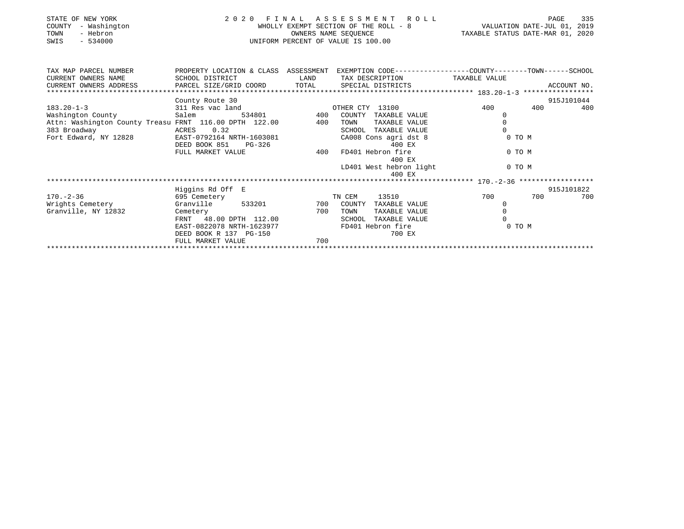| STATE OF NEW YORK<br>- Washington<br>COUNTY<br>- Hebron<br>TOWN<br>$-534000$<br>SWIS | 2 0 2 0                   | FINAL<br>OWNERS NAME SEOUENCE | ASSESSMENT ROLL<br>WHOLLY EXEMPT SECTION OF THE ROLL - 8<br>UNIFORM PERCENT OF VALUE IS 100.00 | VALUATION DATE-JUL 01, 2019<br>TAXABLE STATUS DATE-MAR 01, 2020 | 335<br>PAGE |
|--------------------------------------------------------------------------------------|---------------------------|-------------------------------|------------------------------------------------------------------------------------------------|-----------------------------------------------------------------|-------------|
| TAX MAP PARCEL NUMBER                                                                | PROPERTY LOCATION & CLASS | ASSESSMENT                    |                                                                                                | EXEMPTION CODE-----------------COUNTY-------TOWN------SCHOOL    |             |
| CURRENT OWNERS NAME                                                                  | SCHOOL DISTRICT           | LAND                          | TAX DESCRIPTION                                                                                | TAXABLE VALUE                                                   |             |
| CURRENT OWNERS ADDRESS                                                               | PARCEL SIZE/GRID COORD    | TOTAL                         | SPECIAL DISTRICTS                                                                              |                                                                 | ACCOUNT NO. |
|                                                                                      |                           |                               |                                                                                                |                                                                 |             |
|                                                                                      | County Route 30           |                               |                                                                                                |                                                                 | 915J101044  |
| $183.20 - 1 - 3$                                                                     | 311 Res vac land          |                               | OTHER CTY 13100                                                                                | 400<br>400                                                      | 400         |
| Washington County                                                                    | Salem<br>534801           | 400                           | COUNTY<br>TAXABLE VALUE                                                                        |                                                                 |             |
| Attn: Washington County Treasu FRNT 116.00 DPTH 122.00                               |                           | 400                           | TAXABLE VALUE<br>TOWN                                                                          |                                                                 |             |
| 383 Broadway                                                                         | 0.32<br>ACRES             |                               | TAXABLE VALUE<br>SCHOOL                                                                        |                                                                 |             |
| Fort Edward, NY 12828                                                                | EAST-0792164 NRTH-1603081 |                               | CA008 Cons agri dst 8                                                                          | 0 TO M                                                          |             |
|                                                                                      | DEED BOOK 851<br>PG-326   |                               | 400 EX                                                                                         |                                                                 |             |
|                                                                                      | FULL MARKET VALUE         | 400                           | FD401 Hebron fire                                                                              | 0 TO M                                                          |             |

|                     | rona Manier vands         | ェ∪∪<br>LDIAI HENTOH TITE       | U 1 U 1    |     |
|---------------------|---------------------------|--------------------------------|------------|-----|
|                     |                           | 400 EX                         |            |     |
|                     |                           | LD401 West hebron light        | 0 TO M     |     |
|                     |                           | 400 EX                         |            |     |
|                     |                           |                                |            |     |
|                     | Higgins Rd Off E          |                                | 915J101822 |     |
| $170. - 2 - 36$     | 695 Cemetery              | 13510<br>TN CEM                | 700<br>700 | 700 |
| Wrights Cemetery    | Granville<br>533201       | 700<br>COUNTY<br>TAXABLE VALUE |            |     |
| Granville, NY 12832 | Cemetery                  | 700<br>TOWN<br>TAXABLE VALUE   |            |     |
|                     | FRNT 48.00 DPTH 112.00    | SCHOOL TAXABLE VALUE           |            |     |
|                     | EAST-0822078 NRTH-1623977 | FD401 Hebron fire              | 0 TO M     |     |
|                     | DEED BOOK R 137 PG-150    | 700 EX                         |            |     |
|                     | FULL MARKET VALUE         | 700                            |            |     |
|                     |                           |                                |            |     |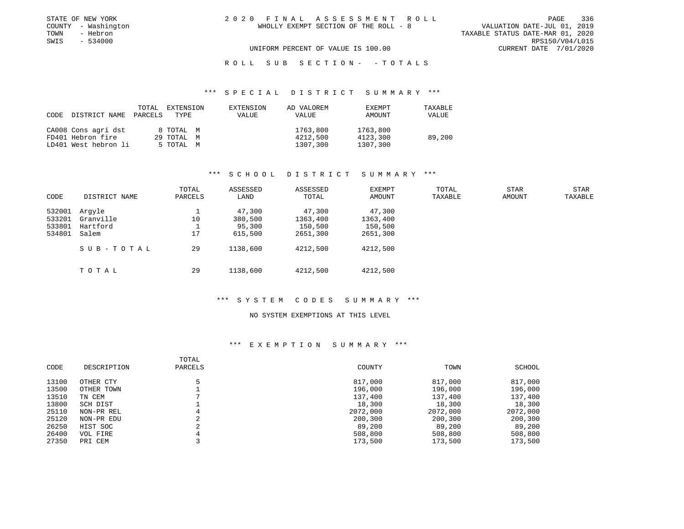|      | STATE OF NEW YORK   | 2020 FINAL ASSESSMENT ROLL                                           |                        | PAGE 336 |
|------|---------------------|----------------------------------------------------------------------|------------------------|----------|
|      | COUNTY - Washington | VALUATION DATE-JUL 01, 2019<br>WHOLLY EXEMPT SECTION OF THE ROLL - 8 |                        |          |
| TOWN | - Hebron            | TAXABLE STATUS DATE-MAR 01, 2020                                     |                        |          |
| SWIS | $-534000$           |                                                                      | RPS150/V04/L015        |          |
|      |                     | UNIFORM PERCENT OF VALUE IS 100.00                                   | CURRENT DATE 7/01/2020 |          |

ROLL SUB SECTION - - TOTALS

#### \*\*\* S P E C I A L D I S T R I C T S U M M A R Y \*\*\*

| CODE DISTRICT NAME PARCELS TYPE | TOTAL | EXTENSION  | EXTENSION<br>VALUE | AD VALOREM<br>VALUE | EXEMPT<br>AMOUNT | TAXABLE<br>VALUE |
|---------------------------------|-------|------------|--------------------|---------------------|------------------|------------------|
| CA008 Cons agri dst             |       | 8 TOTAL M  |                    | 1763,800            | 1763,800         |                  |
| FD401 Hebron fire               |       | 29 TOTAL M |                    | 4212,500            | 4123,300         | 89,200           |
| LD401 West hebron li            |       | 5 TOTAL M  |                    | 1307,300            | 1307,300         |                  |

### \*\*\* S C H O O L D I S T R I C T S U M M A R Y \*\*\*

| CODE                                 | DISTRICT NAME                            | TOTAL<br>PARCELS | ASSESSED<br>LAND                       | ASSESSED<br>TOTAL                         | EXEMPT<br>AMOUNT                          | TOTAL<br>TAXABLE | <b>STAR</b><br>AMOUNT | <b>STAR</b><br>TAXABLE |
|--------------------------------------|------------------------------------------|------------------|----------------------------------------|-------------------------------------------|-------------------------------------------|------------------|-----------------------|------------------------|
| 532001<br>533201<br>533801<br>534801 | Arqyle<br>Granville<br>Hartford<br>Salem | 10<br>17         | 47,300<br>380,500<br>95,300<br>615,500 | 47,300<br>1363,400<br>150,500<br>2651,300 | 47,300<br>1363,400<br>150,500<br>2651,300 |                  |                       |                        |
|                                      | SUB-TOTAL                                | 29               | 1138,600                               | 4212,500                                  | 4212,500                                  |                  |                       |                        |
|                                      | тотаь                                    | 29               | 1138,600                               | 4212,500                                  | 4212,500                                  |                  |                       |                        |

#### \*\*\* S Y S T E M C O D E S S U M M A R Y \*\*\*

## NO SYSTEM EXEMPTIONS AT THIS LEVEL

| CODE  | DESCRIPTION | TOTAL<br>PARCELS | COUNTY   | TOWN     | SCHOOL   |
|-------|-------------|------------------|----------|----------|----------|
| 13100 | OTHER CTY   |                  | 817,000  | 817,000  | 817,000  |
| 13500 | OTHER TOWN  |                  | 196,000  | 196,000  | 196,000  |
| 13510 | TN CEM      |                  | 137,400  | 137,400  | 137,400  |
| 13800 | SCH DIST    |                  | 18,300   | 18,300   | 18,300   |
| 25110 | NON-PR REL  | 4                | 2072,000 | 2072,000 | 2072,000 |
| 25120 | NON-PR EDU  |                  | 200,300  | 200,300  | 200,300  |
| 26250 | HIST SOC    |                  | 89,200   | 89,200   | 89,200   |
| 26400 | VOL FIRE    | 4                | 508,800  | 508,800  | 508,800  |
| 27350 | PRI CEM     |                  | 173,500  | 173,500  | 173,500  |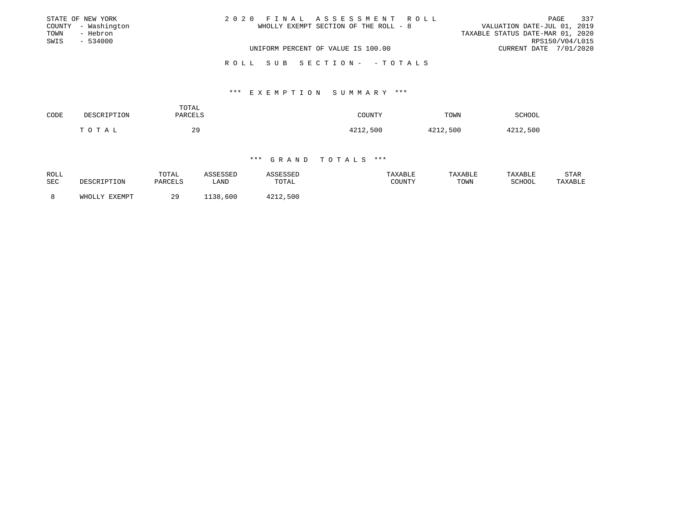|      | STATE OF NEW YORK   | 2020 FINAL ASSESSMENT ROLL            | 337<br>PAGE                      |
|------|---------------------|---------------------------------------|----------------------------------|
|      | COUNTY - Washington | WHOLLY EXEMPT SECTION OF THE ROLL - 8 | VALUATION DATE-JUL 01, 2019      |
| TOWN | - Hebron            |                                       | TAXABLE STATUS DATE-MAR 01, 2020 |
| SWIS | $-534000$           |                                       | RPS150/V04/L015                  |
|      |                     | UNIFORM PERCENT OF VALUE IS 100.00    | CURRENT DATE 7/01/2020           |
|      |                     |                                       |                                  |

R O L L S U B S E C T I O N - - T O T A L S

#### \*\*\* E X E M P T I O N S U M M A R Y \*\*\*

| CODE | DESCRIPTION | TOTAL<br>PARCELS | COUNTY   | TOWN     | SCHOOL   |
|------|-------------|------------------|----------|----------|----------|
|      | TOTAL       | 29<br>$\sim$     | 4212,500 | 4212,500 | 4212,500 |

| ROLL<br>SEC |                  | TOTAL<br>PARCELS | SSED<br>LAND | TOTAL    | TAXABLE<br>COUNTY | TAXABLE<br>TOWN | TAXABLE<br>SCHOOI | STAR<br>TAXABLE |
|-------------|------------------|------------------|--------------|----------|-------------------|-----------------|-------------------|-----------------|
|             | FYFMDT<br>WHOLLY | 20<br>ر ،        | 600<br>138   | 4212,500 |                   |                 |                   |                 |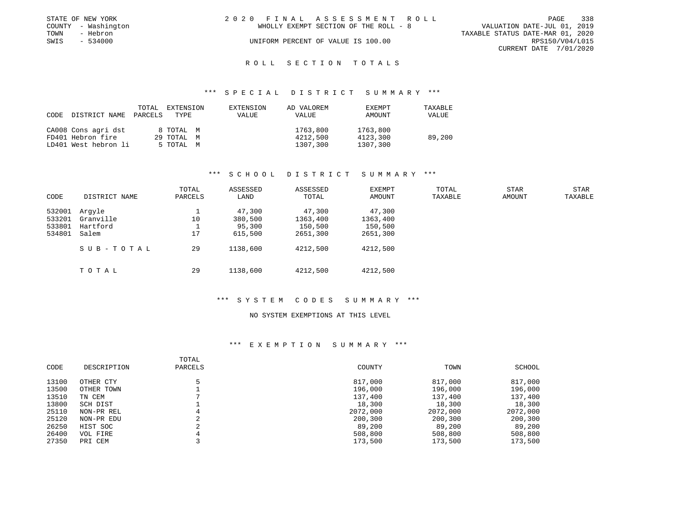|      | STATE OF NEW YORK   | 2020 FINAL ASSESSMENT ROLL            | PAGE                             | 338 |
|------|---------------------|---------------------------------------|----------------------------------|-----|
|      | COUNTY - Washington | WHOLLY EXEMPT SECTION OF THE ROLL - 8 | VALUATION DATE-JUL 01, 2019      |     |
| TOWN | - Hebron            |                                       | TAXABLE STATUS DATE-MAR 01, 2020 |     |
| SWIS | - 534000            | UNIFORM PERCENT OF VALUE IS 100.00    | RPS150/V04/L015                  |     |
|      |                     |                                       | CURRENT DATE 7/01/2020           |     |

# ROLL SECTION TOTALS

#### \*\*\* S P E C I A L D I S T R I C T S U M M A R Y \*\*\*

| CODE | DISTRICT NAME PARCELS | TOTAL<br>TYPE | EXTENSION | EXTENSION<br>VALUE | AD VALOREM<br>VALUE | <b>EXEMPT</b><br>AMOUNT | TAXABLE<br>VALUE |
|------|-----------------------|---------------|-----------|--------------------|---------------------|-------------------------|------------------|
|      | CA008 Cons agri dst   | 8 TOTAL M     |           |                    | 1763,800            | 1763,800                |                  |
|      | FD401 Hebron fire     | 29 TOTAL M    |           |                    | 4212,500            | 4123,300                | 89,200           |
|      | LD401 West hebron li  | 5 TOTAL M     |           |                    | 1307,300            | 1307,300                |                  |

### \*\*\* S C H O O L D I S T R I C T S U M M A R Y \*\*\*

| CODE                                 | DISTRICT NAME                            | TOTAL<br>PARCELS | ASSESSED<br>LAND                       | ASSESSED<br>TOTAL                         | EXEMPT<br>AMOUNT                          | TOTAL<br>TAXABLE | <b>STAR</b><br>AMOUNT | STAR<br>TAXABLE |
|--------------------------------------|------------------------------------------|------------------|----------------------------------------|-------------------------------------------|-------------------------------------------|------------------|-----------------------|-----------------|
| 532001<br>533201<br>533801<br>534801 | Arqyle<br>Granville<br>Hartford<br>Salem | 10<br>17         | 47,300<br>380,500<br>95,300<br>615,500 | 47,300<br>1363,400<br>150,500<br>2651,300 | 47,300<br>1363,400<br>150,500<br>2651,300 |                  |                       |                 |
|                                      | SUB-TOTAL                                | 29               | 1138,600                               | 4212,500                                  | 4212,500                                  |                  |                       |                 |
|                                      | тотаь                                    | 29               | 1138,600                               | 4212,500                                  | 4212,500                                  |                  |                       |                 |

#### \*\*\* S Y S T E M C O D E S S U M M A R Y \*\*\*

## NO SYSTEM EXEMPTIONS AT THIS LEVEL

| CODE  | DESCRIPTION | TOTAL<br>PARCELS | COUNTY   | TOWN     | SCHOOL   |
|-------|-------------|------------------|----------|----------|----------|
| 13100 | OTHER CTY   |                  | 817,000  | 817,000  | 817,000  |
| 13500 | OTHER TOWN  |                  | 196,000  | 196,000  | 196,000  |
| 13510 | TN CEM      |                  | 137,400  | 137,400  | 137,400  |
| 13800 | SCH DIST    |                  | 18,300   | 18,300   | 18,300   |
| 25110 | NON-PR REL  | 4                | 2072,000 | 2072,000 | 2072,000 |
| 25120 | NON-PR EDU  |                  | 200,300  | 200,300  | 200,300  |
| 26250 | HIST SOC    |                  | 89,200   | 89,200   | 89,200   |
| 26400 | VOL FIRE    | 4                | 508,800  | 508,800  | 508,800  |
| 27350 | PRI CEM     |                  | 173,500  | 173,500  | 173,500  |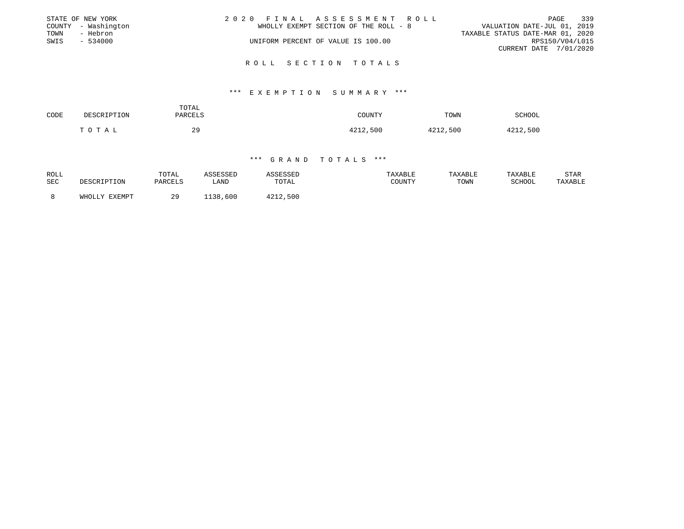|      | STATE OF NEW YORK   | 2020 FINAL ASSESSMENT ROLL |                                       |                                  |                        | PAGE | 339 |
|------|---------------------|----------------------------|---------------------------------------|----------------------------------|------------------------|------|-----|
|      | COUNTY - Washington |                            | WHOLLY EXEMPT SECTION OF THE ROLL - 8 | VALUATION DATE-JUL 01, 2019      |                        |      |     |
| TOWN | - Hebron            |                            |                                       | TAXABLE STATUS DATE-MAR 01, 2020 |                        |      |     |
| SWIS | - 534000            |                            | UNIFORM PERCENT OF VALUE IS 100.00    |                                  | RPS150/V04/L015        |      |     |
|      |                     |                            |                                       |                                  | CURRENT DATE 7/01/2020 |      |     |
|      |                     |                            |                                       |                                  |                        |      |     |

#### R O L L S E C T I O N T O T A L S

#### \*\*\* E X E M P T I O N S U M M A R Y \*\*\*

| CODE | DESCRIPTION | TOTAL<br>PARCELS | COUNTY   | TOWN     | SCHOOL   |
|------|-------------|------------------|----------|----------|----------|
|      | TOTAL       | 29               | 4212,500 | 4212,500 | 4212,500 |

| ROLL<br>SEC |                  | TOTAL<br>PARCELS | SSED<br>LAND | TOTAL    | TAXABLE<br>COUNTY | TAXABLE<br>TOWN | TAXABLE<br>SCHOOI | STAR<br>TAXABLE |
|-------------|------------------|------------------|--------------|----------|-------------------|-----------------|-------------------|-----------------|
|             | FYFMDT<br>WHOLLY | 20<br>ر ،        | 600<br>138   | 4212,500 |                   |                 |                   |                 |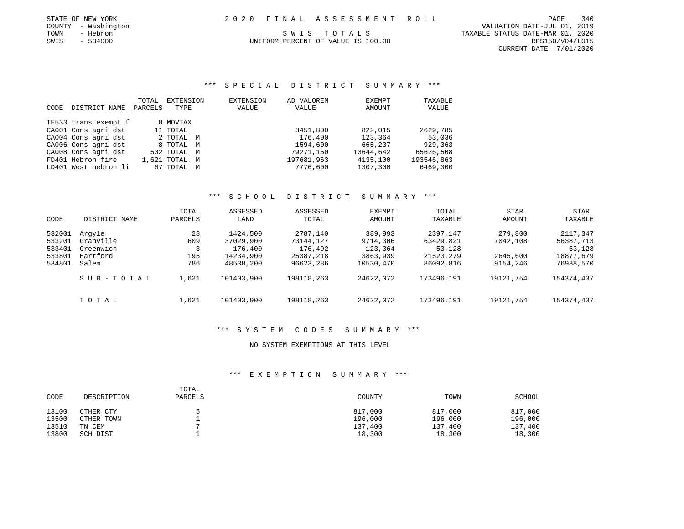|      | STATE OF NEW YORK   |  | 2020 FINAL ASSESSMENT ROLL         |                                  | PAGE            | 340 |
|------|---------------------|--|------------------------------------|----------------------------------|-----------------|-----|
|      | COUNTY - Washington |  |                                    | VALUATION DATE-JUL 01, 2019      |                 |     |
| TOWN | - Hebron            |  | SWIS TOTALS                        | TAXABLE STATUS DATE-MAR 01, 2020 |                 |     |
| SWIS | $-534000$           |  | UNIFORM PERCENT OF VALUE IS 100.00 |                                  | RPS150/V04/L015 |     |

CURRENT DATE 7/01/2020

\*\*\* S P E C I A L D I S T R I C T S U M M A R Y \*\*\*

|             |                      | TOTAL   | EXTENSION     | EXTENSION | AD VALOREM | EXEMPT    | TAXABLE    |
|-------------|----------------------|---------|---------------|-----------|------------|-----------|------------|
| <b>CODE</b> | DISTRICT NAME        | PARCELS | TYPE          | VALUE     | VALUE      | AMOUNT    | VALUE      |
|             | TE533 trans exempt f |         | 8 MOVTAX      |           |            |           |            |
|             | CA001 Cons agri dst  |         | 11 TOTAL      |           | 3451,800   | 822,015   | 2629,785   |
|             | CA004 Cons agri dst  |         | 2 TOTAL M     |           | 176,400    | 123,364   | 53,036     |
|             | CA006 Cons agri dst  |         | 8 TOTAL M     |           | 1594,600   | 665,237   | 929,363    |
|             | CA008 Cons agri dst  |         | 502 TOTAL M   |           | 79271,150  | 13644,642 | 65626,508  |
|             | FD401 Hebron fire    |         | 1,621 TOTAL M |           | 197681,963 | 4135,100  | 193546,863 |
|             | LD401 West hebron li |         | 67 TOTAL M    |           | 7776,600   | 1307,300  | 6469,300   |

# \*\*\* S C H O O L D I S T R I C T S U M M A R Y \*\*\*

| CODE                                           | DISTRICT NAME                                         | TOTAL<br>PARCELS        | ASSESSED<br>LAND                                           | ASSESSED<br>TOTAL                                          | EXEMPT<br>AMOUNT                                        | TOTAL<br>TAXABLE                                          | STAR<br>AMOUNT                              | STAR<br>TAXABLE                                           |
|------------------------------------------------|-------------------------------------------------------|-------------------------|------------------------------------------------------------|------------------------------------------------------------|---------------------------------------------------------|-----------------------------------------------------------|---------------------------------------------|-----------------------------------------------------------|
| 532001<br>533201<br>533401<br>533801<br>534801 | Arqyle<br>Granville<br>Greenwich<br>Hartford<br>Salem | 28<br>609<br>195<br>786 | 1424,500<br>37029,900<br>176,400<br>14234,900<br>48538,200 | 2787,140<br>73144,127<br>176,492<br>25387,218<br>96623,286 | 389,993<br>9714,306<br>123,364<br>3863,939<br>10530,470 | 2397,147<br>63429,821<br>53,128<br>21523,279<br>86092,816 | 279,800<br>7042,108<br>2645,600<br>9154,246 | 2117,347<br>56387,713<br>53,128<br>18877,679<br>76938,570 |
|                                                | SUB-TOTAL                                             | 1,621                   | 101403,900                                                 | 198118,263                                                 | 24622,072                                               | 173496,191                                                | 19121,754                                   | 154374,437                                                |
|                                                | TOTAL                                                 | 1,621                   | 101403,900                                                 | 198118,263                                                 | 24622,072                                               | 173496,191                                                | 19121,754                                   | 154374,437                                                |

## \*\*\* S Y S T E M C O D E S S U M M A R Y \*\*\*

## NO SYSTEM EXEMPTIONS AT THIS LEVEL

| CODE  | DESCRIPTION | TOTAL<br>PARCELS | COUNTY  | TOWN    | SCHOOL  |
|-------|-------------|------------------|---------|---------|---------|
| 13100 | OTHER CTY   |                  | 817,000 | 817,000 | 817,000 |
| 13500 | OTHER TOWN  |                  | 196,000 | 196,000 | 196,000 |
| 13510 | TN CEM      |                  | 137,400 | 137,400 | 137,400 |
| 13800 | SCH DIST    |                  | 18,300  | 18,300  | 18,300  |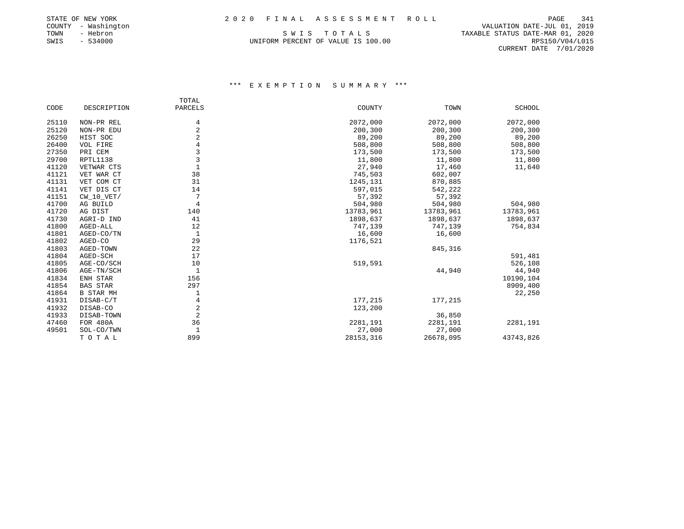# STATE OF NEW YORK 2 0 2 0 F I N A L A S S E S S M E N T R O L L PAGE 341

| STATE OF NEW YORK |                |              |
|-------------------|----------------|--------------|
| COUNTY            |                | - Washington |
| TOWN              |                | - Hebron     |
| SWIS              | $\sim$ 10 $\,$ | 534000       |

PAGE 341 COUNTRY THE RESERVE OF SALUATION DATE-JUL 01, 2019<br>S W I S T O T A L S TO T A L S TAXABLE STATUS DATE-MAR 01, 2020 TAXABLE STATUS DATE-MAR 01, 2020 UNIFORM PERCENT OF VALUE IS 100.00 RPS150/V04/L015 CURRENT DATE 7/01/2020

|       |                  | TOTAL          |           |           |           |
|-------|------------------|----------------|-----------|-----------|-----------|
| CODE  | DESCRIPTION      | PARCELS        | COUNTY    | TOWN      | SCHOOL    |
| 25110 | NON-PR REL       | 4              | 2072,000  | 2072,000  | 2072,000  |
| 25120 | NON-PR EDU       | 2              | 200,300   | 200,300   | 200,300   |
| 26250 | HIST SOC         | $\overline{2}$ | 89,200    | 89,200    | 89,200    |
| 26400 | VOL FIRE         |                | 508,800   | 508,800   | 508,800   |
| 27350 | PRI CEM          | 3              | 173,500   | 173,500   | 173,500   |
| 29700 | RPTL1138         | 3              | 11,800    | 11,800    | 11,800    |
| 41120 | VETWAR CTS       |                | 27,940    | 17,460    | 11,640    |
| 41121 | VET WAR CT       | 38             | 745,503   | 602,007   |           |
| 41131 | VET COM CT       | 31             | 1245,131  | 870,885   |           |
| 41141 | VET DIS CT       | 14             | 597,015   | 542,222   |           |
| 41151 | $CW_10_VET/$     | 7              | 57,392    | 57,392    |           |
| 41700 | AG BUILD         | 4              | 504,980   | 504,980   | 504,980   |
| 41720 | AG DIST          | 140            | 13783,961 | 13783,961 | 13783,961 |
| 41730 | AGRI-D IND       | 41             | 1898,637  | 1898,637  | 1898,637  |
| 41800 | AGED-ALL         | 12             | 747,139   | 747,139   | 754,834   |
| 41801 | AGED-CO/TN       | 1              | 16,600    | 16,600    |           |
| 41802 | AGED-CO          | 29             | 1176,521  |           |           |
| 41803 | AGED-TOWN        | 22             |           | 845,316   |           |
| 41804 | AGED-SCH         | 17             |           |           | 591,481   |
| 41805 | AGE-CO/SCH       | 10             | 519,591   |           | 526,108   |
| 41806 | AGE-TN/SCH       | $\mathbf{1}$   |           | 44,940    | 44,940    |
| 41834 | ENH STAR         | 156            |           |           | 10190,104 |
| 41854 | <b>BAS STAR</b>  | 297            |           |           | 8909,400  |
| 41864 | <b>B STAR MH</b> |                |           |           | 22,250    |
| 41931 | DISAB-C/T        | 4              | 177,215   | 177,215   |           |
| 41932 | DISAB-CO         | 2              | 123,200   |           |           |
| 41933 | DISAB-TOWN       | 2              |           | 36,850    |           |
| 47460 | FOR 480A         | 36             | 2281,191  | 2281,191  | 2281,191  |
| 49501 | SOL-CO/TWN       | 1              | 27,000    | 27,000    |           |
|       | TOTAL            | 899            | 28153,316 | 26678,095 | 43743,826 |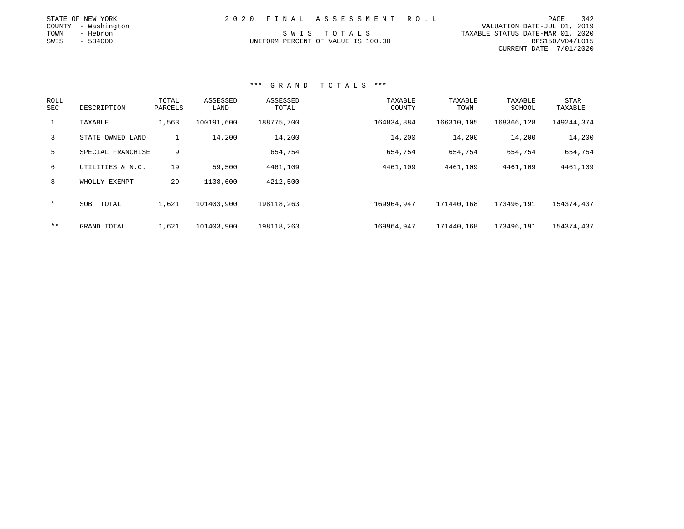|      | STATE OF NEW YORK   |  | 2020 FINAL ASSESSMENT ROLL         |                                  | PAGE            | 342 |
|------|---------------------|--|------------------------------------|----------------------------------|-----------------|-----|
|      | COUNTY - Washington |  |                                    | VALUATION DATE-JUL 01, 2019      |                 |     |
| TOWN | - Hebron            |  | SWIS TOTALS                        | TAXABLE STATUS DATE-MAR 01, 2020 |                 |     |
| SWIS | $-534000$           |  | UNIFORM PERCENT OF VALUE IS 100.00 |                                  | RPS150/V04/L015 |     |
|      |                     |  |                                    | CURRENT DATE 7/01/2020           |                 |     |

| ROLL<br>SEC    | DESCRIPTION       | TOTAL<br>PARCELS | ASSESSED<br>LAND | ASSESSED<br>TOTAL | TAXABLE<br>COUNTY | TAXABLE<br>TOWN | TAXABLE<br>SCHOOL | <b>STAR</b><br>TAXABLE |
|----------------|-------------------|------------------|------------------|-------------------|-------------------|-----------------|-------------------|------------------------|
| $\mathbf{1}$   | TAXABLE           | 1,563            | 100191,600       | 188775,700        | 164834,884        | 166310,105      | 168366,128        | 149244,374             |
| $\overline{3}$ | STATE OWNED LAND  |                  | 14,200           | 14,200            | 14,200            | 14,200          | 14,200            | 14,200                 |
| 5              | SPECIAL FRANCHISE | 9                |                  | 654,754           | 654,754           | 654,754         | 654,754           | 654,754                |
| 6              | UTILITIES & N.C.  | 19               | 59,500           | 4461,109          | 4461,109          | 4461,109        | 4461,109          | 4461,109               |
| 8              | WHOLLY EXEMPT     | 29               | 1138,600         | 4212,500          |                   |                 |                   |                        |
| $\star$        | TOTAL<br>SUB      | 1,621            | 101403,900       | 198118,263        | 169964,947        | 171440,168      | 173496,191        | 154374,437             |
| $***$          | GRAND TOTAL       | 1,621            | 101403,900       | 198118,263        | 169964,947        | 171440,168      | 173496,191        | 154374,437             |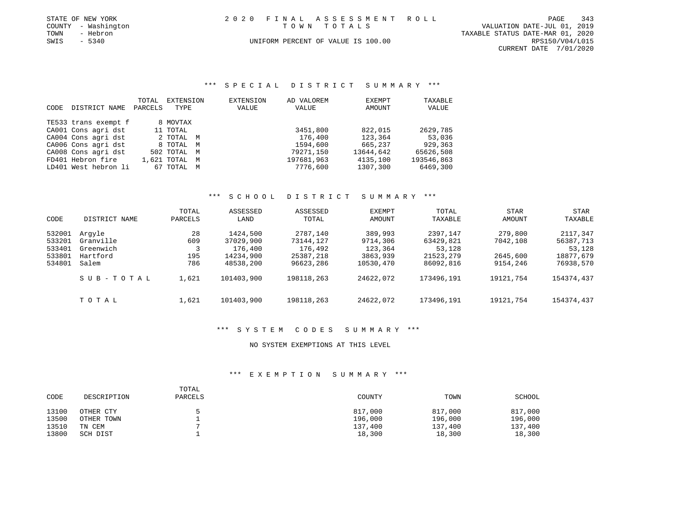|      | STATE OF NEW YORK   | 2020 FINAL ASSESSMENT ROLL         | PAGE                        | 343 |
|------|---------------------|------------------------------------|-----------------------------|-----|
|      | COUNTY - Washington | TOWN TOTALS                        | VALUATION DATE-JUL 01, 2019 |     |
| TOWN | - Hebron            | TAXABLE STATUS DATE-MAR 01, 2020   |                             |     |
| SWIS | $-5340$             | UNIFORM PERCENT OF VALUE IS 100.00 | RPS150/V04/L015             |     |

CURRENT DATE 7/01/2020

#### \*\*\* S P E C I A L D I S T R I C T S U M M A R Y \*\*\*

|      |                      | TOTAL   | EXTENSION     | <b>EXTENSION</b> | AD VALOREM | EXEMPT    | TAXABLE    |
|------|----------------------|---------|---------------|------------------|------------|-----------|------------|
| CODE | DISTRICT NAME        | PARCELS | TYPE          | VALUE            | VALUE      | AMOUNT    | VALUE      |
|      | TE533 trans exempt f |         | 8 MOVTAX      |                  |            |           |            |
|      | CA001 Cons agri dst  |         | 11 TOTAL      |                  | 3451,800   | 822,015   | 2629,785   |
|      | CA004 Cons agri dst  |         | 2 TOTAL M     |                  | 176,400    | 123,364   | 53,036     |
|      | CA006 Cons agri dst  |         | 8 TOTAL M     |                  | 1594,600   | 665,237   | 929,363    |
|      | CA008 Cons agri dst  |         | 502 TOTAL M   |                  | 79271,150  | 13644,642 | 65626,508  |
|      | FD401 Hebron fire    |         | 1,621 TOTAL M |                  | 197681,963 | 4135,100  | 193546,863 |
|      | LD401 West hebron li |         | 67 TOTAL M    |                  | 7776,600   | 1307,300  | 6469,300   |

# \*\*\* S C H O O L D I S T R I C T S U M M A R Y \*\*\*

| CODE                                           | DISTRICT NAME                                         | TOTAL<br>PARCELS        | ASSESSED<br>LAND                                           | ASSESSED<br>TOTAL                                          | EXEMPT<br>AMOUNT                                        | TOTAL<br>TAXABLE                                          | STAR<br>AMOUNT                              | STAR<br>TAXABLE                                           |
|------------------------------------------------|-------------------------------------------------------|-------------------------|------------------------------------------------------------|------------------------------------------------------------|---------------------------------------------------------|-----------------------------------------------------------|---------------------------------------------|-----------------------------------------------------------|
| 532001<br>533201<br>533401<br>533801<br>534801 | Arqyle<br>Granville<br>Greenwich<br>Hartford<br>Salem | 28<br>609<br>195<br>786 | 1424,500<br>37029,900<br>176,400<br>14234,900<br>48538,200 | 2787,140<br>73144,127<br>176,492<br>25387,218<br>96623,286 | 389,993<br>9714,306<br>123,364<br>3863,939<br>10530,470 | 2397,147<br>63429,821<br>53,128<br>21523,279<br>86092,816 | 279,800<br>7042,108<br>2645,600<br>9154,246 | 2117,347<br>56387,713<br>53,128<br>18877,679<br>76938,570 |
|                                                | SUB-TOTAL                                             | 1,621                   | 101403,900                                                 | 198118,263                                                 | 24622,072                                               | 173496,191                                                | 19121,754                                   | 154374,437                                                |
|                                                | TOTAL                                                 | 1,621                   | 101403,900                                                 | 198118,263                                                 | 24622,072                                               | 173496,191                                                | 19121,754                                   | 154374,437                                                |

#### \*\*\* S Y S T E M C O D E S S U M M A R Y \*\*\*

#### NO SYSTEM EXEMPTIONS AT THIS LEVEL

| CODE  | DESCRIPTION | TOTAL<br>PARCELS | COUNTY  | TOWN    | SCHOOL  |
|-------|-------------|------------------|---------|---------|---------|
| 13100 | OTHER CTY   |                  | 817,000 | 817,000 | 817,000 |
| 13500 | OTHER TOWN  |                  | 196,000 | 196,000 | 196,000 |
| 13510 | TN CEM      |                  | 137,400 | 137,400 | 137,400 |
| 13800 | SCH DIST    |                  | 18,300  | 18,300  | 18,300  |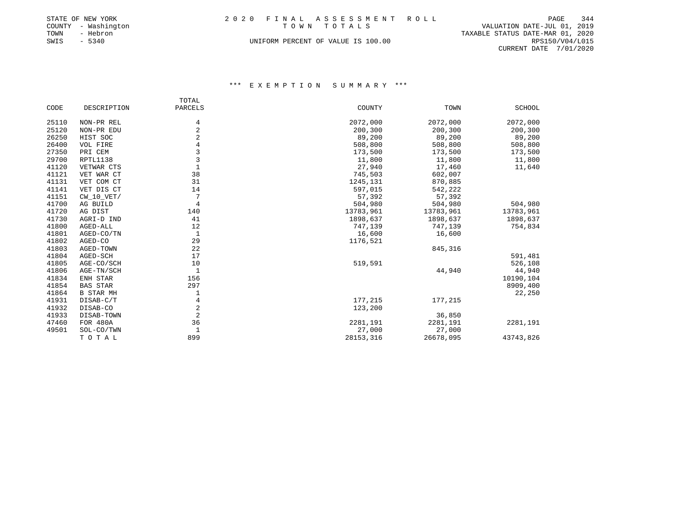|      | STATE OF NEW YORK   | 2020 FINAL ASSESSMENT ROLL | PAGE                             | 344 |
|------|---------------------|----------------------------|----------------------------------|-----|
|      | COUNTY - Washington | TOWN TOTALS                | VALUATION DATE-JUL 01, 2019      |     |
| TOWN | - Hebron            |                            | TAXABLE STATUS DATE-MAR 01, 2020 |     |
| SWIS | $-5340$             | RPS150/V04/L015            |                                  |     |
|      |                     |                            | CURRENT DATE 7/01/2020           |     |

|       |                  | TOTAL          |           |           |               |
|-------|------------------|----------------|-----------|-----------|---------------|
| CODE  | DESCRIPTION      | PARCELS        | COUNTY    | TOWN      | <b>SCHOOL</b> |
| 25110 | NON-PR REL       | 4              | 2072,000  | 2072,000  | 2072,000      |
| 25120 | NON-PR EDU       | $\overline{2}$ | 200,300   | 200,300   | 200,300       |
| 26250 | HIST SOC         | 2              | 89,200    | 89,200    | 89,200        |
| 26400 | VOL FIRE         | 4              | 508,800   | 508,800   | 508,800       |
| 27350 | PRI CEM          | 3              | 173,500   | 173,500   | 173,500       |
| 29700 | RPTL1138         | 3              | 11,800    | 11,800    | 11,800        |
| 41120 | VETWAR CTS       |                | 27,940    | 17,460    | 11,640        |
| 41121 | VET WAR CT       | 38             | 745,503   | 602,007   |               |
| 41131 | VET COM CT       | 31             | 1245,131  | 870,885   |               |
| 41141 | VET DIS CT       | 14             | 597,015   | 542,222   |               |
| 41151 | $CW_10_VET/$     | 7              | 57,392    | 57,392    |               |
| 41700 | AG BUILD         | 4              | 504,980   | 504,980   | 504,980       |
| 41720 | AG DIST          | 140            | 13783,961 | 13783,961 | 13783,961     |
| 41730 | AGRI-D IND       | 41             | 1898,637  | 1898,637  | 1898,637      |
| 41800 | AGED-ALL         | 12             | 747,139   | 747,139   | 754,834       |
| 41801 | AGED-CO/TN       | 1              | 16,600    | 16,600    |               |
| 41802 | AGED-CO          | 29             | 1176,521  |           |               |
| 41803 | AGED-TOWN        | 22             |           | 845, 316  |               |
| 41804 | AGED-SCH         | 17             |           |           | 591,481       |
| 41805 | AGE-CO/SCH       | 10             | 519,591   |           | 526,108       |
| 41806 | AGE-TN/SCH       | 1              |           | 44,940    | 44,940        |
| 41834 | ENH STAR         | 156            |           |           | 10190,104     |
| 41854 | <b>BAS STAR</b>  | 297            |           |           | 8909,400      |
| 41864 | <b>B STAR MH</b> |                |           |           | 22,250        |
| 41931 | DISAB-C/T        | 4              | 177,215   | 177,215   |               |
| 41932 | DISAB-CO         | $\overline{2}$ | 123,200   |           |               |
| 41933 | DISAB-TOWN       | $\overline{2}$ |           | 36,850    |               |
| 47460 | FOR 480A         | 36             | 2281,191  | 2281,191  | 2281,191      |
| 49501 | SOL-CO/TWN       |                | 27,000    | 27,000    |               |
|       | TOTAL            | 899            | 28153,316 | 26678,095 | 43743,826     |